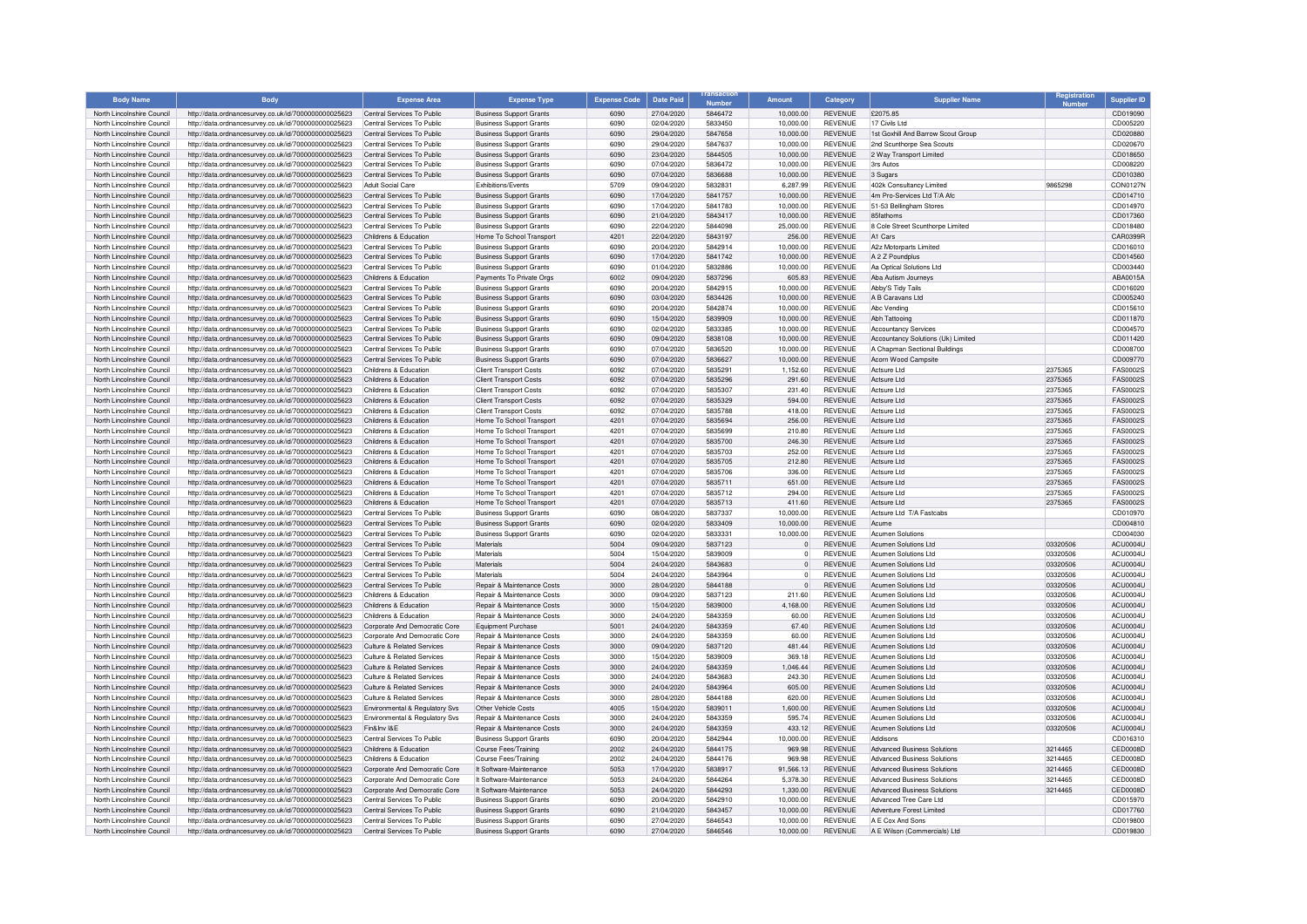| <b>Body Name</b>                                         | <b>Body</b>                                                                                                  | <b>Expense Area</b>                                            | <b>Expense Type</b>                                              | <b>Expense Code</b> | <b>Date Paid</b>         | Number             | <b>Amount</b>          | Category                         | <b>Supplier Name</b>                                                     |                      | <b>Supplier ID</b>                 |
|----------------------------------------------------------|--------------------------------------------------------------------------------------------------------------|----------------------------------------------------------------|------------------------------------------------------------------|---------------------|--------------------------|--------------------|------------------------|----------------------------------|--------------------------------------------------------------------------|----------------------|------------------------------------|
| North Lincolnshire Council                               | http://data.ordnancesurvey.co.uk/id/7000000000025623                                                         | Central Services To Public                                     | <b>Business Support Grants</b>                                   | 6090                | 27/04/2020               | 5846472            | 10,000.00              | <b>REVENUE</b>                   | £2075.85                                                                 |                      | CD019090                           |
| North Lincolnshire Council                               | http://data.ordnancesurvey.co.uk/id/7000000000025623                                                         | Central Services To Public                                     | <b>Business Support Grants</b>                                   | 6090                | 02/04/2020               | 5833450            | 10.000.00              | <b>REVENUE</b>                   | 17 Civils I td                                                           |                      | CD005220                           |
| North Lincolnshire Council                               | http://data.ordnancesurvey.co.uk/id/7000000000025623                                                         | Central Services To Public                                     | <b>Business Support Grants</b>                                   | 6090                | 29/04/2020               | 5847658            | 10.000.00              | <b>REVENUE</b>                   | 1st Goxhill And Barrow Scout Group                                       |                      | CD020880                           |
| North Lincolnshire Council                               | http://data.ordnancesurvey.co.uk/id/7000000000025623                                                         | Central Services To Public                                     | <b>Business Support Grants</b>                                   | 6090                | 29/04/2020               | 5847637            | 10,000.00              | REVENUE                          | 2nd Scunthorpe Sea Scouts                                                |                      | CD020670                           |
| North Lincolnshire Council                               | http://data.ordnancesurvey.co.uk/id/7000000000025623                                                         | Central Services To Public                                     | <b>Business Support Grants</b>                                   | 6090                | 23/04/2020               | 5844505            | 10.000.00              | <b>REVENUE</b>                   | 2 Way Transport Limited                                                  |                      | CD018650                           |
| North Lincolnshire Council                               | http://data.ordnancesurvey.co.uk/id/7000000000025623                                                         | Central Services To Public                                     | <b>Business Support Grants</b>                                   | 6090                | 07/04/2020               | 5836472            | 10.000.00              | <b>REVENUE</b>                   | 3rs Autos                                                                |                      | CD008220                           |
| North Lincolnshire Council<br>North Lincolnshire Council | http://data.ordnancesurvey.co.uk/id/7000000000025623<br>http://data.ordnancesurvey.co.uk/id/7000000000025623 | Central Services To Public<br><b>Adult Social Care</b>         | <b>Business Support Grants</b><br>Exhibitions/Events             | 6090<br>5709        | 07/04/2020<br>09/04/2020 | 5836688<br>5832831 | 10,000.00<br>6,287.99  | <b>REVENUE</b><br><b>REVENUE</b> | 3 Sugars<br>402k Consultancy Limited                                     | 9865298              | CD010380<br>CON0127N               |
| North Lincolnshire Council                               | http://data.ordnancesurvey.co.uk/id/7000000000025623                                                         | Central Services To Public                                     | <b>Business Support Grants</b>                                   | 6090                | 17/04/2020               | 5841757            | 10,000.00              | <b>REVENUE</b>                   | 4m Pro-Services Ltd T/A Afo                                              |                      | CD014710                           |
| North Lincolnshire Council                               | http://data.ordnancesurvey.co.uk/id/7000000000025623                                                         | Central Services To Public                                     | <b>Business Support Grants</b>                                   | 6090                | 17/04/2020               | 5841783            | 10.000.00              | <b>REVENUE</b>                   | 51-53 Bellingham Stores                                                  |                      | CD014970                           |
| North Lincolnshire Council                               | http://data.ordnancesurvey.co.uk/id/7000000000025623                                                         | Central Services To Public                                     | <b>Business Support Grants</b>                                   | 6090                | 21/04/2020               | 5843417            | 10,000.00              | <b>REVENUE</b>                   | 85fathoms                                                                |                      | CD017360                           |
| North Lincolnshire Council                               | http://data.ordnancesurvey.co.uk/id/7000000000025623                                                         | Central Services To Public                                     | <b>Business Support Grants</b>                                   | 6090                | 22/04/2020               | 5844098            | 25,000.00              | <b>REVENUE</b>                   | 8 Cole Street Scunthorpe Limited                                         |                      | CD018480                           |
| North Lincolnshire Council                               | http://data.ordnancesurvey.co.uk/id/7000000000025623                                                         | Childrens & Education                                          | Home To School Transpor                                          | 4201                | 22/04/2020               | 5843197            | 256.00                 | <b>REVENUE</b>                   | A1 Cars                                                                  |                      | CAR0399R                           |
| North Lincolnshire Council                               | http://data.ordnancesurvey.co.uk/id/7000000000025623                                                         | Central Services To Public                                     | <b>Business Support Grants</b>                                   | 6090                | 20/04/2020               | 5842914            | 10.000.00              | <b>REVENUE</b>                   | A2z Motorparts Limited                                                   |                      | CD016010                           |
| North Lincolnshire Council                               | http://data.ordnancesurvey.co.uk/id/7000000000025623                                                         | Central Services To Public                                     | <b>Business Support Grants</b>                                   | 6090                | 17/04/2020               | 5841742            | 10.000.00              | <b>REVENUE</b>                   | A 2 Z Poundplus                                                          |                      | CD014560                           |
| North Lincolnshire Council                               | http://data.ordnancesurvey.co.uk/id/7000000000025623                                                         | Central Services To Public                                     | <b>Business Support Grants</b>                                   | 6090                | 01/04/2020               | 5832886            | 10.000.00              | <b>REVENUE</b>                   | Aa Optical Solutions Ltd                                                 |                      | CD003440                           |
| North Lincolnshire Council                               | http://data.ordnancesurvey.co.uk/id/7000000000025623                                                         | Childrens & Education                                          | Payments To Private Orgs                                         | 6002                | 09/04/2020               | 5837296            | 605.83                 | <b>REVENUE</b>                   | Aba Autism Journeys                                                      |                      | ABA0015A                           |
| North Lincolnshire Council                               | http://data.ordnancesurvey.co.uk/id/7000000000025623                                                         | Central Services To Public                                     | <b>Business Support Grants</b>                                   | 6090                | 20/04/2020               | 5842915            | 10.000.00              | REVENUE                          | Abby'S Tidy Tails                                                        |                      | CD016020                           |
| North Lincolnshire Council                               | http://data.ordnancesurvey.co.uk/id/7000000000025623                                                         | Central Services To Public                                     | <b>Business Support Grants</b>                                   | 6090                | 03/04/2020               | 5834426            | 10,000.00              | <b>REVENUE</b>                   | A B Caravans Ltd                                                         |                      | CD005240                           |
| North Lincolnshire Council                               | http://data.ordnancesurvey.co.uk/id/7000000000025623                                                         | Central Services To Public                                     | <b>Business Support Grants</b>                                   | 6090                | 20/04/2020               | 5842874            | 10.000.00              | <b>REVENUE</b>                   | Abc Vending                                                              |                      | CD015610                           |
| North Lincolnshire Council<br>North Lincolnshire Council | http://data.ordnancesurvey.co.uk/id/7000000000025623                                                         | Central Services To Public<br>Central Services To Public       | <b>Business Support Grants</b>                                   | 6090<br>6090        | 15/04/2020<br>02/04/2020 | 5839909<br>5833385 | 10.000.00              | <b>REVENUE</b><br><b>REVENUE</b> | Abh Tattooing                                                            |                      | CD011870                           |
| North Lincolnshire Council                               | http://data.ordnancesurvey.co.uk/id/7000000000025623<br>http://data.ordnancesurvey.co.uk/id/7000000000025623 | Central Services To Public                                     | <b>Business Support Grants</b><br><b>Business Support Grants</b> | 6090                | 09/04/2020               | 5838108            | 10,000.00<br>10,000.00 | <b>REVENUE</b>                   | <b>Accountancy Services</b><br>Accountancy Solutions (Uk) Limited        |                      | CD004570<br>CD011420               |
| North Lincolnshire Council                               | http://data.ordnancesurvey.co.uk/id/7000000000025623                                                         | Central Services To Public                                     | <b>Business Support Grants</b>                                   | 6090                | 07/04/2020               | 5836520            | 10,000.00              | <b>REVENUE</b>                   | A Chapman Sectional Buildings                                            |                      | CD008700                           |
| North Lincolnshire Council                               | http://data.ordnancesurvey.co.uk/id/7000000000025623                                                         | Central Services To Public                                     | <b>Business Support Grants</b>                                   | 6090                | 07/04/2020               | 5836627            | 10,000.00              | <b>REVENUE</b>                   | Acorn Wood Campsite                                                      |                      | CD009770                           |
| North Lincolnshire Council                               | http://data.ordnancesurvey.co.uk/id/7000000000025623                                                         | Childrens & Education                                          | <b>Client Transport Costs</b>                                    | 6092                | 07/04/2020               | 5835291            | 1.152.60               | <b>REVENUE</b>                   | Actsure Ltd                                                              | 2375365              | <b>FAS0002S</b>                    |
| North Lincolnshire Council                               | http://data.ordnancesurvey.co.uk/id/7000000000025623                                                         | Childrens & Education                                          | <b>Client Transport Costs</b>                                    | 6092                | 07/04/2020               | 5835296            | 291.60                 | <b>REVENUE</b>                   | Actsure Ltd                                                              | 2375365              | FAS0002S                           |
| North Lincolnshire Council                               | http://data.ordnancesurvey.co.uk/id/7000000000025623                                                         | Childrens & Education                                          | <b>Client Transport Costs</b>                                    | 6092                | 07/04/2020               | 5835307            | 231.40                 | <b>REVENUE</b>                   | Actsure Ltd                                                              | 2375365              | <b>FAS0002S</b>                    |
| North Lincolnshire Council                               | http://data.ordnancesurvey.co.uk/id/7000000000025623                                                         | Childrens & Education                                          | Client Transport Costs                                           | 6092                | 07/04/2020               | 5835329            | 594.00                 | <b>REVENUE</b>                   | Actsure Ltd                                                              | 2375365              | <b>FAS0002S</b>                    |
| North Lincolnshire Council                               | http://data.ordnancesurvey.co.uk/id/7000000000025623                                                         | Childrens & Education                                          | Client Transport Costs                                           | 6092                | 07/04/2020               | 5835788            | 418.00                 | <b>REVENUE</b>                   | Actsure Ltd                                                              | 2375365              | EAS00025                           |
| North Lincolnshire Council                               | http://data.ordnancesurvey.co.uk/id/7000000000025623                                                         | Childrens & Education                                          | Home To School Transpor                                          | 4201                | 07/04/2020               | 5835694            | 256.00                 | <b>REVENUE</b>                   | Actsure Ltc                                                              | 2375365              | <b>FAS0002S</b>                    |
| North Lincolnshire Council                               | http://data.ordnancesurvey.co.uk/id/7000000000025623                                                         | Childrens & Education                                          | Home To School Transport                                         | 4201                | 07/04/2020               | 5835699            | 210.80                 | <b>REVENUE</b>                   | Actsure Ltd                                                              | 2375365              | FAS0002S                           |
| North Lincolnshire Council                               | http://data.ordnancesurvey.co.uk/id/7000000000025623                                                         | Childrens & Education                                          | Home To School Transport                                         | 4201                | 07/04/2020               | 5835700            | 246.30                 | <b>REVENUE</b>                   | Actsure Ltd                                                              | 2375365              | <b>FAS0002S</b>                    |
| North Lincolnshire Council                               | http://data.ordnancesurvey.co.uk/id/7000000000025623                                                         | Childrens & Education                                          | Home To School Transpor                                          | 4201                | 07/04/2020               | 5835703            | 252.00                 | <b>REVENUE</b>                   | Actsure Ltd                                                              | 2375365              | <b>FAS0002S</b>                    |
| North Lincolnshire Council                               | http://data.ordnancesurvey.co.uk/id/7000000000025623                                                         | Childrens & Education                                          | Home To School Transport                                         | 4201                | 07/04/2020               | 5835705            | 212.80                 | <b>REVENUE</b>                   | Actsure Ltd                                                              | 2375365              | <b>FAS0002S</b>                    |
| North Lincolnshire Council                               | http://data.ordnancesurvey.co.uk/id/7000000000025623                                                         | Childrens & Education                                          | Home To School Transpor                                          | 4201                | 07/04/2020               | 5835706            | 336.00                 | <b>REVENUE</b>                   | Actsure Ltd                                                              | 2375365              | <b>FAS0002S</b>                    |
| North Lincolnshire Council<br>North Lincolnshire Council | http://data.ordnancesurvey.co.uk/id/7000000000025623                                                         | Childrens & Education<br>Childrens & Education                 | Home To School Transport<br>Home To School Transpor              | 4201<br>4201        | 07/04/2020<br>07/04/2020 | 5835711<br>5835712 | 651.00                 | <b>REVENUE</b><br><b>REVENUE</b> | Actsure Ltd<br>Actsure Ltd                                               | 2375365<br>2375365   | <b>FAS0002S</b><br><b>FAS0002S</b> |
| North Lincolnshire Council                               | http://data.ordnancesurvey.co.uk/id/7000000000025623<br>http://data.ordnancesurvey.co.uk/id/7000000000025623 | Childrens & Education                                          | Home To School Transport                                         | 4201                | 07/04/2020               | 5835713            | 294.00<br>411.60       | <b>REVENUE</b>                   | Actsure Ltd                                                              | 2375365              | <b>FAS0002S</b>                    |
| North Lincolnshire Council                               | http://data.ordnancesurvey.co.uk/id/7000000000025623                                                         | Central Services To Public                                     | <b>Business Support Grants</b>                                   | 6090                | 08/04/2020               | 5837337            | 10,000.00              | REVENUE                          | Actsure Ltd T/A Fastcabs                                                 |                      | CD010970                           |
| North Lincolnshire Council                               | http://data.ordnancesurvey.co.uk/id/7000000000025623                                                         | Central Services To Public                                     | <b>Business Support Grants</b>                                   | 6090                | 02/04/2020               | 5833409            | 10.000.00              | <b>REVENUE</b>                   | Acume                                                                    |                      | CD004810                           |
| North Lincolnshire Council                               | http://data.ordnancesurvey.co.uk/id/7000000000025623                                                         | Central Services To Public                                     | <b>Business Support Grants</b>                                   | 6090                | 02/04/2020               | 5833331            | 10,000.00              | <b>REVENUE</b>                   | <b>Acumen Solutions</b>                                                  |                      | CD004030                           |
| North Lincolnshire Council                               | http://data.ordnancesurvey.co.uk/id/7000000000025623                                                         | Central Services To Public                                     | Materials                                                        | 5004                | 09/04/2020               | 5837123            | $\overline{0}$         | <b>REVENUE</b>                   | Acumen Solutions Ltd                                                     | 03320506             | ACU0004U                           |
| North Lincolnshire Council                               | http://data.ordnancesurvey.co.uk/id/7000000000025623                                                         | Central Services To Public                                     | Materials                                                        | 5004                | 15/04/2020               | 5839009            | $\overline{0}$         | <b>REVENUE</b>                   | Acumen Solutions Ltd                                                     | 03320506             | ACU0004U                           |
| North Lincolnshire Council                               | http://data.ordnancesurvey.co.uk/id/7000000000025623                                                         | Central Services To Public                                     | Materials                                                        | 5004                | 24/04/2020               | 5843683            | $\Omega$               | <b>REVENUE</b>                   | Acumen Solutions Ltd                                                     | 03320506             | ACU0004U                           |
| North Lincolnshire Council                               | http://data.ordnancesurvey.co.uk/id/7000000000025623                                                         | Central Services To Public                                     | Materials                                                        | 5004                | 24/04/2020               | 5843964            | $\Omega$               | <b>REVENUE</b>                   | Acumen Solutions Ltd                                                     | 03320506             | ACU0004U                           |
| North Lincolnshire Council                               | http://data.ordnancesurvey.co.uk/id/7000000000025623                                                         | Central Services To Public                                     | Repair & Maintenance Costs                                       | 3000                | 28/04/2020               | 5844188            | $\Omega$               | <b>REVENUE</b>                   | Acumen Solutions Ltd                                                     | 03320506             | ACU0004U                           |
| North Lincolnshire Council                               | http://data.ordnancesurvey.co.uk/id/7000000000025623                                                         | Childrens & Education                                          | Repair & Maintenance Costs                                       | 3000                | 09/04/2020               | 5837123            | 211.60                 | <b>REVENUE</b>                   | Acumen Solutions Ltd                                                     | 03320506             | ACU0004U                           |
| North Lincolnshire Council                               | http://data.ordnancesurvey.co.uk/id/7000000000025623                                                         | Childrens & Education                                          | Repair & Maintenance Costs                                       | 3000                | 15/04/2020               | 5839000            | 4,168.00               | <b>REVENUE</b>                   | Acumen Solutions Ltd                                                     | 03320506             | ACU0004U                           |
| North Lincolnshire Council                               | http://data.ordnancesurvey.co.uk/id/7000000000025623                                                         | Childrens & Education                                          | Repair & Maintenance Costs                                       | 3000                | 24/04/2020               | 5843359            | 60.00                  | <b>REVENUE</b>                   | Acumen Solutions Ltd                                                     | 03320506             | ACU0004U                           |
| North Lincolnshire Council<br>North Lincolnshire Council | http://data.ordnancesurvey.co.uk/id/7000000000025623<br>http://data.ordnancesurvey.co.uk/id/7000000000025623 | Corporate And Democratic Core<br>Corporate And Democratic Core | Equipment Purchase<br>Repair & Maintenance Costs                 | 5001<br>3000        | 24/04/2020<br>24/04/2020 | 5843359<br>5843359 | 67.40<br>60.00         | <b>REVENUE</b><br><b>REVENUE</b> | Acumen Solutions Ltd<br>Acumen Solutions Ltd                             | 03320506<br>03320506 | ACU0004U<br>ACU0004U               |
| North Lincolnshire Council                               | http://data.ordnancesurvey.co.uk/id/7000000000025623                                                         | Culture & Related Services                                     | <b>Benair &amp; Maintenance Costs</b>                            | 3000                | 09/04/2020               | 5837120            | 481.44                 | <b>REVENUE</b>                   | Acumen Solutions Ltd                                                     | 03320506             | ACU0004U                           |
| North Lincolnshire Council                               | http://data.ordnancesurvey.co.uk/id/7000000000025623                                                         | Culture & Related Services                                     | Repair & Maintenance Costs                                       | 3000                | 15/04/2020               | 5839009            | 369.18                 | <b>REVENUE</b>                   | Acumen Solutions Ltd.                                                    | 03320506             | ACU0004U                           |
| North Lincolnshire Council                               | http://data.ordnancesurvey.co.uk/id/7000000000025623                                                         | Culture & Related Services                                     | Repair & Maintenance Costs                                       | 3000                | 24/04/2020               | 5843359            | 1.046.44               | <b>REVENUE</b>                   | Acumen Solutions Ltd.                                                    | 03320506             | ACU0004U                           |
| North Lincolnshire Council                               | http://data.ordnancesurvey.co.uk/id/7000000000025623                                                         | Culture & Related Services                                     | Repair & Maintenance Costs                                       | 3000                | 24/04/2020               | 5843683            | 243.30                 | <b>REVENUE</b>                   | Acumen Solutions Ltd                                                     | 03320506             | ACLI0004L                          |
| North Lincolnshire Council                               | http://data.ordnancesurvey.co.uk/id/7000000000025623                                                         | Culture & Related Services                                     | Repair & Maintenance Costs                                       | 3000                | 24/04/2020               | 5843964            | 605.00                 | <b>REVENUE</b>                   | <b>Acumen Solutions Ltd</b>                                              | 03320506             | ACU0004U                           |
| North Lincolnshire Council                               | http://data.ordnancesurvey.co.uk/id/7000000000025623                                                         | Culture & Related Services                                     | Repair & Maintenance Costs                                       | 3000                | 28/04/2020               | 5844188            | 620.00                 | <b>REVENUE</b>                   | <b>Acumen Solutions Ltd</b>                                              | 03320506             | ACU0004U                           |
| North Lincolnshire Council                               | http://data.ordnancesurvey.co.uk/id/7000000000025623                                                         | Environmental & Regulatory Svs                                 | Other Vehicle Costs                                              | 4005                | 15/04/2020               | 5839011            | 1.600.00               | <b>REVENUE</b>                   | <b>Acumen Solutions Ltd</b>                                              | 03320506             | ACU0004U                           |
| North Lincolnshire Council                               | http://data.ordnancesurvey.co.uk/id/7000000000025623                                                         | Environmental & Regulatory Svs                                 | Repair & Maintenance Costs                                       | 3000                | 24/04/2020               | 5843359            | 595.74                 | <b>REVENUE</b>                   | Acumen Solutions Ltd                                                     | 03320506             | ACU0004U                           |
| North Lincolnshire Council                               | http://data.ordnancesurvey.co.uk/id/7000000000025623                                                         | Fin&Inv I&F                                                    | Repair & Maintenance Costs                                       | 3000                | 24/04/2020               | 5843359            | 433.12                 | <b>REVENUE</b>                   | Acumen Solutions Ltd                                                     | 03320506             | ACU0004U                           |
| North Lincolnshire Council                               | http://data.ordnancesurvey.co.uk/id/7000000000025623                                                         | Central Services To Public                                     | <b>Business Support Grants</b>                                   | 6090                | 20/04/2020               | 5842944            | 10.000.00              | <b>REVENUE</b>                   | Addisons                                                                 |                      | CD016310                           |
| North Lincolnshire Council                               | http://data.ordnancesurvey.co.uk/id/7000000000025623                                                         | Childrens & Education                                          | Course Fees/Training                                             | 2002                | 24/04/2020               | 5844175            | 969.98                 | <b>REVENUE</b>                   | <b>Advanced Business Solutions</b>                                       | 3214465              | CED0008D                           |
| North Lincolnshire Council                               | http://data.ordnancesurvey.co.uk/id/7000000000025623                                                         | Childrens & Education                                          | Course Fees/Training                                             | 2002<br>5053        | 24/04/2020               | 5844176            | 969.98                 | <b>REVENUE</b><br><b>REVENUE</b> | Advanced Business Solutions                                              | 3214465              | CED0008D                           |
| North Lincolnshire Council<br>North Lincolnshire Council | http://data.ordnancesurvey.co.uk/id/7000000000025623                                                         | Corporate And Democratic Core<br>Corporate And Democratic Core | It Software-Maintenance<br>It Software-Maintenance               | 5053                | 17/04/2020<br>24/04/2020 | 5838917<br>5844264 | 91,566.13<br>5.378.30  | <b>REVENUE</b>                   | <b>Advanced Business Solutions</b><br><b>Advanced Business Solutions</b> | 3214465<br>3214465   | CED0008D<br>CED0008D               |
| North Lincolnshire Council                               | http://data.ordnancesurvey.co.uk/id/7000000000025623<br>http://data.ordnancesurvey.co.uk/id/7000000000025623 | Corporate And Democratic Core                                  | It Software-Maintenance                                          | 5053                | 24/04/2020               | 5844293            | 1.330.00               | <b>REVENUE</b>                   | <b>Advanced Business Solutions</b>                                       | 3214465              | CED0008D                           |
| North Lincolnshire Council                               | http://data.ordnancesurvey.co.uk/id/7000000000025623                                                         | Central Services To Public                                     | <b>Business Support Grants</b>                                   | 6090                | 20/04/2020               | 5842910            | 10,000.00              | <b>REVENUE</b>                   | Advanced Tree Care Ltd                                                   |                      | CD015970                           |
| North Lincolnshire Council                               | http://data.ordnancesurvey.co.uk/id/7000000000025623                                                         | Central Services To Public                                     | <b>Business Support Grants</b>                                   | 6090                | 21/04/2020               | 5843457            | 10,000.00              | <b>REVENUE</b>                   | Adventure Forest Limited                                                 |                      | CD017760                           |
| North Lincolnshire Council                               | http://data.ordnancesurvey.co.uk/id/7000000000025623                                                         | Central Services To Public                                     | <b>Business Support Grants</b>                                   | 6090                | 27/04/2020               | 5846543            | 10.000.00              | <b>REVENUE</b>                   | A F Cox And Sons                                                         |                      | CD019800                           |
| North Lincolnshire Council                               | http://data.ordnancesurvey.co.uk/id/7000000000025623                                                         | Central Services To Public                                     | <b>Business Support Grants</b>                                   | 6090                | 27/04/2020               | 5846546            | 10,000.00              | <b>REVENUE</b>                   | A E Wilson (Commercials) Ltd                                             |                      | CD019830                           |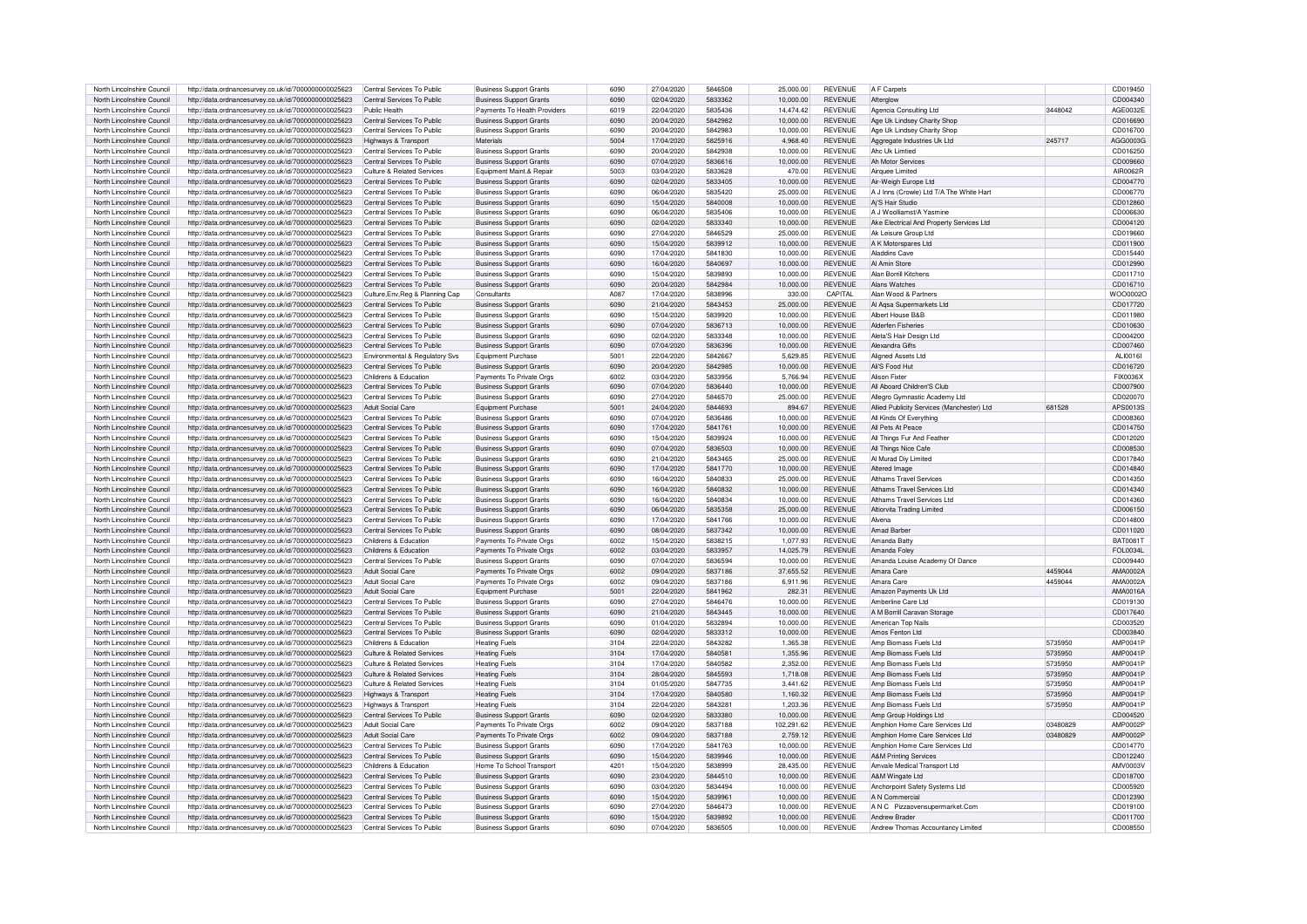| North Lincolnshire Council | http://data.ordnancesurvey.co.uk/id/7000000000025623 | Central Services To Public       | <b>Business Support Grants</b> | 6090 | 27/04/2020 | 5846508 | 25,000.00  | <b>REVENUE</b> | A F Carpets                                |          | CD019450  |
|----------------------------|------------------------------------------------------|----------------------------------|--------------------------------|------|------------|---------|------------|----------------|--------------------------------------------|----------|-----------|
| North Lincolnshire Council | http://data.ordnancesurvey.co.uk/id/7000000000025623 | Central Services To Public       | <b>Business Support Grants</b> | 6090 | 02/04/2020 | 5833362 | 10,000.00  | <b>REVENUE</b> | Afteralow                                  |          | CD004340  |
|                            |                                                      |                                  |                                |      |            |         |            |                |                                            |          |           |
| North Lincolnshire Council | http://data.ordnancesurvey.co.uk/id/7000000000025623 | Public Health                    | Payments To Health Providers   | 6019 | 22/04/2020 | 5835436 | 14.474.42  | <b>REVENUE</b> | Agencia Consulting Ltd.                    | 3448042  | AGE0032E  |
| North Lincolnshire Council | http://data.ordnancesurvey.co.uk/id/7000000000025623 | Central Services To Public       | <b>Business Support Grants</b> | 6090 | 20/04/2020 | 5842982 | 10,000.00  | <b>REVENUE</b> | Age Uk Lindsey Charity Short               |          | CD016690  |
| North Lincolnshire Council | http://data.ordnancesurvey.co.uk/id/7000000000025623 | Central Services To Public       | <b>Business Support Grants</b> | 6090 | 20/04/2020 | 5842983 | 10,000.00  | <b>REVENUE</b> | Age Uk Lindsey Charity Shop                |          | CD016700  |
| North Lincolnshire Council | http://data.ordnancesurvey.co.uk/id/7000000000025623 | Highways & Transport             | Materials                      | 5004 | 17/04/2020 | 5825916 | 4.968.40   | <b>REVENUE</b> | Aggregate Industries Uk Ltd                | 245717   | AGG0003G  |
| North Lincolnshire Council | http://data.ordnancesurvey.co.uk/id/7000000000025623 | Central Services To Public       |                                | 6090 | 20/04/2020 | 5842938 | 10,000.00  | <b>REVENUE</b> | Ahc Uk Limtied                             |          | CD016250  |
|                            |                                                      |                                  | <b>Business Support Grants</b> |      |            |         |            |                |                                            |          |           |
| North Lincolnshire Council | http://data.ordnancesurvey.co.uk/id/7000000000025623 | Central Services To Public       | <b>Business Support Grants</b> | 6090 | 07/04/2020 | 5836616 | 10,000.00  | <b>REVENUE</b> | <b>Ah Motor Services</b>                   |          | CD009660  |
| North Lincolnshire Council | http://data.ordnancesurvey.co.uk/id/7000000000025623 | Culture & Related Services       | Equipment Maint.& Repair       | 5003 | 03/04/2020 | 5833628 | 470.00     | <b>REVENUE</b> | Airquee Limited                            |          | AIR0062F  |
| North Lincolnshire Council | http://data.ordnancesurvey.co.uk/id/7000000000025623 | Central Services To Public       | <b>Business Support Grants</b> | 6090 | 02/04/2020 | 5833405 | 10,000.00  | <b>REVENUE</b> | Air-Weigh Europe Ltd                       |          | CD004770  |
| North Lincolnshire Council | http://data.ordnancesurvey.co.uk/id/7000000000025623 | Central Services To Public       | <b>Business Support Grants</b> | 6090 | 06/04/2020 | 5835420 | 25,000.00  | <b>REVENUE</b> | A J Inns (Crowle) Ltd T/A The White Hart   |          | CD006770  |
| North Lincolnshire Council |                                                      | Central Services To Public       |                                | 6090 | 15/04/2020 | 5840008 | 10.000.00  | <b>REVENUE</b> | Ai'S Hair Studio                           |          | CD012860  |
|                            | http://data.ordnancesurvey.co.uk/id/7000000000025623 |                                  | <b>Business Support Grants</b> |      |            |         |            |                |                                            |          |           |
| North Lincolnshire Council | http://data.ordnancesurvey.co.uk/id/7000000000025623 | Central Services To Public       | <b>Business Support Grants</b> | 6090 | 06/04/2020 | 5835406 | 10,000.00  | <b>REVENUE</b> | A J Woolliamst/A Yasmine                   |          | CD006630  |
| North Lincolnshire Council | http://data.ordnancesurvey.co.uk/id/7000000000025623 | Central Services To Public       | <b>Business Support Grants</b> | 6090 | 02/04/2020 | 5833340 | 10,000.00  | <b>REVENUE</b> | Ake Electrical And Property Services Ltd   |          | CD004120  |
| North Lincolnshire Council | http://data.ordnancesurvey.co.uk/id/7000000000025623 | Central Services To Public       | <b>Business Support Grants</b> | 6090 | 27/04/2020 | 5846529 | 25,000.00  | <b>REVENUE</b> | Ak Leisure Group Ltd                       |          | CD019660  |
| North Lincolnshire Council | http://data.ordnancesurvey.co.uk/id/7000000000025623 | Central Services To Public       | <b>Business Support Grants</b> | 6090 | 15/04/2020 | 5839912 | 10,000.00  | <b>REVENUE</b> | A K Motorspares Ltd                        |          | CD011900  |
| North Lincolnshire Council |                                                      | Central Services To Public       |                                | 6090 | 17/04/2020 | 5841830 | 10.000.00  | <b>REVENUE</b> | Aladdins Cave                              |          | CD015440  |
|                            | http://data.ordnancesurvey.co.uk/id/7000000000025623 |                                  | <b>Business Support Grants</b> |      |            |         |            |                |                                            |          |           |
| North Lincolnshire Council | http://data.ordnancesurvey.co.uk/id/7000000000025623 | Central Services To Public       | <b>Business Support Grants</b> | 6090 | 16/04/2020 | 5840697 | 10.000.00  | <b>REVENUE</b> | Al Amin Store                              |          | CD012990  |
| North Lincolnshire Council | http://data.ordnancesurvey.co.uk/id/7000000000025623 | Central Services To Public       | <b>Business Support Grants</b> | 6090 | 15/04/2020 | 5839893 | 10.000.00  | <b>REVENUE</b> | Alan Borrill Kitchens                      |          | CD011710  |
| North Lincolnshire Council | http://data.ordnancesurvey.co.uk/id/7000000000025623 | Central Services To Public       | <b>Business Support Grants</b> | 6090 | 20/04/2020 | 5842984 | 10,000.00  | <b>REVENUE</b> | Alans Watches                              |          | CD016710  |
| North Lincolnshire Council | http://data.ordnancesurvey.co.uk/id/7000000000025623 | Culture, Env, Reg & Planning Cap | Consultants                    | A087 | 17/04/2020 | 5838996 | 330.00     | CAPITAL        | Alan Wood & Partners                       |          | WOO0002C  |
| North Lincolnshire Council |                                                      | Central Services To Public       | <b>Business Support Grants</b> | 6090 | 21/04/2020 | 5843453 | 25,000.00  | <b>REVENUE</b> | Al Agsa Supermarkets Ltd                   |          | CD017720  |
|                            | http://data.ordnancesurvey.co.uk/id/7000000000025623 |                                  |                                |      |            |         |            |                |                                            |          |           |
| North Lincolnshire Council | http://data.ordnancesurvey.co.uk/id/7000000000025623 | Central Services To Public       | <b>Business Support Grants</b> | 6090 | 15/04/2020 | 5839920 | 10,000.00  | <b>REVENUE</b> | Albert House B&B                           |          | CD011980  |
| North Lincolnshire Council | http://data.ordnancesurvey.co.uk/id/7000000000025623 | Central Services To Public       | <b>Business Support Grants</b> | 6090 | 07/04/2020 | 5836713 | 10,000.00  | <b>REVENUE</b> | <b>Alderfen Fisheries</b>                  |          | CD010630  |
| North Lincolnshire Council | http://data.ordnancesurvey.co.uk/id/7000000000025623 | Central Services To Public       | <b>Business Support Grants</b> | 6090 | 02/04/2020 | 5833348 | 10.000.00  | <b>REVENUE</b> | Aleta'S Hair Design Ltd                    |          | CD004200  |
| North Lincolnshire Council | http://data.ordnancesurvey.co.uk/id/7000000000025623 | Central Services To Public       | <b>Business Support Grants</b> | 6090 | 07/04/2020 | 5836396 | 10.000.00  | <b>REVENUE</b> | Alexandra Gifts                            |          | CD007460  |
| North Lincolnshire Council | http://data.ordnancesurvey.co.uk/id/7000000000025623 | Environmental & Regulatory Sys   | Foujoment Purchase             | 5001 | 22/04/2020 | 5842667 | 5.629.85   | <b>REVENUE</b> | Aligned Assets Ltd                         |          | AL 100161 |
|                            |                                                      |                                  |                                |      |            |         |            |                |                                            |          |           |
| North Lincolnshire Council | http://data.ordnancesurvey.co.uk/id/7000000000025623 | Central Services To Public       | <b>Business Support Grants</b> | 6090 | 20/04/2020 | 5842985 | 10,000.00  | <b>REVENUE</b> | Ali'S Food Hut                             |          | CD016720  |
| North Lincolnshire Council | http://data.ordnancesurvey.co.uk/id/7000000000025623 | Childrens & Education            | Payments To Private Orgs       | 6002 | 03/04/2020 | 5833956 | 5,766.94   | <b>REVENUE</b> | Alison Fixter                              |          | FIX0036X  |
| North Lincolnshire Council | http://data.ordnancesurvey.co.uk/id/7000000000025623 | Central Services To Public       | <b>Business Support Grants</b> | 6090 | 07/04/2020 | 5836440 | 10,000.00  | <b>REVENUE</b> | All Aboard Children'S Club                 |          | CD007900  |
| North Lincolnshire Council | http://data.ordnancesurvey.co.uk/id/7000000000025623 | Central Services To Public       | <b>Business Support Grants</b> | 6090 | 27/04/2020 | 5846570 | 25,000.00  | <b>REVENUE</b> | Allegro Gymnastic Academy Ltd              |          | CD020070  |
| North Lincolnshire Council | http://data.ordnancesurvey.co.uk/id/7000000000025623 | Adult Social Care                | Equipment Purchase             | 5001 | 24/04/2020 | 5844693 | 894.67     | <b>REVENUE</b> | Allied Publicity Services (Manchester) Ltd | 681528   | APS0013S  |
|                            |                                                      |                                  |                                |      |            |         |            |                |                                            |          |           |
| North Lincolnshire Council | http://data.ordnancesurvey.co.uk/id/7000000000025623 | Central Services To Public       | <b>Business Support Grants</b> | 6090 | 07/04/2020 | 5836486 | 10.000.00  | <b>REVENUE</b> | All Kinds Of Everything                    |          | CD008360  |
| North Lincolnshire Council | http://data.ordnancesurvey.co.uk/id/7000000000025623 | Central Services To Public       | <b>Business Support Grants</b> | 6090 | 17/04/2020 | 5841761 | 10.000.00  | <b>REVENUE</b> | All Pets At Peace                          |          | CD014750  |
| North Lincolnshire Council | http://data.ordnancesurvey.co.uk/id/7000000000025623 | Central Services To Public       | <b>Business Support Grants</b> | 6090 | 15/04/2020 | 5839924 | 10,000.00  | <b>REVENUE</b> | All Things Fur And Feather                 |          | CD012020  |
| North Lincolnshire Council | http://data.ordnancesurvey.co.uk/id/7000000000025623 | Central Services To Public       | <b>Business Support Grants</b> | 6090 | 07/04/2020 | 5836503 | 10.000.00  | <b>REVENUE</b> | All Things Nice Cafe                       |          | CD008530  |
| North Lincolnshire Council | http://data.ordnancesurvey.co.uk/id/7000000000025623 | Central Services To Public       | <b>Business Support Grants</b> | 6090 | 21/04/2020 | 5843465 | 25,000.00  | <b>REVENUE</b> | Al Murad Div Limited                       |          | CD017840  |
|                            |                                                      |                                  |                                |      |            |         |            |                |                                            |          |           |
| North Lincolnshire Council | http://data.ordnancesurvey.co.uk/id/7000000000025623 | Central Services To Public       | <b>Business Support Grants</b> | 6090 | 17/04/2020 | 5841770 | 10,000.00  | <b>REVENUE</b> | Altered Image                              |          | CD014840  |
| North Lincolnshire Council | http://data.ordnancesurvey.co.uk/id/7000000000025623 | Central Services To Public       | <b>Business Support Grants</b> | 6090 | 16/04/2020 | 5840833 | 25,000.00  | <b>REVENUE</b> | Althams Travel Services                    |          | CD014350  |
| North Lincolnshire Council | http://data.ordnancesurvey.co.uk/id/7000000000025623 | Central Services To Public       | <b>Business Support Grants</b> | 6090 | 16/04/2020 | 5840832 | 10,000.00  | <b>REVENUE</b> | Althams Travel Services Ltd                |          | CD014340  |
| North Lincolnshire Council | http://data.ordnancesurvey.co.uk/id/7000000000025623 | Central Services To Public       | <b>Business Support Grants</b> | 6090 | 16/04/2020 | 5840834 | 10,000.00  | <b>REVENUE</b> | Althams Travel Services Ltd                |          | CD014360  |
| North Lincolnshire Counci  | http://data.ordnancesurvey.co.uk/id/7000000000025623 | Central Services To Public       | <b>Business Support Grants</b> | 6090 | 06/04/2020 | 5835358 | 25,000.00  | <b>REVENUE</b> | Altiorvita Trading Limited                 |          | CD006150  |
|                            |                                                      |                                  |                                |      |            |         |            |                |                                            |          |           |
| North Lincolnshire Council | http://data.ordnancesurvey.co.uk/id/7000000000025623 | Central Services To Public       | <b>Business Support Grants</b> | 6090 | 17/04/2020 | 5841766 | 10,000.00  | <b>REVENUE</b> | Alvena                                     |          | CD014800  |
| North Lincolnshire Council | http://data.ordnancesurvey.co.uk/id/7000000000025623 | Central Services To Public       | <b>Business Support Grants</b> | 6090 | 08/04/2020 | 5837342 | 10,000.00  | <b>REVENUE</b> | Amad Barber                                |          | CD011020  |
| North Lincolnshire Council | http://data.ordnancesurvey.co.uk/id/7000000000025623 | Childrens & Education            | Payments To Private Orgs       | 6002 | 15/04/2020 | 5838215 | 1,077.93   | <b>REVENUE</b> | Amanda Bath                                |          | BAT00817  |
| North Lincolnshire Council | http://data.ordnancesurvey.co.uk/id/7000000000025623 | Childrens & Education            | Payments To Private Orgs       | 6002 | 03/04/2020 | 5833957 | 14,025.79  | <b>REVENUE</b> | Amanda Foley                               |          | FOL0034L  |
| North Lincolnshire Council | http://data.ordnancesurvey.co.uk/id/7000000000025623 | Central Services To Public       | <b>Business Support Grants</b> | 6090 | 07/04/2020 | 5836594 | 10,000.00  | <b>REVENUE</b> | Amanda Louise Academy Of Dance             |          | CD009440  |
|                            |                                                      |                                  |                                |      |            |         |            |                |                                            |          |           |
| North Lincolnshire Council | http://data.ordnancesurvey.co.uk/id/7000000000025623 | Adult Social Care                | Payments To Private Orgs       | 6002 | 09/04/2020 | 5837186 | 37.655.52  | <b>REVENUE</b> | Amara Care                                 | 4459044  | AMA0002A  |
| North Lincolnshire Council | http://data.ordnancesurvey.co.uk/id/7000000000025623 | Adult Social Care                | Payments To Private Orgs       | 6002 | 09/04/2020 | 5837186 | 6.911.96   | <b>REVENUE</b> | Amara Care                                 | 4459044  | AMA0002A  |
| North Lincolnshire Council | http://data.ordnancesurvey.co.uk/id/7000000000025623 | Adult Social Care                | Equipment Purchase             | 5001 | 22/04/2020 | 5841962 | 282.31     | <b>REVENUE</b> | Amazon Payments Uk Ltd                     |          | AMA0016A  |
| North Lincolnshire Council | http://data.ordnancesurvey.co.uk/id/7000000000025623 | Central Services To Public       | <b>Business Support Grants</b> | 6090 | 27/04/2020 | 5846476 | 10.000.00  | <b>REVENUE</b> | Amberline Care Ltd                         |          | CD019130  |
| North Lincolnshire Council | http://data.ordnancesurvey.co.uk/id/7000000000025623 | Central Services To Public       | <b>Business Support Grants</b> | 6090 | 21/04/2020 | 5843445 | 10.000.00  | <b>REVENUE</b> | A M Borrill Caravan Storage                |          | CD017640  |
|                            |                                                      |                                  |                                | 6090 |            | 5832894 |            | <b>REVENUE</b> |                                            |          |           |
| North Lincolnshire Council | http://data.ordnancesurvey.co.uk/id/7000000000025623 | Central Services To Public       | <b>Business Support Grants</b> |      | 01/04/2020 |         | 10,000.00  |                | American Top Nails                         |          | CD003520  |
| North Lincolnshire Council | http://data.ordnancesurvey.co.uk/id/7000000000025623 | Central Services To Public       | <b>Business Support Grants</b> | 6090 | 02/04/2020 | 5833312 | 10,000.00  | <b>REVENUE</b> | Amos Fenton I td                           |          | CD003840  |
| North Lincolnshire Council | http://data.ordnancesurvey.co.uk/id/7000000000025623 | Childrens & Education            | <b>Heating Fuels</b>           | 3104 | 22/04/2020 | 5843282 | 1,365.38   | <b>REVENUE</b> | Amp Biomass Fuels Ltd                      | 5735950  | AMP0041F  |
| North Lincolnshire Council | http://data.ordnancesurvey.co.uk/id/7000000000025623 | Culture & Related Services       | <b>Heating Fuels</b>           | 3104 | 17/04/2020 | 5840581 | 1.355.96   | <b>REVENUE</b> | Amp Biomass Fuels Ltd                      | 5735950  | AMP0041P  |
| North Lincolnshire Council | http://data.ordnancesurvey.co.uk/id/7000000000025623 | Culture & Related Services       | <b>Heating Fuels</b>           | 3104 | 17/04/2020 | 5840582 | 2.352.00   | <b>REVENUE</b> | Amp Biomass Fuels Ltd                      | 5735950  | AMP0041F  |
| North Lincolnshire Council | http://data.ordnancesurvey.co.uk/id/7000000000025623 | Culture & Related Services       | <b>Heating Fuels</b>           | 3104 | 28/04/2020 | 5845593 | 1,718.08   | <b>REVENUE</b> | Amp Biomass Fuels Ltd                      | 5735950  | AMP0041P  |
|                            |                                                      |                                  |                                |      |            |         |            |                |                                            |          |           |
| North Lincolnshire Council | http://data.ordnancesurvey.co.uk/id/7000000000025623 | Culture & Related Services       | <b>Heating Fuels</b>           | 3104 | 01/05/2020 | 5847735 | 3,441.62   | <b>REVENUE</b> | Amp Biomass Fuels Ltd                      | 5735950  | AMP0041P  |
| North Lincolnshire Council | http://data.ordnancesurvey.co.uk/id/7000000000025623 | Highways & Transport             | <b>Heating Fuels</b>           | 3104 | 17/04/2020 | 5840580 | 1.160.32   | <b>REVENUE</b> | Amp Biomass Fuels Ltd                      | 5735950  | AMP0041P  |
| North Lincolnshire Council | http://data.ordnancesurvey.co.uk/id/7000000000025623 | Highways & Transport             | <b>Heating Fuels</b>           | 3104 | 22/04/2020 | 5843281 | 1.203.36   | <b>REVENUE</b> | Amp Biomass Fuels Ltd                      | 5735950  | AMP0041P  |
| North Lincolnshire Council | http://data.ordnancesurvey.co.uk/id/7000000000025623 | Central Services To Public       | <b>Business Support Grants</b> | 6090 | 02/04/2020 | 5833380 | 10.000.00  | <b>REVENUE</b> | Amp Group Holdings Ltd                     |          | CD004520  |
| North Lincolnshire Council | http://data.ordnancesurvey.co.uk/id/7000000000025623 | Adult Social Care                | Payments To Private Orgs       | 6002 | 09/04/2020 | 5837188 | 102,291.62 | <b>REVENUE</b> | Amphion Home Care Services Ltd             | 03480829 | AMP0002F  |
|                            |                                                      |                                  |                                |      |            |         |            |                |                                            |          |           |
| North Lincolnshire Council | http://data.ordnancesurvey.co.uk/id/7000000000025623 | Adult Social Care                | Payments To Private Orgs       | 6002 | 09/04/2020 | 5837188 | 2.759.12   | <b>REVENUE</b> | Amphion Home Care Services Ltd             | 03480829 | AMP0002F  |
| North Lincolnshire Council | http://data.ordnancesurvey.co.uk/id/7000000000025623 | Central Services To Public       | <b>Business Support Grants</b> | 6090 | 17/04/2020 | 5841763 | 10,000.00  | <b>REVENUE</b> | Amphion Home Care Services Ltd             |          | CD014770  |
| North Lincolnshire Council | http://data.ordnancesurvey.co.uk/id/7000000000025623 | Central Services To Public       | <b>Business Support Grants</b> | 6090 | 15/04/2020 | 5839946 | 10.000.00  | <b>REVENUE</b> | <b>A&amp;M Printing Services</b>           |          | CD012240  |
| North Lincolnshire Council | http://data.ordnancesurvey.co.uk/id/7000000000025623 | Childrens & Education            | Home To School Transpor        | 4201 | 15/04/2020 | 5838999 | 28.435.00  | <b>REVENUE</b> | Amvale Medical Transport Ltd               |          | AMV0003\  |
| North Lincolnshire Council | http://data.ordnancesurvey.co.uk/id/7000000000025623 | Central Services To Public       | <b>Business Support Grants</b> | 6090 | 23/04/2020 | 5844510 | 10,000.00  | <b>REVENUE</b> | A&M Wingate Ltd                            |          | CD018700  |
| North Lincolnshire Council | http://data.ordnancesurvey.co.uk/id/7000000000025623 | Central Services To Public       | <b>Business Support Grants</b> | 6090 | 03/04/2020 | 5834494 | 10,000.00  | <b>REVENUE</b> | Anchorpoint Safety Systems Ltd             |          | CD005920  |
|                            |                                                      |                                  |                                |      |            |         |            |                |                                            |          |           |
| North Lincolnshire Council | http://data.ordnancesurvey.co.uk/id/7000000000025623 | Central Services To Public       | <b>Business Support Grants</b> | 6090 | 15/04/2020 | 5839961 | 10.000.00  | <b>REVENUE</b> | A N Commercial                             |          | CD012390  |
| North Lincolnshire Council | http://data.ordnancesurvey.co.uk/id/7000000000025623 | Central Services To Public       | <b>Business Support Grants</b> | 6090 | 27/04/2020 | 5846473 | 10.000.00  | <b>REVENUE</b> | A N C Pizzaovensupermarket.Com             |          | CD019100  |
| North Lincolnshire Council | http://data.ordnancesurvey.co.uk/id/7000000000025623 | Central Services To Public       | <b>Business Support Grants</b> | 6090 | 15/04/2020 | 5839892 | 10.000.00  | <b>REVENUE</b> | Andrew Brader                              |          | CD011700  |
| North Lincolnshire Council | http://data.ordnancesurvey.co.uk/id/7000000000025623 | Central Services To Public       | <b>Business Support Grants</b> | 6090 | 07/04/2020 | 5836505 | 10,000.00  | <b>REVENUE</b> | Andrew Thomas Accountancy Limited          |          | CD008550  |
|                            |                                                      |                                  |                                |      |            |         |            |                |                                            |          |           |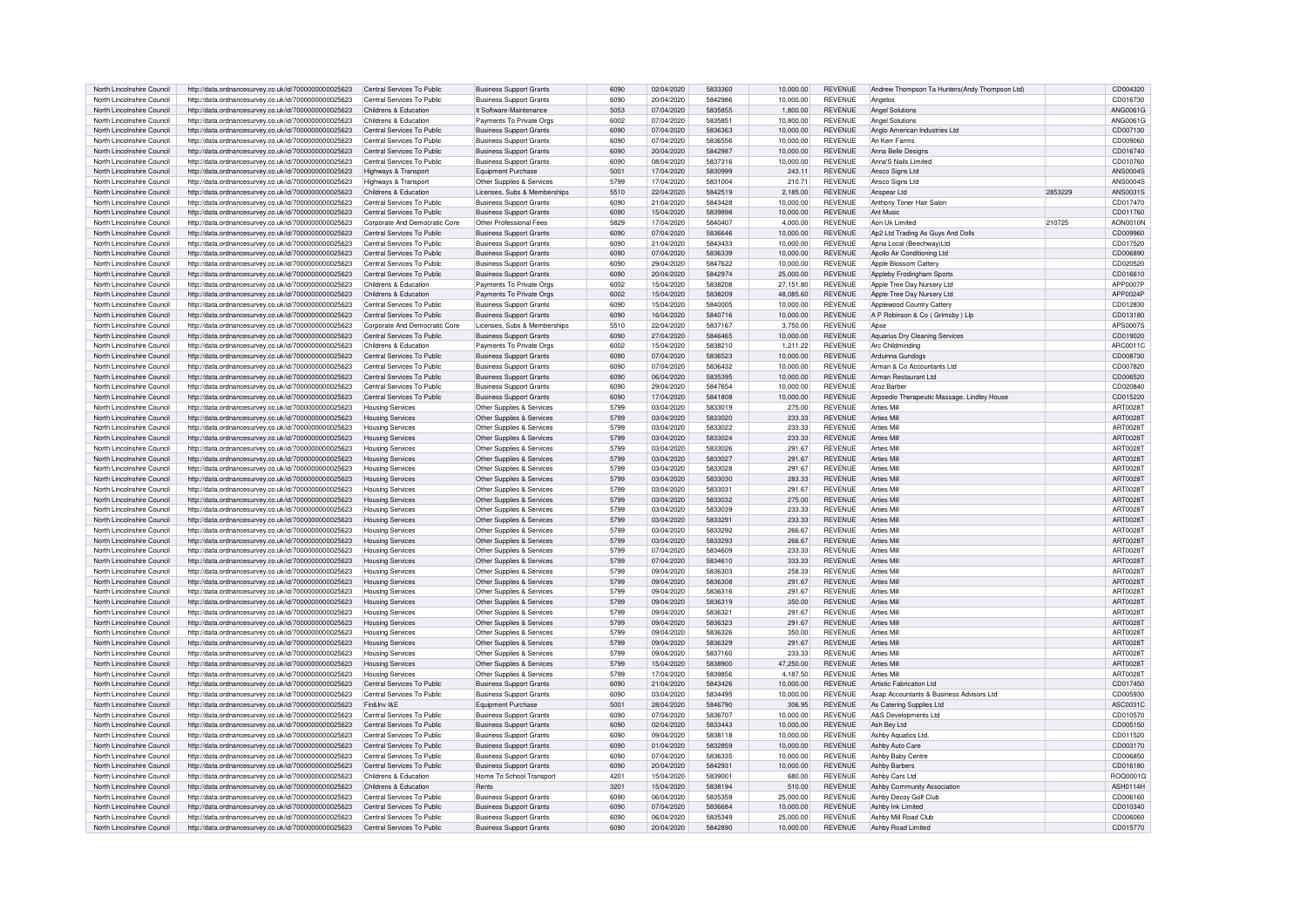| North Lincolnshire Council | http://data.ordnancesurvey.co.uk/id/7000000000025623 | Central Services To Public    | <b>Business Support Grants</b> | 6090 | 02/04/2020 | 5833360 | 10.000.00 | <b>REVENUE</b> | Andrew Thompson Ta Hunters (Andy Thompson Ltd) |         | CD004320        |
|----------------------------|------------------------------------------------------|-------------------------------|--------------------------------|------|------------|---------|-----------|----------------|------------------------------------------------|---------|-----------------|
| North Lincolnshire Council | http://data.ordnancesurvey.co.uk/id/7000000000025623 | Central Services To Public    | <b>Business Support Grants</b> | 6090 | 20/04/2020 | 5842986 | 10,000.00 | <b>REVENUE</b> | Angelos                                        |         | CD016730        |
| North Lincolnshire Council | http://data.ordnancesurvey.co.uk/id/7000000000025623 | Childrens & Education         | It Software-Maintenance        | 5053 | 07/04/2020 | 5835855 | 1,800.00  | <b>REVENUE</b> | Angel Solutions                                |         | ANG0061G        |
| North Lincolnshire Council | http://data.ordnancesurvey.co.uk/id/7000000000025623 | Childrens & Education         | Payments To Private Orgs       | 6002 | 07/04/2020 | 5835851 | 10,800.00 | <b>REVENUE</b> | Angel Solutions                                |         | ANG0061G        |
| North Lincolnshire Council | http://data.ordnancesurvey.co.uk/id/7000000000025623 | Central Services To Public    | <b>Business Support Grants</b> | 6090 | 07/04/2020 | 5836363 | 10,000.00 | <b>REVENUE</b> | Anglo American Industries Ltd                  |         | CD007130        |
| North Lincolnshire Council | http://data.ordnancesurvey.co.uk/id/7000000000025623 | Central Services To Public    | <b>Business Support Grants</b> | 6090 | 07/04/2020 | 5836556 | 10,000.00 | <b>REVENUE</b> | An Kerr Farms                                  |         | CD009060        |
|                            |                                                      |                               |                                |      |            |         |           |                |                                                |         |                 |
| North Lincolnshire Council | http://data.ordnancesurvey.co.uk/id/7000000000025623 | Central Services To Public    | <b>Business Support Grants</b> | 6090 | 20/04/2020 | 5842987 | 10,000.00 | <b>REVENUE</b> | Anna Belle Designs                             |         | CD016740        |
| North Lincolnshire Council | http://data.ordnancesurvey.co.uk/id/7000000000025623 | Central Services To Public    | <b>Business Support Grants</b> | 6090 | 08/04/2020 | 5837316 | 10,000.00 | <b>REVENUE</b> | Anna'S Nails Limited                           |         | CD010760        |
| North Lincolnshire Council | http://data.ordnancesurvey.co.uk/id/7000000000025623 | Highways & Transport          | <b>Equipment Purchase</b>      | 5001 | 17/04/2020 | 5830999 | 243.11    | <b>REVENUE</b> | Ansco Signs Ltd                                |         | ANS0004S        |
| North Lincolnshire Council | http://data.ordnancesurvey.co.uk/id/7000000000025623 | Highways & Transport          | Other Supplies & Services      | 5799 | 17/04/2020 | 5831004 | 210.71    | <b>REVENUE</b> | Ansco Signs Ltd                                |         | <b>ANS0004S</b> |
| North Lincolnshire Council | http://data.ordnancesurvey.co.uk/id/7000000000025623 | Childrens & Education         | Licenses, Subs & Memberships   | 5510 | 22/04/2020 | 5842519 | 2.185.00  | <b>REVENUE</b> | Anspear Ltd                                    | 2853229 | ANS0031S        |
| North Lincolnshire Council | http://data.ordnancesurvey.co.uk/id/7000000000025623 | Central Services To Public    | <b>Business Support Grants</b> | 6090 | 21/04/2020 | 5843428 | 10.000.00 | <b>REVENUE</b> | Anthony Toner Hair Salor                       |         | CD017470        |
| North Lincolnshire Council | http://data.ordnancesurvey.co.uk/id/7000000000025623 | Central Services To Public    | <b>Business Support Grants</b> | 6090 | 15/04/2020 | 5839898 | 10,000.00 | <b>REVENUE</b> | Ant Music                                      |         | CD011760        |
| North Lincolnshire Council | http://data.ordnancesurvey.co.uk/id/7000000000025623 | Corporate And Democratic Core | Other Professional Fees        | 5829 | 17/04/2020 | 5840407 | 4,000.00  | <b>REVENUE</b> | Aon Uk Limited                                 | 210725  | AON0010N        |
| North Lincolnshire Council | http://data.ordnancesurvey.co.uk/id/7000000000025623 | Central Services To Public    | <b>Business Support Grants</b> | 6090 | 07/04/2020 | 5836646 | 10.000.00 | <b>REVENUE</b> | Ap2 Ltd Trading As Guys And Dolls              |         | CD009960        |
| North Lincolnshire Council | http://data.ordnancesurvey.co.uk/id/7000000000025623 | Central Services To Public    | <b>Business Support Grants</b> | 6090 | 21/04/2020 | 5843433 | 10.000.00 | <b>REVENUE</b> | Apna Local (Beechway)Ltd                       |         | CD017520        |
| North Lincolnshire Council | http://data.ordnancesurvey.co.uk/id/7000000000025623 | Central Services To Public    | <b>Business Support Grants</b> | 6090 | 07/04/2020 | 5836339 | 10.000.00 | <b>REVENUE</b> | Apollo Air Conditioning Ltd                    |         | CD006890        |
| North Lincolnshire Council | http://data.ordnancesurvey.co.uk/id/7000000000025623 | Central Services To Public    | <b>Business Support Grants</b> | 6090 | 29/04/2020 | 5847622 | 10.000.00 | <b>REVENUE</b> | Apple Blossom Cattery                          |         | CD020520        |
| North Lincolnshire Council |                                                      | Central Services To Public    |                                | 6090 | 20/04/2020 | 5842974 | 25,000.00 | <b>REVENUE</b> |                                                |         | CD016610        |
|                            | http://data.ordnancesurvey.co.uk/id/7000000000025623 |                               | <b>Business Support Grants</b> |      |            |         |           |                | Appleby Frodingham Sports                      |         |                 |
| North Lincolnshire Council | http://data.ordnancesurvey.co.uk/id/7000000000025623 | Childrens & Education         | Payments To Private Orgs       | 6002 | 15/04/2020 | 5838208 | 27,151.80 | <b>REVENUE</b> | Apple Tree Day Nursery Ltd                     |         | APP0007P        |
| North Lincolnshire Council | http://data.ordnancesurvey.co.uk/id/7000000000025623 | Childrens & Education         | Payments To Private Orgs       | 6002 | 15/04/2020 | 5838209 | 48.085.60 | <b>REVENUE</b> | Apple Tree Day Nursery Ltd                     |         | APP0024P        |
| North Lincolnshire Council | http://data.ordnancesurvey.co.uk/id/7000000000025623 | Central Services To Public    | <b>Business Support Grants</b> | 6090 | 15/04/2020 | 5840005 | 10.000.00 | <b>REVENUE</b> | Applewood Country Cattery                      |         | CD012830        |
| North Lincolnshire Council | http://data.ordnancesurvey.co.uk/id/7000000000025623 | Central Services To Public    | <b>Business Support Grants</b> | 6090 | 16/04/2020 | 5840716 | 10,000.00 | <b>REVENUE</b> | A P Robinson & Co (Grimsby) Llp                |         | CD013180        |
| North Lincolnshire Council | http://data.ordnancesurvey.co.uk/id/7000000000025623 | Corporate And Democratic Core | Licenses, Subs & Memberships   | 5510 | 22/04/2020 | 5837167 | 3,750.00  | <b>REVENUE</b> | Anse                                           |         | APS0007S        |
| North Lincolnshire Council | http://data.ordnancesurvey.co.uk/id/7000000000025623 | Central Services To Public    | <b>Business Support Grants</b> | 6090 | 27/04/2020 | 5846465 | 10,000.00 | <b>REVENUE</b> | Aquarius Dry Cleaning Services                 |         | CD019020        |
| North Lincolnshire Council | http://data.ordnancesurvey.co.uk/id/7000000000025623 | Childrens & Education         | Payments To Private Orgs       | 6002 | 15/04/2020 | 5838210 | 1.211.22  | <b>REVENUE</b> | Arc Childminding                               |         | ARC0011C        |
| North Lincolnshire Council | http://data.ordnancesurvey.co.uk/id/7000000000025623 | Central Services To Public    | <b>Business Support Grants</b> | 6090 | 07/04/2020 | 5836523 | 10.000.00 | <b>REVENUE</b> | Arduinna Gundogs                               |         | CD008730        |
| North Lincolnshire Council | http://data.ordnancesurvey.co.uk/id/7000000000025623 | Central Services To Public    | <b>Business Support Grants</b> | 6090 | 07/04/2020 | 5836432 | 10.000.00 | <b>REVENUE</b> | Arman & Co Accountants Ltd                     |         | CD007820        |
| North Lincolnshire Council | http://data.ordnancesurvey.co.uk/id/7000000000025623 | Central Services To Public    | <b>Business Support Grants</b> | 6090 | 06/04/2020 | 5835395 | 10,000.00 | <b>REVENUE</b> | Arman Restaurant Ltd.                          |         | CD006520        |
| North Lincolnshire Council | http://data.ordnancesurvey.co.uk/id/7000000000025623 | Central Services To Public    | <b>Business Support Grants</b> | 6090 | 29/04/2020 | 5847654 | 10,000.00 | <b>REVENUE</b> | Aroz Barbe                                     |         | CD020840        |
| North Lincolnshire Council | http://data.ordnancesurvey.co.uk/id/7000000000025623 | Central Services To Public    | <b>Business Support Grants</b> | 6090 | 17/04/2020 | 5841808 | 10.000.00 | <b>REVENUE</b> | Arpoedio Therapeutic Massage, Lindley House    |         | CD015220        |
| North Lincolnshire Council | http://data.ordnancesurvev.co.uk/id/7000000000025623 | <b>Housing Services</b>       | Other Supplies & Services      | 5799 | 03/04/2020 | 5833019 | 275.00    | <b>REVENUE</b> | Arties Mill                                    |         | ART00281        |
| North Lincolnshire Council |                                                      |                               |                                |      | 03/04/2020 | 5833020 | 233.33    | <b>REVENUE</b> | <b>Arties Mill</b>                             |         | ART00287        |
|                            | http://data.ordnancesurvey.co.uk/id/7000000000025623 | <b>Housing Services</b>       | Other Supplies & Services      | 5799 |            |         |           |                |                                                |         |                 |
| North Lincolnshire Council | http://data.ordnancesurvey.co.uk/id/7000000000025623 | <b>Housing Services</b>       | Other Supplies & Services      | 5799 | 03/04/2020 | 5833022 | 233.33    | <b>REVENUE</b> | Arties Mill                                    |         | ART00287        |
| North Lincolnshire Council | http://data.ordnancesurvey.co.uk/id/7000000000025623 | <b>Housing Services</b>       | Other Supplies & Services      | 5799 | 03/04/2020 | 5833024 | 233.33    | <b>REVENUE</b> | <b>Arties Mil</b>                              |         | ART0028T        |
| North Lincolnshire Council | http://data.ordnancesurvey.co.uk/id/7000000000025623 | <b>Housing Services</b>       | Other Supplies & Services      | 5799 | 03/04/2020 | 5833026 | 291.67    | <b>REVENUE</b> | <b>Arties Mill</b>                             |         | ART0028T        |
| North Lincolnshire Council | http://data.ordnancesurvey.co.uk/id/7000000000025623 | <b>Housing Services</b>       | Other Supplies & Services      | 5799 | 03/04/2020 | 5833027 | 291.67    | <b>REVENUE</b> | <b>Arties Mill</b>                             |         | <b>ART0028T</b> |
| North Lincolnshire Council | http://data.ordnancesurvey.co.uk/id/7000000000025623 | <b>Housing Services</b>       | Other Supplies & Services      | 5799 | 03/04/2020 | 5833028 | 291.67    | <b>REVENUE</b> | <b>Arties Mil</b>                              |         | ART00281        |
| North Lincolnshire Council | http://data.ordnancesurvey.co.uk/id/7000000000025623 | <b>Housing Services</b>       | Other Supplies & Services      | 5799 | 03/04/2020 | 5833030 | 283.33    | <b>REVENUE</b> | <b>Arties Mil</b>                              |         | ART0028         |
| North Lincolnshire Council | http://data.ordnancesurvey.co.uk/id/7000000000025623 | <b>Housing Services</b>       | Other Supplies & Services      | 5799 | 03/04/2020 | 5833031 | 291.67    | <b>REVENUE</b> | Arties Mil                                     |         | ART00281        |
| North Lincolnshire Council | http://data.ordnancesurvey.co.uk/id/7000000000025623 | <b>Housing Services</b>       | Other Supplies & Services      | 5799 | 03/04/2020 | 5833032 | 275.00    | <b>REVENUE</b> | <b>Arties Mil</b>                              |         | ART00281        |
| North Lincolnshire Council | http://data.ordnancesurvey.co.uk/id/7000000000025623 | <b>Housing Services</b>       | Other Supplies & Services      | 5799 | 03/04/2020 | 5833039 | 233.33    | <b>REVENUE</b> | <b>Arties Mil</b>                              |         | ART0028         |
| North Lincolnshire Council | http://data.ordnancesurvey.co.uk/id/7000000000025623 | <b>Housing Services</b>       | Other Supplies & Services      | 5799 | 03/04/2020 | 5833291 | 233.33    | <b>REVENUE</b> | <b>Arties Mill</b>                             |         | ART00281        |
| North Lincolnshire Council | http://data.ordnancesurvey.co.uk/id/7000000000025623 | <b>Housing Services</b>       | Other Supplies & Services      | 5799 | 03/04/2020 | 5833292 | 266.67    | <b>REVENUE</b> | Arties Mill                                    |         | ART00281        |
| North Lincolnshire Council | http://data.ordnancesurvey.co.uk/id/7000000000025623 | <b>Housing Services</b>       | Other Supplies & Services      | 5799 | 03/04/2020 | 5833293 | 266.67    | <b>REVENUE</b> | <b>Arties Mil</b>                              |         | ART0028         |
|                            |                                                      |                               |                                |      |            |         |           |                | <b>Arties Mill</b>                             |         |                 |
| North Lincolnshire Council | http://data.ordnancesurvey.co.uk/id/7000000000025623 | <b>Housing Services</b>       | Other Supplies & Services      | 5799 | 07/04/2020 | 5834609 | 233.33    | <b>REVENUE</b> | <b>Arties Mill</b>                             |         | ART0028T        |
| North Lincolnshire Council | http://data.ordnancesurvey.co.uk/id/7000000000025623 | <b>Housing Services</b>       | Other Supplies & Services      | 5799 | 07/04/2020 | 5834610 | 333.33    | <b>REVENUE</b> |                                                |         | ART0028T        |
| North Lincolnshire Council | http://data.ordnancesurvey.co.uk/id/7000000000025623 | <b>Housing Services</b>       | Other Supplies & Services      | 5799 | 09/04/2020 | 5836303 | 258.33    | <b>REVENUE</b> | Arties Mill                                    |         | ART0028T        |
| North Lincolnshire Council | http://data.ordnancesurvey.co.uk/id/7000000000025623 | <b>Housing Services</b>       | Other Supplies & Services      | 5799 | 09/04/2020 | 5836308 | 291.67    | <b>REVENUE</b> | <b>Arties Mill</b>                             |         | <b>ART0028T</b> |
| North Lincolnshire Council | http://data.ordnancesurvey.co.uk/id/7000000000025623 | <b>Housing Services</b>       | Other Supplies & Services      | 5799 | 09/04/2020 | 5836316 | 291.67    | <b>REVENUE</b> | <b>Arties Mill</b>                             |         | ART00281        |
| North Lincolnshire Council | http://data.ordnancesurvey.co.uk/id/7000000000025623 | <b>Housing Services</b>       | Other Supplies & Services      | 5799 | 09/04/2020 | 5836319 | 350.00    | <b>REVENUE</b> | <b>Arties Mill</b>                             |         | ART00281        |
| North Lincolnshire Council | http://data.ordnancesurvey.co.uk/id/7000000000025623 | <b>Housing Services</b>       | Other Supplies & Services      | 5799 | 09/04/2020 | 5836321 | 291.67    | <b>REVENUE</b> | <b>Arties Mill</b>                             |         | ART0028         |
| North Lincolnshire Council | http://data.ordnancesurvey.co.uk/id/7000000000025623 | <b>Housing Services</b>       | Other Supplies & Services      | 5799 | 09/04/2020 | 5836323 | 291.67    | <b>REVENUE</b> | <b>Arties Mill</b>                             |         | ART0028T        |
| North Lincolnshire Council | http://data.ordnancesurvey.co.uk/id/7000000000025623 | <b>Housing Services</b>       | Other Supplies & Services      | 5799 | 09/04/2020 | 5836326 | 350.00    | <b>REVENUE</b> | <b>Arties Mill</b>                             |         | ART00281        |
| North Lincolnshire Council | http://data.ordnancesurvey.co.uk/id/7000000000025623 | <b>Housing Services</b>       | Other Supplies & Services      | 5799 | 09/04/2020 | 5836329 | 291.67    | <b>REVENUE</b> | <b>Arties Mill</b>                             |         | ART00281        |
| North Lincolnshire Council | http://data.ordnancesurvey.co.uk/id/7000000000025623 | <b>Housing Services</b>       | Other Supplies & Services      | 5799 | 09/04/2020 | 5837160 | 233.33    | <b>REVENUE</b> | <b>Arties Mil</b>                              |         | <b>ART0028T</b> |
| North Lincolnshire Council | http://data.ordnancesurvey.co.uk/id/7000000000025623 | <b>Housing Services</b>       | Other Supplies & Services      | 5799 | 15/04/2020 | 5838900 | 47,250.00 | <b>REVENUE</b> | <b>Arties Mil</b>                              |         | ART00281        |
| North Lincolnshire Council | http://data.ordnancesurvey.co.uk/id/7000000000025623 | <b>Housing Services</b>       | Other Supplies & Services      | 5799 | 17/04/2020 | 5839856 | 4,187.50  | <b>REVENUE</b> | Arties Mil                                     |         | ART0028T        |
| North Lincolnshire Council | http://data.ordnancesurvey.co.uk/id/7000000000025623 | Central Services To Public    | <b>Business Support Grants</b> | 6090 | 21/04/2020 | 5843426 | 10,000.00 | <b>REVENUE</b> | Artistic Fabrication Ltd                       |         | CD017450        |
| North Lincolnshire Council |                                                      | Central Services To Public    |                                | 6090 | 03/04/2020 | 5834495 | 10.000.00 | <b>REVENUE</b> |                                                |         | CD005930        |
|                            | http://data.ordnancesurvey.co.uk/id/7000000000025623 |                               | <b>Business Support Grants</b> |      |            |         |           |                | Asap Accountants & Business Advisors Ltd       |         |                 |
| North Lincolnshire Council | http://data.ordnancesurvey.co.uk/id/7000000000025623 | Fin&Inv I&F                   | Equipment Purchase             | 5001 | 28/04/2020 | 5846790 | 306.95    | <b>REVENUE</b> | As Catering Supplies Ltd                       |         | ASC0031C        |
| North Lincolnshire Council | http://data.ordnancesurvey.co.uk/id/7000000000025623 | Central Services To Public    | <b>Business Support Grants</b> | 6090 | 07/04/2020 | 5836707 | 10.000.00 | <b>REVENUE</b> | A&S Developments Ltd                           |         | CD010570        |
| North Lincolnshire Council | http://data.ordnancesurvey.co.uk/id/7000000000025623 | Central Services To Public    | <b>Business Support Grants</b> | 6090 | 02/04/2020 | 5833443 | 10,000.00 | <b>REVENUE</b> | Ash Bey Ltd                                    |         | CD005150        |
| North Lincolnshire Council | http://data.ordnancesurvey.co.uk/id/7000000000025623 | Central Services To Public    | <b>Business Support Grants</b> | 6090 | 09/04/2020 | 5838118 | 10,000.00 | <b>REVENUE</b> | Ashby Aquatics Ltd                             |         | CD011520        |
| North Lincolnshire Council | http://data.ordnancesurvey.co.uk/id/7000000000025623 | Central Services To Public    | <b>Business Support Grants</b> | 6090 | 01/04/2020 | 5832859 | 10,000.00 | <b>REVENUE</b> | Ashby Auto Care                                |         | CD003170        |
| North Lincolnshire Council | http://data.ordnancesurvey.co.uk/id/7000000000025623 | Central Services To Public    | <b>Business Support Grants</b> | 6090 | 07/04/2020 | 5836335 | 10,000.00 | <b>REVENUE</b> | Ashby Baby Centre                              |         | CD006850        |
| North Lincolnshire Council | http://data.ordnancesurvey.co.uk/id/7000000000025623 | Central Services To Public    | <b>Business Support Grants</b> | 6090 | 20/04/2020 | 5842931 | 10,000.00 | <b>REVENUE</b> | <b>Ashby Barbers</b>                           |         | CD016180        |
| North Lincolnshire Council | http://data.ordnancesurvey.co.uk/id/7000000000025623 | Childrens & Education         | Home To School Transport       | 4201 | 15/04/2020 | 5839001 | 680.00    | <b>REVENUE</b> | Ashby Cars Ltd                                 |         | ROQ0001Q        |
| North Lincolnshire Council | http://data.ordnancesurvey.co.uk/id/7000000000025623 | Childrens & Education         | Rents                          | 320  | 15/04/2020 | 5838194 | 510.00    | <b>REVENUE</b> | Ashby Community Association                    |         | <b>ASH0114H</b> |
| North Lincolnshire Council | http://data.ordnancesurvey.co.uk/id/7000000000025623 | Central Services To Public    | <b>Business Support Grants</b> | 6090 | 06/04/2020 | 5835359 | 25,000.00 | <b>REVENUE</b> | Ashby Decoy Golf Club                          |         | CD006160        |
| North Lincolnshire Council | http://data.ordnancesurvey.co.uk/id/7000000000025623 | Central Services To Public    | <b>Business Support Grants</b> | 6090 | 07/04/2020 | 5836684 | 10.000.00 | <b>REVENUE</b> | Ashby Ink Limited                              |         | CD010340        |
| North Lincolnshire Council | http://data.ordnancesurvey.co.uk/id/7000000000025623 | Central Services To Public    | <b>Business Support Grants</b> | 6090 | 06/04/2020 | 5835349 | 25,000.00 | <b>REVENUE</b> | Ashby Mill Road Club                           |         | CD006060        |
| North Lincolnshire Council | http://data.ordnancesurvey.co.uk/id/7000000000025623 | Central Services To Public    | <b>Business Support Grants</b> | 6090 | 20/04/2020 | 5842890 | 10,000.00 | <b>REVENUE</b> | Ashby Road Limited                             |         | CD015770        |
|                            |                                                      |                               |                                |      |            |         |           |                |                                                |         |                 |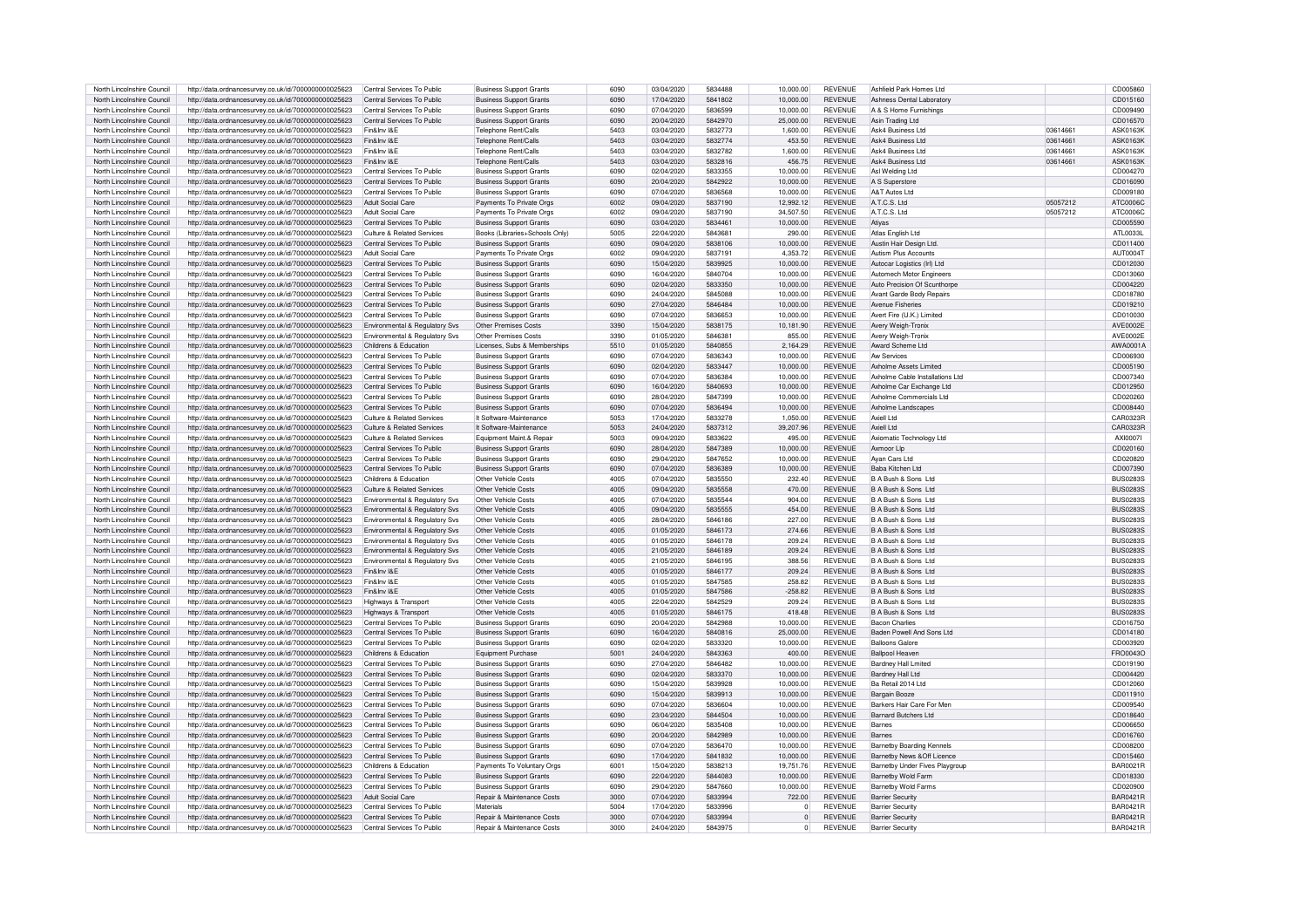| North Lincolnshire Council | http://data.ordnancesurvey.co.uk/id/7000000000025623 | Central Services To Public                | <b>Business Support Grants</b>        | 6090 | 03/04/2020 | 5834488 | 10,000.00 | <b>REVENUE</b> | Ashfield Park Homes Ltd          |          | CD005860        |
|----------------------------|------------------------------------------------------|-------------------------------------------|---------------------------------------|------|------------|---------|-----------|----------------|----------------------------------|----------|-----------------|
| North Lincolnshire Council |                                                      | Central Services To Public                |                                       | 6090 | 17/04/2020 | 5841802 | 10.000.00 | <b>REVENUE</b> | Ashness Dental Laborator         |          | CD015160        |
|                            | http://data.ordnancesurvey.co.uk/id/7000000000025623 |                                           | <b>Business Support Grants</b>        |      |            |         |           |                |                                  |          |                 |
| North Lincolnshire Council | http://data.ordnancesurvey.co.uk/id/7000000000025623 | Central Services To Public                | <b>Business Support Grants</b>        | 6090 | 07/04/2020 | 5836599 | 10.000.00 | <b>REVENUE</b> | A & S Home Furnishings           |          | CD009490        |
| North Lincolnshire Council | http://data.ordnancesurvey.co.uk/id/7000000000025623 | Central Services To Public                | <b>Business Support Grants</b>        | 6090 | 20/04/2020 | 5842970 | 25,000.00 | <b>REVENUE</b> | Asin Trading Ltd                 |          | CD016570        |
| North Lincolnshire Council | http://data.ordnancesurvey.co.uk/id/7000000000025623 | Fin&Inv I&E                               | Telephone Rent/Calls                  | 5403 | 03/04/2020 | 5832773 | 1.600.00  | <b>REVENUE</b> | Ask4 Business Ltd                | 03614661 | ASK0163K        |
| North Lincolnshire Council | http://data.ordnancesurvey.co.uk/id/7000000000025623 | Fin&Inv I&F                               | Telephone Rent/Calls                  | 5403 | 03/04/2020 | 5832774 | 453.50    | <b>REVENUE</b> | Ask4 Business Ltd                | 03614661 | ASK0163K        |
| North Lincolnshire Council | http://data.ordnancesurvey.co.uk/id/7000000000025623 | Fin&Inv I&F                               | Telephone Rent/Calls                  | 5403 | 03/04/2020 | 5832782 | 1,600.00  | <b>REVENUE</b> | Ask4 Business Ltd                | 03614661 | ASK0163K        |
|                            |                                                      |                                           |                                       |      |            |         |           |                |                                  |          |                 |
| North Lincolnshire Council | http://data.ordnancesurvey.co.uk/id/7000000000025623 | Fin&Inv I&E                               | <b>Telephone Rent/Calls</b>           | 5403 | 03/04/2020 | 5832816 | 456.75    | <b>REVENUE</b> | Ask4 Business Ltd                | 03614661 | ASK0163K        |
| North Lincolnshire Council | http://data.ordnancesurvey.co.uk/id/7000000000025623 | Central Services To Public                | <b>Business Support Grants</b>        | 6090 | 02/04/2020 | 5833355 | 10.000.00 | <b>REVENUE</b> | Asl Welding Ltd                  |          | CD004270        |
| North Lincolnshire Council | http://data.ordnancesurvey.co.uk/id/7000000000025623 | Central Services To Public                | <b>Business Support Grants</b>        | 6090 | 20/04/2020 | 5842922 | 10.000.00 | <b>REVENUE</b> | A S Superstore                   |          | CD016090        |
| North Lincolnshire Council | http://data.ordnancesurvey.co.uk/id/7000000000025623 | Central Services To Public                | <b>Business Support Grants</b>        | 6090 | 07/04/2020 | 5836568 | 10.000.00 | <b>REVENUE</b> | A&T Autos Ltd                    |          | CD009180        |
| North Lincolnshire Council | http://data.ordnancesurvey.co.uk/id/7000000000025623 | Adult Social Care                         | Payments To Private Orgs              | 6002 | 09/04/2020 | 5837190 | 12,992.12 | <b>REVENUE</b> | A.T.C.S. Ltd                     | 05057212 | ATC0006C        |
| North Lincolnshire Council | http://data.ordnancesurvey.co.uk/id/7000000000025623 | Adult Social Care                         | Payments To Private Orgs              | 6002 | 09/04/2020 | 5837190 | 34.507.50 | <b>REVENUE</b> | A.T.C.S. Ltd                     | 05057212 | ATC0006C        |
| North Lincolnshire Council | http://data.ordnancesurvey.co.uk/id/7000000000025623 | Central Services To Public                | <b>Business Support Grants</b>        | 6090 | 03/04/2020 | 5834461 | 10.000.00 | <b>REVENUE</b> | Atiyas                           |          | CD005590        |
|                            |                                                      |                                           |                                       |      |            |         |           |                |                                  |          |                 |
| North Lincolnshire Council | http://data.ordnancesurvey.co.uk/id/7000000000025623 | Culture & Related Services                | Books (Libraries+Schools Only)        | 5005 | 22/04/2020 | 5843681 | 290.00    | <b>REVENUE</b> | Atlas English Ltd                |          | ATI 0033L       |
| North Lincolnshire Council | http://data.ordnancesurvey.co.uk/id/7000000000025623 | Central Services To Public                | <b>Business Support Grants</b>        | 6090 | 09/04/2020 | 5838106 | 10.000.00 | <b>REVENUE</b> | Austin Hair Design Ltd           |          | CD011400        |
| North Lincolnshire Council | http://data.ordnancesurvey.co.uk/id/7000000000025623 | Adult Social Care                         | Payments To Private Orgs              | 6002 | 09/04/2020 | 5837191 | 4.353.72  | <b>REVENUE</b> | Autism Plus Accounts             |          | AUT00041        |
| North Lincolnshire Council | http://data.ordnancesurvey.co.uk/id/7000000000025623 | Central Services To Public                | <b>Business Support Grants</b>        | 6090 | 15/04/2020 | 5839925 | 10,000.00 | <b>REVENUE</b> | Autocar Logistics (Irl) Ltd      |          | CD012030        |
| North Lincolnshire Council | http://data.ordnancesurvey.co.uk/id/7000000000025623 | Central Services To Public                | <b>Business Support Grants</b>        | 6090 | 16/04/2020 | 5840704 | 10,000.00 | <b>REVENUE</b> | Automech Motor Engineers         |          | CD013060        |
| North Lincolnshire Council | http://data.ordnancesurvey.co.uk/id/7000000000025623 | Central Services To Public                | <b>Business Support Grants</b>        | 6090 | 02/04/2020 | 5833350 | 10.000.00 | <b>REVENUE</b> | Auto Precision Of Scunthorpe     |          | CD004220        |
| North Lincolnshire Council | http://data.ordnancesurvey.co.uk/id/7000000000025623 | Central Services To Public                | <b>Business Support Grants</b>        | 6090 | 24/04/2020 | 5845088 | 10,000.00 | <b>REVENUE</b> | Avant Garde Body Repairs         |          | CD018780        |
|                            |                                                      |                                           |                                       | 6090 |            |         |           | <b>REVENUE</b> | Avenue Fisheries                 |          |                 |
| North Lincolnshire Council | http://data.ordnancesurvey.co.uk/id/7000000000025623 | Central Services To Public                | <b>Business Support Grants</b>        |      | 27/04/2020 | 5846484 | 10,000.00 |                |                                  |          | CD019210        |
| North Lincolnshire Council | http://data.ordnancesurvey.co.uk/id/7000000000025623 | Central Services To Public                | <b>Business Support Grants</b>        | 6090 | 07/04/2020 | 5836653 | 10.000.00 | <b>REVENUE</b> | Avert Fire (U.K.) Limited        |          | CD010030        |
| North Lincolnshire Council | http://data.ordnancesurvey.co.uk/id/7000000000025623 | Environmental & Regulatory Svs            | Other Premises Costs                  | 3390 | 15/04/2020 | 5838175 | 10,181.90 | <b>REVENUE</b> | Avery Weigh-Tronix               |          | AVE0002E        |
| North Lincolnshire Council | http://data.ordnancesurvey.co.uk/id/7000000000025623 | Environmental & Regulatory Svs            | Other Premises Costs                  | 3390 | 01/05/2020 | 5846381 | 855.00    | <b>REVENUE</b> | Avery Weigh-Tronix               |          | AVE0002E        |
| North Lincolnshire Council | http://data.ordnancesurvev.co.uk/id/7000000000025623 | Childrens & Education                     | Licenses, Subs & Memberships          | 5510 | 01/05/2020 | 5840855 | 2.164.29  | <b>REVENUE</b> | Award Scheme Ltd                 |          | AWA0001A        |
| North Lincolnshire Council | http://data.ordnancesurvey.co.uk/id/7000000000025623 | Central Services To Public                | <b>Business Support Grants</b>        | 6090 | 07/04/2020 | 5836343 | 10,000.00 | <b>REVENUE</b> | Aw Services                      |          | CD006930        |
| North Lincolnshire Council | http://data.ordnancesurvey.co.uk/id/7000000000025623 | Central Services To Public                | <b>Business Support Grants</b>        | 6090 | 02/04/2020 | 5833447 | 10,000.00 | <b>REVENUE</b> | Axholme Assets Limited           |          | CD005190        |
| North Lincolnshire Council | http://data.ordnancesurvey.co.uk/id/7000000000025623 | Central Services To Public                | <b>Business Support Grants</b>        | 6090 | 07/04/2020 | 5836384 | 10,000.00 | <b>REVENUE</b> | Axholme Cable Installations Ltd  |          | CD007340        |
|                            |                                                      |                                           |                                       |      |            |         |           |                |                                  |          |                 |
| North Lincolnshire Council | http://data.ordnancesurvey.co.uk/id/7000000000025623 | Central Services To Public                | <b>Business Support Grants</b>        | 6090 | 16/04/2020 | 5840693 | 10,000.00 | <b>REVENUE</b> | Axholme Car Exchange Ltd         |          | CD012950        |
| North Lincolnshire Council | http://data.ordnancesurvey.co.uk/id/7000000000025623 | Central Services To Public                | <b>Business Support Grants</b>        | 6090 | 28/04/2020 | 5847399 | 10.000.00 | <b>REVENUE</b> | Axholme Commercials Ltd          |          | CD020260        |
| North Lincolnshire Council | http://data.ordnancesurvey.co.uk/id/7000000000025623 | Central Services To Public                | <b>Business Support Grants</b>        | 6090 | 07/04/2020 | 5836494 | 10,000.00 | <b>REVENUE</b> | Axholme Landscapes               |          | CD008440        |
| North Lincolnshire Council | http://data.ordnancesurvey.co.uk/id/7000000000025623 | Culture & Related Services                | It Software-Maintenance               | 5053 | 17/04/2020 | 5833278 | 1,050.00  | <b>REVENUE</b> | Axiell I to                      |          | CAR0323R        |
| North Lincolnshire Council | http://data.ordnancesurvey.co.uk/id/7000000000025623 | Culture & Related Services                | It Software-Maintenance               | 5053 | 24/04/2020 | 5837312 | 39,207.96 | <b>REVENUE</b> | Axiell I to                      |          | CAR0323R        |
| North Lincolnshire Council | http://data.ordnancesurvey.co.uk/id/7000000000025623 | Culture & Related Services                | Foujoment Maint & Repair              | 5003 | 09/04/2020 | 5833622 | 495.00    | <b>REVENUE</b> | Axiomatic Technology Ltd         |          | AXI00071        |
| North Lincolnshire Council | http://data.ordnancesurvey.co.uk/id/7000000000025623 | Central Services To Public                | <b>Business Support Grants</b>        | 6090 | 28/04/2020 | 5847389 | 10,000.00 | <b>REVENUE</b> | Axmoor Lin                       |          | CD020160        |
| North Lincolnshire Council |                                                      | Central Services To Public                |                                       | 6090 | 29/04/2020 | 5847652 | 10.000.00 | <b>REVENUE</b> | Avan Cars Ltd                    |          | CD020820        |
|                            | http://data.ordnancesurvey.co.uk/id/7000000000025623 |                                           | Business Support Grants               |      |            |         |           |                |                                  |          |                 |
| North Lincolnshire Council | http://data.ordnancesurvey.co.uk/id/7000000000025623 | Central Services To Public                | <b>Business Support Grants</b>        | 6090 | 07/04/2020 | 5836389 | 10,000.00 | <b>REVENUE</b> | Baba Kitchen I td                |          | CD007390        |
| North Lincolnshire Council | http://data.ordnancesurvev.co.uk/id/7000000000025623 | Childrens & Education                     | Other Vehicle Costs                   | 4005 | 07/04/2020 | 5835550 | 232.40    | <b>REVENUE</b> | B A Bush & Sons Ltd              |          | <b>BUS0283S</b> |
| North Lincolnshire Council | http://data.ordnancesurvey.co.uk/id/7000000000025623 | Culture & Related Services                | Other Vehicle Costs                   | 4005 | 09/04/2020 | 5835558 | 470.00    | <b>REVENUE</b> | B A Bush & Sons Ltd              |          | <b>BUS0283S</b> |
| North Lincolnshire Council | http://data.ordnancesurvey.co.uk/id/7000000000025623 | Environmental & Regulatory Svs            | Other Vehicle Costs                   | 4005 | 07/04/2020 | 5835544 | 904.00    | <b>REVENUE</b> | B A Bush & Sons Ltd              |          | <b>BUS0283S</b> |
| North Lincolnshire Council | http://data.ordnancesurvev.co.uk/id/7000000000025623 | Environmental & Regulatory Svs            | Other Vehicle Costs                   | 4005 | 09/04/2020 | 5835555 | 454.00    | <b>REVENUE</b> | B A Bush & Sons Ltd              |          | <b>BUS0283S</b> |
| North Lincolnshire Council | http://data.ordnancesurvey.co.uk/id/7000000000025623 | Environmental & Regulatory Svs            | Other Vehicle Costs                   | 4005 | 28/04/2020 | 5846186 | 227.00    | <b>REVENUE</b> | B A Bush & Sons Ltd              |          | BUS02835        |
| North Lincolnshire Council |                                                      |                                           | Other Vehicle Costs                   | 4005 | 01/05/2020 | 5846173 | 274.66    | <b>REVENUE</b> | B A Bush & Sons Ltd              |          | <b>BUS02839</b> |
|                            | http://data.ordnancesurvey.co.uk/id/7000000000025623 | Environmental & Regulatory Svs            |                                       |      |            |         |           |                |                                  |          |                 |
| North Lincolnshire Council | http://data.ordnancesurvey.co.uk/id/7000000000025623 | Environmental & Regulatory Svs            | Other Vehicle Costs                   | 4005 | 01/05/2020 | 5846178 | 209.24    | <b>REVENUE</b> | B A Bush & Sons Ltd              |          | <b>BUS0283S</b> |
| North Lincolnshire Council | http://data.ordnancesurvey.co.uk/id/7000000000025623 | Environmental & Regulatory Svs            | Other Vehicle Costs                   | 4005 | 21/05/2020 | 5846189 | 209.24    | <b>REVENUE</b> | B A Bush & Sons Ltd              |          | <b>BUS0283S</b> |
| North Lincolnshire Council | http://data.ordnancesurvey.co.uk/id/7000000000025623 | <b>Fnvironmental &amp; Requlatory Sys</b> | Other Vehicle Costs                   | 4005 | 21/05/2020 | 5846195 | 388.56    | <b>REVENUE</b> | B A Bush & Sons Ltd              |          | <b>BUS0283S</b> |
| North Lincolnshire Council | http://data.ordnancesurvey.co.uk/id/7000000000025623 | Fin&Inv I&F                               | Other Vehicle Costs                   | 4005 | 01/05/2020 | 5846177 | 209.24    | <b>REVENUE</b> | B A Bush & Sons Ltd              |          | BUS02835        |
| North Lincolnshire Council | http://data.ordnancesurvey.co.uk/id/7000000000025623 | Fin&Inv I&F                               | Other Vehicle Costs                   | 4005 | 01/05/2020 | 5847585 | 258.82    | <b>REVENUE</b> | B A Bush & Sons Ltd              |          | BUS02835        |
| North Lincolnshire Council | http://data.ordnancesurvey.co.uk/id/7000000000025623 | Fin&Inv I&F                               | Other Vehicle Costs                   | 4005 | 01/05/2020 | 5847586 | $-258.82$ | <b>REVENUE</b> | B A Bush & Sons Ltd              |          | BUS02835        |
| North Lincolnshire Council |                                                      |                                           | Other Vehicle Costs                   | 4005 |            | 5842529 | 209.24    | <b>REVENUE</b> | B A Bush & Sons Ltd              |          |                 |
|                            | http://data.ordnancesurvey.co.uk/id/7000000000025623 | Highways & Transport                      |                                       |      | 22/04/2020 |         |           |                |                                  |          | <b>BUS0283S</b> |
| North Lincolnshire Council | http://data.ordnancesurvey.co.uk/id/7000000000025623 | Highways & Transport                      | Other Vehicle Costs                   | 4005 | 01/05/2020 | 5846175 | 418.48    | <b>REVENUE</b> | B A Bush & Sons Ltd              |          | <b>BUS02839</b> |
| North Lincolnshire Council | http://data.ordnancesurvey.co.uk/id/7000000000025623 | Central Services To Public                | <b>Business Support Grants</b>        | 6090 | 20/04/2020 | 5842988 | 10,000.00 | <b>REVENUE</b> | <b>Bacon Charlies</b>            |          | CD016750        |
| North Lincolnshire Council | http://data.ordnancesurvey.co.uk/id/7000000000025623 | Central Services To Public                | <b>Business Support Grants</b>        | 6090 | 16/04/2020 | 5840816 | 25,000.00 | <b>REVENUE</b> | Baden Powell And Sons Ltd        |          | CD014180        |
| North Lincolnshire Council | http://data.ordnancesurvey.co.uk/id/7000000000025623 | Central Services To Public                | <b>Business Support Grants</b>        | 6090 | 02/04/2020 | 5833320 | 10.000.00 | <b>REVENUE</b> | <b>Balloons Galore</b>           |          | CD003920        |
| North Lincolnshire Council | http://data.ordnancesurvey.co.uk/id/7000000000025623 | Childrens & Education                     | Equipment Purchase                    | 5001 | 24/04/2020 | 5843363 | 400.00    | <b>REVENUE</b> | <b>Ballpool Heaven</b>           |          | FRO0043O        |
| North Lincolnshire Council | http://data.ordnancesurvey.co.uk/id/7000000000025623 | Central Services To Public                | <b>Business Support Grants</b>        | 6090 | 27/04/2020 | 5846482 | 10,000.00 | <b>REVENUE</b> | <b>Bardney Hall Lmited</b>       |          | CD019190        |
| North Lincolnshire Council | http://data.ordnancesurvey.co.uk/id/7000000000025623 | Central Services To Public                | <b>Business Support Grants</b>        | 6090 | 02/04/2020 | 5833370 | 10.000.00 | <b>REVENUE</b> | <b>Bardney Hall Ltd</b>          |          | CD004420        |
| North Lincolnshire Council | http://data.ordnancesurvey.co.uk/id/7000000000025623 | Central Services To Public                | <b>Business Support Grants</b>        | 6090 | 15/04/2020 | 5839928 | 10,000.00 | <b>REVENUE</b> | Ba Retail 2014 Ltd               |          | CD012060        |
|                            |                                                      |                                           |                                       | 6090 | 15/04/2020 | 5839913 | 10.000.00 | <b>REVENUE</b> |                                  |          | CD011910        |
| North Lincolnshire Council | http://data.ordnancesurvey.co.uk/id/7000000000025623 | Central Services To Public                | <b>Business Support Grants</b>        |      |            |         |           |                | Bargain Booze                    |          |                 |
| North Lincolnshire Council | http://data.ordnancesurvey.co.uk/id/7000000000025623 | Central Services To Public                | <b>Business Support Grants</b>        | 6090 | 07/04/2020 | 5836604 | 10,000.00 | <b>REVENUE</b> | Barkers Hair Care For Men        |          | CD009540        |
| North Lincolnshire Council | http://data.ordnancesurvey.co.uk/id/7000000000025623 | Central Services To Public                | <b>Business Support Grants</b>        | 6090 | 23/04/2020 | 5844504 | 10,000.00 | <b>REVENUE</b> | Barnard Butchers Ltd             |          | CD018640        |
| North Lincolnshire Council | http://data.ordnancesurvey.co.uk/id/7000000000025623 | Central Services To Public                | <b>Business Support Grants</b>        | 6090 | 06/04/2020 | 5835408 | 10,000.00 | <b>REVENUE</b> | <b>Barnes</b>                    |          | CD006650        |
| North Lincolnshire Council | http://data.ordnancesurvey.co.uk/id/7000000000025623 | Central Services To Public                | <b>Business Support Grants</b>        | 6090 | 20/04/2020 | 5842989 | 10,000.00 | <b>REVENUE</b> | <b>Barnes</b>                    |          | CD016760        |
| North Lincolnshire Council | http://data.ordnancesurvey.co.uk/id/7000000000025623 | Central Services To Public                | <b>Business Support Grants</b>        | 6090 | 07/04/2020 | 5836470 | 10.000.00 | <b>REVENUE</b> | <b>Barnetby Boarding Kennels</b> |          | CD008200        |
| North Lincolnshire Council | http://data.ordnancesurvey.co.uk/id/7000000000025623 | Central Services To Public                | <b>Business Support Grants</b>        | 6090 | 17/04/2020 | 5841832 | 10,000.00 | <b>REVENUE</b> | Barnethy News & Off Licence      |          | CD015460        |
| North Lincolnshire Council | http://data.ordnancesurvey.co.uk/id/7000000000025623 | Childrens & Education                     | Payments To Voluntary Orgs            | 6001 | 15/04/2020 | 5838213 | 19.751.76 | <b>REVENUE</b> | Barnetby Under Fives Playgroup   |          | BAR0021R        |
| North Lincolnshire Council | http://data.ordnancesurvey.co.uk/id/7000000000025623 | Central Services To Public                | <b>Business Support Grants</b>        | 6090 | 22/04/2020 | 5844083 | 10,000.00 | <b>REVENUE</b> | Barnetby Wold Farm               |          | CD018330        |
| North Lincolnshire Council | http://data.ordnancesurvey.co.uk/id/7000000000025623 | Central Services To Public                | <b>Business Support Grants</b>        | 6090 | 29/04/2020 | 5847660 | 10,000.00 | <b>REVENUE</b> | Barnetby Wold Farms              |          | CD020900        |
|                            |                                                      |                                           |                                       |      |            |         |           |                |                                  |          |                 |
| North Lincolnshire Council | http://data.ordnancesurvey.co.uk/id/7000000000025623 | Adult Social Care                         | <b>Benair &amp; Maintenance Costs</b> | 3000 | 07/04/2020 | 5833994 | 722.00    | <b>REVENUE</b> | <b>Barrier Security</b>          |          | <b>BAR0421R</b> |
| North Lincolnshire Council | http://data.ordnancesurvey.co.uk/id/7000000000025623 | Central Services To Public                | Materials                             | 5004 | 17/04/2020 | 5833996 | $\Omega$  | <b>REVENUE</b> | <b>Barrier Security</b>          |          | <b>BAR0421R</b> |
| North Lincolnshire Council | http://data.ordnancesurvey.co.uk/id/7000000000025623 | Central Services To Public                | Repair & Maintenance Costs            | 3000 | 07/04/2020 | 5833994 | $\Omega$  | <b>REVENUE</b> | <b>Barrier Security</b>          |          | <b>BAR0421R</b> |
| North Lincolnshire Council | http://data.ordnancesurvey.co.uk/id/7000000000025623 | Central Services To Public                | <b>Benair &amp; Maintenance Costs</b> | 3000 | 24/04/2020 | 5843975 | $\Omega$  | <b>REVENUE</b> | <b>Barrier Securit</b>           |          | <b>BAR0421R</b> |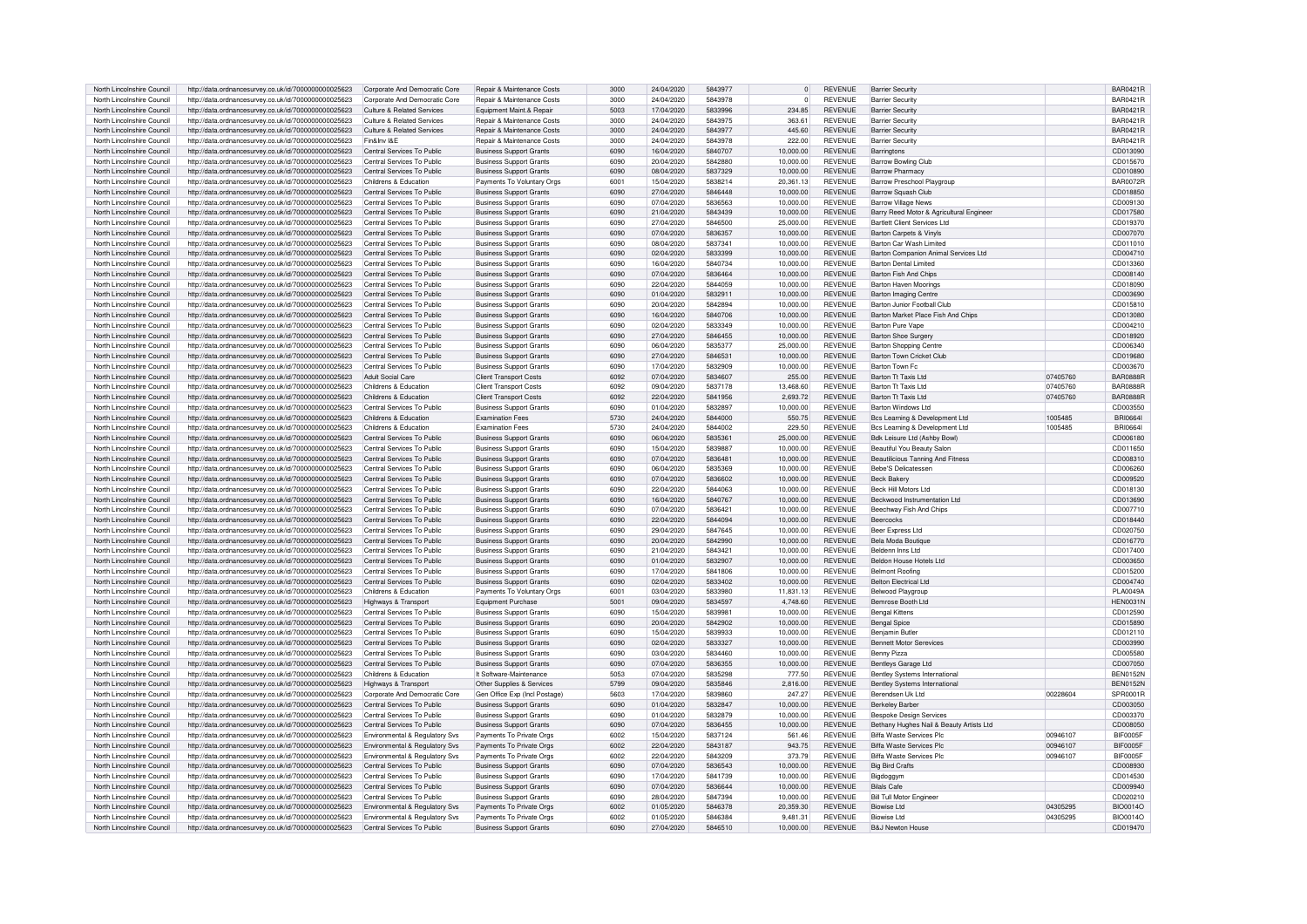| North Lincolnshire Council                               | http://data.ordnancesurvey.co.uk/id/7000000000025623                                                         | Corporate And Democratic Core                                | Repair & Maintenance Costs                                 | 3000         | 24/04/2020               | 5843977            | $\overline{0}$        | <b>REVENUE</b>                   | <b>Barrier Security</b>                     |          | <b>BAR0421R</b>             |
|----------------------------------------------------------|--------------------------------------------------------------------------------------------------------------|--------------------------------------------------------------|------------------------------------------------------------|--------------|--------------------------|--------------------|-----------------------|----------------------------------|---------------------------------------------|----------|-----------------------------|
| North Lincolnshire Council                               | http://data.ordnancesurvey.co.uk/id/7000000000025623                                                         | Corporate And Democratic Core                                | Repair & Maintenance Costs                                 | 3000         | 24/04/2020               | 5843978            | $\Omega$              | <b>REVENUE</b>                   | <b>Barrier Security</b>                     |          | BAR0421B                    |
|                                                          |                                                                                                              |                                                              |                                                            |              |                          |                    |                       |                                  |                                             |          |                             |
| North Lincolnshire Council                               | http://data.ordnancesurvey.co.uk/id/7000000000025623                                                         | Culture & Related Services                                   | Foujoment Maint & Repair                                   | 5003         | 17/04/2020               | 5833996            | 234.85                | <b>REVENUE</b>                   | <b>Barrier Security</b>                     |          | <b>BAR0421R</b>             |
| North Lincolnshire Council                               | http://data.ordnancesurvey.co.uk/id/7000000000025623                                                         | Culture & Related Services                                   | <b>Benair &amp; Maintenance Costs</b>                      | 3000         | 24/04/2020               | 5843975            | 363.61                | <b>REVENUE</b>                   | <b>Barrier Security</b>                     |          | <b>BAR0421R</b>             |
| North Lincolnshire Council                               | http://data.ordnancesurvey.co.uk/id/7000000000025623                                                         | Culture & Related Services                                   | Repair & Maintenance Costs                                 | 3000         | 24/04/2020               | 5843977            | 445.60                | <b>REVENUE</b>                   | <b>Barrier Security</b>                     |          | BAR0421B                    |
| North Lincolnshire Council                               | http://data.ordnancesurvey.co.uk/id/7000000000025623                                                         | Fin&Inv I&F                                                  | Repair & Maintenance Costs                                 | 3000         | 24/04/2020               | 5843978            | 222.00                | <b>REVENUE</b>                   | <b>Barrier Security</b>                     |          | BAR0421F                    |
| North Lincolnshire Council                               | http://data.ordnancesurvey.co.uk/id/7000000000025623                                                         | Central Services To Public                                   | <b>Business Support Grants</b>                             | 6090         | 16/04/2020               | 5840707            | 10,000.00             | <b>REVENUE</b>                   | Barringtons                                 |          | CD013090                    |
| North Lincolnshire Council                               |                                                                                                              | Central Services To Public                                   |                                                            | 6090         | 20/04/2020               | 5842880            |                       | <b>REVENUE</b>                   |                                             |          |                             |
|                                                          | http://data.ordnancesurvey.co.uk/id/7000000000025623                                                         |                                                              | <b>Business Support Grants</b>                             |              |                          |                    | 10,000.00             |                                  | <b>Barrow Bowling Club</b>                  |          | CD015670                    |
| North Lincolnshire Council                               | http://data.ordnancesurvey.co.uk/id/7000000000025623                                                         | Central Services To Public                                   | <b>Business Support Grants</b>                             | 6090         | 08/04/2020               | 5837329            | 10,000.00             | <b>REVENUE</b>                   | Barrow Pharmacy                             |          | CD010890                    |
| North Lincolnshire Council                               | http://data.ordnancesurvey.co.uk/id/7000000000025623                                                         | Childrens & Education                                        | Payments To Voluntary Oras                                 | 6001         | 15/04/2020               | 5838214            | 20,361.13             | <b>REVENUE</b>                   | Barrow Preschool Playgroup                  |          | <b>BAR0072R</b>             |
| North Lincolnshire Council                               | http://data.ordnancesurvey.co.uk/id/7000000000025623                                                         | Central Services To Public                                   | <b>Business Support Grants</b>                             | 6090         | 27/04/2020               | 5846448            | 10,000.00             | <b>REVENUE</b>                   | Barrow Squash Club                          |          | CD018850                    |
| North Lincolnshire Council                               | http://data.ordnancesurvey.co.uk/id/7000000000025623                                                         | Central Services To Public                                   | <b>Business Support Grants</b>                             | 6090         | 07/04/2020               | 5836563            | 10.000.00             | <b>REVENUE</b>                   | <b>Barrow Village News</b>                  |          | CD009130                    |
| North Lincolnshire Council                               | http://data.ordnancesurvey.co.uk/id/7000000000025623                                                         | Central Services To Public                                   | <b>Business Support Grants</b>                             | 6090         | 21/04/2020               | 5843439            | 10,000.00             | <b>REVENUE</b>                   | Barry Reed Motor & Agricultural Engineer    |          | CD017580                    |
| North Lincolnshire Council                               | http://data.ordnancesurvey.co.uk/id/7000000000025623                                                         | Central Services To Public                                   | <b>Business Support Grants</b>                             | 6090         | 27/04/2020               | 5846500            | 25,000.00             | <b>REVENUE</b>                   | <b>Bartlett Client Services Ltd</b>         |          | CD019370                    |
| North Lincolnshire Council                               |                                                                                                              | Central Services To Public                                   | <b>Business Support Grants</b>                             | 6090         | 07/04/2020               | 5836357            | 10.000.00             | <b>REVENUE</b>                   | Barton Carpets & Vinvls                     |          | CD007070                    |
|                                                          | http://data.ordnancesurvey.co.uk/id/7000000000025623                                                         |                                                              |                                                            |              |                          |                    |                       |                                  |                                             |          |                             |
| North Lincolnshire Council                               | http://data.ordnancesurvey.co.uk/id/7000000000025623                                                         | Central Services To Public                                   | <b>Business Support Grants</b>                             | 6090         | 08/04/2020               | 5837341            | 10.000.00             | <b>REVENUE</b>                   | Barton Car Wash Limited                     |          | CD011010                    |
| North Lincolnshire Council                               | http://data.ordnancesurvey.co.uk/id/7000000000025623                                                         | Central Services To Public                                   | <b>Business Support Grants</b>                             | 6090         | 02/04/2020               | 5833399            | 10.000.00             | <b>REVENUE</b>                   | Barton Companion Animal Services Ltd        |          | CD004710                    |
| North Lincolnshire Council                               | http://data.ordnancesurvey.co.uk/id/7000000000025623                                                         | Central Services To Public                                   | <b>Business Support Grants</b>                             | 6090         | 16/04/2020               | 5840734            | 10.000.00             | <b>REVENUE</b>                   | Barton Dental Limited                       |          | CD013360                    |
| North Lincolnshire Council                               | http://data.ordnancesurvey.co.uk/id/7000000000025623                                                         | Central Services To Public                                   | <b>Business Support Grants</b>                             | 6090         | 07/04/2020               | 5836464            | 10.000.00             | <b>REVENUE</b>                   | Barton Fish And Chips                       |          | CD008140                    |
| North Lincolnshire Council                               | http://data.ordnancesurvey.co.uk/id/7000000000025623                                                         | Central Services To Public                                   | <b>Business Support Grants</b>                             | 6090         | 22/04/2020               | 5844059            | 10,000.00             | <b>REVENUE</b>                   | <b>Barton Haven Moorings</b>                |          | CD018090                    |
| North Lincolnshire Council                               | http://data.ordnancesurvey.co.uk/id/7000000000025623                                                         | Central Services To Public                                   | <b>Business Support Grants</b>                             | 6090         | 01/04/2020               | 5832911            | 10.000.00             | <b>REVENUE</b>                   | <b>Barton Imaging Centre</b>                |          | CD003690                    |
| North Lincolnshire Council                               |                                                                                                              | Central Services To Public                                   | <b>Business Support Grants</b>                             | 6090         | 20/04/2020               | 5842894            | 10.000.00             | <b>REVENUE</b>                   | Barton Junior Football Club                 |          | CD015810                    |
|                                                          | http://data.ordnancesurvey.co.uk/id/7000000000025623                                                         |                                                              |                                                            |              |                          |                    |                       |                                  |                                             |          |                             |
| North Lincolnshire Council                               | http://data.ordnancesurvey.co.uk/id/7000000000025623                                                         | Central Services To Public                                   | <b>Business Support Grants</b>                             | 6090         | 16/04/2020               | 5840706            | 10,000.00             | <b>REVENUE</b>                   | Barton Market Place Fish And Chips          |          | CD013080                    |
| North Lincolnshire Council                               | http://data.ordnancesurvey.co.uk/id/7000000000025623                                                         | Central Services To Public                                   | <b>Business Support Grants</b>                             | 6090         | 02/04/2020               | 5833349            | 10,000.00             | <b>REVENUE</b>                   | Barton Pure Vape                            |          | CD004210                    |
| North Lincolnshire Council                               | http://data.ordnancesurvey.co.uk/id/7000000000025623                                                         | Central Services To Public                                   | <b>Business Support Grants</b>                             | 6090         | 27/04/2020               | 5846455            | 10,000.00             | <b>REVENUE</b>                   | Barton Shoe Surgery                         |          | CD018920                    |
| North Lincolnshire Council                               | http://data.ordnancesurvey.co.uk/id/7000000000025623                                                         | Central Services To Public                                   | <b>Business Support Grants</b>                             | 6090         | 06/04/2020               | 5835377            | 25,000.00             | <b>REVENUE</b>                   | Barton Shopping Centre                      |          | CD006340                    |
| North Lincolnshire Council                               | http://data.ordnancesurvey.co.uk/id/7000000000025623                                                         | Central Services To Public                                   | <b>Business Support Grants</b>                             | 6090         | 27/04/2020               | 5846531            | 10.000.00             | <b>REVENUE</b>                   | Barton Town Cricket Club                    |          | CD019680                    |
| North Lincolnshire Council                               | http://data.ordnancesurvey.co.uk/id/7000000000025623                                                         | Central Services To Public                                   | <b>Business Support Grants</b>                             | 6090         | 17/04/2020               | 5832909            | 10.000.00             | <b>REVENUE</b>                   | <b>Barton Town For</b>                      |          | CD003670                    |
| North Lincolnshire Council                               | http://data.ordnancesurvey.co.uk/id/7000000000025623                                                         | Adult Social Care                                            | <b>Client Transport Costs</b>                              | 6092         | 07/04/2020               | 5834607            | 255.00                | <b>REVENUE</b>                   | Barton Tt Taxis Ltd                         | 07405760 | <b>BAR0888F</b>             |
|                                                          |                                                                                                              |                                                              |                                                            | 6092         |                          |                    |                       | <b>REVENUE</b>                   | Barton Tt Taxis Ltd                         |          | <b>BAR0888R</b>             |
| North Lincolnshire Council                               | http://data.ordnancesurvey.co.uk/id/7000000000025623                                                         | Childrens & Education                                        | <b>Client Transport Costs</b>                              |              | 09/04/2020               | 5837178            | 13,468.60             |                                  |                                             | 07405760 |                             |
| North Lincolnshire Council                               | http://data.ordnancesurvey.co.uk/id/7000000000025623                                                         | Childrens & Education                                        | <b>Client Transport Costs</b>                              | 6092         | 22/04/2020               | 5841956            | 2.693.72              | <b>REVENUE</b>                   | Barton Tt Taxis Ltd                         | 07405760 | <b>BAR0888F</b>             |
| North Lincolnshire Council                               | http://data.ordnancesurvey.co.uk/id/7000000000025623                                                         | Central Services To Public                                   | Business Support Grants                                    | 6090         | 01/04/2020               | 5832897            | 10,000.00             | <b>REVENUE</b>                   | Barton Windows Ltd                          |          | CD003550                    |
| North Lincolnshire Council                               | http://data.ordnancesurvey.co.uk/id/7000000000025623                                                         | Childrens & Education                                        | <b>Examination Fees</b>                                    | 5730         | 24/04/2020               | 5844000            | 550.75                | <b>REVENUE</b>                   | Bcs Learning & Development Ltd              | 1005485  | BRI0664                     |
| North Lincolnshire Council                               | http://data.ordnancesurvey.co.uk/id/7000000000025623                                                         | Childrens & Education                                        | <b>Examination Fees</b>                                    | 5730         | 24/04/2020               | 5844002            | 229.50                | <b>REVENUE</b>                   | Bcs Learning & Development Ltd              | 1005485  | <b>BRI0664</b>              |
| North Lincolnshire Council                               | http://data.ordnancesurvey.co.uk/id/7000000000025623                                                         | Central Services To Public                                   | <b>Business Support Grants</b>                             | 6090         | 06/04/2020               | 5835361            | 25,000.00             | <b>REVENUE</b>                   | Bdk Leisure Ltd (Ashby Bowl)                |          | CD006180                    |
| North Lincolnshire Council                               | http://data.ordnancesurvey.co.uk/id/7000000000025623                                                         | Central Services To Public                                   | <b>Business Support Grants</b>                             | 6090         | 15/04/2020               | 5839887            | 10.000.00             | <b>REVENUE</b>                   | Beautiful You Beauty Salon                  |          | CD011650                    |
| North Lincolnshire Council                               | http://data.ordnancesurvey.co.uk/id/7000000000025623                                                         | Central Services To Public                                   | <b>Business Support Grants</b>                             | 6090         | 07/04/2020               | 5836481            | 10,000.00             | <b>REVENUE</b>                   | <b>Beautilicious Tanning And Fitness</b>    |          | CD008310                    |
|                                                          |                                                                                                              |                                                              |                                                            |              |                          |                    |                       |                                  |                                             |          |                             |
| North Lincolnshire Council                               | http://data.ordnancesurvey.co.uk/id/7000000000025623                                                         | Central Services To Public                                   | <b>Business Support Grants</b>                             | 6090         | 06/04/2020               | 5835369            | 10.000.00             | <b>REVENUE</b>                   | <b>Bebe'S Delicatesser</b>                  |          | CD006260                    |
| North Lincolnshire Council                               | http://data.ordnancesurvey.co.uk/id/7000000000025623                                                         | Central Services To Public                                   | <b>Business Support Grants</b>                             | 6090         | 07/04/2020               | 5836602            | 10.000.00             | <b>REVENUE</b>                   | <b>Beck Bakery</b>                          |          | CD009520                    |
| North Lincolnshire Council                               | http://data.ordnancesurvey.co.uk/id/7000000000025623                                                         | Central Services To Public                                   | <b>Business Support Grants</b>                             | 6090         | 22/04/2020               | 5844063            | 10,000.00             | <b>REVENUE</b>                   | Beck Hill Motors Ltd                        |          | CD018130                    |
| North Lincolnshire Council                               | http://data.ordnancesurvey.co.uk/id/7000000000025623                                                         | Central Services To Public                                   | <b>Business Support Grants</b>                             | 6090         | 16/04/2020               | 5840767            | 10,000.00             | <b>REVENUE</b>                   | Beckwood Instrumentation Ltd                |          | CD013690                    |
| North Lincolnshire Council                               | http://data.ordnancesurvey.co.uk/id/7000000000025623                                                         | Central Services To Public                                   | <b>Business Support Grants</b>                             | 6090         | 07/04/2020               | 5836421            | 10.000.00             | <b>REVENUE</b>                   | Beechway Fish And Chips                     |          | CD007710                    |
| North Lincolnshire Council                               | http://data.ordnancesurvey.co.uk/id/7000000000025623                                                         | Central Services To Public                                   | <b>Business Support Grants</b>                             | 6090         | 22/04/2020               | 5844094            | 10,000.00             | <b>REVENUE</b>                   | Beercocks                                   |          | CD018440                    |
| North Lincolnshire Council                               | http://data.ordnancesurvey.co.uk/id/7000000000025623                                                         | Central Services To Public                                   | <b>Business Support Grants</b>                             | 6090         | 29/04/2020               | 5847645            | 10.000.00             | <b>REVENUE</b>                   | Beer Express Ltd                            |          | CD020750                    |
| North Lincolnshire Council                               | http://data.ordnancesurvey.co.uk/id/7000000000025623                                                         | Central Services To Public                                   | <b>Business Support Grants</b>                             | 6090         | 20/04/2020               | 5842990            | 10.000.00             | <b>REVENUE</b>                   | Bela Moda Boutique                          |          | CD016770                    |
|                                                          |                                                                                                              |                                                              |                                                            |              |                          |                    |                       |                                  |                                             |          |                             |
| North Lincolnshire Council                               | http://data.ordnancesurvey.co.uk/id/7000000000025623                                                         | Central Services To Public                                   | <b>Business Support Grants</b>                             | 6090         | 21/04/2020               | 5843421            | 10,000.00             | <b>REVENUE</b>                   | Beldenn Inns I to                           |          | CD017400                    |
| North Lincolnshire Council                               | http://data.ordnancesurvey.co.uk/id/7000000000025623                                                         | Central Services To Public                                   | <b>Business Support Grants</b>                             | 6090         | 01/04/2020               | 5832907            |                       |                                  | Beldon House Hotels Ltd                     |          |                             |
| North Lincolnshire Council                               | http://data.ordnancesurvey.co.uk/id/7000000000025623                                                         | Central Services To Public                                   | <b>Business Support Grants</b>                             |              |                          |                    | 10,000.00             | <b>REVENUE</b>                   |                                             |          | CD003650                    |
| North Lincolnshire Council                               | http://data.ordnancesurvey.co.uk/id/7000000000025623                                                         |                                                              |                                                            | 6090         | 17/04/2020               | 5841806            | 10.000.00             | <b>REVENUE</b>                   | <b>Belmont Boofing</b>                      |          | CD015200                    |
| North Lincolnshire Council                               |                                                                                                              | Central Services To Public                                   | <b>Business Support Grants</b>                             | 6090         | 02/04/2020               | 5833402            | 10.000.00             | <b>REVENUE</b>                   | Belton Electrical Ltd                       |          | CD004740                    |
|                                                          | http://data.ordnancesurvey.co.uk/id/7000000000025623                                                         | Childrens & Education                                        | Payments To Voluntary Orgs                                 | 6001         | 03/04/2020               | 5833980            | 11,831.13             | <b>REVENUE</b>                   | Belwood Playgroup                           |          | PLA0049A                    |
| North Lincolnshire Council                               |                                                                                                              |                                                              |                                                            | 5001         | 09/04/2020               | 5834597            | 4.748.60              | <b>REVENUE</b>                   | Bemrose Booth Ltd                           |          | <b>HEN0031N</b>             |
| North Lincolnshire Council                               | http://data.ordnancesurvey.co.uk/id/7000000000025623                                                         | Highways & Transport<br>Central Services To Public           | Equipment Purchase                                         | 6090         | 15/04/2020               | 5839981            | 10.000.00             | <b>REVENUE</b>                   | <b>Bengal Kittens</b>                       |          | CD012590                    |
|                                                          | http://data.ordnancesurvey.co.uk/id/7000000000025623                                                         |                                                              | <b>Business Support Grants</b>                             |              |                          |                    |                       |                                  |                                             |          |                             |
| North Lincolnshire Council                               | http://data.ordnancesurvey.co.uk/id/7000000000025623                                                         | Central Services To Public                                   | <b>Business Support Grants</b>                             | 6090         | 20/04/2020               | 5842902            | 10,000.00             | <b>REVENUE</b>                   | <b>Bengal Spice</b>                         |          | CD015890                    |
| North Lincolnshire Council                               | http://data.ordnancesurvey.co.uk/id/7000000000025623                                                         | Central Services To Public                                   | <b>Business Support Grants</b>                             | 6090         | 15/04/2020               | 5839933            | 10,000.00             | <b>REVENUE</b>                   | Benjamin Butler                             |          | CD012110                    |
| North Lincolnshire Council                               | http://data.ordnancesurvey.co.uk/id/7000000000025623                                                         | Central Services To Public                                   | <b>Business Support Grants</b>                             | 6090         | 02/04/2020               | 5833327            | 10.000.00             | <b>REVENUE</b>                   | <b>Bennett Motor Serevices</b>              |          | CD003990                    |
| North Lincolnshire Council                               | http://data.ordnancesurvey.co.uk/id/7000000000025623                                                         | Central Services To Public                                   | <b>Business Support Grants</b>                             | 6090         | 03/04/2020               | 5834460            | 10.000.00             | <b>REVENUE</b>                   | Benny Pizza                                 |          | CD005580                    |
| North Lincolnshire Council                               | http://data.ordnancesurvey.co.uk/id/7000000000025623                                                         | Central Services To Public                                   | <b>Business Support Grants</b>                             | 6090         | 07/04/2020               | 5836355            | 10.000.00             | <b>REVENUE</b>                   | Bentleys Garage Ltd                         |          | CD007050                    |
| North Lincolnshire Council                               | http://data.ordnancesurvey.co.uk/id/7000000000025623                                                         | Childrens & Education                                        | It Software-Maintenance                                    | 5053         | 07/04/2020               | 5835298            | 777.50                | <b>REVENUE</b>                   | Bentley Systems International               |          | <b>BEN0152N</b>             |
| North Lincolnshire Council                               | http://data.ordnancesurvey.co.uk/id/7000000000025623                                                         | Highways & Transport                                         | Other Supplies & Services                                  | 5799         | 09/04/2020               | 5835846            | 2,816.00              | <b>REVENUE</b>                   | <b>Bentley Systems International</b>        |          | <b>BEN0152N</b>             |
| North Lincolnshire Council                               |                                                                                                              |                                                              |                                                            | 5603         | 17/04/2020               | 5839860            | 247.27                | <b>REVENUE</b>                   | Berendsen Uk Ltd                            | 00228604 | SPR0001R                    |
|                                                          | http://data.ordnancesurvey.co.uk/id/7000000000025623                                                         | Corporate And Democratic Core                                | Gen Office Exp (Incl Postage)                              |              |                          | 5832847            |                       |                                  |                                             |          |                             |
| North Lincolnshire Council                               | http://data.ordnancesurvey.co.uk/id/7000000000025623                                                         | Central Services To Public                                   | <b>Business Support Grants</b>                             | 6090         | 01/04/2020               |                    | 10.000.00             | <b>REVENUE</b>                   | <b>Berkeley Barber</b>                      |          | CD003050                    |
| North Lincolnshire Council                               | http://data.ordnancesurvey.co.uk/id/7000000000025623                                                         | Central Services To Public                                   | Business Support Grants                                    | 6090         | 01/04/2020               | 5832879            | 10.000.00             | <b>REVENUE</b>                   | Bespoke Design Services                     |          | CD003370                    |
| North Lincolnshire Council                               | http://data.ordnancesurvey.co.uk/id/7000000000025623                                                         | Central Services To Public                                   | <b>Business Support Grants</b>                             | 6090         | 07/04/2020               | 5836455            | 10,000.00             | <b>REVENUE</b>                   | Bethany Hughes Nail & Beauty Artists Ltd    |          | CD008050                    |
| North Lincolnshire Council                               | http://data.ordnancesurvey.co.uk/id/7000000000025623                                                         | Environmental & Regulatory Svs                               | Payments To Private Orgs                                   | 6002         | 15/04/2020               | 5837124            | 561.46                | <b>REVENUE</b>                   | Biffa Waste Services Plc                    | 00946107 | BIF0005F                    |
| North Lincolnshire Council                               | http://data.ordnancesurvey.co.uk/id/7000000000025623                                                         | Environmental & Regulatory Svs                               | Payments To Private Orgs                                   | 6002         | 22/04/2020               | 5843187            | 943.75                | <b>REVENUE</b>                   | Biffa Waste Services Plc                    | 00946107 | BIF0005F                    |
| North Lincolnshire Council                               | http://data.ordnancesurvey.co.uk/id/7000000000025623                                                         | Environmental & Regulatory Svs                               | Payments To Private Orgs                                   | 6002         | 22/04/2020               | 5843209            | 373.79                | <b>REVENUE</b>                   | <b>Biffa Waste Services Plc</b>             | 00946107 | <b>BIF0005F</b>             |
| North Lincolnshire Council                               | http://data.ordnancesurvey.co.uk/id/7000000000025623                                                         | Central Services To Public                                   | <b>Business Support Grants</b>                             | 6090         | 07/04/2020               | 5836543            | 10.000.00             | <b>REVENUE</b>                   | <b>Big Bird Crafts</b>                      |          | CD008930                    |
| North Lincolnshire Council                               | http://data.ordnancesurvey.co.uk/id/7000000000025623                                                         | Central Services To Public                                   | <b>Business Support Grants</b>                             | 6090         | 17/04/2020               | 5841739            | 10,000.00             | <b>REVENUE</b>                   | Biadogavn                                   |          | CD014530                    |
|                                                          |                                                                                                              |                                                              |                                                            | 6090         |                          |                    |                       |                                  |                                             |          |                             |
| North Lincolnshire Council                               | http://data.ordnancesurvey.co.uk/id/7000000000025623                                                         | Central Services To Public                                   | <b>Business Support Grants</b>                             |              | 07/04/2020               | 5836644            | 10,000.00             | <b>REVENUE</b>                   | <b>Bilals Cafe</b>                          |          | CD009940                    |
| North Lincolnshire Council                               | http://data.ordnancesurvey.co.uk/id/7000000000025623                                                         | Central Services To Public                                   | <b>Business Support Grants</b>                             | 6090         | 28/04/2020               | 5847394            | 10.000.00             | <b>REVENUE</b>                   | <b>Bill Tull Motor Engineer</b>             |          | CD020210                    |
| North Lincolnshire Council                               | http://data.ordnancesurvey.co.uk/id/7000000000025623                                                         | Environmental & Regulatory Sys                               | Payments To Private Oras                                   | 6002         | 01/05/2020               | 5846378            | 20.359.30             | <b>REVENUE</b>                   | Biowise Ltd                                 | 04305295 | <b>BIO0014C</b>             |
| North Lincolnshire Council<br>North Lincolnshire Council | http://data.ordnancesurvey.co.uk/id/7000000000025623<br>http://data.ordnancesurvey.co.uk/id/7000000000025623 | Environmental & Regulatory Sys<br>Central Services To Public | Payments To Private Oras<br><b>Business Support Grants</b> | 6002<br>6090 | 01/05/2020<br>27/04/2020 | 5846384<br>5846510 | 9.481.31<br>10.000.00 | <b>REVENUE</b><br><b>REVENUE</b> | Biowise I td<br><b>B&amp;J Newton House</b> | 04305295 | <b>BIO0014O</b><br>CD019470 |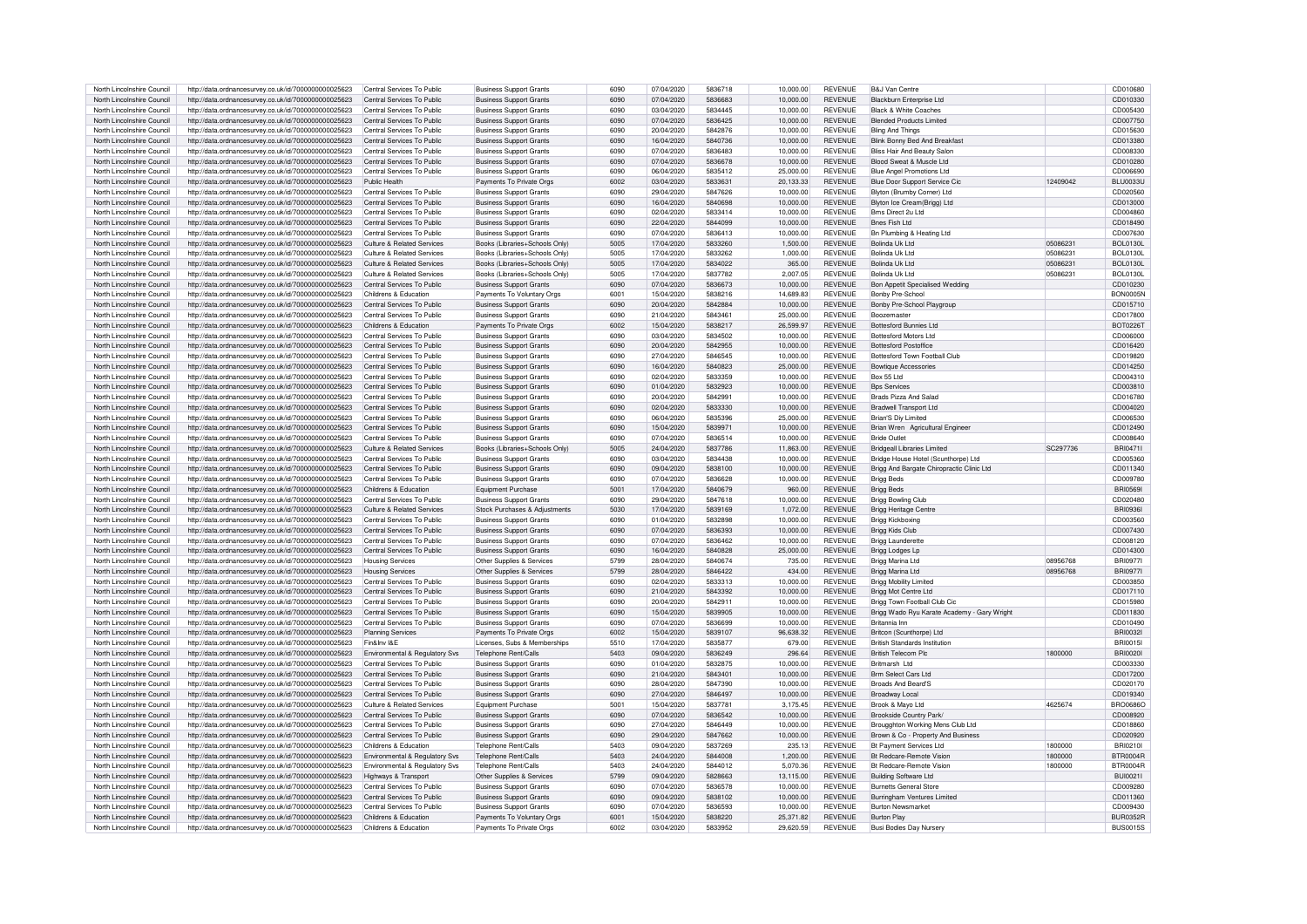| North Lincolnshire Council                               | http://data.ordnancesurvey.co.uk/id/7000000000025623                                                         | Central Services To Public     | <b>Business Support Grants</b> | 6090         | 07/04/2020               | 5836718            | 10,000.00              | <b>REVENUE</b>                   | <b>B&amp;J Van Centre</b>                            |          | CD010680                           |
|----------------------------------------------------------|--------------------------------------------------------------------------------------------------------------|--------------------------------|--------------------------------|--------------|--------------------------|--------------------|------------------------|----------------------------------|------------------------------------------------------|----------|------------------------------------|
| North Lincolnshire Council                               | http://data.ordnancesurvey.co.uk/id/7000000000025623                                                         | Central Services To Public     | <b>Business Support Grants</b> | 6090         | 07/04/2020               | 5836683            | 10.000.00              | <b>REVENUE</b>                   | Blackburn Enterprise Ltd                             |          | CD010330                           |
|                                                          |                                                                                                              | Central Services To Public     |                                | 6090         |                          | 5834445            |                        |                                  |                                                      |          |                                    |
| North Lincolnshire Council                               | http://data.ordnancesurvey.co.uk/id/7000000000025623                                                         |                                | <b>Business Support Grants</b> |              | 03/04/2020               |                    | 10.000.00              | <b>REVENUE</b>                   | <b>Black &amp; White Coaches</b>                     |          | CD005430                           |
| North Lincolnshire Council                               | http://data.ordnancesurvey.co.uk/id/7000000000025623                                                         | Central Services To Public     | <b>Business Support Grants</b> | 6090         | 07/04/2020               | 5836425            | 10,000.00              | <b>REVENUE</b>                   | <b>Blended Products Limited</b>                      |          | CD007750                           |
| North Lincolnshire Council                               | http://data.ordnancesurvey.co.uk/id/7000000000025623                                                         | Central Services To Public     | <b>Business Support Grants</b> | 6090         | 20/04/2020               | 5842876            | 10.000.00              | <b>REVENUE</b>                   | <b>Bling And Things</b>                              |          | CD015630                           |
| North Lincolnshire Council                               | http://data.ordnancesurvey.co.uk/id/7000000000025623                                                         | Central Services To Public     | <b>Business Support Grants</b> | 6090         | 16/04/2020               | 5840736            | 10.000.00              | <b>REVENUE</b>                   | Blink Bonny Bed And Breakfast                        |          | CD013380                           |
| North Lincolnshire Council                               | http://data.ordnancesurvey.co.uk/id/7000000000025623                                                         | Central Services To Public     | <b>Business Support Grants</b> | 6090         | 07/04/2020               | 5836483            | 10,000.00              | <b>REVENUE</b>                   | <b>Bliss Hair And Beauty Salor</b>                   |          | CD008330                           |
| North Lincolnshire Council                               | http://data.ordnancesurvey.co.uk/id/7000000000025623                                                         | Central Services To Public     | <b>Business Support Grants</b> | 6090         | 07/04/2020               | 5836678            | 10.000.00              | <b>REVENUE</b>                   | Blood Sweat & Muscle Ltd                             |          | CD010280                           |
| North Lincolnshire Council                               | http://data.ordnancesurvey.co.uk/id/7000000000025623                                                         | Central Services To Public     | <b>Business Support Grants</b> | 6090         | 06/04/2020               | 5835412            | 25,000.00              | <b>REVENUE</b>                   | <b>Blue Angel Promotions Ltd</b>                     |          | CD006690                           |
| North Lincolnshire Council                               | http://data.ordnancesurvey.co.uk/id/7000000000025623                                                         | Public Health                  | Payments To Private Orgs       | 6002         | 03/04/2020               | 5833631            | 20.133.33              | <b>REVENUE</b>                   | Blue Door Support Service Cic                        | 12409042 | <b>BLU0033U</b>                    |
|                                                          |                                                                                                              |                                |                                |              |                          |                    |                        |                                  |                                                      |          |                                    |
| North Lincolnshire Council                               | http://data.ordnancesurvey.co.uk/id/7000000000025623                                                         | Central Services To Public     | <b>Business Support Grants</b> | 6090         | 29/04/2020               | 5847626            | 10,000.00              | <b>REVENUE</b>                   | Blyton (Brumby Corner) Ltd                           |          | CD020560                           |
| North Lincolnshire Council                               | http://data.ordnancesurvey.co.uk/id/7000000000025623                                                         | Central Services To Public     | <b>Business Support Grants</b> | 6090         | 16/04/2020               | 5840698            | 10,000.00              | <b>REVENUE</b>                   | Blyton Ice Cream(Brigg) Ltd                          |          | CD013000                           |
| North Lincolnshire Council                               | http://data.ordnancesurvey.co.uk/id/7000000000025623                                                         | Central Services To Public     | <b>Business Support Grants</b> | 6090         | 02/04/2020               | 5833414            | 10.000.00              | <b>REVENUE</b>                   | Bms Direct 2u Ltd                                    |          | CD004860                           |
| North Lincolnshire Council                               | http://data.ordnancesurvey.co.uk/id/7000000000025623                                                         | Central Services To Public     | <b>Business Support Grants</b> | 6090         | 22/04/2020               | 5844099            | 10.000.00              | <b>REVENUE</b>                   | <b>Bnes Fish I td</b>                                |          | CD018490                           |
| North Lincolnshire Council                               | http://data.ordnancesurvey.co.uk/id/7000000000025623                                                         | Central Services To Public     | Business Support Grants        | 6090         | 07/04/2020               | 5836413            | 10.000.00              | <b>REVENUE</b>                   | Bn Plumbing & Heating Ltd                            |          | CD007630                           |
| North Lincolnshire Council                               | http://data.ordnancesurvey.co.uk/id/7000000000025623                                                         | Culture & Related Services     | Books (Libraries+Schools Only  | 5005         | 17/04/2020               | 5833260            | 1,500.00               | <b>REVENUE</b>                   | Bolinda Uk Ltd                                       | 05086231 | <b>BOL0130L</b>                    |
| North Lincolnshire Council                               | http://data.ordnancesurvey.co.uk/id/7000000000025623                                                         | Culture & Related Services     | Books (Libraries+Schools Only) | 5005         | 17/04/2020               | 5833262            | 1.000.00               | <b>REVENUE</b>                   | Bolinda Uk Ltd                                       | 05086231 | <b>BOL0130L</b>                    |
|                                                          |                                                                                                              |                                |                                |              |                          |                    |                        | <b>REVENUE</b>                   |                                                      |          |                                    |
| North Lincolnshire Council                               | http://data.ordnancesurvey.co.uk/id/7000000000025623                                                         | Culture & Related Services     | Books (Libraries+Schools Only) | 5005         | 17/04/2020               | 5834022            | 365.00                 |                                  | Bolinda Uk Ltd                                       | 05086231 | <b>BOL0130L</b>                    |
| North Lincolnshire Council                               | http://data.ordnancesurvey.co.uk/id/7000000000025623                                                         | Culture & Related Services     | Books (Libraries+Schools Only) | 5005         | 17/04/2020               | 5837782            | 2,007.05               | <b>REVENUE</b>                   | Bolinda Uk I td                                      | 05086231 | <b>BOL0130L</b>                    |
| North Lincolnshire Council                               | http://data.ordnancesurvey.co.uk/id/7000000000025623                                                         | Central Services To Public     | <b>Business Support Grants</b> | 6090         | 07/04/2020               | 5836673            | 10.000.00              | <b>REVENUE</b>                   | Bon Appetit Specialised Wedding                      |          | CD010230                           |
| North Lincolnshire Council                               | http://data.ordnancesurvey.co.uk/id/7000000000025623                                                         | Childrens & Education          | Payments To Voluntary Orgs     | 6001         | 15/04/2020               | 5838216            | 14,689.83              | <b>REVENUE</b>                   | Bonby Pre-School                                     |          | <b>BON0005N</b>                    |
| North Lincolnshire Council                               | http://data.ordnancesurvey.co.uk/id/7000000000025623                                                         | Central Services To Public     | <b>Business Support Grants</b> | 6090         | 20/04/2020               | 5842884            | 10,000.00              | <b>REVENUE</b>                   | Bonby Pre-School Playgroup                           |          | CD015710                           |
| North Lincolnshire Council                               | http://data.ordnancesurvey.co.uk/id/7000000000025623                                                         | Central Services To Public     | <b>Business Support Grants</b> | 6090         | 21/04/2020               | 5843461            | 25.000.00              | <b>REVENUE</b>                   | <b>Boozemaster</b>                                   |          | CD017800                           |
| North Lincolnshire Council                               | http://data.ordnancesurvey.co.uk/id/7000000000025623                                                         | Childrens & Education          | Payments To Private Orgs       | 6002         | 15/04/2020               | 5838217            | 26.599.97              | <b>REVENUE</b>                   | <b>Bottesford Bunnies Ltd</b>                        |          | <b>BOT0226T</b>                    |
| North Lincolnshire Council                               |                                                                                                              |                                |                                | 6090         | 03/04/2020               | 5834502            | 10.000.00              | <b>REVENUE</b>                   | <b>Bottesford Motors Ltd</b>                         |          |                                    |
|                                                          | http://data.ordnancesurvey.co.uk/id/7000000000025623                                                         | Central Services To Public     | <b>Business Support Grants</b> |              |                          |                    |                        |                                  |                                                      |          | CD006000                           |
| North Lincolnshire Council                               | http://data.ordnancesurvey.co.uk/id/7000000000025623                                                         | Central Services To Public     | <b>Business Support Grants</b> | 6090         | 20/04/2020               | 5842955            | 10,000.00              | <b>REVENUE</b>                   | <b>Bottesford Postoffice</b>                         |          | CD016420                           |
| North Lincolnshire Council                               | http://data.ordnancesurvey.co.uk/id/7000000000025623                                                         | Central Services To Public     | Business Support Grants        | 6090         | 27/04/2020               | 5846545            | 10,000.00              | <b>REVENUE</b>                   | Bottesford Town Football Club                        |          | CD019820                           |
| North Lincolnshire Council                               | http://data.ordnancesurvey.co.uk/id/7000000000025623                                                         | Central Services To Public     | <b>Business Support Grants</b> | 6090         | 16/04/2020               | 5840823            | 25,000.00              | <b>REVENUE</b>                   | <b>Bowtique Accessories</b>                          |          | CD014250                           |
| North Lincolnshire Council                               | http://data.ordnancesurvey.co.uk/id/7000000000025623                                                         | Central Services To Public     | <b>Business Support Grants</b> | 6090         | 02/04/2020               | 5833359            | 10,000.00              | <b>REVENUE</b>                   | Box 55 Ltd                                           |          | CD004310                           |
| North Lincolnshire Council                               | http://data.ordnancesurvey.co.uk/id/7000000000025623                                                         | Central Services To Public     | <b>Business Support Grants</b> | 6090         | 01/04/2020               | 5832923            | 10,000.00              | <b>REVENUE</b>                   | <b>Bps Services</b>                                  |          | CD003810                           |
| North Lincolnshire Council                               | http://data.ordnancesurvey.co.uk/id/7000000000025623                                                         | Central Services To Public     | <b>Business Support Grants</b> | 6090         | 20/04/2020               | 5842991            | 10.000.00              | <b>REVENUE</b>                   | <b>Brads Pizza And Salad</b>                         |          | CD016780                           |
| North Lincolnshire Council                               |                                                                                                              | Central Services To Public     |                                | 6090         | 02/04/2020               | 5833330            | 10.000.00              | <b>REVENUE</b>                   | <b>Bradwell Transport Ltd</b>                        |          | CD004020                           |
|                                                          | http://data.ordnancesurvey.co.uk/id/7000000000025623                                                         |                                | <b>Business Support Grants</b> |              |                          |                    |                        |                                  |                                                      |          |                                    |
| North Lincolnshire Council                               | http://data.ordnancesurvey.co.uk/id/7000000000025623                                                         | Central Services To Public     | <b>Business Support Grants</b> | 6090         | 06/04/2020               | 5835396            | 25,000.00              | <b>REVENUE</b>                   | Brian'S Diy Limited                                  |          | CD006530                           |
| North Lincolnshire Council                               | http://data.ordnancesurvey.co.uk/id/7000000000025623                                                         | Central Services To Public     | <b>Business Support Grants</b> | 6090         | 15/04/2020               | 5839971            | 10,000.00              | <b>REVENUE</b>                   | Brian Wren Agricultural Engineer                     |          | CD012490                           |
| North Lincolnshire Council                               | http://data.ordnancesurvey.co.uk/id/7000000000025623                                                         | Central Services To Public     | <b>Business Support Grants</b> | 6090         | 07/04/2020               | 5836514            | 10,000.00              | <b>REVENUE</b>                   | <b>Bride Outlet</b>                                  |          | CD008640                           |
| North Lincolnshire Council                               | http://data.ordnancesurvey.co.uk/id/7000000000025623                                                         | Culture & Related Services     | Books (Libraries+Schools Only  | 5005         | 24/04/2020               | 5837786            | 11,863.00              | <b>REVENUE</b>                   | <b>Bridgeall Libraries Limited</b>                   | SC297736 | BRI0471I                           |
| North Lincolnshire Council                               | http://data.ordnancesurvey.co.uk/id/7000000000025623                                                         | Central Services To Public     | <b>Business Support Grants</b> | 6090         | 03/04/2020               | 5834438            | 10.000.00              | <b>REVENUE</b>                   | Bridge House Hotel (Scunthorpe) Ltd                  |          | CD005360                           |
| North Lincolnshire Council                               | http://data.ordnancesurvey.co.uk/id/7000000000025623                                                         | Central Services To Public     | <b>Business Support Grants</b> | 6090         | 09/04/2020               | 5838100            | 10.000.00              | <b>REVENUE</b>                   | Brigg And Bargate Chiropractic Clinic Ltd            |          | CD011340                           |
| North Lincolnshire Council                               |                                                                                                              | Central Services To Public     |                                | 6090         | 07/04/2020               | 5836628            | 10.000.00              |                                  |                                                      |          | CD009780                           |
|                                                          | http://data.ordnancesurvey.co.uk/id/7000000000025623                                                         |                                | Business Support Grants        |              |                          |                    |                        | <b>REVENUE</b>                   | <b>Brigg Beds</b>                                    |          |                                    |
| North Lincolnshire Council                               | http://data.ordnancesurvey.co.uk/id/7000000000025623                                                         | Childrens & Education          | Equipment Purchase             | 5001         | 17/04/2020               | 5840679            | 960.00                 | <b>REVENUE</b>                   | <b>Brigg Beds</b>                                    |          | <b>BRI05691</b>                    |
| North Lincolnshire Council                               | http://data.ordnancesurvev.co.uk/id/7000000000025623                                                         | Central Services To Public     | <b>Business Support Grants</b> | 6090         | 29/04/2020               | 5847618            | 10,000.00              | <b>REVENUE</b>                   | <b>Brigg Bowling Club</b>                            |          | CD020480                           |
| North Lincolnshire Council                               | http://data.ordnancesurvey.co.uk/id/7000000000025623                                                         | Culture & Related Services     | Stock Purchases & Adjustments  | 5030         | 17/04/2020               | 5839169            | 1,072.00               | <b>REVENUE</b>                   | Brigg Heritage Centre                                |          | <b>BRI09361</b>                    |
| North Lincolnshire Council                               | http://data.ordnancesurvey.co.uk/id/7000000000025623                                                         | Central Services To Public     | <b>Business Support Grants</b> | 6090         | 01/04/2020               | 5832898            | 10.000.00              | <b>REVENUE</b>                   | <b>Brigg Kickboxing</b>                              |          | CD003560                           |
| North Lincolnshire Council                               | http://data.ordnancesurvey.co.uk/id/7000000000025623                                                         | Central Services To Public     | <b>Business Support Grants</b> | 6090         | 07/04/2020               | 5836393            | 10.000.00              | <b>REVENUE</b>                   | Brigg Kids Club                                      |          | CD007430                           |
| North Lincolnshire Council                               | http://data.ordnancesurvey.co.uk/id/7000000000025623                                                         | Central Services To Public     | <b>Business Support Grants</b> | 6090         | 07/04/2020               | 5836462            | 10,000.00              | <b>REVENUE</b>                   | <b>Brigg Launderette</b>                             |          | CD008120                           |
| North Lincolnshire Council                               | http://data.ordnancesurvey.co.uk/id/7000000000025623                                                         | Central Services To Public     | <b>Business Support Grants</b> | 6090         | 16/04/2020               | 5840828            | 25,000.00              | <b>REVENUE</b>                   | Brigg Lodges Lp                                      |          | CD014300                           |
|                                                          |                                                                                                              |                                |                                |              |                          |                    |                        |                                  |                                                      |          |                                    |
| North Lincolnshire Council                               | http://data.ordnancesurvey.co.uk/id/7000000000025623                                                         | <b>Housing Services</b>        | Other Supplies & Services      | 5799         | 28/04/2020               | 5840674            | 735.00                 | <b>REVENUE</b>                   | <b>Brigg Marina Ltd</b>                              | 08956768 | <b>BRI0977I</b>                    |
| North Lincolnshire Council                               | http://data.ordnancesurvey.co.uk/id/7000000000025623                                                         | <b>Housing Services</b>        | Other Supplies & Services      | 5799         | 28/04/2020               | 5846422            | 434.00                 | <b>REVENUE</b>                   | Brigg Marina Ltd                                     | 08956768 | <b>BRI0977I</b>                    |
| North Lincolnshire Council                               | http://data.ordnancesurvey.co.uk/id/7000000000025623                                                         | Central Services To Public     | <b>Business Support Grants</b> | 6090         | 02/04/2020               | 5833313            | 10.000.00              | REVENUE                          | <b>Brigg Mobility Limited</b>                        |          | CD003850                           |
| North Lincolnshire Council                               | http://data.ordnancesurvey.co.uk/id/7000000000025623                                                         | Central Services To Public     | <b>Business Support Grants</b> | 6090         | 21/04/2020               | 5843392            | 10,000.00              | <b>REVENUE</b>                   | Brigg Mot Centre Ltd                                 |          | CD017110                           |
| North Lincolnshire Council                               | http://data.ordnancesurvey.co.uk/id/7000000000025623                                                         | Central Services To Public     | <b>Business Support Grants</b> | 6090         | 20/04/2020               | 5842911            | 10,000.00              | <b>REVENUE</b>                   | Brigg Town Football Club Cic                         |          | CD015980                           |
| North Lincolnshire Council                               | http://data.ordnancesurvey.co.uk/id/7000000000025623                                                         | Central Services To Public     | <b>Business Support Grants</b> | 6090         | 15/04/2020               | 5839905            | 10,000.00              | REVENUE                          | Brigg Wado Ryu Karate Academy - Gary Wright          |          | CD011830                           |
| North Lincolnshire Council                               | http://data.ordnancesurvey.co.uk/id/7000000000025623                                                         | Central Services To Public     | <b>Business Support Grants</b> | 6090         | 07/04/2020               | 5836699            | 10,000.00              | <b>REVENUE</b>                   | Britannia Inn                                        |          | CD010490                           |
|                                                          |                                                                                                              |                                |                                |              |                          |                    |                        |                                  |                                                      |          |                                    |
| North Lincolnshire Council                               | http://data.ordnancesurvey.co.uk/id/7000000000025623                                                         | <b>Planning Services</b>       | Payments To Private Orgs       | 6002         | 15/04/2020               | 5839107            | 96,638.32              | <b>REVENUE</b>                   | Britcon (Scunthorpe) Ltd                             |          | <b>BRI00321</b>                    |
| North Lincolnshire Council                               | http://data.ordnancesurvey.co.uk/id/7000000000025623                                                         | Fin&Inv I&E                    | Licenses, Subs & Memberships   | 5510         | 17/04/2020               | 5835877            | 679.00                 | <b>REVENUE</b>                   | <b>British Standards Institution</b>                 |          | <b>BRI0015I</b>                    |
| North Lincolnshire Council                               | http://data.ordnancesurvey.co.uk/id/7000000000025623                                                         | Environmental & Regulatory Svs | Telephone Rent/Calls           | 5403         | 09/04/2020               | 5836249            | 296.64                 | <b>REVENUE</b>                   | <b>British Telecom Pk</b>                            | 1800000  | <b>BRI00201</b>                    |
| North Lincolnshire Council                               | http://data.ordnancesurvey.co.uk/id/7000000000025623                                                         | Central Services To Public     | <b>Business Support Grants</b> | 6090         | 01/04/2020               | 5832875            | 10,000.00              | <b>REVENUE</b>                   | Britmarsh I to                                       |          | CD003330                           |
| North Lincolnshire Council                               | http://data.ordnancesurvey.co.uk/id/7000000000025623                                                         | Central Services To Public     | <b>Business Support Grants</b> | 6090         | 21/04/2020               | 5843401            | 10.000.00              | <b>REVENUE</b>                   | <b>Brm Select Cars Ltd</b>                           |          | CD017200                           |
| North Lincolnshire Council                               | http://data.ordnancesurvey.co.uk/id/7000000000025623                                                         | Central Services To Public     | <b>Business Support Grants</b> | 6090         | 28/04/2020               | 5847390            | 10,000.00              | <b>REVENUE</b>                   | Broads And Beard'S                                   |          | CD020170                           |
| North Lincolnshire Council                               | http://data.ordnancesurvey.co.uk/id/7000000000025623                                                         | Central Services To Public     | <b>Business Support Grants</b> | 6090         | 27/04/2020               | 5846497            | 10,000.00              | <b>REVENUE</b>                   | <b>Broadway Local</b>                                |          | CD019340                           |
| North Lincolnshire Council                               |                                                                                                              | Culture & Related Services     | Equipment Purchase             | 5001         | 15/04/2020               | 5837781            | 3.175.45               | <b>REVENUE</b>                   | Brook & Mayo Ltd                                     | 4625674  | <b>BRO0686O</b>                    |
|                                                          | http://data.ordnancesurvey.co.uk/id/7000000000025623                                                         |                                |                                |              |                          |                    |                        |                                  |                                                      |          |                                    |
| North Lincolnshire Council                               | http://data.ordnancesurvey.co.uk/id/7000000000025623                                                         | Central Services To Public     | <b>Business Support Grants</b> | 6090         | 07/04/2020               | 5836542            | 10,000.00              | <b>REVENUE</b>                   | Brookside Country Park/                              |          | CD008920                           |
| North Lincolnshire Council                               | http://data.ordnancesurvey.co.uk/id/7000000000025623                                                         | Central Services To Public     | <b>Business Support Grants</b> | 6090         | 27/04/2020               | 5846449            | 10,000.00              | <b>REVENUE</b>                   | Brougghton Working Mens Club Ltd                     |          | CD018860                           |
| North Lincolnshire Council                               | http://data.ordnancesurvey.co.uk/id/7000000000025623                                                         | Central Services To Public     | <b>Business Support Grants</b> | 6090         | 29/04/2020               | 5847662            | 10,000.00              | <b>REVENUE</b>                   | Brown & Co - Property And Business                   |          | CD020920                           |
| North Lincolnshire Council                               | http://data.ordnancesurvey.co.uk/id/7000000000025623                                                         | Childrens & Education          | Telephone Rent/Calls           | 5403         | 09/04/2020               | 5837269            | 235.13                 | <b>REVENUE</b>                   | Bt Payment Services Ltd                              | 1800000  | BRI0210I                           |
| North Lincolnshire Council                               | http://data.ordnancesurvey.co.uk/id/7000000000025623                                                         | Environmental & Regulatory Svs | Telephone Rent/Calls           | 5403         | 24/04/2020               | 5844008            | 1.200.00               | <b>REVENUE</b>                   | <b>Bt Redcare-Remote Vision</b>                      | 1800000  | <b>BTR0004R</b>                    |
| North Lincolnshire Council                               | http://data.ordnancesurvey.co.uk/id/7000000000025623                                                         | Environmental & Regulatory Svs | Telephone Rent/Calls           | 5403         | 24/04/2020               | 5844012            | 5,070.36               | <b>REVENUE</b>                   | Bt Redcare-Remote Vision                             | 1800000  | <b>BTR0004R</b>                    |
| North Lincolnshire Council                               | http://data.ordnancesurvey.co.uk/id/7000000000025623                                                         | Highways & Transport           | Other Supplies & Services      | 5799         | 09/04/2020               | 5828663            | 13,115.00              | <b>REVENUE</b>                   | <b>Building Software Ltd</b>                         |          | <b>BUI0021I</b>                    |
| North Lincolnshire Council                               | http://data.ordnancesurvey.co.uk/id/7000000000025623                                                         | Central Services To Public     | <b>Business Support Grants</b> | 6090         | 07/04/2020               | 5836578            | 10,000.00              | <b>REVENUE</b>                   | <b>Burnetts General Store</b>                        |          | CD009280                           |
|                                                          |                                                                                                              |                                |                                |              |                          |                    |                        |                                  |                                                      |          |                                    |
| North Lincolnshire Council                               | http://data.ordnancesurvey.co.uk/id/7000000000025623                                                         | Central Services To Public     | <b>Business Support Grants</b> | 6090         | 09/04/2020               | 5838102            | 10.000.00              | <b>REVENUE</b>                   | Burringham Ventures Limited                          |          | CD011360                           |
| North Lincolnshire Council                               |                                                                                                              |                                |                                |              |                          |                    |                        |                                  |                                                      |          |                                    |
|                                                          | http://data.ordnancesurvey.co.uk/id/7000000000025623                                                         | Central Services To Public     | <b>Business Support Grants</b> | 6090         | 07/04/2020               | 5836593            | 10.000.00              | <b>REVENUE</b>                   | <b>Burton Newsmarket</b>                             |          | CD009430                           |
| North Lincolnshire Council<br>North Lincolnshire Council | http://data.ordnancesurvey.co.uk/id/7000000000025623<br>http://data.ordnancesurvey.co.uk/id/7000000000025623 | Childrens & Education          | Payments To Voluntary Orgs     | 6001<br>6002 | 15/04/2020<br>03/04/2020 | 5838220<br>5833952 | 25,371.82<br>29.620.59 | <b>REVENUE</b><br><b>REVENUE</b> | <b>Burton Play</b><br><b>Busi Bodies Day Nursery</b> |          | <b>BUR0352R</b><br><b>BUS0015S</b> |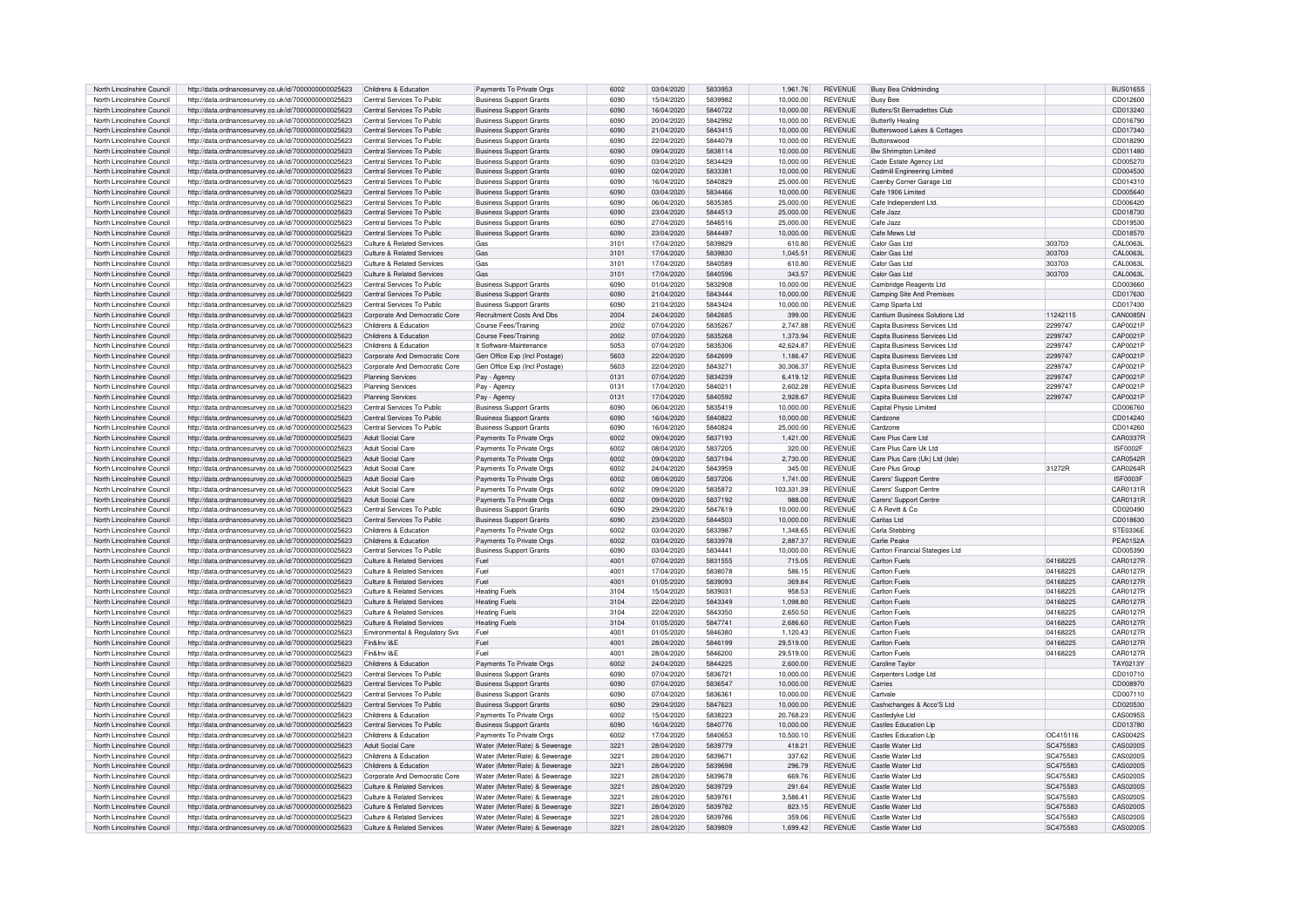| North Lincolnshire Council | http://data.ordnancesurvey.co.uk/id/7000000000025623 | Childrens & Education                 | Payments To Private Orgs       | 6002 | 03/04/2020 | 5833953 | 1.961.76   | <b>REVENUE</b> | <b>Busy Bea Childminding</b>    |          | <b>BUS0165S</b> |
|----------------------------|------------------------------------------------------|---------------------------------------|--------------------------------|------|------------|---------|------------|----------------|---------------------------------|----------|-----------------|
| North Lincolnshire Council | http://data.ordnancesurvey.co.uk/id/7000000000025623 | Central Services To Public            | <b>Business Support Grants</b> | 6090 | 15/04/2020 | 5839982 | 10,000.00  | <b>REVENUE</b> | <b>Busy Bee</b>                 |          | CD012600        |
| North Lincolnshire Council | http://data.ordnancesurvey.co.uk/id/7000000000025623 | Central Services To Public            | <b>Business Support Grants</b> | 6090 | 16/04/2020 | 5840722 | 10.000.00  | <b>REVENUE</b> | Butlers/St Bernadettes Club     |          | CD013240        |
| North Lincolnshire Council | http://data.ordnancesurvey.co.uk/id/7000000000025623 | Central Services To Public            | <b>Business Support Grants</b> | 6090 | 20/04/2020 | 5842992 | 10,000.00  | <b>REVENUE</b> | <b>Butterfly Healing</b>        |          | CD016790        |
| North Lincolnshire Council | http://data.ordnancesurvey.co.uk/id/7000000000025623 | Central Services To Public            | <b>Business Support Grants</b> | 6090 | 21/04/2020 | 5843415 | 10,000.00  | <b>REVENUE</b> | Butterswood Lakes & Cottages    |          | CD017340        |
| North Lincolnshire Council | http://data.ordnancesurvey.co.uk/id/7000000000025623 | Central Services To Public            |                                | 6090 | 22/04/2020 | 5844079 | 10.000.00  | <b>REVENUE</b> | <b>Buttonswood</b>              |          | CD018290        |
|                            |                                                      |                                       | <b>Business Support Grants</b> |      |            |         |            |                |                                 |          |                 |
| North Lincolnshire Council | http://data.ordnancesurvey.co.uk/id/7000000000025623 | Central Services To Public            | <b>Business Support Grants</b> | 6090 | 09/04/2020 | 5838114 | 10,000.00  | <b>REVENUE</b> | Bw Shrimpton Limited            |          | CD011480        |
| North Lincolnshire Council | http://data.ordnancesurvey.co.uk/id/7000000000025623 | Central Services To Public            | <b>Business Support Grants</b> | 6090 | 03/04/2020 | 5834429 | 10,000.00  | REVENUE        | Cade Estate Agency Ltd          |          | CD005270        |
| North Lincolnshire Council | http://data.ordnancesurvey.co.uk/id/7000000000025623 | Central Services To Public            | <b>Business Support Grants</b> | 6090 | 02/04/2020 | 5833381 | 10,000.00  | REVENUE        | Cadmill Engineering Limited     |          | CD004530        |
| North Lincolnshire Council | http://data.ordnancesurvey.co.uk/id/7000000000025623 | Central Services To Public            | <b>Business Support Grants</b> | 6090 | 16/04/2020 | 5840829 | 25,000.00  | <b>REVENUE</b> | Caenby Corner Garage Ltd        |          | CD014310        |
| North Lincolnshire Council | http://data.ordnancesurvey.co.uk/id/7000000000025623 | Central Services To Public            | <b>Business Support Grants</b> | 6090 | 03/04/2020 | 5834466 | 10,000.00  | <b>REVENUE</b> | Cafe 1906 Limited               |          | CD005640        |
| North Lincolnshire Council | http://data.ordnancesurvey.co.uk/id/7000000000025623 | Central Services To Public            | <b>Business Support Grants</b> | 6090 | 06/04/2020 | 5835385 | 25.000.00  | <b>REVENUE</b> | Cafe Indienendent Ltd           |          | CD006420        |
| North Lincolnshire Council | http://data.ordnancesurvey.co.uk/id/7000000000025623 | Central Services To Public            | <b>Business Support Grants</b> | 6090 | 23/04/2020 | 5844513 | 25,000.00  | <b>REVENUE</b> | Cafe Jazz                       |          | CD018730        |
| North Lincolnshire Council | http://data.ordnancesurvey.co.uk/id/7000000000025623 | Central Services To Public            | <b>Business Support Grants</b> | 6090 | 27/04/2020 | 5846516 | 25,000.00  | <b>REVENUE</b> | Cafe Jazz                       |          | CD019530        |
| North Lincolnshire Council | http://data.ordnancesurvey.co.uk/id/7000000000025623 | Central Services To Public            | <b>Business Support Grants</b> | 6090 | 23/04/2020 | 5844497 | 10.000.00  | <b>REVENUE</b> | Cafe Mews Ltd                   |          | CD018570        |
| North Lincolnshire Council | http://data.ordnancesurvey.co.uk/id/7000000000025623 | Culture & Related Services            | Gas                            | 3101 | 17/04/2020 | 5839829 | 610.80     | <b>REVENUE</b> | Calor Gas Ltd                   | 303703   | CAL0063L        |
|                            |                                                      |                                       |                                |      |            |         |            |                |                                 |          |                 |
| North Lincolnshire Council | http://data.ordnancesurvey.co.uk/id/7000000000025623 | Culture & Related Services            | Gas                            | 3101 | 17/04/2020 | 5839830 | 1.045.51   | <b>REVENUE</b> | Calor Gas Ltd                   | 303703   | CAL0063L        |
| North Lincolnshire Council | http://data.ordnancesurvey.co.uk/id/7000000000025623 | Culture & Related Services            | Gas                            | 3101 | 17/04/2020 | 5840589 | 610.80     | <b>REVENUE</b> | Calor Gas Ltd                   | 303703   | CAL0063L        |
| North Lincolnshire Council | http://data.ordnancesurvey.co.uk/id/7000000000025623 | Culture & Related Services            | Gas                            | 3101 | 17/04/2020 | 5840596 | 343.57     | <b>REVENUE</b> | Calor Gas Ltd                   | 303703   | CAL0063L        |
| North Lincolnshire Council | http://data.ordnancesurvey.co.uk/id/7000000000025623 | Central Services To Public            | <b>Business Support Grants</b> | 6090 | 01/04/2020 | 5832908 | 10,000.00  | <b>REVENUE</b> | Cambridge Reagents Ltd          |          | CD003660        |
| North Lincolnshire Council | http://data.ordnancesurvey.co.uk/id/7000000000025623 | Central Services To Public            | <b>Business Support Grants</b> | 6090 | 21/04/2020 | 5843444 | 10.000.00  | <b>REVENUE</b> | Camping Site And Premises       |          | CD017630        |
| North Lincolnshire Council | http://data.ordnancesurvey.co.uk/id/7000000000025623 | Central Services To Public            | <b>Business Support Grants</b> | 6090 | 21/04/2020 | 5843424 | 10.000.00  | <b>REVENUE</b> | Camp Sparta Ltd                 |          | CD017430        |
| North Lincolnshire Council | http://data.ordnancesurvey.co.uk/id/7000000000025623 | Corporate And Democratic Core         | Recruitment Costs And Dbs      | 2004 | 24/04/2020 | 5842685 | 399.00     | <b>REVENUE</b> | Cantium Business Solutions Ltd  | 11242115 | CAN0085N        |
| North Lincolnshire Council | http://data.ordnancesurvey.co.uk/id/7000000000025623 | Childrens & Education                 | Course Fees/Training           | 2002 | 07/04/2020 | 5835267 | 2,747.88   | <b>REVENUE</b> | Capita Business Services Ltd    | 2299747  | CAP0021P        |
| North Lincolnshire Council | http://data.ordnancesurvey.co.uk/id/7000000000025623 | Childrens & Education                 | Course Fees/Training           | 2002 | 07/04/2020 | 5835268 | 1.373.94   | <b>REVENUE</b> | Capita Business Services Ltd    | 2299747  | CAP0021P        |
|                            |                                                      |                                       |                                |      |            |         |            |                |                                 |          |                 |
| North Lincolnshire Council | http://data.ordnancesurvey.co.uk/id/7000000000025623 | Childrens & Education                 | It Software-Maintenance        | 5053 | 07/04/2020 | 5835306 | 42.624.87  | <b>REVENUE</b> | Capita Business Services Ltd    | 2299747  | CAP0021P        |
| North Lincolnshire Council | http://data.ordnancesurvey.co.uk/id/7000000000025623 | Corporate And Democratic Core         | Gen Office Exp (Incl Postage)  | 5603 | 22/04/2020 | 5842699 | 1.186.47   | <b>REVENUE</b> | Capita Business Services Ltd    | 2299747  | CAP0021P        |
| North Lincolnshire Council | http://data.ordnancesurvey.co.uk/id/7000000000025623 | Corporate And Democratic Core         | Gen Office Exp (Incl Postage)  | 5603 | 22/04/2020 | 5843271 | 30,306.37  | <b>REVENUE</b> | Capita Business Services Ltd    | 2299747  | CAP0021P        |
| North Lincolnshire Council | http://data.ordnancesurvey.co.uk/id/7000000000025623 | <b>Planning Services</b>              | Pay - Agency                   | 0131 | 07/04/2020 | 5834239 | 6,419.12   | <b>REVENUE</b> | Capita Business Services Ltd    | 2299747  | CAP0021P        |
| North Lincolnshire Council | http://data.ordnancesurvey.co.uk/id/7000000000025623 | <b>Planning Services</b>              | Pay - Agency                   | 0131 | 17/04/2020 | 5840211 | 2,602.28   | <b>REVENUE</b> | Capita Business Services Ltd    | 2299747  | CAP0021P        |
| North Lincolnshire Council | http://data.ordnancesurvey.co.uk/id/7000000000025623 | <b>Planning Services</b>              | Pay - Agency                   | 0131 | 17/04/2020 | 5840592 | 2.928.67   | <b>REVENUE</b> | Capita Business Services Ltd    | 2299747  | CAP0021P        |
| North Lincolnshire Council | http://data.ordnancesurvey.co.uk/id/7000000000025623 | Central Services To Public            | <b>Business Support Grants</b> | 6090 | 06/04/2020 | 5835419 | 10,000.00  | <b>REVENUE</b> | Capital Physio Limited          |          | CD006760        |
| North Lincolnshire Council | http://data.ordnancesurvey.co.uk/id/7000000000025623 | Central Services To Public            | <b>Business Support Grants</b> | 6090 | 16/04/2020 | 5840822 | 10.000.00  | <b>REVENUE</b> | Cardzone                        |          | CD014240        |
| North Lincolnshire Council | http://data.ordnancesurvey.co.uk/id/7000000000025623 | Central Services To Public            | <b>Business Support Grants</b> | 6090 | 16/04/2020 | 5840824 | 25,000.00  | <b>REVENUE</b> | Cardzone                        |          | CD014260        |
|                            |                                                      |                                       |                                |      |            |         |            |                |                                 |          |                 |
| North Lincolnshire Council | http://data.ordnancesurvey.co.uk/id/7000000000025623 | Adult Social Care                     | Payments To Private Orgs       | 6002 | 09/04/2020 | 5837193 | 1,421.00   | <b>REVENUE</b> | Care Plus Care Ltd              |          | CAR0337R        |
| North Lincolnshire Council | http://data.ordnancesurvey.co.uk/id/7000000000025623 | Adult Social Care                     | Payments To Private Orgs       | 6002 | 08/04/2020 | 5837205 | 320.00     | <b>REVENUE</b> | Care Plus Care Uk Ltd           |          | ISF0002F        |
| North Lincolnshire Council | http://data.ordnancesurvey.co.uk/id/7000000000025623 | Adult Social Care                     | Payments To Private Orgs       | 6002 | 09/04/2020 | 5837194 | 2.730.00   | <b>REVENUE</b> | Care Plus Care (Uk) I td (Isle  |          | CAR0542R        |
| North Lincolnshire Council | http://data.ordnancesurvey.co.uk/id/7000000000025623 | Adult Social Care                     | Payments To Private Oras       | 6002 | 24/04/2020 | 5843959 | 345.00     | <b>REVENUE</b> | Care Plus Group                 | 31272R   | CAR0264B        |
| North Lincolnshire Council | http://data.ordnancesurvey.co.uk/id/7000000000025623 | Adult Social Care                     | Payments To Private Orgs       | 6002 | 08/04/2020 | 5837206 | 1,741.00   | <b>REVENUE</b> | Carers' Support Centre          |          | ISF0003F        |
| North Lincolnshire Council | http://data.ordnancesurvey.co.uk/id/7000000000025623 | Adult Social Care                     | Payments To Private Orgs       | 6002 | 09/04/2020 | 5835872 | 103,331.39 | <b>REVENUE</b> | Carers' Support Centre          |          | CAR0131R        |
| North Lincolnshire Council | http://data.ordnancesurvey.co.uk/id/7000000000025623 | Adult Social Care                     | Payments To Private Orgs       | 6002 | 09/04/2020 | 5837192 | 988.00     | <b>REVENUE</b> | Carers' Support Centre          |          | CAR0131R        |
| North Lincolnshire Council | http://data.ordnancesurvey.co.uk/id/7000000000025623 | Central Services To Public            | <b>Business Support Grants</b> | 6090 | 29/04/2020 | 5847619 | 10,000.00  | <b>REVENUE</b> | C A Revitt & Co                 |          | CD020490        |
| North Lincolnshire Council | http://data.ordnancesurvey.co.uk/id/7000000000025623 | Central Services To Public            | <b>Business Support Grants</b> | 6090 | 23/04/2020 | 5844503 | 10,000.00  | <b>REVENUE</b> | Caritas Ltd                     |          | CD018630        |
| North Lincolnshire Council | http://data.ordnancesurvey.co.uk/id/7000000000025623 | Childrens & Education                 | Payments To Private Orgs       | 6002 | 03/04/2020 | 5833987 | 1.348.65   | <b>REVENUE</b> | Carla Stebbing                  |          | STE0336E        |
|                            |                                                      |                                       |                                |      |            |         |            |                |                                 |          |                 |
| North Lincolnshire Council | http://data.ordnancesurvey.co.uk/id/7000000000025623 | Childrens & Education                 | Payments To Private Orgs       | 6002 | 03/04/2020 | 5833978 | 2.887.37   | <b>REVENUE</b> | Carlie Peake                    |          | PFA0152A        |
| North Lincolnshire Council | http://data.ordnancesurvey.co.uk/id/7000000000025623 | Central Services To Public            | Business Support Grants        | 6090 | 03/04/2020 | 5834441 | 10,000.00  | <b>REVENUE</b> | Carlton Financial Stategies Ltd |          | CD005390        |
| North Lincolnshire Council | http://data.ordnancesurvey.co.uk/id/7000000000025623 | Culture & Related Services            | Fuel                           | 4001 | 07/04/2020 | 5831555 | 715.05     | <b>REVENUE</b> | <b>Carlton Fuels</b>            | 04168225 | CAR0127R        |
| North Lincolnshire Council | http://data.ordnancesurvey.co.uk/id/7000000000025623 | Culture & Related Services            | Fuel                           | 4001 | 17/04/2020 | 5838078 | 586.15     | <b>REVENUE</b> | <b>Carlton Fuels</b>            | 04168225 | <b>CAR0127R</b> |
| North Lincolnshire Council | http://data.ordnancesurvey.co.uk/id/7000000000025623 | Culture & Related Services            | Fuel                           | 4001 | 01/05/2020 | 5839093 | 369.84     | <b>REVENUE</b> | <b>Carlton Fuels</b>            | 04168225 | CAR0127R        |
| North Lincolnshire Council | http://data.ordnancesurvey.co.uk/id/7000000000025623 | Culture & Related Services            | <b>Heating Fuels</b>           | 3104 | 15/04/2020 | 5839031 | 958.53     | <b>REVENUE</b> | Carlton Fuels                   | 04168225 | CAR0127R        |
| North Lincolnshire Council | http://data.ordnancesurvey.co.uk/id/7000000000025623 | Culture & Related Services            | <b>Heating Fuels</b>           | 3104 | 22/04/2020 | 5843349 | 1.098.80   | <b>REVENUE</b> | <b>Carlton Fuels</b>            | 04168225 | CAR0127R        |
| North Lincolnshire Council | http://data.ordnancesurvey.co.uk/id/7000000000025623 | Culture & Related Services            | <b>Heating Fuels</b>           | 3104 | 22/04/2020 | 5843350 | 2.650.50   | <b>REVENUE</b> | <b>Carlton Fuels</b>            | 04168225 | CAR0127R        |
| North Lincolnshire Council | http://data.ordnancesurvey.co.uk/id/7000000000025623 | <b>Culture &amp; Related Services</b> | <b>Heating Fuels</b>           | 3104 | 01/05/2020 | 5847741 | 2,686.60   | <b>REVENUE</b> | <b>Carlton Fuels</b>            | 04168225 | CAR0127R        |
| North Lincolnshire Council | http://data.ordnancesurvey.co.uk/id/7000000000025623 | Environmental & Regulatory Svs        | Fuel                           | 4001 | 01/05/2020 | 5846380 | 1,120.43   | REVENUE        | Carlton Fuels                   | 04168225 | CAR0127R        |
|                            |                                                      |                                       |                                |      |            |         |            |                |                                 |          |                 |
| North Lincolnshire Council | http://data.ordnancesurvey.co.uk/id/7000000000025623 | Fin&Inv I&E                           | Fuel                           | 4001 | 28/04/2020 | 5846199 | 29,519.00  | <b>REVENUE</b> | <b>Carlton Fuels</b>            | 04168225 | CAR0127R        |
| North Lincolnshire Council | http://data.ordnancesurvey.co.uk/id/7000000000025623 | Fin&Inv I&F                           | Fuel                           | 4001 | 28/04/2020 | 5846200 | 29.519.00  | <b>REVENUE</b> | Carlton Fuels                   | 04168225 | CAR0127R        |
| North Lincolnshire Council | http://data.ordnancesurvey.co.uk/id/7000000000025623 | Childrens & Education                 | Payments To Private Orgs       | 6002 | 24/04/2020 | 5844225 | 2.600.00   | <b>REVENUE</b> | Caroline Taylor                 |          | TAY0213Y        |
| North Lincolnshire Council | http://data.ordnancesurvey.co.uk/id/7000000000025623 | Central Services To Public            | <b>Business Support Grants</b> | 6090 | 07/04/2020 | 5836721 | 10,000.00  | REVENUE        | Carnenters Lodge Ltd            |          | CD010710        |
| North Lincolnshire Council | http://data.ordnancesurvey.co.uk/id/7000000000025623 | Central Services To Public            | <b>Business Support Grants</b> | 6090 | 07/04/2020 | 5836547 | 10,000.00  | <b>REVENUE</b> | Carries                         |          | CD008970        |
| North Lincolnshire Council | http://data.ordnancesurvey.co.uk/id/7000000000025623 | Central Services To Public            | <b>Business Support Grants</b> | 6090 | 07/04/2020 | 5836361 | 10.000.00  | <b>REVENUE</b> | Cartvale                        |          | CD007110        |
| North Lincolnshire Council | http://data.ordnancesurvey.co.uk/id/7000000000025623 | Central Services To Public            | <b>Business Support Grants</b> | 6090 | 29/04/2020 | 5847623 | 10,000.00  | <b>REVENUE</b> | Cashxchanges & Acco'S Ltd       |          | CD020530        |
| North Lincolnshire Council | http://data.ordnancesurvey.co.uk/id/7000000000025623 | Childrens & Education                 | Payments To Private Orgs       | 6002 | 15/04/2020 | 5838223 | 20.768.23  | <b>REVENUE</b> | Castledvke Ltd                  |          | CAS0095S        |
| North Lincolnshire Council | http://data.ordnancesurvey.co.uk/id/7000000000025623 | Central Services To Public            | <b>Business Support Grants</b> | 6090 | 16/04/2020 | 5840776 | 10,000.00  | <b>REVENUE</b> | <b>Castles Education Llp</b>    |          | CD013780        |
| North Lincolnshire Council |                                                      | Childrens & Education                 |                                | 6002 | 17/04/2020 | 5840653 | 10,500.10  | <b>REVENUE</b> |                                 | OC415116 | CAS0042S        |
|                            | http://data.ordnancesurvey.co.uk/id/7000000000025623 |                                       | Payments To Private Orgs       |      |            |         |            |                | Castles Education Llp           |          |                 |
| North Lincolnshire Council | http://data.ordnancesurvey.co.uk/id/7000000000025623 | Adult Social Care                     | Water (Meter/Rate) & Sewerage  | 3221 | 28/04/2020 | 5839779 | 418.21     | <b>REVENUE</b> | Castle Water Ltd                | SC475583 | CAS0200S        |
| North Lincolnshire Council | http://data.ordnancesurvey.co.uk/id/7000000000025623 | Childrens & Education                 | Water (Meter/Bate) & Sewerage  | 3221 | 28/04/2020 | 5839671 | 337.62     | <b>REVENUE</b> | Castle Water Ltd                | SC475583 | CAS0200S        |
| North Lincolnshire Council | http://data.ordnancesurvey.co.uk/id/7000000000025623 | Childrens & Education                 | Water (Meter/Rate) & Sewerage  | 3221 | 28/04/2020 | 5839698 | 296.79     | <b>REVENUE</b> | Castle Water Ltd                | SC475583 | CAS0200S        |
| North Lincolnshire Council | http://data.ordnancesurvey.co.uk/id/7000000000025623 | Corporate And Democratic Core         | Water (Meter/Rate) & Sewerage  | 3221 | 28/04/2020 | 5839678 | 669.76     | <b>REVENUE</b> | Castle Water I td               | SC475583 | CAS0200S        |
| North Lincolnshire Council | http://data.ordnancesurvey.co.uk/id/7000000000025623 | Culture & Related Services            | Water (Meter/Rate) & Sewerage  | 3221 | 28/04/2020 | 5839729 | 291.64     | <b>REVENUE</b> | Castle Water I td               | SC475583 | CAS0200S        |
| North Lincolnshire Council | http://data.ordnancesurvey.co.uk/id/7000000000025623 | Culture & Related Services            | Water (Meter/Bate) & Sewerage  | 3221 | 28/04/2020 | 5839761 | 3.586.41   | <b>REVENUE</b> | Castle Water I td               | SC475583 | CAS0200S        |
| North Lincolnshire Council | http://data.ordnancesurvey.co.uk/id/7000000000025623 | Culture & Related Services            | Water (Meter/Rate) & Sewerage  | 3221 | 28/04/2020 | 5839782 | 823.15     | <b>REVENUE</b> | Castle Water I td               | SC475583 | CAS0200S        |
| North Lincolnshire Council | http://data.ordnancesurvey.co.uk/id/7000000000025623 | Culture & Related Services            | Water (Meter/Rate) & Sewerage  | 3221 | 28/04/2020 | 5839786 | 359.06     | <b>REVENUE</b> | Castle Water I td               | SC475583 | CAS0200S        |
| North Lincolnshire Council | http://data.ordnancesurvey.co.uk/id/7000000000025623 | Culture & Related Services            | Water (Meter/Rate) & Sewerage  | 3221 | 28/04/2020 | 5839809 | 1.699.42   | <b>REVENUE</b> | Castle Water I td               | SC475583 | CAS0200S        |
|                            |                                                      |                                       |                                |      |            |         |            |                |                                 |          |                 |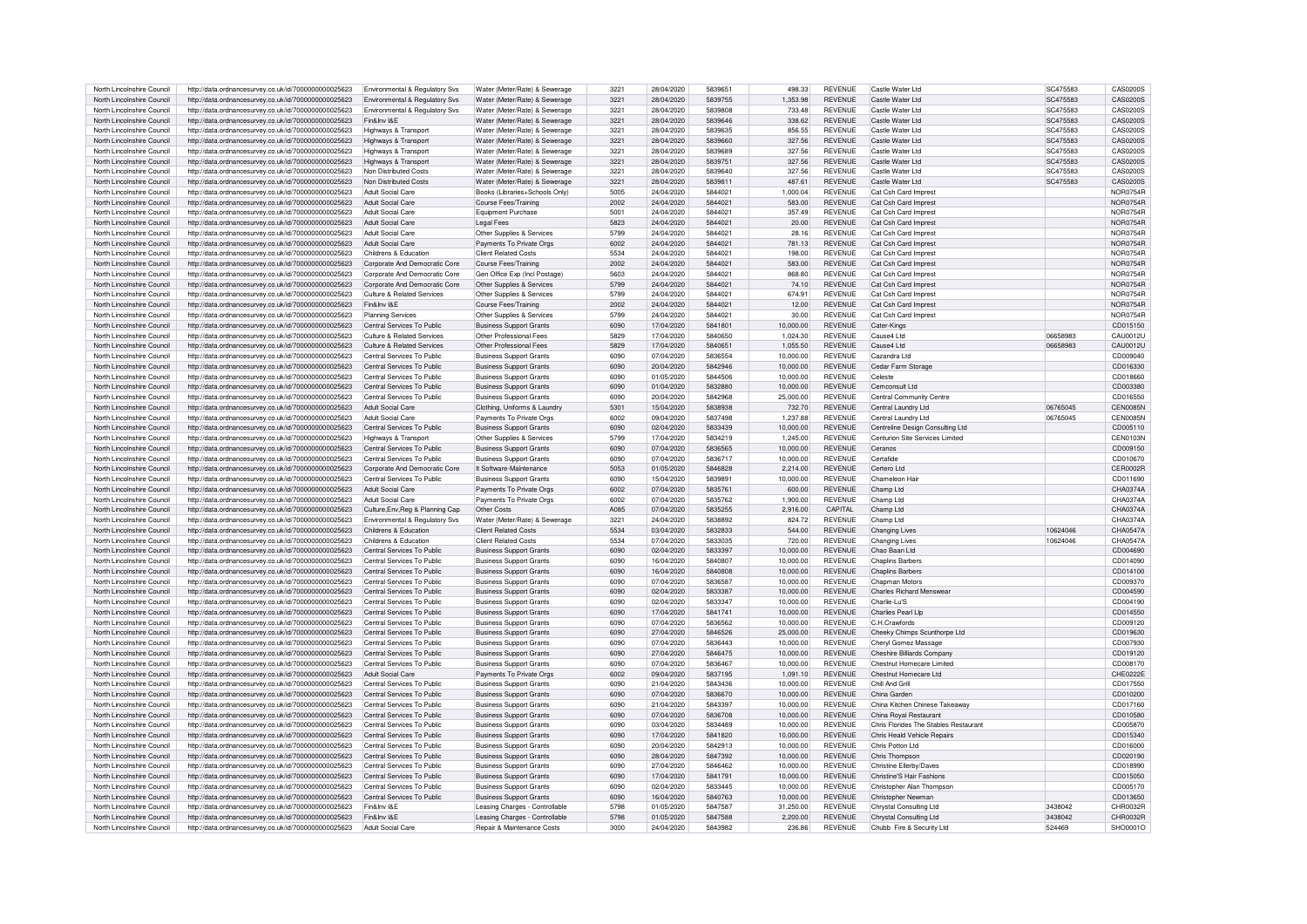| North Lincolnshire Council | http://data.ordnancesurvey.co.uk/id/7000000000025623 | Environmental & Regulatory Svs            | Water (Meter/Rate) & Sewerage  | 3221 | 28/04/2020 | 5839651 | 498.33    | <b>REVENUE</b> | Castle Water Ltd                      | SC475583 | CAS02005        |
|----------------------------|------------------------------------------------------|-------------------------------------------|--------------------------------|------|------------|---------|-----------|----------------|---------------------------------------|----------|-----------------|
|                            |                                                      |                                           |                                |      |            | 5839755 | 1.353.98  | <b>REVENUE</b> | Castle Water Ltd                      | SC475583 | CAS0200S        |
| North Lincolnshire Council | http://data.ordnancesurvey.co.uk/id/7000000000025623 | Environmental & Regulatory Sys            | Water (Meter/Rate) & Sewerage  | 3221 | 28/04/2020 |         |           |                |                                       |          |                 |
| North Lincolnshire Council | http://data.ordnancesurvey.co.uk/id/7000000000025623 | Environmental & Regulatory Svs            | Water (Meter/Bate) & Sewerage  | 3221 | 28/04/2020 | 5839808 | 733.48    | <b>REVENUE</b> | Castle Water Ltd                      | SC475583 | CAS02005        |
| North Lincolnshire Council | http://data.ordnancesurvey.co.uk/id/7000000000025623 | Fin&Inv I&E                               | Water (Meter/Rate) & Sewerage  | 3221 | 28/04/2020 | 5839646 | 338.62    | <b>REVENUE</b> | Castle Water Ltd                      | SC475583 | CAS0200S        |
| North Lincolnshire Council | http://data.ordnancesurvey.co.uk/id/7000000000025623 | Highways & Transport                      | Water (Meter/Rate) & Sewerage  | 3221 | 28/04/2020 | 5839635 | 856.55    | <b>REVENUE</b> | Castle Water Ltd                      | SC475583 | CAS0200S        |
| North Lincolnshire Council | http://data.ordnancesurvey.co.uk/id/7000000000025623 | Highways & Transport                      | Water (Meter/Rate) & Sewerage  | 3221 | 28/04/2020 | 5839660 | 327.56    | <b>REVENUE</b> | Castle Water Ltd                      | SC475583 | CAS0200S        |
| North Lincolnshire Council | http://data.ordnancesurvey.co.uk/id/7000000000025623 | Highways & Transport                      | Water (Meter/Bate) & Sewerage  | 3221 | 28/04/2020 | 5839689 | 327.56    | <b>REVENUE</b> | Castle Water Ltd                      | SC475583 | CAS02005        |
|                            |                                                      |                                           |                                |      |            |         |           | <b>REVENUE</b> |                                       |          |                 |
| North Lincolnshire Council | http://data.ordnancesurvey.co.uk/id/7000000000025623 | Highways & Transport                      | Water (Meter/Rate) & Sewerage  | 3221 | 28/04/2020 | 5839751 | 327.56    |                | Castle Water Ltd                      | SC475583 | CAS0200S        |
| North Lincolnshire Council | http://data.ordnancesurvey.co.uk/id/7000000000025623 | Non Distributed Costs                     | Water (Meter/Rate) & Sewerage  | 3221 | 28/04/2020 | 5839640 | 327.56    | <b>REVENUE</b> | Castle Water Ltd                      | SC475583 | CAS02005        |
| North Lincolnshire Council | http://data.ordnancesurvey.co.uk/id/7000000000025623 | Non Distributed Costs                     | Water (Meter/Rate) & Sewerage  | 3221 | 28/04/2020 | 5839811 | 487.61    | <b>REVENUE</b> | Castle Water Ltd                      | SC475583 | CAS0200S        |
| North Lincolnshire Council | http://data.ordnancesurvey.co.uk/id/7000000000025623 | Adult Social Care                         | Books (Libraries+Schools Only) | 5005 | 24/04/2020 | 5844021 | 1.000.04  | <b>REVENUE</b> | Cat Csh Card Imprest                  |          | <b>NOR0754R</b> |
| North Lincolnshire Council | http://data.ordnancesurvey.co.uk/id/7000000000025623 | Adult Social Care                         | Course Fees/Training           | 2002 | 24/04/2020 | 5844021 | 583.00    | <b>REVENUE</b> | Cat Csh Card Imprest                  |          | <b>NOR0754R</b> |
| North Lincolnshire Council | http://data.ordnancesurvey.co.uk/id/7000000000025623 | Adult Social Care                         | Equipment Purchase             | 5001 | 24/04/2020 | 5844021 | 357.49    | <b>REVENUE</b> | Cat Csh Card Imprest                  |          | NOR0754F        |
|                            |                                                      |                                           |                                |      |            |         |           |                |                                       |          |                 |
| North Lincolnshire Council | http://data.ordnancesurvey.co.uk/id/7000000000025623 | Adult Social Care                         | <b>Legal Fees</b>              | 5823 | 24/04/2020 | 5844021 | 20.00     | <b>REVENUE</b> | Cat Csh Card Imprest                  |          | <b>NOR0754F</b> |
| North Lincolnshire Council | http://data.ordnancesurvey.co.uk/id/7000000000025623 | Adult Social Care                         | Other Supplies & Services      | 5799 | 24/04/2020 | 5844021 | 28.16     | <b>REVENUE</b> | Cat Csh Card Imprest                  |          | <b>NOR0754R</b> |
| North Lincolnshire Council | http://data.ordnancesurvey.co.uk/id/7000000000025623 | Adult Social Care                         | Payments To Private Orgs       | 6002 | 24/04/2020 | 5844021 | 781.13    | REVENUE        | Cat Csh Card Imprest                  |          | <b>NOR0754R</b> |
| North Lincolnshire Council | http://data.ordnancesurvey.co.uk/id/7000000000025623 | Childrens & Education                     | <b>Client Related Costs</b>    | 5534 | 24/04/2020 | 5844021 | 198.00    | <b>REVENUE</b> | Cat Csh Card Impres                   |          | NOR0754F        |
| North Lincolnshire Council | http://data.ordnancesurvey.co.uk/id/7000000000025623 | Corporate And Democratic Core             | Course Fees/Training           | 2002 | 24/04/2020 | 5844021 | 583.00    | <b>REVENUE</b> | Cat Csh Card Imprest                  |          | <b>NOR0754R</b> |
|                            |                                                      |                                           |                                |      |            | 5844021 |           | <b>REVENUE</b> |                                       |          |                 |
| North Lincolnshire Council | http://data.ordnancesurvey.co.uk/id/7000000000025623 | Corporate And Democratic Core             | Gen Office Exp (Incl Postage)  | 5603 | 24/04/2020 |         | 868.80    |                | Cat Csh Card Imprest                  |          | <b>NOR0754R</b> |
| North Lincolnshire Council | http://data.ordnancesurvey.co.uk/id/7000000000025623 | Corporate And Democratic Core             | Other Supplies & Services      | 5799 | 24/04/2020 | 5844021 | 74.10     | <b>REVENUE</b> | Cat Csh Card Imprest                  |          | <b>NOR0754R</b> |
| North Lincolnshire Council | http://data.ordnancesurvey.co.uk/id/7000000000025623 | Culture & Related Services                | Other Supplies & Services      | 5799 | 24/04/2020 | 5844021 | 674.91    | <b>REVENUE</b> | Cat Csh Card Imprest                  |          | <b>NOR0754R</b> |
| North Lincolnshire Council | http://data.ordnancesurvey.co.uk/id/7000000000025623 | Fin&Inv I&F                               | Course Fees/Training           | 2002 | 24/04/2020 | 5844021 | 12.00     | <b>REVENUE</b> | Cat Csh Card Imprest                  |          | <b>NOR0754R</b> |
| North Lincolnshire Council | http://data.ordnancesurvey.co.uk/id/7000000000025623 | Planning Services                         | Other Supplies & Services      | 5799 | 24/04/2020 | 5844021 | 30.00     | <b>REVENUE</b> | Cat Csh Card Imprest                  |          | <b>NOR0754R</b> |
|                            |                                                      |                                           |                                |      |            |         |           |                |                                       |          |                 |
| North Lincolnshire Council | http://data.ordnancesurvey.co.uk/id/7000000000025623 | Central Services To Public                | <b>Business Support Grants</b> | 6090 | 17/04/2020 | 5841801 | 10,000,00 | <b>REVENUE</b> | Cater-Kings                           |          | CD015150        |
| North Lincolnshire Council | http://data.ordnancesurvey.co.uk/id/7000000000025623 | Culture & Related Services                | Other Professional Fees        | 5829 | 17/04/2020 | 5840650 | 1,024.30  | <b>REVENUE</b> | Cause4 Ltd                            | 06658983 | CAU0012U        |
| North Lincolnshire Council | http://data.ordnancesurvey.co.uk/id/7000000000025623 | Culture & Related Services                | Other Professional Fees        | 5829 | 17/04/2020 | 5840651 | 1,055.50  | <b>REVENUE</b> | Cause4 Ltd                            | 06658983 | CAU0012U        |
| North Lincolnshire Council | http://data.ordnancesurvey.co.uk/id/7000000000025623 | Central Services To Public                | <b>Business Support Grants</b> | 6090 | 07/04/2020 | 5836554 | 10,000.00 | <b>REVENUE</b> | Cazandra Ltd                          |          | CD009040        |
| North Lincolnshire Council | http://data.ordnancesurvey.co.uk/id/7000000000025623 | Central Services To Public                | <b>Business Support Grants</b> | 6090 | 20/04/2020 | 5842946 | 10.000.00 | <b>REVENUE</b> | Cedar Farm Storage                    |          | CD016330        |
|                            |                                                      |                                           |                                |      |            |         |           |                |                                       |          |                 |
| North Lincolnshire Council | http://data.ordnancesurvey.co.uk/id/7000000000025623 | Central Services To Public                | <b>Business Support Grants</b> | 6090 | 01/05/2020 | 5844506 | 10.000.00 | <b>REVENUE</b> | Celeste                               |          | CD018660        |
| North Lincolnshire Council | http://data.ordnancesurvey.co.uk/id/7000000000025623 | Central Services To Public                | <b>Business Support Grants</b> | 6090 | 01/04/2020 | 5832880 | 10,000.00 | <b>REVENUE</b> | Cemconsult Ltd                        |          | CD003380        |
| North Lincolnshire Council | http://data.ordnancesurvey.co.uk/id/7000000000025623 | Central Services To Public                | <b>Business Support Grants</b> | 6090 | 20/04/2020 | 5842968 | 25,000.00 | <b>REVENUE</b> | Central Community Centre              |          | CD016550        |
| North Lincolnshire Council | http://data.ordnancesurvey.co.uk/id/7000000000025623 | Adult Social Care                         | Clothing, Uniforms & Laundry   | 5301 | 15/04/2020 | 5838938 | 732.70    | <b>REVENUE</b> | Central Laundry Ltd                   | 06765045 | <b>CEN0085N</b> |
| North Lincolnshire Council | http://data.ordnancesurvey.co.uk/id/7000000000025623 | Adult Social Care                         | Payments To Private Orgs       | 6002 | 09/04/2020 | 5837498 | 1,237.88  | <b>REVENUE</b> | Central Laundry Ltd                   | 06765045 | CEN0085N        |
| North Lincolnshire Council | http://data.ordnancesurvey.co.uk/id/7000000000025623 | Central Services To Public                |                                | 6090 | 02/04/2020 | 5833439 | 10,000.00 | <b>REVENUE</b> |                                       |          | CD005110        |
|                            |                                                      |                                           | <b>Business Support Grants</b> |      |            |         |           |                | Centreline Design Consulting Ltd      |          |                 |
| North Lincolnshire Council | http://data.ordnancesurvey.co.uk/id/7000000000025623 | Highways & Transport                      | Other Supplies & Services      | 5799 | 17/04/2020 | 5834219 | 1.245.00  | <b>REVENUE</b> | Centurion Site Services Limited       |          | <b>CEN0103N</b> |
| North Lincolnshire Council | http://data.ordnancesurvey.co.uk/id/7000000000025623 | Central Services To Public                | <b>Business Support Grants</b> | 6090 | 07/04/2020 | 5836565 | 10,000.00 | <b>REVENUE</b> | Ceranos                               |          | CD009150        |
| North Lincolnshire Council | http://data.ordnancesurvey.co.uk/id/7000000000025623 | Central Services To Public                | <b>Business Support Grants</b> | 6090 | 07/04/2020 | 5836717 | 10,000.00 | <b>REVENUE</b> | Certafide                             |          | CD010670        |
| North Lincolnshire Council | http://data.ordnancesurvey.co.uk/id/7000000000025623 | Corporate And Democratic Core             | It Software-Maintenance        | 5053 | 01/05/2020 | 5846828 | 2.214.00  | <b>REVENUE</b> | Certero Ltd                           |          | <b>CER0002F</b> |
| North Lincolnshire Council | http://data.ordnancesurvey.co.uk/id/7000000000025623 | Central Services To Public                | <b>Business Support Grants</b> | 6090 | 15/04/2020 | 5839891 | 10.000.00 | <b>REVENUE</b> | Chameleon Hai                         |          | CD011690        |
|                            |                                                      |                                           |                                |      |            |         |           |                |                                       |          |                 |
| North Lincolnshire Council | http://data.ordnancesurvey.co.uk/id/7000000000025623 | Adult Social Care                         | Payments To Private Orgs       | 6002 | 07/04/2020 | 5835761 | 600.00    | <b>REVENUE</b> | Champ I to                            |          | CHA0374A        |
| North Lincolnshire Council | http://data.ordnancesurvey.co.uk/id/7000000000025623 | <b>Adult Social Care</b>                  | Payments To Private Orgs       | 6002 | 07/04/2020 | 5835762 | 1,900.00  | <b>REVENUE</b> | Champ Ltd                             |          | CHA0374A        |
| North Lincolnshire Council | http://data.ordnancesurvey.co.uk/id/7000000000025623 | Culture, Env, Reg & Planning Cap          | Other Costs                    | A085 | 07/04/2020 | 5835255 | 2,916.00  | CAPITAL        | Champ Ltd                             |          | CHA0374A        |
| North Lincolnshire Council | http://data.ordnancesurvey.co.uk/id/7000000000025623 | <b>Fnvironmental &amp; Requlatory Sys</b> | Water (Meter/Bate) & Sewerage  | 3221 | 24/04/2020 | 5838892 | 824.72    | <b>REVENUE</b> | Champ I td                            |          | CHA0374A        |
| North Lincolnshire Council | http://data.ordnancesurvey.co.uk/id/7000000000025623 | Childrens & Education                     | <b>Client Related Costs</b>    | 5534 | 03/04/2020 | 5832833 | 544.00    | <b>REVENUE</b> | Changing Lives                        | 10624046 | <b>CHA0547A</b> |
| North Lincolnshire Council |                                                      | Childrens & Education                     | Client Related Costs           | 5534 | 07/04/2020 | 5833035 | 720.00    | <b>REVENUE</b> | Changing Lives                        | 10624046 | CHA0547A        |
|                            | http://data.ordnancesurvey.co.uk/id/7000000000025623 |                                           |                                |      |            |         |           |                |                                       |          |                 |
| North Lincolnshire Council | http://data.ordnancesurvey.co.uk/id/7000000000025623 | Central Services To Public                | <b>Business Support Grants</b> | 6090 | 02/04/2020 | 5833397 | 10.000.00 | <b>REVENUE</b> | Chao Baan Ltd                         |          | CD004690        |
| North Lincolnshire Council | http://data.ordnancesurvey.co.uk/id/7000000000025623 | Central Services To Public                | <b>Business Support Grants</b> | 6090 | 16/04/2020 | 5840807 | 10.000.00 | <b>REVENUE</b> | <b>Chaplins Barbers</b>               |          | CD014090        |
| North Lincolnshire Council | http://data.ordnancesurvey.co.uk/id/7000000000025623 | Central Services To Public                | <b>Business Support Grants</b> | 6090 | 16/04/2020 | 5840808 | 10,000.00 | <b>REVENUE</b> | <b>Chaplins Barbers</b>               |          | CD014100        |
| North Lincolnshire Council | http://data.ordnancesurvey.co.uk/id/7000000000025623 | Central Services To Public                | <b>Business Support Grants</b> | 6090 | 07/04/2020 | 5836587 | 10,000.00 | REVENUE        | Chanman Motors                        |          | CD009370        |
| North Lincolnshire Council | http://data.ordnancesurvey.co.uk/id/7000000000025623 | Central Services To Public                | <b>Business Support Grants</b> | 6090 | 02/04/2020 | 5833387 | 10.000.00 | <b>REVENUE</b> | <b>Charles Richard Menswea</b>        |          | CD004590        |
|                            |                                                      |                                           |                                |      |            |         |           |                |                                       |          |                 |
| North Lincolnshire Council | http://data.ordnancesurvey.co.uk/id/7000000000025623 | Central Services To Public                | <b>Business Support Grants</b> | 6090 | 02/04/2020 | 5833347 | 10,000.00 | <b>REVENUE</b> | Charlie-Lu'S                          |          | CD004190        |
| North Lincolnshire Council | http://data.ordnancesurvey.co.uk/id/7000000000025623 | Central Services To Public                | <b>Business Support Grants</b> | 6090 | 17/04/2020 | 5841741 | 10.000.00 | <b>REVENUE</b> | Charlies Pearl I In                   |          | CD014550        |
| North Lincolnshire Council | http://data.ordnancesurvev.co.uk/id/7000000000025623 | Central Services To Public                | <b>Business Support Grants</b> | 6090 | 07/04/2020 | 5836562 | 10,000.00 | <b>REVENUE</b> | C.H.Crawfords                         |          | CD009120        |
| North Lincolnshire Council | http://data.ordnancesurvey.co.uk/id/7000000000025623 | Central Services To Public                | <b>Business Support Grants</b> | 6090 | 27/04/2020 | 5846526 | 25,000.00 | <b>REVENUE</b> | Cheeky Chimps Scunthorpe Ltd          |          | CD019630        |
| North Lincolnshire Council | http://data.ordnancesurvey.co.uk/id/7000000000025623 | Central Services To Public                | <b>Business Support Grants</b> | 6090 | 07/04/2020 | 5836443 | 10.000.00 | <b>REVENUE</b> | Cheryl Gomez Massage                  |          | CD007930        |
| North Lincolnshire Council |                                                      | Central Services To Public                |                                | 6090 | 27/04/2020 | 5846475 | 10,000.00 | <b>REVENUE</b> | <b>Cheshire Billiards Compan</b>      |          | CD019120        |
|                            | http://data.ordnancesurvey.co.uk/id/7000000000025623 |                                           | <b>Business Support Grants</b> |      |            |         |           |                |                                       |          |                 |
| North Lincolnshire Council | http://data.ordnancesurvey.co.uk/id/7000000000025623 | Central Services To Public                | <b>Business Support Grants</b> | 6090 | 07/04/2020 | 5836467 | 10.000.00 | <b>REVENUE</b> | Chestnut Homecare Limited             |          | CD008170        |
| North Lincolnshire Council | http://data.ordnancesurvey.co.uk/id/7000000000025623 | Adult Social Care                         | Payments To Private Orgs       | 6002 | 09/04/2020 | 5837195 | 1,091.10  | <b>REVENUE</b> | Chestnut Homecare Ltd                 |          | CHE0222E        |
| North Lincolnshire Council | http://data.ordnancesurvey.co.uk/id/7000000000025623 | Central Services To Public                | <b>Business Support Grants</b> | 6090 | 21/04/2020 | 5843436 | 10.000.00 | <b>REVENUE</b> | Chill And Grill                       |          | CD017550        |
| North Lincolnshire Council | http://data.ordnancesurvey.co.uk/id/7000000000025623 | Central Services To Public                | <b>Business Support Grants</b> | 6090 | 07/04/2020 | 5836670 | 10,000.00 | <b>REVENUE</b> | China Garden                          |          | CD010200        |
| North Lincolnshire Council | http://data.ordnancesurvey.co.uk/id/7000000000025623 | Central Services To Public                | <b>Business Support Grants</b> | 6090 | 21/04/2020 | 5843397 | 10,000.00 | <b>REVENUE</b> | China Kitchen Chinese Takeaway        |          | CD017160        |
| North Lincolnshire Council |                                                      | Central Services To Public                |                                | 6090 | 07/04/2020 | 5836708 | 10.000.00 | <b>REVENUE</b> | China Roval Restaurant                |          |                 |
|                            | http://data.ordnancesurvey.co.uk/id/7000000000025623 |                                           | <b>Business Support Grants</b> |      |            |         |           |                |                                       |          | CD010580        |
| North Lincolnshire Council | http://data.ordnancesurvey.co.uk/id/7000000000025623 | Central Services To Public                | <b>Business Support Grants</b> | 6090 | 03/04/2020 | 5834489 | 10,000.00 | <b>REVENUE</b> | Chris Florides The Stables Restaurant |          | CD005870        |
| North Lincolnshire Council | http://data.ordnancesurvey.co.uk/id/7000000000025623 | Central Services To Public                | <b>Business Support Grants</b> | 6090 | 17/04/2020 | 5841820 | 10,000.00 | <b>REVENUE</b> | Chris Heald Vehicle Repairs           |          | CD015340        |
| North Lincolnshire Council | http://data.ordnancesurvey.co.uk/id/7000000000025623 | Central Services To Public                | <b>Business Support Grants</b> | 6090 | 20/04/2020 | 5842913 | 10.000.00 | <b>REVENUE</b> | Chris Potton Ltd                      |          | CD016000        |
| North Lincolnshire Council | http://data.ordnancesurvey.co.uk/id/7000000000025623 | Central Services To Public                | <b>Business Support Grants</b> | 6090 | 28/04/2020 | 5847392 | 10.000.00 | <b>REVENUE</b> | Chris Thompson                        |          | CD020190        |
| North Lincolnshire Council | http://data.ordnancesurvey.co.uk/id/7000000000025623 | Central Services To Public                | <b>Business Support Grants</b> | 6090 | 27/04/2020 | 5846462 | 10.000.00 | <b>REVENUE</b> | Christine Ellerby/Daves               |          | CD018990        |
|                            |                                                      |                                           |                                |      |            |         |           |                |                                       |          |                 |
| North Lincolnshire Council | http://data.ordnancesurvey.co.uk/id/7000000000025623 | Central Services To Public                | <b>Business Support Grants</b> | 6090 | 17/04/2020 | 5841791 | 10,000.00 | <b>REVENUE</b> | Christine'S Hair Fashions             |          | CD015050        |
| North Lincolnshire Council | http://data.ordnancesurvey.co.uk/id/7000000000025623 | Central Services To Public                | <b>Business Support Grants</b> | 6090 | 02/04/2020 | 5833445 | 10,000.00 | <b>REVENUE</b> | Christopher Alan Thompson             |          | CD005170        |
| North Lincolnshire Council | http://data.ordnancesurvey.co.uk/id/7000000000025623 | Central Services To Public                | <b>Business Support Grants</b> | 6090 | 16/04/2020 | 5840763 | 10,000.00 | <b>REVENUE</b> | Christopher Newman                    |          | CD013650        |
| North Lincolnshire Council | http://data.ordnancesurvey.co.uk/id/7000000000025623 | Fin&Inv I&E                               | Leasing Charges - Controllable | 5798 | 01/05/2020 | 5847587 | 31.250.00 | <b>REVENUE</b> | Chrystal Consulting Ltd               | 3438042  | CHR0032R        |
| North Lincolnshire Council | http://data.ordnancesurvey.co.uk/id/7000000000025623 | Fin&Inv I&E                               | Leasing Charges - Controllable | 5798 | 01/05/2020 | 5847588 | 2,200.00  | <b>REVENUE</b> | Chrystal Consulting Ltd               | 3438042  | CHR0032R        |
|                            | http://data.ordnancesurvey.co.uk/id/7000000000025623 | Adult Social Care                         | Repair & Maintenance Costs     | 3000 | 24/04/2020 | 5843982 | 236.86    | <b>REVENUE</b> | Chubb Fire & Security Ltd             | 524469   | SHO0001O        |
| North Lincolnshire Council |                                                      |                                           |                                |      |            |         |           |                |                                       |          |                 |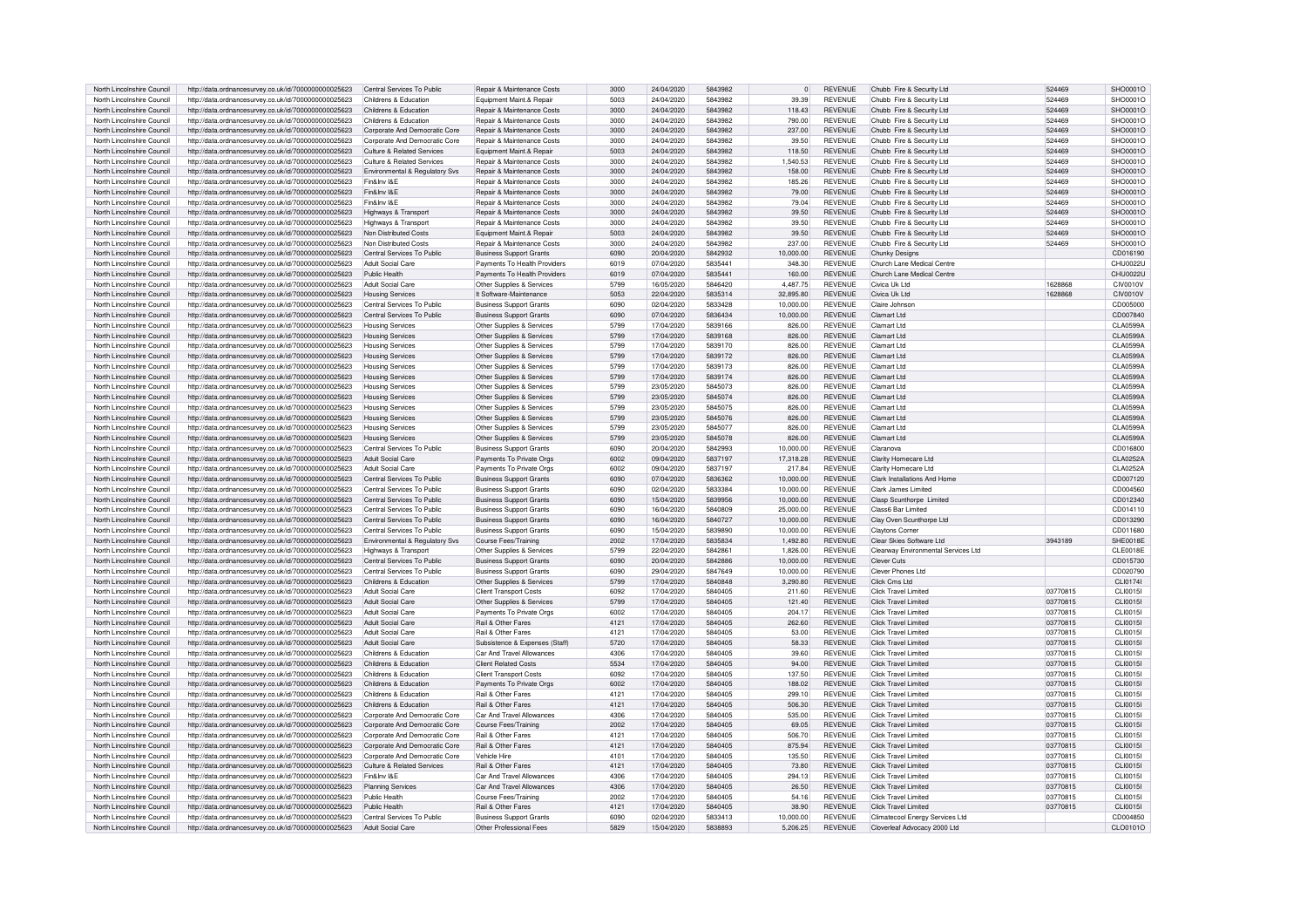| North Lincolnshire Council                               | http://data.ordnancesurvey.co.uk/id/7000000000025623                                                         | Central Services To Public                      | Repair & Maintenance Costs                                | 3000         | 24/04/2020               | 5843982            | $\mathbf{0}$          | <b>REVENUE</b>            | Chubb Fire & Security Ltd                                       | 524469   | SHO0001O             |
|----------------------------------------------------------|--------------------------------------------------------------------------------------------------------------|-------------------------------------------------|-----------------------------------------------------------|--------------|--------------------------|--------------------|-----------------------|---------------------------|-----------------------------------------------------------------|----------|----------------------|
| North Lincolnshire Council                               | http://data.ordnancesurvey.co.uk/id/7000000000025623                                                         | Childrens & Education                           | Equipment Maint.& Repair                                  | 5003         | 24/04/2020               | 5843982            | 39.39                 | <b>REVENUE</b>            | Chubb Fire & Security Ltd                                       | 524469   | SHO0001O             |
|                                                          |                                                                                                              |                                                 |                                                           |              |                          |                    |                       |                           |                                                                 |          |                      |
| North Lincolnshire Council                               | http://data.ordnancesurvey.co.uk/id/7000000000025623                                                         | Childrens & Education                           | Repair & Maintenance Costs                                | 3000         | 24/04/2020               | 5843982            | 118.43                | <b>REVENUE</b>            | Chubb Fire & Security Ltd                                       | 524469   | SHO0001O             |
| North Lincolnshire Council                               | http://data.ordnancesurvey.co.uk/id/7000000000025623                                                         | Childrens & Education                           | Repair & Maintenance Costs                                | 3000         | 24/04/2020               | 5843982            | 790.00                | <b>REVENUE</b>            | Chubb Fire & Security Ltd                                       | 524469   | SHO0001O             |
| North Lincolnshire Council                               | http://data.ordnancesurvey.co.uk/id/7000000000025623                                                         | Corporate And Democratic Core                   | Repair & Maintenance Costs                                | 3000         | 24/04/2020               | 5843982            | 237.00                | <b>REVENUE</b>            | Chubb Fire & Security Ltd                                       | 524469   | SHO0001O             |
| North Lincolnshire Council                               | http://data.ordnancesurvey.co.uk/id/7000000000025623                                                         | Corporate And Democratic Core                   | Repair & Maintenance Costs                                | 3000         | 24/04/2020               | 5843982            | 39.50                 | <b>REVENUE</b>            | Chubb Fire & Security Ltd                                       | 524469   | SHO0001O             |
| North Lincolnshire Council                               | http://data.ordnancesurvey.co.uk/id/7000000000025623                                                         | Culture & Related Services                      | Equipment Maint.& Repair                                  | 5003         | 24/04/2020               | 5843982            | 118.50                | <b>REVENUE</b>            | Chubb Fire & Security Ltd                                       | 524469   | SHO0001O             |
| North Lincolnshire Council                               | http://data.ordnancesurvey.co.uk/id/7000000000025623                                                         | Culture & Related Services                      | Repair & Maintenance Costs                                | 3000         | 24/04/2020               | 5843982            | 1,540.53              | <b>REVENUE</b>            | Chubb Fire & Security Ltd                                       | 524469   | SHO0001O             |
|                                                          |                                                                                                              |                                                 |                                                           |              |                          |                    |                       |                           |                                                                 |          |                      |
| North Lincolnshire Council                               | http://data.ordnancesurvey.co.uk/id/7000000000025623                                                         | Environmental & Regulatory Svs                  | Repair & Maintenance Costs                                | 3000         | 24/04/2020               | 5843982            | 158.00                | <b>REVENUE</b>            | Chubb Fire & Security Ltd                                       | 524469   | SHO0001O             |
| North Lincolnshire Council                               | http://data.ordnancesurvey.co.uk/id/7000000000025623                                                         | Fin&Inv I&E                                     | Repair & Maintenance Costs                                | 3000         | 24/04/2020               | 5843982            | 185.26                | <b>REVENUE</b>            | Chubb Fire & Security Ltd                                       | 524469   | SHO0001O             |
| North Lincolnshire Council                               | http://data.ordnancesurvey.co.uk/id/7000000000025623                                                         | Fin&Inv I&E                                     | Repair & Maintenance Costs                                | 3000         | 24/04/2020               | 5843982            | 79.00                 | <b>REVENUE</b>            | Chubb Fire & Security Ltd                                       | 524469   | SHO0001O             |
| North Lincolnshire Council                               | http://data.ordnancesurvey.co.uk/id/7000000000025623                                                         | Fin&Inv I&F                                     | <b>Benair &amp; Maintenance Costs</b>                     | 3000         | 24/04/2020               | 5843982            | 79.04                 | <b>REVENUE</b>            | Chubb Fire & Security Ltd                                       | 524469   | SHO0001O             |
| North Lincolnshire Council                               | http://data.ordnancesurvey.co.uk/id/7000000000025623                                                         | Highways & Transport                            | Repair & Maintenance Costs                                | 3000         | 24/04/2020               | 5843982            | 39.50                 | <b>REVENUE</b>            | Chubb Fire & Security Ltd                                       | 524469   | SHO0001O             |
|                                                          |                                                                                                              |                                                 |                                                           | 3000         | 24/04/2020               | 5843982            | 39.50                 | <b>REVENUE</b>            |                                                                 | 524469   |                      |
| North Lincolnshire Council                               | http://data.ordnancesurvey.co.uk/id/7000000000025623                                                         | Highways & Transport                            | Repair & Maintenance Costs                                |              |                          |                    |                       |                           | Chubb Fire & Security Ltd                                       |          | SHO0001O             |
| North Lincolnshire Council                               | http://data.ordnancesurvey.co.uk/id/7000000000025623                                                         | Non Distributed Costs                           | Foujoment Maint & Repair                                  | 5003         | 24/04/2020               | 5843982            | 39.50                 | <b>REVENUE</b>            | Chubb Fire & Security Ltd                                       | 524469   | SHO0001O             |
| North Lincolnshire Council                               | http://data.ordnancesurvey.co.uk/id/7000000000025623                                                         | Non Distributed Costs                           | Repair & Maintenance Costs                                | 3000         | 24/04/2020               | 5843982            | 237.00                | <b>REVENUE</b>            | Chubb Fire & Security Ltd                                       | 524469   | SHO0001O             |
| North Lincolnshire Council                               | http://data.ordnancesurvey.co.uk/id/7000000000025623                                                         | Central Services To Public                      | <b>Business Support Grants</b>                            | 6090         | 20/04/2020               | 5842932            | 10.000.00             | <b>REVENUE</b>            | Chunky Designs                                                  |          | CD016190             |
| North Lincolnshire Council                               | http://data.ordnancesurvey.co.uk/id/7000000000025623                                                         | Adult Social Care                               | Payments To Health Providers                              | 6019         | 07/04/2020               | 5835441            | 348.30                | <b>REVENUE</b>            | Church Lane Medical Centre                                      |          | CHU0022U             |
| North Lincolnshire Council                               |                                                                                                              | Public Health                                   |                                                           | 6019         | 07/04/2020               | 5835441            | 160.00                | <b>REVENUE</b>            | Church Lane Medical Centre                                      |          | CHU0022U             |
|                                                          | http://data.ordnancesurvey.co.uk/id/7000000000025623                                                         |                                                 | Payments To Health Providers                              |              |                          |                    |                       |                           |                                                                 |          |                      |
| North Lincolnshire Council                               | http://data.ordnancesurvey.co.uk/id/7000000000025623                                                         | Adult Social Care                               | Other Supplies & Services                                 | 5799         | 16/05/2020               | 5846420            | 4,487.75              | <b>REVENUE</b>            | Civica Uk I td                                                  | 1628868  | <b>CIV0010V</b>      |
| North Lincolnshire Council                               | http://data.ordnancesurvey.co.uk/id/7000000000025623                                                         | <b>Housing Services</b>                         | It Software-Maintenance                                   | 5053         | 22/04/2020               | 5835314            | 32.895.80             | <b>REVENUE</b>            | Civica Uk Ltd                                                   | 1628868  | <b>CIV0010V</b>      |
| North Lincolnshire Council                               | http://data.ordnancesurvey.co.uk/id/7000000000025623                                                         | Central Services To Public                      | <b>Business Support Grants</b>                            | 6090         | 02/04/2020               | 5833428            | 10.000.00             | <b>REVENUE</b>            | Claire Johnsor                                                  |          | CD005000             |
| North Lincolnshire Council                               | http://data.ordnancesurvey.co.uk/id/7000000000025623                                                         | Central Services To Public                      | <b>Business Support Grants</b>                            | 6090         | 07/04/2020               | 5836434            | 10,000.00             | <b>REVENUE</b>            | Clamart I td                                                    |          | CD007840             |
|                                                          |                                                                                                              |                                                 |                                                           |              |                          | 5839166            |                       | <b>REVENUE</b>            | Clamart I td                                                    |          |                      |
| North Lincolnshire Council                               | http://data.ordnancesurvey.co.uk/id/7000000000025623                                                         | <b>Housing Services</b>                         | Other Supplies & Services                                 | 5799         | 17/04/2020               |                    | 826.00                |                           |                                                                 |          | CLA0599A             |
| North Lincolnshire Council                               | http://data.ordnancesurvey.co.uk/id/7000000000025623                                                         | <b>Housing Services</b>                         | Other Supplies & Services                                 | 5799         | 17/04/2020               | 5839168            | 826.00                | <b>REVENUE</b>            | <b>Clamart Ltd</b>                                              |          | <b>CLA0599A</b>      |
| North Lincolnshire Council                               | http://data.ordnancesurvey.co.uk/id/7000000000025623                                                         | <b>Housing Services</b>                         | Other Supplies & Services                                 | 5799         | 17/04/2020               | 5839170            | 826.00                | <b>REVENUE</b>            | Clamart I td                                                    |          | CLA0599A             |
| North Lincolnshire Council                               | http://data.ordnancesurvey.co.uk/id/7000000000025623                                                         | <b>Housing Services</b>                         | Other Supplies & Services                                 | 5799         | 17/04/2020               | 5839172            | 826.00                | <b>REVENUE</b>            | Clamart I td                                                    |          | CLA0599A             |
| North Lincolnshire Council                               | http://data.ordnancesurvey.co.uk/id/7000000000025623                                                         | <b>Housing Services</b>                         | Other Supplies & Services                                 | 5799         | 17/04/2020               | 5839173            | 826.00                | <b>REVENUE</b>            | Clamart Ltd                                                     |          | CLA0599A             |
|                                                          |                                                                                                              |                                                 |                                                           |              |                          |                    |                       |                           |                                                                 |          |                      |
| North Lincolnshire Council                               | http://data.ordnancesurvey.co.uk/id/7000000000025623                                                         | <b>Housing Services</b>                         | Other Supplies & Services                                 | 5799         | 17/04/2020               | 5839174            | 826.00                | <b>REVENUE</b>            | <b>Clamart Ltd</b>                                              |          | CLA0599A             |
| North Lincolnshire Council                               | http://data.ordnancesurvey.co.uk/id/7000000000025623                                                         | <b>Housing Services</b>                         | Other Supplies & Services                                 | 5799         | 23/05/2020               | 5845073            | 826.00                | <b>REVENUE</b>            | Clamart Ltd                                                     |          | CLA0599/             |
| North Lincolnshire Council                               | http://data.ordnancesurvey.co.uk/id/7000000000025623                                                         | <b>Housing Services</b>                         | Other Supplies & Service                                  | 5799         | 23/05/2020               | 5845074            | 826.00                | <b>REVENUE</b>            | <b>Clamart Ltd</b>                                              |          | CLA0599A             |
| North Lincolnshire Council                               | http://data.ordnancesurvey.co.uk/id/7000000000025623                                                         | <b>Housing Services</b>                         | Other Supplies & Services                                 | 5799         | 23/05/2020               | 5845075            | 826.00                | <b>REVENUE</b>            | Clamart Ltd                                                     |          | CLA0599A             |
| North Lincolnshire Council                               | http://data.ordnancesurvey.co.uk/id/7000000000025623                                                         | <b>Housing Services</b>                         | Other Supplies & Services                                 | 5799         | 23/05/2020               | 5845076            | 826.00                | <b>REVENUE</b>            | Clamart I td                                                    |          | CLA0599A             |
|                                                          |                                                                                                              |                                                 |                                                           |              |                          |                    |                       |                           |                                                                 |          |                      |
| North Lincolnshire Council                               | http://data.ordnancesurvey.co.uk/id/7000000000025623                                                         | <b>Housing Services</b>                         | Other Supplies & Services                                 | 5799         | 23/05/2020               | 5845077            | 826.00                | <b>REVENUE</b>            | Clamart Ltd                                                     |          | CLA0599A             |
| North Lincolnshire Council                               | http://data.ordnancesurvey.co.uk/id/7000000000025623                                                         | <b>Housing Services</b>                         | Other Supplies & Services                                 | 5799         | 23/05/2020               | 5845078            | 826.00                | <b>REVENUE</b>            | Clamart I td                                                    |          | <b>CLA0599A</b>      |
| North Lincolnshire Council                               | http://data.ordnancesurvey.co.uk/id/7000000000025623                                                         | Central Services To Public                      | <b>Business Support Grants</b>                            | 6090         | 20/04/2020               | 5842993            | 10.000.00             | <b>REVENUE</b>            | Claranova                                                       |          | CD016800             |
| North Lincolnshire Council                               | http://data.ordnancesurvey.co.uk/id/7000000000025623                                                         | <b>Adult Social Care</b>                        | Payments To Private Orgs                                  | 6002         | 09/04/2020               | 5837197            | 17,318.28             | <b>REVENUE</b>            | Clarity Homecare I td                                           |          | <b>CLA0252A</b>      |
| North Lincolnshire Council                               | http://data.ordnancesurvey.co.uk/id/7000000000025623                                                         | Adult Social Care                               | Payments To Private Orgs                                  | 6002         | 09/04/2020               | 5837197            | 217.84                | <b>REVENUE</b>            | Clarity Homecare Ltd                                            |          | CLA0252A             |
|                                                          |                                                                                                              | Central Services To Public                      |                                                           | 6090         | 07/04/2020               | 5836362            | 10.000.00             | <b>REVENUE</b>            |                                                                 |          |                      |
| North Lincolnshire Council                               | http://data.ordnancesurvey.co.uk/id/7000000000025623                                                         |                                                 | <b>Business Support Grants</b>                            |              |                          |                    |                       |                           | Clark Installations And Home                                    |          | CD007120             |
| North Lincolnshire Council                               | http://data.ordnancesurvey.co.uk/id/7000000000025623                                                         | Central Services To Public                      | <b>Business Support Grants</b>                            | 6090         | 02/04/2020               | 5833384            | 10.000.00             | <b>REVENUE</b>            | Clark James Limited                                             |          | CD004560             |
| North Lincolnshire Council                               | http://data.ordnancesurvey.co.uk/id/7000000000025623                                                         | Central Services To Public                      | <b>Business Support Grants</b>                            | 6090         | 15/04/2020               | 5839956            | 10,000.00             | <b>REVENUE</b>            | Clasp Scunthorpe Limited                                        |          | CD012340             |
| North Lincolnshire Council                               | http://data.ordnancesurvey.co.uk/id/7000000000025623                                                         | Central Services To Public                      | <b>Business Support Grants</b>                            | 6090         | 16/04/2020               | 5840809            | 25,000.00             | <b>REVENUE</b>            | Class6 Bar Limited                                              |          | CD014110             |
| North Lincolnshire Council                               | http://data.ordnancesurvey.co.uk/id/7000000000025623                                                         | Central Services To Public                      | <b>Business Support Grants</b>                            | 6090         | 16/04/2020               | 5840727            | 10,000.00             | <b>REVENUE</b>            | Clay Oven Scunthorpe Ltd                                        |          | CD013290             |
|                                                          |                                                                                                              |                                                 |                                                           |              |                          |                    |                       |                           |                                                                 |          |                      |
| North Lincolnshire Council                               | http://data.ordnancesurvey.co.uk/id/7000000000025623                                                         | Central Services To Public                      | <b>Business Support Grants</b>                            | 6090         | 15/04/2020               | 5839890            | 10.000.00             | <b>REVENUE</b>            | Claytons Corner                                                 |          | CD011680             |
| North Lincolnshire Council                               | http://data.ordnancesurvey.co.uk/id/7000000000025623                                                         | Environmental & Regulatory Svs                  | Course Fees/Training                                      | 2002         | 17/04/2020               | 5835834            | 1.492.80              | <b>REVENUE</b>            | Clear Skies Software Ltd                                        | 3943189  | SHF0018F             |
| North Lincolnshire Council                               | http://data.ordnancesurvey.co.uk/id/7000000000025623                                                         | Highways & Transport                            | Other Supplies & Services                                 | 5799         | 22/04/2020               | 5842861            | 1,826.00              | <b>REVENUE</b>            | Clearway Environmental Services Ltd                             |          | CLE0018E             |
| North Lincolnshire Council                               | http://data.ordnancesurvey.co.uk/id/7000000000025623                                                         | Central Services To Public                      | <b>Business Support Grants</b>                            | 6090         | 20/04/2020               | 5842886            | 10,000.00             | <b>REVENUE</b>            | Clever Cuts                                                     |          | CD015730             |
| North Lincolnshire Council                               | http://data.ordnancesurvey.co.uk/id/7000000000025623                                                         | Central Services To Public                      | <b>Business Support Grants</b>                            | 6090         | 29/04/2020               | 5847649            | 10.000.00             | <b>REVENUE</b>            | Clever Phones Ltd                                               |          | CD020790             |
| North Lincolnshire Council                               |                                                                                                              | Childrens & Education                           | Other Supplies & Services                                 | 5799         | 17/04/2020               | 5840848            | 3.290.80              | <b>REVENUE</b>            | Click Cms Ltd                                                   |          | CLI0174              |
|                                                          | http://data.ordnancesurvey.co.uk/id/7000000000025623                                                         |                                                 |                                                           |              |                          |                    |                       |                           |                                                                 |          |                      |
| North Lincolnshire Council                               | http://data.ordnancesurvey.co.uk/id/7000000000025623                                                         | Adult Social Care                               | <b>Client Transport Costs</b>                             | 6092         | 17/04/2020               | 5840405            | 211.60                | <b>REVENUE</b>            | <b>Click Travel Limited</b>                                     | 03770815 | CLI0015I             |
| North Lincolnshire Council                               | http://data.ordnancesurvey.co.uk/id/7000000000025623                                                         | <b>Adult Social Care</b>                        | Other Supplies & Services                                 | 5799         | 17/04/2020               | 5840405            | 121.40                | <b>REVENUE</b>            | <b>Click Travel Limited</b>                                     | 03770815 | CLI0015I             |
| North Lincolnshire Council                               | http://data.ordnancesurvey.co.uk/id/7000000000025623                                                         | Adult Social Care                               | Payments To Private Orgs                                  | 6002         | 17/04/2020               | 5840405            | 204.17                | <b>REVENUE</b>            | Click Travel Limited                                            | 03770815 | CLI0015              |
| North Lincolnshire Council                               | http://data.ordnancesurvey.co.uk/id/7000000000025623                                                         | <b>Adult Social Care</b>                        | Rail & Other Fares                                        | 4121         | 17/04/2020               | 5840405            | 262.60                | <b>REVENUE</b>            | <b>Click Travel Limited</b>                                     | 03770815 | CLI0015L             |
| North Lincolnshire Council                               | http://data.ordnancesurvey.co.uk/id/7000000000025623                                                         | Adult Social Care                               | Rail & Other Fares                                        | 4121         | 17/04/2020               | 5840405            | 53.00                 | <b>REVENUE</b>            | Click Travel Limited                                            | 03770815 | CLI0015L             |
|                                                          |                                                                                                              |                                                 |                                                           |              |                          |                    |                       |                           |                                                                 |          |                      |
| North Lincolnshire Council                               | http://data.ordnancesurvey.co.uk/id/7000000000025623                                                         | <b>Adult Social Care</b>                        | Subsistence & Expenses (Staff                             | 5720         | 17/04/2020               | 5840405            | 58.33                 | <b>REVENUE</b>            | <b>Click Travel Limited</b>                                     | 03770815 | CLI0015I             |
| North Lincolnshire Council                               | http://data.ordnancesurvey.co.uk/id/7000000000025623                                                         | Childrens & Education                           | Car And Travel Allowances                                 | 4306         | 17/04/2020               | 5840405            | 39.60                 | <b>REVENUE</b>            | Click Travel Limited                                            | 03770815 | CLI0015              |
| North Lincolnshire Council                               | http://data.ordnancesurvey.co.uk/id/7000000000025623                                                         | Childrens & Education                           | <b>Client Related Costs</b>                               | 5534         | 17/04/2020               | 5840405            | 94.00                 | <b>REVENUE</b>            | Click Travel Limited                                            | 03770815 | CLI0015              |
| North Lincolnshire Council                               | http://data.ordnancesurvey.co.uk/id/7000000000025623                                                         | Childrens & Education                           | <b>Client Transport Costs</b>                             | 6092         | 17/04/2020               | 5840405            | 137.50                | <b>REVENUE</b>            | <b>Click Travel Limited</b>                                     | 03770815 | CLI0015I             |
| North Lincolnshire Council                               | http://data.ordnancesurvey.co.uk/id/7000000000025623                                                         | Childrens & Education                           | Payments To Private Orgs                                  | 6002         | 17/04/2020               | 5840405            | 188.02                | <b>REVENUE</b>            | <b>Click Travel Limited</b>                                     | 03770815 | CLI0015I             |
| North Lincolnshire Council                               |                                                                                                              | Childrens & Education                           | <b>Bail &amp; Other Fares</b>                             | 4121         | 17/04/2020               | 5840405            | 299.10                | <b>REVENUE</b>            | Click Travel Limited                                            | 03770815 | CLI0015I             |
|                                                          | http://data.ordnancesurvey.co.uk/id/7000000000025623                                                         |                                                 |                                                           |              |                          |                    |                       |                           |                                                                 |          |                      |
| North Lincolnshire Council                               | http://data.ordnancesurvey.co.uk/id/7000000000025623                                                         | Childrens & Education                           | <b>Bail &amp; Other Fares</b>                             | 4121         | 17/04/2020               | 5840405            | 506.30                | <b>REVENUE</b>            | Click Travel Limited                                            | 03770815 | <b>CLI0015I</b>      |
| North Lincolnshire Council                               | http://data.ordnancesurvey.co.uk/id/7000000000025623                                                         | Corporate And Democratic Core                   | Car And Travel Allowances                                 | 4306         | 17/04/2020               | 5840405            | 535.00                | <b>REVENUE</b>            | <b>Click Travel Limited</b>                                     | 03770815 | CLI0015              |
| North Lincolnshire Council                               | http://data.ordnancesurvey.co.uk/id/7000000000025623                                                         | Corporate And Democratic Core                   | Course Fees/Training                                      | 2002         | 17/04/2020               | 5840405            | 69.05                 | <b>REVENUE</b>            | <b>Click Travel Limited</b>                                     | 03770815 | <b>CLI0015</b>       |
| North Lincolnshire Council                               | http://data.ordnancesurvey.co.uk/id/7000000000025623                                                         | Corporate And Democratic Core                   | Rail & Other Fares                                        | 4121         | 17/04/2020               | 5840405            | 506.70                | <b>REVENUE</b>            | <b>Click Travel Limited</b>                                     | 03770815 | CLI0015I             |
|                                                          |                                                                                                              |                                                 | Rail & Other Fares                                        | 4121         | 17/04/2020               | 5840405            | 875.94                | <b>REVENUE</b>            | <b>Click Travel Limited</b>                                     | 03770815 | CLI0015              |
|                                                          |                                                                                                              |                                                 |                                                           |              |                          |                    |                       |                           |                                                                 |          |                      |
| North Lincolnshire Council                               | http://data.ordnancesurvey.co.uk/id/7000000000025623                                                         | Corporate And Democratic Core                   |                                                           |              |                          |                    |                       |                           |                                                                 |          |                      |
| North Lincolnshire Council                               | http://data.ordnancesurvey.co.uk/id/7000000000025623                                                         | Corporate And Democratic Core                   | Vehicle Hire                                              | 4101         | 17/04/2020               | 5840405            | 135.50                | <b>REVENUE</b>            | Click Travel Limited                                            | 03770815 | CLI0015              |
| North Lincolnshire Council                               | http://data.ordnancesurvey.co.uk/id/7000000000025623                                                         | Culture & Related Services                      | Rail & Other Fares                                        | 4121         | 17/04/2020               | 5840405            | 73.80                 | <b>REVENUE</b>            | <b>Click Travel Limited</b>                                     | 03770815 | <b>CLI0015</b>       |
| North Lincolnshire Council                               | http://data.ordnancesurvey.co.uk/id/7000000000025623                                                         | Fin&Inv I&F                                     | Car And Travel Allowances                                 | 4306         | 17/04/2020               | 5840405            | 294.13                | <b>REVENUE</b>            | Click Travel Limited                                            | 03770815 | CLI0015I             |
| North Lincolnshire Council                               | http://data.ordnancesurvey.co.uk/id/7000000000025623                                                         | <b>Planning Services</b>                        | Car And Travel Allowances                                 | 4306         | 17/04/2020               | 5840405            | 26.50                 | <b>REVENUE</b>            | Click Travel Limited                                            | 03770815 | CLI0015I             |
|                                                          |                                                                                                              |                                                 |                                                           |              |                          |                    |                       |                           |                                                                 |          |                      |
| North Lincolnshire Council                               | http://data.ordnancesurvey.co.uk/id/7000000000025623                                                         | Public Health                                   | Course Fees/Training                                      | 2002         | 17/04/2020               | 5840405            | 54.16                 | <b>REVENUE</b>            | Click Travel Limited                                            | 03770815 | CLI0015I             |
| North Lincolnshire Council                               | http://data.ordnancesurvey.co.uk/id/7000000000025623                                                         | Public Health                                   | Rail & Other Fares                                        | 4121         | 17/04/2020               | 5840405            | 38.90                 | <b>REVENUE</b>            | Click Travel Limited                                            | 03770815 | CLI0015I             |
| North Lincolnshire Council<br>North Lincolnshire Council | http://data.ordnancesurvey.co.uk/id/7000000000025623<br>http://data.ordnancesurvey.co.uk/id/7000000000025623 | Central Services To Public<br>Adult Social Care | <b>Business Support Grants</b><br>Other Professional Fees | 6090<br>5829 | 02/04/2020<br>15/04/2020 | 5833413<br>5838893 | 10.000.00<br>5.206.25 | REVENUE<br><b>REVENUE</b> | Climatecool Energy Services Ltd<br>Cloverleaf Advocacy 2000 Ltd |          | CD004850<br>CLO0101O |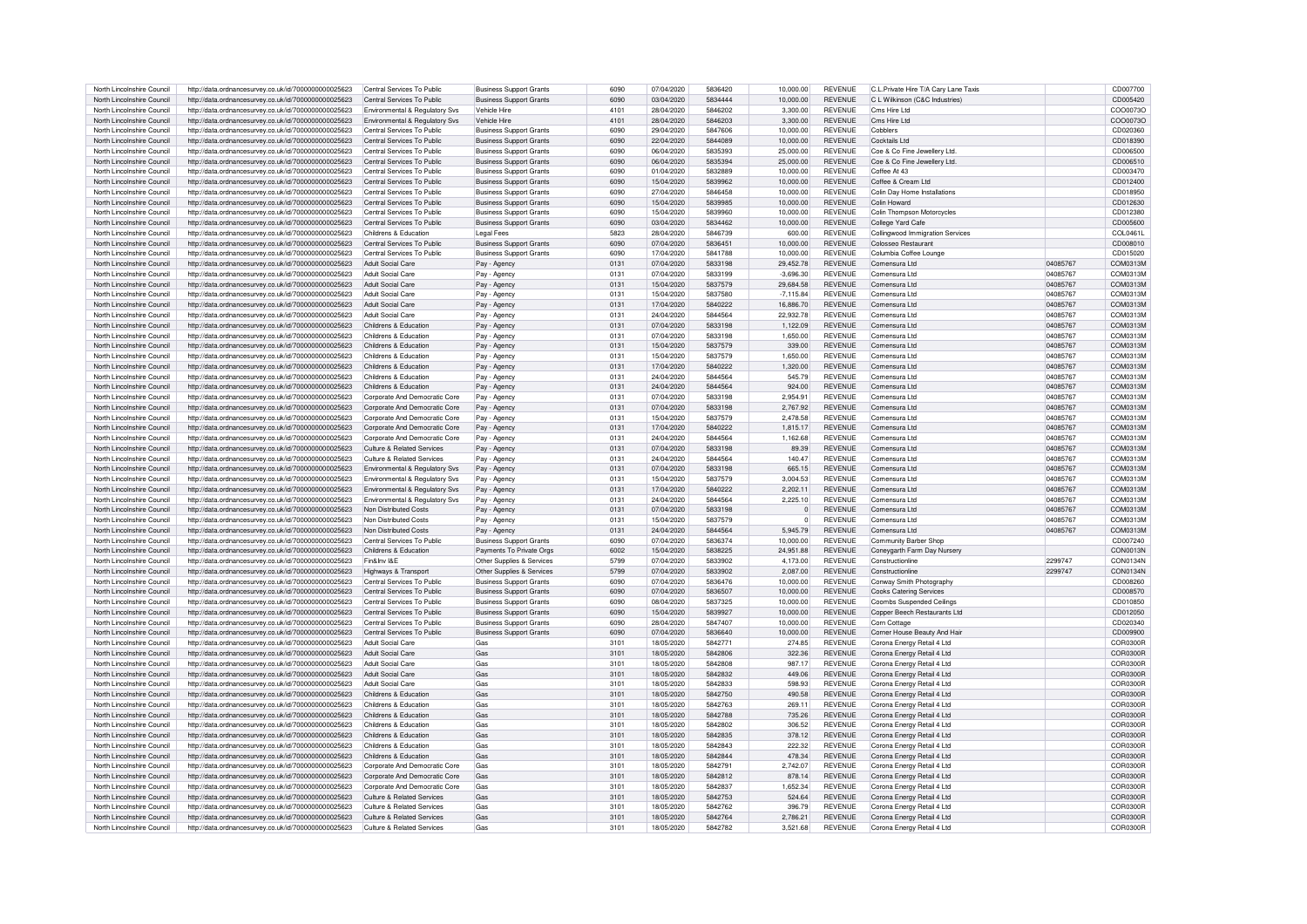| North Lincolnshire Council | http://data.ordnancesurvey.co.uk/id/7000000000025623 | Central Services To Public            | <b>Business Support Grants</b> | 6090 | 07/04/2020 | 5836420 | 10,000.00        | <b>REVENUE</b> | C.L.Private Hire T/A Cary Lane Taxis |          | CD007700  |
|----------------------------|------------------------------------------------------|---------------------------------------|--------------------------------|------|------------|---------|------------------|----------------|--------------------------------------|----------|-----------|
| North Lincolnshire Council | http://data.ordnancesurvey.co.uk/id/7000000000025623 | Central Services To Public            | <b>Business Support Grants</b> | 6090 | 03/04/2020 | 5834444 | 10,000.00        | <b>REVENUE</b> | C L Wilkinson (C&C Industries)       |          | CD005420  |
| North Lincolnshire Council | http://data.ordnancesurvey.co.uk/id/7000000000025623 | Environmental & Regulatory Svs        | Vehicle Hire                   | 4101 | 28/04/2020 | 5846202 | 3.300.00         | <b>REVENUE</b> | Cms Hire I td                        |          | COO0073O  |
| North Lincolnshire Council |                                                      |                                       | <b>Vehicle Hire</b>            | 4101 | 28/04/2020 | 5846203 | 3.300.00         | <b>REVENUE</b> | Cms Hire I td                        |          | COO0073C  |
|                            | http://data.ordnancesurvey.co.uk/id/7000000000025623 | Environmental & Regulatory Svs        |                                |      |            |         |                  |                |                                      |          |           |
| North Lincolnshire Council | http://data.ordnancesurvey.co.uk/id/7000000000025623 | Central Services To Public            | <b>Business Support Grants</b> | 6090 | 29/04/2020 | 5847606 | 10,000.00        | <b>REVENUE</b> | Cobblers                             |          | CD020360  |
| North Lincolnshire Council | http://data.ordnancesurvey.co.uk/id/7000000000025623 | Central Services To Public            | <b>Business Support Grants</b> | 6090 | 22/04/2020 | 5844089 | 10,000.00        | <b>REVENUE</b> | Cocktails Ltd                        |          | CD018390  |
| North Lincolnshire Council | http://data.ordnancesurvey.co.uk/id/7000000000025623 | Central Services To Public            | <b>Business Support Grants</b> | 6090 | 06/04/2020 | 5835393 | 25,000.00        | <b>REVENUE</b> | Coe & Co Fine Jewellery Ltd.         |          | CD006500  |
| North Lincolnshire Council | http://data.ordnancesurvey.co.uk/id/7000000000025623 | Central Services To Public            | <b>Business Support Grants</b> | 6090 | 06/04/2020 | 5835394 | 25.000.00        | <b>REVENUE</b> | Coe & Co Fine Jewellery Ltd          |          | CD006510  |
| North Lincolnshire Council | http://data.ordnancesurvey.co.uk/id/7000000000025623 | Central Services To Public            | <b>Business Support Grants</b> | 6090 | 01/04/2020 | 5832889 | 10,000.00        | <b>REVENUE</b> | Coffee At 43                         |          | CD003470  |
| North Lincolnshire Council | http://data.ordnancesurvey.co.uk/id/7000000000025623 | Central Services To Public            | <b>Business Support Grants</b> | 6090 | 15/04/2020 | 5839962 | 10,000.00        | <b>REVENUE</b> | Coffee & Cream Ltd                   |          | CD012400  |
| North Lincolnshire Council | http://data.ordnancesurvey.co.uk/id/7000000000025623 | Central Services To Public            | Business Support Grants        | 6090 | 27/04/2020 | 5846458 | 10,000.00        | <b>REVENUE</b> | Colin Day Home Installations         |          | CD018950  |
| North Lincolnshire Council | http://data.ordnancesurvey.co.uk/id/7000000000025623 | Central Services To Public            | <b>Business Support Grants</b> | 6090 | 15/04/2020 | 5839985 | 10,000.00        | REVENUE        | Colin Howard                         |          | CD012630  |
| North Lincolnshire Council | http://data.ordnancesurvey.co.uk/id/7000000000025623 | Central Services To Public            | <b>Business Support Grants</b> | 6090 | 15/04/2020 | 5839960 | 10.000.00        | <b>REVENUE</b> | Colin Thompson Motorcycles           |          | CD012380  |
| North Lincolnshire Council | http://data.ordnancesurvey.co.uk/id/7000000000025623 | Central Services To Public            | <b>Business Support Grants</b> | 6090 | 03/04/2020 | 5834462 | 10.000.00        | <b>REVENUE</b> | College Yard Cafe                    |          | CD005600  |
| North Lincolnshire Council | http://data.ordnancesurvey.co.uk/id/7000000000025623 | Childrens & Education                 | <b>Legal Fees</b>              | 5823 | 28/04/2020 | 5846739 | 600.00           | <b>REVENUE</b> | Collingwood Immigration Services     |          | COI 04611 |
| North Lincolnshire Council |                                                      | Central Services To Public            |                                | 6090 | 07/04/2020 | 5836451 | 10.000.00        | <b>REVENUE</b> | Colosseo Bestauran                   |          | CD008010  |
|                            | http://data.ordnancesurvey.co.uk/id/7000000000025623 |                                       | <b>Business Support Grants</b> |      |            |         |                  |                |                                      |          |           |
| North Lincolnshire Council | http://data.ordnancesurvey.co.uk/id/7000000000025623 | Central Services To Public            | <b>Business Support Grants</b> | 6090 | 17/04/2020 | 5841788 | 10,000.00        | <b>REVENUE</b> | Columbia Coffee Lounge               |          | CD015020  |
| North Lincolnshire Council | http://data.ordnancesurvey.co.uk/id/7000000000025623 | Adult Social Care                     | Pay - Agency                   | 0131 | 07/04/2020 | 5833198 | 29.452.78        | <b>REVENUE</b> | Comensura Ltd                        | 04085767 | COM0313M  |
| North Lincolnshire Council | http://data.ordnancesurvey.co.uk/id/7000000000025623 | Adult Social Care                     | Pay - Agency                   | 0131 | 07/04/2020 | 5833199 | $-3.696.30$      | <b>REVENUE</b> | Comensura Ltd                        | 04085767 | COM0313M  |
| North Lincolnshire Council | http://data.ordnancesurvey.co.uk/id/7000000000025623 | Adult Social Care                     | Pay - Agency                   | 0131 | 15/04/2020 | 5837579 | <b>29 684 58</b> | <b>REVENUE</b> | Comensura Ltd                        | 04085767 | COM0313M  |
| North Lincolnshire Council | http://data.ordnancesurvey.co.uk/id/7000000000025623 | Adult Social Care                     | Pay - Agency                   | 0131 | 15/04/2020 | 5837580 | $-7,115.84$      | <b>REVENUE</b> | Comensura Ltd                        | 04085767 | COM0313M  |
| North Lincolnshire Council | http://data.ordnancesurvey.co.uk/id/7000000000025623 | Adult Social Care                     | Pay - Agency                   | 0131 | 17/04/2020 | 5840222 | 16,886.70        | <b>REVENUE</b> | Comensura Ltd                        | 04085767 | COM0313M  |
| North Lincolnshire Council | http://data.ordnancesurvey.co.uk/id/7000000000025623 | Adult Social Care                     | Pay - Agency                   | 0131 | 24/04/2020 | 5844564 | 22,932.78        | <b>REVENUE</b> | Comensura Ltd                        | 04085767 | COM0313M  |
| North Lincolnshire Council | http://data.ordnancesurvey.co.uk/id/7000000000025623 | Childrens & Education                 | Pay - Agency                   | 0131 | 07/04/2020 | 5833198 | 1,122.09         | <b>REVENUE</b> | Comensura Ltd                        | 04085767 | COM0313M  |
| North Lincolnshire Council | http://data.ordnancesurvey.co.uk/id/7000000000025623 | Childrens & Education                 | Pay - Agency                   | 0131 | 07/04/2020 | 5833198 | 1.650.00         | <b>REVENUE</b> | Comensura Ltd                        | 04085767 | COM0313M  |
| North Lincolnshire Council | http://data.ordnancesurvey.co.uk/id/7000000000025623 | Childrens & Education                 | Pay - Agency                   | 0131 | 15/04/2020 | 5837579 | 339.00           | <b>REVENUE</b> | Comensura Ltd                        | 04085767 | COM0313M  |
|                            |                                                      |                                       |                                |      |            |         |                  |                |                                      |          |           |
| North Lincolnshire Council | http://data.ordnancesurvey.co.uk/id/7000000000025623 | Childrens & Education                 | Pay - Agency                   | 0131 | 15/04/2020 | 5837579 | 1,650.00         | <b>REVENUE</b> | Comensura Ltd                        | 04085767 | COM0313M  |
| North Lincolnshire Council | http://data.ordnancesurvey.co.uk/id/7000000000025623 | Childrens & Education                 | Pay - Agency                   | 0131 | 17/04/2020 | 5840222 | 1,320.00         | <b>REVENUE</b> | Comensura Ltd                        | 04085767 | COM0313M  |
| North Lincolnshire Council | http://data.ordnancesurvey.co.uk/id/7000000000025623 | Childrens & Education                 | Pay - Agency                   | 0131 | 24/04/2020 | 5844564 | 545.79           | <b>REVENUE</b> | Comensura Ltd                        | 04085767 | COM0313M  |
| North Lincolnshire Council | http://data.ordnancesurvey.co.uk/id/7000000000025623 | Childrens & Education                 | Pay - Agency                   | 0131 | 24/04/2020 | 5844564 | 924.00           | <b>REVENUE</b> | Comensura Ltd                        | 04085767 | COM0313M  |
| North Lincolnshire Council | http://data.ordnancesurvey.co.uk/id/7000000000025623 | Corporate And Democratic Core         | Pay - Agency                   | 0131 | 07/04/2020 | 5833198 | 2.954.91         | <b>REVENUE</b> | Comensura Ltd                        | 04085767 | COM0313M  |
| North Lincolnshire Council | http://data.ordnancesurvey.co.uk/id/7000000000025623 | Corporate And Democratic Core         | Pay - Agency                   | 0131 | 07/04/2020 | 5833198 | 2.767.92         | <b>REVENUE</b> | Comensura Ltd                        | 04085767 | COM0313M  |
| North Lincolnshire Council | http://data.ordnancesurvey.co.uk/id/7000000000025623 | Corporate And Democratic Core         | Pay - Agency                   | 0131 | 15/04/2020 | 5837579 | 2.478.58         | <b>REVENUE</b> | Comensura Ltd                        | 04085767 | COM0313M  |
| North Lincolnshire Council | http://data.ordnancesurvey.co.uk/id/7000000000025623 | Corporate And Democratic Core         | Pay - Agency                   | 0131 | 17/04/2020 | 5840222 | 1.815.17         | <b>REVENUE</b> | Comensura Ltd                        | 04085767 | COM0313M  |
| North Lincolnshire Council | http://data.ordnancesurvey.co.uk/id/7000000000025623 | Corporate And Democratic Core         | Pav - Agency                   | 0131 | 24/04/2020 | 5844564 | 1,162.68         | <b>REVENUE</b> | Comensura Ltd                        | 04085767 | COM0313M  |
| North Lincolnshire Council | http://data.ordnancesurvey.co.uk/id/7000000000025623 | <b>Culture &amp; Related Services</b> | Pay - Agency                   | 0131 | 07/04/2020 | 5833198 | 89.39            | <b>REVENUE</b> | Comensura Ltd                        | 04085767 | COM0313M  |
| North Lincolnshire Council |                                                      | Culture & Related Services            |                                | 0131 | 24/04/2020 | 5844564 | 140.47           | <b>REVENUE</b> | Comensura Ltd                        | 04085767 | COM0313M  |
|                            | http://data.ordnancesurvey.co.uk/id/7000000000025623 |                                       | Pay - Agency                   | 0131 | 07/04/2020 | 5833198 | 665.15           | <b>REVENUE</b> | Comensura Ltd                        | 04085767 | COM0313M  |
| North Lincolnshire Council | http://data.ordnancesurvey.co.uk/id/7000000000025623 | Environmental & Regulatory Svs        | Pav - Agency                   |      |            |         |                  |                |                                      |          |           |
| North Lincolnshire Council | http://data.ordnancesurvey.co.uk/id/7000000000025623 | Environmental & Regulatory Svs        | Pav - Agency                   | 0131 | 15/04/2020 | 5837579 | 3.004.53         | <b>REVENUE</b> | Comensura Ltd                        | 04085767 | COM0313M  |
| North Lincolnshire Council | http://data.ordnancesurvey.co.uk/id/7000000000025623 | Environmental & Regulatory Svs        | Pay - Agency                   | 0131 | 17/04/2020 | 5840222 | 2,202.11         | <b>REVENUE</b> | Comensura Ltd                        | 04085767 | COM0313M  |
| North Lincolnshire Council | http://data.ordnancesurvey.co.uk/id/7000000000025623 | Environmental & Regulatory Svs        | Pay - Agency                   | 0131 | 24/04/2020 | 5844564 | 2.225.10         | <b>REVENUE</b> | Comensura Ltd                        | 04085767 | COM0313M  |
| North Lincolnshire Council | http://data.ordnancesurvey.co.uk/id/7000000000025623 | Non Distributed Costs                 | Pay - Agency                   | 0131 | 07/04/2020 | 5833198 | $\Omega$         | <b>REVENUE</b> | Comensura Ltd                        | 04085767 | COM0313M  |
| North Lincolnshire Council | http://data.ordnancesurvev.co.uk/id/7000000000025623 | Non Distributed Costs                 | Pay - Agency                   | 0131 | 15/04/2020 | 5837579 | $\Omega$         | <b>REVENUE</b> | Comensura Ltd                        | 0408576  | COM0313M  |
| North Lincolnshire Council | http://data.ordnancesurvey.co.uk/id/7000000000025623 | Non Distributed Costs                 | Pay - Agency                   | 0131 | 24/04/2020 | 5844564 | 5.945.79         | <b>REVENUE</b> | Comensura Ltd                        | 04085767 | COM0313M  |
| North Lincolnshire Council | http://data.ordnancesurvey.co.uk/id/7000000000025623 | Central Services To Public            | <b>Business Support Grants</b> | 6090 | 07/04/2020 | 5836374 | 10,000.00        | <b>REVENUE</b> | Community Barber Shop                |          | CD007240  |
| North Lincolnshire Council | http://data.ordnancesurvey.co.uk/id/7000000000025623 | Childrens & Education                 | Payments To Private Orgs       | 6002 | 15/04/2020 | 5838225 | 24,951.88        | <b>REVENUE</b> | Conevoarth Farm Day Nursen           |          | CON0013N  |
| North Lincolnshire Council | http://data.ordnancesurvey.co.uk/id/7000000000025623 | Fin&Inv I&F                           | Other Supplies & Services      | 5799 | 07/04/2020 | 5833902 | 4,173.00         | <b>REVENUE</b> | Constructionline                     | 2299747  | CON0134N  |
| North Lincolnshire Council | http://data.ordnancesurvey.co.uk/id/7000000000025623 | Highways & Transport                  | Other Supplies & Services      | 5799 | 07/04/2020 | 5833902 | 2.087.00         | <b>REVENUE</b> | Constructionline                     | 2299747  | CON0134N  |
| North Lincolnshire Council | http://data.ordnancesurvey.co.uk/id/7000000000025623 | Central Services To Public            | <b>Business Support Grants</b> | 6090 | 07/04/2020 | 5836476 | 10.000.00        | <b>REVENUE</b> | Conway Smith Photography             |          | CD008260  |
|                            |                                                      | Central Services To Public            |                                | 6090 |            | 5836507 |                  | <b>REVENUE</b> |                                      |          |           |
| North Lincolnshire Council | http://data.ordnancesurvey.co.uk/id/7000000000025623 |                                       | <b>Business Support Grants</b> |      | 07/04/2020 |         | 10,000.00        |                | <b>Cooks Catering Services</b>       |          | CD008570  |
| North Lincolnshire Council | http://data.ordnancesurvey.co.uk/id/7000000000025623 | Central Services To Public            | <b>Business Support Grants</b> | 6090 | 08/04/2020 | 5837325 | 10.000.00        | <b>REVENUE</b> | Coombs Suspended Ceilings            |          | CD010850  |
| North Lincolnshire Council | http://data.ordnancesurvey.co.uk/id/7000000000025623 | Central Services To Public            | <b>Business Support Grants</b> | 6090 | 15/04/2020 | 5839927 | 10,000.00        | <b>REVENUE</b> | Copper Beech Restaurants Ltd         |          | CD012050  |
| North Lincolnshire Council | http://data.ordnancesurvey.co.uk/id/7000000000025623 | Central Services To Public            | Business Support Grants        | 6090 | 28/04/2020 | 5847407 | 10.000.00        | REVENUE        | Corn Cottage                         |          | CD020340  |
| North Lincolnshire Council | http://data.ordnancesurvey.co.uk/id/7000000000025623 | Central Services To Public            | <b>Business Support Grants</b> | 6090 | 07/04/2020 | 5836640 | 10.000.00        | <b>REVENUE</b> | Corner House Beauty And Hai          |          | CD009900  |
| North Lincolnshire Council | http://data.ordnancesurvey.co.uk/id/7000000000025623 | Adult Social Care                     | Gas                            | 3101 | 18/05/2020 | 5842771 | 274.85           | <b>REVENUE</b> | Corona Energy Retail 4 Ltd           |          | COR0300E  |
| North Lincolnshire Council | http://data.ordnancesurvey.co.uk/id/7000000000025623 | <b>Adult Social Care</b>              | Gas                            | 3101 | 18/05/2020 | 5842806 | 322.36           | <b>REVENUE</b> | Corona Energy Retail 4 Ltd           |          | COR0300F  |
| North Lincolnshire Council | http://data.ordnancesurvey.co.uk/id/7000000000025623 | Adult Social Care                     | Gas                            | 3101 | 18/05/2020 | 5842808 | 987.17           | <b>REVENUE</b> | Corona Energy Retail 4 Ltd           |          | COR0300F  |
| North Lincolnshire Council | http://data.ordnancesurvey.co.uk/id/7000000000025623 | Adult Social Care                     | Gas                            | 3101 | 18/05/2020 | 5842832 | 449.06           | <b>REVENUE</b> | Corona Energy Retail 4 Ltd           |          | COR0300R  |
| North Lincolnshire Council | http://data.ordnancesurvey.co.uk/id/7000000000025623 | Adult Social Care                     | Gas                            | 3101 | 18/05/2020 | 5842833 | 598.93           | REVENUE        | Corona Energy Retail 4 Ltd           |          | COR0300R  |
| North Lincolnshire Council | http://data.ordnancesurvey.co.uk/id/7000000000025623 | Childrens & Education                 | Gas                            | 3101 | 18/05/2020 | 5842750 | 490.58           | <b>REVENUE</b> | Corona Energy Retail 4 Ltd           |          | COR0300R  |
| North Lincolnshire Council | http://data.ordnancesurvey.co.uk/id/7000000000025623 | Childrens & Education                 | Gas                            | 3101 | 18/05/2020 | 5842763 | 269.11           | <b>REVENUE</b> | Corona Energy Retail 4 Ltd           |          | COR0300R  |
| North Lincolnshire Council | http://data.ordnancesurvey.co.uk/id/7000000000025623 | Childrens & Education                 | Gas                            | 3101 | 18/05/2020 | 5842788 | 735.26           | <b>REVENUE</b> | Corona Energy Retail 4 Ltd           |          | COR0300B  |
| North Lincolnshire Council | http://data.ordnancesurvev.co.uk/id/7000000000025623 | Childrens & Education                 | Gas                            | 3101 | 18/05/2020 | 5842802 | 306.52           | <b>REVENUE</b> | Corona Energy Retail 4 Ltd           |          | COR0300R  |
|                            |                                                      |                                       | Gas                            |      |            |         |                  |                |                                      |          |           |
| North Lincolnshire Council | http://data.ordnancesurvey.co.uk/id/7000000000025623 | Childrens & Education                 |                                | 3101 | 18/05/2020 | 5842835 | 378.12           | <b>REVENUE</b> | Corona Energy Retail 4 Ltd           |          | COR0300R  |
| North Lincolnshire Council | http://data.ordnancesurvey.co.uk/id/7000000000025623 | Childrens & Education                 | Gas                            | 3101 | 18/05/2020 | 5842843 | 222.32           | <b>REVENUE</b> | Corona Energy Retail 4 Ltd           |          | COR0300R  |
| North Lincolnshire Council | http://data.ordnancesurvey.co.uk/id/7000000000025623 | Childrens & Education                 | Gas                            | 3101 | 18/05/2020 | 5842844 | 478.34           | <b>REVENUE</b> | Corona Energy Retail 4 Ltd           |          | COR0300R  |
| North Lincolnshire Council | http://data.ordnancesurvev.co.uk/id/7000000000025623 | Corporate And Democratic Core         | Gas                            | 3101 | 18/05/2020 | 5842791 | 2.742.07         | <b>REVENUE</b> | Corona Energy Retail 4 Ltd           |          | COR0300B  |
| North Lincolnshire Council | http://data.ordnancesurvey.co.uk/id/7000000000025623 | Corporate And Democratic Core         | Gas                            | 3101 | 18/05/2020 | 5842812 | 878.14           | <b>REVENUE</b> | Corona Energy Retail 4 Ltd           |          | COR0300R  |
| North Lincolnshire Council | http://data.ordnancesurvey.co.uk/id/7000000000025623 | Corporate And Democratic Core         | Gas                            | 3101 | 18/05/2020 | 5842837 | 1.652.34         | <b>REVENUE</b> | Corona Energy Retail 4 Ltd           |          | COR0300R  |
| North Lincolnshire Council | http://data.ordnancesurvey.co.uk/id/7000000000025623 | Culture & Related Services            | Gas                            | 3101 | 18/05/2020 | 5842753 | 524.64           | <b>REVENUE</b> | Corona Energy Retail 4 Ltd           |          | COR0300R  |
| North Lincolnshire Council | http://data.ordnancesurvey.co.uk/id/7000000000025623 | Culture & Related Services            | Gas                            | 3101 | 18/05/2020 | 5842762 | 396.79           | <b>REVENUE</b> | Corona Energy Retail 4 Ltd           |          | COR0300B  |
| North Lincolnshire Council | http://data.ordnancesurvey.co.uk/id/7000000000025623 | Culture & Related Services            | Gas                            | 3101 | 18/05/2020 | 5842764 | 2.786.21         | <b>REVENUE</b> | Corona Energy Retail 4 Ltd           |          | COR0300R  |
| North Lincolnshire Council | http://data.ordnancesurvey.co.uk/id/7000000000025623 | Culture & Related Services            | Gas                            | 3101 | 18/05/2020 | 5842782 | 3.521.68         | <b>REVENUE</b> | Corona Energy Retail 4 Ltd           |          | COR0300R  |
|                            |                                                      |                                       |                                |      |            |         |                  |                |                                      |          |           |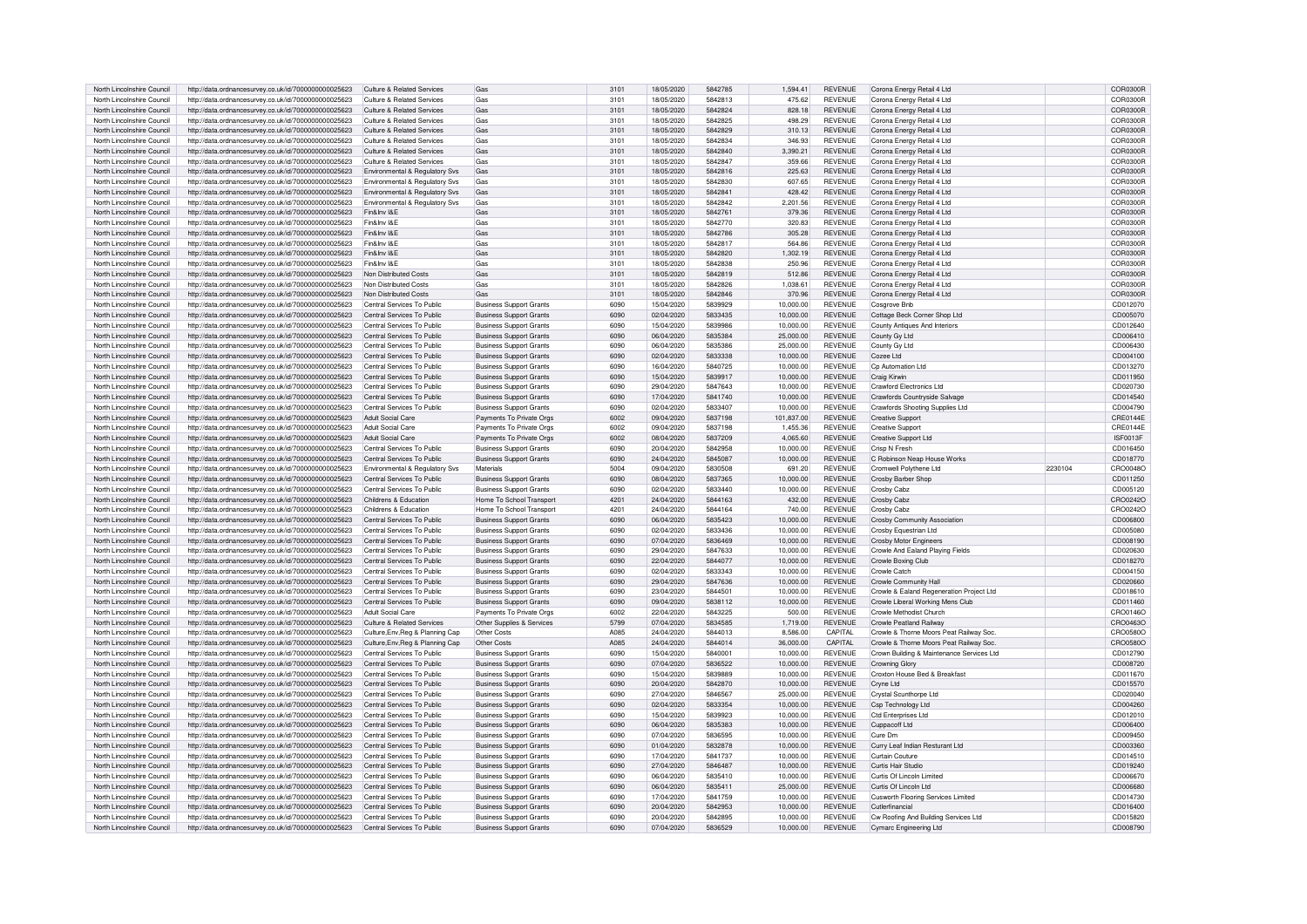| North Lincolnshire Council                               | http://data.ordnancesurvey.co.uk/id/7000000000025623                                                         | Culture & Related Services                               | Gas                                                              | 3101         | 18/05/2020               | 5842785            | 1.594.41               | <b>REVENUE</b>                   | Corona Energy Retail 4 Ltd                                     |         | COR0300R             |
|----------------------------------------------------------|--------------------------------------------------------------------------------------------------------------|----------------------------------------------------------|------------------------------------------------------------------|--------------|--------------------------|--------------------|------------------------|----------------------------------|----------------------------------------------------------------|---------|----------------------|
| North Lincolnshire Council                               | http://data.ordnancesurvey.co.uk/id/7000000000025623                                                         | Culture & Related Services                               | Gas                                                              | 3101         | 18/05/2020               | 5842813            | 475.62                 | <b>REVENUE</b>                   | Corona Energy Retail 4 Ltd                                     |         | COR0300R             |
| North Lincolnshire Council                               |                                                                                                              |                                                          | Gas                                                              |              |                          | 5842824            | 828.18                 | <b>REVENUE</b>                   |                                                                |         |                      |
|                                                          | http://data.ordnancesurvey.co.uk/id/7000000000025623                                                         | Culture & Related Services                               |                                                                  | 3101         | 18/05/2020               |                    |                        |                                  | Corona Energy Retail 4 Ltd                                     |         | COR0300R             |
| North Lincolnshire Council                               | http://data.ordnancesurvey.co.uk/id/7000000000025623                                                         | Culture & Related Services                               | Gas                                                              | 3101         | 18/05/2020               | 5842825            | 498.29                 | <b>REVENUE</b>                   | Corona Energy Retail 4 Ltd                                     |         | COR0300B             |
| North Lincolnshire Council                               | http://data.ordnancesurvey.co.uk/id/7000000000025623                                                         | Culture & Related Services                               | Gas                                                              | 3101         | 18/05/2020               | 5842829            | 310.13                 | <b>REVENUE</b>                   | Corona Energy Retail 4 Ltd                                     |         | COR0300R             |
| North Lincolnshire Council                               | http://data.ordnancesurvey.co.uk/id/7000000000025623                                                         | Culture & Related Services                               | Gas                                                              | 3101         | 18/05/2020               | 5842834            | 346.93                 | <b>REVENUE</b>                   | Corona Energy Retail 4 Ltd                                     |         | COR0300R             |
| North Lincolnshire Council                               | http://data.ordnancesurvey.co.uk/id/7000000000025623                                                         | Culture & Related Services                               | Gas                                                              | 3101         | 18/05/2020               | 5842840            | 3.390.21               | <b>REVENUE</b>                   | Corona Energy Retail 4 Ltd                                     |         | COR0300R             |
| North Lincolnshire Council                               | http://data.ordnancesurvey.co.uk/id/7000000000025623                                                         | Culture & Related Services                               | Gas                                                              | 3101         | 18/05/2020               | 5842847            | 359.66                 | <b>REVENUE</b>                   | Corona Energy Retail 4 Ltd                                     |         | COR0300E             |
| North Lincolnshire Council                               | http://data.ordnancesurvey.co.uk/id/7000000000025623                                                         | Environmental & Regulatory Svs                           | Gas                                                              | 3101         | 18/05/2020               | 5842816            | 225.63                 | <b>REVENUE</b>                   | Corona Energy Retail 4 Ltd                                     |         | COR0300B             |
|                                                          |                                                                                                              |                                                          |                                                                  |              |                          |                    |                        |                                  |                                                                |         |                      |
| North Lincolnshire Council                               | http://data.ordnancesurvey.co.uk/id/7000000000025623                                                         | Environmental & Regulatory Svs                           | Gas                                                              | 3101         | 18/05/2020               | 5842830            | 607.65                 | <b>REVENUE</b>                   | Corona Energy Retail 4 Ltd                                     |         | COR0300F             |
| North Lincolnshire Council                               | http://data.ordnancesurvey.co.uk/id/7000000000025623                                                         | Environmental & Regulatory Svs                           | Gas                                                              | 3101         | 18/05/2020               | 5842841            | 428.42                 | <b>REVENUE</b>                   | Corona Energy Retail 4 Ltd                                     |         | COR0300F             |
| North Lincolnshire Council                               | http://data.ordnancesurvey.co.uk/id/7000000000025623                                                         | Environmental & Regulatory Svs                           | Gas                                                              | 3101         | 18/05/2020               | 5842842            | 2,201.56               | <b>REVENUE</b>                   | Corona Energy Retail 4 Ltd                                     |         | COR0300R             |
| North Lincolnshire Council                               | http://data.ordnancesurvey.co.uk/id/7000000000025623                                                         | Fin&Inv I&F                                              | Gas                                                              | 3101         | 18/05/2020               | 5842761            | 379.36                 | <b>REVENUE</b>                   | Corona Energy Retail 4 Ltd                                     |         | COR0300B             |
| North Lincolnshire Council                               | http://data.ordnancesurvey.co.uk/id/7000000000025623                                                         | Fin&Inv I&E                                              | Gas                                                              | 3101         | 18/05/2020               | 5842770            | 320.83                 | <b>REVENUE</b>                   | Corona Energy Retail 4 Ltd                                     |         | COR0300R             |
| North Lincolnshire Council                               | http://data.ordnancesurvey.co.uk/id/7000000000025623                                                         | Fin&Inv I&F                                              | Gas                                                              | 3101         | 18/05/2020               | 5842786            | 305.28                 | <b>REVENUE</b>                   | Corona Energy Retail 4 Ltd                                     |         | COR0300R             |
| North Lincolnshire Council                               | http://data.ordnancesurvey.co.uk/id/7000000000025623                                                         | Fin&Inv I&F                                              | Gas                                                              | 3101         | 18/05/2020               | 5842817            | 564.86                 | <b>REVENUE</b>                   | Corona Energy Retail 4 Ltd                                     |         | COR0300R             |
|                                                          |                                                                                                              |                                                          |                                                                  |              |                          |                    |                        |                                  |                                                                |         |                      |
| North Lincolnshire Council                               | http://data.ordnancesurvey.co.uk/id/7000000000025623                                                         | Fin&Inv I&E                                              | Gas                                                              | 3101         | 18/05/2020               | 5842820            | 1.302.19               | <b>REVENUE</b>                   | Corona Energy Retail 4 Ltd                                     |         | COR0300R             |
| North Lincolnshire Council                               | http://data.ordnancesurvey.co.uk/id/7000000000025623                                                         | Fin&Inv I&F                                              | Gas                                                              | 3101         | 18/05/2020               | 5842838            | 250.96                 | <b>REVENUE</b>                   | Corona Energy Retail 4 Ltd                                     |         | COR0300B             |
| North Lincolnshire Council                               | http://data.ordnancesurvey.co.uk/id/7000000000025623                                                         | Non Distributed Costs                                    | Gas                                                              | 3101         | 18/05/2020               | 5842819            | 512.86                 | <b>REVENUE</b>                   | Corona Energy Retail 4 Ltd                                     |         | COR0300R             |
| North Lincolnshire Council                               | http://data.ordnancesurvey.co.uk/id/7000000000025623                                                         | Non Distributed Costs                                    | Gas                                                              | 3101         | 18/05/2020               | 5842826            | 1,038.61               | <b>REVENUE</b>                   | Corona Energy Retail 4 Ltd                                     |         | COR0300R             |
| North Lincolnshire Council                               | http://data.ordnancesurvey.co.uk/id/7000000000025623                                                         | Non Distributed Costs                                    | Gas                                                              | 3101         | 18/05/2020               | 5842846            | 370.96                 | <b>REVENUE</b>                   | Corona Energy Retail 4 Ltd                                     |         | <b>COR0300R</b>      |
|                                                          |                                                                                                              |                                                          |                                                                  |              |                          |                    |                        |                                  |                                                                |         |                      |
| North Lincolnshire Council                               | http://data.ordnancesurvey.co.uk/id/7000000000025623                                                         | Central Services To Public                               | <b>Business Support Grants</b>                                   | 6090         | 15/04/2020               | 5839929            | 10,000.00              | <b>REVENUE</b>                   | Cosgrove Bnb                                                   |         | CD012070             |
| North Lincolnshire Council                               | http://data.ordnancesurvey.co.uk/id/7000000000025623                                                         | Central Services To Public                               | <b>Business Support Grants</b>                                   | 6090         | 02/04/2020               | 5833435            | 10.000.00              | <b>REVENUE</b>                   | Cottage Beck Corner Shop Ltd                                   |         | CD005070             |
| North Lincolnshire Council                               | http://data.ordnancesurvey.co.uk/id/7000000000025623                                                         | Central Services To Public                               | <b>Business Support Grants</b>                                   | 6090         | 15/04/2020               | 5839986            | 10.000.00              | <b>REVENUE</b>                   | <b>County Antiques And Interiors</b>                           |         | CD012640             |
| North Lincolnshire Council                               | http://data.ordnancesurvey.co.uk/id/7000000000025623                                                         | Central Services To Public                               | <b>Business Support Grants</b>                                   | 6090         | 06/04/2020               | 5835384            | 25,000.00              | <b>REVENUE</b>                   | County Gy Ltd                                                  |         | CD006410             |
| North Lincolnshire Council                               | http://data.ordnancesurvev.co.uk/id/7000000000025623                                                         | Central Services To Public                               | <b>Business Support Grants</b>                                   | 6090         | 06/04/2020               | 5835386            | 25.000.00              | <b>REVENUE</b>                   | County Gy Ltd                                                  |         | CD006430             |
| North Lincolnshire Council                               | http://data.ordnancesurvey.co.uk/id/7000000000025623                                                         | Central Services To Public                               | <b>Business Support Grants</b>                                   | 6090         | 02/04/2020               | 5833338            | 10,000.00              | <b>REVENUE</b>                   | Cozee Ltd                                                      |         | CD004100             |
| North Lincolnshire Council                               | http://data.ordnancesurvey.co.uk/id/7000000000025623                                                         | Central Services To Public                               | <b>Business Support Grants</b>                                   | 6090         | 16/04/2020               | 5840725            | 10.000.00              | <b>REVENUE</b>                   | Cp Automation Ltd                                              |         | CD013270             |
|                                                          |                                                                                                              |                                                          |                                                                  |              |                          |                    |                        |                                  |                                                                |         |                      |
| North Lincolnshire Council                               | http://data.ordnancesurvey.co.uk/id/7000000000025623                                                         | Central Services To Public                               | <b>Business Support Grants</b>                                   | 6090         | 15/04/2020               | 5839917            | 10,000.00              | <b>REVENUE</b>                   | Craig Kirwin                                                   |         | CD011950             |
| North Lincolnshire Council                               | http://data.ordnancesurvey.co.uk/id/7000000000025623                                                         | Central Services To Public                               | <b>Business Support Grants</b>                                   | 6090         | 29/04/2020               | 5847643            | 10,000.00              | <b>REVENUE</b>                   | Crawford Electronics Ltd                                       |         | CD020730             |
| North Lincolnshire Council                               | http://data.ordnancesurvey.co.uk/id/7000000000025623                                                         | Central Services To Public                               | <b>Business Support Grants</b>                                   | 6090         | 17/04/2020               | 5841740            | 10,000.00              | <b>REVENUE</b>                   | Crawfords Countryside Salvage                                  |         | CD014540             |
| North Lincolnshire Council                               | http://data.ordnancesurvey.co.uk/id/7000000000025623                                                         | Central Services To Public                               | <b>Business Support Grants</b>                                   | 6090         | 02/04/2020               | 5833407            | 10,000.00              | <b>REVENUE</b>                   | <b>Crawfords Shooting Supplies Ltd</b>                         |         | CD004790             |
| North Lincolnshire Council                               | http://data.ordnancesurvey.co.uk/id/7000000000025623                                                         | <b>Adult Social Care</b>                                 | Payments To Private Org                                          | 6002         | 09/04/2020               | 5837198            | 101,837.00             | <b>REVENUE</b>                   | <b>Creative Support</b>                                        |         | CRE0144E             |
| North Lincolnshire Council                               | http://data.ordnancesurvey.co.uk/id/7000000000025623                                                         | Adult Social Care                                        | Payments To Private Orgs                                         | 6002         | 09/04/2020               | 5837198            | 1.455.36               | <b>REVENUE</b>                   | <b>Creative Suppor</b>                                         |         | CRE0144E             |
|                                                          |                                                                                                              |                                                          |                                                                  |              |                          |                    |                        |                                  |                                                                |         |                      |
| North Lincolnshire Council                               | http://data.ordnancesurvey.co.uk/id/7000000000025623                                                         | Adult Social Care                                        | Payments To Private Orgs                                         | 6002         | 08/04/2020               | 5837209            | 4.065.60               | <b>REVENUE</b>                   | Creative Support Ltd                                           |         | <b>ISF0013F</b>      |
| North Lincolnshire Council                               | http://data.ordnancesurvey.co.uk/id/7000000000025623                                                         | Central Services To Public                               | <b>Business Support Grants</b>                                   | 6090         | 20/04/2020               | 5842958            | 10,000.00              | <b>REVENUE</b>                   | Crisp N Fresh                                                  |         | CD016450             |
|                                                          |                                                                                                              |                                                          |                                                                  |              |                          |                    |                        |                                  |                                                                |         |                      |
| North Lincolnshire Council                               | http://data.ordnancesurvey.co.uk/id/7000000000025623                                                         | Central Services To Public                               | <b>Business Support Grants</b>                                   | 6090         | 24/04/2020               | 5845087            | 10,000.00              | <b>REVENUE</b>                   | C Robinson Neap House Works                                    |         | CD018770             |
| North Lincolnshire Council                               | http://data.ordnancesurvey.co.uk/id/7000000000025623                                                         | <b>Fnvironmental &amp; Regulatory Sys.</b>               | Materials                                                        | 5004         | 09/04/2020               | 5830508            | 691.20                 | <b>REVENUE</b>                   | Cromwell Polythene Ltd                                         | 2230104 | CRO0048O             |
|                                                          |                                                                                                              |                                                          |                                                                  |              |                          |                    |                        |                                  |                                                                |         |                      |
| North Lincolnshire Council                               | http://data.ordnancesurvey.co.uk/id/7000000000025623                                                         | Central Services To Public                               | <b>Business Support Grants</b>                                   | 6090         | 08/04/2020               | 5837365            | 10,000.00              | <b>REVENUE</b>                   | Crosby Barber Shop                                             |         | CD011250             |
| North Lincolnshire Council                               | http://data.ordnancesurvey.co.uk/id/7000000000025623                                                         | Central Services To Public                               | <b>Business Support Grants</b>                                   | 6090         | 02/04/2020               | 5833440            | 10,000.00              | <b>REVENUE</b>                   | Crosby Cabz                                                    |         | CD005120             |
| North Lincolnshire Council                               | http://data.ordnancesurvey.co.uk/id/7000000000025623                                                         | Childrens & Education                                    | Home To School Transpor                                          | 4201         | 24/04/2020               | 5844163            | 432.00                 | <b>REVENUE</b>                   | Crosby Cabz                                                    |         | CRO0242O             |
| North Lincolnshire Council                               | http://data.ordnancesurvey.co.uk/id/7000000000025623                                                         | Childrens & Education                                    | Home To School Transpor                                          | 4201         | 24/04/2020               | 5844164            | 740.00                 | <b>REVENUE</b>                   | Crosby Cabz                                                    |         | CRO0242C             |
| North Lincolnshire Council                               | http://data.ordnancesurvey.co.uk/id/7000000000025623                                                         | Central Services To Public                               | <b>Business Support Grants</b>                                   | 6090         | 06/04/2020               | 5835423            | 10,000.00              | <b>REVENUE</b>                   | Crosby Community Association                                   |         | CD006800             |
|                                                          |                                                                                                              |                                                          |                                                                  | 6090         |                          |                    |                        |                                  |                                                                |         |                      |
| North Lincolnshire Council                               | http://data.ordnancesurvey.co.uk/id/7000000000025623                                                         | Central Services To Public                               | <b>Business Support Grants</b>                                   |              | 02/04/2020               | 5833436            | 10,000.00              | <b>REVENUE</b>                   | Crosby Equestrian Ltd                                          |         | CD005080             |
| North Lincolnshire Council                               | http://data.ordnancesurvey.co.uk/id/7000000000025623                                                         | Central Services To Public                               | <b>Business Support Grants</b>                                   | 6090         | 07/04/2020               | 5836469            | 10,000.00              | <b>REVENUE</b>                   | <b>Crosby Motor Engineers</b>                                  |         | CD008190             |
| North Lincolnshire Council                               | http://data.ordnancesurvey.co.uk/id/7000000000025623                                                         | Central Services To Public                               | <b>Business Support Grants</b>                                   | 6090         | 29/04/2020               | 5847633            | 10,000.00              | <b>REVENUE</b>                   | Crowle And Ealand Playing Fields                               |         | CD020630             |
| North Lincolnshire Council                               | http://data.ordnancesurvey.co.uk/id/7000000000025623                                                         | Central Services To Public                               | <b>Business Support Grants</b>                                   | 6090         | 22/04/2020               | 5844077            | 10,000.00              | <b>REVENUE</b>                   | Crowle Boxing Club                                             |         | CD018270             |
| North Lincolnshire Council                               | http://data.ordnancesurvey.co.uk/id/7000000000025623                                                         | Central Services To Public                               | <b>Business Support Grants</b>                                   | 6090         | 02/04/2020               | 5833343            | 10.000.00              | <b>REVENUE</b>                   | Crowle Catch                                                   |         | CD004150             |
| North Lincolnshire Council                               | http://data.ordnancesurvey.co.uk/id/7000000000025623                                                         | Central Services To Public                               | <b>Business Support Grants</b>                                   | 6090         | 29/04/2020               | 5847636            | 10,000.00              | <b>REVENUE</b>                   | Crowle Community Hall                                          |         | CD020660             |
| North Lincolnshire Council                               | http://data.ordnancesurvey.co.uk/id/7000000000025623                                                         | Central Services To Public                               | <b>Business Support Grants</b>                                   | 6090         | 23/04/2020               | 5844501            | 10,000.00              | <b>REVENUE</b>                   | Crowle & Ealand Regeneration Project Ltd                       |         | CD018610             |
|                                                          |                                                                                                              | Central Services To Public                               |                                                                  | 6090         |                          | 5838112            |                        | <b>REVENUE</b>                   | Crowle Liberal Working Mens Club                               |         |                      |
| North Lincolnshire Council                               | http://data.ordnancesurvey.co.uk/id/7000000000025623                                                         |                                                          | <b>Business Support Grants</b>                                   |              | 09/04/2020               |                    | 10,000.00              |                                  |                                                                |         | CD011460             |
| North Lincolnshire Council                               | http://data.ordnancesurvey.co.uk/id/7000000000025623                                                         | Adult Social Care                                        | Payments To Private Orgs                                         | 6002         | 22/04/2020               | 5843225            | 500.00                 | <b>REVENUE</b>                   | Crowle Methodist Church                                        |         | CRO0146C             |
| North Lincolnshire Council                               | http://data.ordnancesurvey.co.uk/id/7000000000025623                                                         | <b>Culture &amp; Related Services</b>                    | Other Supplies & Services                                        | 5799         | 07/04/2020               | 5834585            | 1,719.00               | REVENUE                          | <b>Crowle Peatland Railway</b>                                 |         | CRO0463C             |
| North Lincolnshire Council                               | http://data.ordnancesurvey.co.uk/id/7000000000025623                                                         | Culture, Env, Reg & Planning Cap                         | Other Costs                                                      | A085         | 24/04/2020               | 5844013            | 8,586.00               | CAPITAL                          | Crowle & Thorne Moors Peat Railway Soc.                        |         | CRO0580C             |
| North Lincolnshire Council                               | http://data.ordnancesurvey.co.uk/id/7000000000025623                                                         | Culture, Env, Reg & Planning Cap                         | Other Costs                                                      | A085         | 24/04/2020               | 5844014            | 36,000.00              | CAPITAL                          | Crowle & Thorne Moors Peat Railway Soc.                        |         | CRO0580O             |
| North Lincolnshire Council                               | http://data.ordnancesurvey.co.uk/id/7000000000025623                                                         | Central Services To Public                               | <b>Business Support Grants</b>                                   | 6090         | 15/04/2020               | 5840001            | 10.000.00              | <b>REVENUE</b>                   | Crown Building & Maintenance Services Ltd                      |         | CD012790             |
| North Lincolnshire Council                               | http://data.ordnancesurvey.co.uk/id/7000000000025623                                                         | Central Services To Public                               | <b>Business Support Grants</b>                                   | 6090         | 07/04/2020               | 5836522            | 10.000.00              | <b>REVENUE</b>                   | <b>Crowning Glory</b>                                          |         | CD008720             |
|                                                          |                                                                                                              |                                                          |                                                                  | 6090         |                          | 5839889            |                        |                                  |                                                                |         |                      |
| North Lincolnshire Council                               | http://data.ordnancesurvey.co.uk/id/7000000000025623                                                         | Central Services To Public                               | <b>Business Support Grants</b>                                   |              | 15/04/2020               |                    | 10,000.00              | <b>REVENUE</b>                   | Croxton House Bed & Breakfast                                  |         | CD011670             |
| North Lincolnshire Council                               | http://data.ordnancesurvey.co.uk/id/7000000000025623                                                         | Central Services To Public                               | <b>Business Support Grants</b>                                   | 6090         | 20/04/2020               | 5842870            | 10,000.00              | <b>REVENUE</b>                   | Cryne Ltd                                                      |         | CD015570             |
| North Lincolnshire Council                               | http://data.ordnancesurvey.co.uk/id/7000000000025623                                                         | Central Services To Public                               | <b>Business Support Grants</b>                                   | 6090         | 27/04/2020               | 5846567            | 25,000.00              | <b>REVENUE</b>                   | Crystal Scunthorne Ltd                                         |         | CD020040             |
| North Lincolnshire Council                               | http://data.ordnancesurvey.co.uk/id/7000000000025623                                                         | Central Services To Public                               | <b>Business Support Grants</b>                                   | 6090         | 02/04/2020               | 5833354            | 10.000.00              | <b>REVENUE</b>                   | Csp Technology Ltd                                             |         | CD004260             |
| North Lincolnshire Council                               | http://data.ordnancesurvey.co.uk/id/7000000000025623                                                         | Central Services To Public                               | <b>Business Support Grants</b>                                   | 6090         | 15/04/2020               | 5839923            | 10,000.00              | <b>REVENUE</b>                   | Ctd Enterprises Ltd                                            |         | CD012010             |
| North Lincolnshire Council                               | http://data.ordnancesurvey.co.uk/id/7000000000025623                                                         | Central Services To Public                               | <b>Business Support Grants</b>                                   | 6090         | 06/04/2020               | 5835383            | 10,000.00              | <b>REVENUE</b>                   | Cuppacoff Ltd                                                  |         | CD006400             |
| North Lincolnshire Council                               |                                                                                                              | Central Services To Public                               |                                                                  | 6090         | 07/04/2020               | 5836595            | 10,000.00              | <b>REVENUE</b>                   | Cure Dm                                                        |         | CD009450             |
|                                                          | http://data.ordnancesurvey.co.uk/id/7000000000025623                                                         |                                                          | <b>Business Support Grants</b>                                   |              |                          |                    |                        |                                  |                                                                |         |                      |
| North Lincolnshire Council                               | http://data.ordnancesurvey.co.uk/id/7000000000025623                                                         | Central Services To Public                               | <b>Business Support Grants</b>                                   | 6090         | 01/04/2020               | 5832878            | 10,000.00              | <b>REVENUE</b>                   | Curry Leaf Indian Resturant Ltd                                |         | CD003360             |
| North Lincolnshire Council                               | http://data.ordnancesurvey.co.uk/id/7000000000025623                                                         | Central Services To Public                               | <b>Business Support Grants</b>                                   | 6090         | 17/04/2020               | 5841737            | 10.000.00              | <b>REVENUE</b>                   | Curtain Couture                                                |         | CD014510             |
| North Lincolnshire Council                               | http://data.ordnancesurvey.co.uk/id/7000000000025623                                                         | Central Services To Public                               | <b>Business Support Grants</b>                                   | 6090         | 27/04/2020               | 5846487            | 10.000.00              | <b>REVENUE</b>                   | Curtis Hair Studio                                             |         | CD019240             |
| North Lincolnshire Council                               | http://data.ordnancesurvey.co.uk/id/7000000000025623                                                         | Central Services To Public                               | <b>Business Support Grants</b>                                   | 6090         | 06/04/2020               | 5835410            | 10,000.00              | <b>REVENUE</b>                   | Curtis Of Lincoln Limited                                      |         | CD006670             |
| North Lincolnshire Council                               | http://data.ordnancesurvey.co.uk/id/7000000000025623                                                         | Central Services To Public                               | <b>Business Support Grants</b>                                   | 6090         | 06/04/2020               | 5835411            | 25,000.00              | <b>REVENUE</b>                   | Curtis Of Lincoln Ltd                                          |         | CD006680             |
| North Lincolnshire Council                               | http://data.ordnancesurvey.co.uk/id/7000000000025623                                                         | Central Services To Public                               | <b>Business Support Grants</b>                                   | 6090         | 17/04/2020               | 5841759            | 10.000.00              | <b>REVENUE</b>                   | Cusworth Flooring Services Limited                             |         | CD014730             |
|                                                          |                                                                                                              |                                                          |                                                                  |              |                          |                    |                        |                                  |                                                                |         |                      |
| North Lincolnshire Council                               | http://data.ordnancesurvey.co.uk/id/7000000000025623                                                         | Central Services To Public                               | <b>Business Support Grants</b>                                   | 6090         | 20/04/2020               | 5842953            | 10,000.00              | <b>REVENUE</b>                   | Cutlerfinancia                                                 |         | CD016400             |
| North Lincolnshire Council<br>North Lincolnshire Council | http://data.ordnancesurvey.co.uk/id/7000000000025623<br>http://data.ordnancesurvey.co.uk/id/7000000000025623 | Central Services To Public<br>Central Services To Public | <b>Business Support Grants</b><br><b>Business Support Grants</b> | 6090<br>6090 | 20/04/2020<br>07/04/2020 | 5842895<br>5836529 | 10.000.00<br>10,000.00 | <b>REVENUE</b><br><b>REVENUE</b> | Cw Roofing And Building Services Ltd<br>Cymarc Engineering Ltd |         | CD015820<br>CD008790 |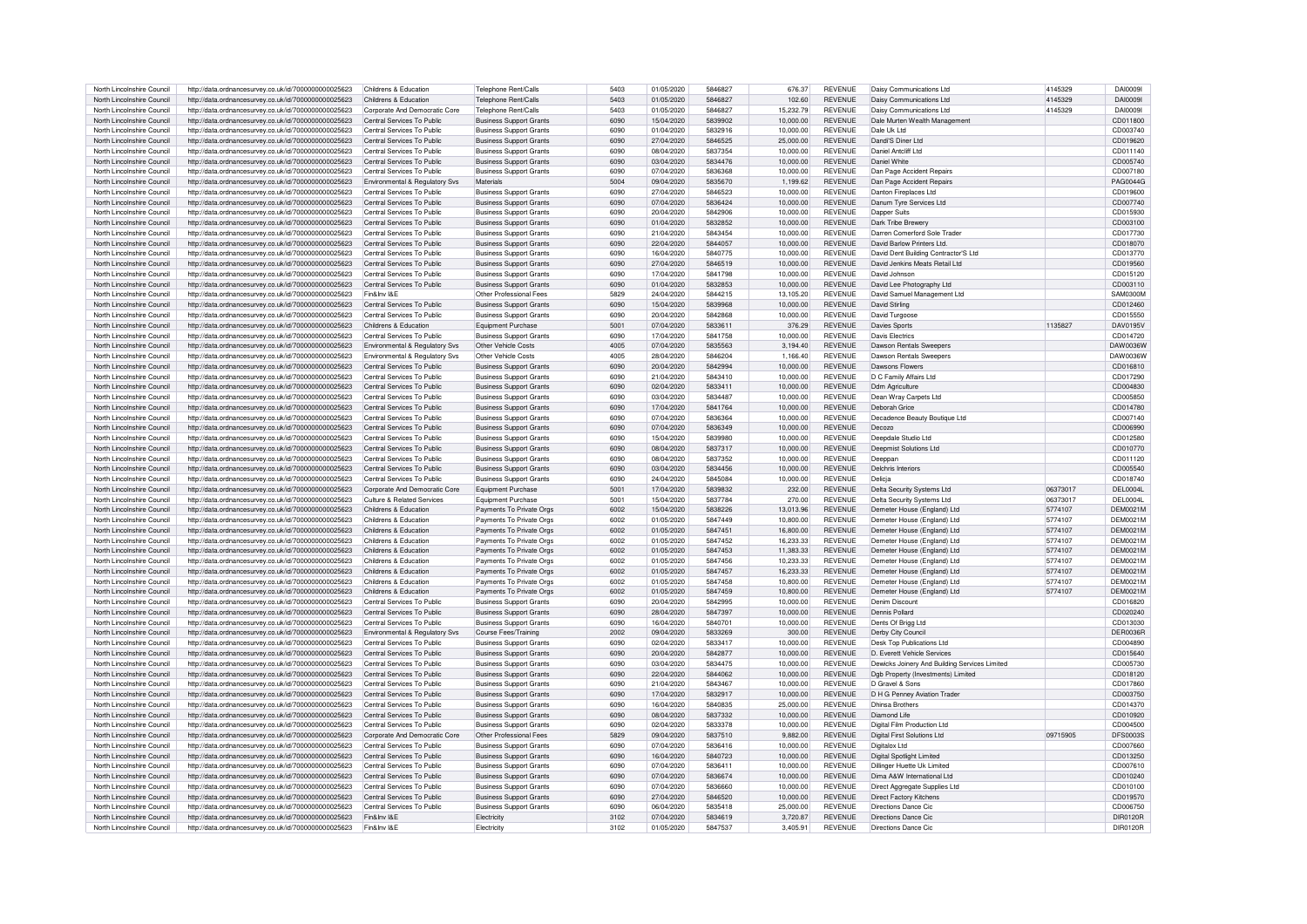| North Lincolnshire Council | http://data.ordnancesurvev.co.uk/id/7000000000025623 | Childrens & Education          | Telephone Rent/Calls           | 5403 | 01/05/2020 | 5846827 | 676.37    | <b>REVENUE</b> | <b>Daisy Communications Ltd</b>               | 4145329  | <b>DAI00091</b> |
|----------------------------|------------------------------------------------------|--------------------------------|--------------------------------|------|------------|---------|-----------|----------------|-----------------------------------------------|----------|-----------------|
| North Lincolnshire Council | http://data.ordnancesurvey.co.uk/id/7000000000025623 | Childrens & Education          | Telephone Rent/Calls           | 5403 | 01/05/2020 | 5846827 | 102.60    | <b>REVENUE</b> | Daisy Communications Ltd                      | 4145329  | DAI0009         |
| North Lincolnshire Council | http://data.ordnancesurvey.co.uk/id/7000000000025623 | Corporate And Democratic Core  | Telephone Rent/Calls           | 5403 | 01/05/2020 | 5846827 | 15,232.79 | <b>REVENUE</b> | Daisy Communications Ltd                      | 4145329  | <b>DAI00091</b> |
|                            | http://data.ordnancesurvey.co.uk/id/7000000000025623 | Central Services To Public     | <b>Business Support Grants</b> | 6090 |            |         |           |                |                                               |          |                 |
| North Lincolnshire Council |                                                      |                                |                                |      | 15/04/2020 | 5839902 | 10,000.00 | <b>REVENUE</b> | Dale Murten Wealth Management                 |          | CD011800        |
| North Lincolnshire Council | http://data.ordnancesurvey.co.uk/id/7000000000025623 | Central Services To Public     | <b>Business Support Grants</b> | 6090 | 01/04/2020 | 5832916 | 10,000.00 | <b>REVENUE</b> | Dale Uk Ltd                                   |          | CD003740        |
| North Lincolnshire Council | http://data.ordnancesurvey.co.uk/id/7000000000025623 | Central Services To Public     | <b>Business Support Grants</b> | 6090 | 27/04/2020 | 5846525 | 25,000.00 | <b>REVENUE</b> | Dandi'S Diner I td                            |          | CD019620        |
| North Lincolnshire Council | http://data.ordnancesurvey.co.uk/id/7000000000025623 | Central Services To Public     | <b>Business Support Grants</b> | 6090 | 08/04/2020 | 5837354 | 10,000.00 | <b>REVENUE</b> | Daniel Antoliff Ltd                           |          | CD011140        |
| North Lincolnshire Council | http://data.ordnancesurvey.co.uk/id/7000000000025623 | Central Services To Public     | <b>Business Support Grants</b> | 6090 | 03/04/2020 | 5834476 | 10,000.00 | <b>REVENUE</b> | Daniel White                                  |          | CD005740        |
| North Lincolnshire Council | http://data.ordnancesurvey.co.uk/id/7000000000025623 | Central Services To Public     | <b>Business Support Grants</b> | 6090 | 07/04/2020 | 5836368 | 10,000.00 | <b>REVENUE</b> | Dan Page Accident Repairs                     |          | CD007180        |
| North Lincolnshire Council | http://data.ordnancesurvey.co.uk/id/7000000000025623 | Environmental & Regulatory Svs | Materials                      | 5004 | 09/04/2020 | 5835670 | 1,199.62  | <b>REVENUE</b> | Dan Page Accident Repairs                     |          | PAG0044G        |
| North Lincolnshire Council | http://data.ordnancesurvey.co.uk/id/7000000000025623 | Central Services To Public     | <b>Business Support Grants</b> | 6090 | 27/04/2020 | 5846523 | 10,000.00 | <b>REVENUE</b> | Danton Fireplaces Ltd                         |          | CD019600        |
| North Lincolnshire Council | http://data.ordnancesurvey.co.uk/id/7000000000025623 | Central Services To Public     | <b>Business Support Grants</b> | 6090 | 07/04/2020 | 5836424 | 10.000.00 | <b>REVENUE</b> | Danum Tyre Services Ltd                       |          | CD007740        |
| North Lincolnshire Council | http://data.ordnancesurvey.co.uk/id/7000000000025623 | Central Services To Public     | <b>Business Support Grants</b> | 6090 | 20/04/2020 | 5842906 | 10,000.00 | <b>REVENUE</b> | Dapper Suits                                  |          | CD015930        |
| North Lincolnshire Council | http://data.ordnancesurvey.co.uk/id/7000000000025623 | Central Services To Public     | <b>Business Support Grants</b> | 6090 | 01/04/2020 | 5832852 | 10,000.00 | <b>REVENUE</b> | Dark Tribe Brewery                            |          | CD003100        |
| North Lincolnshire Council | http://data.ordnancesurvey.co.uk/id/7000000000025623 | Central Services To Public     | <b>Business Support Grants</b> | 6090 | 21/04/2020 | 5843454 | 10.000.00 | <b>REVENUE</b> | Darren Comerford Sole Trader                  |          | CD017730        |
|                            |                                                      |                                |                                |      |            |         |           |                |                                               |          |                 |
| North Lincolnshire Council | http://data.ordnancesurvey.co.uk/id/7000000000025623 | Central Services To Public     | <b>Business Support Grants</b> | 6090 | 22/04/2020 | 5844057 | 10,000.00 | <b>REVENUE</b> | David Barlow Printers Ltd.                    |          | CD018070        |
| North Lincolnshire Council | http://data.ordnancesurvey.co.uk/id/7000000000025623 | Central Services To Public     | <b>Business Support Grants</b> | 6090 | 16/04/2020 | 5840775 | 10.000.00 | <b>REVENUE</b> | David Dent Building Contractor'S Ltd          |          | CD013770        |
| North Lincolnshire Council | http://data.ordnancesurvey.co.uk/id/7000000000025623 | Central Services To Public     | <b>Business Support Grants</b> | 6090 | 27/04/2020 | 5846519 | 10,000.00 | <b>REVENUE</b> | David Jenkins Meats Retail Ltd                |          | CD019560        |
| North Lincolnshire Council | http://data.ordnancesurvey.co.uk/id/7000000000025623 | Central Services To Public     | <b>Business Support Grants</b> | 6090 | 17/04/2020 | 5841798 | 10.000.00 | <b>REVENUE</b> | David Johnson                                 |          | CD015120        |
| North Lincolnshire Council | http://data.ordnancesurvey.co.uk/id/7000000000025623 | Central Services To Public     | <b>Business Support Grants</b> | 6090 | 01/04/2020 | 5832853 | 10,000.00 | <b>REVENUE</b> | David Lee Photography Ltd                     |          | CD003110        |
| North Lincolnshire Council | http://data.ordnancesurvey.co.uk/id/7000000000025623 | Fin&Inv I&E                    | Other Professional Fees        | 5829 | 24/04/2020 | 5844215 | 13.105.20 | <b>REVENUE</b> | David Samuel Management Ltd                   |          | SAM0300M        |
| North Lincolnshire Council | http://data.ordnancesurvey.co.uk/id/7000000000025623 | Central Services To Public     | <b>Business Support Grants</b> | 6090 | 15/04/2020 | 5839968 | 10.000.00 | <b>REVENUE</b> | David Stirling                                |          | CD012460        |
| North Lincolnshire Council | http://data.ordnancesurvey.co.uk/id/7000000000025623 | Central Services To Public     | <b>Business Support Grants</b> | 6090 | 20/04/2020 | 5842868 | 10,000.00 | <b>REVENUE</b> | David Turgoose                                |          | CD015550        |
| North Lincolnshire Council | http://data.ordnancesurvey.co.uk/id/7000000000025623 | Childrens & Education          | Equipment Purchase             | 5001 | 07/04/2020 | 5833611 | 376.29    | <b>REVENUE</b> | <b>Davies Sports</b>                          | 1135827  | DAV0195V        |
| North Lincolnshire Council | http://data.ordnancesurvey.co.uk/id/7000000000025623 | Central Services To Public     | Business Support Grants        | 6090 | 17/04/2020 | 5841758 | 10,000.00 | <b>REVENUE</b> | <b>Davis Electrics</b>                        |          | CD014720        |
| North Lincolnshire Council |                                                      |                                | Other Vehicle Costs            | 4005 |            |         |           |                |                                               |          |                 |
|                            | http://data.ordnancesurvey.co.uk/id/7000000000025623 | Environmental & Regulatory Sys |                                |      | 07/04/2020 | 5835563 | 3.194.40  | <b>REVENUE</b> | Dawson Rentals Sweepers                       |          | DAW0036W        |
| North Lincolnshire Council | http://data.ordnancesurvey.co.uk/id/7000000000025623 | Environmental & Regulatory Svs | Other Vehicle Costs            | 4005 | 28/04/2020 | 5846204 | 1.166.40  | <b>REVENUE</b> | Dawson Rentals Sweepers                       |          | DAW0036W        |
| North Lincolnshire Council | http://data.ordnancesurvey.co.uk/id/7000000000025623 | Central Services To Public     | <b>Business Support Grants</b> | 6090 | 20/04/2020 | 5842994 | 10,000.00 | <b>REVENUE</b> | Dawsons Flowers                               |          | CD016810        |
| North Lincolnshire Council | http://data.ordnancesurvey.co.uk/id/7000000000025623 | Central Services To Public     | <b>Business Support Grants</b> | 6090 | 21/04/2020 | 5843410 | 10,000.00 | <b>REVENUE</b> | D C Family Affairs Ltd                        |          | CD017290        |
| North Lincolnshire Council | http://data.ordnancesurvey.co.uk/id/7000000000025623 | Central Services To Public     | <b>Business Support Grants</b> | 6090 | 02/04/2020 | 5833411 | 10,000.00 | <b>REVENUE</b> | Ddm Agriculture                               |          | CD004830        |
| North Lincolnshire Council | http://data.ordnancesurvey.co.uk/id/7000000000025623 | Central Services To Public     | <b>Business Support Grants</b> | 6090 | 03/04/2020 | 5834487 | 10,000.00 | <b>REVENUE</b> | Dean Wray Carpets Ltd                         |          | CD005850        |
| North Lincolnshire Council | http://data.ordnancesurvey.co.uk/id/7000000000025623 | Central Services To Public     | <b>Business Support Grants</b> | 6090 | 17/04/2020 | 5841764 | 10,000.00 | <b>REVENUE</b> | Deborah Grice                                 |          | CD014780        |
| North Lincolnshire Council | http://data.ordnancesurvey.co.uk/id/7000000000025623 | Central Services To Public     | <b>Business Support Grants</b> | 6090 | 07/04/2020 | 5836364 | 10.000.00 | <b>REVENUE</b> | Decadence Beauty Boutique Ltd                 |          | CD007140        |
| North Lincolnshire Council | http://data.ordnancesurvey.co.uk/id/7000000000025623 | Central Services To Public     | <b>Business Support Grants</b> | 6090 | 07/04/2020 | 5836349 | 10.000.00 | <b>REVENUE</b> | Decozo                                        |          | CD006990        |
| North Lincolnshire Council | http://data.ordnancesurvey.co.uk/id/7000000000025623 | Central Services To Public     | <b>Business Support Grants</b> | 6090 | 15/04/2020 | 5839980 | 10,000.00 | <b>REVENUE</b> | Deepdale Studio Ltd                           |          | CD012580        |
| North Lincolnshire Council | http://data.ordnancesurvey.co.uk/id/7000000000025623 | Central Services To Public     | <b>Business Support Grants</b> | 6090 | 08/04/2020 | 5837317 | 10.000.00 | <b>REVENUE</b> | Deepmist Solutions Ltd                        |          | CD010770        |
| North Lincolnshire Council | http://data.ordnancesurvey.co.uk/id/7000000000025623 | Central Services To Public     | <b>Business Support Grants</b> | 6090 | 08/04/2020 | 5837352 | 10,000.00 | <b>REVENUE</b> | Deeppan                                       |          | CD011120        |
|                            |                                                      |                                |                                |      |            |         |           |                |                                               |          |                 |
| North Lincolnshire Council | http://data.ordnancesurvey.co.uk/id/7000000000025623 | Central Services To Public     | <b>Business Support Grants</b> | 6090 | 03/04/2020 | 5834456 | 10,000.00 | <b>REVENUE</b> | Delchris Interiors                            |          | CD005540        |
| North Lincolnshire Council | http://data.ordnancesurvev.co.uk/id/7000000000025623 | Central Services To Public     | <b>Business Support Grants</b> | 6090 | 24/04/2020 | 5845084 | 10.000.00 | <b>REVENUE</b> | Delicia                                       |          | CD018740        |
| North Lincolnshire Council | http://data.ordnancesurvey.co.uk/id/7000000000025623 | Corporate And Democratic Core  | Equipment Purchase             | 5001 | 17/04/2020 | 5839832 | 232.00    | <b>REVENUE</b> | Delta Security Systems Ltd                    | 06373017 | DEL0004L        |
| North Lincolnshire Council | http://data.ordnancesurvey.co.uk/id/7000000000025623 | Culture & Related Services     | Equipment Purchase             | 5001 | 15/04/2020 | 5837784 | 270.00    | <b>REVENUE</b> | Delta Security Systems Ltd                    | 06373017 | DFI 00041       |
| North Lincolnshire Council | http://data.ordnancesurvey.co.uk/id/7000000000025623 | Childrens & Education          | Payments To Private Orgs       | 6002 | 15/04/2020 | 5838226 | 13,013.96 | <b>REVENUE</b> | Demeter House (England) Ltd                   | 5774107  | <b>DEM0021M</b> |
| North Lincolnshire Council | http://data.ordnancesurvev.co.uk/id/7000000000025623 | Childrens & Education          | Payments To Private Orgs       | 6002 | 01/05/2020 | 5847449 | 10,800.00 | <b>REVENUE</b> | Demeter House (England) Ltd                   | 5774107  | <b>DEM0021M</b> |
| North Lincolnshire Council | http://data.ordnancesurvev.co.uk/id/7000000000025623 | Childrens & Education          | Payments To Private Orgs       | 6002 | 01/05/2020 | 5847451 | 16,800.00 | <b>REVENUE</b> | Demeter House (England) Ltd                   | 5774107  | <b>DEM0021M</b> |
| North Lincolnshire Council | http://data.ordnancesurvey.co.uk/id/7000000000025623 | Childrens & Education          | Payments To Private Orgs       | 6002 | 01/05/2020 | 5847452 | 16.233.33 | <b>REVENUE</b> | Demeter House (England) Ltd                   | 5774107  | DEM0021M        |
| North Lincolnshire Council | http://data.ordnancesurvey.co.uk/id/7000000000025623 | Childrens & Education          | Payments To Private Orgs       | 6002 | 01/05/2020 | 5847453 | 11,383.33 | <b>REVENUE</b> | Demeter House (England) Ltd                   | 5774107  | <b>DEM0021M</b> |
| North Lincolnshire Council | http://data.ordnancesurvey.co.uk/id/7000000000025623 | Childrens & Education          | Payments To Private Orgs       | 6002 | 01/05/2020 | 5847456 | 10,233.33 | <b>REVENUE</b> | Demeter House (England) Ltd                   | 5774107  | <b>DEM0021M</b> |
| North Lincolnshire Council | http://data.ordnancesurvey.co.uk/id/7000000000025623 | Childrens & Education          | Payments To Private Orgs       | 6002 | 01/05/2020 | 5847457 | 16.233.33 | <b>REVENUE</b> | Demeter House (England) Ltd                   | 5774107  | <b>DEM0021M</b> |
| North Lincolnshire Council | http://data.ordnancesurvey.co.uk/id/7000000000025623 | Childrens & Education          | Payments To Private Orgs       | 6002 | 01/05/2020 | 5847458 | 10.800.00 | <b>REVENUE</b> |                                               | 5774107  | <b>DEM0021M</b> |
|                            |                                                      |                                |                                |      |            |         |           |                | Demeter House (England) Ltd                   |          |                 |
| North Lincolnshire Council | http://data.ordnancesurvey.co.uk/id/7000000000025623 | Childrens & Education          | Payments To Private Orgs       | 6002 | 01/05/2020 | 5847459 | 10,800.00 | <b>REVENUE</b> | Demeter House (England) Ltd                   | 5774107  | <b>DEM0021M</b> |
| North Lincolnshire Council | http://data.ordnancesurvey.co.uk/id/7000000000025623 | Central Services To Public     | <b>Business Support Grants</b> | 6090 | 20/04/2020 | 5842995 | 10.000.00 | <b>REVENUE</b> | Denim Discount                                |          | CD016820        |
| North Lincolnshire Council | http://data.ordnancesurvey.co.uk/id/7000000000025623 | Central Services To Public     | <b>Business Support Grants</b> | 6090 | 28/04/2020 | 5847397 | 10.000.00 | <b>REVENUE</b> | Dennis Pollard                                |          | CD020240        |
| North Lincolnshire Council | http://data.ordnancesurvey.co.uk/id/7000000000025623 | Central Services To Public     | <b>Business Support Grants</b> | 6090 | 16/04/2020 | 5840701 | 10,000.00 | <b>REVENUE</b> | Dents Of Brigg Ltd                            |          | CD013030        |
| North Lincolnshire Council | http://data.ordnancesurvey.co.uk/id/7000000000025623 | Environmental & Regulatory Svs | Course Fees/Training           | 2002 | 09/04/2020 | 5833269 | 300.00    | REVENUE        | Derby City Council                            |          | DEB0036E        |
| North Lincolnshire Council | http://data.ordnancesurvev.co.uk/id/7000000000025623 | Central Services To Public     | <b>Business Support Grants</b> | 6090 | 02/04/2020 | 5833417 | 10.000.00 | <b>REVENUE</b> | Desk Top Publications Ltd                     |          | CD004890        |
| North Lincolnshire Council | http://data.ordnancesurvey.co.uk/id/7000000000025623 | Central Services To Public     | <b>Business Support Grants</b> | 6090 | 20/04/2020 | 5842877 | 10,000.00 | <b>REVENUE</b> | D. Everett Vehicle Services                   |          | CD015640        |
| North Lincolnshire Council | http://data.ordnancesurvey.co.uk/id/7000000000025623 | Central Services To Public     | <b>Business Support Grants</b> | 6090 | 03/04/2020 | 5834475 | 10,000.00 | <b>REVENUE</b> | Dewicks Joinery And Building Services Limited |          | CD005730        |
| North Lincolnshire Council | http://data.ordnancesurvey.co.uk/id/7000000000025623 | Central Services To Public     | <b>Business Support Grants</b> | 6090 | 22/04/2020 | 5844062 | 10,000.00 | <b>REVENUE</b> | Dgb Property (Investments) Limited            |          | CD018120        |
| North Lincolnshire Council | http://data.ordnancesurvey.co.uk/id/7000000000025623 | Central Services To Public     | Business Support Grants        | 6090 | 21/04/2020 | 5843467 | 10,000.00 | <b>REVENUE</b> | D Gravel & Sons                               |          | CD017860        |
| North Lincolnshire Council | http://data.ordnancesurvey.co.uk/id/7000000000025623 | Central Services To Public     | <b>Business Support Grants</b> | 6090 | 17/04/2020 | 5832917 | 10.000.00 | <b>REVENUE</b> | D H G Penney Aviation Trader                  |          | CD003750        |
| North Lincolnshire Council | http://data.ordnancesurvey.co.uk/id/7000000000025623 | Central Services To Public     |                                | 6090 | 16/04/2020 | 5840835 | 25,000.00 | <b>REVENUE</b> | <b>Dhinsa Brothers</b>                        |          | CD014370        |
| North Lincolnshire Council |                                                      | Central Services To Public     | <b>Business Support Grants</b> | 6090 | 08/04/2020 | 5837332 |           | <b>REVENUE</b> | Diamond Life                                  |          | CD010920        |
|                            | http://data.ordnancesurvey.co.uk/id/7000000000025623 |                                | <b>Business Support Grants</b> |      |            |         | 10,000.00 |                |                                               |          |                 |
| North Lincolnshire Council | http://data.ordnancesurvey.co.uk/id/7000000000025623 | Central Services To Public     | <b>Business Support Grants</b> | 6090 | 02/04/2020 | 5833378 | 10,000.00 | <b>REVENUE</b> | Digital Film Production Ltd                   |          | CD004500        |
| North Lincolnshire Council | http://data.ordnancesurvey.co.uk/id/7000000000025623 | Corporate And Democratic Core  | Other Professional Fees        | 5829 | 09/04/2020 | 5837510 | 9,882.00  | <b>REVENUE</b> | Digital First Solutions Ltd                   | 09715905 | <b>DFS0003S</b> |
| North Lincolnshire Council | http://data.ordnancesurvey.co.uk/id/7000000000025623 | Central Services To Public     | <b>Business Support Grants</b> | 6090 | 07/04/2020 | 5836416 | 10,000.00 | <b>REVENUE</b> | Digitalox Ltd                                 |          | CD007660        |
| North Lincolnshire Council | http://data.ordnancesurvey.co.uk/id/7000000000025623 | Central Services To Public     | <b>Business Support Grants</b> | 6090 | 16/04/2020 | 5840723 | 10.000.00 | <b>REVENUE</b> | Digital Spotlight Limited                     |          | CD013250        |
| North Lincolnshire Council | http://data.ordnancesurvey.co.uk/id/7000000000025623 | Central Services To Public     | <b>Business Support Grants</b> | 6090 | 07/04/2020 | 5836411 | 10.000.00 | <b>REVENUE</b> | Dillinger Huette Uk Limited                   |          | CD007610        |
| North Lincolnshire Council | http://data.ordnancesurvey.co.uk/id/7000000000025623 | Central Services To Public     | <b>Business Support Grants</b> | 6090 | 07/04/2020 | 5836674 | 10,000.00 | <b>REVENUE</b> | Dima A&W International Ltd                    |          | CD010240        |
| North Lincolnshire Council | http://data.ordnancesurvey.co.uk/id/7000000000025623 | Central Services To Public     | <b>Business Support Grants</b> | 6090 | 07/04/2020 | 5836660 | 10,000.00 | <b>REVENUE</b> | Direct Aggregate Supplies Ltd                 |          | CD010100        |
| North Lincolnshire Council | http://data.ordnancesurvey.co.uk/id/7000000000025623 | Central Services To Public     | <b>Business Support Grants</b> | 6090 | 27/04/2020 | 5846520 | 10.000.00 | <b>REVENUE</b> | <b>Direct Factory Kitchens</b>                |          | CD019570        |
| North Lincolnshire Council | http://data.ordnancesurvey.co.uk/id/7000000000025623 | Central Services To Public     | <b>Business Support Grants</b> | 6090 | 06/04/2020 | 5835418 | 25,000.00 | <b>REVENUE</b> | Directions Dance Cio                          |          | CD006750        |
| North Lincolnshire Council | http://data.ordnancesurvey.co.uk/id/7000000000025623 | Fin&Inv I&F                    | Electricity                    | 3102 | 07/04/2020 | 5834619 | 3.720.87  | <b>REVENUE</b> | Directions Dance Cic                          |          | DIR0120B        |
|                            | http://data.ordnancesurvey.co.uk/id/7000000000025623 | Fin&Inv I&F                    | Electricity                    | 3102 | 01/05/2020 | 5847537 | 3.405.91  | <b>REVENUE</b> | Directions Dance Cic                          |          | DIR0120R        |
| North Lincolnshire Council |                                                      |                                |                                |      |            |         |           |                |                                               |          |                 |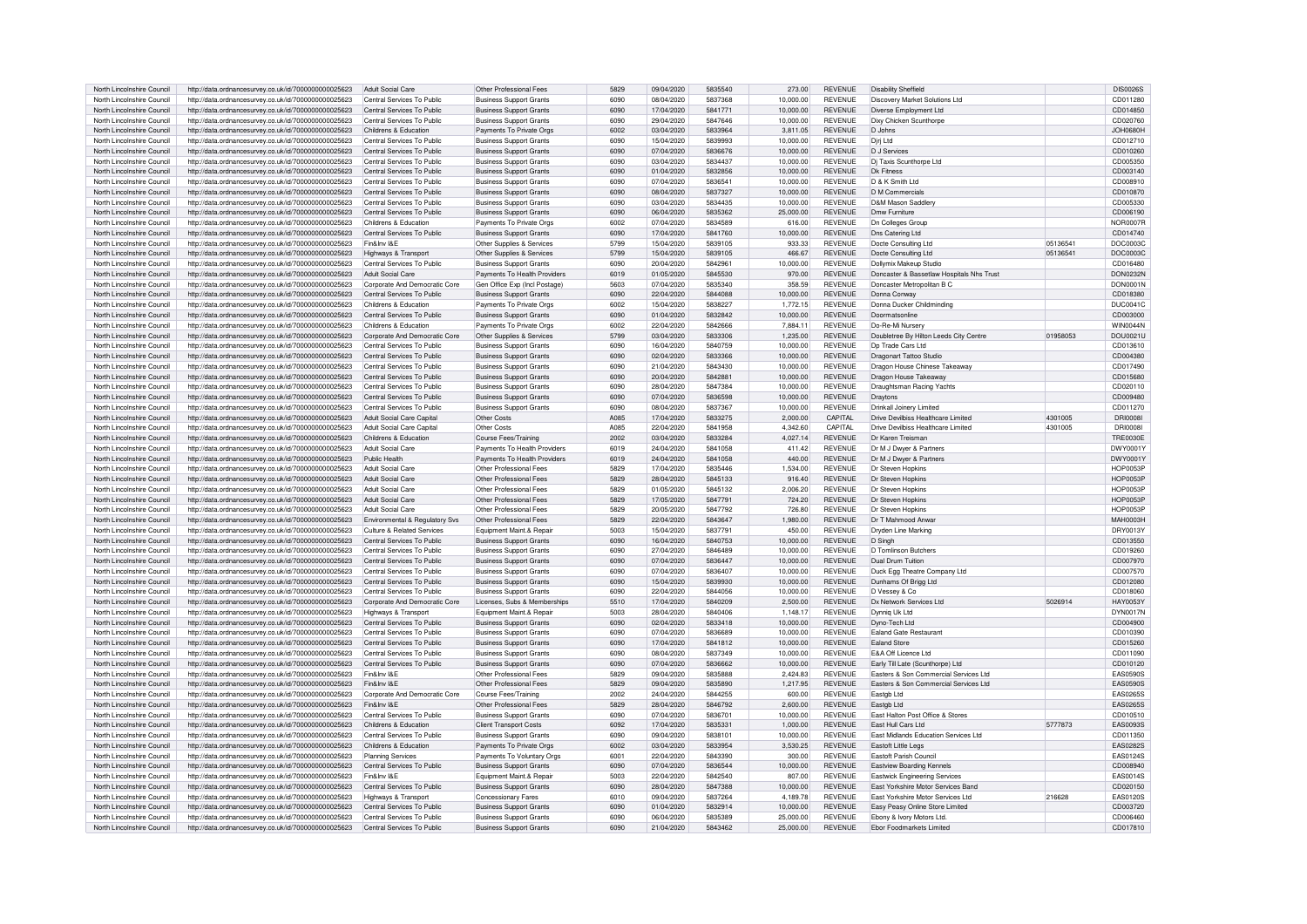| North Lincolnshire Council | http://data.ordnancesurvey.co.uk/id/7000000000025623 | Adult Social Care              | Other Professional Fees        | 5829 | 09/04/2020 | 5835540 | 273.00    | <b>REVENUE</b> | <b>Disability Sheffield</b>               |          | <b>DIS0026S</b> |
|----------------------------|------------------------------------------------------|--------------------------------|--------------------------------|------|------------|---------|-----------|----------------|-------------------------------------------|----------|-----------------|
| North Lincolnshire Council | http://data.ordnancesurvey.co.uk/id/7000000000025623 | Central Services To Public     | <b>Business Support Grants</b> | 6090 | 08/04/2020 | 5837368 | 10,000.00 | <b>REVENUE</b> | Discovery Market Solutions Ltd            |          | CD011280        |
| North Lincolnshire Council | http://data.ordnancesurvey.co.uk/id/7000000000025623 | Central Services To Public     | <b>Business Support Grants</b> | 6090 | 17/04/2020 | 5841771 | 10.000.00 | <b>REVENUE</b> | Diverse Employment Ltd                    |          | CD014850        |
| North Lincolnshire Council | http://data.ordnancesurvey.co.uk/id/7000000000025623 | Central Services To Public     | <b>Business Support Grants</b> | 6090 | 29/04/2020 | 5847646 | 10,000.00 | <b>REVENUE</b> | Dixy Chicken Scunthorne                   |          | CD020760        |
| North Lincolnshire Council | http://data.ordnancesurvey.co.uk/id/7000000000025623 | Childrens & Education          | Payments To Private Orgs       | 6002 | 03/04/2020 | 5833964 | 3,811.05  | <b>REVENUE</b> | D.Johns                                   |          | $-10880H$       |
| North Lincolnshire Council |                                                      | Central Services To Public     | <b>Business Support Grants</b> | 6090 | 15/04/2020 | 5839993 | 10,000.00 | <b>REVENUE</b> | Diri Ltd                                  |          | CD012710        |
|                            | http://data.ordnancesurvey.co.uk/id/7000000000025623 |                                |                                |      |            |         |           |                |                                           |          |                 |
| North Lincolnshire Council | http://data.ordnancesurvey.co.uk/id/7000000000025623 | Central Services To Public     | <b>Business Support Grants</b> | 6090 | 07/04/2020 | 5836676 | 10,000.00 | <b>REVENUE</b> | D J Services                              |          | CD010260        |
| North Lincolnshire Council | http://data.ordnancesurvey.co.uk/id/7000000000025623 | Central Services To Public     | <b>Business Support Grants</b> | 6090 | 03/04/2020 | 5834437 | 10,000.00 | <b>REVENUE</b> | Di Taxis Scunthorpe Ltd                   |          | CD005350        |
| North Lincolnshire Council | http://data.ordnancesurvey.co.uk/id/7000000000025623 | Central Services To Public     | <b>Business Support Grants</b> | 6090 | 01/04/2020 | 5832856 | 10,000.00 | <b>REVENUE</b> | <b>Dk Fitness</b>                         |          | CD003140        |
| North Lincolnshire Council | http://data.ordnancesurvey.co.uk/id/7000000000025623 | Central Services To Public     | <b>Business Support Grants</b> | 6090 | 07/04/2020 | 5836541 | 10,000.00 | <b>REVENUE</b> | D & K Smith Ltd                           |          | CD008910        |
| North Lincolnshire Council | http://data.ordnancesurvey.co.uk/id/7000000000025623 | Central Services To Public     | <b>Business Support Grants</b> | 6090 | 08/04/2020 | 5837327 | 10,000.00 | <b>REVENUE</b> | D M Commercials                           |          | CD010870        |
| North Lincolnshire Council | http://data.ordnancesurvey.co.uk/id/7000000000025623 | Central Services To Public     | <b>Business Support Grants</b> | 6090 | 03/04/2020 | 5834435 | 10.000.00 | <b>REVENUE</b> | D&M Mason Saddler                         |          | CD005330        |
| North Lincolnshire Council | http://data.ordnancesurvey.co.uk/id/7000000000025623 | Central Services To Public     | <b>Business Support Grants</b> | 6090 | 06/04/2020 | 5835362 | 25,000.00 | <b>REVENUE</b> | Dmw Furniture                             |          | CD006190        |
| North Lincolnshire Council | http://data.ordnancesurvey.co.uk/id/7000000000025623 | Childrens & Education          | Payments To Private Orgs       | 6002 | 07/04/2020 | 5834589 | 616.00    | <b>REVENUE</b> | <b>Dn Colleges Group</b>                  |          | <b>NOR0007R</b> |
| North Lincolnshire Council | http://data.ordnancesurvey.co.uk/id/7000000000025623 | Central Services To Public     | <b>Business Support Grants</b> | 6090 | 17/04/2020 | 5841760 | 10.000.00 | <b>REVENUE</b> | Dns Catering Ltd                          |          | CD014740        |
| North Lincolnshire Council | http://data.ordnancesurvev.co.uk/id/7000000000025623 | Fin&Inv I&E                    |                                | 5799 | 15/04/2020 | 5839105 | 933.33    | <b>REVENUE</b> | Docte Consulting Ltd                      | 05136541 | <b>DOC0003C</b> |
|                            |                                                      |                                | Other Supplies & Services      |      |            |         |           |                |                                           |          |                 |
| North Lincolnshire Council | http://data.ordnancesurvey.co.uk/id/7000000000025623 | Highways & Transport           | Other Supplies & Services      | 5799 | 15/04/2020 | 5839105 | 466.67    | <b>REVENUE</b> | Docte Consulting Ltd                      | 05136541 | DOC0003C        |
| North Lincolnshire Council | http://data.ordnancesurvey.co.uk/id/7000000000025623 | Central Services To Public     | <b>Business Support Grants</b> | 6090 | 20/04/2020 | 5842961 | 10.000.00 | <b>REVENUE</b> | Dollymix Makeup Studio                    |          | CD016480        |
| North Lincolnshire Council | http://data.ordnancesurvey.co.uk/id/7000000000025623 | Adult Social Care              | Payments To Health Providers   | 6019 | 01/05/2020 | 5845530 | 970.00    | <b>REVENUE</b> | Doncaster & Bassetlaw Hospitals Nhs Trust |          | <b>DON0232N</b> |
| North Lincolnshire Council | http://data.ordnancesurvey.co.uk/id/7000000000025623 | Corporate And Democratic Core  | Gen Office Exp (Incl Postage)  | 5603 | 07/04/2020 | 5835340 | 358.59    | <b>REVENUE</b> | Doncaster Metropolitan B C                |          | <b>DON0001N</b> |
| North Lincolnshire Council | http://data.ordnancesurvey.co.uk/id/7000000000025623 | Central Services To Public     | <b>Business Support Grants</b> | 6090 | 22/04/2020 | 5844088 | 10.000.00 | <b>REVENUE</b> | Donna Conway                              |          | CD018380        |
| North Lincolnshire Council | http://data.ordnancesurvey.co.uk/id/7000000000025623 | Childrens & Education          | Payments To Private Orgs       | 6002 | 15/04/2020 | 5838227 | 1.772.15  | <b>REVENUE</b> | Donna Ducker Childminding                 |          | <b>DUC0041C</b> |
| North Lincolnshire Council | http://data.ordnancesurvey.co.uk/id/7000000000025623 | Central Services To Public     | <b>Business Support Grants</b> | 6090 | 01/04/2020 | 5832842 | 10,000.00 | <b>REVENUE</b> | Doormatsonline                            |          | CD003000        |
| North Lincolnshire Council | http://data.ordnancesurvey.co.uk/id/7000000000025623 | Childrens & Education          | Payments To Private Orgs       | 6002 | 22/04/2020 | 5842666 | 7,884.11  | <b>REVENUE</b> | Do-Re-Mi Nursery                          |          | WIN0044N        |
| North Lincolnshire Council | http://data.ordnancesurvey.co.uk/id/7000000000025623 | Corporate And Democratic Core  | Other Supplies & Services      | 5799 | 03/04/2020 | 5833306 | 1,235.00  | <b>REVENUE</b> | Doubletree By Hilton Leeds City Centre    | 01958053 | DOU0021U        |
|                            |                                                      |                                |                                |      |            |         |           |                |                                           |          |                 |
| North Lincolnshire Council | http://data.ordnancesurvey.co.uk/id/7000000000025623 | Central Services To Public     | <b>Business Support Grants</b> | 6090 | 16/04/2020 | 5840759 | 10.000.00 | <b>REVENUE</b> | Do Trade Cars Ltd                         |          | CD013610        |
| North Lincolnshire Council | http://data.ordnancesurvey.co.uk/id/7000000000025623 | Central Services To Public     | <b>Business Support Grants</b> | 6090 | 02/04/2020 | 5833366 | 10.000.00 | <b>REVENUE</b> | Dragonart Tattoo Studio                   |          | CD004380        |
| North Lincolnshire Council | http://data.ordnancesurvey.co.uk/id/7000000000025623 | Central Services To Public     | Business Support Grants        | 6090 | 21/04/2020 | 5843430 | 10,000.00 | <b>REVENUE</b> | Dragon House Chinese Takeaway             |          | CD017490        |
| North Lincolnshire Council | http://data.ordnancesurvey.co.uk/id/7000000000025623 | Central Services To Public     | <b>Business Support Grants</b> | 6090 | 20/04/2020 | 5842881 | 10,000.00 | <b>REVENUE</b> | Dragon House Takeaway                     |          | CD015680        |
| North Lincolnshire Council | http://data.ordnancesurvey.co.uk/id/7000000000025623 | Central Services To Public     | <b>Business Support Grants</b> | 6090 | 28/04/2020 | 5847384 | 10,000.00 | <b>REVENUE</b> | Draughtsman Racing Yachts                 |          | CD020110        |
| North Lincolnshire Council | http://data.ordnancesurvey.co.uk/id/7000000000025623 | Central Services To Public     | <b>Business Support Grants</b> | 6090 | 07/04/2020 | 5836598 | 10.000.00 | <b>REVENUE</b> | <b>Draytons</b>                           |          | CD009480        |
| North Lincolnshire Council | http://data.ordnancesurvey.co.uk/id/7000000000025623 | Central Services To Public     | <b>Business Support Grants</b> | 6090 | 08/04/2020 | 5837367 | 10,000.00 | <b>REVENUE</b> | Drinkall Joinery Limited                  |          | CD011270        |
| North Lincolnshire Council | http://data.ordnancesurvey.co.uk/id/7000000000025623 | Adult Social Care Capital      | Other Costs                    | A085 | 17/04/2020 | 5833275 | 2.000.00  | CAPITAL        | Drive Devilbiss Healthcare Limited        | 4301005  | <b>DRI0008</b>  |
| North Lincolnshire Council | http://data.ordnancesurvey.co.uk/id/7000000000025623 | Adult Social Care Capital      | Other Costs                    | A085 | 22/04/2020 | 5841958 | 4.342.60  | CAPITAL        | Drive Devilbiss Healthcare Limited        | 4301005  | <b>DRI0008</b>  |
| North Lincolnshire Council | http://data.ordnancesurvey.co.uk/id/7000000000025623 | Childrens & Education          | Course Fees/Training           | 2002 | 03/04/2020 | 5833284 | 4,027.14  | <b>REVENUE</b> | Dr Karen Treismar                         |          | <b>TRE0030E</b> |
|                            |                                                      |                                |                                |      |            |         |           |                |                                           |          |                 |
| North Lincolnshire Council | http://data.ordnancesurvey.co.uk/id/7000000000025623 | Adult Social Care              | Payments To Health Providers   | 6019 | 24/04/2020 | 5841058 | 411.42    | <b>REVENUE</b> | Dr M J Dwyer & Partners                   |          | DWY0001Y        |
| North Lincolnshire Council | http://data.ordnancesurvey.co.uk/id/7000000000025623 | Public Health                  | Payments To Health Providers   | 6019 | 24/04/2020 | 5841058 | 440.00    | <b>REVENUE</b> | Dr M J Dwyer & Partners                   |          | DWY0001Y        |
| North Lincolnshire Council | http://data.ordnancesurvey.co.uk/id/7000000000025623 | Adult Social Care              | Other Professional Fee:        | 5829 | 17/04/2020 | 5835446 | 1.534.00  | <b>REVENUE</b> | Dr Steven Honkins                         |          | <b>HOP0053E</b> |
| North Lincolnshire Council | http://data.ordnancesurvey.co.uk/id/7000000000025623 | Adult Social Care              | Other Professional Fees        | 5829 | 28/04/2020 | 5845133 | 916.40    | <b>REVENUE</b> | Dr Steven Honkins                         |          | <b>HOP0053E</b> |
| North Lincolnshire Council | http://data.ordnancesurvey.co.uk/id/7000000000025623 | Adult Social Care              | Other Professional Fees        | 5829 | 01/05/2020 | 5845132 | 2,006.20  | <b>REVENUE</b> | Dr Steven Honkins                         |          | <b>HOP0053F</b> |
| North Lincolnshire Council | http://data.ordnancesurvey.co.uk/id/7000000000025623 | Adult Social Care              | Other Professional Fees        | 5829 | 17/05/2020 | 5847791 | 724.20    | <b>REVENUE</b> | Dr Steven Hopkins                         |          | <b>HOP0053P</b> |
| North Lincolnshire Council | http://data.ordnancesurvey.co.uk/id/7000000000025623 | Adult Social Care              | Other Professional Fees        | 5829 | 20/05/2020 | 5847792 | 726.80    | <b>REVENUE</b> | Dr Steven Hopkins                         |          | <b>HOP0053F</b> |
| North Lincolnshire Counci  | http://data.ordnancesurvey.co.uk/id/7000000000025623 | Environmental & Regulatory Sys | Other Professional Fees        | 5829 | 22/04/2020 | 5843647 | 1.980.00  | <b>REVENUE</b> | Dr T Mahmood Anwa                         |          | <b>MAH0003H</b> |
| North Lincolnshire Council | http://data.ordnancesurvey.co.uk/id/7000000000025623 | Culture & Related Service:     | Equipment Maint.& Repai        | 5003 | 15/04/2020 | 5837791 | 450.00    | <b>REVENUE</b> | Dryden Line Marking                       |          | DRY0013Y        |
| North Lincolnshire Council |                                                      | Central Services To Public     |                                | 6090 | 16/04/2020 | 5840753 |           | <b>REVENUE</b> | D Singh                                   |          | CD013550        |
|                            | http://data.ordnancesurvey.co.uk/id/7000000000025623 |                                | <b>Business Support Grants</b> |      |            |         | 10,000.00 |                |                                           |          |                 |
| North Lincolnshire Council | http://data.ordnancesurvey.co.uk/id/7000000000025623 | Central Services To Public     | <b>Business Support Grants</b> | 6090 | 27/04/2020 | 5846489 | 10,000.00 | <b>REVENUE</b> | D Tomlinson Butchers                      |          | CD019260        |
| North Lincolnshire Council | http://data.ordnancesurvey.co.uk/id/7000000000025623 | Central Services To Public     | <b>Business Support Grants</b> | 6090 | 07/04/2020 | 5836447 | 10,000.00 | <b>REVENUE</b> | Dual Drum Tuition                         |          | CD007970        |
| North Lincolnshire Council | http://data.ordnancesurvey.co.uk/id/7000000000025623 | Central Services To Public     | <b>Business Support Grants</b> | 6090 | 07/04/2020 | 5836407 | 10.000.00 | <b>REVENUE</b> | Duck Egg Theatre Company Ltd              |          | CD007570        |
| North Lincolnshire Council | http://data.ordnancesurvey.co.uk/id/7000000000025623 | Central Services To Public     | <b>Business Support Grants</b> | 6090 | 15/04/2020 | 5839930 | 10.000.00 | <b>REVENUE</b> | Dunhams Of Brigg Ltd.                     |          | CD012080        |
| North Lincolnshire Council | http://data.ordnancesurvey.co.uk/id/7000000000025623 | Central Services To Public     | <b>Business Support Grants</b> | 6090 | 22/04/2020 | 5844056 | 10.000.00 | <b>REVENUE</b> | D Vessey & Co                             |          | CD018060        |
| North Lincolnshire Council | http://data.ordnancesurvey.co.uk/id/7000000000025623 | Corporate And Democratic Core  | Licenses, Subs & Memberships   | 5510 | 17/04/2020 | 5840209 | 2,500.00  | <b>REVENUE</b> | Dx Network Services Ltd                   | 5026914  | HAY0053\        |
| North Lincolnshire Council | http://data.ordnancesurvey.co.uk/id/7000000000025623 | Highways & Transport           | Equipment Maint.& Repai        | 5003 | 28/04/2020 | 5840406 | 1.148.17  | <b>REVENUE</b> | Dynnig Uk Ltd                             |          | DYN0017N        |
| North Lincolnshire Council | http://data.ordnancesurvey.co.uk/id/7000000000025623 | Central Services To Public     | <b>Business Support Grants</b> | 6090 | 02/04/2020 | 5833418 | 10,000.00 | <b>REVENUE</b> | Dyno-Tech Ltd                             |          | CD004900        |
| North Lincolnshire Council | http://data.ordnancesurvey.co.uk/id/7000000000025623 | Central Services To Public     | <b>Business Support Grants</b> | 6090 | 07/04/2020 | 5836689 | 10,000.00 | <b>REVENUE</b> | <b>Faland Gate Bestaurant</b>             |          | CD010390        |
| North Lincolnshire Council | http://data.ordnancesurvey.co.uk/id/7000000000025623 | Central Services To Public     | <b>Business Support Grants</b> | 6090 | 17/04/2020 | 5841812 | 10.000.00 | <b>REVENUE</b> | <b>Ealand Store</b>                       |          | CD015260        |
|                            |                                                      | Central Services To Public     |                                | 6090 | 08/04/2020 | 5837349 | 10.000.00 | <b>REVENUE</b> |                                           |          |                 |
| North Lincolnshire Council | http://data.ordnancesurvey.co.uk/id/7000000000025623 | Central Services To Public     | <b>Business Support Grants</b> | 6090 | 07/04/2020 | 5836662 | 10.000.00 | <b>REVENUE</b> | E&A Off Licence Ltd                       |          | CD011090        |
| North Lincolnshire Council | http://data.ordnancesurvey.co.uk/id/7000000000025623 |                                | <b>Business Support Grants</b> |      |            |         |           |                | Early Till Late (Scunthorpe) Ltd          |          | CD010120        |
| North Lincolnshire Council | http://data.ordnancesurvey.co.uk/id/7000000000025623 | Fin&Inv I&F                    | Other Professional Fees        | 5829 | 09/04/2020 | 5835888 | 2,424.83  | <b>REVENUE</b> | Easters & Son Commercial Services Ltd     |          | <b>EAS0590S</b> |
| North Lincolnshire Council | http://data.ordnancesurvey.co.uk/id/7000000000025623 | Fin&Inv I&F                    | Other Professional Fees        | 5829 | 09/04/2020 | 5835890 | 1,217.95  | <b>REVENUE</b> | Easters & Son Commercial Services Ltd     |          | <b>EAS0590S</b> |
| North Lincolnshire Council | http://data.ordnancesurvey.co.uk/id/7000000000025623 | Corporate And Democratic Core  | Course Fees/Training           | 2002 | 24/04/2020 | 5844255 | 600.00    | <b>REVENUE</b> | Fastob I td                               |          | EAS0265S        |
| North Lincolnshire Council | http://data.ordnancesurvey.co.uk/id/7000000000025623 | Fin&Inv I&F                    | Other Professional Fees        | 5829 | 28/04/2020 | 5846792 | 2.600.00  | <b>REVENUE</b> | Eastgb Ltd                                |          | EAS0265S        |
| North Lincolnshire Council | http://data.ordnancesurvey.co.uk/id/7000000000025623 | Central Services To Public     | <b>Business Support Grants</b> | 6090 | 07/04/2020 | 5836701 | 10.000.00 | <b>REVENUE</b> | East Halton Post Office & Stores          |          | CD010510        |
| North Lincolnshire Council | http://data.ordnancesurvey.co.uk/id/7000000000025623 | Childrens & Education          | <b>Client Transport Costs</b>  | 6092 | 17/04/2020 | 5835331 | 1.000.00  | <b>REVENUE</b> | East Hull Cars Ltd                        | 5777873  | EAS0093S        |
| North Lincolnshire Council | http://data.ordnancesurvey.co.uk/id/7000000000025623 | Central Services To Public     | <b>Business Support Grants</b> | 6090 | 09/04/2020 | 5838101 | 10.000.00 | <b>REVENUE</b> | East Midlands Education Services Ltd      |          | CD011350        |
| North Lincolnshire Council | http://data.ordnancesurvey.co.uk/id/7000000000025623 | Childrens & Education          | Payments To Private Orgs       | 6002 | 03/04/2020 | 5833954 | 3,530.25  | <b>REVENUE</b> | Eastoft Little Legs                       |          | EAS0282S        |
| North Lincolnshire Council | http://data.ordnancesurvey.co.uk/id/7000000000025623 | <b>Planning Services</b>       | Payments To Voluntary Orgs     | 6001 | 22/04/2020 | 5843390 | 300.00    | <b>REVENUE</b> | <b>Fastoft Parish Council</b>             |          | FAS0124S        |
| North Lincolnshire Council |                                                      | Central Services To Public     |                                | 6090 | 07/04/2020 | 5836544 | 10.000.00 | <b>REVENUE</b> | Eastview Boarding Kennels                 |          | CD008940        |
|                            | http://data.ordnancesurvey.co.uk/id/7000000000025623 |                                | <b>Business Support Grants</b> |      |            |         |           |                |                                           |          |                 |
| North Lincolnshire Council | http://data.ordnancesurvey.co.uk/id/7000000000025623 | Fin&Inv I&F                    | Equipment Maint.& Repair       | 5003 | 22/04/2020 | 5842540 | 807.00    | <b>REVENUE</b> | Eastwick Engineering Services             |          | EAS0014S        |
| North Lincolnshire Council | http://data.ordnancesurvey.co.uk/id/7000000000025623 | Central Services To Public     | <b>Business Support Grants</b> | 6090 | 28/04/2020 | 5847388 | 10,000.00 | <b>REVENUE</b> | East Yorkshire Motor Services Band        |          | CD020150        |
| North Lincolnshire Council | http://data.ordnancesurvey.co.uk/id/7000000000025623 | Highways & Transport           | Concessionary Fares            | 6010 | 09/04/2020 | 5837264 | 4.189.78  | <b>REVENUE</b> | East Yorkshire Motor Services Ltd         | 216628   | <b>EAS0120S</b> |
| North Lincolnshire Council | http://data.ordnancesurvey.co.uk/id/7000000000025623 | Central Services To Public     | <b>Business Support Grants</b> | 6090 | 01/04/2020 | 5832914 | 10,000.00 | <b>REVENUE</b> | Easy Peasy Online Store Limited           |          | CD003720        |
| North Lincolnshire Council | http://data.ordnancesurvey.co.uk/id/7000000000025623 | Central Services To Public     | <b>Business Support Grants</b> | 6090 | 06/04/2020 | 5835389 | 25.000.00 | <b>REVENUE</b> | Ebony & Ivory Motors Ltd.                 |          | CD006460        |
| North Lincolnshire Council | http://data.ordnancesurvey.co.uk/id/7000000000025623 |                                |                                | 6090 | 21/04/2020 | 5843462 | 25,000.00 | <b>REVENUE</b> | Ebor Foodmarkets Limited                  |          | CD017810        |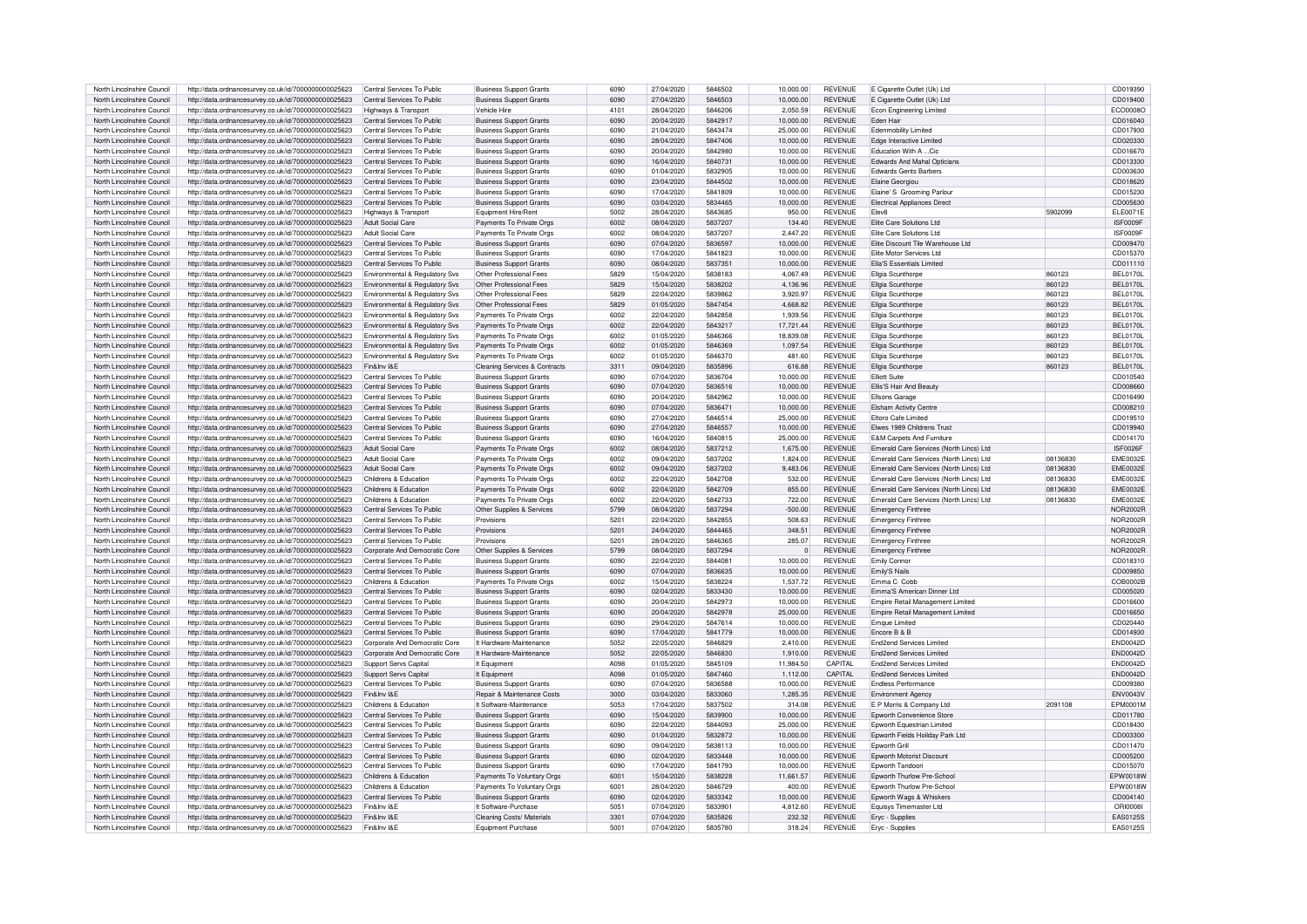| North Lincolnshire Council | http://data.ordnancesurvey.co.uk/id/7000000000025623 | Central Services To Public                | <b>Business Support Grants</b>           | 6090 | 27/04/2020 | 5846502 | 10,000.00 | <b>REVENUE</b> | E Cigarette Outlet (Uk) Ltd             |          | CD019390        |
|----------------------------|------------------------------------------------------|-------------------------------------------|------------------------------------------|------|------------|---------|-----------|----------------|-----------------------------------------|----------|-----------------|
| North Lincolnshire Council |                                                      | Central Services To Public                |                                          | 6090 | 27/04/2020 | 5846503 | 10.000.00 | <b>REVENUE</b> |                                         |          | CD019400        |
|                            | http://data.ordnancesurvey.co.uk/id/7000000000025623 |                                           | <b>Business Support Grants</b>           |      |            |         |           |                | E Cigarette Outlet (Uk) Ltd             |          |                 |
| North Lincolnshire Council | http://data.ordnancesurvey.co.uk/id/7000000000025623 | Highways & Transport                      | Vehicle Hire                             | 4101 | 28/04/2020 | 5846206 | 2.050.59  | <b>REVENUE</b> | Econ Engineering Limited                |          | ECO0008O        |
| North Lincolnshire Council | http://data.ordnancesurvey.co.uk/id/7000000000025623 | Central Services To Public                | <b>Business Support Grants</b>           | 6090 | 20/04/2020 | 5842917 | 10,000.00 | <b>REVENUE</b> | <b>Eden Hair</b>                        |          | CD016040        |
| North Lincolnshire Council | http://data.ordnancesurvey.co.uk/id/7000000000025623 | Central Services To Public                | <b>Business Support Grants</b>           | 6090 | 21/04/2020 | 5843474 | 25,000.00 | <b>REVENUE</b> | Edenmobility Limited                    |          | CD017930        |
| North Lincolnshire Council | http://data.ordnancesurvey.co.uk/id/7000000000025623 | Central Services To Public                | <b>Business Support Grants</b>           | 6090 | 28/04/2020 | 5847406 | 10,000.00 | <b>REVENUE</b> | Edge Interactive Limited                |          | CD020330        |
| North Lincolnshire Council | http://data.ordnancesurvey.co.uk/id/7000000000025623 | Central Services To Public                | <b>Business Support Grants</b>           | 6090 | 20/04/2020 | 5842980 | 10,000.00 | <b>REVENUE</b> | Education With A  Cic                   |          | CD016670        |
|                            |                                                      |                                           |                                          |      |            |         |           |                |                                         |          |                 |
| North Lincolnshire Council | http://data.ordnancesurvey.co.uk/id/7000000000025623 | Central Services To Public                | <b>Business Support Grants</b>           | 6090 | 16/04/2020 | 5840731 | 10.000.00 | <b>REVENUE</b> | <b>Edwards And Mahal Opticians</b>      |          | CD013330        |
| North Lincolnshire Council | http://data.ordnancesurvey.co.uk/id/7000000000025623 | Central Services To Public                | <b>Business Support Grants</b>           | 6090 | 01/04/2020 | 5832905 | 10.000.00 | <b>REVENUE</b> | <b>Edwards Gents Barbers</b>            |          | CD003630        |
| North Lincolnshire Council | http://data.ordnancesurvey.co.uk/id/7000000000025623 | Central Services To Public                | <b>Business Support Grants</b>           | 6090 | 23/04/2020 | 5844502 | 10.000.00 | <b>REVENUE</b> | Elaine Georgiou                         |          | CD018620        |
| North Lincolnshire Council | http://data.ordnancesurvey.co.uk/id/7000000000025623 | Central Services To Public                | <b>Business Support Grants</b>           | 6090 | 17/04/2020 | 5841809 | 10.000.00 | <b>REVENUE</b> | Elaine' S Grooming Parlour              |          | CD015230        |
| North Lincolnshire Council | http://data.ordnancesurvey.co.uk/id/7000000000025623 | Central Services To Public                | <b>Business Support Grants</b>           | 6090 | 03/04/2020 | 5834465 | 10,000.00 | <b>REVENUE</b> | <b>Electrical Appliances Direct</b>     |          | CD005630        |
| North Lincolnshire Council | http://data.ordnancesurvey.co.uk/id/7000000000025623 |                                           | Equipment Hire/Rent                      | 5002 | 28/04/2020 | 5843685 | 950.00    | <b>REVENUE</b> | Flev8                                   | 5902099  | <b>ELE0071E</b> |
|                            |                                                      | Highways & Transport                      |                                          |      |            |         |           |                |                                         |          |                 |
| North Lincolnshire Council | http://data.ordnancesurvey.co.uk/id/7000000000025623 | Adult Social Care                         | Payments To Private Orgs                 | 6002 | 08/04/2020 | 5837207 | 134.40    | <b>REVENUE</b> | Elite Care Solutions Ltd                |          | ISF0009F        |
| North Lincolnshire Council | http://data.ordnancesurvey.co.uk/id/7000000000025623 | Adult Social Care                         | Payments To Private Orgs                 | 600S | 08/04/2020 | 5837207 | 2.447.20  | <b>REVENUE</b> | Flite Care Solutions Ltd                |          | ISF0009F        |
| North Lincolnshire Council | http://data.ordnancesurvey.co.uk/id/7000000000025623 | Central Services To Public                | <b>Business Support Grants</b>           | 6090 | 07/04/2020 | 5836597 | 10,000.00 | <b>REVENUE</b> | Elite Discount Tile Warehouse Ltd       |          | CD009470        |
| North Lincolnshire Council | http://data.ordnancesurvey.co.uk/id/7000000000025623 | Central Services To Public                | <b>Business Support Grants</b>           | 6090 | 17/04/2020 | 5841823 | 10,000.00 | <b>REVENUE</b> | Elite Motor Services Ltd                |          | CD015370        |
| North Lincolnshire Council | http://data.ordnancesurvey.co.uk/id/7000000000025623 | Central Services To Public                | <b>Business Support Grants</b>           | 6090 | 08/04/2020 | 5837351 | 10,000.00 | <b>REVENUE</b> | Ella'S Essentials Limited               |          | CD011110        |
|                            |                                                      |                                           |                                          |      |            |         |           |                |                                         |          |                 |
| North Lincolnshire Council | http://data.ordnancesurvey.co.uk/id/7000000000025623 | Environmental & Regulatory Svs            | Other Professional Fees                  | 5829 | 15/04/2020 | 5838183 | 4,067.49  | <b>REVENUE</b> | Ellgia Scunthorpe                       | 860123   | BEL0170L        |
| North Lincolnshire Council | http://data.ordnancesurvey.co.uk/id/7000000000025623 | Environmental & Regulatory Svs            | Other Professional Fees                  | 5829 | 15/04/2020 | 5838202 | 4.136.96  | <b>REVENUE</b> | Ellgia Scunthorpe                       | 860123   | <b>BEL0170L</b> |
| North Lincolnshire Council | http://data.ordnancesurvey.co.uk/id/7000000000025623 | Environmental & Regulatory Svs            | Other Professional Fees                  | 5829 | 22/04/2020 | 5839862 | 3,920.97  | <b>REVENUE</b> | Ellgia Scunthorpe                       | 860123   | BEL0170L        |
| North Lincolnshire Council | http://data.ordnancesurvey.co.uk/id/7000000000025623 | Environmental & Regulatory Svs            | Other Professional Fees                  | 5829 | 01/05/2020 | 5847454 | 4,668.82  | <b>REVENUE</b> | Ellgia Scunthorpe                       | 860123   | BEL0170L        |
| North Lincolnshire Council | http://data.ordnancesurvev.co.uk/id/7000000000025623 | <b>Fnvironmental &amp; Requlatory Sys</b> | Payments To Private Orgs                 | 6002 | 22/04/2020 | 5842858 | 1.939.56  | <b>REVENUE</b> | Filgia Scunthorne                       | 860123   | <b>BEL0170L</b> |
| North Lincolnshire Council | http://data.ordnancesurvey.co.uk/id/7000000000025623 | Environmental & Regulatory Sys            | Payments To Private Orgs                 | 6002 | 22/04/2020 | 5843217 | 17,721.44 | <b>REVENUE</b> | Ellgia Scunthorpe                       | 860123   | BEL0170L        |
|                            |                                                      |                                           |                                          |      |            |         |           |                |                                         |          |                 |
| North Lincolnshire Council | http://data.ordnancesurvey.co.uk/id/7000000000025623 | Environmental & Regulatory Svs            | Payments To Private Orgs                 | 6002 | 01/05/2020 | 5846366 | 18.839.08 | <b>REVENUE</b> | Ellgia Scunthorpe                       | 860123   | BEL0170L        |
| North Lincolnshire Council | http://data.ordnancesurvey.co.uk/id/7000000000025623 | Environmental & Regulatory Svs            | Payments To Private Orgs                 | 6002 | 01/05/2020 | 5846369 | 1.097.54  | <b>REVENUE</b> | Ellgia Scunthorpe                       | 860123   | BEL0170L        |
| North Lincolnshire Council | http://data.ordnancesurvey.co.uk/id/7000000000025623 | Environmental & Regulatory Svs            | Payments To Private Orgs                 | 6002 | 01/05/2020 | 5846370 | 481.60    | <b>REVENUE</b> | Ellgia Scunthorpe                       | 860123   | BFI 0170L       |
| North Lincolnshire Council | http://data.ordnancesurvey.co.uk/id/7000000000025623 | Fin&Inv I&E                               | <b>Cleaning Services &amp; Contracts</b> | 3311 | 09/04/2020 | 5835896 | 616.88    | <b>REVENUE</b> | Ellgia Scunthorpe                       | 860123   | <b>BEL0170L</b> |
| North Lincolnshire Council | http://data.ordnancesurvey.co.uk/id/7000000000025623 | Central Services To Public                | <b>Business Support Grants</b>           | 6090 | 07/04/2020 | 5836704 | 10.000.00 | <b>REVENUE</b> | <b>Elliott Suite</b>                    |          | CD010540        |
|                            |                                                      |                                           |                                          |      |            |         |           |                |                                         |          |                 |
| North Lincolnshire Council | http://data.ordnancesurvey.co.uk/id/7000000000025623 | Central Services To Public                | <b>Business Support Grants</b>           | 6090 | 07/04/2020 | 5836516 | 10,000.00 | <b>REVENUE</b> | Ellis'S Hair And Beauty                 |          | CD008660        |
| North Lincolnshire Council | http://data.ordnancesurvey.co.uk/id/7000000000025623 | Central Services To Public                | <b>Business Support Grants</b>           | 6090 | 20/04/2020 | 5842962 | 10.000.00 | <b>REVENUE</b> | <b>Filsons Garage</b>                   |          | CD016490        |
| North Lincolnshire Council | http://data.ordnancesurvey.co.uk/id/7000000000025623 | Central Services To Public                | <b>Business Support Grants</b>           | 6090 | 07/04/2020 | 5836471 | 10,000.00 | <b>REVENUE</b> | <b>Elsham Activity Centre</b>           |          | CD008210        |
| North Lincolnshire Council | http://data.ordnancesurvey.co.uk/id/7000000000025623 | Central Services To Public                | <b>Business Support Grants</b>           | 6090 | 27/04/2020 | 5846514 | 25,000.00 | <b>REVENUE</b> | <b>Eltoro Cafe Limited</b>              |          | CD019510        |
| North Lincolnshire Council | http://data.ordnancesurvey.co.uk/id/7000000000025623 | Central Services To Public                | <b>Business Support Grants</b>           | 6090 | 27/04/2020 | 5846557 | 10,000.00 | <b>REVENUE</b> | <b>Elwes 1989 Childrens Trust</b>       |          | CD019940        |
|                            |                                                      |                                           |                                          |      |            |         |           |                |                                         |          |                 |
| North Lincolnshire Council | http://data.ordnancesurvey.co.uk/id/7000000000025623 | Central Services To Public                | <b>Business Support Grants</b>           | 6090 | 16/04/2020 | 5840815 | 25,000.00 | <b>REVENUE</b> | E&M Carpets And Furniture               |          | CD014170        |
| North Lincolnshire Council | http://data.ordnancesurvey.co.uk/id/7000000000025623 | Adult Social Care                         | Payments To Private Org                  | 6002 | 08/04/2020 | 5837212 | 1.675.00  | <b>REVENUE</b> | Emerald Care Services (North Lincs) Ltd |          | ISF0026F        |
| North Lincolnshire Council | http://data.ordnancesurvey.co.uk/id/7000000000025623 | Adult Social Care                         | Payments To Private Orgs                 | 6002 | 09/04/2020 | 5837202 | 1.824.00  | <b>REVENUE</b> | Emerald Care Services (North Lincs) Ltd | 08136830 | <b>EME0032E</b> |
| North Lincolnshire Council | http://data.ordnancesurvey.co.uk/id/7000000000025623 | Adult Social Care                         | Payments To Private Orgs                 | 6002 | 09/04/2020 | 5837202 | 9.483.06  | <b>REVENUE</b> | Emerald Care Services (North Lincs) Ltd | 08136830 | <b>EME0032E</b> |
| North Lincolnshire Council | http://data.ordnancesurvev.co.uk/id/7000000000025623 | Childrens & Education                     | Payments To Private Orgs                 | 6002 | 22/04/2020 | 5842708 | 532.00    | <b>REVENUE</b> | Emerald Care Services (North Lincs) Ltd | 08136830 | <b>EME0032E</b> |
| North Lincolnshire Counci  |                                                      | Childrens & Education                     |                                          | 6002 | 22/04/2020 | 5842709 | 855.00    | <b>REVENUE</b> |                                         | 08136830 | <b>EME0032E</b> |
|                            | http://data.ordnancesurvey.co.uk/id/7000000000025623 |                                           | Payments To Private Orgs                 |      |            |         |           |                | Emerald Care Services (North Lincs) Ltd |          |                 |
| North Lincolnshire Council | http://data.ordnancesurvey.co.uk/id/7000000000025623 | Childrens & Education                     | Payments To Private Orgs                 | 6002 | 22/04/2020 | 5842733 | 722.00    | <b>REVENUE</b> | Emerald Care Services (North Lincs) Ltd | 08136830 | <b>EME0032E</b> |
| North Lincolnshire Counci  | http://data.ordnancesurvey.co.uk/id/7000000000025623 | Central Services To Public                | Other Supplies & Services                | 5799 | 08/04/2020 | 5837294 | $-500.00$ | <b>REVENUE</b> | <b>Emergency Finthree</b>               |          | <b>NOR2002R</b> |
| North Lincolnshire Council | http://data.ordnancesurvey.co.uk/id/7000000000025623 | Central Services To Public                | Provisions                               | 5201 | 22/04/2020 | 5842855 | 508.63    | <b>REVENUE</b> | <b>Emergency Finthree</b>               |          | NOR2002F        |
| North Lincolnshire Council | http://data.ordnancesurvey.co.uk/id/7000000000025623 | Central Services To Public                | Provisions                               | 5201 | 24/04/2020 | 5844465 | 348.51    | <b>REVENUE</b> | <b>Emergency Finthree</b>               |          | <b>NOR2002F</b> |
| North Lincolnshire Council | http://data.ordnancesurvey.co.uk/id/7000000000025623 | Central Services To Public                | Provisions                               | 5201 | 28/04/2020 | 5846365 | 285.07    | <b>REVENUE</b> | <b>Emergency Finthree</b>               |          | <b>NOR2002R</b> |
|                            |                                                      |                                           |                                          | 5799 |            | 5837294 |           | <b>REVENUE</b> |                                         |          | <b>NOR2002R</b> |
| North Lincolnshire Council | http://data.ordnancesurvey.co.uk/id/7000000000025623 | Corporate And Democratic Core             | Other Supplies & Services                |      | 08/04/2020 |         | $\Omega$  |                | <b>Emergency Finthree</b>               |          |                 |
| North Lincolnshire Council | http://data.ordnancesurvey.co.uk/id/7000000000025623 | Central Services To Public                | <b>Business Support Grants</b>           | 6090 | 22/04/2020 | 5844081 | 10,000.00 | <b>REVENUE</b> | <b>Emily Connor</b>                     |          | CD018310        |
| North Lincolnshire Council | http://data.ordnancesurvey.co.uk/id/7000000000025623 | Central Services To Public                | <b>Business Support Grants</b>           | 6090 | 07/04/2020 | 5836635 | 10,000.00 | <b>REVENUE</b> | Emily'S Nails                           |          | CD009850        |
| North Lincolnshire Council | http://data.ordnancesurvey.co.uk/id/7000000000025623 | Childrens & Education                     | Payments To Private Orgs                 | 6002 | 15/04/2020 | 5838224 | 1,537.72  | <b>REVENUE</b> | Emma C. Cobb                            |          | COB0002E        |
| North Lincolnshire Council | http://data.ordnancesurvey.co.uk/id/7000000000025623 | Central Services To Public                | <b>Business Support Grants</b>           | 6090 | 02/04/2020 | 5833430 | 10,000.00 | <b>REVENUE</b> | Emma'S American Dinner Ltd.             |          | CD005020        |
| North Lincolnshire Council | http://data.ordnancesurvey.co.uk/id/7000000000025623 | Central Services To Public                | <b>Business Support Grants</b>           | 6090 | 20/04/2020 | 5842973 | 10,000.00 | <b>REVENUE</b> | Empire Retail Management Limited        |          | CD016600        |
|                            |                                                      |                                           |                                          |      |            |         |           |                |                                         |          |                 |
| North Lincolnshire Council | http://data.ordnancesurvey.co.uk/id/7000000000025623 | Central Services To Public                | <b>Business Support Grants</b>           | 6090 | 20/04/2020 | 5842978 | 25,000.00 | <b>REVENUE</b> | Empire Retail Management Limited        |          | CD016650        |
| North Lincolnshire Council | http://data.ordnancesurvey.co.uk/id/7000000000025623 | Central Services To Public                | <b>Business Support Grants</b>           | 6090 | 29/04/2020 | 5847614 | 10,000.00 | <b>REVENUE</b> | <b>Emque Limited</b>                    |          | CD020440        |
| North Lincolnshire Council | http://data.ordnancesurvey.co.uk/id/7000000000025623 | Central Services To Public                | <b>Business Support Grants</b>           | 6090 | 17/04/2020 | 5841779 | 10,000.00 | <b>REVENUE</b> | Fricore B & B                           |          | CD014930        |
| North Lincolnshire Council | http://data.ordnancesurvey.co.uk/id/7000000000025623 | Corporate And Democratic Core             | It Hardware-Maintenance                  | 5052 | 22/05/2020 | 5846829 | 2.410.00  | <b>REVENUE</b> | <b>End2end Services Limited</b>         |          | <b>END0042D</b> |
| North Lincolnshire Council | http://data.ordnancesurvey.co.uk/id/7000000000025623 | Corporate And Democratic Core             | It Hardware-Maintenance                  | 5052 | 22/05/2020 | 5846830 | 1,910.00  | <b>REVENUE</b> | End2end Services Limited                |          | <b>END0042D</b> |
| North Lincolnshire Council | http://data.ordnancesurvey.co.uk/id/7000000000025623 | Support Servs Capital                     | It Equipment                             | A098 | 01/05/2020 | 5845109 | 11,984.50 | CAPITAL        | End2end Services Limited                |          | <b>END0042D</b> |
|                            |                                                      |                                           |                                          |      |            |         |           |                |                                         |          |                 |
| North Lincolnshire Council | http://data.ordnancesurvey.co.uk/id/7000000000025623 | Support Servs Capital                     | It Fauinment                             | A098 | 01/05/2020 | 5847460 | 1.112.00  | CAPITAL        | End2end Services Limited                |          | <b>END0042D</b> |
| North Lincolnshire Council | http://data.ordnancesurvey.co.uk/id/7000000000025623 | Central Services To Public                | <b>Business Support Grants</b>           | 6090 | 07/04/2020 | 5836588 | 10,000.00 | <b>REVENUE</b> | <b>Endless Performance</b>              |          | CD009380        |
| North Lincolnshire Council | http://data.ordnancesurvey.co.uk/id/7000000000025623 | Fin&Inv I&F                               | Repair & Maintenance Costs               | 3000 | 03/04/2020 | 5833060 | 1.285.35  | <b>REVENUE</b> | <b>Environment Agency</b>               |          | <b>FNV0043V</b> |
| North Lincolnshire Council | http://data.ordnancesurvey.co.uk/id/7000000000025623 | Childrens & Education                     | It Software-Maintenance                  | 5053 | 17/04/2020 | 5837502 | 314.08    | <b>REVENUE</b> | E P Morris & Company Ltd                | 2091108  | FPM0001M        |
| North Lincolnshire Council | http://data.ordnancesurvey.co.uk/id/7000000000025623 | Central Services To Public                | <b>Business Support Grants</b>           | 6090 | 15/04/2020 | 5839900 | 10,000.00 | <b>REVENUE</b> | <b>Enworth Convenience Store</b>        |          | CD011780        |
|                            |                                                      | Central Services To Public                |                                          | 6090 |            | 5844093 |           | <b>REVENUE</b> |                                         |          |                 |
| North Lincolnshire Council | http://data.ordnancesurvey.co.uk/id/7000000000025623 |                                           | <b>Business Support Grants</b>           |      | 22/04/2020 |         | 25,000.00 |                | Epworth Equestrian Limited              |          | CD018430        |
| North Lincolnshire Council | http://data.ordnancesurvey.co.uk/id/7000000000025623 | Central Services To Public                | <b>Business Support Grants</b>           | 6090 | 01/04/2020 | 5832872 | 10,000.00 | <b>REVENUE</b> | Epworth Fields Hoilday Park Ltd         |          | CD003300        |
| North Lincolnshire Council | http://data.ordnancesurvey.co.uk/id/7000000000025623 | Central Services To Public                | <b>Business Support Grants</b>           | 6090 | 09/04/2020 | 5838113 | 10,000.00 | <b>REVENUE</b> | Epworth Grill                           |          | CD011470        |
| North Lincolnshire Council | http://data.ordnancesurvey.co.uk/id/7000000000025623 | Central Services To Public                | <b>Business Support Grants</b>           | 6090 | 02/04/2020 | 5833448 | 10.000.00 | <b>REVENUE</b> | Epworth Motorist Discount               |          | CD005200        |
| North Lincolnshire Council | http://data.ordnancesurvey.co.uk/id/7000000000025623 | Central Services To Public                | <b>Business Support Grants</b>           | 6090 | 17/04/2020 | 5841793 | 10.000.00 | <b>REVENUE</b> | Epworth Tandoori                        |          | CD015070        |
| North Lincolnshire Council | http://data.ordnancesurvey.co.uk/id/7000000000025623 | Childrens & Education                     | Payments To Voluntary Orgs               | 6001 | 15/04/2020 | 5838228 | 11,661.57 | <b>REVENUE</b> | Epworth Thurlow Pre-School              |          | EPW0018W        |
| North Lincolnshire Council | http://data.ordnancesurvey.co.uk/id/7000000000025623 | Childrens & Education                     | Payments To Voluntary Orgs               | 6001 | 28/04/2020 | 5846729 | 400.00    | <b>REVENUE</b> | Epworth Thurlow Pre-School              |          | EPW0018W        |
|                            |                                                      |                                           |                                          |      |            |         |           |                |                                         |          |                 |
| North Lincolnshire Council | http://data.ordnancesurvey.co.uk/id/7000000000025623 | Central Services To Public                | <b>Business Support Grants</b>           | 6090 | 02/04/2020 | 5833342 | 10.000.00 | <b>REVENUE</b> | <b>Enworth Wags &amp; Whiskers</b>      |          | CD004140        |
| North Lincolnshire Council | http://data.ordnancesurvey.co.uk/id/7000000000025623 | Fin&Inv I&F                               | It Software-Purchase                     | 5051 | 07/04/2020 | 5833901 | 4.812.60  | <b>REVENUE</b> | Equisys Timemaster Ltd                  |          | OBI0008         |
| North Lincolnshire Council | http://data.ordnancesurvey.co.uk/id/7000000000025623 | Fin&Inv I&F                               | Cleaning Costs/ Materials                | 3301 | 07/04/2020 | 5835826 | 232.32    | <b>REVENUE</b> | Eryc - Supplies                         |          | EAS0125S        |
| North Lincolnshire Council | http://data.ordnancesurvey.co.uk/id/7000000000025623 | Fin&Inv I&E                               | Equipment Purchase                       | 5001 | 07/04/2020 | 5835780 | 318.24    | <b>REVENUE</b> | Ervc - Supplies                         |          | FAS0125S        |
|                            |                                                      |                                           |                                          |      |            |         |           |                |                                         |          |                 |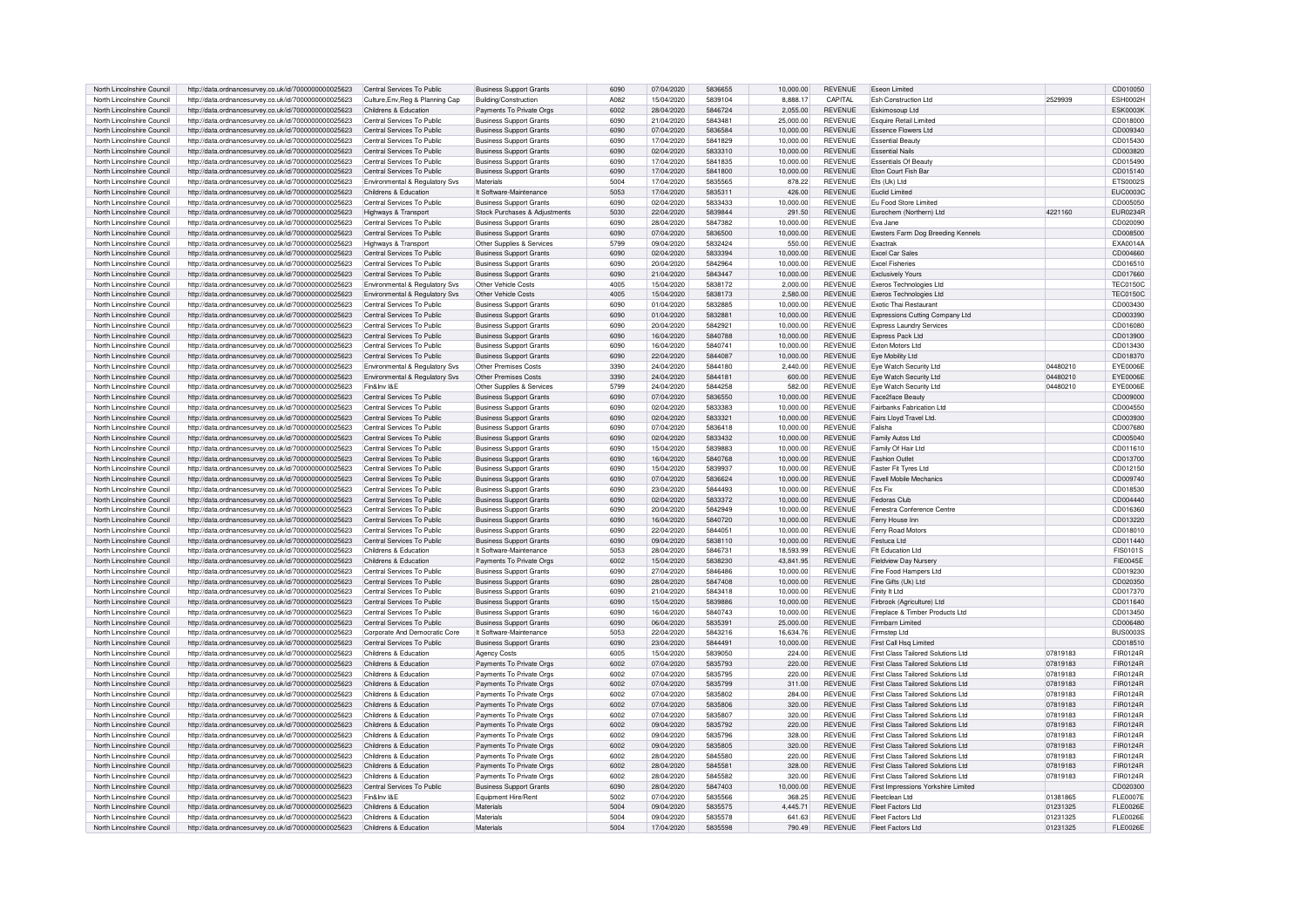| North Lincolnshire Council | http://data.ordnancesurvey.co.uk/id/7000000000025623 | Central Services To Public       | <b>Business Support Grants</b> | 6090 | 07/04/2020 | 5836655 | 10,000.00 | <b>REVENUE</b> | <b>Eseon Limited</b>                      |          | CD010050        |
|----------------------------|------------------------------------------------------|----------------------------------|--------------------------------|------|------------|---------|-----------|----------------|-------------------------------------------|----------|-----------------|
| North Lincolnshire Council | http://data.ordnancesurvey.co.uk/id/7000000000025623 | Culture, Env, Reg & Planning Cap | Building/Construction          | A082 | 15/04/2020 | 5839104 | 8.888.17  | CAPITAL        | <b>Esh Construction Ltd</b>               | 2529939  | ESH0002H        |
|                            |                                                      |                                  |                                |      |            |         |           |                |                                           |          |                 |
| North Lincolnshire Council | http://data.ordnancesurvey.co.uk/id/7000000000025623 | Childrens & Education            | Payments To Private Orgs       | 6002 | 28/04/2020 | 5846724 | 2.055.00  | <b>REVENUE</b> | <b>Eskimosoup Ltd</b>                     |          | <b>ESK0003K</b> |
| North Lincolnshire Council | http://data.ordnancesurvey.co.uk/id/7000000000025623 | Central Services To Public       | <b>Business Support Grants</b> | 6090 | 21/04/2020 | 5843481 | 25,000.00 | <b>REVENUE</b> | Esquire Retail Limited                    |          | CD018000        |
| North Lincolnshire Council | http://data.ordnancesurvey.co.uk/id/7000000000025623 | Central Services To Public       | <b>Business Support Grants</b> | 6090 | 07/04/2020 | 5836584 | 10,000.00 | <b>REVENUE</b> | Essence Elowers Ltd                       |          | CD009340        |
| North Lincolnshire Council | http://data.ordnancesurvey.co.uk/id/7000000000025623 | Central Services To Public       | <b>Business Support Grants</b> | 6090 | 17/04/2020 | 5841829 | 10,000.00 | <b>REVENUE</b> | <b>Essential Beauty</b>                   |          | CD015430        |
| North Lincolnshire Council | http://data.ordnancesurvey.co.uk/id/7000000000025623 | Central Services To Public       | <b>Business Support Grants</b> | 6090 | 02/04/2020 | 5833310 | 10,000.00 | <b>REVENUE</b> | <b>Essential Nails</b>                    |          | CD003820        |
| North Lincolnshire Council | http://data.ordnancesurvey.co.uk/id/7000000000025623 | Central Services To Public       | <b>Business Support Grants</b> | 6090 | 17/04/2020 | 5841835 | 10.000.00 | <b>REVENUE</b> | <b>Essentials Of Beauty</b>               |          | CD015490        |
| North Lincolnshire Council | http://data.ordnancesurvey.co.uk/id/7000000000025623 | Central Services To Public       | <b>Business Support Grants</b> | 6090 | 17/04/2020 | 5841800 | 10.000.00 | <b>REVENUE</b> | Eton Court Fish Bar                       |          | CD015140        |
|                            |                                                      |                                  |                                |      |            |         |           |                |                                           |          |                 |
| North Lincolnshire Council | http://data.ordnancesurvey.co.uk/id/7000000000025623 | Environmental & Regulatory Svs   | Materials                      | 5004 | 17/04/2020 | 5835565 | 878.22    | <b>REVENUE</b> | Fts (Uk) Ltd                              |          | FTS00025        |
| North Lincolnshire Council | http://data.ordnancesurvey.co.uk/id/7000000000025623 | Childrens & Education            | It Software-Maintenance        | 5053 | 17/04/2020 | 5835311 | 426.00    | <b>REVENUE</b> | Fuclid Limited                            |          | FUC0003C        |
| North Lincolnshire Council | http://data.ordnancesurvey.co.uk/id/7000000000025623 | Central Services To Public       | <b>Business Support Grants</b> | 6090 | 02/04/2020 | 5833433 | 10,000.00 | <b>REVENUE</b> | Eu Food Store Limited                     |          | CD005050        |
| North Lincolnshire Council | http://data.ordnancesurvey.co.uk/id/7000000000025623 | Highways & Transport             | Stock Purchases & Adjustments  | 5030 | 22/04/2020 | 5839844 | 291.50    | <b>REVENUE</b> | Furochem (Northern) I td                  | 4221160  | <b>EUR0234R</b> |
| North Lincolnshire Council | http://data.ordnancesurvey.co.uk/id/7000000000025623 | Central Services To Public       | <b>Business Support Grants</b> | 6090 | 28/04/2020 | 5847382 | 10.000.00 | <b>REVENUE</b> | Fva Jane                                  |          | CD020090        |
| North Lincolnshire Council |                                                      | Central Services To Public       | <b>Business Support Grants</b> | 6090 | 07/04/2020 | 5836500 | 10.000.00 | <b>REVENUE</b> | Ewsters Farm Dog Breeding Kennels         |          | CD008500        |
|                            | http://data.ordnancesurvey.co.uk/id/7000000000025623 |                                  |                                | 5799 |            |         |           | <b>REVENUE</b> |                                           |          |                 |
| North Lincolnshire Council | http://data.ordnancesurvey.co.uk/id/7000000000025623 | Highways & Transport             | Other Supplies & Services      |      | 09/04/2020 | 5832424 | 550.00    |                | Exactrak                                  |          | EXA0014A        |
| North Lincolnshire Council | http://data.ordnancesurvey.co.uk/id/7000000000025623 | Central Services To Public       | <b>Business Support Grants</b> | 6090 | 02/04/2020 | 5833394 | 10,000.00 | <b>REVENUE</b> | <b>Excel Car Sales</b>                    |          | CD004660        |
| North Lincolnshire Council | http://data.ordnancesurvey.co.uk/id/7000000000025623 | Central Services To Public       | <b>Business Support Grants</b> | 6090 | 20/04/2020 | 5842964 | 10,000.00 | <b>REVENUE</b> | <b>Excel Fisheries</b>                    |          | CD016510        |
| North Lincolnshire Council | http://data.ordnancesurvey.co.uk/id/7000000000025623 | Central Services To Public       | <b>Business Support Grants</b> | 6090 | 21/04/2020 | 5843447 | 10,000.00 | <b>REVENUE</b> | <b>Exclusively Yours</b>                  |          | CD017660        |
| North Lincolnshire Council | http://data.ordnancesurvey.co.uk/id/7000000000025623 | Environmental & Regulatory Svs   | Other Vehicle Costs            | 4005 | 15/04/2020 | 5838172 | 2.000.00  | <b>REVENUE</b> | Exeros Technologies Ltd                   |          | <b>TEC0150C</b> |
| North Lincolnshire Council | http://data.ordnancesurvey.co.uk/id/7000000000025623 | Environmental & Regulatory Svs   | Other Vehicle Costs            | 4005 | 15/04/2020 | 5838173 | 2,580.00  | <b>REVENUE</b> | Exeros Technologies Ltd                   |          | <b>TEC0150C</b> |
| North Lincolnshire Council | http://data.ordnancesurvey.co.uk/id/7000000000025623 | Central Services To Public       | <b>Business Support Grants</b> | 6090 | 01/04/2020 | 5832885 | 10,000.00 | <b>REVENUE</b> | <b>Exotic Thai Restaurant</b>             |          | CD003430        |
|                            |                                                      |                                  |                                |      |            |         |           |                |                                           |          |                 |
| North Lincolnshire Council | http://data.ordnancesurvey.co.uk/id/7000000000025623 | Central Services To Public       | <b>Business Support Grants</b> | 6090 | 01/04/2020 | 5832881 | 10.000.00 | <b>REVENUE</b> | Expressions Cutting Company Ltd           |          | CD003390        |
| North Lincolnshire Council | http://data.ordnancesurvey.co.uk/id/7000000000025623 | Central Services To Public       | <b>Business Support Grants</b> | 6090 | 20/04/2020 | 5842921 | 10.000.00 | <b>REVENUE</b> | <b>Express Laundry Services</b>           |          | CD016080        |
| North Lincolnshire Council | http://data.ordnancesurvey.co.uk/id/7000000000025623 | Central Services To Public       | <b>Business Support Grants</b> | 6090 | 16/04/2020 | 5840788 | 10.000.00 | <b>REVENUE</b> | <b>Express Pack Ltd</b>                   |          | CD013900        |
| North Lincolnshire Council | http://data.ordnancesurvey.co.uk/id/7000000000025623 | Central Services To Public       | Business Support Grants        | 6090 | 16/04/2020 | 5840741 | 10,000.00 | <b>REVENUE</b> | Exton Motors Ltd                          |          | CD013430        |
| North Lincolnshire Council | http://data.ordnancesurvey.co.uk/id/7000000000025623 | Central Services To Public       | <b>Business Support Grants</b> | 6090 | 22/04/2020 | 5844087 | 10,000.00 | <b>REVENUE</b> | Eye Mobility Ltd                          |          | CD018370        |
| North Lincolnshire Council |                                                      |                                  | Other Premises Costs           | 3390 |            | 5844180 |           | <b>REVENUE</b> |                                           | 04480210 | EYE0006E        |
|                            | http://data.ordnancesurvey.co.uk/id/7000000000025623 | Environmental & Regulatory Svs   |                                |      | 24/04/2020 |         | 2,440.00  |                | Eye Watch Security Ltd                    |          |                 |
| North Lincolnshire Council | http://data.ordnancesurvey.co.uk/id/7000000000025623 | Environmental & Regulatory Svs   | Other Premises Costs           | 3390 | 24/04/2020 | 5844181 | 600.00    | <b>REVENUE</b> | Eye Watch Security Ltd                    | 04480210 | EYE0006E        |
| North Lincolnshire Council | http://data.ordnancesurvey.co.uk/id/7000000000025623 | Fin&Inv I&F                      | Other Supplies & Services      | 5799 | 24/04/2020 | 5844258 | 582.00    | <b>REVENUE</b> | Eye Watch Security Ltd                    | 04480210 | EYE0006E        |
| North Lincolnshire Council | http://data.ordnancesurvey.co.uk/id/7000000000025623 | Central Services To Public       | <b>Business Support Grants</b> | 6090 | 07/04/2020 | 5836550 | 10,000.00 | <b>REVENUE</b> | <b>Face2face Beauty</b>                   |          | CD009000        |
| North Lincolnshire Council | http://data.ordnancesurvey.co.uk/id/7000000000025623 | Central Services To Public       | <b>Business Support Grants</b> | 6090 | 02/04/2020 | 5833383 | 10.000.00 | <b>REVENUE</b> | Fairbanks Fabrication Ltd                 |          | CD004550        |
| North Lincolnshire Council | http://data.ordnancesurvey.co.uk/id/7000000000025623 | Central Services To Public       | <b>Business Support Grants</b> | 6090 | 02/04/2020 | 5833321 | 10,000.00 | <b>REVENUE</b> | Fairs Lloyd Travel Ltd                    |          | CD003930        |
| North Lincolnshire Council | http://data.ordnancesurvey.co.uk/id/7000000000025623 | Central Services To Public       | <b>Business Support Grants</b> | 6090 | 07/04/2020 | 5836418 | 10.000.00 | <b>REVENUE</b> | Falisha                                   |          | CD007680        |
|                            |                                                      |                                  |                                |      |            |         |           |                |                                           |          |                 |
| North Lincolnshire Council | http://data.ordnancesurvey.co.uk/id/7000000000025623 | Central Services To Public       | <b>Business Support Grants</b> | 6090 | 02/04/2020 | 5833432 | 10,000.00 | <b>REVENUE</b> | Family Autos Ltd                          |          | CD005040        |
| North Lincolnshire Council | http://data.ordnancesurvey.co.uk/id/7000000000025623 | Central Services To Public       | <b>Business Support Grants</b> | 6090 | 15/04/2020 | 5839883 | 10.000.00 | <b>REVENUE</b> | Family Of Hair I to                       |          | CD011610        |
| North Lincolnshire Council | http://data.ordnancesurvey.co.uk/id/7000000000025623 | Central Services To Public       | <b>Business Support Grants</b> | 6090 | 16/04/2020 | 5840768 | 10.000.00 | <b>REVENUE</b> | <b>Fashion Outlet</b>                     |          | CD013700        |
| North Lincolnshire Council | http://data.ordnancesurvev.co.uk/id/7000000000025623 | Central Services To Public       | Business Support Grants        | 6090 | 15/04/2020 | 5839937 | 10.000.00 | <b>REVENUE</b> | <b>Faster Fit Tyres I to</b>              |          | CD012150        |
| North Lincolnshire Council | http://data.ordnancesurvev.co.uk/id/7000000000025623 | Central Services To Public       | <b>Business Support Grants</b> | 6090 | 07/04/2020 | 5836624 | 10.000.00 | <b>REVENUE</b> | <b>Favell Mobile Mechanics</b>            |          | CD009740        |
| North Lincolnshire Council | http://data.ordnancesurvey.co.uk/id/7000000000025623 | Central Services To Public       | <b>Business Support Grants</b> | 6090 | 23/04/2020 | 5844493 | 10,000.00 | <b>REVENUE</b> | <b>Fes Fix</b>                            |          | CD018530        |
|                            |                                                      |                                  |                                |      |            |         |           |                |                                           |          |                 |
| North Lincolnshire Council | http://data.ordnancesurvey.co.uk/id/7000000000025623 | Central Services To Public       | <b>Business Support Grants</b> | 6090 | 02/04/2020 | 5833372 | 10,000.00 | <b>REVENUE</b> | <b>Fedoras Club</b>                       |          | CD004440        |
| North Lincolnshire Council | http://data.ordnancesurvey.co.uk/id/7000000000025623 | Central Services To Public       | Business Support Grants        | 6090 | 20/04/2020 | 5842949 | 10,000.00 | <b>REVENUE</b> | Fenestra Conference Centre                |          | CD016360        |
| North Lincolnshire Council | http://data.ordnancesurvey.co.uk/id/7000000000025623 | Central Services To Public       | <b>Business Support Grants</b> | 6090 | 16/04/2020 | 5840720 | 10.000.00 | <b>REVENUE</b> | Ferry House Inn                           |          | CD013220        |
| North Lincolnshire Council | http://data.ordnancesurvey.co.uk/id/7000000000025623 | Central Services To Public       | <b>Business Support Grants</b> | 6090 | 22/04/2020 | 5844051 | 10.000.00 | <b>REVENUE</b> | Ferry Road Motors                         |          | CD018010        |
| North Lincolnshire Council | http://data.ordnancesurvey.co.uk/id/7000000000025623 | Central Services To Public       | <b>Business Support Grants</b> | 6090 | 09/04/2020 | 5838110 | 10,000.00 | <b>REVENUE</b> | Festuca Ltd                               |          | CD011440        |
| North Lincolnshire Council | http://data.ordnancesurvey.co.uk/id/7000000000025623 | Childrens & Education            | It Software-Maintenance        | 5053 | 28/04/2020 | 5846731 | 18.593.99 | <b>REVENUE</b> | Fft Education Ltd                         |          | <b>FIS0101S</b> |
| North Lincolnshire Council |                                                      | Childrens & Education            | Payments To Private Orgs       |      | 15/04/2020 |         |           |                | Fieldview Day Nursen                      |          |                 |
|                            | http://data.ordnancesurvey.co.uk/id/7000000000025623 |                                  |                                | 6002 |            | 5838230 | 43,841.95 | <b>REVENUE</b> |                                           |          | <b>FIE0045E</b> |
| North Lincolnshire Council | http://data.ordnancesurvey.co.uk/id/7000000000025623 | Central Services To Public       | <b>Business Support Grants</b> | 6090 | 27/04/2020 | 5846486 | 10,000.00 | REVENUE        | Fine Food Hampers Ltd                     |          | CD019230        |
| North Lincolnshire Council | http://data.ordnancesurvey.co.uk/id/7000000000025623 | Central Services To Public       | <b>Business Support Grants</b> | 6090 | 28/04/2020 | 5847408 | 10,000.00 | <b>REVENUE</b> | Fine Gifts (Uk) Ltd                       |          | CD020350        |
| North Lincolnshire Council | http://data.ordnancesurvey.co.uk/id/7000000000025623 | Central Services To Public       | Business Support Grants        | 6090 | 21/04/2020 | 5843418 | 10,000.00 | REVENUE        | Finity It Ltd                             |          | CD017370        |
| North Lincolnshire Council | http://data.ordnancesurvey.co.uk/id/7000000000025623 | Central Services To Public       | <b>Business Support Grants</b> | 6090 | 15/04/2020 | 5839886 | 10,000.00 | <b>REVENUE</b> | Firbrook (Agriculture) Ltd                |          | CD011640        |
| North Lincolnshire Council | http://data.ordnancesurvey.co.uk/id/7000000000025623 | Central Services To Public       | <b>Business Support Grants</b> | 6090 | 16/04/2020 | 5840743 | 10,000.00 | <b>REVENUE</b> | Fireplace & Timber Products Ltd           |          | CD013450        |
| North Lincolnshire Council | http://data.ordnancesurvey.co.uk/id/7000000000025623 | Central Services To Public       | <b>Business Support Grants</b> | 6090 | 06/04/2020 | 5835391 | 25,000.00 | <b>REVENUE</b> | Firmbarn Limited                          |          | CD006480        |
|                            |                                                      |                                  |                                |      |            |         |           |                |                                           |          |                 |
| North Lincolnshire Council | http://data.ordnancesurvey.co.uk/id/7000000000025623 | Corporate And Democratic Core    | It Software-Maintenance        | 5053 | 22/04/2020 | 5843216 | 16,634.76 | <b>REVENUE</b> | Firmsten I td                             |          | <b>BUS0003S</b> |
| North Lincolnshire Council | http://data.ordnancesurvey.co.uk/id/7000000000025623 | Central Services To Public       | <b>Business Support Grants</b> | 6090 | 23/04/2020 | 5844491 | 10.000.00 | <b>REVENUE</b> | First Call Hsg Limited                    |          | CD018510        |
| North Lincolnshire Council | http://data.ordnancesurvey.co.uk/id/7000000000025623 | Childrens & Education            | <b>Agency Costs</b>            | 6005 | 15/04/2020 | 5839050 | 224.00    | <b>REVENUE</b> | First Class Tailored Solutions Ltd        | 07819183 | FIR0124R        |
| North Lincolnshire Council | http://data.ordnancesurvey.co.uk/id/7000000000025623 | Childrens & Education            | Payments To Private Orgs       | 6002 | 07/04/2020 | 5835793 | 220.00    | <b>REVENUE</b> | First Class Tailored Solutions Ltd        | 07819183 | FIR0124R        |
| North Lincolnshire Council | http://data.ordnancesurvey.co.uk/id/7000000000025623 | Childrens & Education            | Payments To Private Oras       | 6002 | 07/04/2020 | 5835795 | 220.00    | <b>REVENUE</b> | First Class Tailored Solutions Ltd        | 07819183 | <b>FIR0124R</b> |
| North Lincolnshire Council | http://data.ordnancesurvey.co.uk/id/7000000000025623 | Childrens & Education            | Payments To Private Orgs       | 6002 | 07/04/2020 | 5835799 | 311.00    | <b>REVENUE</b> | First Class Tailored Solutions Ltd        | 07819183 | FIR0124R        |
|                            |                                                      |                                  |                                |      |            |         |           |                |                                           |          |                 |
| North Lincolnshire Council | http://data.ordnancesurvey.co.uk/id/7000000000025623 | Childrens & Education            | Payments To Private Orgs       | 6002 | 07/04/2020 | 5835802 | 284.00    | <b>REVENUE</b> | First Class Tailored Solutions Ltd        | 07819183 | <b>FIR0124R</b> |
| North Lincolnshire Council | http://data.ordnancesurvey.co.uk/id/7000000000025623 | Childrens & Education            | Payments To Private Orgs       | 6002 | 07/04/2020 | 5835806 | 320.00    | <b>REVENUE</b> | First Class Tailored Solutions Ltd        | 07819183 | FIR0124R        |
| North Lincolnshire Council | http://data.ordnancesurvey.co.uk/id/7000000000025623 | Childrens & Education            | Payments To Private Orgs       | 6002 | 07/04/2020 | 5835807 | 320.00    | <b>REVENUE</b> | First Class Tailored Solutions Ltd        | 07819183 | <b>FIR0124R</b> |
| North Lincolnshire Council | http://data.ordnancesurvey.co.uk/id/7000000000025623 | Childrens & Education            | Payments To Private Orgs       | 6002 | 09/04/2020 | 5835792 | 220.00    | <b>REVENUE</b> | First Class Tailored Solutions Ltd        | 07819183 | FIR0124R        |
| North Lincolnshire Council | http://data.ordnancesurvey.co.uk/id/7000000000025623 | Childrens & Education            | Payments To Private Orgs       | 6002 | 09/04/2020 | 5835796 | 328.00    | <b>REVENUE</b> | <b>First Class Tailored Solutions Ltd</b> | 07819183 | <b>FIR0124R</b> |
| North Lincolnshire Council | http://data.ordnancesurvey.co.uk/id/7000000000025623 | Childrens & Education            | Payments To Private Orgs       | 6002 | 09/04/2020 | 5835805 | 320.00    | <b>REVENUE</b> | First Class Tailored Solutions Ltd        | 07819183 | FIR0124R        |
|                            |                                                      |                                  |                                |      |            |         |           |                |                                           |          |                 |
| North Lincolnshire Council | http://data.ordnancesurvey.co.uk/id/7000000000025623 | Childrens & Education            | Payments To Private Orgs       | 6002 | 28/04/2020 | 5845580 | 220.00    | <b>REVENUE</b> | First Class Tailored Solutions Ltd        | 07819183 | <b>FIR0124R</b> |
| North Lincolnshire Council | http://data.ordnancesurvey.co.uk/id/7000000000025623 | Childrens & Education            | Payments To Private Orgs       | 6002 | 28/04/2020 | 5845581 | 328.00    | <b>REVENUE</b> | <b>First Class Tailored Solutions Ltd</b> | 07819183 | <b>FIR0124R</b> |
| North Lincolnshire Council | http://data.ordnancesurvey.co.uk/id/7000000000025623 | Childrens & Education            | Payments To Private Orgs       | 6002 | 28/04/2020 | 5845582 | 320.00    | <b>REVENUE</b> | First Class Tailored Solutions Ltd        | 07819183 | FIR0124R        |
| North Lincolnshire Council | http://data.ordnancesurvey.co.uk/id/7000000000025623 | Central Services To Public       | <b>Business Support Grants</b> | 6090 | 28/04/2020 | 5847403 | 10,000.00 | <b>REVENUE</b> | First Impressions Yorkshire Limited       |          | CD020300        |
| North Lincolnshire Council | http://data.ordnancesurvey.co.uk/id/7000000000025623 | Fin&Inv I&F                      | Faujoment Hire/Rent            | 5002 | 07/04/2020 | 5835566 | 368.25    | <b>REVENUE</b> | Fleetclean I td                           | 01381865 | <b>FLE0007E</b> |
| North Lincolnshire Council | http://data.ordnancesurvey.co.uk/id/7000000000025623 | Childrens & Education            | Materials                      | 5004 | 09/04/2020 | 5835575 | 4.445.71  | <b>REVENUE</b> | <b>Fleet Factors Ltd</b>                  | 01231325 | FI F0026F       |
| North Lincolnshire Council |                                                      | Childrens & Education            | Materials                      | 5004 |            | 5835578 |           | <b>REVENUE</b> | Fleet Factors Ltd                         |          | FL E0026E       |
|                            | http://data.ordnancesurvey.co.uk/id/7000000000025623 |                                  |                                |      | 09/04/2020 |         | 641.63    |                |                                           | 01231325 |                 |
| North Lincolnshire Council | http://data.ordnancesurvey.co.uk/id/7000000000025623 | Childrens & Education            | Materials                      | 5004 | 17/04/2020 | 5835598 | 790.49    | <b>REVENUE</b> | Fleet Factors Ltd                         | 01231325 | <b>FLE0026E</b> |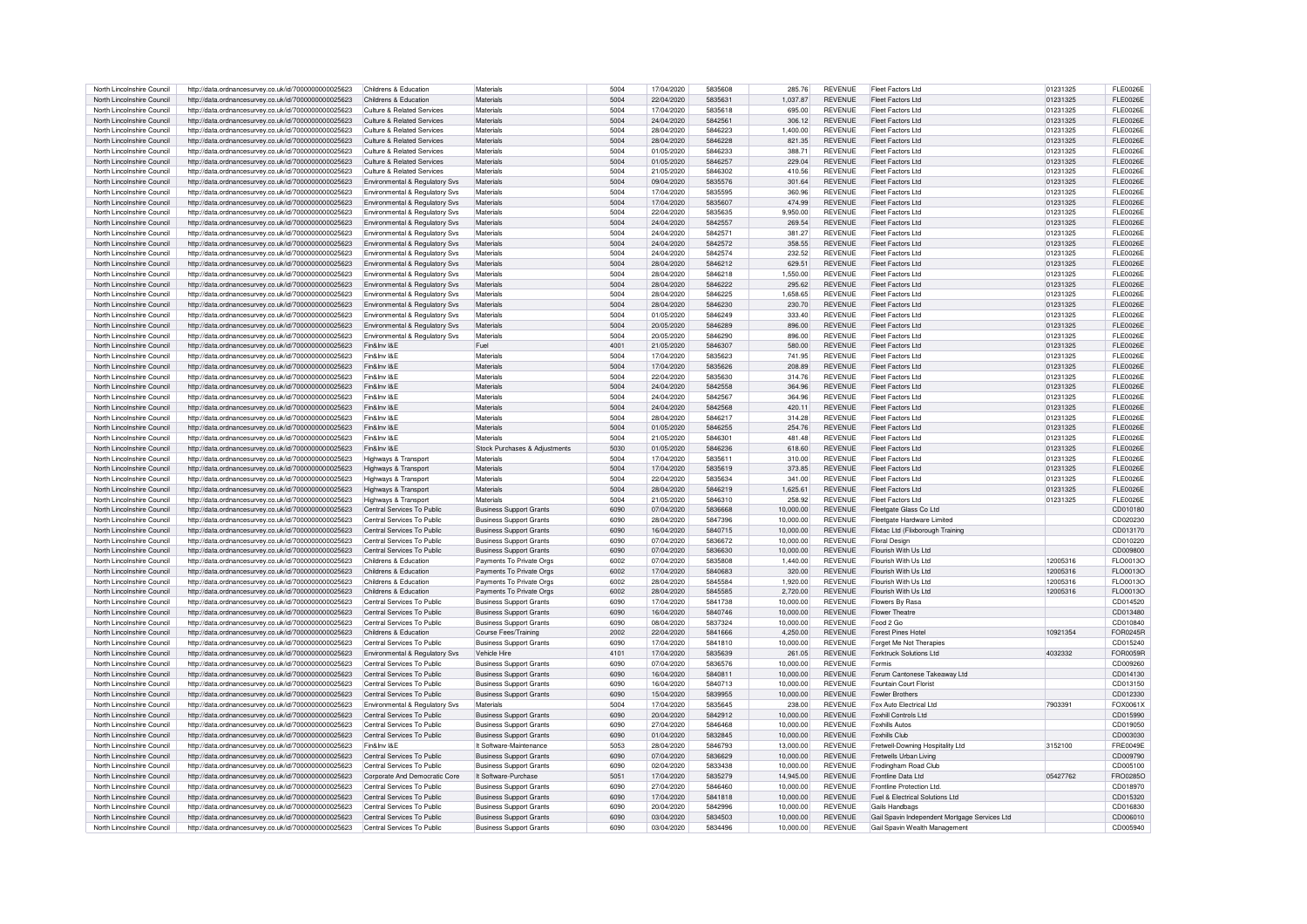| North Lincolnshire Council | http://data.ordnancesurvey.co.uk/id/7000000000025623 | Childrens & Education                      | Materials                      | 5004 | 17/04/2020 | 5835608 | 285 76    | <b>REVENUE</b> | Fleet Factors Ltd                             | 01231325 | FL E0026E       |
|----------------------------|------------------------------------------------------|--------------------------------------------|--------------------------------|------|------------|---------|-----------|----------------|-----------------------------------------------|----------|-----------------|
| North Lincolnshire Council | http://data.ordnancesurvey.co.uk/id/7000000000025623 | Childrens & Education                      | Materials                      | 5004 | 22/04/2020 | 5835631 | 1.037.87  | <b>REVENUE</b> | <b>Fleet Factors Ltd</b>                      | 01231325 | <b>FLE0026E</b> |
| North Lincolnshire Council | http://data.ordnancesurvey.co.uk/id/7000000000025623 | Culture & Related Services                 | Materials                      | 5004 | 17/04/2020 | 5835618 | 695.00    | <b>REVENUE</b> | <b>Fleet Factors Ltd</b>                      | 01231325 | <b>FLE0026E</b> |
| North Lincolnshire Council | http://data.ordnancesurvey.co.uk/id/7000000000025623 | <b>Culture &amp; Related Services</b>      | Materials                      | 5004 | 24/04/2020 | 5842561 | 306.12    | <b>REVENUE</b> | <b>Fleet Factors Ltd</b>                      | 01231325 | FL E0026E       |
| North Lincolnshire Council | http://data.ordnancesurvey.co.uk/id/7000000000025623 | Culture & Related Services                 | Materials                      | 5004 | 28/04/2020 | 5846223 | 1.400.00  | <b>REVENUE</b> | <b>Fleet Factors Ltd</b>                      | 01231325 | <b>FLE0026E</b> |
| North Lincolnshire Council | http://data.ordnancesurvey.co.uk/id/7000000000025623 | <b>Culture &amp; Related Services</b>      | Materials                      | 5004 | 28/04/2020 | 5846228 | 821.35    | <b>REVENUE</b> | <b>Fleet Factors Ltd</b>                      | 01231325 | <b>FLE0026E</b> |
| North Lincolnshire Council | http://data.ordnancesurvey.co.uk/id/7000000000025623 | Culture & Related Services                 | Materials                      | 5004 | 01/05/2020 | 5846233 | 388.71    | <b>REVENUE</b> | Fleet Factors Ltd                             | 01231325 | FL E0026E       |
| North Lincolnshire Council | http://data.ordnancesurvey.co.uk/id/7000000000025623 | Culture & Related Services                 | Materials                      | 5004 | 01/05/2020 | 5846257 | 229.04    | <b>REVENUE</b> | Fleet Factors Ltd                             | 01231325 | <b>FLE0026E</b> |
| North Lincolnshire Council | http://data.ordnancesurvey.co.uk/id/7000000000025623 | Culture & Related Services                 | Materials                      | 5004 | 21/05/2020 | 5846302 | 410.56    | <b>REVENUE</b> | Fleet Factors Ltd                             | 01231325 | <b>FLE0026E</b> |
|                            |                                                      |                                            |                                | 5004 |            | 5835576 |           | <b>REVENUE</b> |                                               |          | FL E0026E       |
| North Lincolnshire Council | http://data.ordnancesurvey.co.uk/id/7000000000025623 | Environmental & Regulatory Svs             | Materials                      |      | 09/04/2020 |         | 301.64    |                | Fleet Factors Ltd                             | 01231325 |                 |
| North Lincolnshire Council | http://data.ordnancesurvey.co.uk/id/7000000000025623 | Environmental & Regulatory Sys             | <b>Materials</b>               | 5004 | 17/04/2020 | 5835595 | 360.96    | <b>REVENUE</b> | Fleet Factors Ltd                             | 01231325 | FL E0026E       |
| North Lincolnshire Council | http://data.ordnancesurvey.co.uk/id/7000000000025623 | Environmental & Regulatory Svs             | Materials                      | 5004 | 17/04/2020 | 5835607 | 474.99    | <b>REVENUE</b> | Fleet Factors Ltd                             | 01231325 | FL E0026E       |
| North Lincolnshire Council | http://data.ordnancesurvey.co.uk/id/7000000000025623 | Environmental & Regulatory Svs             | Materials                      | 5004 | 22/04/2020 | 5835635 | 9,950.00  | <b>REVENUE</b> | Fleet Factors Ltd                             | 01231325 | <b>FLE0026E</b> |
| North Lincolnshire Council | http://data.ordnancesurvey.co.uk/id/7000000000025623 | Environmental & Regulatory Svs             | Materials                      | 5004 | 24/04/2020 | 5842557 | 269.54    | <b>REVENUE</b> | <b>Fleet Factors Ltd</b>                      | 01231325 | <b>FLE0026E</b> |
| North Lincolnshire Council | http://data.ordnancesurvey.co.uk/id/7000000000025623 | Environmental & Regulatory Svs             | Materials                      | 5004 | 24/04/2020 | 5842571 | 381.27    | <b>REVENUE</b> | <b>Fleet Factors Ltd</b>                      | 01231325 | <b>FLE0026E</b> |
| North Lincolnshire Council | http://data.ordnancesurvey.co.uk/id/7000000000025623 | Environmental & Regulatory Sys             | Materials                      | 5004 | 24/04/2020 | 5842572 | 358.55    | <b>REVENUE</b> | <b>Fleet Factors Ltd</b>                      | 01231325 | <b>FLE0026E</b> |
| North Lincolnshire Council | http://data.ordnancesurvey.co.uk/id/7000000000025623 | Environmental & Regulatory Svs             | Materials                      | 5004 | 24/04/2020 | 5842574 | 232.52    | <b>REVENUE</b> | Fleet Factors Ltd                             | 01231325 | FI F0026F       |
| North Lincolnshire Council | http://data.ordnancesurvey.co.uk/id/7000000000025623 | Environmental & Regulatory Svs             | Materials                      | 5004 | 28/04/2020 | 5846212 | 629.51    | <b>REVENUE</b> | Fleet Factors Ltd                             | 01231325 | <b>FLE0026E</b> |
| North Lincolnshire Council | http://data.ordnancesurvey.co.uk/id/7000000000025623 | Environmental & Regulatory Svs             | Materials                      | 5004 | 28/04/2020 | 5846218 | 1,550.00  | <b>REVENUE</b> | Fleet Factors Ltd                             | 01231325 | FL E0026E       |
| North Lincolnshire Council | http://data.ordnancesurvey.co.uk/id/7000000000025623 | Environmental & Regulatory Svs             | Materials                      | 5004 | 28/04/2020 | 5846222 | 295.62    | <b>REVENUE</b> | Fleet Factors Ltd                             | 01231325 | <b>FLE0026E</b> |
| North Lincolnshire Council | http://data.ordnancesurvey.co.uk/id/7000000000025623 | Environmental & Regulatory Svs             | Materials                      | 5004 | 28/04/2020 | 5846225 | 1.658.65  | <b>REVENUE</b> | Fleet Factors Ltd                             | 01231325 | <b>FLE0026E</b> |
| North Lincolnshire Council | http://data.ordnancesurvey.co.uk/id/7000000000025623 | Environmental & Regulatory Svs             | Materials                      | 5004 | 28/04/2020 | 5846230 | 230.70    | <b>REVENUE</b> | Fleet Factors Ltd                             | 01231325 | <b>FLE0026E</b> |
| North Lincolnshire Council | http://data.ordnancesurvey.co.uk/id/7000000000025623 | Environmental & Regulatory Svs             | Materials                      | 5004 | 01/05/2020 | 5846249 | 333.40    | <b>REVENUE</b> | <b>Fleet Factors Ltd</b>                      | 01231325 | FL E0026E       |
| North Lincolnshire Council |                                                      |                                            | Materials                      | 5004 | 20/05/2020 | 5846289 | 896.00    | <b>REVENUE</b> | <b>Fleet Factors Ltd</b>                      |          | <b>FLE0026E</b> |
|                            | http://data.ordnancesurvey.co.uk/id/7000000000025623 | Environmental & Regulatory Svs             |                                |      |            |         |           |                |                                               | 01231325 |                 |
| North Lincolnshire Council | http://data.ordnancesurvey.co.uk/id/7000000000025623 | Environmental & Regulatory Svs             | Materials                      | 5004 | 20/05/2020 | 5846290 | 896.00    | REVENUE        | <b>Fleet Factors Ltd</b>                      | 01231325 | <b>FLE0026E</b> |
| North Lincolnshire Council | http://data.ordnancesurvey.co.uk/id/7000000000025623 | Fin&Inv I&F                                | Fuel                           | 4001 | 21/05/2020 | 5846307 | 580.00    | <b>REVENUE</b> | Fleet Factors Ltd                             | 01231325 | FI F0026F       |
| North Lincolnshire Council | http://data.ordnancesurvey.co.uk/id/7000000000025623 | Fin&Inv I&E                                | Materials                      | 5004 | 17/04/2020 | 5835623 | 741.95    | <b>REVENUE</b> | <b>Fleet Factors Ltd</b>                      | 01231325 | <b>FLE0026E</b> |
| North Lincolnshire Council | http://data.ordnancesurvey.co.uk/id/7000000000025623 | Fin&Inv I&F                                | Materials                      | 5004 | 17/04/2020 | 5835626 | 208.89    | <b>REVENUE</b> | Fleet Factors Ltd                             | 01231325 | <b>FLE0026E</b> |
| North Lincolnshire Council | http://data.ordnancesurvey.co.uk/id/7000000000025623 | Fin&Inv I&F                                | Materials                      | 5004 | 22/04/2020 | 5835630 | 314.76    | REVENUE        | <b>Fleet Factors Ltd</b>                      | 01231325 | <b>FLE0026E</b> |
| North Lincolnshire Council | http://data.ordnancesurvey.co.uk/id/7000000000025623 | Fin&Inv I&F                                | Materials                      | 5004 | 24/04/2020 | 5842558 | 364.96    | <b>REVENUE</b> | Fleet Factors Ltd                             | 01231325 | <b>FLE0026E</b> |
| North Lincolnshire Council | http://data.ordnancesurvey.co.uk/id/7000000000025623 | Fin&Inv I&F                                | Materials                      | 5004 | 24/04/2020 | 5842567 | 364.96    | <b>REVENUE</b> | Fleet Factors Ltd                             | 01231325 | <b>FLE0026E</b> |
| North Lincolnshire Council | http://data.ordnancesurvey.co.uk/id/7000000000025623 | Fin&Inv I&F                                | Materials                      | 5004 | 24/04/2020 | 5842568 | 420.11    | <b>REVENUE</b> | <b>Fleet Factors Ltd</b>                      | 01231325 | <b>FLE0026E</b> |
| North Lincolnshire Council | http://data.ordnancesurvey.co.uk/id/7000000000025623 | Fin&Inv I&F                                | Materials                      | 5004 | 28/04/2020 | 5846217 | 314.28    | <b>REVENUE</b> | <b>Fleet Factors Ltd</b>                      | 01231325 | <b>FLE0026E</b> |
| North Lincolnshire Council | http://data.ordnancesurvey.co.uk/id/7000000000025623 | Fin&Inv I&F                                | Materials                      | 5004 | 01/05/2020 | 5846255 | 254.76    | <b>REVENUE</b> | <b>Fleet Factors Ltd</b>                      | 01231325 | <b>FLE0026E</b> |
| North Lincolnshire Council | http://data.ordnancesurvey.co.uk/id/7000000000025623 | Fin&Inv I&F                                | Materials                      | 5004 | 21/05/2020 | 5846301 | 481.48    | <b>REVENUE</b> | <b>Fleet Factors Ltd</b>                      | 01231325 | <b>FLE0026E</b> |
| North Lincolnshire Council | http://data.ordnancesurvey.co.uk/id/7000000000025623 | Fin&Inv I&E                                | Stock Purchases & Adiustments  | 5030 | 01/05/2020 | 5846236 | 618.60    | <b>REVENUE</b> | <b>Fleet Factors Ltd</b>                      | 01231325 | <b>FLE0026E</b> |
| North Lincolnshire Council | http://data.ordnancesurvey.co.uk/id/7000000000025623 | Highways & Transport                       | Materials                      | 5004 | 17/04/2020 | 5835611 | 310.00    | <b>REVENUE</b> | <b>Fleet Factors Ltd</b>                      | 01231325 | <b>FLE0026E</b> |
| North Lincolnshire Council | http://data.ordnancesurvey.co.uk/id/7000000000025623 | Highways & Transport                       | Materials                      | 5004 | 17/04/2020 | 5835619 | 373.85    | <b>REVENUE</b> | Fleet Factors Ltd                             | 01231325 | FL E0026E       |
| North Lincolnshire Council |                                                      |                                            | Materials                      | 5004 | 22/04/2020 | 5835634 | 341.00    | <b>REVENUE</b> | Fleet Factors Ltd                             | 01231325 | FL E0026E       |
|                            | http://data.ordnancesurvey.co.uk/id/7000000000025623 | Highways & Transport                       |                                |      |            |         |           |                |                                               |          |                 |
| North Lincolnshire Council | http://data.ordnancesurvey.co.uk/id/7000000000025623 | Highways & Transport                       | Materials                      | 5004 | 28/04/2020 | 5846219 | 1,625.61  | <b>REVENUE</b> | Fleet Factors Ltd                             | 01231325 | <b>FLE0026E</b> |
| North Lincolnshire Council | http://data.ordnancesurvey.co.uk/id/7000000000025623 | Highways & Transport                       | Materials                      | 5004 | 21/05/2020 | 5846310 | 258.92    | <b>REVENUE</b> | Fleet Factors Ltd                             | 01231325 | FL E0026E       |
| North Lincolnshire Council | http://data.ordnancesurvey.co.uk/id/7000000000025623 | Central Services To Public                 | <b>Business Support Grants</b> | 6090 | 07/04/2020 | 5836668 | 10.000.00 | <b>REVENUE</b> | Fleetgate Glass Co Ltd                        |          | CD010180        |
| North Lincolnshire Council | http://data.ordnancesurvey.co.uk/id/7000000000025623 | Central Services To Public                 | <b>Business Support Grants</b> | 6090 | 28/04/2020 | 5847396 | 10.000.00 | <b>REVENUE</b> | Fleetgate Hardware Limited                    |          | CD020230        |
| North Lincolnshire Council | http://data.ordnancesurvey.co.uk/id/7000000000025623 | Central Services To Public                 | <b>Business Support Grants</b> | 6090 | 16/04/2020 | 5840715 | 10.000.00 | <b>REVENUE</b> | Flixtac Ltd (Flixborough Training             |          | CD013170        |
| North Lincolnshire Council | http://data.ordnancesurvey.co.uk/id/7000000000025623 | Central Services To Public                 | <b>Business Support Grants</b> | 6090 | 07/04/2020 | 5836672 | 10.000.00 | <b>REVENUE</b> | <b>Floral Design</b>                          |          | CD010220        |
| North Lincolnshire Council | http://data.ordnancesurvey.co.uk/id/7000000000025623 | Central Services To Public                 | <b>Business Support Grants</b> | 6090 | 07/04/2020 | 5836630 | 10.000.00 | <b>REVENUE</b> | Flourish With Us Ltd                          |          | CD009800        |
| North Lincolnshire Council | http://data.ordnancesurvey.co.uk/id/7000000000025623 | Childrens & Education                      | Payments To Private Orgs       | 6002 | 07/04/2020 | 5835808 | 1.440.00  | <b>REVENUE</b> | Flourish With Us Ltd                          | 12005316 | FLO0013O        |
| North Lincolnshire Council | http://data.ordnancesurvey.co.uk/id/7000000000025623 | Childrens & Education                      | Payments To Private Orgs       | 6002 | 17/04/2020 | 5840683 | 320.00    | <b>REVENUE</b> | Flourish With Us Ltd                          | 12005316 | FLO0013Q        |
| North Lincolnshire Council | http://data.ordnancesurvey.co.uk/id/7000000000025623 | Childrens & Education                      | Payments To Private Orgs       | 6002 | 28/04/2020 | 5845584 | 1.920.00  | <b>REVENUE</b> | Flourish With Us Ltd                          | 12005316 | FLO0013O        |
| North Lincolnshire Council | http://data.ordnancesurvey.co.uk/id/7000000000025623 | Childrens & Education                      | Payments To Private Orgs       | 6002 | 28/04/2020 | 5845585 | 2,720.00  | <b>REVENUE</b> | Flourish With Us Ltd                          | 12005316 | FLO0013O        |
| North Lincolnshire Council | http://data.ordnancesurvey.co.uk/id/7000000000025623 | Central Services To Public                 | <b>Business Support Grants</b> | 6090 | 17/04/2020 | 5841738 | 10.000.00 | <b>REVENUE</b> | <b>Flowers By Basa</b>                        |          | CD014520        |
| North Lincolnshire Council | http://data.ordnancesurvey.co.uk/id/7000000000025623 | Central Services To Public                 | <b>Business Support Grants</b> | 6090 | 16/04/2020 | 5840746 | 10.000.00 | <b>REVENUE</b> | <b>Flower Theatre</b>                         |          | CD013480        |
| North Lincolnshire Council | http://data.ordnancesurvey.co.uk/id/7000000000025623 | Central Services To Public                 | <b>Business Support Grants</b> | 6090 | 08/04/2020 | 5837324 | 10,000.00 | <b>REVENUE</b> | Food 2 Go                                     |          | CD010840        |
| North Lincolnshire Council | http://data.ordnancesurvey.co.uk/id/7000000000025623 | Childrens & Education                      | Course Fees/Training           | 2002 | 22/04/2020 | 5841666 | 4,250.00  | <b>REVENUE</b> | <b>Forest Pines Hotel</b>                     | 10921354 | FOR0245R        |
|                            |                                                      |                                            |                                |      |            |         |           |                |                                               |          |                 |
| North Lincolnshire Council | http://data.ordnancesurvey.co.uk/id/7000000000025623 | Central Services To Public                 | <b>Business Support Grants</b> | 6090 | 17/04/2020 | 5841810 | 10,000.00 | <b>REVENUE</b> | Forget Me Not Therapies                       | 4032332  | CD015240        |
| North Lincolnshire Council | http://data.ordnancesurvey.co.uk/id/7000000000025623 | Environmental & Regulatory Svs             | Vehicle Hire                   | 4101 | 17/04/2020 | 5835639 | 261.05    | <b>REVENUE</b> | <b>Forktruck Solutions Ltd</b>                |          | FOR0059F        |
| North Lincolnshire Council | http://data.ordnancesurvey.co.uk/id/7000000000025623 | Central Services To Public                 | <b>Business Support Grants</b> | 6090 | 07/04/2020 | 5836576 | 10,000.00 | <b>REVENUE</b> | Formis                                        |          | CD009260        |
| North Lincolnshire Council | http://data.ordnancesurvey.co.uk/id/7000000000025623 | Central Services To Public                 | <b>Business Support Grants</b> | 6090 | 16/04/2020 | 5840811 | 10.000.00 | <b>REVENUE</b> | Forum Cantonese Takeaway Ltd                  |          | CD014130        |
| North Lincolnshire Council | http://data.ordnancesurvey.co.uk/id/7000000000025623 | Central Services To Public                 | <b>Business Support Grants</b> | 6090 | 16/04/2020 | 5840713 | 10.000.00 | <b>REVENUE</b> | Fountain Court Floris                         |          | CD013150        |
| North Lincolnshire Council | http://data.ordnancesurvey.co.uk/id/7000000000025623 | Central Services To Public                 | <b>Business Support Grants</b> | 6090 | 15/04/2020 | 5839955 | 10,000.00 | <b>REVENUE</b> | <b>Fowler Brothers</b>                        |          | CD012330        |
| North Lincolnshire Council | http://data.ordnancesurvey.co.uk/id/7000000000025623 | <b>Environmental &amp; Requlatory Sys.</b> | Materials                      | 5004 | 17/04/2020 | 5835645 | 238.00    | <b>REVENUE</b> | Fox Auto Electrical Ltd                       | 7903391  | FOX0061X        |
| North Lincolnshire Council | http://data.ordnancesurvey.co.uk/id/7000000000025623 | Central Services To Public                 | <b>Business Support Grants</b> | 6090 | 20/04/2020 | 5842912 | 10,000.00 | <b>REVENUE</b> | Foxhill Controls Ltd                          |          | CD015990        |
| North Lincolnshire Council | http://data.ordnancesurvey.co.uk/id/7000000000025623 | Central Services To Public                 | <b>Business Support Grants</b> | 6090 | 27/04/2020 | 5846468 | 10.000.00 | <b>REVENUE</b> | <b>Foxhills Autos</b>                         |          | CD019050        |
| North Lincolnshire Council | http://data.ordnancesurvey.co.uk/id/7000000000025623 | Central Services To Public                 | <b>Business Support Grants</b> | 6090 | 01/04/2020 | 5832845 | 10.000.00 | <b>REVENUE</b> | <b>Foxhills Club</b>                          |          | CD003030        |
| North Lincolnshire Council | http://data.ordnancesurvey.co.uk/id/7000000000025623 | Fin&Inv I&F                                | It Software-Maintenance        | 5053 | 28/04/2020 | 5846793 | 13,000.00 | <b>REVENUE</b> | Fretwell-Downing Hospitality Ltd              | 3152100  | <b>FRE0049E</b> |
| North Lincolnshire Council | http://data.ordnancesurvey.co.uk/id/7000000000025623 | Central Services To Public                 | <b>Business Support Grants</b> | 6090 | 07/04/2020 | 5836629 | 10,000.00 | <b>REVENUE</b> | Fretwells Urban Living                        |          | CD009790        |
| North Lincolnshire Council | http://data.ordnancesurvey.co.uk/id/7000000000025623 | Central Services To Public                 | <b>Business Support Grants</b> | 6090 | 02/04/2020 | 5833438 | 10,000.00 | <b>REVENUE</b> | Frodingham Road Club                          |          | CD005100        |
| North Lincolnshire Council | http://data.ordnancesurvey.co.uk/id/7000000000025623 | Corporate And Democratic Core              | It Software-Purchase           | 5051 | 17/04/2020 | 5835279 | 14.945.00 | <b>REVENUE</b> | Frontline Data Ltd                            | 05427762 | FRO0285O        |
| North Lincolnshire Council | http://data.ordnancesurvey.co.uk/id/7000000000025623 | Central Services To Public                 | <b>Business Support Grants</b> | 6090 | 27/04/2020 | 5846460 | 10.000.00 | <b>REVENUE</b> | Frontline Protection Ltd                      |          | CD018970        |
| North Lincolnshire Council |                                                      | Central Services To Public                 |                                | 6090 | 17/04/2020 | 5841818 | 10.000.00 | <b>REVENUE</b> | Fuel & Flectrical Solutions Ltd.              |          |                 |
|                            | http://data.ordnancesurvey.co.uk/id/7000000000025623 |                                            | <b>Business Support Grants</b> |      |            |         |           |                |                                               |          | CD015320        |
| North Lincolnshire Council | http://data.ordnancesurvey.co.uk/id/7000000000025623 | Central Services To Public                 | <b>Business Support Grants</b> | 6090 | 20/04/2020 | 5842996 | 10,000.00 | <b>REVENUE</b> | Gails Handbags                                |          | CD016830        |
| North Lincolnshire Council | http://data.ordnancesurvey.co.uk/id/7000000000025623 | Central Services To Public                 | <b>Business Support Grants</b> | 6090 | 03/04/2020 | 5834503 | 10,000.00 | <b>REVENUE</b> | Gail Spavin Independent Mortgage Services Ltd |          | CD006010        |
| North Lincolnshire Council | http://data.ordnancesurvey.co.uk/id/7000000000025623 | Central Services To Public                 | <b>Business Support Grants</b> | 6090 | 03/04/2020 | 5834496 | 10.000.00 | <b>REVENUE</b> | Gail Spavin Wealth Management                 |          | CD005940        |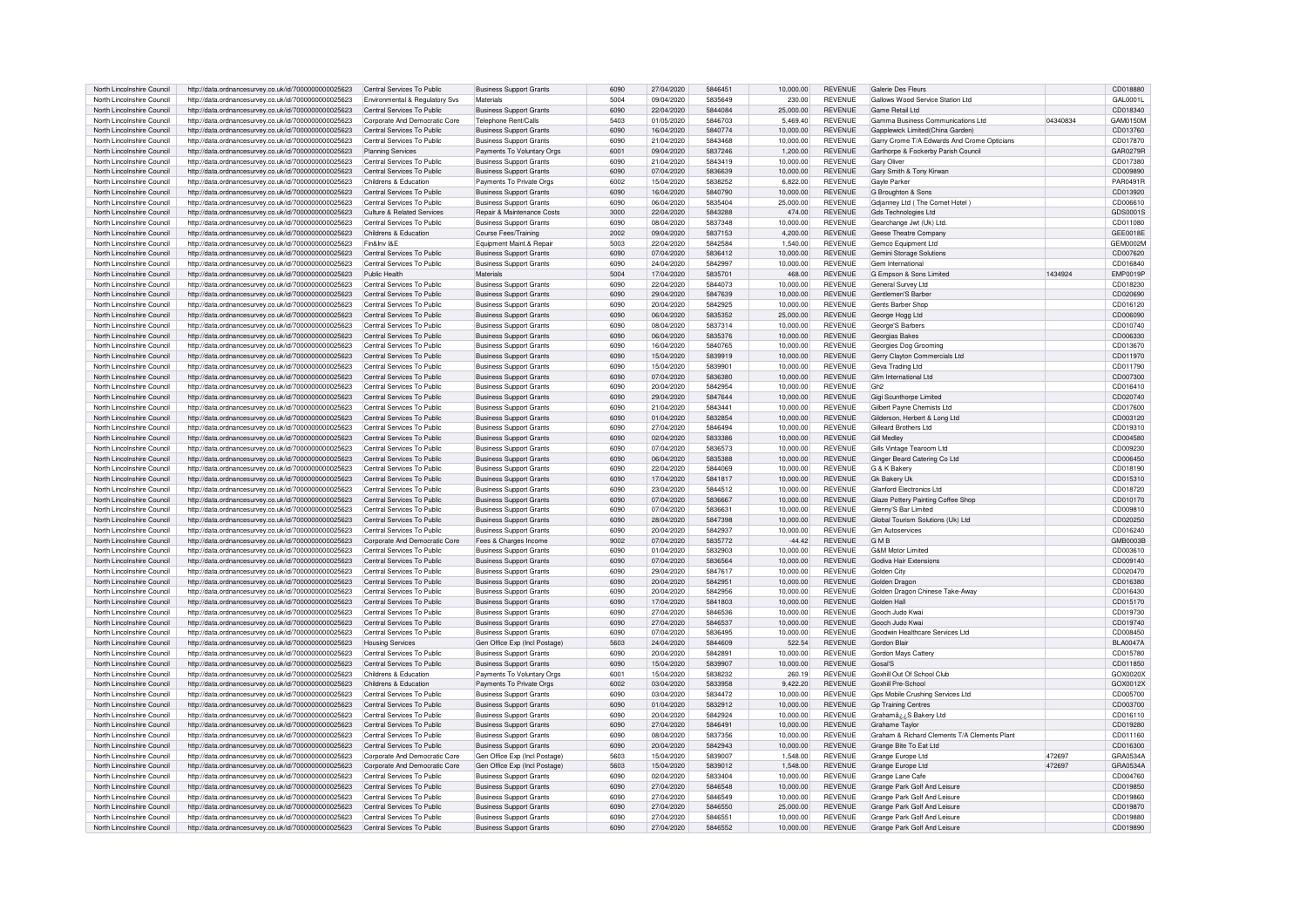| North Lincolnshire Council | http://data.ordnancesurvey.co.uk/id/7000000000025623 | Central Services To Public     | <b>Business Support Grants</b> | 6090 | 27/04/2020 | 5846451 | 10.000.00 | <b>REVENUE</b> | Galerie Des Fleurs                           |          | CD018880        |
|----------------------------|------------------------------------------------------|--------------------------------|--------------------------------|------|------------|---------|-----------|----------------|----------------------------------------------|----------|-----------------|
| North Lincolnshire Council | http://data.ordnancesurvey.co.uk/id/7000000000025623 | Environmental & Regulatory Svs | Materials                      | 5004 | 09/04/2020 | 5835649 | 230.00    | <b>REVENUE</b> | Gallows Wood Service Station Ltd             |          | GAI 0001L       |
| North Lincolnshire Council | http://data.ordnancesurvey.co.uk/id/7000000000025623 | Central Services To Public     | <b>Business Support Grants</b> | 6090 | 22/04/2020 | 5844084 | 25,000.00 | <b>REVENUE</b> | Game Retail Ltd                              |          | CD018340        |
| North Lincolnshire Council | http://data.ordnancesurvey.co.uk/id/7000000000025623 | Corporate And Democratic Core  | Telephone Rent/Calls           | 5403 | 01/05/2020 | 5846703 | 5,469.40  | REVENUE        | Gamma Business Communications Ltd            | 04340834 | GAM0150M        |
| North Lincolnshire Council | http://data.ordnancesurvey.co.uk/id/7000000000025623 | Central Services To Public     | <b>Business Support Grants</b> | 6090 | 16/04/2020 | 5840774 | 10,000.00 | <b>REVENUE</b> | Gapplewick Limited(China Garden)             |          | CD013760        |
| North Lincolnshire Council | http://data.ordnancesurvey.co.uk/id/7000000000025623 | Central Services To Public     | <b>Business Support Grants</b> | 6090 | 21/04/2020 | 5843468 | 10.000.00 | <b>REVENUE</b> | Garry Crome T/A Edwards And Crome Opticians  |          | CD017870        |
|                            |                                                      |                                |                                |      |            |         |           |                |                                              |          |                 |
| North Lincolnshire Council | http://data.ordnancesurvey.co.uk/id/7000000000025623 | <b>Planning Services</b>       | Payments To Voluntary Orgs     | 6001 | 09/04/2020 | 5837246 | 1,200.00  | <b>REVENUE</b> | Garthorpe & Fockerby Parish Council          |          | GAR0279R        |
| North Lincolnshire Council | http://data.ordnancesurvey.co.uk/id/7000000000025623 | Central Services To Public     | <b>Business Support Grants</b> | 6090 | 21/04/2020 | 5843419 | 10,000.00 | <b>REVENUE</b> | <b>Gary Oliver</b>                           |          | CD017380        |
| North Lincolnshire Council | http://data.ordnancesurvey.co.uk/id/7000000000025623 | Central Services To Public     | <b>Business Support Grants</b> | 6090 | 07/04/2020 | 5836639 | 10,000.00 | REVENUE        | Gary Smith & Tony Kirwan                     |          | CD009890        |
| North Lincolnshire Council | http://data.ordnancesurvey.co.uk/id/7000000000025623 | Childrens & Education          | Payments To Private Orgs       | 6002 | 15/04/2020 | 5838252 | 6,822.00  | <b>REVENUE</b> | <b>Gavle Parker</b>                          |          | PAR0491R        |
| North Lincolnshire Council | http://data.ordnancesurvey.co.uk/id/7000000000025623 | Central Services To Public     | <b>Business Support Grants</b> | 6090 | 16/04/2020 | 5840790 | 10,000.00 | <b>REVENUE</b> | G Broughton & Sons                           |          | CD013920        |
| North Lincolnshire Council | http://data.ordnancesurvey.co.uk/id/7000000000025623 | Central Services To Public     | <b>Business Support Grants</b> | 6090 | 06/04/2020 | 5835404 | 25.000.00 | <b>REVENUE</b> | Gdjanney Ltd (The Comet Hotel                |          | CD006610        |
| North Lincolnshire Council | http://data.ordnancesurvey.co.uk/id/7000000000025623 | Culture & Related Services     | Repair & Maintenance Costs     | 3000 | 22/04/2020 | 5843288 | 474.00    | <b>REVENUE</b> | Gds Technologies Ltd                         |          | GDS0001S        |
| North Lincolnshire Council | http://data.ordnancesurvey.co.uk/id/7000000000025623 | Central Services To Public     | <b>Business Support Grants</b> | 6090 | 08/04/2020 | 5837348 | 10,000.00 | <b>REVENUE</b> | Gearchange Jwt (Uk) Ltd.                     |          | CD011080        |
| North Lincolnshire Council | http://data.ordnancesurvey.co.uk/id/7000000000025623 | Childrens & Education          | Course Fees/Training           | 2002 | 09/04/2020 | 5837153 | 4.200.00  | <b>REVENUE</b> | Geese Theatre Compan                         |          | GEE0018E        |
| North Lincolnshire Council | http://data.ordnancesurvey.co.uk/id/7000000000025623 | Fin&Inv I&F                    | Foujoment Maint & Repai        | 5003 | 22/04/2020 | 5842584 | 1.540.00  | <b>REVENUE</b> | Gemco Fauioment Ltd                          |          | <b>GEM0002M</b> |
| North Lincolnshire Council |                                                      | Central Services To Public     |                                | 6090 | 07/04/2020 | 5836412 | 10,000.00 | <b>REVENUE</b> |                                              |          | CD007620        |
|                            | http://data.ordnancesurvey.co.uk/id/7000000000025623 |                                | <b>Business Support Grants</b> |      |            |         |           | <b>REVENUE</b> | Gemini Storage Solutions                     |          |                 |
| North Lincolnshire Council | http://data.ordnancesurvey.co.uk/id/7000000000025623 | Central Services To Public     | <b>Business Support Grants</b> | 6090 | 24/04/2020 | 5842997 | 10.000.00 |                | Gem International                            |          | CD016840        |
| North Lincolnshire Council | http://data.ordnancesurvey.co.uk/id/7000000000025623 | Public Health                  | Materials                      | 5004 | 17/04/2020 | 5835701 | 468.00    | <b>REVENUE</b> | G Empson & Sons Limited                      | 1434924  | EMP0019P        |
| North Lincolnshire Council | http://data.ordnancesurvey.co.uk/id/7000000000025623 | Central Services To Public     | <b>Business Support Grants</b> | 6090 | 22/04/2020 | 5844073 | 10,000.00 | <b>REVENUE</b> | General Survey Ltd                           |          | CD018230        |
| North Lincolnshire Council | http://data.ordnancesurvey.co.uk/id/7000000000025623 | Central Services To Public     | <b>Business Support Grants</b> | 6090 | 29/04/2020 | 5847639 | 10.000.00 | <b>REVENUE</b> | Gentlemen'S Barbe                            |          | CD020690        |
| North Lincolnshire Council | http://data.ordnancesurvey.co.uk/id/7000000000025623 | Central Services To Public     | <b>Business Support Grants</b> | 6090 | 20/04/2020 | 5842925 | 10.000.00 | <b>REVENUE</b> | Gents Barber Shop                            |          | CD016120        |
| North Lincolnshire Council | http://data.ordnancesurvey.co.uk/id/7000000000025623 | Central Services To Public     | <b>Business Support Grants</b> | 6090 | 06/04/2020 | 5835352 | 25,000.00 | <b>REVENUE</b> | George Hogg Ltd                              |          | CD006090        |
| North Lincolnshire Council | http://data.ordnancesurvey.co.uk/id/7000000000025623 | Central Services To Public     | <b>Business Support Grants</b> | 6090 | 08/04/2020 | 5837314 | 10,000.00 | <b>REVENUE</b> | George'S Barbers                             |          | CD010740        |
| North Lincolnshire Council | http://data.ordnancesurvey.co.uk/id/7000000000025623 | Central Services To Public     | <b>Business Support Grants</b> | 6090 | 06/04/2020 | 5835376 | 10,000.00 | <b>REVENUE</b> | Georgias Bakes                               |          | CD006330        |
| North Lincolnshire Council | http://data.ordnancesurvey.co.uk/id/7000000000025623 | Central Services To Public     | <b>Business Support Grants</b> | 6090 | 16/04/2020 | 5840765 | 10,000.00 | <b>REVENUE</b> | Georgies Dog Grooming                        |          | CD013670        |
| North Lincolnshire Council | http://data.ordnancesurvey.co.uk/id/7000000000025623 | Central Services To Public     | <b>Business Support Grants</b> | 6090 | 15/04/2020 | 5839919 | 10,000.00 | <b>REVENUE</b> | Gerry Clayton Commercials Ltd                |          | CD011970        |
|                            |                                                      |                                |                                |      |            |         |           |                |                                              |          |                 |
| North Lincolnshire Council | http://data.ordnancesurvey.co.uk/id/7000000000025623 | Central Services To Public     | Business Support Grants        | 6090 | 15/04/2020 | 5839901 | 10,000.00 | REVENUE        | Geva Trading Ltd                             |          | CD011790        |
| North Lincolnshire Council | http://data.ordnancesurvey.co.uk/id/7000000000025623 | Central Services To Public     | <b>Business Support Grants</b> | 6090 | 07/04/2020 | 5836380 | 10,000.00 | REVENUE        | Gfm International Ltd                        |          | CD007300        |
| North Lincolnshire Council | http://data.ordnancesurvey.co.uk/id/7000000000025623 | Central Services To Public     | <b>Business Support Grants</b> | 6090 | 20/04/2020 | 5842954 | 10,000.00 | <b>REVENUE</b> | Gh <sub>2</sub>                              |          | CD016410        |
| North Lincolnshire Council | http://data.ordnancesurvey.co.uk/id/7000000000025623 | Central Services To Public     | <b>Business Support Grants</b> | 6090 | 29/04/2020 | 5847644 | 10.000.00 | <b>REVENUE</b> | Gigi Scunthorpe Limited                      |          | CD020740        |
| North Lincolnshire Council | http://data.ordnancesurvey.co.uk/id/7000000000025623 | Central Services To Public     | Business Support Grants        | 6090 | 21/04/2020 | 5843441 | 10,000.00 | <b>REVENUE</b> | Gilbert Payne Chemists Ltd                   |          | CD017600        |
| North Lincolnshire Council | http://data.ordnancesurvey.co.uk/id/7000000000025623 | Central Services To Public     | <b>Business Support Grants</b> | 6090 | 01/04/2020 | 5832854 | 10.000.00 | <b>REVENUE</b> | Gilderson, Herbert & Long Ltd.               |          | CD003120        |
| North Lincolnshire Council | http://data.ordnancesurvey.co.uk/id/7000000000025623 | Central Services To Public     | <b>Business Support Grants</b> | 6090 | 27/04/2020 | 5846494 | 10.000.00 | <b>REVENUE</b> | Gilleard Brothers Ltd                        |          | CD019310        |
| North Lincolnshire Council | http://data.ordnancesurvey.co.uk/id/7000000000025623 | Central Services To Public     | <b>Business Support Grants</b> | 6090 | 02/04/2020 | 5833386 | 10,000.00 | <b>REVENUE</b> | <b>Gill Medley</b>                           |          | CD004580        |
| North Lincolnshire Council | http://data.ordnancesurvey.co.uk/id/7000000000025623 | Central Services To Public     | <b>Business Support Grants</b> | 6090 | 07/04/2020 | 5836573 | 10.000.00 | <b>REVENUE</b> | Gills Vintage Tearoom Ltd                    |          | CD009230        |
| North Lincolnshire Council | http://data.ordnancesurvey.co.uk/id/7000000000025623 | Central Services To Public     | <b>Business Support Grants</b> | 6090 | 06/04/2020 | 5835388 | 10.000.00 | <b>REVENUE</b> | Ginger Beard Catering Co Ltd                 |          | CD006450        |
|                            |                                                      |                                |                                | 6090 | 22/04/2020 | 5844069 |           | <b>REVENUE</b> | G & K Bakery                                 |          |                 |
| North Lincolnshire Council | http://data.ordnancesurvey.co.uk/id/7000000000025623 | Central Services To Public     | <b>Business Support Grants</b> |      |            |         | 10,000.00 |                |                                              |          | CD018190        |
| North Lincolnshire Council | http://data.ordnancesurvey.co.uk/id/7000000000025623 | Central Services To Public     | <b>Business Support Grants</b> | 6090 | 17/04/2020 | 5841817 | 10,000.00 | <b>REVENUE</b> | <b>Gk Bakery Uk</b>                          |          | CD015310        |
| North Lincolnshire Council | http://data.ordnancesurvey.co.uk/id/7000000000025623 | Central Services To Public     | <b>Business Support Grants</b> | 6090 | 23/04/2020 | 5844512 | 10,000.00 | <b>REVENUE</b> | <b>Glanford Flectronics Ltd</b>              |          | CD018720        |
| North Lincolnshire Council | http://data.ordnancesurvey.co.uk/id/7000000000025623 | Central Services To Public     | <b>Business Support Grants</b> | 6090 | 07/04/2020 | 5836667 | 10,000.00 | <b>REVENUE</b> | Glaze Pottery Painting Coffee Shop           |          | CD010170        |
| North Lincolnshire Council | http://data.ordnancesurvey.co.uk/id/7000000000025623 | Central Services To Public     | <b>Business Support Grants</b> | 6090 | 07/04/2020 | 5836631 | 10,000.00 | <b>REVENUE</b> | Glenny'S Bar Limited                         |          | CD009810        |
| North Lincolnshire Council | http://data.ordnancesurvey.co.uk/id/7000000000025623 | Central Services To Public     | <b>Business Support Grants</b> | 6090 | 28/04/2020 | 5847398 | 10,000.00 | <b>REVENUE</b> | Global Tourism Solutions (Uk) Ltd            |          | CD020250        |
| North Lincolnshire Council | http://data.ordnancesurvey.co.uk/id/7000000000025623 | Central Services To Public     | <b>Business Support Grants</b> | 6090 | 20/04/2020 | 5842937 | 10,000.00 | <b>REVENUE</b> | <b>Gm Autoservices</b>                       |          | CD016240        |
| North Lincolnshire Council | http://data.ordnancesurvey.co.uk/id/7000000000025623 | Corporate And Democratic Core  | Fees & Charges Income          | 9002 | 07/04/2020 | 5835772 | $-44.42$  | <b>REVENUE</b> | <b>GMB</b>                                   |          | GMB0003F        |
| North Lincolnshire Council | http://data.ordnancesurvey.co.uk/id/7000000000025623 | Central Services To Public     | <b>Business Support Grants</b> | 6090 | 01/04/2020 | 5832903 | 10,000.00 | <b>REVENUE</b> | G&M Motor Limited                            |          | CD003610        |
| North Lincolnshire Council | http://data.ordnancesurvey.co.uk/id/7000000000025623 | Central Services To Public     | <b>Business Support Grants</b> | 6090 | 07/04/2020 | 5836564 | 10,000.00 | <b>REVENUE</b> | Godiva Hair Extensions                       |          | CD009140        |
| North Lincolnshire Council | http://data.ordnancesurvey.co.uk/id/7000000000025623 | Central Services To Public     | <b>Business Support Grants</b> | 6090 | 29/04/2020 | 5847617 | 10.000.00 | <b>REVENUE</b> | Golden City                                  |          | CD020470        |
| North Lincolnshire Council |                                                      | Central Services To Public     |                                | 6090 | 20/04/2020 | 5842951 | 10.000.00 | <b>REVENUE</b> | Golden Dragon                                |          | CD016380        |
|                            | http://data.ordnancesurvey.co.uk/id/7000000000025623 |                                | <b>Business Support Grants</b> |      |            |         |           |                |                                              |          |                 |
| North Lincolnshire Council | http://data.ordnancesurvey.co.uk/id/7000000000025623 | Central Services To Public     | <b>Business Support Grants</b> | 6090 | 20/04/2020 | 5842956 | 10,000.00 | <b>REVENUE</b> | Golden Dragon Chinese Take-Away              |          | CD016430        |
| North Lincolnshire Council | http://data.ordnancesurvey.co.uk/id/7000000000025623 | Central Services To Public     | <b>Business Support Grants</b> | 6090 | 17/04/2020 | 5841803 | 10,000.00 | <b>REVENUE</b> | Golden Hall                                  |          | CD015170        |
| North Lincolnshire Council | http://data.ordnancesurvey.co.uk/id/7000000000025623 | Central Services To Public     | <b>Business Support Grants</b> | 6090 | 27/04/2020 | 5846536 | 10.000.00 | <b>REVENUE</b> | Gooch Judo Kwai                              |          | CD019730        |
| North Lincolnshire Council | http://data.ordnancesurvey.co.uk/id/7000000000025623 | Central Services To Public     | <b>Business Support Grants</b> | 6090 | 27/04/2020 | 5846537 | 10,000.00 | <b>REVENUE</b> | Gooch Judo Kwai                              |          | CD019740        |
| North Lincolnshire Council | http://data.ordnancesurvey.co.uk/id/7000000000025623 | Central Services To Public     | <b>Business Support Grants</b> | 6090 | 07/04/2020 | 5836495 | 10,000.00 | <b>REVENUE</b> | Goodwin Healthcare Services Ltd              |          | CD008450        |
| North Lincolnshire Council | http://data.ordnancesurvey.co.uk/id/7000000000025623 | <b>Housing Services</b>        | Gen Office Exp (Incl Postage   | 5603 | 24/04/2020 | 5844609 | 522.54    | <b>REVENUE</b> | Gordon Blai                                  |          | <b>BLA0047A</b> |
| North Lincolnshire Council | http://data.ordnancesurvey.co.uk/id/7000000000025623 | Central Services To Public     | <b>Business Support Grants</b> | 6090 | 20/04/2020 | 5842891 | 10,000.00 | <b>REVENUE</b> | Gordon Mays Cattery                          |          | CD015780        |
| North Lincolnshire Council | http://data.ordnancesurvey.co.uk/id/7000000000025623 | Central Services To Public     | <b>Business Support Grants</b> | 6090 | 15/04/2020 | 5839907 | 10.000.00 | <b>REVENUE</b> | Gosal'S                                      |          | CD011850        |
| North Lincolnshire Council | http://data.ordnancesurvey.co.uk/id/7000000000025623 | Childrens & Education          | Payments To Voluntary Orgs     | 6001 | 15/04/2020 | 5838232 | 260.19    | REVENUE        | Goxhill Out Of School Club                   |          | GOX0020X        |
| North Lincolnshire Council | http://data.ordnancesurvey.co.uk/id/7000000000025623 | Childrens & Education          | Payments To Private Orgs       | 6002 | 03/04/2020 | 5833958 | 9,422.20  | <b>REVENUE</b> | Goxhill Pre-School                           |          | GOX0012X        |
| North Lincolnshire Council |                                                      | Central Services To Public     |                                | 6090 | 03/04/2020 | 5834472 | 10.000.00 | <b>REVENUE</b> |                                              |          | CD005700        |
|                            | http://data.ordnancesurvey.co.uk/id/7000000000025623 |                                | <b>Business Support Grants</b> |      |            |         |           |                | Gps Mobile Crushing Services Ltd             |          |                 |
| North Lincolnshire Council | http://data.ordnancesurvey.co.uk/id/7000000000025623 | Central Services To Public     | <b>Business Support Grants</b> | 6090 | 01/04/2020 | 5832912 | 10,000.00 | <b>REVENUE</b> | <b>Gp Training Centres</b>                   |          | CD003700        |
| North Lincolnshire Council | http://data.ordnancesurvey.co.uk/id/7000000000025623 | Central Services To Public     | Business Support Grants        | 6090 | 20/04/2020 | 5842924 | 10.000.00 | <b>REVENUE</b> | Grahamâ ¿¿S Bakery Ltd                       |          | CD016110        |
| North Lincolnshire Council | http://data.ordnancesurvey.co.uk/id/7000000000025623 | Central Services To Public     | <b>Business Support Grants</b> | 6090 | 27/04/2020 | 5846491 | 10.000.00 | <b>REVENUE</b> | Grahame Taylor                               |          | CD019280        |
| North Lincolnshire Council | http://data.ordnancesurvey.co.uk/id/7000000000025623 | Central Services To Public     | <b>Business Support Grants</b> | 6090 | 08/04/2020 | 5837356 | 10,000.00 | <b>REVENUE</b> | Graham & Richard Clements T/A Clements Plant |          | CD011160        |
| North Lincolnshire Council | http://data.ordnancesurvey.co.uk/id/7000000000025623 | Central Services To Public     | <b>Business Support Grants</b> | 6090 | 20/04/2020 | 5842943 | 10,000.00 | <b>REVENUE</b> | Grange Bite To Eat Ltd                       |          | CD016300        |
| North Lincolnshire Council | http://data.ordnancesurvey.co.uk/id/7000000000025623 | Corporate And Democratic Core  | Gen Office Exp (Incl Postage)  | 5603 | 15/04/2020 | 5839007 | 1,548.00  | <b>REVENUE</b> | Grange Europe Ltd                            | 472697   | GRA0534A        |
| North Lincolnshire Council | http://data.ordnancesurvey.co.uk/id/7000000000025623 | Corporate And Democratic Core  | Gen Office Exp (Incl Postage)  | 5603 | 15/04/2020 | 5839012 | 1.548.00  | <b>REVENUE</b> | Grange Europe Ltd                            | 472697   | GRA0534A        |
| North Lincolnshire Council | http://data.ordnancesurvey.co.uk/id/7000000000025623 | Central Services To Public     | <b>Business Support Grants</b> | 6090 | 02/04/2020 | 5833404 | 10,000.00 | <b>REVENUE</b> | Grange Lane Cafe                             |          | CD004760        |
| North Lincolnshire Council | http://data.ordnancesurvey.co.uk/id/7000000000025623 | Central Services To Public     | <b>Business Support Grants</b> | 6090 | 27/04/2020 | 5846548 | 10,000.00 | <b>REVENUE</b> | Grange Park Golf And Leisure                 |          | CD019850        |
| North Lincolnshire Council | http://data.ordnancesurvey.co.uk/id/7000000000025623 | Central Services To Public     | <b>Business Support Grants</b> | 6090 | 27/04/2020 | 5846549 | 10.000.00 | <b>REVENUE</b> | Grange Park Golf And Leisure                 |          | CD019860        |
| North Lincolnshire Council |                                                      | Central Services To Public     | <b>Business Support Grants</b> | 6090 | 27/04/2020 | 5846550 | 25,000.00 | <b>REVENUE</b> | Grange Park Golf And Leisure                 |          | CD019870        |
| North Lincolnshire Council | http://data.ordnancesurvey.co.uk/id/7000000000025623 |                                |                                | 6090 |            | 5846551 | 10.000.00 |                |                                              |          |                 |
|                            | http://data.ordnancesurvey.co.uk/id/7000000000025623 | Central Services To Public     | <b>Business Support Grants</b> |      | 27/04/2020 |         |           | REVENUE        | Grange Park Golf And Leisure                 |          | CD019880        |
| North Lincolnshire Council | http://data.ordnancesurvey.co.uk/id/7000000000025623 | Central Services To Public     | <b>Business Support Grants</b> | 6090 | 27/04/2020 | 5846552 | 10,000.00 | <b>REVENUE</b> | Grange Park Golf And Leisure                 |          | CD019890        |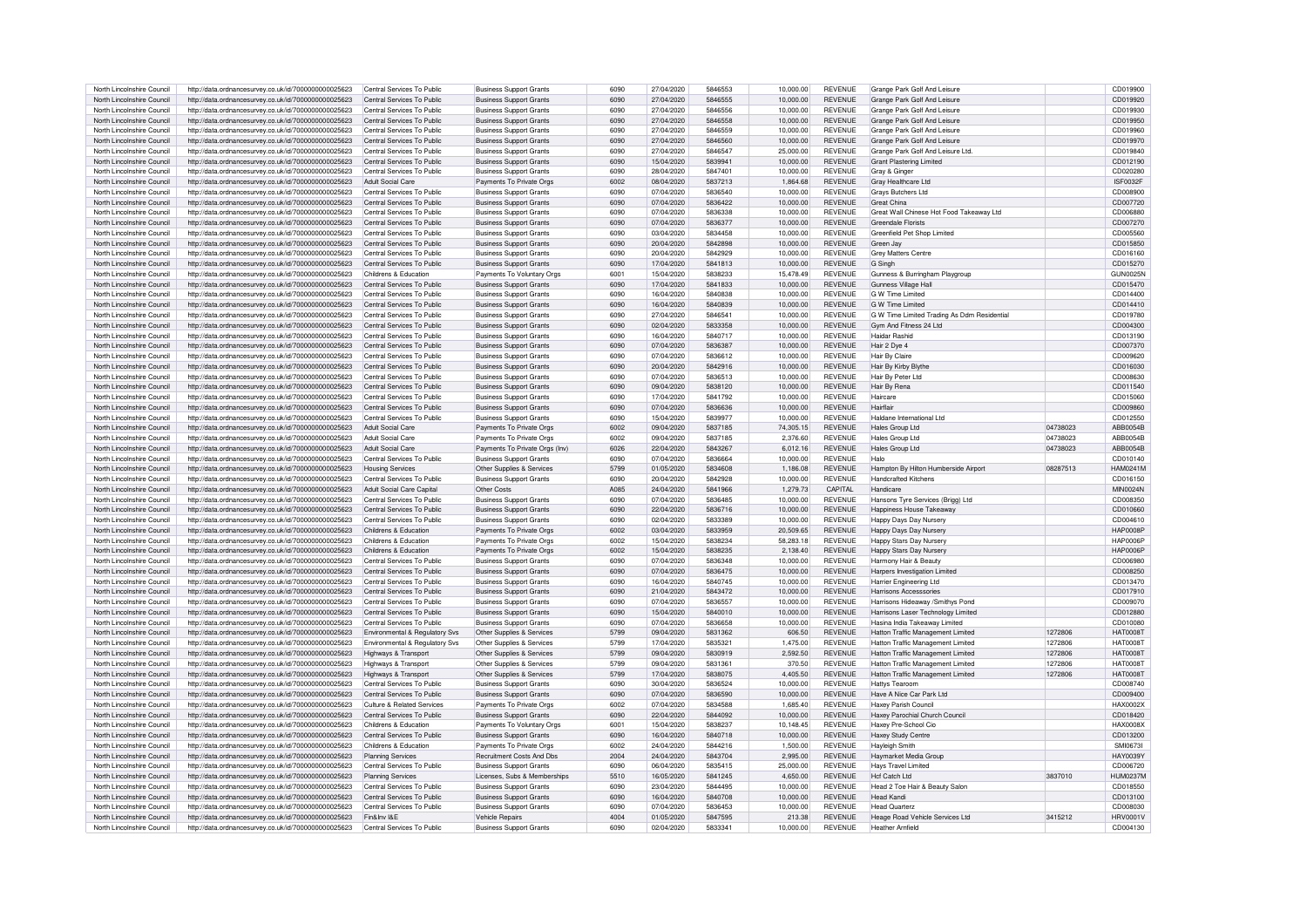| North Lincolnshire Council                               | http://data.ordnancesurvev.co.uk/id/7000000000025623                                                                     | Central Services To Public     | <b>Business Support Grants</b>                    | 6090         | 27/04/2020               | 5846553            | 10.000.00           | <b>REVENUE</b>                   | Grange Park Golf And Leisure                               |          | CD019900                    |
|----------------------------------------------------------|--------------------------------------------------------------------------------------------------------------------------|--------------------------------|---------------------------------------------------|--------------|--------------------------|--------------------|---------------------|----------------------------------|------------------------------------------------------------|----------|-----------------------------|
| North Lincolnshire Council                               | http://data.ordnancesurvey.co.uk/id/7000000000025623                                                                     | Central Services To Public     | <b>Business Support Grants</b>                    | 6090         | 27/04/2020               | 5846555            | 10.000.00           | <b>REVENUE</b>                   | Grange Park Golf And Leisure                               |          | CD019920                    |
| North Lincolnshire Council                               | http://data.ordnancesurvey.co.uk/id/7000000000025623                                                                     | Central Services To Public     | <b>Business Support Grants</b>                    | 6090         | 27/04/2020               | 5846556            | 10.000.00           | <b>REVENUE</b>                   | Grange Park Golf And Leisure                               |          | CD019930                    |
| North Lincolnshire Council                               | http://data.ordnancesurvey.co.uk/id/7000000000025623                                                                     | Central Services To Public     | <b>Business Support Grants</b>                    | 6090         | 27/04/2020               | 5846558            | 10,000.00           | <b>REVENUE</b>                   | Grange Park Golf And Leisure                               |          | CD019950                    |
| North Lincolnshire Council                               | http://data.ordnancesurvey.co.uk/id/7000000000025623                                                                     | Central Services To Public     | <b>Business Support Grants</b>                    | 6090         | 27/04/2020               | 5846559            | 10,000.00           | <b>REVENUE</b>                   | Grange Park Golf And Leisure                               |          | CD019960                    |
| North Lincolnshire Council                               |                                                                                                                          | Central Services To Public     | <b>Business Support Grants</b>                    | 6090         | 27/04/2020               | 5846560            | 10.000.00           | <b>REVENUE</b>                   | Grange Park Golf And Leisure                               |          | CD019970                    |
|                                                          | http://data.ordnancesurvey.co.uk/id/7000000000025623                                                                     |                                |                                                   |              |                          |                    |                     |                                  |                                                            |          |                             |
| North Lincolnshire Council                               | http://data.ordnancesurvey.co.uk/id/7000000000025623                                                                     | Central Services To Public     | <b>Business Support Grants</b>                    | 6090         | 27/04/2020               | 5846547            | 25,000.00           | <b>REVENUE</b>                   | Grange Park Golf And Leisure Ltd.                          |          | CD019840                    |
| North Lincolnshire Council                               | http://data.ordnancesurvey.co.uk/id/7000000000025623                                                                     | Central Services To Public     | <b>Business Support Grants</b>                    | 6090         | 15/04/2020               | 5839941            | 10,000.00           | <b>REVENUE</b>                   | <b>Grant Plastering Limited</b>                            |          | CD012190                    |
| North Lincolnshire Council                               | http://data.ordnancesurvey.co.uk/id/7000000000025623                                                                     | Central Services To Public     | <b>Business Support Grants</b>                    | 6090         | 28/04/2020               | 5847401            | 10.000.00           | <b>REVENUE</b>                   | Gray & Ginger                                              |          | CD020280                    |
| North Lincolnshire Council                               | http://data.ordnancesurvey.co.uk/id/7000000000025623                                                                     | <b>Adult Social Care</b>       | Payments To Private Orgs                          | 6002         | 08/04/2020               | 5837213            | 1,864.68            | <b>REVENUE</b>                   | Gray Healthcare Ltd                                        |          | ISF0032F                    |
| North Lincolnshire Council                               | http://data.ordnancesurvey.co.uk/id/7000000000025623                                                                     | Central Services To Public     | <b>Business Support Grants</b>                    | 6090         | 07/04/2020               | 5836540            | 10,000.00           | REVENUE                          | <b>Grays Butchers Ltd</b>                                  |          | CD008900                    |
| North Lincolnshire Council                               | http://data.ordnancesurvey.co.uk/id/7000000000025623                                                                     | Central Services To Public     | <b>Business Support Grants</b>                    | 6090         | 07/04/2020               | 5836422            | 10.000.00           | <b>REVENUE</b>                   | <b>Great China</b>                                         |          | CD007720                    |
| North Lincolnshire Council                               | http://data.ordnancesurvey.co.uk/id/7000000000025623                                                                     | Central Services To Public     | <b>Business Support Grants</b>                    | 6090         | 07/04/2020               | 5836338            | 10,000.00           | <b>REVENUE</b>                   | Great Wall Chinese Hot Food Takeaway Ltd                   |          | CD006880                    |
| North Lincolnshire Council                               | http://data.ordnancesurvey.co.uk/id/7000000000025623                                                                     | Central Services To Public     | <b>Business Support Grants</b>                    | 6090         | 07/04/2020               | 5836377            | 10.000.00           | <b>REVENUE</b>                   | <b>Greendale Florists</b>                                  |          | CD007270                    |
| North Lincolnshire Council                               | http://data.ordnancesurvey.co.uk/id/7000000000025623                                                                     | Central Services To Public     | <b>Business Support Grants</b>                    | 6090         | 03/04/2020               | 5834458            | 10,000.00           | <b>REVENUE</b>                   | Greenfield Pet Shop Limited                                |          | CD005560                    |
| North Lincolnshire Council                               | http://data.ordnancesurvey.co.uk/id/7000000000025623                                                                     | Central Services To Public     | <b>Business Support Grants</b>                    | 6090         | 20/04/2020               | 5842898            | 10,000.00           | <b>REVENUE</b>                   | Green Jay                                                  |          | CD015850                    |
| North Lincolnshire Council                               |                                                                                                                          | Central Services To Public     |                                                   | 6090         | 20/04/2020               | 5842929            | 10.000.00           | <b>REVENUE</b>                   | <b>Grev Matters Centre</b>                                 |          | CD016160                    |
|                                                          | http://data.ordnancesurvey.co.uk/id/7000000000025623                                                                     |                                | <b>Business Support Grants</b>                    |              |                          |                    |                     |                                  |                                                            |          |                             |
| North Lincolnshire Council                               | http://data.ordnancesurvey.co.uk/id/7000000000025623                                                                     | Central Services To Public     | <b>Business Support Grants</b>                    | 6090         | 17/04/2020               | 5841813            | 10.000.00           | <b>REVENUE</b>                   | G Singh                                                    |          | CD015270                    |
| North Lincolnshire Council                               | http://data.ordnancesurvey.co.uk/id/7000000000025623                                                                     | Childrens & Education          | Payments To Voluntary Orgs                        | 6001         | 15/04/2020               | 5838233            | 15.478.49           | <b>REVENUE</b>                   | Gunness & Burringham Playgroup                             |          | <b>GUN0025N</b>             |
| North Lincolnshire Council                               | http://data.ordnancesurvey.co.uk/id/7000000000025623                                                                     | Central Services To Public     | <b>Business Support Grants</b>                    | 6090         | 17/04/2020               | 5841833            | 10.000.00           | <b>REVENUE</b>                   | Gunness Village Hall                                       |          | CD015470                    |
| North Lincolnshire Council                               | http://data.ordnancesurvey.co.uk/id/7000000000025623                                                                     | Central Services To Public     | <b>Business Support Grants</b>                    | 6090         | 16/04/2020               | 5840838            | 10,000.00           | <b>REVENUE</b>                   | <b>G W Time Limited</b>                                    |          | CD014400                    |
| North Lincolnshire Council                               | http://data.ordnancesurvey.co.uk/id/7000000000025623                                                                     | Central Services To Public     | <b>Business Support Grants</b>                    | 6090         | 16/04/2020               | 5840839            | 10,000.00           | <b>REVENUE</b>                   | G W Time Limited                                           |          | CD014410                    |
| North Lincolnshire Council                               | http://data.ordnancesurvey.co.uk/id/7000000000025623                                                                     | Central Services To Public     | <b>Business Support Grants</b>                    | 6090         | 27/04/2020               | 5846541            | 10.000.00           | <b>REVENUE</b>                   | G W Time Limited Trading As Ddm Residentia                 |          | CD019780                    |
| North Lincolnshire Council                               | http://data.ordnancesurvey.co.uk/id/7000000000025623                                                                     | Central Services To Public     | <b>Business Support Grants</b>                    | 6090         | 02/04/2020               | 5833358            | 10.000.00           | <b>REVENUE</b>                   | Gym And Fitness 24 Ltd                                     |          | CD004300                    |
| North Lincolnshire Council                               | http://data.ordnancesurvey.co.uk/id/7000000000025623                                                                     | Central Services To Public     | <b>Business Support Grants</b>                    | 6090         | 16/04/2020               | 5840717            | 10,000.00           | <b>REVENUE</b>                   | <b>Haidar Rashio</b>                                       |          | CD013190                    |
| North Lincolnshire Council                               | http://data.ordnancesurvey.co.uk/id/7000000000025623                                                                     | Central Services To Public     | <b>Business Support Grants</b>                    | 6090         | 07/04/2020               | 5836387            | 10,000.00           | <b>REVENUE</b>                   | Hair 2 Dye 4                                               |          | CD007370                    |
|                                                          |                                                                                                                          |                                |                                                   |              |                          |                    |                     |                                  |                                                            |          |                             |
| North Lincolnshire Council                               | http://data.ordnancesurvev.co.uk/id/7000000000025623                                                                     | Central Services To Public     | <b>Business Support Grants</b>                    | 6090         | 07/04/2020               | 5836612            | 10,000.00           | <b>REVENUE</b>                   | <b>Hair By Claire</b>                                      |          | CD009620                    |
| North Lincolnshire Council                               | http://data.ordnancesurvey.co.uk/id/7000000000025623                                                                     | Central Services To Public     | <b>Business Support Grants</b>                    | 6090         | 20/04/2020               | 5842916            | 10.000.00           | <b>REVENUE</b>                   | Hair By Kirby Blythe                                       |          | CD016030                    |
| North Lincolnshire Council                               | http://data.ordnancesurvey.co.uk/id/7000000000025623                                                                     | Central Services To Public     | <b>Business Support Grants</b>                    | 6090         | 07/04/2020               | 5836513            | 10.000.00           | <b>REVENUE</b>                   | Hair By Peter I td                                         |          | CD008630                    |
| North Lincolnshire Council                               | http://data.ordnancesurvey.co.uk/id/7000000000025623                                                                     | Central Services To Public     | <b>Business Support Grants</b>                    | 6090         | 09/04/2020               | 5838120            | 10,000.00           | <b>REVENUE</b>                   | Hair By Rena                                               |          | CD011540                    |
| North Lincolnshire Council                               | http://data.ordnancesurvey.co.uk/id/7000000000025623                                                                     | Central Services To Public     | <b>Business Support Grants</b>                    | 6090         | 17/04/2020               | 5841792            | 10,000.00           | <b>REVENUE</b>                   | Haircare                                                   |          | CD015060                    |
| North Lincolnshire Council                               | http://data.ordnancesurvey.co.uk/id/7000000000025623                                                                     | Central Services To Public     | <b>Business Support Grants</b>                    | 6090         | 07/04/2020               | 5836636            | 10.000.00           | <b>REVENUE</b>                   | Hairflair                                                  |          | CD009860                    |
| North Lincolnshire Council                               | http://data.ordnancesurvey.co.uk/id/7000000000025623                                                                     | Central Services To Public     | <b>Business Support Grants</b>                    | 6090         | 15/04/2020               | 5839977            | 10,000.00           | <b>REVENUE</b>                   | Haldane International I td                                 |          | CD012550                    |
| North Lincolnshire Council                               | http://data.ordnancesurvey.co.uk/id/7000000000025623                                                                     | Adult Social Care              | Payments To Private Orgs                          | 6002         | 09/04/2020               | 5837185            | 74,305.15           | <b>REVENUE</b>                   | Hales Group Ltd                                            | 04738023 | ABB0054B                    |
| North Lincolnshire Council                               | http://data.ordnancesurvey.co.uk/id/7000000000025623                                                                     | Adult Social Care              | Payments To Private Orgs                          | 6002         | 09/04/2020               | 5837185            | 2.376.60            | <b>REVENUE</b>                   | Hales Group Ltd                                            | 04738023 | ABB0054B                    |
|                                                          |                                                                                                                          |                                |                                                   | 6026         | 22/04/2020               | 5843267            |                     | <b>REVENUE</b>                   | Hales Group Ltd                                            |          |                             |
| North Lincolnshire Council                               | http://data.ordnancesurvey.co.uk/id/7000000000025623                                                                     | Adult Social Care              | Payments To Private Orgs (Inv)                    |              |                          |                    | 6,012.16            |                                  |                                                            | 04738023 | ABB0054B                    |
| North Lincolnshire Council                               | http://data.ordnancesurvey.co.uk/id/7000000000025623                                                                     | Central Services To Public     | <b>Business Support Grants</b>                    | 6090         | 07/04/2020               | 5836664            | 10,000.00           | <b>REVENUE</b>                   | Halo                                                       |          | CD010140                    |
| North Lincolnshire Council                               | http://data.ordnancesurvey.co.uk/id/7000000000025623                                                                     | <b>Housing Services</b>        | Other Supplies & Services                         | 5799         | 01/05/2020               | 5834608            | 1,186.08            | <b>REVENUE</b>                   | Hampton By Hilton Humberside Airport                       | 08287513 | <b>HAM0241M</b>             |
| North Lincolnshire Council                               | http://data.ordnancesurvey.co.uk/id/7000000000025623                                                                     | Central Services To Public     | <b>Business Support Grants</b>                    | 6090         | 20/04/2020               | 5842928            | 10,000.00           | <b>REVENUE</b>                   | <b>Handcrafted Kitchens</b>                                |          | CD016150                    |
| North Lincolnshire Council                               | http://data.ordnancesurvey.co.uk/id/7000000000025623                                                                     | Adult Social Care Capital      | Other Costs                                       | A085         | 24/04/2020               | 5841966            | 1.279.73            | CAPITAL                          | Handicare                                                  |          | <b>MIN0024N</b>             |
| North Lincolnshire Council                               |                                                                                                                          | Central Services To Public     | <b>Business Support Grants</b>                    | 6090         | 07/04/2020               | 5836485            | 10,000.00           | <b>REVENUE</b>                   | Hansons Tyre Services (Brigg) Ltd                          |          |                             |
|                                                          | http://data.ordnancesurvey.co.uk/id/7000000000025623                                                                     |                                |                                                   |              |                          | 5836716            |                     |                                  |                                                            |          | CD008350                    |
| North Lincolnshire Council                               | http://data.ordnancesurvey.co.uk/id/7000000000025623                                                                     | Central Services To Public     | <b>Business Support Grants</b>                    | 6090         | 22/04/2020               |                    | 10,000.00           | REVENUE                          |                                                            |          | CD010660                    |
| North Lincolnshire Council                               |                                                                                                                          | Central Services To Public     |                                                   | 6090         | 02/04/2020               | 5833389            |                     | <b>REVENUE</b>                   | Happiness House Takeawa                                    |          |                             |
|                                                          | http://data.ordnancesurvey.co.uk/id/7000000000025623                                                                     | Childrens & Education          | <b>Business Support Grants</b>                    | 6002         |                          | 5833959            | 10,000.00           |                                  | Happy Days Day Nursery                                     |          | CD004610<br>HAP0008F        |
| North Lincolnshire Council                               | http://data.ordnancesurvey.co.uk/id/7000000000025623                                                                     |                                | Payments To Private Org                           |              | 03/04/2020               |                    | 20,509.65           | <b>REVENUE</b>                   | Happy Days Day Nursery                                     |          |                             |
| North Lincolnshire Council                               | http://data.ordnancesurvey.co.uk/id/7000000000025623                                                                     | Childrens & Education          | Payments To Private Orgs                          | 6002         | 15/04/2020               | 5838234            | 58,283.18           | REVENUE                          | Happy Stars Day Nursery                                    |          | HAP0006F                    |
| North Lincolnshire Council                               | http://data.ordnancesurvey.co.uk/id/7000000000025623                                                                     | Childrens & Education          | Payments To Private Orgs                          | 6002         | 15/04/2020               | 5838235            | 2.138.40            | <b>REVENUE</b>                   | Happy Stars Day Nursery                                    |          | <b>HAP0006P</b>             |
| North Lincolnshire Council                               | http://data.ordnancesurvey.co.uk/id/7000000000025623                                                                     | Central Services To Public     | <b>Business Support Grants</b>                    | 6090         | 07/04/2020               | 5836348            | 10.000.00           | <b>REVENUE</b>                   | Harmony Hair & Beauty                                      |          | CD006980                    |
| North Lincolnshire Council                               | http://data.ordnancesurvey.co.uk/id/7000000000025623                                                                     | Central Services To Public     | <b>Business Support Grants</b>                    | 6090         | 07/04/2020               | 5836475            | 10.000.00           | <b>REVENUE</b>                   | Harpers Investigation Limited                              |          | CD008250                    |
| North Lincolnshire Council                               | http://data.ordnancesurvey.co.uk/id/7000000000025623                                                                     | Central Services To Public     | <b>Business Support Grants</b>                    | 6090         | 16/04/2020               | 5840745            | 10.000.00           | REVENUE                          | <b>Harrier Engineering Ltd</b>                             |          | CD013470                    |
| North Lincolnshire Council                               | http://data.ordnancesurvey.co.uk/id/7000000000025623                                                                     | Central Services To Public     | <b>Business Support Grants</b>                    | 6090         | 21/04/2020               | 5843472            | 10,000.00           | <b>REVENUE</b>                   | Harrisons Accesssories                                     |          | CD017910                    |
| North Lincolnshire Council                               | http://data.ordnancesurvey.co.uk/id/7000000000025623                                                                     | Central Services To Public     | <b>Business Support Grants</b>                    | 6090         | 07/04/2020               | 5836557            | 10.000.00           | <b>REVENUE</b>                   | Harrisons Hideaway /Smithys Pond                           |          | CD009070                    |
| North Lincolnshire Council                               | http://data.ordnancesurvey.co.uk/id/7000000000025623                                                                     | Central Services To Public     | <b>Business Support Grants</b>                    | 6090         | 15/04/2020               | 5840010            | 10.000.00           | <b>REVENUE</b>                   | Harrisons Laser Technology Limited                         |          | CD012880                    |
| North Lincolnshire Council                               | http://data.ordnancesurvey.co.uk/id/7000000000025623                                                                     | Central Services To Public     | <b>Business Support Grants</b>                    | 6090         | 07/04/2020               | 5836658            | 10,000.00           | <b>REVENUE</b>                   | Hasina India Takeaway Limited                              |          | CD010080                    |
| North Lincolnshire Council                               | http://data.ordnancesurvey.co.uk/id/7000000000025623                                                                     | Environmental & Regulatory Svs | Other Supplies & Services                         | 5799         | 09/04/2020               | 5831362            | 606.50              | <b>REVENUE</b>                   | Hatton Traffic Management Limited                          | 1272806  | HAT0008T                    |
| North Lincolnshire Council                               | http://data.ordnancesurvey.co.uk/id/7000000000025623                                                                     | Environmental & Regulatory Sys | Other Supplies & Services                         | 5799         | 17/04/2020               | 5835321            | 1.475.00            | REVENUE                          | Hatton Traffic Management Limited                          | 1272806  | HAT0008T                    |
|                                                          |                                                                                                                          |                                |                                                   | 5799         | 09/04/2020               | 5830919            |                     |                                  |                                                            | 1272806  | <b>HAT00087</b>             |
| North Lincolnshire Council                               | http://data.ordnancesurvey.co.uk/id/7000000000025623                                                                     | Highways & Transport           | Other Supplies & Services                         |              |                          |                    | 2,592.50            | REVENUE                          | Hatton Traffic Management Limited                          |          |                             |
| North Lincolnshire Council                               | http://data.ordnancesurvey.co.uk/id/7000000000025623                                                                     | Highways & Transport           | Other Supplies & Services                         | 5799         | 09/04/2020               | 5831361            | 370.50              | <b>REVENUE</b>                   | Hatton Traffic Management Limited                          | 1272806  | <b>HAT0008T</b>             |
| North Lincolnshire Council                               | http://data.ordnancesurvey.co.uk/id/7000000000025623                                                                     | Highways & Transport           | Other Supplies & Services                         | 5799         | 17/04/2020               | 5838075            | 4,405.50            | <b>REVENUE</b>                   | Hatton Traffic Management Limited                          | 1272806  | <b>HAT0008T</b>             |
| North Lincolnshire Council                               | http://data.ordnancesurvey.co.uk/id/7000000000025623                                                                     | Central Services To Public     | <b>Business Support Grants</b>                    | 6090         | 30/04/2020               | 5836524            | 10,000.00           | REVENUE                          | <b>Hattys Tearoom</b>                                      |          | CD008740                    |
| North Lincolnshire Council                               | http://data.ordnancesurvey.co.uk/id/7000000000025623                                                                     | Central Services To Public     | <b>Business Support Grants</b>                    | 6090         | 07/04/2020               | 5836590            | 10.000.00           | <b>REVENUE</b>                   | Have A Nice Car Park Ltd                                   |          | CD009400                    |
| North Lincolnshire Council                               | http://data.ordnancesurvey.co.uk/id/7000000000025623                                                                     | Culture & Related Services     | Payments To Private Orgs                          | 6002         | 07/04/2020               | 5834588            | 1,685.40            | <b>REVENUE</b>                   | Haxey Parish Council                                       |          | HAX0002X                    |
| North Lincolnshire Council                               | http://data.ordnancesurvey.co.uk/id/7000000000025623                                                                     | Central Services To Public     | <b>Business Support Grants</b>                    | 6090         | 22/04/2020               | 5844092            | 10,000.00           | <b>REVENUE</b>                   | Haxey Parochial Church Council                             |          | CD018420                    |
| North Lincolnshire Council                               | http://data.ordnancesurvey.co.uk/id/7000000000025623                                                                     | Childrens & Education          | Payments To Voluntary Oras                        | 6001         | 15/04/2020               | 5838237            | 10.148.45           | <b>REVENUE</b>                   | Haxev Pre-School Cio                                       |          | <b>HAX0008X</b>             |
| North Lincolnshire Council                               | http://data.ordnancesurvey.co.uk/id/7000000000025623                                                                     | Central Services To Public     | <b>Business Support Grants</b>                    | 6090         | 16/04/2020               | 5840718            | 10,000.00           | <b>REVENUE</b>                   | Haxey Study Centre                                         |          | CD013200                    |
| North Lincolnshire Council                               | http://data.ordnancesurvey.co.uk/id/7000000000025623                                                                     | Childrens & Education          | Payments To Private Orgs                          | 6002         | 24/04/2020               | 5844216            | 1.500.00            | <b>REVENUE</b>                   | <b>Hayleigh Smith</b>                                      |          | SMI06731                    |
| North Lincolnshire Council                               |                                                                                                                          | Planning Services              | Recruitment Costs And Dbs                         | 2004         | 24/04/2020               | 5843704            | 2.995.00            | <b>REVENUE</b>                   |                                                            |          | <b>HAY0039Y</b>             |
| North Lincolnshire Council                               | http://data.ordnancesurvey.co.uk/id/7000000000025623                                                                     | Central Services To Public     | <b>Business Support Grants</b>                    | 6090         | 06/04/2020               | 5835415            | 25.000.00           | <b>REVENUE</b>                   | Haymarket Media Group<br><b>Havs Travel Limited</b>        |          | CD006720                    |
|                                                          | http://data.ordnancesurvey.co.uk/id/7000000000025623                                                                     |                                |                                                   |              |                          |                    |                     |                                  |                                                            |          |                             |
| North Lincolnshire Council                               | http://data.ordnancesurvey.co.uk/id/7000000000025623                                                                     | <b>Planning Services</b>       | Licenses, Subs & Memberships                      | 5510         | 16/05/2020               | 5841245            | 4,650.00            | <b>REVENUE</b>                   | <b>Hcf Catch Ltd</b>                                       | 3837010  | <b>HUM0237M</b>             |
| North Lincolnshire Council                               | http://data.ordnancesurvey.co.uk/id/7000000000025623                                                                     | Central Services To Public     | <b>Business Support Grants</b>                    | 6090         | 23/04/2020               | 5844495            | 10,000.00           | <b>REVENUE</b>                   | Head 2 Toe Hair & Beauty Salon                             |          | CD018550                    |
| North Lincolnshire Council                               | http://data.ordnancesurvey.co.uk/id/7000000000025623                                                                     | Central Services To Public     | <b>Business Support Grants</b>                    | 6090         | 16/04/2020               | 5840708            | 10.000.00           | <b>REVENUE</b>                   | Head Kandi                                                 |          | CD013100                    |
| North Lincolnshire Council                               | http://data.ordnancesurvey.co.uk/id/7000000000025623                                                                     | Central Services To Public     | <b>Business Support Grants</b>                    | 6090         | 07/04/2020               | 5836453            | 10.000.00           | <b>REVENUE</b>                   | <b>Head Quarterz</b>                                       |          | CD008030                    |
| North Lincolnshire Council<br>North Lincolnshire Council | http://data.ordnancesurvey.co.uk/id/7000000000025623 Fin&Inv I&E<br>http://data.ordnancesurvey.co.uk/id/7000000000025623 | Central Services To Public     | Vehicle Repairs<br><b>Business Support Grants</b> | 4004<br>6090 | 01/05/2020<br>02/04/2020 | 5847595<br>5833341 | 213.38<br>10,000.00 | <b>REVENUE</b><br><b>REVENUE</b> | Heage Road Vehicle Services Ltd<br><b>Heather Arnfield</b> | 3415212  | <b>HRV0001V</b><br>CD004130 |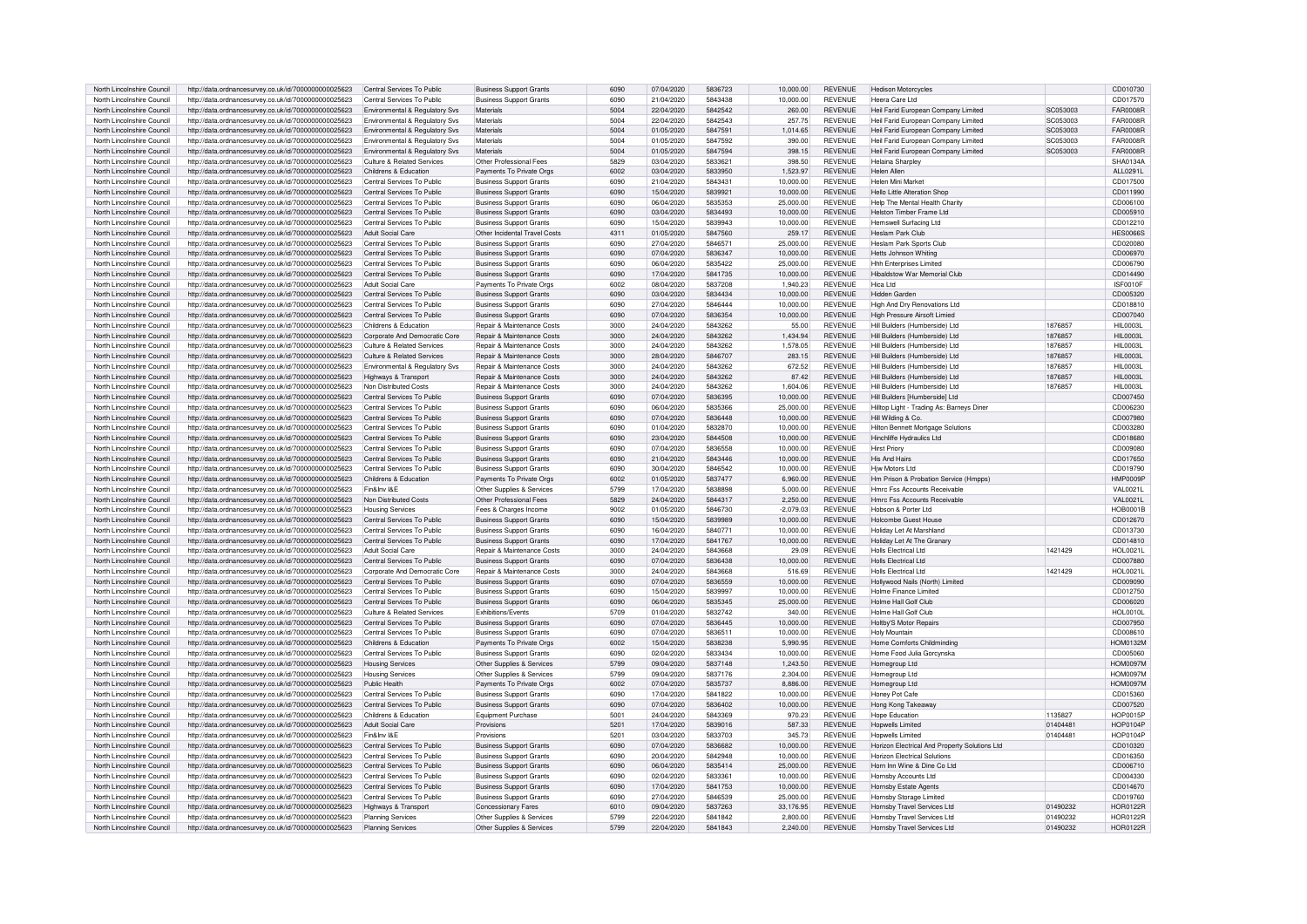| North Lincolnshire Council | http://data.ordnancesurvey.co.uk/id/7000000000025623 | Central Services To Public     | <b>Business Support Grants</b>        | 6090 | 07/04/2020 | 5836723 | 10.000.00   | <b>REVENUE</b> | <b>Hedison Motorcycles</b>                    |                 | CD010730         |
|----------------------------|------------------------------------------------------|--------------------------------|---------------------------------------|------|------------|---------|-------------|----------------|-----------------------------------------------|-----------------|------------------|
| North Lincolnshire Council | http://data.ordnancesurvey.co.uk/id/7000000000025623 | Central Services To Public     | <b>Business Support Grants</b>        | 6090 | 21/04/2020 | 5843438 | 10,000.00   | <b>REVENUE</b> | Heera Care Ltd                                |                 | CD017570         |
| North Lincolnshire Council | http://data.ordnancesurvey.co.uk/id/7000000000025623 | Environmental & Regulatory Svs | Materials                             | 5004 | 22/04/2020 | 5842542 | 260.00      | <b>REVENUE</b> | Heil Farid European Company Limited           | <b>SC053003</b> | FAR0008F         |
| North Lincolnshire Council |                                                      |                                | Materials                             | 5004 | 22/04/2020 | 5842543 | 257.75      | <b>REVENUE</b> |                                               | SC053003        | <b>FAR0008F</b>  |
|                            | http://data.ordnancesurvey.co.uk/id/7000000000025623 | Environmental & Regulatory Svs |                                       |      |            |         |             |                | Heil Farid European Company Limited           |                 |                  |
| North Lincolnshire Council | http://data.ordnancesurvey.co.uk/id/7000000000025623 | Environmental & Regulatory Svs | Materials                             | 5004 | 01/05/2020 | 5847591 | 1.014.65    | <b>REVENUE</b> | Heil Farid European Company Limited           | SC053003        | <b>FAR0008R</b>  |
| North Lincolnshire Council | http://data.ordnancesurvey.co.uk/id/7000000000025623 | Environmental & Regulatory Svs | Materials                             | 5004 | 01/05/2020 | 5847592 | 390.00      | <b>REVENUE</b> | Heil Farid European Company Limited           | SC053003        | <b>FAR0008R</b>  |
| North Lincolnshire Council | http://data.ordnancesurvey.co.uk/id/7000000000025623 | Environmental & Regulatory Svs | Materials                             | 5004 | 01/05/2020 | 5847594 | 398.15      | <b>REVENUE</b> | Heil Farid European Company Limited           | SC053003        | FAR0008F         |
| North Lincolnshire Council | http://data.ordnancesurvey.co.uk/id/7000000000025623 | Culture & Related Services     | Other Professional Fees               | 5829 | 03/04/2020 | 5833621 | 398.50      | <b>REVENUE</b> | <b>Helaina Sharpley</b>                       |                 | <b>SHA0134A</b>  |
| North Lincolnshire Council | http://data.ordnancesurvey.co.uk/id/7000000000025623 | Childrens & Education          | Payments To Private Orgs              | 6002 | 03/04/2020 | 5833950 | 1.523.97    | <b>REVENUE</b> | <b>Helen Aller</b>                            |                 | ALL0291L         |
| North Lincolnshire Council | http://data.ordnancesurvey.co.uk/id/7000000000025623 | Central Services To Public     | <b>Business Support Grants</b>        | 6090 | 21/04/2020 | 5843431 | 10.000.00   | <b>REVENUE</b> | Helen Mini Market                             |                 | CD017500         |
| North Lincolnshire Council | http://data.ordnancesurvey.co.uk/id/7000000000025623 | Central Services To Public     | <b>Business Support Grants</b>        | 6090 | 15/04/2020 | 5839921 | 10.000.00   | <b>REVENUE</b> | <b>Hello Little Alteration Shop</b>           |                 | CD011990         |
| North Lincolnshire Council | http://data.ordnancesurvey.co.uk/id/7000000000025623 | Central Services To Public     | <b>Business Support Grants</b>        | 6090 | 06/04/2020 | 5835353 | 25,000.00   | <b>REVENUE</b> | Help The Mental Health Charity                |                 | CD006100         |
| North Lincolnshire Council | http://data.ordnancesurvey.co.uk/id/7000000000025623 | Central Services To Public     | <b>Business Support Grants</b>        | 6090 | 03/04/2020 | 5834493 | 10,000.00   | <b>REVENUE</b> | Helston Timber Frame Ltd                      |                 | CD005910         |
| North Lincolnshire Council | http://data.ordnancesurvey.co.uk/id/7000000000025623 | Central Services To Public     | <b>Business Support Grants</b>        | 6090 | 15/04/2020 | 5839943 | 10,000.00   | <b>REVENUE</b> | Hemswell Surfacing Ltd                        |                 | CD012210         |
|                            |                                                      |                                |                                       |      |            |         |             |                | Heslam Park Club                              |                 |                  |
| North Lincolnshire Council | http://data.ordnancesurvey.co.uk/id/7000000000025623 | Adult Social Care              | Other Incidental Travel Costs         | 4311 | 01/05/2020 | 5847560 | 259.17      | <b>REVENUE</b> |                                               |                 | <b>HES0066S</b>  |
| North Lincolnshire Council | http://data.ordnancesurvey.co.uk/id/7000000000025623 | Central Services To Public     | <b>Business Support Grants</b>        | 6090 | 27/04/2020 | 5846571 | 25,000.00   | <b>REVENUE</b> | Heslam Park Sports Club                       |                 | CD020080         |
| North Lincolnshire Council | http://data.ordnancesurvey.co.uk/id/7000000000025623 | Central Services To Public     | <b>Business Support Grants</b>        | 6090 | 07/04/2020 | 5836347 | 10.000.00   | <b>REVENUE</b> | Hetts Johnson Whiting                         |                 | CD006970         |
| North Lincolnshire Council | http://data.ordnancesurvey.co.uk/id/7000000000025623 | Central Services To Public     | <b>Business Support Grants</b>        | 6090 | 06/04/2020 | 5835422 | 25,000.00   | <b>REVENUE</b> | <b>Hhh Enterprises Limited</b>                |                 | CD006790         |
| North Lincolnshire Council | http://data.ordnancesurvey.co.uk/id/7000000000025623 | Central Services To Public     | <b>Business Support Grants</b>        | 6090 | 17/04/2020 | 5841735 | 10,000.00   | <b>REVENUE</b> | Hibaldstow War Memorial Club                  |                 | CD014490         |
| North Lincolnshire Council | http://data.ordnancesurvey.co.uk/id/7000000000025623 | Adult Social Care              | Payments To Private Orgs              | 6002 | 08/04/2020 | 5837208 | 1.940.23    | <b>REVENUE</b> | Hica I td                                     |                 | ISF0010F         |
| North Lincolnshire Council | http://data.ordnancesurvey.co.uk/id/7000000000025623 | Central Services To Public     | <b>Business Support Grants</b>        | 6090 | 03/04/2020 | 5834434 | 10.000.00   | <b>REVENUE</b> | Hidden Garden                                 |                 | CD005320         |
| North Lincolnshire Council | http://data.ordnancesurvey.co.uk/id/7000000000025623 | Central Services To Public     | <b>Business Support Grants</b>        | 6090 | 27/04/2020 | 5846444 | 10.000.00   | <b>REVENUE</b> | High And Dry Renovations Ltd                  |                 | CD018810         |
| North Lincolnshire Council | http://data.ordnancesurvey.co.uk/id/7000000000025623 | Central Services To Public     | <b>Business Support Grants</b>        | 6090 | 07/04/2020 | 5836354 | 10,000.00   | <b>REVENUE</b> | High Pressure Airsoft Limied                  |                 | CD007040         |
| North Lincolnshire Council | http://data.ordnancesurvey.co.uk/id/7000000000025623 | Childrens & Education          | Repair & Maintenance Costs            | 3000 | 24/04/2020 | 5843262 | 55.00       | <b>REVENUE</b> | Hill Builders (Humberside) I td               | 1876857         | <b>HII 0003I</b> |
| North Lincolnshire Council |                                                      | Corporate And Democratic Core  |                                       | 3000 | 24/04/2020 | 5843262 |             | <b>REVENUE</b> | Hill Builders (Humberside) Ltd                | 1876857         | <b>HIL0003L</b>  |
|                            | http://data.ordnancesurvey.co.uk/id/7000000000025623 |                                | Repair & Maintenance Costs            |      |            |         | 1,434.94    |                |                                               |                 |                  |
| North Lincolnshire Council | http://data.ordnancesurvey.co.uk/id/7000000000025623 | Culture & Related Services     | Repair & Maintenance Costs            | 3000 | 24/04/2020 | 5843262 | 1,578.05    | <b>REVENUE</b> | Hill Builders (Humberside) Ltd                | 1876857         | <b>HIL0003L</b>  |
| North Lincolnshire Council | http://data.ordnancesurvey.co.uk/id/7000000000025623 | Culture & Related Services     | Repair & Maintenance Costs            | 3000 | 28/04/2020 | 5846707 | 283.15      | <b>REVENUE</b> | Hill Builders (Humberside) Ltd                | 1876857         | <b>HIL0003L</b>  |
| North Lincolnshire Council | http://data.ordnancesurvey.co.uk/id/7000000000025623 | Environmental & Regulatory Svs | <b>Benair &amp; Maintenance Costs</b> | 3000 | 24/04/2020 | 5843262 | 672.52      | <b>REVENUE</b> | Hill Builders (Humberside) Ltd                | 1876857         | <b>HII 0003I</b> |
| North Lincolnshire Council | http://data.ordnancesurvey.co.uk/id/7000000000025623 | Highways & Transport           | Repair & Maintenance Costs            | 3000 | 24/04/2020 | 5843262 | 87.42       | <b>REVENUE</b> | Hill Builders (Humberside) Ltd                | 1876857         | <b>HIL0003L</b>  |
| North Lincolnshire Council | http://data.ordnancesurvey.co.uk/id/7000000000025623 | Non Distributed Costs          | Repair & Maintenance Costs            | 3000 | 24/04/2020 | 5843262 | 1,604.06    | <b>REVENUE</b> | Hill Builders (Humberside) Ltd                | 1876857         | <b>HIL0003L</b>  |
| North Lincolnshire Council | http://data.ordnancesurvey.co.uk/id/7000000000025623 | Central Services To Public     | <b>Business Support Grants</b>        | 6090 | 07/04/2020 | 5836395 | 10.000.00   | <b>REVENUE</b> | Hill Builders [Humberside] I td.              |                 | CD007450         |
| North Lincolnshire Council | http://data.ordnancesurvey.co.uk/id/7000000000025623 | Central Services To Public     | <b>Business Support Grants</b>        | 6090 | 06/04/2020 | 5835366 | 25,000.00   | <b>REVENUE</b> | Hilltop Light - Trading As: Barneys Diner     |                 | CD006230         |
| North Lincolnshire Council | http://data.ordnancesurvey.co.uk/id/7000000000025623 | Central Services To Public     | <b>Business Support Grants</b>        | 6090 | 07/04/2020 | 5836448 | 10,000.00   | <b>REVENUE</b> | Hill Wilding & Co.                            |                 | CD007980         |
| North Lincolnshire Council | http://data.ordnancesurvey.co.uk/id/7000000000025623 | Central Services To Public     | <b>Business Support Grants</b>        | 6090 | 01/04/2020 | 5832870 | 10.000.00   | <b>REVENUE</b> | Hilton Bennett Mortgage Solutions             |                 | CD003280         |
|                            |                                                      |                                |                                       |      |            |         |             |                |                                               |                 |                  |
| North Lincolnshire Council | http://data.ordnancesurvey.co.uk/id/7000000000025623 | Central Services To Public     | <b>Business Support Grants</b>        | 6090 | 23/04/2020 | 5844508 | 10,000.00   | <b>REVENUE</b> | Hinchliffe Hydraulics Ltd                     |                 | CD018680         |
| North Lincolnshire Council | http://data.ordnancesurvey.co.uk/id/7000000000025623 | Central Services To Public     | <b>Business Support Grants</b>        | 6090 | 07/04/2020 | 5836558 | 10,000.00   | <b>REVENUE</b> | <b>Hirst Prion</b>                            |                 | CD009080         |
| North Lincolnshire Council | http://data.ordnancesurvey.co.uk/id/7000000000025623 | Central Services To Public     | <b>Business Support Grants</b>        | 6090 | 21/04/2020 | 5843446 | 10,000.00   | <b>REVENUE</b> | <b>His And Hairs</b>                          |                 | CD017650         |
| North Lincolnshire Council | http://data.ordnancesurvey.co.uk/id/7000000000025623 | Central Services To Public     | <b>Business Support Grants</b>        | 6090 | 30/04/2020 | 5846542 | 10.000.00   | <b>REVENUE</b> | <b>Hiw Motors Ltd</b>                         |                 | CD019790         |
| North Lincolnshire Council | http://data.ordnancesurvey.co.uk/id/7000000000025623 | Childrens & Education          | Payments To Private Org               | 6002 | 01/05/2020 | 5837477 | 6.960.00    | <b>REVENUE</b> | Hm Prison & Probation Service (Hmpps          |                 | HMP0009P         |
| North Lincolnshire Council | http://data.ordnancesurvey.co.uk/id/7000000000025623 | Fin&Inv I&F                    | Other Supplies & Services             | 5799 | 17/04/2020 | 5838898 | 5.000.00    | <b>REVENUE</b> | Hmrc Ess Accounts Beceivable                  |                 | VAI 0021         |
| North Lincolnshire Council | http://data.ordnancesurvey.co.uk/id/7000000000025623 | Non Distributed Costs          | Other Professional Fees               | 5829 | 24/04/2020 | 5844317 | 2,250.00    | <b>REVENUE</b> | Hmrc Fss Accounts Receivable                  |                 | <b>VAL0021L</b>  |
| North Lincolnshire Council | http://data.ordnancesurvey.co.uk/id/7000000000025623 | <b>Housing Services</b>        | Fees & Charges Income                 | 9002 | 01/05/2020 | 5846730 | $-2,079.03$ | <b>REVENUE</b> | Hobson & Porter Ltd                           |                 | HOB0001B         |
| North Lincolnshire Council | http://data.ordnancesurvey.co.uk/id/7000000000025623 | Central Services To Public     | <b>Business Support Grants</b>        | 6090 | 15/04/2020 | 5839989 | 10.000.00   | <b>REVENUE</b> | Holcombe Guest House                          |                 | CD012670         |
| North Lincolnshire Council | http://data.ordnancesurvey.co.uk/id/7000000000025623 | Central Services To Public     | <b>Business Support Grants</b>        | 6090 | 16/04/2020 | 5840771 | 10.000.00   | <b>REVENUE</b> | Holiday Let At Marshland                      |                 | CD013730         |
| North Lincolnshire Council |                                                      | Central Services To Public     |                                       | 6090 | 17/04/2020 | 5841767 | 10.000.00   | <b>REVENUE</b> |                                               |                 | CD014810         |
|                            | http://data.ordnancesurvey.co.uk/id/7000000000025623 |                                | <b>Business Support Grants</b>        |      |            |         |             |                | Holiday Let At The Granary                    |                 |                  |
| North Lincolnshire Council | http://data.ordnancesurvey.co.uk/id/7000000000025623 | Adult Social Care              | Repair & Maintenance Costs            | 3000 | 24/04/2020 | 5843668 | 29.09       | <b>REVENUE</b> | Holls Flectrical I to                         | 1421429         | HOL0021L         |
| North Lincolnshire Council | http://data.ordnancesurvey.co.uk/id/7000000000025623 | Central Services To Public     | <b>Business Support Grants</b>        | 6090 | 07/04/2020 | 5836438 | 10.000.00   | <b>REVENUE</b> | Holls Flectrical Ltd                          |                 | CD007880         |
| North Lincolnshire Council | http://data.ordnancesurvey.co.uk/id/7000000000025623 | Corporate And Democratic Core  | Repair & Maintenance Costs            | 3000 | 24/04/2020 | 5843668 | 516.69      | <b>REVENUE</b> | Holls Flectrical Ltd                          | 1421429         | HOL0021L         |
| North Lincolnshire Council | http://data.ordnancesurvey.co.uk/id/7000000000025623 | Central Services To Public     | <b>Business Support Grants</b>        | 6090 | 07/04/2020 | 5836559 | 10,000.00   | <b>REVENUE</b> | Hollywood Nails (North) Limited               |                 | CD009090         |
| North Lincolnshire Council | http://data.ordnancesurvey.co.uk/id/7000000000025623 | Central Services To Public     | <b>Business Support Grants</b>        | 6090 | 15/04/2020 | 5839997 | 10.000.00   | <b>REVENUE</b> | Holme Finance Limited                         |                 | CD012750         |
| North Lincolnshire Council | http://data.ordnancesurvey.co.uk/id/7000000000025623 | Central Services To Public     | <b>Business Support Grants</b>        | 6090 | 06/04/2020 | 5835345 | 25,000.00   | <b>REVENUE</b> | Holme Hall Golf Club                          |                 | CD006020         |
| North Lincolnshire Council | http://data.ordnancesurvey.co.uk/id/7000000000025623 | Culture & Related Services     | Exhibitions/Events                    | 5709 | 01/04/2020 | 5832742 | 340.00      | <b>REVENUE</b> | Holme Hall Golf Club                          |                 | HOL0010L         |
| North Lincolnshire Council | http://data.ordnancesurvey.co.uk/id/7000000000025623 | Central Services To Public     | <b>Business Support Grants</b>        | 6090 | 07/04/2020 | 5836445 | 10.000.00   | <b>REVENUE</b> | Holtby'S Motor Repairs                        |                 | CD007950         |
| North Lincolnshire Council | http://data.ordnancesurvey.co.uk/id/7000000000025623 | Central Services To Public     | <b>Business Support Grants</b>        | 6090 | 07/04/2020 | 5836511 | 10,000.00   | <b>REVENUE</b> | <b>Holy Mountair</b>                          |                 | CD008610         |
| North Lincolnshire Council | http://data.ordnancesurvey.co.uk/id/7000000000025623 | Childrens & Education          | Payments To Private Orgs              | 6002 | 15/04/2020 | 5838238 | 5.990.95    | <b>REVENUE</b> | Home Comforts Childminding                    |                 | HOM0132M         |
|                            |                                                      |                                |                                       |      |            |         |             |                |                                               |                 |                  |
| North Lincolnshire Council | http://data.ordnancesurvey.co.uk/id/7000000000025623 | Central Services To Public     | <b>Business Support Grants</b>        | 6090 | 02/04/2020 | 5833434 | 10,000.00   | <b>REVENUE</b> | Home Food Julia Gorcynska                     |                 | CD005060         |
| North Lincolnshire Council | http://data.ordnancesurvey.co.uk/id/7000000000025623 | <b>Housing Services</b>        | Other Supplies & Services             | 5799 | 09/04/2020 | 5837148 | 1,243.50    | <b>REVENUE</b> | Homegroup Ltd                                 |                 | HOM0097N         |
| North Lincolnshire Council | http://data.ordnancesurvey.co.uk/id/7000000000025623 | <b>Housing Services</b>        | Other Supplies & Services             | 5799 | 09/04/2020 | 5837176 | 2,304.00    | <b>REVENUE</b> | Homegroup Ltd                                 |                 | <b>HOM0097N</b>  |
| North Lincolnshire Council | http://data.ordnancesurvey.co.uk/id/7000000000025623 | Public Health                  | Payments To Private Orgs              | 6002 | 07/04/2020 | 5835737 | 8,886.00    | <b>REVENUE</b> | Homegroup Ltd                                 |                 | <b>HOM0097N</b>  |
| North Lincolnshire Council | http://data.ordnancesurvey.co.uk/id/7000000000025623 | Central Services To Public     | <b>Business Support Grants</b>        | 6090 | 17/04/2020 | 5841822 | 10,000.00   | <b>REVENUE</b> | Honey Pot Cafe                                |                 | CD015360         |
| North Lincolnshire Council | http://data.ordnancesurvey.co.uk/id/7000000000025623 | Central Services To Public     | <b>Business Support Grants</b>        | 6090 | 07/04/2020 | 5836402 | 10,000.00   | <b>REVENUE</b> | Hong Kong Takeaway                            |                 | CD007520         |
| North Lincolnshire Council | http://data.ordnancesurvey.co.uk/id/7000000000025623 | Childrens & Education          | Equipment Purchase                    | 5001 | 24/04/2020 | 5843369 | 970.23      | <b>REVENUE</b> | <b>Hope Education</b>                         | 1135827         | <b>HOP0015F</b>  |
| North Lincolnshire Council | http://data.ordnancesurvey.co.uk/id/7000000000025623 | Adult Social Care              | Provisions                            | 5201 | 17/04/2020 | 5839016 | 587.33      | <b>REVENUE</b> | <b>Hopwells Limited</b>                       | 01404481        | HOP0104P         |
| North Lincolnshire Council | http://data.ordnancesurvey.co.uk/id/7000000000025623 | Fin&Inv I&F                    | Provisions                            | 5201 | 03/04/2020 | 5833703 | 345.73      | <b>REVENUE</b> | Honwells I imited                             | 01404481        | HOP0104P         |
| North Lincolnshire Council | http://data.ordnancesurvey.co.uk/id/7000000000025623 | Central Services To Public     | <b>Business Support Grants</b>        | 6090 | 07/04/2020 | 5836682 | 10.000.00   | <b>REVENUE</b> | Horizon Electrical And Property Solutions Ltd |                 | CD010320         |
| North Lincolnshire Council |                                                      | Central Services To Public     |                                       |      |            | 5842948 |             | <b>REVENUE</b> | Horizon Electrical Solutions                  |                 |                  |
|                            | http://data.ordnancesurvey.co.uk/id/7000000000025623 |                                | <b>Business Support Grants</b>        | 6090 | 20/04/2020 |         | 10.000.00   |                |                                               |                 | CD016350         |
| North Lincolnshire Council | http://data.ordnancesurvey.co.uk/id/7000000000025623 | Central Services To Public     | <b>Business Support Grants</b>        | 6090 | 06/04/2020 | 5835414 | 25,000.00   | <b>REVENUE</b> | Horn Inn Wine & Dine Co Ltd                   |                 | CD006710         |
| North Lincolnshire Council | http://data.ordnancesurvey.co.uk/id/7000000000025623 | Central Services To Public     | <b>Business Support Grants</b>        | 6090 | 02/04/2020 | 5833361 | 10,000.00   | <b>REVENUE</b> | <b>Hornsby Accounts Ltd</b>                   |                 | CD004330         |
| North Lincolnshire Council | http://data.ordnancesurvey.co.uk/id/7000000000025623 | Central Services To Public     | <b>Business Support Grants</b>        | 6090 | 17/04/2020 | 5841753 | 10,000.00   | <b>REVENUE</b> | <b>Hornsby Estate Agents</b>                  |                 | CD014670         |
| North Lincolnshire Council | http://data.ordnancesurvey.co.uk/id/7000000000025623 | Central Services To Public     | <b>Business Support Grants</b>        | 6090 | 27/04/2020 | 5846539 | 25,000.00   | <b>REVENUE</b> | Hornsby Storage Limited                       |                 | CD019760         |
| North Lincolnshire Council | http://data.ordnancesurvey.co.uk/id/7000000000025623 | Highways & Transport           | Concessionary Fares                   | 6010 | 09/04/2020 | 5837263 | 33.176.95   | <b>REVENUE</b> | Hornsby Travel Services Ltd                   | 01490232        | <b>HOR0122R</b>  |
| North Lincolnshire Council | http://data.ordnancesurvey.co.uk/id/7000000000025623 | Planning Services              | Other Supplies & Services             | 5799 | 22/04/2020 | 5841842 | 2,800.00    | <b>REVENUE</b> | Hornsby Travel Services Ltd                   | 01490232        | <b>HOR0122R</b>  |
| North Lincolnshire Council | http://data.ordnancesurvey.co.uk/id/7000000000025623 | <b>Planning Services</b>       | Other Supplies & Services             | 5799 | 22/04/2020 | 5841843 | 2.240.00    | <b>REVENUE</b> | Hornsby Travel Services Ltd                   | 01490232        | HOR0122R         |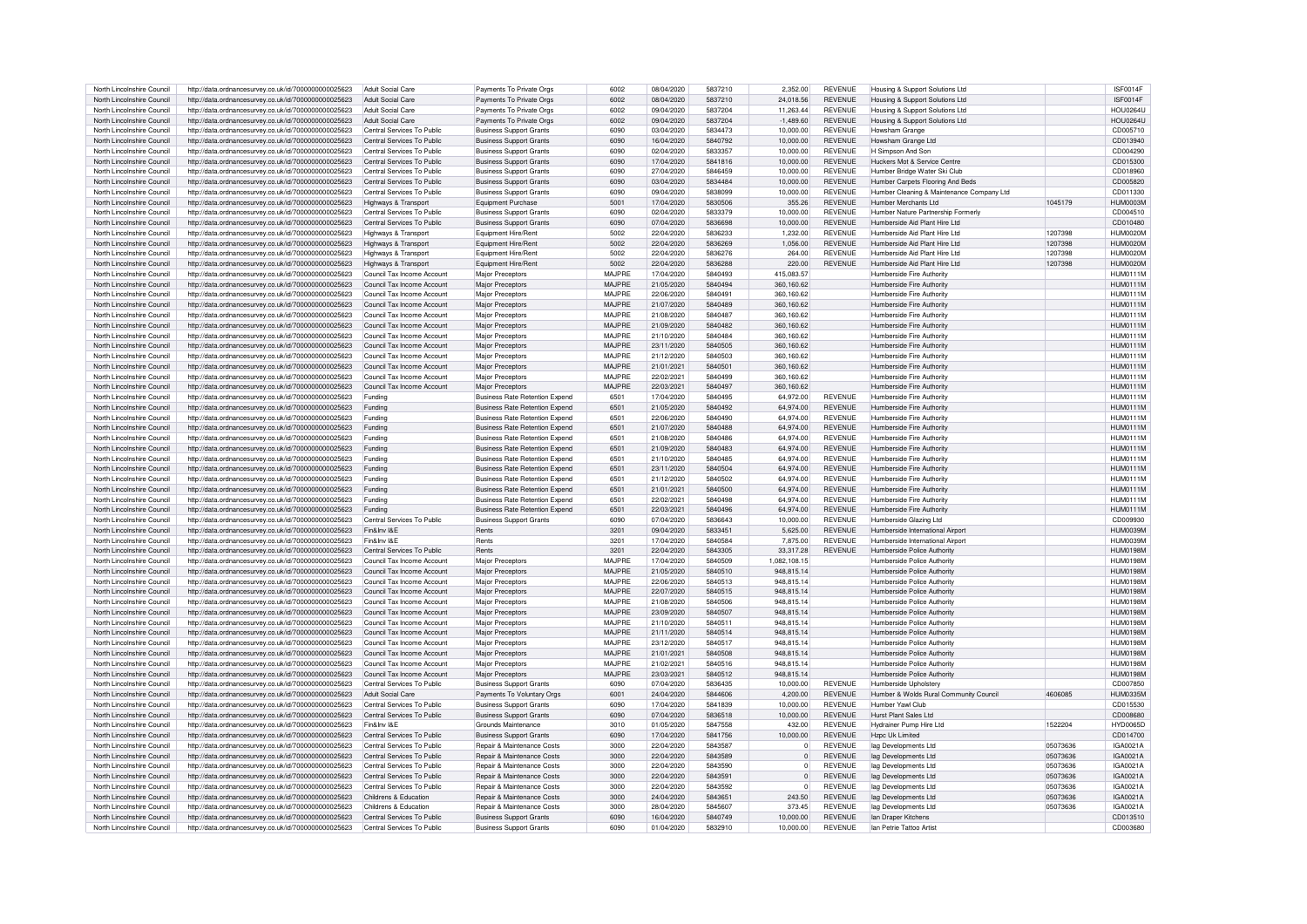| North Lincolnshire Council | http://data.ordnancesurvey.co.uk/id/7000000000025623 | Adult Social Care          | Payments To Private Orgs              | 6002    | 08/04/2020 | 5837210 | 2.352.00       | <b>REVENUE</b> | Housing & Support Solutions Ltd           |          | ISF0014F        |
|----------------------------|------------------------------------------------------|----------------------------|---------------------------------------|---------|------------|---------|----------------|----------------|-------------------------------------------|----------|-----------------|
| North Lincolnshire Council | http://data.ordnancesurvey.co.uk/id/7000000000025623 | Adult Social Care          | Payments To Private Orgs              | 6002    | 08/04/2020 | 5837210 | 24,018.56      | <b>REVENUE</b> | Housing & Support Solutions Ltd           |          | ISF0014F        |
| North Lincolnshire Council | http://data.ordnancesurvey.co.uk/id/7000000000025623 | Adult Social Care          | Payments To Private Orgs              | 6002    | 09/04/2020 | 5837204 | 11.263.44      | <b>REVENUE</b> | Housing & Support Solutions Ltd           |          | <b>HOU0264U</b> |
| North Lincolnshire Council | http://data.ordnancesurvey.co.uk/id/7000000000025623 | Adult Social Care          | Payments To Private Orgs              | 6002    | 09/04/2020 | 5837204 | $-1.489.60$    | <b>REVENUE</b> | Housing & Support Solutions Ltd           |          | <b>HOU0264U</b> |
| North Lincolnshire Council | http://data.ordnancesurvey.co.uk/id/7000000000025623 | Central Services To Public | <b>Business Support Grants</b>        | 6090    | 03/04/2020 | 5834473 | 10,000.00      | <b>REVENUE</b> | Howsham Grange                            |          | CD005710        |
| North Lincolnshire Council | http://data.ordnancesurvey.co.uk/id/7000000000025623 | Central Services To Public | <b>Business Support Grants</b>        | 6090    | 16/04/2020 | 5840792 | 10,000.00      | <b>REVENUE</b> | Howsham Grange Ltd                        |          | CD013940        |
| North Lincolnshire Council |                                                      |                            | <b>Business Support Grants</b>        | 6090    | 02/04/2020 | 5833357 | 10.000.00      | <b>REVENUE</b> | H Simpson And Son                         |          | CD004290        |
|                            | http://data.ordnancesurvey.co.uk/id/7000000000025623 | Central Services To Public |                                       |         |            |         |                |                |                                           |          |                 |
| North Lincolnshire Council | http://data.ordnancesurvey.co.uk/id/7000000000025623 | Central Services To Public | <b>Business Support Grants</b>        | 6090    | 17/04/2020 | 5841816 | 10,000.00      | <b>REVENUE</b> | Huckers Mot & Service Centre              |          | CD015300        |
| North Lincolnshire Council | http://data.ordnancesurvey.co.uk/id/7000000000025623 | Central Services To Public | <b>Business Support Grants</b>        | 6090    | 27/04/2020 | 5846459 | 10.000.00      | <b>REVENUE</b> | Humber Bridge Water Ski Club              |          | CD018960        |
| North Lincolnshire Council | http://data.ordnancesurvey.co.uk/id/7000000000025623 | Central Services To Public | <b>Business Support Grants</b>        | 6090    | 03/04/2020 | 5834484 | 10.000.00      | <b>REVENUE</b> | Humber Carpets Flooring And Beds          |          | CD005820        |
| North Lincolnshire Council | http://data.ordnancesurvey.co.uk/id/7000000000025623 | Central Services To Public | <b>Business Support Grants</b>        | 6090    | 09/04/2020 | 5838099 | 10.000.00      | <b>REVENUE</b> | Humber Cleaning & Maintenance Company Ltd |          | CD011330        |
| North Lincolnshire Council | http://data.ordnancesurvey.co.uk/id/7000000000025623 | Highways & Transport       | Equipment Purchase                    | 5001    | 17/04/2020 | 5830506 | 355.26         | <b>REVENUE</b> | Humber Merchants I td.                    | 1045179  | HUM0003M        |
| North Lincolnshire Council | http://data.ordnancesurvey.co.uk/id/7000000000025623 | Central Services To Public | <b>Business Support Grants</b>        | 6090    | 02/04/2020 | 5833379 | 10.000.00      | <b>REVENUE</b> | Humber Nature Partnership Formerly        |          | CD004510        |
| North Lincolnshire Council | http://data.ordnancesurvey.co.uk/id/7000000000025623 | Central Services To Public | <b>Business Support Grants</b>        | 6090    | 07/04/2020 | 5836698 | 10.000.00      | <b>REVENUE</b> | Humberside Aid Plant Hire Ltd             |          | CD010480        |
| North Lincolnshire Council | http://data.ordnancesurvey.co.uk/id/7000000000025623 | Highways & Transport       | Equipment Hire/Rent                   | 5002    | 22/04/2020 | 5836233 | 1.232.00       | <b>REVENUE</b> | Humberside Aid Plant Hire I td            | 1207398  | HUM0020M        |
| North Lincolnshire Council | http://data.ordnancesurvey.co.uk/id/7000000000025623 | Highways & Transport       | Equipment Hire/Rent                   | 5002    | 22/04/2020 | 5836269 | 1.056.00       | <b>REVENUE</b> | Humberside Aid Plant Hire I td            | 1207398  | HUM0020M        |
|                            |                                                      |                            |                                       |         |            |         |                |                |                                           |          |                 |
| North Lincolnshire Council | http://data.ordnancesurvey.co.uk/id/7000000000025623 | Highways & Transport       | Equipment Hire/Rent                   | 5002    | 22/04/2020 | 5836276 | 264.00         | REVENUE        | Humberside Aid Plant Hire Ltd             | 1207398  | HUM0020M        |
| North Lincolnshire Council | http://data.ordnancesurvey.co.uk/id/7000000000025623 | Highways & Transport       | Equipment Hire/Rent                   | 5002    | 22/04/2020 | 5836288 | 220.00         | <b>REVENUE</b> | Humberside Aid Plant Hire I td            | 1207398  | HUM0020M        |
| North Lincolnshire Council | http://data.ordnancesurvey.co.uk/id/7000000000025623 | Council Tax Income Account | Major Preceptors                      | MAJPRE  | 17/04/2020 | 5840493 | 415.083.57     |                | Humberside Fire Authority                 |          | <b>HUM0111M</b> |
| North Lincolnshire Council | http://data.ordnancesurvey.co.uk/id/7000000000025623 | Council Tax Income Account | Major Preceptors                      | MA.IPRE | 21/05/2020 | 5840494 | 360,160.62     |                | Humberside Fire Authority                 |          | <b>HUM0111M</b> |
| North Lincolnshire Council | http://data.ordnancesurvey.co.uk/id/7000000000025623 | Council Tax Income Account | Major Preceptors                      | MAJPRE  | 22/06/2020 | 5840491 | 360.160.62     |                | Humberside Fire Authority                 |          | <b>HUM0111M</b> |
| North Lincolnshire Council | http://data.ordnancesurvey.co.uk/id/7000000000025623 | Council Tax Income Account | Major Preceptors                      | MAJPRE  | 21/07/2020 | 5840489 | 360,160.62     |                | Humberside Fire Authority                 |          | <b>HUM0111M</b> |
| North Lincolnshire Council | http://data.ordnancesurvey.co.uk/id/7000000000025623 | Council Tax Income Account | Major Preceptors                      | MAJPRE  | 21/08/2020 | 5840487 | 360,160.62     |                | Humberside Fire Authority                 |          | <b>HUM0111M</b> |
| North Lincolnshire Council | http://data.ordnancesurvey.co.uk/id/7000000000025623 | Council Tax Income Account | <b>Major Preceptors</b>               | MAJPRE  | 21/09/2020 | 5840482 | 360,160.62     |                | Humberside Fire Authority                 |          | <b>HUM0111M</b> |
| North Lincolnshire Council | http://data.ordnancesurvey.co.uk/id/7000000000025623 | Council Tax Income Account | Major Preceptors                      | MAJPRF  | 21/10/2020 | 5840484 | 360.160.62     |                | Humberside Fire Authority                 |          | <b>HUM0111M</b> |
|                            |                                                      |                            |                                       |         |            |         |                |                |                                           |          |                 |
| North Lincolnshire Council | http://data.ordnancesurvey.co.uk/id/7000000000025623 | Council Tax Income Account | <b>Maior Preceptors</b>               | MAJPRE  | 23/11/2020 | 5840505 | 360,160.62     |                | Humberside Fire Authority                 |          | <b>HUM0111M</b> |
| North Lincolnshire Council | http://data.ordnancesurvey.co.uk/id/7000000000025623 | Council Tax Income Account | Major Preceptors                      | MAJPRE  | 21/12/2020 | 5840503 | 360,160.62     |                | Humberside Fire Authority                 |          | <b>HUM0111M</b> |
| North Lincolnshire Council | http://data.ordnancesurvey.co.uk/id/7000000000025623 | Council Tax Income Account | Major Preceptors                      | MAJPRE  | 21/01/2021 | 5840501 | 360.160.62     |                | Humberside Fire Authority                 |          | <b>HUM0111M</b> |
| North Lincolnshire Council | http://data.ordnancesurvey.co.uk/id/7000000000025623 | Council Tax Income Account | Maior Preceptors                      | MAJPRE  | 22/02/2021 | 5840499 | 360.160.62     |                | Humberside Fire Authority                 |          | <b>HUM0111M</b> |
| North Lincolnshire Council | http://data.ordnancesurvey.co.uk/id/7000000000025623 | Council Tax Income Account | <b>Major Preceptors</b>               | MAJPRE  | 22/03/2021 | 5840497 | 360,160.62     |                | Humberside Fire Authority                 |          | <b>HUM0111M</b> |
| North Lincolnshire Council | http://data.ordnancesurvey.co.uk/id/7000000000025623 | Funding                    | Business Rate Retention Expend        | 6501    | 17/04/2020 | 5840495 | 64.972.00      | <b>REVENUE</b> | Humberside Fire Authority                 |          | <b>HUM0111M</b> |
| North Lincolnshire Council | http://data.ordnancesurvey.co.uk/id/7000000000025623 | Funding                    | Business Rate Retention Expend        | 6501    | 21/05/2020 | 5840492 | 64.974.00      | <b>REVENUE</b> | Humberside Fire Authority                 |          | <b>HUM0111M</b> |
| North Lincolnshire Council | http://data.ordnancesurvey.co.uk/id/7000000000025623 | Funding                    | Business Rate Retention Expend        | 6501    | 22/06/2020 | 5840490 | 64,974.00      | <b>REVENUE</b> | Humberside Fire Authority                 |          | <b>HUM0111M</b> |
| North Lincolnshire Council | http://data.ordnancesurvey.co.uk/id/7000000000025623 | Funding                    | Business Rate Retention Expend        | 6501    | 21/07/2020 | 5840488 | 64,974.00      | <b>REVENUE</b> | Humberside Fire Authority                 |          | <b>HUM0111M</b> |
| North Lincolnshire Council |                                                      | Funding                    | Business Rate Retention Expend        | 6501    | 21/08/2020 | 5840486 | 64.974.00      | <b>REVENUE</b> | Humberside Fire Authority                 |          | <b>HUM0111M</b> |
|                            | http://data.ordnancesurvey.co.uk/id/7000000000025623 |                            |                                       |         |            |         |                |                |                                           |          |                 |
| North Lincolnshire Council | http://data.ordnancesurvey.co.uk/id/7000000000025623 | Funding                    | Business Rate Retention Expend        | 6501    | 21/09/2020 | 5840483 | 64,974.00      | <b>REVENUE</b> | Humberside Fire Authority                 |          | <b>HUM0111M</b> |
| North Lincolnshire Council | http://data.ordnancesurvey.co.uk/id/7000000000025623 | Funding                    | Business Rate Retention Expend        | 6501    | 21/10/2020 | 5840485 | 64.974.00      | <b>REVENUE</b> | Humberside Fire Authority                 |          | <b>HUM0111M</b> |
| North Lincolnshire Council | http://data.ordnancesurvey.co.uk/id/7000000000025623 | Funding                    | Business Rate Retention Expend        | 6501    | 23/11/2020 | 5840504 | 64,974.00      | <b>REVENUE</b> | Humberside Fire Authority                 |          | <b>HUM0111M</b> |
| North Lincolnshire Council | http://data.ordnancesurvev.co.uk/id/7000000000025623 | Funding                    | Business Rate Retention Expend        | 6501    | 21/12/2020 | 5840502 | 64,974.00      | <b>REVENUE</b> | Humberside Fire Authority                 |          | <b>HUM0111M</b> |
| North Lincolnshire Council | http://data.ordnancesurvey.co.uk/id/7000000000025623 | Funding                    | <b>Business Rate Retention Expend</b> | 6501    | 21/01/2021 | 5840500 | 64.974.00      | <b>REVENUE</b> | Humberside Fire Authority                 |          | <b>HUM0111M</b> |
| North Lincolnshire Council | http://data.ordnancesurvey.co.uk/id/7000000000025623 | Funding                    | <b>Business Bate Betention Expend</b> | 6501    | 22/02/2021 | 5840498 | 64.974.00      | <b>REVENUE</b> | Humberside Fire Authority                 |          | <b>HUM0111M</b> |
| North Lincolnshire Council | http://data.ordnancesurvey.co.uk/id/7000000000025623 | Funding                    | Business Rate Retention Expend        | 6501    | 22/03/2021 | 5840496 | 64.974.00      | <b>REVENUE</b> | Humberside Fire Authority                 |          | <b>HUM0111M</b> |
| North Lincolnshire Council | http://data.ordnancesurvey.co.uk/id/7000000000025623 | Central Services To Public | <b>Business Support Grants</b>        | 6090    | 07/04/2020 | 5836643 | 10.000.00      | REVENUE        | Humberside Glazing Ltd                    |          | CD009930        |
| North Lincolnshire Council | http://data.ordnancesurvey.co.uk/id/7000000000025623 | Fin&Inv I&F                | Rents                                 | 3201    | 09/04/2020 | 5833451 | 5.625.00       | <b>REVENUE</b> | Humberside International Airport          |          | HUM0039M        |
|                            |                                                      | Fin&Inv I&F                |                                       |         |            |         |                |                |                                           |          |                 |
| North Lincolnshire Council | http://data.ordnancesurvey.co.uk/id/7000000000025623 |                            | Rents                                 | 3201    | 17/04/2020 | 5840584 | 7,875.00       | <b>REVENUE</b> | Humberside International Airport          |          | HUM0039M        |
| North Lincolnshire Council | http://data.ordnancesurvey.co.uk/id/7000000000025623 | Central Services To Public | Rents                                 | 3201    | 22/04/2020 | 5843305 | 33.317.28      | <b>REVENUE</b> | Humberside Police Authority               |          | <b>HUM0198M</b> |
| North Lincolnshire Council | http://data.ordnancesurvev.co.uk/id/7000000000025623 | Council Tax Income Accoun  | Maior Preceptors                      | MAJPRE  | 17/04/2020 | 5840509 | 1.082.108.15   |                | Humberside Police Authority               |          | <b>HUM0198M</b> |
| North Lincolnshire Council | http://data.ordnancesurvey.co.uk/id/7000000000025623 | Council Tax Income Account | Major Preceptors                      | MAJPRF  | 21/05/2020 | 5840510 | 948,815.14     |                | Humberside Police Authority               |          | <b>HUM0198M</b> |
| North Lincolnshire Council | http://data.ordnancesurvey.co.uk/id/7000000000025623 | Council Tax Income Account | Major Preceptors                      | MAJPRF  | 22/06/2020 | 5840513 | 948.815.14     |                | Humberside Police Authority               |          | <b>HUM0198M</b> |
| North Lincolnshire Council | http://data.ordnancesurvey.co.uk/id/7000000000025623 | Council Tax Income Account | Maior Preceptors                      | MAJPRE  | 22/07/2020 | 5840515 | 948,815.14     |                | Humberside Police Authority               |          | <b>HUM0198M</b> |
| North Lincolnshire Council | http://data.ordnancesurvey.co.uk/id/7000000000025623 | Council Tax Income Account | Major Preceptors                      | MAJPRF  | 21/08/2020 | 5840506 | 948.815.14     |                | Humberside Police Authority               |          | HUM0198M        |
| North Lincolnshire Council | http://data.ordnancesurvey.co.uk/id/7000000000025623 | Council Tax Income Account | Major Preceptors                      | MAJPRE  | 23/09/2020 | 5840507 | 948.815.14     |                | Humberside Police Authority               |          | HUM0198M        |
| North Lincolnshire Council | http://data.ordnancesurvey.co.uk/id/7000000000025623 | Council Tax Income Account | Maior Preceptors                      | MAJPRF  | 21/10/2020 | 5840511 | 948.815.14     |                | Humberside Police Authority               |          | HUM0198M        |
| North Lincolnshire Council | http://data.ordnancesurvey.co.uk/id/7000000000025623 | Council Tax Income Account | <b>Major Preceptors</b>               | MA.IPRE | 21/11/2020 | 5840514 | 948.815.14     |                | Humberside Police Authority               |          | <b>HUM0198M</b> |
| North Lincolnshire Council |                                                      |                            |                                       | MAJPRE  |            |         | 948.815.14     |                | Humberside Police Authority               |          | <b>HUM0198M</b> |
|                            | http://data.ordnancesurvey.co.uk/id/7000000000025623 | Council Tax Income Account | Major Preceptors                      |         | 23/12/2020 | 5840517 |                |                |                                           |          |                 |
| North Lincolnshire Council | http://data.ordnancesurvey.co.uk/id/7000000000025623 | Council Tax Income Account | Maior Preceptors                      | MAJPRE  | 21/01/2021 | 5840508 | 948,815.14     |                | Humberside Police Authority               |          | <b>HUM0198M</b> |
| North Lincolnshire Council | http://data.ordnancesurvey.co.uk/id/7000000000025623 | Council Tax Income Account | Maior Preceptors                      | MAJPRF  | 21/02/2021 | 5840516 | 948,815.14     |                | Humberside Police Authority               |          | <b>HUM0198M</b> |
| North Lincolnshire Council | http://data.ordnancesurvey.co.uk/id/7000000000025623 | Council Tax Income Account | Major Preceptors                      | MAJPRF  | 23/03/2021 | 5840512 | 948.815.14     |                | Humberside Police Authority               |          | HUM0198M        |
| North Lincolnshire Council | http://data.ordnancesurvey.co.uk/id/7000000000025623 | Central Services To Public | <b>Business Support Grants</b>        | 6090    | 07/04/2020 | 5836435 | 10.000.00      | REVENUE        | Humberside Upholstery                     |          | CD007850        |
| North Lincolnshire Council | http://data.ordnancesurvey.co.uk/id/7000000000025623 | <b>Adult Social Care</b>   | Payments To Voluntary Orgs            | 6001    | 24/04/2020 | 5844606 | 4,200.00       | <b>REVENUE</b> | Humber & Wolds Rural Community Council    | 4606085  | <b>HUM0335M</b> |
| North Lincolnshire Council | http://data.ordnancesurvey.co.uk/id/7000000000025623 | Central Services To Public | <b>Business Support Grants</b>        | 6090    | 17/04/2020 | 5841839 | 10.000.00      | <b>REVENUE</b> | Humber Yawl Club                          |          | CD015530        |
| North Lincolnshire Council | http://data.ordnancesurvey.co.uk/id/7000000000025623 | Central Services To Public | <b>Business Support Grants</b>        | 6090    | 07/04/2020 | 5836518 | 10.000.00      | <b>REVENUE</b> | Hurst Plant Sales Ltd                     |          | CD008680        |
| North Lincolnshire Council | http://data.ordnancesurvey.co.uk/id/7000000000025623 | Fin&Inv I&F                | Grounds Maintenance                   | 3010    | 01/05/2020 | 5847558 | 432.00         | <b>REVENUE</b> | Hydrainer Pump Hire Ltd                   | 1522204  | HYD0065D        |
| North Lincolnshire Council | http://data.ordnancesurvey.co.uk/id/7000000000025623 | Central Services To Public | <b>Business Support Grants</b>        | 6090    | 17/04/2020 | 5841756 | 10.000.00      | <b>REVENUE</b> | Hzpc Uk Limited                           |          | CD014700        |
|                            |                                                      |                            |                                       | 3000    | 22/04/2020 | 5843587 |                |                |                                           | 05073636 | IGA0021A        |
| North Lincolnshire Council | http://data.ordnancesurvey.co.uk/id/7000000000025623 | Central Services To Public | Repair & Maintenance Costs            |         |            |         | $\overline{0}$ | REVENUE        | lag Developments Ltd                      |          |                 |
| North Lincolnshire Council | http://data.ordnancesurvey.co.uk/id/7000000000025623 | Central Services To Public | Repair & Maintenance Costs            | 3000    | 22/04/2020 | 5843589 | $\overline{0}$ | <b>REVENUE</b> | lag Developments Ltd                      | 05073636 | IGA0021A        |
| North Lincolnshire Council | http://data.ordnancesurvey.co.uk/id/7000000000025623 | Central Services To Public | Repair & Maintenance Costs            | 3000    | 22/04/2020 | 5843590 | $\overline{0}$ | REVENUE        | lag Developments Ltd                      | 05073636 | IGA0021A        |
| North Lincolnshire Council | http://data.ordnancesurvey.co.uk/id/7000000000025623 | Central Services To Public | Repair & Maintenance Costs            | 3000    | 22/04/2020 | 5843591 | $\overline{0}$ | <b>REVENUE</b> | lag Developments Ltd                      | 05073636 | IGA0021A        |
| North Lincolnshire Council | http://data.ordnancesurvev.co.uk/id/7000000000025623 | Central Services To Public | Repair & Maintenance Costs            | 3000    | 22/04/2020 | 5843592 | $\overline{0}$ | <b>REVENUE</b> | lag Developments Ltd                      | 05073636 | IGA0021A        |
| North Lincolnshire Council | http://data.ordnancesurvey.co.uk/id/7000000000025623 | Childrens & Education      | Repair & Maintenance Costs            | 3000    | 24/04/2020 | 5843651 | 243.50         | <b>REVENUE</b> | lag Developments Ltd                      | 05073636 | IGA0021A        |
| North Lincolnshire Council | http://data.ordnancesurvey.co.uk/id/7000000000025623 | Childrens & Education      | Repair & Maintenance Costs            | 3000    | 28/04/2020 | 5845607 | 373.45         | <b>REVENUE</b> | lag Developments Ltd                      | 05073636 | IGA0021A        |
| North Lincolnshire Council | http://data.ordnancesurvey.co.uk/id/7000000000025623 | Central Services To Public | <b>Business Support Grants</b>        | 6090    | 16/04/2020 | 5840749 | 10,000.00      | <b>REVENUE</b> | lan Draper Kitchens                       |          | CD013510        |
| North Lincolnshire Council | http://data.ordnancesurvey.co.uk/id/7000000000025623 | Central Services To Public | <b>Business Support Grants</b>        | 6090    | 01/04/2020 | 5832910 | 10.000.00      | <b>REVENUE</b> | Ian Petrie Tattoo Artist                  |          | CD003680        |
|                            |                                                      |                            |                                       |         |            |         |                |                |                                           |          |                 |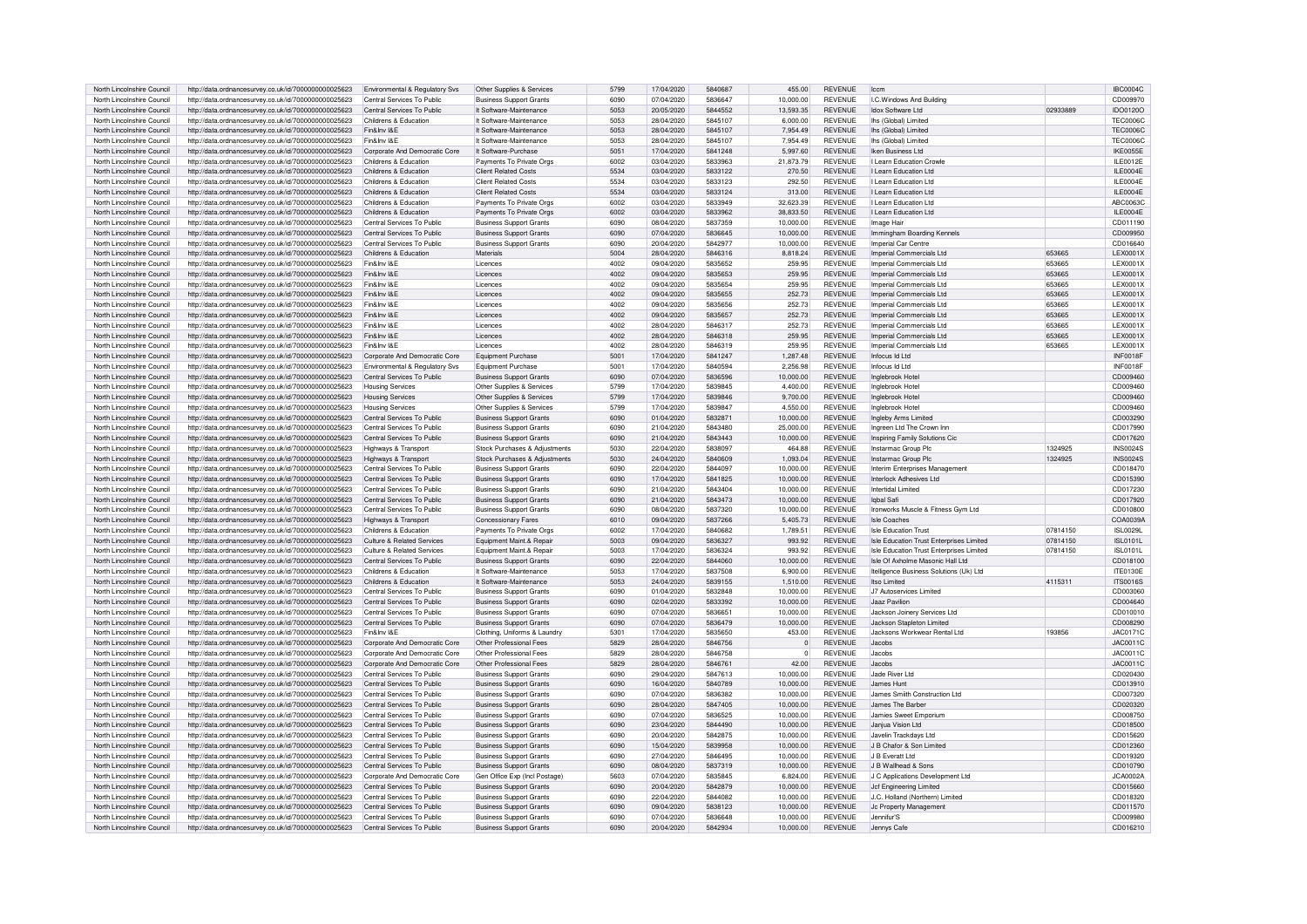| North Lincolnshire Council | http://data.ordnancesurvey.co.uk/id/7000000000025623 | Environmental & Regulatory Svs  | Other Supplies & Services      | 5799 | 17/04/2020 | 5840687 | 455.00       | <b>REVENUE</b> | Iccn                                     |          | <b>IBC0004C</b>  |
|----------------------------|------------------------------------------------------|---------------------------------|--------------------------------|------|------------|---------|--------------|----------------|------------------------------------------|----------|------------------|
| North Lincolnshire Council | http://data.ordnancesurvey.co.uk/id/7000000000025623 | Central Services To Public      | <b>Business Support Grants</b> | 6090 | 07/04/2020 | 5836647 | 10.000.00    | <b>REVENUE</b> | I.C.Windows And Building                 |          | CD009970         |
| North Lincolnshire Council | http://data.ordnancesurvey.co.uk/id/7000000000025623 | Central Services To Public      | It Software-Maintenance        | 5053 | 20/05/2020 | 5844552 | 13.593.35    | <b>REVENUE</b> | Idox Software Ltd                        | 02933889 | IDO0120O         |
|                            |                                                      |                                 |                                |      |            |         |              |                |                                          |          |                  |
| North Lincolnshire Council | http://data.ordnancesurvey.co.uk/id/7000000000025623 | Childrens & Education           | It Software-Maintenance        | 5053 | 28/04/2020 | 5845107 | 6,000.00     | <b>REVENUE</b> | lhs (Global) Limited                     |          | <b>TEC0006C</b>  |
| North Lincolnshire Council | http://data.ordnancesurvey.co.uk/id/7000000000025623 | Fin&Inv I&F                     | It Software-Maintenance        | 5053 | 28/04/2020 | 5845107 | 7.954.49     | <b>REVENUE</b> | lhs (Global) Limited                     |          | <b>TEC0006C</b>  |
| North Lincolnshire Council | http://data.ordnancesurvey.co.uk/id/7000000000025623 | Fin&Inv I&F                     | It Software-Maintenance        | 5053 | 28/04/2020 | 5845107 | 7.954.49     | <b>REVENUE</b> | lhs (Global) Limited                     |          | TEC00060         |
| North Lincolnshire Council | http://data.ordnancesurvey.co.uk/id/7000000000025623 | Corporate And Democratic Core   | It Software-Purchase           | 5051 | 17/04/2020 | 5841248 | 5,997.60     | <b>REVENUE</b> | Iken Business Ltd                        |          | IKE0055E         |
| North Lincolnshire Council | http://data.ordnancesurvey.co.uk/id/7000000000025623 | Childrens & Education           | Payments To Private Orgs       | 6002 | 03/04/2020 | 5833963 | 21,873.79    | <b>REVENUE</b> | <b>I Learn Education Crowle</b>          |          | <b>II F0012F</b> |
| North Lincolnshire Council | http://data.ordnancesurvey.co.uk/id/7000000000025623 | Childrens & Education           | <b>Client Related Costs</b>    | 5534 | 03/04/2020 | 5833122 | 270.50       | <b>REVENUE</b> | I Learn Education Ltd                    |          | ILE0004E         |
|                            |                                                      |                                 |                                |      |            |         |              |                |                                          |          |                  |
| North Lincolnshire Council | http://data.ordnancesurvey.co.uk/id/7000000000025623 | Childrens & Education           | <b>Client Related Costs</b>    | 5534 | 03/04/2020 | 5833123 | 292.50       | <b>REVENUE</b> | I Learn Education Ltd                    |          | ILE0004E         |
| North Lincolnshire Council | http://data.ordnancesurvey.co.uk/id/7000000000025623 | Childrens & Education           | <b>Client Related Costs</b>    | 5534 | 03/04/2020 | 5833124 | 313.00       | <b>REVENUE</b> | I Learn Education Ltd                    |          | ILE0004E         |
| North Lincolnshire Council | http://data.ordnancesurvey.co.uk/id/7000000000025623 | Childrens & Education           | Payments To Private Orgs       | 6002 | 03/04/2020 | 5833949 | 32.623.39    | <b>REVENUE</b> | I Learn Education Ltd                    |          | ABC00630         |
| North Lincolnshire Council | http://data.ordnancesurvey.co.uk/id/7000000000025623 | Childrens & Education           | Payments To Private Orgs       | 6002 | 03/04/2020 | 5833962 | 38.833.50    | <b>REVENUE</b> | I Learn Education Ltd                    |          | ILE0004E         |
| North Lincolnshire Council | http://data.ordnancesurvey.co.uk/id/7000000000025623 | Central Services To Public      | <b>Business Support Grants</b> | 6090 | 08/04/2020 | 5837359 | 10,000.00    | <b>REVENUE</b> | Image Hair                               |          | CD011190         |
| North Lincolnshire Council | http://data.ordnancesurvey.co.uk/id/7000000000025623 | Central Services To Public      | <b>Business Support Grants</b> | 6090 | 07/04/2020 | 5836645 | 10.000.00    | <b>REVENUE</b> | Immingham Boarding Kennels               |          | CD009950         |
| North Lincolnshire Council | http://data.ordnancesurvey.co.uk/id/7000000000025623 | Central Services To Public      | <b>Business Support Grants</b> | 6090 | 20/04/2020 | 5842977 | 10.000.00    | <b>REVENUE</b> | Imperial Car Centre                      |          | CD016640         |
|                            |                                                      |                                 |                                |      |            |         |              |                |                                          |          |                  |
| North Lincolnshire Council | http://data.ordnancesurvey.co.uk/id/7000000000025623 | Childrens & Education           | Materials                      | 5004 | 28/04/2020 | 5846316 | 8.818.24     | <b>REVENUE</b> | Imperial Commercials Ltd                 | 653665   | LEX0001X         |
| North Lincolnshire Council | http://data.ordnancesurvey.co.uk/id/7000000000025623 | Fin&Inv I&F                     | Licences                       | 4002 | 09/04/2020 | 5835652 | 259.95       | <b>REVENUE</b> | Imperial Commercials Ltd                 | 653665   | <b>I FX0001X</b> |
| North Lincolnshire Council | http://data.ordnancesurvey.co.uk/id/7000000000025623 | Fin&Inv I&F                     | Licences                       | 4002 | 09/04/2020 | 5835653 | 259.95       | <b>REVENUE</b> | Imperial Commercials Ltd                 | 653665   | LEX0001X         |
| North Lincolnshire Council | http://data.ordnancesurvey.co.uk/id/7000000000025623 | Fin&Inv I&F                     | Licences                       | 4002 | 09/04/2020 | 5835654 | 259.95       | <b>REVENUE</b> | Imperial Commercials Ltd                 | 653665   | <b>I FX0001X</b> |
| North Lincolnshire Council | http://data.ordnancesurvey.co.uk/id/7000000000025623 | Fin&Inv I&E                     | Licences                       | 4002 | 09/04/2020 | 5835655 | 252.73       | <b>REVENUE</b> | Imperial Commercials Ltd                 | 653665   | LEX0001X         |
| North Lincolnshire Council |                                                      | Fin&Inv I&E                     | Licences                       | 4002 | 09/04/2020 | 5835656 | 252.73       | <b>REVENUE</b> | Imperial Commercials Ltd                 | 653665   | LEX0001X         |
|                            | http://data.ordnancesurvey.co.uk/id/7000000000025623 |                                 |                                |      |            |         |              |                |                                          |          |                  |
| North Lincolnshire Council | http://data.ordnancesurvey.co.uk/id/7000000000025623 | Fin&Inv I&F                     | Licences                       | 4002 | 09/04/2020 | 5835657 | 252.73       | <b>REVENUE</b> | Imperial Commercials Ltd                 | 653665   | LEX0001X         |
| North Lincolnshire Council | http://data.ordnancesurvey.co.uk/id/7000000000025623 | Fin&Inv I&F                     | Licences                       | 4002 | 28/04/2020 | 5846317 | 252.73       | <b>REVENUE</b> | Imperial Commercials Ltd                 | 653665   | <b>LEX0001X</b>  |
| North Lincolnshire Council | http://data.ordnancesurvey.co.uk/id/7000000000025623 | Fin&Inv I&E                     | Licences                       | 4002 | 28/04/2020 | 5846318 | 259.95       | <b>REVENUE</b> | Imperial Commercials Ltd                 | 653665   | LEX0001X         |
| North Lincolnshire Council | http://data.ordnancesurvey.co.uk/id/7000000000025623 | Fin&Inv I&F                     | Licences                       | 4002 | 28/04/2020 | 5846319 | 259.95       | <b>REVENUE</b> | Imperial Commercials Ltd                 | 653665   | <b>I FX0001X</b> |
| North Lincolnshire Council | http://data.ordnancesurvey.co.uk/id/7000000000025623 | Corporate And Democratic Core   | Equipment Purchase             | 5001 | 17/04/2020 | 5841247 | 1.287.48     | <b>REVENUE</b> | Infocus Id I td                          |          | INF0018F         |
| North Lincolnshire Council | http://data.ordnancesurvey.co.uk/id/7000000000025623 | Environmental & Regulatory Svs  | Equipment Purchase             | 5001 | 17/04/2020 | 5840594 | 2.256.98     | <b>REVENUE</b> | Infocus Id I to                          |          | INF0018F         |
|                            |                                                      |                                 |                                |      |            | 5836596 |              |                |                                          |          |                  |
| North Lincolnshire Council | http://data.ordnancesurvey.co.uk/id/7000000000025623 | Central Services To Public      | <b>Business Support Grants</b> | 6090 | 07/04/2020 |         | 10,000.00    | <b>REVENUE</b> | Inglebrook Hote                          |          | CD009460         |
| North Lincolnshire Council | http://data.ordnancesurvey.co.uk/id/7000000000025623 | <b>Housing Services</b>         | Other Supplies & Services      | 5799 | 17/04/2020 | 5839845 | 4,400.00     | <b>REVENUE</b> | Inglebrook Hote                          |          | CD009460         |
| North Lincolnshire Council | http://data.ordnancesurvey.co.uk/id/7000000000025623 | <b>Housing Services</b>         | Other Supplies & Service       | 5799 | 17/04/2020 | 5839846 | 9.700.00     | <b>REVENUE</b> | Inglebrook Hote                          |          | CD009460         |
| North Lincolnshire Council | http://data.ordnancesurvey.co.uk/id/7000000000025623 | <b>Housing Services</b>         | Other Supplies & Services      | 5799 | 17/04/2020 | 5839847 | 4,550.00     | <b>REVENUE</b> | Inglebrook Hote                          |          | CD009460         |
| North Lincolnshire Council | http://data.ordnancesurvey.co.uk/id/7000000000025623 | Central Services To Public      | <b>Business Support Grants</b> | 6090 | 01/04/2020 | 5832871 | 10.000.00    | <b>REVENUE</b> | Ingleby Arms Limited                     |          | CD003290         |
| North Lincolnshire Council | http://data.ordnancesurvey.co.uk/id/7000000000025623 | Central Services To Public      | <b>Business Support Grants</b> | 6090 | 21/04/2020 | 5843480 | 25,000.00    | <b>REVENUE</b> | Ingreen Ltd The Crown Inn                |          | CD017990         |
|                            |                                                      |                                 |                                | 6090 |            | 5843443 |              |                |                                          |          |                  |
| North Lincolnshire Council | http://data.ordnancesurvey.co.uk/id/7000000000025623 | Central Services To Public      | <b>Business Support Grants</b> |      | 21/04/2020 |         | 10,000.00    | <b>REVENUE</b> | Inspiring Family Solutions Cic           |          | CD017620         |
| North Lincolnshire Council | http://data.ordnancesurvey.co.uk/id/7000000000025623 | <b>Highways &amp; Transport</b> | Stock Purchases & Adjustments  | 5030 | 22/04/2020 | 5838097 | 464.88       | <b>REVENUE</b> | Instarmac Group Plo                      | 1324925  | <b>INS0024S</b>  |
| North Lincolnshire Council | http://data.ordnancesurvey.co.uk/id/7000000000025623 | Highways & Transport            | Stock Purchases & Adjustments  | 5030 | 24/04/2020 | 5840609 | 1.093.04     | <b>REVENUE</b> | Instarmac Group Pk                       | 1324925  | <b>INS0024S</b>  |
| North Lincolnshire Council | http://data.ordnancesurvey.co.uk/id/7000000000025623 | Central Services To Public      | <b>Business Support Grants</b> | 6090 | 22/04/2020 | 5844097 | 10,000.00    | <b>REVENUE</b> | Interim Enterprises Management           |          | CD018470         |
| North Lincolnshire Council | http://data.ordnancesurvey.co.uk/id/7000000000025623 | Central Services To Public      | <b>Business Support Grants</b> | 6090 | 17/04/2020 | 5841825 | 10.000.00    | <b>REVENUE</b> | Interlock Adhesives I to                 |          | CD015390         |
| North Lincolnshire Council | http://data.ordnancesurvey.co.uk/id/7000000000025623 | Central Services To Public      | <b>Business Support Grants</b> | 6090 | 21/04/2020 | 5843404 | 10,000.00    | <b>REVENUE</b> | Intertidal Limited                       |          | CD017230         |
|                            |                                                      |                                 |                                |      |            |         |              |                |                                          |          |                  |
| North Lincolnshire Council | http://data.ordnancesurvey.co.uk/id/7000000000025623 | Central Services To Public      | <b>Business Support Grants</b> | 6090 | 21/04/2020 | 5843473 | 10,000.00    | <b>REVENUE</b> | Inhal Safi                               |          | CD017920         |
| North Lincolnshire Council | http://data.ordnancesurvey.co.uk/id/7000000000025623 | Central Services To Public      | <b>Business Support Grants</b> | 6090 | 08/04/2020 | 5837320 | 10.000.00    | <b>REVENUE</b> | Ironworks Muscle & Fitness Gym Ltd       |          | CD010800         |
| North Lincolnshire Council | http://data.ordnancesurvey.co.uk/id/7000000000025623 | Highways & Transport            | Concessionary Fares            | 6010 | 09/04/2020 | 5837266 | 5.405.73     | <b>REVENUE</b> | Isle Coaches                             |          | COA0039A         |
| North Lincolnshire Council | http://data.ordnancesurvey.co.uk/id/7000000000025623 | Childrens & Education           | Payments To Private Orgs       | 6002 | 17/04/2020 | 5840682 | 1.789.51     | <b>REVENUE</b> | <b>Isle Education Trust</b>              | 07814150 | <b>ISL0029L</b>  |
| North Lincolnshire Council | http://data.ordnancesurvey.co.uk/id/7000000000025623 | Culture & Related Services      | Equipment Maint.& Repair       | 5003 | 09/04/2020 | 5836327 | 993.92       | <b>REVENUE</b> | Isle Education Trust Enterprises Limited | 07814150 | ISI 01011        |
| North Lincolnshire Council | http://data.ordnancesurvey.co.uk/id/7000000000025623 | Culture & Related Services      | Equipment Maint.& Repair       | 5003 | 17/04/2020 | 5836324 | 993.92       | <b>REVENUE</b> | Isle Education Trust Enterprises Limited | 07814150 | <b>ISL0101L</b>  |
|                            |                                                      |                                 |                                | 6090 |            |         |              |                |                                          |          |                  |
| North Lincolnshire Council | http://data.ordnancesurvey.co.uk/id/7000000000025623 | Central Services To Public      | <b>Business Support Grants</b> |      | 22/04/2020 | 5844060 | 10,000.00    | <b>REVENUE</b> | Isle Of Axholme Masonic Hall Ltd         |          | CD018100         |
| North Lincolnshire Council | http://data.ordnancesurvey.co.uk/id/7000000000025623 | Childrens & Education           | It Software-Maintenance        | 5053 | 17/04/2020 | 5837508 | 6.900.00     | <b>REVENUE</b> | Itelligence Business Solutions (Uk) Ltd  |          | <b>ITE0130E</b>  |
| North Lincolnshire Council | http://data.ordnancesurvey.co.uk/id/7000000000025623 | Childrens & Education           | It Software-Maintenance        | 5053 | 24/04/2020 | 5839155 | 1.510.00     | <b>REVENUE</b> | Itso Limited                             | 4115311  | <b>ITS0016S</b>  |
| North Lincolnshire Council | http://data.ordnancesurvey.co.uk/id/7000000000025623 | Central Services To Public      | <b>Business Support Grants</b> | 6090 | 01/04/2020 | 5832848 | 10,000.00    | <b>REVENUE</b> | J7 Autoservices Limited                  |          | CD003060         |
| North Lincolnshire Council | http://data.ordnancesurvey.co.uk/id/7000000000025623 | Central Services To Public      | <b>Business Support Grants</b> | 6090 | 02/04/2020 | 5833392 | 10,000.00    | <b>REVENUE</b> | Jaaz Pavilion                            |          | CD004640         |
| North Lincolnshire Council | http://data.ordnancesurvey.co.uk/id/7000000000025623 | Central Services To Public      | <b>Business Support Grants</b> | 6090 | 07/04/2020 | 5836651 | 10.000.00    | <b>REVENUE</b> | Jackson Joinery Services Ltd             |          | CD010010         |
| North Lincolnshire Council | http://data.ordnancesurvey.co.uk/id/7000000000025623 | Central Services To Public      | <b>Business Support Grants</b> | 6090 | 07/04/2020 | 5836479 | 10,000.00    | <b>REVENUE</b> | Jackson Stapleton Limited                |          | CD008290         |
|                            |                                                      |                                 |                                |      |            |         |              |                |                                          | 193856   |                  |
| North Lincolnshire Council | http://data.ordnancesurvey.co.uk/id/7000000000025623 | Fin&Inv I&E                     | Clothing, Uniforms & Laundry   | 5301 | 17/04/2020 | 5835650 | 453.00       | <b>REVENUE</b> | Jacksons Workwear Rental Ltd             |          | <b>JAC0171C</b>  |
| North Lincolnshire Council | http://data.ordnancesurvey.co.uk/id/7000000000025623 | Corporate And Democratic Core   | Other Professional Fees        | 5829 | 28/04/2020 | 5846756 | $\mathbf{0}$ | <b>REVENUE</b> | Jacobs                                   |          | JAC0011C         |
| North Lincolnshire Council | http://data.ordnancesurvey.co.uk/id/7000000000025623 | Corporate And Democratic Core   | Other Professional Fees        | 5829 | 28/04/2020 | 5846758 | $\Omega$     | <b>REVENUE</b> | Jacobs                                   |          | JAC0011C         |
| North Lincolnshire Council | http://data.ordnancesurvey.co.uk/id/7000000000025623 | Corporate And Democratic Core   | Other Professional Fees        | 5829 | 28/04/2020 | 5846761 | 42.00        | <b>REVENUE</b> | <b>Jacobs</b>                            |          | JAC0011C         |
| North Lincolnshire Council | http://data.ordnancesurvey.co.uk/id/7000000000025623 | Central Services To Public      | <b>Business Support Grants</b> | 6090 | 29/04/2020 | 5847613 | 10,000.00    | <b>REVENUE</b> | Jade River Ltd                           |          | CD020430         |
| North Lincolnshire Council | http://data.ordnancesurvey.co.uk/id/7000000000025623 | Central Services To Public      | <b>Business Support Grants</b> | 6090 | 16/04/2020 | 5840789 | 10,000.00    | <b>REVENUE</b> | James Hunt                               |          | CD013910         |
| North Lincolnshire Council |                                                      | Central Services To Public      |                                | 6090 | 07/04/2020 | 5836382 | 10.000.00    | <b>REVENUE</b> | James Smiith Construction Ltd            |          | CD007320         |
|                            | http://data.ordnancesurvey.co.uk/id/7000000000025623 |                                 | <b>Business Support Grants</b> |      |            |         |              |                |                                          |          |                  |
| North Lincolnshire Council | http://data.ordnancesurvey.co.uk/id/7000000000025623 | Central Services To Public      | <b>Business Support Grants</b> | 6090 | 28/04/2020 | 5847405 | 10,000.00    | <b>REVENUE</b> | James The Barber                         |          | CD020320         |
| North Lincolnshire Council | http://data.ordnancesurvey.co.uk/id/7000000000025623 | Central Services To Public      | Business Support Grants        | 6090 | 07/04/2020 | 5836525 | 10.000.00    | <b>REVENUE</b> | Jamies Sweet Emporium                    |          | CD008750         |
| North Lincolnshire Council | http://data.ordnancesurvey.co.uk/id/7000000000025623 | Central Services To Public      | <b>Business Support Grants</b> | 6090 | 23/04/2020 | 5844490 | 10,000.00    | <b>REVENUE</b> | Janiua Vision Ltd                        |          | CD018500         |
| North Lincolnshire Council | http://data.ordnancesurvey.co.uk/id/7000000000025623 | Central Services To Public      | <b>Business Support Grants</b> | 6090 | 20/04/2020 | 5842875 | 10.000.00    | <b>REVENUE</b> | Javelin Trackdays Ltd                    |          | CD015620         |
| North Lincolnshire Council | http://data.ordnancesurvey.co.uk/id/7000000000025623 | Central Services To Public      | <b>Business Support Grants</b> | 6090 | 15/04/2020 | 5839958 | 10,000.00    | <b>REVENUE</b> | J B Chafor & Son Limited                 |          | CD012360         |
| North Lincolnshire Council |                                                      | Central Services To Public      |                                | 6090 | 27/04/2020 | 5846495 | 10.000.00    | <b>REVENUE</b> | J B Fveratt I td                         |          | CD019320         |
|                            | http://data.ordnancesurvey.co.uk/id/7000000000025623 |                                 | <b>Business Support Grants</b> |      |            |         |              |                |                                          |          |                  |
| North Lincolnshire Council | http://data.ordnancesurvey.co.uk/id/7000000000025623 | Central Services To Public      | <b>Business Support Grants</b> | 6090 | 08/04/2020 | 5837319 | 10.000.00    | <b>REVENUE</b> | J B Wallhead & Sons                      |          | CD010790         |
| North Lincolnshire Council | http://data.ordnancesurvey.co.uk/id/7000000000025623 | Corporate And Democratic Core   | Gen Office Exp (Incl Postage)  | 5603 | 07/04/2020 | 5835845 | 6,824.00     | <b>REVENUE</b> | J C Applications Development Ltd         |          | JCA0002A         |
| North Lincolnshire Council | http://data.ordnancesurvey.co.uk/id/7000000000025623 | Central Services To Public      | <b>Business Support Grants</b> | 6090 | 20/04/2020 | 5842879 | 10,000.00    | <b>REVENUE</b> | Jcf Engineering Limited                  |          | CD015660         |
| North Lincolnshire Council | http://data.ordnancesurvey.co.uk/id/7000000000025623 | Central Services To Public      | <b>Business Support Grants</b> | 6090 | 22/04/2020 | 5844082 | 10.000.00    | <b>REVENUE</b> | J.C. Holland (Northern) Limited          |          | CD018320         |
| North Lincolnshire Council | http://data.ordnancesurvey.co.uk/id/7000000000025623 | Central Services To Public      | <b>Business Support Grants</b> | 6090 | 09/04/2020 | 5838123 | 10.000.00    | <b>REVENUE</b> | Jc Property Management                   |          | CD011570         |
| North Lincolnshire Council | http://data.ordnancesurvey.co.uk/id/7000000000025623 | Central Services To Public      | <b>Business Support Grants</b> | 6090 | 07/04/2020 | 5836648 | 10.000.00    | <b>REVENUE</b> | Jennifur'S                               |          | CD009980         |
| North Lincolnshire Council | http://data.ordnancesurvey.co.uk/id/7000000000025623 |                                 |                                | 6090 | 20/04/2020 | 5842934 |              |                |                                          |          | CD016210         |
|                            |                                                      | Central Services To Public      | <b>Business Support Grants</b> |      |            |         | 10,000.00    | <b>REVENUE</b> | Jennys Cafe                              |          |                  |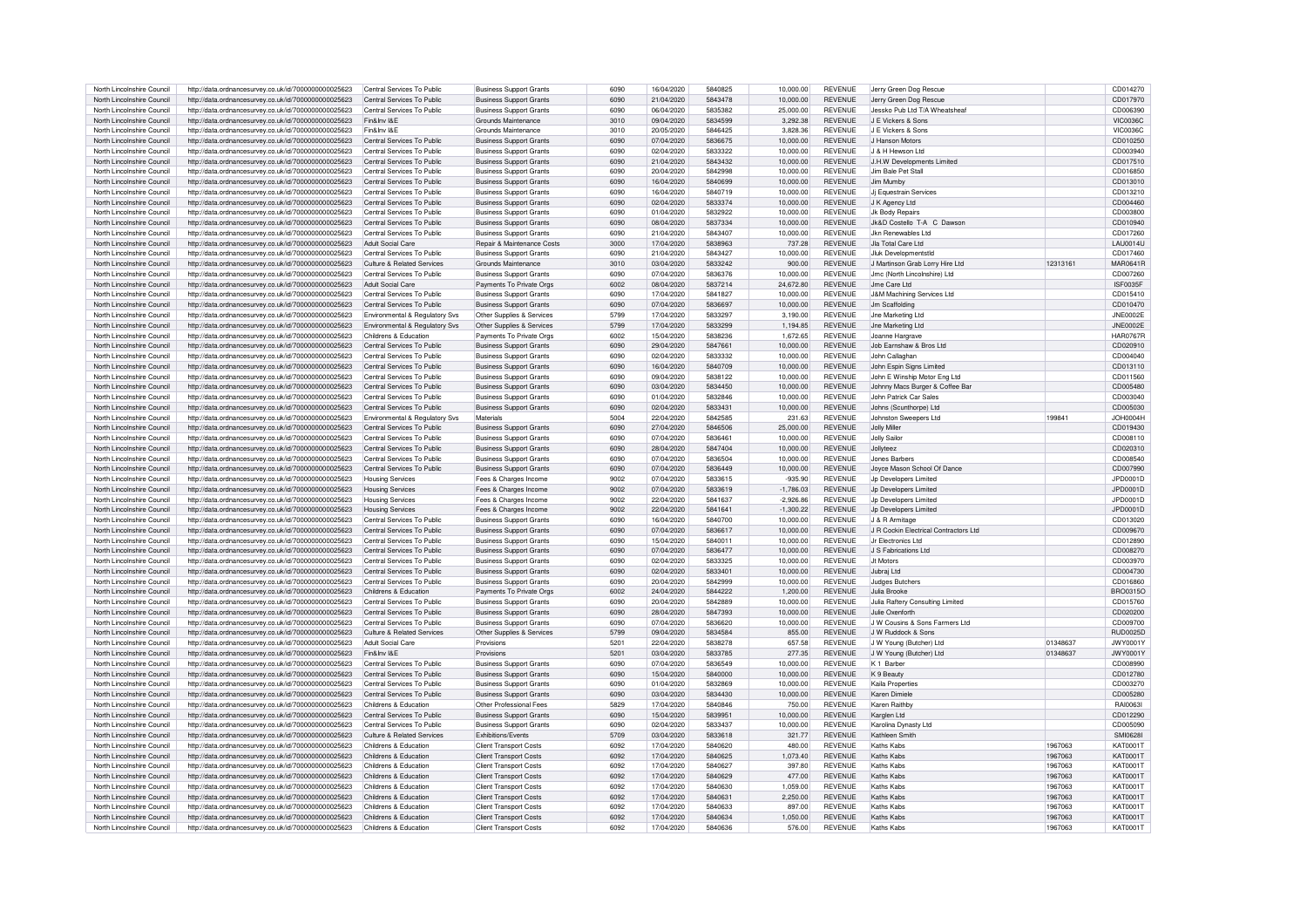| North Lincolnshire Council | http://data.ordnancesurvey.co.uk/id/7000000000025623 | Central Services To Public     | <b>Business Support Grants</b>        | 6090 | 16/04/2020 | 5840825 | 10.000.00   | <b>REVENUE</b> | Jerry Green Dog Rescue                |          | CD014270        |
|----------------------------|------------------------------------------------------|--------------------------------|---------------------------------------|------|------------|---------|-------------|----------------|---------------------------------------|----------|-----------------|
| North Lincolnshire Council | http://data.ordnancesurvey.co.uk/id/7000000000025623 | Central Services To Public     | <b>Business Support Grants</b>        | 6090 | 21/04/2020 | 5843478 | 10,000.00   | <b>REVENUE</b> | Jerry Green Dog Rescue                |          | CD017970        |
| North Lincolnshire Council | http://data.ordnancesurvey.co.uk/id/7000000000025623 | Central Services To Public     | <b>Business Support Grants</b>        | 6090 | 06/04/2020 | 5835382 | 25,000.00   | <b>REVENUE</b> | Jessko Pub Ltd T/A Wheatsheaf         |          | CD006390        |
|                            |                                                      | Fin&Inv I&F                    | Grounds Maintenance                   |      | 09/04/2020 |         |             |                | J F Vickers & Sons                    |          |                 |
| North Lincolnshire Council | http://data.ordnancesurvey.co.uk/id/7000000000025623 |                                |                                       | 3010 |            | 5834599 | 3,292.38    | <b>REVENUE</b> |                                       |          | <b>VIC0036C</b> |
| North Lincolnshire Council | http://data.ordnancesurvey.co.uk/id/7000000000025623 | Fin&Inv I&F                    | Grounds Maintenance                   | 3010 | 20/05/2020 | 5846425 | 3,828.36    | <b>REVENUE</b> | J F Vickers & Sons                    |          | <b>VIC0036C</b> |
| North Lincolnshire Council | http://data.ordnancesurvey.co.uk/id/7000000000025623 | Central Services To Public     | <b>Business Support Grants</b>        | 6090 | 07/04/2020 | 5836675 | 10.000.00   | <b>REVENUE</b> | J Hanson Motors                       |          | CD010250        |
| North Lincolnshire Council | http://data.ordnancesurvey.co.uk/id/7000000000025623 | Central Services To Public     | <b>Business Support Grants</b>        | 6090 | 02/04/2020 | 5833322 | 10,000.00   | <b>REVENUE</b> | J & H Hewson Ltd                      |          | CD003940        |
| North Lincolnshire Council | http://data.ordnancesurvey.co.uk/id/7000000000025623 | Central Services To Public     | <b>Business Support Grants</b>        | 6090 | 21/04/2020 | 5843432 | 10,000.00   | REVENUE        | J.H.W Developments Limited            |          | CD017510        |
| North Lincolnshire Council | http://data.ordnancesurvey.co.uk/id/7000000000025623 | Central Services To Public     | <b>Business Support Grants</b>        | 6090 | 20/04/2020 | 5842998 | 10,000.00   | <b>REVENUE</b> | Jim Bale Pet Stall                    |          | CD016850        |
| North Lincolnshire Council | http://data.ordnancesurvey.co.uk/id/7000000000025623 | Central Services To Public     | <b>Business Support Grants</b>        | 6090 | 16/04/2020 | 5840699 | 10,000.00   | <b>REVENUE</b> | Jim Mumby                             |          | CD013010        |
| North Lincolnshire Council | http://data.ordnancesurvey.co.uk/id/7000000000025623 | Central Services To Public     | <b>Business Support Grants</b>        | 6090 | 16/04/2020 | 5840719 | 10.000.00   | <b>REVENUE</b> | Ji Equestrain Services                |          | CD013210        |
| North Lincolnshire Council | http://data.ordnancesurvey.co.uk/id/7000000000025623 | Central Services To Public     | <b>Business Support Grants</b>        | 6090 | 02/04/2020 | 5833374 | 10.000.00   | <b>REVENUE</b> | J K Agency Ltd                        |          | CD004460        |
| North Lincolnshire Council | http://data.ordnancesurvey.co.uk/id/7000000000025623 | Central Services To Public     | <b>Business Support Grants</b>        | 6090 | 01/04/2020 | 5832922 | 10,000.00   | <b>REVENUE</b> | Jk Body Repairs                       |          | CD003800        |
|                            |                                                      |                                |                                       | 6090 | 08/04/2020 | 5837334 |             | <b>REVENUE</b> |                                       |          |                 |
| North Lincolnshire Council | http://data.ordnancesurvey.co.uk/id/7000000000025623 | Central Services To Public     | <b>Business Support Grants</b>        |      |            |         | 10,000.00   |                | Jk&D Costello T-A C Dawson            |          | CD010940        |
| North Lincolnshire Council | http://data.ordnancesurvey.co.uk/id/7000000000025623 | Central Services To Public     | <b>Business Support Grants</b>        | 6090 | 21/04/2020 | 5843407 | 10.000.00   | <b>REVENUE</b> | Jkn Renewables Ltd                    |          | CD017260        |
| North Lincolnshire Council | http://data.ordnancesurvey.co.uk/id/7000000000025623 | Adult Social Care              | <b>Benair &amp; Maintenance Costs</b> | 3000 | 17/04/2020 | 5838963 | 737.28      | <b>REVENUE</b> | Jla Total Care Ltd                    |          | <b>LAU0014U</b> |
| North Lincolnshire Council | http://data.ordnancesurvey.co.uk/id/7000000000025623 | Central Services To Public     | <b>Business Support Grants</b>        | 6090 | 21/04/2020 | 5843427 | 10,000.00   | <b>REVENUE</b> | Jluk Developmentstic                  |          | CD017460        |
| North Lincolnshire Council | http://data.ordnancesurvey.co.uk/id/7000000000025623 | Culture & Related Services     | Grounds Maintenance                   | 3010 | 03/04/2020 | 5833242 | 900.00      | <b>REVENUE</b> | J Martinson Grab Lorry Hire Ltd       | 12313161 | MAR0641R        |
| North Lincolnshire Council | http://data.ordnancesurvey.co.uk/id/7000000000025623 | Central Services To Public     | <b>Business Support Grants</b>        | 6090 | 07/04/2020 | 5836376 | 10.000.00   | <b>REVENUE</b> | Jmc (North Lincolnshire) Ltd          |          | CD007260        |
| North Lincolnshire Council | http://data.ordnancesurvey.co.uk/id/7000000000025623 | Adult Social Care              | Payments To Private Orgs              | 6002 | 08/04/2020 | 5837214 | 24,672.80   | <b>REVENUE</b> | Jme Care Ltd                          |          | ISF0035F        |
| North Lincolnshire Council | http://data.ordnancesurvey.co.uk/id/7000000000025623 | Central Services To Public     | <b>Business Support Grants</b>        | 6090 | 17/04/2020 | 5841827 | 10.000.00   | <b>REVENUE</b> | J&M Machining Services Ltd            |          | CD015410        |
| North Lincolnshire Council | http://data.ordnancesurvey.co.uk/id/7000000000025623 | Central Services To Public     | <b>Business Support Grants</b>        | 6090 | 07/04/2020 | 5836697 | 10.000.00   | <b>REVENUE</b> | Jm Scaffolding                        |          | CD010470        |
| North Lincolnshire Council | http://data.ordnancesurvey.co.uk/id/7000000000025623 | Environmental & Regulatory Svs | Other Supplies & Services             | 5799 | 17/04/2020 | 5833297 | 3,190.00    | <b>REVENUE</b> | <b>Jne Marketing Ltd</b>              |          | <b>JNE0002E</b> |
|                            |                                                      |                                |                                       |      |            |         |             |                |                                       |          |                 |
| North Lincolnshire Council | http://data.ordnancesurvey.co.uk/id/7000000000025623 | Environmental & Regulatory Svs | Other Supplies & Services             | 5799 | 17/04/2020 | 5833299 | 1,194.85    | <b>REVENUE</b> | <b>Jne Marketing Ltd</b>              |          | <b>JNE0002E</b> |
| North Lincolnshire Council | http://data.ordnancesurvey.co.uk/id/7000000000025623 | Childrens & Education          | Payments To Private Oras              | 6002 | 15/04/2020 | 5838236 | 1.672.65    | <b>REVENUE</b> | Joanne Hargrave                       |          | <b>HAR0767R</b> |
| North Lincolnshire Council | http://data.ordnancesurvey.co.uk/id/7000000000025623 | Central Services To Public     | <b>Business Support Grants</b>        | 6090 | 29/04/2020 | 5847661 | 10.000.00   | <b>REVENUE</b> | Job Farnshaw & Bros Ltd               |          | CD020910        |
| North Lincolnshire Council | http://data.ordnancesurvey.co.uk/id/7000000000025623 | Central Services To Public     | <b>Business Support Grants</b>        | 6090 | 02/04/2020 | 5833332 | 10.000.00   | <b>REVENUE</b> | John Callaghan                        |          | CD004040        |
| North Lincolnshire Council | http://data.ordnancesurvey.co.uk/id/7000000000025623 | Central Services To Public     | <b>Business Support Grants</b>        | 6090 | 16/04/2020 | 5840709 | 10,000.00   | <b>REVENUE</b> | John Espin Signs Limited              |          | CD013110        |
| North Lincolnshire Council | http://data.ordnancesurvey.co.uk/id/7000000000025623 | Central Services To Public     | <b>Business Support Grants</b>        | 6090 | 09/04/2020 | 5838122 | 10,000.00   | <b>REVENUE</b> | John E Winship Motor Eng Ltd          |          | CD011560        |
| North Lincolnshire Council | http://data.ordnancesurvey.co.uk/id/7000000000025623 | Central Services To Public     | <b>Business Support Grants</b>        | 6090 | 03/04/2020 | 5834450 | 10,000.00   | <b>REVENUE</b> | Johnny Macs Burger & Coffee Bar       |          | CD005480        |
| North Lincolnshire Council | http://data.ordnancesurvey.co.uk/id/7000000000025623 | Central Services To Public     | <b>Business Support Grants</b>        | 6090 | 01/04/2020 | 5832846 | 10.000.00   | <b>REVENUE</b> | John Patrick Car Sales                |          | CD003040        |
| North Lincolnshire Council | http://data.ordnancesurvev.co.uk/id/7000000000025623 | Central Services To Public     | <b>Business Support Grants</b>        | 6090 | 02/04/2020 | 5833431 | 10,000.00   | <b>REVENUE</b> | Johns (Scunthorpe) Ltd                |          | CD005030        |
| North Lincolnshire Council |                                                      |                                | Materials                             | 5004 | 22/04/2020 | 5842585 | 231.63      | <b>REVENUE</b> | Johnston Sweepers Ltd                 | 19984    | JOH0004H        |
|                            | http://data.ordnancesurvey.co.uk/id/7000000000025623 | Environmental & Regulatory Svs |                                       |      |            |         |             |                |                                       |          |                 |
| North Lincolnshire Council | http://data.ordnancesurvey.co.uk/id/7000000000025623 | Central Services To Public     | <b>Business Support Grants</b>        | 6090 | 27/04/2020 | 5846506 | 25,000.00   | <b>REVENUE</b> | Jolly Mille                           |          | CD019430        |
| North Lincolnshire Council | http://data.ordnancesurvey.co.uk/id/7000000000025623 | Central Services To Public     | <b>Business Support Grants</b>        | 6090 | 07/04/2020 | 5836461 | 10,000.00   | <b>REVENUE</b> | <b>Jolly Sailor</b>                   |          | CD008110        |
| North Lincolnshire Council | http://data.ordnancesurvey.co.uk/id/7000000000025623 | Central Services To Public     | <b>Business Support Grants</b>        | 6090 | 28/04/2020 | 5847404 | 10.000.00   | <b>REVENUE</b> | <b>Jollyteez</b>                      |          | CD020310        |
| North Lincolnshire Council | http://data.ordnancesurvey.co.uk/id/7000000000025623 | Central Services To Public     | <b>Business Support Grants</b>        | 6090 | 07/04/2020 | 5836504 | 10.000.00   | <b>REVENUE</b> | Jones Barbers                         |          | CD008540        |
| North Lincolnshire Council | http://data.ordnancesurvey.co.uk/id/7000000000025623 | Central Services To Public     | <b>Business Support Grants</b>        | 6090 | 07/04/2020 | 5836449 | 10,000.00   | <b>REVENUE</b> | Joyce Mason School Of Dance           |          | CD007990        |
| North Lincolnshire Council | http://data.ordnancesurvey.co.uk/id/7000000000025623 | <b>Housing Services</b>        | Fees & Charges Income                 | 9002 | 07/04/2020 | 5833615 | $-935.90$   | REVENUE        | Jp Developers Limited                 |          | JPD0001D        |
| North Lincolnshire Council | http://data.ordnancesurvey.co.uk/id/7000000000025623 | <b>Housing Services</b>        | Fees & Charges Income                 | 9002 | 07/04/2020 | 5833619 | $-1.786.03$ | <b>REVENUE</b> | Jo Developers Limited                 |          | JPD0001D        |
| North Lincolnshire Council | http://data.ordnancesurvey.co.uk/id/7000000000025623 | <b>Housing Services</b>        | Fees & Charges Income                 | 9002 | 22/04/2020 | 5841637 | $-2,926.86$ | <b>REVENUE</b> | Jp Developers Limited                 |          | JPD0001D        |
|                            |                                                      |                                |                                       | 9002 |            | 5841641 |             | <b>REVENUE</b> |                                       |          |                 |
| North Lincolnshire Council | http://data.ordnancesurvey.co.uk/id/7000000000025623 | <b>Housing Services</b>        | Fees & Charges Income                 |      | 22/04/2020 |         | $-1,300.22$ |                | Jp Developers Limited                 |          | JPD0001D        |
| North Lincolnshire Council | http://data.ordnancesurvey.co.uk/id/7000000000025623 | Central Services To Public     | <b>Business Support Grants</b>        | 6090 | 16/04/2020 | 5840700 | 10,000.00   | <b>REVENUE</b> | J & R Armitage                        |          | CD013020        |
| North Lincolnshire Council | http://data.ordnancesurvey.co.uk/id/7000000000025623 | Central Services To Public     | <b>Business Support Grants</b>        | 6090 | 07/04/2020 | 5836617 | 10,000.00   | <b>REVENUE</b> | J R Cockin Electrical Contractors Ltd |          | CD009670        |
| North Lincolnshire Council | http://data.ordnancesurvey.co.uk/id/7000000000025623 | Central Services To Public     | <b>Business Support Grants</b>        | 6090 | 15/04/2020 | 5840011 | 10.000.00   | <b>REVENUE</b> | Jr Flectronics Ltd                    |          | CD012890        |
| North Lincolnshire Council | http://data.ordnancesurvey.co.uk/id/7000000000025623 | Central Services To Public     | <b>Business Support Grants</b>        | 6090 | 07/04/2020 | 5836477 | 10,000.00   | <b>REVENUE</b> | J S Fabrications Ltd                  |          | CD008270        |
| North Lincolnshire Council | http://data.ordnancesurvey.co.uk/id/7000000000025623 | Central Services To Public     | <b>Business Support Grants</b>        | 6090 | 02/04/2020 | 5833325 | 10,000.00   | <b>REVENUE</b> | <b>.It Motors</b>                     |          | CD003970        |
| North Lincolnshire Council | http://data.ordnancesurvey.co.uk/id/7000000000025623 | Central Services To Public     | <b>Business Support Grants</b>        | 6090 | 02/04/2020 | 5833401 | 10.000.00   | <b>REVENUE</b> | Jubraj Ltd                            |          | CD004730        |
| North Lincolnshire Council | http://data.ordnancesurvey.co.uk/id/7000000000025623 | Central Services To Public     | <b>Business Support Grants</b>        | 6090 | 20/04/2020 | 5842999 | 10.000.00   | <b>REVENUE</b> | <b>Judges Butchers</b>                |          | CD016860        |
| North Lincolnshire Council | http://data.ordnancesurvey.co.uk/id/7000000000025623 | Childrens & Education          | Payments To Private Orgs              | 6002 | 24/04/2020 | 5844222 | 1,200.00    | <b>REVENUE</b> | Julia Brooke                          |          | BRO0315O        |
| North Lincolnshire Council | http://data.ordnancesurvey.co.uk/id/7000000000025623 | Central Services To Public     | <b>Business Support Grants</b>        | 6090 | 20/04/2020 | 5842889 | 10,000.00   | <b>REVENUE</b> | Julia Raftery Consulting Limited      |          | CD015760        |
| North Lincolnshire Council | http://data.ordnancesurvey.co.uk/id/7000000000025623 | Central Services To Public     | <b>Business Support Grants</b>        | 6090 | 28/04/2020 | 5847393 | 10.000.00   | <b>REVENUE</b> | Julie Oxenforth                       |          | CD020200        |
|                            |                                                      |                                |                                       | 6090 |            |         |             |                | J W Cousins & Sons Farmers Ltd        |          |                 |
| North Lincolnshire Council | http://data.ordnancesurvey.co.uk/id/7000000000025623 | Central Services To Public     | <b>Business Support Grants</b>        |      | 07/04/2020 | 5836620 | 10,000.00   | <b>REVENUE</b> |                                       |          | CD009700        |
| North Lincolnshire Council | http://data.ordnancesurvey.co.uk/id/7000000000025623 | Culture & Related Services     | Other Supplies & Services             | 5799 | 09/04/2020 | 5834584 | 855.00      | REVENUE        | J W Buddock & Sons                    |          | <b>BUD0025D</b> |
| North Lincolnshire Council | http://data.ordnancesurvey.co.uk/id/7000000000025623 | <b>Adult Social Care</b>       | Provisions                            | 5201 | 22/04/2020 | 5838278 | 657.58      | <b>REVENUE</b> | J W Young (Butcher) Ltd               | 01348637 | JWY0001Y        |
| North Lincolnshire Council | http://data.ordnancesurvey.co.uk/id/7000000000025623 | Fin&Inv I&F                    | Provisions                            | 5201 | 03/04/2020 | 5833785 | 277.35      | <b>REVENUE</b> | J W Young (Butcher) Ltd               | 01348637 | JWY0001Y        |
| North Lincolnshire Council | http://data.ordnancesurvey.co.uk/id/7000000000025623 | Central Services To Public     | <b>Business Support Grants</b>        | 6090 | 07/04/2020 | 5836549 | 10.000.00   | <b>REVENUE</b> | K <sub>1</sub> Barbe                  |          | CD008990        |
| North Lincolnshire Council | http://data.ordnancesurvey.co.uk/id/7000000000025623 | Central Services To Public     | <b>Business Support Grants</b>        | 6090 | 15/04/2020 | 5840000 | 10,000.00   | <b>REVENUE</b> | K 9 Beauty                            |          | CD012780        |
| North Lincolnshire Council | http://data.ordnancesurvey.co.uk/id/7000000000025623 | Central Services To Public     | <b>Business Support Grants</b>        | 6090 | 01/04/2020 | 5832869 | 10,000.00   | <b>REVENUE</b> | Kaila Properties                      |          | CD003270        |
| North Lincolnshire Council | http://data.ordnancesurvey.co.uk/id/7000000000025623 | Central Services To Public     | <b>Business Support Grants</b>        | 6090 | 03/04/2020 | 5834430 | 10.000.00   | <b>REVENUE</b> | Karen Dimiele                         |          | CD005280        |
| North Lincolnshire Council | http://data.ordnancesurvey.co.uk/id/7000000000025623 | Childrens & Education          | Other Professional Fees               | 5829 | 17/04/2020 | 5840846 | 750.00      | <b>REVENUE</b> | Karen Raithby                         |          | <b>BAI0063I</b> |
| North Lincolnshire Council | http://data.ordnancesurvey.co.uk/id/7000000000025623 | Central Services To Public     | <b>Business Support Grants</b>        | 6090 | 15/04/2020 | 5839951 | 10.000.00   | REVENUE        | Karglen Ltd                           |          | CD012290        |
|                            |                                                      | Central Services To Public     |                                       | 6090 |            | 5833437 |             | <b>REVENUE</b> |                                       |          | CD005090        |
| North Lincolnshire Council | http://data.ordnancesurvey.co.uk/id/7000000000025623 |                                | <b>Business Support Grants</b>        |      | 02/04/2020 |         | 10,000.00   |                | Karolina Dynasty Ltd                  |          |                 |
| North Lincolnshire Council | http://data.ordnancesurvey.co.uk/id/7000000000025623 | Culture & Related Services     | Exhibitions/Events                    | 5709 | 03/04/2020 | 5833618 | 321.77      | REVENUE        | Kathleen Smith                        |          | <b>SMI0628</b>  |
| North Lincolnshire Council | http://data.ordnancesurvey.co.uk/id/7000000000025623 | Childrens & Education          | <b>Client Transport Costs</b>         | 6092 | 17/04/2020 | 5840620 | 480.00      | <b>REVENUE</b> | Kaths Kabs                            | 1967063  | KAT0001T        |
| North Lincolnshire Council | http://data.ordnancesurvey.co.uk/id/7000000000025623 | Childrens & Education          | <b>Client Transport Costs</b>         | 6092 | 17/04/2020 | 5840625 | 1.073.40    | <b>REVENUE</b> | Kaths Kabs                            | 1967063  | KAT00017        |
| North Lincolnshire Council | http://data.ordnancesurvey.co.uk/id/7000000000025623 | Childrens & Education          | <b>Client Transport Costs</b>         | 6092 | 17/04/2020 | 5840627 | 397.80      | <b>REVENUE</b> | Kaths Kabs                            | 1967063  | KAT00011        |
| North Lincolnshire Council | http://data.ordnancesurvey.co.uk/id/7000000000025623 | Childrens & Education          | <b>Client Transport Costs</b>         | 6092 | 17/04/2020 | 5840629 | 477.00      | <b>REVENUE</b> | Kaths Kabs                            | 1967063  | KAT0001T        |
| North Lincolnshire Council | http://data.ordnancesurvey.co.uk/id/7000000000025623 | Childrens & Education          | <b>Client Transport Costs</b>         | 6092 | 17/04/2020 | 5840630 | 1,059.00    | <b>REVENUE</b> | Kaths Kabs                            | 1967063  | KAT0001T        |
| North Lincolnshire Council | http://data.ordnancesurvey.co.uk/id/7000000000025623 | Childrens & Education          | Client Transport Costs                | 6092 | 17/04/2020 | 5840631 | 2.250.00    | <b>REVENUE</b> | Kaths Kabs                            | 1967063  | <b>KAT0001T</b> |
| North Lincolnshire Council | http://data.ordnancesurvey.co.uk/id/7000000000025623 | Childrens & Education          | <b>Client Transport Costs</b>         | 6092 | 17/04/2020 | 5840633 | 897.00      | <b>REVENUE</b> | Kaths Kabs                            | 1967063  | KAT0001T        |
| North Lincolnshire Council | http://data.ordnancesurvey.co.uk/id/7000000000025623 | Childrens & Education          | <b>Client Transport Costs</b>         | 6092 | 17/04/2020 | 5840634 | 1.050.00    | <b>REVENUE</b> | Kaths Kabs                            | 1967063  | KAT0001T        |
| North Lincolnshire Council | http://data.ordnancesurvey.co.uk/id/7000000000025623 | Childrens & Education          | <b>Client Transport Costs</b>         | 6092 | 17/04/2020 | 5840636 | 576.00      | <b>REVENUE</b> | Kaths Kabs                            | 1967063  | <b>KAT0001T</b> |
|                            |                                                      |                                |                                       |      |            |         |             |                |                                       |          |                 |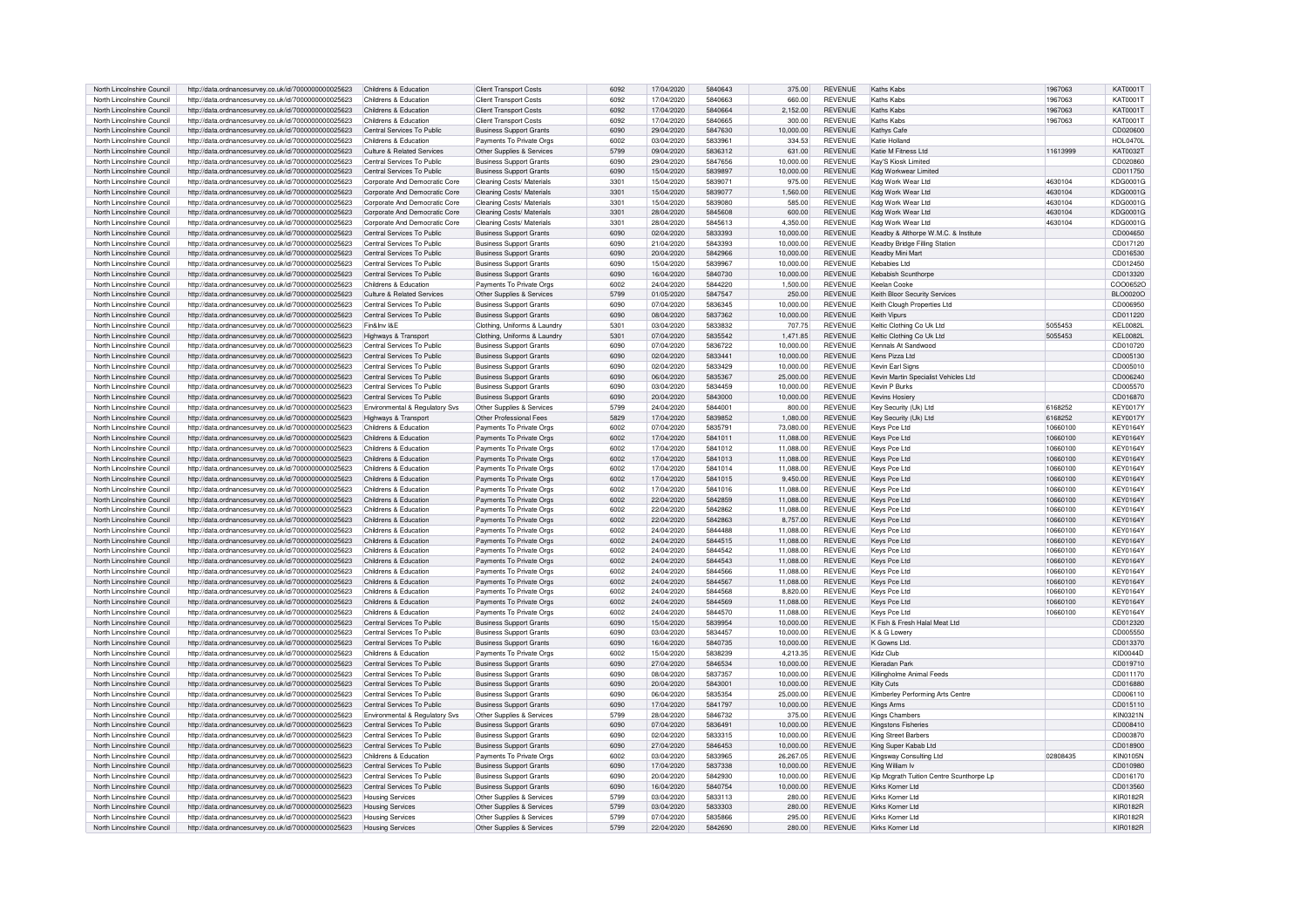| North Lincolnshire Council | http://data.ordnancesurvey.co.uk/id/7000000000025623 | Childrens & Education          | <b>Client Transport Costs</b>  | 6092 | 17/04/2020 | 5840643 | 375.00    | <b>REVENUE</b> | Kaths Kabs                               | 1967063  | KAT0001T        |
|----------------------------|------------------------------------------------------|--------------------------------|--------------------------------|------|------------|---------|-----------|----------------|------------------------------------------|----------|-----------------|
|                            |                                                      |                                |                                |      |            |         |           |                |                                          |          |                 |
| North Lincolnshire Council | http://data.ordnancesurvey.co.uk/id/7000000000025623 | Childrens & Education          | <b>Client Transport Costs</b>  | 6092 | 17/04/2020 | 5840663 | 660.00    | <b>REVENUE</b> | Kaths Kahs                               | 1967063  | <b>KAT0001T</b> |
| North Lincolnshire Council | http://data.ordnancesurvey.co.uk/id/7000000000025623 | Childrens & Education          | <b>Client Transport Costs</b>  | 6092 | 17/04/2020 | 5840664 | 2,152.00  | <b>REVENUE</b> | Kaths Kabs                               | 1967063  | <b>KAT0001T</b> |
| North Lincolnshire Council | http://data.ordnancesurvey.co.uk/id/7000000000025623 | Childrens & Education          | <b>Client Transport Costs</b>  | 6092 | 17/04/2020 | 5840665 | 300.00    | <b>REVENUE</b> | Kaths Kabs                               | 1967063  | KAT0001T        |
| North Lincolnshire Council | http://data.ordnancesurvey.co.uk/id/7000000000025623 | Central Services To Public     | <b>Business Support Grants</b> | 6090 | 29/04/2020 | 5847630 | 10,000.00 | <b>REVENUE</b> | Kathys Cafe                              |          | CD020600        |
|                            |                                                      |                                |                                |      |            |         |           |                |                                          |          |                 |
| North Lincolnshire Council | http://data.ordnancesurvey.co.uk/id/7000000000025623 | Childrens & Education          | Payments To Private Orgs       | 6002 | 03/04/2020 | 5833961 | 334.53    | <b>REVENUE</b> | Katie Holland                            |          | <b>HOL0470L</b> |
| North Lincolnshire Council | http://data.ordnancesurvey.co.uk/id/7000000000025623 | Culture & Related Services     | Other Supplies & Services      | 5799 | 09/04/2020 | 5836312 | 631.00    | <b>REVENUE</b> | Katie M Fitness Ltd                      | 11613999 | <b>KAT0032T</b> |
| North Lincolnshire Council | http://data.ordnancesurvey.co.uk/id/7000000000025623 | Central Services To Public     | <b>Business Support Grants</b> | 6090 | 29/04/2020 | 5847656 | 10.000.00 | REVENUE        | Kav'S Kiosk Limited                      |          | CD020860        |
| North Lincolnshire Council | http://data.ordnancesurvey.co.uk/id/7000000000025623 | Central Services To Public     | <b>Business Support Grants</b> | 6090 | 15/04/2020 | 5839897 | 10.000.00 | <b>REVENUE</b> | Kda Workwear Limited                     |          | CD011750        |
|                            |                                                      |                                |                                |      |            |         |           |                |                                          |          |                 |
| North Lincolnshire Council | http://data.ordnancesurvey.co.uk/id/7000000000025623 | Corporate And Democratic Core  | Cleaning Costs/ Materials      | 3301 | 15/04/2020 | 5839071 | 975.00    | <b>REVENUE</b> | Kdg Work Wear Ltd                        | 4630104  | KDG0001G        |
| North Lincolnshire Council | http://data.ordnancesurvey.co.uk/id/7000000000025623 | Corporate And Democratic Core  | Cleaning Costs/ Materials      | 3301 | 15/04/2020 | 5839077 | 1.560.00  | <b>REVENUE</b> | Kdg Work Wear Ltd                        | 4630104  | KDG0001G        |
| North Lincolnshire Council | http://data.ordnancesurvey.co.uk/id/7000000000025623 | Corporate And Democratic Core  | Cleaning Costs/ Materials      | 3301 | 15/04/2020 | 5839080 | 585.00    | <b>REVENUE</b> | Kdg Work Wear Ltd                        | 4630104  | KDG0001G        |
| North Lincolnshire Council | http://data.ordnancesurvey.co.uk/id/7000000000025623 | Corporate And Democratic Core  | Cleaning Costs/ Materials      | 3301 | 28/04/2020 | 5845608 | 600.00    | <b>REVENUE</b> | Kda Work Wear Ltd                        | 4630104  | KDG0001G        |
|                            |                                                      |                                |                                |      |            |         |           |                |                                          |          |                 |
| North Lincolnshire Council | http://data.ordnancesurvey.co.uk/id/7000000000025623 | Corporate And Democratic Core  | Cleaning Costs/ Materials      | 3301 | 28/04/2020 | 5845613 | 4.350.00  | <b>REVENUE</b> | Kda Work Wear Ltd                        | 4630104  | KDG0001G        |
| North Lincolnshire Council | http://data.ordnancesurvey.co.uk/id/7000000000025623 | Central Services To Public     | <b>Business Support Grants</b> | 6090 | 02/04/2020 | 5833393 | 10.000.00 | <b>REVENUE</b> | Keadby & Althorpe W.M.C. & Institute     |          | CD004650        |
| North Lincolnshire Council | http://data.ordnancesurvey.co.uk/id/7000000000025623 | Central Services To Public     | <b>Business Support Grants</b> | 6090 | 21/04/2020 | 5843393 | 10,000.00 | <b>REVENUE</b> | Keadby Bridge Filling Station            |          | CD017120        |
| North Lincolnshire Council | http://data.ordnancesurvey.co.uk/id/7000000000025623 | Central Services To Public     | <b>Business Support Grants</b> | 6090 | 20/04/2020 | 5842966 | 10,000.00 | <b>REVENUE</b> | Keadby Mini Mart                         |          | CD016530        |
|                            |                                                      |                                |                                |      |            |         |           |                |                                          |          |                 |
| North Lincolnshire Council | http://data.ordnancesurvey.co.uk/id/7000000000025623 | Central Services To Public     | <b>Business Support Grants</b> | 6090 | 15/04/2020 | 5839967 | 10,000.00 | <b>REVENUE</b> | Kebabies Ltd                             |          | CD012450        |
| North Lincolnshire Council | http://data.ordnancesurvey.co.uk/id/7000000000025623 | Central Services To Public     | <b>Business Support Grants</b> | 6090 | 16/04/2020 | 5840730 | 10,000.00 | <b>REVENUE</b> | Kebabish Scunthorpe                      |          | CD013320        |
| North Lincolnshire Council | http://data.ordnancesurvey.co.uk/id/7000000000025623 | Childrens & Education          | Payments To Private Orgs       | 6002 | 24/04/2020 | 5844220 | 1,500.00  | <b>REVENUE</b> | Keelan Cooke                             |          | COO0652C        |
| North Lincolnshire Council | http://data.ordnancesurvey.co.uk/id/7000000000025623 | Culture & Related Services     | Other Supplies & Services      | 5799 | 01/05/2020 | 5847547 | 250.00    | <b>REVENUE</b> | Keith Bloor Security Services            |          | <b>BLO0020O</b> |
|                            |                                                      |                                |                                |      |            |         |           |                |                                          |          |                 |
| North Lincolnshire Council | http://data.ordnancesurvey.co.uk/id/7000000000025623 | Central Services To Public     | <b>Business Support Grants</b> | 6090 | 07/04/2020 | 5836345 | 10,000.00 | <b>REVENUE</b> | Keith Clough Properties Ltd              |          | CD006950        |
| North Lincolnshire Council | http://data.ordnancesurvey.co.uk/id/7000000000025623 | Central Services To Public     | <b>Business Support Grants</b> | 6090 | 08/04/2020 | 5837362 | 10,000.00 | <b>REVENUE</b> | <b>Keith Vinurs</b>                      |          | CD011220        |
| North Lincolnshire Council | http://data.ordnancesurvey.co.uk/id/7000000000025623 | Fin&Inv I&E                    | Clothing, Uniforms & Laundry   | 5301 | 03/04/2020 | 5833832 | 707.75    | <b>REVENUE</b> | Keltic Clothing Co Uk Ltd                | 5055453  | KEL0082L        |
| North Lincolnshire Council |                                                      |                                |                                |      |            | 5835542 |           | <b>REVENUE</b> |                                          | 5055453  |                 |
|                            | http://data.ordnancesurvey.co.uk/id/7000000000025623 | Highways & Transport           | Clothing, Uniforms & Laundry   | 5301 | 07/04/2020 |         | 1,471.85  |                | Keltic Clothing Co Uk Ltd                |          | KEL0082L        |
| North Lincolnshire Council | http://data.ordnancesurvey.co.uk/id/7000000000025623 | Central Services To Public     | Business Support Grants        | 6090 | 07/04/2020 | 5836722 | 10,000.00 | <b>REVENUE</b> | Kennals At Sandwood                      |          | CD010720        |
| North Lincolnshire Council | http://data.ordnancesurvey.co.uk/id/7000000000025623 | Central Services To Public     | <b>Business Support Grants</b> | 6090 | 02/04/2020 | 5833441 | 10,000.00 | <b>REVENUE</b> | Kens Pizza I td                          |          | CD005130        |
| North Lincolnshire Council | http://data.ordnancesurvey.co.uk/id/7000000000025623 | Central Services To Public     | <b>Business Support Grants</b> | 6090 | 02/04/2020 | 5833429 | 10,000.00 | <b>REVENUE</b> | Kevin Earl Signs                         |          | CD005010        |
|                            |                                                      |                                |                                |      |            |         |           |                |                                          |          |                 |
| North Lincolnshire Council | http://data.ordnancesurvey.co.uk/id/7000000000025623 | Central Services To Public     | <b>Business Support Grants</b> | 6090 | 06/04/2020 | 5835367 | 25,000.00 | <b>REVENUE</b> | Kevin Martin Specialist Vehicles Ltd     |          | CD006240        |
| North Lincolnshire Council | http://data.ordnancesurvey.co.uk/id/7000000000025623 | Central Services To Public     | <b>Business Support Grants</b> | 6090 | 03/04/2020 | 5834459 | 10,000.00 | <b>REVENUE</b> | Kevin P Burks                            |          | CD005570        |
| North Lincolnshire Council | http://data.ordnancesurvey.co.uk/id/7000000000025623 | Central Services To Public     | <b>Business Support Grants</b> | 6090 | 20/04/2020 | 5843000 | 10,000.00 | <b>REVENUE</b> | <b>Kevins Hosier</b>                     |          | CD016870        |
| North Lincolnshire Council | http://data.ordnancesurvey.co.uk/id/7000000000025623 | Environmental & Regulatory Svs | Other Supplies & Services      | 5799 | 24/04/2020 | 5844001 | 800.00    | REVENUE        | Key Security (Uk) Ltd                    | 6168252  | <b>KEY0017Y</b> |
|                            |                                                      |                                |                                |      |            |         |           |                |                                          |          |                 |
| North Lincolnshire Council | http://data.ordnancesurvey.co.uk/id/7000000000025623 | Highways & Transport           | Other Professional Fees        | 5829 | 17/04/2020 | 5839852 | 1,080.00  | <b>REVENUE</b> | Key Security (Uk) Ltd                    | 6168252  | <b>KEY0017Y</b> |
| North Lincolnshire Council | http://data.ordnancesurvey.co.uk/id/7000000000025623 | Childrens & Education          | Payments To Private Orgs       | 6002 | 07/04/2020 | 5835791 | 73,080.00 | <b>REVENUE</b> | Keys Pce Ltd                             | 10660100 | <b>KEY0164Y</b> |
| North Lincolnshire Council | http://data.ordnancesurvey.co.uk/id/7000000000025623 | Childrens & Education          | Payments To Private Orgs       | 6002 | 17/04/2020 | 5841011 | 11,088.00 | <b>REVENUE</b> | Keys Pce Ltd                             | 10660100 | <b>KEY0164Y</b> |
| North Lincolnshire Council | http://data.ordnancesurvey.co.uk/id/7000000000025623 | Childrens & Education          | Payments To Private Orgs       | 6002 | 17/04/2020 | 5841012 | 11,088.00 | <b>REVENUE</b> | Keys Pce Ltd                             | 10660100 | <b>KEY0164Y</b> |
|                            |                                                      |                                |                                |      |            |         |           |                |                                          |          |                 |
| North Lincolnshire Council | http://data.ordnancesurvey.co.uk/id/7000000000025623 | Childrens & Education          | Payments To Private Orgs       | 6002 | 17/04/2020 | 5841013 | 11,088.00 | <b>REVENUE</b> | Keys Pce Ltd                             | 10660100 | <b>KEY0164Y</b> |
| North Lincolnshire Council | http://data.ordnancesurvey.co.uk/id/7000000000025623 | Childrens & Education          | Payments To Private Orgs       | 6002 | 17/04/2020 | 5841014 | 11,088.00 | REVENUE        | Keys Pce Ltd                             | 10660100 | <b>KEY0164Y</b> |
| North Lincolnshire Council | http://data.ordnancesurvev.co.uk/id/7000000000025623 | Childrens & Education          | Payments To Private Orgs       | 6002 | 17/04/2020 | 5841015 | 9,450.00  | REVENUE        | Keys Pce Ltd                             | 10660100 | <b>KEY0164Y</b> |
| North Lincolnshire Council |                                                      | Childrens & Education          |                                | 6002 | 17/04/2020 | 5841016 | 11.088.00 | <b>REVENUE</b> |                                          |          | <b>KEY0164Y</b> |
|                            | http://data.ordnancesurvey.co.uk/id/7000000000025623 |                                | Payments To Private Orgs       |      |            |         |           |                | Keys Pce Ltd                             | 10660100 |                 |
| North Lincolnshire Council | http://data.ordnancesurvey.co.uk/id/7000000000025623 | Childrens & Education          | Payments To Private Orgs       | 6002 | 22/04/2020 | 5842859 | 11,088.00 | <b>REVENUE</b> | Kevs Pce Ltd                             | 10660100 | <b>KEY0164Y</b> |
| North Lincolnshire Council | http://data.ordnancesurvey.co.uk/id/7000000000025623 | Childrens & Education          | Payments To Private Orgs       | 6002 | 22/04/2020 | 5842862 | 11,088.00 | REVENUE        | Keys Pce Ltd                             | 10660100 | <b>KEY0164Y</b> |
| North Lincolnshire Council | http://data.ordnancesurvey.co.uk/id/7000000000025623 | Childrens & Education          | Payments To Private Orgs       | 6002 | 22/04/2020 | 5842863 | 8.757.00  | <b>REVENUE</b> | Keys Pce Ltd                             | 10660100 | KFY0164\        |
| North Lincolnshire Council | http://data.ordnancesurvey.co.uk/id/7000000000025623 | Childrens & Education          | Payments To Private Oras       | 6002 | 24/04/2020 | 5844488 | 11.088.00 | REVENUE        | Kevs Pce Ltd                             | 10660100 | KEY0164\        |
|                            |                                                      |                                |                                |      |            |         |           |                |                                          |          |                 |
| North Lincolnshire Council | http://data.ordnancesurvey.co.uk/id/7000000000025623 | Childrens & Education          | Payments To Private Orgs       | 6002 | 24/04/2020 | 5844515 | 11,088.00 | <b>REVENUE</b> | Keys Pce Ltd                             | 10660100 | <b>KEY0164Y</b> |
| North Lincolnshire Council | http://data.ordnancesurvey.co.uk/id/7000000000025623 | Childrens & Education          | Payments To Private Orgs       | 6002 | 24/04/2020 | 5844542 | 11.088.00 | <b>REVENUE</b> | Keys Pce I td                            | 10660100 | <b>KEY0164Y</b> |
| North Lincolnshire Council | http://data.ordnancesurvey.co.uk/id/7000000000025623 | Childrens & Education          | Payments To Private Orgs       | 6002 | 24/04/2020 | 5844543 | 11,088.00 | <b>REVENUE</b> | Keys Pce Ltd                             | 10660100 | <b>KEY0164Y</b> |
|                            |                                                      |                                |                                | 6002 |            | 5844566 |           |                |                                          |          |                 |
| North Lincolnshire Council | http://data.ordnancesurvey.co.uk/id/7000000000025623 | Childrens & Education          | Payments To Private Oras       |      | 24/04/2020 |         | 11,088.00 | REVENUE        | Keys Pce Ltd                             | 10660100 | <b>KEY0164Y</b> |
| North Lincolnshire Council | http://data.ordnancesurvey.co.uk/id/7000000000025623 | Childrens & Education          | Payments To Private Orgs       | 6002 | 24/04/2020 | 5844567 | 11,088.00 | <b>REVENUE</b> | Kevs Pce Ltd                             | 10660100 | <b>KEY0164Y</b> |
| North Lincolnshire Council | http://data.ordnancesurvey.co.uk/id/7000000000025623 | Childrens & Education          | Payments To Private Orgs       | 6002 | 24/04/2020 | 5844568 | 8.820.00  | <b>REVENUE</b> | Keys Pce Ltd                             | 10660100 | <b>KEY0164Y</b> |
| North Lincolnshire Council | http://data.ordnancesurvey.co.uk/id/7000000000025623 | Childrens & Education          | Payments To Private Orgs       | 6002 | 24/04/2020 | 5844569 | 11,088.00 | REVENUE        | Keys Pce Ltd                             | 10660100 | <b>KEY0164Y</b> |
| North Lincolnshire Council |                                                      | Childrens & Education          |                                | 6002 | 24/04/2020 | 5844570 |           | <b>REVENUE</b> |                                          |          |                 |
|                            | http://data.ordnancesurvey.co.uk/id/7000000000025623 |                                | Payments To Private Orgs       |      |            |         | 11,088.00 |                | Keys Pce Ltd                             | 10660100 | <b>KEY0164Y</b> |
| North Lincolnshire Council | http://data.ordnancesurvey.co.uk/id/7000000000025623 | Central Services To Public     | <b>Business Support Grants</b> | 6090 | 15/04/2020 | 5839954 | 10,000.00 | <b>REVENUE</b> | K Fish & Fresh Halal Meat Ltd            |          | CD012320        |
| North Lincolnshire Council | http://data.ordnancesurvey.co.uk/id/7000000000025623 | Central Services To Public     | <b>Business Support Grants</b> | 6090 | 03/04/2020 | 5834457 | 10,000.00 | <b>REVENUE</b> | K & G Lowery                             |          | CD005550        |
| North Lincolnshire Council | http://data.ordnancesurvey.co.uk/id/7000000000025623 | Central Services To Public     | <b>Business Support Grants</b> | 6090 | 16/04/2020 | 5840735 | 10,000.00 | <b>REVENUE</b> | K Gowns Ltd.                             |          | CD013370        |
| North Lincolnshire Council | http://data.ordnancesurvey.co.uk/id/7000000000025623 | Childrens & Education          | Payments To Private Orgs       | 6002 | 15/04/2020 | 5838239 | 4,213.35  | <b>REVENUE</b> | Kidz Club                                |          | KID0044D        |
|                            |                                                      |                                |                                |      |            |         |           |                |                                          |          |                 |
| North Lincolnshire Council | http://data.ordnancesurvey.co.uk/id/7000000000025623 | Central Services To Public     | <b>Business Support Grants</b> | 6090 | 27/04/2020 | 5846534 | 10,000.00 | <b>REVENUE</b> | Kieradan Park                            |          | CD019710        |
| North Lincolnshire Council | http://data.ordnancesurvey.co.uk/id/7000000000025623 | Central Services To Public     | <b>Business Support Grants</b> | 6090 | 08/04/2020 | 5837357 | 10.000.00 | <b>REVENUE</b> | Killingholme Animal Feeds                |          | CD011170        |
| North Lincolnshire Council | http://data.ordnancesurvey.co.uk/id/7000000000025623 | Central Services To Public     | <b>Business Support Grants</b> | 6090 | 20/04/2020 | 5843001 | 10,000.00 | <b>REVENUE</b> | <b>Kilty Cuts</b>                        |          | CD016880        |
|                            |                                                      |                                |                                | 6090 | 06/04/2020 | 5835354 |           |                |                                          |          |                 |
| North Lincolnshire Council | http://data.ordnancesurvey.co.uk/id/7000000000025623 | Central Services To Public     | <b>Business Support Grants</b> |      |            |         | 25,000.00 | <b>REVENUE</b> | Kimberley Performing Arts Centre         |          | CD006110        |
| North Lincolnshire Council | http://data.ordnancesurvey.co.uk/id/7000000000025623 | Central Services To Public     | <b>Business Support Grants</b> | 6090 | 17/04/2020 | 5841797 | 10,000.00 | <b>REVENUE</b> | Kings Arms                               |          | CD015110        |
| North Lincolnshire Council | http://data.ordnancesurvey.co.uk/id/7000000000025623 | Environmental & Regulatory Sys | Other Supplies & Services      | 5799 | 28/04/2020 | 5846732 | 375.00    | <b>REVENUE</b> | Kings Chambers                           |          | KIN0321N        |
| North Lincolnshire Council | http://data.ordnancesurvey.co.uk/id/7000000000025623 | Central Services To Public     | <b>Business Support Grants</b> | 6090 | 07/04/2020 | 5836491 | 10,000.00 | <b>REVENUE</b> | Kingstons Fisheries                      |          | CD008410        |
|                            |                                                      |                                |                                |      |            |         |           |                |                                          |          |                 |
| North Lincolnshire Council | http://data.ordnancesurvey.co.uk/id/7000000000025623 | Central Services To Public     | <b>Business Support Grants</b> | 6090 | 02/04/2020 | 5833315 | 10,000.00 | REVENUE        | King Street Barbers                      |          | CD003870        |
| North Lincolnshire Council | http://data.ordnancesurvey.co.uk/id/7000000000025623 | Central Services To Public     | <b>Business Support Grants</b> | 6090 | 27/04/2020 | 5846453 | 10,000.00 | <b>REVENUE</b> | King Super Kabab Ltd                     |          | CD018900        |
| North Lincolnshire Council | http://data.ordnancesurvey.co.uk/id/7000000000025623 | Childrens & Education          | Payments To Private Orgs       | 6002 | 03/04/2020 | 5833965 | 26,267.05 | <b>REVENUE</b> | Kingsway Consulting Ltd                  | 02808435 | <b>KIN0105N</b> |
| North Lincolnshire Council | http://data.ordnancesurvey.co.uk/id/7000000000025623 | Central Services To Public     | <b>Business Support Grants</b> | 6090 | 17/04/2020 | 5837338 | 10,000.00 | <b>REVENUE</b> | King William Iv                          |          | CD010980        |
|                            |                                                      |                                |                                |      |            |         |           |                |                                          |          |                 |
| North Lincolnshire Council | http://data.ordnancesurvey.co.uk/id/7000000000025623 | Central Services To Public     | <b>Business Support Grants</b> | 6090 | 20/04/2020 | 5842930 | 10,000.00 | <b>REVENUE</b> | Kip Mcgrath Tuition Centre Scunthorpe Lp |          | CD016170        |
| North Lincolnshire Council | http://data.ordnancesurvey.co.uk/id/7000000000025623 | Central Services To Public     | <b>Business Support Grants</b> | 6090 | 16/04/2020 | 5840754 | 10,000.00 | <b>REVENUE</b> | Kirks Korner I td                        |          | CD013560        |
| North Lincolnshire Council | http://data.ordnancesurvey.co.uk/id/7000000000025623 | <b>Housing Services</b>        | Other Supplies & Services      | 5799 | 03/04/2020 | 5833113 | 280.00    | <b>REVENUE</b> | Kirks Korner I td                        |          | <b>KIR0182R</b> |
| North Lincolnshire Council |                                                      |                                | Other Supplies & Services      | 5799 | 03/04/2020 | 5833303 | 280.00    | <b>REVENUE</b> | Kirks Korner I td                        |          | <b>KIR0182R</b> |
|                            | http://data.ordnancesurvey.co.uk/id/7000000000025623 | <b>Housing Services</b>        |                                |      |            |         |           |                |                                          |          |                 |
| North Lincolnshire Council | http://data.ordnancesurvey.co.uk/id/7000000000025623 | <b>Housing Services</b>        | Other Supplies & Services      | 5799 | 07/04/2020 | 5835866 | 295.00    | <b>REVENUE</b> | Kirks Korner I td                        |          | <b>KIR0182R</b> |
| North Lincolnshire Council | http://data.ordnancesurvey.co.uk/id/7000000000025623 | <b>Housing Services</b>        | Other Supplies & Services      | 5799 | 22/04/2020 | 5842690 | 280.00    | <b>REVENUE</b> | Kirks Korner I td                        |          | <b>KIR0182R</b> |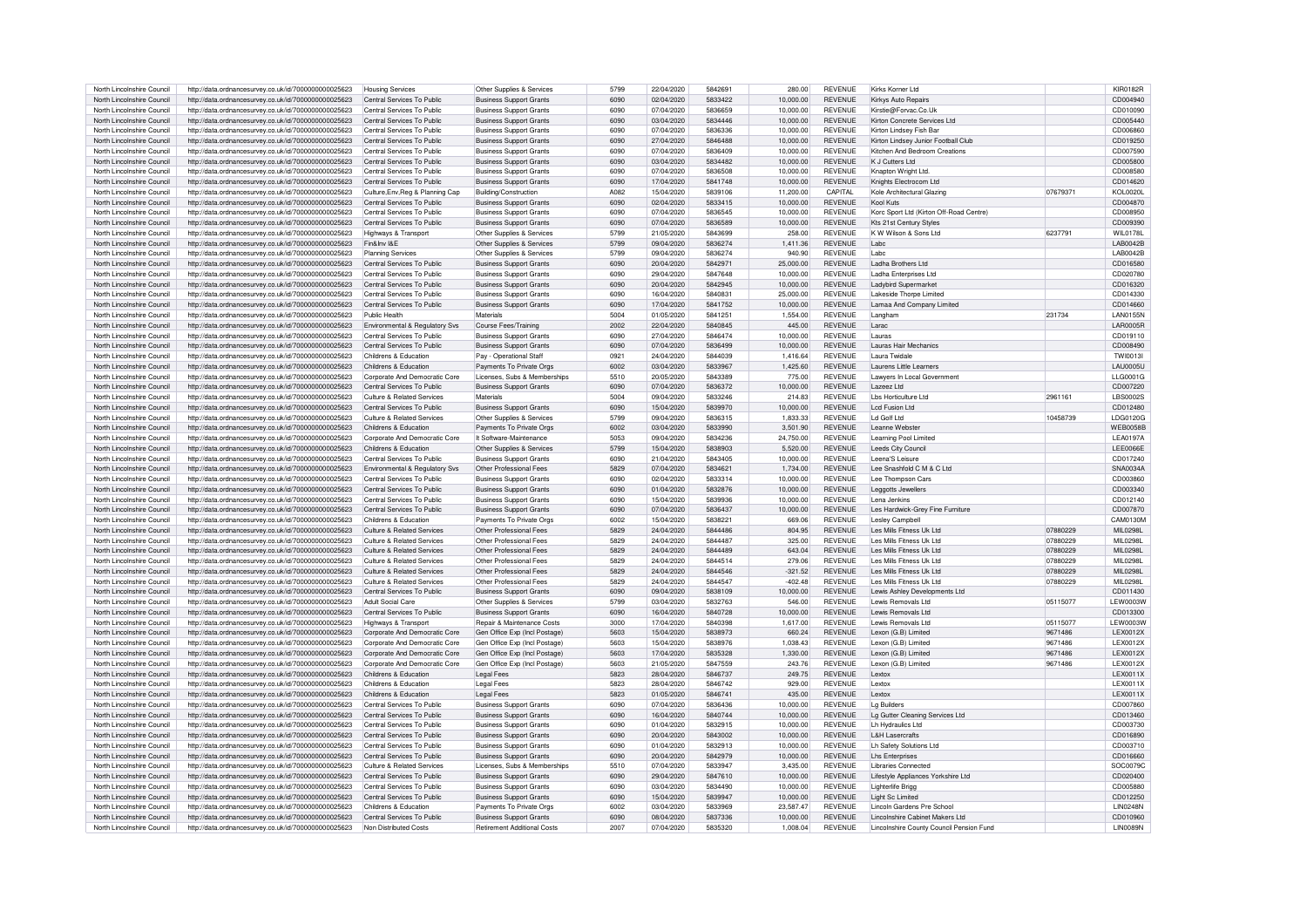| North Lincolnshire Council | http://data.ordnancesurvey.co.uk/id/7000000000025623 | <b>Housing Services</b>               | Other Supplies & Services      | 5799 | 22/04/2020 | 5842691 | 280.00    | <b>REVENUE</b> | Kirks Korner I td                        |          | <b>KIR0182R</b>  |
|----------------------------|------------------------------------------------------|---------------------------------------|--------------------------------|------|------------|---------|-----------|----------------|------------------------------------------|----------|------------------|
| North Lincolnshire Council | http://data.ordnancesurvey.co.uk/id/7000000000025623 | Central Services To Public            | <b>Business Support Grants</b> | 6090 | 02/04/2020 | 5833422 | 10.000.00 | <b>REVENUE</b> | Kirkys Auto Repairs                      |          | CD004940         |
|                            |                                                      | Central Services To Public            |                                | 6090 |            | 5836659 |           |                |                                          |          |                  |
| North Lincolnshire Council | http://data.ordnancesurvey.co.uk/id/7000000000025623 |                                       | <b>Business Support Grants</b> |      | 07/04/2020 |         | 10.000.00 | <b>REVENUE</b> | Kirstie@Forvac.Co.Uk                     |          | CD010090         |
| North Lincolnshire Council | http://data.ordnancesurvey.co.uk/id/7000000000025623 | Central Services To Public            | <b>Business Support Grants</b> | 6090 | 03/04/2020 | 5834446 | 10,000.00 | <b>REVENUE</b> | Kirton Concrete Services Ltd             |          | CD005440         |
| North Lincolnshire Council | http://data.ordnancesurvey.co.uk/id/7000000000025623 | Central Services To Public            | <b>Business Support Grants</b> | 6090 | 07/04/2020 | 5836336 | 10.000.00 | <b>REVENUE</b> | Kirton Lindsev Fish Bar                  |          | CD006860         |
| North Lincolnshire Council | http://data.ordnancesurvey.co.uk/id/7000000000025623 | Central Services To Public            | <b>Business Support Grants</b> | 6090 | 27/04/2020 | 5846488 | 10.000.00 | <b>REVENUE</b> | Kirton Lindsey Junior Football Club      |          | CD019250         |
| North Lincolnshire Council | http://data.ordnancesurvey.co.uk/id/7000000000025623 | Central Services To Public            | <b>Business Support Grants</b> | 6090 | 07/04/2020 | 5836409 | 10,000.00 | <b>REVENUE</b> | Kitchen And Bedroom Creation:            |          | CD007590         |
| North Lincolnshire Council | http://data.ordnancesurvey.co.uk/id/7000000000025623 | Central Services To Public            | <b>Business Support Grants</b> | 6090 | 03/04/2020 | 5834482 | 10.000.00 | <b>REVENUE</b> | K J Cutters Ltd                          |          | CD005800         |
| North Lincolnshire Council | http://data.ordnancesurvey.co.uk/id/7000000000025623 | Central Services To Public            | <b>Business Support Grants</b> | 6090 | 07/04/2020 | 5836508 | 10.000.00 | <b>REVENUE</b> | Knapton Wright Ltd                       |          | CD008580         |
| North Lincolnshire Council | http://data.ordnancesurvey.co.uk/id/7000000000025623 | Central Services To Public            | <b>Business Support Grants</b> | 6090 | 17/04/2020 | 5841748 | 10.000.00 | <b>REVENUE</b> | Knights Electrocom Ltd                   |          | CD014620         |
|                            |                                                      |                                       |                                |      |            |         |           |                |                                          |          |                  |
| North Lincolnshire Council | http://data.ordnancesurvey.co.uk/id/7000000000025623 | Culture, Env, Reg & Planning Cap      | Building/Construction          | A082 | 15/04/2020 | 5839106 | 11,200.00 | CAPITAL        | Kole Architectural Glazino               | 07679371 | <b>KOL0020L</b>  |
| North Lincolnshire Council | http://data.ordnancesurvey.co.uk/id/7000000000025623 | Central Services To Public            | <b>Business Support Grants</b> | 6090 | 02/04/2020 | 5833415 | 10,000.00 | <b>REVENUE</b> | Kool Kuts                                |          | CD004870         |
| North Lincolnshire Council | http://data.ordnancesurvey.co.uk/id/7000000000025623 | Central Services To Public            | <b>Business Support Grants</b> | 6090 | 07/04/2020 | 5836545 | 10.000.00 | <b>REVENUE</b> | Korc Sport Ltd (Kirton Off-Road Centre)  |          | CD008950         |
| North Lincolnshire Council | http://data.ordnancesurvey.co.uk/id/7000000000025623 | Central Services To Public            | <b>Business Support Grants</b> | 6090 | 07/04/2020 | 5836589 | 10.000.00 | <b>REVENUE</b> | Kts 21st Century Styles                  |          | CD009390         |
| North Lincolnshire Council | http://data.ordnancesurvey.co.uk/id/7000000000025623 | Highways & Transport                  | Other Supplies & Services      | 5799 | 21/05/2020 | 5843699 | 258.00    | <b>REVENUE</b> | K W Wilson & Sons Ltd                    | 6237791  | WII 0178L        |
| North Lincolnshire Council | http://data.ordnancesurvey.co.uk/id/7000000000025623 | Fin&Inv I&E                           | Other Supplies & Services      | 5799 | 09/04/2020 | 5836274 | 1.411.36  | <b>REVENUE</b> | I abc                                    |          | LAB0042B         |
| North Lincolnshire Council | http://data.ordnancesurvey.co.uk/id/7000000000025623 | <b>Planning Services</b>              | Other Supplies & Services      | 5799 | 09/04/2020 | 5836274 | 940.90    | <b>REVENUE</b> | I abc                                    |          | <b>LAB0042E</b>  |
|                            |                                                      |                                       |                                |      |            |         |           | <b>REVENUE</b> | Ladha Brothers Ltd                       |          |                  |
| North Lincolnshire Council | http://data.ordnancesurvey.co.uk/id/7000000000025623 | Central Services To Public            | <b>Business Support Grants</b> | 6090 | 20/04/2020 | 5842971 | 25,000.00 |                |                                          |          | CD016580         |
| North Lincolnshire Council | http://data.ordnancesurvey.co.uk/id/7000000000025623 | Central Services To Public            | <b>Business Support Grants</b> | 6090 | 29/04/2020 | 5847648 | 10,000.00 | <b>REVENUE</b> | Ladha Enterprises Ltd                    |          | CD020780         |
| North Lincolnshire Council | http://data.ordnancesurvey.co.uk/id/7000000000025623 | Central Services To Public            | <b>Business Support Grants</b> | 6090 | 20/04/2020 | 5842945 | 10.000.00 | <b>REVENUE</b> | Ladybird Supermarket                     |          | CD016320         |
| North Lincolnshire Council | http://data.ordnancesurvey.co.uk/id/7000000000025623 | Central Services To Public            | <b>Business Support Grants</b> | 6090 | 16/04/2020 | 5840831 | 25,000.00 | <b>REVENUE</b> | Lakeside Thorpe Limited                  |          | CD014330         |
| North Lincolnshire Council | http://data.ordnancesurvey.co.uk/id/7000000000025623 | Central Services To Public            | <b>Business Support Grants</b> | 6090 | 17/04/2020 | 5841752 | 10,000.00 | <b>REVENUE</b> | Lamaa And Company Limited                |          | CD014660         |
| North Lincolnshire Council | http://data.ordnancesurvey.co.uk/id/7000000000025623 | Public Health                         | Materials                      | 5004 | 01/05/2020 | 5841251 | 1.554.00  | <b>REVENUE</b> | Langham                                  | 231734   | <b>LAN0155N</b>  |
| North Lincolnshire Council | http://data.ordnancesurvey.co.uk/id/7000000000025623 | Environmental & Regulatory Sys        | Course Fees/Training           | 2002 | 22/04/2020 | 5840845 | 445.00    | <b>REVENUE</b> | Larac                                    |          | <b>LAR0005R</b>  |
| North Lincolnshire Council |                                                      |                                       |                                | 6090 | 27/04/2020 | 5846474 | 10.000.00 | <b>REVENUE</b> |                                          |          |                  |
|                            | http://data.ordnancesurvey.co.uk/id/7000000000025623 | Central Services To Public            | <b>Business Support Grants</b> |      |            |         |           |                | Lauras                                   |          | CD019110         |
| North Lincolnshire Council | http://data.ordnancesurvey.co.uk/id/7000000000025623 | Central Services To Public            | <b>Business Support Grants</b> | 6090 | 07/04/2020 | 5836499 | 10,000.00 | <b>REVENUE</b> | Lauras Hair Mechanics                    |          | CD008490         |
| North Lincolnshire Council | http://data.ordnancesurvey.co.uk/id/7000000000025623 | Childrens & Education                 | Pay - Operational Staf         | 0921 | 24/04/2020 | 5844039 | 1.416.64  | <b>REVENUE</b> | Laura Twidale                            |          | TW10013          |
| North Lincolnshire Council | http://data.ordnancesurvey.co.uk/id/7000000000025623 | Childrens & Education                 | Payments To Private Orgs       | 6002 | 03/04/2020 | 5833967 | 1,425.60  | <b>REVENUE</b> | Laurens Little Learners                  |          | <b>LAU0005U</b>  |
| North Lincolnshire Council | http://data.ordnancesurvey.co.uk/id/7000000000025623 | Corporate And Democratic Core         | Licenses, Subs & Memberships   | 5510 | 20/05/2020 | 5843389 | 775.00    | <b>REVENUE</b> | Lawvers In Local Government              |          | LLG0001G         |
| North Lincolnshire Council | http://data.ordnancesurvey.co.uk/id/7000000000025623 | Central Services To Public            | <b>Business Support Grants</b> | 6090 | 07/04/2020 | 5836372 | 10,000.00 | <b>REVENUE</b> | Lazeez Ltd                               |          | CD007220         |
| North Lincolnshire Council |                                                      | Culture & Related Services            | Materials                      | 5004 | 09/04/2020 | 5833246 | 214.83    | <b>REVENUE</b> | I bs Horticulture I td                   | 2961161  | LBS0002S         |
|                            | http://data.ordnancesurvey.co.uk/id/7000000000025623 |                                       |                                |      |            |         |           |                |                                          |          |                  |
| North Lincolnshire Council | http://data.ordnancesurvey.co.uk/id/7000000000025623 | Central Services To Public            | <b>Business Support Grants</b> | 6090 | 15/04/2020 | 5839970 | 10.000.00 | <b>REVENUE</b> | Lcd Fusion Ltd                           |          | CD012480         |
| North Lincolnshire Council | http://data.ordnancesurvey.co.uk/id/7000000000025623 | Culture & Related Services            | Other Supplies & Services      | 5799 | 09/04/2020 | 5836315 | 1.833.33  | <b>REVENUE</b> | I d Golf I td                            | 10458739 | LDG0120G         |
| North Lincolnshire Council | http://data.ordnancesurvey.co.uk/id/7000000000025623 | Childrens & Education                 | Payments To Private Orgs       | 6002 | 03/04/2020 | 5833990 | 3.501.90  | <b>REVENUE</b> | Leanne Webste                            |          | WFB0058B         |
| North Lincolnshire Council | http://data.ordnancesurvey.co.uk/id/7000000000025623 | Corporate And Democratic Core         | It Software-Maintenance        | 5053 | 09/04/2020 | 5834236 | 24,750.00 | <b>REVENUE</b> | Learning Pool Limited                    |          | <b>LEA0197A</b>  |
| North Lincolnshire Council | http://data.ordnancesurvey.co.uk/id/7000000000025623 | Childrens & Education                 | Other Supplies & Services      | 5799 | 15/04/2020 | 5838903 | 5,520.00  | <b>REVENUE</b> | Leeds City Counci                        |          | <b>LEE0066E</b>  |
| North Lincolnshire Council | http://data.ordnancesurvey.co.uk/id/7000000000025623 | Central Services To Public            | <b>Business Support Grants</b> | 6090 | 21/04/2020 | 5843405 | 10.000.00 | <b>REVENUE</b> | Leena'S Leisure                          |          | CD017240         |
| North Lincolnshire Council |                                                      | Environmental & Regulatory Sys        | Other Professional Fees        | 5829 | 07/04/2020 | 5834621 | 1.734.00  | <b>REVENUE</b> | Lee Snashfold C M & C Ltd                |          | SNA0034A         |
|                            | http://data.ordnancesurvey.co.uk/id/7000000000025623 |                                       |                                | 6090 |            | 5833314 |           |                |                                          |          |                  |
| North Lincolnshire Council | http://data.ordnancesurvey.co.uk/id/7000000000025623 | Central Services To Public            | <b>Business Support Grants</b> |      | 02/04/2020 |         | 10.000.00 | <b>REVENUE</b> | Lee Thompson Cars                        |          | CD003860         |
| North Lincolnshire Council | http://data.ordnancesurvey.co.uk/id/7000000000025623 | Central Services To Public            | <b>Business Support Grants</b> | 6090 | 01/04/2020 | 5832876 | 10.000.00 | <b>REVENUE</b> | Leggotts Jewellers                       |          | CD003340         |
| North Lincolnshire Council | http://data.ordnancesurvev.co.uk/id/7000000000025623 | Central Services To Public            | <b>Business Support Grants</b> | 6090 | 15/04/2020 | 5839936 | 10,000.00 | <b>REVENUE</b> | Lena Jenkins                             |          | CD012140         |
| North Lincolnshire Council | http://data.ordnancesurvey.co.uk/id/7000000000025623 | Central Services To Public            | <b>Business Support Grants</b> | 6090 | 07/04/2020 | 5836437 | 10,000.00 | <b>REVENUE</b> | Les Hardwick-Grey Fine Furniture         |          | CD007870         |
| North Lincolnshire Council | http://data.ordnancesurvey.co.uk/id/7000000000025623 | Childrens & Education                 | Payments To Private Orgs       | 6002 | 15/04/2020 | 5838221 | 669.06    | <b>REVENUE</b> | Lesley Campbel                           |          | CAM0130M         |
| North Lincolnshire Council | http://data.ordnancesurvey.co.uk/id/7000000000025623 | <b>Culture &amp; Related Services</b> | Other Professional Fees        | 5829 | 24/04/2020 | 5844486 | 804.95    | <b>REVENUE</b> | Les Mills Fitness Uk Ltd                 | 07880229 | <b>MIL0298L</b>  |
| North Lincolnshire Council | http://data.ordnancesurvey.co.uk/id/7000000000025623 | Culture & Related Services            | Other Professional Fees        | 5829 | 24/04/2020 | 5844487 | 325.00    | <b>REVENUE</b> | Les Mills Fitness Uk Ltd                 | 07880229 | MIL0298L         |
|                            |                                                      |                                       |                                |      |            |         |           |                |                                          |          |                  |
| North Lincolnshire Council | http://data.ordnancesurvey.co.uk/id/7000000000025623 | Culture & Related Services            | Other Professional Fees        | 5829 | 24/04/2020 | 5844489 | 643.04    | <b>REVENUE</b> | Les Mills Fitness Uk Ltd                 | 07880229 | <b>MIL0298L</b>  |
| North Lincolnshire Council | http://data.ordnancesurvey.co.uk/id/7000000000025623 | Culture & Related Services            | Other Professional Fees        | 5829 | 24/04/2020 | 5844514 | 279.06    | <b>REVENUE</b> | Les Mills Fitness Uk Ltd                 | 07880229 | MIL0298L         |
| North Lincolnshire Council | http://data.ordnancesurvey.co.uk/id/7000000000025623 | Culture & Related Services            | Other Professional Fees        | 5829 | 24/04/2020 | 5844546 | $-321.52$ | <b>REVENUE</b> | Les Mills Fitness Uk Ltd                 | 07880229 | MII 02981        |
| North Lincolnshire Council | http://data.ordnancesurvey.co.uk/id/7000000000025623 | Culture & Related Services            | Other Professional Fees        | 5829 | 24/04/2020 | 5844547 | $-402.48$ | <b>REVENUE</b> | Les Mills Fitness Uk Ltd                 | 07880229 | MII 02981        |
| North Lincolnshire Council | http://data.ordnancesurvey.co.uk/id/7000000000025623 | Central Services To Public            | <b>Business Support Grants</b> | 6090 | 09/04/2020 | 5838109 | 10.000.00 | <b>REVENUE</b> | Lewis Ashley Developments Ltd            |          | CD011430         |
| North Lincolnshire Council | http://data.ordnancesurvey.co.uk/id/7000000000025623 | <b>Adult Social Care</b>              | Other Supplies & Services      | 5799 | 03/04/2020 | 5832763 | 546.00    | <b>REVENUE</b> | Lewis Removals Ltd                       | 05115077 | <b>LEW0003W</b>  |
| North Lincolnshire Council | http://data.ordnancesurvey.co.uk/id/7000000000025623 | Central Services To Public            | <b>Business Support Grants</b> | 6090 | 16/04/2020 | 5840728 | 10.000.00 | <b>REVENUE</b> | Lewis Removals Ltd                       |          | CD013300         |
|                            |                                                      |                                       |                                |      |            |         |           |                |                                          |          |                  |
| North Lincolnshire Council | http://data.ordnancesurvey.co.uk/id/7000000000025623 | Highways & Transport                  | Repair & Maintenance Costs     | 3000 | 17/04/2020 | 5840398 | 1,617.00  | REVENUE        | Lewis Removals Ltd                       | 05115077 | LEW0003W         |
| North Lincolnshire Council | http://data.ordnancesurvey.co.uk/id/7000000000025623 | Corporate And Democratic Core         | Gen Office Exp (Incl Postage   | 5603 | 15/04/2020 | 5838973 | 660.24    | <b>REVENUE</b> | Lexon (G.B) Limited                      | 9671486  | LEX0012X         |
| North Lincolnshire Council | http://data.ordnancesurvey.co.uk/id/7000000000025623 | Corporate And Democratic Core         | Gen Office Exp (Incl Postage   | 5603 | 15/04/2020 | 5838976 | 1.038.43  | <b>REVENUE</b> | Lexon (G.B) Limited                      | 9671486  | LEX0012>         |
| North Lincolnshire Council | http://data.ordnancesurvey.co.uk/id/7000000000025623 | Corporate And Democratic Core         | Gen Office Exp (Incl Postage)  | 5603 | 17/04/2020 | 5835328 | 1,330.00  | <b>REVENUE</b> | Lexon (G.B) Limited                      | 9671486  | <b>LEX0012X</b>  |
| North Lincolnshire Council | http://data.ordnancesurvey.co.uk/id/7000000000025623 | Corporate And Democratic Core         | Gen Office Exp (Incl Postage)  | 5603 | 21/05/2020 | 5847559 | 243.76    | <b>REVENUE</b> | Lexon (G.B) Limited                      | 9671486  | <b>LEX0012X</b>  |
| North Lincolnshire Council | http://data.ordnancesurvey.co.uk/id/7000000000025623 | Childrens & Education                 | <b>Legal Fees</b>              | 5823 | 28/04/2020 | 5846737 | 249.75    | <b>REVENUE</b> | Lexto>                                   |          | LEX0011X         |
| North Lincolnshire Council | http://data.ordnancesurvey.co.uk/id/7000000000025623 | Childrens & Education                 | I egal Fees                    | 5823 | 28/04/2020 | 5846742 | 929.00    | <b>REVENUE</b> | Lexto>                                   |          | LEX0011X         |
| North Lincolnshire Council |                                                      | Childrens & Education                 | Legal Fees                     | 5823 | 01/05/2020 | 5846741 | 435.00    | <b>REVENUE</b> | Lextox                                   |          | LEX0011X         |
|                            | http://data.ordnancesurvey.co.uk/id/7000000000025623 |                                       |                                |      |            |         |           |                |                                          |          |                  |
| North Lincolnshire Council | http://data.ordnancesurvey.co.uk/id/7000000000025623 | Central Services To Public            | <b>Business Support Grants</b> | 6090 | 07/04/2020 | 5836436 | 10.000.00 | <b>REVENUE</b> | La Builders                              |          | CD007860         |
| North Lincolnshire Council | http://data.ordnancesurvey.co.uk/id/7000000000025623 | Central Services To Public            | <b>Business Support Grants</b> | 6090 | 16/04/2020 | 5840744 | 10,000.00 | <b>REVENUE</b> | Lg Gutter Cleaning Services Ltd          |          | CD013460         |
| North Lincolnshire Council | http://data.ordnancesurvey.co.uk/id/7000000000025623 | Central Services To Public            | <b>Business Support Grants</b> | 6090 | 01/04/2020 | 5832915 | 10,000.00 | <b>REVENUE</b> | Lh Hydraulics Ltd                        |          | CD003730         |
| North Lincolnshire Council | http://data.ordnancesurvey.co.uk/id/7000000000025623 | Central Services To Public            | <b>Business Support Grants</b> | 6090 | 20/04/2020 | 5843002 | 10,000.00 | <b>REVENUE</b> | <b>L&amp;H Lasercrafts</b>               |          | CD016890         |
| North Lincolnshire Council | http://data.ordnancesurvey.co.uk/id/7000000000025623 | Central Services To Public            | <b>Business Support Grants</b> | 6090 | 01/04/2020 | 5832913 | 10.000.00 | <b>REVENUE</b> | Lh Safety Solutions Ltd                  |          | CD003710         |
| North Lincolnshire Council | http://data.ordnancesurvey.co.uk/id/7000000000025623 | Central Services To Public            | <b>Business Support Grants</b> | 6090 | 20/04/2020 | 5842979 | 10.000.00 | <b>REVENUE</b> | I hs Enterprises                         |          | CD016660         |
| North Lincolnshire Council | http://data.ordnancesurvey.co.uk/id/7000000000025623 | Culture & Related Services            | Licenses, Subs & Memberships   | 5510 | 07/04/2020 | 5833947 | 3.435.00  | <b>REVENUE</b> | <b>Libraries Connected</b>               |          | SOC0079C         |
|                            |                                                      |                                       |                                |      |            |         |           |                |                                          |          |                  |
| North Lincolnshire Council | http://data.ordnancesurvey.co.uk/id/7000000000025623 | Central Services To Public            | <b>Business Support Grants</b> | 6090 | 29/04/2020 | 5847610 | 10,000.00 | <b>REVENUE</b> | Lifestyle Appliances Yorkshire Ltd       |          | CD020400         |
| North Lincolnshire Council | http://data.ordnancesurvey.co.uk/id/7000000000025623 | Central Services To Public            | <b>Business Support Grants</b> | 6090 | 03/04/2020 | 5834490 | 10,000.00 | <b>REVENUE</b> | Lighterlife Brigg                        |          | CD005880         |
| North Lincolnshire Council | http://data.ordnancesurvey.co.uk/id/7000000000025623 | Central Services To Public            | <b>Business Support Grants</b> | 6090 | 15/04/2020 | 5839947 | 10.000.00 | <b>REVENUE</b> | Light Sc Limited                         |          | CD012250         |
| North Lincolnshire Council | http://data.ordnancesurvey.co.uk/id/7000000000025623 | Childrens & Education                 | Payments To Private Oras       | 6002 | 03/04/2020 | 5833969 | 23,587.47 | <b>REVENUE</b> | Lincoln Gardens Pre School               |          | <b>I IN0248N</b> |
| North Lincolnshire Council | http://data.ordnancesurvey.co.uk/id/7000000000025623 | Central Services To Public            | <b>Business Support Grants</b> | 6090 | 08/04/2020 | 5837336 | 10.000.00 | <b>REVENUE</b> | Lincolnshire Cabinet Makers Ltd          |          | CD010960         |
| North Lincolnshire Council | http://data.ordnancesurvey.co.uk/id/7000000000025623 | Non Distributed Costs                 | Retirement Additional Costs    | 2007 | 07/04/2020 | 5835320 | 1,008.04  | <b>REVENUE</b> | Lincolnshire County Council Pension Fund |          | LIN0089N         |
|                            |                                                      |                                       |                                |      |            |         |           |                |                                          |          |                  |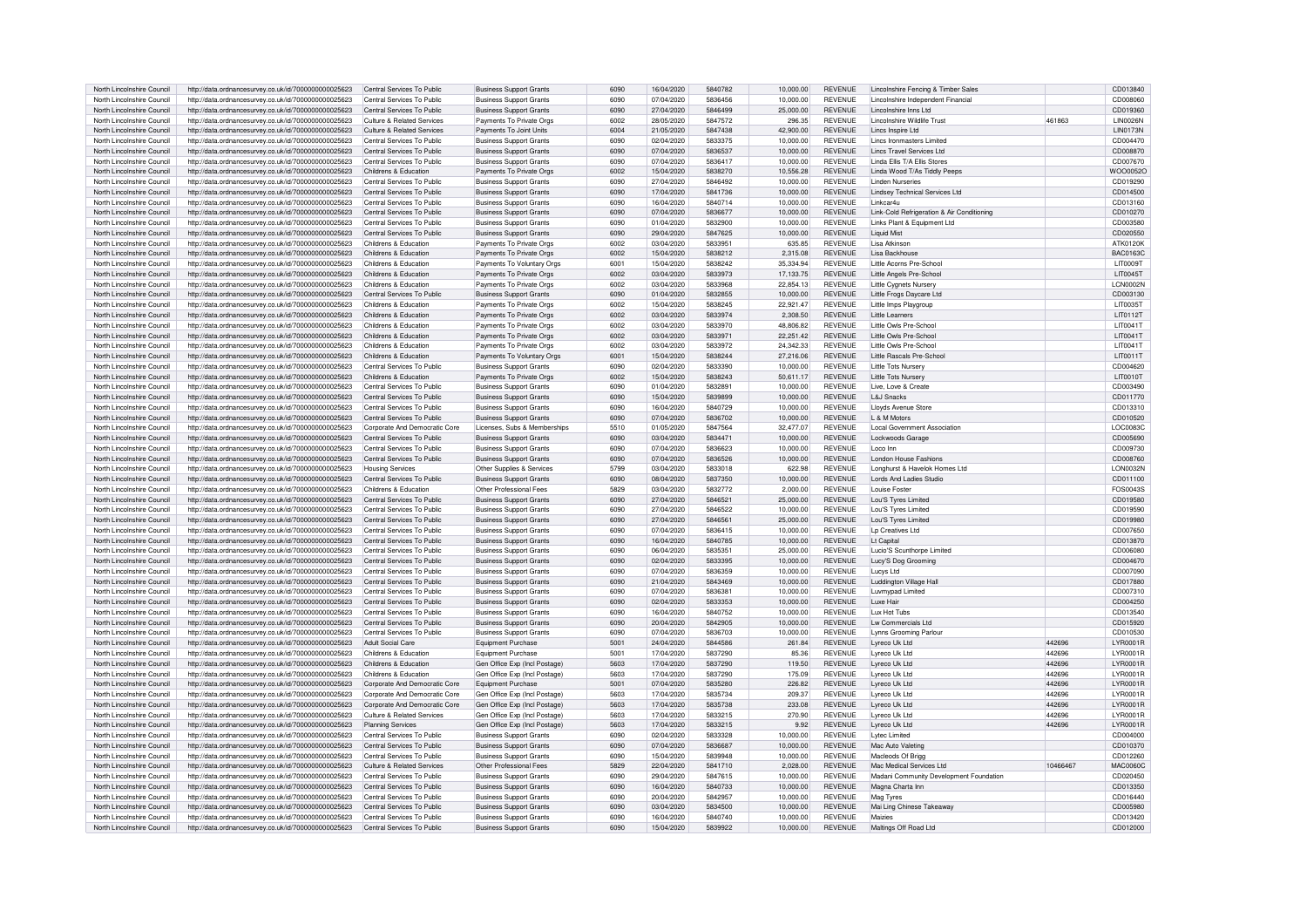| North Lincolnshire Council | http://data.ordnancesurvey.co.uk/id/7000000000025623 | Central Services To Public    | <b>Business Support Grants</b> | 6090 | 16/04/2020 | 5840782 | 10.000.00 | <b>REVENUE</b> | Lincolnshire Fencing & Timber Sales        |          | CD013840         |
|----------------------------|------------------------------------------------------|-------------------------------|--------------------------------|------|------------|---------|-----------|----------------|--------------------------------------------|----------|------------------|
| North Lincolnshire Council | http://data.ordnancesurvey.co.uk/id/7000000000025623 | Central Services To Public    | <b>Business Support Grants</b> | 6090 | 07/04/2020 | 5836456 | 10,000.00 | <b>REVENUE</b> | Lincolnshire Independent Financial         |          | CD008060         |
| North Lincolnshire Council | http://data.ordnancesurvey.co.uk/id/7000000000025623 | Central Services To Public    | <b>Business Support Grants</b> | 6090 | 27/04/2020 | 5846499 | 25,000.00 | <b>REVENUE</b> | Lincolnshire Inns Ltd                      |          | CD019360         |
| North Lincolnshire Council | http://data.ordnancesurvey.co.uk/id/7000000000025623 | Culture & Related Services    | Payments To Private Orgs       | 6002 | 28/05/2020 | 5847572 | 296.35    | <b>REVENUE</b> | Lincolnshire Wildlife Trust                | 461863   | <b>LIN0026N</b>  |
| North Lincolnshire Council | http://data.ordnancesurvey.co.uk/id/7000000000025623 | Culture & Related Services    |                                | 6004 | 21/05/2020 | 5847438 | 42.900.00 | <b>REVENUE</b> | Lincs Inspire Ltd                          |          | <b>LIN0173N</b>  |
| North Lincolnshire Council |                                                      | Central Services To Public    | Payments To Joint Units        | 6090 |            | 5833375 | 10.000.00 | <b>REVENUE</b> | Lincs Ironmasters Limited                  |          |                  |
|                            | http://data.ordnancesurvey.co.uk/id/7000000000025623 |                               | <b>Business Support Grants</b> |      | 02/04/2020 |         |           |                |                                            |          | CD004470         |
| North Lincolnshire Council | http://data.ordnancesurvey.co.uk/id/7000000000025623 | Central Services To Public    | <b>Business Support Grants</b> | 6090 | 07/04/2020 | 5836537 | 10,000.00 | <b>REVENUE</b> | Lincs Travel Services Ltd.                 |          | CD008870         |
| North Lincolnshire Council | http://data.ordnancesurvey.co.uk/id/7000000000025623 | Central Services To Public    | <b>Business Support Grants</b> | 6090 | 07/04/2020 | 5836417 | 10,000.00 | <b>REVENUE</b> | Linda Filis T/A Filis Stores               |          | CD007670         |
| North Lincolnshire Council | http://data.ordnancesurvey.co.uk/id/7000000000025623 | Childrens & Education         | Payments To Private Orgs       | 6002 | 15/04/2020 | 5838270 | 10,556.28 | REVENUE        | Linda Wood T/As Tiddly Peeps               |          | WOO0052C         |
| North Lincolnshire Council | http://data.ordnancesurvey.co.uk/id/7000000000025623 | Central Services To Public    | <b>Business Support Grants</b> | 6090 | 27/04/2020 | 5846492 | 10,000.00 | <b>REVENUE</b> | <b>Linden Nurseries</b>                    |          | CD019290         |
| North Lincolnshire Council | http://data.ordnancesurvey.co.uk/id/7000000000025623 | Central Services To Public    | <b>Business Support Grants</b> | 6090 | 17/04/2020 | 5841736 | 10,000.00 | <b>REVENUE</b> | <b>Lindsey Technical Services Ltd</b>      |          | CD014500         |
| North Lincolnshire Council | http://data.ordnancesurvey.co.uk/id/7000000000025623 | Central Services To Public    | <b>Business Support Grants</b> | 6090 | 16/04/2020 | 5840714 | 10.000.00 | <b>REVENUE</b> | Linkcar4r                                  |          | CD013160         |
| North Lincolnshire Council | http://data.ordnancesurvey.co.uk/id/7000000000025623 | Central Services To Public    | <b>Business Support Grants</b> | 6090 | 07/04/2020 | 5836677 | 10,000.00 | <b>REVENUE</b> | Link-Cold Refrigeration & Air Conditioning |          | CD010270         |
| North Lincolnshire Council | http://data.ordnancesurvey.co.uk/id/7000000000025623 | Central Services To Public    | <b>Business Support Grants</b> | 6090 | 01/04/2020 | 5832900 | 10,000.00 | REVENUE        | Links Plant & Equipment Ltd                |          | CD003580         |
| North Lincolnshire Council | http://data.ordnancesurvey.co.uk/id/7000000000025623 | Central Services To Public    | <b>Business Support Grants</b> | 6090 | 29/04/2020 | 5847625 | 10.000.00 | <b>REVENUE</b> | <b>Liquid Mist</b>                         |          | CD020550         |
| North Lincolnshire Council | http://data.ordnancesurvey.co.uk/id/7000000000025623 | Childrens & Education         | Payments To Private Orgs       | 6002 | 03/04/2020 | 5833951 | 635.85    | <b>REVENUE</b> | Lisa Atkinson                              |          | ATK0120K         |
|                            |                                                      |                               |                                |      |            |         |           |                |                                            |          |                  |
| North Lincolnshire Council | http://data.ordnancesurvey.co.uk/id/7000000000025623 | Childrens & Education         | Payments To Private Orgs       | 6002 | 15/04/2020 | 5838212 | 2,315.08  | <b>REVENUE</b> | Lisa Backhouse                             |          | <b>BAC0163C</b>  |
| North Lincolnshire Council | http://data.ordnancesurvey.co.uk/id/7000000000025623 | Childrens & Education         | Payments To Voluntary Orgs     | 6001 | 15/04/2020 | 5838242 | 35.334.94 | <b>REVENUE</b> | Little Acorns Pre-School                   |          | LIT0009T         |
| North Lincolnshire Council | http://data.ordnancesurvey.co.uk/id/7000000000025623 | Childrens & Education         | Payments To Private Orgs       | 6002 | 03/04/2020 | 5833973 | 17.133.75 | <b>REVENUE</b> | Little Angels Pre-School                   |          | LIT00451         |
| North Lincolnshire Council | http://data.ordnancesurvey.co.uk/id/7000000000025623 | Childrens & Education         | Payments To Private Orgs       | 6002 | 03/04/2020 | 5833968 | 22,854.13 | <b>REVENUE</b> | <b>Little Cygnets Nursery</b>              |          | <b>LCN0002N</b>  |
| North Lincolnshire Council | http://data.ordnancesurvey.co.uk/id/7000000000025623 | Central Services To Public    | <b>Business Support Grants</b> | 6090 | 01/04/2020 | 5832855 | 10.000.00 | <b>REVENUE</b> | Little Frogs Daycare Ltd                   |          | CD003130         |
| North Lincolnshire Council | http://data.ordnancesurvey.co.uk/id/7000000000025623 | Childrens & Education         | Payments To Private Orgs       | 6002 | 15/04/2020 | 5838245 | 22.921.47 | <b>REVENUE</b> | Little Imps Playgroup                      |          | LIT00351         |
| North Lincolnshire Council | http://data.ordnancesurvey.co.uk/id/7000000000025623 | Childrens & Education         | Payments To Private Orgs       | 6002 | 03/04/2020 | 5833974 | 2,308.50  | <b>REVENUE</b> | I ittle I earners                          |          | LIT0112T         |
| North Lincolnshire Council | http://data.ordnancesurvey.co.uk/id/7000000000025623 | Childrens & Education         | Payments To Private Orgs       | 6002 | 03/04/2020 | 5833970 | 48,806.82 | <b>REVENUE</b> | Little Owls Pre-School                     |          | LIT0041T         |
| North Lincolnshire Council | http://data.ordnancesurvey.co.uk/id/7000000000025623 | Childrens & Education         | Payments To Private Orgs       | 6002 | 03/04/2020 | 5833971 | 22,251.42 | <b>REVENUE</b> | Little Owls Pre-School                     |          | LIT0041T         |
|                            |                                                      |                               |                                |      |            |         |           |                |                                            |          |                  |
| North Lincolnshire Council | http://data.ordnancesurvey.co.uk/id/7000000000025623 | Childrens & Education         | Payments To Private Orgs       | 6002 | 03/04/2020 | 5833972 | 24.342.33 | <b>REVENUE</b> | Little Owls Pre-School                     |          | <b>I IT0041T</b> |
| North Lincolnshire Council | http://data.ordnancesurvey.co.uk/id/7000000000025623 | Childrens & Education         | Payments To Voluntary Orgs     | 6001 | 15/04/2020 | 5838244 | 27,216.06 | <b>REVENUE</b> | Little Bascals Pre-School                  |          | LIT0011T         |
| North Lincolnshire Council | http://data.ordnancesurvey.co.uk/id/7000000000025623 | Central Services To Public    | Business Support Grants        | 6090 | 02/04/2020 | 5833390 | 10,000.00 | <b>REVENUE</b> | Little Tots Nursery                        |          | CD004620         |
| North Lincolnshire Council | http://data.ordnancesurvey.co.uk/id/7000000000025623 | Childrens & Education         | Payments To Private Orgs       | 6002 | 15/04/2020 | 5838243 | 50,611.17 | <b>REVENUE</b> | Little Tots Nursery                        |          | LIT0010T         |
| North Lincolnshire Council | http://data.ordnancesurvey.co.uk/id/7000000000025623 | Central Services To Public    | <b>Business Support Grants</b> | 6090 | 01/04/2020 | 5832891 | 10,000.00 | <b>REVENUE</b> | Live, Love & Create                        |          | CD003490         |
| North Lincolnshire Council | http://data.ordnancesurvey.co.uk/id/7000000000025623 | Central Services To Public    | <b>Business Support Grants</b> | 6090 | 15/04/2020 | 5839899 | 10,000.00 | <b>REVENUE</b> | <b>L&amp;J Snacks</b>                      |          | CD011770         |
| North Lincolnshire Council | http://data.ordnancesurvey.co.uk/id/7000000000025623 | Central Services To Public    | <b>Business Support Grants</b> | 6090 | 16/04/2020 | 5840729 | 10,000.00 | <b>REVENUE</b> | Llovds Avenue Store                        |          | CD013310         |
| North Lincolnshire Council | http://data.ordnancesurvey.co.uk/id/7000000000025623 | Central Services To Public    | <b>Business Support Grants</b> | 6090 | 07/04/2020 | 5836702 | 10.000.00 | <b>REVENUE</b> | I & M Motors                               |          | CD010520         |
| North Lincolnshire Council | http://data.ordnancesurvey.co.uk/id/7000000000025623 | Corporate And Democratic Core | Licenses, Subs & Memberships   | 5510 | 01/05/2020 | 5847564 | 32.477.07 | <b>REVENUE</b> | Local Government Association               |          | LOC0083C         |
|                            |                                                      |                               |                                | 6090 | 03/04/2020 | 5834471 |           |                |                                            |          |                  |
| North Lincolnshire Council | http://data.ordnancesurvey.co.uk/id/7000000000025623 | Central Services To Public    | <b>Business Support Grants</b> |      |            |         | 10,000.00 | <b>REVENUE</b> | Lockwoods Garage                           |          | CD005690         |
| North Lincolnshire Council | http://data.ordnancesurvey.co.uk/id/7000000000025623 | Central Services To Public    | <b>Business Support Grants</b> | 6090 | 07/04/2020 | 5836623 | 10.000.00 | <b>REVENUE</b> | Loco Inn                                   |          | CD009730         |
| North Lincolnshire Council | http://data.ordnancesurvey.co.uk/id/7000000000025623 | Central Services To Public    | <b>Business Support Grants</b> | 6090 | 07/04/2020 | 5836526 | 10,000.00 | <b>REVENUE</b> | London House Eashions                      |          | CD008760         |
| North Lincolnshire Council | http://data.ordnancesurvey.co.uk/id/7000000000025623 | Housing Services              | Other Supplies & Services      | 5799 | 03/04/2020 | 5833018 | 622.98    | <b>REVENUE</b> | Longhurst & Havelok Homes Ltd              |          | LON0032N         |
| North Lincolnshire Council | http://data.ordnancesurvey.co.uk/id/7000000000025623 | Central Services To Public    | <b>Business Support Grants</b> | 6090 | 08/04/2020 | 5837350 | 10,000.00 | <b>REVENUE</b> | Lords And Ladies Studio                    |          | CD011100         |
| North Lincolnshire Council | http://data.ordnancesurvey.co.uk/id/7000000000025623 | Childrens & Education         | Other Professional Fees        | 5829 | 03/04/2020 | 5832772 | 2.000.00  | <b>REVENUE</b> | I guise Foster                             |          | FOS0043S         |
| North Lincolnshire Council | http://data.ordnancesurvey.co.uk/id/7000000000025623 | Central Services To Public    | <b>Business Support Grants</b> | 6090 | 27/04/2020 | 5846521 | 25,000.00 | <b>REVENUE</b> | Lou'S Tyres Limited                        |          | CD019580         |
| North Lincolnshire Council | http://data.ordnancesurvey.co.uk/id/7000000000025623 | Central Services To Public    | <b>Business Support Grants</b> | 6090 | 27/04/2020 | 5846522 | 10,000.00 | <b>REVENUE</b> | Lou'S Tyres Limited                        |          | CD019590         |
| North Lincolnshire Council | http://data.ordnancesurvey.co.uk/id/7000000000025623 | Central Services To Public    | <b>Business Support Grants</b> | 6090 | 27/04/2020 | 5846561 | 25,000.00 | <b>REVENUE</b> | Lou'S Tyres Limited                        |          | CD019980         |
| North Lincolnshire Council | http://data.ordnancesurvey.co.uk/id/7000000000025623 | Central Services To Public    | <b>Business Support Grants</b> | 6090 | 07/04/2020 | 5836415 | 10.000.00 | <b>REVENUE</b> | Lp Creatives Ltd                           |          | CD007650         |
| North Lincolnshire Council |                                                      | Central Services To Public    |                                | 6090 | 16/04/2020 | 5840785 | 10.000.00 | <b>REVENUE</b> | I t Canital                                |          |                  |
|                            | http://data.ordnancesurvey.co.uk/id/7000000000025623 |                               | <b>Business Support Grants</b> |      |            |         |           |                |                                            |          | CD013870         |
| North Lincolnshire Council | http://data.ordnancesurvey.co.uk/id/7000000000025623 | Central Services To Public    | <b>Business Support Grants</b> | 6090 | 06/04/2020 | 5835351 | 25,000.00 | <b>REVENUE</b> | Lucio'S Scunthorpe Limited                 |          | CD006080         |
| North Lincolnshire Council | http://data.ordnancesurvey.co.uk/id/7000000000025623 | Central Services To Public    | <b>Business Support Grants</b> | 6090 | 02/04/2020 | 5833395 | 10,000.00 | <b>REVENUE</b> | Lucy'S Dog Grooming                        |          | CD004670         |
| North Lincolnshire Council | http://data.ordnancesurvey.co.uk/id/7000000000025623 | Central Services To Public    | <b>Business Support Grants</b> | 6090 | 07/04/2020 | 5836359 | 10.000.00 | <b>REVENUE</b> | Lucys Ltd                                  |          | CD007090         |
| North Lincolnshire Council | http://data.ordnancesurvey.co.uk/id/7000000000025623 | Central Services To Public    | <b>Business Support Grants</b> | 6090 | 21/04/2020 | 5843469 | 10.000.00 | <b>REVENUE</b> | Luddington Village Hall                    |          | CD017880         |
| North Lincolnshire Council | http://data.ordnancesurvey.co.uk/id/7000000000025623 | Central Services To Public    | <b>Business Support Grants</b> | 6090 | 07/04/2020 | 5836381 | 10,000.00 | <b>REVENUE</b> | <b>Luvmvpad Limited</b>                    |          | CD007310         |
| North Lincolnshire Council | http://data.ordnancesurvey.co.uk/id/7000000000025623 | Central Services To Public    | <b>Business Support Grants</b> | 6090 | 02/04/2020 | 5833353 | 10,000.00 | <b>REVENUE</b> | Luxe Hair                                  |          | CD004250         |
| North Lincolnshire Council | http://data.ordnancesurvey.co.uk/id/7000000000025623 | Central Services To Public    | <b>Business Support Grants</b> | 6090 | 16/04/2020 | 5840752 | 10.000.00 | <b>REVENUE</b> | Lux Hot Tubs                               |          | CD013540         |
| North Lincolnshire Council | http://data.ordnancesurvey.co.uk/id/7000000000025623 | Central Services To Public    | <b>Business Support Grants</b> | 6090 | 20/04/2020 | 5842905 | 10,000.00 | <b>REVENUE</b> | Lw Commercials Ltd                         |          | CD015920         |
| North Lincolnshire Council | http://data.ordnancesurvey.co.uk/id/7000000000025623 | Central Services To Public    | <b>Business Support Grants</b> | 6090 | 07/04/2020 | 5836703 | 10,000.00 | <b>REVENUE</b> | Lynns Grooming Parlou                      |          | CD010530         |
| North Lincolnshire Council | http://data.ordnancesurvey.co.uk/id/7000000000025623 | <b>Adult Social Care</b>      | Equipment Purchase             | 5001 | 24/04/2020 | 5844586 | 261.84    | <b>REVENUE</b> | Lyreco Uk Ltd                              | 442696   | LYR0001R         |
|                            |                                                      |                               |                                | 5001 | 17/04/2020 | 5837290 | 85.36     |                |                                            | 442696   |                  |
| North Lincolnshire Council | http://data.ordnancesurvey.co.uk/id/7000000000025623 | Childrens & Education         | Equipment Purchase             |      |            |         |           | <b>REVENUE</b> | Lyreco Uk Ltd                              |          | LYR0001R         |
| North Lincolnshire Council | http://data.ordnancesurvey.co.uk/id/7000000000025623 | Childrens & Education         | Gen Office Exp (Incl Postage)  | 5603 | 17/04/2020 | 5837290 | 119.50    | <b>REVENUE</b> | Lyreco Uk Ltd                              | 442696   | LYR0001R         |
| North Lincolnshire Council | http://data.ordnancesurvey.co.uk/id/7000000000025623 | Childrens & Education         | Gen Office Exp (Incl Postage)  | 5603 | 17/04/2020 | 5837290 | 175.09    | <b>REVENUE</b> | I vreco Uk I to                            | 442696   | LYR0001R         |
| North Lincolnshire Council | http://data.ordnancesurvey.co.uk/id/7000000000025623 | Corporate And Democratic Core | Equipment Purchase             | 5001 | 07/04/2020 | 5835280 | 226.82    | <b>REVENUE</b> | Lyreco Uk Ltd                              | 442696   | LYR0001R         |
| North Lincolnshire Council | http://data.ordnancesurvey.co.uk/id/7000000000025623 | Corporate And Democratic Core | Gen Office Exp (Incl Postage)  | 5603 | 17/04/2020 | 5835734 | 209.37    | <b>REVENUE</b> | Lyreco Uk Ltd                              | 442696   | LYR0001R         |
| North Lincolnshire Council | http://data.ordnancesurvey.co.uk/id/7000000000025623 | Corporate And Democratic Core | Gen Office Exp (Incl Postage)  | 5603 | 17/04/2020 | 5835738 | 233.08    | <b>REVENUE</b> | Lyreco Uk Ltd                              | 442696   | LYR0001R         |
| North Lincolnshire Council | http://data.ordnancesurvev.co.uk/id/7000000000025623 | Culture & Related Services    | Gen Office Exp (Incl Postage)  | 5603 | 17/04/2020 | 5833215 | 270.90    | <b>REVENUE</b> | Lyreco Uk Ltd                              | 442696   | <b>I YR0001R</b> |
| North Lincolnshire Council | http://data.ordnancesurvey.co.uk/id/7000000000025623 | <b>Planning Services</b>      | Gen Office Exp (Incl Postage)  | 5603 | 17/04/2020 | 5833215 | 9.92      | <b>REVENUE</b> | Lyreco Uk Ltd                              | 442696   | LYR0001R         |
| North Lincolnshire Council | http://data.ordnancesurvey.co.uk/id/7000000000025623 | Central Services To Public    | <b>Business Support Grants</b> | 6090 | 02/04/2020 | 5833328 | 10,000.00 | <b>REVENUE</b> | Lytec Limited                              |          | CD004000         |
| North Lincolnshire Council | http://data.ordnancesurvey.co.uk/id/7000000000025623 | Central Services To Public    | <b>Business Support Grants</b> | 6090 | 07/04/2020 | 5836687 | 10,000.00 | <b>REVENUE</b> | Mac Auto Valeting                          |          | CD010370         |
|                            |                                                      |                               |                                |      |            |         |           |                |                                            |          |                  |
| North Lincolnshire Council | http://data.ordnancesurvey.co.uk/id/7000000000025623 | Central Services To Public    | <b>Business Support Grants</b> | 6090 | 15/04/2020 | 5839948 | 10.000.00 | <b>REVENUE</b> | Macleods Of Brigg                          |          | CD012260         |
| North Lincolnshire Council | http://data.ordnancesurvey.co.uk/id/7000000000025623 | Culture & Related Services    | Other Professional Fees        | 5829 | 22/04/2020 | 5841710 | 2.028.00  | <b>REVENUE</b> | Mac Medical Services Ltd                   | 10466467 | <b>MAC0060C</b>  |
| North Lincolnshire Council | http://data.ordnancesurvey.co.uk/id/7000000000025623 | Central Services To Public    | <b>Business Support Grants</b> | 6090 | 29/04/2020 | 5847615 | 10,000.00 | <b>REVENUE</b> | Madani Community Development Foundation    |          | CD020450         |
| North Lincolnshire Council | http://data.ordnancesurvey.co.uk/id/7000000000025623 | Central Services To Public    | <b>Business Support Grants</b> | 6090 | 16/04/2020 | 5840733 | 10,000.00 | <b>REVENUE</b> | Magna Charta Inn                           |          | CD013350         |
| North Lincolnshire Council | http://data.ordnancesurvey.co.uk/id/7000000000025623 | Central Services To Public    | <b>Business Support Grants</b> | 6090 | 20/04/2020 | 5842957 | 10.000.00 | <b>REVENUE</b> | Mag Tyres                                  |          | CD016440         |
| North Lincolnshire Council | http://data.ordnancesurvey.co.uk/id/7000000000025623 | Central Services To Public    | <b>Business Support Grants</b> | 6090 | 03/04/2020 | 5834500 | 10.000.00 | <b>REVENUE</b> | Mai Ling Chinese Takeaway                  |          | CD005980         |
| North Lincolnshire Council | http://data.ordnancesurvey.co.uk/id/7000000000025623 | Central Services To Public    | <b>Business Support Grants</b> | 6090 | 16/04/2020 | 5840740 | 10.000.00 | <b>REVENUE</b> | Maizies                                    |          | CD013420         |
| North Lincolnshire Council | http://data.ordnancesurvev.co.uk/id/7000000000025623 | Central Services To Public    | <b>Business Support Grants</b> | 6090 | 15/04/2020 | 5839922 | 10,000.00 | <b>REVENUE</b> | Maltings Off Road Ltd                      |          | CD012000         |
|                            |                                                      |                               |                                |      |            |         |           |                |                                            |          |                  |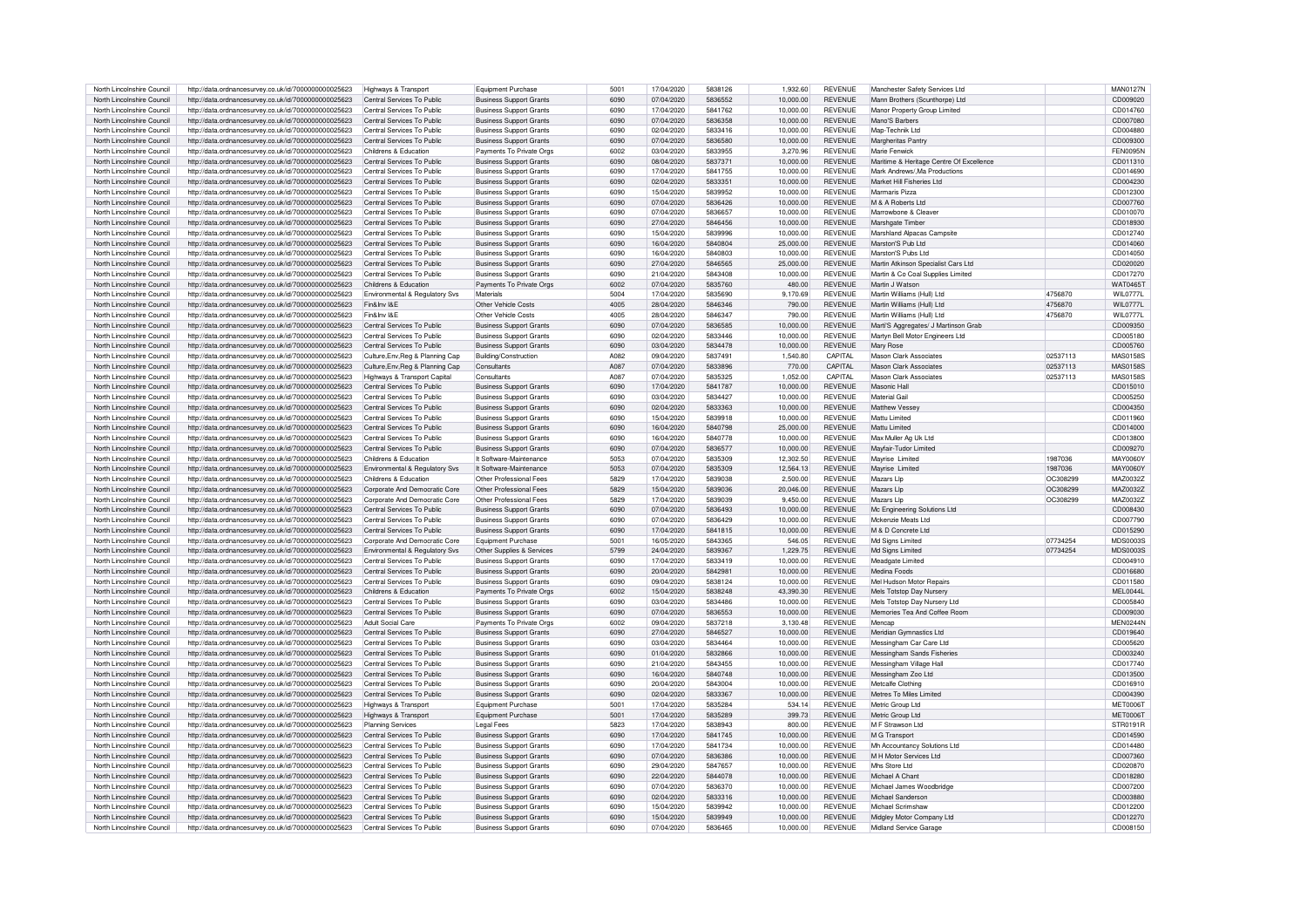| North Lincolnshire Council                               | http://data.ordnancesurvey.co.uk/id/7000000000025623                                                         | Highways & Transport                                     | Equipment Purchase                                               | 5001         | 17/04/2020               | 5838126            | 1.932.60               | <b>REVENUE</b>                   | Manchester Safety Services Ltd                      |          | <b>MAN0127N</b>      |
|----------------------------------------------------------|--------------------------------------------------------------------------------------------------------------|----------------------------------------------------------|------------------------------------------------------------------|--------------|--------------------------|--------------------|------------------------|----------------------------------|-----------------------------------------------------|----------|----------------------|
|                                                          |                                                                                                              |                                                          |                                                                  |              |                          | 5836552            |                        |                                  |                                                     |          |                      |
| North Lincolnshire Council                               | http://data.ordnancesurvey.co.uk/id/7000000000025623                                                         | Central Services To Public                               | <b>Business Support Grants</b>                                   | 6090         | 07/04/2020               |                    | 10,000.00              | <b>REVENUE</b>                   | Mann Brothers (Scunthorpe) Ltd                      |          | CD009020             |
| North Lincolnshire Council                               | http://data.ordnancesurvey.co.uk/id/7000000000025623                                                         | Central Services To Public                               | <b>Business Support Grants</b>                                   | 6090         | 17/04/2020               | 5841762            | 10,000.00              | <b>REVENUE</b>                   | Manor Property Group Limited                        |          | CD014760             |
| North Lincolnshire Council                               | http://data.ordnancesurvey.co.uk/id/7000000000025623                                                         | Central Services To Public                               | <b>Business Support Grants</b>                                   | 6090         | 07/04/2020               | 5836358            | 10,000.00              | <b>REVENUE</b>                   | Mano'S Barbers                                      |          | CD007080             |
| North Lincolnshire Council                               | http://data.ordnancesurvey.co.uk/id/7000000000025623                                                         | Central Services To Public                               | <b>Business Support Grants</b>                                   | 6090         | 02/04/2020               | 5833416            | 10,000.00              | <b>REVENUE</b>                   | Map-Technik Ltd                                     |          | CD004880             |
| North Lincolnshire Council                               | http://data.ordnancesurvey.co.uk/id/7000000000025623                                                         | Central Services To Public                               | <b>Business Support Grants</b>                                   | 6090         | 07/04/2020               | 5836580            | 10,000.00              | <b>REVENUE</b>                   | Margheritas Pantry                                  |          | CD009300             |
| North Lincolnshire Council                               | http://data.ordnancesurvey.co.uk/id/7000000000025623                                                         | Childrens & Education                                    | Payments To Private Org                                          | 6002         | 03/04/2020               | 5833955            | 3.270.96               | <b>REVENUE</b>                   | Marie Fenwick                                       |          | FFN0095N             |
|                                                          |                                                                                                              |                                                          |                                                                  |              |                          |                    |                        |                                  |                                                     |          |                      |
| North Lincolnshire Council                               | http://data.ordnancesurvey.co.uk/id/7000000000025623                                                         | Central Services To Public                               | <b>Business Support Grants</b>                                   | 6090         | 08/04/2020               | 5837371            | 10,000.00              | <b>REVENUE</b>                   | Maritime & Heritage Centre Of Excellence            |          | CD011310             |
| North Lincolnshire Council                               | http://data.ordnancesurvey.co.uk/id/7000000000025623                                                         | Central Services To Public                               | <b>Business Support Grants</b>                                   | 6090         | 17/04/2020               | 5841755            | 10.000.00              | <b>REVENUE</b>                   | Mark Andrews/, Ma Productions                       |          | CD014690             |
| North Lincolnshire Council                               | http://data.ordnancesurvey.co.uk/id/7000000000025623                                                         | Central Services To Public                               | <b>Business Support Grants</b>                                   | 6090         | 02/04/2020               | 5833351            | 10.000.00              | <b>REVENUE</b>                   | Market Hill Fisheries Ltd                           |          | CD004230             |
| North Lincolnshire Council                               | http://data.ordnancesurvey.co.uk/id/7000000000025623                                                         | Central Services To Public                               | <b>Business Support Grants</b>                                   | 6090         | 15/04/2020               | 5839952            | 10,000.00              | <b>REVENUE</b>                   | Marmaris Pizza                                      |          | CD012300             |
| North Lincolnshire Council                               | http://data.ordnancesurvey.co.uk/id/7000000000025623                                                         | Central Services To Public                               | <b>Business Support Grants</b>                                   | 6090         | 07/04/2020               | 5836426            | 10.000.00              | <b>REVENUE</b>                   | M & A Roberts Ltd                                   |          | CD007760             |
|                                                          |                                                                                                              | Central Services To Public                               |                                                                  | 6090         | 07/04/2020               | 5836657            |                        | <b>REVENUE</b>                   | Marrowhone & Cleaver                                |          |                      |
| North Lincolnshire Council                               | http://data.ordnancesurvey.co.uk/id/7000000000025623                                                         |                                                          | <b>Business Support Grants</b>                                   |              |                          |                    | 10,000.00              |                                  |                                                     |          | CD010070             |
| North Lincolnshire Council                               | http://data.ordnancesurvey.co.uk/id/7000000000025623                                                         | Central Services To Public                               | <b>Business Support Grants</b>                                   | 6090         | 27/04/2020               | 5846456            | 10,000.00              | <b>REVENUE</b>                   | Marshgate Timber                                    |          | CD018930             |
| North Lincolnshire Council                               | http://data.ordnancesurvey.co.uk/id/7000000000025623                                                         | Central Services To Public                               | <b>Business Support Grants</b>                                   | 6090         | 15/04/2020               | 5839996            | 10,000.00              | <b>REVENUE</b>                   | Marshland Alpacas Campsite                          |          | CD012740             |
| North Lincolnshire Council                               | http://data.ordnancesurvey.co.uk/id/7000000000025623                                                         | Central Services To Public                               | <b>Business Support Grants</b>                                   | 6090         | 16/04/2020               | 5840804            | 25,000.00              | <b>REVENUE</b>                   | Marston'S Pub Ltd                                   |          | CD014060             |
| North Lincolnshire Council                               | http://data.ordnancesurvey.co.uk/id/7000000000025623                                                         | Central Services To Public                               | <b>Business Support Grants</b>                                   | 6090         | 16/04/2020               | 5840803            | 10,000.00              | <b>REVENUE</b>                   | Marston'S Pubs Ltd                                  |          | CD014050             |
| North Lincolnshire Council                               |                                                                                                              | Central Services To Public                               |                                                                  | 6090         | 27/04/2020               | 5846565            | 25.000.00              | <b>REVENUE</b>                   | Martin Atkinson Specialist Cars Ltd                 |          |                      |
|                                                          | http://data.ordnancesurvey.co.uk/id/7000000000025623                                                         |                                                          | <b>Business Support Grants</b>                                   |              |                          |                    |                        |                                  |                                                     |          | CD020020             |
| North Lincolnshire Council                               | http://data.ordnancesurvey.co.uk/id/7000000000025623                                                         | Central Services To Public                               | <b>Business Support Grants</b>                                   | 6090         | 21/04/2020               | 5843408            | 10.000.00              | <b>REVENUE</b>                   | Martin & Co Coal Supplies Limited                   |          | CD017270             |
| North Lincolnshire Council                               | http://data.ordnancesurvey.co.uk/id/7000000000025623                                                         | Childrens & Education                                    | Payments To Private Orgs                                         | 6002         | 07/04/2020               | 5835760            | 480.00                 | <b>REVENUE</b>                   | Martin J Watsor                                     |          | WAT0465T             |
| North Lincolnshire Council                               | http://data.ordnancesurvey.co.uk/id/7000000000025623                                                         | <b>Fnvironmental &amp; Requlatory Sys.</b>               | Materials                                                        | 5004         | 17/04/2020               | 5835690            | 9.170.69               | <b>REVENUE</b>                   | Martin Williams (Hull) Ltd                          | 4756870  | <b>WIL0777L</b>      |
| North Lincolnshire Council                               | http://data.ordnancesurvey.co.uk/id/7000000000025623                                                         | Fin&Inv I&F                                              | Other Vehicle Costs                                              | 4005         | 28/04/2020               | 5846346            | 790.00                 | <b>REVENUE</b>                   | Martin Williams (Hull) Ltd                          | 4756870  | WIL0777L             |
| North Lincolnshire Council                               | http://data.ordnancesurvey.co.uk/id/7000000000025623                                                         | Fin&Inv I&F                                              | Other Vehicle Costs                                              | 4005         | 28/04/2020               | 5846347            | 790.00                 | <b>REVENUE</b>                   | Martin Williams (Hull) I td                         | 4756870  | <b>WIL0777L</b>      |
| North Lincolnshire Council                               |                                                                                                              | Central Services To Public                               |                                                                  | 6090         | 07/04/2020               | 5836585            | 10.000.00              | <b>REVENUE</b>                   |                                                     |          | CD009350             |
|                                                          | http://data.ordnancesurvey.co.uk/id/7000000000025623                                                         |                                                          | <b>Business Support Grants</b>                                   |              |                          |                    |                        |                                  | Marti'S Aggregates/ J Martinson Grab                |          |                      |
| North Lincolnshire Council                               | http://data.ordnancesurvey.co.uk/id/7000000000025623                                                         | Central Services To Public                               | Business Support Grants                                          | 6090         | 02/04/2020               | 5833446            | 10,000.00              | <b>REVENUE</b>                   | Martyn Bell Motor Engineers Ltd                     |          | CD005180             |
| North Lincolnshire Council                               | http://data.ordnancesurvey.co.uk/id/7000000000025623                                                         | Central Services To Public                               | <b>Business Support Grants</b>                                   | 6090         | 03/04/2020               | 5834478            | 10,000.00              | <b>REVENUE</b>                   | Mary Rose                                           |          | CD005760             |
| North Lincolnshire Council                               | http://data.ordnancesurvey.co.uk/id/7000000000025623                                                         | Culture, Env, Reg & Planning Cap                         | Building/Construction                                            | A082         | 09/04/2020               | 5837491            | 1.540.80               | CAPITAL                          | Mason Clark Associates                              | 02537113 | MAS0158S             |
| North Lincolnshire Council                               | http://data.ordnancesurvey.co.uk/id/7000000000025623                                                         | Culture, Env, Reg & Planning Cap                         | Consultants                                                      | A087         | 07/04/2020               | 5833896            | 770.00                 | CAPITAL                          | <b>Mason Clark Associates</b>                       | 02537113 | <b>MAS0158S</b>      |
|                                                          |                                                                                                              |                                                          |                                                                  | A087         |                          | 5835325            |                        | CAPITAL                          | Mason Clark Associates                              |          |                      |
| North Lincolnshire Council                               | http://data.ordnancesurvey.co.uk/id/7000000000025623                                                         | Highways & Transport Capital                             | Consultants                                                      |              | 07/04/2020               |                    | 1,052.00               |                                  |                                                     | 02537113 | <b>MAS0158S</b>      |
| North Lincolnshire Council                               | http://data.ordnancesurvey.co.uk/id/7000000000025623                                                         | Central Services To Public                               | <b>Business Support Grants</b>                                   | 6090         | 17/04/2020               | 5841787            | 10.000.00              | <b>REVENUE</b>                   | Masonic Hall                                        |          | CD015010             |
| North Lincolnshire Council                               | http://data.ordnancesurvey.co.uk/id/7000000000025623                                                         | Central Services To Public                               | <b>Business Support Grants</b>                                   | 6090         | 03/04/2020               | 5834427            | 10,000.00              | <b>REVENUE</b>                   | Material Gail                                       |          | CD005250             |
| North Lincolnshire Council                               | http://data.ordnancesurvey.co.uk/id/7000000000025623                                                         | Central Services To Public                               | <b>Business Support Grants</b>                                   | 6090         | 02/04/2020               | 5833363            | 10,000.00              | <b>REVENUE</b>                   | Matthew Vessey                                      |          | CD004350             |
| North Lincolnshire Council                               | http://data.ordnancesurvey.co.uk/id/7000000000025623                                                         | Central Services To Public                               | <b>Business Support Grants</b>                                   | 6090         | 15/04/2020               | 5839918            | 10,000.00              | <b>REVENUE</b>                   | Mattu Limited                                       |          | CD011960             |
| North Lincolnshire Council                               | http://data.ordnancesurvey.co.uk/id/7000000000025623                                                         | Central Services To Public                               | <b>Business Support Grants</b>                                   | 6090         | 16/04/2020               | 5840798            | 25,000.00              | <b>REVENUE</b>                   | Mattu Limited                                       |          | CD014000             |
|                                                          |                                                                                                              |                                                          |                                                                  |              |                          |                    |                        |                                  |                                                     |          |                      |
| North Lincolnshire Council                               | http://data.ordnancesurvey.co.uk/id/7000000000025623                                                         | Central Services To Public                               | <b>Business Support Grants</b>                                   | 6090         | 16/04/2020               | 5840778            | 10.000.00              | <b>REVENUE</b>                   | Max Muller An Uk Ltd                                |          | CD013800             |
| North Lincolnshire Council                               | http://data.ordnancesurvey.co.uk/id/7000000000025623                                                         | Central Services To Public                               | <b>Business Support Grants</b>                                   | 6090         | 07/04/2020               | 5836577            | 10,000.00              | <b>REVENUE</b>                   | Mayfair-Tudor Limited                               |          | CD009270             |
| North Lincolnshire Council                               | http://data.ordnancesurvey.co.uk/id/7000000000025623                                                         | Childrens & Education                                    | It Software-Maintenance                                          | 5053         | 07/04/2020               | 5835309            | 12.302.50              | <b>REVENUE</b>                   | Mayrise Limited                                     | 1987036  | <b>MAY0060Y</b>      |
| North Lincolnshire Council                               | http://data.ordnancesurvey.co.uk/id/7000000000025623                                                         | Environmental & Regulatory Svs                           | It Software-Maintenance                                          | 5053         | 07/04/2020               | 5835309            | 12,564.13              | <b>REVENUE</b>                   | Mavrise Limited                                     | 1987036  | MAY0060Y             |
| North Lincolnshire Council                               |                                                                                                              | Childrens & Education                                    | Other Professional Fees                                          | 5829         | 17/04/2020               | 5839038            | 2,500.00               | <b>REVENUE</b>                   | Mazars Lin                                          | OC30829  | MAZ00327             |
|                                                          | http://data.ordnancesurvey.co.uk/id/7000000000025623                                                         |                                                          |                                                                  |              |                          |                    |                        |                                  |                                                     |          |                      |
| North Lincolnshire Council                               | http://data.ordnancesurvey.co.uk/id/7000000000025623                                                         | Corporate And Democratic Core                            | Other Professional Fees                                          | 5829         | 15/04/2020               | 5839036            | 20,046.00              | <b>REVENUE</b>                   | Mazars Lip                                          | OC308299 | MAZ0032Z             |
| North Lincolnshire Counci                                | http://data.ordnancesurvey.co.uk/id/7000000000025623                                                         | Corporate And Democratic Core                            | Other Professional Fees                                          | 5829         | 17/04/2020               | 5839039            | 9,450.00               | <b>REVENUE</b>                   | Mazars Lin                                          | OC308299 | MAZ0032Z             |
| North Lincolnshire Counci                                | http://data.ordnancesurvey.co.uk/id/7000000000025623                                                         | Central Services To Public                               | <b>Business Support Grants</b>                                   | 6090         | 07/04/2020               | 5836493            | 10.000.00              | <b>REVENUE</b>                   | Mc Engineering Solutions Ltd                        |          | CD008430             |
| North Lincolnshire Council                               | http://data.ordnancesurvey.co.uk/id/7000000000025623                                                         | Central Services To Public                               | <b>Business Support Grants</b>                                   | 6090         | 07/04/2020               | 5836429            | 10.000.00              | <b>REVENUE</b>                   | Mckenzie Meats Ltd                                  |          | CD007790             |
| North Lincolnshire Council                               | http://data.ordnancesurvey.co.uk/id/7000000000025623                                                         | Central Services To Public                               | <b>Business Support Grants</b>                                   | 6090         | 17/04/2020               | 5841815            | 10.000.00              | <b>REVENUE</b>                   | M & D Concrete Ltd                                  |          | CD015290             |
|                                                          |                                                                                                              |                                                          |                                                                  |              |                          |                    |                        |                                  |                                                     |          |                      |
| North Lincolnshire Council                               | http://data.ordnancesurvey.co.uk/id/7000000000025623                                                         | Corporate And Democratic Core                            | Equipment Purchase                                               | 5001         | 16/05/2020               | 5843365            | 546.05                 | <b>REVENUE</b>                   | Md Signs Limited                                    | 07734254 | MDS0003S             |
| North Lincolnshire Council                               | http://data.ordnancesurvey.co.uk/id/7000000000025623                                                         | <b>Environmental &amp; Requlatory Sys.</b>               | Other Supplies & Services                                        | 5799         | 24/04/2020               | 5839367            | 1,229.75               | <b>REVENUE</b>                   | Md Signs Limited                                    | 07734254 | <b>MDS0003S</b>      |
| North Lincolnshire Council                               | http://data.ordnancesurvey.co.uk/id/7000000000025623                                                         | Central Services To Public                               | <b>Business Support Grants</b>                                   | 6090         | 17/04/2020               | 5833419            | 10.000.00              | <b>REVENUE</b>                   | Meadoate Limited                                    |          | CD004910             |
| North Lincolnshire Council                               | http://data.ordnancesurvey.co.uk/id/7000000000025623                                                         | Central Services To Public                               | <b>Business Support Grants</b>                                   | 6090         | 20/04/2020               | 5842981            | 10.000.00              | <b>REVENUE</b>                   | Medina Foods                                        |          | CD016680             |
| North Lincolnshire Council                               | http://data.ordnancesurvey.co.uk/id/7000000000025623                                                         | Central Services To Public                               | <b>Business Support Grants</b>                                   | 6090         | 09/04/2020               | 5838124            | 10.000.00              | <b>REVENUE</b>                   | Mel Hudson Motor Repairs                            |          | CD011580             |
|                                                          |                                                                                                              |                                                          |                                                                  | 6002         |                          |                    |                        |                                  |                                                     |          |                      |
| North Lincolnshire Council                               | http://data.ordnancesurvey.co.uk/id/7000000000025623                                                         | Childrens & Education                                    | Payments To Private Orgs                                         |              |                          |                    |                        |                                  |                                                     |          |                      |
| North Lincolnshire Council                               |                                                                                                              |                                                          |                                                                  |              | 15/04/2020               | 5838248            | 43,390.30              | <b>REVENUE</b>                   | Mels Totstop Day Nurser                             |          | MEL0044I             |
| North Lincolnshire Council                               | http://data.ordnancesurvey.co.uk/id/7000000000025623                                                         | Central Services To Public                               | <b>Business Support Grants</b>                                   | 6090         | 03/04/2020               | 5834486            | 10,000.00              | <b>REVENUE</b>                   | Mels Totstop Day Nursery Ltd                        |          | CD005840             |
|                                                          | http://data.ordnancesurvey.co.uk/id/7000000000025623                                                         | Central Services To Public                               | <b>Business Support Grants</b>                                   | 6090         | 07/04/2020               | 5836553            | 10,000.00              | REVENUE                          | Memories Tea And Coffee Boom                        |          | CD009030             |
| North Lincolnshire Council                               | http://data.ordnancesurvey.co.uk/id/7000000000025623                                                         | Adult Social Care                                        | Payments To Private Orgs                                         | 6002         | 09/04/2020               | 5837218            | 3.130.48               | <b>REVENUE</b>                   | Mencap                                              |          | MEN0244N             |
|                                                          | http://data.ordnancesurvey.co.uk/id/7000000000025623                                                         | Central Services To Public                               | <b>Business Support Grants</b>                                   | 6090         | 27/04/2020               | 5846527            | 10.000.00              | <b>REVENUE</b>                   |                                                     |          | CD019640             |
| North Lincolnshire Council                               |                                                                                                              |                                                          |                                                                  |              |                          |                    |                        |                                  | Meridian Gymnastics Ltd                             |          |                      |
| North Lincolnshire Council                               | http://data.ordnancesurvey.co.uk/id/7000000000025623                                                         | Central Services To Public                               | <b>Business Support Grants</b>                                   | 6090         | 03/04/2020               | 5834464            | 10.000.00              | <b>REVENUE</b>                   | Messingham Car Care Ltd                             |          | CD005620             |
| North Lincolnshire Council                               | http://data.ordnancesurvey.co.uk/id/7000000000025623                                                         | Central Services To Public                               | <b>Business Support Grants</b>                                   | 6090         | 01/04/2020               | 5832866            | 10,000.00              | <b>REVENUE</b>                   | Messingham Sands Fisheries                          |          | CD003240             |
| North Lincolnshire Council                               | http://data.ordnancesurvey.co.uk/id/7000000000025623                                                         | Central Services To Public                               | <b>Business Support Grants</b>                                   | 6090         | 21/04/2020               | 5843455            | 10,000.00              | <b>REVENUE</b>                   | Messingham Village Hall                             |          | CD017740             |
| North Lincolnshire Council                               | http://data.ordnancesurvey.co.uk/id/7000000000025623                                                         | Central Services To Public                               | <b>Business Support Grants</b>                                   | 6090         | 16/04/2020               | 5840748            | 10.000.00              | <b>REVENUE</b>                   | Messingham Zoo Ltd                                  |          | CD013500             |
| North Lincolnshire Council                               | http://data.ordnancesurvey.co.uk/id/7000000000025623                                                         | Central Services To Public                               |                                                                  | 6090         | 20/04/2020               | 5843004            | 10.000.00              | <b>REVENUE</b>                   | Metcalfe Clothing                                   |          | CD016910             |
|                                                          |                                                                                                              |                                                          | <b>Business Support Grants</b>                                   |              |                          |                    |                        |                                  |                                                     |          |                      |
| North Lincolnshire Council                               | http://data.ordnancesurvey.co.uk/id/7000000000025623                                                         | Central Services To Public                               | <b>Business Support Grants</b>                                   | 6090         | 02/04/2020               | 5833367            | 10.000.00              | <b>REVENUE</b>                   | Metres To Miles Limited                             |          | CD004390             |
| North Lincolnshire Council                               | http://data.ordnancesurvey.co.uk/id/7000000000025623                                                         | Highways & Transport                                     | Equipment Purchase                                               | 5001         | 17/04/2020               | 5835284            | 534.14                 | <b>REVENUE</b>                   | Metric Group Ltd                                    |          | <b>MET0006T</b>      |
| North Lincolnshire Council                               | http://data.ordnancesurvey.co.uk/id/7000000000025623                                                         | Highways & Transport                                     | Equipment Purchase                                               | 5001         | 17/04/2020               | 5835289            | 399.73                 | <b>REVENUE</b>                   | Metric Group Ltd                                    |          | <b>MET0006T</b>      |
| North Lincolnshire Council                               | http://data.ordnancesurvey.co.uk/id/7000000000025623                                                         | <b>Planning Services</b>                                 | Legal Fees                                                       | 5823         | 17/04/2020               | 5838943            | 800.00                 | <b>REVENUE</b>                   | M F Strawson Ltd                                    |          | STR0191R             |
| North Lincolnshire Council                               | http://data.ordnancesurvey.co.uk/id/7000000000025623                                                         | Central Services To Public                               | <b>Business Support Grants</b>                                   | 6090         | 17/04/2020               | 5841745            | 10,000.00              | REVENUE                          | M G Transport                                       |          | CD014590             |
|                                                          |                                                                                                              |                                                          |                                                                  |              |                          |                    |                        |                                  |                                                     |          |                      |
| North Lincolnshire Council                               | http://data.ordnancesurvey.co.uk/id/7000000000025623                                                         | Central Services To Public                               | <b>Business Support Grants</b>                                   | 6090         | 17/04/2020               | 5841734            | 10.000.00              | <b>REVENUE</b>                   | Mh Accountancy Solutions Ltd                        |          | CD014480             |
| North Lincolnshire Council                               | http://data.ordnancesurvey.co.uk/id/7000000000025623                                                         | Central Services To Public                               | <b>Business Support Grants</b>                                   | 6090         | 07/04/2020               | 5836386            | 10,000.00              | <b>REVENUE</b>                   | M H Motor Services Ltd                              |          | CD007360             |
| North Lincolnshire Council                               | http://data.ordnancesurvey.co.uk/id/7000000000025623                                                         | Central Services To Public                               | <b>Business Support Grants</b>                                   | 6090         | 29/04/2020               | 5847657            | 10,000.00              | <b>REVENUE</b>                   | Mhs Store Ltd                                       |          | CD020870             |
| North Lincolnshire Council                               | http://data.ordnancesurvey.co.uk/id/7000000000025623                                                         | Central Services To Public                               | <b>Business Support Grants</b>                                   | 6090         | 22/04/2020               | 5844078            | 10,000.00              | <b>REVENUE</b>                   | Michael A Chant                                     |          | CD018280             |
| North Lincolnshire Council                               | http://data.ordnancesurvey.co.uk/id/7000000000025623                                                         | Central Services To Public                               | <b>Business Support Grants</b>                                   | 6090         | 07/04/2020               | 5836370            | 10,000.00              | <b>REVENUE</b>                   | Michael James Woodbridge                            |          | CD007200             |
| North Lincolnshire Council                               | http://data.ordnancesurvey.co.uk/id/7000000000025623                                                         | Central Services To Public                               | <b>Business Support Grants</b>                                   | 6090         | 02/04/2020               | 5833316            | 10.000.00              | <b>REVENUE</b>                   | Michael Sanderson                                   |          | CD003880             |
| North Lincolnshire Council                               |                                                                                                              | Central Services To Public                               |                                                                  | 6090         | 15/04/2020               |                    |                        | <b>REVENUE</b>                   | Michael Scrimshaw                                   |          |                      |
|                                                          | http://data.ordnancesurvey.co.uk/id/7000000000025623                                                         |                                                          | <b>Business Support Grants</b>                                   |              |                          | 5839942            | 10.000.00              |                                  |                                                     |          | CD012200             |
| North Lincolnshire Council<br>North Lincolnshire Council | http://data.ordnancesurvey.co.uk/id/7000000000025623<br>http://data.ordnancesurvey.co.uk/id/7000000000025623 | Central Services To Public<br>Central Services To Public | <b>Business Support Grants</b><br><b>Business Support Grants</b> | 6090<br>6090 | 15/04/2020<br>07/04/2020 | 5839949<br>5836465 | 10.000.00<br>10,000.00 | <b>REVENUE</b><br><b>REVENUE</b> | Midgley Motor Company Ltd<br>Midland Service Garage |          | CD012270<br>CD008150 |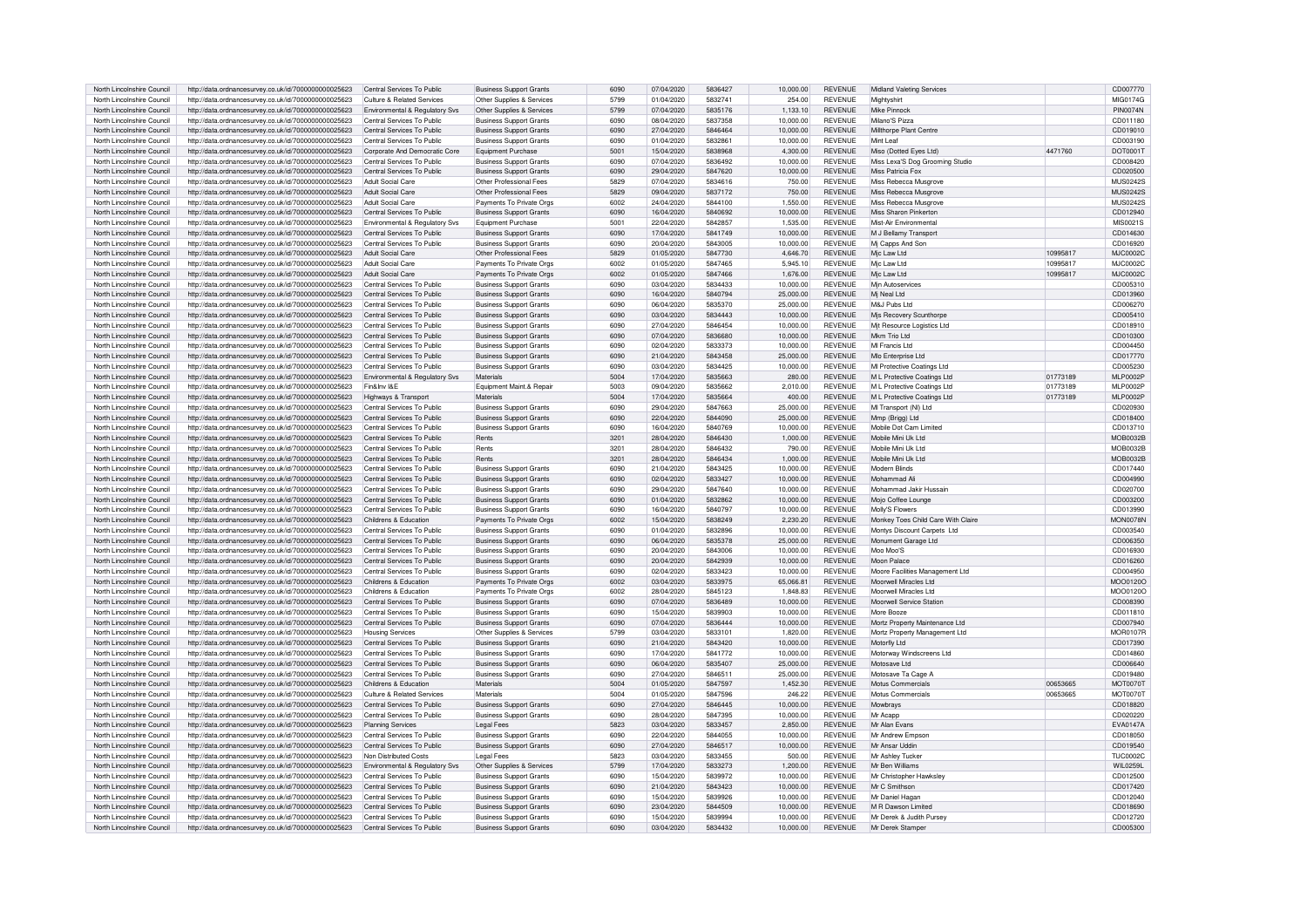| North Lincolnshire Council | http://data.ordnancesurvey.co.uk/id/7000000000025623 | Central Services To Public                 | <b>Business Support Grants</b> | 6090 | 07/04/2020 | 5836427 | 10,000.00 | <b>REVENUE</b> | Midland Valeting Services          |          | CD007770        |
|----------------------------|------------------------------------------------------|--------------------------------------------|--------------------------------|------|------------|---------|-----------|----------------|------------------------------------|----------|-----------------|
|                            |                                                      |                                            |                                |      |            |         |           |                |                                    |          |                 |
| North Lincolnshire Council | http://data.ordnancesurvey.co.uk/id/7000000000025623 | Culture & Related Services                 | Other Supplies & Services      | 5799 | 01/04/2020 | 5832741 | 254.00    | <b>REVENUE</b> | Mightyshirt                        |          | MIG0174G        |
| North Lincolnshire Council | http://data.ordnancesurvey.co.uk/id/7000000000025623 | <b>Environmental &amp; Regulatory Sys.</b> | Other Supplies & Services      | 5799 | 07/04/2020 | 5835176 | 1.133.10  | <b>REVENUE</b> | Mike Pinnock                       |          | <b>PIN0074N</b> |
| North Lincolnshire Council | http://data.ordnancesurvey.co.uk/id/7000000000025623 | Central Services To Public                 | <b>Business Support Grants</b> | 6090 | 08/04/2020 | 5837358 | 10.000.00 | <b>REVENUE</b> | Milano'S Pizza                     |          | CD011180        |
| North Lincolnshire Council | http://data.ordnancesurvey.co.uk/id/7000000000025623 | Central Services To Public                 | <b>Business Support Grants</b> | 6090 | 27/04/2020 | 5846464 | 10,000.00 | <b>REVENUE</b> | Millthorpe Plant Centre            |          | CD019010        |
|                            |                                                      |                                            |                                |      |            |         |           | <b>REVENUE</b> | Mint I eaf                         |          |                 |
| North Lincolnshire Council | http://data.ordnancesurvey.co.uk/id/7000000000025623 | Central Services To Public                 | <b>Business Support Grants</b> | 6090 | 01/04/2020 | 5832861 | 10,000.00 |                |                                    |          | CD003190        |
| North Lincolnshire Council | http://data.ordnancesurvey.co.uk/id/7000000000025623 | Corporate And Democratic Core              | Equipment Purchase             | 5001 | 15/04/2020 | 5838968 | 4.300.00  | <b>REVENUE</b> | Miso (Dotted Eves Ltd)             | 4471760  | DOT0001T        |
| North Lincolnshire Council | http://data.ordnancesurvey.co.uk/id/7000000000025623 | Central Services To Public                 | <b>Business Support Grants</b> | 6090 | 07/04/2020 | 5836492 | 10,000.00 | <b>REVENUE</b> | Miss Lexa'S Dog Grooming Studio    |          | CD008420        |
| North Lincolnshire Council | http://data.ordnancesurvey.co.uk/id/7000000000025623 | Central Services To Public                 | <b>Business Support Grants</b> | 6090 | 29/04/2020 | 5847620 | 10,000.00 | REVENUE        | Miss Patricia Fox                  |          | CD020500        |
|                            |                                                      |                                            |                                |      |            |         |           |                |                                    |          |                 |
| North Lincolnshire Council | http://data.ordnancesurvey.co.uk/id/7000000000025623 | Adult Social Care                          | Other Professional Fee:        | 5829 | 07/04/2020 | 5834616 | 750.00    | <b>REVENUE</b> | Miss Rebecca Musgrove              |          | <b>MUS0242S</b> |
| North Lincolnshire Council | http://data.ordnancesurvey.co.uk/id/7000000000025623 | <b>Adult Social Care</b>                   | Other Professional Fees        | 5829 | 09/04/2020 | 5837172 | 750.00    | <b>REVENUE</b> | Miss Rebecca Musgrov               |          | <b>MUS0242S</b> |
| North Lincolnshire Council | http://data.ordnancesurvey.co.uk/id/7000000000025623 | <b>Adult Social Care</b>                   | Payments To Private Orgs       | 6002 | 24/04/2020 | 5844100 | 1.550.00  | <b>REVENUE</b> | Miss Rebecca Musgrove              |          | <b>MUS0242S</b> |
| North Lincolnshire Council | http://data.ordnancesurvey.co.uk/id/7000000000025623 | Central Services To Public                 | <b>Business Support Grants</b> | 6090 | 16/04/2020 | 5840692 | 10.000.00 | <b>REVENUE</b> | Miss Sharon Pinkerton              |          | CD012940        |
|                            |                                                      |                                            |                                | 5001 |            | 5842857 |           |                |                                    |          |                 |
| North Lincolnshire Council | http://data.ordnancesurvey.co.uk/id/7000000000025623 | Environmental & Regulatory Svs             | Equipment Purchase             |      | 22/04/2020 |         | 1,535.00  | <b>REVENUE</b> | Mist-Air Environmental             |          | MIS0021S        |
| North Lincolnshire Council | http://data.ordnancesurvey.co.uk/id/7000000000025623 | Central Services To Public                 | <b>Business Support Grants</b> | 6090 | 17/04/2020 | 5841749 | 10.000.00 | <b>REVENUE</b> | M J Bellamy Transport              |          | CD014630        |
| North Lincolnshire Council | http://data.ordnancesurvey.co.uk/id/7000000000025623 | Central Services To Public                 | <b>Business Support Grants</b> | 6090 | 20/04/2020 | 5843005 | 10.000.00 | <b>REVENUE</b> | Mi Capps And Son                   |          | CD016920        |
| North Lincolnshire Council | http://data.ordnancesurvey.co.uk/id/7000000000025623 | Adult Social Care                          | Other Professional Fees        | 5829 | 01/05/2020 | 5847730 | 4.646.70  | <b>REVENUE</b> | Mic Law Ltd                        | 10995817 | MJC0002C        |
|                            |                                                      | Adult Social Care                          |                                | 6002 | 01/05/2020 | 5847465 |           | <b>REVENUE</b> | Mic Law Ltd                        | 10995817 | M.IC0002C       |
| North Lincolnshire Council | http://data.ordnancesurvey.co.uk/id/7000000000025623 |                                            | Payments To Private Orgs       |      |            |         | 5,945.10  |                |                                    |          |                 |
| North Lincolnshire Council | http://data.ordnancesurvey.co.uk/id/7000000000025623 | Adult Social Care                          | Payments To Private Orgs       | 6002 | 01/05/2020 | 5847466 | 1,676.00  | <b>REVENUE</b> | Mjc Law Ltd                        | 10995817 | <b>MJC0002C</b> |
| North Lincolnshire Council | http://data.ordnancesurvev.co.uk/id/7000000000025623 | Central Services To Public                 | <b>Business Support Grants</b> | 6090 | 03/04/2020 | 5834433 | 10.000.00 | <b>REVENUE</b> | Min Autoservices                   |          | CD005310        |
| North Lincolnshire Council | http://data.ordnancesurvey.co.uk/id/7000000000025623 | Central Services To Public                 | <b>Business Support Grants</b> | 6090 | 16/04/2020 | 5840794 | 25,000.00 | <b>REVENUE</b> | Mj Neal Ltd                        |          | CD013960        |
|                            |                                                      |                                            |                                |      |            |         |           |                |                                    |          |                 |
| North Lincolnshire Council | http://data.ordnancesurvey.co.uk/id/7000000000025623 | Central Services To Public                 | <b>Business Support Grants</b> | 6090 | 06/04/2020 | 5835370 | 25,000.00 | <b>REVENUE</b> | M&J Pubs Ltd                       |          | CD006270        |
| North Lincolnshire Council | http://data.ordnancesurvey.co.uk/id/7000000000025623 | Central Services To Public                 | <b>Business Support Grants</b> | 6090 | 03/04/2020 | 5834443 | 10.000.00 | <b>REVENUE</b> | Mis Recovery Scunthorne            |          | CD005410        |
| North Lincolnshire Council | http://data.ordnancesurvey.co.uk/id/7000000000025623 | Central Services To Public                 | <b>Business Support Grants</b> | 6090 | 27/04/2020 | 5846454 | 10,000.00 | <b>REVENUE</b> | Mit Resource Logistics Ltd         |          | CD018910        |
| North Lincolnshire Council | http://data.ordnancesurvey.co.uk/id/7000000000025623 | Central Services To Public                 | <b>Business Support Grants</b> | 6090 | 07/04/2020 | 5836680 | 10,000.00 | <b>REVENUE</b> | Mkm Trio I td                      |          | CD010300        |
|                            |                                                      |                                            |                                |      |            |         |           |                |                                    |          |                 |
| North Lincolnshire Council | http://data.ordnancesurvev.co.uk/id/7000000000025623 | Central Services To Public                 | Business Support Grants        | 6090 | 02/04/2020 | 5833373 | 10.000.00 | <b>REVENUE</b> | MI Francis I to                    |          | CD004450        |
| North Lincolnshire Council | http://data.ordnancesurvev.co.uk/id/7000000000025623 | Central Services To Public                 | <b>Business Support Grants</b> | 6090 | 21/04/2020 | 5843458 | 25,000.00 | <b>REVENUE</b> | Mlo Enterprise Ltd                 |          | CD017770        |
| North Lincolnshire Council | http://data.ordnancesurvey.co.uk/id/7000000000025623 | Central Services To Public                 | <b>Business Support Grants</b> | 6090 | 03/04/2020 | 5834425 | 10,000.00 | REVENUE        | MI Protective Coatings Ltd         |          | CD005230        |
| North Lincolnshire Council |                                                      |                                            | Materials                      | 5004 |            | 5835663 |           | <b>REVENUE</b> |                                    | 01773189 | MLP0002F        |
|                            | http://data.ordnancesurvey.co.uk/id/7000000000025623 | Environmental & Regulatory Svs             |                                |      | 17/04/2020 |         | 280.00    |                | M L Protective Coatings Ltd        |          |                 |
| North Lincolnshire Council | http://data.ordnancesurvey.co.uk/id/7000000000025623 | Fin&Inv I&E                                | Equipment Maint.& Repair       | 5003 | 09/04/2020 | 5835662 | 2.010.00  | <b>REVENUE</b> | M L Protective Coatings Ltd        | 01773189 | <b>MLP0002P</b> |
| North Lincolnshire Council | http://data.ordnancesurvey.co.uk/id/7000000000025623 | Highways & Transport                       | Materials                      | 5004 | 17/04/2020 | 5835664 | 400.00    | <b>REVENUE</b> | M L Protective Coatings Ltd        | 01773189 | MI P0002P       |
| North Lincolnshire Council | http://data.ordnancesurvey.co.uk/id/7000000000025623 | Central Services To Public                 | <b>Business Support Grants</b> | 6090 | 29/04/2020 | 5847663 | 25.000.00 | <b>REVENUE</b> | MI Transport (NI) I to             |          | CD020930        |
|                            |                                                      |                                            |                                |      |            |         |           |                |                                    |          |                 |
| North Lincolnshire Council | http://data.ordnancesurvey.co.uk/id/7000000000025623 | Central Services To Public                 | <b>Business Support Grants</b> | 6090 | 22/04/2020 | 5844090 | 25,000.00 | <b>REVENUE</b> | Mmp (Brigg) Ltd                    |          | CD018400        |
| North Lincolnshire Council | http://data.ordnancesurvey.co.uk/id/7000000000025623 | Central Services To Public                 | <b>Business Support Grants</b> | 6090 | 16/04/2020 | 5840769 | 10,000.00 | <b>REVENUE</b> | Mobile Dot Cam Limited             |          | CD013710        |
| North Lincolnshire Council | http://data.ordnancesurvey.co.uk/id/7000000000025623 | Central Services To Public                 | Rents                          | 3201 | 28/04/2020 | 5846430 | 1.000.00  | <b>REVENUE</b> | Mobile Mini Uk Ltd                 |          | MOB0032B        |
| North Lincolnshire Council | http://data.ordnancesurvev.co.uk/id/7000000000025623 | Central Services To Public                 | Rents                          | 3201 | 28/04/2020 | 5846432 | 790.00    | <b>REVENUE</b> | Mobile Mini Llk Ltd                |          | <b>MOB0032B</b> |
|                            |                                                      |                                            |                                |      |            |         |           |                |                                    |          |                 |
| North Lincolnshire Council | http://data.ordnancesurvey.co.uk/id/7000000000025623 | Central Services To Public                 | Rents                          | 3201 | 28/04/2020 | 5846434 | 1.000.00  | <b>REVENUE</b> | Mobile Mini Llk Ltd                |          | MOB0032E        |
| North Lincolnshire Council | http://data.ordnancesurvey.co.uk/id/7000000000025623 | Central Services To Public                 | <b>Business Support Grants</b> | 6090 | 21/04/2020 | 5843425 | 10.000.00 | <b>REVENUE</b> | Modern Blinds                      |          | CD017440        |
| North Lincolnshire Counci  | http://data.ordnancesurvey.co.uk/id/7000000000025623 | Central Services To Public                 | <b>Business Support Grants</b> | 6090 | 02/04/2020 | 5833427 | 10.000.00 | <b>REVENUE</b> | Mohammad Ali                       |          | CD004990        |
| North Lincolnshire Council | http://data.ordnancesurvey.co.uk/id/7000000000025623 | Central Services To Public                 | <b>Business Support Grants</b> | 6090 | 29/04/2020 | 5847640 | 10,000.00 | <b>REVENUE</b> | Mohammad Jakir Hussair             |          | CD020700        |
|                            |                                                      |                                            |                                |      |            |         |           |                |                                    |          |                 |
| North Lincolnshire Council | http://data.ordnancesurvey.co.uk/id/7000000000025623 | Central Services To Public                 | <b>Business Support Grants</b> | 6090 | 01/04/2020 | 5832862 | 10,000.00 | <b>REVENUE</b> | Moio Coffee Lounge                 |          | CD003200        |
| North Lincolnshire Council | http://data.ordnancesurvey.co.uk/id/7000000000025623 | Central Services To Public                 | <b>Business Support Grants</b> | 6090 | 16/04/2020 | 5840797 | 10.000.00 | <b>REVENUE</b> | Molly'S Flowers                    |          | CD013990        |
| North Lincolnshire Council | http://data.ordnancesurvey.co.uk/id/7000000000025623 | Childrens & Education                      | Payments To Private Orgs       | 6002 | 15/04/2020 | 5838249 | 2,230.20  | <b>REVENUE</b> | Monkey Toes Child Care With Claire |          | <b>MON0078N</b> |
| North Lincolnshire Council | http://data.ordnancesurvey.co.uk/id/7000000000025623 | Central Services To Public                 | <b>Business Support Grants</b> | 6090 | 01/04/2020 | 5832896 | 10,000.00 | <b>REVENUE</b> | Montys Discount Carpets Ltd        |          | CD003540        |
|                            |                                                      |                                            |                                |      |            |         |           |                |                                    |          |                 |
| North Lincolnshire Council | http://data.ordnancesurvey.co.uk/id/7000000000025623 | Central Services To Public                 | <b>Business Support Grants</b> | 6090 | 06/04/2020 | 5835378 | 25,000.00 | <b>REVENUE</b> | Monument Garage Ltd                |          | CD006350        |
| North Lincolnshire Council | http://data.ordnancesurvey.co.uk/id/7000000000025623 | Central Services To Public                 | Business Support Grants        | 6090 | 20/04/2020 | 5843006 | 10.000.00 | <b>REVENUE</b> | Moo Moo'S                          |          | CD016930        |
| North Lincolnshire Council | http://data.ordnancesurvey.co.uk/id/7000000000025623 | Central Services To Public                 | <b>Business Support Grants</b> | 6090 | 20/04/2020 | 5842939 | 10,000.00 | <b>REVENUE</b> | Moon Palace                        |          | CD016260        |
| North Lincolnshire Council |                                                      | Central Services To Public                 |                                | 6090 | 02/04/2020 | 5833423 | 10.000.00 | <b>REVENUE</b> | Moore Facilities Management Ltd    |          | CD004950        |
|                            | http://data.ordnancesurvey.co.uk/id/7000000000025623 |                                            | <b>Business Support Grants</b> |      |            |         |           |                |                                    |          |                 |
| North Lincolnshire Council | http://data.ordnancesurvey.co.uk/id/7000000000025623 | Childrens & Education                      | Payments To Private Orgs       | 6002 | 03/04/2020 | 5833975 | 65.066.81 | <b>REVENUE</b> | Moorwell Miracles Ltd              |          | MOO0120O        |
| North Lincolnshire Council | http://data.ordnancesurvey.co.uk/id/7000000000025623 | Childrens & Education                      | Payments To Private Orgs       | 6002 | 28/04/2020 | 5845123 | 1,848.83  | <b>REVENUE</b> | Moorwell Miracles I td             |          | MOO0120O        |
| North Lincolnshire Counci  | http://data.ordnancesurvey.co.uk/id/7000000000025623 | Central Services To Public                 | <b>Business Support Grants</b> | 6090 | 07/04/2020 | 5836489 | 10.000.00 | <b>REVENUE</b> | Moorwell Service Station           |          | CD008390        |
| North Lincolnshire Council | http://data.ordnancesurvey.co.uk/id/7000000000025623 | Central Services To Public                 | <b>Business Support Grants</b> | 6090 | 15/04/2020 | 5839903 | 10.000.00 | <b>REVENUE</b> | More Booze                         |          | CD011810        |
|                            |                                                      |                                            |                                |      |            |         |           |                |                                    |          |                 |
| North Lincolnshire Council | http://data.ordnancesurvey.co.uk/id/7000000000025623 | Central Services To Public                 | <b>Business Support Grants</b> | 6090 | 07/04/2020 | 5836444 | 10,000.00 | <b>REVENUE</b> | Mortz Property Maintenance Ltd     |          | CD007940        |
| North Lincolnshire Council | http://data.ordnancesurvey.co.uk/id/7000000000025623 | <b>Housing Services</b>                    | Other Supplies & Services      | 5799 | 03/04/2020 | 5833101 | 1,820.00  | <b>REVENUE</b> | Mortz Property Management Ltd      |          | <b>MOR0107R</b> |
| North Lincolnshire Council | http://data.ordnancesurvey.co.uk/id/7000000000025623 | Central Services To Public                 | <b>Business Support Grants</b> | 6090 | 21/04/2020 | 5843420 | 10,000.00 | <b>REVENUE</b> | Motorfly Ltd                       |          | CD017390        |
|                            |                                                      |                                            |                                |      |            |         |           |                |                                    |          |                 |
| North Lincolnshire Council | http://data.ordnancesurvey.co.uk/id/7000000000025623 | Central Services To Public                 | <b>Business Support Grants</b> | 6090 | 17/04/2020 | 5841772 | 10.000.00 | <b>REVENUE</b> | Motorway Windscreens Ltd           |          | CD014860        |
| North Lincolnshire Council | http://data.ordnancesurvey.co.uk/id/7000000000025623 | Central Services To Public                 | <b>Business Support Grants</b> | 6090 | 06/04/2020 | 5835407 | 25,000.00 | <b>REVENUE</b> | Motosaye Ltd                       |          | CD006640        |
| North Lincolnshire Council | http://data.ordnancesurvey.co.uk/id/7000000000025623 | Central Services To Public                 | <b>Business Support Grants</b> | 6090 | 27/04/2020 | 5846511 | 25,000.00 | <b>REVENUE</b> | Motosave Ta Cage /                 |          | CD019480        |
| North Lincolnshire Council | http://data.ordnancesurvey.co.uk/id/7000000000025623 | Childrens & Education                      | Materials                      | 5004 | 01/05/2020 | 5847597 | 1,452.30  | <b>REVENUE</b> | Motus Commercials                  | 00653665 | <b>MOT0070T</b> |
|                            |                                                      |                                            |                                |      |            |         |           |                |                                    |          |                 |
| North Lincolnshire Council | http://data.ordnancesurvey.co.uk/id/7000000000025623 | Culture & Related Services                 | Materials                      | 5004 | 01/05/2020 | 5847596 | 246.22    | <b>REVENUE</b> | Motus Commercials                  | 00653665 | <b>MOT0070T</b> |
| North Lincolnshire Council | http://data.ordnancesurvey.co.uk/id/7000000000025623 | Central Services To Public                 | <b>Business Support Grants</b> | 6090 | 27/04/2020 | 5846445 | 10.000.00 | <b>REVENUE</b> | Mowbravs                           |          | CD018820        |
| North Lincolnshire Council | http://data.ordnancesurvey.co.uk/id/7000000000025623 | Central Services To Public                 | <b>Business Support Grants</b> | 6090 | 28/04/2020 | 5847395 | 10.000.00 | <b>REVENUE</b> | Mr Acapp                           |          | CD020220        |
| North Lincolnshire Council | http://data.ordnancesurvey.co.uk/id/7000000000025623 | <b>Planning Services</b>                   | <b>Legal Fees</b>              | 5823 | 03/04/2020 | 5833457 | 2,850.00  | <b>REVENUE</b> | Mr Alan Fyans                      |          | <b>EVA0147A</b> |
|                            |                                                      |                                            |                                |      |            |         |           |                |                                    |          |                 |
| North Lincolnshire Council | http://data.ordnancesurvey.co.uk/id/7000000000025623 | Central Services To Public                 | <b>Business Support Grants</b> | 6090 | 22/04/2020 | 5844055 | 10,000.00 | <b>REVENUE</b> | Mr Andrew Empson                   |          | CD018050        |
| North Lincolnshire Council | http://data.ordnancesurvey.co.uk/id/7000000000025623 | Central Services To Public                 | <b>Business Support Grants</b> | 6090 | 27/04/2020 | 5846517 | 10,000.00 | <b>REVENUE</b> | Mr Ansar Uddin                     |          | CD019540        |
| North Lincolnshire Council | http://data.ordnancesurvey.co.uk/id/7000000000025623 | Non Distributed Costs                      | <b>Legal Fees</b>              | 5823 | 03/04/2020 | 5833455 | 500.00    | <b>REVENUE</b> | Mr Ashley Tucker                   |          | <b>TUC0002C</b> |
| North Lincolnshire Council |                                                      |                                            |                                | 5799 |            |         |           | <b>REVENUE</b> | Mr Ben Williams                    |          |                 |
|                            | http://data.ordnancesurvey.co.uk/id/7000000000025623 | Environmental & Regulatory Svs             | Other Supplies & Services      |      | 17/04/2020 | 5833273 | 1.200.00  |                |                                    |          | WIL0259L        |
| North Lincolnshire Council | http://data.ordnancesurvey.co.uk/id/7000000000025623 | Central Services To Public                 | Business Support Grants        | 6090 | 15/04/2020 | 5839972 | 10.000.00 | <b>REVENUE</b> | Mr Christopher Hawksley            |          | CD012500        |
| North Lincolnshire Council | http://data.ordnancesurvev.co.uk/id/7000000000025623 | Central Services To Public                 | <b>Business Support Grants</b> | 6090 | 21/04/2020 | 5843423 | 10.000.00 | <b>REVENUE</b> | Mr C Smithson                      |          | CD017420        |
| North Lincolnshire Council | http://data.ordnancesurvey.co.uk/id/7000000000025623 | Central Services To Public                 | <b>Business Support Grants</b> | 6090 | 15/04/2020 | 5839926 | 10,000.00 | <b>REVENUE</b> | Mr Daniel Hagar                    |          | CD012040        |
| North Lincolnshire Council | http://data.ordnancesurvey.co.uk/id/7000000000025623 | Central Services To Public                 | <b>Business Support Grants</b> | 6090 | 23/04/2020 | 5844509 | 10.000.00 | <b>REVENUE</b> | M R Dawson Limited                 |          | CD018690        |
|                            |                                                      |                                            |                                |      |            |         |           |                |                                    |          |                 |
| North Lincolnshire Council | http://data.ordnancesurvev.co.uk/id/7000000000025623 | Central Services To Public                 | <b>Business Support Grants</b> | 6090 | 15/04/2020 | 5839994 | 10.000.00 | REVENUE        | Mr Derek & Judith Pursey           |          | CD012720        |
| North Lincolnshire Council | http://data.ordnancesurvey.co.uk/id/7000000000025623 | Central Services To Public                 | <b>Business Support Grants</b> | 6090 | 03/04/2020 | 5834432 | 10.000.00 | <b>REVENUE</b> | Mr Derek Stamper                   |          | CD005300        |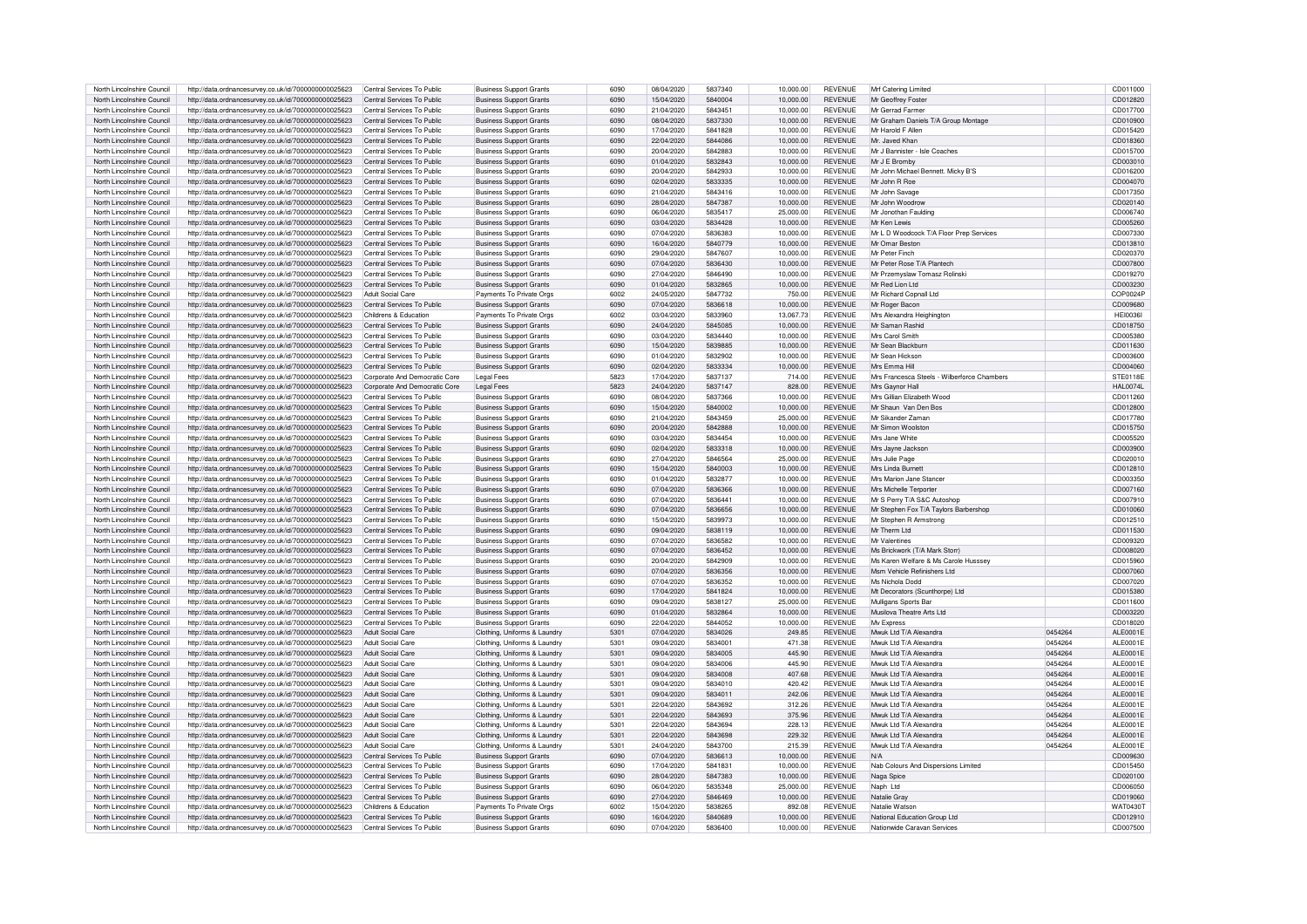| North Lincolnshire Council | http://data.ordnancesurvey.co.uk/id/7000000000025623 | Central Services To Public    | <b>Business Support Grants</b> | 6090 | 08/04/2020               | 5837340 | 10.000.00 | REVENUE        | Mrf Catering Limited                        |         | CD011000        |
|----------------------------|------------------------------------------------------|-------------------------------|--------------------------------|------|--------------------------|---------|-----------|----------------|---------------------------------------------|---------|-----------------|
| North Lincolnshire Council | http://data.ordnancesurvey.co.uk/id/7000000000025623 | Central Services To Public    | <b>Business Support Grants</b> | 6090 | 15/04/2020               | 5840004 | 10,000.00 | <b>REVENUE</b> | Mr Geoffrey Foster                          |         | CD012820        |
| North Lincolnshire Council | http://data.ordnancesurvey.co.uk/id/7000000000025623 | Central Services To Public    | <b>Business Support Grants</b> | 6090 | 21/04/2020               | 5843451 | 10.000.00 | <b>REVENUE</b> | Mr Gerrad Farmer                            |         | CD017700        |
|                            | http://data.ordnancesurvey.co.uk/id/7000000000025623 | Central Services To Public    | <b>Business Support Grants</b> | 6090 |                          |         |           |                |                                             |         |                 |
| North Lincolnshire Council |                                                      |                               |                                |      | 08/04/2020               | 5837330 | 10,000.00 | <b>REVENUE</b> | Mr Graham Daniels T/A Group Montage         |         | CD010900        |
| North Lincolnshire Council | http://data.ordnancesurvey.co.uk/id/7000000000025623 | Central Services To Public    | <b>Business Support Grants</b> | 6090 | 17/04/2020               | 5841828 | 10,000.00 | <b>REVENUE</b> | Mr Harold F Allen                           |         | CD015420        |
| North Lincolnshire Council | http://data.ordnancesurvey.co.uk/id/7000000000025623 | Central Services To Public    | <b>Business Support Grants</b> | 6090 | 22/04/2020               | 5844086 | 10,000.00 | <b>REVENUE</b> | Mr. Javed Khan                              |         | CD018360        |
| North Lincolnshire Council | http://data.ordnancesurvey.co.uk/id/7000000000025623 | Central Services To Public    | <b>Business Support Grants</b> | 6090 | 20/04/2020               | 5842883 | 10,000.00 | <b>REVENUE</b> | Mr J Bannister - Isle Coaches               |         | CD015700        |
| North Lincolnshire Council | http://data.ordnancesurvey.co.uk/id/7000000000025623 | Central Services To Public    | <b>Business Support Grants</b> | 6090 | 01/04/2020               | 5832843 | 10,000.00 | REVENUE        | Mr J E Bromby                               |         | CD003010        |
| North Lincolnshire Council | http://data.ordnancesurvey.co.uk/id/7000000000025623 | Central Services To Public    | <b>Business Support Grants</b> | 6090 | 20/04/2020               | 5842933 | 10,000.00 | REVENUE        | Mr John Michael Bennett. Micky B'S          |         | CD016200        |
| North Lincolnshire Council | http://data.ordnancesurvey.co.uk/id/7000000000025623 | Central Services To Public    | <b>Business Support Grants</b> | 6090 | 02/04/2020               | 5833335 | 10.000.00 | <b>REVENUE</b> | Mr John R Roe                               |         | CD004070        |
| North Lincolnshire Council | http://data.ordnancesurvey.co.uk/id/7000000000025623 | Central Services To Public    | <b>Business Support Grants</b> | 6090 | 21/04/2020               | 5843416 | 10.000.00 | REVENUE        | Mr John Savage                              |         | CD017350        |
| North Lincolnshire Council | http://data.ordnancesurvey.co.uk/id/7000000000025623 | Central Services To Public    | <b>Business Support Grants</b> | 6090 | 28/04/2020               | 5847387 | 10.000.00 | <b>REVENUE</b> | Mr John Woodrow                             |         | CD020140        |
| North Lincolnshire Council | http://data.ordnancesurvey.co.uk/id/7000000000025623 | Central Services To Public    | <b>Business Support Grants</b> | 6090 | 06/04/2020               | 5835417 | 25,000.00 | REVENUE        | Mr Jonothan Faulding                        |         | CD006740        |
| North Lincolnshire Council | http://data.ordnancesurvey.co.uk/id/7000000000025623 | Central Services To Public    | <b>Business Support Grants</b> | 6090 | 03/04/2020               | 5834428 | 10,000.00 | <b>REVENUE</b> | Mr Ken Lewis                                |         | CD005260        |
| North Lincolnshire Council |                                                      | Central Services To Public    | <b>Business Support Grants</b> | 6090 | 07/04/2020               | 5836383 | 10.000.00 | <b>REVENUE</b> | Mr L D Woodcock T/A Floor Prep Services     |         | CD007330        |
|                            | http://data.ordnancesurvey.co.uk/id/7000000000025623 |                               |                                |      |                          |         |           |                |                                             |         |                 |
| North Lincolnshire Council | http://data.ordnancesurvey.co.uk/id/7000000000025623 | Central Services To Public    | <b>Business Support Grants</b> | 6090 | 16/04/2020               | 5840779 | 10,000.00 | <b>REVENUE</b> | Mr Omar Beston                              |         | CD013810        |
| North Lincolnshire Council | http://data.ordnancesurvey.co.uk/id/7000000000025623 | Central Services To Public    | <b>Business Support Grants</b> | 6090 | 29/04/2020               | 5847607 | 10,000.00 | <b>REVENUE</b> | Mr Peter Finch                              |         | CD020370        |
| North Lincolnshire Council | http://data.ordnancesurvey.co.uk/id/7000000000025623 | Central Services To Public    | <b>Business Support Grants</b> | 6090 | 07/04/2020               | 5836430 | 10,000.00 | <b>REVENUE</b> | Mr Peter Rose T/A Plantech                  |         | CD007800        |
| North Lincolnshire Council | http://data.ordnancesurvey.co.uk/id/7000000000025623 | Central Services To Public    | <b>Business Support Grants</b> | 6090 | 27/04/2020               | 5846490 | 10.000.00 | <b>REVENUE</b> | Mr Przemyslaw Tomasz Rolinski               |         | CD019270        |
| North Lincolnshire Council | http://data.ordnancesurvey.co.uk/id/7000000000025623 | Central Services To Public    | <b>Business Support Grants</b> | 6090 | 01/04/2020               | 5832865 | 10,000.00 | <b>REVENUE</b> | Mr Red Lion Ltd                             |         | CD003230        |
| North Lincolnshire Council | http://data.ordnancesurvey.co.uk/id/7000000000025623 | Adult Social Care             | Payments To Private Oras       | 6002 | 24/05/2020               | 5847732 | 750.00    | <b>REVENUE</b> | Mr Richard Copnall Ltd                      |         | COP0024F        |
| North Lincolnshire Council | http://data.ordnancesurvey.co.uk/id/7000000000025623 | Central Services To Public    | <b>Business Support Grants</b> | 6090 | 07/04/2020               | 5836618 | 10.000.00 | <b>REVENUE</b> | Mr Roger Bacon                              |         | CD009680        |
| North Lincolnshire Council | http://data.ordnancesurvey.co.uk/id/7000000000025623 | Childrens & Education         | Payments To Private Orgs       | 6002 | 03/04/2020               | 5833960 | 13,067.73 | <b>REVENUE</b> | Mrs Alexandra Heighington                   |         | <b>HEI0036I</b> |
| North Lincolnshire Council | http://data.ordnancesurvey.co.uk/id/7000000000025623 | Central Services To Public    | <b>Business Support Grants</b> | 6090 | 24/04/2020               | 5845085 | 10,000.00 | <b>REVENUE</b> | Mr Saman Rashid                             |         | CD018750        |
| North Lincolnshire Council | http://data.ordnancesurvey.co.uk/id/7000000000025623 | Central Services To Public    | Business Support Grants        | 6090 | 03/04/2020               | 5834440 | 10.000.00 | <b>REVENUE</b> | Mrs Carol Smith                             |         | CD005380        |
|                            |                                                      |                               |                                | 6090 |                          | 5839885 |           | <b>REVENUE</b> | Mr Sean Blackburn                           |         |                 |
| North Lincolnshire Council | http://data.ordnancesurvey.co.uk/id/7000000000025623 | Central Services To Public    | <b>Business Support Grants</b> | 6090 | 15/04/2020<br>01/04/2020 | 5832902 | 10,000.00 | <b>REVENUE</b> | Mr Sean Hickson                             |         | CD011630        |
| North Lincolnshire Council | http://data.ordnancesurvey.co.uk/id/7000000000025623 | Central Services To Public    | Business Support Grants        |      |                          |         | 10.000.00 |                |                                             |         | CD003600        |
| North Lincolnshire Council | http://data.ordnancesurvey.co.uk/id/7000000000025623 | Central Services To Public    | <b>Business Support Grants</b> | 6090 | 02/04/2020               | 5833334 | 10,000,00 | <b>REVENUE</b> | Mrs Emma Hill                               |         | CD004060        |
| North Lincolnshire Council | http://data.ordnancesurvey.co.uk/id/7000000000025623 | Corporate And Democratic Core | Legal Fees                     | 5823 | 17/04/2020               | 5837137 | 714.00    | <b>REVENUE</b> | Mrs Francesca Steels - Wilberforce Chambers |         | STE0118E        |
| North Lincolnshire Council | http://data.ordnancesurvey.co.uk/id/7000000000025623 | Corporate And Democratic Core | <b>Legal Fees</b>              | 5823 | 24/04/2020               | 5837147 | 828.00    | REVENUE        | Mrs Gavnor Hal                              |         | <b>HAL0074L</b> |
| North Lincolnshire Council | http://data.ordnancesurvey.co.uk/id/7000000000025623 | Central Services To Public    | <b>Business Support Grants</b> | 6090 | 08/04/2020               | 5837366 | 10.000.00 | <b>REVENUE</b> | Mrs Gillian Elizabeth Wood                  |         | CD011260        |
| North Lincolnshire Council | http://data.ordnancesurvev.co.uk/id/7000000000025623 | Central Services To Public    | <b>Business Support Grants</b> | 6090 | 15/04/2020               | 5840002 | 10,000.00 | <b>REVENUE</b> | Mr Shaun Van Den Bos                        |         | CD012800        |
| North Lincolnshire Council | http://data.ordnancesurvey.co.uk/id/7000000000025623 | Central Services To Public    | <b>Business Support Grants</b> | 6090 | 21/04/2020               | 5843459 | 25.000.00 | <b>REVENUE</b> | Mr Sikander Zamar                           |         | CD017780        |
| North Lincolnshire Council | http://data.ordnancesurvey.co.uk/id/7000000000025623 | Central Services To Public    | <b>Business Support Grants</b> | 6090 | 20/04/2020               | 5842888 | 10,000.00 | <b>REVENUE</b> | Mr Simon Woolston                           |         | CD015750        |
| North Lincolnshire Council | http://data.ordnancesurvey.co.uk/id/7000000000025623 | Central Services To Public    | <b>Business Support Grants</b> | 6090 | 03/04/2020               | 5834454 | 10,000.00 | <b>REVENUE</b> | Mrs Jane White                              |         | CD005520        |
| North Lincolnshire Council | http://data.ordnancesurvey.co.uk/id/7000000000025623 | Central Services To Public    | <b>Business Support Grants</b> | 6090 | 02/04/2020               | 5833318 | 10.000.00 | <b>REVENUE</b> | Mrs Javne Jackson                           |         | CD003900        |
|                            |                                                      |                               |                                |      |                          |         |           |                |                                             |         |                 |
| North Lincolnshire Council | http://data.ordnancesurvey.co.uk/id/7000000000025623 | Central Services To Public    | <b>Business Support Grants</b> | 6090 | 27/04/2020               | 5846564 | 25,000.00 | <b>REVENUE</b> | Mrs Julie Page                              |         | CD020010        |
| North Lincolnshire Council | http://data.ordnancesurvey.co.uk/id/7000000000025623 | Central Services To Public    | <b>Business Support Grants</b> | 6090 | 15/04/2020               | 5840003 | 10,000.00 | <b>REVENUE</b> | Mrs Linda Burnett                           |         | CD012810        |
| North Lincolnshire Council | http://data.ordnancesurvey.co.uk/id/7000000000025623 | Central Services To Public    | <b>Business Support Grants</b> | 6090 | 01/04/2020               | 5832877 | 10,000.00 | <b>REVENUE</b> | Mrs Marion Jane Stance                      |         | CD003350        |
| North Lincolnshire Council | http://data.ordnancesurvey.co.uk/id/7000000000025623 | Central Services To Public    | <b>Business Support Grants</b> | 6090 | 07/04/2020               | 5836366 | 10,000.00 | <b>REVENUE</b> | Mrs Michelle Terporte                       |         | CD007160        |
| North Lincolnshire Council | http://data.ordnancesurvey.co.uk/id/7000000000025623 | Central Services To Public    | <b>Business Support Grants</b> | 6090 | 07/04/2020               | 5836441 | 10,000.00 | <b>REVENUE</b> | Mr S Perry T/A S&C Autoshop                 |         | CD007910        |
| North Lincolnshire Council | http://data.ordnancesurvey.co.uk/id/7000000000025623 | Central Services To Public    | <b>Business Support Grants</b> | 6090 | 07/04/2020               | 5836656 | 10,000.00 | <b>REVENUE</b> | Mr Stephen Fox T/A Taylors Barbershop       |         | CD010060        |
| North Lincolnshire Council | http://data.ordnancesurvey.co.uk/id/7000000000025623 | Central Services To Public    | <b>Business Support Grants</b> | 6090 | 15/04/2020               | 5839973 | 10.000.00 | <b>REVENUE</b> | Mr Stephen R Armstrong                      |         | CD012510        |
| North Lincolnshire Council | http://data.ordnancesurvey.co.uk/id/7000000000025623 | Central Services To Public    | <b>Business Support Grants</b> | 6090 | 09/04/2020               | 5838119 | 10,000.00 | <b>REVENUE</b> | Mr Therm Ltd                                |         | CD011530        |
| North Lincolnshire Council | http://data.ordnancesurvey.co.uk/id/7000000000025623 | Central Services To Public    | <b>Business Support Grants</b> | 6090 | 07/04/2020               | 5836582 | 10,000.00 | <b>REVENUE</b> | Mr Valentines                               |         | CD009320        |
| North Lincolnshire Council | http://data.ordnancesurvey.co.uk/id/7000000000025623 | Central Services To Public    | <b>Business Support Grants</b> | 6090 | 07/04/2020               | 5836452 | 10,000.00 | <b>REVENUE</b> | Ms Brickwork (T/A Mark Storr)               |         | CD008020        |
| North Lincolnshire Council | http://data.ordnancesurvey.co.uk/id/7000000000025623 | Central Services To Public    | <b>Business Support Grants</b> | 6090 | 20/04/2020               | 5842909 | 10,000.00 | <b>REVENUE</b> | Ms Karen Welfare & Ms Carole Husssey        |         | CD015960        |
| North Lincolnshire Council | http://data.ordnancesurvey.co.uk/id/7000000000025623 | Central Services To Public    | <b>Business Support Grants</b> | 6090 | 07/04/2020               | 5836356 | 10.000.00 | <b>REVENUE</b> | Msm Vehicle Refinishers I td                |         | CD007060        |
| North Lincolnshire Council |                                                      | Central Services To Public    |                                | 6090 | 07/04/2020               | 5836352 | 10.000.00 | <b>REVENUE</b> | Ms Nichola Dodd                             |         | CD007020        |
|                            | http://data.ordnancesurvey.co.uk/id/7000000000025623 |                               | <b>Business Support Grants</b> |      |                          |         |           |                |                                             |         |                 |
| North Lincolnshire Council | http://data.ordnancesurvey.co.uk/id/7000000000025623 | Central Services To Public    | <b>Business Support Grants</b> | 6090 | 17/04/2020               | 5841824 | 10,000.00 | <b>REVENUE</b> | Mt Decorators (Scunthorpe) Ltd              |         | CD015380        |
| North Lincolnshire Council | http://data.ordnancesurvey.co.uk/id/7000000000025623 | Central Services To Public    | <b>Business Support Grants</b> | 6090 | 09/04/2020               | 5838127 | 25,000.00 | <b>REVENUE</b> | Mulligans Sports Bar                        |         | CD011600        |
| North Lincolnshire Council | http://data.ordnancesurvey.co.uk/id/7000000000025623 | Central Services To Public    | <b>Business Support Grants</b> | 6090 | 01/04/2020               | 5832864 | 10.000.00 | <b>REVENUE</b> | Musilova Theatre Arts Ltd                   |         | CD003220        |
| North Lincolnshire Council | http://data.ordnancesurvey.co.uk/id/7000000000025623 | Central Services To Public    | <b>Business Support Grants</b> | 6090 | 22/04/2020               | 5844052 | 10,000.00 | <b>REVENUE</b> | My Express                                  |         | CD018020        |
| North Lincolnshire Council | http://data.ordnancesurvey.co.uk/id/7000000000025623 | Adult Social Care             | Clothing, Uniforms & Laundry   | 5301 | 07/04/2020               | 5834026 | 249.85    | REVENUE        | Mwuk Ltd T/A Alexandra                      | 0454264 | ALE0001E        |
| North Lincolnshire Council | http://data.ordnancesurvey.co.uk/id/7000000000025623 | Adult Social Care             | Clothing, Uniforms & Laundr    | 5301 | 09/04/2020               | 5834001 | 471.38    | <b>REVENUE</b> | Mwuk Ltd T/A Alexandra                      | 0454264 | ALE0001E        |
| North Lincolnshire Council | http://data.ordnancesurvey.co.uk/id/7000000000025623 | Adult Social Care             | Clothing, Uniforms & Laundry   | 5301 | 09/04/2020               | 5834005 | 445.90    | <b>REVENUE</b> | Mwuk Ltd T/A Alexandra                      | 0454264 | ALE0001E        |
| North Lincolnshire Council | http://data.ordnancesurvey.co.uk/id/7000000000025623 | Adult Social Care             | Clothing, Uniforms & Laundry   | 5301 | 09/04/2020               | 5834006 | 445.90    | <b>REVENUE</b> | Mwuk Ltd T/A Alexandra                      | 0454264 | ALE0001E        |
| North Lincolnshire Council | http://data.ordnancesurvey.co.uk/id/7000000000025623 | Adult Social Care             | Clothing, Uniforms & Laundry   | 5301 | 09/04/2020               | 5834008 | 407.68    | <b>REVENUE</b> | Mwuk Ltd T/A Alexandra                      | 0454264 | ALE0001E        |
| North Lincolnshire Council | http://data.ordnancesurvey.co.uk/id/7000000000025623 | Adult Social Care             | Clothing, Uniforms & Laundry   | 5301 | 09/04/2020               | 5834010 | 420.42    | <b>REVENUE</b> | Mwuk Ltd T/A Alexandra                      | 0454264 | ALE0001E        |
| North Lincolnshire Council | http://data.ordnancesurvey.co.uk/id/7000000000025623 | Adult Social Care             | Clothing, Uniforms & Laundry   | 5301 | 09/04/2020               | 5834011 | 242.06    | <b>REVENUE</b> | Mwuk I td T/A Alexandra                     | 0454264 | ALE0001E        |
|                            |                                                      |                               |                                | 5301 | 22/04/2020               | 5843692 | 312.26    | <b>REVENUE</b> | Mwuk I td T/A Alexandra                     | 0454264 | ALE0001E        |
| North Lincolnshire Council | http://data.ordnancesurvey.co.uk/id/7000000000025623 | Adult Social Care             | Clothing, Uniforms & Laundry   |      |                          |         |           |                |                                             |         |                 |
| North Lincolnshire Council | http://data.ordnancesurvey.co.uk/id/7000000000025623 | Adult Social Care             | Clothing, Uniforms & Laundry   | 5301 | 22/04/2020               | 5843693 | 375.96    | <b>REVENUE</b> | Mwuk Ltd T/A Alexandra                      | 0454264 | ALE0001E        |
| North Lincolnshire Council | http://data.ordnancesurvey.co.uk/id/7000000000025623 | Adult Social Care             | Clothing, Uniforms & Laundry   | 5301 | 22/04/2020               | 5843694 | 228.13    | <b>REVENUE</b> | Mwuk Ltd T/A Alexandra                      | 0454264 | ALE0001E        |
| North Lincolnshire Council | http://data.ordnancesurvey.co.uk/id/7000000000025623 | Adult Social Care             | Clothing, Uniforms & Laundry   | 5301 | 22/04/2020               | 5843698 | 229.32    | <b>REVENUE</b> | Mwuk Ltd T/A Alexandra                      | 0454264 | ALE0001E        |
| North Lincolnshire Council | http://data.ordnancesurvey.co.uk/id/7000000000025623 | Adult Social Care             | Clothing, Uniforms & Laundry   | 5301 | 24/04/2020               | 5843700 | 215.39    | <b>REVENUE</b> | Mwuk Ltd T/A Alexandra                      | 0454264 | ALE0001E        |
| North Lincolnshire Council | http://data.ordnancesurvey.co.uk/id/7000000000025623 | Central Services To Public    | <b>Business Support Grants</b> | 6090 | 07/04/2020               | 5836613 | 10.000.00 | <b>REVENUE</b> | N/A                                         |         | CD009630        |
| North Lincolnshire Council | http://data.ordnancesurvey.co.uk/id/7000000000025623 | Central Services To Public    | <b>Business Support Grants</b> | 6090 | 17/04/2020               | 5841831 | 10.000.00 | <b>REVENUE</b> | Nab Colours And Dispersions Limited         |         | CD015450        |
| North Lincolnshire Council | http://data.ordnancesurvey.co.uk/id/7000000000025623 | Central Services To Public    | <b>Business Support Grants</b> | 6090 | 28/04/2020               | 5847383 | 10,000.00 | <b>REVENUE</b> | Naga Spice                                  |         | CD020100        |
| North Lincolnshire Council | http://data.ordnancesurvey.co.uk/id/7000000000025623 | Central Services To Public    | <b>Business Support Grants</b> | 6090 | 06/04/2020               | 5835348 | 25,000.00 | <b>REVENUE</b> | Naph Ltd                                    |         | CD006050        |
| North Lincolnshire Council | http://data.ordnancesurvey.co.uk/id/7000000000025623 | Central Services To Public    | <b>Business Support Grants</b> | 6090 | 27/04/2020               | 5846469 | 10.000.00 | <b>REVENUE</b> | Natalie Gray                                |         | CD019060        |
| North Lincolnshire Council | http://data.ordnancesurvey.co.uk/id/7000000000025623 | Childrens & Education         | Payments To Private Orgs       | 6002 | 15/04/2020               | 5838265 | 892.08    | <b>REVENUE</b> | Natalie Watson                              |         | WAT0430T        |
| North Lincolnshire Council | http://data.ordnancesurvey.co.uk/id/7000000000025623 | Central Services To Public    | <b>Business Support Grants</b> | 6090 | 16/04/2020               | 5840689 | 10.000.00 | <b>REVENUE</b> | National Education Group Ltd                |         | CD012910        |
| North Lincolnshire Council | http://data.ordnancesurvey.co.uk/id/7000000000025623 | Central Services To Public    | <b>Business Support Grants</b> | 6090 | 07/04/2020               | 5836400 | 10,000.00 | <b>REVENUE</b> | Nationwide Caravan Services                 |         | CD007500        |
|                            |                                                      |                               |                                |      |                          |         |           |                |                                             |         |                 |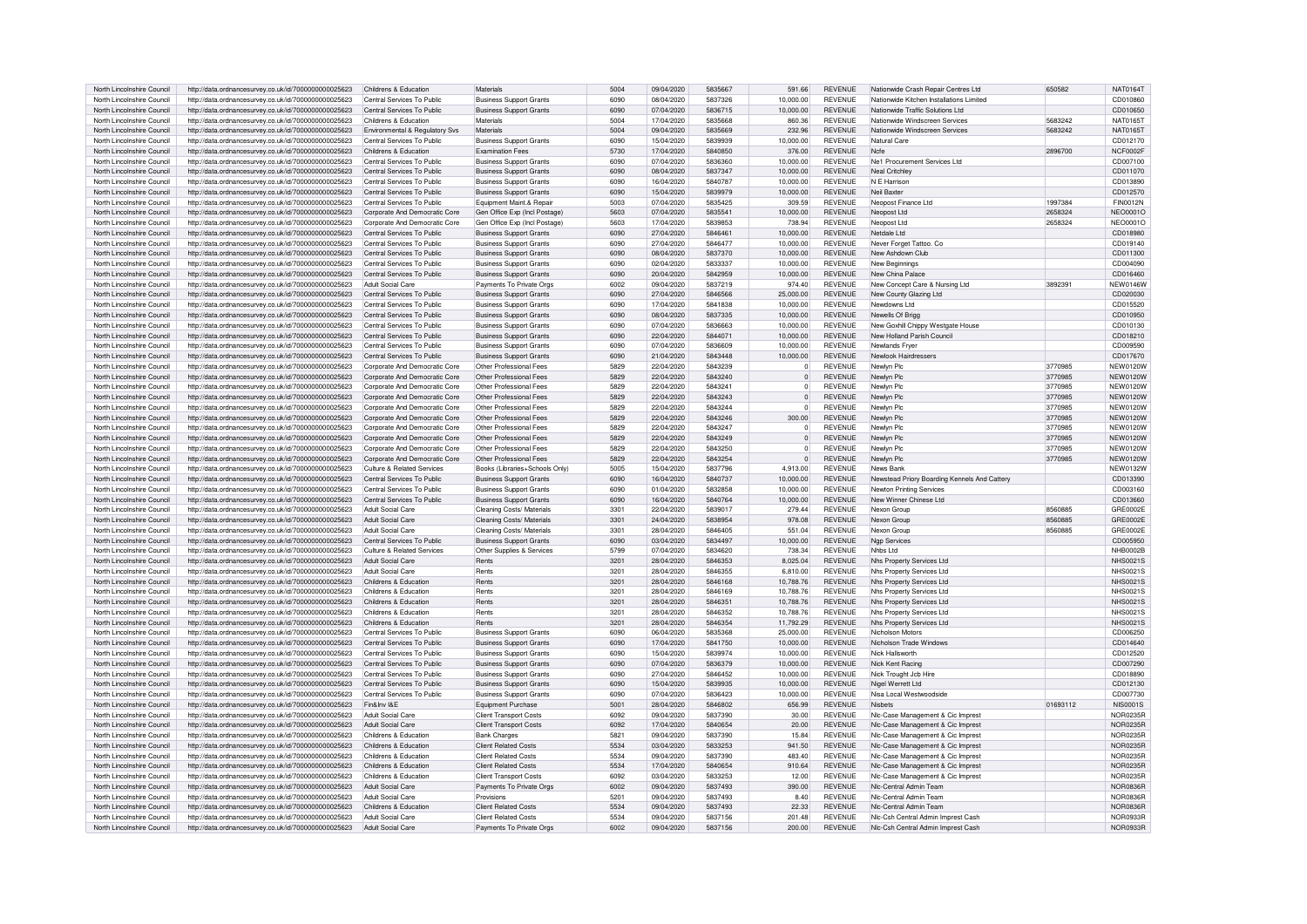| North Lincolnshire Council | http://data.ordnancesurvey.co.uk/id/7000000000025623 | Childrens & Education          | Materials                      | 5004 | 09/04/2020 | 5835667            | 591.66         | <b>REVENUE</b> | Nationwide Crash Repair Centres Ltd          | 650582   | <b>NAT0164T</b> |
|----------------------------|------------------------------------------------------|--------------------------------|--------------------------------|------|------------|--------------------|----------------|----------------|----------------------------------------------|----------|-----------------|
| North Lincolnshire Council | http://data.ordnancesurvey.co.uk/id/7000000000025623 | Central Services To Public     | <b>Business Support Grants</b> | 6090 | 08/04/2020 | 5837326            | 10.000.00      | <b>REVENUE</b> | Nationwide Kitchen Installations Limited     |          | CD010860        |
|                            |                                                      |                                |                                |      |            |                    |                |                |                                              |          |                 |
| North Lincolnshire Council | http://data.ordnancesurvey.co.uk/id/7000000000025623 | Central Services To Public     | <b>Business Support Grants</b> | 6090 | 07/04/2020 | 5836715            | 10.000.00      | <b>REVENUE</b> | Nationwide Traffic Solutions Ltd             |          | CD010650        |
| North Lincolnshire Council | http://data.ordnancesurvey.co.uk/id/7000000000025623 | Childrens & Education          | Materials                      | 5004 | 17/04/2020 | 5835668            | 860.36         | <b>REVENUE</b> | Nationwide Windscreen Services               | 5683242  | NAT0165T        |
| North Lincolnshire Council | http://data.ordnancesurvey.co.uk/id/7000000000025623 | Environmental & Regulatory Svs | Materials                      | 5004 | 09/04/2020 | 5835669            | 232.96         | <b>REVENUE</b> | Nationwide Windscreen Services               | 5683242  | NAT0165T        |
| North Lincolnshire Council | http://data.ordnancesurvey.co.uk/id/7000000000025623 | Central Services To Public     | <b>Business Support Grants</b> | 6090 | 15/04/2020 | 5839939            | 10.000.00      | <b>REVENUE</b> | Natural Care                                 |          | CD012170        |
| North Lincolnshire Council | http://data.ordnancesurvey.co.uk/id/7000000000025623 | Childrens & Education          | <b>Examination Fees</b>        | 5730 | 17/04/2020 | 5840850            | 376.00         | <b>REVENUE</b> | Nefe                                         | 2896700  | NCF0002F        |
| North Lincolnshire Council | http://data.ordnancesurvey.co.uk/id/7000000000025623 | Central Services To Public     | <b>Business Support Grants</b> | 6090 | 07/04/2020 | 5836360            | 10,000.00      | REVENUE        | Ne1 Procurement Services Ltd                 |          | CD007100        |
|                            |                                                      |                                |                                |      |            |                    |                |                |                                              |          |                 |
| North Lincolnshire Council | http://data.ordnancesurvey.co.uk/id/7000000000025623 | Central Services To Public     | <b>Business Support Grants</b> | 6090 | 08/04/2020 | 5837347            | 10,000.00      | <b>REVENUE</b> | Neal Critchley                               |          | CD011070        |
| North Lincolnshire Council | http://data.ordnancesurvey.co.uk/id/7000000000025623 | Central Services To Public     | <b>Business Support Grants</b> | 6090 | 16/04/2020 | 5840787            | 10,000.00      | <b>REVENUE</b> | N F Harrison                                 |          | CD013890        |
| North Lincolnshire Council | http://data.ordnancesurvey.co.uk/id/7000000000025623 | Central Services To Public     | <b>Business Support Grants</b> | 6090 | 15/04/2020 | 5839979            | 10,000.00      | <b>REVENUE</b> | Neil Baxter                                  |          | CD012570        |
| North Lincolnshire Council | http://data.ordnancesurvey.co.uk/id/7000000000025623 | Central Services To Public     | Fouinment Maint & Renai        | 5003 | 07/04/2020 | 5835425            | 309.59         | <b>REVENUE</b> | Neopost Finance Ltd                          | 1997384  | FIN0012N        |
| North Lincolnshire Council | http://data.ordnancesurvey.co.uk/id/7000000000025623 | Corporate And Democratic Core  | Gen Office Exp (Incl Postage)  | 5603 | 07/04/2020 | 5835541            | 10,000.00      | <b>REVENUE</b> | Neopost Ltd                                  | 2658324  | NEO0001O        |
|                            |                                                      |                                |                                | 5603 | 17/04/2020 | 5839853            | 738.94         |                |                                              | 2658324  |                 |
| North Lincolnshire Council | http://data.ordnancesurvey.co.uk/id/7000000000025623 | Corporate And Democratic Core  | Gen Office Exp (Incl Postage)  |      |            |                    |                | <b>REVENUE</b> | Neopost Ltd                                  |          | NEO0001O        |
| North Lincolnshire Council | http://data.ordnancesurvey.co.uk/id/7000000000025623 | Central Services To Public     | <b>Business Support Grants</b> | 6090 | 27/04/2020 | 5846461            | 10.000.00      | <b>REVENUE</b> | Netdale I td                                 |          | CD018980        |
| North Lincolnshire Council | http://data.ordnancesurvey.co.uk/id/7000000000025623 | Central Services To Public     | <b>Business Support Grants</b> | 6090 | 27/04/2020 | 5846477            | 10.000.00      | <b>REVENUE</b> | Never Forget Tattoo, Co.                     |          | CD019140        |
| North Lincolnshire Council | http://data.ordnancesurvey.co.uk/id/7000000000025623 | Central Services To Public     | <b>Business Support Grants</b> | 6090 | 08/04/2020 | 5837370            | 10,000.00      | <b>REVENUE</b> | New Ashdown Club                             |          | CD011300        |
| North Lincolnshire Council | http://data.ordnancesurvey.co.uk/id/7000000000025623 | Central Services To Public     | <b>Business Support Grants</b> | 6090 | 02/04/2020 | 5833337            | 10,000.00      | <b>REVENUE</b> | New Beginnings                               |          | CD004090        |
|                            |                                                      |                                |                                | 6090 |            | 5842959            |                |                |                                              |          |                 |
| North Lincolnshire Council | http://data.ordnancesurvey.co.uk/id/7000000000025623 | Central Services To Public     | <b>Business Support Grants</b> |      | 20/04/2020 |                    | 10.000.00      | <b>REVENUE</b> | New China Palace                             |          | CD016460        |
| North Lincolnshire Council | http://data.ordnancesurvey.co.uk/id/7000000000025623 | Adult Social Care              | Payments To Private Orgs       | 6002 | 09/04/2020 | 5837219            | 974.40         | <b>REVENUE</b> | New Concept Care & Nursing Ltd               | 3892391  | NEW0146W        |
| North Lincolnshire Council | http://data.ordnancesurvey.co.uk/id/7000000000025623 | Central Services To Public     | <b>Business Support Grants</b> | 6090 | 27/04/2020 | 5846566            | 25,000.00      | <b>REVENUE</b> | New County Glazing Ltd                       |          | CD020030        |
| North Lincolnshire Council | http://data.ordnancesurvey.co.uk/id/7000000000025623 | Central Services To Public     | <b>Business Support Grants</b> | 6090 | 17/04/2020 | 5841838            | 10.000.00      | <b>REVENUE</b> | Newdowns Ltd                                 |          | CD015520        |
| North Lincolnshire Council | http://data.ordnancesurvey.co.uk/id/7000000000025623 | Central Services To Public     | <b>Business Support Grants</b> | 6090 | 08/04/2020 | 5837335            | 10,000.00      | <b>REVENUE</b> | Newells Of Brigg                             |          | CD010950        |
|                            |                                                      |                                |                                |      |            |                    |                |                |                                              |          |                 |
| North Lincolnshire Council | http://data.ordnancesurvey.co.uk/id/7000000000025623 | Central Services To Public     | <b>Business Support Grants</b> | 6090 | 07/04/2020 | 5836663            | 10,000.00      | <b>REVENUE</b> | New Goxhill Chippy Westgate House            |          | CD010130        |
| North Lincolnshire Council | http://data.ordnancesurvey.co.uk/id/7000000000025623 | Central Services To Public     | <b>Business Support Grants</b> | 6090 | 22/04/2020 | 5844071            | 10,000.00      | <b>REVENUE</b> | New Holland Parish Council                   |          | CD018210        |
| North Lincolnshire Council | http://data.ordnancesurvey.co.uk/id/7000000000025623 | Central Services To Public     | <b>Business Support Grants</b> | 6090 | 07/04/2020 | 5836609            | 10.000.00      | <b>REVENUE</b> | Newlands Fryer                               |          | CD009590        |
| North Lincolnshire Council | http://data.ordnancesurvey.co.uk/id/7000000000025623 | Central Services To Public     | <b>Business Support Grants</b> | 6090 | 21/04/2020 | 5843448            | 10.000.00      | <b>REVENUE</b> | Newlook Hairdressers                         |          | CD017670        |
| North Lincolnshire Council |                                                      | Corporate And Democratic Core  | Other Professional Fees        | 5829 |            | 5843239            | $\Omega$       |                | Newlyn Plc                                   | 3770985  | NFW0120W        |
|                            | http://data.ordnancesurvey.co.uk/id/7000000000025623 |                                |                                |      | 22/04/2020 |                    |                | REVENUE        |                                              |          |                 |
| North Lincolnshire Council | http://data.ordnancesurvey.co.uk/id/7000000000025623 | Corporate And Democratic Core  | Other Professional Fees        | 5829 | 22/04/2020 | 5843240            | $\Omega$       | <b>REVENUE</b> | Newlyn Plc                                   | 3770985  | <b>NFW0120W</b> |
| North Lincolnshire Council | http://data.ordnancesurvey.co.uk/id/7000000000025623 | Corporate And Democratic Core  | Other Professional Fees        | 5829 | 22/04/2020 | 5843241            | $\overline{0}$ | <b>REVENUE</b> | Newlyn Plc                                   | 3770985  | <b>NEW0120W</b> |
| North Lincolnshire Council | http://data.ordnancesurvey.co.uk/id/7000000000025623 | Corporate And Democratic Core  | Other Professional Fees        | 5829 | 22/04/2020 | 5843243            | $\overline{0}$ | <b>REVENUE</b> | Newlyn Plc                                   | 3770985  | <b>NEW0120W</b> |
| North Lincolnshire Council | http://data.ordnancesurvev.co.uk/id/7000000000025623 | Corporate And Democratic Core  | Other Professional Fee:        | 5829 | 22/04/2020 | 5843244            | $\overline{0}$ | <b>REVENUE</b> | Newlyn Plc                                   | 3770985  | <b>NEW0120W</b> |
|                            |                                                      |                                |                                |      |            |                    |                |                |                                              |          |                 |
| North Lincolnshire Counci  | http://data.ordnancesurvey.co.uk/id/7000000000025623 | Corporate And Democratic Core  | Other Professional Fees        | 5829 | 22/04/2020 | 5843246            | 300.00         | <b>REVENUE</b> | Newlyn Plc                                   | 3770985  | <b>NEW0120W</b> |
| North Lincolnshire Council | http://data.ordnancesurvey.co.uk/id/7000000000025623 | Corporate And Democratic Core  | Other Professional Fees        | 5829 | 22/04/2020 | 5843247            | $\overline{0}$ | <b>REVENUE</b> | Newlyn Plc                                   | 3770985  | <b>NEW0120W</b> |
| North Lincolnshire Council | http://data.ordnancesurvey.co.uk/id/7000000000025623 | Corporate And Democratic Core  | Other Professional Fees        | 5829 | 22/04/2020 | 5843249            | $\Omega$       | <b>REVENUE</b> | Newlyn Plc                                   | 3770985  | <b>NEW0120W</b> |
| North Lincolnshire Council | http://data.ordnancesurvey.co.uk/id/7000000000025623 | Corporate And Democratic Core  | Other Professional Fees        | 5829 | 22/04/2020 | 5843250            | $\Omega$       | <b>REVENUE</b> | Newlyn Plc                                   | 3770985  | <b>NEW0120W</b> |
| North Lincolnshire Council | http://data.ordnancesurvey.co.uk/id/7000000000025623 | Corporate And Democratic Core  | Other Professional Fees        | 5829 | 22/04/2020 | 5843254            | $\Omega$       | <b>REVENUE</b> | Newlyn Plc                                   | 3770985  | <b>NEW0120W</b> |
|                            |                                                      |                                |                                |      |            |                    |                |                |                                              |          |                 |
| North Lincolnshire Council | http://data.ordnancesurvey.co.uk/id/7000000000025623 | Culture & Related Services     | Books (Libraries+Schools Only) | 5005 | 15/04/2020 | 5837796            | 4.913.00       | <b>REVENUE</b> | News Bank                                    |          | NFW0132W        |
| North Lincolnshire Council | http://data.ordnancesurvey.co.uk/id/7000000000025623 | Central Services To Public     | <b>Business Support Grants</b> | 6090 | 16/04/2020 | 5840737            | 10.000.00      | <b>REVENUE</b> | Newstead Priory Boarding Kennels And Cattery |          | CD013390        |
|                            |                                                      |                                |                                |      |            |                    |                |                |                                              |          |                 |
| North Lincolnshire Council | http://data.ordnancesurvey.co.uk/id/7000000000025623 | Central Services To Public     | <b>Business Support Grants</b> | 6090 | 01/04/2020 | 5832858            | 10.000.00      | <b>REVENUE</b> | Newton Printing Services                     |          | CD003160        |
|                            |                                                      |                                |                                |      |            |                    |                |                |                                              |          |                 |
| North Lincolnshire Council | http://data.ordnancesurvey.co.uk/id/7000000000025623 | Central Services To Public     | <b>Business Support Grants</b> | 6090 | 16/04/2020 | 5840764            | 10,000.00      | <b>REVENUE</b> | New Winner Chinese I td                      |          | CD013660        |
| North Lincolnshire Council | http://data.ordnancesurvey.co.uk/id/7000000000025623 | Adult Social Care              | Cleaning Costs/ Materials      | 3301 | 22/04/2020 | 5839017            | 279.44         | <b>REVENUE</b> | Nexon Group                                  | 8560885  | GRE0002E        |
| North Lincolnshire Counci  | http://data.ordnancesurvey.co.uk/id/7000000000025623 | <b>Adult Social Care</b>       | Cleaning Costs/ Materials      | 3301 | 24/04/2020 | 5838954            | 978.08         | <b>REVENUE</b> | Nexon Group                                  | 8560885  | GRE0002E        |
| North Lincolnshire Council | http://data.ordnancesurvey.co.uk/id/7000000000025623 | Adult Social Care              | Cleaning Costs/ Materials      | 3301 | 28/04/2020 | 5846405            | 551.04         | <b>REVENUE</b> | Nexon Group                                  | 8560885  | GRE0002E        |
| North Lincolnshire Council | http://data.ordnancesurvey.co.uk/id/7000000000025623 | Central Services To Public     | <b>Business Support Grants</b> | 6090 | 03/04/2020 | 5834497            | 10.000.00      | <b>REVENUE</b> | Non Services                                 |          | CD005950        |
|                            |                                                      |                                |                                |      |            |                    |                |                | Nhhs I td                                    |          |                 |
| North Lincolnshire Council | http://data.ordnancesurvey.co.uk/id/7000000000025623 | Culture & Related Services     | Other Supplies & Services      | 5799 | 07/04/2020 | 5834620            | 738.34         | <b>REVENUE</b> |                                              |          | <b>NHB0002B</b> |
| North Lincolnshire Council | http://data.ordnancesurvey.co.uk/id/7000000000025623 | Adult Social Care              | Rents                          | 3201 | 28/04/2020 | 5846353            | 8,025.04       | <b>REVENUE</b> | Nhs Property Services Ltd                    |          | <b>NHS0021S</b> |
| North Lincolnshire Council | http://data.ordnancesurvey.co.uk/id/7000000000025623 | Adult Social Care              | Rents                          | 3201 | 28/04/2020 | 5846355            | 6.810.00       | <b>REVENUE</b> | Nhs Property Services Ltd                    |          | <b>NHS0021S</b> |
| North Lincolnshire Council | http://data.ordnancesurvey.co.uk/id/7000000000025623 | Childrens & Education          | Rents                          | 3201 | 28/04/2020 | 5846168            | 10.788.76      | <b>REVENUE</b> | Nhs Property Services Ltd                    |          | <b>NHS0021S</b> |
| North Lincolnshire Council | http://data.ordnancesurvey.co.uk/id/7000000000025623 | Childrens & Education          | Rents                          | 3201 | 28/04/2020 | 5846169            | 10.788.76      | <b>REVENUE</b> | Nhs Property Services Ltd                    |          | <b>NHS0021S</b> |
| North Lincolnshire Council |                                                      | Childrens & Education          | Rents                          | 3201 | 28/04/2020 |                    |                | <b>REVENUE</b> | Nhs Property Services Ltd                    |          | NHS00219        |
|                            | http://data.ordnancesurvey.co.uk/id/7000000000025623 |                                | Rents                          |      |            | 5846351<br>5846352 | 10,788.76      |                |                                              |          |                 |
| North Lincolnshire Council | http://data.ordnancesurvey.co.uk/id/7000000000025623 | Childrens & Education          |                                | 3201 | 28/04/2020 |                    | 10.788.76      | <b>REVENUE</b> | Nhs Property Services Ltd                    |          | NHS00219        |
| North Lincolnshire Council | http://data.ordnancesurvey.co.uk/id/7000000000025623 | Childrens & Education          | Rents                          | 3201 | 28/04/2020 | 5846354            | 11,792.29      | <b>REVENUE</b> | Nhs Property Services Ltd                    |          | <b>NHS0021S</b> |
| North Lincolnshire Council | http://data.ordnancesurvey.co.uk/id/7000000000025623 | Central Services To Public     | <b>Business Support Grants</b> | 6090 | 06/04/2020 | 5835368            | 25,000.00      | <b>REVENUE</b> | Nicholson Motors                             |          | CD006250        |
| North Lincolnshire Council | http://data.ordnancesurvey.co.uk/id/7000000000025623 | Central Services To Public     | <b>Business Support Grants</b> | 6090 | 17/04/2020 | 5841750            | 10.000.00      | <b>REVENUE</b> | Nicholson Trade Windows                      |          | CD014640        |
| North Lincolnshire Council | http://data.ordnancesurvey.co.uk/id/7000000000025623 | Central Services To Public     | <b>Business Support Grants</b> | 6090 | 15/04/2020 | 5839974            | 10.000.00      | <b>REVENUE</b> | Nick Hallsworth                              |          | CD012520        |
| North Lincolnshire Council |                                                      | Central Services To Public     |                                | 6090 | 07/04/2020 | 5836379            | 10.000.00      | <b>REVENUE</b> |                                              |          | CD007290        |
|                            | http://data.ordnancesurvey.co.uk/id/7000000000025623 |                                | <b>Business Support Grants</b> |      |            |                    |                |                | Nick Kent Racing                             |          |                 |
| North Lincolnshire Council | http://data.ordnancesurvey.co.uk/id/7000000000025623 | Central Services To Public     | <b>Business Support Grants</b> | 6090 | 27/04/2020 | 5846452            | 10,000.00      | <b>REVENUE</b> | Nick Trought Jcb Hire                        |          | CD018890        |
| North Lincolnshire Council | http://data.ordnancesurvey.co.uk/id/7000000000025623 | Central Services To Public     | <b>Business Support Grants</b> | 6090 | 15/04/2020 | 5839935            | 10,000.00      | <b>REVENUE</b> | Nigel Werrett Ltd                            |          | CD012130        |
| North Lincolnshire Council | http://data.ordnancesurvey.co.uk/id/7000000000025623 | Central Services To Public     | <b>Business Support Grants</b> | 6090 | 07/04/2020 | 5836423            | 10.000.00      | <b>REVENUE</b> | Nisa Local Westwoodside                      |          | CD007730        |
| North Lincolnshire Council |                                                      | Fin&Inv I&F                    | Equipment Purchase             | 5001 | 28/04/2020 | 5846802            | 656.99         | <b>REVENUE</b> | <b>Nishets</b>                               | 01693112 | <b>NIS0001S</b> |
| North Lincolnshire Council | http://data.ordnancesurvey.co.uk/id/7000000000025623 | Adult Social Care              | <b>Client Transport Costs</b>  | 6092 | 09/04/2020 | 5837390            | 30.00          |                |                                              |          | <b>NOR0235R</b> |
|                            | http://data.ordnancesurvey.co.uk/id/7000000000025623 |                                |                                |      |            |                    |                | <b>REVENUE</b> | NIc-Case Management & Cic Imprest            |          |                 |
| North Lincolnshire Council | http://data.ordnancesurvey.co.uk/id/7000000000025623 | <b>Adult Social Care</b>       | <b>Client Transport Costs</b>  | 6092 | 17/04/2020 | 5840654            | 20.00          | <b>REVENUE</b> | NIc-Case Management & Cic Imprest            |          | NOR0235F        |
| North Lincolnshire Council | http://data.ordnancesurvey.co.uk/id/7000000000025623 | Childrens & Education          | <b>Bank Charges</b>            | 5821 | 09/04/2020 | 5837390            | 15.84          | <b>REVENUE</b> | NIc-Case Management & Cic Imprest            |          | NOR0235F        |
| North Lincolnshire Council | http://data.ordnancesurvey.co.uk/id/7000000000025623 | Childrens & Education          | <b>Client Related Costs</b>    | 5534 | 03/04/2020 | 5833253            | 941.50         | <b>REVENUE</b> | Nic-Case Management & Cic Imprest            |          | NOR0235F        |
| North Lincolnshire Council | http://data.ordnancesurvey.co.uk/id/7000000000025623 | Childrens & Education          | Client Related Costs           | 5534 | 09/04/2020 | 5837390            | 483.40         | <b>REVENUE</b> | NIc-Case Management & Cic Imprest            |          | NOR0235R        |
| North Lincolnshire Council |                                                      | Childrens & Education          | <b>Client Related Costs</b>    | 5534 | 17/04/2020 | 5840654            | 910.64         | <b>REVENUE</b> |                                              |          | NOR0235F        |
|                            | http://data.ordnancesurvey.co.uk/id/7000000000025623 |                                |                                |      |            |                    |                |                | NIc-Case Management & Cic Imprest            |          |                 |
| North Lincolnshire Council | http://data.ordnancesurvey.co.uk/id/7000000000025623 | Childrens & Education          | <b>Client Transport Costs</b>  | 6092 | 03/04/2020 | 5833253            | 12.00          | <b>REVENUE</b> | Nic-Case Management & Cic Imprest            |          | NOR0235R        |
| North Lincolnshire Council | http://data.ordnancesurvey.co.uk/id/7000000000025623 | Adult Social Care              | Payments To Private Orgs       | 6002 | 09/04/2020 | 5837493            | 390.00         | <b>REVENUE</b> | Nic-Central Admin Team                       |          | NOR0836R        |
| North Lincolnshire Council | http://data.ordnancesurvey.co.uk/id/7000000000025623 | Adult Social Care              | Provisions                     | 5201 | 09/04/2020 | 5837493            | 8.40           | <b>REVENUE</b> | Nic-Central Admin Team                       |          | <b>NOR0836R</b> |
| North Lincolnshire Council | http://data.ordnancesurvey.co.uk/id/7000000000025623 | Childrens & Education          | Client Related Costs           | 5534 | 09/04/2020 | 5837493            | 22.33          | <b>REVENUE</b> | Nic-Central Admin Team                       |          | NOR0836F        |
| North Lincolnshire Council | http://data.ordnancesurvey.co.uk/id/7000000000025623 | Adult Social Care              | Client Related Costs           | 5534 | 09/04/2020 | 5837156            | 201.48         | <b>REVENUE</b> | Nic-Csh Central Admin Imprest Cash           |          | NOR0933F        |
| North Lincolnshire Council | http://data.ordnancesurvey.co.uk/id/7000000000025623 | Adult Social Care              | Payments To Private Orgs       | 6002 | 09/04/2020 | 5837156            | 200.00         | <b>REVENUE</b> | Nic-Csh Central Admin Imprest Cash           |          | NOR0933R        |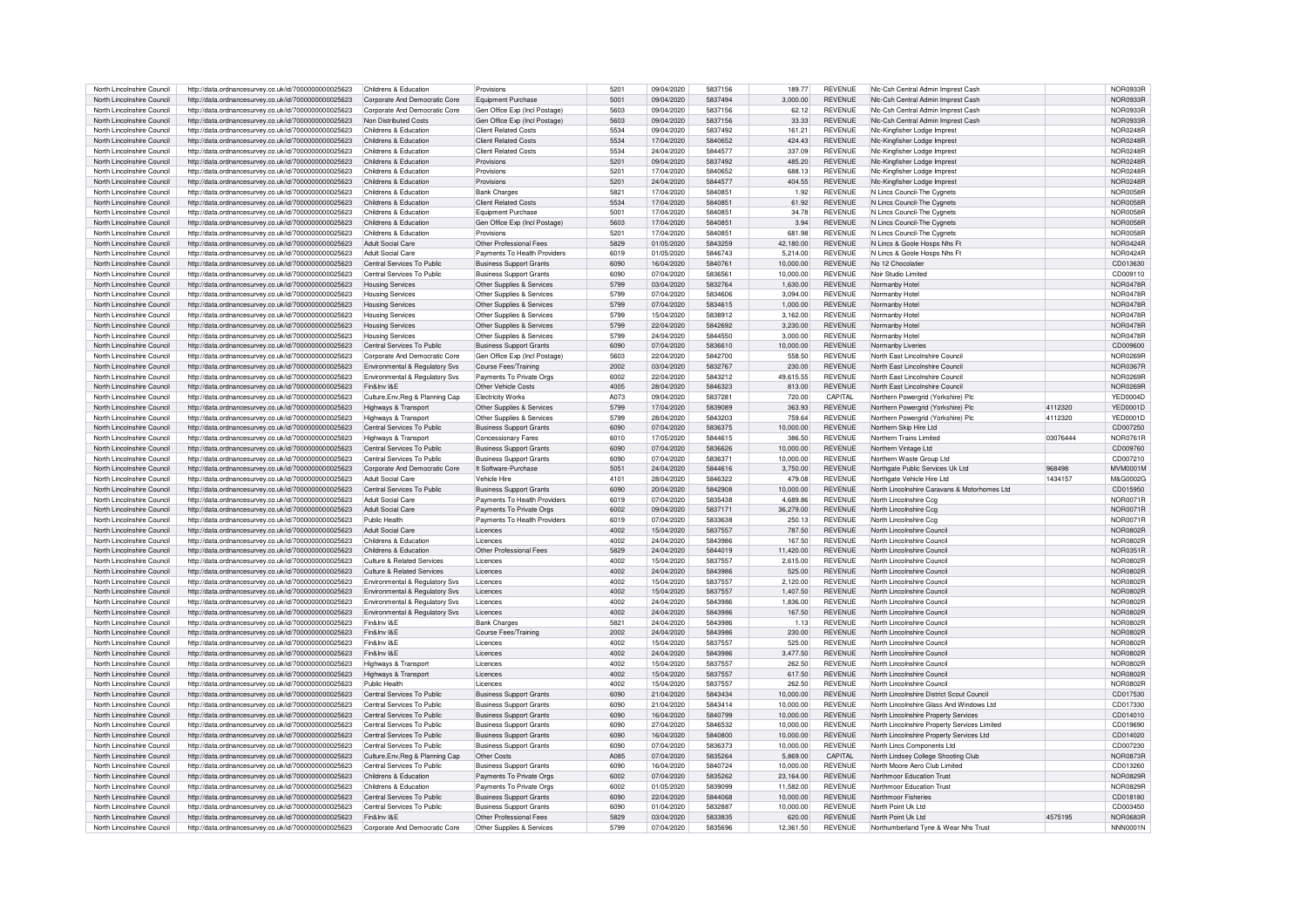| North Lincolnshire Council                               | http://data.ordnancesurvey.co.uk/id/7000000000025623                                                         | Childrens & Education                        | Provisions                                           | 5201         | 09/04/2020               | 5837156            | 189.77              | <b>REVENUE</b>                   | Nic-Csh Central Admin Imprest Cash                         |          | NOR0933R                           |
|----------------------------------------------------------|--------------------------------------------------------------------------------------------------------------|----------------------------------------------|------------------------------------------------------|--------------|--------------------------|--------------------|---------------------|----------------------------------|------------------------------------------------------------|----------|------------------------------------|
| North Lincolnshire Council                               |                                                                                                              | Corporate And Democratic Core                |                                                      | 5001         | 09/04/2020               | 5837494            | 3.000.00            | <b>REVENUE</b>                   | Nic-Csh Central Admin Imprest Cash                         |          | NOR0933R                           |
|                                                          | http://data.ordnancesurvey.co.uk/id/7000000000025623                                                         |                                              | Equipment Purchase                                   |              |                          |                    |                     |                                  |                                                            |          |                                    |
| North Lincolnshire Council                               | http://data.ordnancesurvey.co.uk/id/7000000000025623                                                         | Corporate And Democratic Core                | Gen Office Exp (Incl Postage)                        | 5603         | 09/04/2020               | 5837156            | 62.12               | <b>REVENUE</b>                   | Nic-Csh Central Admin Imprest Cash                         |          | NOR0933B                           |
| North Lincolnshire Council                               | http://data.ordnancesurvey.co.uk/id/7000000000025623                                                         | Non Distributed Costs                        | Gen Office Exp (Incl Postage)                        | 5603         | 09/04/2020               | 5837156            | 33.33               | <b>REVENUE</b>                   | NIc-Csh Central Admin Imprest Cash                         |          | NOR0933R                           |
| North Lincolnshire Council                               | http://data.ordnancesurvey.co.uk/id/7000000000025623                                                         | Childrens & Education                        | Client Related Costs                                 | 5534         | 09/04/2020               | 5837492            | 161.21              | <b>REVENUE</b>                   | Nic-Kingfisher Lodge Imprest                               |          | NOR0248F                           |
| North Lincolnshire Council                               | http://data.ordnancesurvey.co.uk/id/7000000000025623                                                         | Childrens & Education                        | Client Related Costs                                 | 5534         | 17/04/2020               | 5840652            | 424.43              | <b>REVENUE</b>                   | Nic-Kingfisher Lodge Imprest                               |          | NOR0248R                           |
| North Lincolnshire Council                               | http://data.ordnancesurvey.co.uk/id/7000000000025623                                                         | Childrens & Education                        | <b>Client Related Costs</b>                          | 5534         | 24/04/2020               | 5844577            | 337.09              | <b>REVENUE</b>                   | Nic-Kingfisher Lodge Imprest                               |          | NOR0248R                           |
|                                                          |                                                                                                              |                                              |                                                      |              |                          |                    |                     |                                  |                                                            |          |                                    |
| North Lincolnshire Counci                                | http://data.ordnancesurvey.co.uk/id/7000000000025623                                                         | Childrens & Education                        | Provisions                                           | 5201         | 09/04/2020               | 5837492            | 485.20              | <b>REVENUE</b>                   | Nic-Kingfisher Lodge Imprest                               |          | <b>NOR0248F</b>                    |
| North Lincolnshire Council                               | http://data.ordnancesurvey.co.uk/id/7000000000025623                                                         | Childrens & Education                        | Provisions                                           | 5201         | 17/04/2020               | 5840652            | 688.13              | <b>REVENUE</b>                   | Nic-Kingfisher Lodge Impres                                |          | NOR0248F                           |
| North Lincolnshire Council                               | http://data.ordnancesurvey.co.uk/id/7000000000025623                                                         | Childrens & Education                        | Provisions                                           | 5201         | 24/04/2020               | 5844577            | 404.55              | <b>REVENUE</b>                   | Nic-Kingfisher Lodge Imprest                               |          | NOR0248R                           |
| North Lincolnshire Council                               | http://data.ordnancesurvey.co.uk/id/7000000000025623                                                         | Childrens & Education                        | <b>Bank Charges</b>                                  | 5821         | 17/04/2020               | 5840851            | 1.92                | <b>REVENUE</b>                   | N Lincs Council-The Cygnets                                |          | NOR0058R                           |
| North Lincolnshire Council                               | http://data.ordnancesurvey.co.uk/id/7000000000025623                                                         | Childrens & Education                        | <b>Client Related Costs</b>                          | 5534         | 17/04/2020               | 5840851            | 61.92               | <b>REVENUE</b>                   | N Lincs Council-The Cygnets                                |          | <b>NOR0058R</b>                    |
| North Lincolnshire Council                               | http://data.ordnancesurvey.co.uk/id/7000000000025623                                                         | Childrens & Education                        | Equipment Purchase                                   | 5001         | 17/04/2020               | 5840851            | 34.78               | <b>REVENUE</b>                   | N Lincs Council-The Cygnets                                |          | NOR0058R                           |
| North Lincolnshire Council                               | http://data.ordnancesurvey.co.uk/id/7000000000025623                                                         | Childrens & Education                        | Gen Office Exp (Incl Postage)                        | 5603         | 17/04/2020               | 5840851            | 3.94                | <b>REVENUE</b>                   | N Lincs Council-The Cygnets                                |          | <b>NOR0058R</b>                    |
|                                                          |                                                                                                              |                                              |                                                      | 5201         | 17/04/2020               | 5840851            |                     | <b>REVENUE</b>                   |                                                            |          |                                    |
| North Lincolnshire Council                               | http://data.ordnancesurvey.co.uk/id/7000000000025623                                                         | Childrens & Education                        | Provisions                                           |              |                          |                    | <b>681 98</b>       |                                  | N Lincs Council-The Cygnets                                |          | NOR0058R                           |
| North Lincolnshire Council                               | http://data.ordnancesurvey.co.uk/id/7000000000025623                                                         | Adult Social Care                            | Other Professional Fees                              | 5829         | 01/05/2020               | 5843259            | 42,180.00           | <b>REVENUE</b>                   | N Lincs & Goole Hosps Nhs Ft                               |          | <b>NOR0424R</b>                    |
| North Lincolnshire Council                               | http://data.ordnancesurvey.co.uk/id/7000000000025623                                                         | Adult Social Care                            | Payments To Health Providers                         | 6019         | 01/05/2020               | 5846743            | 5.214.00            | <b>REVENUE</b>                   | N Lincs & Goole Hosps Nhs Ft                               |          | <b>NOR0424R</b>                    |
| North Lincolnshire Council                               | http://data.ordnancesurvey.co.uk/id/7000000000025623                                                         | Central Services To Public                   | <b>Business Support Grants</b>                       | 6090         | 16/04/2020               | 5840761            | 10,000.00           | <b>REVENUE</b>                   | No 12 Chocolatier                                          |          | CD013630                           |
| North Lincolnshire Council                               | http://data.ordnancesurvey.co.uk/id/7000000000025623                                                         | Central Services To Public                   | <b>Business Support Grants</b>                       | 6090         | 07/04/2020               | 5836561            | 10,000.00           | <b>REVENUE</b>                   | Noir Studio Limited                                        |          | CD009110                           |
| North Lincolnshire Council                               | http://data.ordnancesurvey.co.uk/id/7000000000025623                                                         | <b>Housing Services</b>                      | Other Supplies & Services                            | 5799         | 03/04/2020               | 5832764            | 1.630.00            | <b>REVENUE</b>                   | Normanby Hotel                                             |          | NOR0478R                           |
| North Lincolnshire Council                               | http://data.ordnancesurvey.co.uk/id/7000000000025623                                                         | <b>Housing Services</b>                      | Other Supplies & Services                            | 5799         | 07/04/2020               | 5834606            | 3,094.00            | <b>REVENUE</b>                   | Normanby Hotel                                             |          | <b>NOR0478R</b>                    |
| North Lincolnshire Council                               | http://data.ordnancesurvey.co.uk/id/7000000000025623                                                         | <b>Housing Services</b>                      | Other Supplies & Services                            | 5799         | 07/04/2020               | 5834615            | 1,000.00            | <b>REVENUE</b>                   | Normanby Hotel                                             |          | <b>NOR0478R</b>                    |
|                                                          |                                                                                                              |                                              |                                                      |              |                          |                    |                     |                                  |                                                            |          |                                    |
| North Lincolnshire Council                               | http://data.ordnancesurvey.co.uk/id/7000000000025623                                                         | <b>Housing Services</b>                      | Other Supplies & Services                            | 5799         | 15/04/2020               | 5838912            | 3.162.00            | <b>REVENUE</b>                   | Normanby Hotel                                             |          | <b>NOR0478R</b>                    |
| North Lincolnshire Council                               | http://data.ordnancesurvey.co.uk/id/7000000000025623                                                         | <b>Housing Services</b>                      | Other Supplies & Services                            | 5799         | 22/04/2020               | 5842692            | 3,230.00            | <b>REVENUE</b>                   | Normanby Hotel                                             |          | <b>NOR0478R</b>                    |
| North Lincolnshire Council                               | http://data.ordnancesurvey.co.uk/id/7000000000025623                                                         | <b>Housing Services</b>                      | Other Supplies & Services                            | 5799         | 24/04/2020               | 5844550            | 3.000.00            | <b>REVENUE</b>                   | Normanby Hotel                                             |          | <b>NOR0478R</b>                    |
| North Lincolnshire Council                               | http://data.ordnancesurvey.co.uk/id/7000000000025623                                                         | Central Services To Public                   | <b>Business Support Grants</b>                       | 6090         | 07/04/2020               | 5836610            | 10.000.00           | <b>REVENUE</b>                   | Normanby Liveries                                          |          | CD009600                           |
| North Lincolnshire Council                               | http://data.ordnancesurvey.co.uk/id/7000000000025623                                                         | Corporate And Democratic Core                | Gen Office Exp (Incl Postage)                        | 5603         | 22/04/2020               | 5842700            | 558.50              | <b>REVENUE</b>                   | North East Lincolnshire Council                            |          | NOR0269R                           |
| North Lincolnshire Council                               | http://data.ordnancesurvey.co.uk/id/7000000000025623                                                         | Environmental & Regulatory Svs               | Course Fees/Training                                 | 2002         | 03/04/2020               | 5832767            | 230.00              | <b>REVENUE</b>                   | North East Lincolnshire Council                            |          | <b>NOR0367R</b>                    |
| North Lincolnshire Council                               | http://data.ordnancesurvey.co.uk/id/7000000000025623                                                         | Environmental & Regulatory Svs               | Payments To Private Orgs                             | 6002         | 22/04/2020               | 5843212            | 49.615.55           | <b>REVENUE</b>                   | North East Lincolnshire Council                            |          | <b>NOR0269F</b>                    |
|                                                          |                                                                                                              |                                              | Other Vehicle Costs                                  |              |                          |                    |                     |                                  |                                                            |          |                                    |
| North Lincolnshire Council                               | http://data.ordnancesurvey.co.uk/id/7000000000025623                                                         | Fin&Inv I&E                                  |                                                      | 4005         | 28/04/2020               | 5846323            | 813.00              | <b>REVENUE</b>                   | North East Lincolnshire Council                            |          | NOR0269R                           |
| North Lincolnshire Council                               | http://data.ordnancesurvey.co.uk/id/7000000000025623                                                         | Culture, Env, Reg & Planning Cap             | <b>Flectricity Works</b>                             | A073         | 09/04/2020               | 5837281            | 720.00              | CAPITAL                          | Northern Powergrid (Yorkshire) Plc                         |          | YFD0004D                           |
| North Lincolnshire Council                               | http://data.ordnancesurvey.co.uk/id/7000000000025623                                                         | Highways & Transport                         | Other Supplies & Services                            | 5799         | 17/04/2020               | 5839089            | 363.93              | <b>REVENUE</b>                   | Northern Powergrid (Yorkshire) Plc                         | 4112320  | <b>YED0001D</b>                    |
| North Lincolnshire Council                               | http://data.ordnancesurvey.co.uk/id/7000000000025623                                                         | Highways & Transport                         | Other Supplies & Services                            | 5799         | 28/04/2020               | 5843203            | 759.64              | <b>REVENUE</b>                   | Northern Powergrid (Yorkshire) Plc                         | 4112320  | YED0001D                           |
| North Lincolnshire Council                               | http://data.ordnancesurvey.co.uk/id/7000000000025623                                                         | Central Services To Public                   | <b>Business Support Grants</b>                       | 6090         | 07/04/2020               | 5836375            | 10.000.00           | <b>REVENUE</b>                   | Northern Skip Hire Ltd                                     |          | CD007250                           |
| North Lincolnshire Council                               | http://data.ordnancesurvey.co.uk/id/7000000000025623                                                         | Highways & Transport                         | Concessionary Fares                                  | 6010         | 17/05/2020               | 5844615            | 386.50              | <b>REVENUE</b>                   | Northern Trains Limited                                    | 03076444 | <b>NOR0761R</b>                    |
| North Lincolnshire Council                               | http://data.ordnancesurvey.co.uk/id/7000000000025623                                                         | Central Services To Public                   | <b>Business Support Grants</b>                       | 6090         | 07/04/2020               | 5836626            | 10.000.00           | <b>REVENUE</b>                   | Northern Vintage Ltd                                       |          | CD009760                           |
| North Lincolnshire Council                               | http://data.ordnancesurvey.co.uk/id/7000000000025623                                                         | Central Services To Public                   | <b>Business Support Grants</b>                       | 6090         | 07/04/2020               | 5836371            | 10.000.00           | <b>REVENUE</b>                   |                                                            |          | CD007210                           |
|                                                          |                                                                                                              | Corporate And Democratic Core                |                                                      |              |                          | 5844616            |                     | <b>REVENUE</b>                   | Northern Waste Group Ltd                                   |          |                                    |
| North Lincolnshire Council                               | http://data.ordnancesurvey.co.uk/id/7000000000025623                                                         |                                              |                                                      |              |                          |                    |                     |                                  |                                                            |          |                                    |
|                                                          |                                                                                                              |                                              | It Software-Purchase                                 | 5051         | 24/04/2020               |                    | 3.750.00            |                                  | Northgate Public Services Uk Ltd                           | 968498   | <b>MVM0001M</b>                    |
| North Lincolnshire Council                               | http://data.ordnancesurvey.co.uk/id/7000000000025623                                                         | <b>Adult Social Care</b>                     | Vehicle Hire                                         | 4101         | 28/04/2020               | 5846322            | 479.08              | REVENUE                          | Northgate Vehicle Hire I to                                | 1434157  | M&G0002G                           |
| North Lincolnshire Counci                                | http://data.ordnancesurvey.co.uk/id/7000000000025623                                                         | Central Services To Public                   | <b>Business Support Grants</b>                       | 6090         | 20/04/2020               | 5842908            | 10.000.00           | <b>REVENUE</b>                   | North Lincolnshire Caravans & Motorhomes Ltd               |          | CD015950                           |
| North Lincolnshire Council                               | http://data.ordnancesurvey.co.uk/id/7000000000025623                                                         | Adult Social Care                            | Payments To Health Providers                         | 6019         | 07/04/2020               | 5835438            | 4,689.86            | <b>REVENUE</b>                   | North Lincolnshire Ccg                                     |          | <b>NOR0071R</b>                    |
| North Lincolnshire Council                               | http://data.ordnancesurvey.co.uk/id/7000000000025623                                                         | Adult Social Care                            | Payments To Private Orgs                             | 6002         | 09/04/2020               | 5837171            | 36,279.00           |                                  | North Lincolnshire Ccg                                     |          | <b>NOR0071R</b>                    |
|                                                          |                                                                                                              |                                              |                                                      |              |                          |                    |                     | <b>REVENUE</b>                   |                                                            |          |                                    |
| North Lincolnshire Council                               | http://data.ordnancesurvey.co.uk/id/7000000000025623                                                         | Public Health                                | Payments To Health Providers                         | 6019         | 07/04/2020               | 5833638            | 250.13              | <b>REVENUE</b>                   | North Lincolnshire Cco                                     |          | NOR0071B                           |
| North Lincolnshire Council                               | http://data.ordnancesurvey.co.uk/id/7000000000025623                                                         | Adult Social Care                            | Licences                                             | 4002         | 15/04/2020               | 5837557            | 787.50              | <b>REVENUE</b>                   | North Lincolnshire Counc                                   |          | <b>NOR0802F</b>                    |
| North Lincolnshire Council                               | http://data.ordnancesurvey.co.uk/id/7000000000025623                                                         | Childrens & Education                        | Licences                                             | 4002         | 24/04/2020               | 5843986            | 167.50              | <b>REVENUE</b>                   | North Lincolnshire Counci                                  |          | NOR0802F                           |
| North Lincolnshire Council                               | http://data.ordnancesurvey.co.uk/id/7000000000025623                                                         | Childrens & Education                        | Other Professional Fees                              | 5829         | 24/04/2020               | 5844019            | 11.420.00           | <b>REVENUE</b>                   | North Lincolnshire Counci                                  |          | NOR0351R                           |
| North Lincolnshire Council                               | http://data.ordnancesurvey.co.uk/id/7000000000025623                                                         | Culture & Related Services                   | Licences                                             | 4002         | 15/04/2020               | 5837557            | 2,615.00            | <b>REVENUE</b>                   | North Lincolnshire Council                                 |          | <b>NOR0802R</b>                    |
| North Lincolnshire Council                               | http://data.ordnancesurvey.co.uk/id/7000000000025623                                                         | Culture & Related Services                   | Licences                                             | 4002         | 24/04/2020               | 5843986            | 525.00              | <b>REVENUE</b>                   | North Lincolnshire Council                                 |          | NOR0802R                           |
| North Lincolnshire Council                               | http://data.ordnancesurvey.co.uk/id/7000000000025623                                                         | Environmental & Regulatory Sys               | Licences                                             | 4002         | 15/04/2020               | 5837557            | 2.120.00            | <b>REVENUE</b>                   | North Lincolnshire Council                                 |          | NOR0802R                           |
| North Lincolnshire Council                               |                                                                                                              | Environmental & Regulatory Sys               | Licences                                             | 4002         | 15/04/2020               | 5837557            | 1.407.50            | <b>REVENUE</b>                   | North Lincolnshire Council                                 |          | NOR0802R                           |
| North Lincolnshire Council                               | http://data.ordnancesurvey.co.uk/id/7000000000025623                                                         |                                              | Licences                                             | 4002         | 24/04/2020               | 5843986            | 1.836.00            | <b>REVENUE</b>                   | North Lincolnshire Counci                                  |          | <b>NOR0802F</b>                    |
|                                                          | http://data.ordnancesurvey.co.uk/id/7000000000025623                                                         | Environmental & Regulatory Svs               |                                                      |              |                          |                    |                     |                                  |                                                            |          |                                    |
| North Lincolnshire Council                               | http://data.ordnancesurvey.co.uk/id/7000000000025623                                                         | Environmental & Regulatory Svs               | Licences                                             | 4002         | 24/04/2020               | 5843986            | 167.50              | <b>REVENUE</b>                   | North Lincolnshire Council                                 |          | <b>NOR0802F</b>                    |
| North Lincolnshire Council                               | http://data.ordnancesurvey.co.uk/id/7000000000025623                                                         | Fin&Inv I&E                                  | <b>Bank Charge:</b>                                  | 5821         | 24/04/2020               | 5843986            | 1.13                | <b>REVENUE</b>                   | North Lincolnshire Council                                 |          | <b>NOR0802R</b>                    |
| North Lincolnshire Council                               | http://data.ordnancesurvey.co.uk/id/7000000000025623                                                         | Fin&Inv I&F                                  | Course Fees/Training                                 | 2002         | 24/04/2020               | 5843986            | 230.00              | <b>REVENUE</b>                   | North Lincolnshire Council                                 |          | NOR0802F                           |
| North Lincolnshire Council                               | http://data.ordnancesurvey.co.uk/id/7000000000025623                                                         | Fin&Inv I&E                                  | Licences                                             | 4002         | 15/04/2020               | 5837557            | 525.00              | <b>REVENUE</b>                   | North Lincolnshire Counci                                  |          | <b>NOR0802R</b>                    |
| North Lincolnshire Council                               | http://data.ordnancesurvey.co.uk/id/7000000000025623                                                         | Fin&Inv I&F                                  | Licences                                             | 4002         | 24/04/2020               | 5843986            | 3,477.50            | <b>REVENUE</b>                   | North Lincolnshire Council                                 |          | <b>NOR0802R</b>                    |
| North Lincolnshire Council                               | http://data.ordnancesurvey.co.uk/id/7000000000025623                                                         | Highways & Transport                         | Licences                                             | 4002         | 15/04/2020               | 5837557            | 262.50              | <b>REVENUE</b>                   | North Lincolnshire Council                                 |          | <b>NOR0802R</b>                    |
| North Lincolnshire Council                               | http://data.ordnancesurvey.co.uk/id/7000000000025623                                                         | Highways & Transport                         | Licences                                             | 4002         | 15/04/2020               | 5837557            | 617.50              | <b>REVENUE</b>                   | North Lincolnshire Council                                 |          | <b>NOR0802R</b>                    |
| North Lincolnshire Council                               | http://data.ordnancesurvey.co.uk/id/7000000000025623                                                         | Public Health                                | Licences                                             | 4002         | 15/04/2020               | 5837557            | 262.50              | <b>REVENUE</b>                   | North Lincolnshire Council                                 |          | <b>NOR0802R</b>                    |
|                                                          |                                                                                                              | Central Services To Public                   |                                                      | 6090         | 21/04/2020               | 5843434            | 10.000.00           | <b>REVENUE</b>                   |                                                            |          | CD017530                           |
| North Lincolnshire Council                               | http://data.ordnancesurvey.co.uk/id/7000000000025623                                                         |                                              | <b>Business Support Grants</b>                       |              |                          |                    |                     |                                  | North Lincolnshire District Scout Council                  |          |                                    |
| North Lincolnshire Council                               | http://data.ordnancesurvey.co.uk/id/7000000000025623                                                         | Central Services To Public                   | <b>Business Support Grants</b>                       | 6090         | 21/04/2020               | 5843414            | 10.000.00           | <b>REVENUE</b>                   | North Lincolnshire Glass And Windows Ltd                   |          | CD017330                           |
| North Lincolnshire Council                               | http://data.ordnancesurvey.co.uk/id/7000000000025623                                                         | Central Services To Public                   | <b>Business Support Grants</b>                       | 6090         | 16/04/2020               | 5840799            | 10.000.00           | <b>REVENUE</b>                   | North Lincolnshire Property Services                       |          | CD014010                           |
| North Lincolnshire Council                               | http://data.ordnancesurvey.co.uk/id/7000000000025623                                                         | Central Services To Public                   | <b>Business Support Grants</b>                       | 6090         | 27/04/2020               | 5846532            | 10,000.00           | <b>REVENUE</b>                   | North Lincolnshire Property Services Limited               |          | CD019690                           |
| North Lincolnshire Council                               | http://data.ordnancesurvey.co.uk/id/7000000000025623                                                         | Central Services To Public                   | <b>Business Support Grants</b>                       | 6090         | 16/04/2020               | 5840800            | 10,000.00           | <b>REVENUE</b>                   | North Lincolnshire Property Services Ltd                   |          | CD014020                           |
| North Lincolnshire Council                               | http://data.ordnancesurvey.co.uk/id/7000000000025623                                                         | Central Services To Public                   | <b>Business Support Grants</b>                       | 6090         | 07/04/2020               | 5836373            | 10,000.00           | <b>REVENUE</b>                   | North Lincs Components Ltd                                 |          | CD007230                           |
| North Lincolnshire Council                               | http://data.ordnancesurvey.co.uk/id/7000000000025623                                                         | Culture, Env, Reg & Planning Cap             | Other Costs                                          | A085         | 07/04/2020               | 5835264            | 5.869.00            | CAPITAL                          | North Lindsey College Shooting Club                        |          | NOR0873R                           |
| North Lincolnshire Council                               | http://data.ordnancesurvey.co.uk/id/7000000000025623                                                         | Central Services To Public                   | <b>Business Support Grants</b>                       | 6090         | 16/04/2020               | 5840724            | 10.000.00           | <b>REVENUE</b>                   | North Moore Aero Club Limited                              |          | CD013260                           |
|                                                          |                                                                                                              | Childrens & Education                        |                                                      | 6002         |                          |                    |                     | <b>REVENUE</b>                   |                                                            |          |                                    |
| North Lincolnshire Council                               | http://data.ordnancesurvey.co.uk/id/7000000000025623                                                         | Childrens & Education                        | Payments To Private Orgs                             | 6002         | 07/04/2020               | 5835262            | 23,164.00           | <b>REVENUE</b>                   | Northmoor Education Trust                                  |          | <b>NOR0829R</b>                    |
| North Lincolnshire Council                               | http://data.ordnancesurvey.co.uk/id/7000000000025623                                                         |                                              | Payments To Private Orgs                             |              | 01/05/2020               | 5839099            | 11,582.00           |                                  | Northmoor Education Trust                                  |          | <b>NOR0829R</b>                    |
| North Lincolnshire Council                               | http://data.ordnancesurvey.co.uk/id/7000000000025623                                                         | Central Services To Public                   | <b>Business Support Grants</b>                       | 6090         | 22/04/2020               | 5844068            | 10.000.00           | <b>REVENUE</b>                   | Northmoor Fisheries                                        |          | CD018180                           |
| North Lincolnshire Council                               | http://data.ordnancesurvey.co.uk/id/7000000000025623                                                         | Central Services To Public                   | <b>Business Support Grants</b>                       | 6090         | 01/04/2020               | 5832887            | 10.000.00           | <b>REVENUE</b>                   | North Point Uk I td                                        |          | CD003450                           |
| North Lincolnshire Council<br>North Lincolnshire Council | http://data.ordnancesurvey.co.uk/id/7000000000025623<br>http://data.ordnancesurvey.co.uk/id/7000000000025623 | Fin&Inv I&F<br>Corporate And Democratic Core | Other Professional Fees<br>Other Supplies & Services | 5829<br>5799 | 03/04/2020<br>07/04/2020 | 5833835<br>5835696 | 620.00<br>12,361.50 | <b>REVENUE</b><br><b>REVENUE</b> | North Point Uk Ltd<br>Northumberland Tyne & Wear Nhs Trust | 4575195  | <b>NOR0683R</b><br><b>NNN0001N</b> |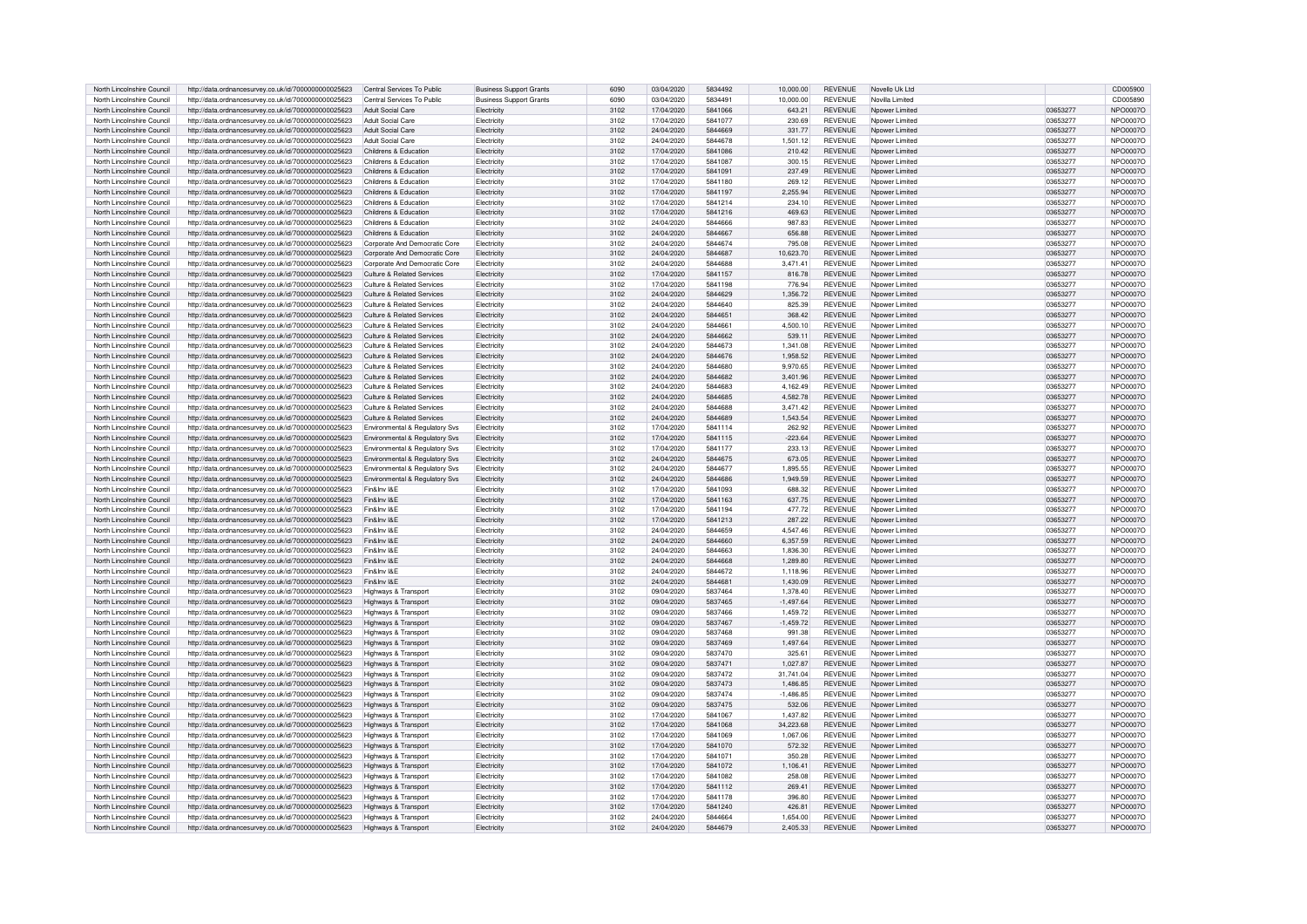| North Lincolnshire Council | http://data.ordnancesurvey.co.uk/id/7000000000025623 | Central Services To Public            | <b>Business Support Grants</b> | 6090 | 03/04/2020 | 5834492 | 10,000.00     | <b>REVENUE</b> | Novello Uk Ltd  |          | CD005900        |
|----------------------------|------------------------------------------------------|---------------------------------------|--------------------------------|------|------------|---------|---------------|----------------|-----------------|----------|-----------------|
| North Lincolnshire Council | http://data.ordnancesurvey.co.uk/id/7000000000025623 | Central Services To Public            | <b>Business Support Grants</b> | 6090 | 03/04/2020 | 5834491 | 10,000.00     | <b>REVENUE</b> | Novilla Limited |          | CD005890        |
| North Lincolnshire Council |                                                      | Adult Social Care                     |                                |      |            | 5841066 | 643.21        | <b>REVENUE</b> |                 | 03653277 |                 |
|                            | http://data.ordnancesurvey.co.uk/id/7000000000025623 |                                       | Electricity                    | 3102 | 17/04/2020 |         |               |                | Npower Limited  |          | NPO0007O        |
| North Lincolnshire Council | http://data.ordnancesurvey.co.uk/id/7000000000025623 | Adult Social Care                     | Flectricity                    | 3102 | 17/04/2020 | 5841077 | 230.69        | <b>REVENUE</b> | Nnower Limited  | 03653277 | NPO0007C        |
| North Lincolnshire Council | http://data.ordnancesurvey.co.uk/id/7000000000025623 | Adult Social Care                     | <b>Electricity</b>             | 3102 | 24/04/2020 | 5844669 | 331.77        | <b>REVENUE</b> | Noower Limited  | 03653277 | NPO0007O        |
| North Lincolnshire Council | http://data.ordnancesurvey.co.uk/id/7000000000025623 | Adult Social Care                     | <b>Electricity</b>             | 3102 | 24/04/2020 | 5844678 | 1,501.12      | <b>REVENUE</b> | Noower Limited  | 03653277 | NPO0007O        |
| North Lincolnshire Council | http://data.ordnancesurvey.co.uk/id/7000000000025623 | Childrens & Education                 | Electricity                    | 3102 | 17/04/2020 | 5841086 | 210.42        | <b>REVENUE</b> | Nnower Limited  | 03653277 | NPO0007C        |
| North Lincolnshire Council | http://data.ordnancesurvey.co.uk/id/7000000000025623 | Childrens & Education                 | Electricity                    | 3102 | 17/04/2020 | 5841087 | 300.15        | <b>REVENUE</b> | Nnower Limited  | 03653277 | NPO0007C        |
|                            |                                                      |                                       |                                |      |            | 5841091 |               | <b>REVENUE</b> |                 | 03653277 | NPO0007C        |
| North Lincolnshire Council | http://data.ordnancesurvey.co.uk/id/7000000000025623 | Childrens & Education                 | Electricity                    | 3102 | 17/04/2020 |         | 237.49        |                | Nnower Limited  |          |                 |
| North Lincolnshire Council | http://data.ordnancesurvey.co.uk/id/7000000000025623 | Childrens & Education                 | Electricity                    | 3102 | 17/04/2020 | 5841180 | 269.12        | <b>REVENUE</b> | Noower Limited  | 03653277 | <b>NPO0007C</b> |
| North Lincolnshire Council | http://data.ordnancesurvey.co.uk/id/7000000000025623 | Childrens & Education                 | <b>Electricity</b>             | 3102 | 17/04/2020 | 5841197 | 2.255.94      | <b>REVENUE</b> | Noower Limited  | 03653277 | <b>NPO0007C</b> |
| North Lincolnshire Council | http://data.ordnancesurvey.co.uk/id/7000000000025623 | Childrens & Education                 | Electricity                    | 3102 | 17/04/2020 | 5841214 | 234.10        | <b>REVENUE</b> | Noower Limited  | 03653277 | NPO0007O        |
| North Lincolnshire Council | http://data.ordnancesurvey.co.uk/id/7000000000025623 | Childrens & Education                 | Flectricity                    | 3102 | 17/04/2020 | 5841216 | 469.63        | <b>REVENUE</b> | Nnower Limited  | 03653277 | NPO0007C        |
| North Lincolnshire Council | http://data.ordnancesurvey.co.uk/id/7000000000025623 | Childrens & Education                 | Electricity                    | 3102 | 24/04/2020 | 5844666 | 987.83        | <b>REVENUE</b> | Noower Limited  | 03653277 | <b>NPO0007C</b> |
|                            |                                                      |                                       |                                |      |            |         |               |                |                 |          |                 |
| North Lincolnshire Council | http://data.ordnancesurvey.co.uk/id/7000000000025623 | Childrens & Education                 | Electricity                    | 3102 | 24/04/2020 | 5844667 | 656.88        | <b>REVENUE</b> | Npower Limited  | 03653277 | NPO0007O        |
| North Lincolnshire Council | http://data.ordnancesurvey.co.uk/id/7000000000025623 | Corporate And Democratic Core         | Electricity                    | 3102 | 24/04/2020 | 5844674 | 795.08        | <b>REVENUE</b> | Npower Limited  | 03653277 | NPO0007O        |
| North Lincolnshire Council | http://data.ordnancesurvey.co.uk/id/7000000000025623 | Corporate And Democratic Core         | Flectricity                    | 3102 | 24/04/2020 | 5844687 | 10.623.70     | <b>REVENUE</b> | Nnower Limited  | 03653277 | NPO0007O        |
| North Lincolnshire Council | http://data.ordnancesurvey.co.uk/id/7000000000025623 | Corporate And Democratic Core         | Electricity                    | 3102 | 24/04/2020 | 5844688 | 3 471 41      | <b>REVENUE</b> | Nnower Limited  | 03653277 | NPO0007O        |
| North Lincolnshire Council | http://data.ordnancesurvey.co.uk/id/7000000000025623 | Culture & Related Services            | Electricity                    | 3102 | 17/04/2020 | 5841157 | 816.78        | <b>REVENUE</b> | Noower Limited  | 03653277 | NPO0007O        |
| North Lincolnshire Council |                                                      | Culture & Related Services            |                                | 3102 | 17/04/2020 | 5841198 | 776.94        | <b>REVENUE</b> | Noower Limited  | 03653277 | NPO0007O        |
|                            | http://data.ordnancesurvey.co.uk/id/7000000000025623 |                                       | Electricity                    |      |            |         |               |                |                 |          |                 |
| North Lincolnshire Council | http://data.ordnancesurvey.co.uk/id/7000000000025623 | Culture & Related Services            | Electricity                    | 3102 | 24/04/2020 | 5844629 | 1,356.72      | <b>REVENUE</b> | Noower Limited  | 03653277 | NPO0007O        |
| North Lincolnshire Council | http://data.ordnancesurvey.co.uk/id/7000000000025623 | Culture & Related Services            | Electricity                    | 3102 | 24/04/2020 | 5844640 | 825.39        | <b>REVENUE</b> | Npower Limited  | 03653277 | NPO0007O        |
| North Lincolnshire Council | http://data.ordnancesurvey.co.uk/id/7000000000025623 | Culture & Related Services            | Electricity                    | 3102 | 24/04/2020 | 5844651 | 368.42        | <b>REVENUE</b> | Noower Limited  | 03653277 | NPO0007O        |
| North Lincolnshire Council | http://data.ordnancesurvey.co.uk/id/7000000000025623 | Culture & Related Services            | Electricity                    | 3102 | 24/04/2020 | 5844661 | 4.500.10      | <b>REVENUE</b> | Noower Limited  | 03653277 | NPO0007O        |
| North Lincolnshire Council | http://data.ordnancesurvey.co.uk/id/7000000000025623 | Culture & Related Services            | Electricity                    | 3102 | 24/04/2020 | 5844662 | 539.11        | <b>REVENUE</b> | Npower Limited  | 03653277 | NPO0007O        |
|                            |                                                      |                                       |                                |      |            |         |               |                |                 |          |                 |
| North Lincolnshire Council | http://data.ordnancesurvey.co.uk/id/7000000000025623 | Culture & Related Services            | Flectricity                    | 3102 | 24/04/2020 | 5844673 | 1.341.08      | <b>REVENUE</b> | Nnower Limited  | 03653277 | NPO0007O        |
| North Lincolnshire Council | http://data.ordnancesurvey.co.uk/id/7000000000025623 | Culture & Related Services            | Electricity                    | 3102 | 24/04/2020 | 5844676 | 1,958.52      | <b>REVENUE</b> | Npower Limited  | 03653277 | NPO0007O        |
| North Lincolnshire Council | http://data.ordnancesurvey.co.uk/id/7000000000025623 | Culture & Related Services            | Electricity                    | 3102 | 24/04/2020 | 5844680 | 9.970.65      | <b>REVENUE</b> | Nnower Limited  | 03653277 | NPO0007O        |
| North Lincolnshire Council | http://data.ordnancesurvey.co.uk/id/7000000000025623 | Culture & Related Services            | Electricity                    | 3102 | 24/04/2020 | 5844682 | 3.401.96      | <b>REVENUE</b> | Noower Limited  | 03653277 | NPO0007O        |
| North Lincolnshire Council | http://data.ordnancesurvey.co.uk/id/7000000000025623 | Culture & Related Services            | Electricity                    | 3102 | 24/04/2020 | 5844683 | 4.162.49      | <b>REVENUE</b> | Noower Limited  | 03653277 | NPO0007O        |
|                            |                                                      | Culture & Related Services            |                                |      |            | 5844685 | 4.582.78      | <b>REVENUE</b> |                 | 03653277 |                 |
| North Lincolnshire Council | http://data.ordnancesurvey.co.uk/id/7000000000025623 |                                       | <b>Electricity</b>             | 3102 | 24/04/2020 |         |               |                | Npower Limited  |          | NPO0007O        |
| North Lincolnshire Council | http://data.ordnancesurvey.co.uk/id/7000000000025623 | Culture & Related Services            | Electricity                    | 3102 | 24/04/2020 | 5844688 | 3.471.42      | <b>REVENUE</b> | Noower Limited  | 03653277 | NPO0007O        |
| North Lincolnshire Council | http://data.ordnancesurvey.co.uk/id/7000000000025623 | <b>Culture &amp; Related Services</b> | Electricity                    | 3102 | 24/04/2020 | 5844689 | 1,543.54      | <b>REVENUE</b> | Noower Limited  | 03653277 | NPO0007O        |
| North Lincolnshire Council | http://data.ordnancesurvev.co.uk/id/7000000000025623 | Environmental & Regulatory Sys        | Electricity                    | 3102 | 17/04/2020 | 5841114 | 262.92        | <b>REVENUE</b> | Noower Limited  | 03653277 | NPO0007O        |
| North Lincolnshire Council | http://data.ordnancesurvey.co.uk/id/7000000000025623 | Environmental & Regulatory Svs        | <b>Electricity</b>             | 3102 | 17/04/2020 | 5841115 | $-223.64$     | <b>REVENUE</b> | Nnower Limited  | 03653277 | NPO0007O        |
| North Lincolnshire Council | http://data.ordnancesurvey.co.uk/id/7000000000025623 | Environmental & Regulatory Svs        | Electricity                    | 3102 | 17/04/2020 | 5841177 | 233.13        | <b>REVENUE</b> | Noower Limited  | 03653277 | NPO0007O        |
| North Lincolnshire Council | http://data.ordnancesurvey.co.uk/id/7000000000025623 | Environmental & Regulatory Sys        | Electricity                    | 3102 | 24/04/2020 | 5844675 | 673.05        | <b>REVENUE</b> | Noower Limited  | 03653277 | NPO0007O        |
|                            |                                                      |                                       |                                |      |            |         |               |                |                 |          |                 |
| North Lincolnshire Council | http://data.ordnancesurvey.co.uk/id/7000000000025623 | Environmental & Regulatory Svs        | Flectricity                    | 3102 | 24/04/2020 | 5844677 | 1.895.55      | <b>REVENUE</b> | Nnower Limited  | 03653277 | NPO0007O        |
| North Lincolnshire Council | http://data.ordnancesurvey.co.uk/id/7000000000025623 | Environmental & Regulatory Svs        | Flectricity                    | 3102 | 24/04/2020 | 5844686 | 1.949.59      | <b>REVENUE</b> | Nnower Limited  | 03653277 | NPO0007O        |
| North Lincolnshire Council | http://data.ordnancesurvey.co.uk/id/7000000000025623 | Fin&Inv I&F                           | Electricity                    | 3102 | 17/04/2020 | 5841093 | <b>688.32</b> | <b>REVENUE</b> | Noower Limited  | 03653277 | NPO0007O        |
| North Lincolnshire Council | http://data.ordnancesurvey.co.uk/id/7000000000025623 | Fin&Inv I&E                           | Electricity                    | 3102 | 17/04/2020 | 5841163 | 637.75        | <b>REVENUE</b> | Noower Limited  | 03653277 | NPO0007O        |
| North Lincolnshire Council | http://data.ordnancesurvey.co.uk/id/7000000000025623 | Fin&Inv I&F                           | Electricity                    | 3102 | 17/04/2020 | 5841194 | 477.72        | <b>REVENUE</b> | Noower Limited  | 03653277 | NPO0007O        |
|                            |                                                      |                                       |                                |      |            |         |               |                |                 |          |                 |
| North Lincolnshire Council | http://data.ordnancesurvey.co.uk/id/7000000000025623 | Fin&Inv I&E                           | Electricity                    | 3102 | 17/04/2020 | 5841213 | 287.22        | <b>REVENUE</b> | Noower Limited  | 03653277 | NPO0007O        |
| North Lincolnshire Council | http://data.ordnancesurvey.co.uk/id/7000000000025623 | Fin&Inv I&F                           | Electricity                    | 3102 | 24/04/2020 | 5844659 | 4.547.46      | <b>REVENUE</b> | Npower Limited  | 03653277 | NPO0007O        |
| North Lincolnshire Council | http://data.ordnancesurvey.co.uk/id/7000000000025623 | Fin&Inv I&E                           | Electricity                    | 3102 | 24/04/2020 | 5844660 | 6.357.59      | <b>REVENUE</b> | Noower Limited  | 03653277 | NPO0007C        |
| North Lincolnshire Council | http://data.ordnancesurvey.co.uk/id/7000000000025623 | Fin&Inv I&F                           | <b>Electricity</b>             | 3102 | 24/04/2020 | 5844663 | 1.836.30      | <b>REVENUE</b> | Noower Limited  | 03653277 | NPO0007O        |
| North Lincolnshire Council | http://data.ordnancesurvey.co.uk/id/7000000000025623 | Fin&Inv I&F                           | Electricity                    | 3102 | 24/04/2020 | 5844668 | 1,289.80      | <b>REVENUE</b> | Noower Limited  | 03653277 | NPO0007O        |
| North Lincolnshire Council | http://data.ordnancesurvey.co.uk/id/7000000000025623 | Fin&Inv I&F                           | Flectricity                    | 3102 | 24/04/2020 | 5844672 | 1.118.96      | <b>REVENUE</b> | Nnower Limited  | 03653277 | NPO0007O        |
| North Lincolnshire Council | http://data.ordnancesurvey.co.uk/id/7000000000025623 | Fin&Inv I&E                           | Electricity                    | 3102 | 24/04/2020 | 5844681 | 1,430.09      | <b>REVENUE</b> | Noower Limited  | 03653277 | NPO0007O        |
|                            |                                                      |                                       |                                |      |            |         |               |                |                 |          |                 |
| North Lincolnshire Council | http://data.ordnancesurvey.co.uk/id/7000000000025623 | Highways & Transport                  | Electricity                    | 3102 | 09/04/2020 | 5837464 | 1.378.40      | <b>REVENUE</b> | Nnower Limited  | 03653277 | NPO0007O        |
| North Lincolnshire Council | http://data.ordnancesurvey.co.uk/id/7000000000025623 | Highways & Transport                  | Electricity                    | 3102 | 09/04/2020 | 5837465 | $-1.497.64$   | <b>REVENUE</b> | Noower Limited  | 03653277 | NPO0007O        |
| North Lincolnshire Council | http://data.ordnancesurvey.co.uk/id/7000000000025623 | Highways & Transport                  | Electricity                    | 3102 | 09/04/2020 | 5837466 | 1.459.72      | <b>REVENUE</b> | Nnower Limited  | 03653277 | <b>NPO0007C</b> |
| North Lincolnshire Council | http://data.ordnancesurvey.co.uk/id/7000000000025623 | Highways & Transport                  | <b>Electricity</b>             | 3102 | 09/04/2020 | 5837467 | $-1,459.72$   | <b>REVENUE</b> | Noower Limited  | 03653277 | NPO0007O        |
| North Lincolnshire Council | http://data.ordnancesurvey.co.uk/id/7000000000025623 | Highways & Transport                  | Electricity                    | 3102 | 09/04/2020 | 5837468 | 991.38        | <b>REVENUE</b> | Noower Limited  | 03653277 | <b>NPO0007C</b> |
|                            |                                                      |                                       |                                |      |            |         |               |                |                 |          |                 |
| North Lincolnshire Council | http://data.ordnancesurvey.co.uk/id/7000000000025623 | Highways & Transport                  | Electricity                    | 3102 | 09/04/2020 | 5837469 | 1.497.64      | <b>REVENUE</b> | Noower Limited  | 03653277 | NPO0007O        |
| North Lincolnshire Council | http://data.ordnancesurvey.co.uk/id/7000000000025623 | Highways & Transport                  | Electricity                    | 3102 | 09/04/2020 | 5837470 | 325.61        | <b>REVENUE</b> | Nnower Limited  | 03653277 | NPO0007O        |
| North Lincolnshire Council | http://data.ordnancesurvey.co.uk/id/7000000000025623 | Highways & Transport                  | Electricity                    | 3102 | 09/04/2020 | 5837471 | 1.027.87      | <b>REVENUE</b> | Nnower Limited  | 03653277 | NPO0007O        |
| North Lincolnshire Council | http://data.ordnancesurvey.co.uk/id/7000000000025623 | Highways & Transport                  | Electricity                    | 3102 | 09/04/2020 | 5837472 | 31,741.04     | <b>REVENUE</b> | Noower Limited  | 03653277 | NPO0007O        |
| North Lincolnshire Council | http://data.ordnancesurvey.co.uk/id/7000000000025623 | Highways & Transport                  | Electricity                    | 3102 | 09/04/2020 | 5837473 | 1,486.85      | <b>REVENUE</b> | Npower Limited  | 03653277 | NPO0007O        |
| North Lincolnshire Council | http://data.ordnancesurvey.co.uk/id/7000000000025623 | Highways & Transport                  | Flectricity                    | 3102 | 09/04/2020 | 5837474 | $-1.486.85$   | <b>REVENUE</b> | Nnower Limited  | 03653277 | NPO0007O        |
|                            |                                                      |                                       |                                |      | 09/04/2020 | 5837475 | 532.06        | <b>REVENUE</b> |                 | 03653277 |                 |
| North Lincolnshire Council | http://data.ordnancesurvey.co.uk/id/7000000000025623 | Highways & Transport                  | Electricity                    | 3102 |            |         |               |                | Nnower Limited  |          | NPO0007O        |
| North Lincolnshire Council | http://data.ordnancesurvey.co.uk/id/7000000000025623 | Highways & Transport                  | <b>Electricity</b>             | 3102 | 17/04/2020 | 5841067 | 1.437.82      | <b>REVENUE</b> | Noower Limited  | 03653277 | NPO0007O        |
| North Lincolnshire Council | http://data.ordnancesurvey.co.uk/id/7000000000025623 | Highways & Transport                  | Electricity                    | 3102 | 17/04/2020 | 5841068 | 34.223.68     | <b>REVENUE</b> | Noower Limited  | 03653277 | NPO0007O        |
| North Lincolnshire Council | http://data.ordnancesurvey.co.uk/id/7000000000025623 | Highways & Transport                  | Electricity                    | 3102 | 17/04/2020 | 5841069 | 1.067.06      | <b>REVENUE</b> | Noower Limited  | 03653277 | NPO0007O        |
| North Lincolnshire Council | http://data.ordnancesurvey.co.uk/id/7000000000025623 | Highways & Transport                  | Electricity                    | 3102 | 17/04/2020 | 5841070 | 572.32        | <b>REVENUE</b> | Noower Limited  | 03653277 | NPO0007O        |
| North Lincolnshire Council | http://data.ordnancesurvey.co.uk/id/7000000000025623 | Highways & Transport                  | Electricity                    | 3102 | 17/04/2020 | 5841071 | 350.28        | <b>REVENUE</b> | Nnower Limited  | 03653277 | <b>NPO0007C</b> |
| North Lincolnshire Council |                                                      |                                       |                                | 3102 | 17/04/2020 | 5841072 | 1.106.41      | <b>REVENUE</b> | Noower Limited  | 03653277 | NPO0007C        |
|                            | http://data.ordnancesurvey.co.uk/id/7000000000025623 | Highways & Transport                  | Electricity                    |      |            |         |               |                |                 |          |                 |
| North Lincolnshire Council | http://data.ordnancesurvey.co.uk/id/7000000000025623 | Highways & Transport                  | <b>Electricity</b>             | 3102 | 17/04/2020 | 5841082 | 258.08        | <b>REVENUE</b> | Noower Limited  | 03653277 | NPO0007O        |
| North Lincolnshire Council | http://data.ordnancesurvey.co.uk/id/7000000000025623 | Highways & Transport                  | Electricity                    | 3102 | 17/04/2020 | 5841112 | 269.41        | <b>REVENUE</b> | Noower Limited  | 03653277 | NPO0007O        |
| North Lincolnshire Council | http://data.ordnancesurvey.co.uk/id/7000000000025623 | Highways & Transport                  | Flectricity                    | 3102 | 17/04/2020 | 5841178 | 396.80        | <b>REVENUE</b> | Nnower Limited  | 03653277 | NPO0007C        |
| North Lincolnshire Council | http://data.ordnancesurvey.co.uk/id/7000000000025623 | Highways & Transport                  | Electricity                    | 3102 | 17/04/2020 | 5841240 | 426.81        | <b>REVENUE</b> | Noower Limited  | 03653277 | NPO0007O        |
| North Lincolnshire Council | http://data.ordnancesurvey.co.uk/id/7000000000025623 | Highways & Transport                  | Electricity                    | 3102 | 24/04/2020 | 5844664 | 1.654.00      | <b>REVENUE</b> | Noower Limited  | 03653277 | NPO0007O        |
| North Lincolnshire Council |                                                      |                                       | Electricity                    | 3102 | 24/04/2020 | 5844679 | 2.405.33      | <b>REVENUE</b> | Noower Limited  | 03653277 | NPO0007O        |
|                            | http://data.ordnancesurvey.co.uk/id/7000000000025623 | Highways & Transport                  |                                |      |            |         |               |                |                 |          |                 |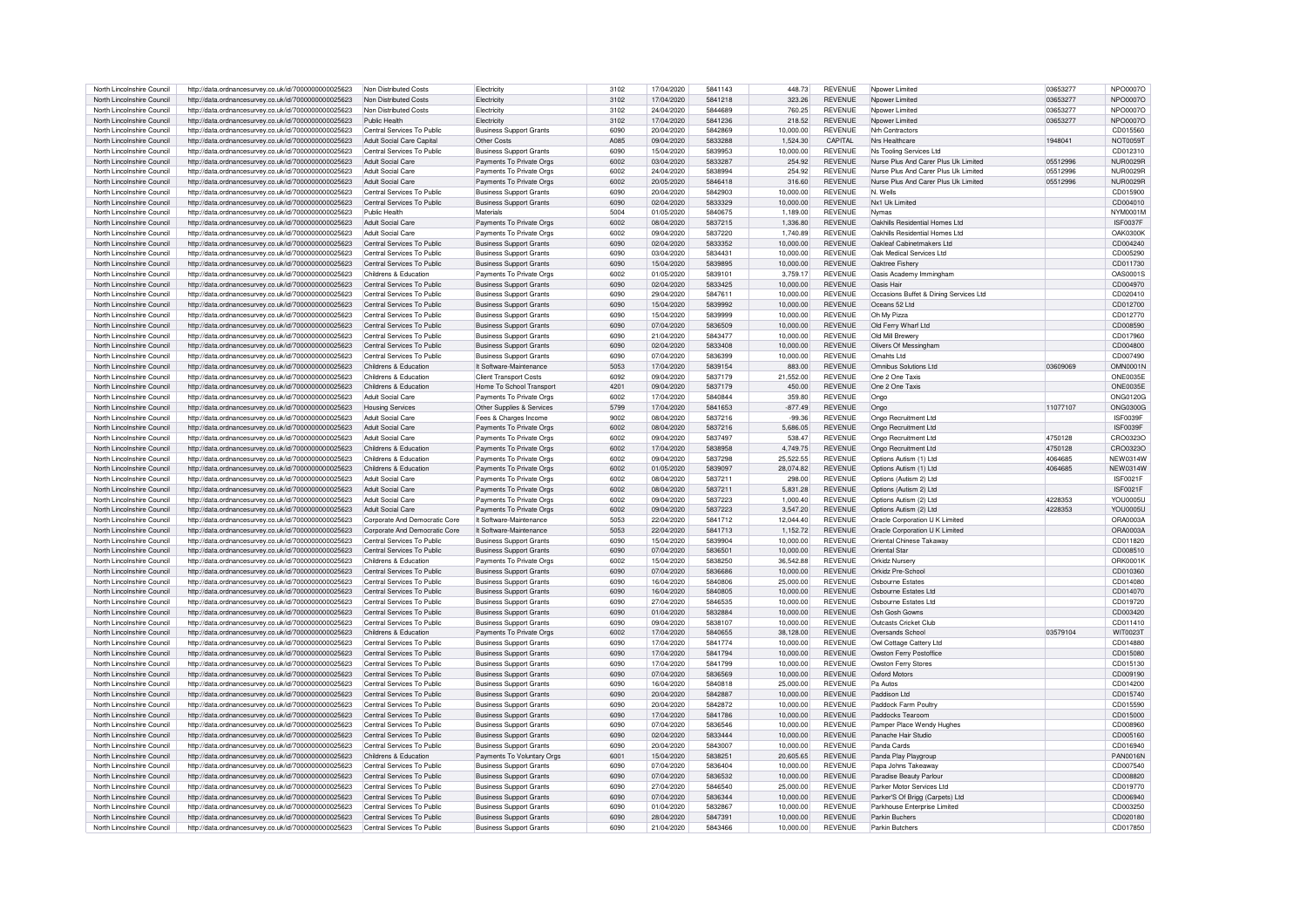| North Lincolnshire Council                               | http://data.ordnancesurvey.co.uk/id/7000000000025623                                                         | Non Distributed Costs         | Electricity                    | 3102 | 17/04/2020 | 5841143 | 448.73    | <b>REVENUE</b>                   | Noower Limited                         | 03653277 | NPO0007O             |
|----------------------------------------------------------|--------------------------------------------------------------------------------------------------------------|-------------------------------|--------------------------------|------|------------|---------|-----------|----------------------------------|----------------------------------------|----------|----------------------|
|                                                          |                                                                                                              |                               |                                |      |            |         |           |                                  |                                        |          |                      |
| North Lincolnshire Council                               | http://data.ordnancesurvey.co.uk/id/7000000000025623                                                         | Non Distributed Costs         | Electricity                    | 3102 | 17/04/2020 | 5841218 | 323.26    | <b>REVENUE</b>                   | Npower Limited                         | 03653277 | NPO0007O             |
| North Lincolnshire Council                               | http://data.ordnancesurvey.co.uk/id/7000000000025623                                                         | Non Distributed Costs         | Flectricity                    | 3102 | 24/04/2020 | 5844689 | 760.25    | <b>REVENUE</b>                   | Noower Limited                         | 03653277 | NPO0007O             |
| North Lincolnshire Council                               | http://data.ordnancesurvey.co.uk/id/7000000000025623                                                         | Public Health                 | Flectricity                    | 3102 | 17/04/2020 | 5841236 | 218.52    | <b>REVENUE</b>                   | Noower Limited                         | 03653277 | NPO0007O             |
|                                                          |                                                                                                              |                               |                                |      |            |         |           |                                  |                                        |          |                      |
| North Lincolnshire Council                               | http://data.ordnancesurvey.co.uk/id/7000000000025623                                                         | Central Services To Public    | <b>Business Support Grants</b> | 6090 | 20/04/2020 | 5842869 | 10.000.00 | <b>REVENUE</b>                   | Nrh Contractors                        |          | CD015560             |
| North Lincolnshire Council                               | http://data.ordnancesurvey.co.uk/id/7000000000025623                                                         | Adult Social Care Capital     | Other Costs                    | A085 | 09/04/2020 | 5833288 | 1.524.30  | CAPITAL                          | Nrs Healthcare                         | 1948041  | <b>NOT0059T</b>      |
| North Lincolnshire Council                               |                                                                                                              | Central Services To Public    | Business Support Grants        | 6090 | 15/04/2020 | 5839953 | 10,000.00 | <b>REVENUE</b>                   | Ns Tooling Services Ltd                |          | CD012310             |
|                                                          | http://data.ordnancesurvey.co.uk/id/7000000000025623                                                         |                               |                                |      |            |         |           |                                  |                                        |          |                      |
| North Lincolnshire Council                               | http://data.ordnancesurvey.co.uk/id/7000000000025623                                                         | <b>Adult Social Care</b>      | Payments To Private Orgs       | 6002 | 03/04/2020 | 5833287 | 254.92    | REVENUE                          | Nurse Plus And Carer Plus Uk Limited   | 05512996 | NUR0029F             |
| North Lincolnshire Council                               | http://data.ordnancesurvey.co.uk/id/7000000000025623                                                         | Adult Social Care             | Payments To Private Orgs       | 6002 | 24/04/2020 | 5838994 | 254.92    | REVENUE                          | Nurse Plus And Carer Plus Uk Limited   | 05512996 | NUR0029F             |
| North Lincolnshire Council                               | http://data.ordnancesurvey.co.uk/id/7000000000025623                                                         | <b>Adult Social Care</b>      | Payments To Private Orgs       | 6002 | 20/05/2020 | 5846418 | 316.60    | <b>REVENUE</b>                   | Nurse Plus And Carer Plus Uk Limited   | 05512996 | <b>NUR0029R</b>      |
|                                                          |                                                                                                              |                               |                                |      |            |         |           |                                  |                                        |          |                      |
| North Lincolnshire Council                               | http://data.ordnancesurvey.co.uk/id/7000000000025623                                                         | Central Services To Public    | <b>Business Support Grants</b> | 6090 | 20/04/2020 | 5842903 | 10,000.00 | <b>REVENUE</b>                   | N. Wells                               |          | CD015900             |
| North Lincolnshire Council                               | http://data.ordnancesurvey.co.uk/id/7000000000025623                                                         | Central Services To Public    | <b>Business Support Grants</b> | 6090 | 02/04/2020 | 5833329 | 10.000.00 | <b>REVENUE</b>                   | Nx1 Uk Limited                         |          | CD004010             |
| North Lincolnshire Council                               | http://data.ordnancesurvey.co.uk/id/7000000000025623                                                         | Public Health                 | Materials                      | 5004 | 01/05/2020 | 5840675 | 1,189.00  | <b>REVENUE</b>                   | Nymas                                  |          | NYM0001M             |
|                                                          |                                                                                                              |                               |                                |      |            |         |           |                                  |                                        |          |                      |
| North Lincolnshire Council                               | http://data.ordnancesurvey.co.uk/id/7000000000025623                                                         | Adult Social Care             | Payments To Private Orgs       | 6002 | 08/04/2020 | 5837215 | 1,336.80  | <b>REVENUE</b>                   | Oakhills Residential Homes Ltd         |          | ISF0037F             |
| North Lincolnshire Council                               | http://data.ordnancesurvey.co.uk/id/7000000000025623                                                         | Adult Social Care             | Payments To Private Orgs       | 6002 | 09/04/2020 | 5837220 | 1.740.89  | <b>REVENUE</b>                   | Oakhills Residential Homes Ltd         |          | <b>OAK0300K</b>      |
| North Lincolnshire Council                               | http://data.ordnancesurvey.co.uk/id/7000000000025623                                                         | Central Services To Public    | <b>Business Support Grants</b> | 6090 | 02/04/2020 | 5833352 | 10.000.00 | <b>REVENUE</b>                   | Oakleaf Cabinetmakers Ltd              |          | CD004240             |
|                                                          |                                                                                                              |                               |                                |      |            |         |           |                                  |                                        |          |                      |
| North Lincolnshire Council                               | http://data.ordnancesurvey.co.uk/id/7000000000025623                                                         | Central Services To Public    | <b>Business Support Grants</b> | 6090 | 03/04/2020 | 5834431 | 10,000.00 | <b>REVENUE</b>                   | Oak Medical Services Ltd               |          | CD005290             |
| North Lincolnshire Council                               | http://data.ordnancesurvey.co.uk/id/7000000000025623                                                         | Central Services To Public    | <b>Business Support Grants</b> | 6090 | 15/04/2020 | 5839895 | 10,000.00 | <b>REVENUE</b>                   | Oaktree Fisherv                        |          | CD011730             |
| North Lincolnshire Council                               |                                                                                                              | Childrens & Education         |                                | 6002 | 01/05/2020 | 5839101 | 3.759.17  | <b>REVENUE</b>                   | Oasis Academy Immingham                |          | OAS0001S             |
|                                                          | http://data.ordnancesurvey.co.uk/id/7000000000025623                                                         |                               | Payments To Private Orgs       |      |            |         |           |                                  |                                        |          |                      |
| North Lincolnshire Council                               | http://data.ordnancesurvey.co.uk/id/7000000000025623                                                         | Central Services To Public    | <b>Business Support Grants</b> | 6090 | 02/04/2020 | 5833425 | 10,000.00 | <b>REVENUE</b>                   | Oasis Hair                             |          | CD004970             |
| North Lincolnshire Council                               | http://data.ordnancesurvey.co.uk/id/7000000000025623                                                         | Central Services To Public    | <b>Business Support Grants</b> | 6090 | 29/04/2020 | 5847611 | 10.000.00 | <b>REVENUE</b>                   | Occasions Buffet & Dining Services Ltd |          | CD020410             |
|                                                          |                                                                                                              |                               |                                |      |            |         |           |                                  |                                        |          |                      |
| North Lincolnshire Council                               | http://data.ordnancesurvey.co.uk/id/7000000000025623                                                         | Central Services To Public    | <b>Business Support Grants</b> | 6090 | 15/04/2020 | 5839992 | 10.000.00 | <b>REVENUE</b>                   | Oceans 52 Ltd                          |          | CD012700             |
| North Lincolnshire Council                               | http://data.ordnancesurvey.co.uk/id/7000000000025623                                                         | Central Services To Public    | <b>Business Support Grants</b> | 6090 | 15/04/2020 | 5839999 | 10,000.00 | <b>REVENUE</b>                   | Oh My Pizza                            |          | CD012770             |
| North Lincolnshire Council                               | http://data.ordnancesurvey.co.uk/id/7000000000025623                                                         | Central Services To Public    | <b>Business Support Grants</b> | 6090 | 07/04/2020 | 5836509 | 10,000.00 | <b>REVENUE</b>                   | Old Ferry Wharf Ltd                    |          | CD008590             |
|                                                          |                                                                                                              |                               |                                |      |            |         |           |                                  |                                        |          |                      |
| North Lincolnshire Council                               | http://data.ordnancesurvey.co.uk/id/7000000000025623                                                         | Central Services To Public    | <b>Business Support Grants</b> | 6090 | 21/04/2020 | 5843477 | 10,000.00 | <b>REVENUE</b>                   | Old Mill Brewery                       |          | CD017960             |
| North Lincolnshire Council                               | http://data.ordnancesurvey.co.uk/id/7000000000025623                                                         | Central Services To Public    | <b>Business Support Grants</b> | 6090 | 02/04/2020 | 5833408 | 10.000.00 | <b>REVENUE</b>                   | Olivers Of Messingham                  |          | CD004800             |
| North Lincolnshire Council                               | http://data.ordnancesurvey.co.uk/id/7000000000025623                                                         | Central Services To Public    | <b>Business Support Grants</b> | 6090 | 07/04/2020 | 5836399 | 10.000.00 | <b>REVENUE</b>                   | Omahts I td                            |          | CD007490             |
|                                                          |                                                                                                              |                               |                                |      |            |         |           |                                  |                                        |          |                      |
| North Lincolnshire Council                               | http://data.ordnancesurvey.co.uk/id/7000000000025623                                                         | Childrens & Education         | It Software-Maintenance        | 5053 | 17/04/2020 | 5839154 | 883.00    | <b>REVENUE</b>                   | Omnibus Solutions Ltd                  | 03609069 | OMN0001N             |
| North Lincolnshire Council                               | http://data.ordnancesurvey.co.uk/id/7000000000025623                                                         | Childrens & Education         | Client Transport Costs         | 6092 | 09/04/2020 | 5837179 | 21,552.00 | <b>REVENUE</b>                   | One 2 One Taxis                        |          | ONF0035F             |
| North Lincolnshire Council                               |                                                                                                              | Childrens & Education         |                                | 4201 | 09/04/2020 | 5837179 | 450.00    | <b>REVENUE</b>                   | One 2 One Taxis                        |          | <b>ONE0035E</b>      |
|                                                          | http://data.ordnancesurvey.co.uk/id/7000000000025623                                                         |                               | Home To School Transport       |      |            |         |           |                                  |                                        |          |                      |
| North Lincolnshire Council                               | http://data.ordnancesurvey.co.uk/id/7000000000025623                                                         | <b>Adult Social Care</b>      | Payments To Private Orgs       | 6002 | 17/04/2020 | 5840844 | 359.80    | <b>REVENUE</b>                   | Ongo                                   |          | <b>ONG0120G</b>      |
| North Lincolnshire Council                               | http://data.ordnancesurvey.co.uk/id/7000000000025623                                                         | <b>Housing Services</b>       | Other Supplies & Services      | 5799 | 17/04/2020 | 5841653 | $-877.49$ | <b>REVENUE</b>                   | Ongo                                   | 11077107 | <b>ONG0300G</b>      |
|                                                          |                                                                                                              |                               |                                |      |            |         |           |                                  |                                        |          |                      |
| North Lincolnshire Council                               | http://data.ordnancesurvey.co.uk/id/7000000000025623                                                         | Adult Social Care             | Fees & Charges Income          | 9002 | 08/04/2020 | 5837216 | $-99.36$  | <b>REVENUE</b>                   | Ongo Recruitment Ltd                   |          | <b>ISF0039F</b>      |
| North Lincolnshire Council                               | http://data.ordnancesurvey.co.uk/id/7000000000025623                                                         | <b>Adult Social Care</b>      | Payments To Private Orgs       | 6002 | 08/04/2020 | 5837216 | 5.686.05  | <b>REVENUE</b>                   | Ongo Recruitment Ltd                   |          | ISF0039F             |
| North Lincolnshire Council                               | http://data.ordnancesurvey.co.uk/id/7000000000025623                                                         | Adult Social Care             | Payments To Private Orgs       | 6002 | 09/04/2020 | 5837497 | 538.47    | <b>REVENUE</b>                   | Ongo Recruitment Ltd                   | 4750128  | CRO0323O             |
|                                                          |                                                                                                              |                               |                                |      |            |         |           |                                  |                                        |          |                      |
| North Lincolnshire Council                               | http://data.ordnancesurvey.co.uk/id/7000000000025623                                                         | Childrens & Education         | Payments To Private Orgs       | 6002 | 17/04/2020 | 5838958 | 4.749.75  | <b>REVENUE</b>                   | Ongo Recruitment Ltd                   | 4750128  | CRO0323O             |
| North Lincolnshire Council                               | http://data.ordnancesurvey.co.uk/id/7000000000025623                                                         | Childrens & Education         | Payments To Private Orgs       | 6002 | 09/04/2020 | 5837298 | 25.522.55 | <b>REVENUE</b>                   | Ontions Autism (1) I td                | 4064685  | <b>NEW0314W</b>      |
| North Lincolnshire Council                               | http://data.ordnancesurvey.co.uk/id/7000000000025623                                                         | Childrens & Education         | Payments To Private Orgs       | 6002 | 01/05/2020 | 5839097 | 28,074.82 | <b>REVENUE</b>                   | Options Autism (1) Ltd                 | 4064685  | <b>NEW0314W</b>      |
|                                                          |                                                                                                              |                               |                                |      |            |         |           |                                  |                                        |          |                      |
| North Lincolnshire Council                               | http://data.ordnancesurvey.co.uk/id/7000000000025623                                                         | Adult Social Care             | Payments To Private Oras       | 6002 | 08/04/2020 | 5837211 | 298.00    | <b>REVENUE</b>                   | Options (Autism 2) Ltd                 |          | ISF0021F             |
| North Lincolnshire Counci                                | http://data.ordnancesurvey.co.uk/id/7000000000025623                                                         | Adult Social Care             | Payments To Private Orgs       | 6002 | 08/04/2020 | 5837211 | 5.831.28  | <b>REVENUE</b>                   | Options (Autism 2) Ltd                 |          | <b>ISF0021F</b>      |
|                                                          |                                                                                                              | Adult Social Care             |                                |      | 09/04/2020 |         |           |                                  |                                        | 4228353  | <b>YOU0005L</b>      |
| North Lincolnshire Council                               | http://data.ordnancesurvey.co.uk/id/7000000000025623                                                         |                               | Payments To Private Orgs       | 6002 |            | 5837223 | 1,000.40  | <b>REVENUE</b>                   | Options Autism (2) Ltd                 |          |                      |
| North Lincolnshire Council                               | http://data.ordnancesurvey.co.uk/id/7000000000025623                                                         | Adult Social Care             | Payments To Private Orgs       | 6002 | 09/04/2020 | 5837223 | 3,547.20  | <b>REVENUE</b>                   | Options Autism (2) Ltd                 | 4228353  | <b>YOU0005U</b>      |
| North Lincolnshire Council                               | http://data.ordnancesurvey.co.uk/id/7000000000025623                                                         | Corporate And Democratic Core | It Software-Maintenance        | 5053 | 22/04/2020 | 5841712 | 12,044.40 | <b>REVENUE</b>                   | Oracle Corporation U K Limited         |          | ORA0003A             |
| North Lincolnshire Counci                                | http://data.ordnancesurvey.co.uk/id/7000000000025623                                                         | Corporate And Democratic Core | It Software-Maintenance        | 5053 | 22/04/2020 | 5841713 | 1,152.72  | <b>REVENUE</b>                   | Oracle Corporation U K Limited         |          | ORA0003A             |
|                                                          |                                                                                                              |                               |                                |      |            |         |           |                                  |                                        |          |                      |
| North Lincolnshire Council                               | http://data.ordnancesurvey.co.uk/id/7000000000025623                                                         | Central Services To Public    | <b>Business Support Grants</b> | 6090 | 15/04/2020 | 5839904 | 10.000.00 | <b>REVENUE</b>                   | Oriental Chinese Takaway               |          | CD011820             |
| North Lincolnshire Council                               | http://data.ordnancesurvey.co.uk/id/7000000000025623                                                         | Central Services To Public    | <b>Business Support Grants</b> | 6090 | 07/04/2020 | 5836501 | 10,000.00 | <b>REVENUE</b>                   | Oriental Star                          |          | CD008510             |
| North Lincolnshire Council                               | http://data.ordnancesurvey.co.uk/id/7000000000025623                                                         | Childrens & Education         | Payments To Private Oras       | 6002 | 15/04/2020 | 5838250 | 36,542.88 | <b>REVENUE</b>                   | Orkidz Nursery                         |          | ORK0001K             |
|                                                          |                                                                                                              |                               |                                |      |            |         |           |                                  |                                        |          |                      |
| North Lincolnshire Council                               | http://data.ordnancesurvey.co.uk/id/7000000000025623                                                         | Central Services To Public    | <b>Business Support Grants</b> | 6090 | 07/04/2020 | 5836686 | 10.000.00 | <b>REVENUE</b>                   | Orkidz Pre-School                      |          | CD010360             |
| North Lincolnshire Council                               | http://data.ordnancesurvey.co.uk/id/7000000000025623                                                         | Central Services To Public    | <b>Business Support Grants</b> | 6090 | 16/04/2020 | 5840806 | 25.000.00 | <b>REVENUE</b>                   | Oshourne Estates                       |          | CD014080             |
|                                                          |                                                                                                              |                               |                                | 6090 |            | 5840805 |           |                                  |                                        |          |                      |
| North Lincolnshire Council                               | http://data.ordnancesurvey.co.uk/id/7000000000025623                                                         | Central Services To Public    | <b>Business Support Grants</b> |      | 16/04/2020 |         | 10,000.00 | <b>REVENUE</b>                   | Osbourne Estates Ltd                   |          | CD014070             |
| North Lincolnshire Council                               | http://data.ordnancesurvey.co.uk/id/7000000000025623                                                         | Central Services To Public    | <b>Business Support Grants</b> | 6090 | 27/04/2020 | 5846535 | 10,000.00 | <b>REVENUE</b>                   | Oshourne Estates Ltd                   |          | CD019720             |
| North Lincolnshire Council                               | http://data.ordnancesurvey.co.uk/id/7000000000025623                                                         | Central Services To Public    | <b>Business Support Grants</b> | 6090 | 01/04/2020 | 5832884 | 10,000.00 | <b>REVENUE</b>                   | Osh Gosh Gowns                         |          | CD003420             |
|                                                          |                                                                                                              |                               |                                |      |            |         |           |                                  |                                        |          |                      |
| North Lincolnshire Council                               | http://data.ordnancesurvey.co.uk/id/7000000000025623                                                         | Central Services To Public    | <b>Business Support Grants</b> | 6090 | 09/04/2020 | 5838107 | 10,000.00 | <b>REVENUE</b>                   | Outcasts Cricket Club                  |          | CD011410             |
| North Lincolnshire Council                               | http://data.ordnancesurvey.co.uk/id/7000000000025623                                                         | Childrens & Education         | Payments To Private Orgs       | 6002 | 17/04/2020 | 5840655 | 38,128.00 | REVENUE                          | Oversands School                       | 03579104 | WIT0023T             |
| North Lincolnshire Council                               | http://data.ordnancesurvey.co.uk/id/7000000000025623                                                         | Central Services To Public    | <b>Business Support Grants</b> | 6090 | 17/04/2020 | 5841774 | 10,000.00 | <b>REVENUE</b>                   | Owl Cottage Cattery Ltd                |          | CD014880             |
|                                                          |                                                                                                              |                               |                                | 6090 | 17/04/2020 | 5841794 |           | <b>REVENUE</b>                   |                                        |          |                      |
| North Lincolnshire Council                               | http://data.ordnancesurvey.co.uk/id/7000000000025623                                                         | Central Services To Public    | <b>Business Support Grants</b> |      |            |         | 10,000.00 |                                  | Owston Ferry Postoffice                |          | CD015080             |
| North Lincolnshire Council                               | http://data.ordnancesurvey.co.uk/id/7000000000025623                                                         | Central Services To Public    | <b>Business Support Grants</b> | 6090 | 17/04/2020 | 5841799 | 10.000.00 | <b>REVENUE</b>                   | Owston Ferry Stores                    |          | CD015130             |
| North Lincolnshire Council                               | http://data.ordnancesurvey.co.uk/id/7000000000025623                                                         | Central Services To Public    | <b>Business Support Grants</b> | 6090 | 07/04/2020 | 5836569 | 10,000.00 | <b>REVENUE</b>                   | Oxford Motors                          |          | CD009190             |
|                                                          |                                                                                                              |                               |                                |      |            |         |           |                                  | Pa Autos                               |          |                      |
| North Lincolnshire Council                               | http://data.ordnancesurvey.co.uk/id/7000000000025623                                                         | Central Services To Public    | <b>Business Support Grants</b> | 6090 | 16/04/2020 | 5840818 | 25,000.00 | <b>REVENUE</b>                   |                                        |          | CD014200             |
| North Lincolnshire Council                               | http://data.ordnancesurvey.co.uk/id/7000000000025623                                                         | Central Services To Public    | <b>Business Support Grants</b> | 6090 | 20/04/2020 | 5842887 | 10.000.00 | <b>REVENUE</b>                   | Paddison Ltd                           |          | CD015740             |
| North Lincolnshire Council                               |                                                                                                              | Central Services To Public    | Business Support Grants        | 6090 | 20/04/2020 | 5842872 | 10,000.00 | <b>REVENUE</b>                   | Paddock Farm Poultry                   |          | CD015590             |
|                                                          |                                                                                                              |                               |                                | 6090 |            |         | 10.000.00 |                                  |                                        |          |                      |
| North Lincolnshire Council                               | http://data.ordnancesurvey.co.uk/id/7000000000025623                                                         |                               |                                |      | 17/04/2020 | 5841786 |           | <b>REVENUE</b>                   | Paddocks Tearoon                       |          | CD015000             |
|                                                          | http://data.ordnancesurvey.co.uk/id/7000000000025623                                                         | Central Services To Public    | <b>Business Support Grants</b> |      |            |         |           |                                  |                                        |          |                      |
| North Lincolnshire Council                               | http://data.ordnancesurvey.co.uk/id/7000000000025623                                                         | Central Services To Public    | <b>Business Support Grants</b> | 6090 | 07/04/2020 | 5836546 | 10,000.00 | <b>REVENUE</b>                   | Pamper Place Wendy Hughes              |          | CD008960             |
|                                                          |                                                                                                              |                               |                                |      |            |         |           |                                  |                                        |          |                      |
| North Lincolnshire Council                               | http://data.ordnancesurvey.co.uk/id/7000000000025623                                                         | Central Services To Public    | <b>Business Support Grants</b> | 6090 | 02/04/2020 | 5833444 | 10,000.00 | <b>REVENUE</b>                   | Panache Hair Studio                    |          | CD005160             |
| North Lincolnshire Council                               | http://data.ordnancesurvey.co.uk/id/7000000000025623                                                         | Central Services To Public    | Business Support Grants        | 6090 | 20/04/2020 | 5843007 | 10,000.00 | <b>REVENUE</b>                   | Panda Cards                            |          | CD016940             |
| North Lincolnshire Council                               |                                                                                                              | Childrens & Education         |                                | 6001 | 15/04/2020 | 5838251 | 20.605.65 | <b>REVENUE</b>                   |                                        |          |                      |
|                                                          | http://data.ordnancesurvey.co.uk/id/7000000000025623                                                         |                               | Payments To Voluntary Orgs     |      |            |         |           |                                  | Panda Play Playgroup                   |          | PAN0016N             |
| North Lincolnshire Council                               | http://data.ordnancesurvey.co.uk/id/7000000000025623                                                         | Central Services To Public    | <b>Business Support Grants</b> | 6090 | 07/04/2020 | 5836404 | 10,000.00 | <b>REVENUE</b>                   | Papa Johns Takeaway                    |          | CD007540             |
| North Lincolnshire Council                               | http://data.ordnancesurvey.co.uk/id/7000000000025623                                                         | Central Services To Public    | <b>Business Support Grants</b> | 6090 | 07/04/2020 | 5836532 | 10,000.00 | <b>REVENUE</b>                   | Paradise Beauty Parlour                |          | CD008820             |
| North Lincolnshire Council                               | http://data.ordnancesurvey.co.uk/id/7000000000025623                                                         | Central Services To Public    | <b>Business Support Grants</b> | 6090 | 27/04/2020 | 5846540 | 25,000.00 | <b>REVENUE</b>                   | Parker Motor Services Ltd              |          | CD019770             |
|                                                          |                                                                                                              |                               |                                |      |            |         |           |                                  |                                        |          |                      |
| North Lincolnshire Council                               | http://data.ordnancesurvey.co.uk/id/7000000000025623                                                         | Central Services To Public    | <b>Business Support Grants</b> | 6090 | 07/04/2020 | 5836344 | 10.000.00 | <b>REVENUE</b>                   | Parker'S Of Brigg (Carpets) Ltd        |          | CD006940             |
| North Lincolnshire Council                               | http://data.ordnancesurvey.co.uk/id/7000000000025623                                                         | Central Services To Public    | <b>Business Support Grants</b> | 6090 | 01/04/2020 | 5832867 | 10.000.00 | <b>REVENUE</b>                   | Parkhouse Enterprise Limited           |          | CD003250             |
|                                                          |                                                                                                              | Central Services To Public    | <b>Business Support Grants</b> | 6090 | 28/04/2020 | 5847391 | 10.000.00 |                                  |                                        |          |                      |
| North Lincolnshire Council<br>North Lincolnshire Council | http://data.ordnancesurvey.co.uk/id/7000000000025623<br>http://data.ordnancesurvey.co.uk/id/7000000000025623 | Central Services To Public    | <b>Business Support Grants</b> | 6090 | 21/04/2020 | 5843466 | 10,000.00 | <b>REVENUE</b><br><b>REVENUE</b> | Parkin Buchers<br>Parkin Butchers      |          | CD020180<br>CD017850 |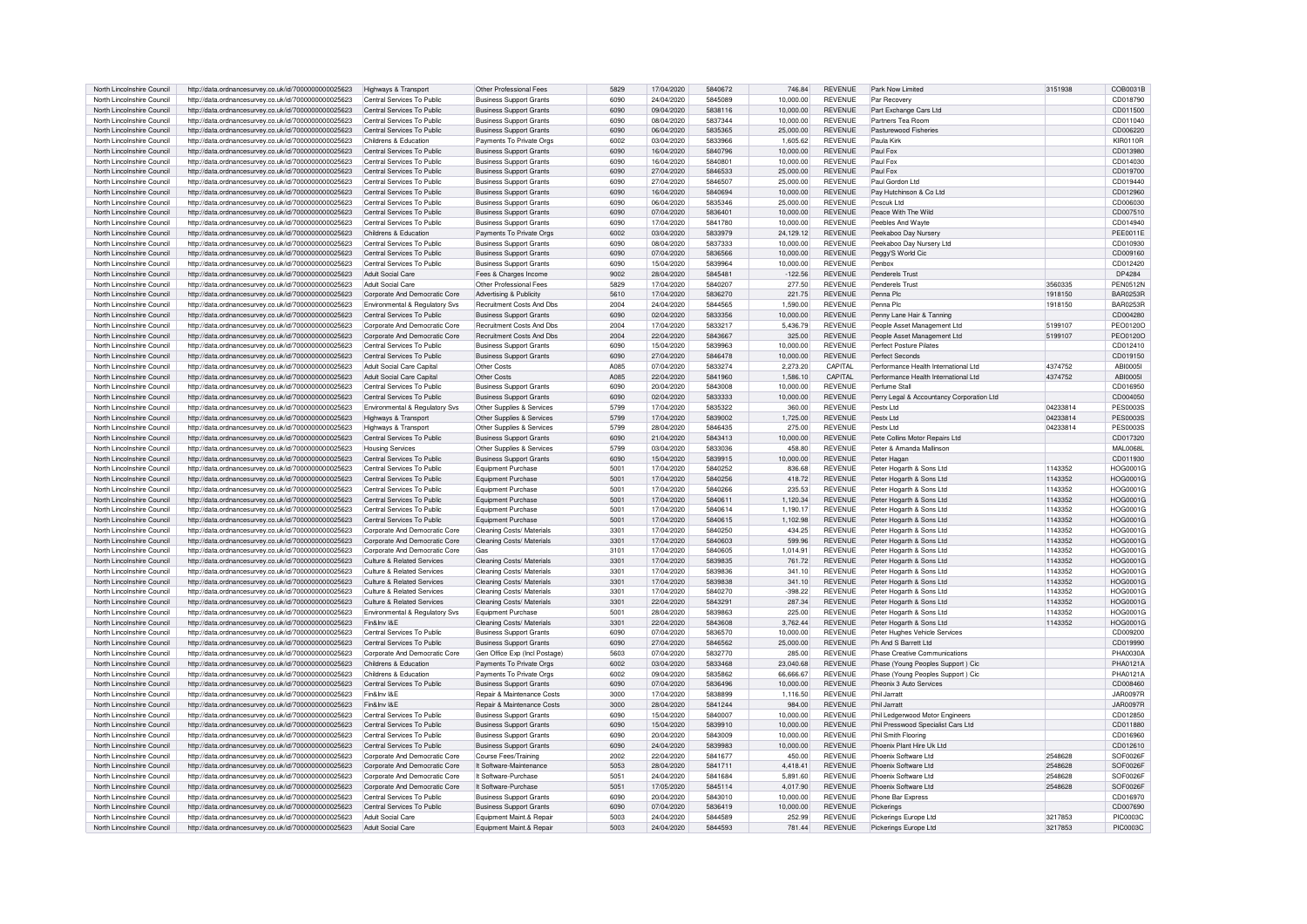| North Lincolnshire Council | http://data.ordnancesurvey.co.uk/id/7000000000025623 | Highways & Transport           | Other Professional Fees          | 5829 | 17/04/2020 | 5840672 | 746.84    | <b>REVENUE</b> | Park Now Limited                          | 3151938  | COB0031B        |
|----------------------------|------------------------------------------------------|--------------------------------|----------------------------------|------|------------|---------|-----------|----------------|-------------------------------------------|----------|-----------------|
| North Lincolnshire Council | http://data.ordnancesurvey.co.uk/id/7000000000025623 | Central Services To Public     | <b>Business Support Grants</b>   | 6090 | 24/04/2020 | 5845089 | 10.000.00 | <b>REVENUE</b> | Par Recovery                              |          | CD018790        |
|                            |                                                      |                                |                                  |      |            |         |           |                |                                           |          |                 |
| North Lincolnshire Council | http://data.ordnancesurvey.co.uk/id/7000000000025623 | Central Services To Public     | <b>Business Support Grants</b>   | 6090 | 09/04/2020 | 5838116 | 10,000.00 | <b>REVENUE</b> | Part Exchange Cars Ltd                    |          | CD011500        |
| North Lincolnshire Council | http://data.ordnancesurvey.co.uk/id/7000000000025623 | Central Services To Public     | <b>Business Support Grants</b>   | 6090 | 08/04/2020 | 5837344 | 10.000.00 | <b>REVENUE</b> | Partners Tea Room                         |          | CD011040        |
| North Lincolnshire Council | http://data.ordnancesurvey.co.uk/id/7000000000025623 | Central Services To Public     | <b>Business Support Grants</b>   | 6090 | 06/04/2020 | 5835365 | 25,000.00 | <b>REVENUE</b> | Pasturewood Fisheries                     |          | CD006220        |
| North Lincolnshire Council | http://data.ordnancesurvey.co.uk/id/7000000000025623 | Childrens & Education          | Payments To Private Orgs         | 6002 | 03/04/2020 | 5833966 | 1.605.62  | REVENUE        | Paula Kirk                                |          | <b>KIR0110R</b> |
| North Lincolnshire Council | http://data.ordnancesurvey.co.uk/id/7000000000025623 | Central Services To Public     | <b>Business Support Grants</b>   | 6090 | 16/04/2020 | 5840796 | 10,000.00 | <b>REVENUE</b> | Paul Fox                                  |          | CD013980        |
| North Lincolnshire Council | http://data.ordnancesurvey.co.uk/id/7000000000025623 | Central Services To Public     | <b>Business Support Grants</b>   | 6090 | 16/04/2020 | 5840801 | 10.000.00 | <b>REVENUE</b> | Paul Fox                                  |          | CD014030        |
| North Lincolnshire Council | http://data.ordnancesurvey.co.uk/id/7000000000025623 | Central Services To Public     | <b>Business Support Grants</b>   | 6090 | 27/04/2020 | 5846533 | 25,000.00 | <b>REVENUE</b> | Paul Fox                                  |          | CD019700        |
| North Lincolnshire Council | http://data.ordnancesurvey.co.uk/id/7000000000025623 | Central Services To Public     | <b>Business Support Grants</b>   | 6090 | 27/04/2020 | 5846507 | 25,000.00 | <b>REVENUE</b> | Paul Gordon Ltd                           |          | CD019440        |
|                            |                                                      |                                |                                  |      |            |         |           |                |                                           |          |                 |
| North Lincolnshire Council | http://data.ordnancesurvey.co.uk/id/7000000000025623 | Central Services To Public     | <b>Business Support Grants</b>   | 6090 | 16/04/2020 | 5840694 | 10.000.00 | <b>REVENUE</b> | Pay Hutchinson & Co Ltd                   |          | CD012960        |
| North Lincolnshire Council | http://data.ordnancesurvey.co.uk/id/7000000000025623 | Central Services To Public     | <b>Business Support Grants</b>   | 6090 | 06/04/2020 | 5835346 | 25,000.00 | <b>REVENUE</b> | Pescuk Ltd                                |          | CD006030        |
| North Lincolnshire Council | http://data.ordnancesurvey.co.uk/id/7000000000025623 | Central Services To Public     | <b>Business Support Grants</b>   | 6090 | 07/04/2020 | 5836401 | 10.000.00 | <b>REVENUE</b> | Peace With The Wild                       |          | CD007510        |
| North Lincolnshire Council | http://data.ordnancesurvey.co.uk/id/7000000000025623 | Central Services To Public     | <b>Business Support Grants</b>   | 6090 | 17/04/2020 | 5841780 | 10.000.00 | <b>REVENUE</b> | Peebles And Wavte                         |          | CD014940        |
| North Lincolnshire Council | http://data.ordnancesurvey.co.uk/id/7000000000025623 | Childrens & Education          | Payments To Private Orgs         | 6002 | 03/04/2020 | 5833979 | 24.129.12 | <b>REVENUE</b> | Peekaboo Day Nursery                      |          | <b>PEE0011E</b> |
| North Lincolnshire Council | http://data.ordnancesurvey.co.uk/id/7000000000025623 | Central Services To Public     | <b>Business Support Grants</b>   | 6090 | 08/04/2020 | 5837333 | 10.000.00 | <b>REVENUE</b> | Peekaboo Day Nursery Ltd                  |          | CD010930        |
| North Lincolnshire Council | http://data.ordnancesurvey.co.uk/id/7000000000025623 | Central Services To Public     | <b>Business Support Grants</b>   | 6090 | 07/04/2020 | 5836566 | 10.000.00 | <b>REVENUE</b> | Peggy'S World Cic                         |          | CD009160        |
|                            |                                                      |                                |                                  |      |            |         |           |                |                                           |          |                 |
| North Lincolnshire Council | http://data.ordnancesurvey.co.uk/id/7000000000025623 | Central Services To Public     | <b>Business Support Grants</b>   | 6090 | 15/04/2020 | 5839964 | 10,000.00 | <b>REVENUE</b> | Penbox                                    |          | CD012420        |
| North Lincolnshire Council | http://data.ordnancesurvey.co.uk/id/7000000000025623 | Adult Social Care              | Fees & Charges Income            | 9002 | 28/04/2020 | 5845481 | $-122.56$ | <b>REVENUE</b> | Penderels Trust                           |          | DP4284          |
| North Lincolnshire Council | http://data.ordnancesurvev.co.uk/id/7000000000025623 | Adult Social Care              | Other Professional Fees          | 5829 | 17/04/2020 | 5840207 | 277.50    | <b>REVENUE</b> | Penderels Trust                           | 3560335  | <b>PEN0512N</b> |
| North Lincolnshire Council | http://data.ordnancesurvey.co.uk/id/7000000000025623 | Corporate And Democratic Core  | Advertising & Publicity          | 5610 | 17/04/2020 | 5836270 | 221.75    | <b>REVENUE</b> | Penna Plc                                 | 1918150  | <b>BAR0253R</b> |
| North Lincolnshire Council | http://data.ordnancesurvey.co.uk/id/7000000000025623 | Environmental & Regulatory Svs | Recruitment Costs And Dbs        | 2004 | 24/04/2020 | 5844565 | 1,590.00  | <b>REVENUE</b> | Penna Pic                                 | 1918150  | <b>BAR0253R</b> |
| North Lincolnshire Council | http://data.ordnancesurvey.co.uk/id/7000000000025623 | Central Services To Public     | <b>Business Support Grants</b>   | 6090 | 02/04/2020 | 5833356 | 10.000.00 | <b>REVENUE</b> | Penny Lane Hair & Tanning                 |          | CD004280        |
| North Lincolnshire Council | http://data.ordnancesurvev.co.uk/id/7000000000025623 | Corporate And Democratic Core  | Recruitment Costs And Dbs        | 2004 | 17/04/2020 | 5833217 | 5.436.79  | <b>REVENUE</b> | People Asset Management Ltd               | 5199107  | PEO0120O        |
| North Lincolnshire Council |                                                      |                                | <b>Recruitment Costs And Dbs</b> | 2004 | 22/04/2020 | 5843667 | 325.00    | <b>REVENUE</b> |                                           | 5199107  |                 |
|                            | http://data.ordnancesurvey.co.uk/id/7000000000025623 | Corporate And Democratic Core  |                                  |      |            |         |           |                | People Asset Management Ltd               |          | PEO0120O        |
| North Lincolnshire Council | http://data.ordnancesurvey.co.uk/id/7000000000025623 | Central Services To Public     | Business Support Grants          | 6090 | 15/04/2020 | 5839963 | 10,000.00 | <b>REVENUE</b> | <b>Perfect Posture Pilates</b>            |          | CD012410        |
| North Lincolnshire Council | http://data.ordnancesurvey.co.uk/id/7000000000025623 | Central Services To Public     | <b>Business Support Grants</b>   | 6090 | 27/04/2020 | 5846478 | 10,000.00 | <b>REVENUE</b> | Perfect Seconds                           |          | CD019150        |
| North Lincolnshire Council | http://data.ordnancesurvey.co.uk/id/7000000000025623 | Adult Social Care Capital      | Other Costs                      | A085 | 07/04/2020 | 5833274 | 2,273.20  | CAPITAL        | Performance Health International Ltd      | 4374752  | ABI0005         |
| North Lincolnshire Council | http://data.ordnancesurvey.co.uk/id/7000000000025623 | Adult Social Care Capital      | Other Costs                      | A085 | 22/04/2020 | 5841960 | 1,586.10  | CAPITAL        | Performance Health International Ltd      | 4374752  | ABI00051        |
| North Lincolnshire Council | http://data.ordnancesurvey.co.uk/id/7000000000025623 | Central Services To Public     | <b>Business Support Grants</b>   | 6090 | 20/04/2020 | 5843008 | 10,000.00 | <b>REVENUE</b> | Perfume Stal                              |          | CD016950        |
| North Lincolnshire Council |                                                      | Central Services To Public     |                                  | 6090 | 02/04/2020 | 5833333 |           | <b>REVENUE</b> |                                           |          | CD004050        |
|                            | http://data.ordnancesurvey.co.uk/id/7000000000025623 |                                | <b>Business Support Grants</b>   |      |            |         | 10,000.00 |                | Perry Legal & Accountancy Corporation Ltd |          |                 |
| North Lincolnshire Council | http://data.ordnancesurvey.co.uk/id/7000000000025623 | Environmental & Regulatory Svs | Other Supplies & Services        | 5799 | 17/04/2020 | 5835322 | 360.00    | <b>REVENUE</b> | Pestx Ltd                                 | 04233814 | <b>PES0003S</b> |
| North Lincolnshire Council | http://data.ordnancesurvey.co.uk/id/7000000000025623 | Highways & Transport           | Other Supplies & Services        | 5799 | 17/04/2020 | 5839002 | 1,725.00  | <b>REVENUE</b> | Pestx I td                                | 04233814 | PES0003S        |
| North Lincolnshire Council | http://data.ordnancesurvey.co.uk/id/7000000000025623 | Highways & Transport           | Other Supplies & Services        | 5799 | 28/04/2020 | 5846435 | 275.00    | <b>REVENUE</b> | Pestx I td                                | 04233814 | PES0003S        |
| North Lincolnshire Council | http://data.ordnancesurvey.co.uk/id/7000000000025623 | Central Services To Public     | <b>Business Support Grants</b>   | 6090 | 21/04/2020 | 5843413 | 10,000.00 | <b>REVENUE</b> | Pete Collins Motor Repairs Ltd            |          | CD017320        |
| North Lincolnshire Council | http://data.ordnancesurvey.co.uk/id/7000000000025623 | <b>Housing Services</b>        | Other Supplies & Services        | 5799 | 03/04/2020 | 5833036 | 458.80    | <b>REVENUE</b> | Peter & Amanda Mallinson                  |          | <b>MAL0068L</b> |
| North Lincolnshire Council | http://data.ordnancesurvey.co.uk/id/7000000000025623 | Central Services To Public     | <b>Business Support Grants</b>   | 6090 | 15/04/2020 | 5839915 | 10,000.00 | <b>REVENUE</b> | Peter Hagan                               |          | CD011930        |
| North Lincolnshire Council | http://data.ordnancesurvey.co.uk/id/7000000000025623 | Central Services To Public     | Equipment Purchase               | 5001 | 17/04/2020 | 5840252 | 836.68    | <b>REVENUE</b> | Peter Hogarth & Sons Ltd                  | 1143352  | HOG0001G        |
|                            |                                                      |                                |                                  |      |            |         |           |                |                                           |          |                 |
| North Lincolnshire Council | http://data.ordnancesurvey.co.uk/id/7000000000025623 | Central Services To Public     | Equipment Purchase               | 5001 | 17/04/2020 | 5840256 | 418.72    | <b>REVENUE</b> | Peter Hogarth & Sons Ltd                  | 1143352  | HOG0001G        |
| North Lincolnshire Council | http://data.ordnancesurvey.co.uk/id/7000000000025623 | Central Services To Public     | Equipment Purchase               | 5001 | 17/04/2020 | 5840266 | 235.53    | <b>REVENUE</b> | Peter Hogarth & Sons Ltd                  | 1143352  | HOG0001G        |
| North Lincolnshire Council | http://data.ordnancesurvey.co.uk/id/7000000000025623 | Central Services To Public     | Equipment Purchase               | 5001 | 17/04/2020 | 5840611 | 1,120.34  | <b>REVENUE</b> | Peter Hogarth & Sons Ltd                  | 1143352  | HOG0001G        |
| North Lincolnshire Council | http://data.ordnancesurvey.co.uk/id/7000000000025623 | Central Services To Public     | Equipment Purchase               | 5001 | 17/04/2020 | 5840614 | 1,190.17  | <b>REVENUE</b> | Peter Hogarth & Sons Ltd                  | 1143352  | HOG0001G        |
| North Lincolnshire Council | http://data.ordnancesurvey.co.uk/id/7000000000025623 | Central Services To Public     | Foujoment Purchase               | 5001 | 17/04/2020 | 5840615 | 1.102.98  | <b>REVENUE</b> | Peter Hogarth & Sons Ltd                  | 1143352  | HOG0001G        |
| North Lincolnshire Council | http://data.ordnancesurvey.co.uk/id/7000000000025623 | Corporate And Democratic Core  | Cleaning Costs/ Materials        | 3301 | 17/04/2020 | 5840250 | 434.25    | <b>REVENUE</b> | Peter Hogarth & Sons Ltd                  | 1143352  | HOG0001G        |
| North Lincolnshire Council | http://data.ordnancesurvey.co.uk/id/7000000000025623 | Corporate And Democratic Core  | Cleaning Costs/ Materials        | 3301 | 17/04/2020 | 5840603 | 599.96    | <b>REVENUE</b> | Peter Hogarth & Sons Ltd                  | 1143352  | HOG0001G        |
|                            |                                                      |                                |                                  |      |            |         |           |                |                                           |          |                 |
| North Lincolnshire Council | http://data.ordnancesurvey.co.uk/id/7000000000025623 | Corporate And Democratic Core  | Gas                              | 3101 | 17/04/2020 | 5840605 | 1.014.91  | <b>REVENUE</b> | Peter Hogarth & Sons Ltd                  | 1143352  | HOG0001G        |
| North Lincolnshire Council | http://data.ordnancesurvey.co.uk/id/7000000000025623 | Culture & Related Services     | Cleaning Costs/ Materials        | 3301 | 17/04/2020 | 5839835 | 761.72    | <b>REVENUE</b> | Peter Hogarth & Sons Ltd                  | 1143352  | HOG0001G        |
| North Lincolnshire Council | http://data.ordnancesurvey.co.uk/id/7000000000025623 | Culture & Related Services     | Cleaning Costs/ Materials        | 3301 | 17/04/2020 | 5839836 | 341.10    | <b>REVENUE</b> | Peter Hogarth & Sons Ltd                  | 1143352  | HOG0001G        |
| North Lincolnshire Council | http://data.ordnancesurvey.co.uk/id/7000000000025623 | Culture & Related Services     | Cleaning Costs/ Materials        | 3301 | 17/04/2020 | 5839838 | 341.10    | <b>REVENUE</b> | Peter Hogarth & Sons Ltd                  | 1143352  | HOG0001G        |
| North Lincolnshire Council | http://data.ordnancesurvey.co.uk/id/7000000000025623 | Culture & Related Services     | Cleaning Costs/ Materials        | 3301 | 17/04/2020 | 5840270 | $-398.22$ | <b>REVENUE</b> | Peter Hogarth & Sons Ltd                  | 1143352  | HOG0001G        |
|                            |                                                      |                                |                                  | 3301 |            | 5843291 | 287.34    |                |                                           | 1143352  |                 |
| North Lincolnshire Council | http://data.ordnancesurvey.co.uk/id/7000000000025623 | Culture & Related Services     | Cleaning Costs/ Materials        |      | 22/04/2020 |         |           | <b>REVENUE</b> | Peter Hogarth & Sons Ltd                  |          | HOG0001G        |
| North Lincolnshire Council | http://data.ordnancesurvey.co.uk/id/7000000000025623 | Environmental & Regulatory Sys | Equipment Purchase               | 5001 | 28/04/2020 | 5839863 | 225.00    | <b>REVENUE</b> | Peter Hogarth & Sons Ltd                  | 1143352  | HOG0001G        |
| North Lincolnshire Council | http://data.ordnancesurvey.co.uk/id/7000000000025623 | Fin&Inv I&E                    | Cleaning Costs/ Materials        | 3301 | 22/04/2020 | 5843608 | 3,762.44  | <b>REVENUE</b> | Peter Hogarth & Sons Ltd                  | 1143352  | HOG0001G        |
| North Lincolnshire Council | http://data.ordnancesurvey.co.uk/id/7000000000025623 | Central Services To Public     | <b>Business Support Grants</b>   | 6090 | 07/04/2020 | 5836570 | 10,000.00 | <b>REVENUE</b> | Peter Hughes Vehicle Services             |          | CD009200        |
| North Lincolnshire Council | http://data.ordnancesurvey.co.uk/id/7000000000025623 | Central Services To Public     | <b>Business Support Grants</b>   | 6090 | 27/04/2020 | 5846562 | 25,000.00 | <b>REVENUE</b> | Ph And S Barrett Ltd                      |          | CD019990        |
| North Lincolnshire Council | http://data.ordnancesurvey.co.uk/id/7000000000025623 | Corporate And Democratic Core  | Gen Office Exp (Incl Postage)    | 5603 | 07/04/2020 | 5832770 | 285.00    | <b>REVENUE</b> | Phase Creative Communications             |          | PHA0030A        |
| North Lincolnshire Council | http://data.ordnancesurvey.co.uk/id/7000000000025623 | Childrens & Education          | Payments To Private Orgs         | 6002 | 03/04/2020 | 5833468 | 23,040.68 | <b>REVENUE</b> | Phase (Young Peoples Support) Cic         |          | PHA0121A        |
| North Lincolnshire Council | http://data.ordnancesurvey.co.uk/id/7000000000025623 | Childrens & Education          | Payments To Private Oras         | 6002 | 09/04/2020 | 5835862 | 66.666.67 | <b>REVENUE</b> | Phase (Young Peoples Support) Cic         |          | PHA0121A        |
| North Lincolnshire Council |                                                      | Central Services To Public     | <b>Business Support Grants</b>   | 6090 | 07/04/2020 | 5836496 | 10,000.00 | <b>REVENUE</b> | Pheonix 3 Auto Services                   |          | CD008460        |
|                            | http://data.ordnancesurvey.co.uk/id/7000000000025623 |                                |                                  |      |            |         |           |                |                                           |          |                 |
| North Lincolnshire Council | http://data.ordnancesurvey.co.uk/id/7000000000025623 | Fin&Inv I&F                    | Repair & Maintenance Costs       | 3000 | 17/04/2020 | 5838899 | 1.116.50  | <b>REVENUE</b> | Phil Jarratt                              |          | <b>JAR0097F</b> |
| North Lincolnshire Council | http://data.ordnancesurvey.co.uk/id/7000000000025623 | Fin&Inv I&F                    | Repair & Maintenance Costs       | 3000 | 28/04/2020 | 5841244 | 984.00    | <b>REVENUE</b> | Phil Jarratt                              |          | <b>JAR0097R</b> |
| North Lincolnshire Council | http://data.ordnancesurvey.co.uk/id/7000000000025623 | Central Services To Public     | <b>Business Support Grants</b>   | 6090 | 15/04/2020 | 5840007 | 10.000.00 | <b>REVENUE</b> | Phil Ledgerwood Motor Engineers           |          | CD012850        |
| North Lincolnshire Council | http://data.ordnancesurvey.co.uk/id/7000000000025623 | Central Services To Public     | <b>Business Support Grants</b>   | 6090 | 15/04/2020 | 5839910 | 10,000.00 | <b>REVENUE</b> | Phil Presswood Specialist Cars Ltd        |          | CD011880        |
| North Lincolnshire Council | http://data.ordnancesurvey.co.uk/id/7000000000025623 | Central Services To Public     | <b>Business Support Grants</b>   | 6090 | 20/04/2020 | 5843009 | 10,000.00 | <b>REVENUE</b> | Phil Smith Flooring                       |          | CD016960        |
| North Lincolnshire Council | http://data.ordnancesurvey.co.uk/id/7000000000025623 | Central Services To Public     | <b>Business Support Grants</b>   | 6090 | 24/04/2020 | 5839983 | 10,000.00 | <b>REVENUE</b> | Phoenix Plant Hire Uk Ltd                 |          | CD012610        |
|                            |                                                      |                                |                                  |      |            |         |           |                |                                           |          |                 |
| North Lincolnshire Council | http://data.ordnancesurvey.co.uk/id/7000000000025623 | Corporate And Democratic Core  | Course Fees/Training             | 2002 | 22/04/2020 | 5841677 | 450.00    | <b>REVENUE</b> | Phoenix Software Ltd                      | 2548628  | SOF0026F        |
| North Lincolnshire Council | http://data.ordnancesurvey.co.uk/id/7000000000025623 | Corporate And Democratic Core  | It Software-Maintenance          | 5053 | 28/04/2020 | 5841711 | 4.418.41  | <b>REVENUE</b> | Phoenix Software Ltd                      | 2548628  | SOF0026F        |
| North Lincolnshire Council | http://data.ordnancesurvey.co.uk/id/7000000000025623 | Corporate And Democratic Core  | It Software-Purchase             | 5051 | 24/04/2020 | 5841684 | 5,891.60  | <b>REVENUE</b> | Phoenix Software Ltd                      | 2548628  | SOF0026F        |
| North Lincolnshire Council | http://data.ordnancesurvey.co.uk/id/7000000000025623 | Corporate And Democratic Core  | It Software-Purchase             | 5051 | 17/05/2020 | 5845114 | 4,017.90  | <b>REVENUE</b> | Phoenix Software Ltd                      | 2548628  | SOF0026F        |
| North Lincolnshire Council | http://data.ordnancesurvey.co.uk/id/7000000000025623 | Central Services To Public     | <b>Business Support Grants</b>   | 6090 | 20/04/2020 | 5843010 | 10.000.00 | <b>REVENUE</b> | <b>Phone Bar Express</b>                  |          | CD016970        |
| North Lincolnshire Council | http://data.ordnancesurvey.co.uk/id/7000000000025623 | Central Services To Public     | <b>Business Support Grants</b>   | 6090 | 07/04/2020 | 5836419 | 10.000.00 | <b>REVENUE</b> | Pickerings                                |          | CD007690        |
| North Lincolnshire Council | http://data.ordnancesurvey.co.uk/id/7000000000025623 | Adult Social Care              | Equipment Maint.& Repair         | 5003 | 24/04/2020 | 5844589 | 252.99    | <b>REVENUE</b> | Pickerings Europe Ltd                     | 3217853  | PIC0003C        |
|                            |                                                      |                                |                                  | 5003 |            | 5844593 | 781.44    |                |                                           | 3217853  | <b>PIC0003C</b> |
| North Lincolnshire Council | http://data.ordnancesurvey.co.uk/id/7000000000025623 | Adult Social Care              | Equipment Maint.& Repair         |      | 24/04/2020 |         |           | <b>REVENUE</b> | Pickerings Europe Ltd                     |          |                 |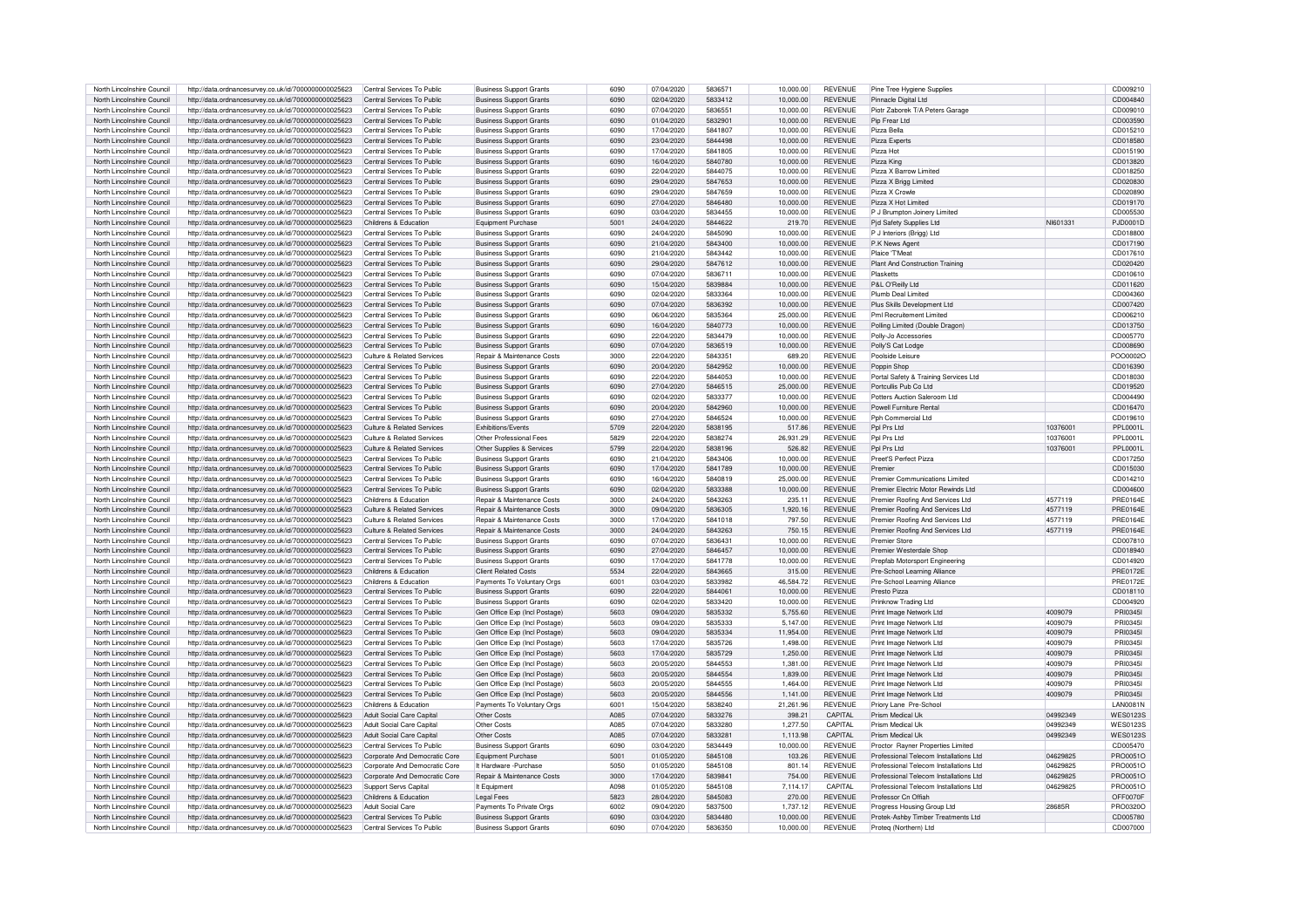| North Lincolnshire Council | http://data.ordnancesurvev.co.uk/id/7000000000025623 | Central Services To Public    | <b>Business Support Grants</b> | 6090        | 07/04/2020 | 5836571 | 10.000.00 | <b>REVENUE</b> | Pine Tree Hygiene Supplies             |          | CD009210        |
|----------------------------|------------------------------------------------------|-------------------------------|--------------------------------|-------------|------------|---------|-----------|----------------|----------------------------------------|----------|-----------------|
| North Lincolnshire Council | http://data.ordnancesurvey.co.uk/id/7000000000025623 | Central Services To Public    | <b>Business Support Grants</b> | 6090        | 02/04/2020 | 5833412 | 10.000.00 | <b>REVENUE</b> | Pinnacle Digital Ltd                   |          | CD004840        |
| North Lincolnshire Council | http://data.ordnancesurvey.co.uk/id/7000000000025623 | Central Services To Public    | <b>Business Support Grants</b> | 6090        | 07/04/2020 | 5836551 | 10.000.00 | <b>REVENUE</b> | Piotr Zaborek T/A Peters Garage        |          | CD009010        |
| North Lincolnshire Council | http://data.ordnancesurvey.co.uk/id/7000000000025623 | Central Services To Public    | <b>Business Support Grants</b> | 6090        | 01/04/2020 | 5832901 | 10,000.00 | <b>REVENUE</b> | Pip Frear Ltd                          |          | CD003590        |
| North Lincolnshire Council | http://data.ordnancesurvey.co.uk/id/7000000000025623 | Central Services To Public    | <b>Business Support Grants</b> | 6090        | 17/04/2020 | 5841807 | 10.000.00 | <b>REVENUE</b> | Pizza Bella                            |          | CD015210        |
| North Lincolnshire Council | http://data.ordnancesurvey.co.uk/id/7000000000025623 | Central Services To Public    | <b>Business Support Grants</b> | 6090        | 23/04/2020 | 5844498 | 10.000.00 | <b>REVENUE</b> | Pizza Experts                          |          | CD018580        |
| North Lincolnshire Council | http://data.ordnancesurvey.co.uk/id/7000000000025623 | Central Services To Public    | Business Support Grants        | 6090        | 17/04/2020 | 5841805 | 10,000.00 | <b>REVENUE</b> | Pizza Hot                              |          | CD015190        |
| North Lincolnshire Council | http://data.ordnancesurvey.co.uk/id/7000000000025623 | Central Services To Public    | <b>Business Support Grants</b> | 6090        | 16/04/2020 | 5840780 | 10,000.00 | <b>REVENUE</b> | Pizza King                             |          | CD013820        |
| North Lincolnshire Council |                                                      | Central Services To Public    |                                | 6090        | 22/04/2020 | 5844075 | 10.000.00 | <b>REVENUE</b> | Pizza X Barrow Limited                 |          | CD018250        |
|                            | http://data.ordnancesurvey.co.uk/id/7000000000025623 |                               | <b>Business Support Grants</b> |             |            |         |           |                |                                        |          |                 |
| North Lincolnshire Council | http://data.ordnancesurvey.co.uk/id/7000000000025623 | Central Services To Public    | <b>Business Support Grants</b> | 6090        | 29/04/2020 | 5847653 | 10,000.00 | <b>REVENUE</b> | Pizza X Brigg Limited                  |          | CD020830        |
| North Lincolnshire Council | http://data.ordnancesurvey.co.uk/id/7000000000025623 | Central Services To Public    | <b>Business Support Grants</b> | 6090        | 29/04/2020 | 5847659 | 10,000.00 | REVENUE        | Pizza X Crowle                         |          | CD020890        |
| North Lincolnshire Council | http://data.ordnancesurvey.co.uk/id/7000000000025623 | Central Services To Public    | <b>Business Support Grants</b> | 6090        | 27/04/2020 | 5846480 | 10.000.00 | <b>REVENUE</b> | Pizza X Hot Limited                    |          | CD019170        |
| North Lincolnshire Council | http://data.ordnancesurvey.co.uk/id/7000000000025623 | Central Services To Public    | <b>Business Support Grants</b> | 6090        | 03/04/2020 | 5834455 | 10.000.00 | <b>REVENUE</b> | P J Brumpton Joinery Limited           |          | CD005530        |
| North Lincolnshire Council | http://data.ordnancesurvey.co.uk/id/7000000000025623 | Childrens & Education         | Equipment Purchase             | 5001        | 24/04/2020 | 5844622 | 219.70    | <b>REVENUE</b> | Pid Safety Supplies Ltd                | NI601331 | PJD0001D        |
| North Lincolnshire Council | http://data.ordnancesurvey.co.uk/id/7000000000025623 | Central Services To Public    | <b>Business Support Grants</b> | 6090        | 24/04/2020 | 5845090 | 10,000.00 | REVENUE        | P J Interiors (Brigg) Ltd              |          | CD018800        |
| North Lincolnshire Council | http://data.ordnancesurvey.co.uk/id/7000000000025623 | Central Services To Public    | <b>Business Support Grants</b> | 6090        | 21/04/2020 | 5843400 | 10,000.00 | <b>REVENUE</b> | P.K News Agent                         |          | CD017190        |
| North Lincolnshire Council | http://data.ordnancesurvey.co.uk/id/7000000000025623 | Central Services To Public    | <b>Business Support Grants</b> | 6090        | 21/04/2020 | 5843442 | 10.000.00 | <b>REVENUE</b> | Plaice 'T'Meat                         |          | CD017610        |
| North Lincolnshire Council | http://data.ordnancesurvey.co.uk/id/7000000000025623 | Central Services To Public    | <b>Business Support Grants</b> | 6090        | 29/04/2020 | 5847612 | 10.000.00 | <b>REVENUE</b> | Plant And Construction Training        |          | CD020420        |
| North Lincolnshire Council | http://data.ordnancesurvey.co.uk/id/7000000000025623 | Central Services To Public    | <b>Business Support Grants</b> | 6090        | 07/04/2020 | 5836711 | 10.000.00 | <b>REVENUE</b> | Plasketts                              |          | CD010610        |
| North Lincolnshire Council | http://data.ordnancesurvey.co.uk/id/7000000000025623 | Central Services To Public    | <b>Business Support Grants</b> | 6090        | 15/04/2020 | 5839884 | 10.000.00 | <b>REVENUE</b> | P&L O'Reilly Ltd                       |          | CD011620        |
| North Lincolnshire Council | http://data.ordnancesurvey.co.uk/id/7000000000025623 | Central Services To Public    | <b>Business Support Grants</b> | 6090        | 02/04/2020 | 5833364 | 10,000.00 | <b>REVENUE</b> | Plumb Deal Limited                     |          | CD004360        |
| North Lincolnshire Council | http://data.ordnancesurvey.co.uk/id/7000000000025623 | Central Services To Public    | <b>Business Support Grants</b> | 6090        | 07/04/2020 | 5836392 | 10,000.00 | <b>REVENUE</b> | Plus Skills Development Ltd            |          | CD007420        |
| North Lincolnshire Council | http://data.ordnancesurvev.co.uk/id/7000000000025623 | Central Services To Public    | <b>Business Support Grants</b> | 6090        | 06/04/2020 | 5835364 | 25,000.00 | <b>REVENUE</b> | Pml Recruitement Limited               |          | CD006210        |
| North Lincolnshire Council | http://data.ordnancesurvey.co.uk/id/7000000000025623 | Central Services To Public    | <b>Business Support Grants</b> | 6090        | 16/04/2020 | 5840773 | 10.000.00 | <b>REVENUE</b> | Polling Limited (Double Dragon)        |          | CD013750        |
| North Lincolnshire Council |                                                      | Central Services To Public    |                                | 6090        |            | 5834479 |           | <b>REVENUE</b> |                                        |          |                 |
|                            | http://data.ordnancesurvey.co.uk/id/7000000000025623 |                               | <b>Business Support Grants</b> |             | 22/04/2020 |         | 10,000.00 |                | Polly-Jo Accessories                   |          | CD005770        |
| North Lincolnshire Council | http://data.ordnancesurvey.co.uk/id/7000000000025623 | Central Services To Public    | <b>Business Support Grants</b> | 6090        | 07/04/2020 | 5836519 | 10,000.00 | <b>REVENUE</b> | Polly'S Cat Lodge                      |          | CD008690        |
| North Lincolnshire Council | http://data.ordnancesurvev.co.uk/id/7000000000025623 | Culture & Related Services    | Repair & Maintenance Costs     | 3000        | 22/04/2020 | 5843351 | 689.20    | <b>REVENUE</b> | Poolside Leisure                       |          | POO0002O        |
| North Lincolnshire Council | http://data.ordnancesurvey.co.uk/id/7000000000025623 | Central Services To Public    | <b>Business Support Grants</b> | 6090        | 20/04/2020 | 5842952 | 10.000.00 | <b>REVENUE</b> | Poppin Shop                            |          | CD016390        |
| North Lincolnshire Council | http://data.ordnancesurvey.co.uk/id/7000000000025623 | Central Services To Public    | <b>Business Support Grants</b> | 6090        | 22/04/2020 | 5844053 | 10.000.00 | <b>REVENUE</b> | Portal Safety & Training Services Ltd  |          | CD018030        |
| North Lincolnshire Council | http://data.ordnancesurvey.co.uk/id/7000000000025623 | Central Services To Public    | <b>Business Support Grants</b> | 6090        | 27/04/2020 | 5846515 | 25.000.00 | <b>REVENUE</b> | Portcullis Pub Co Ltd                  |          | CD019520        |
| North Lincolnshire Council | http://data.ordnancesurvey.co.uk/id/7000000000025623 | Central Services To Public    | <b>Business Support Grants</b> | 6090        | 02/04/2020 | 5833377 | 10.000.00 | <b>REVENUE</b> | Potters Auction Saleroom Ltd           |          | CD004490        |
| North Lincolnshire Council | http://data.ordnancesurvey.co.uk/id/7000000000025623 | Central Services To Public    | <b>Business Support Grants</b> | 6090        | 20/04/2020 | 5842960 | 10.000.00 | <b>REVENUE</b> | Powell Furniture Rental                |          | CD016470        |
| North Lincolnshire Council | http://data.ordnancesurvey.co.uk/id/7000000000025623 | Central Services To Public    | <b>Business Support Grants</b> | 6090        | 27/04/2020 | 5846524 | 10,000.00 | <b>REVENUE</b> | Pph Commercial Ltd                     |          | CD019610        |
| North Lincolnshire Council | http://data.ordnancesurvey.co.uk/id/7000000000025623 | Culture & Related Services    | Exhibitions/Events             | 5709        | 22/04/2020 | 5838195 | 517.86    | <b>REVENUE</b> | Pol Prs Ltd                            | 10376001 | PPL0001L        |
| North Lincolnshire Council | http://data.ordnancesurvey.co.uk/id/7000000000025623 | Culture & Related Services    | Other Professional Fees        | 5829        | 22/04/2020 | 5838274 | 26,931.29 | <b>REVENUE</b> | Ppl Prs Ltd                            | 10376001 | PPL0001L        |
| North Lincolnshire Council | http://data.ordnancesurvey.co.uk/id/7000000000025623 | Culture & Related Services    | Other Supplies & Services      | 5799        | 22/04/2020 | 5838196 | 526.82    | <b>REVENUE</b> | Pol Prs Ltd                            | 10376001 | PPL0001L        |
| North Lincolnshire Council | http://data.ordnancesurvey.co.uk/id/7000000000025623 | Central Services To Public    | <b>Business Support Grants</b> | 6090        | 21/04/2020 | 5843406 | 10,000.00 | <b>REVENUE</b> | Preet'S Perfect Pizza                  |          | CD017250        |
| North Lincolnshire Council | http://data.ordnancesurvey.co.uk/id/7000000000025623 | Central Services To Public    | <b>Business Support Grants</b> | 6090        | 17/04/2020 | 5841789 | 10,000.00 | <b>REVENUE</b> | Premier                                |          | CD015030        |
| North Lincolnshire Council | http://data.ordnancesurvey.co.uk/id/7000000000025623 | Central Services To Public    | <b>Business Support Grants</b> | 6090        | 16/04/2020 | 5840819 | 25,000.00 | <b>REVENUE</b> | Premier Communications Limited         |          | CD014210        |
| North Lincolnshire Council |                                                      | Central Services To Public    |                                | 6090        | 02/04/2020 | 5833388 | 10.000.00 | <b>REVENUE</b> | Premier Flectric Motor Rewinds Ltd     |          | CD004600        |
|                            | http://data.ordnancesurvey.co.uk/id/7000000000025623 |                               | <b>Business Support Grants</b> |             |            |         |           |                |                                        |          |                 |
| North Lincolnshire Council | http://data.ordnancesurvey.co.uk/id/7000000000025623 | Childrens & Education         | Repair & Maintenance Costs     | 3000        | 24/04/2020 | 5843263 | 235.11    | <b>REVENUE</b> | Premier Roofing And Services Ltd       | 4577110  | <b>PRE0164E</b> |
| North Lincolnshire Council | http://data.ordnancesurvey.co.uk/id/7000000000025623 | Culture & Related Services    | Repair & Maintenance Costs     | 3000        | 09/04/2020 | 5836305 | 1.920.16  | <b>REVENUE</b> | Premier Roofing And Services Ltd       | 4577119  | <b>PRE0164E</b> |
| North Lincolnshire Council | http://data.ordnancesurvey.co.uk/id/7000000000025623 | Culture & Related Services    | Repair & Maintenance Costs     | 3000        | 17/04/2020 | 5841018 | 797.50    | <b>REVENUE</b> | Premier Roofing And Services Ltd       | 4577119  | <b>PRE0164E</b> |
| North Lincolnshire Council | http://data.ordnancesurvey.co.uk/id/7000000000025623 | Culture & Related Services    | Repair & Maintenance Costs     | 3000        | 24/04/2020 | 5843263 | 750.15    | <b>REVENUE</b> | Premier Roofing And Services Ltd       | 4577119  | <b>PRE0164E</b> |
| North Lincolnshire Council | http://data.ordnancesurvey.co.uk/id/7000000000025623 | Central Services To Public    | <b>Business Support Grants</b> | 6090        | 07/04/2020 | 5836431 | 10.000.00 | <b>REVENUE</b> | Premier Store                          |          | CD007810        |
| North Lincolnshire Council | http://data.ordnancesurvey.co.uk/id/7000000000025623 | Central Services To Public    | <b>Business Support Grants</b> | 6090        | 27/04/2020 | 5846457 | 10.000.00 | <b>REVENUE</b> | Premier Westerdale Shop                |          | CD018940        |
| North Lincolnshire Council | http://data.ordnancesurvey.co.uk/id/7000000000025623 | Central Services To Public    | <b>Business Support Grants</b> | 6090        | 17/04/2020 | 5841778 | 10.000.00 | <b>REVENUE</b> | Prepfab Motorsport Engineering         |          | CD014920        |
| North Lincolnshire Council | http://data.ordnancesurvey.co.uk/id/7000000000025623 | Childrens & Education         | <b>Client Related Costs</b>    | 5534        | 22/04/2020 | 5843665 | 315.00    | <b>REVENUE</b> | Pre-School Learning Alliance           |          | <b>PRE0172E</b> |
| North Lincolnshire Council | http://data.ordnancesurvey.co.uk/id/7000000000025623 | Childrens & Education         | Payments To Voluntary Orgs     | 6001        | 03/04/2020 | 5833982 | 46.584.72 | <b>REVENUE</b> | Pre-School Learning Alliance           |          | <b>PRF0172F</b> |
| North Lincolnshire Council | http://data.ordnancesurvey.co.uk/id/7000000000025623 | Central Services To Public    | <b>Business Support Grants</b> | 6090        | 22/04/2020 | 5844061 | 10,000.00 | <b>REVENUE</b> | Presto Pizza                           |          | CD018110        |
| North Lincolnshire Council | http://data.ordnancesurvey.co.uk/id/7000000000025623 | Central Services To Public    | <b>Business Support Grants</b> | 6090        | 02/04/2020 | 5833420 | 10.000.00 | <b>REVENUE</b> | Prinknow Trading Ltd                   |          | CD004920        |
| North Lincolnshire Council | http://data.ordnancesurvey.co.uk/id/7000000000025623 | Central Services To Public    | Gen Office Exp (Incl Postage)  | 5603        | 09/04/2020 | 5835332 | 5,755.60  | <b>REVENUE</b> | Print Image Network Ltd                | 4009079  | PRI03451        |
| North Lincolnshire Council | http://data.ordnancesurvey.co.uk/id/7000000000025623 | Central Services To Public    | Gen Office Exp (Incl Postage)  | 5603        | 09/04/2020 | 5835333 | 5.147.00  | <b>REVENUE</b> | Print Image Network Ltd                | 4009079  | PRI0345         |
| North Lincolnshire Council | http://data.ordnancesurvey.co.uk/id/7000000000025623 | Central Services To Public    | Gen Office Exp (Incl Postage)  | 5603        | 09/04/2020 | 5835334 | 11,954.00 | <b>REVENUE</b> | Print Image Network Ltd                | 4009079  | PRI0345         |
| North Lincolnshire Council | http://data.ordnancesurvey.co.uk/id/7000000000025623 | Central Services To Public    | Gen Office Exp (Incl Postage)  | 5603        | 17/04/2020 | 5835726 | 1,498.00  | <b>REVENUE</b> | Print Image Network Ltd                | 4009079  | PRI0345         |
|                            |                                                      |                               |                                | 5603        |            |         |           |                |                                        | 4009079  | PRI03451        |
| North Lincolnshire Council | http://data.ordnancesurvey.co.uk/id/7000000000025623 | Central Services To Public    | Gen Office Exp (Incl Postage)  |             | 17/04/2020 | 5835729 | 1,250.00  | <b>REVENUE</b> | Print Image Network Ltd                |          |                 |
| North Lincolnshire Council | http://data.ordnancesurvey.co.uk/id/7000000000025623 | Central Services To Public    | Gen Office Exp (Incl Postage)  | 5603        | 20/05/2020 | 5844553 | 1,381.00  | <b>REVENUE</b> | Print Image Network Ltd                | 4009079  | PRI03451        |
| North Lincolnshire Council | http://data.ordnancesurvey.co.uk/id/7000000000025623 | Central Services To Public    | Gen Office Exp (Incl Postage)  | 5603        | 20/05/2020 | 5844554 | 1,839.00  | <b>REVENUE</b> | Print Image Network Ltd                | 4009079  | PRI0345I        |
| North Lincolnshire Council | http://data.ordnancesurvey.co.uk/id/7000000000025623 | Central Services To Public    | Gen Office Exp (Incl Postage   | 5603        | 20/05/2020 | 5844555 | 1,464.00  | <b>REVENUE</b> | Print Image Network Ltd                | 4009079  | PRI0345I        |
| North Lincolnshire Council | http://data.ordnancesurvey.co.uk/id/7000000000025623 | Central Services To Public    | Gen Office Exp (Incl Postage)  | 5603        | 20/05/2020 | 5844556 | 1.141.00  | <b>REVENUE</b> | Print Image Network Ltd                | 4009079  | PRI0345I        |
| North Lincolnshire Council | http://data.ordnancesurvey.co.uk/id/7000000000025623 | Childrens & Education         | Payments To Voluntary Oras     | 6001        | 15/04/2020 | 5838240 | 21,261.96 | <b>REVENUE</b> | Priory Lane Pre-School                 |          | <b>LAN0081N</b> |
| North Lincolnshire Council | http://data.ordnancesurvey.co.uk/id/7000000000025623 | Adult Social Care Capital     | Other Costs                    | A085        | 07/04/2020 | 5833276 | 398.21    | CAPITAL        | Prism Medical Uk                       | 04992349 | <b>WES0123S</b> |
| North Lincolnshire Council | http://data.ordnancesurvey.co.uk/id/7000000000025623 | Adult Social Care Capital     | Other Costs                    | A085        | 07/04/2020 | 5833280 | 1.277.50  | CAPITAL        | Prism Medical Uk                       | 04992349 | <b>WES0123S</b> |
| North Lincolnshire Council | http://data.ordnancesurvey.co.uk/id/7000000000025623 | Adult Social Care Capital     | Other Costs                    | <b>A085</b> | 07/04/2020 | 5833281 | 1.113.98  | CAPITAL        | Prism Medical Uk                       | 04992349 | <b>WES0123S</b> |
| North Lincolnshire Council | http://data.ordnancesurvey.co.uk/id/7000000000025623 | Central Services To Public    | <b>Business Support Grants</b> | 6090        | 03/04/2020 | 5834449 | 10.000.00 | <b>REVENUE</b> | Proctor Rayner Properties Limited      |          | CD005470        |
| North Lincolnshire Council | http://data.ordnancesurvey.co.uk/id/7000000000025623 | Corporate And Democratic Core | Equipment Purchase             | 5001        | 01/05/2020 | 5845108 | 103.26    | <b>REVENUE</b> | Professional Telecom Installations Ltd | 04629825 | PRO0051O        |
| North Lincolnshire Council | http://data.ordnancesurvey.co.uk/id/7000000000025623 | Corporate And Democratic Core | It Hardware - Purchase         | 5050        | 01/05/2020 | 5845108 | 801.14    | <b>REVENUE</b> | Professional Telecom Installations Ltd | 04629825 | PRO0051O        |
| North Lincolnshire Council | http://data.ordnancesurvey.co.uk/id/7000000000025623 | Corporate And Democratic Core | Repair & Maintenance Costs     | 3000        | 17/04/2020 | 5839841 | 754.00    | <b>REVENUE</b> | Professional Telecom Installations Ltd | 04629825 | PRO0051O        |
| North Lincolnshire Council | http://data.ordnancesurvey.co.uk/id/7000000000025623 | Support Servs Capital         | It Equipment                   | A098        | 01/05/2020 | 5845108 | 7.114.17  | CAPITAL        | Professional Telecom Installations Ltd | 04629825 | PRO0051O        |
| North Lincolnshire Council | http://data.ordnancesurvey.co.uk/id/7000000000025623 | Childrens & Education         | Legal Fees                     | 5823        | 28/04/2020 | 5845083 | 270.00    | <b>REVENUE</b> | Professor Cn Offiah                    |          | OFF0070F        |
| North Lincolnshire Council | http://data.ordnancesurvey.co.uk/id/7000000000025623 | Adult Social Care             | Payments To Private Orgs       | 6002        | 09/04/2020 | 5837500 | 1.737.12  | <b>REVENUE</b> | Progress Housing Group Ltd             | 28685B   | PRO0320C        |
| North Lincolnshire Council | http://data.ordnancesurvey.co.uk/id/7000000000025623 | Central Services To Public    | <b>Business Support Grants</b> | 6090        | 03/04/2020 | 5834480 | 10.000.00 | <b>REVENUE</b> | Protek-Ashby Timber Treatments Ltd     |          | CD005780        |
| North Lincolnshire Council | http://data.ordnancesurvey.co.uk/id/7000000000025623 | Central Services To Public    | <b>Business Support Grants</b> | 6090        | 07/04/2020 | 5836350 | 10,000.00 | REVENUE        | Proteg (Northern) Ltd                  |          | CD007000        |
|                            |                                                      |                               |                                |             |            |         |           |                |                                        |          |                 |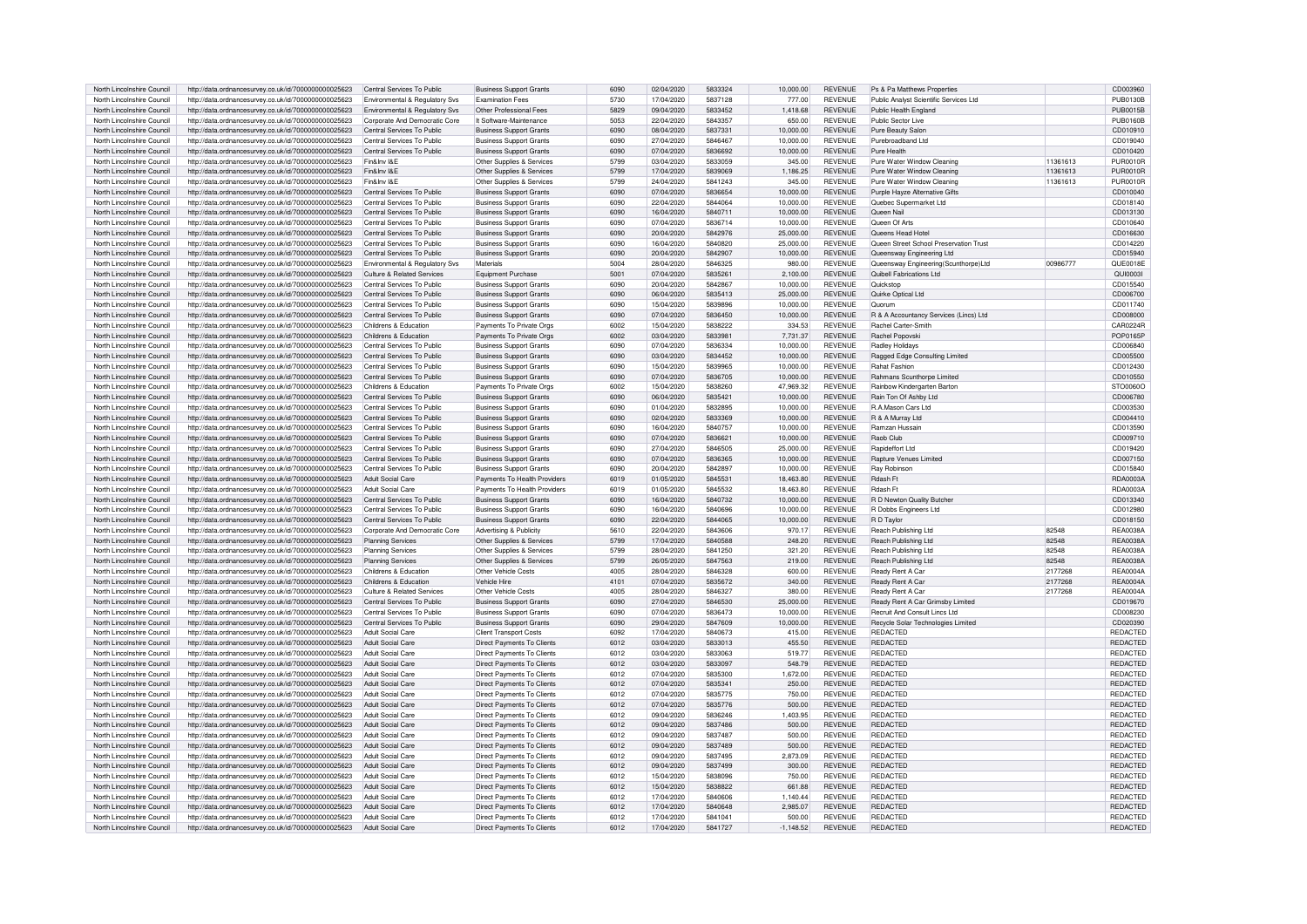| North Lincolnshire Council                               | http://data.ordnancesurvey.co.uk/id/7000000000025623 | Central Services To Public                      | <b>Business Support Grants</b>                                  | 6090 | 02/04/2020               | 5833324            | 10,000.00           | <b>REVENUE</b>                   | Ps & Pa Matthews Properties                           |          | CD003960             |
|----------------------------------------------------------|------------------------------------------------------|-------------------------------------------------|-----------------------------------------------------------------|------|--------------------------|--------------------|---------------------|----------------------------------|-------------------------------------------------------|----------|----------------------|
| North Lincolnshire Council                               | http://data.ordnancesurvey.co.uk/id/7000000000025623 | Environmental & Regulatory Svs                  | <b>Fxamination Fees</b>                                         | 5730 | 17/04/2020               | 5837128            | 777.00              | <b>REVENUE</b>                   | Public Analyst Scientific Services Ltd                |          | PUB0130B             |
| North Lincolnshire Council                               | http://data.ordnancesurvey.co.uk/id/7000000000025623 | <b>Environmental &amp; Requlatory Sys.</b>      | Other Professional Fees                                         | 5829 | 09/04/2020               | 5833452            | 1.418.68            | <b>REVENUE</b>                   | Public Health England                                 |          | <b>PUB0015B</b>      |
|                                                          |                                                      |                                                 |                                                                 |      |                          |                    |                     |                                  |                                                       |          |                      |
| North Lincolnshire Council                               | http://data.ordnancesurvey.co.uk/id/7000000000025623 | Corporate And Democratic Core                   | It Software-Maintenance                                         | 5053 | 22/04/2020               | 5843357            | 650.00              | <b>REVENUE</b>                   | Public Sector Live                                    |          | <b>PUB0160B</b>      |
| North Lincolnshire Council                               | http://data.ordnancesurvey.co.uk/id/7000000000025623 | Central Services To Public                      | <b>Business Support Grants</b>                                  | 6090 | 08/04/2020               | 5837331            | 10,000.00           | <b>REVENUE</b>                   | Pure Beauty Salon                                     |          | CD010910             |
| North Lincolnshire Council                               | http://data.ordnancesurvey.co.uk/id/7000000000025623 | Central Services To Public                      | <b>Business Support Grants</b>                                  | 6090 | 27/04/2020               | 5846467            | 10.000.00           | <b>REVENUE</b>                   | Purebroadband Ltd                                     |          | CD019040             |
| North Lincolnshire Council                               | http://data.ordnancesurvey.co.uk/id/7000000000025623 | Central Services To Public                      | <b>Business Support Grants</b>                                  | 6090 | 07/04/2020               | 5836692            | 10,000.00           | <b>REVENUE</b>                   | Pure Health                                           |          | CD010420             |
| North Lincolnshire Council                               | http://data.ordnancesurvey.co.uk/id/7000000000025623 | Fin&Inv I&E                                     | Other Supplies & Services                                       | 5799 | 03/04/2020               | 5833059            | 345.00              | <b>REVENUE</b>                   | Pure Water Window Cleaning                            | 11361613 | <b>PUR0010R</b>      |
| North Lincolnshire Council                               | http://data.ordnancesurvey.co.uk/id/7000000000025623 | Fin&Inv I&E                                     | Other Supplies & Services                                       | 5799 | 17/04/2020               | 5839069            | 1.186.25            | <b>REVENUE</b>                   | Pure Water Window Cleaning                            | 11361613 | <b>PUR0010R</b>      |
| North Lincolnshire Council                               | http://data.ordnancesurvey.co.uk/id/7000000000025623 | Fin&Inv I&F                                     | Other Supplies & Services                                       | 5799 | 24/04/2020               | 5841243            | 345.00              | <b>REVENUE</b>                   | Pure Water Window Cleaning                            | 11361613 | <b>PUR0010R</b>      |
| North Lincolnshire Council                               | http://data.ordnancesurvey.co.uk/id/7000000000025623 | Central Services To Public                      | <b>Business Support Grants</b>                                  | 6090 | 07/04/2020               | 5836654            | 10,000.00           | <b>REVENUE</b>                   | Purple Hayze Alternative Gifts                        |          | CD010040             |
| North Lincolnshire Council                               | http://data.ordnancesurvey.co.uk/id/7000000000025623 | Central Services To Public                      | <b>Business Support Grants</b>                                  | 6090 | 22/04/2020               | 5844064            | 10.000.00           | <b>REVENUE</b>                   | Quebec Supermarket Ltd                                |          | CD018140             |
| North Lincolnshire Council                               | http://data.ordnancesurvey.co.uk/id/7000000000025623 | Central Services To Public                      | <b>Business Support Grants</b>                                  | 6090 | 16/04/2020               | 5840711            | 10,000.00           | <b>REVENUE</b>                   | Queen Nai                                             |          | CD013130             |
| North Lincolnshire Council                               | http://data.ordnancesurvey.co.uk/id/7000000000025623 | Central Services To Public                      | <b>Business Support Grants</b>                                  | 6090 | 07/04/2020               | 5836714            | 10.000.00           | <b>REVENUE</b>                   | Queen Of Arts                                         |          | CD010640             |
|                                                          |                                                      |                                                 | <b>Business Support Grants</b>                                  | 6090 |                          |                    |                     |                                  |                                                       |          |                      |
| North Lincolnshire Council                               | http://data.ordnancesurvey.co.uk/id/7000000000025623 | Central Services To Public                      |                                                                 | 6090 | 20/04/2020               | 5842976<br>5840820 | 25,000.00           | <b>REVENUE</b><br><b>REVENUE</b> | Queens Head Hotel                                     |          | CD016630             |
| North Lincolnshire Council                               | http://data.ordnancesurvey.co.uk/id/7000000000025623 | Central Services To Public                      | <b>Business Support Grants</b>                                  |      | 16/04/2020               |                    | 25,000.00           |                                  | Queen Street School Preservation Trust                |          | CD014220             |
| North Lincolnshire Council                               | http://data.ordnancesurvey.co.uk/id/7000000000025623 | Central Services To Public                      | <b>Business Support Grants</b>                                  | 6090 | 20/04/2020               | 5842907            | 10.000.00           | <b>REVENUE</b>                   | Queensway Engineering Ltd                             |          | CD015940             |
| North Lincolnshire Council                               | http://data.ordnancesurvey.co.uk/id/7000000000025623 | Environmental & Regulatory Svs                  | Materials                                                       | 5004 | 28/04/2020               | 5846325            | 980.00              | <b>REVENUE</b>                   | Queensway Engineering(Scunthorpe)Ltd                  | 00986777 | QUE0018E             |
| North Lincolnshire Council                               | http://data.ordnancesurvey.co.uk/id/7000000000025623 | Culture & Related Services                      | Equipment Purchase                                              | 5001 | 07/04/2020               | 5835261            | 2.100.00            | <b>REVENUE</b>                   | Quibell Fabrications Ltd                              |          | QUI0003              |
| North Lincolnshire Council                               | http://data.ordnancesurvey.co.uk/id/7000000000025623 | Central Services To Public                      | <b>Business Support Grants</b>                                  | 6090 | 20/04/2020               | 5842867            | 10.000.00           | <b>REVENUE</b>                   | Quickstop                                             |          | CD015540             |
| North Lincolnshire Council                               | http://data.ordnancesurvey.co.uk/id/7000000000025623 | Central Services To Public                      | <b>Business Support Grants</b>                                  | 6090 | 06/04/2020               | 5835413            | 25,000.00           | <b>REVENUE</b>                   | Quirke Optical Ltd                                    |          | CD006700             |
| North Lincolnshire Council                               | http://data.ordnancesurvey.co.uk/id/7000000000025623 | Central Services To Public                      | <b>Business Support Grants</b>                                  | 6090 | 15/04/2020               | 5839896            | 10,000.00           | <b>REVENUE</b>                   | Quorum                                                |          | CD011740             |
| North Lincolnshire Council                               | http://data.ordnancesurvey.co.uk/id/7000000000025623 | Central Services To Public                      | <b>Business Support Grants</b>                                  | 6090 | 07/04/2020               | 5836450            | 10.000.00           | <b>REVENUE</b>                   | R & A Accountancy Services (Lincs) Ltd                |          | CD008000             |
| North Lincolnshire Council                               | http://data.ordnancesurvey.co.uk/id/7000000000025623 | Childrens & Education                           | Payments To Private Orgs                                        | 6002 | 15/04/2020               | 5838222            | 334.53              | <b>REVENUE</b>                   | Rachel Carter-Smith                                   |          | CAR0224R             |
| North Lincolnshire Council                               | http://data.ordnancesurvey.co.uk/id/7000000000025623 | Childrens & Education                           | Payments To Private Orgs                                        | 6002 | 03/04/2020               | 5833981            | 7,731.37            | <b>REVENUE</b>                   | <b>Rachel Ponovsk</b>                                 |          | POP0165P             |
| North Lincolnshire Council                               | http://data.ordnancesurvey.co.uk/id/7000000000025623 | Central Services To Public                      | <b>Business Support Grants</b>                                  | 6090 | 07/04/2020               | 5836334            | 10.000.00           | <b>REVENUE</b>                   | <b>Radley Holidays</b>                                |          | CD006840             |
|                                                          |                                                      |                                                 |                                                                 |      |                          |                    |                     |                                  |                                                       |          |                      |
| North Lincolnshire Council                               | http://data.ordnancesurvey.co.uk/id/7000000000025623 | Central Services To Public                      | <b>Business Support Grants</b>                                  | 6090 | 03/04/2020               | 5834452            | 10,000.00           | <b>REVENUE</b>                   | Ragged Edge Consulting Limited                        |          | CD005500             |
| North Lincolnshire Council                               | http://data.ordnancesurvey.co.uk/id/7000000000025623 | Central Services To Public                      | <b>Business Support Grants</b>                                  | 6090 | 15/04/2020               | 5839965            | 10.000.00           | <b>REVENUE</b>                   | <b>Rahat Fashion</b>                                  |          | CD012430             |
| North Lincolnshire Council                               | http://data.ordnancesurvey.co.uk/id/7000000000025623 | Central Services To Public                      | <b>Business Support Grants</b>                                  | 6090 | 07/04/2020               | 5836705            | 10.000.00           | <b>REVENUE</b>                   | Rahmans Scunthorpe Limited                            |          | CD010550             |
| North Lincolnshire Council                               | http://data.ordnancesurvey.co.uk/id/7000000000025623 | Childrens & Education                           | Payments To Private Orgs                                        | 6002 | 15/04/2020               | 5838260            | 47,969.32           | <b>REVENUE</b>                   | Rainbow Kindergarten Barton                           |          | STO0060O             |
| North Lincolnshire Council                               | http://data.ordnancesurvey.co.uk/id/7000000000025623 | Central Services To Public                      | <b>Business Support Grants</b>                                  | 6090 | 06/04/2020               | 5835421            | 10,000.00           | <b>REVENUE</b>                   | Rain Ton Of Ashby Ltd                                 |          | CD006780             |
| North Lincolnshire Council                               | http://data.ordnancesurvey.co.uk/id/7000000000025623 | Central Services To Public                      | <b>Business Support Grants</b>                                  | 6090 | 01/04/2020               | 5832895            | 10,000.00           | <b>REVENUE</b>                   | R.A.Mason Cars Ltd                                    |          | CD003530             |
| North Lincolnshire Council                               | http://data.ordnancesurvey.co.uk/id/7000000000025623 | Central Services To Public                      | <b>Business Support Grants</b>                                  | 6090 | 02/04/2020               | 5833369            | 10,000.00           | <b>REVENUE</b>                   | R & A Murray Ltd                                      |          | CD004410             |
| North Lincolnshire Council                               | http://data.ordnancesurvey.co.uk/id/7000000000025623 | Central Services To Public                      | <b>Business Support Grants</b>                                  | 6090 | 16/04/2020               | 5840757            | 10,000.00           | <b>REVENUE</b>                   | Ramzan Hussain                                        |          | CD013590             |
| North Lincolnshire Council                               | http://data.ordnancesurvey.co.uk/id/7000000000025623 | Central Services To Public                      | <b>Business Support Grants</b>                                  | 6090 | 07/04/2020               | 5836621            | 10.000.00           | <b>REVENUE</b>                   | Raob Club                                             |          | CD009710             |
| North Lincolnshire Council                               | http://data.ordnancesurvey.co.uk/id/7000000000025623 | Central Services To Public                      | <b>Business Support Grants</b>                                  | 6090 | 27/04/2020               | 5846505            | 25,000.00           | <b>REVENUE</b>                   | Rapideffort I td                                      |          | CD019420             |
| North Lincolnshire Council                               | http://data.ordnancesurvey.co.uk/id/7000000000025623 | Central Services To Public                      | <b>Business Support Grants</b>                                  | 6090 | 07/04/2020               | 5836365            | 10.000.00           | <b>REVENUE</b>                   | Rapture Venues Limited                                |          | CD007150             |
| North Lincolnshire Council                               | http://data.ordnancesurvey.co.uk/id/7000000000025623 | Central Services To Public                      | <b>Business Support Grants</b>                                  | 6090 | 20/04/2020               | 5842897            | 10,000.00           | <b>REVENUE</b>                   | Ray Robinson                                          |          | CD015840             |
| North Lincolnshire Council                               | http://data.ordnancesurvey.co.uk/id/7000000000025623 | Adult Social Care                               | Payments To Health Providers                                    | 6019 | 01/05/2020               | 5845531            | 18,463.80           | <b>REVENUE</b>                   | <b>Rdash Ft</b>                                       |          | <b>RDA0003A</b>      |
| North Lincolnshire Council                               |                                                      | Adult Social Care                               |                                                                 | 6019 | 01/05/2020               | 5845532            | 18.463.80           | <b>REVENUE</b>                   | Rdash Ft                                              |          | <b>BDA0003A</b>      |
|                                                          | http://data.ordnancesurvey.co.uk/id/7000000000025623 |                                                 | Payments To Health Providers                                    |      |                          |                    |                     |                                  |                                                       |          |                      |
| North Lincolnshire Council                               | http://data.ordnancesurvey.co.uk/id/7000000000025623 | Central Services To Public                      | <b>Business Support Grants</b>                                  | 6090 | 16/04/2020               | 5840732            | 10.000.00           | <b>REVENUE</b>                   | R D Newton Quality Butcher                            |          | CD013340             |
| North Lincolnshire Council                               | http://data.ordnancesurvev.co.uk/id/7000000000025623 | Central Services To Public                      | <b>Business Support Grants</b>                                  | 6090 | 16/04/2020               | 5840696            | 10.000.00           | <b>REVENUE</b>                   | R Dobbs Engineers Ltd                                 |          | CD012980             |
| North Lincolnshire Council                               | http://data.ordnancesurvey.co.uk/id/7000000000025623 | Central Services To Public                      | <b>Business Support Grants</b>                                  | 6090 | 22/04/2020               | 5844065            | 10,000.00           | <b>REVENUE</b>                   | R D Taylor                                            |          | CD018150             |
| North Lincolnshire Council                               | http://data.ordnancesurvev.co.uk/id/7000000000025623 | Corporate And Democratic Core                   | Advertising & Publicity                                         | 5610 | 22/04/2020               | 5843606            | 970.17              | <b>REVENUE</b>                   | Reach Publishing Ltd                                  | 82548    | <b>REA0038A</b>      |
| North Lincolnshire Council                               | http://data.ordnancesurvey.co.uk/id/7000000000025623 | <b>Planning Services</b>                        | Other Supplies & Services                                       | 5799 | 17/04/2020               | 5840588            | 248.20              | <b>REVENUE</b>                   | Reach Publishing Ltd                                  | 82548    | <b>REA0038A</b>      |
| North Lincolnshire Council                               | http://data.ordnancesurvey.co.uk/id/7000000000025623 | Planning Services                               | Other Supplies & Services                                       | 5799 | 28/04/2020               | 5841250            | 321.20              | <b>REVENUE</b>                   | Reach Publishing Ltd                                  | 82548    | <b>REA0038A</b>      |
| North Lincolnshire Council                               | http://data.ordnancesurvey.co.uk/id/7000000000025623 | <b>Planning Services</b>                        | Other Supplies & Services                                       | 5799 | 26/05/2020               | 5847563            | 219.00              | <b>REVENUE</b>                   | Reach Publishing Ltd                                  | 82548    | <b>REA0038A</b>      |
| North Lincolnshire Council                               | http://data.ordnancesurvey.co.uk/id/7000000000025623 | Childrens & Education                           | Other Vehicle Costs                                             | 4005 | 28/04/2020               | 5846328            | 600.00              | <b>REVENUE</b>                   | Ready Rent A Car                                      | 2177268  | <b>RFA0004A</b>      |
| North Lincolnshire Council                               | http://data.ordnancesurvey.co.uk/id/7000000000025623 | Childrens & Education                           | Vehicle Hire                                                    | 4101 | 07/04/2020               | 5835672            | 340.00              | <b>REVENUE</b>                   | Ready Rent A Car                                      | 2177268  | <b>RFA0004A</b>      |
| North Lincolnshire Council                               | http://data.ordnancesurvey.co.uk/id/7000000000025623 | Culture & Related Services                      | Other Vehicle Costs                                             | 4005 | 28/04/2020               | 5846327            | 380.00              | <b>REVENUE</b>                   | Ready Rent A Car                                      | 2177268  | <b>REA0004A</b>      |
| North Lincolnshire Council                               | http://data.ordnancesurvey.co.uk/id/7000000000025623 | Central Services To Public                      | <b>Business Support Grants</b>                                  | 6090 | 27/04/2020               | 5846530            | 25,000.00           | <b>REVENUE</b>                   | Beady Bent A Car Grimsby Limited                      |          | CD019670             |
| North Lincolnshire Council                               | http://data.ordnancesurvey.co.uk/id/7000000000025623 | Central Services To Public                      | <b>Business Support Grants</b>                                  | 6090 | 07/04/2020               | 5836473            | 10.000.00           | <b>REVENUE</b>                   | Recruit And Consult Lincs Ltd.                        |          | CD008230             |
|                                                          |                                                      |                                                 |                                                                 | 6090 |                          | 5847609            |                     |                                  |                                                       |          |                      |
| North Lincolnshire Council<br>North Lincolnshire Council | http://data.ordnancesurvey.co.uk/id/7000000000025623 | Central Services To Public<br>Adult Social Care | <b>Business Support Grants</b><br><b>Client Transport Costs</b> | 6092 | 29/04/2020<br>17/04/2020 | 5840673            | 10.000.00<br>415.00 | <b>REVENUE</b><br><b>REVENUE</b> | Recycle Solar Technologies Limited<br><b>REDACTED</b> |          | CD020390<br>REDACTED |
|                                                          | http://data.ordnancesurvey.co.uk/id/7000000000025623 |                                                 |                                                                 |      |                          |                    |                     |                                  |                                                       |          |                      |
| North Lincolnshire Council                               | http://data.ordnancesurvey.co.uk/id/7000000000025623 | Adult Social Care                               | Direct Payments To Clients                                      | 6012 | 03/04/2020               | 5833013            | 455.50              | <b>REVENUE</b>                   | <b>REDACTED</b>                                       |          | REDACTED             |
| North Lincolnshire Council                               | http://data.ordnancesurvey.co.uk/id/7000000000025623 | <b>Adult Social Care</b>                        | Direct Payments To Clients                                      | 6012 | 03/04/2020               | 5833063            | 519.77              | <b>REVENUE</b>                   | <b>REDACTED</b>                                       |          | REDACTED             |
| North Lincolnshire Council                               | http://data.ordnancesurvey.co.uk/id/7000000000025623 | <b>Adult Social Care</b>                        | Direct Payments To Clients                                      | 6012 | 03/04/2020               | 5833097            | 548.79              | <b>REVENUE</b>                   | <b>REDACTED</b>                                       |          | REDACTED             |
| North Lincolnshire Council                               | http://data.ordnancesurvey.co.uk/id/7000000000025623 | Adult Social Care                               | Direct Payments To Clients                                      | 6012 | 07/04/2020               | 5835300            | 1.672.00            | <b>REVENUE</b>                   | <b>REDACTED</b>                                       |          | REDACTED             |
| North Lincolnshire Council                               | http://data.ordnancesurvey.co.uk/id/7000000000025623 | <b>Adult Social Care</b>                        | Direct Payments To Clients                                      | 6012 | 07/04/2020               | 5835341            | 250.00              | <b>REVENUE</b>                   | <b>REDACTED</b>                                       |          | REDACTED             |
| North Lincolnshire Council                               | http://data.ordnancesurvey.co.uk/id/7000000000025623 | Adult Social Care                               | Direct Payments To Clients                                      | 6012 | 07/04/2020               | 5835775            | 750.00              | <b>REVENUE</b>                   | <b>REDACTED</b>                                       |          | <b>REDACTED</b>      |
| North Lincolnshire Council                               | http://data.ordnancesurvey.co.uk/id/7000000000025623 | Adult Social Care                               | Direct Payments To Clients                                      | 6012 | 07/04/2020               | 5835776            | 500.00              | <b>REVENUE</b>                   | <b>REDACTED</b>                                       |          | REDACTED             |
| North Lincolnshire Council                               | http://data.ordnancesurvey.co.uk/id/7000000000025623 | Adult Social Care                               | Direct Payments To Clients                                      | 6012 | 09/04/2020               | 5836246            | 1,403.95            | <b>REVENUE</b>                   | <b>REDACTED</b>                                       |          | REDACTED             |
| North Lincolnshire Council                               | http://data.ordnancesurvey.co.uk/id/7000000000025623 | Adult Social Care                               | Direct Payments To Clients                                      | 6012 | 09/04/2020               | 5837486            | 500.00              | <b>REVENUE</b>                   | <b>REDACTED</b>                                       |          | REDACTED             |
| North Lincolnshire Council                               | http://data.ordnancesurvey.co.uk/id/7000000000025623 | Adult Social Care                               | Direct Payments To Clients                                      | 6012 | 09/04/2020               | 5837487            | 500.00              | <b>REVENUE</b>                   | REDACTED                                              |          | REDACTED             |
| North Lincolnshire Council                               | http://data.ordnancesurvey.co.uk/id/7000000000025623 | Adult Social Care                               | Direct Payments To Clients                                      | 6012 | 09/04/2020               | 5837489            | 500.00              | <b>REVENUE</b>                   | <b>REDACTED</b>                                       |          | <b>REDACTED</b>      |
| North Lincolnshire Council                               |                                                      | Adult Social Care                               | Direct Payments To Clients                                      | 6012 | 09/04/2020               | 5837495            | 2,873.09            | <b>REVENUE</b>                   | REDACTED                                              |          | <b>REDACTED</b>      |
|                                                          | http://data.ordnancesurvey.co.uk/id/7000000000025623 |                                                 |                                                                 | 6012 | 09/04/2020               | 5837499            |                     | <b>REVENUE</b>                   | REDACTED                                              |          |                      |
| North Lincolnshire Council                               | http://data.ordnancesurvey.co.uk/id/7000000000025623 | <b>Adult Social Care</b>                        | Direct Payments To Clients                                      |      |                          |                    | 300.00              |                                  |                                                       |          | REDACTED             |
| North Lincolnshire Council                               | http://data.ordnancesurvey.co.uk/id/7000000000025623 | Adult Social Care                               | Direct Payments To Clients                                      | 6012 | 15/04/2020               | 5838096            | 750.00              | <b>REVENUE</b>                   | REDACTED                                              |          | REDACTED             |
| North Lincolnshire Council                               | http://data.ordnancesurvey.co.uk/id/7000000000025623 | Adult Social Care                               | Direct Payments To Clients                                      | 6012 | 15/04/2020               | 5838822            | 661.88              | <b>REVENUE</b>                   | REDACTED                                              |          | REDACTED             |
| North Lincolnshire Council                               | http://data.ordnancesurvey.co.uk/id/7000000000025623 | Adult Social Care                               | Direct Payments To Clients                                      | 6012 | 17/04/2020               | 5840606            | 1.140.44            | <b>REVENUE</b>                   | REDACTED                                              |          | REDACTED             |
| North Lincolnshire Council                               | http://data.ordnancesurvey.co.uk/id/7000000000025623 | Adult Social Care                               | Direct Payments To Clients                                      | 6012 | 17/04/2020               | 5840648            | 2.985.07            | <b>REVENUE</b>                   | REDACTED                                              |          | <b>REDACTED</b>      |
| North Lincolnshire Council                               | http://data.ordnancesurvey.co.uk/id/7000000000025623 | Adult Social Care                               | Direct Payments To Clients                                      | 6012 | 17/04/2020               | 5841041            | 500.00              | <b>REVENUE</b>                   | REDACTED                                              |          | REDACTED             |
| North Lincolnshire Council                               | http://data.ordnancesurvey.co.uk/id/7000000000025623 | Adult Social Care                               | Direct Payments To Clients                                      | 6012 | 17/04/2020               | 5841727            | $-1,148.52$         | <b>REVENUE</b>                   | <b>REDACTED</b>                                       |          | <b>REDACTED</b>      |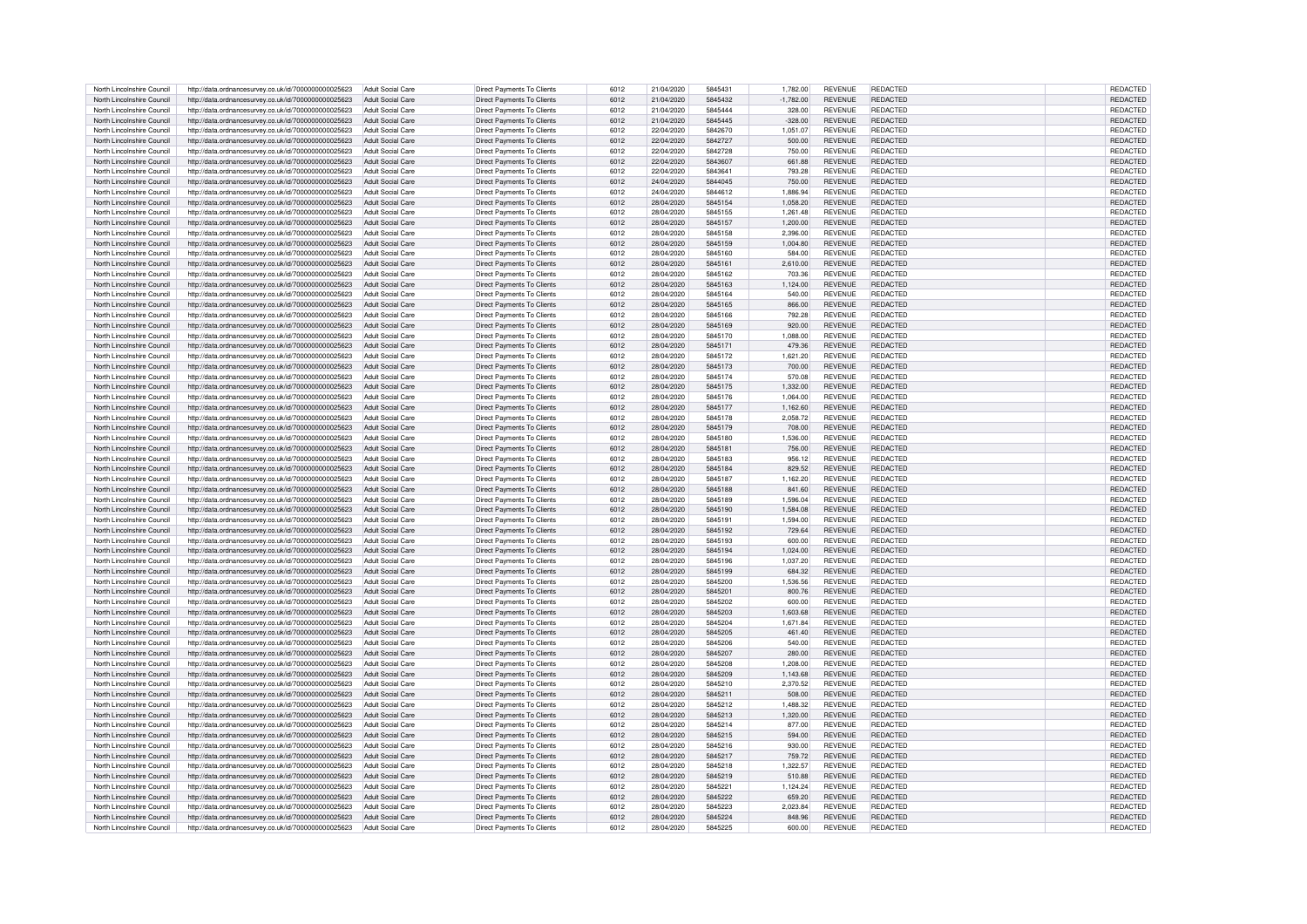| North Lincolnshire Council | http://data.ordnancesurvey.co.uk/id/7000000000025623 | Adult Social Care        | Direct Payments To Clients        | 6012 | 21/04/2020 | 5845431 | 1.782.00    | <b>REVENUE</b> | REDACTED        | REDACTED        |
|----------------------------|------------------------------------------------------|--------------------------|-----------------------------------|------|------------|---------|-------------|----------------|-----------------|-----------------|
| North Lincolnshire Council | http://data.ordnancesurvey.co.uk/id/7000000000025623 | Adult Social Care        | Direct Payments To Clients        | 6012 | 21/04/2020 | 5845432 | $-1.782.00$ | <b>REVENUE</b> | <b>REDACTED</b> | <b>REDACTED</b> |
|                            |                                                      |                          |                                   |      |            |         |             |                |                 |                 |
| North Lincolnshire Council | http://data.ordnancesurvev.co.uk/id/7000000000025623 | Adult Social Care        | Direct Payments To Clients        | 6012 | 21/04/2020 | 5845444 | 328.00      | <b>REVENUE</b> | <b>REDACTED</b> | REDACTED        |
| North Lincolnshire Council | http://data.ordnancesurvey.co.uk/id/7000000000025623 | Adult Social Care        | Direct Payments To Clients        | 6012 | 21/04/2020 | 5845445 | $-328.00$   | <b>REVENUE</b> | REDACTED        | REDACTED        |
| North Lincolnshire Council | http://data.ordnancesurvey.co.uk/id/7000000000025623 | Adult Social Care        | Direct Payments To Clients        | 6012 | 22/04/2020 | 5842670 | 1.051.07    | <b>REVENUE</b> | <b>REDACTED</b> | REDACTED        |
| North Lincolnshire Council | http://data.ordnancesurvey.co.uk/id/7000000000025623 | Adult Social Care        | Direct Payments To Clients        | 6012 | 22/04/2020 | 5842727 | 500.00      | <b>REVENUE</b> | <b>REDACTED</b> | REDACTED        |
| North Lincolnshire Council | http://data.ordnancesurvey.co.uk/id/7000000000025623 | Adult Social Care        | Direct Payments To Clients        | 6012 | 22/04/2020 | 5842728 | 750.00      | <b>REVENUE</b> | <b>REDACTED</b> | <b>REDACTED</b> |
|                            |                                                      |                          |                                   |      |            |         |             |                |                 |                 |
| North Lincolnshire Council | http://data.ordnancesurvey.co.uk/id/7000000000025623 | <b>Adult Social Care</b> | Direct Payments To Clients        | 6012 | 22/04/2020 | 5843607 | 661.88      | <b>REVENUE</b> | REDACTED        | REDACTED        |
| North Lincolnshire Council | http://data.ordnancesurvey.co.uk/id/7000000000025623 | Adult Social Care        | Direct Payments To Clients        | 6012 | 22/04/2020 | 5843641 | 793.28      | <b>REVENUE</b> | <b>REDACTED</b> | REDACTED        |
| North Lincolnshire Council | http://data.ordnancesurvey.co.uk/id/7000000000025623 | Adult Social Care        | Direct Payments To Clients        | 6012 | 24/04/2020 | 5844045 | 750.00      | <b>REVENUE</b> | REDACTED        | REDACTED        |
| North Lincolnshire Council | http://data.ordnancesurvey.co.uk/id/7000000000025623 | Adult Social Care        | Direct Payments To Clients        | 6012 | 24/04/2020 | 5844612 | 1.886.94    | <b>REVENUE</b> | <b>REDACTED</b> | REDACTED        |
| North Lincolnshire Council | http://data.ordnancesurvey.co.uk/id/7000000000025623 | <b>Adult Social Care</b> | Direct Payments To Clients        | 6012 | 28/04/2020 | 5845154 | 1.058.20    | <b>REVENUE</b> | REDACTED        | REDACTED        |
| North Lincolnshire Council | http://data.ordnancesurvey.co.uk/id/7000000000025623 | Adult Social Care        | Direct Payments To Clients        | 6012 | 28/04/2020 | 5845155 | 1.261.48    | <b>REVENUE</b> | <b>REDACTED</b> | REDACTED        |
| North Lincolnshire Council | http://data.ordnancesurvey.co.uk/id/7000000000025623 | Adult Social Care        | Direct Payments To Clients        | 6012 | 28/04/2020 | 5845157 | 1.200.00    | <b>REVENUE</b> | <b>REDACTED</b> | REDACTED        |
|                            |                                                      |                          |                                   |      |            |         |             |                | <b>REDACTED</b> |                 |
| North Lincolnshire Council | http://data.ordnancesurvey.co.uk/id/7000000000025623 | Adult Social Care        | Direct Payments To Clients        | 6012 | 28/04/2020 | 5845158 | 2,396.00    | <b>REVENUE</b> |                 | REDACTED        |
| North Lincolnshire Council | http://data.ordnancesurvey.co.uk/id/7000000000025623 | <b>Adult Social Care</b> | Direct Payments To Clients        | 6012 | 28/04/2020 | 5845159 | 1,004.80    | <b>REVENUE</b> | <b>REDACTED</b> | REDACTED        |
| North Lincolnshire Council | http://data.ordnancesurvey.co.uk/id/7000000000025623 | Adult Social Care        | Direct Payments To Clients        | 6012 | 28/04/2020 | 5845160 | 584.00      | <b>REVENUE</b> | <b>REDACTED</b> | REDACTED        |
| North Lincolnshire Council | http://data.ordnancesurvey.co.uk/id/7000000000025623 | Adult Social Care        | Direct Payments To Clients        | 6012 | 28/04/2020 | 5845161 | 2.610.00    | <b>REVENUE</b> | <b>REDACTED</b> | REDACTED        |
| North Lincolnshire Council | http://data.ordnancesurvey.co.uk/id/7000000000025623 | Adult Social Care        | Direct Payments To Clients        | 6012 | 28/04/2020 | 5845162 | 703.36      | <b>REVENUE</b> | <b>REDACTED</b> | REDACTED        |
| North Lincolnshire Council | http://data.ordnancesurvey.co.uk/id/7000000000025623 | Adult Social Care        | Direct Payments To Clients        | 6012 | 28/04/2020 | 5845163 | 1.124.00    | <b>REVENUE</b> | REDACTED        | REDACTED        |
| North Lincolnshire Council | http://data.ordnancesurvey.co.uk/id/7000000000025623 | Adult Social Care        | Direct Payments To Clients        | 6012 | 28/04/2020 | 5845164 | 540.00      | <b>REVENUE</b> | <b>REDACTED</b> | REDACTED        |
| North Lincolnshire Council | http://data.ordnancesurvey.co.uk/id/7000000000025623 | Adult Social Care        | Direct Payments To Clients        | 6012 | 28/04/2020 | 5845165 | 866.00      | <b>REVENUE</b> | <b>REDACTED</b> | REDACTED        |
|                            |                                                      |                          |                                   |      |            |         |             |                |                 |                 |
| North Lincolnshire Council | http://data.ordnancesurvey.co.uk/id/7000000000025623 | Adult Social Care        | Direct Payments To Clients        | 6012 | 28/04/2020 | 5845166 | 792.28      | <b>REVENUE</b> | REDACTED        | REDACTED        |
| North Lincolnshire Council | http://data.ordnancesurvev.co.uk/id/7000000000025623 | Adult Social Care        | Direct Payments To Clients        | 6012 | 28/04/2020 | 5845169 | 920.00      | <b>REVENUE</b> | REDACTED        | REDACTED        |
| North Lincolnshire Council | http://data.ordnancesurvey.co.uk/id/7000000000025623 | Adult Social Care        | Direct Payments To Clients        | 6012 | 28/04/2020 | 5845170 | 1,088.00    | <b>REVENUE</b> | <b>REDACTED</b> | REDACTED        |
| North Lincolnshire Council | http://data.ordnancesurvey.co.uk/id/7000000000025623 | Adult Social Care        | Direct Payments To Clients        | 6012 | 28/04/2020 | 5845171 | 479.36      | <b>REVENUE</b> | <b>REDACTED</b> | REDACTED        |
| North Lincolnshire Council | http://data.ordnancesurvey.co.uk/id/7000000000025623 | Adult Social Care        | Direct Payments To Clients        | 6012 | 28/04/2020 | 5845172 | 1,621.20    | <b>REVENUE</b> | <b>REDACTED</b> | REDACTED        |
| North Lincolnshire Council | http://data.ordnancesurvey.co.uk/id/7000000000025623 | Adult Social Care        | Direct Payments To Clients        | 6012 | 28/04/2020 | 5845173 | 700.00      | <b>REVENUE</b> | REDACTED        | REDACTED        |
| North Lincolnshire Council | http://data.ordnancesurvey.co.uk/id/7000000000025623 | Adult Social Care        | Direct Payments To Clients        | 6012 | 28/04/2020 | 5845174 | 570.08      | <b>REVENUE</b> | REDACTED        | REDACTED        |
| North Lincolnshire Council | http://data.ordnancesurvey.co.uk/id/7000000000025623 | Adult Social Care        | Direct Payments To Clients        | 6012 | 28/04/2020 | 5845175 | 1,332.00    | <b>REVENUE</b> | REDACTED        | REDACTED        |
|                            |                                                      |                          |                                   |      |            |         |             |                |                 |                 |
| North Lincolnshire Council | http://data.ordnancesurvey.co.uk/id/7000000000025623 | Adult Social Care        | Direct Payments To Clients        | 6012 | 28/04/2020 | 5845176 | 1,064.00    | <b>REVENUE</b> | <b>REDACTED</b> | REDACTED        |
| North Lincolnshire Council | http://data.ordnancesurvey.co.uk/id/7000000000025623 | Adult Social Care        | Direct Payments To Clients        | 6012 | 28/04/2020 | 5845177 | 1.162.60    | <b>REVENUE</b> | <b>REDACTED</b> | REDACTED        |
| North Lincolnshire Council | http://data.ordnancesurvey.co.uk/id/7000000000025623 | Adult Social Care        | Direct Payments To Clients        | 6012 | 28/04/2020 | 5845178 | 2,058.72    | <b>REVENUE</b> | <b>REDACTED</b> | REDACTED        |
| North Lincolnshire Council | http://data.ordnancesurvey.co.uk/id/7000000000025623 | Adult Social Care        | Direct Payments To Clients        | 6012 | 28/04/2020 | 5845179 | 708.00      | <b>REVENUE</b> | REDACTED        | REDACTED        |
| North Lincolnshire Council | http://data.ordnancesurvey.co.uk/id/7000000000025623 | Adult Social Care        | Direct Payments To Clients        | 6012 | 28/04/2020 | 5845180 | 1.536.00    | <b>REVENUE</b> | REDACTED        | REDACTED        |
| North Lincolnshire Council | http://data.ordnancesurvey.co.uk/id/7000000000025623 | <b>Adult Social Care</b> | Direct Payments To Clients        | 6012 | 28/04/2020 | 5845181 | 756.00      | <b>REVENUE</b> | <b>REDACTED</b> | REDACTED        |
| North Lincolnshire Council | http://data.ordnancesurvey.co.uk/id/7000000000025623 | Adult Social Care        | Direct Payments To Clients        | 6012 | 28/04/2020 | 5845183 | 956.12      | <b>REVENUE</b> | <b>REDACTED</b> | REDACTED        |
|                            |                                                      |                          |                                   |      |            |         |             |                | <b>REDACTED</b> |                 |
| North Lincolnshire Council | http://data.ordnancesurvey.co.uk/id/7000000000025623 | <b>Adult Social Care</b> | Direct Payments To Clients        | 6012 | 28/04/2020 | 5845184 | 829.52      | <b>REVENUE</b> |                 | REDACTED        |
| North Lincolnshire Council | http://data.ordnancesurvey.co.uk/id/7000000000025623 | Adult Social Care        | Direct Payments To Clients        | 6012 | 28/04/2020 | 5845187 | 1,162.20    | <b>REVENUE</b> | <b>REDACTED</b> | REDACTED        |
| North Lincolnshire Council | http://data.ordnancesurvey.co.uk/id/7000000000025623 | Adult Social Care        | Direct Payments To Clients        | 6012 | 28/04/2020 | 5845188 | 841.60      | <b>REVENUE</b> | REDACTED        | REDACTED        |
| North Lincolnshire Council | http://data.ordnancesurvey.co.uk/id/7000000000025623 | Adult Social Care        | Direct Payments To Clients        | 6012 | 28/04/2020 | 5845189 | 1.596.04    | <b>REVENUE</b> | <b>REDACTED</b> | REDACTED        |
| North Lincolnshire Council | http://data.ordnancesurvey.co.uk/id/7000000000025623 | Adult Social Care        | Direct Payments To Clients        | 6012 | 28/04/2020 | 5845190 | 1.584.08    | <b>REVENUE</b> | <b>REDACTED</b> | REDACTED        |
| North Lincolnshire Council | http://data.ordnancesurvey.co.uk/id/7000000000025623 | Adult Social Care        | Direct Payments To Clients        | 6012 | 28/04/2020 | 5845191 | 1.594.00    | <b>REVENUE</b> | <b>REDACTED</b> | REDACTED        |
| North Lincolnshire Council | http://data.ordnancesurvey.co.uk/id/7000000000025623 | Adult Social Care        | Direct Payments To Clients        | 6012 | 28/04/2020 | 5845192 | 729.64      | <b>REVENUE</b> | <b>REDACTED</b> | REDACTED        |
| North Lincolnshire Council | http://data.ordnancesurvey.co.uk/id/7000000000025623 | Adult Social Care        | Direct Payments To Clients        | 6012 | 28/04/2020 | 5845193 | 600.00      | <b>REVENUE</b> | <b>REDACTED</b> | REDACTED        |
|                            |                                                      |                          |                                   |      |            |         |             |                |                 |                 |
| North Lincolnshire Council | http://data.ordnancesurvey.co.uk/id/7000000000025623 | Adult Social Care        | Direct Payments To Clients        | 6012 | 28/04/2020 | 5845194 | 1.024.00    | <b>REVENUE</b> | <b>REDACTED</b> | REDACTED        |
| North Lincolnshire Council | http://data.ordnancesurvey.co.uk/id/7000000000025623 | Adult Social Care        | Direct Payments To Clients        | 6012 | 28/04/2020 | 5845196 | 1.037.20    | <b>REVENUE</b> | REDACTED        | REDACTED        |
| North Lincolnshire Council | http://data.ordnancesurvey.co.uk/id/7000000000025623 | Adult Social Care        | Direct Payments To Clients        | 6012 | 28/04/2020 | 5845199 | 684.32      | <b>REVENUE</b> | <b>REDACTED</b> | <b>REDACTED</b> |
| North Lincolnshire Council | http://data.ordnancesurvey.co.uk/id/7000000000025623 | Adult Social Care        | Direct Payments To Clients        | 6012 | 28/04/2020 | 5845200 | 1.536.56    | <b>REVENUE</b> | <b>REDACTED</b> | <b>REDACTED</b> |
| North Lincolnshire Council | http://data.ordnancesurvey.co.uk/id/7000000000025623 | Adult Social Care        | Direct Payments To Clients        | 6012 | 28/04/2020 | 5845201 | 800.76      | <b>REVENUE</b> | <b>REDACTED</b> | REDACTED        |
| North Lincolnshire Council | http://data.ordnancesurvey.co.uk/id/7000000000025623 | Adult Social Care        | Direct Payments To Clients        | 6012 | 28/04/2020 | 5845202 | 600.00      | <b>REVENUE</b> | <b>REDACTED</b> | <b>REDACTED</b> |
| North Lincolnshire Council | http://data.ordnancesurvey.co.uk/id/7000000000025623 | Adult Social Care        | Direct Payments To Clients        | 6012 | 28/04/2020 | 5845203 | 1.603.68    | <b>REVENUE</b> | <b>REDACTED</b> | REDACTED        |
| North Lincolnshire Council | http://data.ordnancesurvey.co.uk/id/7000000000025623 | Adult Social Care        | Direct Payments To Clients        | 6012 | 28/04/2020 | 5845204 | 1.671.84    | <b>REVENUE</b> | <b>REDACTED</b> | REDACTED        |
| North Lincolnshire Council | http://data.ordnancesurvey.co.uk/id/7000000000025623 | Adult Social Care        | Direct Payments To Clients        | 6012 | 28/04/2020 | 5845205 | 461.40      | <b>REVENUE</b> | <b>REDACTED</b> | REDACTED        |
|                            |                                                      |                          |                                   |      |            |         |             |                |                 |                 |
| North Lincolnshire Council | http://data.ordnancesurvey.co.uk/id/7000000000025623 | Adult Social Care        | Direct Payments To Clients        | 6012 | 28/04/2020 | 5845206 | 540.00      | <b>REVENUE</b> | <b>REDACTED</b> | REDACTED        |
| North Lincolnshire Council | http://data.ordnancesurvey.co.uk/id/7000000000025623 | Adult Social Care        | Direct Payments To Clients        | 6012 | 28/04/2020 | 5845207 | 280.00      | <b>REVENUE</b> | <b>REDACTED</b> | REDACTED        |
| North Lincolnshire Council | http://data.ordnancesurvey.co.uk/id/7000000000025623 | Adult Social Care        | Direct Payments To Clients        | 6012 | 28/04/2020 | 5845208 | 1.208.00    | <b>REVENUE</b> | REDACTED        | REDACTED        |
| North Lincolnshire Council | http://data.ordnancesurvey.co.uk/id/7000000000025623 | <b>Adult Social Care</b> | Direct Payments To Clients        | 6012 | 28/04/2020 | 5845209 | 1.143.68    | <b>REVENUE</b> | REDACTED        | REDACTED        |
| North Lincolnshire Council | http://data.ordnancesurvey.co.uk/id/7000000000025623 | Adult Social Care        | Direct Payments To Clients        | 6012 | 28/04/2020 | 5845210 | 2.370.52    | <b>REVENUE</b> | REDACTED        | REDACTED        |
| North Lincolnshire Council | http://data.ordnancesurvey.co.uk/id/7000000000025623 | Adult Social Care        | Direct Payments To Clients        | 6012 | 28/04/2020 | 5845211 | 508.00      | <b>REVENUE</b> | <b>REDACTED</b> | <b>REDACTED</b> |
| North Lincolnshire Council | http://data.ordnancesurvey.co.uk/id/7000000000025623 | Adult Social Care        | Direct Payments To Clients        | 6012 | 28/04/2020 | 5845212 | 1,488.32    | <b>REVENUE</b> | <b>REDACTED</b> | REDACTED        |
| North Lincolnshire Council | http://data.ordnancesurvey.co.uk/id/7000000000025623 | Adult Social Care        | Direct Payments To Clients        | 6012 | 28/04/2020 | 5845213 | 1,320.00    | <b>REVENUE</b> | <b>REDACTED</b> | REDACTED        |
| North Lincolnshire Council | http://data.ordnancesurvey.co.uk/id/7000000000025623 | Adult Social Care        | Direct Payments To Clients        | 6012 | 28/04/2020 | 5845214 | 877.00      | <b>REVENUE</b> | <b>REDACTED</b> | REDACTED        |
|                            |                                                      |                          |                                   |      |            |         |             |                |                 |                 |
| North Lincolnshire Council | http://data.ordnancesurvey.co.uk/id/7000000000025623 | Adult Social Care        | Direct Payments To Clients        | 6012 | 28/04/2020 | 5845215 | 594.00      | <b>REVENUE</b> | <b>REDACTED</b> | REDACTED        |
| North Lincolnshire Council | http://data.ordnancesurvey.co.uk/id/7000000000025623 | Adult Social Care        | Direct Payments To Clients        | 6012 | 28/04/2020 | 5845216 | 930.00      | <b>REVENUE</b> | <b>REDACTED</b> | <b>REDACTED</b> |
| North Lincolnshire Council | http://data.ordnancesurvey.co.uk/id/7000000000025623 | Adult Social Care        | Direct Payments To Clients        | 6012 | 28/04/2020 | 5845217 | 759.72      | <b>REVENUE</b> | REDACTED        | <b>REDACTED</b> |
| North Lincolnshire Council | http://data.ordnancesurvey.co.uk/id/7000000000025623 | Adult Social Care        | Direct Payments To Clients        | 6012 | 28/04/2020 | 5845218 | 1.322.57    | <b>REVENUE</b> | REDACTED        | REDACTED        |
| North Lincolnshire Council | http://data.ordnancesurvey.co.uk/id/7000000000025623 | Adult Social Care        | Direct Payments To Clients        | 6012 | 28/04/2020 | 5845219 | 510.88      | <b>REVENUE</b> | REDACTED        | REDACTED        |
| North Lincolnshire Council | http://data.ordnancesurvey.co.uk/id/7000000000025623 | Adult Social Care        | Direct Payments To Clients        | 6012 | 28/04/2020 | 5845221 | 1,124.24    | <b>REVENUE</b> | REDACTED        | REDACTED        |
| North Lincolnshire Council | http://data.ordnancesurvey.co.uk/id/7000000000025623 | Adult Social Care        | Direct Payments To Clients        | 6012 | 28/04/2020 | 5845222 | 659.20      | <b>REVENUE</b> | REDACTED        | REDACTED        |
| North Lincolnshire Council |                                                      | Adult Social Care        | Direct Payments To Clients        | 6012 | 28/04/2020 | 5845223 | 2.023.84    | <b>REVENUE</b> | <b>REDACTED</b> | <b>REDACTED</b> |
|                            | http://data.ordnancesurvey.co.uk/id/7000000000025623 |                          |                                   |      |            |         |             |                |                 |                 |
| North Lincolnshire Council | http://data.ordnancesurvey.co.uk/id/7000000000025623 | Adult Social Care        | <b>Direct Payments To Clients</b> | 6012 | 28/04/2020 | 5845224 | 848.96      | <b>REVENUE</b> | REDACTED        | REDACTED        |
| North Lincolnshire Council | http://data.ordnancesurvey.co.uk/id/7000000000025623 | Adult Social Care        | Direct Payments To Clients        | 6012 | 28/04/2020 | 5845225 | 600.00      | <b>REVENUE</b> | <b>REDACTED</b> | REDACTED        |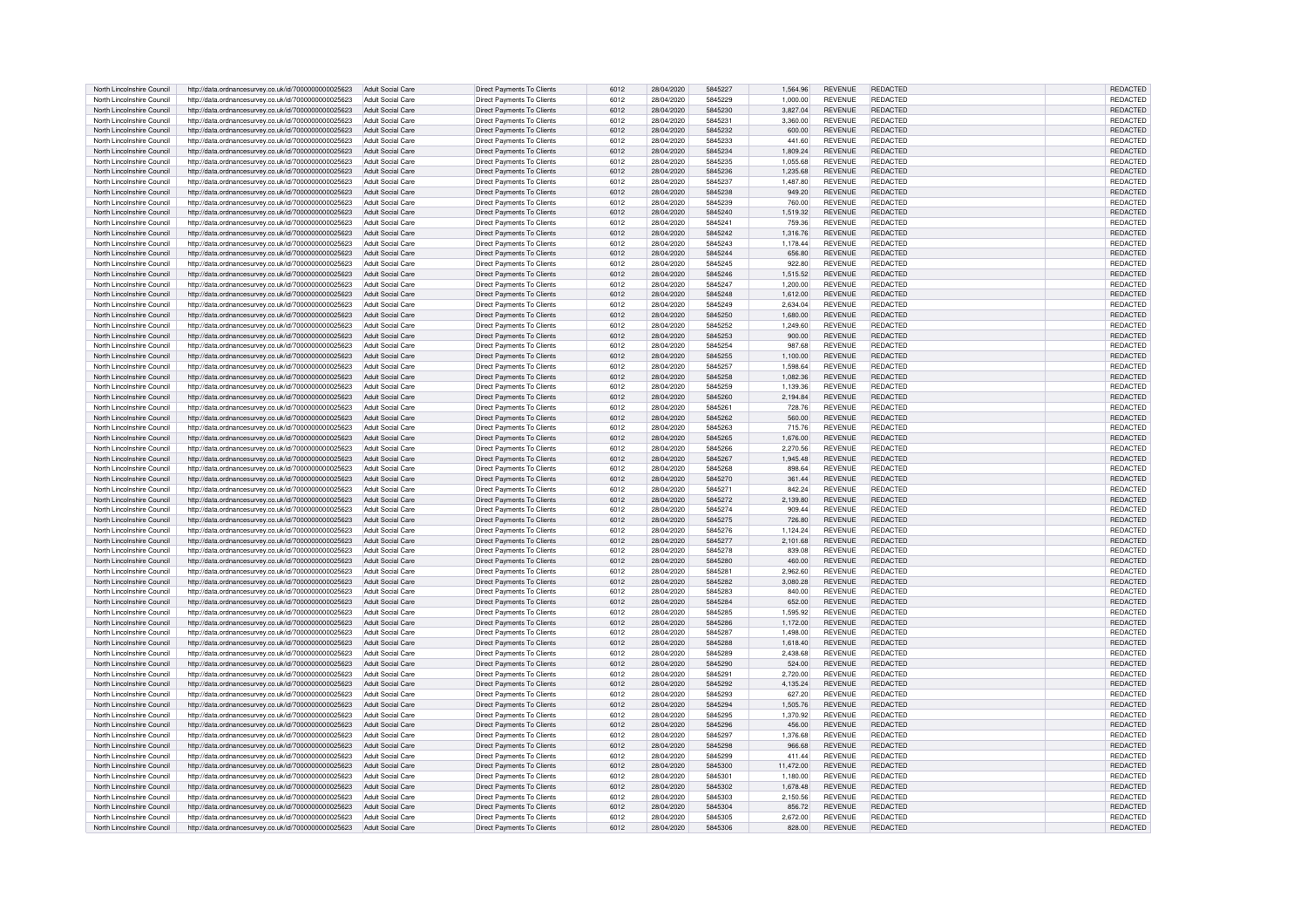| North Lincolnshire Council | http://data.ordnancesurvey.co.uk/id/7000000000025623 | Adult Social Care        | Direct Payments To Clients        | 6012 | 28/04/2020 | 5845227 | 1,564.96  | <b>REVENUE</b> | REDACTED        | REDACTED        |
|----------------------------|------------------------------------------------------|--------------------------|-----------------------------------|------|------------|---------|-----------|----------------|-----------------|-----------------|
| North Lincolnshire Council | http://data.ordnancesurvey.co.uk/id/7000000000025623 | Adult Social Care        | Direct Payments To Clients        | 6012 | 28/04/2020 | 5845229 | 1.000.00  | <b>REVENUE</b> | <b>REDACTED</b> | <b>REDACTED</b> |
|                            |                                                      |                          |                                   |      |            |         |           |                |                 |                 |
| North Lincolnshire Council | http://data.ordnancesurvey.co.uk/id/7000000000025623 | Adult Social Care        | Direct Payments To Clients        | 6012 | 28/04/2020 | 5845230 | 3,827.04  | <b>REVENUE</b> | REDACTED        | REDACTED        |
| North Lincolnshire Council | http://data.ordnancesurvey.co.uk/id/7000000000025623 | Adult Social Care        | Direct Payments To Clients        | 6012 | 28/04/2020 | 5845231 | 3,360.00  | <b>REVENUE</b> | <b>REDACTED</b> | REDACTED        |
| North Lincolnshire Council | http://data.ordnancesurvey.co.uk/id/7000000000025623 | Adult Social Care        | Direct Payments To Clients        | 6012 | 28/04/2020 | 5845232 | 600.00    | <b>REVENUE</b> | <b>REDACTED</b> | REDACTED        |
| North Lincolnshire Council | http://data.ordnancesurvey.co.uk/id/7000000000025623 | Adult Social Care        | Direct Payments To Clients        | 6012 | 28/04/2020 | 5845233 | 441.60    | <b>REVENUE</b> | <b>REDACTED</b> | REDACTED        |
| North Lincolnshire Council | http://data.ordnancesurvey.co.uk/id/7000000000025623 | Adult Social Care        | Direct Payments To Clients        | 6012 | 28/04/2020 | 5845234 | 1.809.24  | <b>REVENUE</b> | REDACTED        | <b>REDACTED</b> |
|                            |                                                      |                          |                                   |      |            | 5845235 |           |                |                 |                 |
| North Lincolnshire Council | http://data.ordnancesurvey.co.uk/id/7000000000025623 | Adult Social Care        | Direct Payments To Clients        | 6012 | 28/04/2020 |         | 1.055.68  | <b>REVENUE</b> | REDACTED        | REDACTED        |
| North Lincolnshire Council | http://data.ordnancesurvey.co.uk/id/7000000000025623 | <b>Adult Social Care</b> | Direct Payments To Clients        | 6012 | 28/04/2020 | 5845236 | 1.235.68  | <b>REVENUE</b> | <b>REDACTED</b> | REDACTED        |
| North Lincolnshire Council | http://data.ordnancesurvey.co.uk/id/7000000000025623 | <b>Adult Social Care</b> | Direct Payments To Clients        | 6012 | 28/04/2020 | 5845237 | 1,487.80  | <b>REVENUE</b> | REDACTED        | REDACTED        |
| North Lincolnshire Council | http://data.ordnancesurvey.co.uk/id/7000000000025623 | Adult Social Care        | Direct Payments To Clients        | 6012 | 28/04/2020 | 5845238 | 949.20    | <b>REVENUE</b> | <b>REDACTED</b> | REDACTED        |
| North Lincolnshire Council | http://data.ordnancesurvey.co.uk/id/7000000000025623 | Adult Social Care        | Direct Payments To Clients        | 6012 | 28/04/2020 | 5845239 | 760.00    | <b>REVENUE</b> | REDACTED        | REDACTED        |
| North Lincolnshire Council | http://data.ordnancesurvey.co.uk/id/7000000000025623 | Adult Social Care        | Direct Payments To Clients        | 6012 | 28/04/2020 | 5845240 | 1.519.32  | <b>REVENUE</b> | <b>REDACTED</b> | REDACTED        |
| North Lincolnshire Council | http://data.ordnancesurvey.co.uk/id/7000000000025623 | Adult Social Care        | Direct Payments To Clients        | 6012 | 28/04/2020 | 5845241 | 759.36    | <b>REVENUE</b> | <b>REDACTED</b> | REDACTED        |
|                            |                                                      |                          |                                   |      |            |         |           |                |                 |                 |
| North Lincolnshire Council | http://data.ordnancesurvey.co.uk/id/7000000000025623 | <b>Adult Social Care</b> | Direct Payments To Clients        | 6012 | 28/04/2020 | 5845242 | 1,316.76  | <b>REVENUE</b> | <b>REDACTED</b> | REDACTED        |
| North Lincolnshire Council | http://data.ordnancesurvey.co.uk/id/7000000000025623 | Adult Social Care        | Direct Payments To Clients        | 6012 | 28/04/2020 | 5845243 | 1,178.44  | <b>REVENUE</b> | <b>REDACTED</b> | REDACTED        |
| North Lincolnshire Council | http://data.ordnancesurvey.co.uk/id/7000000000025623 | Adult Social Care        | Direct Payments To Clients        | 6012 | 28/04/2020 | 5845244 | 656.80    | <b>REVENUE</b> | <b>REDACTED</b> | <b>REDACTED</b> |
| North Lincolnshire Council | http://data.ordnancesurvey.co.uk/id/7000000000025623 | Adult Social Care        | Direct Payments To Clients        | 6012 | 28/04/2020 | 5845245 | 922.80    | <b>REVENUE</b> | <b>REDACTED</b> | REDACTED        |
| North Lincolnshire Council | http://data.ordnancesurvey.co.uk/id/7000000000025623 | Adult Social Care        | Direct Payments To Clients        | 6012 | 28/04/2020 | 5845246 | 1.515.52  | <b>REVENUE</b> | REDACTED        | REDACTED        |
| North Lincolnshire Council | http://data.ordnancesurvey.co.uk/id/7000000000025623 | Adult Social Care        | Direct Payments To Clients        | 6012 | 28/04/2020 | 5845247 | 1,200.00  | <b>REVENUE</b> | REDACTED        | REDACTED        |
| North Lincolnshire Council | http://data.ordnancesurvey.co.uk/id/7000000000025623 | Adult Social Care        | Direct Payments To Clients        | 6012 | 28/04/2020 | 5845248 | 1,612.00  | <b>REVENUE</b> | REDACTED        | REDACTED        |
|                            |                                                      |                          |                                   |      |            |         |           |                |                 |                 |
| North Lincolnshire Council | http://data.ordnancesurvey.co.uk/id/7000000000025623 | Adult Social Care        | Direct Payments To Clients        | 6012 | 28/04/2020 | 5845249 | 2,634.04  | <b>REVENUE</b> | <b>REDACTED</b> | REDACTED        |
| North Lincolnshire Council | http://data.ordnancesurvey.co.uk/id/7000000000025623 | Adult Social Care        | Direct Payments To Clients        | 6012 | 28/04/2020 | 5845250 | 1.680.00  | <b>REVENUE</b> | REDACTED        | REDACTED        |
| North Lincolnshire Council | http://data.ordnancesurvev.co.uk/id/7000000000025623 | Adult Social Care        | Direct Payments To Clients        | 6012 | 28/04/2020 | 5845252 | 1.249.60  | <b>REVENUE</b> | REDACTED        | REDACTED        |
| North Lincolnshire Council | http://data.ordnancesurvey.co.uk/id/7000000000025623 | Adult Social Care        | Direct Payments To Clients        | 6012 | 28/04/2020 | 5845253 | 900.00    | <b>REVENUE</b> | <b>REDACTED</b> | REDACTED        |
| North Lincolnshire Council | http://data.ordnancesurvey.co.uk/id/7000000000025623 | Adult Social Care        | Direct Payments To Clients        | 6012 | 28/04/2020 | 5845254 | 987.68    | <b>REVENUE</b> | <b>REDACTED</b> | REDACTED        |
| North Lincolnshire Council | http://data.ordnancesurvey.co.uk/id/7000000000025623 | Adult Social Care        | Direct Payments To Clients        | 6012 | 28/04/2020 | 5845255 | 1,100.00  | <b>REVENUE</b> | REDACTED        | REDACTED        |
| North Lincolnshire Council | http://data.ordnancesurvey.co.uk/id/7000000000025623 | Adult Social Care        | Direct Payments To Clients        | 6012 | 28/04/2020 | 5845257 | 1.598.64  | <b>REVENUE</b> | <b>REDACTED</b> | REDACTED        |
| North Lincolnshire Council | http://data.ordnancesurvey.co.uk/id/7000000000025623 | Adult Social Care        | Direct Payments To Clients        | 6012 | 28/04/2020 | 5845258 | 1.082.36  | <b>REVENUE</b> | REDACTED        | REDACTED        |
|                            |                                                      |                          |                                   |      |            |         |           |                |                 |                 |
| North Lincolnshire Council | http://data.ordnancesurvey.co.uk/id/7000000000025623 | Adult Social Care        | Direct Payments To Clients        | 6012 | 28/04/2020 | 5845259 | 1,139.36  | <b>REVENUE</b> | REDACTED        | REDACTED        |
| North Lincolnshire Council | http://data.ordnancesurvey.co.uk/id/7000000000025623 | Adult Social Care        | Direct Payments To Clients        | 6012 | 28/04/2020 | 5845260 | 2.194.84  | <b>REVENUE</b> | <b>REDACTED</b> | REDACTED        |
| North Lincolnshire Council | http://data.ordnancesurvey.co.uk/id/7000000000025623 | Adult Social Care        | Direct Payments To Clients        | 6012 | 28/04/2020 | 5845261 | 728.76    | <b>REVENUE</b> | <b>REDACTED</b> | REDACTED        |
| North Lincolnshire Council | http://data.ordnancesurvey.co.uk/id/7000000000025623 | Adult Social Care        | Direct Payments To Clients        | 6012 | 28/04/2020 | 5845262 | 560.00    | <b>REVENUE</b> | <b>REDACTED</b> | REDACTED        |
| North Lincolnshire Council | http://data.ordnancesurvey.co.uk/id/7000000000025623 | Adult Social Care        | Direct Payments To Clients        | 6012 | 28/04/2020 | 5845263 | 715.76    | <b>REVENUE</b> | REDACTED        | REDACTED        |
| North Lincolnshire Council | http://data.ordnancesurvey.co.uk/id/7000000000025623 | <b>Adult Social Care</b> | Direct Payments To Clients        | 6012 | 28/04/2020 | 5845265 | 1.676.00  | <b>REVENUE</b> | REDACTED        | REDACTED        |
| North Lincolnshire Council | http://data.ordnancesurvey.co.uk/id/7000000000025623 | Adult Social Care        | Direct Payments To Clients        | 6012 | 28/04/2020 | 5845266 | 2,270.56  | <b>REVENUE</b> | <b>REDACTED</b> | REDACTED        |
| North Lincolnshire Council |                                                      | Adult Social Care        |                                   | 6012 | 28/04/2020 | 5845267 | 1.945.48  | <b>REVENUE</b> | <b>REDACTED</b> |                 |
|                            | http://data.ordnancesurvey.co.uk/id/7000000000025623 |                          | Direct Payments To Clients        |      |            |         |           |                |                 | REDACTED        |
| North Lincolnshire Council | http://data.ordnancesurvey.co.uk/id/7000000000025623 | Adult Social Care        | Direct Payments To Clients        | 6012 | 28/04/2020 | 5845268 | 898.64    | <b>REVENUE</b> | <b>REDACTED</b> | REDACTED        |
| North Lincolnshire Council | http://data.ordnancesurvey.co.uk/id/7000000000025623 | <b>Adult Social Care</b> | Direct Payments To Clients        | 6012 | 28/04/2020 | 5845270 | 361.44    | <b>REVENUE</b> | <b>REDACTED</b> | REDACTED        |
| North Lincolnshire Council | http://data.ordnancesurvey.co.uk/id/7000000000025623 | Adult Social Care        | Direct Payments To Clients        | 6012 | 28/04/2020 | 5845271 | 842.24    | <b>REVENUE</b> | <b>REDACTED</b> | REDACTED        |
| North Lincolnshire Council | http://data.ordnancesurvey.co.uk/id/7000000000025623 | <b>Adult Social Care</b> | Direct Payments To Clients        | 6012 | 28/04/2020 | 5845272 | 2.139.80  | <b>REVENUE</b> | <b>REDACTED</b> | REDACTED        |
| North Lincolnshire Council | http://data.ordnancesurvey.co.uk/id/7000000000025623 | Adult Social Care        | Direct Payments To Clients        | 6012 | 28/04/2020 | 5845274 | 909.44    | <b>REVENUE</b> | <b>REDACTED</b> | REDACTED        |
| North Lincolnshire Council | http://data.ordnancesurvey.co.uk/id/7000000000025623 | Adult Social Care        | Direct Payments To Clients        | 6012 | 28/04/2020 | 5845275 | 726.80    | <b>REVENUE</b> | <b>REDACTED</b> | REDACTED        |
| North Lincolnshire Council | http://data.ordnancesurvey.co.uk/id/7000000000025623 | Adult Social Care        | Direct Payments To Clients        | 6012 | 28/04/2020 | 5845276 | 1.124.24  | <b>REVENUE</b> | <b>REDACTED</b> | REDACTED        |
|                            |                                                      |                          |                                   |      |            |         |           |                |                 |                 |
| North Lincolnshire Council | http://data.ordnancesurvey.co.uk/id/7000000000025623 | Adult Social Care        | Direct Payments To Clients        | 6012 | 28/04/2020 | 5845277 | 2,101.68  | <b>REVENUE</b> | <b>REDACTED</b> | REDACTED        |
| North Lincolnshire Council | http://data.ordnancesurvey.co.uk/id/7000000000025623 | Adult Social Care        | Direct Payments To Clients        | 6012 | 28/04/2020 | 5845278 | 839.08    | <b>REVENUE</b> | <b>REDACTED</b> | REDACTED        |
| North Lincolnshire Council | http://data.ordnancesurvey.co.uk/id/7000000000025623 | Adult Social Care        | Direct Payments To Clients        | 6012 | 28/04/2020 | 5845280 | 460.00    | <b>REVENUE</b> | REDACTED        | REDACTED        |
| North Lincolnshire Council | http://data.ordnancesurvey.co.uk/id/7000000000025623 | Adult Social Care        | Direct Payments To Clients        | 6012 | 28/04/2020 | 5845281 | 2.962.60  | <b>REVENUE</b> | <b>REDACTED</b> | <b>REDACTED</b> |
| North Lincolnshire Council | http://data.ordnancesurvey.co.uk/id/7000000000025623 | Adult Social Care        | Direct Payments To Clients        | 6012 | 28/04/2020 | 5845282 | 3.080.28  | <b>REVENUE</b> | <b>REDACTED</b> | <b>REDACTED</b> |
| North Lincolnshire Council | http://data.ordnancesurvey.co.uk/id/7000000000025623 | Adult Social Care        | Direct Payments To Clients        | 6012 | 28/04/2020 | 5845283 | 840.00    | <b>REVENUE</b> | <b>REDACTED</b> | REDACTED        |
| North Lincolnshire Council | http://data.ordnancesurvey.co.uk/id/7000000000025623 | Adult Social Care        | Direct Payments To Clients        | 6012 | 28/04/2020 | 5845284 | 652.00    | <b>REVENUE</b> | REDACTED        | <b>REDACTED</b> |
| North Lincolnshire Council | http://data.ordnancesurvey.co.uk/id/7000000000025623 | Adult Social Care        | Direct Payments To Clients        | 6012 | 28/04/2020 | 5845285 | 1.595.92  | <b>REVENUE</b> | <b>REDACTED</b> | REDACTED        |
|                            |                                                      |                          |                                   |      |            |         |           |                |                 |                 |
| North Lincolnshire Council | http://data.ordnancesurvey.co.uk/id/7000000000025623 | Adult Social Care        | Direct Payments To Clients        | 6012 | 28/04/2020 | 5845286 | 1.172.00  | <b>REVENUE</b> | <b>REDACTED</b> | REDACTED        |
| North Lincolnshire Council | http://data.ordnancesurvey.co.uk/id/7000000000025623 | Adult Social Care        | Direct Payments To Clients        | 6012 | 28/04/2020 | 5845287 | 1.498.00  | <b>REVENUE</b> | <b>REDACTED</b> | REDACTED        |
| North Lincolnshire Council | http://data.ordnancesurvey.co.uk/id/7000000000025623 | Adult Social Care        | Direct Payments To Clients        | 6012 | 28/04/2020 | 5845288 | 1.618.40  | <b>REVENUE</b> | <b>REDACTED</b> | REDACTED        |
| North Lincolnshire Council | http://data.ordnancesurvey.co.uk/id/7000000000025623 | Adult Social Care        | Direct Payments To Clients        | 6012 | 28/04/2020 | 5845289 | 2.438.68  | <b>REVENUE</b> | <b>REDACTED</b> | REDACTED        |
| North Lincolnshire Council | http://data.ordnancesurvey.co.uk/id/7000000000025623 | <b>Adult Social Care</b> | Direct Payments To Clients        | 6012 | 28/04/2020 | 5845290 | 524.00    | <b>REVENUE</b> | REDACTED        | REDACTED        |
| North Lincolnshire Council | http://data.ordnancesurvey.co.uk/id/7000000000025623 | Adult Social Care        | Direct Payments To Clients        | 6012 | 28/04/2020 | 5845291 | 2.720.00  | <b>REVENUE</b> | REDACTED        | REDACTED        |
| North Lincolnshire Council | http://data.ordnancesurvey.co.uk/id/7000000000025623 | <b>Adult Social Care</b> | Direct Payments To Clients        | 6012 | 28/04/2020 | 5845292 | 4.135.24  | <b>REVENUE</b> | REDACTED        | REDACTED        |
| North Lincolnshire Council |                                                      | Adult Social Care        | Direct Payments To Clients        | 6012 | 28/04/2020 | 5845293 | 627.20    | <b>REVENUE</b> | <b>REDACTED</b> | <b>REDACTED</b> |
|                            | http://data.ordnancesurvey.co.uk/id/7000000000025623 |                          |                                   |      |            |         |           |                |                 |                 |
| North Lincolnshire Council | http://data.ordnancesurvey.co.uk/id/7000000000025623 | <b>Adult Social Care</b> | Direct Payments To Clients        | 6012 | 28/04/2020 | 5845294 | 1,505.76  | <b>REVENUE</b> | <b>REDACTED</b> | REDACTED        |
| North Lincolnshire Council | http://data.ordnancesurvey.co.uk/id/7000000000025623 | Adult Social Care        | Direct Payments To Clients        | 6012 | 28/04/2020 | 5845295 | 1,370.92  | <b>REVENUE</b> | <b>REDACTED</b> | REDACTED        |
| North Lincolnshire Council | http://data.ordnancesurvey.co.uk/id/7000000000025623 | Adult Social Care        | <b>Direct Payments To Clients</b> | 6012 | 28/04/2020 | 5845296 | 456.00    | <b>REVENUE</b> | <b>REDACTED</b> | <b>REDACTED</b> |
| North Lincolnshire Council | http://data.ordnancesurvey.co.uk/id/7000000000025623 | Adult Social Care        | Direct Payments To Clients        | 6012 | 28/04/2020 | 5845297 | 1,376.68  | <b>REVENUE</b> | REDACTED        | REDACTED        |
| North Lincolnshire Council | http://data.ordnancesurvey.co.uk/id/7000000000025623 | Adult Social Care        | Direct Payments To Clients        | 6012 | 28/04/2020 | 5845298 | 966.68    | <b>REVENUE</b> | REDACTED        | <b>REDACTED</b> |
| North Lincolnshire Council | http://data.ordnancesurvey.co.uk/id/7000000000025623 | Adult Social Care        | Direct Payments To Clients        | 6012 | 28/04/2020 | 5845299 | 411.44    | <b>REVENUE</b> | REDACTED        | REDACTED        |
| North Lincolnshire Council | http://data.ordnancesurvey.co.uk/id/7000000000025623 | Adult Social Care        | Direct Payments To Clients        | 6012 | 28/04/2020 | 5845300 | 11,472.00 | <b>REVENUE</b> | REDACTED        | REDACTED        |
| North Lincolnshire Council | http://data.ordnancesurvey.co.uk/id/7000000000025623 | Adult Social Care        | Direct Payments To Clients        | 6012 | 28/04/2020 | 5845301 | 1,180.00  | <b>REVENUE</b> | REDACTED        | REDACTED        |
| North Lincolnshire Council |                                                      | Adult Social Care        |                                   | 6012 |            | 5845302 |           | <b>REVENUE</b> | REDACTED        |                 |
|                            | http://data.ordnancesurvey.co.uk/id/7000000000025623 |                          | Direct Payments To Clients        |      | 28/04/2020 |         | 1,678.48  |                |                 | REDACTED        |
| North Lincolnshire Council | http://data.ordnancesurvey.co.uk/id/7000000000025623 | Adult Social Care        | Direct Payments To Clients        | 6012 | 28/04/2020 | 5845303 | 2,150.56  | <b>REVENUE</b> | REDACTED        | REDACTED        |
| North Lincolnshire Council | http://data.ordnancesurvey.co.uk/id/7000000000025623 | Adult Social Care        | Direct Payments To Clients        | 6012 | 28/04/2020 | 5845304 | 856.72    | <b>REVENUE</b> | <b>REDACTED</b> | REDACTED        |
| North Lincolnshire Council | http://data.ordnancesurvey.co.uk/id/7000000000025623 | Adult Social Care        | Direct Payments To Clients        | 6012 | 28/04/2020 | 5845305 | 2.672.00  | <b>REVENUE</b> | REDACTED        | REDACTED        |
| North Lincolnshire Council | http://data.ordnancesurvey.co.uk/id/7000000000025623 | Adult Social Care        | Direct Payments To Clients        | 6012 | 28/04/2020 | 5845306 | 828.00    | <b>REVENUE</b> | <b>REDACTED</b> | <b>REDACTED</b> |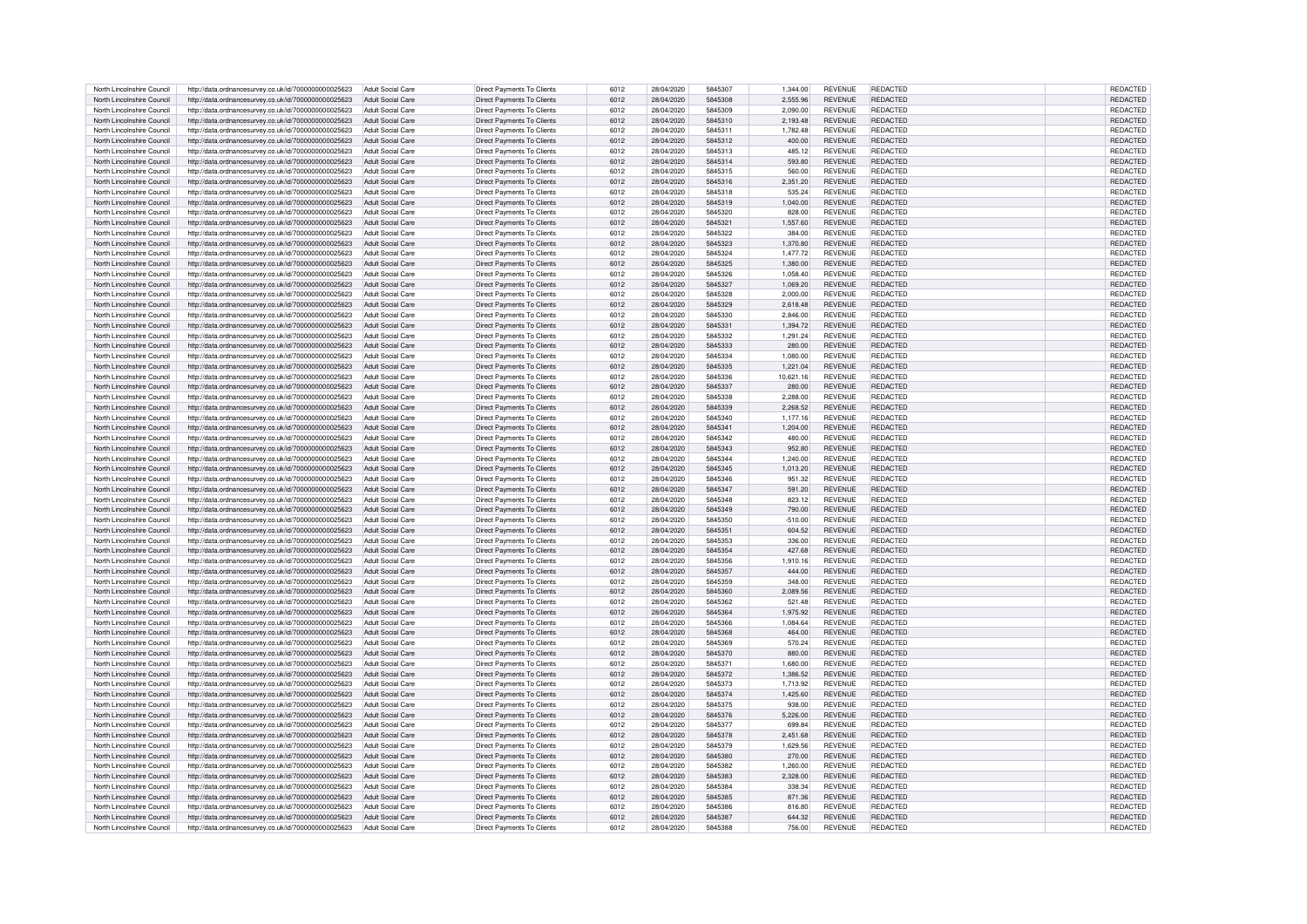| North Lincolnshire Council | http://data.ordnancesurvey.co.uk/id/7000000000025623 | Adult Social Care        | Direct Payments To Clients        | 6012 | 28/04/2020 | 5845307            | 1.344.00  | <b>REVENUE</b> | REDACTED        | REDACTED        |
|----------------------------|------------------------------------------------------|--------------------------|-----------------------------------|------|------------|--------------------|-----------|----------------|-----------------|-----------------|
| North Lincolnshire Council | http://data.ordnancesurvey.co.uk/id/7000000000025623 | Adult Social Care        | Direct Payments To Clients        | 6012 | 28/04/2020 | 5845308            | 2.555.96  | <b>REVENUE</b> | <b>REDACTED</b> | <b>REDACTED</b> |
| North Lincolnshire Council | http://data.ordnancesurvey.co.uk/id/7000000000025623 | Adult Social Care        | Direct Payments To Clients        | 6012 | 28/04/2020 | 5845309            | 2.090.00  | <b>REVENUE</b> | REDACTED        | REDACTED        |
| North Lincolnshire Council | http://data.ordnancesurvey.co.uk/id/7000000000025623 | Adult Social Care        | Direct Payments To Clients        | 6012 | 28/04/2020 | 5845310            | 2,193.48  | <b>REVENUE</b> | REDACTED        | REDACTED        |
|                            |                                                      |                          |                                   |      |            |                    |           |                |                 |                 |
| North Lincolnshire Council | http://data.ordnancesurvey.co.uk/id/7000000000025623 | Adult Social Care        | Direct Payments To Clients        | 6012 | 28/04/2020 | 5845311            | 1.782.48  | <b>REVENUE</b> | <b>REDACTED</b> | REDACTED        |
| North Lincolnshire Council | http://data.ordnancesurvey.co.uk/id/7000000000025623 | Adult Social Care        | Direct Payments To Clients        | 6012 | 28/04/2020 | 5845312            | 400.00    | <b>REVENUE</b> | <b>REDACTED</b> | REDACTED        |
| North Lincolnshire Council | http://data.ordnancesurvey.co.uk/id/7000000000025623 | Adult Social Care        | Direct Payments To Clients        | 6012 | 28/04/2020 | 5845313            | 485.12    | <b>REVENUE</b> | <b>REDACTED</b> | <b>REDACTED</b> |
| North Lincolnshire Council | http://data.ordnancesurvey.co.uk/id/7000000000025623 | <b>Adult Social Care</b> | Direct Payments To Clients        | 6012 | 28/04/2020 | 5845314            | 593.80    | <b>REVENUE</b> | REDACTED        | REDACTED        |
| North Lincolnshire Council | http://data.ordnancesurvey.co.uk/id/7000000000025623 | Adult Social Care        | Direct Payments To Clients        | 6012 | 28/04/2020 | 5845315            | 560.00    | <b>REVENUE</b> | <b>REDACTED</b> | REDACTED        |
| North Lincolnshire Council | http://data.ordnancesurvey.co.uk/id/7000000000025623 | Adult Social Care        | Direct Payments To Clients        | 6012 | 28/04/2020 | 5845316            | 2,351.20  | <b>REVENUE</b> | REDACTED        | REDACTED        |
| North Lincolnshire Council | http://data.ordnancesurvey.co.uk/id/7000000000025623 | Adult Social Care        | Direct Payments To Clients        | 6012 | 28/04/2020 | 5845318            | 535.24    | <b>REVENUE</b> | <b>REDACTED</b> | REDACTED        |
| North Lincolnshire Council | http://data.ordnancesurvey.co.uk/id/7000000000025623 | <b>Adult Social Care</b> | Direct Payments To Clients        | 6012 | 28/04/2020 | 5845319            | 1.040.00  | <b>REVENUE</b> | REDACTED        | REDACTED        |
| North Lincolnshire Council | http://data.ordnancesurvey.co.uk/id/7000000000025623 | Adult Social Care        | Direct Payments To Clients        | 6012 | 28/04/2020 | 5845320            | 828.00    | <b>REVENUE</b> | <b>REDACTED</b> | REDACTED        |
| North Lincolnshire Council | http://data.ordnancesurvey.co.uk/id/7000000000025623 | Adult Social Care        | Direct Payments To Clients        | 6012 | 28/04/2020 | 5845321            | 1.557.60  | <b>REVENUE</b> | <b>REDACTED</b> | REDACTED        |
|                            |                                                      |                          |                                   |      |            |                    |           |                | <b>REDACTED</b> |                 |
| North Lincolnshire Council | http://data.ordnancesurvey.co.uk/id/7000000000025623 | Adult Social Care        | Direct Payments To Clients        | 6012 | 28/04/2020 | 5845322<br>5845323 | 384.00    | <b>REVENUE</b> | <b>REDACTED</b> | REDACTED        |
| North Lincolnshire Council | http://data.ordnancesurvey.co.uk/id/7000000000025623 | <b>Adult Social Care</b> | Direct Payments To Clients        | 6012 | 28/04/2020 |                    | 1,370.80  | <b>REVENUE</b> |                 | REDACTED        |
| North Lincolnshire Council | http://data.ordnancesurvey.co.uk/id/7000000000025623 | Adult Social Care        | Direct Payments To Clients        | 6012 | 28/04/2020 | 5845324            | 1.477.72  | <b>REVENUE</b> | <b>REDACTED</b> | REDACTED        |
| North Lincolnshire Council | http://data.ordnancesurvey.co.uk/id/7000000000025623 | Adult Social Care        | Direct Payments To Clients        | 6012 | 28/04/2020 | 5845325            | 1.380.00  | <b>REVENUE</b> | <b>REDACTED</b> | REDACTED        |
| North Lincolnshire Council | http://data.ordnancesurvey.co.uk/id/7000000000025623 | Adult Social Care        | Direct Payments To Clients        | 6012 | 28/04/2020 | 5845326            | 1.058.40  | <b>REVENUE</b> | <b>REDACTED</b> | REDACTED        |
| North Lincolnshire Council | http://data.ordnancesurvey.co.uk/id/7000000000025623 | Adult Social Care        | Direct Payments To Clients        | 6012 | 28/04/2020 | 5845327            | 1.069.20  | <b>REVENUE</b> | REDACTED        | REDACTED        |
| North Lincolnshire Council | http://data.ordnancesurvey.co.uk/id/7000000000025623 | Adult Social Care        | Direct Payments To Clients        | 6012 | 28/04/2020 | 5845328            | 2,000.00  | <b>REVENUE</b> | <b>REDACTED</b> | REDACTED        |
| North Lincolnshire Council | http://data.ordnancesurvey.co.uk/id/7000000000025623 | Adult Social Care        | Direct Payments To Clients        | 6012 | 28/04/2020 | 5845329            | 2,618.48  | <b>REVENUE</b> | <b>REDACTED</b> | REDACTED        |
| North Lincolnshire Council | http://data.ordnancesurvey.co.uk/id/7000000000025623 | Adult Social Care        | Direct Payments To Clients        | 6012 | 28/04/2020 | 5845330            | 2.846.00  | <b>REVENUE</b> | REDACTED        | REDACTED        |
| North Lincolnshire Council | http://data.ordnancesurvev.co.uk/id/7000000000025623 | Adult Social Care        | Direct Payments To Clients        | 6012 | 28/04/2020 | 5845331            | 1.394.72  | <b>REVENUE</b> | REDACTED        | REDACTED        |
| North Lincolnshire Council | http://data.ordnancesurvey.co.uk/id/7000000000025623 | Adult Social Care        | Direct Payments To Clients        | 6012 | 28/04/2020 | 5845332            | 1,291.24  | <b>REVENUE</b> | <b>REDACTED</b> | REDACTED        |
| North Lincolnshire Council | http://data.ordnancesurvey.co.uk/id/7000000000025623 | Adult Social Care        | Direct Payments To Clients        | 6012 | 28/04/2020 | 5845333            | 280.00    | <b>REVENUE</b> | <b>REDACTED</b> | REDACTED        |
|                            |                                                      |                          |                                   |      |            |                    |           |                |                 |                 |
| North Lincolnshire Council | http://data.ordnancesurvey.co.uk/id/7000000000025623 | Adult Social Care        | Direct Payments To Clients        | 6012 | 28/04/2020 | 5845334            | 1,080.00  | <b>REVENUE</b> | <b>REDACTED</b> | REDACTED        |
| North Lincolnshire Council | http://data.ordnancesurvey.co.uk/id/7000000000025623 | Adult Social Care        | Direct Payments To Clients        | 6012 | 28/04/2020 | 5845335            | 1.221.04  | <b>REVENUE</b> | REDACTED        | REDACTED        |
| North Lincolnshire Council | http://data.ordnancesurvey.co.uk/id/7000000000025623 | Adult Social Care        | Direct Payments To Clients        | 6012 | 28/04/2020 | 5845336            | 10.621.16 | <b>REVENUE</b> | REDACTED        | REDACTED        |
| North Lincolnshire Council | http://data.ordnancesurvey.co.uk/id/7000000000025623 | Adult Social Care        | Direct Payments To Clients        | 6012 | 28/04/2020 | 5845337            | 280.00    | <b>REVENUE</b> | REDACTED        | REDACTED        |
| North Lincolnshire Council | http://data.ordnancesurvey.co.uk/id/7000000000025623 | Adult Social Care        | Direct Payments To Clients        | 6012 | 28/04/2020 | 5845338            | 2,288.00  | <b>REVENUE</b> | <b>REDACTED</b> | REDACTED        |
| North Lincolnshire Council | http://data.ordnancesurvey.co.uk/id/7000000000025623 | Adult Social Care        | Direct Payments To Clients        | 6012 | 28/04/2020 | 5845339            | 2.268.52  | <b>REVENUE</b> | <b>REDACTED</b> | REDACTED        |
| North Lincolnshire Council | http://data.ordnancesurvey.co.uk/id/7000000000025623 | Adult Social Care        | Direct Payments To Clients        | 6012 | 28/04/2020 | 5845340            | 1,177.16  | <b>REVENUE</b> | <b>REDACTED</b> | REDACTED        |
| North Lincolnshire Council | http://data.ordnancesurvey.co.uk/id/7000000000025623 | Adult Social Care        | Direct Payments To Clients        | 6012 | 28/04/2020 | 5845341            | 1,204.00  | <b>REVENUE</b> | REDACTED        | REDACTED        |
| North Lincolnshire Council | http://data.ordnancesurvey.co.uk/id/7000000000025623 | Adult Social Care        | Direct Payments To Clients        | 6012 | 28/04/2020 | 5845342            | 480.00    | <b>REVENUE</b> | REDACTED        | REDACTED        |
| North Lincolnshire Council | http://data.ordnancesurvey.co.uk/id/7000000000025623 | <b>Adult Social Care</b> | Direct Payments To Clients        | 6012 | 28/04/2020 | 5845343            | 952.80    | <b>REVENUE</b> | <b>REDACTED</b> | REDACTED        |
| North Lincolnshire Council |                                                      | Adult Social Care        |                                   | 6012 | 28/04/2020 | 5845344            | 1.240.00  | <b>REVENUE</b> | <b>REDACTED</b> |                 |
|                            | http://data.ordnancesurvey.co.uk/id/7000000000025623 |                          | Direct Payments To Clients        |      |            |                    |           |                |                 | REDACTED        |
| North Lincolnshire Council | http://data.ordnancesurvey.co.uk/id/7000000000025623 | <b>Adult Social Care</b> | Direct Payments To Clients        | 6012 | 28/04/2020 | 5845345            | 1,013.20  | <b>REVENUE</b> | <b>REDACTED</b> | REDACTED        |
| North Lincolnshire Council | http://data.ordnancesurvey.co.uk/id/7000000000025623 | Adult Social Care        | Direct Payments To Clients        | 6012 | 28/04/2020 | 5845346            | 951.32    | <b>REVENUE</b> | <b>REDACTED</b> | REDACTED        |
| North Lincolnshire Council | http://data.ordnancesurvey.co.uk/id/7000000000025623 | Adult Social Care        | Direct Payments To Clients        | 6012 | 28/04/2020 | 5845347            | 591.20    | <b>REVENUE</b> | REDACTED        | <b>REDACTED</b> |
| North Lincolnshire Council | http://data.ordnancesurvey.co.uk/id/7000000000025623 | Adult Social Care        | Direct Payments To Clients        | 6012 | 28/04/2020 | 5845348            | 823.12    | <b>REVENUE</b> | <b>REDACTED</b> | REDACTED        |
| North Lincolnshire Council | http://data.ordnancesurvey.co.uk/id/7000000000025623 | Adult Social Care        | Direct Payments To Clients        | 6012 | 28/04/2020 | 5845349            | 790.00    | <b>REVENUE</b> | <b>REDACTED</b> | REDACTED        |
| North Lincolnshire Council | http://data.ordnancesurvey.co.uk/id/7000000000025623 | Adult Social Care        | Direct Payments To Clients        | 6012 | 28/04/2020 | 5845350            | $-510.00$ | <b>REVENUE</b> | <b>REDACTED</b> | REDACTED        |
| North Lincolnshire Council | http://data.ordnancesurvey.co.uk/id/7000000000025623 | Adult Social Care        | Direct Payments To Clients        | 6012 | 28/04/2020 | 5845351            | 604.52    | <b>REVENUE</b> | <b>REDACTED</b> | REDACTED        |
| North Lincolnshire Council | http://data.ordnancesurvey.co.uk/id/7000000000025623 | Adult Social Care        | Direct Payments To Clients        | 6012 | 28/04/2020 | 5845353            | 336.00    | <b>REVENUE</b> | <b>REDACTED</b> | REDACTED        |
| North Lincolnshire Council | http://data.ordnancesurvey.co.uk/id/7000000000025623 | Adult Social Care        | Direct Payments To Clients        | 6012 | 28/04/2020 | 5845354            | 427.68    | <b>REVENUE</b> | <b>REDACTED</b> | REDACTED        |
| North Lincolnshire Council | http://data.ordnancesurvey.co.uk/id/7000000000025623 | Adult Social Care        | Direct Payments To Clients        | 6012 | 28/04/2020 | 5845356            | 1.910.16  | <b>REVENUE</b> | REDACTED        | REDACTED        |
| North Lincolnshire Council | http://data.ordnancesurvey.co.uk/id/7000000000025623 | Adult Social Care        | Direct Payments To Clients        | 6012 | 28/04/2020 | 5845357            | 444.00    | <b>REVENUE</b> | <b>REDACTED</b> | <b>REDACTED</b> |
| North Lincolnshire Council | http://data.ordnancesurvey.co.uk/id/7000000000025623 | Adult Social Care        | Direct Payments To Clients        | 6012 | 28/04/2020 | 5845359            | 348.00    | <b>REVENUE</b> | <b>REDACTED</b> | <b>REDACTED</b> |
| North Lincolnshire Council | http://data.ordnancesurvey.co.uk/id/7000000000025623 | Adult Social Care        | Direct Payments To Clients        | 6012 | 28/04/2020 | 5845360            | 2,089.56  | <b>REVENUE</b> | <b>REDACTED</b> | REDACTED        |
| North Lincolnshire Council | http://data.ordnancesurvey.co.uk/id/7000000000025623 | Adult Social Care        | Direct Payments To Clients        | 6012 | 28/04/2020 | 5845362            | 521.48    | <b>REVENUE</b> | <b>REDACTED</b> | <b>REDACTED</b> |
| North Lincolnshire Council | http://data.ordnancesurvey.co.uk/id/7000000000025623 | Adult Social Care        | Direct Payments To Clients        | 6012 | 28/04/2020 | 5845364            | 1.975.92  | <b>REVENUE</b> | <b>REDACTED</b> | REDACTED        |
|                            |                                                      |                          |                                   |      |            |                    |           |                |                 |                 |
| North Lincolnshire Council | http://data.ordnancesurvey.co.uk/id/7000000000025623 | Adult Social Care        | Direct Payments To Clients        | 6012 | 28/04/2020 | 5845366            | 1.084.64  | <b>REVENUE</b> | <b>REDACTED</b> | REDACTED        |
| North Lincolnshire Council | http://data.ordnancesurvey.co.uk/id/7000000000025623 | Adult Social Care        | Direct Payments To Clients        | 6012 | 28/04/2020 | 5845368            | 464.00    | <b>REVENUE</b> | <b>REDACTED</b> | REDACTED        |
| North Lincolnshire Council | http://data.ordnancesurvey.co.uk/id/7000000000025623 | Adult Social Care        | Direct Payments To Clients        | 6012 | 28/04/2020 | 5845369            | 570.24    | <b>REVENUE</b> | <b>REDACTED</b> | REDACTED        |
| North Lincolnshire Council | http://data.ordnancesurvey.co.uk/id/7000000000025623 | Adult Social Care        | Direct Payments To Clients        | 6012 | 28/04/2020 | 5845370            | 880.00    | <b>REVENUE</b> | <b>REDACTED</b> | REDACTED        |
| North Lincolnshire Council | http://data.ordnancesurvey.co.uk/id/7000000000025623 | Adult Social Care        | Direct Payments To Clients        | 6012 | 28/04/2020 | 5845371            | 1,680.00  | <b>REVENUE</b> | REDACTED        | REDACTED        |
| North Lincolnshire Council | http://data.ordnancesurvey.co.uk/id/7000000000025623 | <b>Adult Social Care</b> | Direct Payments To Clients        | 6012 | 28/04/2020 | 5845372            | 1.386.52  | <b>REVENUE</b> | REDACTED        | REDACTED        |
| North Lincolnshire Council | http://data.ordnancesurvey.co.uk/id/7000000000025623 | Adult Social Care        | Direct Payments To Clients        | 6012 | 28/04/2020 | 5845373            | 1.713.92  | <b>REVENUE</b> | REDACTED        | REDACTED        |
| North Lincolnshire Council | http://data.ordnancesurvey.co.uk/id/7000000000025623 | Adult Social Care        | Direct Payments To Clients        | 6012 | 28/04/2020 | 5845374            | 1.425.60  | <b>REVENUE</b> | <b>REDACTED</b> | <b>REDACTED</b> |
| North Lincolnshire Council | http://data.ordnancesurvey.co.uk/id/7000000000025623 | Adult Social Care        | Direct Payments To Clients        | 6012 | 28/04/2020 | 5845375            | 938.00    | <b>REVENUE</b> | <b>REDACTED</b> | REDACTED        |
| North Lincolnshire Council | http://data.ordnancesurvey.co.uk/id/7000000000025623 | Adult Social Care        | Direct Payments To Clients        | 6012 | 28/04/2020 | 5845376            | 5,226.00  | <b>REVENUE</b> | <b>REDACTED</b> | REDACTED        |
| North Lincolnshire Council | http://data.ordnancesurvey.co.uk/id/7000000000025623 | Adult Social Care        | Direct Payments To Clients        | 6012 | 28/04/2020 | 5845377            | 699.84    | <b>REVENUE</b> | <b>REDACTED</b> | REDACTED        |
| North Lincolnshire Council | http://data.ordnancesurvey.co.uk/id/7000000000025623 | Adult Social Care        | Direct Payments To Clients        | 6012 | 28/04/2020 | 5845378            | 2,451.68  | <b>REVENUE</b> | <b>REDACTED</b> | REDACTED        |
| North Lincolnshire Council |                                                      | Adult Social Care        | Direct Payments To Clients        | 6012 | 28/04/2020 | 5845379            | 1.629.56  | <b>REVENUE</b> | <b>REDACTED</b> | <b>REDACTED</b> |
|                            | http://data.ordnancesurvey.co.uk/id/7000000000025623 |                          |                                   |      |            |                    |           |                |                 |                 |
| North Lincolnshire Council | http://data.ordnancesurvey.co.uk/id/7000000000025623 | Adult Social Care        | Direct Payments To Clients        | 6012 | 28/04/2020 | 5845380            | 270.00    | <b>REVENUE</b> | REDACTED        | <b>REDACTED</b> |
| North Lincolnshire Council | http://data.ordnancesurvey.co.uk/id/7000000000025623 | Adult Social Care        | Direct Payments To Clients        | 6012 | 28/04/2020 | 5845382            | 1.260.00  | <b>REVENUE</b> | REDACTED        | REDACTED        |
| North Lincolnshire Council | http://data.ordnancesurvey.co.uk/id/7000000000025623 | Adult Social Care        | Direct Payments To Clients        | 6012 | 28/04/2020 | 5845383            | 2,328.00  | <b>REVENUE</b> | REDACTED        | REDACTED        |
| North Lincolnshire Council | http://data.ordnancesurvey.co.uk/id/7000000000025623 | Adult Social Care        | Direct Payments To Clients        | 6012 | 28/04/2020 | 5845384            | 338.34    | <b>REVENUE</b> | REDACTED        | REDACTED        |
| North Lincolnshire Council | http://data.ordnancesurvey.co.uk/id/7000000000025623 | Adult Social Care        | Direct Payments To Clients        | 6012 | 28/04/2020 | 5845385            | 871.36    | <b>REVENUE</b> | REDACTED        | REDACTED        |
| North Lincolnshire Council | http://data.ordnancesurvey.co.uk/id/7000000000025623 | Adult Social Care        | Direct Payments To Clients        | 6012 | 28/04/2020 | 5845386            | 816.80    | <b>REVENUE</b> | <b>REDACTED</b> | <b>REDACTED</b> |
| North Lincolnshire Council | http://data.ordnancesurvey.co.uk/id/7000000000025623 | Adult Social Care        | <b>Direct Payments To Clients</b> | 6012 | 28/04/2020 | 5845387            | 644.32    | <b>REVENUE</b> | REDACTED        | REDACTED        |
| North Lincolnshire Council | http://data.ordnancesurvey.co.uk/id/7000000000025623 | Adult Social Care        | Direct Payments To Clients        | 6012 | 28/04/2020 | 5845388            | 756.00    | <b>REVENUE</b> | <b>REDACTED</b> | REDACTED        |
|                            |                                                      |                          |                                   |      |            |                    |           |                |                 |                 |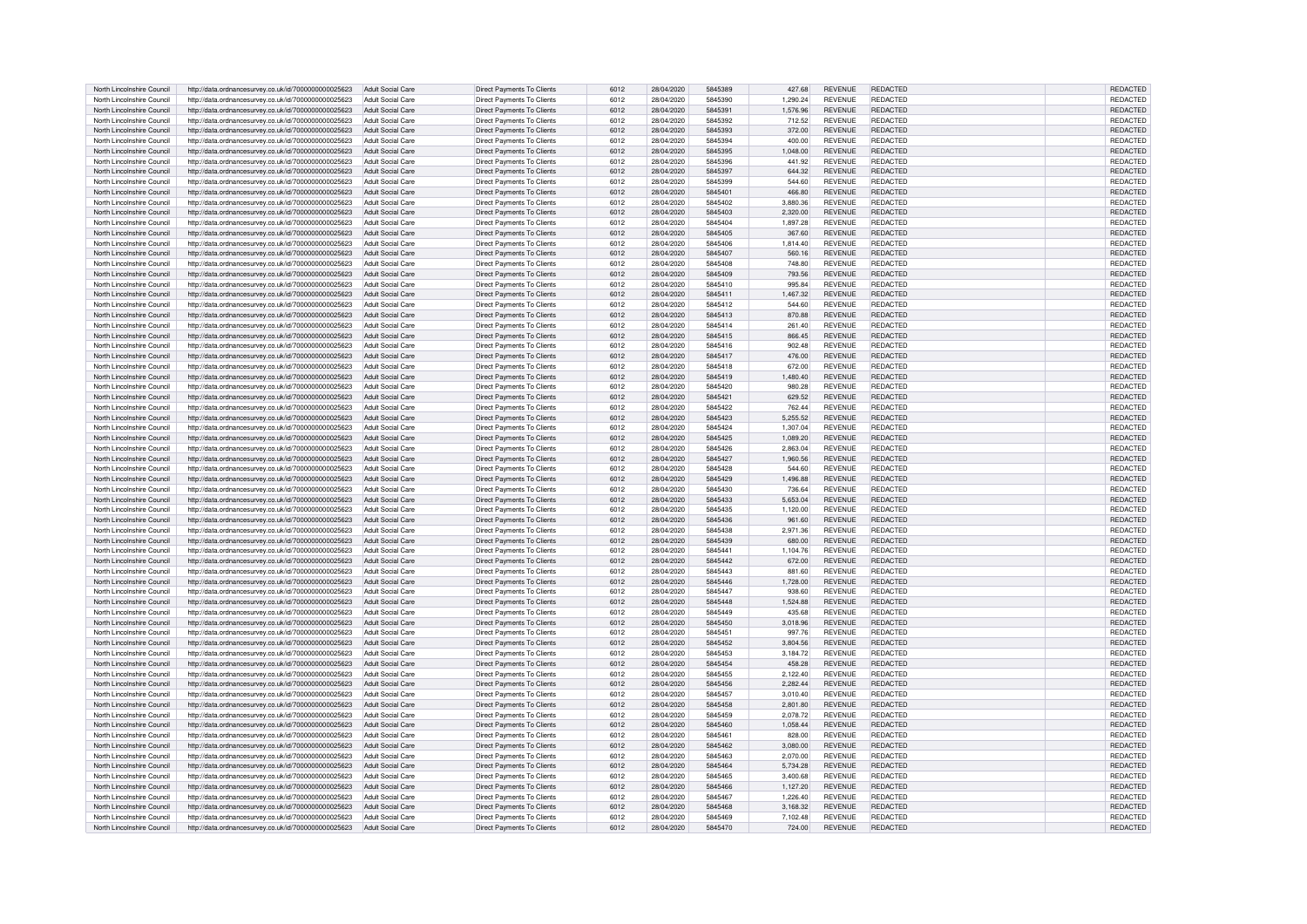| North Lincolnshire Council | http://data.ordnancesurvey.co.uk/id/7000000000025623 | Adult Social Care        | Direct Payments To Clients        | 6012 | 28/04/2020 | 5845389 | 427.68   | <b>REVENUE</b> | REDACTED        | REDACTED        |
|----------------------------|------------------------------------------------------|--------------------------|-----------------------------------|------|------------|---------|----------|----------------|-----------------|-----------------|
| North Lincolnshire Council | http://data.ordnancesurvey.co.uk/id/7000000000025623 | Adult Social Care        | Direct Payments To Clients        | 6012 | 28/04/2020 | 5845390 | 1.290.24 | <b>REVENUE</b> | <b>REDACTED</b> | <b>REDACTED</b> |
| North Lincolnshire Council | http://data.ordnancesurvey.co.uk/id/7000000000025623 | Adult Social Care        | Direct Payments To Clients        | 6012 | 28/04/2020 | 5845391 | 1.576.96 | <b>REVENUE</b> | REDACTED        | REDACTED        |
| North Lincolnshire Council | http://data.ordnancesurvey.co.uk/id/7000000000025623 | Adult Social Care        | Direct Payments To Clients        | 6012 | 28/04/2020 | 5845392 | 712.52   | <b>REVENUE</b> | <b>REDACTED</b> | REDACTED        |
|                            |                                                      |                          |                                   |      |            |         |          |                |                 |                 |
| North Lincolnshire Council | http://data.ordnancesurvey.co.uk/id/7000000000025623 | Adult Social Care        | Direct Payments To Clients        | 6012 | 28/04/2020 | 5845393 | 372.00   | <b>REVENUE</b> | <b>REDACTED</b> | REDACTED        |
| North Lincolnshire Council | http://data.ordnancesurvey.co.uk/id/7000000000025623 | Adult Social Care        | Direct Payments To Clients        | 6012 | 28/04/2020 | 5845394 | 400.00   | <b>REVENUE</b> | <b>REDACTED</b> | REDACTED        |
| North Lincolnshire Council | http://data.ordnancesurvey.co.uk/id/7000000000025623 | Adult Social Care        | Direct Payments To Clients        | 6012 | 28/04/2020 | 5845395 | 1.048.00 | <b>REVENUE</b> | REDACTED        | REDACTED        |
| North Lincolnshire Council | http://data.ordnancesurvey.co.uk/id/7000000000025623 | Adult Social Care        | Direct Payments To Clients        | 6012 | 28/04/2020 | 5845396 | 441.92   | <b>REVENUE</b> | REDACTED        | REDACTED        |
| North Lincolnshire Council | http://data.ordnancesurvey.co.uk/id/7000000000025623 | <b>Adult Social Care</b> | Direct Payments To Clients        | 6012 | 28/04/2020 | 5845397 | 644.32   | <b>REVENUE</b> | <b>REDACTED</b> | REDACTED        |
| North Lincolnshire Council | http://data.ordnancesurvey.co.uk/id/7000000000025623 | <b>Adult Social Care</b> | Direct Payments To Clients        | 6012 | 28/04/2020 | 5845399 | 544.60   | <b>REVENUE</b> | REDACTED        | REDACTED        |
| North Lincolnshire Council | http://data.ordnancesurvey.co.uk/id/7000000000025623 | Adult Social Care        | Direct Payments To Clients        | 6012 | 28/04/2020 | 5845401 | 466.80   | <b>REVENUE</b> | <b>REDACTED</b> | REDACTED        |
| North Lincolnshire Council | http://data.ordnancesurvey.co.uk/id/7000000000025623 | Adult Social Care        | Direct Payments To Clients        | 6012 | 28/04/2020 | 5845402 | 3,880,36 | <b>REVENUE</b> | REDACTED        | REDACTED        |
| North Lincolnshire Council | http://data.ordnancesurvey.co.uk/id/7000000000025623 | Adult Social Care        | Direct Payments To Clients        | 6012 | 28/04/2020 | 5845403 | 2.320.00 | <b>REVENUE</b> | <b>REDACTED</b> | REDACTED        |
| North Lincolnshire Council | http://data.ordnancesurvey.co.uk/id/7000000000025623 | Adult Social Care        | Direct Payments To Clients        | 6012 | 28/04/2020 | 5845404 | 1.897.28 | <b>REVENUE</b> | <b>REDACTED</b> | REDACTED        |
|                            |                                                      |                          |                                   |      |            |         |          |                | <b>REDACTED</b> |                 |
| North Lincolnshire Council | http://data.ordnancesurvey.co.uk/id/7000000000025623 | <b>Adult Social Care</b> | Direct Payments To Clients        | 6012 | 28/04/2020 | 5845405 | 367.60   | <b>REVENUE</b> | <b>REDACTED</b> | REDACTED        |
| North Lincolnshire Council | http://data.ordnancesurvey.co.uk/id/7000000000025623 | Adult Social Care        | Direct Payments To Clients        | 6012 | 28/04/2020 | 5845406 | 1,814.40 | <b>REVENUE</b> |                 | REDACTED        |
| North Lincolnshire Council | http://data.ordnancesurvey.co.uk/id/7000000000025623 | Adult Social Care        | Direct Payments To Clients        | 6012 | 28/04/2020 | 5845407 | 560.16   | <b>REVENUE</b> | <b>REDACTED</b> | REDACTED        |
| North Lincolnshire Council | http://data.ordnancesurvey.co.uk/id/7000000000025623 | Adult Social Care        | Direct Payments To Clients        | 6012 | 28/04/2020 | 5845408 | 748.80   | <b>REVENUE</b> | <b>REDACTED</b> | REDACTED        |
| North Lincolnshire Council | http://data.ordnancesurvey.co.uk/id/7000000000025623 | Adult Social Care        | Direct Payments To Clients        | 6012 | 28/04/2020 | 5845409 | 793.56   | <b>REVENUE</b> | REDACTED        | REDACTED        |
| North Lincolnshire Council | http://data.ordnancesurvey.co.uk/id/7000000000025623 | Adult Social Care        | Direct Payments To Clients        | 6012 | 28/04/2020 | 5845410 | 995.84   | <b>REVENUE</b> | REDACTED        | REDACTED        |
| North Lincolnshire Council | http://data.ordnancesurvey.co.uk/id/7000000000025623 | Adult Social Care        | Direct Payments To Clients        | 6012 | 28/04/2020 | 5845411 | 1,467.32 | <b>REVENUE</b> | REDACTED        | REDACTED        |
| North Lincolnshire Council | http://data.ordnancesurvey.co.uk/id/7000000000025623 | Adult Social Care        | Direct Payments To Clients        | 6012 | 28/04/2020 | 5845412 | 544.60   | <b>REVENUE</b> | <b>REDACTED</b> | REDACTED        |
| North Lincolnshire Council | http://data.ordnancesurvey.co.uk/id/7000000000025623 | Adult Social Care        | Direct Payments To Clients        | 6012 | 28/04/2020 | 5845413 | 870.88   | <b>REVENUE</b> | REDACTED        | REDACTED        |
| North Lincolnshire Council | http://data.ordnancesurvev.co.uk/id/7000000000025623 | Adult Social Care        | Direct Payments To Clients        | 6012 | 28/04/2020 | 5845414 | 261.40   | <b>REVENUE</b> | REDACTED        | REDACTED        |
| North Lincolnshire Council | http://data.ordnancesurvey.co.uk/id/7000000000025623 | Adult Social Care        | Direct Payments To Clients        | 6012 | 28/04/2020 | 5845415 | 866.45   | <b>REVENUE</b> | <b>REDACTED</b> | REDACTED        |
| North Lincolnshire Council | http://data.ordnancesurvey.co.uk/id/7000000000025623 | Adult Social Care        | Direct Payments To Clients        | 6012 | 28/04/2020 | 5845416 | 902.48   | <b>REVENUE</b> | <b>REDACTED</b> | REDACTED        |
| North Lincolnshire Council | http://data.ordnancesurvey.co.uk/id/7000000000025623 | Adult Social Care        | Direct Payments To Clients        | 6012 | 28/04/2020 | 5845417 | 476.00   | <b>REVENUE</b> | REDACTED        | REDACTED        |
| North Lincolnshire Council |                                                      | Adult Social Care        | Direct Payments To Clients        | 6012 | 28/04/2020 | 5845418 | 672.00   | <b>REVENUE</b> | <b>REDACTED</b> |                 |
|                            | http://data.ordnancesurvey.co.uk/id/7000000000025623 |                          |                                   |      |            |         |          |                |                 | REDACTED        |
| North Lincolnshire Council | http://data.ordnancesurvey.co.uk/id/7000000000025623 | Adult Social Care        | Direct Payments To Clients        | 6012 | 28/04/2020 | 5845419 | 1.480.40 | <b>REVENUE</b> | REDACTED        | REDACTED        |
| North Lincolnshire Council | http://data.ordnancesurvey.co.uk/id/7000000000025623 | Adult Social Care        | Direct Payments To Clients        | 6012 | 28/04/2020 | 5845420 | 980.28   | <b>REVENUE</b> | REDACTED        | REDACTED        |
| North Lincolnshire Council | http://data.ordnancesurvey.co.uk/id/7000000000025623 | Adult Social Care        | Direct Payments To Clients        | 6012 | 28/04/2020 | 5845421 | 629.52   | <b>REVENUE</b> | <b>REDACTED</b> | REDACTED        |
| North Lincolnshire Council | http://data.ordnancesurvey.co.uk/id/7000000000025623 | Adult Social Care        | Direct Payments To Clients        | 6012 | 28/04/2020 | 5845422 | 762.44   | <b>REVENUE</b> | <b>REDACTED</b> | REDACTED        |
| North Lincolnshire Council | http://data.ordnancesurvey.co.uk/id/7000000000025623 | Adult Social Care        | Direct Payments To Clients        | 6012 | 28/04/2020 | 5845423 | 5,255.52 | <b>REVENUE</b> | <b>REDACTED</b> | REDACTED        |
| North Lincolnshire Council | http://data.ordnancesurvey.co.uk/id/7000000000025623 | Adult Social Care        | Direct Payments To Clients        | 6012 | 28/04/2020 | 5845424 | 1,307.04 | <b>REVENUE</b> | REDACTED        | REDACTED        |
| North Lincolnshire Council | http://data.ordnancesurvey.co.uk/id/7000000000025623 | <b>Adult Social Care</b> | Direct Payments To Clients        | 6012 | 28/04/2020 | 5845425 | 1.089.20 | <b>REVENUE</b> | REDACTED        | REDACTED        |
| North Lincolnshire Council | http://data.ordnancesurvey.co.uk/id/7000000000025623 | Adult Social Care        | Direct Payments To Clients        | 6012 | 28/04/2020 | 5845426 | 2.863.04 | <b>REVENUE</b> | <b>REDACTED</b> | REDACTED        |
| North Lincolnshire Council | http://data.ordnancesurvey.co.uk/id/7000000000025623 | Adult Social Care        | <b>Direct Payments To Clients</b> | 6012 | 28/04/2020 | 5845427 | 1,960.56 | <b>REVENUE</b> | <b>REDACTED</b> | REDACTED        |
| North Lincolnshire Council | http://data.ordnancesurvey.co.uk/id/7000000000025623 | Adult Social Care        | Direct Payments To Clients        | 6012 | 28/04/2020 | 5845428 | 544.60   | <b>REVENUE</b> | <b>REDACTED</b> | REDACTED        |
| North Lincolnshire Council | http://data.ordnancesurvey.co.uk/id/7000000000025623 | <b>Adult Social Care</b> | Direct Payments To Clients        | 6012 | 28/04/2020 | 5845429 | 1,496.88 | <b>REVENUE</b> | <b>REDACTED</b> | REDACTED        |
| North Lincolnshire Council | http://data.ordnancesurvey.co.uk/id/7000000000025623 | Adult Social Care        | Direct Payments To Clients        | 6012 | 28/04/2020 | 5845430 | 736.64   | <b>REVENUE</b> | <b>REDACTED</b> | REDACTED        |
| North Lincolnshire Council | http://data.ordnancesurvey.co.uk/id/7000000000025623 | <b>Adult Social Care</b> | Direct Payments To Clients        | 6012 | 28/04/2020 | 5845433 | 5.653.04 | <b>REVENUE</b> | <b>REDACTED</b> | REDACTED        |
| North Lincolnshire Council | http://data.ordnancesurvey.co.uk/id/7000000000025623 | Adult Social Care        | Direct Payments To Clients        | 6012 | 28/04/2020 | 5845435 | 1.120.00 | <b>REVENUE</b> | <b>REDACTED</b> | REDACTED        |
| North Lincolnshire Council | http://data.ordnancesurvey.co.uk/id/7000000000025623 | Adult Social Care        | Direct Payments To Clients        | 6012 | 28/04/2020 | 5845436 | 961.60   | <b>REVENUE</b> | <b>REDACTED</b> | REDACTED        |
| North Lincolnshire Council | http://data.ordnancesurvey.co.uk/id/7000000000025623 | Adult Social Care        | Direct Payments To Clients        | 6012 | 28/04/2020 | 5845438 | 2.971.36 | <b>REVENUE</b> | <b>REDACTED</b> | REDACTED        |
| North Lincolnshire Council |                                                      | Adult Social Care        |                                   | 6012 |            |         |          | <b>REVENUE</b> | <b>REDACTED</b> |                 |
|                            | http://data.ordnancesurvey.co.uk/id/7000000000025623 |                          | Direct Payments To Clients        |      | 28/04/2020 | 5845439 | 680.00   |                |                 | REDACTED        |
| North Lincolnshire Council | http://data.ordnancesurvey.co.uk/id/7000000000025623 | Adult Social Care        | Direct Payments To Clients        | 6012 | 28/04/2020 | 5845441 | 1.104.76 | <b>REVENUE</b> | <b>REDACTED</b> | REDACTED        |
| North Lincolnshire Council | http://data.ordnancesurvey.co.uk/id/7000000000025623 | Adult Social Care        | Direct Payments To Clients        | 6012 | 28/04/2020 | 5845442 | 672.00   | <b>REVENUE</b> | REDACTED        | REDACTED        |
| North Lincolnshire Council | http://data.ordnancesurvey.co.uk/id/7000000000025623 | Adult Social Care        | Direct Payments To Clients        | 6012 | 28/04/2020 | 5845443 | 881.60   | <b>REVENUE</b> | <b>REDACTED</b> | <b>REDACTED</b> |
| North Lincolnshire Council | http://data.ordnancesurvey.co.uk/id/7000000000025623 | Adult Social Care        | Direct Payments To Clients        | 6012 | 28/04/2020 | 5845446 | 1.728.00 | <b>REVENUE</b> | <b>REDACTED</b> | <b>REDACTED</b> |
| North Lincolnshire Council | http://data.ordnancesurvey.co.uk/id/7000000000025623 | Adult Social Care        | Direct Payments To Clients        | 6012 | 28/04/2020 | 5845447 | 938.60   | <b>REVENUE</b> | <b>REDACTED</b> | REDACTED        |
| North Lincolnshire Council | http://data.ordnancesurvey.co.uk/id/7000000000025623 | Adult Social Care        | Direct Payments To Clients        | 6012 | 28/04/2020 | 5845448 | 1.524.88 | <b>REVENUE</b> | REDACTED        | <b>REDACTED</b> |
| North Lincolnshire Council | http://data.ordnancesurvey.co.uk/id/7000000000025623 | Adult Social Care        | Direct Payments To Clients        | 6012 | 28/04/2020 | 5845449 | 435.68   | <b>REVENUE</b> | <b>REDACTED</b> | REDACTED        |
| North Lincolnshire Council | http://data.ordnancesurvey.co.uk/id/7000000000025623 | Adult Social Care        | Direct Payments To Clients        | 6012 | 28/04/2020 | 5845450 | 3.018.96 | <b>REVENUE</b> | <b>REDACTED</b> | REDACTED        |
| North Lincolnshire Council | http://data.ordnancesurvey.co.uk/id/7000000000025623 | Adult Social Care        | Direct Payments To Clients        | 6012 | 28/04/2020 | 5845451 | 997.76   | <b>REVENUE</b> | <b>REDACTED</b> | REDACTED        |
| North Lincolnshire Council | http://data.ordnancesurvey.co.uk/id/7000000000025623 | Adult Social Care        | Direct Payments To Clients        | 6012 | 28/04/2020 | 5845452 | 3.804.56 | <b>REVENUE</b> | <b>REDACTED</b> | REDACTED        |
| North Lincolnshire Council | http://data.ordnancesurvey.co.uk/id/7000000000025623 | Adult Social Care        | Direct Payments To Clients        | 6012 | 28/04/2020 | 5845453 | 3,184.72 | <b>REVENUE</b> | <b>REDACTED</b> | REDACTED        |
| North Lincolnshire Council | http://data.ordnancesurvey.co.uk/id/7000000000025623 | <b>Adult Social Care</b> | Direct Payments To Clients        | 6012 | 28/04/2020 | 5845454 | 458.28   | <b>REVENUE</b> | REDACTED        | REDACTED        |
| North Lincolnshire Council | http://data.ordnancesurvey.co.uk/id/7000000000025623 | Adult Social Care        | Direct Payments To Clients        | 6012 | 28/04/2020 | 5845455 | 2.122.40 | <b>REVENUE</b> | REDACTED        | REDACTED        |
| North Lincolnshire Council | http://data.ordnancesurvey.co.uk/id/7000000000025623 | <b>Adult Social Care</b> | Direct Payments To Clients        | 6012 | 28/04/2020 | 5845456 | 2.282.44 | <b>REVENUE</b> | REDACTED        | REDACTED        |
| North Lincolnshire Council | http://data.ordnancesurvey.co.uk/id/7000000000025623 | Adult Social Care        | Direct Payments To Clients        | 6012 | 28/04/2020 | 5845457 | 3.010.40 | <b>REVENUE</b> | <b>REDACTED</b> | <b>REDACTED</b> |
| North Lincolnshire Council | http://data.ordnancesurvey.co.uk/id/7000000000025623 | <b>Adult Social Care</b> | Direct Payments To Clients        | 6012 | 28/04/2020 | 5845458 | 2,801.80 | <b>REVENUE</b> | <b>REDACTED</b> | REDACTED        |
|                            |                                                      | Adult Social Care        |                                   | 6012 | 28/04/2020 | 5845459 |          | <b>REVENUE</b> | <b>REDACTED</b> |                 |
| North Lincolnshire Council | http://data.ordnancesurvey.co.uk/id/7000000000025623 |                          | Direct Payments To Clients        |      |            |         | 2,078.72 |                |                 | REDACTED        |
| North Lincolnshire Council | http://data.ordnancesurvey.co.uk/id/7000000000025623 | Adult Social Care        | Direct Payments To Clients        | 6012 | 28/04/2020 | 5845460 | 1.058.44 | <b>REVENUE</b> | <b>REDACTED</b> | <b>REDACTED</b> |
| North Lincolnshire Council | http://data.ordnancesurvey.co.uk/id/7000000000025623 | Adult Social Care        | Direct Payments To Clients        | 6012 | 28/04/2020 | 5845461 | 828.00   | <b>REVENUE</b> | <b>REDACTED</b> | REDACTED        |
| North Lincolnshire Council | http://data.ordnancesurvey.co.uk/id/7000000000025623 | Adult Social Care        | Direct Payments To Clients        | 6012 | 28/04/2020 | 5845462 | 3.080.00 | <b>REVENUE</b> | REDACTED        | <b>REDACTED</b> |
| North Lincolnshire Council | http://data.ordnancesurvey.co.uk/id/7000000000025623 | Adult Social Care        | Direct Payments To Clients        | 6012 | 28/04/2020 | 5845463 | 2.070.00 | <b>REVENUE</b> | REDACTED        | REDACTED        |
| North Lincolnshire Council | http://data.ordnancesurvey.co.uk/id/7000000000025623 | Adult Social Care        | Direct Payments To Clients        | 6012 | 28/04/2020 | 5845464 | 5.734.28 | <b>REVENUE</b> | REDACTED        | REDACTED        |
| North Lincolnshire Council | http://data.ordnancesurvey.co.uk/id/7000000000025623 | Adult Social Care        | Direct Payments To Clients        | 6012 | 28/04/2020 | 5845465 | 3,400.68 | <b>REVENUE</b> | REDACTED        | REDACTED        |
| North Lincolnshire Council | http://data.ordnancesurvey.co.uk/id/7000000000025623 | Adult Social Care        | Direct Payments To Clients        | 6012 | 28/04/2020 | 5845466 | 1,127.20 | <b>REVENUE</b> | REDACTED        | REDACTED        |
| North Lincolnshire Council | http://data.ordnancesurvey.co.uk/id/7000000000025623 | Adult Social Care        | Direct Payments To Clients        | 6012 | 28/04/2020 | 5845467 | 1.226.40 | <b>REVENUE</b> | REDACTED        | REDACTED        |
| North Lincolnshire Council | http://data.ordnancesurvey.co.uk/id/7000000000025623 | Adult Social Care        | Direct Payments To Clients        | 6012 | 28/04/2020 | 5845468 | 3.168.32 | <b>REVENUE</b> | <b>REDACTED</b> | REDACTED        |
| North Lincolnshire Council | http://data.ordnancesurvey.co.uk/id/7000000000025623 | Adult Social Care        | Direct Payments To Clients        | 6012 | 28/04/2020 | 5845469 | 7.102.48 | <b>REVENUE</b> | REDACTED        | REDACTED        |
| North Lincolnshire Council | http://data.ordnancesurvey.co.uk/id/7000000000025623 | Adult Social Care        | Direct Payments To Clients        | 6012 | 28/04/2020 | 5845470 | 724.00   | <b>REVENUE</b> | <b>REDACTED</b> | <b>REDACTED</b> |
|                            |                                                      |                          |                                   |      |            |         |          |                |                 |                 |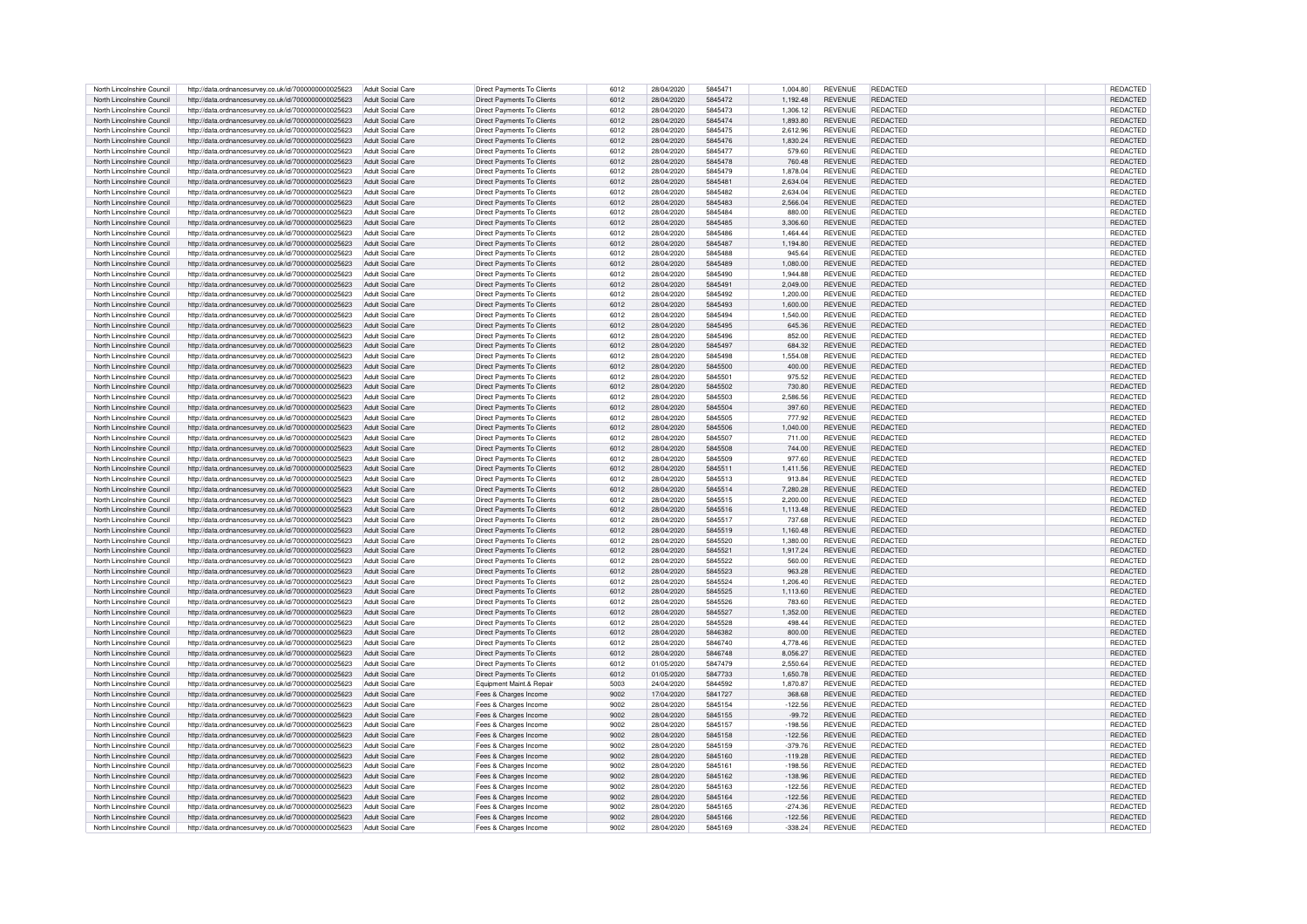| North Lincolnshire Council | http://data.ordnancesurvey.co.uk/id/7000000000025623 | Adult Social Care        | Direct Payments To Clients | 6012 | 28/04/2020 | 5845471 | 1.004.80  | <b>REVENUE</b> | REDACTED        | REDACTED        |
|----------------------------|------------------------------------------------------|--------------------------|----------------------------|------|------------|---------|-----------|----------------|-----------------|-----------------|
| North Lincolnshire Council | http://data.ordnancesurvey.co.uk/id/7000000000025623 | Adult Social Care        | Direct Payments To Clients | 6012 | 28/04/2020 | 5845472 | 1.192.48  | <b>REVENUE</b> | <b>REDACTED</b> | <b>REDACTED</b> |
|                            |                                                      |                          |                            |      |            |         |           |                |                 |                 |
| North Lincolnshire Council | http://data.ordnancesurvev.co.uk/id/7000000000025623 | Adult Social Care        | Direct Payments To Clients | 6012 | 28/04/2020 | 5845473 | 1.306.12  | <b>REVENUE</b> | <b>REDACTED</b> | REDACTED        |
| North Lincolnshire Council | http://data.ordnancesurvey.co.uk/id/7000000000025623 | Adult Social Care        | Direct Payments To Clients | 6012 | 28/04/2020 | 5845474 | 1,893.80  | <b>REVENUE</b> | REDACTED        | REDACTED        |
| North Lincolnshire Council | http://data.ordnancesurvey.co.uk/id/7000000000025623 | Adult Social Care        | Direct Payments To Clients | 6012 | 28/04/2020 | 5845475 | 2.612.96  | <b>REVENUE</b> | <b>REDACTED</b> | REDACTED        |
| North Lincolnshire Council | http://data.ordnancesurvey.co.uk/id/7000000000025623 | Adult Social Care        | Direct Payments To Clients | 6012 | 28/04/2020 | 5845476 | 1.830.24  | <b>REVENUE</b> | <b>REDACTED</b> | REDACTED        |
| North Lincolnshire Council | http://data.ordnancesurvey.co.uk/id/7000000000025623 | Adult Social Care        | Direct Payments To Clients | 6012 | 28/04/2020 | 5845477 | 579.60    | <b>REVENUE</b> | <b>REDACTED</b> | <b>REDACTED</b> |
|                            |                                                      |                          |                            |      |            |         |           |                |                 |                 |
| North Lincolnshire Council | http://data.ordnancesurvey.co.uk/id/7000000000025623 | <b>Adult Social Care</b> | Direct Payments To Clients | 6012 | 28/04/2020 | 5845478 | 760.48    | <b>REVENUE</b> | REDACTED        | REDACTED        |
| North Lincolnshire Council | http://data.ordnancesurvey.co.uk/id/7000000000025623 | Adult Social Care        | Direct Payments To Clients | 6012 | 28/04/2020 | 5845479 | 1.878.04  | <b>REVENUE</b> | <b>REDACTED</b> | REDACTED        |
| North Lincolnshire Council | http://data.ordnancesurvey.co.uk/id/7000000000025623 | Adult Social Care        | Direct Payments To Clients | 6012 | 28/04/2020 | 5845481 | 2,634.04  | <b>REVENUE</b> | REDACTED        | REDACTED        |
| North Lincolnshire Council | http://data.ordnancesurvey.co.uk/id/7000000000025623 | Adult Social Care        | Direct Payments To Clients | 6012 | 28/04/2020 | 5845482 | 2.634.04  | <b>REVENUE</b> | <b>REDACTED</b> | REDACTED        |
| North Lincolnshire Council | http://data.ordnancesurvey.co.uk/id/7000000000025623 | <b>Adult Social Care</b> | Direct Payments To Clients | 6012 | 28/04/2020 | 5845483 | 2.566.04  | <b>REVENUE</b> | REDACTED        | REDACTED        |
| North Lincolnshire Council | http://data.ordnancesurvey.co.uk/id/7000000000025623 | Adult Social Care        | Direct Payments To Clients | 6012 | 28/04/2020 | 5845484 | 880.00    | <b>REVENUE</b> | <b>REDACTED</b> | REDACTED        |
| North Lincolnshire Council | http://data.ordnancesurvey.co.uk/id/7000000000025623 | Adult Social Care        | Direct Payments To Clients | 6012 | 28/04/2020 | 5845485 | 3.306.60  | <b>REVENUE</b> | <b>REDACTED</b> | REDACTED        |
|                            |                                                      |                          |                            |      |            |         |           |                | <b>REDACTED</b> |                 |
| North Lincolnshire Council | http://data.ordnancesurvey.co.uk/id/7000000000025623 | Adult Social Care        | Direct Payments To Clients | 6012 | 28/04/2020 | 5845486 | 1,464.44  | <b>REVENUE</b> |                 | REDACTED        |
| North Lincolnshire Council | http://data.ordnancesurvey.co.uk/id/7000000000025623 | <b>Adult Social Care</b> | Direct Payments To Clients | 6012 | 28/04/2020 | 5845487 | 1,194.80  | <b>REVENUE</b> | <b>REDACTED</b> | REDACTED        |
| North Lincolnshire Council | http://data.ordnancesurvey.co.uk/id/7000000000025623 | Adult Social Care        | Direct Payments To Clients | 6012 | 28/04/2020 | 5845488 | 945.64    | <b>REVENUE</b> | <b>REDACTED</b> | REDACTED        |
| North Lincolnshire Council | http://data.ordnancesurvey.co.uk/id/7000000000025623 | Adult Social Care        | Direct Payments To Clients | 6012 | 28/04/2020 | 5845489 | 1.080.00  | <b>REVENUE</b> | <b>REDACTED</b> | REDACTED        |
| North Lincolnshire Council | http://data.ordnancesurvey.co.uk/id/7000000000025623 | Adult Social Care        | Direct Payments To Clients | 6012 | 28/04/2020 | 5845490 | 1.944.88  | <b>REVENUE</b> | <b>REDACTED</b> | REDACTED        |
| North Lincolnshire Council | http://data.ordnancesurvey.co.uk/id/7000000000025623 | Adult Social Care        | Direct Payments To Clients | 6012 | 28/04/2020 | 5845491 | 2.049.00  | <b>REVENUE</b> | REDACTED        | REDACTED        |
| North Lincolnshire Council | http://data.ordnancesurvey.co.uk/id/7000000000025623 | Adult Social Care        | Direct Payments To Clients | 6012 | 28/04/2020 | 5845492 | 1,200.00  | <b>REVENUE</b> | <b>REDACTED</b> | REDACTED        |
| North Lincolnshire Council | http://data.ordnancesurvey.co.uk/id/7000000000025623 | Adult Social Care        | Direct Payments To Clients | 6012 | 28/04/2020 | 5845493 | 1.600.00  | <b>REVENUE</b> | <b>REDACTED</b> | REDACTED        |
|                            |                                                      |                          |                            |      |            |         |           |                |                 |                 |
| North Lincolnshire Council | http://data.ordnancesurvey.co.uk/id/7000000000025623 | Adult Social Care        | Direct Payments To Clients | 6012 | 28/04/2020 | 5845494 | 1.540.00  | <b>REVENUE</b> | REDACTED        | REDACTED        |
| North Lincolnshire Council | http://data.ordnancesurvey.co.uk/id/7000000000025623 | Adult Social Care        | Direct Payments To Clients | 6012 | 28/04/2020 | 5845495 | 645.36    | <b>REVENUE</b> | REDACTED        | REDACTED        |
| North Lincolnshire Council | http://data.ordnancesurvey.co.uk/id/7000000000025623 | Adult Social Care        | Direct Payments To Clients | 6012 | 28/04/2020 | 5845496 | 852.00    | <b>REVENUE</b> | <b>REDACTED</b> | REDACTED        |
| North Lincolnshire Council | http://data.ordnancesurvey.co.uk/id/7000000000025623 | Adult Social Care        | Direct Payments To Clients | 6012 | 28/04/2020 | 5845497 | 684.32    | <b>REVENUE</b> | <b>REDACTED</b> | REDACTED        |
| North Lincolnshire Council | http://data.ordnancesurvey.co.uk/id/7000000000025623 | Adult Social Care        | Direct Payments To Clients | 6012 | 28/04/2020 | 5845498 | 1,554.08  | <b>REVENUE</b> | <b>REDACTED</b> | REDACTED        |
| North Lincolnshire Council | http://data.ordnancesurvey.co.uk/id/7000000000025623 | Adult Social Care        | Direct Payments To Clients | 6012 | 28/04/2020 | 5845500 | 400.00    | <b>REVENUE</b> | REDACTED        | REDACTED        |
| North Lincolnshire Council | http://data.ordnancesurvey.co.uk/id/7000000000025623 | Adult Social Care        | Direct Payments To Clients | 6012 | 28/04/2020 | 5845501 | 975.52    | <b>REVENUE</b> | <b>REDACTED</b> | REDACTED        |
| North Lincolnshire Council |                                                      | Adult Social Care        |                            | 6012 | 28/04/2020 | 5845502 |           | <b>REVENUE</b> | REDACTED        |                 |
|                            | http://data.ordnancesurvey.co.uk/id/7000000000025623 |                          | Direct Payments To Clients |      |            |         | 730.80    |                |                 | REDACTED        |
| North Lincolnshire Council | http://data.ordnancesurvey.co.uk/id/7000000000025623 | Adult Social Care        | Direct Payments To Clients | 6012 | 28/04/2020 | 5845503 | 2.586.56  | <b>REVENUE</b> | <b>REDACTED</b> | REDACTED        |
| North Lincolnshire Council | http://data.ordnancesurvey.co.uk/id/7000000000025623 | Adult Social Care        | Direct Payments To Clients | 6012 | 28/04/2020 | 5845504 | 397.60    | <b>REVENUE</b> | <b>REDACTED</b> | REDACTED        |
| North Lincolnshire Council | http://data.ordnancesurvey.co.uk/id/7000000000025623 | Adult Social Care        | Direct Payments To Clients | 6012 | 28/04/2020 | 5845505 | 777.92    | <b>REVENUE</b> | <b>REDACTED</b> | REDACTED        |
| North Lincolnshire Council | http://data.ordnancesurvey.co.uk/id/7000000000025623 | Adult Social Care        | Direct Payments To Clients | 6012 | 28/04/2020 | 5845506 | 1,040.00  | <b>REVENUE</b> | REDACTED        | REDACTED        |
| North Lincolnshire Council | http://data.ordnancesurvey.co.uk/id/7000000000025623 | Adult Social Care        | Direct Payments To Clients | 6012 | 28/04/2020 | 5845507 | 711.00    | <b>REVENUE</b> | <b>REDACTED</b> | REDACTED        |
| North Lincolnshire Council | http://data.ordnancesurvey.co.uk/id/7000000000025623 | Adult Social Care        | Direct Payments To Clients | 6012 | 28/04/2020 | 5845508 | 744.00    | <b>REVENUE</b> | <b>REDACTED</b> | REDACTED        |
| North Lincolnshire Council | http://data.ordnancesurvey.co.uk/id/7000000000025623 | Adult Social Care        | Direct Payments To Clients | 6012 | 28/04/2020 | 5845509 | 977.60    | <b>REVENUE</b> | <b>REDACTED</b> | REDACTED        |
|                            |                                                      |                          |                            |      |            |         |           |                | <b>REDACTED</b> |                 |
| North Lincolnshire Council | http://data.ordnancesurvey.co.uk/id/7000000000025623 | Adult Social Care        | Direct Payments To Clients | 6012 | 28/04/2020 | 5845511 | 1,411.56  | <b>REVENUE</b> |                 | REDACTED        |
| North Lincolnshire Council | http://data.ordnancesurvey.co.uk/id/7000000000025623 | Adult Social Care        | Direct Payments To Clients | 6012 | 28/04/2020 | 5845513 | 913.84    | <b>REVENUE</b> | <b>REDACTED</b> | REDACTED        |
| North Lincolnshire Council | http://data.ordnancesurvey.co.uk/id/7000000000025623 | Adult Social Care        | Direct Payments To Clients | 6012 | 28/04/2020 | 5845514 | 7.280.28  | <b>REVENUE</b> | REDACTED        | <b>REDACTED</b> |
| North Lincolnshire Council | http://data.ordnancesurvey.co.uk/id/7000000000025623 | Adult Social Care        | Direct Payments To Clients | 6012 | 28/04/2020 | 5845515 | 2.200.00  | <b>REVENUE</b> | <b>REDACTED</b> | REDACTED        |
| North Lincolnshire Council | http://data.ordnancesurvey.co.uk/id/7000000000025623 | Adult Social Care        | Direct Payments To Clients | 6012 | 28/04/2020 | 5845516 | 1.113.48  | <b>REVENUE</b> | <b>REDACTED</b> | REDACTED        |
| North Lincolnshire Council | http://data.ordnancesurvey.co.uk/id/7000000000025623 | Adult Social Care        | Direct Payments To Clients | 6012 | 28/04/2020 | 5845517 | 737.68    | <b>REVENUE</b> | <b>REDACTED</b> | REDACTED        |
| North Lincolnshire Council | http://data.ordnancesurvey.co.uk/id/7000000000025623 | Adult Social Care        | Direct Payments To Clients | 6012 | 28/04/2020 | 5845519 | 1.160.48  | <b>REVENUE</b> | <b>REDACTED</b> | REDACTED        |
| North Lincolnshire Council | http://data.ordnancesurvey.co.uk/id/7000000000025623 | Adult Social Care        | Direct Payments To Clients | 6012 | 28/04/2020 | 5845520 | 1.380.00  | <b>REVENUE</b> | <b>REDACTED</b> | REDACTED        |
|                            |                                                      |                          |                            |      |            |         |           |                |                 |                 |
| North Lincolnshire Council | http://data.ordnancesurvey.co.uk/id/7000000000025623 | Adult Social Care        | Direct Payments To Clients | 6012 | 28/04/2020 | 5845521 | 1.917.24  | <b>REVENUE</b> | <b>REDACTED</b> | REDACTED        |
| North Lincolnshire Council | http://data.ordnancesurvey.co.uk/id/7000000000025623 | Adult Social Care        | Direct Payments To Clients | 6012 | 28/04/2020 | 5845522 | 560.00    | <b>REVENUE</b> | <b>REDACTED</b> | REDACTED        |
| North Lincolnshire Council | http://data.ordnancesurvey.co.uk/id/7000000000025623 | Adult Social Care        | Direct Payments To Clients | 6012 | 28/04/2020 | 5845523 | 963.28    | <b>REVENUE</b> | <b>REDACTED</b> | <b>REDACTED</b> |
| North Lincolnshire Council | http://data.ordnancesurvey.co.uk/id/7000000000025623 | Adult Social Care        | Direct Payments To Clients | 6012 | 28/04/2020 | 5845524 | 1.206.40  | <b>REVENUE</b> | <b>REDACTED</b> | <b>REDACTED</b> |
| North Lincolnshire Council | http://data.ordnancesurvey.co.uk/id/7000000000025623 | Adult Social Care        | Direct Payments To Clients | 6012 | 28/04/2020 | 5845525 | 1,113.60  | <b>REVENUE</b> | <b>REDACTED</b> | REDACTED        |
| North Lincolnshire Council | http://data.ordnancesurvey.co.uk/id/7000000000025623 | Adult Social Care        | Direct Payments To Clients | 6012 | 28/04/2020 | 5845526 | 783.60    | <b>REVENUE</b> | <b>REDACTED</b> | <b>REDACTED</b> |
| North Lincolnshire Council | http://data.ordnancesurvey.co.uk/id/7000000000025623 | Adult Social Care        | Direct Payments To Clients | 6012 | 28/04/2020 | 5845527 | 1.352.00  | <b>REVENUE</b> | <b>REDACTED</b> | REDACTED        |
| North Lincolnshire Council | http://data.ordnancesurvey.co.uk/id/7000000000025623 | Adult Social Care        | Direct Payments To Clients | 6012 | 28/04/2020 | 5845528 | 498.44    | <b>REVENUE</b> | <b>REDACTED</b> | REDACTED        |
| North Lincolnshire Council | http://data.ordnancesurvey.co.uk/id/7000000000025623 | Adult Social Care        | Direct Payments To Clients | 6012 | 28/04/2020 | 5846382 | 800.00    | <b>REVENUE</b> | <b>REDACTED</b> | REDACTED        |
|                            |                                                      |                          |                            |      |            |         |           |                |                 |                 |
| North Lincolnshire Council | http://data.ordnancesurvey.co.uk/id/7000000000025623 | Adult Social Care        | Direct Payments To Clients | 6012 | 28/04/2020 | 5846740 | 4.778.46  | <b>REVENUE</b> | <b>REDACTED</b> | REDACTED        |
| North Lincolnshire Council | http://data.ordnancesurvey.co.uk/id/7000000000025623 | Adult Social Care        | Direct Payments To Clients | 6012 | 28/04/2020 | 5846748 | 8,056.27  | <b>REVENUE</b> | <b>REDACTED</b> | REDACTED        |
| North Lincolnshire Council | http://data.ordnancesurvey.co.uk/id/7000000000025623 | Adult Social Care        | Direct Payments To Clients | 6012 | 01/05/2020 | 5847479 | 2.550.64  | <b>REVENUE</b> | REDACTED        | REDACTED        |
| North Lincolnshire Council | http://data.ordnancesurvey.co.uk/id/7000000000025623 | <b>Adult Social Care</b> | Direct Payments To Clients | 6012 | 01/05/2020 | 5847733 | 1,650.78  | <b>REVENUE</b> | REDACTED        | REDACTED        |
| North Lincolnshire Council | http://data.ordnancesurvey.co.uk/id/7000000000025623 | Adult Social Care        | Equipment Maint.& Repair   | 5003 | 24/04/2020 | 5844592 | 1.870.87  | <b>REVENUE</b> | <b>REDACTED</b> | REDACTED        |
| North Lincolnshire Council | http://data.ordnancesurvey.co.uk/id/7000000000025623 | Adult Social Care        | Fees & Charges Income      | 9002 | 17/04/2020 | 5841727 | 368.68    | <b>REVENUE</b> | <b>REDACTED</b> | <b>REDACTED</b> |
| North Lincolnshire Council | http://data.ordnancesurvey.co.uk/id/7000000000025623 | Adult Social Care        | Fees & Charges Income      | 9002 | 28/04/2020 | 5845154 | $-122.56$ | <b>REVENUE</b> | <b>REDACTED</b> | REDACTED        |
| North Lincolnshire Council | http://data.ordnancesurvey.co.uk/id/7000000000025623 | Adult Social Care        | Fees & Charges Income      | 9002 | 28/04/2020 | 5845155 | $-99.72$  | <b>REVENUE</b> | <b>REDACTED</b> | REDACTED        |
| North Lincolnshire Council | http://data.ordnancesurvey.co.uk/id/7000000000025623 | Adult Social Care        |                            | 9002 | 28/04/2020 | 5845157 | $-198.56$ | <b>REVENUE</b> | <b>REDACTED</b> | REDACTED        |
|                            |                                                      |                          | Fees & Charges Income      |      |            |         |           |                | <b>REDACTED</b> |                 |
| North Lincolnshire Council | http://data.ordnancesurvey.co.uk/id/7000000000025623 | Adult Social Care        | Fees & Charges Income      | 9002 | 28/04/2020 | 5845158 | $-122.56$ | <b>REVENUE</b> |                 | REDACTED        |
| North Lincolnshire Council | http://data.ordnancesurvey.co.uk/id/7000000000025623 | Adult Social Care        | Fees & Charges Income      | 9002 | 28/04/2020 | 5845159 | $-379.76$ | <b>REVENUE</b> | <b>REDACTED</b> | <b>REDACTED</b> |
| North Lincolnshire Council | http://data.ordnancesurvey.co.uk/id/7000000000025623 | Adult Social Care        | Fees & Charges Income      | 9002 | 28/04/2020 | 5845160 | $-119.28$ | <b>REVENUE</b> | REDACTED        | REDACTED        |
| North Lincolnshire Council | http://data.ordnancesurvey.co.uk/id/7000000000025623 | Adult Social Care        | Fees & Charges Income      | 9002 | 28/04/2020 | 5845161 | $-198.56$ | <b>REVENUE</b> | REDACTED        | REDACTED        |
| North Lincolnshire Council | http://data.ordnancesurvey.co.uk/id/7000000000025623 | Adult Social Care        | Fees & Charges Income      | 9002 | 28/04/2020 | 5845162 | $-138.96$ | <b>REVENUE</b> | REDACTED        | REDACTED        |
| North Lincolnshire Council | http://data.ordnancesurvey.co.uk/id/7000000000025623 | Adult Social Care        | Fees & Charges Income      | 9002 | 28/04/2020 | 5845163 | $-122.56$ | <b>REVENUE</b> | REDACTED        | REDACTED        |
| North Lincolnshire Council | http://data.ordnancesurvey.co.uk/id/7000000000025623 | Adult Social Care        | Fees & Charges Income      | 9002 | 28/04/2020 | 5845164 | $-122.56$ | <b>REVENUE</b> | REDACTED        | REDACTED        |
| North Lincolnshire Council | http://data.ordnancesurvey.co.uk/id/7000000000025623 | Adult Social Care        | Fees & Charges Income      | 9002 | 28/04/2020 | 5845165 | $-274.36$ | <b>REVENUE</b> | <b>REDACTED</b> | <b>REDACTED</b> |
| North Lincolnshire Council |                                                      | Adult Social Care        |                            | 9002 | 28/04/2020 | 5845166 | $-122.56$ | <b>REVENUE</b> | REDACTED        | REDACTED        |
|                            | http://data.ordnancesurvey.co.uk/id/7000000000025623 |                          | Fees & Charges Income      |      |            |         |           |                |                 |                 |
| North Lincolnshire Council | http://data.ordnancesurvey.co.uk/id/7000000000025623 | Adult Social Care        | Fees & Charges Income      | 9002 | 28/04/2020 | 5845169 | $-338.24$ | <b>REVENUE</b> | <b>REDACTED</b> | REDACTED        |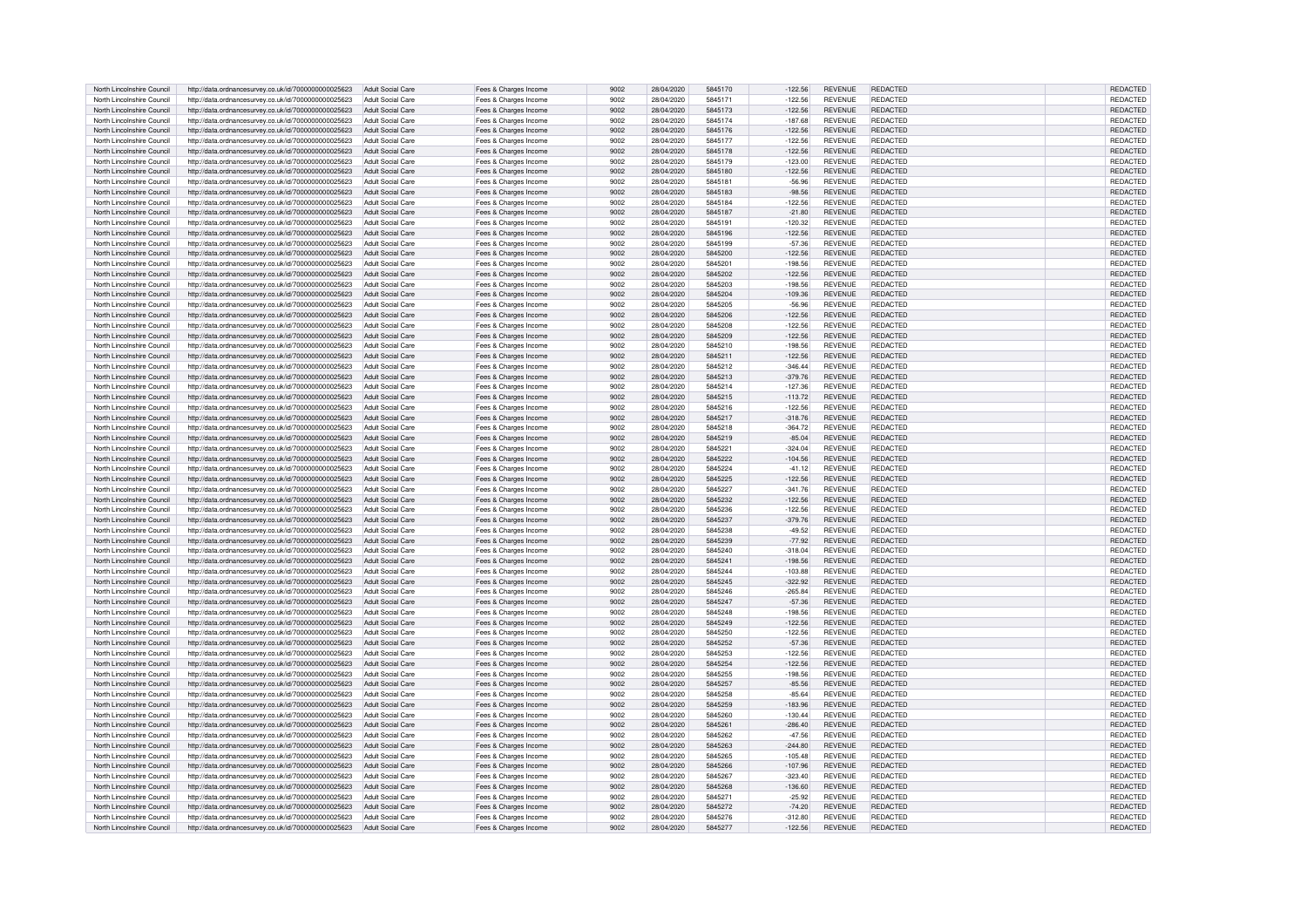| North Lincolnshire Council                               | http://data.ordnancesurvey.co.uk/id/7000000000025623                                                         | Adult Social Care                      | Fees & Charges Income                          | 9002         | 28/04/2020               | 5845170            | $-122.56$             | <b>REVENUE</b>                   | REDACTED                           | REDACTED                           |
|----------------------------------------------------------|--------------------------------------------------------------------------------------------------------------|----------------------------------------|------------------------------------------------|--------------|--------------------------|--------------------|-----------------------|----------------------------------|------------------------------------|------------------------------------|
| North Lincolnshire Council                               | http://data.ordnancesurvey.co.uk/id/7000000000025623                                                         | Adult Social Care                      | Fees & Charges Income                          | 9002         | 28/04/2020               | 5845171            | $-122.56$             | <b>REVENUE</b>                   | <b>REDACTED</b>                    | <b>REDACTED</b>                    |
| North Lincolnshire Council                               | http://data.ordnancesurvey.co.uk/id/7000000000025623                                                         | Adult Social Care                      | Fees & Charges Income                          | 9002         | 28/04/2020               | 5845173            | $-122.56$             | <b>REVENUE</b>                   | REDACTED                           | REDACTED                           |
| North Lincolnshire Council                               | http://data.ordnancesurvey.co.uk/id/7000000000025623                                                         | <b>Adult Social Care</b>               | Fees & Charges Income                          | 9002         | 28/04/2020               | 5845174            | $-187.68$             | <b>REVENUE</b>                   | <b>REDACTED</b>                    | REDACTED                           |
|                                                          |                                                                                                              |                                        |                                                |              |                          |                    |                       |                                  |                                    |                                    |
| North Lincolnshire Council                               | http://data.ordnancesurvey.co.uk/id/7000000000025623                                                         | Adult Social Care                      | Fees & Charges Income                          | 9002         | 28/04/2020               | 5845176            | $-122.56$             | <b>REVENUE</b>                   | <b>REDACTED</b>                    | REDACTED                           |
| North Lincolnshire Council                               | http://data.ordnancesurvey.co.uk/id/7000000000025623                                                         | Adult Social Care                      | Fees & Charges Income                          | 9002         | 28/04/2020               | 5845177            | $-122.56$             | <b>REVENUE</b>                   | <b>REDACTED</b>                    | REDACTED                           |
| North Lincolnshire Council                               | http://data.ordnancesurvey.co.uk/id/7000000000025623                                                         | Adult Social Care                      | Fees & Charges Income                          | 9002         | 28/04/2020               | 5845178            | $-122.56$             | <b>REVENUE</b>                   | REDACTED                           | <b>REDACTED</b>                    |
| North Lincolnshire Council                               | http://data.ordnancesurvey.co.uk/id/7000000000025623                                                         | Adult Social Care                      | Fees & Charges Income                          | 9002         | 28/04/2020               | 5845179            | 123.00                | <b>REVENUE</b>                   | <b>REDACTED</b>                    | <b>REDACTED</b>                    |
| North Lincolnshire Council                               | http://data.ordnancesurvey.co.uk/id/7000000000025623                                                         | <b>Adult Social Care</b>               | Fees & Charges Income                          | 9002         | 28/04/2020               | 5845180            | $-122.56$             | <b>REVENUE</b>                   | <b>REDACTED</b>                    | REDACTED                           |
| North Lincolnshire Council                               | http://data.ordnancesurvey.co.uk/id/7000000000025623                                                         | <b>Adult Social Care</b>               | Fees & Charges Income                          | 9002         | 28/04/2020               | 5845181            | $-56.96$              | <b>REVENUE</b>                   | REDACTED                           | REDACTED                           |
| North Lincolnshire Council                               | http://data.ordnancesurvey.co.uk/id/7000000000025623                                                         | Adult Social Care                      | Fees & Charges Income                          | 9002         | 28/04/2020               | 5845183            | $-98.56$              | <b>REVENUE</b>                   | <b>REDACTED</b>                    | REDACTED                           |
| North Lincolnshire Council                               | http://data.ordnancesurvey.co.uk/id/7000000000025623                                                         | Adult Social Care                      | Fees & Charges Income                          | 9002         | 28/04/2020               | 5845184            | 122.56                | <b>REVENUE</b>                   | <b>REDACTED</b>                    | REDACTED                           |
| North Lincolnshire Council                               | http://data.ordnancesurvey.co.uk/id/7000000000025623                                                         | Adult Social Care                      | Fees & Charges Income                          | 9002         | 28/04/2020               | 5845187            | $-21.80$              | <b>REVENUE</b>                   | <b>REDACTED</b>                    | REDACTED                           |
| North Lincolnshire Council                               | http://data.ordnancesurvey.co.uk/id/7000000000025623                                                         | Adult Social Care                      | Fees & Charges Income                          | 9002         | 28/04/2020               | 5845191            | 120.32                | <b>REVENUE</b>                   | <b>REDACTED</b>                    | REDACTED                           |
|                                                          |                                                                                                              |                                        |                                                | 9002         |                          |                    |                       |                                  | <b>REDACTED</b>                    |                                    |
| North Lincolnshire Council                               | http://data.ordnancesurvey.co.uk/id/7000000000025623                                                         | Adult Social Care                      | Fees & Charges Income                          |              | 28/04/2020               | 5845196<br>5845199 | $-122.56$             | <b>REVENUE</b>                   | <b>REDACTED</b>                    | REDACTED                           |
| North Lincolnshire Council                               | http://data.ordnancesurvey.co.uk/id/7000000000025623                                                         | Adult Social Care                      | Fees & Charges Income                          | 9002         | 28/04/2020               |                    | $-57.36$              | <b>REVENUE</b>                   |                                    | REDACTED                           |
| North Lincolnshire Council                               | http://data.ordnancesurvey.co.uk/id/7000000000025623                                                         | Adult Social Care                      | Fees & Charges Income                          | 9002         | 28/04/2020               | 5845200            | $-122.56$             | <b>REVENUE</b>                   | <b>REDACTED</b>                    | REDACTED                           |
| North Lincolnshire Council                               | http://data.ordnancesurvey.co.uk/id/7000000000025623                                                         | Adult Social Care                      | Fees & Charges Income                          | 9002         | 28/04/2020               | 5845201            | $-198.56$             | <b>REVENUE</b>                   | <b>REDACTED</b>                    | REDACTED                           |
| North Lincolnshire Council                               | http://data.ordnancesurvey.co.uk/id/7000000000025623                                                         | Adult Social Care                      | Fees & Charges Income                          | 9002         | 28/04/2020               | 5845202            | $-122.56$             | <b>REVENUE</b>                   | REDACTED                           | REDACTED                           |
| North Lincolnshire Council                               | http://data.ordnancesurvey.co.uk/id/7000000000025623                                                         | Adult Social Care                      | Fees & Charges Income                          | 9002         | 28/04/2020               | 5845203            | $-198.56$             | <b>REVENUE</b>                   | REDACTED                           | REDACTED                           |
| North Lincolnshire Council                               | http://data.ordnancesurvey.co.uk/id/7000000000025623                                                         | Adult Social Care                      | Fees & Charges Income                          | 9002         | 28/04/2020               | 5845204            | $-109.36$             | <b>REVENUE</b>                   | REDACTED                           | REDACTED                           |
| North Lincolnshire Council                               | http://data.ordnancesurvey.co.uk/id/7000000000025623                                                         | Adult Social Care                      | Fees & Charges Income                          | 9002         | 28/04/2020               | 5845205            | $-56.96$              | <b>REVENUE</b>                   | <b>REDACTED</b>                    | REDACTED                           |
| North Lincolnshire Council                               | http://data.ordnancesurvey.co.uk/id/7000000000025623                                                         | Adult Social Care                      | Fees & Charges Income                          | 9002         | 28/04/2020               | 5845206            | $-122.56$             | <b>REVENUE</b>                   | REDACTED                           | REDACTED                           |
| North Lincolnshire Council                               | http://data.ordnancesurvev.co.uk/id/7000000000025623                                                         | Adult Social Care                      | Fees & Charges Income                          | 9002         | 28/04/2020               | 5845208            | $-122.56$             | <b>REVENUE</b>                   | REDACTED                           | REDACTED                           |
| North Lincolnshire Council                               | http://data.ordnancesurvey.co.uk/id/7000000000025623                                                         | Adult Social Care                      | Fees & Charges Income                          | 9002         | 28/04/2020               | 5845209            | $-122.56$             | <b>REVENUE</b>                   | <b>REDACTED</b>                    | REDACTED                           |
| North Lincolnshire Council                               | http://data.ordnancesurvey.co.uk/id/7000000000025623                                                         | Adult Social Care                      | Fees & Charges Income                          | 9002         | 28/04/2020               | 5845210            | $-198.56$             | <b>REVENUE</b>                   | REDACTED                           | REDACTED                           |
|                                                          |                                                                                                              |                                        |                                                |              |                          |                    |                       |                                  |                                    |                                    |
| North Lincolnshire Council                               | http://data.ordnancesurvey.co.uk/id/7000000000025623                                                         | Adult Social Care                      | Fees & Charges Income                          | 9002         | 28/04/2020               | 5845211            | $-122.56$             | <b>REVENUE</b>                   | <b>REDACTED</b>                    | REDACTED                           |
| North Lincolnshire Council                               | http://data.ordnancesurvey.co.uk/id/7000000000025623                                                         | Adult Social Care                      | Fees & Charges Income                          | 9002         | 28/04/2020               | 5845212            | $-346.44$             | <b>REVENUE</b>                   | <b>REDACTED</b>                    | REDACTED                           |
| North Lincolnshire Council                               | http://data.ordnancesurvey.co.uk/id/7000000000025623                                                         | Adult Social Care                      | Fees & Charges Income                          | 9002         | 28/04/2020               | 5845213            | $-379.76$             | <b>REVENUE</b>                   | REDACTED                           | REDACTED                           |
| North Lincolnshire Council                               | http://data.ordnancesurvey.co.uk/id/7000000000025623                                                         | Adult Social Care                      | Fees & Charges Income                          | 9002         | 28/04/2020               | 5845214            | $-127.36$             | <b>REVENUE</b>                   | <b>REDACTED</b>                    | REDACTED                           |
| North Lincolnshire Council                               | http://data.ordnancesurvey.co.uk/id/7000000000025623                                                         | Adult Social Care                      | Fees & Charges Income                          | 9002         | 28/04/2020               | 5845215            | $-113.72$             | <b>REVENUE</b>                   | <b>REDACTED</b>                    | REDACTED                           |
| North Lincolnshire Council                               | http://data.ordnancesurvey.co.uk/id/7000000000025623                                                         | Adult Social Care                      | Fees & Charges Income                          | 9002         | 28/04/2020               | 5845216            | $-122.56$             | <b>REVENUE</b>                   | <b>REDACTED</b>                    | REDACTED                           |
| North Lincolnshire Council                               | http://data.ordnancesurvey.co.uk/id/7000000000025623                                                         | <b>Adult Social Care</b>               | Fees & Charges Income                          | 9002         | 28/04/2020               | 5845217            | $-318.76$             | <b>REVENUE</b>                   | <b>REDACTED</b>                    | REDACTED                           |
| North Lincolnshire Council                               | http://data.ordnancesurvey.co.uk/id/7000000000025623                                                         | Adult Social Care                      | Fees & Charges Income                          | 9002         | 28/04/2020               | 5845218            | $-364.72$             | <b>REVENUE</b>                   | REDACTED                           | REDACTED                           |
| North Lincolnshire Council                               | http://data.ordnancesurvey.co.uk/id/7000000000025623                                                         | <b>Adult Social Care</b>               | Fees & Charges Income                          | 9002         | 28/04/2020               | 5845219            | $-85.04$              | <b>REVENUE</b>                   | REDACTED                           | REDACTED                           |
| North Lincolnshire Council                               | http://data.ordnancesurvey.co.uk/id/7000000000025623                                                         | Adult Social Care                      | Fees & Charges Income                          | 9002         | 28/04/2020               | 5845221            | $-324.04$             | <b>REVENUE</b>                   | <b>REDACTED</b>                    | REDACTED                           |
|                                                          |                                                                                                              | Adult Social Care                      |                                                | 9002         | 28/04/2020               | 5845222            | $-104.56$             | <b>REVENUE</b>                   | <b>REDACTED</b>                    |                                    |
| North Lincolnshire Council                               | http://data.ordnancesurvey.co.uk/id/7000000000025623                                                         |                                        | Fees & Charges Income                          |              |                          |                    |                       |                                  |                                    | REDACTED                           |
| North Lincolnshire Council                               | http://data.ordnancesurvey.co.uk/id/7000000000025623                                                         | Adult Social Care                      | Fees & Charges Income                          | 9002         | 28/04/2020               | 5845224            | $-41.12$              | <b>REVENUE</b>                   | <b>REDACTED</b>                    | REDACTED                           |
| North Lincolnshire Council                               | http://data.ordnancesurvey.co.uk/id/7000000000025623                                                         | Adult Social Care                      | Fees & Charges Income                          | 9002         | 28/04/2020               | 5845225            | $-122.56$             | <b>REVENUE</b>                   | <b>REDACTED</b>                    | REDACTED                           |
| North Lincolnshire Council                               | http://data.ordnancesurvey.co.uk/id/7000000000025623                                                         | Adult Social Care                      | Fees & Charges Income                          | 9002         | 28/04/2020               | 5845227            | $-341.76$             | <b>REVENUE</b>                   | <b>REDACTED</b>                    | REDACTED                           |
| North Lincolnshire Council                               | http://data.ordnancesurvey.co.uk/id/7000000000025623                                                         | Adult Social Care                      | Fees & Charges Income                          | 9002         | 28/04/2020               | 5845232            | $-122.56$             | <b>REVENUE</b>                   | <b>REDACTED</b>                    | REDACTED                           |
| North Lincolnshire Council                               | http://data.ordnancesurvey.co.uk/id/7000000000025623                                                         | Adult Social Care                      | Fees & Charges Income                          | 9002         | 28/04/2020               | 5845236            | $-122.56$             | <b>REVENUE</b>                   | <b>REDACTED</b>                    | REDACTED                           |
| North Lincolnshire Counci                                | http://data.ordnancesurvey.co.uk/id/7000000000025623                                                         | Adult Social Care                      | Fees & Charges Income                          | 9002         | 28/04/2020               | 5845237            | $-379.76$             | <b>REVENUE</b>                   | <b>REDACTED</b>                    | REDACTED                           |
| North Lincolnshire Council                               | http://data.ordnancesurvey.co.uk/id/7000000000025623                                                         | Adult Social Care                      | Fees & Charges Income                          | 9002         | 28/04/2020               | 5845238            | $-49.52$              | <b>REVENUE</b>                   | <b>REDACTED</b>                    | REDACTED                           |
| North Lincolnshire Council                               | http://data.ordnancesurvey.co.uk/id/7000000000025623                                                         | Adult Social Care                      | Fees & Charges Income                          | 9002         | 28/04/2020               | 5845239            | $-77.92$              | <b>REVENUE</b>                   | <b>REDACTED</b>                    | REDACTED                           |
| North Lincolnshire Council                               | http://data.ordnancesurvey.co.uk/id/7000000000025623                                                         | Adult Social Care                      | Fees & Charges Income                          | 9002         | 28/04/2020               | 5845240            | $-318.04$             | <b>REVENUE</b>                   | <b>REDACTED</b>                    | REDACTED                           |
| North Lincolnshire Council                               | http://data.ordnancesurvey.co.uk/id/7000000000025623                                                         | Adult Social Care                      | Fees & Charges Income                          | 9002         | 28/04/2020               | 5845241            | $-198.56$             | <b>REVENUE</b>                   | <b>REDACTED</b>                    | REDACTED                           |
| North Lincolnshire Council                               | http://data.ordnancesurvey.co.uk/id/7000000000025623                                                         | Adult Social Care                      | Fees & Charges Income                          | 9002         | 28/04/2020               | 5845244            | $-103.88$             | <b>REVENUE</b>                   | <b>REDACTED</b>                    | <b>REDACTED</b>                    |
| North Lincolnshire Council                               | http://data.ordnancesurvey.co.uk/id/7000000000025623                                                         | Adult Social Care                      | Fees & Charges Income                          | 9002         | 28/04/2020               | 5845245            | $-322.92$             | <b>REVENUE</b>                   | <b>REDACTED</b>                    | <b>REDACTED</b>                    |
| North Lincolnshire Council                               | http://data.ordnancesurvey.co.uk/id/7000000000025623                                                         | Adult Social Care                      | Fees & Charges Income                          | 9002         | 28/04/2020               | 5845246            | $-265.84$             | <b>REVENUE</b>                   | <b>REDACTED</b>                    | REDACTED                           |
|                                                          |                                                                                                              |                                        |                                                |              |                          |                    |                       |                                  |                                    |                                    |
| North Lincolnshire Council<br>North Lincolnshire Council | http://data.ordnancesurvey.co.uk/id/7000000000025623<br>http://data.ordnancesurvey.co.uk/id/7000000000025623 | Adult Social Care<br>Adult Social Care | Fees & Charges Income<br>Fees & Charges Income | 9002<br>9002 | 28/04/2020<br>28/04/2020 | 5845247<br>5845248 | $-57.36$<br>$-198.56$ | <b>REVENUE</b><br><b>REVENUE</b> | <b>REDACTED</b><br><b>REDACTED</b> | <b>REDACTED</b><br><b>REDACTED</b> |
|                                                          |                                                                                                              |                                        |                                                |              |                          |                    |                       |                                  |                                    |                                    |
| North Lincolnshire Council                               | http://data.ordnancesurvey.co.uk/id/7000000000025623                                                         | Adult Social Care                      | Fees & Charges Income                          | 9002         | 28/04/2020               | 5845249            | $-122.56$             | <b>REVENUE</b>                   | <b>REDACTED</b>                    | REDACTED                           |
| North Lincolnshire Council                               | http://data.ordnancesurvey.co.uk/id/7000000000025623                                                         | Adult Social Care                      | Fees & Charges Income                          | 9002         | 28/04/2020               | 5845250            | $-122.56$             | <b>REVENUE</b>                   | <b>REDACTED</b>                    | REDACTED                           |
| North Lincolnshire Council                               | http://data.ordnancesurvey.co.uk/id/7000000000025623                                                         | <b>Adult Social Care</b>               | Fees & Charges Income                          | 9002         | 28/04/2020               | 5845252            | $-57.36$              | <b>REVENUE</b>                   | <b>REDACTED</b>                    | REDACTED                           |
| North Lincolnshire Council                               | http://data.ordnancesurvey.co.uk/id/7000000000025623                                                         | Adult Social Care                      | Fees & Charges Income                          | 9002         | 28/04/2020               | 5845253            | 122.56                | <b>REVENUE</b>                   | <b>REDACTED</b>                    | REDACTED                           |
| North Lincolnshire Council                               | http://data.ordnancesurvey.co.uk/id/7000000000025623                                                         | <b>Adult Social Care</b>               | Fees & Charges Income                          | 9002         | 28/04/2020               | 5845254            | $-122.56$             | <b>REVENUE</b>                   | REDACTED                           | REDACTED                           |
| North Lincolnshire Council                               | http://data.ordnancesurvey.co.uk/id/7000000000025623                                                         | Adult Social Care                      | Fees & Charges Income                          | 9002         | 28/04/2020               | 5845255            | 198.56                | <b>REVENUE</b>                   | <b>REDACTED</b>                    | REDACTED                           |
| North Lincolnshire Council                               | http://data.ordnancesurvey.co.uk/id/7000000000025623                                                         | Adult Social Care                      | Fees & Charges Income                          | 9002         | 28/04/2020               | 5845257            | $-85.56$              | <b>REVENUE</b>                   | <b>REDACTED</b>                    | REDACTED                           |
| North Lincolnshire Council                               | http://data.ordnancesurvey.co.uk/id/7000000000025623                                                         | Adult Social Care                      | Fees & Charges Income                          | 9002         | 28/04/2020               | 5845258            | $-85.64$              | <b>REVENUE</b>                   | <b>REDACTED</b>                    | <b>REDACTED</b>                    |
| North Lincolnshire Council                               | http://data.ordnancesurvey.co.uk/id/7000000000025623                                                         | Adult Social Care                      | Fees & Charges Income                          | 9002         | 28/04/2020               | 5845259            | $-183.96$             | <b>REVENUE</b>                   | <b>REDACTED</b>                    | REDACTED                           |
| North Lincolnshire Council                               | http://data.ordnancesurvey.co.uk/id/7000000000025623                                                         | <b>Adult Social Care</b>               | Fees & Charges Income                          | 9002         | 28/04/2020               | 5845260            | $-130.44$             | <b>REVENUE</b>                   | <b>REDACTED</b>                    | REDACTED                           |
| North Lincolnshire Council                               | http://data.ordnancesurvey.co.uk/id/7000000000025623                                                         | Adult Social Care                      | Fees & Charges Income                          | 9002         | 28/04/2020               | 5845261            | $-286.40$             | <b>REVENUE</b>                   | <b>REDACTED</b>                    | <b>REDACTED</b>                    |
| North Lincolnshire Council                               | http://data.ordnancesurvey.co.uk/id/7000000000025623                                                         | Adult Social Care                      | Fees & Charges Income                          | 9002         | 28/04/2020               | 5845262            | $-47.56$              | <b>REVENUE</b>                   | <b>REDACTED</b>                    | REDACTED                           |
|                                                          |                                                                                                              | Adult Social Care                      |                                                | 9002         | 28/04/2020               | 5845263            | $-244.80$             | <b>REVENUE</b>                   | <b>REDACTED</b>                    | <b>REDACTED</b>                    |
| North Lincolnshire Council                               | http://data.ordnancesurvey.co.uk/id/7000000000025623                                                         |                                        | Fees & Charges Income                          |              |                          |                    |                       |                                  |                                    |                                    |
| North Lincolnshire Council                               | http://data.ordnancesurvey.co.uk/id/7000000000025623                                                         | Adult Social Care                      | Fees & Charges Income                          | 9002         | 28/04/2020               | 5845265            | $-105.48$             | <b>REVENUE</b>                   | REDACTED                           | REDACTED                           |
| North Lincolnshire Council                               | http://data.ordnancesurvey.co.uk/id/7000000000025623                                                         | Adult Social Care                      | Fees & Charges Income                          | 9002         | 28/04/2020               | 5845266            | $-107.96$             | <b>REVENUE</b>                   | REDACTED                           | REDACTED                           |
| North Lincolnshire Council                               | http://data.ordnancesurvey.co.uk/id/7000000000025623                                                         | Adult Social Care                      | Fees & Charges Income                          | 9002         | 28/04/2020               | 5845267            | $-323.40$             | <b>REVENUE</b>                   | REDACTED                           | REDACTED                           |
| North Lincolnshire Council                               | http://data.ordnancesurvey.co.uk/id/7000000000025623                                                         | Adult Social Care                      | Fees & Charges Income                          | 9002         | 28/04/2020               | 5845268            | $-136.60$             | <b>REVENUE</b>                   | REDACTED                           | REDACTED                           |
| North Lincolnshire Council                               | http://data.ordnancesurvey.co.uk/id/7000000000025623                                                         | Adult Social Care                      | Fees & Charges Income                          | 9002         | 28/04/2020               | 5845271            | $-25.92$              | <b>REVENUE</b>                   | REDACTED                           | REDACTED                           |
| North Lincolnshire Council                               | http://data.ordnancesurvey.co.uk/id/7000000000025623                                                         | Adult Social Care                      | Fees & Charges Income                          | 9002         | 28/04/2020               | 5845272            | $-74.20$              | <b>REVENUE</b>                   | <b>REDACTED</b>                    | REDACTED                           |
| North Lincolnshire Council                               | http://data.ordnancesurvey.co.uk/id/7000000000025623                                                         | Adult Social Care                      | Fees & Charges Income                          | 9002         | 28/04/2020               | 5845276            | $-312.80$             | <b>REVENUE</b>                   | REDACTED                           | REDACTED                           |
| North Lincolnshire Council                               | http://data.ordnancesurvey.co.uk/id/7000000000025623                                                         | Adult Social Care                      | Fees & Charges Income                          | 9002         | 28/04/2020               | 5845277            | $-122.56$             | <b>REVENUE</b>                   | <b>REDACTED</b>                    | <b>REDACTED</b>                    |
|                                                          |                                                                                                              |                                        |                                                |              |                          |                    |                       |                                  |                                    |                                    |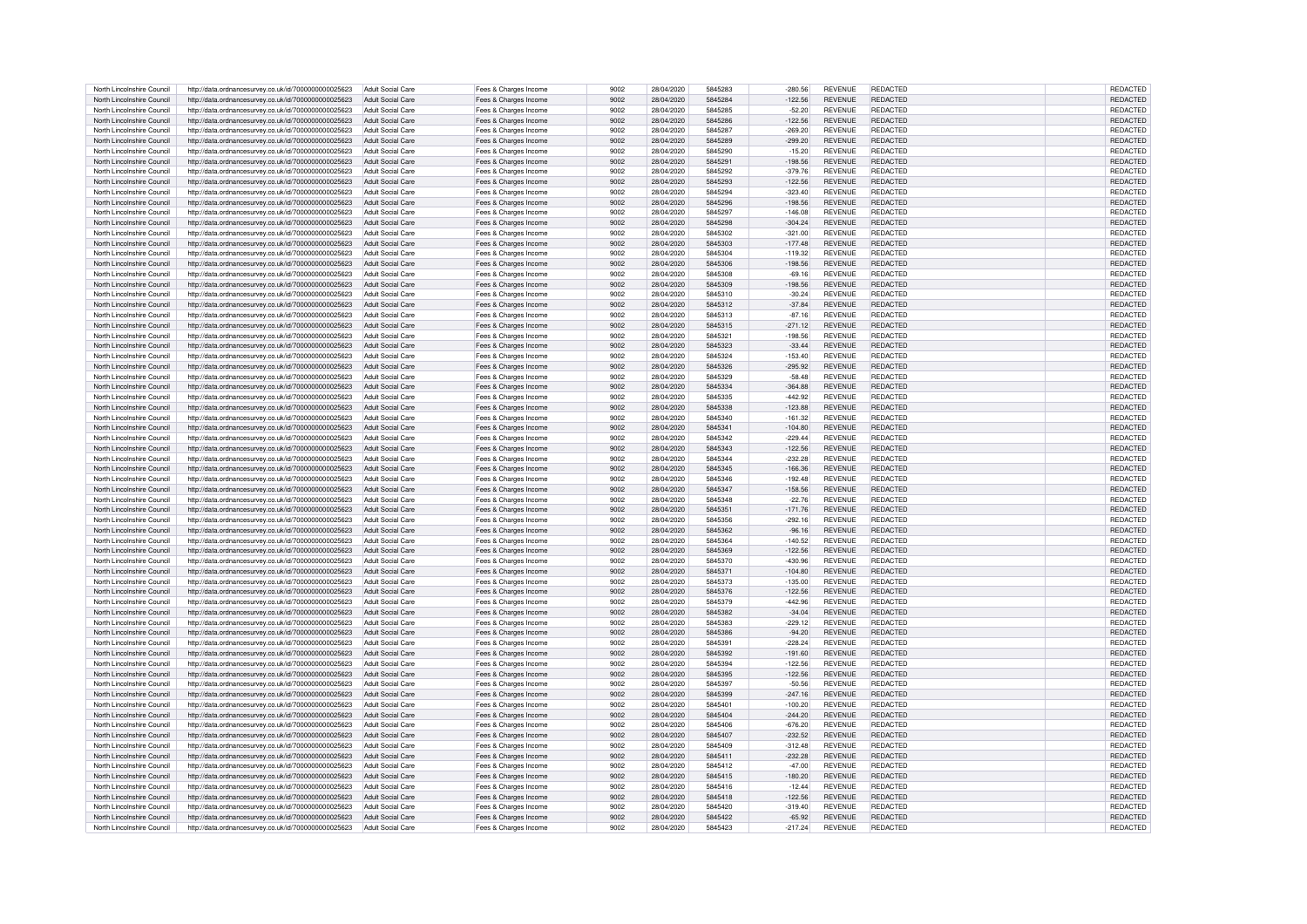| North Lincolnshire Council | http://data.ordnancesurvey.co.uk/id/7000000000025623 | Adult Social Care        | Fees & Charges Income | 9002 | 28/04/2020 | 5845283 | $-280.56$ | <b>REVENUE</b> | REDACTED        | REDACTED        |
|----------------------------|------------------------------------------------------|--------------------------|-----------------------|------|------------|---------|-----------|----------------|-----------------|-----------------|
| North Lincolnshire Council | http://data.ordnancesurvey.co.uk/id/7000000000025623 | Adult Social Care        | Fees & Charges Income | 9002 | 28/04/2020 | 5845284 | $-122.56$ | <b>REVENUE</b> | <b>REDACTED</b> | <b>REDACTED</b> |
| North Lincolnshire Council | http://data.ordnancesurvey.co.uk/id/7000000000025623 | Adult Social Care        | Fees & Charges Income | 9002 | 28/04/2020 | 5845285 | $-52.20$  | <b>REVENUE</b> | REDACTED        | REDACTED        |
|                            |                                                      |                          |                       |      |            |         |           |                |                 |                 |
| North Lincolnshire Council | http://data.ordnancesurvey.co.uk/id/7000000000025623 | Adult Social Care        | Fees & Charges Income | 9002 | 28/04/2020 | 5845286 | $-122.56$ | <b>REVENUE</b> | REDACTED        | REDACTED        |
| North Lincolnshire Council | http://data.ordnancesurvey.co.uk/id/7000000000025623 | Adult Social Care        | Fees & Charges Income | 9002 | 28/04/2020 | 5845287 | $-269.20$ | <b>REVENUE</b> | <b>REDACTED</b> | REDACTED        |
| North Lincolnshire Council | http://data.ordnancesurvey.co.uk/id/7000000000025623 | Adult Social Care        | Fees & Charges Income | 9002 | 28/04/2020 | 5845289 | $-299.20$ | <b>REVENUE</b> | <b>REDACTED</b> | REDACTED        |
| North Lincolnshire Council | http://data.ordnancesurvey.co.uk/id/7000000000025623 | Adult Social Care        | Fees & Charges Income | 9002 | 28/04/2020 | 5845290 | $-15.20$  | <b>REVENUE</b> | REDACTED        | <b>REDACTED</b> |
| North Lincolnshire Council | http://data.ordnancesurvey.co.uk/id/7000000000025623 | <b>Adult Social Care</b> | Fees & Charges Income | 9002 | 28/04/2020 | 5845291 | $-198.56$ | <b>REVENUE</b> | REDACTED        | REDACTED        |
| North Lincolnshire Council | http://data.ordnancesurvey.co.uk/id/7000000000025623 | Adult Social Care        | Fees & Charges Income | 9002 | 28/04/2020 | 5845292 | $-379.76$ | <b>REVENUE</b> | <b>REDACTED</b> | REDACTED        |
| North Lincolnshire Council | http://data.ordnancesurvey.co.uk/id/7000000000025623 | <b>Adult Social Care</b> | Fees & Charges Income | 9002 | 28/04/2020 | 5845293 | $-122.56$ | <b>REVENUE</b> | REDACTED        | REDACTED        |
|                            |                                                      | Adult Social Care        |                       | 9002 |            | 5845294 |           | <b>REVENUE</b> | <b>REDACTED</b> |                 |
| North Lincolnshire Council | http://data.ordnancesurvey.co.uk/id/7000000000025623 |                          | Fees & Charges Income |      | 28/04/2020 |         | $-323.40$ |                |                 | REDACTED        |
| North Lincolnshire Council | http://data.ordnancesurvey.co.uk/id/7000000000025623 | <b>Adult Social Care</b> | Fees & Charges Income | 9002 | 28/04/2020 | 5845296 | $-198.56$ | <b>REVENUE</b> | REDACTED        | REDACTED        |
| North Lincolnshire Council | http://data.ordnancesurvey.co.uk/id/7000000000025623 | Adult Social Care        | Fees & Charges Income | 9002 | 28/04/2020 | 5845297 | $-146.08$ | <b>REVENUE</b> | <b>REDACTED</b> | REDACTED        |
| North Lincolnshire Council | http://data.ordnancesurvey.co.uk/id/7000000000025623 | Adult Social Care        | Fees & Charges Income | 9002 | 28/04/2020 | 5845298 | $-304.24$ | <b>REVENUE</b> | <b>REDACTED</b> | REDACTED        |
| North Lincolnshire Council | http://data.ordnancesurvey.co.uk/id/7000000000025623 | Adult Social Care        | Fees & Charges Income | 9002 | 28/04/2020 | 5845302 | $-321.00$ | <b>REVENUE</b> | <b>REDACTED</b> | REDACTED        |
| North Lincolnshire Council | http://data.ordnancesurvey.co.uk/id/7000000000025623 | Adult Social Care        | Fees & Charges Income | 9002 | 28/04/2020 | 5845303 | $-177.48$ | <b>REVENUE</b> | <b>REDACTED</b> | REDACTED        |
| North Lincolnshire Council | http://data.ordnancesurvey.co.uk/id/7000000000025623 | Adult Social Care        | Fees & Charges Income | 9002 | 28/04/2020 | 5845304 | $-119.32$ | <b>REVENUE</b> | <b>REDACTED</b> | REDACTED        |
| North Lincolnshire Council |                                                      | Adult Social Care        |                       | 9002 | 28/04/2020 | 5845306 | $-198.56$ | <b>REVENUE</b> | <b>REDACTED</b> | REDACTED        |
|                            | http://data.ordnancesurvey.co.uk/id/7000000000025623 |                          | Fees & Charges Income | 9002 | 28/04/2020 | 5845308 |           |                | <b>REDACTED</b> |                 |
| North Lincolnshire Council | http://data.ordnancesurvey.co.uk/id/7000000000025623 | Adult Social Care        | Fees & Charges Income |      |            |         | $-69.16$  | <b>REVENUE</b> |                 | REDACTED        |
| North Lincolnshire Council | http://data.ordnancesurvey.co.uk/id/7000000000025623 | Adult Social Care        | Fees & Charges Income | 9002 | 28/04/2020 | 5845309 | $-198.56$ | <b>REVENUE</b> | REDACTED        | REDACTED        |
| North Lincolnshire Council | http://data.ordnancesurvey.co.uk/id/7000000000025623 | Adult Social Care        | Fees & Charges Income | 9002 | 28/04/2020 | 5845310 | $-30.24$  | <b>REVENUE</b> | <b>REDACTED</b> | REDACTED        |
| North Lincolnshire Council | http://data.ordnancesurvey.co.uk/id/7000000000025623 | Adult Social Care        | Fees & Charges Income | 9002 | 28/04/2020 | 5845312 | $-37.84$  | <b>REVENUE</b> | <b>REDACTED</b> | REDACTED        |
| North Lincolnshire Council | http://data.ordnancesurvey.co.uk/id/7000000000025623 | Adult Social Care        | Fees & Charges Income | 9002 | 28/04/2020 | 5845313 | $-87.16$  | <b>REVENUE</b> | REDACTED        | REDACTED        |
| North Lincolnshire Council | http://data.ordnancesurvey.co.uk/id/7000000000025623 | Adult Social Care        | Fees & Charges Income | 9002 | 28/04/2020 | 5845315 | $-271.12$ | <b>REVENUE</b> | <b>REDACTED</b> | REDACTED        |
| North Lincolnshire Council | http://data.ordnancesurvey.co.uk/id/7000000000025623 | Adult Social Care        | Fees & Charges Income | 9002 | 28/04/2020 | 5845321 | $-198.56$ | <b>REVENUE</b> | <b>REDACTED</b> | REDACTED        |
|                            |                                                      |                          |                       |      |            |         |           |                |                 |                 |
| North Lincolnshire Council | http://data.ordnancesurvey.co.uk/id/7000000000025623 | Adult Social Care        | Fees & Charges Income | 9002 | 28/04/2020 | 5845323 | $-33.44$  | <b>REVENUE</b> | REDACTED        | REDACTED        |
| North Lincolnshire Council | http://data.ordnancesurvey.co.uk/id/7000000000025623 | Adult Social Care        | Fees & Charges Income | 9002 | 28/04/2020 | 5845324 | $-153.40$ | <b>REVENUE</b> | <b>REDACTED</b> | REDACTED        |
| North Lincolnshire Council | http://data.ordnancesurvey.co.uk/id/7000000000025623 | Adult Social Care        | Fees & Charges Income | 9002 | 28/04/2020 | 5845326 | $-295.92$ | <b>REVENUE</b> | REDACTED        | REDACTED        |
| North Lincolnshire Council | http://data.ordnancesurvey.co.uk/id/7000000000025623 | Adult Social Care        | Fees & Charges Income | 9002 | 28/04/2020 | 5845329 | $-58.48$  | <b>REVENUE</b> | <b>REDACTED</b> | REDACTED        |
| North Lincolnshire Council | http://data.ordnancesurvey.co.uk/id/7000000000025623 | Adult Social Care        | Fees & Charges Income | 9002 | 28/04/2020 | 5845334 | $-364.88$ | <b>REVENUE</b> | REDACTED        | REDACTED        |
| North Lincolnshire Council | http://data.ordnancesurvey.co.uk/id/7000000000025623 | Adult Social Care        | Fees & Charges Income | 9002 | 28/04/2020 | 5845335 | $-442.92$ | <b>REVENUE</b> | <b>REDACTED</b> | REDACTED        |
| North Lincolnshire Council |                                                      | Adult Social Care        |                       | 9002 | 28/04/2020 | 5845338 | $-123.88$ | <b>REVENUE</b> | <b>REDACTED</b> | REDACTED        |
|                            | http://data.ordnancesurvey.co.uk/id/7000000000025623 |                          | Fees & Charges Income |      |            |         |           |                |                 |                 |
| North Lincolnshire Council | http://data.ordnancesurvey.co.uk/id/7000000000025623 | Adult Social Care        | Fees & Charges Income | 9002 | 28/04/2020 | 5845340 | $-161.32$ | <b>REVENUE</b> | <b>REDACTED</b> | REDACTED        |
| North Lincolnshire Council | http://data.ordnancesurvey.co.uk/id/7000000000025623 | Adult Social Care        | Fees & Charges Income | 9002 | 28/04/2020 | 5845341 | $-104.80$ | <b>REVENUE</b> | REDACTED        | REDACTED        |
| North Lincolnshire Council | http://data.ordnancesurvey.co.uk/id/7000000000025623 | Adult Social Care        | Fees & Charges Income | 9002 | 28/04/2020 | 5845342 | $-229.44$ | <b>REVENUE</b> | <b>REDACTED</b> | REDACTED        |
| North Lincolnshire Council | http://data.ordnancesurvey.co.uk/id/7000000000025623 | Adult Social Care        | Fees & Charges Income | 9002 | 28/04/2020 | 5845343 | $-122.56$ | <b>REVENUE</b> | <b>REDACTED</b> | REDACTED        |
| North Lincolnshire Council | http://data.ordnancesurvey.co.uk/id/7000000000025623 | Adult Social Care        | Fees & Charges Income | 9002 | 28/04/2020 | 5845344 | $-232.28$ | <b>REVENUE</b> | <b>REDACTED</b> | REDACTED        |
| North Lincolnshire Council | http://data.ordnancesurvey.co.uk/id/7000000000025623 | Adult Social Care        | Fees & Charges Income | 9002 | 28/04/2020 | 5845345 | $-166.36$ | <b>REVENUE</b> | <b>REDACTED</b> | REDACTED        |
|                            |                                                      |                          |                       |      |            |         |           |                | <b>REDACTED</b> |                 |
| North Lincolnshire Council | http://data.ordnancesurvey.co.uk/id/7000000000025623 | <b>Adult Social Care</b> | Fees & Charges Income | 9002 | 28/04/2020 | 5845346 | $-192.48$ | <b>REVENUE</b> |                 | REDACTED        |
| North Lincolnshire Council | http://data.ordnancesurvey.co.uk/id/7000000000025623 | Adult Social Care        | Fees & Charges Income | 9002 | 28/04/2020 | 5845347 | $-158.56$ | <b>REVENUE</b> | <b>REDACTED</b> | REDACTED        |
| North Lincolnshire Council | http://data.ordnancesurvey.co.uk/id/7000000000025623 | <b>Adult Social Care</b> | Fees & Charges Income | 9002 | 28/04/2020 | 5845348 | $-22.76$  | <b>REVENUE</b> | <b>REDACTED</b> | <b>REDACTED</b> |
| North Lincolnshire Council | http://data.ordnancesurvey.co.uk/id/7000000000025623 | Adult Social Care        | Fees & Charges Income | 9002 | 28/04/2020 | 5845351 | $-171.76$ | <b>REVENUE</b> | <b>REDACTED</b> | REDACTED        |
| North Lincolnshire Council | http://data.ordnancesurvey.co.uk/id/7000000000025623 | Adult Social Care        | Fees & Charges Income | 9002 | 28/04/2020 | 5845356 | $-292.16$ | REVENUE        | <b>REDACTED</b> | REDACTED        |
| North Lincolnshire Council | http://data.ordnancesurvey.co.uk/id/7000000000025623 | Adult Social Care        | Fees & Charges Income | 9002 | 28/04/2020 | 5845362 | $-96.16$  | <b>REVENUE</b> | <b>REDACTED</b> | REDACTED        |
| North Lincolnshire Council | http://data.ordnancesurvey.co.uk/id/7000000000025623 | Adult Social Care        | Fees & Charges Income | 9002 | 28/04/2020 | 5845364 | $-140.52$ | <b>REVENUE</b> | <b>REDACTED</b> | REDACTED        |
|                            |                                                      |                          |                       |      |            |         |           |                |                 |                 |
| North Lincolnshire Counci  | http://data.ordnancesurvey.co.uk/id/7000000000025623 | Adult Social Care        | Fees & Charges Income | 9002 | 28/04/2020 | 5845369 | $-122.56$ | <b>REVENUE</b> | <b>REDACTED</b> | REDACTED        |
| North Lincolnshire Council | http://data.ordnancesurvey.co.uk/id/7000000000025623 | Adult Social Care        | Fees & Charges Income | 9002 | 28/04/2020 | 5845370 | $-430.96$ | <b>REVENUE</b> | <b>REDACTED</b> | REDACTED        |
| North Lincolnshire Council | http://data.ordnancesurvey.co.uk/id/7000000000025623 | Adult Social Care        | Fees & Charges Income | 9002 | 28/04/2020 | 5845371 | $-104.80$ | <b>REVENUE</b> | <b>REDACTED</b> | <b>REDACTED</b> |
| North Lincolnshire Council | http://data.ordnancesurvey.co.uk/id/7000000000025623 | Adult Social Care        | Fees & Charges Income | 9002 | 28/04/2020 | 5845373 | $-135.00$ | <b>REVENUE</b> | <b>REDACTED</b> | <b>REDACTED</b> |
| North Lincolnshire Council | http://data.ordnancesurvey.co.uk/id/7000000000025623 | Adult Social Care        | Fees & Charges Income | 9002 | 28/04/2020 | 5845376 | $-122.56$ | <b>REVENUE</b> | <b>REDACTED</b> | REDACTED        |
| North Lincolnshire Council | http://data.ordnancesurvey.co.uk/id/7000000000025623 | Adult Social Care        | Fees & Charges Income | 9002 | 28/04/2020 | 5845379 | $-442.96$ | <b>REVENUE</b> | <b>REDACTED</b> | <b>REDACTED</b> |
| North Lincolnshire Council | http://data.ordnancesurvey.co.uk/id/7000000000025623 | Adult Social Care        | Fees & Charges Income | 9002 | 28/04/2020 | 5845382 | $-34.04$  | <b>REVENUE</b> | <b>REDACTED</b> | REDACTED        |
|                            |                                                      |                          |                       |      |            | 5845383 |           | <b>REVENUE</b> | <b>REDACTED</b> |                 |
| North Lincolnshire Council | http://data.ordnancesurvey.co.uk/id/7000000000025623 | Adult Social Care        | Fees & Charges Income | 9002 | 28/04/2020 |         | $-229.12$ |                |                 | REDACTED        |
| North Lincolnshire Council | http://data.ordnancesurvey.co.uk/id/7000000000025623 | Adult Social Care        | Fees & Charges Income | 9002 | 28/04/2020 | 5845386 | $-94.20$  | <b>REVENUE</b> | <b>REDACTED</b> | REDACTED        |
| North Lincolnshire Council | http://data.ordnancesurvey.co.uk/id/7000000000025623 | Adult Social Care        | Fees & Charges Income | 9002 | 28/04/2020 | 5845391 | $-228.24$ | <b>REVENUE</b> | <b>REDACTED</b> | REDACTED        |
| North Lincolnshire Council | http://data.ordnancesurvey.co.uk/id/7000000000025623 | Adult Social Care        | Fees & Charges Income | 9002 | 28/04/2020 | 5845392 | $-191.60$ | <b>REVENUE</b> | <b>REDACTED</b> | REDACTED        |
| North Lincolnshire Council | http://data.ordnancesurvey.co.uk/id/7000000000025623 | Adult Social Care        | Fees & Charges Income | 9002 | 28/04/2020 | 5845394 | $-122.56$ | <b>REVENUE</b> | REDACTED        | REDACTED        |
| North Lincolnshire Council | http://data.ordnancesurvey.co.uk/id/7000000000025623 | <b>Adult Social Care</b> | Fees & Charges Income | 9002 | 28/04/2020 | 5845395 | 122.56    | <b>REVENUE</b> | REDACTED        | REDACTED        |
| North Lincolnshire Council | http://data.ordnancesurvey.co.uk/id/7000000000025623 | <b>Adult Social Care</b> | Fees & Charges Income | 9002 | 28/04/2020 | 5845397 | $-50.56$  | <b>REVENUE</b> | <b>REDACTED</b> | REDACTED        |
| North Lincolnshire Council |                                                      | Adult Social Care        |                       | 9002 | 28/04/2020 | 5845399 | $-247.16$ | <b>REVENUE</b> | <b>REDACTED</b> | <b>REDACTED</b> |
|                            | http://data.ordnancesurvey.co.uk/id/7000000000025623 |                          | Fees & Charges Income |      |            |         |           |                |                 |                 |
| North Lincolnshire Council | http://data.ordnancesurvey.co.uk/id/7000000000025623 | Adult Social Care        | Fees & Charges Income | 9002 | 28/04/2020 | 5845401 | $-100.20$ | <b>REVENUE</b> | <b>REDACTED</b> | REDACTED        |
| North Lincolnshire Council | http://data.ordnancesurvey.co.uk/id/7000000000025623 | Adult Social Care        | Fees & Charges Income | 9002 | 28/04/2020 | 5845404 | $-244.20$ | <b>REVENUE</b> | <b>REDACTED</b> | REDACTED        |
| North Lincolnshire Council | http://data.ordnancesurvey.co.uk/id/7000000000025623 | Adult Social Care        | Fees & Charges Income | 9002 | 28/04/2020 | 5845406 | $-676.20$ | <b>REVENUE</b> | <b>REDACTED</b> | REDACTED        |
| North Lincolnshire Council | http://data.ordnancesurvey.co.uk/id/7000000000025623 | Adult Social Care        | Fees & Charges Income | 9002 | 28/04/2020 | 5845407 | $-232.52$ | <b>REVENUE</b> | <b>REDACTED</b> | REDACTED        |
| North Lincolnshire Council | http://data.ordnancesurvey.co.uk/id/7000000000025623 | Adult Social Care        | Fees & Charges Income | 9002 | 28/04/2020 | 5845409 | $-312.48$ | <b>REVENUE</b> | <b>REDACTED</b> | <b>REDACTED</b> |
| North Lincolnshire Council | http://data.ordnancesurvey.co.uk/id/7000000000025623 | Adult Social Care        | Fees & Charges Income | 9002 | 28/04/2020 | 5845411 | $-232.28$ | <b>REVENUE</b> | REDACTED        | <b>REDACTED</b> |
| North Lincolnshire Council | http://data.ordnancesurvey.co.uk/id/7000000000025623 | Adult Social Care        | Fees & Charges Income | 9002 | 28/04/2020 | 5845412 | $-47.00$  | <b>REVENUE</b> | REDACTED        | REDACTED        |
|                            |                                                      |                          |                       |      |            |         |           |                |                 |                 |
| North Lincolnshire Council | http://data.ordnancesurvey.co.uk/id/7000000000025623 | Adult Social Care        | Fees & Charges Income | 9002 | 28/04/2020 | 5845415 | $-180.20$ | <b>REVENUE</b> | REDACTED        | REDACTED        |
| North Lincolnshire Council | http://data.ordnancesurvey.co.uk/id/7000000000025623 | Adult Social Care        | Fees & Charges Income | 9002 | 28/04/2020 | 5845416 | $-12.44$  | <b>REVENUE</b> | <b>REDACTED</b> | REDACTED        |
| North Lincolnshire Council | http://data.ordnancesurvey.co.uk/id/7000000000025623 | Adult Social Care        | Fees & Charges Income | 9002 | 28/04/2020 | 5845418 | $-122.56$ | <b>REVENUE</b> | REDACTED        | REDACTED        |
| North Lincolnshire Council | http://data.ordnancesurvey.co.uk/id/7000000000025623 | Adult Social Care        | Fees & Charges Income | 9002 | 28/04/2020 | 5845420 | $-319.40$ | <b>REVENUE</b> | REDACTED        | REDACTED        |
| North Lincolnshire Council | http://data.ordnancesurvey.co.uk/id/7000000000025623 | Adult Social Care        | Fees & Charges Income | 9002 | 28/04/2020 | 5845422 | $-65.92$  | <b>REVENUE</b> | REDACTED        | REDACTED        |
| North Lincolnshire Council | http://data.ordnancesurvey.co.uk/id/7000000000025623 | Adult Social Care        | Fees & Charges Income | 9002 | 28/04/2020 | 5845423 | $-217.24$ | <b>REVENUE</b> | <b>REDACTED</b> | REDACTED        |
|                            |                                                      |                          |                       |      |            |         |           |                |                 |                 |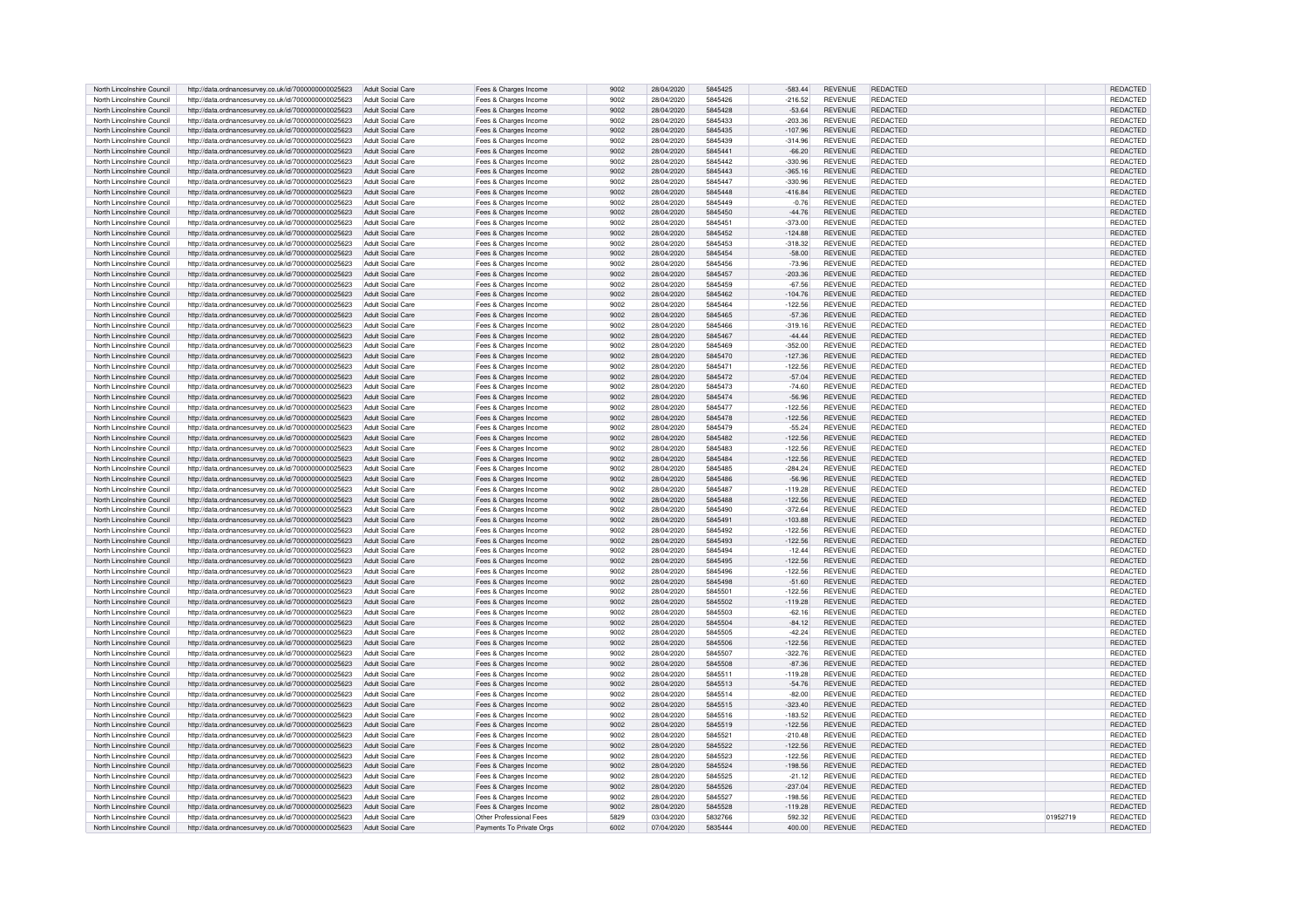| North Lincolnshire Council | http://data.ordnancesurvey.co.uk/id/7000000000025623 | Adult Social Care        | Fees & Charges Income    | 9002 | 28/04/2020 | 5845425 | $-583.44$ | <b>REVENUE</b> | <b>REDACTED</b> |          | <b>REDACTED</b> |
|----------------------------|------------------------------------------------------|--------------------------|--------------------------|------|------------|---------|-----------|----------------|-----------------|----------|-----------------|
| North Lincolnshire Council | http://data.ordnancesurvey.co.uk/id/7000000000025623 | <b>Adult Social Care</b> | Fees & Charges Income    | 9002 | 28/04/2020 | 5845426 | $-216.52$ | <b>REVENUE</b> | <b>REDACTED</b> |          | <b>REDACTED</b> |
| North Lincolnshire Council | http://data.ordnancesurvey.co.uk/id/7000000000025623 | Adult Social Care        | Fees & Charges Income    | 9002 | 28/04/2020 | 5845428 | $-53.64$  | <b>REVENUE</b> | <b>REDACTED</b> |          | REDACTED        |
| North Lincolnshire Council | http://data.ordnancesurvey.co.uk/id/7000000000025623 | Adult Social Care        | Fees & Charges Income    | 9002 | 28/04/2020 | 5845433 | $-203.36$ | <b>REVENUE</b> | <b>REDACTED</b> |          | REDACTED        |
| North Lincolnshire Council | http://data.ordnancesurvey.co.uk/id/7000000000025623 | Adult Social Care        | Fees & Charges Income    | 9002 | 28/04/2020 | 5845435 | $-107.96$ | <b>REVENUE</b> | <b>REDACTED</b> |          | REDACTED        |
| North Lincolnshire Council | http://data.ordnancesurvey.co.uk/id/7000000000025623 | Adult Social Care        |                          | 9002 | 28/04/2020 | 5845439 | $-314.96$ | <b>REVENUE</b> | <b>REDACTED</b> |          | REDACTED        |
|                            |                                                      |                          | Fees & Charges Income    |      |            |         |           |                |                 |          |                 |
| North Lincolnshire Council | http://data.ordnancesurvey.co.uk/id/7000000000025623 | Adult Social Care        | Fees & Charges Income    | 9002 | 28/04/2020 | 5845441 | $-66.20$  | <b>REVENUE</b> | <b>REDACTED</b> |          | REDACTED        |
| North Lincolnshire Council | http://data.ordnancesurvey.co.uk/id/7000000000025623 | <b>Adult Social Care</b> | Fees & Charges Income    | 9002 | 28/04/2020 | 5845442 | $-330.96$ | <b>REVENUE</b> | <b>REDACTED</b> |          | REDACTED        |
| North Lincolnshire Council | http://data.ordnancesurvey.co.uk/id/7000000000025623 | Adult Social Care        | Fees & Charges Income    | 9002 | 28/04/2020 | 5845443 | $-365.16$ | <b>REVENUE</b> | <b>REDACTED</b> |          | REDACTED        |
| North Lincolnshire Council | http://data.ordnancesurvey.co.uk/id/7000000000025623 | <b>Adult Social Care</b> | Fees & Charges Income    | 9002 | 28/04/2020 | 5845447 | 330.96    | <b>REVENUE</b> | <b>REDACTED</b> |          | REDACTED        |
| North Lincolnshire Council | http://data.ordnancesurvey.co.uk/id/7000000000025623 | <b>Adult Social Care</b> | Fees & Charges Income    | 9002 | 28/04/2020 | 5845448 | $-416.84$ | <b>REVENUE</b> | <b>REDACTED</b> |          | REDACTED        |
| North Lincolnshire Council | http://data.ordnancesurvey.co.uk/id/7000000000025623 | <b>Adult Social Care</b> | Fees & Charges Income    | 9002 | 28/04/2020 | 5845449 | $-0.76$   | <b>REVENUE</b> | REDACTED        |          | REDACTED        |
| North Lincolnshire Council | http://data.ordnancesurvey.co.uk/id/7000000000025623 | Adult Social Care        | Fees & Charges Income    | 9002 | 28/04/2020 | 5845450 | $-44.76$  | <b>REVENUE</b> | <b>REDACTED</b> |          | REDACTED        |
| North Lincolnshire Council | http://data.ordnancesurvey.co.uk/id/7000000000025623 | <b>Adult Social Care</b> | Fees & Charges Income    | 9002 | 28/04/2020 | 5845451 | $-373.00$ | <b>REVENUE</b> | <b>REDACTED</b> |          | <b>REDACTED</b> |
| North Lincolnshire Council | http://data.ordnancesurvey.co.uk/id/7000000000025623 | Adult Social Care        | Fees & Charges Income    | 9002 | 28/04/2020 | 5845452 | $-124.88$ | <b>REVENUE</b> | <b>REDACTED</b> |          | <b>REDACTED</b> |
| North Lincolnshire Council | http://data.ordnancesurvey.co.uk/id/7000000000025623 | <b>Adult Social Care</b> | Fees & Charges Income    | 9002 | 28/04/2020 | 5845453 | $-318.32$ | <b>REVENUE</b> | <b>REDACTED</b> |          | <b>REDACTED</b> |
| North Lincolnshire Council |                                                      | Adult Social Care        |                          | 9002 | 28/04/2020 | 5845454 | $-58.00$  | <b>REVENUE</b> | REDACTED        |          | <b>REDACTED</b> |
|                            | http://data.ordnancesurvey.co.uk/id/7000000000025623 |                          | Fees & Charges Income    |      |            |         |           |                |                 |          |                 |
| North Lincolnshire Council | http://data.ordnancesurvey.co.uk/id/7000000000025623 | Adult Social Care        | Fees & Charges Income    | 9002 | 28/04/2020 | 5845456 | $-73.96$  | <b>REVENUE</b> | <b>REDACTED</b> |          | REDACTED        |
| North Lincolnshire Council | http://data.ordnancesurvey.co.uk/id/7000000000025623 | Adult Social Care        | Fees & Charges Income    | 9002 | 28/04/2020 | 5845457 | $-203.36$ | <b>REVENUE</b> | <b>REDACTED</b> |          | REDACTED        |
| North Lincolnshire Council | http://data.ordnancesurvey.co.uk/id/7000000000025623 | Adult Social Care        | Fees & Charges Income    | 9002 | 28/04/2020 | 5845459 | $-67.56$  | <b>REVENUE</b> | <b>REDACTED</b> |          | REDACTED        |
| North Lincolnshire Council | http://data.ordnancesurvey.co.uk/id/7000000000025623 | Adult Social Care        | Fees & Charges Income    | 9002 | 28/04/2020 | 5845462 | $-104.76$ | <b>REVENUE</b> | REDACTED        |          | REDACTED        |
| North Lincolnshire Council | http://data.ordnancesurvey.co.uk/id/7000000000025623 | Adult Social Care        | Fees & Charges Income    | 9002 | 28/04/2020 | 5845464 | $-122.56$ | <b>REVENUE</b> | <b>REDACTED</b> |          | REDACTED        |
| North Lincolnshire Council | http://data.ordnancesurvey.co.uk/id/7000000000025623 | Adult Social Care        | Fees & Charges Income    | 9002 | 28/04/2020 | 5845465 | $-57.36$  | <b>REVENUE</b> | REDACTED        |          | REDACTED        |
| North Lincolnshire Council | http://data.ordnancesurvey.co.uk/id/7000000000025623 | Adult Social Care        | Fees & Charges Income    | 9002 | 28/04/2020 | 5845466 | $-319.16$ | <b>REVENUE</b> | REDACTED        |          | REDACTED        |
| North Lincolnshire Council | http://data.ordnancesurvey.co.uk/id/7000000000025623 | Adult Social Care        | Fees & Charges Income    | 9002 | 28/04/2020 | 5845467 | $-44.44$  | <b>REVENUE</b> | <b>REDACTED</b> |          | REDACTED        |
|                            |                                                      |                          |                          |      |            |         |           |                |                 |          |                 |
| North Lincolnshire Council | http://data.ordnancesurvey.co.uk/id/7000000000025623 | Adult Social Care        | Fees & Charges Income    | 9002 | 28/04/2020 | 5845469 | $-352.00$ | <b>REVENUE</b> | REDACTED        |          | REDACTED        |
| North Lincolnshire Council | http://data.ordnancesurvey.co.uk/id/7000000000025623 | Adult Social Care        | Fees & Charges Income    | 9002 | 28/04/2020 | 5845470 | $-127.36$ | <b>REVENUE</b> | REDACTED        |          | <b>REDACTED</b> |
| North Lincolnshire Council | http://data.ordnancesurvey.co.uk/id/7000000000025623 | Adult Social Care        | Fees & Charges Income    | 9002 | 28/04/2020 | 5845471 | $-122.56$ | <b>REVENUE</b> | REDACTED        |          | REDACTED        |
| North Lincolnshire Council | http://data.ordnancesurvey.co.uk/id/7000000000025623 | Adult Social Care        | Fees & Charges Income    | 9002 | 28/04/2020 | 5845472 | $-57.04$  | <b>REVENUE</b> | REDACTED        |          | <b>REDACTED</b> |
| North Lincolnshire Council | http://data.ordnancesurvey.co.uk/id/7000000000025623 | Adult Social Care        | Fees & Charges Income    | 9002 | 28/04/2020 | 5845473 | $-74.60$  | <b>REVENUE</b> | REDACTED        |          | REDACTED        |
| North Lincolnshire Council | http://data.ordnancesurvey.co.uk/id/7000000000025623 | Adult Social Care        | Fees & Charges Income    | 9002 | 28/04/2020 | 5845474 | $-56.96$  | <b>REVENUE</b> | <b>REDACTED</b> |          | REDACTED        |
| North Lincolnshire Council | http://data.ordnancesurvey.co.uk/id/7000000000025623 | Adult Social Care        | Fees & Charges Income    | 9002 | 28/04/2020 | 5845477 | $-122.56$ | <b>REVENUE</b> | REDACTED        |          | REDACTED        |
| North Lincolnshire Council | http://data.ordnancesurvey.co.uk/id/7000000000025623 | Adult Social Care        | Fees & Charges Income    | 9002 | 28/04/2020 | 5845478 | $-122.56$ | <b>REVENUE</b> | <b>REDACTED</b> |          | REDACTED        |
|                            |                                                      |                          |                          | 9002 |            |         |           | <b>REVENUE</b> | REDACTED        |          |                 |
| North Lincolnshire Council | http://data.ordnancesurvey.co.uk/id/7000000000025623 | Adult Social Care        | Fees & Charges Income    |      | 28/04/2020 | 5845479 | $-55.24$  |                |                 |          | REDACTED        |
| North Lincolnshire Council | http://data.ordnancesurvey.co.uk/id/7000000000025623 | Adult Social Care        | Fees & Charges Income    | 9002 | 28/04/2020 | 5845482 | $-122.56$ | <b>REVENUE</b> | <b>REDACTED</b> |          | <b>REDACTED</b> |
| North Lincolnshire Council | http://data.ordnancesurvey.co.uk/id/7000000000025623 | Adult Social Care        | Fees & Charges Income    | 9002 | 28/04/2020 | 5845483 | $-122.56$ | <b>REVENUE</b> | <b>REDACTED</b> |          | <b>REDACTED</b> |
| North Lincolnshire Council | http://data.ordnancesurvey.co.uk/id/7000000000025623 | <b>Adult Social Care</b> | Fees & Charges Income    | 9002 | 28/04/2020 | 5845484 | $-122.56$ | <b>REVENUE</b> | <b>REDACTED</b> |          | <b>REDACTED</b> |
| North Lincolnshire Council | http://data.ordnancesurvey.co.uk/id/7000000000025623 | Adult Social Care        | Fees & Charges Income    | 9002 | 28/04/2020 | 5845485 | $-284.24$ | <b>REVENUE</b> | <b>REDACTED</b> |          | <b>REDACTED</b> |
| North Lincolnshire Council | http://data.ordnancesurvey.co.uk/id/7000000000025623 | Adult Social Care        | Fees & Charges Income    | 9002 | 28/04/2020 | 5845486 | $-56.96$  | <b>REVENUE</b> | <b>REDACTED</b> |          | <b>REDACTED</b> |
| North Lincolnshire Council | http://data.ordnancesurvey.co.uk/id/7000000000025623 | Adult Social Care        | Fees & Charges Income    | 9002 | 28/04/2020 | 5845487 | $-119.28$ | <b>REVENUE</b> | <b>REDACTED</b> |          | <b>REDACTED</b> |
| North Lincolnshire Council | http://data.ordnancesurvey.co.uk/id/7000000000025623 | Adult Social Care        | Fees & Charges Income    | 9002 | 28/04/2020 | 5845488 | $-122.56$ | <b>REVENUE</b> | <b>REDACTED</b> |          | REDACTED        |
| North Lincolnshire Council | http://data.ordnancesurvey.co.uk/id/7000000000025623 | Adult Social Care        | Fees & Charges Income    | 9002 | 28/04/2020 | 5845490 | $-372.64$ | <b>REVENUE</b> | <b>REDACTED</b> |          | REDACTED        |
| North Lincolnshire Counci  | http://data.ordnancesurvey.co.uk/id/7000000000025623 | Adult Social Care        | Fees & Charges Income    | 9002 | 28/04/2020 | 5845491 | $-103.88$ | <b>REVENUE</b> | <b>REDACTED</b> |          | REDACTED        |
| North Lincolnshire Council | http://data.ordnancesurvey.co.uk/id/7000000000025623 | Adult Social Care        |                          | 9002 | 28/04/2020 | 5845492 | $-122.56$ | <b>REVENUE</b> | REDACTED        |          | <b>REDACTED</b> |
|                            |                                                      |                          | Fees & Charges Income    |      |            |         |           |                |                 |          |                 |
| North Lincolnshire Council | http://data.ordnancesurvey.co.uk/id/7000000000025623 | Adult Social Care        | Fees & Charges Income    | 9002 | 28/04/2020 | 5845493 | $-122.56$ | <b>REVENUE</b> | <b>REDACTED</b> |          | REDACTED        |
| North Lincolnshire Council | http://data.ordnancesurvev.co.uk/id/7000000000025623 | Adult Social Care        | Fees & Charges Income    | 9002 | 28/04/2020 | 5845494 | $-12.44$  | <b>REVENUE</b> | REDACTED        |          | REDACTED        |
| North Lincolnshire Council | http://data.ordnancesurvey.co.uk/id/7000000000025623 | Adult Social Care        | Fees & Charges Income    | 9002 | 28/04/2020 | 5845495 | $-122.56$ | <b>REVENUE</b> | REDACTED        |          | REDACTED        |
| North Lincolnshire Council | http://data.ordnancesurvey.co.uk/id/7000000000025623 | Adult Social Care        | Fees & Charges Income    | 9002 | 28/04/2020 | 5845496 | $-122.56$ | <b>REVENUE</b> | <b>REDACTED</b> |          | <b>REDACTED</b> |
| North Lincolnshire Council | http://data.ordnancesurvey.co.uk/id/7000000000025623 | Adult Social Care        | Fees & Charges Income    | 9002 | 28/04/2020 | 5845498 | $-51.60$  | <b>REVENUE</b> | <b>REDACTED</b> |          | <b>REDACTED</b> |
| North Lincolnshire Council | http://data.ordnancesurvey.co.uk/id/7000000000025623 | Adult Social Care        | Fees & Charges Income    | 9002 | 28/04/2020 | 5845501 | $-122.56$ | <b>REVENUE</b> | <b>REDACTED</b> |          | REDACTED        |
| North Lincolnshire Council | http://data.ordnancesurvey.co.uk/id/7000000000025623 | Adult Social Care        | Fees & Charges Income    | 9002 | 28/04/2020 | 5845502 | $-119.28$ | <b>REVENUE</b> | REDACTED        |          | <b>REDACTED</b> |
| North Lincolnshire Council | http://data.ordnancesurvey.co.uk/id/7000000000025623 | Adult Social Care        | Fees & Charges Income    | 9002 | 28/04/2020 | 5845503 | $-62.16$  | <b>REVENUE</b> | REDACTED        |          | REDACTED        |
| North Lincolnshire Council | http://data.ordnancesurvey.co.uk/id/7000000000025623 | Adult Social Care        | Fees & Charges Income    | 9002 | 28/04/2020 | 5845504 | $-84.12$  | <b>REVENUE</b> | <b>REDACTED</b> |          | REDACTED        |
| North Lincolnshire Council |                                                      | <b>Adult Social Care</b> | Fees & Charges Income    | 9002 | 28/04/2020 | 5845505 | $-42.24$  | <b>REVENUE</b> | <b>REDACTED</b> |          | REDACTED        |
|                            | http://data.ordnancesurvey.co.uk/id/7000000000025623 |                          |                          |      |            |         |           |                |                 |          |                 |
| North Lincolnshire Council | http://data.ordnancesurvey.co.uk/id/7000000000025623 | Adult Social Care        | Fees & Charges Income    | 9002 | 28/04/2020 | 5845506 | $-122.56$ | <b>REVENUE</b> | <b>REDACTED</b> |          | REDACTED        |
| North Lincolnshire Council | http://data.ordnancesurvey.co.uk/id/7000000000025623 | Adult Social Care        | Fees & Charges Income    | 9002 | 28/04/2020 | 5845507 | 322.76    | <b>REVENUE</b> | <b>REDACTED</b> |          | REDACTED        |
| North Lincolnshire Council | http://data.ordnancesurvey.co.uk/id/7000000000025623 | <b>Adult Social Care</b> | Fees & Charges Income    | 9002 | 28/04/2020 | 5845508 | $-87.36$  | <b>REVENUE</b> | REDACTED        |          | REDACTED        |
| North Lincolnshire Council | http://data.ordnancesurvey.co.uk/id/7000000000025623 | <b>Adult Social Care</b> | Fees & Charges Income    | 9002 | 28/04/2020 | 5845511 | $-119.28$ | <b>REVENUE</b> | <b>REDACTED</b> |          | REDACTED        |
| North Lincolnshire Council | http://data.ordnancesurvey.co.uk/id/7000000000025623 | <b>Adult Social Care</b> | Fees & Charges Income    | 9002 | 28/04/2020 | 5845513 | $-54.76$  | <b>REVENUE</b> | <b>REDACTED</b> |          | REDACTED        |
| North Lincolnshire Council | http://data.ordnancesurvey.co.uk/id/7000000000025623 | Adult Social Care        | Fees & Charges Income    | 9002 | 28/04/2020 | 5845514 | $-82.00$  | <b>REVENUE</b> | <b>REDACTED</b> |          | REDACTED        |
| North Lincolnshire Council | http://data.ordnancesurvey.co.uk/id/7000000000025623 | Adult Social Care        | Fees & Charges Income    | 9002 | 28/04/2020 | 5845515 | $-323.40$ | <b>REVENUE</b> | <b>REDACTED</b> |          | <b>REDACTED</b> |
| North Lincolnshire Council | http://data.ordnancesurvey.co.uk/id/7000000000025623 | <b>Adult Social Care</b> | Fees & Charges Income    | 9002 | 28/04/2020 | 5845516 | $-183.52$ | <b>REVENUE</b> | <b>REDACTED</b> |          | REDACTED        |
| North Lincolnshire Council | http://data.ordnancesurvey.co.uk/id/7000000000025623 | Adult Social Care        | Fees & Charges Income    | 9002 | 28/04/2020 | 5845519 | $-122.56$ | <b>REVENUE</b> | <b>REDACTED</b> |          | <b>REDACTED</b> |
| North Lincolnshire Council | http://data.ordnancesurvey.co.uk/id/7000000000025623 | Adult Social Care        |                          | 9002 | 28/04/2020 | 5845521 | $-210.48$ | <b>REVENUE</b> | REDACTED        |          | REDACTED        |
|                            |                                                      |                          | Fees & Charges Income    |      |            |         |           |                |                 |          |                 |
| North Lincolnshire Council | http://data.ordnancesurvey.co.uk/id/7000000000025623 | Adult Social Care        | Fees & Charges Income    | 9002 | 28/04/2020 | 5845522 | $-122.56$ | <b>REVENUE</b> | REDACTED        |          | <b>REDACTED</b> |
| North Lincolnshire Council | http://data.ordnancesurvey.co.uk/id/7000000000025623 | Adult Social Care        | Fees & Charges Income    | 9002 | 28/04/2020 | 5845523 | $-122.56$ | <b>REVENUE</b> | REDACTED        |          | <b>REDACTED</b> |
| North Lincolnshire Council | http://data.ordnancesurvey.co.uk/id/7000000000025623 | Adult Social Care        | Fees & Charges Income    | 9002 | 28/04/2020 | 5845524 | $-198.56$ | <b>REVENUE</b> | REDACTED        |          | <b>REDACTED</b> |
| North Lincolnshire Council | http://data.ordnancesurvey.co.uk/id/7000000000025623 | Adult Social Care        | Fees & Charges Income    | 9002 | 28/04/2020 | 5845525 | $-21.12$  | <b>REVENUE</b> | REDACTED        |          | REDACTED        |
| North Lincolnshire Council | http://data.ordnancesurvey.co.uk/id/7000000000025623 | Adult Social Care        | Fees & Charges Income    | 9002 | 28/04/2020 | 5845526 | $-237.04$ | <b>REVENUE</b> | REDACTED        |          | REDACTED        |
| North Lincolnshire Council | http://data.ordnancesurvey.co.uk/id/7000000000025623 | Adult Social Care        | Fees & Charges Income    | 9002 | 28/04/2020 | 5845527 | $-198.56$ | <b>REVENUE</b> | REDACTED        |          | REDACTED        |
| North Lincolnshire Council | http://data.ordnancesurvey.co.uk/id/7000000000025623 | Adult Social Care        | Fees & Charges Income    | 9002 | 28/04/2020 | 5845528 | $-119.28$ | <b>REVENUE</b> | <b>REDACTED</b> |          | REDACTED        |
| North Lincolnshire Council | http://data.ordnancesurvey.co.uk/id/7000000000025623 | Adult Social Care        | Other Professional Fees  | 5829 | 03/04/2020 | 5832766 | 592.32    | <b>REVENUE</b> | REDACTED        | 01952719 | <b>REDACTED</b> |
| North Lincolnshire Council | http://data.ordnancesurvey.co.uk/id/7000000000025623 | Adult Social Care        | Payments To Private Orgs | 6002 | 07/04/2020 | 5835444 | 400.00    | <b>REVENUE</b> | <b>REDACTED</b> |          | <b>REDACTED</b> |
|                            |                                                      |                          |                          |      |            |         |           |                |                 |          |                 |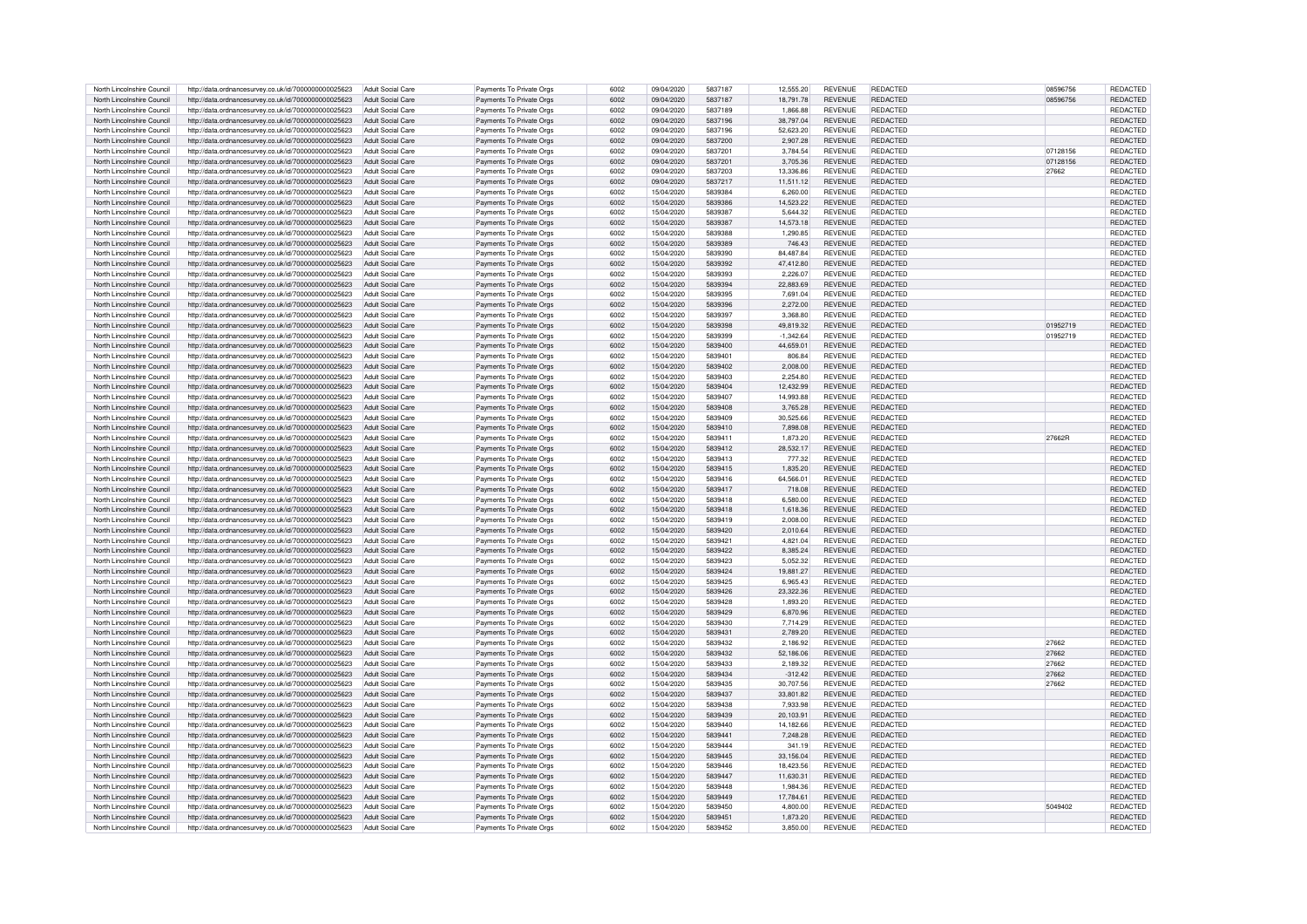| North Lincolnshire Council | http://data.ordnancesurvey.co.uk/id/7000000000025623 | Adult Social Care        | Payments To Private Orgs | 6002 | 09/04/2020 | 5837187 | 12,555.20   | <b>REVENUE</b> | REDACTED        | 08596756 | REDACTED        |
|----------------------------|------------------------------------------------------|--------------------------|--------------------------|------|------------|---------|-------------|----------------|-----------------|----------|-----------------|
| North Lincolnshire Council | http://data.ordnancesurvey.co.uk/id/7000000000025623 | Adult Social Care        | Payments To Private Orgs | 6002 | 09/04/2020 | 5837187 | 18.791.78   | <b>REVENUE</b> | <b>REDACTED</b> | 08596756 | <b>REDACTED</b> |
| North Lincolnshire Council | http://data.ordnancesurvev.co.uk/id/7000000000025623 | Adult Social Care        | Payments To Private Orgs | 6002 | 09/04/2020 | 5837189 | 1.866.88    | <b>REVENUE</b> | REDACTED        |          | REDACTED        |
| North Lincolnshire Council | http://data.ordnancesurvey.co.uk/id/7000000000025623 | Adult Social Care        | Payments To Private Orgs | 6002 | 09/04/2020 | 5837196 | 38,797.04   | <b>REVENUE</b> | REDACTED        |          | REDACTED        |
| North Lincolnshire Council |                                                      | Adult Social Care        |                          |      |            | 5837196 |             | <b>REVENUE</b> | <b>REDACTED</b> |          |                 |
|                            | http://data.ordnancesurvey.co.uk/id/7000000000025623 |                          | Payments To Private Orgs | 6002 | 09/04/2020 |         | 52,623.20   |                |                 |          | REDACTED        |
| North Lincolnshire Council | http://data.ordnancesurvey.co.uk/id/7000000000025623 | Adult Social Care        | Payments To Private Orgs | 6002 | 09/04/2020 | 5837200 | 2,907.28    | <b>REVENUE</b> | <b>REDACTED</b> |          | REDACTED        |
| North Lincolnshire Council | http://data.ordnancesurvey.co.uk/id/7000000000025623 | Adult Social Care        | Payments To Private Orgs | 6002 | 09/04/2020 | 5837201 | 3,784.54    | <b>REVENUE</b> | <b>REDACTED</b> | 07128156 | REDACTED        |
| North Lincolnshire Council | http://data.ordnancesurvey.co.uk/id/7000000000025623 | <b>Adult Social Care</b> | Payments To Private Orgs | 6002 | 09/04/2020 | 5837201 | 3,705.36    | <b>REVENUE</b> | REDACTED        | 07128156 | REDACTED        |
| North Lincolnshire Council | http://data.ordnancesurvey.co.uk/id/7000000000025623 | Adult Social Care        | Payments To Private Orgs | 6002 | 09/04/2020 | 5837203 | 13.336.86   | <b>REVENUE</b> | REDACTED        | 27662    | REDACTED        |
| North Lincolnshire Council | http://data.ordnancesurvey.co.uk/id/7000000000025623 | Adult Social Care        | Payments To Private Orgs | 6002 | 09/04/2020 | 5837217 | 11,511.12   | <b>REVENUE</b> | <b>REDACTED</b> |          | REDACTED        |
| North Lincolnshire Council | http://data.ordnancesurvey.co.uk/id/7000000000025623 | Adult Social Care        | Payments To Private Orgs | 6002 | 15/04/2020 | 5839384 | 6,260.00    | <b>REVENUE</b> | <b>REDACTED</b> |          | REDACTED        |
| North Lincolnshire Council | http://data.ordnancesurvey.co.uk/id/7000000000025623 | Adult Social Care        | Payments To Private Orgs | 6002 | 15/04/2020 | 5839386 | 14.523.22   | <b>REVENUE</b> | REDACTED        |          | REDACTED        |
| North Lincolnshire Council | http://data.ordnancesurvey.co.uk/id/7000000000025623 | Adult Social Care        | Payments To Private Orgs | 6002 | 15/04/2020 | 5839387 | 5,644.32    | <b>REVENUE</b> | <b>REDACTED</b> |          | REDACTED        |
| North Lincolnshire Council | http://data.ordnancesurvey.co.uk/id/7000000000025623 | Adult Social Care        | Payments To Private Orgs | 6002 | 15/04/2020 | 5839387 | 14,573.18   | <b>REVENUE</b> | <b>REDACTED</b> |          | REDACTED        |
| North Lincolnshire Council | http://data.ordnancesurvey.co.uk/id/7000000000025623 | Adult Social Care        | Payments To Private Orgs | 6002 | 15/04/2020 | 5839388 | 1,290.85    | <b>REVENUE</b> | <b>REDACTED</b> |          | REDACTED        |
| North Lincolnshire Council | http://data.ordnancesurvey.co.uk/id/7000000000025623 | Adult Social Care        | Payments To Private Orgs | 6002 | 15/04/2020 | 5839389 | 746.43      | <b>REVENUE</b> | <b>REDACTED</b> |          | REDACTED        |
| North Lincolnshire Council |                                                      | Adult Social Care        |                          | 6002 | 15/04/2020 | 5839390 | 84.487.84   | <b>REVENUE</b> | <b>REDACTED</b> |          | REDACTED        |
|                            | http://data.ordnancesurvey.co.uk/id/7000000000025623 |                          | Payments To Private Orgs |      |            |         |             |                |                 |          |                 |
| North Lincolnshire Council | http://data.ordnancesurvey.co.uk/id/7000000000025623 | Adult Social Care        | Payments To Private Orgs | 6002 | 15/04/2020 | 5839392 | 47,412.80   | <b>REVENUE</b> | <b>REDACTED</b> |          | REDACTED        |
| North Lincolnshire Council | http://data.ordnancesurvey.co.uk/id/7000000000025623 | Adult Social Care        | Payments To Private Orgs | 6002 | 15/04/2020 | 5839393 | 2.226.07    | <b>REVENUE</b> | <b>REDACTED</b> |          | REDACTED        |
| North Lincolnshire Council | http://data.ordnancesurvey.co.uk/id/7000000000025623 | Adult Social Care        | Payments To Private Orgs | 6002 | 15/04/2020 | 5839394 | 22,883.69   | <b>REVENUE</b> | <b>REDACTED</b> |          | REDACTED        |
| North Lincolnshire Council | http://data.ordnancesurvey.co.uk/id/7000000000025623 | Adult Social Care        | Payments To Private Orgs | 6002 | 15/04/2020 | 5839395 | 7,691.04    | <b>REVENUE</b> | <b>REDACTED</b> |          | REDACTED        |
| North Lincolnshire Council | http://data.ordnancesurvey.co.uk/id/7000000000025623 | <b>Adult Social Care</b> | Payments To Private Orgs | 6002 | 15/04/2020 | 5839396 | 2,272.00    | <b>REVENUE</b> | <b>REDACTED</b> |          | REDACTED        |
| North Lincolnshire Council | http://data.ordnancesurvey.co.uk/id/7000000000025623 | Adult Social Care        | Payments To Private Orgs | 6002 | 15/04/2020 | 5839397 | 3.368.80    | <b>REVENUE</b> | REDACTED        |          | REDACTED        |
| North Lincolnshire Council | http://data.ordnancesurvey.co.uk/id/7000000000025623 | Adult Social Care        | Payments To Private Orgs | 6002 | 15/04/2020 | 5839398 | 49.819.32   | <b>REVENUE</b> | REDACTED        | 01952719 | REDACTED        |
| North Lincolnshire Council | http://data.ordnancesurvey.co.uk/id/7000000000025623 | Adult Social Care        | Payments To Private Orgs | 6002 | 15/04/2020 | 5839399 | $-1,342.64$ | <b>REVENUE</b> | <b>REDACTED</b> | 01952719 | <b>REDACTED</b> |
| North Lincolnshire Council | http://data.ordnancesurvey.co.uk/id/7000000000025623 | Adult Social Care        | Payments To Private Orgs | 6002 | 15/04/2020 | 5839400 | 44,659.01   | <b>REVENUE</b> | <b>REDACTED</b> |          | REDACTED        |
| North Lincolnshire Council | http://data.ordnancesurvey.co.uk/id/7000000000025623 | Adult Social Care        | Payments To Private Orgs | 6002 | 15/04/2020 | 5839401 | 806.84      | <b>REVENUE</b> | <b>REDACTED</b> |          | REDACTED        |
| North Lincolnshire Council | http://data.ordnancesurvey.co.uk/id/7000000000025623 | Adult Social Care        | Payments To Private Orgs | 6002 | 15/04/2020 | 5839402 | 2,008.00    | <b>REVENUE</b> | REDACTED        |          | REDACTED        |
| North Lincolnshire Council | http://data.ordnancesurvey.co.uk/id/7000000000025623 | Adult Social Care        | Payments To Private Oras | 6002 | 15/04/2020 | 5839403 | 2,254.80    | <b>REVENUE</b> | REDACTED        |          | REDACTED        |
|                            |                                                      |                          |                          |      |            |         |             |                |                 |          |                 |
| North Lincolnshire Council | http://data.ordnancesurvey.co.uk/id/7000000000025623 | Adult Social Care        | Payments To Private Orgs | 6002 | 15/04/2020 | 5839404 | 12,432.99   | <b>REVENUE</b> | REDACTED        |          | REDACTED        |
| North Lincolnshire Council | http://data.ordnancesurvey.co.uk/id/7000000000025623 | Adult Social Care        | Payments To Private Orgs | 6002 | 15/04/2020 | 5839407 | 14.993.88   | <b>REVENUE</b> | <b>REDACTED</b> |          | REDACTED        |
| North Lincolnshire Council | http://data.ordnancesurvey.co.uk/id/7000000000025623 | Adult Social Care        | Payments To Private Orgs | 6002 | 15/04/2020 | 5839408 | 3.765.28    | <b>REVENUE</b> | <b>REDACTED</b> |          | REDACTED        |
| North Lincolnshire Council | http://data.ordnancesurvey.co.uk/id/7000000000025623 | Adult Social Care        | Payments To Private Orgs | 6002 | 15/04/2020 | 5839409 | 30,525.66   | <b>REVENUE</b> | <b>REDACTED</b> |          | REDACTED        |
| North Lincolnshire Council | http://data.ordnancesurvey.co.uk/id/7000000000025623 | Adult Social Care        | Payments To Private Orgs | 6002 | 15/04/2020 | 5839410 | 7,898.08    | <b>REVENUE</b> | REDACTED        |          | REDACTED        |
| North Lincolnshire Council | http://data.ordnancesurvey.co.uk/id/7000000000025623 | Adult Social Care        | Payments To Private Orgs | 6002 | 15/04/2020 | 5839411 | 1.873.20    | <b>REVENUE</b> | REDACTED        | 27662R   | REDACTED        |
| North Lincolnshire Council | http://data.ordnancesurvey.co.uk/id/7000000000025623 | Adult Social Care        | Payments To Private Orgs | 6002 | 15/04/2020 | 5839412 | 28,532.17   | <b>REVENUE</b> | <b>REDACTED</b> |          | REDACTED        |
| North Lincolnshire Council | http://data.ordnancesurvey.co.uk/id/7000000000025623 | Adult Social Care        | Payments To Private Orgs | 6002 | 15/04/2020 | 5839413 | 777.32      | <b>REVENUE</b> | <b>REDACTED</b> |          | REDACTED        |
| North Lincolnshire Council | http://data.ordnancesurvey.co.uk/id/7000000000025623 | Adult Social Care        | Payments To Private Orgs | 6002 | 15/04/2020 | 5839415 | 1,835.20    | <b>REVENUE</b> | <b>REDACTED</b> |          | REDACTED        |
| North Lincolnshire Council | http://data.ordnancesurvey.co.uk/id/7000000000025623 | Adult Social Care        | Payments To Private Orgs | 6002 | 15/04/2020 | 5839416 | 64,566.01   | <b>REVENUE</b> | <b>REDACTED</b> |          | REDACTED        |
| North Lincolnshire Council | http://data.ordnancesurvey.co.uk/id/7000000000025623 | Adult Social Care        | Payments To Private Oras | 6002 | 15/04/2020 | 5839417 | 718.08      | <b>REVENUE</b> | REDACTED        |          | REDACTED        |
| North Lincolnshire Council | http://data.ordnancesurvey.co.uk/id/7000000000025623 | Adult Social Care        | Payments To Private Orgs | 6002 | 15/04/2020 | 5839418 | 6,580.00    | <b>REVENUE</b> | <b>REDACTED</b> |          | REDACTED        |
| North Lincolnshire Council | http://data.ordnancesurvey.co.uk/id/7000000000025623 | Adult Social Care        | Payments To Private Orgs | 6002 | 15/04/2020 | 5839418 | 1,618.36    | <b>REVENUE</b> | <b>REDACTED</b> |          | REDACTED        |
| North Lincolnshire Council | http://data.ordnancesurvey.co.uk/id/7000000000025623 | Adult Social Care        | Payments To Private Orgs | 6002 | 15/04/2020 | 5839419 | 2,008.00    | <b>REVENUE</b> | <b>REDACTED</b> |          | REDACTED        |
|                            |                                                      |                          | Payments To Private Orgs | 6002 | 15/04/2020 | 5839420 | 2,010.64    |                | <b>REDACTED</b> |          | REDACTED        |
| North Lincolnshire Council | http://data.ordnancesurvey.co.uk/id/7000000000025623 | Adult Social Care        |                          |      |            |         |             | <b>REVENUE</b> |                 |          |                 |
| North Lincolnshire Council | http://data.ordnancesurvey.co.uk/id/7000000000025623 | Adult Social Care        | Payments To Private Orgs | 6002 | 15/04/2020 | 5839421 | 4.821.04    | <b>REVENUE</b> | <b>REDACTED</b> |          | REDACTED        |
| North Lincolnshire Council | http://data.ordnancesurvey.co.uk/id/7000000000025623 | Adult Social Care        | Payments To Private Orgs | 6002 | 15/04/2020 | 5839422 | 8,385.24    | <b>REVENUE</b> | <b>REDACTED</b> |          | REDACTED        |
| North Lincolnshire Council | http://data.ordnancesurvey.co.uk/id/7000000000025623 | Adult Social Care        | Payments To Private Orgs | 6002 | 15/04/2020 | 5839423 | 5.052.32    | <b>REVENUE</b> | REDACTED        |          | REDACTED        |
| North Lincolnshire Council | http://data.ordnancesurvey.co.uk/id/7000000000025623 | Adult Social Care        | Payments To Private Orgs | 6002 | 15/04/2020 | 5839424 | 19.881.27   | <b>REVENUE</b> | <b>REDACTED</b> |          | <b>REDACTED</b> |
| North Lincolnshire Council | http://data.ordnancesurvey.co.uk/id/7000000000025623 | Adult Social Care        | Payments To Private Orgs | 6002 | 15/04/2020 | 5839425 | 6.965.43    | <b>REVENUE</b> | <b>REDACTED</b> |          | <b>REDACTED</b> |
| North Lincolnshire Council | http://data.ordnancesurvey.co.uk/id/7000000000025623 | Adult Social Care        | Payments To Private Orgs | 6002 | 15/04/2020 | 5839426 | 23,322.36   | <b>REVENUE</b> | <b>REDACTED</b> |          | REDACTED        |
| North Lincolnshire Council | http://data.ordnancesurvey.co.uk/id/7000000000025623 | Adult Social Care        | Payments To Private Orgs | 6002 | 15/04/2020 | 5839428 | 1.893.20    | <b>REVENUE</b> | <b>REDACTED</b> |          | REDACTED        |
| North Lincolnshire Council | http://data.ordnancesurvey.co.uk/id/7000000000025623 | Adult Social Care        | Payments To Private Orgs | 6002 | 15/04/2020 | 5839429 | 6,870.96    | <b>REVENUE</b> | <b>REDACTED</b> |          | REDACTED        |
| North Lincolnshire Council | http://data.ordnancesurvey.co.uk/id/7000000000025623 | Adult Social Care        | Payments To Private Orgs | 6002 | 15/04/2020 | 5839430 | 7,714.29    | <b>REVENUE</b> | <b>REDACTED</b> |          | REDACTED        |
| North Lincolnshire Council | http://data.ordnancesurvey.co.uk/id/7000000000025623 | Adult Social Care        | Payments To Private Orgs | 6002 | 15/04/2020 | 5839431 | 2.789.20    | <b>REVENUE</b> | <b>REDACTED</b> |          | REDACTED        |
| North Lincolnshire Council | http://data.ordnancesurvey.co.uk/id/7000000000025623 | Adult Social Care        | Payments To Private Orgs | 6002 | 15/04/2020 | 5839432 | 2.186.92    | <b>REVENUE</b> | <b>REDACTED</b> | 27662    | REDACTED        |
| North Lincolnshire Council | http://data.ordnancesurvey.co.uk/id/7000000000025623 | Adult Social Care        | Payments To Private Orgs | 6002 | 15/04/2020 | 5839432 | 52,186.06   | <b>REVENUE</b> | <b>REDACTED</b> | 27662    | REDACTED        |
| North Lincolnshire Council | http://data.ordnancesurvey.co.uk/id/7000000000025623 | Adult Social Care        | Payments To Private Orgs | 6002 | 15/04/2020 | 5839433 | 2.189.32    | <b>REVENUE</b> | REDACTED        | 27662    | REDACTED        |
| North Lincolnshire Council | http://data.ordnancesurvey.co.uk/id/7000000000025623 | <b>Adult Social Care</b> | Payments To Private Orgs | 6002 | 15/04/2020 | 5839434 | $-312.42$   | <b>REVENUE</b> | REDACTED        | 27662    | REDACTED        |
| North Lincolnshire Council | http://data.ordnancesurvey.co.uk/id/7000000000025623 | Adult Social Care        | Payments To Private Orgs | 6002 | 15/04/2020 | 5839435 | 30,707.56   | <b>REVENUE</b> | <b>REDACTED</b> | 27662    | REDACTED        |
|                            |                                                      |                          |                          |      |            |         |             |                |                 |          |                 |
| North Lincolnshire Council | http://data.ordnancesurvey.co.uk/id/7000000000025623 | Adult Social Care        | Payments To Private Orgs | 6002 | 15/04/2020 | 5839437 | 33.801.82   | <b>REVENUE</b> | <b>REDACTED</b> |          | <b>REDACTED</b> |
| North Lincolnshire Council | http://data.ordnancesurvey.co.uk/id/7000000000025623 | Adult Social Care        | Payments To Private Orgs | 6002 | 15/04/2020 | 5839438 | 7,933.98    | <b>REVENUE</b> | <b>REDACTED</b> |          | REDACTED        |
| North Lincolnshire Council | http://data.ordnancesurvey.co.uk/id/7000000000025623 | Adult Social Care        | Payments To Private Orgs | 6002 | 15/04/2020 | 5839439 | 20,103.91   | <b>REVENUE</b> | <b>REDACTED</b> |          | REDACTED        |
| North Lincolnshire Council | http://data.ordnancesurvey.co.uk/id/7000000000025623 | Adult Social Care        | Payments To Private Oras | 6002 | 15/04/2020 | 5839440 | 14.182.66   | <b>REVENUE</b> | <b>REDACTED</b> |          | REDACTED        |
| North Lincolnshire Council | http://data.ordnancesurvey.co.uk/id/7000000000025623 | Adult Social Care        | Payments To Private Orgs | 6002 | 15/04/2020 | 5839441 | 7,248.28    | <b>REVENUE</b> | <b>REDACTED</b> |          | REDACTED        |
| North Lincolnshire Council | http://data.ordnancesurvey.co.uk/id/7000000000025623 | Adult Social Care        | Payments To Private Orgs | 6002 | 15/04/2020 | 5839444 | 341.19      | <b>REVENUE</b> | <b>REDACTED</b> |          | REDACTED        |
| North Lincolnshire Council | http://data.ordnancesurvey.co.uk/id/7000000000025623 | Adult Social Care        | Payments To Private Orgs | 6002 | 15/04/2020 | 5839445 | 33,156.04   | <b>REVENUE</b> | REDACTED        |          | REDACTED        |
| North Lincolnshire Council | http://data.ordnancesurvey.co.uk/id/7000000000025623 | Adult Social Care        | Payments To Private Orgs | 6002 | 15/04/2020 | 5839446 | 18.423.56   | <b>REVENUE</b> | REDACTED        |          | REDACTED        |
| North Lincolnshire Council | http://data.ordnancesurvey.co.uk/id/7000000000025623 | Adult Social Care        | Payments To Private Orgs | 6002 | 15/04/2020 | 5839447 | 11,630.31   | <b>REVENUE</b> | REDACTED        |          | REDACTED        |
| North Lincolnshire Council | http://data.ordnancesurvey.co.uk/id/7000000000025623 | Adult Social Care        | Payments To Private Orgs | 6002 | 15/04/2020 | 5839448 | 1,984.36    | <b>REVENUE</b> | REDACTED        |          | REDACTED        |
| North Lincolnshire Council | http://data.ordnancesurvey.co.uk/id/7000000000025623 | Adult Social Care        | Payments To Private Orgs | 6002 | 15/04/2020 | 5839449 | 17,784.61   | <b>REVENUE</b> | REDACTED        |          | REDACTED        |
| North Lincolnshire Council | http://data.ordnancesurvey.co.uk/id/7000000000025623 | Adult Social Care        | Payments To Private Orgs | 6002 | 15/04/2020 | 5839450 | 4.800.00    | <b>REVENUE</b> | REDACTED        | 5049402  | REDACTED        |
| North Lincolnshire Council | http://data.ordnancesurvey.co.uk/id/7000000000025623 | Adult Social Care        | Payments To Private Orgs | 6002 | 15/04/2020 | 5839451 | 1.873.20    | <b>REVENUE</b> | REDACTED        |          | <b>REDACTED</b> |
| North Lincolnshire Council | http://data.ordnancesurvey.co.uk/id/7000000000025623 | Adult Social Care        | Payments To Private Orgs | 6002 | 15/04/2020 | 5839452 | 3.850.00    | <b>REVENUE</b> | <b>REDACTED</b> |          | REDACTED        |
|                            |                                                      |                          |                          |      |            |         |             |                |                 |          |                 |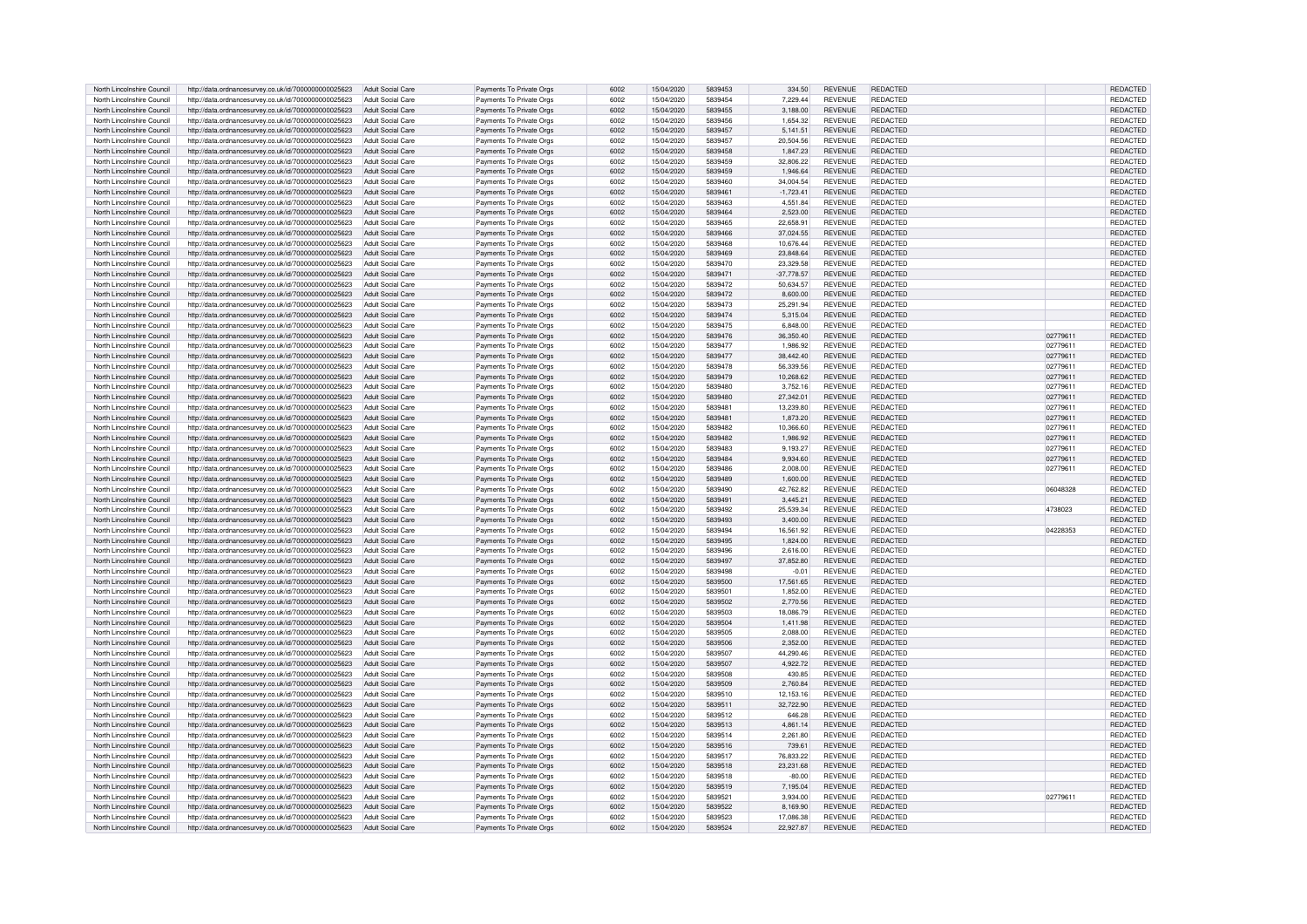| North Lincolnshire Council | http://data.ordnancesurvey.co.uk/id/7000000000025623 | Adult Social Care        | Payments To Private Orgs | 6002 | 15/04/2020 | 5839453 | 334.50       | <b>REVENUE</b> | <b>REDACTED</b> |          | <b>REDACTED</b> |
|----------------------------|------------------------------------------------------|--------------------------|--------------------------|------|------------|---------|--------------|----------------|-----------------|----------|-----------------|
| North Lincolnshire Council | http://data.ordnancesurvey.co.uk/id/7000000000025623 | Adult Social Care        | Payments To Private Orgs | 6002 | 15/04/2020 | 5839454 | 7.229.44     | <b>REVENUE</b> | <b>REDACTED</b> |          | <b>REDACTED</b> |
| North Lincolnshire Council | http://data.ordnancesurvey.co.uk/id/7000000000025623 | Adult Social Care        | Payments To Private Orgs | 6002 | 15/04/2020 | 5839455 | 3.188.00     | <b>REVENUE</b> | REDACTED        |          | REDACTED        |
| North Lincolnshire Council | http://data.ordnancesurvey.co.uk/id/7000000000025623 | Adult Social Care        | Payments To Private Orgs | 6002 | 15/04/2020 | 5839456 | 1,654.32     | <b>REVENUE</b> | <b>REDACTED</b> |          | REDACTED        |
| North Lincolnshire Council | http://data.ordnancesurvey.co.uk/id/7000000000025623 | Adult Social Care        | Payments To Private Orgs | 6002 | 15/04/2020 | 5839457 | 5,141.51     | <b>REVENUE</b> | <b>REDACTED</b> |          | REDACTED        |
| North Lincolnshire Council | http://data.ordnancesurvey.co.uk/id/7000000000025623 | Adult Social Care        | Payments To Private Orgs | 6002 | 15/04/2020 | 5839457 | 20.504.56    | <b>REVENUE</b> | <b>REDACTED</b> |          | REDACTED        |
|                            |                                                      |                          |                          |      |            |         |              |                |                 |          |                 |
| North Lincolnshire Council | http://data.ordnancesurvey.co.uk/id/7000000000025623 | Adult Social Care        | Payments To Private Orgs | 6002 | 15/04/2020 | 5839458 | 1,847.23     | <b>REVENUE</b> | <b>REDACTED</b> |          | REDACTED        |
| North Lincolnshire Council | http://data.ordnancesurvey.co.uk/id/7000000000025623 | <b>Adult Social Care</b> | Payments To Private Orgs | 6002 | 15/04/2020 | 5839459 | 32,806.22    | <b>REVENUE</b> | REDACTED        |          | REDACTED        |
| North Lincolnshire Council | http://data.ordnancesurvey.co.uk/id/7000000000025623 | Adult Social Care        | Payments To Private Orgs | 6002 | 15/04/2020 | 5839459 | 1.946.64     | <b>REVENUE</b> | REDACTED        |          | REDACTED        |
| North Lincolnshire Council | http://data.ordnancesurvey.co.uk/id/7000000000025623 | Adult Social Care        | Payments To Private Orgs | 6002 | 15/04/2020 | 5839460 | 34,004.54    | <b>REVENUE</b> | <b>REDACTED</b> |          | REDACTED        |
| North Lincolnshire Council | http://data.ordnancesurvey.co.uk/id/7000000000025623 | Adult Social Care        | Payments To Private Orgs | 6002 | 15/04/2020 | 5839461 | $-1,723.41$  | REVENUE        | <b>REDACTED</b> |          | REDACTED        |
| North Lincolnshire Council | http://data.ordnancesurvey.co.uk/id/7000000000025623 | Adult Social Care        | Payments To Private Orgs | 6002 | 15/04/2020 | 5839463 | 4.551.84     | <b>REVENUE</b> | REDACTED        |          | REDACTED        |
| North Lincolnshire Council | http://data.ordnancesurvey.co.uk/id/7000000000025623 | Adult Social Care        | Payments To Private Orgs | 6002 | 15/04/2020 | 5839464 | 2.523.00     | <b>REVENUE</b> | <b>REDACTED</b> |          | <b>REDACTED</b> |
| North Lincolnshire Council | http://data.ordnancesurvey.co.uk/id/7000000000025623 | <b>Adult Social Care</b> | Payments To Private Orgs | 6002 | 15/04/2020 | 5839465 | 22.658.91    | <b>REVENUE</b> | <b>REDACTED</b> |          | <b>REDACTED</b> |
| North Lincolnshire Council | http://data.ordnancesurvey.co.uk/id/7000000000025623 | Adult Social Care        | Payments To Private Orgs | 6002 | 15/04/2020 | 5839466 | 37,024.55    | <b>REVENUE</b> | <b>REDACTED</b> |          | <b>REDACTED</b> |
| North Lincolnshire Council | http://data.ordnancesurvey.co.uk/id/7000000000025623 | Adult Social Care        | Payments To Private Orgs | 6002 | 15/04/2020 | 5839468 | 10,676.44    | <b>REVENUE</b> | <b>REDACTED</b> |          | <b>REDACTED</b> |
| North Lincolnshire Council | http://data.ordnancesurvey.co.uk/id/7000000000025623 | Adult Social Care        | Payments To Private Orgs | 6002 | 15/04/2020 | 5839469 | 23,848.64    | <b>REVENUE</b> | <b>REDACTED</b> |          | <b>REDACTED</b> |
|                            |                                                      |                          |                          |      |            |         |              |                |                 |          |                 |
| North Lincolnshire Council | http://data.ordnancesurvey.co.uk/id/7000000000025623 | Adult Social Care        | Payments To Private Orgs | 6002 | 15/04/2020 | 5839470 | 23.329.58    | <b>REVENUE</b> | <b>REDACTED</b> |          | <b>REDACTED</b> |
| North Lincolnshire Council | http://data.ordnancesurvey.co.uk/id/7000000000025623 | Adult Social Care        | Payments To Private Orgs | 6002 | 15/04/2020 | 5839471 | $-37.778.57$ | <b>REVENUE</b> | REDACTED        |          | <b>REDACTED</b> |
| North Lincolnshire Council | http://data.ordnancesurvey.co.uk/id/7000000000025623 | Adult Social Care        | Payments To Private Orgs | 6002 | 15/04/2020 | 5839472 | 50.634.57    | <b>REVENUE</b> | <b>REDACTED</b> |          | <b>REDACTED</b> |
| North Lincolnshire Council | http://data.ordnancesurvey.co.uk/id/7000000000025623 | Adult Social Care        | Payments To Private Orgs | 6002 | 15/04/2020 | 5839472 | 8,600.00     | <b>REVENUE</b> | REDACTED        |          | <b>REDACTED</b> |
| North Lincolnshire Council | http://data.ordnancesurvey.co.uk/id/7000000000025623 | Adult Social Care        | Payments To Private Orgs | 6002 | 15/04/2020 | 5839473 | 25,291.94    | <b>REVENUE</b> | <b>REDACTED</b> |          | <b>REDACTED</b> |
| North Lincolnshire Council | http://data.ordnancesurvey.co.uk/id/7000000000025623 | Adult Social Care        | Payments To Private Orgs | 6002 | 15/04/2020 | 5839474 | 5.315.04     | <b>REVENUE</b> | REDACTED        |          | REDACTED        |
| North Lincolnshire Council | http://data.ordnancesurvey.co.uk/id/7000000000025623 | Adult Social Care        | Payments To Private Orgs | 6002 | 15/04/2020 | 5839475 | 6,848.00     | <b>REVENUE</b> | REDACTED        |          | <b>REDACTED</b> |
| North Lincolnshire Council | http://data.ordnancesurvey.co.uk/id/7000000000025623 | Adult Social Care        | Payments To Private Orgs | 6002 | 15/04/2020 | 5839476 | 36,350.40    | <b>REVENUE</b> | <b>REDACTED</b> | 02779611 | REDACTED        |
| North Lincolnshire Council | http://data.ordnancesurvey.co.uk/id/7000000000025623 | Adult Social Care        | Payments To Private Orgs | 6002 | 15/04/2020 | 5839477 | 1.986.92     | <b>REVENUE</b> | REDACTED        | 02779611 | <b>REDACTED</b> |
| North Lincolnshire Council | http://data.ordnancesurvey.co.uk/id/7000000000025623 | Adult Social Care        | Payments To Private Orgs | 6002 | 15/04/2020 | 5839477 | 38,442.40    | <b>REVENUE</b> | REDACTED        | 02779611 | <b>REDACTED</b> |
|                            |                                                      |                          |                          |      |            |         |              |                |                 |          |                 |
| North Lincolnshire Council | http://data.ordnancesurvey.co.uk/id/7000000000025623 | Adult Social Care        | Payments To Private Orgs | 6002 | 15/04/2020 | 5839478 | 56,339.56    | <b>REVENUE</b> | REDACTED        | 02779611 | <b>REDACTED</b> |
| North Lincolnshire Council | http://data.ordnancesurvey.co.uk/id/7000000000025623 | Adult Social Care        | Payments To Private Orgs | 6002 | 15/04/2020 | 5839479 | 10.268.62    | <b>REVENUE</b> | REDACTED        | 02779611 | <b>REDACTED</b> |
| North Lincolnshire Council | http://data.ordnancesurvey.co.uk/id/7000000000025623 | Adult Social Care        | Payments To Private Orgs | 6002 | 15/04/2020 | 5839480 | 3,752.16     | <b>REVENUE</b> | <b>REDACTED</b> | 02779611 | <b>REDACTED</b> |
| North Lincolnshire Council | http://data.ordnancesurvey.co.uk/id/7000000000025623 | Adult Social Care        | Payments To Private Orgs | 6002 | 15/04/2020 | 5839480 | 27,342.01    | <b>REVENUE</b> | <b>REDACTED</b> | 02779611 | <b>REDACTED</b> |
| North Lincolnshire Council | http://data.ordnancesurvey.co.uk/id/7000000000025623 | Adult Social Care        | Payments To Private Orgs | 6002 | 15/04/2020 | 5839481 | 13,239.80    | <b>REVENUE</b> | REDACTED        | 02779611 | <b>REDACTED</b> |
| North Lincolnshire Council | http://data.ordnancesurvey.co.uk/id/7000000000025623 | Adult Social Care        | Payments To Private Orgs | 6002 | 15/04/2020 | 5839481 | 1,873.20     | <b>REVENUE</b> | <b>REDACTED</b> | 02779611 | <b>REDACTED</b> |
| North Lincolnshire Council | http://data.ordnancesurvey.co.uk/id/7000000000025623 | Adult Social Care        | Payments To Private Orgs | 6002 | 15/04/2020 | 5839482 | 10,366.60    | <b>REVENUE</b> | <b>REDACTED</b> | 02779611 | <b>REDACTED</b> |
| North Lincolnshire Council | http://data.ordnancesurvey.co.uk/id/7000000000025623 | Adult Social Care        | Payments To Private Orgs | 6002 | 15/04/2020 | 5839482 | 1.986.92     | <b>REVENUE</b> | <b>REDACTED</b> | 02779611 | <b>REDACTED</b> |
| North Lincolnshire Council | http://data.ordnancesurvey.co.uk/id/7000000000025623 | Adult Social Care        | Payments To Private Orgs | 6002 | 15/04/2020 | 5839483 | 9,193.27     | <b>REVENUE</b> | <b>REDACTED</b> | 02779611 | <b>REDACTED</b> |
| North Lincolnshire Council |                                                      | Adult Social Care        |                          | 6002 | 15/04/2020 | 5839484 | 9.934.60     | <b>REVENUE</b> | <b>REDACTED</b> | 02779611 |                 |
|                            | http://data.ordnancesurvey.co.uk/id/7000000000025623 |                          | Payments To Private Orgs |      |            |         |              |                |                 |          | <b>REDACTED</b> |
| North Lincolnshire Council | http://data.ordnancesurvey.co.uk/id/7000000000025623 | Adult Social Care        | Payments To Private Orgs | 6002 | 15/04/2020 | 5839486 | 2,008.00     | <b>REVENUE</b> | <b>REDACTED</b> | 02779611 | <b>REDACTED</b> |
| North Lincolnshire Council | http://data.ordnancesurvey.co.uk/id/7000000000025623 | Adult Social Care        | Payments To Private Orgs | 6002 | 15/04/2020 | 5839489 | 1,600.00     | <b>REVENUE</b> | <b>REDACTED</b> |          | <b>REDACTED</b> |
| North Lincolnshire Council | http://data.ordnancesurvey.co.uk/id/7000000000025623 | Adult Social Care        | Payments To Private Orgs | 6002 | 15/04/2020 | 5839490 | 42,762.82    | <b>REVENUE</b> | REDACTED        | 06048328 | <b>REDACTED</b> |
| North Lincolnshire Council | http://data.ordnancesurvey.co.uk/id/7000000000025623 | Adult Social Care        | Payments To Private Orgs | 6002 | 15/04/2020 | 5839491 | 3,445.21     | <b>REVENUE</b> | <b>REDACTED</b> |          | <b>REDACTED</b> |
| North Lincolnshire Council | http://data.ordnancesurvev.co.uk/id/7000000000025623 | Adult Social Care        | Payments To Private Orgs | 6002 | 15/04/2020 | 5839492 | 25,539.34    | <b>REVENUE</b> | <b>REDACTED</b> | 4738023  | <b>REDACTED</b> |
| North Lincolnshire Council | http://data.ordnancesurvey.co.uk/id/7000000000025623 | Adult Social Care        | Payments To Private Orgs | 6002 | 15/04/2020 | 5839493 | 3,400.00     | <b>REVENUE</b> | <b>REDACTED</b> |          | REDACTED        |
| North Lincolnshire Council | http://data.ordnancesurvey.co.uk/id/7000000000025623 | Adult Social Care        | Payments To Private Orgs | 6002 | 15/04/2020 | 5839494 | 16,561.92    | <b>REVENUE</b> | <b>REDACTED</b> | 04228353 | <b>REDACTED</b> |
| North Lincolnshire Council | http://data.ordnancesurvey.co.uk/id/7000000000025623 | Adult Social Care        | Payments To Private Orgs | 6002 | 15/04/2020 | 5839495 | 1,824.00     | <b>REVENUE</b> | <b>REDACTED</b> |          | REDACTED        |
| North Lincolnshire Council | http://data.ordnancesurvev.co.uk/id/7000000000025623 | Adult Social Care        | Payments To Private Orgs | 6002 | 15/04/2020 | 5839496 | 2.616.00     | <b>REVENUE</b> | <b>REDACTED</b> |          | REDACTED        |
| North Lincolnshire Council | http://data.ordnancesurvey.co.uk/id/7000000000025623 | Adult Social Care        | Payments To Private Orgs | 6002 | 15/04/2020 | 5839497 | 37,852.80    | <b>REVENUE</b> | <b>REDACTED</b> |          | REDACTED        |
| North Lincolnshire Council | http://data.ordnancesurvey.co.uk/id/7000000000025623 | Adult Social Care        | Payments To Private Orgs | 6002 | 15/04/2020 | 5839498 | $-0.01$      | <b>REVENUE</b> | <b>REDACTED</b> |          | <b>REDACTED</b> |
| North Lincolnshire Council |                                                      | Adult Social Care        |                          | 6002 |            | 5839500 |              | <b>REVENUE</b> | <b>REDACTED</b> |          | <b>REDACTED</b> |
|                            | http://data.ordnancesurvey.co.uk/id/7000000000025623 |                          | Payments To Private Orgs |      | 15/04/2020 |         | 17,561.65    |                |                 |          |                 |
| North Lincolnshire Council | http://data.ordnancesurvey.co.uk/id/7000000000025623 | Adult Social Care        | Payments To Private Orgs | 6002 | 15/04/2020 | 5839501 | 1,852.00     | <b>REVENUE</b> | <b>REDACTED</b> |          | REDACTED        |
| North Lincolnshire Council | http://data.ordnancesurvey.co.uk/id/7000000000025623 | Adult Social Care        | Payments To Private Orgs | 6002 | 15/04/2020 | 5839502 | 2,770.56     | <b>REVENUE</b> | <b>REDACTED</b> |          | <b>REDACTED</b> |
| North Lincolnshire Council | http://data.ordnancesurvey.co.uk/id/7000000000025623 | Adult Social Care        | Payments To Private Orgs | 6002 | 15/04/2020 | 5839503 | 18,086.79    | <b>REVENUE</b> | <b>REDACTED</b> |          | REDACTED        |
| North Lincolnshire Council | http://data.ordnancesurvey.co.uk/id/7000000000025623 | Adult Social Care        | Payments To Private Orgs | 6002 | 15/04/2020 | 5839504 | 1,411.98     | <b>REVENUE</b> | <b>REDACTED</b> |          | REDACTED        |
| North Lincolnshire Council | http://data.ordnancesurvey.co.uk/id/7000000000025623 | Adult Social Care        | Payments To Private Orgs | 6002 | 15/04/2020 | 5839505 | 2,088.00     | <b>REVENUE</b> | <b>REDACTED</b> |          | REDACTED        |
| North Lincolnshire Council | http://data.ordnancesurvey.co.uk/id/7000000000025623 | Adult Social Care        | Payments To Private Orgs | 6002 | 15/04/2020 | 5839506 | 2,352.00     | <b>REVENUE</b> | <b>REDACTED</b> |          | REDACTED        |
| North Lincolnshire Council | http://data.ordnancesurvey.co.uk/id/7000000000025623 | Adult Social Care        | Payments To Private Orgs | 6002 | 15/04/2020 | 5839507 | 44,290.46    | <b>REVENUE</b> | <b>REDACTED</b> |          | REDACTED        |
| North Lincolnshire Council | http://data.ordnancesurvey.co.uk/id/7000000000025623 | Adult Social Care        | Payments To Private Orgs | 6002 | 15/04/2020 | 5839507 | 4,922.72     | <b>REVENUE</b> | <b>REDACTED</b> |          | REDACTED        |
| North Lincolnshire Council | http://data.ordnancesurvey.co.uk/id/7000000000025623 | Adult Social Care        | Payments To Private Orgs | 6002 | 15/04/2020 | 5839508 | 430.85       | <b>REVENUE</b> | <b>REDACTED</b> |          | REDACTED        |
| North Lincolnshire Council | http://data.ordnancesurvey.co.uk/id/7000000000025623 | Adult Social Care        | Payments To Private Orgs | 6002 | 15/04/2020 | 5839509 | 2,760.84     | <b>REVENUE</b> | <b>REDACTED</b> |          | REDACTED        |
| North Lincolnshire Council |                                                      | Adult Social Care        | Payments To Private Orgs | 6002 | 15/04/2020 | 5839510 | 12.153.16    | <b>REVENUE</b> | <b>REDACTED</b> |          |                 |
|                            | http://data.ordnancesurvey.co.uk/id/7000000000025623 |                          |                          |      |            |         |              |                |                 |          | REDACTED        |
| North Lincolnshire Council | http://data.ordnancesurvey.co.uk/id/7000000000025623 | Adult Social Care        | Payments To Private Orgs | 6002 | 15/04/2020 | 5839511 | 32,722.90    | <b>REVENUE</b> | <b>REDACTED</b> |          | <b>REDACTED</b> |
| North Lincolnshire Council | http://data.ordnancesurvey.co.uk/id/7000000000025623 | <b>Adult Social Care</b> | Payments To Private Orgs | 6002 | 15/04/2020 | 5839512 | 646.28       | <b>REVENUE</b> | <b>REDACTED</b> |          | <b>REDACTED</b> |
| North Lincolnshire Council | http://data.ordnancesurvey.co.uk/id/7000000000025623 | Adult Social Care        | Payments To Private Oras | 6002 | 15/04/2020 | 5839513 | 4.861.14     | <b>REVENUE</b> | <b>REDACTED</b> |          | <b>REDACTED</b> |
| North Lincolnshire Council | http://data.ordnancesurvey.co.uk/id/7000000000025623 | Adult Social Care        | Payments To Private Orgs | 6002 | 15/04/2020 | 5839514 | 2,261.80     | <b>REVENUE</b> | REDACTED        |          | <b>REDACTED</b> |
| North Lincolnshire Council | http://data.ordnancesurvey.co.uk/id/7000000000025623 | Adult Social Care        | Payments To Private Orgs | 6002 | 15/04/2020 | 5839516 | 739.61       | <b>REVENUE</b> | <b>REDACTED</b> |          | <b>REDACTED</b> |
| North Lincolnshire Council | http://data.ordnancesurvey.co.uk/id/7000000000025623 | Adult Social Care        | Payments To Private Orgs | 6002 | 15/04/2020 | 5839517 | 76,833.22    | <b>REVENUE</b> | REDACTED        |          | <b>REDACTED</b> |
| North Lincolnshire Council | http://data.ordnancesurvey.co.uk/id/7000000000025623 | Adult Social Care        | Payments To Private Orgs | 6002 | 15/04/2020 | 5839518 | 23,231.68    | <b>REVENUE</b> | REDACTED        |          | <b>REDACTED</b> |
| North Lincolnshire Council | http://data.ordnancesurvey.co.uk/id/7000000000025623 | Adult Social Care        | Payments To Private Orgs | 6002 | 15/04/2020 | 5839518 | $-80.00$     | <b>REVENUE</b> | REDACTED        |          | REDACTED        |
| North Lincolnshire Council | http://data.ordnancesurvey.co.uk/id/7000000000025623 | Adult Social Care        | Payments To Private Orgs | 6002 | 15/04/2020 | 5839519 | 7,195.04     | <b>REVENUE</b> | <b>REDACTED</b> |          | <b>REDACTED</b> |
| North Lincolnshire Council | http://data.ordnancesurvey.co.uk/id/7000000000025623 | Adult Social Care        | Payments To Private Orgs | 6002 | 15/04/2020 | 5839521 | 3.934.00     | <b>REVENUE</b> | <b>REDACTED</b> | 02779611 | <b>REDACTED</b> |
| North Lincolnshire Council | http://data.ordnancesurvey.co.uk/id/7000000000025623 | Adult Social Care        | Payments To Private Orgs | 6002 | 15/04/2020 | 5839522 | 8.169.90     | <b>REVENUE</b> | <b>REDACTED</b> |          | REDACTED        |
| North Lincolnshire Council |                                                      | Adult Social Care        | Payments To Private Orgs | 6002 | 15/04/2020 | 5839523 | 17.086.38    | <b>REVENUE</b> | <b>REDACTED</b> |          | <b>REDACTED</b> |
|                            | http://data.ordnancesurvey.co.uk/id/7000000000025623 |                          |                          |      |            |         |              |                |                 |          |                 |
| North Lincolnshire Council | http://data.ordnancesurvey.co.uk/id/7000000000025623 | Adult Social Care        | Payments To Private Orgs | 6002 | 15/04/2020 | 5839524 | 22,927.87    | <b>REVENUE</b> | <b>REDACTED</b> |          | <b>REDACTED</b> |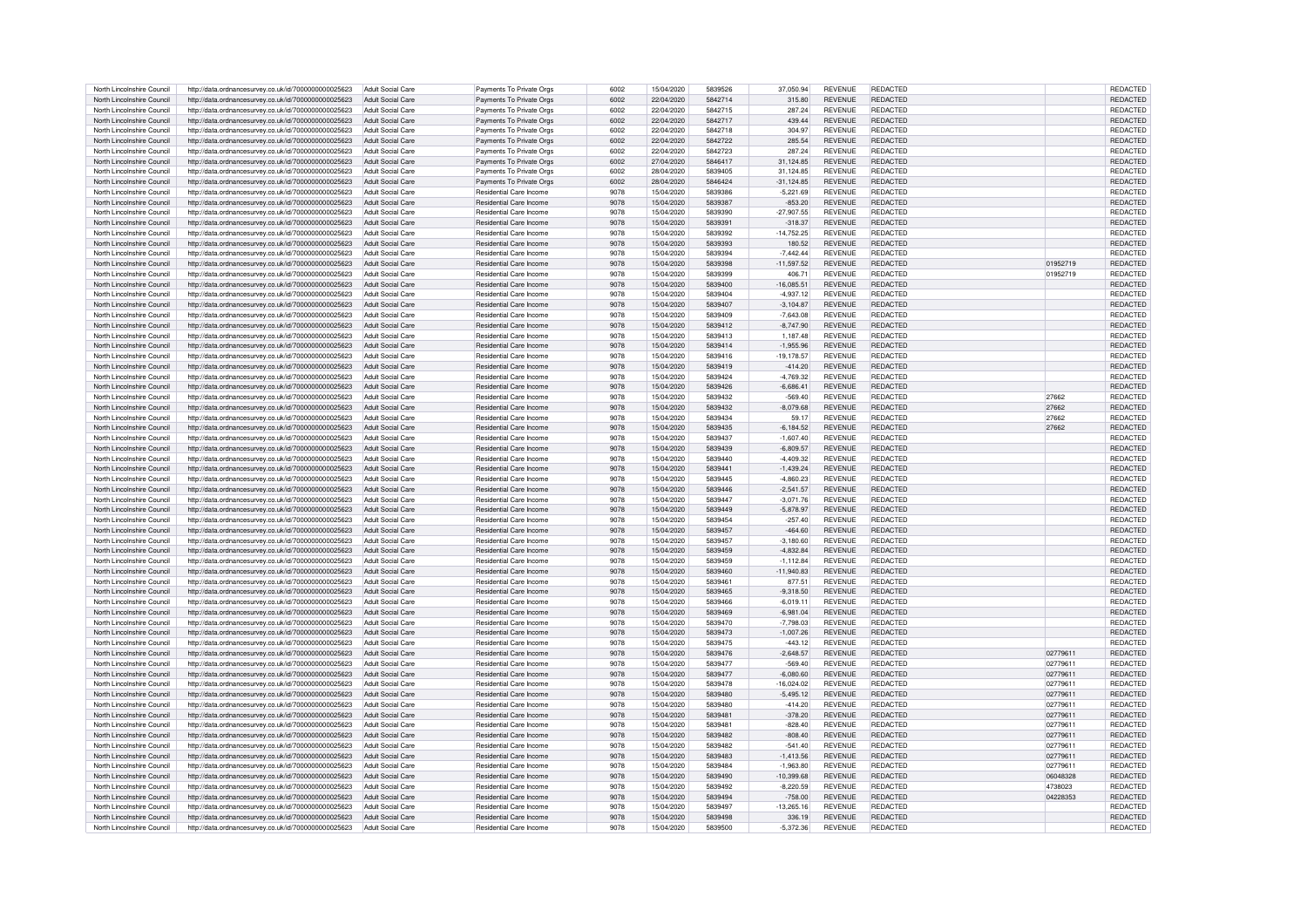| North Lincolnshire Council | http://data.ordnancesurvev.co.uk/id/7000000000025623 | Adult Social Care        | Payments To Private Orgs       | 6002 | 15/04/2020 | 5839526 | 37,050.94     | <b>REVENUE</b> | <b>REDACTED</b> |          | <b>REDACTED</b> |
|----------------------------|------------------------------------------------------|--------------------------|--------------------------------|------|------------|---------|---------------|----------------|-----------------|----------|-----------------|
| North Lincolnshire Council | http://data.ordnancesurvey.co.uk/id/7000000000025623 | Adult Social Care        | Payments To Private Orgs       | 6002 | 22/04/2020 | 5842714 | 315.80        | <b>REVENUE</b> | <b>REDACTED</b> |          | <b>REDACTED</b> |
| North Lincolnshire Council | http://data.ordnancesurvey.co.uk/id/7000000000025623 | Adult Social Care        | Payments To Private Orgs       | 6002 | 22/04/2020 | 5842715 | 287.24        | <b>REVENUE</b> | <b>REDACTED</b> |          | REDACTED        |
|                            |                                                      |                          |                                |      |            |         |               |                |                 |          |                 |
| North Lincolnshire Council | http://data.ordnancesurvey.co.uk/id/7000000000025623 | Adult Social Care        | Payments To Private Orgs       | 6002 | 22/04/2020 | 5842717 | 439.44        | <b>REVENUE</b> | <b>REDACTED</b> |          | REDACTED        |
| North Lincolnshire Council | http://data.ordnancesurvey.co.uk/id/7000000000025623 | Adult Social Care        | Payments To Private Orgs       | 6002 | 22/04/2020 | 5842718 | 304.97        | <b>REVENUE</b> | <b>REDACTED</b> |          | REDACTED        |
| North Lincolnshire Council | http://data.ordnancesurvey.co.uk/id/7000000000025623 | Adult Social Care        | Payments To Private Orgs       | 6002 | 22/04/2020 | 5842722 | 285.54        | <b>REVENUE</b> | <b>REDACTED</b> |          | REDACTED        |
| North Lincolnshire Council | http://data.ordnancesurvey.co.uk/id/7000000000025623 | Adult Social Care        | Payments To Private Orgs       | 6002 | 22/04/2020 | 5842723 | 287.24        | <b>REVENUE</b> | <b>REDACTED</b> |          | <b>REDACTED</b> |
| North Lincolnshire Council | http://data.ordnancesurvey.co.uk/id/7000000000025623 | <b>Adult Social Care</b> | Payments To Private Orgs       | 6002 | 27/04/2020 | 5846417 | 31,124.85     | <b>REVENUE</b> | REDACTED        |          | REDACTED        |
| North Lincolnshire Council | http://data.ordnancesurvey.co.uk/id/7000000000025623 | Adult Social Care        | Payments To Private Orgs       | 6002 | 28/04/2020 | 5839405 | 31,124.85     | <b>REVENUE</b> | <b>REDACTED</b> |          | REDACTED        |
| North Lincolnshire Council | http://data.ordnancesurvey.co.uk/id/7000000000025623 | <b>Adult Social Care</b> | Payments To Private Orgs       | 6002 | 28/04/2020 | 5846424 | $-31,124.85$  | <b>REVENUE</b> | <b>REDACTED</b> |          | REDACTED        |
| North Lincolnshire Council | http://data.ordnancesurvey.co.uk/id/7000000000025623 | Adult Social Care        | Residential Care Income        | 9078 | 15/04/2020 | 5839386 | $-5,221.69$   | <b>REVENUE</b> | <b>REDACTED</b> |          | REDACTED        |
| North Lincolnshire Council | http://data.ordnancesurvey.co.uk/id/7000000000025623 | Adult Social Care        | Residential Care Income        | 9078 | 15/04/2020 | 5839387 | $-853.20$     | <b>REVENUE</b> | <b>REDACTED</b> |          | <b>REDACTED</b> |
|                            |                                                      |                          |                                |      |            |         |               |                |                 |          |                 |
| North Lincolnshire Council | http://data.ordnancesurvey.co.uk/id/7000000000025623 | Adult Social Care        | <b>Residential Care Income</b> | 9078 | 15/04/2020 | 5839390 | $-27.907.55$  | <b>REVENUE</b> | <b>REDACTED</b> |          | <b>REDACTED</b> |
| North Lincolnshire Council | http://data.ordnancesurvey.co.uk/id/7000000000025623 | Adult Social Care        | <b>Residential Care Income</b> | 9078 | 15/04/2020 | 5839391 | $-318.37$     | <b>REVENUE</b> | <b>REDACTED</b> |          | <b>REDACTED</b> |
| North Lincolnshire Council | http://data.ordnancesurvey.co.uk/id/7000000000025623 | Adult Social Care        | Residential Care Income        | 9078 | 15/04/2020 | 5839392 | $-14,752.25$  | <b>REVENUE</b> | <b>REDACTED</b> |          | <b>REDACTED</b> |
| North Lincolnshire Council | http://data.ordnancesurvey.co.uk/id/7000000000025623 | Adult Social Care        | Residential Care Income        | 9078 | 15/04/2020 | 5839393 | 180.52        | <b>REVENUE</b> | <b>REDACTED</b> |          | <b>REDACTED</b> |
| North Lincolnshire Council | http://data.ordnancesurvey.co.uk/id/7000000000025623 | Adult Social Care        | Residential Care Income        | 9078 | 15/04/2020 | 5839394 | $-7.442.44$   | <b>REVENUE</b> | REDACTED        |          | <b>REDACTED</b> |
| North Lincolnshire Council | http://data.ordnancesurvey.co.uk/id/7000000000025623 | Adult Social Care        | Residential Care Income        | 9078 | 15/04/2020 | 5839398 | $-11,597.52$  | <b>REVENUE</b> | <b>REDACTED</b> | 01952719 | <b>REDACTED</b> |
| North Lincolnshire Council | http://data.ordnancesurvey.co.uk/id/7000000000025623 | Adult Social Care        | Residential Care Income        | 9078 | 15/04/2020 | 5839399 | 406.71        | <b>REVENUE</b> | <b>REDACTED</b> | 01952719 | <b>REDACTED</b> |
| North Lincolnshire Council | http://data.ordnancesurvey.co.uk/id/7000000000025623 | Adult Social Care        | Residential Care Income        | 9078 | 15/04/2020 | 5839400 | $-16.085.51$  | <b>REVENUE</b> | <b>REDACTED</b> |          | <b>REDACTED</b> |
|                            |                                                      |                          |                                |      |            |         |               |                | <b>REDACTED</b> |          |                 |
| North Lincolnshire Council | http://data.ordnancesurvey.co.uk/id/7000000000025623 | Adult Social Care        | Residential Care Income        | 9078 | 15/04/2020 | 5839404 | $-4,937.12$   | <b>REVENUE</b> |                 |          | <b>REDACTED</b> |
| North Lincolnshire Council | http://data.ordnancesurvey.co.uk/id/7000000000025623 | Adult Social Care        | Residential Care Income        | 9078 | 15/04/2020 | 5839407 | $-3,104.87$   | <b>REVENUE</b> | <b>REDACTED</b> |          | <b>REDACTED</b> |
| North Lincolnshire Council | http://data.ordnancesurvey.co.uk/id/7000000000025623 | Adult Social Care        | Residential Care Income        | 9078 | 15/04/2020 | 5839409 | $-7.643.08$   | <b>REVENUE</b> | REDACTED        |          | REDACTED        |
| North Lincolnshire Council | http://data.ordnancesurvev.co.uk/id/7000000000025623 | Adult Social Care        | Residential Care Income        | 9078 | 15/04/2020 | 5839412 | $-8.747.90$   | <b>REVENUE</b> | REDACTED        |          | <b>REDACTED</b> |
| North Lincolnshire Council | http://data.ordnancesurvey.co.uk/id/7000000000025623 | Adult Social Care        | <b>Besidential Care Income</b> | 9078 | 15/04/2020 | 5839413 | 1,187.48      | <b>REVENUE</b> | <b>REDACTED</b> |          | REDACTED        |
| North Lincolnshire Council | http://data.ordnancesurvey.co.uk/id/7000000000025623 | Adult Social Care        | Residential Care Income        | 9078 | 15/04/2020 | 5839414 | $-1.955.96$   | <b>REVENUE</b> | REDACTED        |          | <b>REDACTED</b> |
| North Lincolnshire Council | http://data.ordnancesurvey.co.uk/id/7000000000025623 | Adult Social Care        | Residential Care Income        | 9078 | 15/04/2020 | 5839416 | $-19, 178.57$ | <b>REVENUE</b> | REDACTED        |          | <b>REDACTED</b> |
| North Lincolnshire Council | http://data.ordnancesurvey.co.uk/id/7000000000025623 | Adult Social Care        | <b>Besidential Care Income</b> | 9078 | 15/04/2020 | 5839419 | $-414.20$     | <b>REVENUE</b> | <b>REDACTED</b> |          | <b>REDACTED</b> |
| North Lincolnshire Council | http://data.ordnancesurvey.co.uk/id/7000000000025623 | Adult Social Care        | Residential Care Income        | 9078 | 15/04/2020 | 5839424 | $-4.769.32$   | <b>REVENUE</b> | REDACTED        |          | REDACTED        |
|                            |                                                      |                          |                                |      |            |         |               |                |                 |          |                 |
| North Lincolnshire Council | http://data.ordnancesurvey.co.uk/id/7000000000025623 | Adult Social Care        | Residential Care Income        | 9078 | 15/04/2020 | 5839426 | $-6.686.41$   | <b>REVENUE</b> | <b>REDACTED</b> |          | REDACTED        |
| North Lincolnshire Council | http://data.ordnancesurvey.co.uk/id/7000000000025623 | Adult Social Care        | <b>Besidential Care Income</b> | 9078 | 15/04/2020 | 5839432 | $-569.40$     | <b>REVENUE</b> | REDACTED        | 27662    | REDACTED        |
| North Lincolnshire Council | http://data.ordnancesurvey.co.uk/id/7000000000025623 | Adult Social Care        | Residential Care Income        | 9078 | 15/04/2020 | 5839432 | $-8.079.68$   | <b>REVENUE</b> | REDACTED        | 27662    | <b>REDACTED</b> |
| North Lincolnshire Council | http://data.ordnancesurvey.co.uk/id/7000000000025623 | Adult Social Care        | <b>Residential Care Income</b> | 9078 | 15/04/2020 | 5839434 | 59.17         | <b>REVENUE</b> | <b>REDACTED</b> | 27662    | REDACTED        |
| North Lincolnshire Council | http://data.ordnancesurvey.co.uk/id/7000000000025623 | Adult Social Care        | Residential Care Income        | 9078 | 15/04/2020 | 5839435 | $-6,184.52$   | <b>REVENUE</b> | REDACTED        | 27662    | REDACTED        |
| North Lincolnshire Council | http://data.ordnancesurvey.co.uk/id/7000000000025623 | Adult Social Care        | Residential Care Income        | 9078 | 15/04/2020 | 5839437 | $-1.607.40$   | <b>REVENUE</b> | <b>REDACTED</b> |          | <b>REDACTED</b> |
| North Lincolnshire Council | http://data.ordnancesurvey.co.uk/id/7000000000025623 | Adult Social Care        | <b>Residential Care Income</b> | 9078 | 15/04/2020 | 5839439 | $-6,809.57$   | <b>REVENUE</b> | <b>REDACTED</b> |          | <b>REDACTED</b> |
| North Lincolnshire Council | http://data.ordnancesurvey.co.uk/id/7000000000025623 | <b>Adult Social Care</b> | <b>Besidential Care Income</b> | 9078 | 15/04/2020 | 5839440 | $-4.409.32$   | <b>REVENUE</b> | <b>REDACTED</b> |          | <b>REDACTED</b> |
| North Lincolnshire Council | http://data.ordnancesurvey.co.uk/id/7000000000025623 | Adult Social Care        | Residential Care Income        | 9078 | 15/04/2020 | 5839441 | $-1,439.24$   | <b>REVENUE</b> | <b>REDACTED</b> |          | <b>REDACTED</b> |
|                            |                                                      |                          |                                |      |            |         |               |                |                 |          |                 |
| North Lincolnshire Council | http://data.ordnancesurvey.co.uk/id/7000000000025623 | Adult Social Care        | Residential Care Income        | 9078 | 15/04/2020 | 5839445 | $-4,860.23$   | <b>REVENUE</b> | <b>REDACTED</b> |          | <b>REDACTED</b> |
| North Lincolnshire Council | http://data.ordnancesurvey.co.uk/id/7000000000025623 | Adult Social Care        | Residential Care Income        | 9078 | 15/04/2020 | 5839446 | $-2.541.57$   | <b>REVENUE</b> | <b>REDACTED</b> |          | <b>REDACTED</b> |
| North Lincolnshire Council | http://data.ordnancesurvey.co.uk/id/7000000000025623 | Adult Social Care        | Residential Care Income        | 9078 | 15/04/2020 | 5839447 | $-3.071.76$   | <b>REVENUE</b> | <b>REDACTED</b> |          | REDACTED        |
| North Lincolnshire Council | http://data.ordnancesurvey.co.uk/id/7000000000025623 | Adult Social Care        | Residential Care Income        | 9078 | 15/04/2020 | 5839449 | $-5.878.97$   | <b>REVENUE</b> | <b>REDACTED</b> |          | REDACTED        |
| North Lincolnshire Council | http://data.ordnancesurvev.co.uk/id/7000000000025623 | Adult Social Care        | <b>Residential Care Income</b> | 9078 | 15/04/2020 | 5839454 | $-257.40$     | <b>REVENUE</b> | <b>REDACTED</b> |          | REDACTED        |
| North Lincolnshire Council | http://data.ordnancesurvey.co.uk/id/7000000000025623 | Adult Social Care        | Residential Care Income        | 9078 | 15/04/2020 | 5839457 | $-464.60$     | <b>REVENUE</b> | <b>REDACTED</b> |          | <b>REDACTED</b> |
| North Lincolnshire Council | http://data.ordnancesurvey.co.uk/id/7000000000025623 | Adult Social Care        | <b>Besidential Care Income</b> | 9078 | 15/04/2020 | 5839457 | $-3,180.60$   | <b>REVENUE</b> | <b>REDACTED</b> |          | REDACTED        |
| North Lincolnshire Council | http://data.ordnancesurvey.co.uk/id/7000000000025623 | Adult Social Care        | Residential Care Income        | 9078 | 15/04/2020 | 5839459 | $-4.832.84$   | <b>REVENUE</b> | REDACTED        |          | REDACTED        |
|                            |                                                      |                          |                                |      |            |         |               |                |                 |          |                 |
| North Lincolnshire Council | http://data.ordnancesurvev.co.uk/id/7000000000025623 | Adult Social Care        | Residential Care Income        | 9078 | 15/04/2020 | 5839459 | $-1.112.84$   | <b>REVENUE</b> | REDACTED        |          | REDACTED        |
| North Lincolnshire Council | http://data.ordnancesurvey.co.uk/id/7000000000025623 | Adult Social Care        | <b>Besidential Care Income</b> | 9078 | 15/04/2020 | 5839460 | $-11,940.83$  | <b>REVENUE</b> | <b>REDACTED</b> |          | <b>REDACTED</b> |
| North Lincolnshire Council | http://data.ordnancesurvey.co.uk/id/7000000000025623 | <b>Adult Social Care</b> | <b>Besidential Care Income</b> | 9078 | 15/04/2020 | 5839461 | 877.51        | <b>REVENUE</b> | <b>REDACTED</b> |          | <b>REDACTED</b> |
| North Lincolnshire Council | http://data.ordnancesurvey.co.uk/id/7000000000025623 | Adult Social Care        | Residential Care Income        | 9078 | 15/04/2020 | 5839465 | $-9,318.50$   | <b>REVENUE</b> | <b>REDACTED</b> |          | REDACTED        |
| North Lincolnshire Council | http://data.ordnancesurvey.co.uk/id/7000000000025623 | Adult Social Care        | <b>Residential Care Income</b> | 9078 | 15/04/2020 | 5839466 | $-6.019.11$   | <b>REVENUE</b> | REDACTED        |          | REDACTED        |
| North Lincolnshire Council | http://data.ordnancesurvey.co.uk/id/7000000000025623 | Adult Social Care        | <b>Besidential Care Income</b> | 9078 | 15/04/2020 | 5839469 | $-6.981.04$   | <b>REVENUE</b> | <b>REDACTED</b> |          | REDACTED        |
| North Lincolnshire Council | http://data.ordnancesurvey.co.uk/id/7000000000025623 | Adult Social Care        | <b>Besidential Care Income</b> | 9078 | 15/04/2020 | 5839470 | $-7.798.03$   | <b>REVENUE</b> | <b>REDACTED</b> |          | REDACTED        |
| North Lincolnshire Council | http://data.ordnancesurvey.co.uk/id/7000000000025623 | Adult Social Care        | <b>Besidential Care Income</b> | 9078 | 15/04/2020 | 5839473 | $-1,007.26$   | <b>REVENUE</b> | <b>REDACTED</b> |          | REDACTED        |
| North Lincolnshire Council | http://data.ordnancesurvey.co.uk/id/7000000000025623 | <b>Adult Social Care</b> | Residential Care Income        | 9078 | 15/04/2020 | 5839475 | $-443.12$     | <b>REVENUE</b> | <b>REDACTED</b> |          | REDACTED        |
| North Lincolnshire Council |                                                      | <b>Adult Social Care</b> | <b>Besidential Care Income</b> | 9078 |            |         |               | <b>REVENUE</b> | <b>REDACTED</b> | 02779611 |                 |
|                            | http://data.ordnancesurvey.co.uk/id/7000000000025623 |                          |                                |      | 15/04/2020 | 5839476 | $-2,648.57$   |                |                 |          | REDACTED        |
| North Lincolnshire Council | http://data.ordnancesurvey.co.uk/id/7000000000025623 | <b>Adult Social Care</b> | Residential Care Income        | 9078 | 15/04/2020 | 5839477 | $-569.40$     | <b>REVENUE</b> | REDACTED        | 02779611 | REDACTED        |
| North Lincolnshire Council | http://data.ordnancesurvey.co.uk/id/7000000000025623 | <b>Adult Social Care</b> | Residential Care Income        | 9078 | 15/04/2020 | 5839477 | $-6,080.60$   | <b>REVENUE</b> | <b>REDACTED</b> | 02779611 | REDACTED        |
| North Lincolnshire Council | http://data.ordnancesurvey.co.uk/id/7000000000025623 | Adult Social Care        | Residential Care Income        | 9078 | 15/04/2020 | 5839478 | $-16,024.02$  | <b>REVENUE</b> | <b>REDACTED</b> | 02779611 | REDACTED        |
| North Lincolnshire Council | http://data.ordnancesurvey.co.uk/id/7000000000025623 | <b>Adult Social Care</b> | <b>Besidential Care Income</b> | 9078 | 15/04/2020 | 5839480 | $-5.495.12$   | <b>REVENUE</b> | <b>REDACTED</b> | 02779611 | <b>REDACTED</b> |
| North Lincolnshire Council | http://data.ordnancesurvey.co.uk/id/7000000000025623 | Adult Social Care        | Residential Care Income        | 9078 | 15/04/2020 | 5839480 | $-414.20$     | <b>REVENUE</b> | <b>REDACTED</b> | 02779611 | <b>REDACTED</b> |
| North Lincolnshire Council | http://data.ordnancesurvey.co.uk/id/7000000000025623 | <b>Adult Social Care</b> | Residential Care Income        | 9078 | 15/04/2020 | 5839481 | $-378.20$     | <b>REVENUE</b> | <b>REDACTED</b> | 02779611 | <b>REDACTED</b> |
| North Lincolnshire Council | http://data.ordnancesurvey.co.uk/id/7000000000025623 | Adult Social Care        | Residential Care Income        | 9078 | 15/04/2020 | 5839481 | $-828.40$     | <b>REVENUE</b> | REDACTED        | 02779611 | <b>REDACTED</b> |
| North Lincolnshire Council | http://data.ordnancesurvey.co.uk/id/7000000000025623 | Adult Social Care        | Residential Care Income        | 9078 | 15/04/2020 | 5839482 | $-808.40$     | <b>REVENUE</b> | <b>REDACTED</b> | 02779611 | <b>REDACTED</b> |
| North Lincolnshire Council | http://data.ordnancesurvey.co.uk/id/7000000000025623 | Adult Social Care        | <b>Residential Care Income</b> | 9078 | 15/04/2020 | 5839482 | $-541.40$     | <b>REVENUE</b> | REDACTED        | 0277961  | <b>REDACTED</b> |
|                            |                                                      |                          |                                |      |            |         |               |                | <b>REDACTED</b> |          |                 |
| North Lincolnshire Council | http://data.ordnancesurvey.co.uk/id/7000000000025623 | Adult Social Care        | <b>Besidential Care Income</b> | 9078 | 15/04/2020 | 5839483 | $-1.413.56$   | <b>REVENUE</b> |                 | 02779611 | <b>REDACTED</b> |
| North Lincolnshire Council | http://data.ordnancesurvey.co.uk/id/7000000000025623 | Adult Social Care        | <b>Besidential Care Income</b> | 9078 | 15/04/2020 | 5839484 | $-1.963.80$   | <b>REVENUE</b> | REDACTED        | 02779611 | <b>REDACTED</b> |
| North Lincolnshire Council | http://data.ordnancesurvey.co.uk/id/7000000000025623 | Adult Social Care        | Residential Care Income        | 9078 | 15/04/2020 | 5839490 | $-10,399.68$  | <b>REVENUE</b> | REDACTED        | 06048328 | <b>REDACTED</b> |
| North Lincolnshire Council | http://data.ordnancesurvey.co.uk/id/7000000000025623 | Adult Social Care        | Residential Care Income        | 9078 | 15/04/2020 | 5839492 | $-8,220.59$   | <b>REVENUE</b> | REDACTED        | 4738023  | REDACTED        |
| North Lincolnshire Council | http://data.ordnancesurvey.co.uk/id/7000000000025623 | Adult Social Care        | Residential Care Income        | 9078 | 15/04/2020 | 5839494 | $-758.00$     | <b>REVENUE</b> | <b>REDACTED</b> | 04228353 | <b>REDACTED</b> |
| North Lincolnshire Council | http://data.ordnancesurvey.co.uk/id/7000000000025623 | Adult Social Care        | <b>Besidential Care Income</b> | 9078 | 15/04/2020 | 5839497 | 13.265.16     | <b>REVENUE</b> | <b>REDACTED</b> |          | REDACTED        |
| North Lincolnshire Council | http://data.ordnancesurvey.co.uk/id/7000000000025623 | Adult Social Care        | Residential Care Income        | 9078 | 15/04/2020 | 5839498 | 336.19        | <b>REVENUE</b> | REDACTED        |          | <b>REDACTED</b> |
| North Lincolnshire Council | http://data.ordnancesurvey.co.uk/id/7000000000025623 | Adult Social Care        | <b>Besidential Care Income</b> | 9078 | 15/04/2020 | 5839500 | $-5,372.36$   | <b>REVENUE</b> | <b>REDACTED</b> |          | <b>REDACTED</b> |
|                            |                                                      |                          |                                |      |            |         |               |                |                 |          |                 |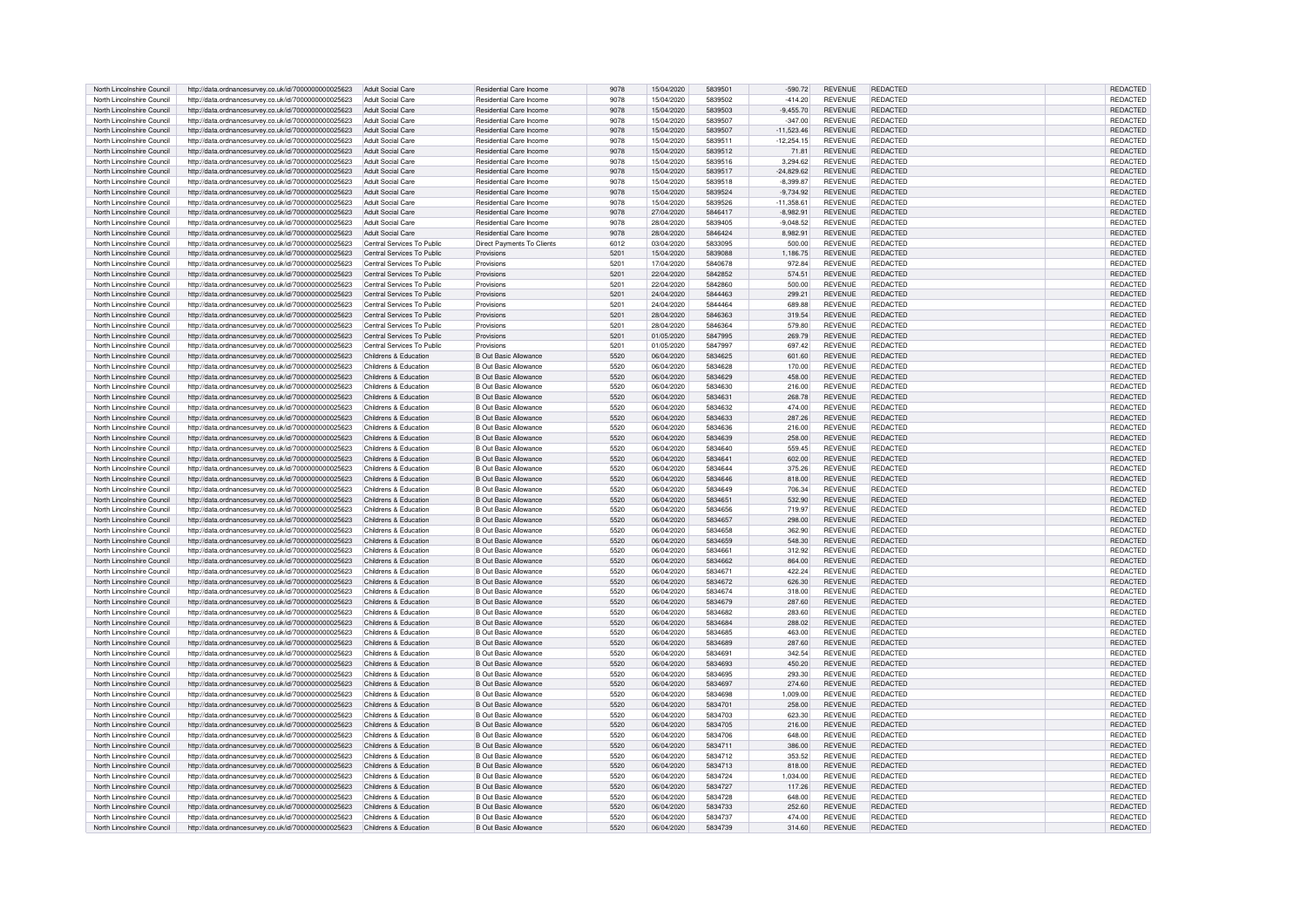| North Lincolnshire Council | http://data.ordnancesurvey.co.uk/id/7000000000025623 | Adult Social Care          | Residential Care Income        | 9078 | 15/04/2020 | 5839501 | $-590.72$    | <b>REVENUE</b> | <b>REDACTED</b> | <b>REDACTED</b> |
|----------------------------|------------------------------------------------------|----------------------------|--------------------------------|------|------------|---------|--------------|----------------|-----------------|-----------------|
| North Lincolnshire Council | http://data.ordnancesurvey.co.uk/id/7000000000025623 | Adult Social Care          | Residential Care Income        | 9078 | 15/04/2020 | 5839502 | $-414.20$    | <b>REVENUE</b> | <b>REDACTED</b> | REDACTED        |
| North Lincolnshire Council | http://data.ordnancesurvey.co.uk/id/7000000000025623 | Adult Social Care          | <b>Besidential Care Income</b> | 9078 | 15/04/2020 | 5839503 | $-9.455.70$  | <b>REVENUE</b> | <b>REDACTED</b> | <b>REDACTED</b> |
|                            |                                                      |                            |                                |      |            |         |              |                |                 |                 |
| North Lincolnshire Council | http://data.ordnancesurvey.co.uk/id/7000000000025623 | Adult Social Care          | Residential Care Income        | 9078 | 15/04/2020 | 5839507 | $-347.00$    | <b>REVENUE</b> | <b>REDACTED</b> | REDACTED        |
| North Lincolnshire Council | http://data.ordnancesurvey.co.uk/id/7000000000025623 | Adult Social Care          | <b>Besidential Care Income</b> | 9078 | 15/04/2020 | 5839507 | $-11,523.46$ | <b>REVENUE</b> | <b>REDACTED</b> | REDACTED        |
| North Lincolnshire Council | http://data.ordnancesurvey.co.uk/id/7000000000025623 | Adult Social Care          | <b>Besidential Care Income</b> | 9078 | 15/04/2020 | 5839511 | $-12.254.15$ | <b>REVENUE</b> | <b>REDACTED</b> | REDACTED        |
| North Lincolnshire Council | http://data.ordnancesurvey.co.uk/id/7000000000025623 | Adult Social Care          | <b>Besidential Care Income</b> | 9078 | 15/04/2020 | 5839512 | 71.81        | <b>REVENUE</b> | <b>REDACTED</b> | REDACTED        |
| North Lincolnshire Council | http://data.ordnancesurvey.co.uk/id/7000000000025623 | <b>Adult Social Care</b>   | Residential Care Income        | 9078 | 15/04/2020 | 5839516 | 3,294.62     | <b>REVENUE</b> | REDACTED        | REDACTED        |
| North Lincolnshire Council |                                                      | <b>Adult Social Care</b>   | Residential Care Income        | 9078 | 15/04/2020 | 5839517 | $-24.829.62$ | <b>REVENUE</b> | REDACTED        | REDACTED        |
|                            | http://data.ordnancesurvey.co.uk/id/7000000000025623 |                            |                                |      |            |         |              |                |                 |                 |
| North Lincolnshire Council | http://data.ordnancesurvey.co.uk/id/7000000000025623 | <b>Adult Social Care</b>   | Residential Care Income        | 9078 | 15/04/2020 | 5839518 | $-8,399.87$  | <b>REVENUE</b> | <b>REDACTED</b> | REDACTED        |
| North Lincolnshire Council | http://data.ordnancesurvey.co.uk/id/7000000000025623 | Adult Social Care          | Residential Care Income        | 9078 | 15/04/2020 | 5839524 | $-9,734.92$  | REVENUE        | <b>REDACTED</b> | REDACTED        |
| North Lincolnshire Council | http://data.ordnancesurvey.co.uk/id/7000000000025623 | Adult Social Care          | Residential Care Income        | 9078 | 15/04/2020 | 5839526 | $-11.358.61$ | <b>REVENUE</b> | <b>REDACTED</b> | REDACTED        |
| North Lincolnshire Council | http://data.ordnancesurvey.co.uk/id/7000000000025623 | Adult Social Care          | Residential Care Income        | 9078 | 27/04/2020 | 5846417 | $-8.982.91$  | <b>REVENUE</b> | <b>REDACTED</b> | <b>REDACTED</b> |
| North Lincolnshire Council | http://data.ordnancesurvey.co.uk/id/7000000000025623 | Adult Social Care          | Residential Care Income        | 9078 | 28/04/2020 | 5839405 | $-9,048.52$  | <b>REVENUE</b> | <b>REDACTED</b> | <b>REDACTED</b> |
| North Lincolnshire Council | http://data.ordnancesurvey.co.uk/id/7000000000025623 | Adult Social Care          | Residential Care Income        | 9078 | 28/04/2020 | 5846424 | 8,982.91     | <b>REVENUE</b> | <b>REDACTED</b> | <b>REDACTED</b> |
|                            |                                                      |                            |                                |      |            | 5833095 |              |                |                 |                 |
| North Lincolnshire Council | http://data.ordnancesurvey.co.uk/id/7000000000025623 | Central Services To Public | Direct Payments To Clients     | 6012 | 03/04/2020 |         | 500.00       | <b>REVENUE</b> | <b>REDACTED</b> | <b>REDACTED</b> |
| North Lincolnshire Council | http://data.ordnancesurvey.co.uk/id/7000000000025623 | Central Services To Public | Provisions                     | 5201 | 15/04/2020 | 5839088 | 1.186.75     | <b>REVENUE</b> | <b>REDACTED</b> | <b>REDACTED</b> |
| North Lincolnshire Council | http://data.ordnancesurvey.co.uk/id/7000000000025623 | Central Services To Public | Provisions                     | 5201 | 17/04/2020 | 5840678 | 972.84       | <b>REVENUE</b> | <b>REDACTED</b> | <b>REDACTED</b> |
| North Lincolnshire Council | http://data.ordnancesurvey.co.uk/id/7000000000025623 | Central Services To Public | Provisions                     | 5201 | 22/04/2020 | 5842852 | 574.51       | <b>REVENUE</b> | <b>REDACTED</b> | REDACTED        |
| North Lincolnshire Council | http://data.ordnancesurvey.co.uk/id/7000000000025623 | Central Services To Public | Provisions                     | 5201 | 22/04/2020 | 5842860 | 500.00       | <b>REVENUE</b> | REDACTED        | <b>REDACTED</b> |
| North Lincolnshire Council | http://data.ordnancesurvey.co.uk/id/7000000000025623 | Central Services To Public | Provisions                     | 5201 | 24/04/2020 | 5844463 | 299.21       | <b>REVENUE</b> | <b>REDACTED</b> | <b>REDACTED</b> |
|                            |                                                      |                            |                                |      |            |         |              |                |                 |                 |
| North Lincolnshire Council | http://data.ordnancesurvey.co.uk/id/7000000000025623 | Central Services To Public | Provisions                     | 5201 | 24/04/2020 | 5844464 | 689.88       | <b>REVENUE</b> | <b>REDACTED</b> | <b>REDACTED</b> |
| North Lincolnshire Council | http://data.ordnancesurvey.co.uk/id/7000000000025623 | Central Services To Public | Provisions                     | 5201 | 28/04/2020 | 5846363 | 319.54       | <b>REVENUE</b> | REDACTED        | <b>REDACTED</b> |
| North Lincolnshire Council | http://data.ordnancesurvey.co.uk/id/7000000000025623 | Central Services To Public | Provisions                     | 5201 | 28/04/2020 | 5846364 | 579.80       | <b>REVENUE</b> | REDACTED        | <b>REDACTED</b> |
| North Lincolnshire Council | http://data.ordnancesurvey.co.uk/id/7000000000025623 | Central Services To Public | Provisions                     | 5201 | 01/05/2020 | 5847995 | 269.79       | <b>REVENUE</b> | <b>REDACTED</b> | <b>REDACTED</b> |
| North Lincolnshire Council | http://data.ordnancesurvey.co.uk/id/7000000000025623 | Central Services To Public | Provisions                     | 5201 | 01/05/2020 | 5847997 | 697.42       | <b>REVENUE</b> | <b>REDACTED</b> | <b>REDACTED</b> |
| North Lincolnshire Council | http://data.ordnancesurvey.co.uk/id/7000000000025623 | Childrens & Education      | <b>B Out Basic Allowance</b>   | 5520 | 06/04/2020 | 5834625 | 601.60       | <b>REVENUE</b> | <b>REDACTED</b> | <b>REDACTED</b> |
| North Lincolnshire Council |                                                      | Childrens & Education      | B Out Basic Allowance          | 5520 | 06/04/2020 | 5834628 | 170.00       | <b>REVENUE</b> | REDACTED        | REDACTED        |
|                            | http://data.ordnancesurvey.co.uk/id/7000000000025623 |                            |                                |      |            |         |              |                |                 |                 |
| North Lincolnshire Council | http://data.ordnancesurvey.co.uk/id/7000000000025623 | Childrens & Education      | <b>B Out Basic Allowance</b>   | 5520 | 06/04/2020 | 5834629 | 458.00       | <b>REVENUE</b> | REDACTED        | REDACTED        |
| North Lincolnshire Council | http://data.ordnancesurvey.co.uk/id/7000000000025623 | Childrens & Education      | B Out Basic Allowance          | 5520 | 06/04/2020 | 5834630 | 216.00       | <b>REVENUE</b> | <b>REDACTED</b> | REDACTED        |
| North Lincolnshire Council | http://data.ordnancesurvey.co.uk/id/7000000000025623 | Childrens & Education      | <b>B Out Basic Allowance</b>   | 5520 | 06/04/2020 | 5834631 | 268.78       | <b>REVENUE</b> | REDACTED        | REDACTED        |
| North Lincolnshire Council | http://data.ordnancesurvey.co.uk/id/7000000000025623 | Childrens & Education      | B Out Basic Allowance          | 5520 | 06/04/2020 | 5834632 | 474.00       | <b>REVENUE</b> | REDACTED        | REDACTED        |
| North Lincolnshire Council | http://data.ordnancesurvey.co.uk/id/7000000000025623 | Childrens & Education      | <b>B Out Basic Allowance</b>   | 5520 | 06/04/2020 | 5834633 | 287.26       | <b>REVENUE</b> | <b>REDACTED</b> | REDACTED        |
|                            |                                                      |                            |                                |      |            |         |              |                |                 |                 |
| North Lincolnshire Council | http://data.ordnancesurvey.co.uk/id/7000000000025623 | Childrens & Education      | <b>B Out Basic Allowance</b>   | 5520 | 06/04/2020 | 5834636 | 216.00       | <b>REVENUE</b> | <b>REDACTED</b> | REDACTED        |
| North Lincolnshire Council | http://data.ordnancesurvey.co.uk/id/7000000000025623 | Childrens & Education      | B Out Basic Allowance          | 5520 | 06/04/2020 | 5834639 | 258.00       | <b>REVENUE</b> | <b>REDACTED</b> | <b>REDACTED</b> |
| North Lincolnshire Council | http://data.ordnancesurvey.co.uk/id/7000000000025623 | Childrens & Education      | <b>B Out Basic Allowance</b>   | 5520 | 06/04/2020 | 5834640 | 559.45       | <b>REVENUE</b> | <b>REDACTED</b> | <b>REDACTED</b> |
| North Lincolnshire Council | http://data.ordnancesurvey.co.uk/id/7000000000025623 | Childrens & Education      | <b>B Out Basic Allowance</b>   | 5520 | 06/04/2020 | 5834641 | 602.00       | <b>REVENUE</b> | <b>REDACTED</b> | <b>REDACTED</b> |
| North Lincolnshire Council | http://data.ordnancesurvey.co.uk/id/7000000000025623 | Childrens & Education      | <b>B Out Basic Allowance</b>   | 5520 | 06/04/2020 | 5834644 | 375.26       | <b>REVENUE</b> | <b>REDACTED</b> | <b>REDACTED</b> |
| North Lincolnshire Council | http://data.ordnancesurvey.co.uk/id/7000000000025623 | Childrens & Education      | <b>B Out Basic Allowance</b>   | 5520 | 06/04/2020 | 5834646 | 818.00       | <b>REVENUE</b> | <b>REDACTED</b> | <b>REDACTED</b> |
| North Lincolnshire Council |                                                      | Childrens & Education      | <b>B Out Basic Allowance</b>   | 5520 | 06/04/2020 | 5834649 | 706.34       | <b>REVENUE</b> | <b>REDACTED</b> |                 |
|                            | http://data.ordnancesurvey.co.uk/id/7000000000025623 |                            |                                |      |            |         |              |                |                 | <b>REDACTED</b> |
| North Lincolnshire Council | http://data.ordnancesurvey.co.uk/id/7000000000025623 | Childrens & Education      | <b>B Out Basic Allowance</b>   | 5520 | 06/04/2020 | 5834651 | 532.90       | <b>REVENUE</b> | <b>REDACTED</b> | REDACTED        |
| North Lincolnshire Council | http://data.ordnancesurvey.co.uk/id/7000000000025623 | Childrens & Education      | <b>B</b> Out Basic Allowance   | 5520 | 06/04/2020 | 5834656 | 719.97       | <b>REVENUE</b> | <b>REDACTED</b> | REDACTED        |
| North Lincolnshire Council | http://data.ordnancesurvey.co.uk/id/7000000000025623 | Childrens & Education      | <b>B</b> Out Basic Allowance   | 5520 | 06/04/2020 | 5834657 | 298.00       | <b>REVENUE</b> | <b>REDACTED</b> | <b>REDACTED</b> |
| North Lincolnshire Council | http://data.ordnancesurvev.co.uk/id/7000000000025623 | Childrens & Education      | B Out Basic Allowance          | 5520 | 06/04/2020 | 5834658 | 362.90       | <b>REVENUE</b> | <b>REDACTED</b> | REDACTED        |
| North Lincolnshire Council | http://data.ordnancesurvey.co.uk/id/7000000000025623 | Childrens & Education      | <b>B Out Basic Allowance</b>   | 5520 | 06/04/2020 | 5834659 | 548.30       | <b>REVENUE</b> | <b>REDACTED</b> | REDACTED        |
| North Lincolnshire Council | http://data.ordnancesurvey.co.uk/id/7000000000025623 | Childrens & Education      | <b>B Out Basic Allowance</b>   | 5520 | 06/04/2020 | 5834661 | 312.92       | <b>REVENUE</b> | REDACTED        | REDACTED        |
|                            |                                                      |                            |                                |      |            |         |              |                |                 |                 |
| North Lincolnshire Council | http://data.ordnancesurvey.co.uk/id/7000000000025623 | Childrens & Education      | B Out Basic Allowance          | 5520 | 06/04/2020 | 5834662 | 864.00       | <b>REVENUE</b> | REDACTED        | REDACTED        |
| North Lincolnshire Council | http://data.ordnancesurvey.co.uk/id/7000000000025623 | Childrens & Education      | B Out Basic Allowance          | 5520 | 06/04/2020 | 5834671 | 422.24       | <b>REVENUE</b> | <b>REDACTED</b> | <b>REDACTED</b> |
| North Lincolnshire Council | http://data.ordnancesurvey.co.uk/id/7000000000025623 | Childrens & Education      | B Out Basic Allowance          | 5520 | 06/04/2020 | 5834672 | 626.30       | <b>REVENUE</b> | <b>REDACTED</b> | REDACTED        |
| North Lincolnshire Council | http://data.ordnancesurvey.co.uk/id/7000000000025623 | Childrens & Education      | <b>B Out Basic Allowance</b>   | 5520 | 06/04/2020 | 5834674 | 318.00       | <b>REVENUE</b> | <b>REDACTED</b> | REDACTED        |
| North Lincolnshire Council | http://data.ordnancesurvey.co.uk/id/7000000000025623 | Childrens & Education      | B Out Basic Allowance          | 5520 | 06/04/2020 | 5834679 | 287.60       | <b>REVENUE</b> | <b>REDACTED</b> | <b>REDACTED</b> |
| North Lincolnshire Council | http://data.ordnancesurvey.co.uk/id/7000000000025623 | Childrens & Education      | B Out Basic Allowance          | 5520 | 06/04/2020 | 5834682 | 283.60       | <b>REVENUE</b> | <b>REDACTED</b> | REDACTED        |
|                            |                                                      |                            |                                | 5520 |            | 5834684 |              |                |                 |                 |
| North Lincolnshire Council | http://data.ordnancesurvey.co.uk/id/7000000000025623 | Childrens & Education      | B Out Basic Allowance          |      | 06/04/2020 |         | 288.02       | <b>REVENUE</b> | <b>REDACTED</b> | REDACTED        |
| North Lincolnshire Council | http://data.ordnancesurvey.co.uk/id/7000000000025623 | Childrens & Education      | B Out Basic Allowance          | 5520 | 06/04/2020 | 5834685 | 463.00       | <b>REVENUE</b> | <b>REDACTED</b> | REDACTED        |
| North Lincolnshire Council | http://data.ordnancesurvey.co.uk/id/7000000000025623 | Childrens & Education      | B Out Basic Allowance          | 5520 | 06/04/2020 | 5834689 | 287.60       | <b>REVENUE</b> | <b>REDACTED</b> | REDACTED        |
| North Lincolnshire Council | http://data.ordnancesurvey.co.uk/id/7000000000025623 | Childrens & Education      | <b>B Out Basic Allowance</b>   | 5520 | 06/04/2020 | 5834691 | 342.54       | <b>REVENUE</b> | <b>REDACTED</b> | REDACTED        |
| North Lincolnshire Council | http://data.ordnancesurvey.co.uk/id/7000000000025623 | Childrens & Education      | <b>B Out Basic Allowance</b>   | 5520 | 06/04/2020 | 5834693 | 450.20       | <b>REVENUE</b> | <b>REDACTED</b> | REDACTED        |
| North Lincolnshire Council | http://data.ordnancesurvey.co.uk/id/7000000000025623 | Childrens & Education      | <b>B Out Basic Allowance</b>   | 5520 | 06/04/2020 | 5834695 | 293.30       | <b>REVENUE</b> | <b>REDACTED</b> | REDACTED        |
| North Lincolnshire Council | http://data.ordnancesurvey.co.uk/id/7000000000025623 | Childrens & Education      | <b>B Out Basic Allowance</b>   | 5520 | 06/04/2020 | 5834697 | 274.60       | <b>REVENUE</b> | <b>REDACTED</b> | REDACTED        |
|                            |                                                      |                            |                                |      |            |         |              |                |                 |                 |
| North Lincolnshire Council | http://data.ordnancesurvey.co.uk/id/7000000000025623 | Childrens & Education      | B Out Basic Allowance          | 5520 | 06/04/2020 | 5834698 | 1.009.00     | <b>REVENUE</b> | <b>REDACTED</b> | REDACTED        |
| North Lincolnshire Council | http://data.ordnancesurvey.co.uk/id/7000000000025623 | Childrens & Education      | <b>B Out Basic Allowance</b>   | 5520 | 06/04/2020 | 5834701 | 258.00       | <b>REVENUE</b> | <b>REDACTED</b> | <b>REDACTED</b> |
| North Lincolnshire Council | http://data.ordnancesurvey.co.uk/id/7000000000025623 | Childrens & Education      | <b>B Out Basic Allowance</b>   | 5520 | 06/04/2020 | 5834703 | 623.30       | <b>REVENUE</b> | <b>REDACTED</b> | <b>REDACTED</b> |
| North Lincolnshire Council | http://data.ordnancesurvey.co.uk/id/7000000000025623 | Childrens & Education      | <b>B Out Basic Allowance</b>   | 5520 | 06/04/2020 | 5834705 | 216.00       | <b>REVENUE</b> | <b>REDACTED</b> | <b>REDACTED</b> |
| North Lincolnshire Council | http://data.ordnancesurvey.co.uk/id/7000000000025623 | Childrens & Education      | <b>B Out Basic Allowance</b>   | 5520 | 06/04/2020 | 5834706 | 648.00       | <b>REVENUE</b> | <b>REDACTED</b> | <b>REDACTED</b> |
| North Lincolnshire Council | http://data.ordnancesurvey.co.uk/id/7000000000025623 | Childrens & Education      | <b>B Out Basic Allowance</b>   | 5520 | 06/04/2020 | 5834711 | 386.00       | <b>REVENUE</b> | <b>REDACTED</b> | <b>REDACTED</b> |
|                            |                                                      |                            |                                | 5520 | 06/04/2020 | 5834712 |              | <b>REVENUE</b> |                 |                 |
| North Lincolnshire Council | http://data.ordnancesurvey.co.uk/id/7000000000025623 | Childrens & Education      | <b>B Out Basic Allowance</b>   |      |            |         | 353.52       |                | REDACTED        | <b>REDACTED</b> |
| North Lincolnshire Council | http://data.ordnancesurvey.co.uk/id/7000000000025623 | Childrens & Education      | <b>B Out Basic Allowance</b>   | 5520 | 06/04/2020 | 5834713 | 818.00       | <b>REVENUE</b> | <b>REDACTED</b> | <b>REDACTED</b> |
| North Lincolnshire Council | http://data.ordnancesurvey.co.uk/id/7000000000025623 | Childrens & Education      | <b>B Out Basic Allowance</b>   | 5520 | 06/04/2020 | 5834724 | 1,034.00     | <b>REVENUE</b> | REDACTED        | REDACTED        |
| North Lincolnshire Council | http://data.ordnancesurvey.co.uk/id/7000000000025623 | Childrens & Education      | <b>B Out Basic Allowance</b>   | 5520 | 06/04/2020 | 5834727 | 117.26       | <b>REVENUE</b> | REDACTED        | <b>REDACTED</b> |
| North Lincolnshire Council | http://data.ordnancesurvey.co.uk/id/7000000000025623 | Childrens & Education      | <b>B Out Basic Allowance</b>   | 5520 | 06/04/2020 | 5834728 | 648.00       | <b>REVENUE</b> | <b>REDACTED</b> | REDACTED        |
| North Lincolnshire Council | http://data.ordnancesurvey.co.uk/id/7000000000025623 | Childrens & Education      | <b>B Out Basic Allowance</b>   | 5520 | 06/04/2020 | 5834733 | 252.60       | <b>REVENUE</b> | <b>REDACTED</b> | REDACTED        |
| North Lincolnshire Council |                                                      | Childrens & Education      | <b>B Out Basic Allowance</b>   | 5520 | 06/04/2020 | 5834737 | 474.00       | <b>REVENUE</b> | REDACTED        | <b>REDACTED</b> |
|                            | http://data.ordnancesurvey.co.uk/id/7000000000025623 |                            |                                |      |            |         |              |                |                 |                 |
| North Lincolnshire Council | http://data.ordnancesurvey.co.uk/id/7000000000025623 | Childrens & Education      | <b>B Out Basic Allowance</b>   | 5520 | 06/04/2020 | 5834739 | 314.60       | <b>REVENUE</b> | <b>REDACTED</b> | <b>REDACTED</b> |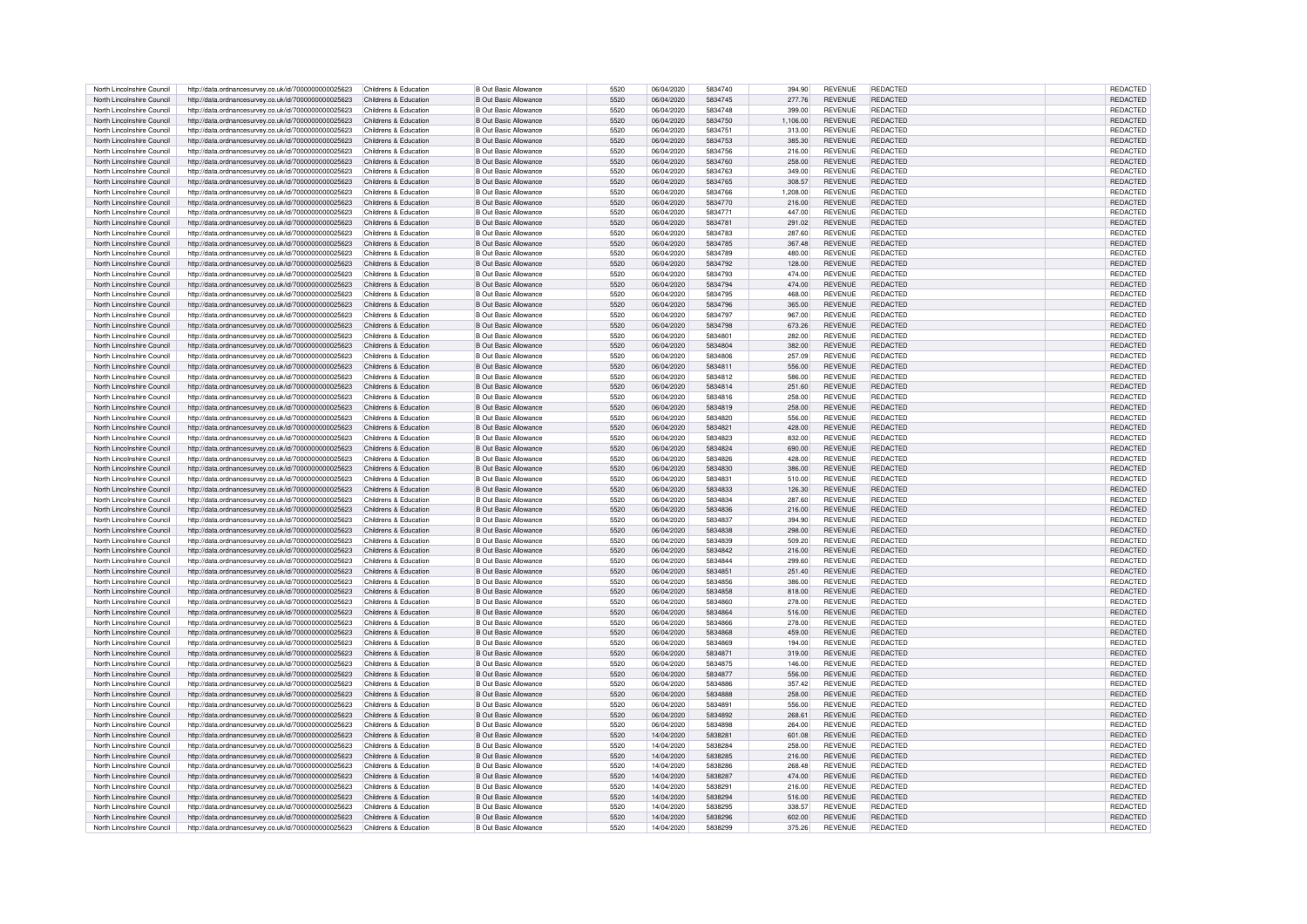| North Lincolnshire Council | http://data.ordnancesurvey.co.uk/id/7000000000025623 | Childrens & Education | <b>B Out Basic Allowance</b> | 5520 | 06/04/2020 | 5834740 | 394.90   | <b>REVENUE</b> | REDACTED        | <b>REDACTED</b> |
|----------------------------|------------------------------------------------------|-----------------------|------------------------------|------|------------|---------|----------|----------------|-----------------|-----------------|
| North Lincolnshire Council | http://data.ordnancesurvey.co.uk/id/7000000000025623 | Childrens & Education | <b>B Out Basic Allowance</b> | 5520 | 06/04/2020 | 5834745 | 277.76   | <b>REVENUE</b> | <b>REDACTED</b> | <b>REDACTED</b> |
| North Lincolnshire Council | http://data.ordnancesurvey.co.uk/id/7000000000025623 | Childrens & Education | B Out Basic Allowance        | 5520 | 06/04/2020 | 5834748 | 399.00   | <b>REVENUE</b> | REDACTED        | REDACTED        |
|                            |                                                      |                       |                              |      |            |         |          |                |                 |                 |
| North Lincolnshire Council | http://data.ordnancesurvey.co.uk/id/7000000000025623 | Childrens & Education | B Out Basic Allowance        | 5520 | 06/04/2020 | 5834750 | 1.106.00 | <b>REVENUE</b> | REDACTED        | <b>REDACTED</b> |
| North Lincolnshire Council | http://data.ordnancesurvey.co.uk/id/7000000000025623 | Childrens & Education | B Out Basic Allowance        | 5520 | 06/04/2020 | 5834751 | 313.00   | <b>REVENUE</b> | <b>REDACTED</b> | REDACTED        |
| North Lincolnshire Council | http://data.ordnancesurvey.co.uk/id/7000000000025623 | Childrens & Education | B Out Basic Allowance        | 5520 | 06/04/2020 | 5834753 | 385.30   | <b>REVENUE</b> | <b>REDACTED</b> | REDACTED        |
| North Lincolnshire Council | http://data.ordnancesurvey.co.uk/id/7000000000025623 | Childrens & Education | <b>B Out Basic Allowance</b> | 5520 | 06/04/2020 | 5834756 | 216.00   | <b>REVENUE</b> | <b>REDACTED</b> | REDACTED        |
| North Lincolnshire Council | http://data.ordnancesurvey.co.uk/id/7000000000025623 | Childrens & Education | <b>B Out Basic Allowance</b> | 5520 | 06/04/2020 | 5834760 | 258.00   | <b>REVENUE</b> | REDACTED        | REDACTED        |
| North Lincolnshire Council | http://data.ordnancesurvey.co.uk/id/7000000000025623 | Childrens & Education | B Out Basic Allowance        | 5520 | 06/04/2020 | 5834763 | 349.00   | <b>REVENUE</b> | REDACTED        | REDACTED        |
| North Lincolnshire Council | http://data.ordnancesurvey.co.uk/id/7000000000025623 | Childrens & Education | <b>B Out Basic Allowance</b> | 5520 | 06/04/2020 | 5834765 | 308.57   | <b>REVENUE</b> | REDACTED        | REDACTED        |
| North Lincolnshire Council | http://data.ordnancesurvey.co.uk/id/7000000000025623 | Childrens & Education | <b>B Out Basic Allowance</b> | 5520 | 06/04/2020 | 5834766 | 1,208.00 | <b>REVENUE</b> | REDACTED        | REDACTED        |
| North Lincolnshire Council |                                                      | Childrens & Education | B Out Basic Allowance        | 5520 | 06/04/2020 | 5834770 | 216.00   | <b>REVENUE</b> | REDACTED        | <b>REDACTED</b> |
|                            | http://data.ordnancesurvey.co.uk/id/7000000000025623 |                       |                              |      |            |         |          |                |                 |                 |
| North Lincolnshire Council | http://data.ordnancesurvey.co.uk/id/7000000000025623 | Childrens & Education | <b>B Out Basic Allowance</b> | 5520 | 06/04/2020 | 5834771 | 447.00   | <b>REVENUE</b> | <b>REDACTED</b> | <b>REDACTED</b> |
| North Lincolnshire Council | http://data.ordnancesurvey.co.uk/id/7000000000025623 | Childrens & Education | <b>B Out Basic Allowance</b> | 5520 | 06/04/2020 | 5834781 | 291.02   | <b>REVENUE</b> | <b>REDACTED</b> | <b>REDACTED</b> |
| North Lincolnshire Council | http://data.ordnancesurvey.co.uk/id/7000000000025623 | Childrens & Education | <b>B Out Basic Allowance</b> | 5520 | 06/04/2020 | 5834783 | 287.60   | <b>REVENUE</b> | REDACTED        | <b>REDACTED</b> |
| North Lincolnshire Council | http://data.ordnancesurvey.co.uk/id/7000000000025623 | Childrens & Education | <b>B Out Basic Allowance</b> | 5520 | 06/04/2020 | 5834785 | 367.48   | <b>REVENUE</b> | REDACTED        | <b>REDACTED</b> |
| North Lincolnshire Council | http://data.ordnancesurvey.co.uk/id/7000000000025623 | Childrens & Education | B Out Basic Allowance        | 5520 | 06/04/2020 | 5834789 | 480.00   | <b>REVENUE</b> | REDACTED        | <b>REDACTED</b> |
| North Lincolnshire Council | http://data.ordnancesurvey.co.uk/id/7000000000025623 | Childrens & Education | <b>B</b> Out Basic Allowance | 5520 | 06/04/2020 | 5834792 | 128.00   | <b>REVENUE</b> | <b>REDACTED</b> | <b>REDACTED</b> |
| North Lincolnshire Council | http://data.ordnancesurvey.co.uk/id/7000000000025623 | Childrens & Education | <b>B Out Basic Allowance</b> | 5520 | 06/04/2020 | 5834793 | 474.00   | <b>REVENUE</b> | <b>REDACTED</b> | <b>REDACTED</b> |
| North Lincolnshire Council | http://data.ordnancesurvey.co.uk/id/7000000000025623 | Childrens & Education | <b>B</b> Out Basic Allowance | 5520 | 06/04/2020 | 5834794 | 474.00   | <b>REVENUE</b> | REDACTED        | <b>REDACTED</b> |
|                            |                                                      |                       |                              |      |            |         |          |                |                 |                 |
| North Lincolnshire Council | http://data.ordnancesurvey.co.uk/id/7000000000025623 | Childrens & Education | <b>B Out Basic Allowance</b> | 5520 | 06/04/2020 | 5834795 | 468.00   | <b>REVENUE</b> | REDACTED        | <b>REDACTED</b> |
| North Lincolnshire Council | http://data.ordnancesurvey.co.uk/id/7000000000025623 | Childrens & Education | <b>B Out Basic Allowance</b> | 5520 | 06/04/2020 | 5834796 | 365.00   | <b>REVENUE</b> | <b>REDACTED</b> | <b>REDACTED</b> |
| North Lincolnshire Council | http://data.ordnancesurvey.co.uk/id/7000000000025623 | Childrens & Education | <b>B Out Basic Allowance</b> | 5520 | 06/04/2020 | 5834797 | 967.00   | <b>REVENUE</b> | REDACTED        | REDACTED        |
| North Lincolnshire Council | http://data.ordnancesurvey.co.uk/id/7000000000025623 | Childrens & Education | <b>B Out Basic Allowance</b> | 5520 | 06/04/2020 | 5834798 | 673.26   | <b>REVENUE</b> | REDACTED        | <b>REDACTED</b> |
| North Lincolnshire Council | http://data.ordnancesurvey.co.uk/id/7000000000025623 | Childrens & Education | <b>B Out Basic Allowance</b> | 5520 | 06/04/2020 | 5834801 | 282.00   | <b>REVENUE</b> | <b>REDACTED</b> | <b>REDACTED</b> |
| North Lincolnshire Council | http://data.ordnancesurvey.co.uk/id/7000000000025623 | Childrens & Education | <b>B Out Basic Allowance</b> | 5520 | 06/04/2020 | 5834804 | 382.00   | <b>REVENUE</b> | REDACTED        | <b>REDACTED</b> |
| North Lincolnshire Council | http://data.ordnancesurvey.co.uk/id/7000000000025623 | Childrens & Education | <b>B Out Basic Allowance</b> | 5520 | 06/04/2020 | 5834806 | 257.09   | <b>REVENUE</b> | <b>REDACTED</b> | <b>REDACTED</b> |
| North Lincolnshire Council | http://data.ordnancesurvey.co.uk/id/7000000000025623 | Childrens & Education | B Out Basic Allowance        | 5520 | 06/04/2020 | 5834811 | 556.00   | <b>REVENUE</b> | REDACTED        | <b>REDACTED</b> |
| North Lincolnshire Council | http://data.ordnancesurvey.co.uk/id/7000000000025623 | Childrens & Education | B Out Basic Allowance        | 5520 | 06/04/2020 | 5834812 | 586.00   | <b>REVENUE</b> | REDACTED        | <b>REDACTED</b> |
| North Lincolnshire Council |                                                      |                       |                              |      |            | 5834814 |          | <b>REVENUE</b> |                 |                 |
|                            | http://data.ordnancesurvey.co.uk/id/7000000000025623 | Childrens & Education | <b>B Out Basic Allowance</b> | 5520 | 06/04/2020 |         | 251.60   |                | REDACTED        | <b>REDACTED</b> |
| North Lincolnshire Council | http://data.ordnancesurvey.co.uk/id/7000000000025623 | Childrens & Education | B Out Basic Allowance        | 5520 | 06/04/2020 | 5834816 | 258.00   | <b>REVENUE</b> | REDACTED        | REDACTED        |
| North Lincolnshire Council | http://data.ordnancesurvey.co.uk/id/7000000000025623 | Childrens & Education | B Out Basic Allowance        | 5520 | 06/04/2020 | 5834819 | 258.00   | <b>REVENUE</b> | REDACTED        | REDACTED        |
| North Lincolnshire Council | http://data.ordnancesurvey.co.uk/id/7000000000025623 | Childrens & Education | <b>B Out Basic Allowance</b> | 5520 | 06/04/2020 | 5834820 | 556.00   | <b>REVENUE</b> | <b>REDACTED</b> | REDACTED        |
| North Lincolnshire Council | http://data.ordnancesurvey.co.uk/id/7000000000025623 | Childrens & Education | <b>B Out Basic Allowance</b> | 5520 | 06/04/2020 | 5834821 | 428.00   | <b>REVENUE</b> | REDACTED        | REDACTED        |
| North Lincolnshire Council | http://data.ordnancesurvey.co.uk/id/7000000000025623 | Childrens & Education | B Out Basic Allowance        | 5520 | 06/04/2020 | 5834823 | 832.00   | <b>REVENUE</b> | REDACTED        | REDACTED        |
| North Lincolnshire Council | http://data.ordnancesurvey.co.uk/id/7000000000025623 | Childrens & Education | <b>B Out Basic Allowance</b> | 5520 | 06/04/2020 | 5834824 | 690.00   | <b>REVENUE</b> | <b>REDACTED</b> | <b>REDACTED</b> |
| North Lincolnshire Council | http://data.ordnancesurvey.co.uk/id/7000000000025623 | Childrens & Education | <b>B Out Basic Allowance</b> | 5520 | 06/04/2020 | 5834826 | 428.00   | <b>REVENUE</b> | <b>REDACTED</b> | <b>REDACTED</b> |
| North Lincolnshire Council | http://data.ordnancesurvey.co.uk/id/7000000000025623 | Childrens & Education | <b>B Out Basic Allowance</b> | 5520 | 06/04/2020 | 5834830 | 386.00   | <b>REVENUE</b> | REDACTED        | <b>REDACTED</b> |
|                            |                                                      |                       |                              | 5520 |            |         |          |                | <b>REDACTED</b> |                 |
| North Lincolnshire Council | http://data.ordnancesurvey.co.uk/id/7000000000025623 | Childrens & Education | <b>B Out Basic Allowance</b> |      | 06/04/2020 | 5834831 | 510.00   | <b>REVENUE</b> |                 | <b>REDACTED</b> |
| North Lincolnshire Council | http://data.ordnancesurvey.co.uk/id/7000000000025623 | Childrens & Education | B Out Basic Allowance        | 5520 | 06/04/2020 | 5834833 | 126.30   | <b>REVENUE</b> | REDACTED        | REDACTED        |
| North Lincolnshire Council | http://data.ordnancesurvey.co.uk/id/7000000000025623 | Childrens & Education | <b>B Out Basic Allowance</b> | 5520 | 06/04/2020 | 5834834 | 287.60   | <b>REVENUE</b> | <b>REDACTED</b> | REDACTED        |
| North Lincolnshire Council | http://data.ordnancesurvey.co.uk/id/7000000000025623 | Childrens & Education | B Out Basic Allowance        | 5520 | 06/04/2020 | 5834836 | 216.00   | <b>REVENUE</b> | <b>REDACTED</b> | REDACTED        |
| North Lincolnshire Council | http://data.ordnancesurvey.co.uk/id/7000000000025623 | Childrens & Education | B Out Basic Allowance        | 5520 | 06/04/2020 | 5834837 | 394.90   | <b>REVENUE</b> | <b>REDACTED</b> | REDACTED        |
| North Lincolnshire Council | http://data.ordnancesurvey.co.uk/id/7000000000025623 | Childrens & Education | B Out Basic Allowance        | 5520 | 06/04/2020 | 5834838 | 298.00   | <b>REVENUE</b> | REDACTED        | <b>REDACTED</b> |
| North Lincolnshire Council | http://data.ordnancesurvey.co.uk/id/7000000000025623 | Childrens & Education | B Out Basic Allowance        | 5520 | 06/04/2020 | 5834839 | 509.20   | <b>REVENUE</b> | <b>REDACTED</b> | REDACTED        |
| North Lincolnshire Council | http://data.ordnancesurvey.co.uk/id/7000000000025623 | Childrens & Education | <b>B Out Basic Allowance</b> | 5520 | 06/04/2020 | 5834842 | 216.00   | <b>REVENUE</b> | REDACTED        | REDACTED        |
| North Lincolnshire Council | http://data.ordnancesurvey.co.uk/id/7000000000025623 | Childrens & Education | <b>B Out Basic Allowance</b> | 5520 | 06/04/2020 | 5834844 | 299.60   | <b>REVENUE</b> | REDACTED        | REDACTED        |
|                            |                                                      |                       |                              |      |            |         |          |                |                 |                 |
| North Lincolnshire Council | http://data.ordnancesurvey.co.uk/id/7000000000025623 | Childrens & Education | <b>B Out Basic Allowance</b> | 5520 | 06/04/2020 | 5834851 | 251.40   | <b>REVENUE</b> | <b>REDACTED</b> | <b>REDACTED</b> |
| North Lincolnshire Council | http://data.ordnancesurvey.co.uk/id/7000000000025623 | Childrens & Education | B Out Basic Allowance        | 5520 | 06/04/2020 | 5834856 | 386.00   | <b>REVENUE</b> | <b>REDACTED</b> | <b>REDACTED</b> |
| North Lincolnshire Council | http://data.ordnancesurvey.co.uk/id/7000000000025623 | Childrens & Education | <b>B Out Basic Allowance</b> | 5520 | 06/04/2020 | 5834858 | 818.00   | <b>REVENUE</b> | REDACTED        | REDACTED        |
| North Lincolnshire Council | http://data.ordnancesurvey.co.uk/id/7000000000025623 | Childrens & Education | B Out Basic Allowance        | 5520 | 06/04/2020 | 5834860 | 278.00   | <b>REVENUE</b> | <b>REDACTED</b> | REDACTED        |
| North Lincolnshire Council | http://data.ordnancesurvey.co.uk/id/7000000000025623 | Childrens & Education | B Out Basic Allowance        | 5520 | 06/04/2020 | 5834864 | 516.00   | <b>REVENUE</b> | REDACTED        | REDACTED        |
| North Lincolnshire Council | http://data.ordnancesurvey.co.uk/id/7000000000025623 | Childrens & Education | B Out Basic Allowance        | 5520 | 06/04/2020 | 5834866 | 278.00   | <b>REVENUE</b> | <b>REDACTED</b> | REDACTED        |
| North Lincolnshire Council | http://data.ordnancesurvey.co.uk/id/7000000000025623 | Childrens & Education | B Out Basic Allowance        | 5520 | 06/04/2020 | 5834868 | 459.00   | <b>REVENUE</b> | <b>REDACTED</b> | REDACTED        |
| North Lincolnshire Council | http://data.ordnancesurvey.co.uk/id/7000000000025623 | Childrens & Education | B Out Basic Allowance        | 5520 | 06/04/2020 | 5834869 | 194.00   | <b>REVENUE</b> | REDACTED        | REDACTED        |
| North Lincolnshire Council | http://data.ordnancesurvey.co.uk/id/7000000000025623 | Childrens & Education | <b>B Out Basic Allowance</b> | 5520 | 06/04/2020 | 5834871 | 319.00   | <b>REVENUE</b> | REDACTED        | REDACTED        |
|                            |                                                      |                       |                              | 5520 |            | 5834875 |          | <b>REVENUE</b> | REDACTED        |                 |
| North Lincolnshire Council | http://data.ordnancesurvey.co.uk/id/7000000000025623 | Childrens & Education | <b>B Out Basic Allowance</b> |      | 06/04/2020 |         | 146.00   |                |                 | REDACTED        |
| North Lincolnshire Council | http://data.ordnancesurvey.co.uk/id/7000000000025623 | Childrens & Education | <b>B Out Basic Allowance</b> | 5520 | 06/04/2020 | 5834877 | 556.00   | <b>REVENUE</b> | REDACTED        | REDACTED        |
| North Lincolnshire Council | http://data.ordnancesurvey.co.uk/id/7000000000025623 | Childrens & Education | <b>B Out Basic Allowance</b> | 5520 | 06/04/2020 | 5834886 | 357.42   | <b>REVENUE</b> | REDACTED        | REDACTED        |
| North Lincolnshire Council | http://data.ordnancesurvey.co.uk/id/7000000000025623 | Childrens & Education | B Out Basic Allowance        | 5520 | 06/04/2020 | 5834888 | 258.00   | <b>REVENUE</b> | <b>REDACTED</b> | <b>REDACTED</b> |
| North Lincolnshire Council | http://data.ordnancesurvey.co.uk/id/7000000000025623 | Childrens & Education | <b>B Out Basic Allowance</b> | 5520 | 06/04/2020 | 5834891 | 556.00   | <b>REVENUE</b> | <b>REDACTED</b> | <b>REDACTED</b> |
| North Lincolnshire Council | http://data.ordnancesurvey.co.uk/id/7000000000025623 | Childrens & Education | <b>B Out Basic Allowance</b> | 5520 | 06/04/2020 | 5834892 | 268.61   | <b>REVENUE</b> | <b>REDACTED</b> | <b>REDACTED</b> |
| North Lincolnshire Council | http://data.ordnancesurvey.co.uk/id/7000000000025623 | Childrens & Education | <b>B Out Basic Allowance</b> | 5520 | 06/04/2020 | 5834898 | 264.00   | <b>REVENUE</b> | REDACTED        | <b>REDACTED</b> |
| North Lincolnshire Council | http://data.ordnancesurvey.co.uk/id/7000000000025623 | Childrens & Education | <b>B Out Basic Allowance</b> | 5520 | 14/04/2020 | 5838281 | 601.08   | <b>REVENUE</b> | REDACTED        | <b>REDACTED</b> |
| North Lincolnshire Council | http://data.ordnancesurvey.co.uk/id/7000000000025623 | Childrens & Education | <b>B Out Basic Allowance</b> | 5520 | 14/04/2020 | 5838284 | 258.00   | <b>REVENUE</b> | REDACTED        | <b>REDACTED</b> |
|                            |                                                      |                       |                              | 5520 | 14/04/2020 | 5838285 |          | <b>REVENUE</b> | REDACTED        | REDACTED        |
| North Lincolnshire Council | http://data.ordnancesurvey.co.uk/id/7000000000025623 | Childrens & Education | <b>B Out Basic Allowance</b> |      |            | 5838286 | 216.00   |                |                 |                 |
| North Lincolnshire Council | http://data.ordnancesurvey.co.uk/id/7000000000025623 | Childrens & Education | <b>B</b> Out Basic Allowance | 5520 | 14/04/2020 |         | 268.48   | <b>REVENUE</b> | REDACTED        | <b>REDACTED</b> |
| North Lincolnshire Council | http://data.ordnancesurvey.co.uk/id/7000000000025623 | Childrens & Education | <b>B Out Basic Allowance</b> | 5520 | 14/04/2020 | 5838287 | 474.00   | <b>REVENUE</b> | REDACTED        | REDACTED        |
| North Lincolnshire Council | http://data.ordnancesurvey.co.uk/id/7000000000025623 | Childrens & Education | B Out Basic Allowance        | 5520 | 14/04/2020 | 583829  | 216.00   | <b>REVENUE</b> | REDACTED        | <b>REDACTED</b> |
| North Lincolnshire Council | http://data.ordnancesurvey.co.uk/id/7000000000025623 | Childrens & Education | <b>B Out Basic Allowance</b> | 5520 | 14/04/2020 | 5838294 | 516.00   | <b>REVENUE</b> | REDACTED        | <b>REDACTED</b> |
| North Lincolnshire Council | http://data.ordnancesurvey.co.uk/id/7000000000025623 | Childrens & Education | B Out Basic Allowance        | 5520 | 14/04/2020 | 5838295 | 338.57   | <b>REVENUE</b> | <b>REDACTED</b> | REDACTED        |
| North Lincolnshire Council | http://data.ordnancesurvey.co.uk/id/7000000000025623 | Childrens & Education | B Out Basic Allowance        | 5520 | 14/04/2020 | 5838296 | 602.00   | <b>REVENUE</b> | REDACTED        | <b>REDACTED</b> |
| North Lincolnshire Council | http://data.ordnancesurvey.co.uk/id/7000000000025623 | Childrens & Education | <b>B Out Basic Allowance</b> | 5520 | 14/04/2020 | 5838299 | 375.26   | <b>REVENUE</b> | <b>REDACTED</b> | REDACTED        |
|                            |                                                      |                       |                              |      |            |         |          |                |                 |                 |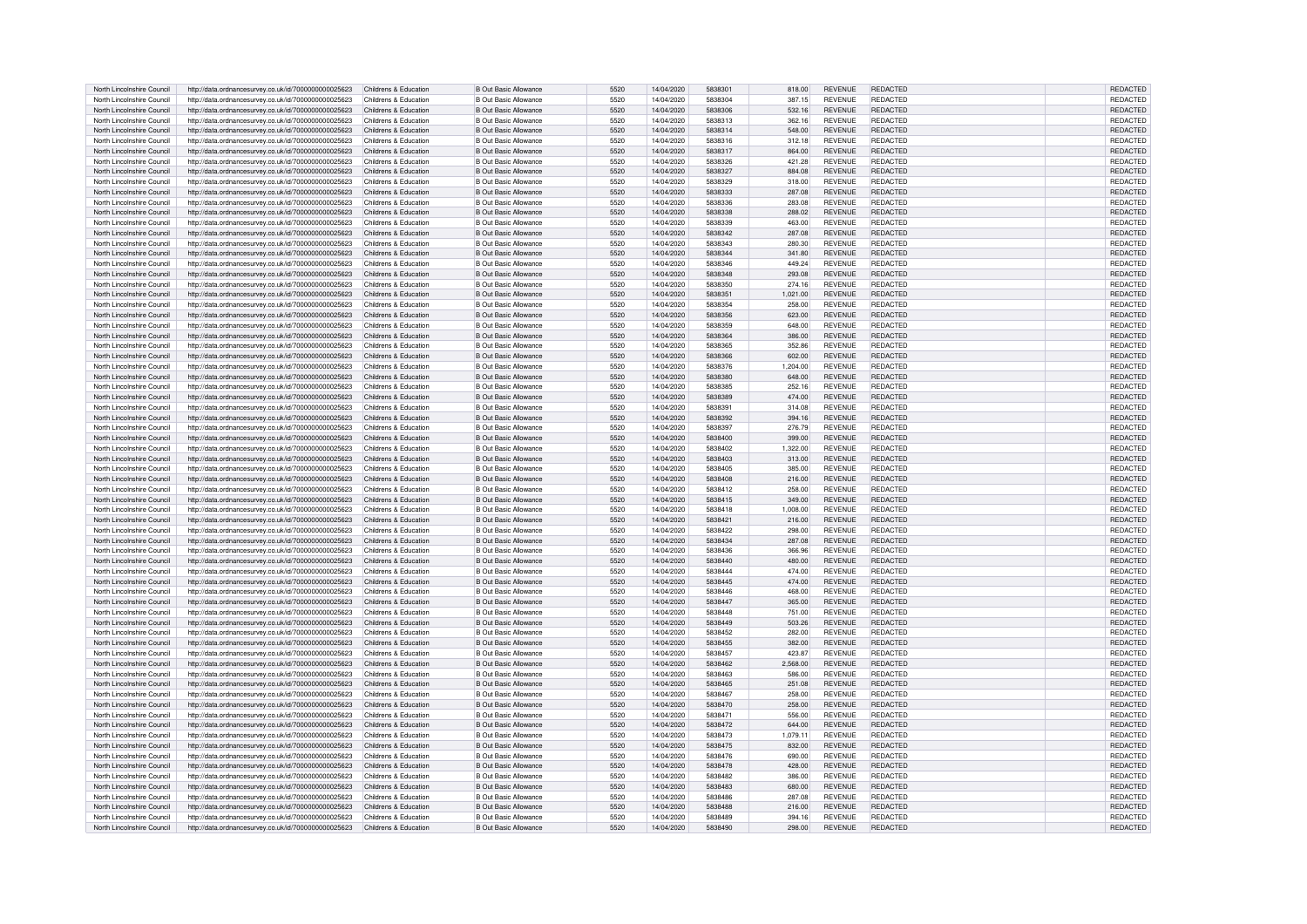| North Lincolnshire Council<br>http://data.ordnancesurvey.co.uk/id/7000000000025623<br>Childrens & Education<br><b>B Out Basic Allowance</b><br>5520<br>14/04/2020<br>5838304<br>387.15<br><b>REVENUE</b><br><b>REDACTED</b><br>REDACTED<br>North Lincolnshire Council<br>http://data.ordnancesurvey.co.uk/id/7000000000025623<br>5520<br>14/04/2020<br>5838306<br>532.16<br><b>REVENUE</b><br>REDACTED<br><b>REDACTED</b><br>Childrens & Education<br>B Out Basic Allowance<br>North Lincolnshire Council<br>http://data.ordnancesurvey.co.uk/id/7000000000025623<br>Childrens & Education<br>14/04/2020<br>5838313<br>362.16<br>REDACTED<br>REDACTED<br>B Out Basic Allowance<br>5520<br><b>REVENUE</b><br>REDACTED<br>North Lincolnshire Council<br>http://data.ordnancesurvey.co.uk/id/7000000000025623<br>Childrens & Education<br><b>B</b> Out Basic Allowance<br>5520<br>14/04/2020<br>5838314<br>548.00<br><b>REVENUE</b><br><b>REDACTED</b><br>REDACTED<br>North Lincolnshire Council<br>http://data.ordnancesurvey.co.uk/id/7000000000025623<br>Childrens & Education<br>B Out Basic Allowance<br>5520<br>14/04/2020<br>5838316<br>312.18<br><b>REVENUE</b><br><b>REDACTED</b><br>REDACTED<br>North Lincolnshire Council<br>http://data.ordnancesurvey.co.uk/id/7000000000025623<br>Childrens & Education<br><b>B Out Basic Allowance</b><br>5520<br>14/04/2020<br>5838317<br><b>REVENUE</b><br><b>REDACTED</b><br>864.00<br>North Lincolnshire Council<br>http://data.ordnancesurvey.co.uk/id/7000000000025623<br>Childrens & Education<br>B Out Basic Allowance<br>5520<br>14/04/2020<br>5838326<br>421.28<br><b>REVENUE</b><br>REDACTED<br>REDACTED<br>5838327<br>REDACTED<br>North Lincolnshire Council<br>http://data.ordnancesurvey.co.uk/id/7000000000025623<br>Childrens & Education<br>B Out Basic Allowance<br>5520<br>14/04/2020<br>884.08<br><b>REVENUE</b><br>REDACTED<br>North Lincolnshire Council<br>http://data.ordnancesurvey.co.uk/id/7000000000025623<br>Childrens & Education<br><b>B Out Basic Allowance</b><br>5520<br>14/04/2020<br>5838329<br>318.00<br><b>REVENUE</b><br>REDACTED<br>REDACTED<br>North Lincolnshire Council<br>http://data.ordnancesurvey.co.uk/id/7000000000025623<br>Childrens & Education<br><b>B Out Basic Allowance</b><br>5520<br>14/04/2020<br>5838333<br>287.08<br><b>REVENUE</b><br>REDACTED<br>REDACTED<br>North Lincolnshire Council<br>REDACTED<br><b>REDACTED</b><br>http://data.ordnancesurvey.co.uk/id/7000000000025623<br>Childrens & Education<br>B Out Basic Allowance<br>5520<br>14/04/2020<br>5838336<br>283.08<br><b>REVENUE</b><br>North Lincolnshire Council<br>http://data.ordnancesurvey.co.uk/id/7000000000025623<br>Childrens & Education<br><b>B Out Basic Allowance</b><br>5520<br>14/04/2020<br>5838338<br>288.02<br><b>REVENUE</b><br><b>REDACTED</b><br><b>REDACTED</b><br>North Lincolnshire Council<br>http://data.ordnancesurvey.co.uk/id/7000000000025623<br>Childrens & Education<br><b>B Out Basic Allowance</b><br>5520<br>14/04/2020<br>5838339<br>463.00<br><b>REVENUE</b><br><b>REDACTED</b><br><b>REDACTED</b><br>North Lincolnshire Council<br>http://data.ordnancesurvey.co.uk/id/7000000000025623<br>Childrens & Education<br><b>B Out Basic Allowance</b><br>5520<br>14/04/2020<br>5838342<br>287.08<br><b>REVENUE</b><br>REDACTED<br><b>REDACTED</b><br>North Lincolnshire Council<br>http://data.ordnancesurvey.co.uk/id/7000000000025623<br>Childrens & Education<br><b>B Out Basic Allowance</b><br>5520<br>14/04/2020<br>5838343<br>280.30<br><b>REVENUE</b><br>REDACTED<br><b>REDACTED</b><br>North Lincolnshire Council<br>5520<br>REDACTED<br><b>REDACTED</b><br>http://data.ordnancesurvey.co.uk/id/7000000000025623<br>Childrens & Education<br>B Out Basic Allowance<br>14/04/2020<br>5838344<br>341.80<br><b>REVENUE</b><br>B Out Basic Allowance<br>5520<br>14/04/2020<br>5838346<br><b>REVENUE</b><br><b>REDACTED</b><br><b>REDACTED</b><br>North Lincolnshire Council<br>http://data.ordnancesurvey.co.uk/id/7000000000025623<br>Childrens & Education<br>449.24<br><b>B</b> Out Basic Allowance<br>5520<br>14/04/2020<br>5838348<br><b>REDACTED</b><br><b>REDACTED</b><br>North Lincolnshire Council<br>http://data.ordnancesurvey.co.uk/id/7000000000025623<br>Childrens & Education<br>293.08<br><b>REVENUE</b><br><b>B Out Basic Allowance</b><br>5520<br>14/04/2020<br>5838350<br><b>REDACTED</b><br><b>REDACTED</b><br>North Lincolnshire Council<br>http://data.ordnancesurvey.co.uk/id/7000000000025623<br>Childrens & Education<br>274.16<br><b>REVENUE</b><br>North Lincolnshire Council<br>http://data.ordnancesurvey.co.uk/id/7000000000025623<br>Childrens & Education<br><b>B Out Basic Allowance</b><br>5520<br>14/04/2020<br>5838351<br>1,021.00<br><b>REVENUE</b><br>REDACTED<br><b>REDACTED</b><br>North Lincolnshire Council<br>http://data.ordnancesurvey.co.uk/id/7000000000025623<br>Childrens & Education<br><b>B Out Basic Allowance</b><br>5520<br>14/04/2020<br>5838354<br><b>REVENUE</b><br>REDACTED<br><b>REDACTED</b><br>258.00<br>North Lincolnshire Council<br><b>B Out Basic Allowance</b><br>REDACTED<br><b>REDACTED</b><br>http://data.ordnancesurvey.co.uk/id/7000000000025623<br>Childrens & Education<br>5520<br>14/04/2020<br>5838356<br>623.00<br><b>REVENUE</b><br>North Lincolnshire Council<br><b>B Out Basic Allowance</b><br>REDACTED<br><b>REDACTED</b><br>http://data.ordnancesurvey.co.uk/id/7000000000025623<br>Childrens & Education<br>5520<br>14/04/2020<br>5838359<br>648.00<br><b>REVENUE</b><br>North Lincolnshire Council<br>http://data.ordnancesurvey.co.uk/id/7000000000025623<br>Childrens & Education<br><b>B Out Basic Allowance</b><br>5520<br>14/04/2020<br>5838364<br>386.00<br><b>REVENUE</b><br><b>REDACTED</b><br><b>REDACTED</b><br>North Lincolnshire Council<br>http://data.ordnancesurvey.co.uk/id/7000000000025623<br>Childrens & Education<br><b>B Out Basic Allowance</b><br>5520<br>14/04/2020<br>5838365<br>352.86<br><b>REVENUE</b><br><b>REDACTED</b><br><b>REDACTED</b><br>North Lincolnshire Council<br>http://data.ordnancesurvey.co.uk/id/7000000000025623<br>Childrens & Education<br><b>B Out Basic Allowance</b><br>5520<br>14/04/2020<br>5838366<br>602.00<br><b>REVENUE</b><br>REDACTED<br><b>REDACTED</b><br>North Lincolnshire Council<br>http://data.ordnancesurvey.co.uk/id/7000000000025623<br>Childrens & Education<br>B Out Basic Allowance<br>5520<br>14/04/2020<br>5838376<br><b>REVENUE</b><br><b>REDACTED</b><br><b>REDACTED</b><br>1.204.00<br>5520<br>REDACTED<br>REDACTED<br>North Lincolnshire Council<br>http://data.ordnancesurvey.co.uk/id/7000000000025623<br>Childrens & Education<br>B Out Basic Allowance<br>14/04/2020<br>5838380<br>648.00<br><b>REVENUE</b><br>5520<br>REDACTED<br>North Lincolnshire Council<br>http://data.ordnancesurvey.co.uk/id/7000000000025623<br>Childrens & Education<br><b>B Out Basic Allowance</b><br>14/04/2020<br>5838385<br>252.16<br><b>REVENUE</b><br>REDACTED<br>5520<br>REDACTED<br><b>REDACTED</b><br>North Lincolnshire Council<br>http://data.ordnancesurvey.co.uk/id/7000000000025623<br>Childrens & Education<br>B Out Basic Allowance<br>14/04/2020<br>5838389<br>474.00<br><b>REVENUE</b><br>REDACTED<br>REDACTED<br>North Lincolnshire Council<br>http://data.ordnancesurvey.co.uk/id/7000000000025623<br>Childrens & Education<br>B Out Basic Allowance<br>5520<br>14/04/2020<br>5838391<br>314.08<br><b>REVENUE</b><br>North Lincolnshire Council<br>http://data.ordnancesurvey.co.uk/id/7000000000025623<br>Childrens & Education<br><b>B Out Basic Allowance</b><br>5520<br>14/04/2020<br>5838392<br>394.16<br><b>REVENUE</b><br><b>REDACTED</b><br>REDACTED<br>North Lincolnshire Council<br>http://data.ordnancesurvey.co.uk/id/7000000000025623<br>Childrens & Education<br><b>B Out Basic Allowance</b><br>5520<br>14/04/2020<br>5838397<br>276.79<br><b>REVENUE</b><br>REDACTED<br>REDACTED<br>North Lincolnshire Council<br>5520<br>5838400<br>REDACTED<br><b>REDACTED</b><br>http://data.ordnancesurvey.co.uk/id/7000000000025623<br>Childrens & Education<br>B Out Basic Allowance<br>14/04/2020<br>399.00<br><b>REVENUE</b><br>North Lincolnshire Council<br>http://data.ordnancesurvey.co.uk/id/7000000000025623<br>Childrens & Education<br><b>B Out Basic Allowance</b><br>5520<br>14/04/2020<br>5838402<br>1,322.00<br><b>REVENUE</b><br><b>REDACTED</b><br><b>REDACTED</b><br>North Lincolnshire Council<br>http://data.ordnancesurvey.co.uk/id/7000000000025623<br>Childrens & Education<br><b>B Out Basic Allowance</b><br>5520<br>14/04/2020<br>5838403<br>313.00<br><b>REVENUE</b><br><b>REDACTED</b><br><b>REDACTED</b><br>North Lincolnshire Council<br>http://data.ordnancesurvey.co.uk/id/7000000000025623<br>Childrens & Education<br><b>B Out Basic Allowance</b><br>5520<br>14/04/2020<br>5838405<br>385.00<br><b>REVENUE</b><br><b>REDACTED</b><br><b>REDACTED</b><br>North Lincolnshire Council<br>http://data.ordnancesurvey.co.uk/id/7000000000025623<br>Childrens & Education<br><b>B Out Basic Allowance</b><br>5520<br>14/04/2020<br>5838408<br>216.00<br><b>REVENUE</b><br>REDACTED<br><b>REDACTED</b><br>B Out Basic Allowance<br>5520<br>5838412<br><b>REDACTED</b><br>REDACTED<br>North Lincolnshire Council<br>http://data.ordnancesurvey.co.uk/id/7000000000025623<br>Childrens & Education<br>14/04/2020<br>258.00<br><b>REVENUE</b><br>5520<br>14/04/2020<br><b>REVENUE</b><br><b>REDACTED</b><br>REDACTED<br>North Lincolnshire Council<br>http://data.ordnancesurvey.co.uk/id/7000000000025623<br>Childrens & Education<br>B Out Basic Allowance<br>5838415<br>349.00<br>5520<br>14/04/2020<br>REDACTED<br>North Lincolnshire Council<br>http://data.ordnancesurvey.co.uk/id/7000000000025623<br>Childrens & Education<br>B Out Basic Allowance<br>5838418<br>1.008.00<br><b>REVENUE</b><br><b>REDACTED</b><br><b>B Out Basic Allowance</b><br>5520<br>14/04/2020<br><b>REDACTED</b><br><b>REDACTED</b><br>North Lincolnshire Council<br>http://data.ordnancesurvey.co.uk/id/7000000000025623<br>Childrens & Education<br>5838421<br>216.00<br><b>REVENUE</b><br>REDACTED<br>North Lincolnshire Council<br>http://data.ordnancesurvey.co.uk/id/7000000000025623<br>Childrens & Education<br>B Out Basic Allowance<br>5520<br>14/04/2020<br>5838422<br>298.00<br><b>REVENUE</b><br><b>REDACTED</b><br>North Lincolnshire Council<br>http://data.ordnancesurvey.co.uk/id/7000000000025623<br>Childrens & Education<br><b>B Out Basic Allowance</b><br>5520<br>14/04/2020<br>5838434<br>287.08<br><b>REVENUE</b><br><b>REDACTED</b><br>REDACTED<br>North Lincolnshire Council<br><b>B Out Basic Allowance</b><br><b>REDACTED</b><br>REDACTED<br>http://data.ordnancesurvey.co.uk/id/7000000000025623<br>Childrens & Education<br>5520<br>14/04/2020<br>5838436<br>366.96<br><b>REVENUE</b><br>North Lincolnshire Council<br>REDACTED<br>REDACTED<br>http://data.ordnancesurvey.co.uk/id/7000000000025623<br>Childrens & Education<br><b>B Out Basic Allowance</b><br>5520<br>14/04/2020<br>5838440<br>480.00<br><b>REVENUE</b><br>North Lincolnshire Council<br>http://data.ordnancesurvey.co.uk/id/7000000000025623<br>Childrens & Education<br>B Out Basic Allowance<br>5520<br>14/04/2020<br>5838444<br>474.00<br><b>REVENUE</b><br><b>REDACTED</b><br><b>REDACTED</b><br>North Lincolnshire Council<br>http://data.ordnancesurvey.co.uk/id/7000000000025623<br>Childrens & Education<br>B Out Basic Allowance<br>5520<br>14/04/2020<br>5838445<br>474.00<br><b>REVENUE</b><br><b>REDACTED</b><br>REDACTED<br>North Lincolnshire Council<br>http://data.ordnancesurvey.co.uk/id/7000000000025623<br>Childrens & Education<br><b>B Out Basic Allowance</b><br>5520<br>14/04/2020<br>5838446<br>468.00<br><b>REVENUE</b><br><b>REDACTED</b><br>REDACTED<br>5838447<br>REDACTED<br><b>REDACTED</b><br>North Lincolnshire Council<br>http://data.ordnancesurvey.co.uk/id/7000000000025623<br>Childrens & Education<br>B Out Basic Allowance<br>5520<br>14/04/2020<br>365.00<br><b>REVENUE</b><br>5838448<br>REDACTED<br>REDACTED<br>North Lincolnshire Council<br>http://data.ordnancesurvey.co.uk/id/7000000000025623<br>Childrens & Education<br>B Out Basic Allowance<br>5520<br>14/04/2020<br>751.00<br><b>REVENUE</b><br>http://data.ordnancesurvey.co.uk/id/7000000000025623<br>5520<br>5838449<br><b>REDACTED</b><br>REDACTED<br>North Lincolnshire Council<br>Childrens & Education<br><b>B Out Basic Allowance</b><br>14/04/2020<br>503.26<br><b>REVENUE</b><br>North Lincolnshire Council<br>5520<br>14/04/2020<br>5838452<br><b>REVENUE</b><br><b>REDACTED</b><br>REDACTED<br>http://data.ordnancesurvey.co.uk/id/7000000000025623<br>Childrens & Education<br>B Out Basic Allowance<br>282.00<br>http://data.ordnancesurvey.co.uk/id/7000000000025623<br>5520<br>14/04/2020<br>5838455<br>REDACTED<br>REDACTED<br>North Lincolnshire Council<br>Childrens & Education<br><b>B Out Basic Allowance</b><br>382.00<br><b>REVENUE</b><br>North Lincolnshire Council<br>http://data.ordnancesurvey.co.uk/id/7000000000025623<br>Childrens & Education<br><b>B Out Basic Allowance</b><br>5520<br>14/04/2020<br>5838457<br>423.87<br><b>REVENUE</b><br><b>REDACTED</b><br>REDACTED<br>North Lincolnshire Council<br>http://data.ordnancesurvey.co.uk/id/7000000000025623<br>Childrens & Education<br><b>B Out Basic Allowance</b><br>5520<br>14/04/2020<br>5838462<br>2,568.00<br><b>REVENUE</b><br>REDACTED<br>REDACTED<br>North Lincolnshire Council<br>http://data.ordnancesurvey.co.uk/id/7000000000025623<br>Childrens & Education<br><b>B Out Basic Allowance</b><br>5838463<br><b>REVENUE</b><br>REDACTED<br>REDACTED<br>5520<br>14/04/2020<br>586.00<br>North Lincolnshire Council<br>http://data.ordnancesurvey.co.uk/id/7000000000025623<br><b>B Out Basic Allowance</b><br>5520<br>5838465<br><b>REVENUE</b><br>REDACTED<br>REDACTED<br>Childrens & Education<br>14/04/2020<br>251.08<br>REDACTED<br>North Lincolnshire Council<br>http://data.ordnancesurvey.co.uk/id/7000000000025623<br>Childrens & Education<br>B Out Basic Allowance<br>5520<br>14/04/2020<br>5838467<br>258.00<br><b>REVENUE</b><br>REDACTED<br>North Lincolnshire Council<br>http://data.ordnancesurvey.co.uk/id/7000000000025623<br>Childrens & Education<br><b>B Out Basic Allowance</b><br>5520<br>14/04/2020<br>5838470<br>258.00<br><b>REVENUE</b><br><b>REDACTED</b><br><b>REDACTED</b><br>North Lincolnshire Council<br>http://data.ordnancesurvey.co.uk/id/7000000000025623<br>Childrens & Education<br><b>B Out Basic Allowance</b><br>5520<br>14/04/2020<br>583847<br>556.00<br><b>REVENUE</b><br><b>REDACTED</b><br><b>REDACTED</b><br>North Lincolnshire Council<br>http://data.ordnancesurvey.co.uk/id/7000000000025623<br><b>B Out Basic Allowance</b><br>5520<br>14/04/2020<br>5838472<br><b>REVENUE</b><br>REDACTED<br><b>REDACTED</b><br>Childrens & Education<br>644.00<br>North Lincolnshire Council<br>http://data.ordnancesurvey.co.uk/id/7000000000025623<br>Childrens & Education<br><b>B Out Basic Allowance</b><br>5520<br>14/04/2020<br>5838473<br>1,079.11<br><b>REVENUE</b><br><b>REDACTED</b><br><b>REDACTED</b><br>REDACTED<br><b>REDACTED</b><br>North Lincolnshire Council<br>http://data.ordnancesurvey.co.uk/id/7000000000025623<br>Childrens & Education<br><b>B Out Basic Allowance</b><br>5520<br>14/04/2020<br>5838475<br><b>REVENUE</b><br>832.00<br>14/04/2020<br>REDACTED<br>http://data.ordnancesurvey.co.uk/id/7000000000025623<br>Childrens & Education<br>B Out Basic Allowance<br>5520<br>5838476<br><b>REVENUE</b><br><b>REDACTED</b><br>North Lincolnshire Council<br>690.00<br>5520<br>REDACTED<br><b>REDACTED</b><br>North Lincolnshire Council<br>http://data.ordnancesurvey.co.uk/id/7000000000025623<br>Childrens & Education<br><b>B Out Basic Allowance</b><br>14/04/2020<br>5838478<br>428.00<br><b>REVENUE</b><br>REDACTED<br>North Lincolnshire Council<br>http://data.ordnancesurvey.co.uk/id/7000000000025623<br>Childrens & Education<br><b>B Out Basic Allowance</b><br>5520<br>14/04/2020<br>5838482<br>386.00<br><b>REVENUE</b><br><b>REDACTED</b><br>North Lincolnshire Council<br>http://data.ordnancesurvey.co.uk/id/7000000000025623<br>Childrens & Education<br><b>B Out Basic Allowance</b><br>5520<br>14/04/2020<br>5838483<br>680.00<br><b>REVENUE</b><br>REDACTED<br><b>REDACTED</b><br>North Lincolnshire Council<br>http://data.ordnancesurvey.co.uk/id/7000000000025623<br>Childrens & Education<br><b>B Out Basic Allowance</b><br>14/04/2020<br>5838486<br><b>REVENUE</b><br>REDACTED<br><b>REDACTED</b><br>5520<br>287.08<br>REDACTED<br><b>REDACTED</b><br>North Lincolnshire Council<br>http://data.ordnancesurvey.co.uk/id/7000000000025623<br>Childrens & Education<br>B Out Basic Allowance<br>5520<br>14/04/2020<br>5838488<br>216.00<br><b>REVENUE</b><br>REDACTED<br>North Lincolnshire Council<br>http://data.ordnancesurvey.co.uk/id/7000000000025623<br>Childrens & Education<br>B Out Basic Allowance<br>5520<br>14/04/2020<br>5838489<br>394.16<br><b>REVENUE</b><br>REDACTED<br>North Lincolnshire Council<br>http://data.ordnancesurvey.co.uk/id/7000000000025623<br>Childrens & Education<br><b>B Out Basic Allowance</b><br>5520<br>14/04/2020<br>5838490<br>298.00<br><b>REVENUE</b><br><b>REDACTED</b><br>REDACTED | North Lincolnshire Council | http://data.ordnancesurvey.co.uk/id/7000000000025623 | Childrens & Education | <b>B Out Basic Allowance</b> | 5520 | 14/04/2020 | 5838301 | 818.00 | <b>REVENUE</b> | REDACTED | <b>REDACTED</b> |
|------------------------------------------------------------------------------------------------------------------------------------------------------------------------------------------------------------------------------------------------------------------------------------------------------------------------------------------------------------------------------------------------------------------------------------------------------------------------------------------------------------------------------------------------------------------------------------------------------------------------------------------------------------------------------------------------------------------------------------------------------------------------------------------------------------------------------------------------------------------------------------------------------------------------------------------------------------------------------------------------------------------------------------------------------------------------------------------------------------------------------------------------------------------------------------------------------------------------------------------------------------------------------------------------------------------------------------------------------------------------------------------------------------------------------------------------------------------------------------------------------------------------------------------------------------------------------------------------------------------------------------------------------------------------------------------------------------------------------------------------------------------------------------------------------------------------------------------------------------------------------------------------------------------------------------------------------------------------------------------------------------------------------------------------------------------------------------------------------------------------------------------------------------------------------------------------------------------------------------------------------------------------------------------------------------------------------------------------------------------------------------------------------------------------------------------------------------------------------------------------------------------------------------------------------------------------------------------------------------------------------------------------------------------------------------------------------------------------------------------------------------------------------------------------------------------------------------------------------------------------------------------------------------------------------------------------------------------------------------------------------------------------------------------------------------------------------------------------------------------------------------------------------------------------------------------------------------------------------------------------------------------------------------------------------------------------------------------------------------------------------------------------------------------------------------------------------------------------------------------------------------------------------------------------------------------------------------------------------------------------------------------------------------------------------------------------------------------------------------------------------------------------------------------------------------------------------------------------------------------------------------------------------------------------------------------------------------------------------------------------------------------------------------------------------------------------------------------------------------------------------------------------------------------------------------------------------------------------------------------------------------------------------------------------------------------------------------------------------------------------------------------------------------------------------------------------------------------------------------------------------------------------------------------------------------------------------------------------------------------------------------------------------------------------------------------------------------------------------------------------------------------------------------------------------------------------------------------------------------------------------------------------------------------------------------------------------------------------------------------------------------------------------------------------------------------------------------------------------------------------------------------------------------------------------------------------------------------------------------------------------------------------------------------------------------------------------------------------------------------------------------------------------------------------------------------------------------------------------------------------------------------------------------------------------------------------------------------------------------------------------------------------------------------------------------------------------------------------------------------------------------------------------------------------------------------------------------------------------------------------------------------------------------------------------------------------------------------------------------------------------------------------------------------------------------------------------------------------------------------------------------------------------------------------------------------------------------------------------------------------------------------------------------------------------------------------------------------------------------------------------------------------------------------------------------------------------------------------------------------------------------------------------------------------------------------------------------------------------------------------------------------------------------------------------------------------------------------------------------------------------------------------------------------------------------------------------------------------------------------------------------------------------------------------------------------------------------------------------------------------------------------------------------------------------------------------------------------------------------------------------------------------------------------------------------------------------------------------------------------------------------------------------------------------------------------------------------------------------------------------------------------------------------------------------------------------------------------------------------------------------------------------------------------------------------------------------------------------------------------------------------------------------------------------------------------------------------------------------------------------------------------------------------------------------------------------------------------------------------------------------------------------------------------------------------------------------------------------------------------------------------------------------------------------------------------------------------------------------------------------------------------------------------------------------------------------------------------------------------------------------------------------------------------------------------------------------------------------------------------------------------------------------------------------------------------------------------------------------------------------------------------------------------------------------------------------------------------------------------------------------------------------------------------------------------------------------------------------------------------------------------------------------------------------------------------------------------------------------------------------------------------------------------------------------------------------------------------------------------------------------------------------------------------------------------------------------------------------------------------------------------------------------------------------------------------------------------------------------------------------------------------------------------------------------------------------------------------------------------------------------------------------------------------------------------------------------------------------------------------------------------------------------------------------------------------------------------------------------------------------------------------------------------------------------------------------------------------------------------------------------------------------------------------------------------------------------------------------------------------------------------------------------------------------------------------------------------------------------------------------------------------------------------------------------------------------------------------------------------------------------------------------------------------------------------------------------------------------------------------------------------------------------------------------------------------------------------------------------------------------------------------------------------------------------------------------------------------------------------------------------------------------------------------------------------------------------------------------------------------------------------------------------------------------------------------------------------------------------------------------------------------------------------------------------------------------------------------------------------------------------------------------------------------------------------------------------------------------------------------------------------------------------------------------------------------------------------------------------------------------------------------------------------------------------------------------------------------------------------------------------------------------------------------------------------------------------------------------------------------------------------------------------------------------------------------------------------------------------------------------------------------------------------------------------------------------------------------------------------------------------------------------------------------------------------------------------------------------------------------------------------------------------------------------------------------------------------------------------------------------------------------------------------------------------------------------------------------------------------------------------------------------------------------------------------------------------------------------------------------------------------------------------------------------------------------------------------------------------------------------------------------------------------------------------------------------------------------------------------------------------------------------------------------------------------------------------------------------------------------------------------------------------------------------------------------------------------------------------------------------------------------------------------------------------------------------------------------------------------------------------------------------------------------------------------------------------------------------------------------------------------------------------------------------------------------------------------------------------------------------------------------------------------------------------------------------------------------------------------------------------------------------------------------------------------------------------------------------------------------------------------------------------------------------------------------------------------------------------------------------------------------------------------------------------------------------------------------------------------------------------------------------------------------------------------------------------------------------------------------------------------------------------------------------------------------------------------------------------------------------------------------------------------------------------------------------------------------------------------------------------------------------------------------------------------------------------------------------------------------------------------------------------------------------------------------------------------------------------------------------------------------------------------------------------------------------------------------------------------------------------------------------------------------------------------------------------------------------------------------------------------------------------------------------------------------------------------------------------------------------------------------------------------------------------------------------------------------------------------------------------------------------------------------------------------------------------------------------------------------------------------------------------------------------------------------------------------------------------------------------------------------------------------------------------------------------------------------------------------------------------------------------------------------------------------------------------------------------------------------------------------------------------------------------------------------------------------------------------------------------------------------------------------------------------------------------------------------------------------------------------------------------------------------------------------------------------------------------------------------------------------------------------------------------------------------------------------------------------------------------------------------------------------------------------------------------------------------------------------------------------------------------------------------------------------------------------------------------------------------------------------------------------------------------------------------------------------------------------------------------------------------------------------------------------------------------------------------------------------------------------------------------------------------------------------------------------------------------------------------------------------------------------------------------------------------------------------------------------------------------------------------------------------------------------------------------------------------------------------------------------------------------------------------------------------------------------------------------------------------------------------------------------------------------------------------------------------------------------------------------------------------------------------------------------------------------------------------------------------------------------------------------------------------------------------------------------------------------------------------------------------------------------------------------------------------------------------------------------------------------------------------------------------------------------------------------------------------------------------------------------------------------------------------------------------------------------------------------------------------------------------------------------------------------------------|----------------------------|------------------------------------------------------|-----------------------|------------------------------|------|------------|---------|--------|----------------|----------|-----------------|
|                                                                                                                                                                                                                                                                                                                                                                                                                                                                                                                                                                                                                                                                                                                                                                                                                                                                                                                                                                                                                                                                                                                                                                                                                                                                                                                                                                                                                                                                                                                                                                                                                                                                                                                                                                                                                                                                                                                                                                                                                                                                                                                                                                                                                                                                                                                                                                                                                                                                                                                                                                                                                                                                                                                                                                                                                                                                                                                                                                                                                                                                                                                                                                                                                                                                                                                                                                                                                                                                                                                                                                                                                                                                                                                                                                                                                                                                                                                                                                                                                                                                                                                                                                                                                                                                                                                                                                                                                                                                                                                                                                                                                                                                                                                                                                                                                                                                                                                                                                                                                                                                                                                                                                                                                                                                                                                                                                                                                                                                                                                                                                                                                                                                                                                                                                                                                                                                                                                                                                                                                                                                                                                                                                                                                                                                                                                                                                                                                                                                                                                                                                                                                                                                                                                                                                                                                                                                                                                                                                                                                                                                                                                                                                                                                                                                                                                                                                                                                                                                                                                                                                                                                                                                                                                                                                                                                                                                                                                                                                                                                                                                                                                                                                                                                                                                                                                                                                                                                                                                                                                                                                                                                                                                                                                                                                                                                                                                                                                                                                                                                                                                                                                                                                                                                                                                                                                                                                                                                                                                                                                                                                                                                                                                                                                                                                                                                                                                                                                                                                                                                                                                                                                                                                                                                                                                                                                                                                                                                                                                                                                                                                                                                                                                                                                                                                                                                                                                                                                                                                                                                                                                                                                                                                                                                                                                                                                                                                                                                                                                                                                                                                                                                                                                                                                                                                                                                                                                                                                                                                                                                                                                                                                                                                                                                                                                                                                                                                                                                                                                                                                                                                                                                                                                                                                                                                                                                                                                                                                                                                                                                                                                                                                                                                                                                                                                                                                                                                                                                                                                                                                                                                                                                                                                                                                                                                                                                                                                                                                                                                                                                                                                                                                                                                                                                                                                                                                                                                                                                                                                                                                                                                                                                                                                                                                                                                                                                                                                                                                                                                                                                                                                                                                                                                                                                                                                                                                                                                                                                                                                                                                                                                                                                                                                                                                                                                                                                                                                                                                                                                                                                                                                                                                                                                                                                                                                                                                                                                                                                                                                                                                                                                                                                                                                                                                                                                                                                                                                                                                                                                                                                                                                                                                                                                                                                                                                                                                                                                                                                                    |                            |                                                      |                       |                              |      |            |         |        |                |          |                 |
|                                                                                                                                                                                                                                                                                                                                                                                                                                                                                                                                                                                                                                                                                                                                                                                                                                                                                                                                                                                                                                                                                                                                                                                                                                                                                                                                                                                                                                                                                                                                                                                                                                                                                                                                                                                                                                                                                                                                                                                                                                                                                                                                                                                                                                                                                                                                                                                                                                                                                                                                                                                                                                                                                                                                                                                                                                                                                                                                                                                                                                                                                                                                                                                                                                                                                                                                                                                                                                                                                                                                                                                                                                                                                                                                                                                                                                                                                                                                                                                                                                                                                                                                                                                                                                                                                                                                                                                                                                                                                                                                                                                                                                                                                                                                                                                                                                                                                                                                                                                                                                                                                                                                                                                                                                                                                                                                                                                                                                                                                                                                                                                                                                                                                                                                                                                                                                                                                                                                                                                                                                                                                                                                                                                                                                                                                                                                                                                                                                                                                                                                                                                                                                                                                                                                                                                                                                                                                                                                                                                                                                                                                                                                                                                                                                                                                                                                                                                                                                                                                                                                                                                                                                                                                                                                                                                                                                                                                                                                                                                                                                                                                                                                                                                                                                                                                                                                                                                                                                                                                                                                                                                                                                                                                                                                                                                                                                                                                                                                                                                                                                                                                                                                                                                                                                                                                                                                                                                                                                                                                                                                                                                                                                                                                                                                                                                                                                                                                                                                                                                                                                                                                                                                                                                                                                                                                                                                                                                                                                                                                                                                                                                                                                                                                                                                                                                                                                                                                                                                                                                                                                                                                                                                                                                                                                                                                                                                                                                                                                                                                                                                                                                                                                                                                                                                                                                                                                                                                                                                                                                                                                                                                                                                                                                                                                                                                                                                                                                                                                                                                                                                                                                                                                                                                                                                                                                                                                                                                                                                                                                                                                                                                                                                                                                                                                                                                                                                                                                                                                                                                                                                                                                                                                                                                                                                                                                                                                                                                                                                                                                                                                                                                                                                                                                                                                                                                                                                                                                                                                                                                                                                                                                                                                                                                                                                                                                                                                                                                                                                                                                                                                                                                                                                                                                                                                                                                                                                                                                                                                                                                                                                                                                                                                                                                                                                                                                                                                                                                                                                                                                                                                                                                                                                                                                                                                                                                                                                                                                                                                                                                                                                                                                                                                                                                                                                                                                                                                                                                                                                                                                                                                                                                                                                                                                                                                                                                                                                                                                                                                    |                            |                                                      |                       |                              |      |            |         |        |                |          |                 |
|                                                                                                                                                                                                                                                                                                                                                                                                                                                                                                                                                                                                                                                                                                                                                                                                                                                                                                                                                                                                                                                                                                                                                                                                                                                                                                                                                                                                                                                                                                                                                                                                                                                                                                                                                                                                                                                                                                                                                                                                                                                                                                                                                                                                                                                                                                                                                                                                                                                                                                                                                                                                                                                                                                                                                                                                                                                                                                                                                                                                                                                                                                                                                                                                                                                                                                                                                                                                                                                                                                                                                                                                                                                                                                                                                                                                                                                                                                                                                                                                                                                                                                                                                                                                                                                                                                                                                                                                                                                                                                                                                                                                                                                                                                                                                                                                                                                                                                                                                                                                                                                                                                                                                                                                                                                                                                                                                                                                                                                                                                                                                                                                                                                                                                                                                                                                                                                                                                                                                                                                                                                                                                                                                                                                                                                                                                                                                                                                                                                                                                                                                                                                                                                                                                                                                                                                                                                                                                                                                                                                                                                                                                                                                                                                                                                                                                                                                                                                                                                                                                                                                                                                                                                                                                                                                                                                                                                                                                                                                                                                                                                                                                                                                                                                                                                                                                                                                                                                                                                                                                                                                                                                                                                                                                                                                                                                                                                                                                                                                                                                                                                                                                                                                                                                                                                                                                                                                                                                                                                                                                                                                                                                                                                                                                                                                                                                                                                                                                                                                                                                                                                                                                                                                                                                                                                                                                                                                                                                                                                                                                                                                                                                                                                                                                                                                                                                                                                                                                                                                                                                                                                                                                                                                                                                                                                                                                                                                                                                                                                                                                                                                                                                                                                                                                                                                                                                                                                                                                                                                                                                                                                                                                                                                                                                                                                                                                                                                                                                                                                                                                                                                                                                                                                                                                                                                                                                                                                                                                                                                                                                                                                                                                                                                                                                                                                                                                                                                                                                                                                                                                                                                                                                                                                                                                                                                                                                                                                                                                                                                                                                                                                                                                                                                                                                                                                                                                                                                                                                                                                                                                                                                                                                                                                                                                                                                                                                                                                                                                                                                                                                                                                                                                                                                                                                                                                                                                                                                                                                                                                                                                                                                                                                                                                                                                                                                                                                                                                                                                                                                                                                                                                                                                                                                                                                                                                                                                                                                                                                                                                                                                                                                                                                                                                                                                                                                                                                                                                                                                                                                                                                                                                                                                                                                                                                                                                                                                                                                                                                                                    |                            |                                                      |                       |                              |      |            |         |        |                |          |                 |
|                                                                                                                                                                                                                                                                                                                                                                                                                                                                                                                                                                                                                                                                                                                                                                                                                                                                                                                                                                                                                                                                                                                                                                                                                                                                                                                                                                                                                                                                                                                                                                                                                                                                                                                                                                                                                                                                                                                                                                                                                                                                                                                                                                                                                                                                                                                                                                                                                                                                                                                                                                                                                                                                                                                                                                                                                                                                                                                                                                                                                                                                                                                                                                                                                                                                                                                                                                                                                                                                                                                                                                                                                                                                                                                                                                                                                                                                                                                                                                                                                                                                                                                                                                                                                                                                                                                                                                                                                                                                                                                                                                                                                                                                                                                                                                                                                                                                                                                                                                                                                                                                                                                                                                                                                                                                                                                                                                                                                                                                                                                                                                                                                                                                                                                                                                                                                                                                                                                                                                                                                                                                                                                                                                                                                                                                                                                                                                                                                                                                                                                                                                                                                                                                                                                                                                                                                                                                                                                                                                                                                                                                                                                                                                                                                                                                                                                                                                                                                                                                                                                                                                                                                                                                                                                                                                                                                                                                                                                                                                                                                                                                                                                                                                                                                                                                                                                                                                                                                                                                                                                                                                                                                                                                                                                                                                                                                                                                                                                                                                                                                                                                                                                                                                                                                                                                                                                                                                                                                                                                                                                                                                                                                                                                                                                                                                                                                                                                                                                                                                                                                                                                                                                                                                                                                                                                                                                                                                                                                                                                                                                                                                                                                                                                                                                                                                                                                                                                                                                                                                                                                                                                                                                                                                                                                                                                                                                                                                                                                                                                                                                                                                                                                                                                                                                                                                                                                                                                                                                                                                                                                                                                                                                                                                                                                                                                                                                                                                                                                                                                                                                                                                                                                                                                                                                                                                                                                                                                                                                                                                                                                                                                                                                                                                                                                                                                                                                                                                                                                                                                                                                                                                                                                                                                                                                                                                                                                                                                                                                                                                                                                                                                                                                                                                                                                                                                                                                                                                                                                                                                                                                                                                                                                                                                                                                                                                                                                                                                                                                                                                                                                                                                                                                                                                                                                                                                                                                                                                                                                                                                                                                                                                                                                                                                                                                                                                                                                                                                                                                                                                                                                                                                                                                                                                                                                                                                                                                                                                                                                                                                                                                                                                                                                                                                                                                                                                                                                                                                                                                                                                                                                                                                                                                                                                                                                                                                                                                                                                                                                                    |                            |                                                      |                       |                              |      |            |         |        |                |          |                 |
|                                                                                                                                                                                                                                                                                                                                                                                                                                                                                                                                                                                                                                                                                                                                                                                                                                                                                                                                                                                                                                                                                                                                                                                                                                                                                                                                                                                                                                                                                                                                                                                                                                                                                                                                                                                                                                                                                                                                                                                                                                                                                                                                                                                                                                                                                                                                                                                                                                                                                                                                                                                                                                                                                                                                                                                                                                                                                                                                                                                                                                                                                                                                                                                                                                                                                                                                                                                                                                                                                                                                                                                                                                                                                                                                                                                                                                                                                                                                                                                                                                                                                                                                                                                                                                                                                                                                                                                                                                                                                                                                                                                                                                                                                                                                                                                                                                                                                                                                                                                                                                                                                                                                                                                                                                                                                                                                                                                                                                                                                                                                                                                                                                                                                                                                                                                                                                                                                                                                                                                                                                                                                                                                                                                                                                                                                                                                                                                                                                                                                                                                                                                                                                                                                                                                                                                                                                                                                                                                                                                                                                                                                                                                                                                                                                                                                                                                                                                                                                                                                                                                                                                                                                                                                                                                                                                                                                                                                                                                                                                                                                                                                                                                                                                                                                                                                                                                                                                                                                                                                                                                                                                                                                                                                                                                                                                                                                                                                                                                                                                                                                                                                                                                                                                                                                                                                                                                                                                                                                                                                                                                                                                                                                                                                                                                                                                                                                                                                                                                                                                                                                                                                                                                                                                                                                                                                                                                                                                                                                                                                                                                                                                                                                                                                                                                                                                                                                                                                                                                                                                                                                                                                                                                                                                                                                                                                                                                                                                                                                                                                                                                                                                                                                                                                                                                                                                                                                                                                                                                                                                                                                                                                                                                                                                                                                                                                                                                                                                                                                                                                                                                                                                                                                                                                                                                                                                                                                                                                                                                                                                                                                                                                                                                                                                                                                                                                                                                                                                                                                                                                                                                                                                                                                                                                                                                                                                                                                                                                                                                                                                                                                                                                                                                                                                                                                                                                                                                                                                                                                                                                                                                                                                                                                                                                                                                                                                                                                                                                                                                                                                                                                                                                                                                                                                                                                                                                                                                                                                                                                                                                                                                                                                                                                                                                                                                                                                                                                                                                                                                                                                                                                                                                                                                                                                                                                                                                                                                                                                                                                                                                                                                                                                                                                                                                                                                                                                                                                                                                                                                                                                                                                                                                                                                                                                                                                                                                                                                                                                                                                    |                            |                                                      |                       |                              |      |            |         |        |                |          |                 |
|                                                                                                                                                                                                                                                                                                                                                                                                                                                                                                                                                                                                                                                                                                                                                                                                                                                                                                                                                                                                                                                                                                                                                                                                                                                                                                                                                                                                                                                                                                                                                                                                                                                                                                                                                                                                                                                                                                                                                                                                                                                                                                                                                                                                                                                                                                                                                                                                                                                                                                                                                                                                                                                                                                                                                                                                                                                                                                                                                                                                                                                                                                                                                                                                                                                                                                                                                                                                                                                                                                                                                                                                                                                                                                                                                                                                                                                                                                                                                                                                                                                                                                                                                                                                                                                                                                                                                                                                                                                                                                                                                                                                                                                                                                                                                                                                                                                                                                                                                                                                                                                                                                                                                                                                                                                                                                                                                                                                                                                                                                                                                                                                                                                                                                                                                                                                                                                                                                                                                                                                                                                                                                                                                                                                                                                                                                                                                                                                                                                                                                                                                                                                                                                                                                                                                                                                                                                                                                                                                                                                                                                                                                                                                                                                                                                                                                                                                                                                                                                                                                                                                                                                                                                                                                                                                                                                                                                                                                                                                                                                                                                                                                                                                                                                                                                                                                                                                                                                                                                                                                                                                                                                                                                                                                                                                                                                                                                                                                                                                                                                                                                                                                                                                                                                                                                                                                                                                                                                                                                                                                                                                                                                                                                                                                                                                                                                                                                                                                                                                                                                                                                                                                                                                                                                                                                                                                                                                                                                                                                                                                                                                                                                                                                                                                                                                                                                                                                                                                                                                                                                                                                                                                                                                                                                                                                                                                                                                                                                                                                                                                                                                                                                                                                                                                                                                                                                                                                                                                                                                                                                                                                                                                                                                                                                                                                                                                                                                                                                                                                                                                                                                                                                                                                                                                                                                                                                                                                                                                                                                                                                                                                                                                                                                                                                                                                                                                                                                                                                                                                                                                                                                                                                                                                                                                                                                                                                                                                                                                                                                                                                                                                                                                                                                                                                                                                                                                                                                                                                                                                                                                                                                                                                                                                                                                                                                                                                                                                                                                                                                                                                                                                                                                                                                                                                                                                                                                                                                                                                                                                                                                                                                                                                                                                                                                                                                                                                                                                                                                                                                                                                                                                                                                                                                                                                                                                                                                                                                                                                                                                                                                                                                                                                                                                                                                                                                                                                                                                                                                                                                                                                                                                                                                                                                                                                                                                                                                                                                                                                                                    |                            |                                                      |                       |                              |      |            |         |        |                |          |                 |
|                                                                                                                                                                                                                                                                                                                                                                                                                                                                                                                                                                                                                                                                                                                                                                                                                                                                                                                                                                                                                                                                                                                                                                                                                                                                                                                                                                                                                                                                                                                                                                                                                                                                                                                                                                                                                                                                                                                                                                                                                                                                                                                                                                                                                                                                                                                                                                                                                                                                                                                                                                                                                                                                                                                                                                                                                                                                                                                                                                                                                                                                                                                                                                                                                                                                                                                                                                                                                                                                                                                                                                                                                                                                                                                                                                                                                                                                                                                                                                                                                                                                                                                                                                                                                                                                                                                                                                                                                                                                                                                                                                                                                                                                                                                                                                                                                                                                                                                                                                                                                                                                                                                                                                                                                                                                                                                                                                                                                                                                                                                                                                                                                                                                                                                                                                                                                                                                                                                                                                                                                                                                                                                                                                                                                                                                                                                                                                                                                                                                                                                                                                                                                                                                                                                                                                                                                                                                                                                                                                                                                                                                                                                                                                                                                                                                                                                                                                                                                                                                                                                                                                                                                                                                                                                                                                                                                                                                                                                                                                                                                                                                                                                                                                                                                                                                                                                                                                                                                                                                                                                                                                                                                                                                                                                                                                                                                                                                                                                                                                                                                                                                                                                                                                                                                                                                                                                                                                                                                                                                                                                                                                                                                                                                                                                                                                                                                                                                                                                                                                                                                                                                                                                                                                                                                                                                                                                                                                                                                                                                                                                                                                                                                                                                                                                                                                                                                                                                                                                                                                                                                                                                                                                                                                                                                                                                                                                                                                                                                                                                                                                                                                                                                                                                                                                                                                                                                                                                                                                                                                                                                                                                                                                                                                                                                                                                                                                                                                                                                                                                                                                                                                                                                                                                                                                                                                                                                                                                                                                                                                                                                                                                                                                                                                                                                                                                                                                                                                                                                                                                                                                                                                                                                                                                                                                                                                                                                                                                                                                                                                                                                                                                                                                                                                                                                                                                                                                                                                                                                                                                                                                                                                                                                                                                                                                                                                                                                                                                                                                                                                                                                                                                                                                                                                                                                                                                                                                                                                                                                                                                                                                                                                                                                                                                                                                                                                                                                                                                                                                                                                                                                                                                                                                                                                                                                                                                                                                                                                                                                                                                                                                                                                                                                                                                                                                                                                                                                                                                                                                                                                                                                                                                                                                                                                                                                                                                                                                                                                                                                                    |                            |                                                      |                       |                              |      |            |         |        |                |          |                 |
|                                                                                                                                                                                                                                                                                                                                                                                                                                                                                                                                                                                                                                                                                                                                                                                                                                                                                                                                                                                                                                                                                                                                                                                                                                                                                                                                                                                                                                                                                                                                                                                                                                                                                                                                                                                                                                                                                                                                                                                                                                                                                                                                                                                                                                                                                                                                                                                                                                                                                                                                                                                                                                                                                                                                                                                                                                                                                                                                                                                                                                                                                                                                                                                                                                                                                                                                                                                                                                                                                                                                                                                                                                                                                                                                                                                                                                                                                                                                                                                                                                                                                                                                                                                                                                                                                                                                                                                                                                                                                                                                                                                                                                                                                                                                                                                                                                                                                                                                                                                                                                                                                                                                                                                                                                                                                                                                                                                                                                                                                                                                                                                                                                                                                                                                                                                                                                                                                                                                                                                                                                                                                                                                                                                                                                                                                                                                                                                                                                                                                                                                                                                                                                                                                                                                                                                                                                                                                                                                                                                                                                                                                                                                                                                                                                                                                                                                                                                                                                                                                                                                                                                                                                                                                                                                                                                                                                                                                                                                                                                                                                                                                                                                                                                                                                                                                                                                                                                                                                                                                                                                                                                                                                                                                                                                                                                                                                                                                                                                                                                                                                                                                                                                                                                                                                                                                                                                                                                                                                                                                                                                                                                                                                                                                                                                                                                                                                                                                                                                                                                                                                                                                                                                                                                                                                                                                                                                                                                                                                                                                                                                                                                                                                                                                                                                                                                                                                                                                                                                                                                                                                                                                                                                                                                                                                                                                                                                                                                                                                                                                                                                                                                                                                                                                                                                                                                                                                                                                                                                                                                                                                                                                                                                                                                                                                                                                                                                                                                                                                                                                                                                                                                                                                                                                                                                                                                                                                                                                                                                                                                                                                                                                                                                                                                                                                                                                                                                                                                                                                                                                                                                                                                                                                                                                                                                                                                                                                                                                                                                                                                                                                                                                                                                                                                                                                                                                                                                                                                                                                                                                                                                                                                                                                                                                                                                                                                                                                                                                                                                                                                                                                                                                                                                                                                                                                                                                                                                                                                                                                                                                                                                                                                                                                                                                                                                                                                                                                                                                                                                                                                                                                                                                                                                                                                                                                                                                                                                                                                                                                                                                                                                                                                                                                                                                                                                                                                                                                                                                                                                                                                                                                                                                                                                                                                                                                                                                                                                                                                                                                    |                            |                                                      |                       |                              |      |            |         |        |                |          |                 |
|                                                                                                                                                                                                                                                                                                                                                                                                                                                                                                                                                                                                                                                                                                                                                                                                                                                                                                                                                                                                                                                                                                                                                                                                                                                                                                                                                                                                                                                                                                                                                                                                                                                                                                                                                                                                                                                                                                                                                                                                                                                                                                                                                                                                                                                                                                                                                                                                                                                                                                                                                                                                                                                                                                                                                                                                                                                                                                                                                                                                                                                                                                                                                                                                                                                                                                                                                                                                                                                                                                                                                                                                                                                                                                                                                                                                                                                                                                                                                                                                                                                                                                                                                                                                                                                                                                                                                                                                                                                                                                                                                                                                                                                                                                                                                                                                                                                                                                                                                                                                                                                                                                                                                                                                                                                                                                                                                                                                                                                                                                                                                                                                                                                                                                                                                                                                                                                                                                                                                                                                                                                                                                                                                                                                                                                                                                                                                                                                                                                                                                                                                                                                                                                                                                                                                                                                                                                                                                                                                                                                                                                                                                                                                                                                                                                                                                                                                                                                                                                                                                                                                                                                                                                                                                                                                                                                                                                                                                                                                                                                                                                                                                                                                                                                                                                                                                                                                                                                                                                                                                                                                                                                                                                                                                                                                                                                                                                                                                                                                                                                                                                                                                                                                                                                                                                                                                                                                                                                                                                                                                                                                                                                                                                                                                                                                                                                                                                                                                                                                                                                                                                                                                                                                                                                                                                                                                                                                                                                                                                                                                                                                                                                                                                                                                                                                                                                                                                                                                                                                                                                                                                                                                                                                                                                                                                                                                                                                                                                                                                                                                                                                                                                                                                                                                                                                                                                                                                                                                                                                                                                                                                                                                                                                                                                                                                                                                                                                                                                                                                                                                                                                                                                                                                                                                                                                                                                                                                                                                                                                                                                                                                                                                                                                                                                                                                                                                                                                                                                                                                                                                                                                                                                                                                                                                                                                                                                                                                                                                                                                                                                                                                                                                                                                                                                                                                                                                                                                                                                                                                                                                                                                                                                                                                                                                                                                                                                                                                                                                                                                                                                                                                                                                                                                                                                                                                                                                                                                                                                                                                                                                                                                                                                                                                                                                                                                                                                                                                                                                                                                                                                                                                                                                                                                                                                                                                                                                                                                                                                                                                                                                                                                                                                                                                                                                                                                                                                                                                                                                                                                                                                                                                                                                                                                                                                                                                                                                                                                                                                                                    |                            |                                                      |                       |                              |      |            |         |        |                |          |                 |
|                                                                                                                                                                                                                                                                                                                                                                                                                                                                                                                                                                                                                                                                                                                                                                                                                                                                                                                                                                                                                                                                                                                                                                                                                                                                                                                                                                                                                                                                                                                                                                                                                                                                                                                                                                                                                                                                                                                                                                                                                                                                                                                                                                                                                                                                                                                                                                                                                                                                                                                                                                                                                                                                                                                                                                                                                                                                                                                                                                                                                                                                                                                                                                                                                                                                                                                                                                                                                                                                                                                                                                                                                                                                                                                                                                                                                                                                                                                                                                                                                                                                                                                                                                                                                                                                                                                                                                                                                                                                                                                                                                                                                                                                                                                                                                                                                                                                                                                                                                                                                                                                                                                                                                                                                                                                                                                                                                                                                                                                                                                                                                                                                                                                                                                                                                                                                                                                                                                                                                                                                                                                                                                                                                                                                                                                                                                                                                                                                                                                                                                                                                                                                                                                                                                                                                                                                                                                                                                                                                                                                                                                                                                                                                                                                                                                                                                                                                                                                                                                                                                                                                                                                                                                                                                                                                                                                                                                                                                                                                                                                                                                                                                                                                                                                                                                                                                                                                                                                                                                                                                                                                                                                                                                                                                                                                                                                                                                                                                                                                                                                                                                                                                                                                                                                                                                                                                                                                                                                                                                                                                                                                                                                                                                                                                                                                                                                                                                                                                                                                                                                                                                                                                                                                                                                                                                                                                                                                                                                                                                                                                                                                                                                                                                                                                                                                                                                                                                                                                                                                                                                                                                                                                                                                                                                                                                                                                                                                                                                                                                                                                                                                                                                                                                                                                                                                                                                                                                                                                                                                                                                                                                                                                                                                                                                                                                                                                                                                                                                                                                                                                                                                                                                                                                                                                                                                                                                                                                                                                                                                                                                                                                                                                                                                                                                                                                                                                                                                                                                                                                                                                                                                                                                                                                                                                                                                                                                                                                                                                                                                                                                                                                                                                                                                                                                                                                                                                                                                                                                                                                                                                                                                                                                                                                                                                                                                                                                                                                                                                                                                                                                                                                                                                                                                                                                                                                                                                                                                                                                                                                                                                                                                                                                                                                                                                                                                                                                                                                                                                                                                                                                                                                                                                                                                                                                                                                                                                                                                                                                                                                                                                                                                                                                                                                                                                                                                                                                                                                                                                                                                                                                                                                                                                                                                                                                                                                                                                                                                                                                                    |                            |                                                      |                       |                              |      |            |         |        |                |          |                 |
|                                                                                                                                                                                                                                                                                                                                                                                                                                                                                                                                                                                                                                                                                                                                                                                                                                                                                                                                                                                                                                                                                                                                                                                                                                                                                                                                                                                                                                                                                                                                                                                                                                                                                                                                                                                                                                                                                                                                                                                                                                                                                                                                                                                                                                                                                                                                                                                                                                                                                                                                                                                                                                                                                                                                                                                                                                                                                                                                                                                                                                                                                                                                                                                                                                                                                                                                                                                                                                                                                                                                                                                                                                                                                                                                                                                                                                                                                                                                                                                                                                                                                                                                                                                                                                                                                                                                                                                                                                                                                                                                                                                                                                                                                                                                                                                                                                                                                                                                                                                                                                                                                                                                                                                                                                                                                                                                                                                                                                                                                                                                                                                                                                                                                                                                                                                                                                                                                                                                                                                                                                                                                                                                                                                                                                                                                                                                                                                                                                                                                                                                                                                                                                                                                                                                                                                                                                                                                                                                                                                                                                                                                                                                                                                                                                                                                                                                                                                                                                                                                                                                                                                                                                                                                                                                                                                                                                                                                                                                                                                                                                                                                                                                                                                                                                                                                                                                                                                                                                                                                                                                                                                                                                                                                                                                                                                                                                                                                                                                                                                                                                                                                                                                                                                                                                                                                                                                                                                                                                                                                                                                                                                                                                                                                                                                                                                                                                                                                                                                                                                                                                                                                                                                                                                                                                                                                                                                                                                                                                                                                                                                                                                                                                                                                                                                                                                                                                                                                                                                                                                                                                                                                                                                                                                                                                                                                                                                                                                                                                                                                                                                                                                                                                                                                                                                                                                                                                                                                                                                                                                                                                                                                                                                                                                                                                                                                                                                                                                                                                                                                                                                                                                                                                                                                                                                                                                                                                                                                                                                                                                                                                                                                                                                                                                                                                                                                                                                                                                                                                                                                                                                                                                                                                                                                                                                                                                                                                                                                                                                                                                                                                                                                                                                                                                                                                                                                                                                                                                                                                                                                                                                                                                                                                                                                                                                                                                                                                                                                                                                                                                                                                                                                                                                                                                                                                                                                                                                                                                                                                                                                                                                                                                                                                                                                                                                                                                                                                                                                                                                                                                                                                                                                                                                                                                                                                                                                                                                                                                                                                                                                                                                                                                                                                                                                                                                                                                                                                                                                                                                                                                                                                                                                                                                                                                                                                                                                                                                                                                                                                    |                            |                                                      |                       |                              |      |            |         |        |                |          |                 |
|                                                                                                                                                                                                                                                                                                                                                                                                                                                                                                                                                                                                                                                                                                                                                                                                                                                                                                                                                                                                                                                                                                                                                                                                                                                                                                                                                                                                                                                                                                                                                                                                                                                                                                                                                                                                                                                                                                                                                                                                                                                                                                                                                                                                                                                                                                                                                                                                                                                                                                                                                                                                                                                                                                                                                                                                                                                                                                                                                                                                                                                                                                                                                                                                                                                                                                                                                                                                                                                                                                                                                                                                                                                                                                                                                                                                                                                                                                                                                                                                                                                                                                                                                                                                                                                                                                                                                                                                                                                                                                                                                                                                                                                                                                                                                                                                                                                                                                                                                                                                                                                                                                                                                                                                                                                                                                                                                                                                                                                                                                                                                                                                                                                                                                                                                                                                                                                                                                                                                                                                                                                                                                                                                                                                                                                                                                                                                                                                                                                                                                                                                                                                                                                                                                                                                                                                                                                                                                                                                                                                                                                                                                                                                                                                                                                                                                                                                                                                                                                                                                                                                                                                                                                                                                                                                                                                                                                                                                                                                                                                                                                                                                                                                                                                                                                                                                                                                                                                                                                                                                                                                                                                                                                                                                                                                                                                                                                                                                                                                                                                                                                                                                                                                                                                                                                                                                                                                                                                                                                                                                                                                                                                                                                                                                                                                                                                                                                                                                                                                                                                                                                                                                                                                                                                                                                                                                                                                                                                                                                                                                                                                                                                                                                                                                                                                                                                                                                                                                                                                                                                                                                                                                                                                                                                                                                                                                                                                                                                                                                                                                                                                                                                                                                                                                                                                                                                                                                                                                                                                                                                                                                                                                                                                                                                                                                                                                                                                                                                                                                                                                                                                                                                                                                                                                                                                                                                                                                                                                                                                                                                                                                                                                                                                                                                                                                                                                                                                                                                                                                                                                                                                                                                                                                                                                                                                                                                                                                                                                                                                                                                                                                                                                                                                                                                                                                                                                                                                                                                                                                                                                                                                                                                                                                                                                                                                                                                                                                                                                                                                                                                                                                                                                                                                                                                                                                                                                                                                                                                                                                                                                                                                                                                                                                                                                                                                                                                                                                                                                                                                                                                                                                                                                                                                                                                                                                                                                                                                                                                                                                                                                                                                                                                                                                                                                                                                                                                                                                                                                                                                                                                                                                                                                                                                                                                                                                                                                                                                                                                                                    |                            |                                                      |                       |                              |      |            |         |        |                |          |                 |
|                                                                                                                                                                                                                                                                                                                                                                                                                                                                                                                                                                                                                                                                                                                                                                                                                                                                                                                                                                                                                                                                                                                                                                                                                                                                                                                                                                                                                                                                                                                                                                                                                                                                                                                                                                                                                                                                                                                                                                                                                                                                                                                                                                                                                                                                                                                                                                                                                                                                                                                                                                                                                                                                                                                                                                                                                                                                                                                                                                                                                                                                                                                                                                                                                                                                                                                                                                                                                                                                                                                                                                                                                                                                                                                                                                                                                                                                                                                                                                                                                                                                                                                                                                                                                                                                                                                                                                                                                                                                                                                                                                                                                                                                                                                                                                                                                                                                                                                                                                                                                                                                                                                                                                                                                                                                                                                                                                                                                                                                                                                                                                                                                                                                                                                                                                                                                                                                                                                                                                                                                                                                                                                                                                                                                                                                                                                                                                                                                                                                                                                                                                                                                                                                                                                                                                                                                                                                                                                                                                                                                                                                                                                                                                                                                                                                                                                                                                                                                                                                                                                                                                                                                                                                                                                                                                                                                                                                                                                                                                                                                                                                                                                                                                                                                                                                                                                                                                                                                                                                                                                                                                                                                                                                                                                                                                                                                                                                                                                                                                                                                                                                                                                                                                                                                                                                                                                                                                                                                                                                                                                                                                                                                                                                                                                                                                                                                                                                                                                                                                                                                                                                                                                                                                                                                                                                                                                                                                                                                                                                                                                                                                                                                                                                                                                                                                                                                                                                                                                                                                                                                                                                                                                                                                                                                                                                                                                                                                                                                                                                                                                                                                                                                                                                                                                                                                                                                                                                                                                                                                                                                                                                                                                                                                                                                                                                                                                                                                                                                                                                                                                                                                                                                                                                                                                                                                                                                                                                                                                                                                                                                                                                                                                                                                                                                                                                                                                                                                                                                                                                                                                                                                                                                                                                                                                                                                                                                                                                                                                                                                                                                                                                                                                                                                                                                                                                                                                                                                                                                                                                                                                                                                                                                                                                                                                                                                                                                                                                                                                                                                                                                                                                                                                                                                                                                                                                                                                                                                                                                                                                                                                                                                                                                                                                                                                                                                                                                                                                                                                                                                                                                                                                                                                                                                                                                                                                                                                                                                                                                                                                                                                                                                                                                                                                                                                                                                                                                                                                                                                                                                                                                                                                                                                                                                                                                                                                                                                                                                                                                                    |                            |                                                      |                       |                              |      |            |         |        |                |          |                 |
|                                                                                                                                                                                                                                                                                                                                                                                                                                                                                                                                                                                                                                                                                                                                                                                                                                                                                                                                                                                                                                                                                                                                                                                                                                                                                                                                                                                                                                                                                                                                                                                                                                                                                                                                                                                                                                                                                                                                                                                                                                                                                                                                                                                                                                                                                                                                                                                                                                                                                                                                                                                                                                                                                                                                                                                                                                                                                                                                                                                                                                                                                                                                                                                                                                                                                                                                                                                                                                                                                                                                                                                                                                                                                                                                                                                                                                                                                                                                                                                                                                                                                                                                                                                                                                                                                                                                                                                                                                                                                                                                                                                                                                                                                                                                                                                                                                                                                                                                                                                                                                                                                                                                                                                                                                                                                                                                                                                                                                                                                                                                                                                                                                                                                                                                                                                                                                                                                                                                                                                                                                                                                                                                                                                                                                                                                                                                                                                                                                                                                                                                                                                                                                                                                                                                                                                                                                                                                                                                                                                                                                                                                                                                                                                                                                                                                                                                                                                                                                                                                                                                                                                                                                                                                                                                                                                                                                                                                                                                                                                                                                                                                                                                                                                                                                                                                                                                                                                                                                                                                                                                                                                                                                                                                                                                                                                                                                                                                                                                                                                                                                                                                                                                                                                                                                                                                                                                                                                                                                                                                                                                                                                                                                                                                                                                                                                                                                                                                                                                                                                                                                                                                                                                                                                                                                                                                                                                                                                                                                                                                                                                                                                                                                                                                                                                                                                                                                                                                                                                                                                                                                                                                                                                                                                                                                                                                                                                                                                                                                                                                                                                                                                                                                                                                                                                                                                                                                                                                                                                                                                                                                                                                                                                                                                                                                                                                                                                                                                                                                                                                                                                                                                                                                                                                                                                                                                                                                                                                                                                                                                                                                                                                                                                                                                                                                                                                                                                                                                                                                                                                                                                                                                                                                                                                                                                                                                                                                                                                                                                                                                                                                                                                                                                                                                                                                                                                                                                                                                                                                                                                                                                                                                                                                                                                                                                                                                                                                                                                                                                                                                                                                                                                                                                                                                                                                                                                                                                                                                                                                                                                                                                                                                                                                                                                                                                                                                                                                                                                                                                                                                                                                                                                                                                                                                                                                                                                                                                                                                                                                                                                                                                                                                                                                                                                                                                                                                                                                                                                                                                                                                                                                                                                                                                                                                                                                                                                                                                                                                                                                    |                            |                                                      |                       |                              |      |            |         |        |                |          |                 |
|                                                                                                                                                                                                                                                                                                                                                                                                                                                                                                                                                                                                                                                                                                                                                                                                                                                                                                                                                                                                                                                                                                                                                                                                                                                                                                                                                                                                                                                                                                                                                                                                                                                                                                                                                                                                                                                                                                                                                                                                                                                                                                                                                                                                                                                                                                                                                                                                                                                                                                                                                                                                                                                                                                                                                                                                                                                                                                                                                                                                                                                                                                                                                                                                                                                                                                                                                                                                                                                                                                                                                                                                                                                                                                                                                                                                                                                                                                                                                                                                                                                                                                                                                                                                                                                                                                                                                                                                                                                                                                                                                                                                                                                                                                                                                                                                                                                                                                                                                                                                                                                                                                                                                                                                                                                                                                                                                                                                                                                                                                                                                                                                                                                                                                                                                                                                                                                                                                                                                                                                                                                                                                                                                                                                                                                                                                                                                                                                                                                                                                                                                                                                                                                                                                                                                                                                                                                                                                                                                                                                                                                                                                                                                                                                                                                                                                                                                                                                                                                                                                                                                                                                                                                                                                                                                                                                                                                                                                                                                                                                                                                                                                                                                                                                                                                                                                                                                                                                                                                                                                                                                                                                                                                                                                                                                                                                                                                                                                                                                                                                                                                                                                                                                                                                                                                                                                                                                                                                                                                                                                                                                                                                                                                                                                                                                                                                                                                                                                                                                                                                                                                                                                                                                                                                                                                                                                                                                                                                                                                                                                                                                                                                                                                                                                                                                                                                                                                                                                                                                                                                                                                                                                                                                                                                                                                                                                                                                                                                                                                                                                                                                                                                                                                                                                                                                                                                                                                                                                                                                                                                                                                                                                                                                                                                                                                                                                                                                                                                                                                                                                                                                                                                                                                                                                                                                                                                                                                                                                                                                                                                                                                                                                                                                                                                                                                                                                                                                                                                                                                                                                                                                                                                                                                                                                                                                                                                                                                                                                                                                                                                                                                                                                                                                                                                                                                                                                                                                                                                                                                                                                                                                                                                                                                                                                                                                                                                                                                                                                                                                                                                                                                                                                                                                                                                                                                                                                                                                                                                                                                                                                                                                                                                                                                                                                                                                                                                                                                                                                                                                                                                                                                                                                                                                                                                                                                                                                                                                                                                                                                                                                                                                                                                                                                                                                                                                                                                                                                                                                                                                                                                                                                                                                                                                                                                                                                                                                                                                                                                                                    |                            |                                                      |                       |                              |      |            |         |        |                |          |                 |
|                                                                                                                                                                                                                                                                                                                                                                                                                                                                                                                                                                                                                                                                                                                                                                                                                                                                                                                                                                                                                                                                                                                                                                                                                                                                                                                                                                                                                                                                                                                                                                                                                                                                                                                                                                                                                                                                                                                                                                                                                                                                                                                                                                                                                                                                                                                                                                                                                                                                                                                                                                                                                                                                                                                                                                                                                                                                                                                                                                                                                                                                                                                                                                                                                                                                                                                                                                                                                                                                                                                                                                                                                                                                                                                                                                                                                                                                                                                                                                                                                                                                                                                                                                                                                                                                                                                                                                                                                                                                                                                                                                                                                                                                                                                                                                                                                                                                                                                                                                                                                                                                                                                                                                                                                                                                                                                                                                                                                                                                                                                                                                                                                                                                                                                                                                                                                                                                                                                                                                                                                                                                                                                                                                                                                                                                                                                                                                                                                                                                                                                                                                                                                                                                                                                                                                                                                                                                                                                                                                                                                                                                                                                                                                                                                                                                                                                                                                                                                                                                                                                                                                                                                                                                                                                                                                                                                                                                                                                                                                                                                                                                                                                                                                                                                                                                                                                                                                                                                                                                                                                                                                                                                                                                                                                                                                                                                                                                                                                                                                                                                                                                                                                                                                                                                                                                                                                                                                                                                                                                                                                                                                                                                                                                                                                                                                                                                                                                                                                                                                                                                                                                                                                                                                                                                                                                                                                                                                                                                                                                                                                                                                                                                                                                                                                                                                                                                                                                                                                                                                                                                                                                                                                                                                                                                                                                                                                                                                                                                                                                                                                                                                                                                                                                                                                                                                                                                                                                                                                                                                                                                                                                                                                                                                                                                                                                                                                                                                                                                                                                                                                                                                                                                                                                                                                                                                                                                                                                                                                                                                                                                                                                                                                                                                                                                                                                                                                                                                                                                                                                                                                                                                                                                                                                                                                                                                                                                                                                                                                                                                                                                                                                                                                                                                                                                                                                                                                                                                                                                                                                                                                                                                                                                                                                                                                                                                                                                                                                                                                                                                                                                                                                                                                                                                                                                                                                                                                                                                                                                                                                                                                                                                                                                                                                                                                                                                                                                                                                                                                                                                                                                                                                                                                                                                                                                                                                                                                                                                                                                                                                                                                                                                                                                                                                                                                                                                                                                                                                                                                                                                                                                                                                                                                                                                                                                                                                                                                                                                                                                                    |                            |                                                      |                       |                              |      |            |         |        |                |          |                 |
|                                                                                                                                                                                                                                                                                                                                                                                                                                                                                                                                                                                                                                                                                                                                                                                                                                                                                                                                                                                                                                                                                                                                                                                                                                                                                                                                                                                                                                                                                                                                                                                                                                                                                                                                                                                                                                                                                                                                                                                                                                                                                                                                                                                                                                                                                                                                                                                                                                                                                                                                                                                                                                                                                                                                                                                                                                                                                                                                                                                                                                                                                                                                                                                                                                                                                                                                                                                                                                                                                                                                                                                                                                                                                                                                                                                                                                                                                                                                                                                                                                                                                                                                                                                                                                                                                                                                                                                                                                                                                                                                                                                                                                                                                                                                                                                                                                                                                                                                                                                                                                                                                                                                                                                                                                                                                                                                                                                                                                                                                                                                                                                                                                                                                                                                                                                                                                                                                                                                                                                                                                                                                                                                                                                                                                                                                                                                                                                                                                                                                                                                                                                                                                                                                                                                                                                                                                                                                                                                                                                                                                                                                                                                                                                                                                                                                                                                                                                                                                                                                                                                                                                                                                                                                                                                                                                                                                                                                                                                                                                                                                                                                                                                                                                                                                                                                                                                                                                                                                                                                                                                                                                                                                                                                                                                                                                                                                                                                                                                                                                                                                                                                                                                                                                                                                                                                                                                                                                                                                                                                                                                                                                                                                                                                                                                                                                                                                                                                                                                                                                                                                                                                                                                                                                                                                                                                                                                                                                                                                                                                                                                                                                                                                                                                                                                                                                                                                                                                                                                                                                                                                                                                                                                                                                                                                                                                                                                                                                                                                                                                                                                                                                                                                                                                                                                                                                                                                                                                                                                                                                                                                                                                                                                                                                                                                                                                                                                                                                                                                                                                                                                                                                                                                                                                                                                                                                                                                                                                                                                                                                                                                                                                                                                                                                                                                                                                                                                                                                                                                                                                                                                                                                                                                                                                                                                                                                                                                                                                                                                                                                                                                                                                                                                                                                                                                                                                                                                                                                                                                                                                                                                                                                                                                                                                                                                                                                                                                                                                                                                                                                                                                                                                                                                                                                                                                                                                                                                                                                                                                                                                                                                                                                                                                                                                                                                                                                                                                                                                                                                                                                                                                                                                                                                                                                                                                                                                                                                                                                                                                                                                                                                                                                                                                                                                                                                                                                                                                                                                                                                                                                                                                                                                                                                                                                                                                                                                                                                                                                                                                    |                            |                                                      |                       |                              |      |            |         |        |                |          |                 |
|                                                                                                                                                                                                                                                                                                                                                                                                                                                                                                                                                                                                                                                                                                                                                                                                                                                                                                                                                                                                                                                                                                                                                                                                                                                                                                                                                                                                                                                                                                                                                                                                                                                                                                                                                                                                                                                                                                                                                                                                                                                                                                                                                                                                                                                                                                                                                                                                                                                                                                                                                                                                                                                                                                                                                                                                                                                                                                                                                                                                                                                                                                                                                                                                                                                                                                                                                                                                                                                                                                                                                                                                                                                                                                                                                                                                                                                                                                                                                                                                                                                                                                                                                                                                                                                                                                                                                                                                                                                                                                                                                                                                                                                                                                                                                                                                                                                                                                                                                                                                                                                                                                                                                                                                                                                                                                                                                                                                                                                                                                                                                                                                                                                                                                                                                                                                                                                                                                                                                                                                                                                                                                                                                                                                                                                                                                                                                                                                                                                                                                                                                                                                                                                                                                                                                                                                                                                                                                                                                                                                                                                                                                                                                                                                                                                                                                                                                                                                                                                                                                                                                                                                                                                                                                                                                                                                                                                                                                                                                                                                                                                                                                                                                                                                                                                                                                                                                                                                                                                                                                                                                                                                                                                                                                                                                                                                                                                                                                                                                                                                                                                                                                                                                                                                                                                                                                                                                                                                                                                                                                                                                                                                                                                                                                                                                                                                                                                                                                                                                                                                                                                                                                                                                                                                                                                                                                                                                                                                                                                                                                                                                                                                                                                                                                                                                                                                                                                                                                                                                                                                                                                                                                                                                                                                                                                                                                                                                                                                                                                                                                                                                                                                                                                                                                                                                                                                                                                                                                                                                                                                                                                                                                                                                                                                                                                                                                                                                                                                                                                                                                                                                                                                                                                                                                                                                                                                                                                                                                                                                                                                                                                                                                                                                                                                                                                                                                                                                                                                                                                                                                                                                                                                                                                                                                                                                                                                                                                                                                                                                                                                                                                                                                                                                                                                                                                                                                                                                                                                                                                                                                                                                                                                                                                                                                                                                                                                                                                                                                                                                                                                                                                                                                                                                                                                                                                                                                                                                                                                                                                                                                                                                                                                                                                                                                                                                                                                                                                                                                                                                                                                                                                                                                                                                                                                                                                                                                                                                                                                                                                                                                                                                                                                                                                                                                                                                                                                                                                                                                                                                                                                                                                                                                                                                                                                                                                                                                                                                                                                                                    |                            |                                                      |                       |                              |      |            |         |        |                |          |                 |
|                                                                                                                                                                                                                                                                                                                                                                                                                                                                                                                                                                                                                                                                                                                                                                                                                                                                                                                                                                                                                                                                                                                                                                                                                                                                                                                                                                                                                                                                                                                                                                                                                                                                                                                                                                                                                                                                                                                                                                                                                                                                                                                                                                                                                                                                                                                                                                                                                                                                                                                                                                                                                                                                                                                                                                                                                                                                                                                                                                                                                                                                                                                                                                                                                                                                                                                                                                                                                                                                                                                                                                                                                                                                                                                                                                                                                                                                                                                                                                                                                                                                                                                                                                                                                                                                                                                                                                                                                                                                                                                                                                                                                                                                                                                                                                                                                                                                                                                                                                                                                                                                                                                                                                                                                                                                                                                                                                                                                                                                                                                                                                                                                                                                                                                                                                                                                                                                                                                                                                                                                                                                                                                                                                                                                                                                                                                                                                                                                                                                                                                                                                                                                                                                                                                                                                                                                                                                                                                                                                                                                                                                                                                                                                                                                                                                                                                                                                                                                                                                                                                                                                                                                                                                                                                                                                                                                                                                                                                                                                                                                                                                                                                                                                                                                                                                                                                                                                                                                                                                                                                                                                                                                                                                                                                                                                                                                                                                                                                                                                                                                                                                                                                                                                                                                                                                                                                                                                                                                                                                                                                                                                                                                                                                                                                                                                                                                                                                                                                                                                                                                                                                                                                                                                                                                                                                                                                                                                                                                                                                                                                                                                                                                                                                                                                                                                                                                                                                                                                                                                                                                                                                                                                                                                                                                                                                                                                                                                                                                                                                                                                                                                                                                                                                                                                                                                                                                                                                                                                                                                                                                                                                                                                                                                                                                                                                                                                                                                                                                                                                                                                                                                                                                                                                                                                                                                                                                                                                                                                                                                                                                                                                                                                                                                                                                                                                                                                                                                                                                                                                                                                                                                                                                                                                                                                                                                                                                                                                                                                                                                                                                                                                                                                                                                                                                                                                                                                                                                                                                                                                                                                                                                                                                                                                                                                                                                                                                                                                                                                                                                                                                                                                                                                                                                                                                                                                                                                                                                                                                                                                                                                                                                                                                                                                                                                                                                                                                                                                                                                                                                                                                                                                                                                                                                                                                                                                                                                                                                                                                                                                                                                                                                                                                                                                                                                                                                                                                                                                                                                                                                                                                                                                                                                                                                                                                                                                                                                                                                                                                                    |                            |                                                      |                       |                              |      |            |         |        |                |          |                 |
|                                                                                                                                                                                                                                                                                                                                                                                                                                                                                                                                                                                                                                                                                                                                                                                                                                                                                                                                                                                                                                                                                                                                                                                                                                                                                                                                                                                                                                                                                                                                                                                                                                                                                                                                                                                                                                                                                                                                                                                                                                                                                                                                                                                                                                                                                                                                                                                                                                                                                                                                                                                                                                                                                                                                                                                                                                                                                                                                                                                                                                                                                                                                                                                                                                                                                                                                                                                                                                                                                                                                                                                                                                                                                                                                                                                                                                                                                                                                                                                                                                                                                                                                                                                                                                                                                                                                                                                                                                                                                                                                                                                                                                                                                                                                                                                                                                                                                                                                                                                                                                                                                                                                                                                                                                                                                                                                                                                                                                                                                                                                                                                                                                                                                                                                                                                                                                                                                                                                                                                                                                                                                                                                                                                                                                                                                                                                                                                                                                                                                                                                                                                                                                                                                                                                                                                                                                                                                                                                                                                                                                                                                                                                                                                                                                                                                                                                                                                                                                                                                                                                                                                                                                                                                                                                                                                                                                                                                                                                                                                                                                                                                                                                                                                                                                                                                                                                                                                                                                                                                                                                                                                                                                                                                                                                                                                                                                                                                                                                                                                                                                                                                                                                                                                                                                                                                                                                                                                                                                                                                                                                                                                                                                                                                                                                                                                                                                                                                                                                                                                                                                                                                                                                                                                                                                                                                                                                                                                                                                                                                                                                                                                                                                                                                                                                                                                                                                                                                                                                                                                                                                                                                                                                                                                                                                                                                                                                                                                                                                                                                                                                                                                                                                                                                                                                                                                                                                                                                                                                                                                                                                                                                                                                                                                                                                                                                                                                                                                                                                                                                                                                                                                                                                                                                                                                                                                                                                                                                                                                                                                                                                                                                                                                                                                                                                                                                                                                                                                                                                                                                                                                                                                                                                                                                                                                                                                                                                                                                                                                                                                                                                                                                                                                                                                                                                                                                                                                                                                                                                                                                                                                                                                                                                                                                                                                                                                                                                                                                                                                                                                                                                                                                                                                                                                                                                                                                                                                                                                                                                                                                                                                                                                                                                                                                                                                                                                                                                                                                                                                                                                                                                                                                                                                                                                                                                                                                                                                                                                                                                                                                                                                                                                                                                                                                                                                                                                                                                                                                                                                                                                                                                                                                                                                                                                                                                                                                                                                                                                                                                    |                            |                                                      |                       |                              |      |            |         |        |                |          |                 |
|                                                                                                                                                                                                                                                                                                                                                                                                                                                                                                                                                                                                                                                                                                                                                                                                                                                                                                                                                                                                                                                                                                                                                                                                                                                                                                                                                                                                                                                                                                                                                                                                                                                                                                                                                                                                                                                                                                                                                                                                                                                                                                                                                                                                                                                                                                                                                                                                                                                                                                                                                                                                                                                                                                                                                                                                                                                                                                                                                                                                                                                                                                                                                                                                                                                                                                                                                                                                                                                                                                                                                                                                                                                                                                                                                                                                                                                                                                                                                                                                                                                                                                                                                                                                                                                                                                                                                                                                                                                                                                                                                                                                                                                                                                                                                                                                                                                                                                                                                                                                                                                                                                                                                                                                                                                                                                                                                                                                                                                                                                                                                                                                                                                                                                                                                                                                                                                                                                                                                                                                                                                                                                                                                                                                                                                                                                                                                                                                                                                                                                                                                                                                                                                                                                                                                                                                                                                                                                                                                                                                                                                                                                                                                                                                                                                                                                                                                                                                                                                                                                                                                                                                                                                                                                                                                                                                                                                                                                                                                                                                                                                                                                                                                                                                                                                                                                                                                                                                                                                                                                                                                                                                                                                                                                                                                                                                                                                                                                                                                                                                                                                                                                                                                                                                                                                                                                                                                                                                                                                                                                                                                                                                                                                                                                                                                                                                                                                                                                                                                                                                                                                                                                                                                                                                                                                                                                                                                                                                                                                                                                                                                                                                                                                                                                                                                                                                                                                                                                                                                                                                                                                                                                                                                                                                                                                                                                                                                                                                                                                                                                                                                                                                                                                                                                                                                                                                                                                                                                                                                                                                                                                                                                                                                                                                                                                                                                                                                                                                                                                                                                                                                                                                                                                                                                                                                                                                                                                                                                                                                                                                                                                                                                                                                                                                                                                                                                                                                                                                                                                                                                                                                                                                                                                                                                                                                                                                                                                                                                                                                                                                                                                                                                                                                                                                                                                                                                                                                                                                                                                                                                                                                                                                                                                                                                                                                                                                                                                                                                                                                                                                                                                                                                                                                                                                                                                                                                                                                                                                                                                                                                                                                                                                                                                                                                                                                                                                                                                                                                                                                                                                                                                                                                                                                                                                                                                                                                                                                                                                                                                                                                                                                                                                                                                                                                                                                                                                                                                                                                                                                                                                                                                                                                                                                                                                                                                                                                                                                                                                                                    |                            |                                                      |                       |                              |      |            |         |        |                |          |                 |
|                                                                                                                                                                                                                                                                                                                                                                                                                                                                                                                                                                                                                                                                                                                                                                                                                                                                                                                                                                                                                                                                                                                                                                                                                                                                                                                                                                                                                                                                                                                                                                                                                                                                                                                                                                                                                                                                                                                                                                                                                                                                                                                                                                                                                                                                                                                                                                                                                                                                                                                                                                                                                                                                                                                                                                                                                                                                                                                                                                                                                                                                                                                                                                                                                                                                                                                                                                                                                                                                                                                                                                                                                                                                                                                                                                                                                                                                                                                                                                                                                                                                                                                                                                                                                                                                                                                                                                                                                                                                                                                                                                                                                                                                                                                                                                                                                                                                                                                                                                                                                                                                                                                                                                                                                                                                                                                                                                                                                                                                                                                                                                                                                                                                                                                                                                                                                                                                                                                                                                                                                                                                                                                                                                                                                                                                                                                                                                                                                                                                                                                                                                                                                                                                                                                                                                                                                                                                                                                                                                                                                                                                                                                                                                                                                                                                                                                                                                                                                                                                                                                                                                                                                                                                                                                                                                                                                                                                                                                                                                                                                                                                                                                                                                                                                                                                                                                                                                                                                                                                                                                                                                                                                                                                                                                                                                                                                                                                                                                                                                                                                                                                                                                                                                                                                                                                                                                                                                                                                                                                                                                                                                                                                                                                                                                                                                                                                                                                                                                                                                                                                                                                                                                                                                                                                                                                                                                                                                                                                                                                                                                                                                                                                                                                                                                                                                                                                                                                                                                                                                                                                                                                                                                                                                                                                                                                                                                                                                                                                                                                                                                                                                                                                                                                                                                                                                                                                                                                                                                                                                                                                                                                                                                                                                                                                                                                                                                                                                                                                                                                                                                                                                                                                                                                                                                                                                                                                                                                                                                                                                                                                                                                                                                                                                                                                                                                                                                                                                                                                                                                                                                                                                                                                                                                                                                                                                                                                                                                                                                                                                                                                                                                                                                                                                                                                                                                                                                                                                                                                                                                                                                                                                                                                                                                                                                                                                                                                                                                                                                                                                                                                                                                                                                                                                                                                                                                                                                                                                                                                                                                                                                                                                                                                                                                                                                                                                                                                                                                                                                                                                                                                                                                                                                                                                                                                                                                                                                                                                                                                                                                                                                                                                                                                                                                                                                                                                                                                                                                                                                                                                                                                                                                                                                                                                                                                                                                                                                                                                                                                                    |                            |                                                      |                       |                              |      |            |         |        |                |          |                 |
|                                                                                                                                                                                                                                                                                                                                                                                                                                                                                                                                                                                                                                                                                                                                                                                                                                                                                                                                                                                                                                                                                                                                                                                                                                                                                                                                                                                                                                                                                                                                                                                                                                                                                                                                                                                                                                                                                                                                                                                                                                                                                                                                                                                                                                                                                                                                                                                                                                                                                                                                                                                                                                                                                                                                                                                                                                                                                                                                                                                                                                                                                                                                                                                                                                                                                                                                                                                                                                                                                                                                                                                                                                                                                                                                                                                                                                                                                                                                                                                                                                                                                                                                                                                                                                                                                                                                                                                                                                                                                                                                                                                                                                                                                                                                                                                                                                                                                                                                                                                                                                                                                                                                                                                                                                                                                                                                                                                                                                                                                                                                                                                                                                                                                                                                                                                                                                                                                                                                                                                                                                                                                                                                                                                                                                                                                                                                                                                                                                                                                                                                                                                                                                                                                                                                                                                                                                                                                                                                                                                                                                                                                                                                                                                                                                                                                                                                                                                                                                                                                                                                                                                                                                                                                                                                                                                                                                                                                                                                                                                                                                                                                                                                                                                                                                                                                                                                                                                                                                                                                                                                                                                                                                                                                                                                                                                                                                                                                                                                                                                                                                                                                                                                                                                                                                                                                                                                                                                                                                                                                                                                                                                                                                                                                                                                                                                                                                                                                                                                                                                                                                                                                                                                                                                                                                                                                                                                                                                                                                                                                                                                                                                                                                                                                                                                                                                                                                                                                                                                                                                                                                                                                                                                                                                                                                                                                                                                                                                                                                                                                                                                                                                                                                                                                                                                                                                                                                                                                                                                                                                                                                                                                                                                                                                                                                                                                                                                                                                                                                                                                                                                                                                                                                                                                                                                                                                                                                                                                                                                                                                                                                                                                                                                                                                                                                                                                                                                                                                                                                                                                                                                                                                                                                                                                                                                                                                                                                                                                                                                                                                                                                                                                                                                                                                                                                                                                                                                                                                                                                                                                                                                                                                                                                                                                                                                                                                                                                                                                                                                                                                                                                                                                                                                                                                                                                                                                                                                                                                                                                                                                                                                                                                                                                                                                                                                                                                                                                                                                                                                                                                                                                                                                                                                                                                                                                                                                                                                                                                                                                                                                                                                                                                                                                                                                                                                                                                                                                                                                                                                                                                                                                                                                                                                                                                                                                                                                                                                                                                                                                    |                            |                                                      |                       |                              |      |            |         |        |                |          |                 |
|                                                                                                                                                                                                                                                                                                                                                                                                                                                                                                                                                                                                                                                                                                                                                                                                                                                                                                                                                                                                                                                                                                                                                                                                                                                                                                                                                                                                                                                                                                                                                                                                                                                                                                                                                                                                                                                                                                                                                                                                                                                                                                                                                                                                                                                                                                                                                                                                                                                                                                                                                                                                                                                                                                                                                                                                                                                                                                                                                                                                                                                                                                                                                                                                                                                                                                                                                                                                                                                                                                                                                                                                                                                                                                                                                                                                                                                                                                                                                                                                                                                                                                                                                                                                                                                                                                                                                                                                                                                                                                                                                                                                                                                                                                                                                                                                                                                                                                                                                                                                                                                                                                                                                                                                                                                                                                                                                                                                                                                                                                                                                                                                                                                                                                                                                                                                                                                                                                                                                                                                                                                                                                                                                                                                                                                                                                                                                                                                                                                                                                                                                                                                                                                                                                                                                                                                                                                                                                                                                                                                                                                                                                                                                                                                                                                                                                                                                                                                                                                                                                                                                                                                                                                                                                                                                                                                                                                                                                                                                                                                                                                                                                                                                                                                                                                                                                                                                                                                                                                                                                                                                                                                                                                                                                                                                                                                                                                                                                                                                                                                                                                                                                                                                                                                                                                                                                                                                                                                                                                                                                                                                                                                                                                                                                                                                                                                                                                                                                                                                                                                                                                                                                                                                                                                                                                                                                                                                                                                                                                                                                                                                                                                                                                                                                                                                                                                                                                                                                                                                                                                                                                                                                                                                                                                                                                                                                                                                                                                                                                                                                                                                                                                                                                                                                                                                                                                                                                                                                                                                                                                                                                                                                                                                                                                                                                                                                                                                                                                                                                                                                                                                                                                                                                                                                                                                                                                                                                                                                                                                                                                                                                                                                                                                                                                                                                                                                                                                                                                                                                                                                                                                                                                                                                                                                                                                                                                                                                                                                                                                                                                                                                                                                                                                                                                                                                                                                                                                                                                                                                                                                                                                                                                                                                                                                                                                                                                                                                                                                                                                                                                                                                                                                                                                                                                                                                                                                                                                                                                                                                                                                                                                                                                                                                                                                                                                                                                                                                                                                                                                                                                                                                                                                                                                                                                                                                                                                                                                                                                                                                                                                                                                                                                                                                                                                                                                                                                                                                                                                                                                                                                                                                                                                                                                                                                                                                                                                                                                                                                                                    |                            |                                                      |                       |                              |      |            |         |        |                |          |                 |
|                                                                                                                                                                                                                                                                                                                                                                                                                                                                                                                                                                                                                                                                                                                                                                                                                                                                                                                                                                                                                                                                                                                                                                                                                                                                                                                                                                                                                                                                                                                                                                                                                                                                                                                                                                                                                                                                                                                                                                                                                                                                                                                                                                                                                                                                                                                                                                                                                                                                                                                                                                                                                                                                                                                                                                                                                                                                                                                                                                                                                                                                                                                                                                                                                                                                                                                                                                                                                                                                                                                                                                                                                                                                                                                                                                                                                                                                                                                                                                                                                                                                                                                                                                                                                                                                                                                                                                                                                                                                                                                                                                                                                                                                                                                                                                                                                                                                                                                                                                                                                                                                                                                                                                                                                                                                                                                                                                                                                                                                                                                                                                                                                                                                                                                                                                                                                                                                                                                                                                                                                                                                                                                                                                                                                                                                                                                                                                                                                                                                                                                                                                                                                                                                                                                                                                                                                                                                                                                                                                                                                                                                                                                                                                                                                                                                                                                                                                                                                                                                                                                                                                                                                                                                                                                                                                                                                                                                                                                                                                                                                                                                                                                                                                                                                                                                                                                                                                                                                                                                                                                                                                                                                                                                                                                                                                                                                                                                                                                                                                                                                                                                                                                                                                                                                                                                                                                                                                                                                                                                                                                                                                                                                                                                                                                                                                                                                                                                                                                                                                                                                                                                                                                                                                                                                                                                                                                                                                                                                                                                                                                                                                                                                                                                                                                                                                                                                                                                                                                                                                                                                                                                                                                                                                                                                                                                                                                                                                                                                                                                                                                                                                                                                                                                                                                                                                                                                                                                                                                                                                                                                                                                                                                                                                                                                                                                                                                                                                                                                                                                                                                                                                                                                                                                                                                                                                                                                                                                                                                                                                                                                                                                                                                                                                                                                                                                                                                                                                                                                                                                                                                                                                                                                                                                                                                                                                                                                                                                                                                                                                                                                                                                                                                                                                                                                                                                                                                                                                                                                                                                                                                                                                                                                                                                                                                                                                                                                                                                                                                                                                                                                                                                                                                                                                                                                                                                                                                                                                                                                                                                                                                                                                                                                                                                                                                                                                                                                                                                                                                                                                                                                                                                                                                                                                                                                                                                                                                                                                                                                                                                                                                                                                                                                                                                                                                                                                                                                                                                                                                                                                                                                                                                                                                                                                                                                                                                                                                                                                                                                                    |                            |                                                      |                       |                              |      |            |         |        |                |          |                 |
|                                                                                                                                                                                                                                                                                                                                                                                                                                                                                                                                                                                                                                                                                                                                                                                                                                                                                                                                                                                                                                                                                                                                                                                                                                                                                                                                                                                                                                                                                                                                                                                                                                                                                                                                                                                                                                                                                                                                                                                                                                                                                                                                                                                                                                                                                                                                                                                                                                                                                                                                                                                                                                                                                                                                                                                                                                                                                                                                                                                                                                                                                                                                                                                                                                                                                                                                                                                                                                                                                                                                                                                                                                                                                                                                                                                                                                                                                                                                                                                                                                                                                                                                                                                                                                                                                                                                                                                                                                                                                                                                                                                                                                                                                                                                                                                                                                                                                                                                                                                                                                                                                                                                                                                                                                                                                                                                                                                                                                                                                                                                                                                                                                                                                                                                                                                                                                                                                                                                                                                                                                                                                                                                                                                                                                                                                                                                                                                                                                                                                                                                                                                                                                                                                                                                                                                                                                                                                                                                                                                                                                                                                                                                                                                                                                                                                                                                                                                                                                                                                                                                                                                                                                                                                                                                                                                                                                                                                                                                                                                                                                                                                                                                                                                                                                                                                                                                                                                                                                                                                                                                                                                                                                                                                                                                                                                                                                                                                                                                                                                                                                                                                                                                                                                                                                                                                                                                                                                                                                                                                                                                                                                                                                                                                                                                                                                                                                                                                                                                                                                                                                                                                                                                                                                                                                                                                                                                                                                                                                                                                                                                                                                                                                                                                                                                                                                                                                                                                                                                                                                                                                                                                                                                                                                                                                                                                                                                                                                                                                                                                                                                                                                                                                                                                                                                                                                                                                                                                                                                                                                                                                                                                                                                                                                                                                                                                                                                                                                                                                                                                                                                                                                                                                                                                                                                                                                                                                                                                                                                                                                                                                                                                                                                                                                                                                                                                                                                                                                                                                                                                                                                                                                                                                                                                                                                                                                                                                                                                                                                                                                                                                                                                                                                                                                                                                                                                                                                                                                                                                                                                                                                                                                                                                                                                                                                                                                                                                                                                                                                                                                                                                                                                                                                                                                                                                                                                                                                                                                                                                                                                                                                                                                                                                                                                                                                                                                                                                                                                                                                                                                                                                                                                                                                                                                                                                                                                                                                                                                                                                                                                                                                                                                                                                                                                                                                                                                                                                                                                                                                                                                                                                                                                                                                                                                                                                                                                                                                                                                                                                    |                            |                                                      |                       |                              |      |            |         |        |                |          |                 |
|                                                                                                                                                                                                                                                                                                                                                                                                                                                                                                                                                                                                                                                                                                                                                                                                                                                                                                                                                                                                                                                                                                                                                                                                                                                                                                                                                                                                                                                                                                                                                                                                                                                                                                                                                                                                                                                                                                                                                                                                                                                                                                                                                                                                                                                                                                                                                                                                                                                                                                                                                                                                                                                                                                                                                                                                                                                                                                                                                                                                                                                                                                                                                                                                                                                                                                                                                                                                                                                                                                                                                                                                                                                                                                                                                                                                                                                                                                                                                                                                                                                                                                                                                                                                                                                                                                                                                                                                                                                                                                                                                                                                                                                                                                                                                                                                                                                                                                                                                                                                                                                                                                                                                                                                                                                                                                                                                                                                                                                                                                                                                                                                                                                                                                                                                                                                                                                                                                                                                                                                                                                                                                                                                                                                                                                                                                                                                                                                                                                                                                                                                                                                                                                                                                                                                                                                                                                                                                                                                                                                                                                                                                                                                                                                                                                                                                                                                                                                                                                                                                                                                                                                                                                                                                                                                                                                                                                                                                                                                                                                                                                                                                                                                                                                                                                                                                                                                                                                                                                                                                                                                                                                                                                                                                                                                                                                                                                                                                                                                                                                                                                                                                                                                                                                                                                                                                                                                                                                                                                                                                                                                                                                                                                                                                                                                                                                                                                                                                                                                                                                                                                                                                                                                                                                                                                                                                                                                                                                                                                                                                                                                                                                                                                                                                                                                                                                                                                                                                                                                                                                                                                                                                                                                                                                                                                                                                                                                                                                                                                                                                                                                                                                                                                                                                                                                                                                                                                                                                                                                                                                                                                                                                                                                                                                                                                                                                                                                                                                                                                                                                                                                                                                                                                                                                                                                                                                                                                                                                                                                                                                                                                                                                                                                                                                                                                                                                                                                                                                                                                                                                                                                                                                                                                                                                                                                                                                                                                                                                                                                                                                                                                                                                                                                                                                                                                                                                                                                                                                                                                                                                                                                                                                                                                                                                                                                                                                                                                                                                                                                                                                                                                                                                                                                                                                                                                                                                                                                                                                                                                                                                                                                                                                                                                                                                                                                                                                                                                                                                                                                                                                                                                                                                                                                                                                                                                                                                                                                                                                                                                                                                                                                                                                                                                                                                                                                                                                                                                                                                                                                                                                                                                                                                                                                                                                                                                                                                                                                                                                                                    |                            |                                                      |                       |                              |      |            |         |        |                |          |                 |
|                                                                                                                                                                                                                                                                                                                                                                                                                                                                                                                                                                                                                                                                                                                                                                                                                                                                                                                                                                                                                                                                                                                                                                                                                                                                                                                                                                                                                                                                                                                                                                                                                                                                                                                                                                                                                                                                                                                                                                                                                                                                                                                                                                                                                                                                                                                                                                                                                                                                                                                                                                                                                                                                                                                                                                                                                                                                                                                                                                                                                                                                                                                                                                                                                                                                                                                                                                                                                                                                                                                                                                                                                                                                                                                                                                                                                                                                                                                                                                                                                                                                                                                                                                                                                                                                                                                                                                                                                                                                                                                                                                                                                                                                                                                                                                                                                                                                                                                                                                                                                                                                                                                                                                                                                                                                                                                                                                                                                                                                                                                                                                                                                                                                                                                                                                                                                                                                                                                                                                                                                                                                                                                                                                                                                                                                                                                                                                                                                                                                                                                                                                                                                                                                                                                                                                                                                                                                                                                                                                                                                                                                                                                                                                                                                                                                                                                                                                                                                                                                                                                                                                                                                                                                                                                                                                                                                                                                                                                                                                                                                                                                                                                                                                                                                                                                                                                                                                                                                                                                                                                                                                                                                                                                                                                                                                                                                                                                                                                                                                                                                                                                                                                                                                                                                                                                                                                                                                                                                                                                                                                                                                                                                                                                                                                                                                                                                                                                                                                                                                                                                                                                                                                                                                                                                                                                                                                                                                                                                                                                                                                                                                                                                                                                                                                                                                                                                                                                                                                                                                                                                                                                                                                                                                                                                                                                                                                                                                                                                                                                                                                                                                                                                                                                                                                                                                                                                                                                                                                                                                                                                                                                                                                                                                                                                                                                                                                                                                                                                                                                                                                                                                                                                                                                                                                                                                                                                                                                                                                                                                                                                                                                                                                                                                                                                                                                                                                                                                                                                                                                                                                                                                                                                                                                                                                                                                                                                                                                                                                                                                                                                                                                                                                                                                                                                                                                                                                                                                                                                                                                                                                                                                                                                                                                                                                                                                                                                                                                                                                                                                                                                                                                                                                                                                                                                                                                                                                                                                                                                                                                                                                                                                                                                                                                                                                                                                                                                                                                                                                                                                                                                                                                                                                                                                                                                                                                                                                                                                                                                                                                                                                                                                                                                                                                                                                                                                                                                                                                                                                                                                                                                                                                                                                                                                                                                                                                                                                                                                                                                                    |                            |                                                      |                       |                              |      |            |         |        |                |          |                 |
|                                                                                                                                                                                                                                                                                                                                                                                                                                                                                                                                                                                                                                                                                                                                                                                                                                                                                                                                                                                                                                                                                                                                                                                                                                                                                                                                                                                                                                                                                                                                                                                                                                                                                                                                                                                                                                                                                                                                                                                                                                                                                                                                                                                                                                                                                                                                                                                                                                                                                                                                                                                                                                                                                                                                                                                                                                                                                                                                                                                                                                                                                                                                                                                                                                                                                                                                                                                                                                                                                                                                                                                                                                                                                                                                                                                                                                                                                                                                                                                                                                                                                                                                                                                                                                                                                                                                                                                                                                                                                                                                                                                                                                                                                                                                                                                                                                                                                                                                                                                                                                                                                                                                                                                                                                                                                                                                                                                                                                                                                                                                                                                                                                                                                                                                                                                                                                                                                                                                                                                                                                                                                                                                                                                                                                                                                                                                                                                                                                                                                                                                                                                                                                                                                                                                                                                                                                                                                                                                                                                                                                                                                                                                                                                                                                                                                                                                                                                                                                                                                                                                                                                                                                                                                                                                                                                                                                                                                                                                                                                                                                                                                                                                                                                                                                                                                                                                                                                                                                                                                                                                                                                                                                                                                                                                                                                                                                                                                                                                                                                                                                                                                                                                                                                                                                                                                                                                                                                                                                                                                                                                                                                                                                                                                                                                                                                                                                                                                                                                                                                                                                                                                                                                                                                                                                                                                                                                                                                                                                                                                                                                                                                                                                                                                                                                                                                                                                                                                                                                                                                                                                                                                                                                                                                                                                                                                                                                                                                                                                                                                                                                                                                                                                                                                                                                                                                                                                                                                                                                                                                                                                                                                                                                                                                                                                                                                                                                                                                                                                                                                                                                                                                                                                                                                                                                                                                                                                                                                                                                                                                                                                                                                                                                                                                                                                                                                                                                                                                                                                                                                                                                                                                                                                                                                                                                                                                                                                                                                                                                                                                                                                                                                                                                                                                                                                                                                                                                                                                                                                                                                                                                                                                                                                                                                                                                                                                                                                                                                                                                                                                                                                                                                                                                                                                                                                                                                                                                                                                                                                                                                                                                                                                                                                                                                                                                                                                                                                                                                                                                                                                                                                                                                                                                                                                                                                                                                                                                                                                                                                                                                                                                                                                                                                                                                                                                                                                                                                                                                                                                                                                                                                                                                                                                                                                                                                                                                                                                                                                                                                    |                            |                                                      |                       |                              |      |            |         |        |                |          |                 |
|                                                                                                                                                                                                                                                                                                                                                                                                                                                                                                                                                                                                                                                                                                                                                                                                                                                                                                                                                                                                                                                                                                                                                                                                                                                                                                                                                                                                                                                                                                                                                                                                                                                                                                                                                                                                                                                                                                                                                                                                                                                                                                                                                                                                                                                                                                                                                                                                                                                                                                                                                                                                                                                                                                                                                                                                                                                                                                                                                                                                                                                                                                                                                                                                                                                                                                                                                                                                                                                                                                                                                                                                                                                                                                                                                                                                                                                                                                                                                                                                                                                                                                                                                                                                                                                                                                                                                                                                                                                                                                                                                                                                                                                                                                                                                                                                                                                                                                                                                                                                                                                                                                                                                                                                                                                                                                                                                                                                                                                                                                                                                                                                                                                                                                                                                                                                                                                                                                                                                                                                                                                                                                                                                                                                                                                                                                                                                                                                                                                                                                                                                                                                                                                                                                                                                                                                                                                                                                                                                                                                                                                                                                                                                                                                                                                                                                                                                                                                                                                                                                                                                                                                                                                                                                                                                                                                                                                                                                                                                                                                                                                                                                                                                                                                                                                                                                                                                                                                                                                                                                                                                                                                                                                                                                                                                                                                                                                                                                                                                                                                                                                                                                                                                                                                                                                                                                                                                                                                                                                                                                                                                                                                                                                                                                                                                                                                                                                                                                                                                                                                                                                                                                                                                                                                                                                                                                                                                                                                                                                                                                                                                                                                                                                                                                                                                                                                                                                                                                                                                                                                                                                                                                                                                                                                                                                                                                                                                                                                                                                                                                                                                                                                                                                                                                                                                                                                                                                                                                                                                                                                                                                                                                                                                                                                                                                                                                                                                                                                                                                                                                                                                                                                                                                                                                                                                                                                                                                                                                                                                                                                                                                                                                                                                                                                                                                                                                                                                                                                                                                                                                                                                                                                                                                                                                                                                                                                                                                                                                                                                                                                                                                                                                                                                                                                                                                                                                                                                                                                                                                                                                                                                                                                                                                                                                                                                                                                                                                                                                                                                                                                                                                                                                                                                                                                                                                                                                                                                                                                                                                                                                                                                                                                                                                                                                                                                                                                                                                                                                                                                                                                                                                                                                                                                                                                                                                                                                                                                                                                                                                                                                                                                                                                                                                                                                                                                                                                                                                                                                                                                                                                                                                                                                                                                                                                                                                                                                                                                                                                                                    |                            |                                                      |                       |                              |      |            |         |        |                |          |                 |
|                                                                                                                                                                                                                                                                                                                                                                                                                                                                                                                                                                                                                                                                                                                                                                                                                                                                                                                                                                                                                                                                                                                                                                                                                                                                                                                                                                                                                                                                                                                                                                                                                                                                                                                                                                                                                                                                                                                                                                                                                                                                                                                                                                                                                                                                                                                                                                                                                                                                                                                                                                                                                                                                                                                                                                                                                                                                                                                                                                                                                                                                                                                                                                                                                                                                                                                                                                                                                                                                                                                                                                                                                                                                                                                                                                                                                                                                                                                                                                                                                                                                                                                                                                                                                                                                                                                                                                                                                                                                                                                                                                                                                                                                                                                                                                                                                                                                                                                                                                                                                                                                                                                                                                                                                                                                                                                                                                                                                                                                                                                                                                                                                                                                                                                                                                                                                                                                                                                                                                                                                                                                                                                                                                                                                                                                                                                                                                                                                                                                                                                                                                                                                                                                                                                                                                                                                                                                                                                                                                                                                                                                                                                                                                                                                                                                                                                                                                                                                                                                                                                                                                                                                                                                                                                                                                                                                                                                                                                                                                                                                                                                                                                                                                                                                                                                                                                                                                                                                                                                                                                                                                                                                                                                                                                                                                                                                                                                                                                                                                                                                                                                                                                                                                                                                                                                                                                                                                                                                                                                                                                                                                                                                                                                                                                                                                                                                                                                                                                                                                                                                                                                                                                                                                                                                                                                                                                                                                                                                                                                                                                                                                                                                                                                                                                                                                                                                                                                                                                                                                                                                                                                                                                                                                                                                                                                                                                                                                                                                                                                                                                                                                                                                                                                                                                                                                                                                                                                                                                                                                                                                                                                                                                                                                                                                                                                                                                                                                                                                                                                                                                                                                                                                                                                                                                                                                                                                                                                                                                                                                                                                                                                                                                                                                                                                                                                                                                                                                                                                                                                                                                                                                                                                                                                                                                                                                                                                                                                                                                                                                                                                                                                                                                                                                                                                                                                                                                                                                                                                                                                                                                                                                                                                                                                                                                                                                                                                                                                                                                                                                                                                                                                                                                                                                                                                                                                                                                                                                                                                                                                                                                                                                                                                                                                                                                                                                                                                                                                                                                                                                                                                                                                                                                                                                                                                                                                                                                                                                                                                                                                                                                                                                                                                                                                                                                                                                                                                                                                                                                                                                                                                                                                                                                                                                                                                                                                                                                                                                                                                                    |                            |                                                      |                       |                              |      |            |         |        |                |          |                 |
|                                                                                                                                                                                                                                                                                                                                                                                                                                                                                                                                                                                                                                                                                                                                                                                                                                                                                                                                                                                                                                                                                                                                                                                                                                                                                                                                                                                                                                                                                                                                                                                                                                                                                                                                                                                                                                                                                                                                                                                                                                                                                                                                                                                                                                                                                                                                                                                                                                                                                                                                                                                                                                                                                                                                                                                                                                                                                                                                                                                                                                                                                                                                                                                                                                                                                                                                                                                                                                                                                                                                                                                                                                                                                                                                                                                                                                                                                                                                                                                                                                                                                                                                                                                                                                                                                                                                                                                                                                                                                                                                                                                                                                                                                                                                                                                                                                                                                                                                                                                                                                                                                                                                                                                                                                                                                                                                                                                                                                                                                                                                                                                                                                                                                                                                                                                                                                                                                                                                                                                                                                                                                                                                                                                                                                                                                                                                                                                                                                                                                                                                                                                                                                                                                                                                                                                                                                                                                                                                                                                                                                                                                                                                                                                                                                                                                                                                                                                                                                                                                                                                                                                                                                                                                                                                                                                                                                                                                                                                                                                                                                                                                                                                                                                                                                                                                                                                                                                                                                                                                                                                                                                                                                                                                                                                                                                                                                                                                                                                                                                                                                                                                                                                                                                                                                                                                                                                                                                                                                                                                                                                                                                                                                                                                                                                                                                                                                                                                                                                                                                                                                                                                                                                                                                                                                                                                                                                                                                                                                                                                                                                                                                                                                                                                                                                                                                                                                                                                                                                                                                                                                                                                                                                                                                                                                                                                                                                                                                                                                                                                                                                                                                                                                                                                                                                                                                                                                                                                                                                                                                                                                                                                                                                                                                                                                                                                                                                                                                                                                                                                                                                                                                                                                                                                                                                                                                                                                                                                                                                                                                                                                                                                                                                                                                                                                                                                                                                                                                                                                                                                                                                                                                                                                                                                                                                                                                                                                                                                                                                                                                                                                                                                                                                                                                                                                                                                                                                                                                                                                                                                                                                                                                                                                                                                                                                                                                                                                                                                                                                                                                                                                                                                                                                                                                                                                                                                                                                                                                                                                                                                                                                                                                                                                                                                                                                                                                                                                                                                                                                                                                                                                                                                                                                                                                                                                                                                                                                                                                                                                                                                                                                                                                                                                                                                                                                                                                                                                                                                                                                                                                                                                                                                                                                                                                                                                                                                                                                                                                                                                    |                            |                                                      |                       |                              |      |            |         |        |                |          |                 |
|                                                                                                                                                                                                                                                                                                                                                                                                                                                                                                                                                                                                                                                                                                                                                                                                                                                                                                                                                                                                                                                                                                                                                                                                                                                                                                                                                                                                                                                                                                                                                                                                                                                                                                                                                                                                                                                                                                                                                                                                                                                                                                                                                                                                                                                                                                                                                                                                                                                                                                                                                                                                                                                                                                                                                                                                                                                                                                                                                                                                                                                                                                                                                                                                                                                                                                                                                                                                                                                                                                                                                                                                                                                                                                                                                                                                                                                                                                                                                                                                                                                                                                                                                                                                                                                                                                                                                                                                                                                                                                                                                                                                                                                                                                                                                                                                                                                                                                                                                                                                                                                                                                                                                                                                                                                                                                                                                                                                                                                                                                                                                                                                                                                                                                                                                                                                                                                                                                                                                                                                                                                                                                                                                                                                                                                                                                                                                                                                                                                                                                                                                                                                                                                                                                                                                                                                                                                                                                                                                                                                                                                                                                                                                                                                                                                                                                                                                                                                                                                                                                                                                                                                                                                                                                                                                                                                                                                                                                                                                                                                                                                                                                                                                                                                                                                                                                                                                                                                                                                                                                                                                                                                                                                                                                                                                                                                                                                                                                                                                                                                                                                                                                                                                                                                                                                                                                                                                                                                                                                                                                                                                                                                                                                                                                                                                                                                                                                                                                                                                                                                                                                                                                                                                                                                                                                                                                                                                                                                                                                                                                                                                                                                                                                                                                                                                                                                                                                                                                                                                                                                                                                                                                                                                                                                                                                                                                                                                                                                                                                                                                                                                                                                                                                                                                                                                                                                                                                                                                                                                                                                                                                                                                                                                                                                                                                                                                                                                                                                                                                                                                                                                                                                                                                                                                                                                                                                                                                                                                                                                                                                                                                                                                                                                                                                                                                                                                                                                                                                                                                                                                                                                                                                                                                                                                                                                                                                                                                                                                                                                                                                                                                                                                                                                                                                                                                                                                                                                                                                                                                                                                                                                                                                                                                                                                                                                                                                                                                                                                                                                                                                                                                                                                                                                                                                                                                                                                                                                                                                                                                                                                                                                                                                                                                                                                                                                                                                                                                                                                                                                                                                                                                                                                                                                                                                                                                                                                                                                                                                                                                                                                                                                                                                                                                                                                                                                                                                                                                                                                                                                                                                                                                                                                                                                                                                                                                                                                                                                                                                                                    |                            |                                                      |                       |                              |      |            |         |        |                |          |                 |
|                                                                                                                                                                                                                                                                                                                                                                                                                                                                                                                                                                                                                                                                                                                                                                                                                                                                                                                                                                                                                                                                                                                                                                                                                                                                                                                                                                                                                                                                                                                                                                                                                                                                                                                                                                                                                                                                                                                                                                                                                                                                                                                                                                                                                                                                                                                                                                                                                                                                                                                                                                                                                                                                                                                                                                                                                                                                                                                                                                                                                                                                                                                                                                                                                                                                                                                                                                                                                                                                                                                                                                                                                                                                                                                                                                                                                                                                                                                                                                                                                                                                                                                                                                                                                                                                                                                                                                                                                                                                                                                                                                                                                                                                                                                                                                                                                                                                                                                                                                                                                                                                                                                                                                                                                                                                                                                                                                                                                                                                                                                                                                                                                                                                                                                                                                                                                                                                                                                                                                                                                                                                                                                                                                                                                                                                                                                                                                                                                                                                                                                                                                                                                                                                                                                                                                                                                                                                                                                                                                                                                                                                                                                                                                                                                                                                                                                                                                                                                                                                                                                                                                                                                                                                                                                                                                                                                                                                                                                                                                                                                                                                                                                                                                                                                                                                                                                                                                                                                                                                                                                                                                                                                                                                                                                                                                                                                                                                                                                                                                                                                                                                                                                                                                                                                                                                                                                                                                                                                                                                                                                                                                                                                                                                                                                                                                                                                                                                                                                                                                                                                                                                                                                                                                                                                                                                                                                                                                                                                                                                                                                                                                                                                                                                                                                                                                                                                                                                                                                                                                                                                                                                                                                                                                                                                                                                                                                                                                                                                                                                                                                                                                                                                                                                                                                                                                                                                                                                                                                                                                                                                                                                                                                                                                                                                                                                                                                                                                                                                                                                                                                                                                                                                                                                                                                                                                                                                                                                                                                                                                                                                                                                                                                                                                                                                                                                                                                                                                                                                                                                                                                                                                                                                                                                                                                                                                                                                                                                                                                                                                                                                                                                                                                                                                                                                                                                                                                                                                                                                                                                                                                                                                                                                                                                                                                                                                                                                                                                                                                                                                                                                                                                                                                                                                                                                                                                                                                                                                                                                                                                                                                                                                                                                                                                                                                                                                                                                                                                                                                                                                                                                                                                                                                                                                                                                                                                                                                                                                                                                                                                                                                                                                                                                                                                                                                                                                                                                                                                                                                                                                                                                                                                                                                                                                                                                                                                                                                                                                                                                                    |                            |                                                      |                       |                              |      |            |         |        |                |          |                 |
|                                                                                                                                                                                                                                                                                                                                                                                                                                                                                                                                                                                                                                                                                                                                                                                                                                                                                                                                                                                                                                                                                                                                                                                                                                                                                                                                                                                                                                                                                                                                                                                                                                                                                                                                                                                                                                                                                                                                                                                                                                                                                                                                                                                                                                                                                                                                                                                                                                                                                                                                                                                                                                                                                                                                                                                                                                                                                                                                                                                                                                                                                                                                                                                                                                                                                                                                                                                                                                                                                                                                                                                                                                                                                                                                                                                                                                                                                                                                                                                                                                                                                                                                                                                                                                                                                                                                                                                                                                                                                                                                                                                                                                                                                                                                                                                                                                                                                                                                                                                                                                                                                                                                                                                                                                                                                                                                                                                                                                                                                                                                                                                                                                                                                                                                                                                                                                                                                                                                                                                                                                                                                                                                                                                                                                                                                                                                                                                                                                                                                                                                                                                                                                                                                                                                                                                                                                                                                                                                                                                                                                                                                                                                                                                                                                                                                                                                                                                                                                                                                                                                                                                                                                                                                                                                                                                                                                                                                                                                                                                                                                                                                                                                                                                                                                                                                                                                                                                                                                                                                                                                                                                                                                                                                                                                                                                                                                                                                                                                                                                                                                                                                                                                                                                                                                                                                                                                                                                                                                                                                                                                                                                                                                                                                                                                                                                                                                                                                                                                                                                                                                                                                                                                                                                                                                                                                                                                                                                                                                                                                                                                                                                                                                                                                                                                                                                                                                                                                                                                                                                                                                                                                                                                                                                                                                                                                                                                                                                                                                                                                                                                                                                                                                                                                                                                                                                                                                                                                                                                                                                                                                                                                                                                                                                                                                                                                                                                                                                                                                                                                                                                                                                                                                                                                                                                                                                                                                                                                                                                                                                                                                                                                                                                                                                                                                                                                                                                                                                                                                                                                                                                                                                                                                                                                                                                                                                                                                                                                                                                                                                                                                                                                                                                                                                                                                                                                                                                                                                                                                                                                                                                                                                                                                                                                                                                                                                                                                                                                                                                                                                                                                                                                                                                                                                                                                                                                                                                                                                                                                                                                                                                                                                                                                                                                                                                                                                                                                                                                                                                                                                                                                                                                                                                                                                                                                                                                                                                                                                                                                                                                                                                                                                                                                                                                                                                                                                                                                                                                                                                                                                                                                                                                                                                                                                                                                                                                                                                                                                                                                    |                            |                                                      |                       |                              |      |            |         |        |                |          |                 |
|                                                                                                                                                                                                                                                                                                                                                                                                                                                                                                                                                                                                                                                                                                                                                                                                                                                                                                                                                                                                                                                                                                                                                                                                                                                                                                                                                                                                                                                                                                                                                                                                                                                                                                                                                                                                                                                                                                                                                                                                                                                                                                                                                                                                                                                                                                                                                                                                                                                                                                                                                                                                                                                                                                                                                                                                                                                                                                                                                                                                                                                                                                                                                                                                                                                                                                                                                                                                                                                                                                                                                                                                                                                                                                                                                                                                                                                                                                                                                                                                                                                                                                                                                                                                                                                                                                                                                                                                                                                                                                                                                                                                                                                                                                                                                                                                                                                                                                                                                                                                                                                                                                                                                                                                                                                                                                                                                                                                                                                                                                                                                                                                                                                                                                                                                                                                                                                                                                                                                                                                                                                                                                                                                                                                                                                                                                                                                                                                                                                                                                                                                                                                                                                                                                                                                                                                                                                                                                                                                                                                                                                                                                                                                                                                                                                                                                                                                                                                                                                                                                                                                                                                                                                                                                                                                                                                                                                                                                                                                                                                                                                                                                                                                                                                                                                                                                                                                                                                                                                                                                                                                                                                                                                                                                                                                                                                                                                                                                                                                                                                                                                                                                                                                                                                                                                                                                                                                                                                                                                                                                                                                                                                                                                                                                                                                                                                                                                                                                                                                                                                                                                                                                                                                                                                                                                                                                                                                                                                                                                                                                                                                                                                                                                                                                                                                                                                                                                                                                                                                                                                                                                                                                                                                                                                                                                                                                                                                                                                                                                                                                                                                                                                                                                                                                                                                                                                                                                                                                                                                                                                                                                                                                                                                                                                                                                                                                                                                                                                                                                                                                                                                                                                                                                                                                                                                                                                                                                                                                                                                                                                                                                                                                                                                                                                                                                                                                                                                                                                                                                                                                                                                                                                                                                                                                                                                                                                                                                                                                                                                                                                                                                                                                                                                                                                                                                                                                                                                                                                                                                                                                                                                                                                                                                                                                                                                                                                                                                                                                                                                                                                                                                                                                                                                                                                                                                                                                                                                                                                                                                                                                                                                                                                                                                                                                                                                                                                                                                                                                                                                                                                                                                                                                                                                                                                                                                                                                                                                                                                                                                                                                                                                                                                                                                                                                                                                                                                                                                                                                                                                                                                                                                                                                                                                                                                                                                                                                                                                                                                                                    |                            |                                                      |                       |                              |      |            |         |        |                |          |                 |
|                                                                                                                                                                                                                                                                                                                                                                                                                                                                                                                                                                                                                                                                                                                                                                                                                                                                                                                                                                                                                                                                                                                                                                                                                                                                                                                                                                                                                                                                                                                                                                                                                                                                                                                                                                                                                                                                                                                                                                                                                                                                                                                                                                                                                                                                                                                                                                                                                                                                                                                                                                                                                                                                                                                                                                                                                                                                                                                                                                                                                                                                                                                                                                                                                                                                                                                                                                                                                                                                                                                                                                                                                                                                                                                                                                                                                                                                                                                                                                                                                                                                                                                                                                                                                                                                                                                                                                                                                                                                                                                                                                                                                                                                                                                                                                                                                                                                                                                                                                                                                                                                                                                                                                                                                                                                                                                                                                                                                                                                                                                                                                                                                                                                                                                                                                                                                                                                                                                                                                                                                                                                                                                                                                                                                                                                                                                                                                                                                                                                                                                                                                                                                                                                                                                                                                                                                                                                                                                                                                                                                                                                                                                                                                                                                                                                                                                                                                                                                                                                                                                                                                                                                                                                                                                                                                                                                                                                                                                                                                                                                                                                                                                                                                                                                                                                                                                                                                                                                                                                                                                                                                                                                                                                                                                                                                                                                                                                                                                                                                                                                                                                                                                                                                                                                                                                                                                                                                                                                                                                                                                                                                                                                                                                                                                                                                                                                                                                                                                                                                                                                                                                                                                                                                                                                                                                                                                                                                                                                                                                                                                                                                                                                                                                                                                                                                                                                                                                                                                                                                                                                                                                                                                                                                                                                                                                                                                                                                                                                                                                                                                                                                                                                                                                                                                                                                                                                                                                                                                                                                                                                                                                                                                                                                                                                                                                                                                                                                                                                                                                                                                                                                                                                                                                                                                                                                                                                                                                                                                                                                                                                                                                                                                                                                                                                                                                                                                                                                                                                                                                                                                                                                                                                                                                                                                                                                                                                                                                                                                                                                                                                                                                                                                                                                                                                                                                                                                                                                                                                                                                                                                                                                                                                                                                                                                                                                                                                                                                                                                                                                                                                                                                                                                                                                                                                                                                                                                                                                                                                                                                                                                                                                                                                                                                                                                                                                                                                                                                                                                                                                                                                                                                                                                                                                                                                                                                                                                                                                                                                                                                                                                                                                                                                                                                                                                                                                                                                                                                                                                                                                                                                                                                                                                                                                                                                                                                                                                                                                                                                                    |                            |                                                      |                       |                              |      |            |         |        |                |          |                 |
|                                                                                                                                                                                                                                                                                                                                                                                                                                                                                                                                                                                                                                                                                                                                                                                                                                                                                                                                                                                                                                                                                                                                                                                                                                                                                                                                                                                                                                                                                                                                                                                                                                                                                                                                                                                                                                                                                                                                                                                                                                                                                                                                                                                                                                                                                                                                                                                                                                                                                                                                                                                                                                                                                                                                                                                                                                                                                                                                                                                                                                                                                                                                                                                                                                                                                                                                                                                                                                                                                                                                                                                                                                                                                                                                                                                                                                                                                                                                                                                                                                                                                                                                                                                                                                                                                                                                                                                                                                                                                                                                                                                                                                                                                                                                                                                                                                                                                                                                                                                                                                                                                                                                                                                                                                                                                                                                                                                                                                                                                                                                                                                                                                                                                                                                                                                                                                                                                                                                                                                                                                                                                                                                                                                                                                                                                                                                                                                                                                                                                                                                                                                                                                                                                                                                                                                                                                                                                                                                                                                                                                                                                                                                                                                                                                                                                                                                                                                                                                                                                                                                                                                                                                                                                                                                                                                                                                                                                                                                                                                                                                                                                                                                                                                                                                                                                                                                                                                                                                                                                                                                                                                                                                                                                                                                                                                                                                                                                                                                                                                                                                                                                                                                                                                                                                                                                                                                                                                                                                                                                                                                                                                                                                                                                                                                                                                                                                                                                                                                                                                                                                                                                                                                                                                                                                                                                                                                                                                                                                                                                                                                                                                                                                                                                                                                                                                                                                                                                                                                                                                                                                                                                                                                                                                                                                                                                                                                                                                                                                                                                                                                                                                                                                                                                                                                                                                                                                                                                                                                                                                                                                                                                                                                                                                                                                                                                                                                                                                                                                                                                                                                                                                                                                                                                                                                                                                                                                                                                                                                                                                                                                                                                                                                                                                                                                                                                                                                                                                                                                                                                                                                                                                                                                                                                                                                                                                                                                                                                                                                                                                                                                                                                                                                                                                                                                                                                                                                                                                                                                                                                                                                                                                                                                                                                                                                                                                                                                                                                                                                                                                                                                                                                                                                                                                                                                                                                                                                                                                                                                                                                                                                                                                                                                                                                                                                                                                                                                                                                                                                                                                                                                                                                                                                                                                                                                                                                                                                                                                                                                                                                                                                                                                                                                                                                                                                                                                                                                                                                                                                                                                                                                                                                                                                                                                                                                                                                                                                                                                                                                    |                            |                                                      |                       |                              |      |            |         |        |                |          |                 |
|                                                                                                                                                                                                                                                                                                                                                                                                                                                                                                                                                                                                                                                                                                                                                                                                                                                                                                                                                                                                                                                                                                                                                                                                                                                                                                                                                                                                                                                                                                                                                                                                                                                                                                                                                                                                                                                                                                                                                                                                                                                                                                                                                                                                                                                                                                                                                                                                                                                                                                                                                                                                                                                                                                                                                                                                                                                                                                                                                                                                                                                                                                                                                                                                                                                                                                                                                                                                                                                                                                                                                                                                                                                                                                                                                                                                                                                                                                                                                                                                                                                                                                                                                                                                                                                                                                                                                                                                                                                                                                                                                                                                                                                                                                                                                                                                                                                                                                                                                                                                                                                                                                                                                                                                                                                                                                                                                                                                                                                                                                                                                                                                                                                                                                                                                                                                                                                                                                                                                                                                                                                                                                                                                                                                                                                                                                                                                                                                                                                                                                                                                                                                                                                                                                                                                                                                                                                                                                                                                                                                                                                                                                                                                                                                                                                                                                                                                                                                                                                                                                                                                                                                                                                                                                                                                                                                                                                                                                                                                                                                                                                                                                                                                                                                                                                                                                                                                                                                                                                                                                                                                                                                                                                                                                                                                                                                                                                                                                                                                                                                                                                                                                                                                                                                                                                                                                                                                                                                                                                                                                                                                                                                                                                                                                                                                                                                                                                                                                                                                                                                                                                                                                                                                                                                                                                                                                                                                                                                                                                                                                                                                                                                                                                                                                                                                                                                                                                                                                                                                                                                                                                                                                                                                                                                                                                                                                                                                                                                                                                                                                                                                                                                                                                                                                                                                                                                                                                                                                                                                                                                                                                                                                                                                                                                                                                                                                                                                                                                                                                                                                                                                                                                                                                                                                                                                                                                                                                                                                                                                                                                                                                                                                                                                                                                                                                                                                                                                                                                                                                                                                                                                                                                                                                                                                                                                                                                                                                                                                                                                                                                                                                                                                                                                                                                                                                                                                                                                                                                                                                                                                                                                                                                                                                                                                                                                                                                                                                                                                                                                                                                                                                                                                                                                                                                                                                                                                                                                                                                                                                                                                                                                                                                                                                                                                                                                                                                                                                                                                                                                                                                                                                                                                                                                                                                                                                                                                                                                                                                                                                                                                                                                                                                                                                                                                                                                                                                                                                                                                                                                                                                                                                                                                                                                                                                                                                                                                                                                                                                                                    |                            |                                                      |                       |                              |      |            |         |        |                |          |                 |
|                                                                                                                                                                                                                                                                                                                                                                                                                                                                                                                                                                                                                                                                                                                                                                                                                                                                                                                                                                                                                                                                                                                                                                                                                                                                                                                                                                                                                                                                                                                                                                                                                                                                                                                                                                                                                                                                                                                                                                                                                                                                                                                                                                                                                                                                                                                                                                                                                                                                                                                                                                                                                                                                                                                                                                                                                                                                                                                                                                                                                                                                                                                                                                                                                                                                                                                                                                                                                                                                                                                                                                                                                                                                                                                                                                                                                                                                                                                                                                                                                                                                                                                                                                                                                                                                                                                                                                                                                                                                                                                                                                                                                                                                                                                                                                                                                                                                                                                                                                                                                                                                                                                                                                                                                                                                                                                                                                                                                                                                                                                                                                                                                                                                                                                                                                                                                                                                                                                                                                                                                                                                                                                                                                                                                                                                                                                                                                                                                                                                                                                                                                                                                                                                                                                                                                                                                                                                                                                                                                                                                                                                                                                                                                                                                                                                                                                                                                                                                                                                                                                                                                                                                                                                                                                                                                                                                                                                                                                                                                                                                                                                                                                                                                                                                                                                                                                                                                                                                                                                                                                                                                                                                                                                                                                                                                                                                                                                                                                                                                                                                                                                                                                                                                                                                                                                                                                                                                                                                                                                                                                                                                                                                                                                                                                                                                                                                                                                                                                                                                                                                                                                                                                                                                                                                                                                                                                                                                                                                                                                                                                                                                                                                                                                                                                                                                                                                                                                                                                                                                                                                                                                                                                                                                                                                                                                                                                                                                                                                                                                                                                                                                                                                                                                                                                                                                                                                                                                                                                                                                                                                                                                                                                                                                                                                                                                                                                                                                                                                                                                                                                                                                                                                                                                                                                                                                                                                                                                                                                                                                                                                                                                                                                                                                                                                                                                                                                                                                                                                                                                                                                                                                                                                                                                                                                                                                                                                                                                                                                                                                                                                                                                                                                                                                                                                                                                                                                                                                                                                                                                                                                                                                                                                                                                                                                                                                                                                                                                                                                                                                                                                                                                                                                                                                                                                                                                                                                                                                                                                                                                                                                                                                                                                                                                                                                                                                                                                                                                                                                                                                                                                                                                                                                                                                                                                                                                                                                                                                                                                                                                                                                                                                                                                                                                                                                                                                                                                                                                                                                                                                                                                                                                                                                                                                                                                                                                                                                                                                                                                                    |                            |                                                      |                       |                              |      |            |         |        |                |          |                 |
|                                                                                                                                                                                                                                                                                                                                                                                                                                                                                                                                                                                                                                                                                                                                                                                                                                                                                                                                                                                                                                                                                                                                                                                                                                                                                                                                                                                                                                                                                                                                                                                                                                                                                                                                                                                                                                                                                                                                                                                                                                                                                                                                                                                                                                                                                                                                                                                                                                                                                                                                                                                                                                                                                                                                                                                                                                                                                                                                                                                                                                                                                                                                                                                                                                                                                                                                                                                                                                                                                                                                                                                                                                                                                                                                                                                                                                                                                                                                                                                                                                                                                                                                                                                                                                                                                                                                                                                                                                                                                                                                                                                                                                                                                                                                                                                                                                                                                                                                                                                                                                                                                                                                                                                                                                                                                                                                                                                                                                                                                                                                                                                                                                                                                                                                                                                                                                                                                                                                                                                                                                                                                                                                                                                                                                                                                                                                                                                                                                                                                                                                                                                                                                                                                                                                                                                                                                                                                                                                                                                                                                                                                                                                                                                                                                                                                                                                                                                                                                                                                                                                                                                                                                                                                                                                                                                                                                                                                                                                                                                                                                                                                                                                                                                                                                                                                                                                                                                                                                                                                                                                                                                                                                                                                                                                                                                                                                                                                                                                                                                                                                                                                                                                                                                                                                                                                                                                                                                                                                                                                                                                                                                                                                                                                                                                                                                                                                                                                                                                                                                                                                                                                                                                                                                                                                                                                                                                                                                                                                                                                                                                                                                                                                                                                                                                                                                                                                                                                                                                                                                                                                                                                                                                                                                                                                                                                                                                                                                                                                                                                                                                                                                                                                                                                                                                                                                                                                                                                                                                                                                                                                                                                                                                                                                                                                                                                                                                                                                                                                                                                                                                                                                                                                                                                                                                                                                                                                                                                                                                                                                                                                                                                                                                                                                                                                                                                                                                                                                                                                                                                                                                                                                                                                                                                                                                                                                                                                                                                                                                                                                                                                                                                                                                                                                                                                                                                                                                                                                                                                                                                                                                                                                                                                                                                                                                                                                                                                                                                                                                                                                                                                                                                                                                                                                                                                                                                                                                                                                                                                                                                                                                                                                                                                                                                                                                                                                                                                                                                                                                                                                                                                                                                                                                                                                                                                                                                                                                                                                                                                                                                                                                                                                                                                                                                                                                                                                                                                                                                                                                                                                                                                                                                                                                                                                                                                                                                                                                                                                                                                    |                            |                                                      |                       |                              |      |            |         |        |                |          |                 |
|                                                                                                                                                                                                                                                                                                                                                                                                                                                                                                                                                                                                                                                                                                                                                                                                                                                                                                                                                                                                                                                                                                                                                                                                                                                                                                                                                                                                                                                                                                                                                                                                                                                                                                                                                                                                                                                                                                                                                                                                                                                                                                                                                                                                                                                                                                                                                                                                                                                                                                                                                                                                                                                                                                                                                                                                                                                                                                                                                                                                                                                                                                                                                                                                                                                                                                                                                                                                                                                                                                                                                                                                                                                                                                                                                                                                                                                                                                                                                                                                                                                                                                                                                                                                                                                                                                                                                                                                                                                                                                                                                                                                                                                                                                                                                                                                                                                                                                                                                                                                                                                                                                                                                                                                                                                                                                                                                                                                                                                                                                                                                                                                                                                                                                                                                                                                                                                                                                                                                                                                                                                                                                                                                                                                                                                                                                                                                                                                                                                                                                                                                                                                                                                                                                                                                                                                                                                                                                                                                                                                                                                                                                                                                                                                                                                                                                                                                                                                                                                                                                                                                                                                                                                                                                                                                                                                                                                                                                                                                                                                                                                                                                                                                                                                                                                                                                                                                                                                                                                                                                                                                                                                                                                                                                                                                                                                                                                                                                                                                                                                                                                                                                                                                                                                                                                                                                                                                                                                                                                                                                                                                                                                                                                                                                                                                                                                                                                                                                                                                                                                                                                                                                                                                                                                                                                                                                                                                                                                                                                                                                                                                                                                                                                                                                                                                                                                                                                                                                                                                                                                                                                                                                                                                                                                                                                                                                                                                                                                                                                                                                                                                                                                                                                                                                                                                                                                                                                                                                                                                                                                                                                                                                                                                                                                                                                                                                                                                                                                                                                                                                                                                                                                                                                                                                                                                                                                                                                                                                                                                                                                                                                                                                                                                                                                                                                                                                                                                                                                                                                                                                                                                                                                                                                                                                                                                                                                                                                                                                                                                                                                                                                                                                                                                                                                                                                                                                                                                                                                                                                                                                                                                                                                                                                                                                                                                                                                                                                                                                                                                                                                                                                                                                                                                                                                                                                                                                                                                                                                                                                                                                                                                                                                                                                                                                                                                                                                                                                                                                                                                                                                                                                                                                                                                                                                                                                                                                                                                                                                                                                                                                                                                                                                                                                                                                                                                                                                                                                                                                                                                                                                                                                                                                                                                                                                                                                                                                                                                                                                                                    |                            |                                                      |                       |                              |      |            |         |        |                |          |                 |
|                                                                                                                                                                                                                                                                                                                                                                                                                                                                                                                                                                                                                                                                                                                                                                                                                                                                                                                                                                                                                                                                                                                                                                                                                                                                                                                                                                                                                                                                                                                                                                                                                                                                                                                                                                                                                                                                                                                                                                                                                                                                                                                                                                                                                                                                                                                                                                                                                                                                                                                                                                                                                                                                                                                                                                                                                                                                                                                                                                                                                                                                                                                                                                                                                                                                                                                                                                                                                                                                                                                                                                                                                                                                                                                                                                                                                                                                                                                                                                                                                                                                                                                                                                                                                                                                                                                                                                                                                                                                                                                                                                                                                                                                                                                                                                                                                                                                                                                                                                                                                                                                                                                                                                                                                                                                                                                                                                                                                                                                                                                                                                                                                                                                                                                                                                                                                                                                                                                                                                                                                                                                                                                                                                                                                                                                                                                                                                                                                                                                                                                                                                                                                                                                                                                                                                                                                                                                                                                                                                                                                                                                                                                                                                                                                                                                                                                                                                                                                                                                                                                                                                                                                                                                                                                                                                                                                                                                                                                                                                                                                                                                                                                                                                                                                                                                                                                                                                                                                                                                                                                                                                                                                                                                                                                                                                                                                                                                                                                                                                                                                                                                                                                                                                                                                                                                                                                                                                                                                                                                                                                                                                                                                                                                                                                                                                                                                                                                                                                                                                                                                                                                                                                                                                                                                                                                                                                                                                                                                                                                                                                                                                                                                                                                                                                                                                                                                                                                                                                                                                                                                                                                                                                                                                                                                                                                                                                                                                                                                                                                                                                                                                                                                                                                                                                                                                                                                                                                                                                                                                                                                                                                                                                                                                                                                                                                                                                                                                                                                                                                                                                                                                                                                                                                                                                                                                                                                                                                                                                                                                                                                                                                                                                                                                                                                                                                                                                                                                                                                                                                                                                                                                                                                                                                                                                                                                                                                                                                                                                                                                                                                                                                                                                                                                                                                                                                                                                                                                                                                                                                                                                                                                                                                                                                                                                                                                                                                                                                                                                                                                                                                                                                                                                                                                                                                                                                                                                                                                                                                                                                                                                                                                                                                                                                                                                                                                                                                                                                                                                                                                                                                                                                                                                                                                                                                                                                                                                                                                                                                                                                                                                                                                                                                                                                                                                                                                                                                                                                                                                                                                                                                                                                                                                                                                                                                                                                                                                                                                                                                                    |                            |                                                      |                       |                              |      |            |         |        |                |          |                 |
|                                                                                                                                                                                                                                                                                                                                                                                                                                                                                                                                                                                                                                                                                                                                                                                                                                                                                                                                                                                                                                                                                                                                                                                                                                                                                                                                                                                                                                                                                                                                                                                                                                                                                                                                                                                                                                                                                                                                                                                                                                                                                                                                                                                                                                                                                                                                                                                                                                                                                                                                                                                                                                                                                                                                                                                                                                                                                                                                                                                                                                                                                                                                                                                                                                                                                                                                                                                                                                                                                                                                                                                                                                                                                                                                                                                                                                                                                                                                                                                                                                                                                                                                                                                                                                                                                                                                                                                                                                                                                                                                                                                                                                                                                                                                                                                                                                                                                                                                                                                                                                                                                                                                                                                                                                                                                                                                                                                                                                                                                                                                                                                                                                                                                                                                                                                                                                                                                                                                                                                                                                                                                                                                                                                                                                                                                                                                                                                                                                                                                                                                                                                                                                                                                                                                                                                                                                                                                                                                                                                                                                                                                                                                                                                                                                                                                                                                                                                                                                                                                                                                                                                                                                                                                                                                                                                                                                                                                                                                                                                                                                                                                                                                                                                                                                                                                                                                                                                                                                                                                                                                                                                                                                                                                                                                                                                                                                                                                                                                                                                                                                                                                                                                                                                                                                                                                                                                                                                                                                                                                                                                                                                                                                                                                                                                                                                                                                                                                                                                                                                                                                                                                                                                                                                                                                                                                                                                                                                                                                                                                                                                                                                                                                                                                                                                                                                                                                                                                                                                                                                                                                                                                                                                                                                                                                                                                                                                                                                                                                                                                                                                                                                                                                                                                                                                                                                                                                                                                                                                                                                                                                                                                                                                                                                                                                                                                                                                                                                                                                                                                                                                                                                                                                                                                                                                                                                                                                                                                                                                                                                                                                                                                                                                                                                                                                                                                                                                                                                                                                                                                                                                                                                                                                                                                                                                                                                                                                                                                                                                                                                                                                                                                                                                                                                                                                                                                                                                                                                                                                                                                                                                                                                                                                                                                                                                                                                                                                                                                                                                                                                                                                                                                                                                                                                                                                                                                                                                                                                                                                                                                                                                                                                                                                                                                                                                                                                                                                                                                                                                                                                                                                                                                                                                                                                                                                                                                                                                                                                                                                                                                                                                                                                                                                                                                                                                                                                                                                                                                                                                                                                                                                                                                                                                                                                                                                                                                                                                                                                                                                    |                            |                                                      |                       |                              |      |            |         |        |                |          |                 |
|                                                                                                                                                                                                                                                                                                                                                                                                                                                                                                                                                                                                                                                                                                                                                                                                                                                                                                                                                                                                                                                                                                                                                                                                                                                                                                                                                                                                                                                                                                                                                                                                                                                                                                                                                                                                                                                                                                                                                                                                                                                                                                                                                                                                                                                                                                                                                                                                                                                                                                                                                                                                                                                                                                                                                                                                                                                                                                                                                                                                                                                                                                                                                                                                                                                                                                                                                                                                                                                                                                                                                                                                                                                                                                                                                                                                                                                                                                                                                                                                                                                                                                                                                                                                                                                                                                                                                                                                                                                                                                                                                                                                                                                                                                                                                                                                                                                                                                                                                                                                                                                                                                                                                                                                                                                                                                                                                                                                                                                                                                                                                                                                                                                                                                                                                                                                                                                                                                                                                                                                                                                                                                                                                                                                                                                                                                                                                                                                                                                                                                                                                                                                                                                                                                                                                                                                                                                                                                                                                                                                                                                                                                                                                                                                                                                                                                                                                                                                                                                                                                                                                                                                                                                                                                                                                                                                                                                                                                                                                                                                                                                                                                                                                                                                                                                                                                                                                                                                                                                                                                                                                                                                                                                                                                                                                                                                                                                                                                                                                                                                                                                                                                                                                                                                                                                                                                                                                                                                                                                                                                                                                                                                                                                                                                                                                                                                                                                                                                                                                                                                                                                                                                                                                                                                                                                                                                                                                                                                                                                                                                                                                                                                                                                                                                                                                                                                                                                                                                                                                                                                                                                                                                                                                                                                                                                                                                                                                                                                                                                                                                                                                                                                                                                                                                                                                                                                                                                                                                                                                                                                                                                                                                                                                                                                                                                                                                                                                                                                                                                                                                                                                                                                                                                                                                                                                                                                                                                                                                                                                                                                                                                                                                                                                                                                                                                                                                                                                                                                                                                                                                                                                                                                                                                                                                                                                                                                                                                                                                                                                                                                                                                                                                                                                                                                                                                                                                                                                                                                                                                                                                                                                                                                                                                                                                                                                                                                                                                                                                                                                                                                                                                                                                                                                                                                                                                                                                                                                                                                                                                                                                                                                                                                                                                                                                                                                                                                                                                                                                                                                                                                                                                                                                                                                                                                                                                                                                                                                                                                                                                                                                                                                                                                                                                                                                                                                                                                                                                                                                                                                                                                                                                                                                                                                                                                                                                                                                                                                                                                                                    |                            |                                                      |                       |                              |      |            |         |        |                |          |                 |
|                                                                                                                                                                                                                                                                                                                                                                                                                                                                                                                                                                                                                                                                                                                                                                                                                                                                                                                                                                                                                                                                                                                                                                                                                                                                                                                                                                                                                                                                                                                                                                                                                                                                                                                                                                                                                                                                                                                                                                                                                                                                                                                                                                                                                                                                                                                                                                                                                                                                                                                                                                                                                                                                                                                                                                                                                                                                                                                                                                                                                                                                                                                                                                                                                                                                                                                                                                                                                                                                                                                                                                                                                                                                                                                                                                                                                                                                                                                                                                                                                                                                                                                                                                                                                                                                                                                                                                                                                                                                                                                                                                                                                                                                                                                                                                                                                                                                                                                                                                                                                                                                                                                                                                                                                                                                                                                                                                                                                                                                                                                                                                                                                                                                                                                                                                                                                                                                                                                                                                                                                                                                                                                                                                                                                                                                                                                                                                                                                                                                                                                                                                                                                                                                                                                                                                                                                                                                                                                                                                                                                                                                                                                                                                                                                                                                                                                                                                                                                                                                                                                                                                                                                                                                                                                                                                                                                                                                                                                                                                                                                                                                                                                                                                                                                                                                                                                                                                                                                                                                                                                                                                                                                                                                                                                                                                                                                                                                                                                                                                                                                                                                                                                                                                                                                                                                                                                                                                                                                                                                                                                                                                                                                                                                                                                                                                                                                                                                                                                                                                                                                                                                                                                                                                                                                                                                                                                                                                                                                                                                                                                                                                                                                                                                                                                                                                                                                                                                                                                                                                                                                                                                                                                                                                                                                                                                                                                                                                                                                                                                                                                                                                                                                                                                                                                                                                                                                                                                                                                                                                                                                                                                                                                                                                                                                                                                                                                                                                                                                                                                                                                                                                                                                                                                                                                                                                                                                                                                                                                                                                                                                                                                                                                                                                                                                                                                                                                                                                                                                                                                                                                                                                                                                                                                                                                                                                                                                                                                                                                                                                                                                                                                                                                                                                                                                                                                                                                                                                                                                                                                                                                                                                                                                                                                                                                                                                                                                                                                                                                                                                                                                                                                                                                                                                                                                                                                                                                                                                                                                                                                                                                                                                                                                                                                                                                                                                                                                                                                                                                                                                                                                                                                                                                                                                                                                                                                                                                                                                                                                                                                                                                                                                                                                                                                                                                                                                                                                                                                                                                                                                                                                                                                                                                                                                                                                                                                                                                                                                                                                                    |                            |                                                      |                       |                              |      |            |         |        |                |          |                 |
|                                                                                                                                                                                                                                                                                                                                                                                                                                                                                                                                                                                                                                                                                                                                                                                                                                                                                                                                                                                                                                                                                                                                                                                                                                                                                                                                                                                                                                                                                                                                                                                                                                                                                                                                                                                                                                                                                                                                                                                                                                                                                                                                                                                                                                                                                                                                                                                                                                                                                                                                                                                                                                                                                                                                                                                                                                                                                                                                                                                                                                                                                                                                                                                                                                                                                                                                                                                                                                                                                                                                                                                                                                                                                                                                                                                                                                                                                                                                                                                                                                                                                                                                                                                                                                                                                                                                                                                                                                                                                                                                                                                                                                                                                                                                                                                                                                                                                                                                                                                                                                                                                                                                                                                                                                                                                                                                                                                                                                                                                                                                                                                                                                                                                                                                                                                                                                                                                                                                                                                                                                                                                                                                                                                                                                                                                                                                                                                                                                                                                                                                                                                                                                                                                                                                                                                                                                                                                                                                                                                                                                                                                                                                                                                                                                                                                                                                                                                                                                                                                                                                                                                                                                                                                                                                                                                                                                                                                                                                                                                                                                                                                                                                                                                                                                                                                                                                                                                                                                                                                                                                                                                                                                                                                                                                                                                                                                                                                                                                                                                                                                                                                                                                                                                                                                                                                                                                                                                                                                                                                                                                                                                                                                                                                                                                                                                                                                                                                                                                                                                                                                                                                                                                                                                                                                                                                                                                                                                                                                                                                                                                                                                                                                                                                                                                                                                                                                                                                                                                                                                                                                                                                                                                                                                                                                                                                                                                                                                                                                                                                                                                                                                                                                                                                                                                                                                                                                                                                                                                                                                                                                                                                                                                                                                                                                                                                                                                                                                                                                                                                                                                                                                                                                                                                                                                                                                                                                                                                                                                                                                                                                                                                                                                                                                                                                                                                                                                                                                                                                                                                                                                                                                                                                                                                                                                                                                                                                                                                                                                                                                                                                                                                                                                                                                                                                                                                                                                                                                                                                                                                                                                                                                                                                                                                                                                                                                                                                                                                                                                                                                                                                                                                                                                                                                                                                                                                                                                                                                                                                                                                                                                                                                                                                                                                                                                                                                                                                                                                                                                                                                                                                                                                                                                                                                                                                                                                                                                                                                                                                                                                                                                                                                                                                                                                                                                                                                                                                                                                                                                                                                                                                                                                                                                                                                                                                                                                                                                                                                                                                    |                            |                                                      |                       |                              |      |            |         |        |                |          |                 |
|                                                                                                                                                                                                                                                                                                                                                                                                                                                                                                                                                                                                                                                                                                                                                                                                                                                                                                                                                                                                                                                                                                                                                                                                                                                                                                                                                                                                                                                                                                                                                                                                                                                                                                                                                                                                                                                                                                                                                                                                                                                                                                                                                                                                                                                                                                                                                                                                                                                                                                                                                                                                                                                                                                                                                                                                                                                                                                                                                                                                                                                                                                                                                                                                                                                                                                                                                                                                                                                                                                                                                                                                                                                                                                                                                                                                                                                                                                                                                                                                                                                                                                                                                                                                                                                                                                                                                                                                                                                                                                                                                                                                                                                                                                                                                                                                                                                                                                                                                                                                                                                                                                                                                                                                                                                                                                                                                                                                                                                                                                                                                                                                                                                                                                                                                                                                                                                                                                                                                                                                                                                                                                                                                                                                                                                                                                                                                                                                                                                                                                                                                                                                                                                                                                                                                                                                                                                                                                                                                                                                                                                                                                                                                                                                                                                                                                                                                                                                                                                                                                                                                                                                                                                                                                                                                                                                                                                                                                                                                                                                                                                                                                                                                                                                                                                                                                                                                                                                                                                                                                                                                                                                                                                                                                                                                                                                                                                                                                                                                                                                                                                                                                                                                                                                                                                                                                                                                                                                                                                                                                                                                                                                                                                                                                                                                                                                                                                                                                                                                                                                                                                                                                                                                                                                                                                                                                                                                                                                                                                                                                                                                                                                                                                                                                                                                                                                                                                                                                                                                                                                                                                                                                                                                                                                                                                                                                                                                                                                                                                                                                                                                                                                                                                                                                                                                                                                                                                                                                                                                                                                                                                                                                                                                                                                                                                                                                                                                                                                                                                                                                                                                                                                                                                                                                                                                                                                                                                                                                                                                                                                                                                                                                                                                                                                                                                                                                                                                                                                                                                                                                                                                                                                                                                                                                                                                                                                                                                                                                                                                                                                                                                                                                                                                                                                                                                                                                                                                                                                                                                                                                                                                                                                                                                                                                                                                                                                                                                                                                                                                                                                                                                                                                                                                                                                                                                                                                                                                                                                                                                                                                                                                                                                                                                                                                                                                                                                                                                                                                                                                                                                                                                                                                                                                                                                                                                                                                                                                                                                                                                                                                                                                                                                                                                                                                                                                                                                                                                                                                                                                                                                                                                                                                                                                                                                                                                                                                                                                                                                                                    |                            |                                                      |                       |                              |      |            |         |        |                |          |                 |
|                                                                                                                                                                                                                                                                                                                                                                                                                                                                                                                                                                                                                                                                                                                                                                                                                                                                                                                                                                                                                                                                                                                                                                                                                                                                                                                                                                                                                                                                                                                                                                                                                                                                                                                                                                                                                                                                                                                                                                                                                                                                                                                                                                                                                                                                                                                                                                                                                                                                                                                                                                                                                                                                                                                                                                                                                                                                                                                                                                                                                                                                                                                                                                                                                                                                                                                                                                                                                                                                                                                                                                                                                                                                                                                                                                                                                                                                                                                                                                                                                                                                                                                                                                                                                                                                                                                                                                                                                                                                                                                                                                                                                                                                                                                                                                                                                                                                                                                                                                                                                                                                                                                                                                                                                                                                                                                                                                                                                                                                                                                                                                                                                                                                                                                                                                                                                                                                                                                                                                                                                                                                                                                                                                                                                                                                                                                                                                                                                                                                                                                                                                                                                                                                                                                                                                                                                                                                                                                                                                                                                                                                                                                                                                                                                                                                                                                                                                                                                                                                                                                                                                                                                                                                                                                                                                                                                                                                                                                                                                                                                                                                                                                                                                                                                                                                                                                                                                                                                                                                                                                                                                                                                                                                                                                                                                                                                                                                                                                                                                                                                                                                                                                                                                                                                                                                                                                                                                                                                                                                                                                                                                                                                                                                                                                                                                                                                                                                                                                                                                                                                                                                                                                                                                                                                                                                                                                                                                                                                                                                                                                                                                                                                                                                                                                                                                                                                                                                                                                                                                                                                                                                                                                                                                                                                                                                                                                                                                                                                                                                                                                                                                                                                                                                                                                                                                                                                                                                                                                                                                                                                                                                                                                                                                                                                                                                                                                                                                                                                                                                                                                                                                                                                                                                                                                                                                                                                                                                                                                                                                                                                                                                                                                                                                                                                                                                                                                                                                                                                                                                                                                                                                                                                                                                                                                                                                                                                                                                                                                                                                                                                                                                                                                                                                                                                                                                                                                                                                                                                                                                                                                                                                                                                                                                                                                                                                                                                                                                                                                                                                                                                                                                                                                                                                                                                                                                                                                                                                                                                                                                                                                                                                                                                                                                                                                                                                                                                                                                                                                                                                                                                                                                                                                                                                                                                                                                                                                                                                                                                                                                                                                                                                                                                                                                                                                                                                                                                                                                                                                                                                                                                                                                                                                                                                                                                                                                                                                                                                                                                                    |                            |                                                      |                       |                              |      |            |         |        |                |          |                 |
|                                                                                                                                                                                                                                                                                                                                                                                                                                                                                                                                                                                                                                                                                                                                                                                                                                                                                                                                                                                                                                                                                                                                                                                                                                                                                                                                                                                                                                                                                                                                                                                                                                                                                                                                                                                                                                                                                                                                                                                                                                                                                                                                                                                                                                                                                                                                                                                                                                                                                                                                                                                                                                                                                                                                                                                                                                                                                                                                                                                                                                                                                                                                                                                                                                                                                                                                                                                                                                                                                                                                                                                                                                                                                                                                                                                                                                                                                                                                                                                                                                                                                                                                                                                                                                                                                                                                                                                                                                                                                                                                                                                                                                                                                                                                                                                                                                                                                                                                                                                                                                                                                                                                                                                                                                                                                                                                                                                                                                                                                                                                                                                                                                                                                                                                                                                                                                                                                                                                                                                                                                                                                                                                                                                                                                                                                                                                                                                                                                                                                                                                                                                                                                                                                                                                                                                                                                                                                                                                                                                                                                                                                                                                                                                                                                                                                                                                                                                                                                                                                                                                                                                                                                                                                                                                                                                                                                                                                                                                                                                                                                                                                                                                                                                                                                                                                                                                                                                                                                                                                                                                                                                                                                                                                                                                                                                                                                                                                                                                                                                                                                                                                                                                                                                                                                                                                                                                                                                                                                                                                                                                                                                                                                                                                                                                                                                                                                                                                                                                                                                                                                                                                                                                                                                                                                                                                                                                                                                                                                                                                                                                                                                                                                                                                                                                                                                                                                                                                                                                                                                                                                                                                                                                                                                                                                                                                                                                                                                                                                                                                                                                                                                                                                                                                                                                                                                                                                                                                                                                                                                                                                                                                                                                                                                                                                                                                                                                                                                                                                                                                                                                                                                                                                                                                                                                                                                                                                                                                                                                                                                                                                                                                                                                                                                                                                                                                                                                                                                                                                                                                                                                                                                                                                                                                                                                                                                                                                                                                                                                                                                                                                                                                                                                                                                                                                                                                                                                                                                                                                                                                                                                                                                                                                                                                                                                                                                                                                                                                                                                                                                                                                                                                                                                                                                                                                                                                                                                                                                                                                                                                                                                                                                                                                                                                                                                                                                                                                                                                                                                                                                                                                                                                                                                                                                                                                                                                                                                                                                                                                                                                                                                                                                                                                                                                                                                                                                                                                                                                                                                                                                                                                                                                                                                                                                                                                                                                                                                                                                                                                    |                            |                                                      |                       |                              |      |            |         |        |                |          |                 |
|                                                                                                                                                                                                                                                                                                                                                                                                                                                                                                                                                                                                                                                                                                                                                                                                                                                                                                                                                                                                                                                                                                                                                                                                                                                                                                                                                                                                                                                                                                                                                                                                                                                                                                                                                                                                                                                                                                                                                                                                                                                                                                                                                                                                                                                                                                                                                                                                                                                                                                                                                                                                                                                                                                                                                                                                                                                                                                                                                                                                                                                                                                                                                                                                                                                                                                                                                                                                                                                                                                                                                                                                                                                                                                                                                                                                                                                                                                                                                                                                                                                                                                                                                                                                                                                                                                                                                                                                                                                                                                                                                                                                                                                                                                                                                                                                                                                                                                                                                                                                                                                                                                                                                                                                                                                                                                                                                                                                                                                                                                                                                                                                                                                                                                                                                                                                                                                                                                                                                                                                                                                                                                                                                                                                                                                                                                                                                                                                                                                                                                                                                                                                                                                                                                                                                                                                                                                                                                                                                                                                                                                                                                                                                                                                                                                                                                                                                                                                                                                                                                                                                                                                                                                                                                                                                                                                                                                                                                                                                                                                                                                                                                                                                                                                                                                                                                                                                                                                                                                                                                                                                                                                                                                                                                                                                                                                                                                                                                                                                                                                                                                                                                                                                                                                                                                                                                                                                                                                                                                                                                                                                                                                                                                                                                                                                                                                                                                                                                                                                                                                                                                                                                                                                                                                                                                                                                                                                                                                                                                                                                                                                                                                                                                                                                                                                                                                                                                                                                                                                                                                                                                                                                                                                                                                                                                                                                                                                                                                                                                                                                                                                                                                                                                                                                                                                                                                                                                                                                                                                                                                                                                                                                                                                                                                                                                                                                                                                                                                                                                                                                                                                                                                                                                                                                                                                                                                                                                                                                                                                                                                                                                                                                                                                                                                                                                                                                                                                                                                                                                                                                                                                                                                                                                                                                                                                                                                                                                                                                                                                                                                                                                                                                                                                                                                                                                                                                                                                                                                                                                                                                                                                                                                                                                                                                                                                                                                                                                                                                                                                                                                                                                                                                                                                                                                                                                                                                                                                                                                                                                                                                                                                                                                                                                                                                                                                                                                                                                                                                                                                                                                                                                                                                                                                                                                                                                                                                                                                                                                                                                                                                                                                                                                                                                                                                                                                                                                                                                                                                                                                                                                                                                                                                                                                                                                                                                                                                                                                                                                                                    |                            |                                                      |                       |                              |      |            |         |        |                |          |                 |
|                                                                                                                                                                                                                                                                                                                                                                                                                                                                                                                                                                                                                                                                                                                                                                                                                                                                                                                                                                                                                                                                                                                                                                                                                                                                                                                                                                                                                                                                                                                                                                                                                                                                                                                                                                                                                                                                                                                                                                                                                                                                                                                                                                                                                                                                                                                                                                                                                                                                                                                                                                                                                                                                                                                                                                                                                                                                                                                                                                                                                                                                                                                                                                                                                                                                                                                                                                                                                                                                                                                                                                                                                                                                                                                                                                                                                                                                                                                                                                                                                                                                                                                                                                                                                                                                                                                                                                                                                                                                                                                                                                                                                                                                                                                                                                                                                                                                                                                                                                                                                                                                                                                                                                                                                                                                                                                                                                                                                                                                                                                                                                                                                                                                                                                                                                                                                                                                                                                                                                                                                                                                                                                                                                                                                                                                                                                                                                                                                                                                                                                                                                                                                                                                                                                                                                                                                                                                                                                                                                                                                                                                                                                                                                                                                                                                                                                                                                                                                                                                                                                                                                                                                                                                                                                                                                                                                                                                                                                                                                                                                                                                                                                                                                                                                                                                                                                                                                                                                                                                                                                                                                                                                                                                                                                                                                                                                                                                                                                                                                                                                                                                                                                                                                                                                                                                                                                                                                                                                                                                                                                                                                                                                                                                                                                                                                                                                                                                                                                                                                                                                                                                                                                                                                                                                                                                                                                                                                                                                                                                                                                                                                                                                                                                                                                                                                                                                                                                                                                                                                                                                                                                                                                                                                                                                                                                                                                                                                                                                                                                                                                                                                                                                                                                                                                                                                                                                                                                                                                                                                                                                                                                                                                                                                                                                                                                                                                                                                                                                                                                                                                                                                                                                                                                                                                                                                                                                                                                                                                                                                                                                                                                                                                                                                                                                                                                                                                                                                                                                                                                                                                                                                                                                                                                                                                                                                                                                                                                                                                                                                                                                                                                                                                                                                                                                                                                                                                                                                                                                                                                                                                                                                                                                                                                                                                                                                                                                                                                                                                                                                                                                                                                                                                                                                                                                                                                                                                                                                                                                                                                                                                                                                                                                                                                                                                                                                                                                                                                                                                                                                                                                                                                                                                                                                                                                                                                                                                                                                                                                                                                                                                                                                                                                                                                                                                                                                                                                                                                                                                                                                                                                                                                                                                                                                                                                                                                                                                                                                                                                                    |                            |                                                      |                       |                              |      |            |         |        |                |          |                 |
|                                                                                                                                                                                                                                                                                                                                                                                                                                                                                                                                                                                                                                                                                                                                                                                                                                                                                                                                                                                                                                                                                                                                                                                                                                                                                                                                                                                                                                                                                                                                                                                                                                                                                                                                                                                                                                                                                                                                                                                                                                                                                                                                                                                                                                                                                                                                                                                                                                                                                                                                                                                                                                                                                                                                                                                                                                                                                                                                                                                                                                                                                                                                                                                                                                                                                                                                                                                                                                                                                                                                                                                                                                                                                                                                                                                                                                                                                                                                                                                                                                                                                                                                                                                                                                                                                                                                                                                                                                                                                                                                                                                                                                                                                                                                                                                                                                                                                                                                                                                                                                                                                                                                                                                                                                                                                                                                                                                                                                                                                                                                                                                                                                                                                                                                                                                                                                                                                                                                                                                                                                                                                                                                                                                                                                                                                                                                                                                                                                                                                                                                                                                                                                                                                                                                                                                                                                                                                                                                                                                                                                                                                                                                                                                                                                                                                                                                                                                                                                                                                                                                                                                                                                                                                                                                                                                                                                                                                                                                                                                                                                                                                                                                                                                                                                                                                                                                                                                                                                                                                                                                                                                                                                                                                                                                                                                                                                                                                                                                                                                                                                                                                                                                                                                                                                                                                                                                                                                                                                                                                                                                                                                                                                                                                                                                                                                                                                                                                                                                                                                                                                                                                                                                                                                                                                                                                                                                                                                                                                                                                                                                                                                                                                                                                                                                                                                                                                                                                                                                                                                                                                                                                                                                                                                                                                                                                                                                                                                                                                                                                                                                                                                                                                                                                                                                                                                                                                                                                                                                                                                                                                                                                                                                                                                                                                                                                                                                                                                                                                                                                                                                                                                                                                                                                                                                                                                                                                                                                                                                                                                                                                                                                                                                                                                                                                                                                                                                                                                                                                                                                                                                                                                                                                                                                                                                                                                                                                                                                                                                                                                                                                                                                                                                                                                                                                                                                                                                                                                                                                                                                                                                                                                                                                                                                                                                                                                                                                                                                                                                                                                                                                                                                                                                                                                                                                                                                                                                                                                                                                                                                                                                                                                                                                                                                                                                                                                                                                                                                                                                                                                                                                                                                                                                                                                                                                                                                                                                                                                                                                                                                                                                                                                                                                                                                                                                                                                                                                                                                                                                                                                                                                                                                                                                                                                                                                                                                                                                                                                                                                    |                            |                                                      |                       |                              |      |            |         |        |                |          |                 |
|                                                                                                                                                                                                                                                                                                                                                                                                                                                                                                                                                                                                                                                                                                                                                                                                                                                                                                                                                                                                                                                                                                                                                                                                                                                                                                                                                                                                                                                                                                                                                                                                                                                                                                                                                                                                                                                                                                                                                                                                                                                                                                                                                                                                                                                                                                                                                                                                                                                                                                                                                                                                                                                                                                                                                                                                                                                                                                                                                                                                                                                                                                                                                                                                                                                                                                                                                                                                                                                                                                                                                                                                                                                                                                                                                                                                                                                                                                                                                                                                                                                                                                                                                                                                                                                                                                                                                                                                                                                                                                                                                                                                                                                                                                                                                                                                                                                                                                                                                                                                                                                                                                                                                                                                                                                                                                                                                                                                                                                                                                                                                                                                                                                                                                                                                                                                                                                                                                                                                                                                                                                                                                                                                                                                                                                                                                                                                                                                                                                                                                                                                                                                                                                                                                                                                                                                                                                                                                                                                                                                                                                                                                                                                                                                                                                                                                                                                                                                                                                                                                                                                                                                                                                                                                                                                                                                                                                                                                                                                                                                                                                                                                                                                                                                                                                                                                                                                                                                                                                                                                                                                                                                                                                                                                                                                                                                                                                                                                                                                                                                                                                                                                                                                                                                                                                                                                                                                                                                                                                                                                                                                                                                                                                                                                                                                                                                                                                                                                                                                                                                                                                                                                                                                                                                                                                                                                                                                                                                                                                                                                                                                                                                                                                                                                                                                                                                                                                                                                                                                                                                                                                                                                                                                                                                                                                                                                                                                                                                                                                                                                                                                                                                                                                                                                                                                                                                                                                                                                                                                                                                                                                                                                                                                                                                                                                                                                                                                                                                                                                                                                                                                                                                                                                                                                                                                                                                                                                                                                                                                                                                                                                                                                                                                                                                                                                                                                                                                                                                                                                                                                                                                                                                                                                                                                                                                                                                                                                                                                                                                                                                                                                                                                                                                                                                                                                                                                                                                                                                                                                                                                                                                                                                                                                                                                                                                                                                                                                                                                                                                                                                                                                                                                                                                                                                                                                                                                                                                                                                                                                                                                                                                                                                                                                                                                                                                                                                                                                                                                                                                                                                                                                                                                                                                                                                                                                                                                                                                                                                                                                                                                                                                                                                                                                                                                                                                                                                                                                                                                                                                                                                                                                                                                                                                                                                                                                                                                                                                                                                                                    |                            |                                                      |                       |                              |      |            |         |        |                |          |                 |
|                                                                                                                                                                                                                                                                                                                                                                                                                                                                                                                                                                                                                                                                                                                                                                                                                                                                                                                                                                                                                                                                                                                                                                                                                                                                                                                                                                                                                                                                                                                                                                                                                                                                                                                                                                                                                                                                                                                                                                                                                                                                                                                                                                                                                                                                                                                                                                                                                                                                                                                                                                                                                                                                                                                                                                                                                                                                                                                                                                                                                                                                                                                                                                                                                                                                                                                                                                                                                                                                                                                                                                                                                                                                                                                                                                                                                                                                                                                                                                                                                                                                                                                                                                                                                                                                                                                                                                                                                                                                                                                                                                                                                                                                                                                                                                                                                                                                                                                                                                                                                                                                                                                                                                                                                                                                                                                                                                                                                                                                                                                                                                                                                                                                                                                                                                                                                                                                                                                                                                                                                                                                                                                                                                                                                                                                                                                                                                                                                                                                                                                                                                                                                                                                                                                                                                                                                                                                                                                                                                                                                                                                                                                                                                                                                                                                                                                                                                                                                                                                                                                                                                                                                                                                                                                                                                                                                                                                                                                                                                                                                                                                                                                                                                                                                                                                                                                                                                                                                                                                                                                                                                                                                                                                                                                                                                                                                                                                                                                                                                                                                                                                                                                                                                                                                                                                                                                                                                                                                                                                                                                                                                                                                                                                                                                                                                                                                                                                                                                                                                                                                                                                                                                                                                                                                                                                                                                                                                                                                                                                                                                                                                                                                                                                                                                                                                                                                                                                                                                                                                                                                                                                                                                                                                                                                                                                                                                                                                                                                                                                                                                                                                                                                                                                                                                                                                                                                                                                                                                                                                                                                                                                                                                                                                                                                                                                                                                                                                                                                                                                                                                                                                                                                                                                                                                                                                                                                                                                                                                                                                                                                                                                                                                                                                                                                                                                                                                                                                                                                                                                                                                                                                                                                                                                                                                                                                                                                                                                                                                                                                                                                                                                                                                                                                                                                                                                                                                                                                                                                                                                                                                                                                                                                                                                                                                                                                                                                                                                                                                                                                                                                                                                                                                                                                                                                                                                                                                                                                                                                                                                                                                                                                                                                                                                                                                                                                                                                                                                                                                                                                                                                                                                                                                                                                                                                                                                                                                                                                                                                                                                                                                                                                                                                                                                                                                                                                                                                                                                                                                                                                                                                                                                                                                                                                                                                                                                                                                                                                                                                                    |                            |                                                      |                       |                              |      |            |         |        |                |          |                 |
|                                                                                                                                                                                                                                                                                                                                                                                                                                                                                                                                                                                                                                                                                                                                                                                                                                                                                                                                                                                                                                                                                                                                                                                                                                                                                                                                                                                                                                                                                                                                                                                                                                                                                                                                                                                                                                                                                                                                                                                                                                                                                                                                                                                                                                                                                                                                                                                                                                                                                                                                                                                                                                                                                                                                                                                                                                                                                                                                                                                                                                                                                                                                                                                                                                                                                                                                                                                                                                                                                                                                                                                                                                                                                                                                                                                                                                                                                                                                                                                                                                                                                                                                                                                                                                                                                                                                                                                                                                                                                                                                                                                                                                                                                                                                                                                                                                                                                                                                                                                                                                                                                                                                                                                                                                                                                                                                                                                                                                                                                                                                                                                                                                                                                                                                                                                                                                                                                                                                                                                                                                                                                                                                                                                                                                                                                                                                                                                                                                                                                                                                                                                                                                                                                                                                                                                                                                                                                                                                                                                                                                                                                                                                                                                                                                                                                                                                                                                                                                                                                                                                                                                                                                                                                                                                                                                                                                                                                                                                                                                                                                                                                                                                                                                                                                                                                                                                                                                                                                                                                                                                                                                                                                                                                                                                                                                                                                                                                                                                                                                                                                                                                                                                                                                                                                                                                                                                                                                                                                                                                                                                                                                                                                                                                                                                                                                                                                                                                                                                                                                                                                                                                                                                                                                                                                                                                                                                                                                                                                                                                                                                                                                                                                                                                                                                                                                                                                                                                                                                                                                                                                                                                                                                                                                                                                                                                                                                                                                                                                                                                                                                                                                                                                                                                                                                                                                                                                                                                                                                                                                                                                                                                                                                                                                                                                                                                                                                                                                                                                                                                                                                                                                                                                                                                                                                                                                                                                                                                                                                                                                                                                                                                                                                                                                                                                                                                                                                                                                                                                                                                                                                                                                                                                                                                                                                                                                                                                                                                                                                                                                                                                                                                                                                                                                                                                                                                                                                                                                                                                                                                                                                                                                                                                                                                                                                                                                                                                                                                                                                                                                                                                                                                                                                                                                                                                                                                                                                                                                                                                                                                                                                                                                                                                                                                                                                                                                                                                                                                                                                                                                                                                                                                                                                                                                                                                                                                                                                                                                                                                                                                                                                                                                                                                                                                                                                                                                                                                                                                                                                                                                                                                                                                                                                                                                                                                                                                                                                                                                                                                    |                            |                                                      |                       |                              |      |            |         |        |                |          |                 |
|                                                                                                                                                                                                                                                                                                                                                                                                                                                                                                                                                                                                                                                                                                                                                                                                                                                                                                                                                                                                                                                                                                                                                                                                                                                                                                                                                                                                                                                                                                                                                                                                                                                                                                                                                                                                                                                                                                                                                                                                                                                                                                                                                                                                                                                                                                                                                                                                                                                                                                                                                                                                                                                                                                                                                                                                                                                                                                                                                                                                                                                                                                                                                                                                                                                                                                                                                                                                                                                                                                                                                                                                                                                                                                                                                                                                                                                                                                                                                                                                                                                                                                                                                                                                                                                                                                                                                                                                                                                                                                                                                                                                                                                                                                                                                                                                                                                                                                                                                                                                                                                                                                                                                                                                                                                                                                                                                                                                                                                                                                                                                                                                                                                                                                                                                                                                                                                                                                                                                                                                                                                                                                                                                                                                                                                                                                                                                                                                                                                                                                                                                                                                                                                                                                                                                                                                                                                                                                                                                                                                                                                                                                                                                                                                                                                                                                                                                                                                                                                                                                                                                                                                                                                                                                                                                                                                                                                                                                                                                                                                                                                                                                                                                                                                                                                                                                                                                                                                                                                                                                                                                                                                                                                                                                                                                                                                                                                                                                                                                                                                                                                                                                                                                                                                                                                                                                                                                                                                                                                                                                                                                                                                                                                                                                                                                                                                                                                                                                                                                                                                                                                                                                                                                                                                                                                                                                                                                                                                                                                                                                                                                                                                                                                                                                                                                                                                                                                                                                                                                                                                                                                                                                                                                                                                                                                                                                                                                                                                                                                                                                                                                                                                                                                                                                                                                                                                                                                                                                                                                                                                                                                                                                                                                                                                                                                                                                                                                                                                                                                                                                                                                                                                                                                                                                                                                                                                                                                                                                                                                                                                                                                                                                                                                                                                                                                                                                                                                                                                                                                                                                                                                                                                                                                                                                                                                                                                                                                                                                                                                                                                                                                                                                                                                                                                                                                                                                                                                                                                                                                                                                                                                                                                                                                                                                                                                                                                                                                                                                                                                                                                                                                                                                                                                                                                                                                                                                                                                                                                                                                                                                                                                                                                                                                                                                                                                                                                                                                                                                                                                                                                                                                                                                                                                                                                                                                                                                                                                                                                                                                                                                                                                                                                                                                                                                                                                                                                                                                                                                                                                                                                                                                                                                                                                                                                                                                                                                                                                                                                                                    |                            |                                                      |                       |                              |      |            |         |        |                |          |                 |
|                                                                                                                                                                                                                                                                                                                                                                                                                                                                                                                                                                                                                                                                                                                                                                                                                                                                                                                                                                                                                                                                                                                                                                                                                                                                                                                                                                                                                                                                                                                                                                                                                                                                                                                                                                                                                                                                                                                                                                                                                                                                                                                                                                                                                                                                                                                                                                                                                                                                                                                                                                                                                                                                                                                                                                                                                                                                                                                                                                                                                                                                                                                                                                                                                                                                                                                                                                                                                                                                                                                                                                                                                                                                                                                                                                                                                                                                                                                                                                                                                                                                                                                                                                                                                                                                                                                                                                                                                                                                                                                                                                                                                                                                                                                                                                                                                                                                                                                                                                                                                                                                                                                                                                                                                                                                                                                                                                                                                                                                                                                                                                                                                                                                                                                                                                                                                                                                                                                                                                                                                                                                                                                                                                                                                                                                                                                                                                                                                                                                                                                                                                                                                                                                                                                                                                                                                                                                                                                                                                                                                                                                                                                                                                                                                                                                                                                                                                                                                                                                                                                                                                                                                                                                                                                                                                                                                                                                                                                                                                                                                                                                                                                                                                                                                                                                                                                                                                                                                                                                                                                                                                                                                                                                                                                                                                                                                                                                                                                                                                                                                                                                                                                                                                                                                                                                                                                                                                                                                                                                                                                                                                                                                                                                                                                                                                                                                                                                                                                                                                                                                                                                                                                                                                                                                                                                                                                                                                                                                                                                                                                                                                                                                                                                                                                                                                                                                                                                                                                                                                                                                                                                                                                                                                                                                                                                                                                                                                                                                                                                                                                                                                                                                                                                                                                                                                                                                                                                                                                                                                                                                                                                                                                                                                                                                                                                                                                                                                                                                                                                                                                                                                                                                                                                                                                                                                                                                                                                                                                                                                                                                                                                                                                                                                                                                                                                                                                                                                                                                                                                                                                                                                                                                                                                                                                                                                                                                                                                                                                                                                                                                                                                                                                                                                                                                                                                                                                                                                                                                                                                                                                                                                                                                                                                                                                                                                                                                                                                                                                                                                                                                                                                                                                                                                                                                                                                                                                                                                                                                                                                                                                                                                                                                                                                                                                                                                                                                                                                                                                                                                                                                                                                                                                                                                                                                                                                                                                                                                                                                                                                                                                                                                                                                                                                                                                                                                                                                                                                                                                                                                                                                                                                                                                                                                                                                                                                                                                                                                                                                                    |                            |                                                      |                       |                              |      |            |         |        |                |          |                 |
|                                                                                                                                                                                                                                                                                                                                                                                                                                                                                                                                                                                                                                                                                                                                                                                                                                                                                                                                                                                                                                                                                                                                                                                                                                                                                                                                                                                                                                                                                                                                                                                                                                                                                                                                                                                                                                                                                                                                                                                                                                                                                                                                                                                                                                                                                                                                                                                                                                                                                                                                                                                                                                                                                                                                                                                                                                                                                                                                                                                                                                                                                                                                                                                                                                                                                                                                                                                                                                                                                                                                                                                                                                                                                                                                                                                                                                                                                                                                                                                                                                                                                                                                                                                                                                                                                                                                                                                                                                                                                                                                                                                                                                                                                                                                                                                                                                                                                                                                                                                                                                                                                                                                                                                                                                                                                                                                                                                                                                                                                                                                                                                                                                                                                                                                                                                                                                                                                                                                                                                                                                                                                                                                                                                                                                                                                                                                                                                                                                                                                                                                                                                                                                                                                                                                                                                                                                                                                                                                                                                                                                                                                                                                                                                                                                                                                                                                                                                                                                                                                                                                                                                                                                                                                                                                                                                                                                                                                                                                                                                                                                                                                                                                                                                                                                                                                                                                                                                                                                                                                                                                                                                                                                                                                                                                                                                                                                                                                                                                                                                                                                                                                                                                                                                                                                                                                                                                                                                                                                                                                                                                                                                                                                                                                                                                                                                                                                                                                                                                                                                                                                                                                                                                                                                                                                                                                                                                                                                                                                                                                                                                                                                                                                                                                                                                                                                                                                                                                                                                                                                                                                                                                                                                                                                                                                                                                                                                                                                                                                                                                                                                                                                                                                                                                                                                                                                                                                                                                                                                                                                                                                                                                                                                                                                                                                                                                                                                                                                                                                                                                                                                                                                                                                                                                                                                                                                                                                                                                                                                                                                                                                                                                                                                                                                                                                                                                                                                                                                                                                                                                                                                                                                                                                                                                                                                                                                                                                                                                                                                                                                                                                                                                                                                                                                                                                                                                                                                                                                                                                                                                                                                                                                                                                                                                                                                                                                                                                                                                                                                                                                                                                                                                                                                                                                                                                                                                                                                                                                                                                                                                                                                                                                                                                                                                                                                                                                                                                                                                                                                                                                                                                                                                                                                                                                                                                                                                                                                                                                                                                                                                                                                                                                                                                                                                                                                                                                                                                                                                                                                                                                                                                                                                                                                                                                                                                                                                                                                                                                                                                    |                            |                                                      |                       |                              |      |            |         |        |                |          |                 |
|                                                                                                                                                                                                                                                                                                                                                                                                                                                                                                                                                                                                                                                                                                                                                                                                                                                                                                                                                                                                                                                                                                                                                                                                                                                                                                                                                                                                                                                                                                                                                                                                                                                                                                                                                                                                                                                                                                                                                                                                                                                                                                                                                                                                                                                                                                                                                                                                                                                                                                                                                                                                                                                                                                                                                                                                                                                                                                                                                                                                                                                                                                                                                                                                                                                                                                                                                                                                                                                                                                                                                                                                                                                                                                                                                                                                                                                                                                                                                                                                                                                                                                                                                                                                                                                                                                                                                                                                                                                                                                                                                                                                                                                                                                                                                                                                                                                                                                                                                                                                                                                                                                                                                                                                                                                                                                                                                                                                                                                                                                                                                                                                                                                                                                                                                                                                                                                                                                                                                                                                                                                                                                                                                                                                                                                                                                                                                                                                                                                                                                                                                                                                                                                                                                                                                                                                                                                                                                                                                                                                                                                                                                                                                                                                                                                                                                                                                                                                                                                                                                                                                                                                                                                                                                                                                                                                                                                                                                                                                                                                                                                                                                                                                                                                                                                                                                                                                                                                                                                                                                                                                                                                                                                                                                                                                                                                                                                                                                                                                                                                                                                                                                                                                                                                                                                                                                                                                                                                                                                                                                                                                                                                                                                                                                                                                                                                                                                                                                                                                                                                                                                                                                                                                                                                                                                                                                                                                                                                                                                                                                                                                                                                                                                                                                                                                                                                                                                                                                                                                                                                                                                                                                                                                                                                                                                                                                                                                                                                                                                                                                                                                                                                                                                                                                                                                                                                                                                                                                                                                                                                                                                                                                                                                                                                                                                                                                                                                                                                                                                                                                                                                                                                                                                                                                                                                                                                                                                                                                                                                                                                                                                                                                                                                                                                                                                                                                                                                                                                                                                                                                                                                                                                                                                                                                                                                                                                                                                                                                                                                                                                                                                                                                                                                                                                                                                                                                                                                                                                                                                                                                                                                                                                                                                                                                                                                                                                                                                                                                                                                                                                                                                                                                                                                                                                                                                                                                                                                                                                                                                                                                                                                                                                                                                                                                                                                                                                                                                                                                                                                                                                                                                                                                                                                                                                                                                                                                                                                                                                                                                                                                                                                                                                                                                                                                                                                                                                                                                                                                                                                                                                                                                                                                                                                                                                                                                                                                                                                                                                                                    |                            |                                                      |                       |                              |      |            |         |        |                |          |                 |
|                                                                                                                                                                                                                                                                                                                                                                                                                                                                                                                                                                                                                                                                                                                                                                                                                                                                                                                                                                                                                                                                                                                                                                                                                                                                                                                                                                                                                                                                                                                                                                                                                                                                                                                                                                                                                                                                                                                                                                                                                                                                                                                                                                                                                                                                                                                                                                                                                                                                                                                                                                                                                                                                                                                                                                                                                                                                                                                                                                                                                                                                                                                                                                                                                                                                                                                                                                                                                                                                                                                                                                                                                                                                                                                                                                                                                                                                                                                                                                                                                                                                                                                                                                                                                                                                                                                                                                                                                                                                                                                                                                                                                                                                                                                                                                                                                                                                                                                                                                                                                                                                                                                                                                                                                                                                                                                                                                                                                                                                                                                                                                                                                                                                                                                                                                                                                                                                                                                                                                                                                                                                                                                                                                                                                                                                                                                                                                                                                                                                                                                                                                                                                                                                                                                                                                                                                                                                                                                                                                                                                                                                                                                                                                                                                                                                                                                                                                                                                                                                                                                                                                                                                                                                                                                                                                                                                                                                                                                                                                                                                                                                                                                                                                                                                                                                                                                                                                                                                                                                                                                                                                                                                                                                                                                                                                                                                                                                                                                                                                                                                                                                                                                                                                                                                                                                                                                                                                                                                                                                                                                                                                                                                                                                                                                                                                                                                                                                                                                                                                                                                                                                                                                                                                                                                                                                                                                                                                                                                                                                                                                                                                                                                                                                                                                                                                                                                                                                                                                                                                                                                                                                                                                                                                                                                                                                                                                                                                                                                                                                                                                                                                                                                                                                                                                                                                                                                                                                                                                                                                                                                                                                                                                                                                                                                                                                                                                                                                                                                                                                                                                                                                                                                                                                                                                                                                                                                                                                                                                                                                                                                                                                                                                                                                                                                                                                                                                                                                                                                                                                                                                                                                                                                                                                                                                                                                                                                                                                                                                                                                                                                                                                                                                                                                                                                                                                                                                                                                                                                                                                                                                                                                                                                                                                                                                                                                                                                                                                                                                                                                                                                                                                                                                                                                                                                                                                                                                                                                                                                                                                                                                                                                                                                                                                                                                                                                                                                                                                                                                                                                                                                                                                                                                                                                                                                                                                                                                                                                                                                                                                                                                                                                                                                                                                                                                                                                                                                                                                                                                                                                                                                                                                                                                                                                                                                                                                                                                                                                                                                                    |                            |                                                      |                       |                              |      |            |         |        |                |          |                 |
|                                                                                                                                                                                                                                                                                                                                                                                                                                                                                                                                                                                                                                                                                                                                                                                                                                                                                                                                                                                                                                                                                                                                                                                                                                                                                                                                                                                                                                                                                                                                                                                                                                                                                                                                                                                                                                                                                                                                                                                                                                                                                                                                                                                                                                                                                                                                                                                                                                                                                                                                                                                                                                                                                                                                                                                                                                                                                                                                                                                                                                                                                                                                                                                                                                                                                                                                                                                                                                                                                                                                                                                                                                                                                                                                                                                                                                                                                                                                                                                                                                                                                                                                                                                                                                                                                                                                                                                                                                                                                                                                                                                                                                                                                                                                                                                                                                                                                                                                                                                                                                                                                                                                                                                                                                                                                                                                                                                                                                                                                                                                                                                                                                                                                                                                                                                                                                                                                                                                                                                                                                                                                                                                                                                                                                                                                                                                                                                                                                                                                                                                                                                                                                                                                                                                                                                                                                                                                                                                                                                                                                                                                                                                                                                                                                                                                                                                                                                                                                                                                                                                                                                                                                                                                                                                                                                                                                                                                                                                                                                                                                                                                                                                                                                                                                                                                                                                                                                                                                                                                                                                                                                                                                                                                                                                                                                                                                                                                                                                                                                                                                                                                                                                                                                                                                                                                                                                                                                                                                                                                                                                                                                                                                                                                                                                                                                                                                                                                                                                                                                                                                                                                                                                                                                                                                                                                                                                                                                                                                                                                                                                                                                                                                                                                                                                                                                                                                                                                                                                                                                                                                                                                                                                                                                                                                                                                                                                                                                                                                                                                                                                                                                                                                                                                                                                                                                                                                                                                                                                                                                                                                                                                                                                                                                                                                                                                                                                                                                                                                                                                                                                                                                                                                                                                                                                                                                                                                                                                                                                                                                                                                                                                                                                                                                                                                                                                                                                                                                                                                                                                                                                                                                                                                                                                                                                                                                                                                                                                                                                                                                                                                                                                                                                                                                                                                                                                                                                                                                                                                                                                                                                                                                                                                                                                                                                                                                                                                                                                                                                                                                                                                                                                                                                                                                                                                                                                                                                                                                                                                                                                                                                                                                                                                                                                                                                                                                                                                                                                                                                                                                                                                                                                                                                                                                                                                                                                                                                                                                                                                                                                                                                                                                                                                                                                                                                                                                                                                                                                                                                                                                                                                                                                                                                                                                                                                                                                                                                                                                                                                    |                            |                                                      |                       |                              |      |            |         |        |                |          |                 |
|                                                                                                                                                                                                                                                                                                                                                                                                                                                                                                                                                                                                                                                                                                                                                                                                                                                                                                                                                                                                                                                                                                                                                                                                                                                                                                                                                                                                                                                                                                                                                                                                                                                                                                                                                                                                                                                                                                                                                                                                                                                                                                                                                                                                                                                                                                                                                                                                                                                                                                                                                                                                                                                                                                                                                                                                                                                                                                                                                                                                                                                                                                                                                                                                                                                                                                                                                                                                                                                                                                                                                                                                                                                                                                                                                                                                                                                                                                                                                                                                                                                                                                                                                                                                                                                                                                                                                                                                                                                                                                                                                                                                                                                                                                                                                                                                                                                                                                                                                                                                                                                                                                                                                                                                                                                                                                                                                                                                                                                                                                                                                                                                                                                                                                                                                                                                                                                                                                                                                                                                                                                                                                                                                                                                                                                                                                                                                                                                                                                                                                                                                                                                                                                                                                                                                                                                                                                                                                                                                                                                                                                                                                                                                                                                                                                                                                                                                                                                                                                                                                                                                                                                                                                                                                                                                                                                                                                                                                                                                                                                                                                                                                                                                                                                                                                                                                                                                                                                                                                                                                                                                                                                                                                                                                                                                                                                                                                                                                                                                                                                                                                                                                                                                                                                                                                                                                                                                                                                                                                                                                                                                                                                                                                                                                                                                                                                                                                                                                                                                                                                                                                                                                                                                                                                                                                                                                                                                                                                                                                                                                                                                                                                                                                                                                                                                                                                                                                                                                                                                                                                                                                                                                                                                                                                                                                                                                                                                                                                                                                                                                                                                                                                                                                                                                                                                                                                                                                                                                                                                                                                                                                                                                                                                                                                                                                                                                                                                                                                                                                                                                                                                                                                                                                                                                                                                                                                                                                                                                                                                                                                                                                                                                                                                                                                                                                                                                                                                                                                                                                                                                                                                                                                                                                                                                                                                                                                                                                                                                                                                                                                                                                                                                                                                                                                                                                                                                                                                                                                                                                                                                                                                                                                                                                                                                                                                                                                                                                                                                                                                                                                                                                                                                                                                                                                                                                                                                                                                                                                                                                                                                                                                                                                                                                                                                                                                                                                                                                                                                                                                                                                                                                                                                                                                                                                                                                                                                                                                                                                                                                                                                                                                                                                                                                                                                                                                                                                                                                                                                                                                                                                                                                                                                                                                                                                                                                                                                                                                                                                                                    |                            |                                                      |                       |                              |      |            |         |        |                |          |                 |
|                                                                                                                                                                                                                                                                                                                                                                                                                                                                                                                                                                                                                                                                                                                                                                                                                                                                                                                                                                                                                                                                                                                                                                                                                                                                                                                                                                                                                                                                                                                                                                                                                                                                                                                                                                                                                                                                                                                                                                                                                                                                                                                                                                                                                                                                                                                                                                                                                                                                                                                                                                                                                                                                                                                                                                                                                                                                                                                                                                                                                                                                                                                                                                                                                                                                                                                                                                                                                                                                                                                                                                                                                                                                                                                                                                                                                                                                                                                                                                                                                                                                                                                                                                                                                                                                                                                                                                                                                                                                                                                                                                                                                                                                                                                                                                                                                                                                                                                                                                                                                                                                                                                                                                                                                                                                                                                                                                                                                                                                                                                                                                                                                                                                                                                                                                                                                                                                                                                                                                                                                                                                                                                                                                                                                                                                                                                                                                                                                                                                                                                                                                                                                                                                                                                                                                                                                                                                                                                                                                                                                                                                                                                                                                                                                                                                                                                                                                                                                                                                                                                                                                                                                                                                                                                                                                                                                                                                                                                                                                                                                                                                                                                                                                                                                                                                                                                                                                                                                                                                                                                                                                                                                                                                                                                                                                                                                                                                                                                                                                                                                                                                                                                                                                                                                                                                                                                                                                                                                                                                                                                                                                                                                                                                                                                                                                                                                                                                                                                                                                                                                                                                                                                                                                                                                                                                                                                                                                                                                                                                                                                                                                                                                                                                                                                                                                                                                                                                                                                                                                                                                                                                                                                                                                                                                                                                                                                                                                                                                                                                                                                                                                                                                                                                                                                                                                                                                                                                                                                                                                                                                                                                                                                                                                                                                                                                                                                                                                                                                                                                                                                                                                                                                                                                                                                                                                                                                                                                                                                                                                                                                                                                                                                                                                                                                                                                                                                                                                                                                                                                                                                                                                                                                                                                                                                                                                                                                                                                                                                                                                                                                                                                                                                                                                                                                                                                                                                                                                                                                                                                                                                                                                                                                                                                                                                                                                                                                                                                                                                                                                                                                                                                                                                                                                                                                                                                                                                                                                                                                                                                                                                                                                                                                                                                                                                                                                                                                                                                                                                                                                                                                                                                                                                                                                                                                                                                                                                                                                                                                                                                                                                                                                                                                                                                                                                                                                                                                                                                                                                                                                                                                                                                                                                                                                                                                                                                                                                                                                                                                                    |                            |                                                      |                       |                              |      |            |         |        |                |          |                 |
|                                                                                                                                                                                                                                                                                                                                                                                                                                                                                                                                                                                                                                                                                                                                                                                                                                                                                                                                                                                                                                                                                                                                                                                                                                                                                                                                                                                                                                                                                                                                                                                                                                                                                                                                                                                                                                                                                                                                                                                                                                                                                                                                                                                                                                                                                                                                                                                                                                                                                                                                                                                                                                                                                                                                                                                                                                                                                                                                                                                                                                                                                                                                                                                                                                                                                                                                                                                                                                                                                                                                                                                                                                                                                                                                                                                                                                                                                                                                                                                                                                                                                                                                                                                                                                                                                                                                                                                                                                                                                                                                                                                                                                                                                                                                                                                                                                                                                                                                                                                                                                                                                                                                                                                                                                                                                                                                                                                                                                                                                                                                                                                                                                                                                                                                                                                                                                                                                                                                                                                                                                                                                                                                                                                                                                                                                                                                                                                                                                                                                                                                                                                                                                                                                                                                                                                                                                                                                                                                                                                                                                                                                                                                                                                                                                                                                                                                                                                                                                                                                                                                                                                                                                                                                                                                                                                                                                                                                                                                                                                                                                                                                                                                                                                                                                                                                                                                                                                                                                                                                                                                                                                                                                                                                                                                                                                                                                                                                                                                                                                                                                                                                                                                                                                                                                                                                                                                                                                                                                                                                                                                                                                                                                                                                                                                                                                                                                                                                                                                                                                                                                                                                                                                                                                                                                                                                                                                                                                                                                                                                                                                                                                                                                                                                                                                                                                                                                                                                                                                                                                                                                                                                                                                                                                                                                                                                                                                                                                                                                                                                                                                                                                                                                                                                                                                                                                                                                                                                                                                                                                                                                                                                                                                                                                                                                                                                                                                                                                                                                                                                                                                                                                                                                                                                                                                                                                                                                                                                                                                                                                                                                                                                                                                                                                                                                                                                                                                                                                                                                                                                                                                                                                                                                                                                                                                                                                                                                                                                                                                                                                                                                                                                                                                                                                                                                                                                                                                                                                                                                                                                                                                                                                                                                                                                                                                                                                                                                                                                                                                                                                                                                                                                                                                                                                                                                                                                                                                                                                                                                                                                                                                                                                                                                                                                                                                                                                                                                                                                                                                                                                                                                                                                                                                                                                                                                                                                                                                                                                                                                                                                                                                                                                                                                                                                                                                                                                                                                                                                                                                                                                                                                                                                                                                                                                                                                                                                                                                                                                                                                    |                            |                                                      |                       |                              |      |            |         |        |                |          |                 |
|                                                                                                                                                                                                                                                                                                                                                                                                                                                                                                                                                                                                                                                                                                                                                                                                                                                                                                                                                                                                                                                                                                                                                                                                                                                                                                                                                                                                                                                                                                                                                                                                                                                                                                                                                                                                                                                                                                                                                                                                                                                                                                                                                                                                                                                                                                                                                                                                                                                                                                                                                                                                                                                                                                                                                                                                                                                                                                                                                                                                                                                                                                                                                                                                                                                                                                                                                                                                                                                                                                                                                                                                                                                                                                                                                                                                                                                                                                                                                                                                                                                                                                                                                                                                                                                                                                                                                                                                                                                                                                                                                                                                                                                                                                                                                                                                                                                                                                                                                                                                                                                                                                                                                                                                                                                                                                                                                                                                                                                                                                                                                                                                                                                                                                                                                                                                                                                                                                                                                                                                                                                                                                                                                                                                                                                                                                                                                                                                                                                                                                                                                                                                                                                                                                                                                                                                                                                                                                                                                                                                                                                                                                                                                                                                                                                                                                                                                                                                                                                                                                                                                                                                                                                                                                                                                                                                                                                                                                                                                                                                                                                                                                                                                                                                                                                                                                                                                                                                                                                                                                                                                                                                                                                                                                                                                                                                                                                                                                                                                                                                                                                                                                                                                                                                                                                                                                                                                                                                                                                                                                                                                                                                                                                                                                                                                                                                                                                                                                                                                                                                                                                                                                                                                                                                                                                                                                                                                                                                                                                                                                                                                                                                                                                                                                                                                                                                                                                                                                                                                                                                                                                                                                                                                                                                                                                                                                                                                                                                                                                                                                                                                                                                                                                                                                                                                                                                                                                                                                                                                                                                                                                                                                                                                                                                                                                                                                                                                                                                                                                                                                                                                                                                                                                                                                                                                                                                                                                                                                                                                                                                                                                                                                                                                                                                                                                                                                                                                                                                                                                                                                                                                                                                                                                                                                                                                                                                                                                                                                                                                                                                                                                                                                                                                                                                                                                                                                                                                                                                                                                                                                                                                                                                                                                                                                                                                                                                                                                                                                                                                                                                                                                                                                                                                                                                                                                                                                                                                                                                                                                                                                                                                                                                                                                                                                                                                                                                                                                                                                                                                                                                                                                                                                                                                                                                                                                                                                                                                                                                                                                                                                                                                                                                                                                                                                                                                                                                                                                                                                                                                                                                                                                                                                                                                                                                                                                                                                                                                                                                                                    |                            |                                                      |                       |                              |      |            |         |        |                |          |                 |
|                                                                                                                                                                                                                                                                                                                                                                                                                                                                                                                                                                                                                                                                                                                                                                                                                                                                                                                                                                                                                                                                                                                                                                                                                                                                                                                                                                                                                                                                                                                                                                                                                                                                                                                                                                                                                                                                                                                                                                                                                                                                                                                                                                                                                                                                                                                                                                                                                                                                                                                                                                                                                                                                                                                                                                                                                                                                                                                                                                                                                                                                                                                                                                                                                                                                                                                                                                                                                                                                                                                                                                                                                                                                                                                                                                                                                                                                                                                                                                                                                                                                                                                                                                                                                                                                                                                                                                                                                                                                                                                                                                                                                                                                                                                                                                                                                                                                                                                                                                                                                                                                                                                                                                                                                                                                                                                                                                                                                                                                                                                                                                                                                                                                                                                                                                                                                                                                                                                                                                                                                                                                                                                                                                                                                                                                                                                                                                                                                                                                                                                                                                                                                                                                                                                                                                                                                                                                                                                                                                                                                                                                                                                                                                                                                                                                                                                                                                                                                                                                                                                                                                                                                                                                                                                                                                                                                                                                                                                                                                                                                                                                                                                                                                                                                                                                                                                                                                                                                                                                                                                                                                                                                                                                                                                                                                                                                                                                                                                                                                                                                                                                                                                                                                                                                                                                                                                                                                                                                                                                                                                                                                                                                                                                                                                                                                                                                                                                                                                                                                                                                                                                                                                                                                                                                                                                                                                                                                                                                                                                                                                                                                                                                                                                                                                                                                                                                                                                                                                                                                                                                                                                                                                                                                                                                                                                                                                                                                                                                                                                                                                                                                                                                                                                                                                                                                                                                                                                                                                                                                                                                                                                                                                                                                                                                                                                                                                                                                                                                                                                                                                                                                                                                                                                                                                                                                                                                                                                                                                                                                                                                                                                                                                                                                                                                                                                                                                                                                                                                                                                                                                                                                                                                                                                                                                                                                                                                                                                                                                                                                                                                                                                                                                                                                                                                                                                                                                                                                                                                                                                                                                                                                                                                                                                                                                                                                                                                                                                                                                                                                                                                                                                                                                                                                                                                                                                                                                                                                                                                                                                                                                                                                                                                                                                                                                                                                                                                                                                                                                                                                                                                                                                                                                                                                                                                                                                                                                                                                                                                                                                                                                                                                                                                                                                                                                                                                                                                                                                                                                                                                                                                                                                                                                                                                                                                                                                                                                                                                                                                                    |                            |                                                      |                       |                              |      |            |         |        |                |          |                 |
|                                                                                                                                                                                                                                                                                                                                                                                                                                                                                                                                                                                                                                                                                                                                                                                                                                                                                                                                                                                                                                                                                                                                                                                                                                                                                                                                                                                                                                                                                                                                                                                                                                                                                                                                                                                                                                                                                                                                                                                                                                                                                                                                                                                                                                                                                                                                                                                                                                                                                                                                                                                                                                                                                                                                                                                                                                                                                                                                                                                                                                                                                                                                                                                                                                                                                                                                                                                                                                                                                                                                                                                                                                                                                                                                                                                                                                                                                                                                                                                                                                                                                                                                                                                                                                                                                                                                                                                                                                                                                                                                                                                                                                                                                                                                                                                                                                                                                                                                                                                                                                                                                                                                                                                                                                                                                                                                                                                                                                                                                                                                                                                                                                                                                                                                                                                                                                                                                                                                                                                                                                                                                                                                                                                                                                                                                                                                                                                                                                                                                                                                                                                                                                                                                                                                                                                                                                                                                                                                                                                                                                                                                                                                                                                                                                                                                                                                                                                                                                                                                                                                                                                                                                                                                                                                                                                                                                                                                                                                                                                                                                                                                                                                                                                                                                                                                                                                                                                                                                                                                                                                                                                                                                                                                                                                                                                                                                                                                                                                                                                                                                                                                                                                                                                                                                                                                                                                                                                                                                                                                                                                                                                                                                                                                                                                                                                                                                                                                                                                                                                                                                                                                                                                                                                                                                                                                                                                                                                                                                                                                                                                                                                                                                                                                                                                                                                                                                                                                                                                                                                                                                                                                                                                                                                                                                                                                                                                                                                                                                                                                                                                                                                                                                                                                                                                                                                                                                                                                                                                                                                                                                                                                                                                                                                                                                                                                                                                                                                                                                                                                                                                                                                                                                                                                                                                                                                                                                                                                                                                                                                                                                                                                                                                                                                                                                                                                                                                                                                                                                                                                                                                                                                                                                                                                                                                                                                                                                                                                                                                                                                                                                                                                                                                                                                                                                                                                                                                                                                                                                                                                                                                                                                                                                                                                                                                                                                                                                                                                                                                                                                                                                                                                                                                                                                                                                                                                                                                                                                                                                                                                                                                                                                                                                                                                                                                                                                                                                                                                                                                                                                                                                                                                                                                                                                                                                                                                                                                                                                                                                                                                                                                                                                                                                                                                                                                                                                                                                                                                                                                                                                                                                                                                                                                                                                                                                                                                                                                                                                                                                    |                            |                                                      |                       |                              |      |            |         |        |                |          |                 |
|                                                                                                                                                                                                                                                                                                                                                                                                                                                                                                                                                                                                                                                                                                                                                                                                                                                                                                                                                                                                                                                                                                                                                                                                                                                                                                                                                                                                                                                                                                                                                                                                                                                                                                                                                                                                                                                                                                                                                                                                                                                                                                                                                                                                                                                                                                                                                                                                                                                                                                                                                                                                                                                                                                                                                                                                                                                                                                                                                                                                                                                                                                                                                                                                                                                                                                                                                                                                                                                                                                                                                                                                                                                                                                                                                                                                                                                                                                                                                                                                                                                                                                                                                                                                                                                                                                                                                                                                                                                                                                                                                                                                                                                                                                                                                                                                                                                                                                                                                                                                                                                                                                                                                                                                                                                                                                                                                                                                                                                                                                                                                                                                                                                                                                                                                                                                                                                                                                                                                                                                                                                                                                                                                                                                                                                                                                                                                                                                                                                                                                                                                                                                                                                                                                                                                                                                                                                                                                                                                                                                                                                                                                                                                                                                                                                                                                                                                                                                                                                                                                                                                                                                                                                                                                                                                                                                                                                                                                                                                                                                                                                                                                                                                                                                                                                                                                                                                                                                                                                                                                                                                                                                                                                                                                                                                                                                                                                                                                                                                                                                                                                                                                                                                                                                                                                                                                                                                                                                                                                                                                                                                                                                                                                                                                                                                                                                                                                                                                                                                                                                                                                                                                                                                                                                                                                                                                                                                                                                                                                                                                                                                                                                                                                                                                                                                                                                                                                                                                                                                                                                                                                                                                                                                                                                                                                                                                                                                                                                                                                                                                                                                                                                                                                                                                                                                                                                                                                                                                                                                                                                                                                                                                                                                                                                                                                                                                                                                                                                                                                                                                                                                                                                                                                                                                                                                                                                                                                                                                                                                                                                                                                                                                                                                                                                                                                                                                                                                                                                                                                                                                                                                                                                                                                                                                                                                                                                                                                                                                                                                                                                                                                                                                                                                                                                                                                                                                                                                                                                                                                                                                                                                                                                                                                                                                                                                                                                                                                                                                                                                                                                                                                                                                                                                                                                                                                                                                                                                                                                                                                                                                                                                                                                                                                                                                                                                                                                                                                                                                                                                                                                                                                                                                                                                                                                                                                                                                                                                                                                                                                                                                                                                                                                                                                                                                                                                                                                                                                                                                                                                                                                                                                                                                                                                                                                                                                                                                                                                                                                                                    |                            |                                                      |                       |                              |      |            |         |        |                |          |                 |
|                                                                                                                                                                                                                                                                                                                                                                                                                                                                                                                                                                                                                                                                                                                                                                                                                                                                                                                                                                                                                                                                                                                                                                                                                                                                                                                                                                                                                                                                                                                                                                                                                                                                                                                                                                                                                                                                                                                                                                                                                                                                                                                                                                                                                                                                                                                                                                                                                                                                                                                                                                                                                                                                                                                                                                                                                                                                                                                                                                                                                                                                                                                                                                                                                                                                                                                                                                                                                                                                                                                                                                                                                                                                                                                                                                                                                                                                                                                                                                                                                                                                                                                                                                                                                                                                                                                                                                                                                                                                                                                                                                                                                                                                                                                                                                                                                                                                                                                                                                                                                                                                                                                                                                                                                                                                                                                                                                                                                                                                                                                                                                                                                                                                                                                                                                                                                                                                                                                                                                                                                                                                                                                                                                                                                                                                                                                                                                                                                                                                                                                                                                                                                                                                                                                                                                                                                                                                                                                                                                                                                                                                                                                                                                                                                                                                                                                                                                                                                                                                                                                                                                                                                                                                                                                                                                                                                                                                                                                                                                                                                                                                                                                                                                                                                                                                                                                                                                                                                                                                                                                                                                                                                                                                                                                                                                                                                                                                                                                                                                                                                                                                                                                                                                                                                                                                                                                                                                                                                                                                                                                                                                                                                                                                                                                                                                                                                                                                                                                                                                                                                                                                                                                                                                                                                                                                                                                                                                                                                                                                                                                                                                                                                                                                                                                                                                                                                                                                                                                                                                                                                                                                                                                                                                                                                                                                                                                                                                                                                                                                                                                                                                                                                                                                                                                                                                                                                                                                                                                                                                                                                                                                                                                                                                                                                                                                                                                                                                                                                                                                                                                                                                                                                                                                                                                                                                                                                                                                                                                                                                                                                                                                                                                                                                                                                                                                                                                                                                                                                                                                                                                                                                                                                                                                                                                                                                                                                                                                                                                                                                                                                                                                                                                                                                                                                                                                                                                                                                                                                                                                                                                                                                                                                                                                                                                                                                                                                                                                                                                                                                                                                                                                                                                                                                                                                                                                                                                                                                                                                                                                                                                                                                                                                                                                                                                                                                                                                                                                                                                                                                                                                                                                                                                                                                                                                                                                                                                                                                                                                                                                                                                                                                                                                                                                                                                                                                                                                                                                                                                                                                                                                                                                                                                                                                                                                                                                                                                                                                                                                                    |                            |                                                      |                       |                              |      |            |         |        |                |          |                 |
|                                                                                                                                                                                                                                                                                                                                                                                                                                                                                                                                                                                                                                                                                                                                                                                                                                                                                                                                                                                                                                                                                                                                                                                                                                                                                                                                                                                                                                                                                                                                                                                                                                                                                                                                                                                                                                                                                                                                                                                                                                                                                                                                                                                                                                                                                                                                                                                                                                                                                                                                                                                                                                                                                                                                                                                                                                                                                                                                                                                                                                                                                                                                                                                                                                                                                                                                                                                                                                                                                                                                                                                                                                                                                                                                                                                                                                                                                                                                                                                                                                                                                                                                                                                                                                                                                                                                                                                                                                                                                                                                                                                                                                                                                                                                                                                                                                                                                                                                                                                                                                                                                                                                                                                                                                                                                                                                                                                                                                                                                                                                                                                                                                                                                                                                                                                                                                                                                                                                                                                                                                                                                                                                                                                                                                                                                                                                                                                                                                                                                                                                                                                                                                                                                                                                                                                                                                                                                                                                                                                                                                                                                                                                                                                                                                                                                                                                                                                                                                                                                                                                                                                                                                                                                                                                                                                                                                                                                                                                                                                                                                                                                                                                                                                                                                                                                                                                                                                                                                                                                                                                                                                                                                                                                                                                                                                                                                                                                                                                                                                                                                                                                                                                                                                                                                                                                                                                                                                                                                                                                                                                                                                                                                                                                                                                                                                                                                                                                                                                                                                                                                                                                                                                                                                                                                                                                                                                                                                                                                                                                                                                                                                                                                                                                                                                                                                                                                                                                                                                                                                                                                                                                                                                                                                                                                                                                                                                                                                                                                                                                                                                                                                                                                                                                                                                                                                                                                                                                                                                                                                                                                                                                                                                                                                                                                                                                                                                                                                                                                                                                                                                                                                                                                                                                                                                                                                                                                                                                                                                                                                                                                                                                                                                                                                                                                                                                                                                                                                                                                                                                                                                                                                                                                                                                                                                                                                                                                                                                                                                                                                                                                                                                                                                                                                                                                                                                                                                                                                                                                                                                                                                                                                                                                                                                                                                                                                                                                                                                                                                                                                                                                                                                                                                                                                                                                                                                                                                                                                                                                                                                                                                                                                                                                                                                                                                                                                                                                                                                                                                                                                                                                                                                                                                                                                                                                                                                                                                                                                                                                                                                                                                                                                                                                                                                                                                                                                                                                                                                                                                                                                                                                                                                                                                                                                                                                                                                                                                                                                                                                    |                            |                                                      |                       |                              |      |            |         |        |                |          |                 |
|                                                                                                                                                                                                                                                                                                                                                                                                                                                                                                                                                                                                                                                                                                                                                                                                                                                                                                                                                                                                                                                                                                                                                                                                                                                                                                                                                                                                                                                                                                                                                                                                                                                                                                                                                                                                                                                                                                                                                                                                                                                                                                                                                                                                                                                                                                                                                                                                                                                                                                                                                                                                                                                                                                                                                                                                                                                                                                                                                                                                                                                                                                                                                                                                                                                                                                                                                                                                                                                                                                                                                                                                                                                                                                                                                                                                                                                                                                                                                                                                                                                                                                                                                                                                                                                                                                                                                                                                                                                                                                                                                                                                                                                                                                                                                                                                                                                                                                                                                                                                                                                                                                                                                                                                                                                                                                                                                                                                                                                                                                                                                                                                                                                                                                                                                                                                                                                                                                                                                                                                                                                                                                                                                                                                                                                                                                                                                                                                                                                                                                                                                                                                                                                                                                                                                                                                                                                                                                                                                                                                                                                                                                                                                                                                                                                                                                                                                                                                                                                                                                                                                                                                                                                                                                                                                                                                                                                                                                                                                                                                                                                                                                                                                                                                                                                                                                                                                                                                                                                                                                                                                                                                                                                                                                                                                                                                                                                                                                                                                                                                                                                                                                                                                                                                                                                                                                                                                                                                                                                                                                                                                                                                                                                                                                                                                                                                                                                                                                                                                                                                                                                                                                                                                                                                                                                                                                                                                                                                                                                                                                                                                                                                                                                                                                                                                                                                                                                                                                                                                                                                                                                                                                                                                                                                                                                                                                                                                                                                                                                                                                                                                                                                                                                                                                                                                                                                                                                                                                                                                                                                                                                                                                                                                                                                                                                                                                                                                                                                                                                                                                                                                                                                                                                                                                                                                                                                                                                                                                                                                                                                                                                                                                                                                                                                                                                                                                                                                                                                                                                                                                                                                                                                                                                                                                                                                                                                                                                                                                                                                                                                                                                                                                                                                                                                                                                                                                                                                                                                                                                                                                                                                                                                                                                                                                                                                                                                                                                                                                                                                                                                                                                                                                                                                                                                                                                                                                                                                                                                                                                                                                                                                                                                                                                                                                                                                                                                                                                                                                                                                                                                                                                                                                                                                                                                                                                                                                                                                                                                                                                                                                                                                                                                                                                                                                                                                                                                                                                                                                                                                                                                                                                                                                                                                                                                                                                                                                                                                                                                                                    |                            |                                                      |                       |                              |      |            |         |        |                |          |                 |
|                                                                                                                                                                                                                                                                                                                                                                                                                                                                                                                                                                                                                                                                                                                                                                                                                                                                                                                                                                                                                                                                                                                                                                                                                                                                                                                                                                                                                                                                                                                                                                                                                                                                                                                                                                                                                                                                                                                                                                                                                                                                                                                                                                                                                                                                                                                                                                                                                                                                                                                                                                                                                                                                                                                                                                                                                                                                                                                                                                                                                                                                                                                                                                                                                                                                                                                                                                                                                                                                                                                                                                                                                                                                                                                                                                                                                                                                                                                                                                                                                                                                                                                                                                                                                                                                                                                                                                                                                                                                                                                                                                                                                                                                                                                                                                                                                                                                                                                                                                                                                                                                                                                                                                                                                                                                                                                                                                                                                                                                                                                                                                                                                                                                                                                                                                                                                                                                                                                                                                                                                                                                                                                                                                                                                                                                                                                                                                                                                                                                                                                                                                                                                                                                                                                                                                                                                                                                                                                                                                                                                                                                                                                                                                                                                                                                                                                                                                                                                                                                                                                                                                                                                                                                                                                                                                                                                                                                                                                                                                                                                                                                                                                                                                                                                                                                                                                                                                                                                                                                                                                                                                                                                                                                                                                                                                                                                                                                                                                                                                                                                                                                                                                                                                                                                                                                                                                                                                                                                                                                                                                                                                                                                                                                                                                                                                                                                                                                                                                                                                                                                                                                                                                                                                                                                                                                                                                                                                                                                                                                                                                                                                                                                                                                                                                                                                                                                                                                                                                                                                                                                                                                                                                                                                                                                                                                                                                                                                                                                                                                                                                                                                                                                                                                                                                                                                                                                                                                                                                                                                                                                                                                                                                                                                                                                                                                                                                                                                                                                                                                                                                                                                                                                                                                                                                                                                                                                                                                                                                                                                                                                                                                                                                                                                                                                                                                                                                                                                                                                                                                                                                                                                                                                                                                                                                                                                                                                                                                                                                                                                                                                                                                                                                                                                                                                                                                                                                                                                                                                                                                                                                                                                                                                                                                                                                                                                                                                                                                                                                                                                                                                                                                                                                                                                                                                                                                                                                                                                                                                                                                                                                                                                                                                                                                                                                                                                                                                                                                                                                                                                                                                                                                                                                                                                                                                                                                                                                                                                                                                                                                                                                                                                                                                                                                                                                                                                                                                                                                                                                                                                                                                                                                                                                                                                                                                                                                                                                                                                                                                                    |                            |                                                      |                       |                              |      |            |         |        |                |          |                 |
|                                                                                                                                                                                                                                                                                                                                                                                                                                                                                                                                                                                                                                                                                                                                                                                                                                                                                                                                                                                                                                                                                                                                                                                                                                                                                                                                                                                                                                                                                                                                                                                                                                                                                                                                                                                                                                                                                                                                                                                                                                                                                                                                                                                                                                                                                                                                                                                                                                                                                                                                                                                                                                                                                                                                                                                                                                                                                                                                                                                                                                                                                                                                                                                                                                                                                                                                                                                                                                                                                                                                                                                                                                                                                                                                                                                                                                                                                                                                                                                                                                                                                                                                                                                                                                                                                                                                                                                                                                                                                                                                                                                                                                                                                                                                                                                                                                                                                                                                                                                                                                                                                                                                                                                                                                                                                                                                                                                                                                                                                                                                                                                                                                                                                                                                                                                                                                                                                                                                                                                                                                                                                                                                                                                                                                                                                                                                                                                                                                                                                                                                                                                                                                                                                                                                                                                                                                                                                                                                                                                                                                                                                                                                                                                                                                                                                                                                                                                                                                                                                                                                                                                                                                                                                                                                                                                                                                                                                                                                                                                                                                                                                                                                                                                                                                                                                                                                                                                                                                                                                                                                                                                                                                                                                                                                                                                                                                                                                                                                                                                                                                                                                                                                                                                                                                                                                                                                                                                                                                                                                                                                                                                                                                                                                                                                                                                                                                                                                                                                                                                                                                                                                                                                                                                                                                                                                                                                                                                                                                                                                                                                                                                                                                                                                                                                                                                                                                                                                                                                                                                                                                                                                                                                                                                                                                                                                                                                                                                                                                                                                                                                                                                                                                                                                                                                                                                                                                                                                                                                                                                                                                                                                                                                                                                                                                                                                                                                                                                                                                                                                                                                                                                                                                                                                                                                                                                                                                                                                                                                                                                                                                                                                                                                                                                                                                                                                                                                                                                                                                                                                                                                                                                                                                                                                                                                                                                                                                                                                                                                                                                                                                                                                                                                                                                                                                                                                                                                                                                                                                                                                                                                                                                                                                                                                                                                                                                                                                                                                                                                                                                                                                                                                                                                                                                                                                                                                                                                                                                                                                                                                                                                                                                                                                                                                                                                                                                                                                                                                                                                                                                                                                                                                                                                                                                                                                                                                                                                                                                                                                                                                                                                                                                                                                                                                                                                                                                                                                                                                                                                                                                                                                                                                                                                                                                                                                                                                                                                                                                                                                    |                            |                                                      |                       |                              |      |            |         |        |                |          |                 |
|                                                                                                                                                                                                                                                                                                                                                                                                                                                                                                                                                                                                                                                                                                                                                                                                                                                                                                                                                                                                                                                                                                                                                                                                                                                                                                                                                                                                                                                                                                                                                                                                                                                                                                                                                                                                                                                                                                                                                                                                                                                                                                                                                                                                                                                                                                                                                                                                                                                                                                                                                                                                                                                                                                                                                                                                                                                                                                                                                                                                                                                                                                                                                                                                                                                                                                                                                                                                                                                                                                                                                                                                                                                                                                                                                                                                                                                                                                                                                                                                                                                                                                                                                                                                                                                                                                                                                                                                                                                                                                                                                                                                                                                                                                                                                                                                                                                                                                                                                                                                                                                                                                                                                                                                                                                                                                                                                                                                                                                                                                                                                                                                                                                                                                                                                                                                                                                                                                                                                                                                                                                                                                                                                                                                                                                                                                                                                                                                                                                                                                                                                                                                                                                                                                                                                                                                                                                                                                                                                                                                                                                                                                                                                                                                                                                                                                                                                                                                                                                                                                                                                                                                                                                                                                                                                                                                                                                                                                                                                                                                                                                                                                                                                                                                                                                                                                                                                                                                                                                                                                                                                                                                                                                                                                                                                                                                                                                                                                                                                                                                                                                                                                                                                                                                                                                                                                                                                                                                                                                                                                                                                                                                                                                                                                                                                                                                                                                                                                                                                                                                                                                                                                                                                                                                                                                                                                                                                                                                                                                                                                                                                                                                                                                                                                                                                                                                                                                                                                                                                                                                                                                                                                                                                                                                                                                                                                                                                                                                                                                                                                                                                                                                                                                                                                                                                                                                                                                                                                                                                                                                                                                                                                                                                                                                                                                                                                                                                                                                                                                                                                                                                                                                                                                                                                                                                                                                                                                                                                                                                                                                                                                                                                                                                                                                                                                                                                                                                                                                                                                                                                                                                                                                                                                                                                                                                                                                                                                                                                                                                                                                                                                                                                                                                                                                                                                                                                                                                                                                                                                                                                                                                                                                                                                                                                                                                                                                                                                                                                                                                                                                                                                                                                                                                                                                                                                                                                                                                                                                                                                                                                                                                                                                                                                                                                                                                                                                                                                                                                                                                                                                                                                                                                                                                                                                                                                                                                                                                                                                                                                                                                                                                                                                                                                                                                                                                                                                                                                                                                                                                                                                                                                                                                                                                                                                                                                                                                                                                                                                                                    |                            |                                                      |                       |                              |      |            |         |        |                |          |                 |
|                                                                                                                                                                                                                                                                                                                                                                                                                                                                                                                                                                                                                                                                                                                                                                                                                                                                                                                                                                                                                                                                                                                                                                                                                                                                                                                                                                                                                                                                                                                                                                                                                                                                                                                                                                                                                                                                                                                                                                                                                                                                                                                                                                                                                                                                                                                                                                                                                                                                                                                                                                                                                                                                                                                                                                                                                                                                                                                                                                                                                                                                                                                                                                                                                                                                                                                                                                                                                                                                                                                                                                                                                                                                                                                                                                                                                                                                                                                                                                                                                                                                                                                                                                                                                                                                                                                                                                                                                                                                                                                                                                                                                                                                                                                                                                                                                                                                                                                                                                                                                                                                                                                                                                                                                                                                                                                                                                                                                                                                                                                                                                                                                                                                                                                                                                                                                                                                                                                                                                                                                                                                                                                                                                                                                                                                                                                                                                                                                                                                                                                                                                                                                                                                                                                                                                                                                                                                                                                                                                                                                                                                                                                                                                                                                                                                                                                                                                                                                                                                                                                                                                                                                                                                                                                                                                                                                                                                                                                                                                                                                                                                                                                                                                                                                                                                                                                                                                                                                                                                                                                                                                                                                                                                                                                                                                                                                                                                                                                                                                                                                                                                                                                                                                                                                                                                                                                                                                                                                                                                                                                                                                                                                                                                                                                                                                                                                                                                                                                                                                                                                                                                                                                                                                                                                                                                                                                                                                                                                                                                                                                                                                                                                                                                                                                                                                                                                                                                                                                                                                                                                                                                                                                                                                                                                                                                                                                                                                                                                                                                                                                                                                                                                                                                                                                                                                                                                                                                                                                                                                                                                                                                                                                                                                                                                                                                                                                                                                                                                                                                                                                                                                                                                                                                                                                                                                                                                                                                                                                                                                                                                                                                                                                                                                                                                                                                                                                                                                                                                                                                                                                                                                                                                                                                                                                                                                                                                                                                                                                                                                                                                                                                                                                                                                                                                                                                                                                                                                                                                                                                                                                                                                                                                                                                                                                                                                                                                                                                                                                                                                                                                                                                                                                                                                                                                                                                                                                                                                                                                                                                                                                                                                                                                                                                                                                                                                                                                                                                                                                                                                                                                                                                                                                                                                                                                                                                                                                                                                                                                                                                                                                                                                                                                                                                                                                                                                                                                                                                                                                                                                                                                                                                                                                                                                                                                                                                                                                                                                                                                                    |                            |                                                      |                       |                              |      |            |         |        |                |          |                 |
|                                                                                                                                                                                                                                                                                                                                                                                                                                                                                                                                                                                                                                                                                                                                                                                                                                                                                                                                                                                                                                                                                                                                                                                                                                                                                                                                                                                                                                                                                                                                                                                                                                                                                                                                                                                                                                                                                                                                                                                                                                                                                                                                                                                                                                                                                                                                                                                                                                                                                                                                                                                                                                                                                                                                                                                                                                                                                                                                                                                                                                                                                                                                                                                                                                                                                                                                                                                                                                                                                                                                                                                                                                                                                                                                                                                                                                                                                                                                                                                                                                                                                                                                                                                                                                                                                                                                                                                                                                                                                                                                                                                                                                                                                                                                                                                                                                                                                                                                                                                                                                                                                                                                                                                                                                                                                                                                                                                                                                                                                                                                                                                                                                                                                                                                                                                                                                                                                                                                                                                                                                                                                                                                                                                                                                                                                                                                                                                                                                                                                                                                                                                                                                                                                                                                                                                                                                                                                                                                                                                                                                                                                                                                                                                                                                                                                                                                                                                                                                                                                                                                                                                                                                                                                                                                                                                                                                                                                                                                                                                                                                                                                                                                                                                                                                                                                                                                                                                                                                                                                                                                                                                                                                                                                                                                                                                                                                                                                                                                                                                                                                                                                                                                                                                                                                                                                                                                                                                                                                                                                                                                                                                                                                                                                                                                                                                                                                                                                                                                                                                                                                                                                                                                                                                                                                                                                                                                                                                                                                                                                                                                                                                                                                                                                                                                                                                                                                                                                                                                                                                                                                                                                                                                                                                                                                                                                                                                                                                                                                                                                                                                                                                                                                                                                                                                                                                                                                                                                                                                                                                                                                                                                                                                                                                                                                                                                                                                                                                                                                                                                                                                                                                                                                                                                                                                                                                                                                                                                                                                                                                                                                                                                                                                                                                                                                                                                                                                                                                                                                                                                                                                                                                                                                                                                                                                                                                                                                                                                                                                                                                                                                                                                                                                                                                                                                                                                                                                                                                                                                                                                                                                                                                                                                                                                                                                                                                                                                                                                                                                                                                                                                                                                                                                                                                                                                                                                                                                                                                                                                                                                                                                                                                                                                                                                                                                                                                                                                                                                                                                                                                                                                                                                                                                                                                                                                                                                                                                                                                                                                                                                                                                                                                                                                                                                                                                                                                                                                                                                                                                                                                                                                                                                                                                                                                                                                                                                                                                                                                                                                    |                            |                                                      |                       |                              |      |            |         |        |                |          |                 |
|                                                                                                                                                                                                                                                                                                                                                                                                                                                                                                                                                                                                                                                                                                                                                                                                                                                                                                                                                                                                                                                                                                                                                                                                                                                                                                                                                                                                                                                                                                                                                                                                                                                                                                                                                                                                                                                                                                                                                                                                                                                                                                                                                                                                                                                                                                                                                                                                                                                                                                                                                                                                                                                                                                                                                                                                                                                                                                                                                                                                                                                                                                                                                                                                                                                                                                                                                                                                                                                                                                                                                                                                                                                                                                                                                                                                                                                                                                                                                                                                                                                                                                                                                                                                                                                                                                                                                                                                                                                                                                                                                                                                                                                                                                                                                                                                                                                                                                                                                                                                                                                                                                                                                                                                                                                                                                                                                                                                                                                                                                                                                                                                                                                                                                                                                                                                                                                                                                                                                                                                                                                                                                                                                                                                                                                                                                                                                                                                                                                                                                                                                                                                                                                                                                                                                                                                                                                                                                                                                                                                                                                                                                                                                                                                                                                                                                                                                                                                                                                                                                                                                                                                                                                                                                                                                                                                                                                                                                                                                                                                                                                                                                                                                                                                                                                                                                                                                                                                                                                                                                                                                                                                                                                                                                                                                                                                                                                                                                                                                                                                                                                                                                                                                                                                                                                                                                                                                                                                                                                                                                                                                                                                                                                                                                                                                                                                                                                                                                                                                                                                                                                                                                                                                                                                                                                                                                                                                                                                                                                                                                                                                                                                                                                                                                                                                                                                                                                                                                                                                                                                                                                                                                                                                                                                                                                                                                                                                                                                                                                                                                                                                                                                                                                                                                                                                                                                                                                                                                                                                                                                                                                                                                                                                                                                                                                                                                                                                                                                                                                                                                                                                                                                                                                                                                                                                                                                                                                                                                                                                                                                                                                                                                                                                                                                                                                                                                                                                                                                                                                                                                                                                                                                                                                                                                                                                                                                                                                                                                                                                                                                                                                                                                                                                                                                                                                                                                                                                                                                                                                                                                                                                                                                                                                                                                                                                                                                                                                                                                                                                                                                                                                                                                                                                                                                                                                                                                                                                                                                                                                                                                                                                                                                                                                                                                                                                                                                                                                                                                                                                                                                                                                                                                                                                                                                                                                                                                                                                                                                                                                                                                                                                                                                                                                                                                                                                                                                                                                                                                                                                                                                                                                                                                                                                                                                                                                                                                                                                                                                                                    |                            |                                                      |                       |                              |      |            |         |        |                |          |                 |
|                                                                                                                                                                                                                                                                                                                                                                                                                                                                                                                                                                                                                                                                                                                                                                                                                                                                                                                                                                                                                                                                                                                                                                                                                                                                                                                                                                                                                                                                                                                                                                                                                                                                                                                                                                                                                                                                                                                                                                                                                                                                                                                                                                                                                                                                                                                                                                                                                                                                                                                                                                                                                                                                                                                                                                                                                                                                                                                                                                                                                                                                                                                                                                                                                                                                                                                                                                                                                                                                                                                                                                                                                                                                                                                                                                                                                                                                                                                                                                                                                                                                                                                                                                                                                                                                                                                                                                                                                                                                                                                                                                                                                                                                                                                                                                                                                                                                                                                                                                                                                                                                                                                                                                                                                                                                                                                                                                                                                                                                                                                                                                                                                                                                                                                                                                                                                                                                                                                                                                                                                                                                                                                                                                                                                                                                                                                                                                                                                                                                                                                                                                                                                                                                                                                                                                                                                                                                                                                                                                                                                                                                                                                                                                                                                                                                                                                                                                                                                                                                                                                                                                                                                                                                                                                                                                                                                                                                                                                                                                                                                                                                                                                                                                                                                                                                                                                                                                                                                                                                                                                                                                                                                                                                                                                                                                                                                                                                                                                                                                                                                                                                                                                                                                                                                                                                                                                                                                                                                                                                                                                                                                                                                                                                                                                                                                                                                                                                                                                                                                                                                                                                                                                                                                                                                                                                                                                                                                                                                                                                                                                                                                                                                                                                                                                                                                                                                                                                                                                                                                                                                                                                                                                                                                                                                                                                                                                                                                                                                                                                                                                                                                                                                                                                                                                                                                                                                                                                                                                                                                                                                                                                                                                                                                                                                                                                                                                                                                                                                                                                                                                                                                                                                                                                                                                                                                                                                                                                                                                                                                                                                                                                                                                                                                                                                                                                                                                                                                                                                                                                                                                                                                                                                                                                                                                                                                                                                                                                                                                                                                                                                                                                                                                                                                                                                                                                                                                                                                                                                                                                                                                                                                                                                                                                                                                                                                                                                                                                                                                                                                                                                                                                                                                                                                                                                                                                                                                                                                                                                                                                                                                                                                                                                                                                                                                                                                                                                                                                                                                                                                                                                                                                                                                                                                                                                                                                                                                                                                                                                                                                                                                                                                                                                                                                                                                                                                                                                                                                                                                                                                                                                                                                                                                                                                                                                                                                                                                                                                                                                                    |                            |                                                      |                       |                              |      |            |         |        |                |          |                 |
|                                                                                                                                                                                                                                                                                                                                                                                                                                                                                                                                                                                                                                                                                                                                                                                                                                                                                                                                                                                                                                                                                                                                                                                                                                                                                                                                                                                                                                                                                                                                                                                                                                                                                                                                                                                                                                                                                                                                                                                                                                                                                                                                                                                                                                                                                                                                                                                                                                                                                                                                                                                                                                                                                                                                                                                                                                                                                                                                                                                                                                                                                                                                                                                                                                                                                                                                                                                                                                                                                                                                                                                                                                                                                                                                                                                                                                                                                                                                                                                                                                                                                                                                                                                                                                                                                                                                                                                                                                                                                                                                                                                                                                                                                                                                                                                                                                                                                                                                                                                                                                                                                                                                                                                                                                                                                                                                                                                                                                                                                                                                                                                                                                                                                                                                                                                                                                                                                                                                                                                                                                                                                                                                                                                                                                                                                                                                                                                                                                                                                                                                                                                                                                                                                                                                                                                                                                                                                                                                                                                                                                                                                                                                                                                                                                                                                                                                                                                                                                                                                                                                                                                                                                                                                                                                                                                                                                                                                                                                                                                                                                                                                                                                                                                                                                                                                                                                                                                                                                                                                                                                                                                                                                                                                                                                                                                                                                                                                                                                                                                                                                                                                                                                                                                                                                                                                                                                                                                                                                                                                                                                                                                                                                                                                                                                                                                                                                                                                                                                                                                                                                                                                                                                                                                                                                                                                                                                                                                                                                                                                                                                                                                                                                                                                                                                                                                                                                                                                                                                                                                                                                                                                                                                                                                                                                                                                                                                                                                                                                                                                                                                                                                                                                                                                                                                                                                                                                                                                                                                                                                                                                                                                                                                                                                                                                                                                                                                                                                                                                                                                                                                                                                                                                                                                                                                                                                                                                                                                                                                                                                                                                                                                                                                                                                                                                                                                                                                                                                                                                                                                                                                                                                                                                                                                                                                                                                                                                                                                                                                                                                                                                                                                                                                                                                                                                                                                                                                                                                                                                                                                                                                                                                                                                                                                                                                                                                                                                                                                                                                                                                                                                                                                                                                                                                                                                                                                                                                                                                                                                                                                                                                                                                                                                                                                                                                                                                                                                                                                                                                                                                                                                                                                                                                                                                                                                                                                                                                                                                                                                                                                                                                                                                                                                                                                                                                                                                                                                                                                                                                                                                                                                                                                                                                                                                                                                                                                                                                                                                                                                    |                            |                                                      |                       |                              |      |            |         |        |                |          |                 |
|                                                                                                                                                                                                                                                                                                                                                                                                                                                                                                                                                                                                                                                                                                                                                                                                                                                                                                                                                                                                                                                                                                                                                                                                                                                                                                                                                                                                                                                                                                                                                                                                                                                                                                                                                                                                                                                                                                                                                                                                                                                                                                                                                                                                                                                                                                                                                                                                                                                                                                                                                                                                                                                                                                                                                                                                                                                                                                                                                                                                                                                                                                                                                                                                                                                                                                                                                                                                                                                                                                                                                                                                                                                                                                                                                                                                                                                                                                                                                                                                                                                                                                                                                                                                                                                                                                                                                                                                                                                                                                                                                                                                                                                                                                                                                                                                                                                                                                                                                                                                                                                                                                                                                                                                                                                                                                                                                                                                                                                                                                                                                                                                                                                                                                                                                                                                                                                                                                                                                                                                                                                                                                                                                                                                                                                                                                                                                                                                                                                                                                                                                                                                                                                                                                                                                                                                                                                                                                                                                                                                                                                                                                                                                                                                                                                                                                                                                                                                                                                                                                                                                                                                                                                                                                                                                                                                                                                                                                                                                                                                                                                                                                                                                                                                                                                                                                                                                                                                                                                                                                                                                                                                                                                                                                                                                                                                                                                                                                                                                                                                                                                                                                                                                                                                                                                                                                                                                                                                                                                                                                                                                                                                                                                                                                                                                                                                                                                                                                                                                                                                                                                                                                                                                                                                                                                                                                                                                                                                                                                                                                                                                                                                                                                                                                                                                                                                                                                                                                                                                                                                                                                                                                                                                                                                                                                                                                                                                                                                                                                                                                                                                                                                                                                                                                                                                                                                                                                                                                                                                                                                                                                                                                                                                                                                                                                                                                                                                                                                                                                                                                                                                                                                                                                                                                                                                                                                                                                                                                                                                                                                                                                                                                                                                                                                                                                                                                                                                                                                                                                                                                                                                                                                                                                                                                                                                                                                                                                                                                                                                                                                                                                                                                                                                                                                                                                                                                                                                                                                                                                                                                                                                                                                                                                                                                                                                                                                                                                                                                                                                                                                                                                                                                                                                                                                                                                                                                                                                                                                                                                                                                                                                                                                                                                                                                                                                                                                                                                                                                                                                                                                                                                                                                                                                                                                                                                                                                                                                                                                                                                                                                                                                                                                                                                                                                                                                                                                                                                                                                                                                                                                                                                                                                                                                                                                                                                                                                                                                                                                                                    |                            |                                                      |                       |                              |      |            |         |        |                |          |                 |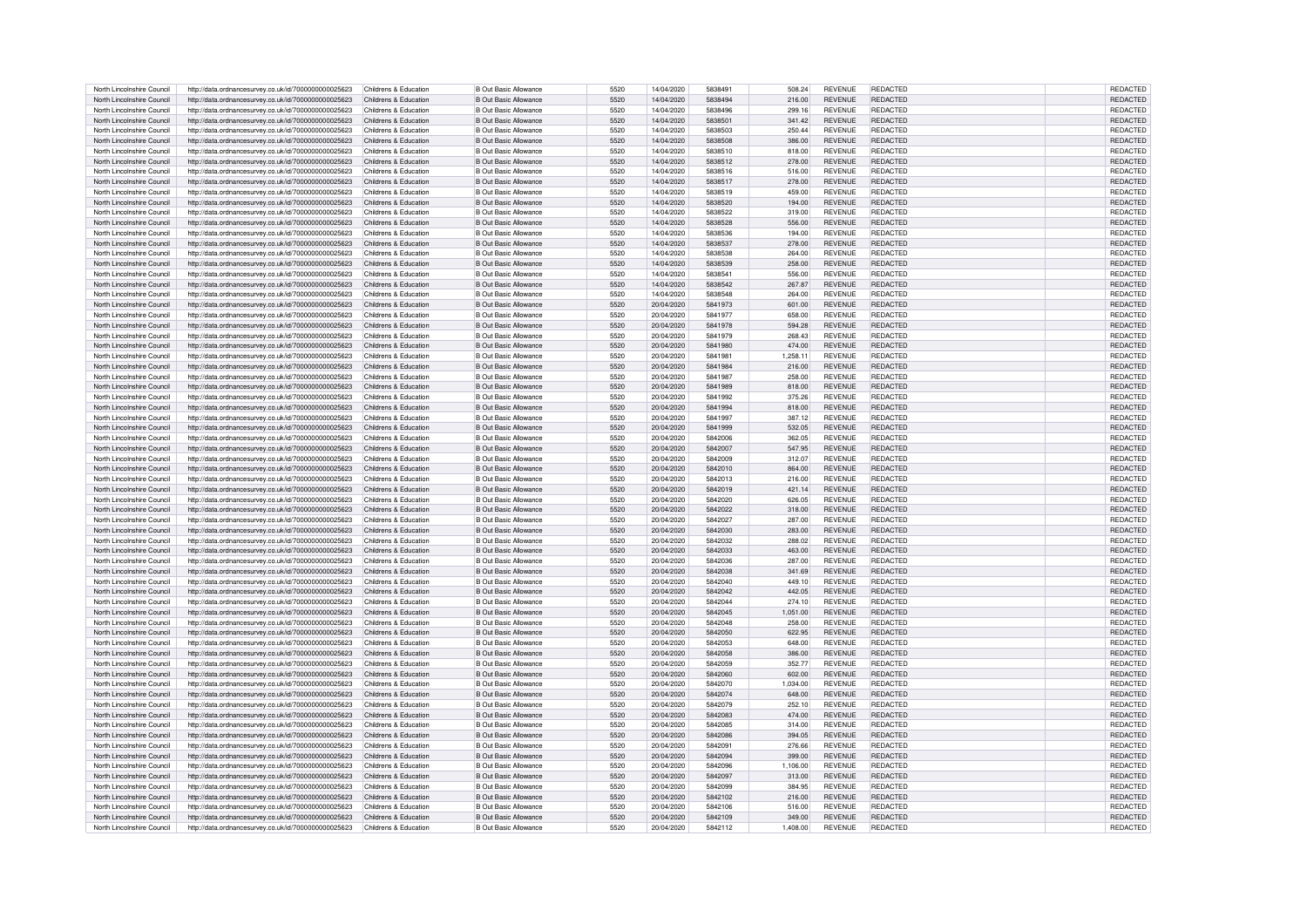| North Lincolnshire Council | http://data.ordnancesurvey.co.uk/id/7000000000025623 | Childrens & Education | <b>B Out Basic Allowance</b> | 5520 | 14/04/2020 | 5838491 | 508.24   | <b>REVENUE</b> | REDACTED        | <b>REDACTED</b> |
|----------------------------|------------------------------------------------------|-----------------------|------------------------------|------|------------|---------|----------|----------------|-----------------|-----------------|
| North Lincolnshire Council | http://data.ordnancesurvey.co.uk/id/7000000000025623 | Childrens & Education | <b>B Out Basic Allowance</b> | 5520 | 14/04/2020 | 5838494 | 216.00   | <b>REVENUE</b> | <b>REDACTED</b> | <b>REDACTED</b> |
|                            |                                                      |                       |                              |      |            |         |          |                |                 |                 |
| North Lincolnshire Council | http://data.ordnancesurvey.co.uk/id/7000000000025623 | Childrens & Education | B Out Basic Allowance        | 5520 | 14/04/2020 | 5838496 | 299.16   | <b>REVENUE</b> | REDACTED        | REDACTED        |
| North Lincolnshire Council | http://data.ordnancesurvey.co.uk/id/7000000000025623 | Childrens & Education | B Out Basic Allowance        | 5520 | 14/04/2020 | 5838501 | 341.42   | <b>REVENUE</b> | REDACTED        | <b>REDACTED</b> |
| North Lincolnshire Council | http://data.ordnancesurvey.co.uk/id/7000000000025623 | Childrens & Education | B Out Basic Allowance        | 5520 | 14/04/2020 | 5838503 | 250.44   | <b>REVENUE</b> | <b>REDACTED</b> | REDACTED        |
| North Lincolnshire Council | http://data.ordnancesurvey.co.uk/id/7000000000025623 | Childrens & Education | B Out Basic Allowance        | 5520 | 14/04/2020 | 5838508 | 386.00   | <b>REVENUE</b> | <b>REDACTED</b> | REDACTED        |
| North Lincolnshire Council | http://data.ordnancesurvey.co.uk/id/7000000000025623 | Childrens & Education | <b>B Out Basic Allowance</b> | 5520 | 14/04/2020 | 5838510 | 818.00   | <b>REVENUE</b> | <b>REDACTED</b> | REDACTED        |
| North Lincolnshire Council |                                                      |                       |                              | 5520 | 14/04/2020 | 5838512 |          | <b>REVENUE</b> | REDACTED        |                 |
|                            | http://data.ordnancesurvey.co.uk/id/7000000000025623 | Childrens & Education | <b>B Out Basic Allowance</b> |      |            |         | 278.00   |                |                 | REDACTED        |
| North Lincolnshire Council | http://data.ordnancesurvey.co.uk/id/7000000000025623 | Childrens & Education | B Out Basic Allowance        | 5520 | 14/04/2020 | 5838516 | 516.00   | <b>REVENUE</b> | REDACTED        | REDACTED        |
| North Lincolnshire Council | http://data.ordnancesurvey.co.uk/id/7000000000025623 | Childrens & Education | <b>B Out Basic Allowance</b> | 5520 | 14/04/2020 | 5838517 | 278.00   | <b>REVENUE</b> | REDACTED        | REDACTED        |
| North Lincolnshire Council | http://data.ordnancesurvey.co.uk/id/7000000000025623 | Childrens & Education | <b>B Out Basic Allowance</b> | 5520 | 14/04/2020 | 5838519 | 459.00   | <b>REVENUE</b> | REDACTED        | REDACTED        |
| North Lincolnshire Council | http://data.ordnancesurvey.co.uk/id/7000000000025623 | Childrens & Education | B Out Basic Allowance        | 5520 | 14/04/2020 | 5838520 | 194.00   | <b>REVENUE</b> | REDACTED        | <b>REDACTED</b> |
|                            |                                                      |                       |                              | 5520 | 14/04/2020 | 5838522 | 319.00   | <b>REVENUE</b> | <b>REDACTED</b> |                 |
| North Lincolnshire Council | http://data.ordnancesurvey.co.uk/id/7000000000025623 | Childrens & Education | <b>B Out Basic Allowance</b> |      |            |         |          |                |                 | <b>REDACTED</b> |
| North Lincolnshire Council | http://data.ordnancesurvey.co.uk/id/7000000000025623 | Childrens & Education | <b>B Out Basic Allowance</b> | 5520 | 14/04/2020 | 5838528 | 556.00   | <b>REVENUE</b> | <b>REDACTED</b> | <b>REDACTED</b> |
| North Lincolnshire Council | http://data.ordnancesurvey.co.uk/id/7000000000025623 | Childrens & Education | <b>B Out Basic Allowance</b> | 5520 | 14/04/2020 | 5838536 | 194.00   | <b>REVENUE</b> | REDACTED        | <b>REDACTED</b> |
| North Lincolnshire Council | http://data.ordnancesurvey.co.uk/id/7000000000025623 | Childrens & Education | <b>B Out Basic Allowance</b> | 5520 | 14/04/2020 | 5838537 | 278.00   | <b>REVENUE</b> | REDACTED        | <b>REDACTED</b> |
| North Lincolnshire Council | http://data.ordnancesurvey.co.uk/id/7000000000025623 | Childrens & Education | B Out Basic Allowance        | 5520 | 14/04/2020 | 5838538 | 264.00   | <b>REVENUE</b> | REDACTED        | <b>REDACTED</b> |
|                            |                                                      |                       | <b>B</b> Out Basic Allowance | 5520 | 14/04/2020 | 5838539 | 258.00   | <b>REVENUE</b> | <b>REDACTED</b> | <b>REDACTED</b> |
| North Lincolnshire Council | http://data.ordnancesurvey.co.uk/id/7000000000025623 | Childrens & Education |                              |      |            |         |          |                |                 |                 |
| North Lincolnshire Council | http://data.ordnancesurvey.co.uk/id/7000000000025623 | Childrens & Education | <b>B Out Basic Allowance</b> | 5520 | 14/04/2020 | 5838541 | 556.00   | <b>REVENUE</b> | <b>REDACTED</b> | <b>REDACTED</b> |
| North Lincolnshire Council | http://data.ordnancesurvey.co.uk/id/7000000000025623 | Childrens & Education | <b>B</b> Out Basic Allowance | 5520 | 14/04/2020 | 5838542 | 267.87   | <b>REVENUE</b> | REDACTED        | <b>REDACTED</b> |
| North Lincolnshire Council | http://data.ordnancesurvey.co.uk/id/7000000000025623 | Childrens & Education | <b>B Out Basic Allowance</b> | 5520 | 14/04/2020 | 5838548 | 264.00   | <b>REVENUE</b> | REDACTED        | <b>REDACTED</b> |
| North Lincolnshire Council | http://data.ordnancesurvey.co.uk/id/7000000000025623 | Childrens & Education | <b>B Out Basic Allowance</b> | 5520 | 20/04/2020 | 5841973 | 601.00   | <b>REVENUE</b> | <b>REDACTED</b> | <b>REDACTED</b> |
|                            |                                                      |                       |                              |      |            |         |          |                |                 |                 |
| North Lincolnshire Council | http://data.ordnancesurvey.co.uk/id/7000000000025623 | Childrens & Education | <b>B Out Basic Allowance</b> | 5520 | 20/04/2020 | 5841977 | 658.00   | <b>REVENUE</b> | REDACTED        | REDACTED        |
| North Lincolnshire Council | http://data.ordnancesurvey.co.uk/id/7000000000025623 | Childrens & Education | <b>B Out Basic Allowance</b> | 5520 | 20/04/2020 | 5841978 | 594.28   | <b>REVENUE</b> | REDACTED        | <b>REDACTED</b> |
| North Lincolnshire Council | http://data.ordnancesurvey.co.uk/id/7000000000025623 | Childrens & Education | <b>B Out Basic Allowance</b> | 5520 | 20/04/2020 | 5841979 | 268.43   | <b>REVENUE</b> | <b>REDACTED</b> | <b>REDACTED</b> |
| North Lincolnshire Council | http://data.ordnancesurvey.co.uk/id/7000000000025623 | Childrens & Education | <b>B Out Basic Allowance</b> | 5520 | 20/04/2020 | 5841980 | 474.00   | <b>REVENUE</b> | REDACTED        | <b>REDACTED</b> |
| North Lincolnshire Council | http://data.ordnancesurvey.co.uk/id/7000000000025623 | Childrens & Education | <b>B Out Basic Allowance</b> | 5520 | 20/04/2020 | 5841981 | 1,258.11 | <b>REVENUE</b> | <b>REDACTED</b> | <b>REDACTED</b> |
| North Lincolnshire Council | http://data.ordnancesurvey.co.uk/id/7000000000025623 | Childrens & Education | B Out Basic Allowance        | 5520 | 20/04/2020 | 5841984 | 216.00   | <b>REVENUE</b> | REDACTED        | <b>REDACTED</b> |
|                            |                                                      |                       |                              |      |            |         |          |                |                 |                 |
| North Lincolnshire Council | http://data.ordnancesurvey.co.uk/id/7000000000025623 | Childrens & Education | B Out Basic Allowance        | 5520 | 20/04/2020 | 5841987 | 258.00   | <b>REVENUE</b> | REDACTED        | <b>REDACTED</b> |
| North Lincolnshire Council | http://data.ordnancesurvey.co.uk/id/7000000000025623 | Childrens & Education | <b>B Out Basic Allowance</b> | 5520 | 20/04/2020 | 5841989 | 818.00   | <b>REVENUE</b> | REDACTED        | <b>REDACTED</b> |
| North Lincolnshire Council | http://data.ordnancesurvey.co.uk/id/7000000000025623 | Childrens & Education | B Out Basic Allowance        | 5520 | 20/04/2020 | 5841992 | 375.26   | <b>REVENUE</b> | REDACTED        | REDACTED        |
| North Lincolnshire Council | http://data.ordnancesurvey.co.uk/id/7000000000025623 | Childrens & Education | B Out Basic Allowance        | 5520 | 20/04/2020 | 5841994 | 818.00   | <b>REVENUE</b> | REDACTED        | REDACTED        |
|                            |                                                      |                       |                              |      |            |         |          |                |                 |                 |
| North Lincolnshire Council | http://data.ordnancesurvey.co.uk/id/7000000000025623 | Childrens & Education | <b>B Out Basic Allowance</b> | 5520 | 20/04/2020 | 5841997 | 387.12   | <b>REVENUE</b> | <b>REDACTED</b> | REDACTED        |
| North Lincolnshire Council | http://data.ordnancesurvey.co.uk/id/7000000000025623 | Childrens & Education | <b>B Out Basic Allowance</b> | 5520 | 20/04/2020 | 5841999 | 532.05   | <b>REVENUE</b> | REDACTED        | REDACTED        |
| North Lincolnshire Council | http://data.ordnancesurvey.co.uk/id/7000000000025623 | Childrens & Education | B Out Basic Allowance        | 5520 | 20/04/2020 | 5842006 | 362.05   | <b>REVENUE</b> | REDACTED        | REDACTED        |
| North Lincolnshire Council | http://data.ordnancesurvey.co.uk/id/7000000000025623 | Childrens & Education | <b>B Out Basic Allowance</b> | 5520 | 20/04/2020 | 5842007 | 547.95   | <b>REVENUE</b> | <b>REDACTED</b> | <b>REDACTED</b> |
| North Lincolnshire Council | http://data.ordnancesurvey.co.uk/id/7000000000025623 | Childrens & Education | <b>B Out Basic Allowance</b> | 5520 | 20/04/2020 | 5842009 | 312.07   | <b>REVENUE</b> | <b>REDACTED</b> | <b>REDACTED</b> |
|                            |                                                      |                       |                              |      |            |         |          |                |                 |                 |
| North Lincolnshire Council | http://data.ordnancesurvey.co.uk/id/7000000000025623 | Childrens & Education | <b>B Out Basic Allowance</b> | 5520 | 20/04/2020 | 5842010 | 864.00   | <b>REVENUE</b> | REDACTED        | <b>REDACTED</b> |
| North Lincolnshire Council | http://data.ordnancesurvey.co.uk/id/7000000000025623 | Childrens & Education | <b>B Out Basic Allowance</b> | 5520 | 20/04/2020 | 5842013 | 216.00   | <b>REVENUE</b> | <b>REDACTED</b> | <b>REDACTED</b> |
| North Lincolnshire Council | http://data.ordnancesurvey.co.uk/id/7000000000025623 | Childrens & Education | B Out Basic Allowance        | 5520 | 20/04/2020 | 5842019 | 421.14   | <b>REVENUE</b> | REDACTED        | REDACTED        |
| North Lincolnshire Council | http://data.ordnancesurvey.co.uk/id/7000000000025623 | Childrens & Education | <b>B Out Basic Allowance</b> | 5520 | 20/04/2020 | 5842020 | 626.05   | <b>REVENUE</b> | <b>REDACTED</b> | REDACTED        |
| North Lincolnshire Council | http://data.ordnancesurvey.co.uk/id/7000000000025623 | Childrens & Education | B Out Basic Allowance        | 5520 | 20/04/2020 | 5842022 | 318.00   | <b>REVENUE</b> | <b>REDACTED</b> | REDACTED        |
|                            |                                                      |                       |                              |      |            |         |          |                |                 |                 |
| North Lincolnshire Council | http://data.ordnancesurvey.co.uk/id/7000000000025623 | Childrens & Education | B Out Basic Allowance        | 5520 | 20/04/2020 | 5842027 | 287.00   | <b>REVENUE</b> | <b>REDACTED</b> | REDACTED        |
| North Lincolnshire Council | http://data.ordnancesurvey.co.uk/id/7000000000025623 | Childrens & Education | B Out Basic Allowance        | 5520 | 20/04/2020 | 5842030 | 283.00   | <b>REVENUE</b> | REDACTED        | <b>REDACTED</b> |
| North Lincolnshire Council | http://data.ordnancesurvey.co.uk/id/7000000000025623 | Childrens & Education | B Out Basic Allowance        | 5520 | 20/04/2020 | 5842032 | 288.02   | <b>REVENUE</b> | <b>REDACTED</b> | REDACTED        |
| North Lincolnshire Council | http://data.ordnancesurvey.co.uk/id/7000000000025623 | Childrens & Education | <b>B Out Basic Allowance</b> | 5520 | 20/04/2020 | 5842033 | 463.00   | <b>REVENUE</b> | REDACTED        | REDACTED        |
| North Lincolnshire Council | http://data.ordnancesurvey.co.uk/id/7000000000025623 | Childrens & Education | <b>B Out Basic Allowance</b> | 5520 | 20/04/2020 | 5842036 | 287.00   | <b>REVENUE</b> | REDACTED        | REDACTED        |
|                            |                                                      |                       |                              |      |            |         |          |                |                 |                 |
| North Lincolnshire Council | http://data.ordnancesurvey.co.uk/id/7000000000025623 | Childrens & Education | <b>B Out Basic Allowance</b> | 5520 | 20/04/2020 | 5842038 | 341.69   | <b>REVENUE</b> | <b>REDACTED</b> | <b>REDACTED</b> |
| North Lincolnshire Council | http://data.ordnancesurvey.co.uk/id/7000000000025623 | Childrens & Education | B Out Basic Allowance        | 5520 | 20/04/2020 | 5842040 | 449.10   | <b>REVENUE</b> | <b>REDACTED</b> | <b>REDACTED</b> |
| North Lincolnshire Council | http://data.ordnancesurvey.co.uk/id/7000000000025623 | Childrens & Education | <b>B Out Basic Allowance</b> | 5520 | 20/04/2020 | 5842042 | 442.05   | <b>REVENUE</b> | REDACTED        | REDACTED        |
| North Lincolnshire Council | http://data.ordnancesurvey.co.uk/id/7000000000025623 | Childrens & Education | B Out Basic Allowance        | 5520 | 20/04/2020 | 5842044 | 274.10   | <b>REVENUE</b> | <b>REDACTED</b> | REDACTED        |
| North Lincolnshire Council | http://data.ordnancesurvey.co.uk/id/7000000000025623 | Childrens & Education | B Out Basic Allowance        | 5520 | 20/04/2020 | 5842045 | 1.051.00 | <b>REVENUE</b> | REDACTED        | REDACTED        |
| North Lincolnshire Council |                                                      | Childrens & Education | B Out Basic Allowance        | 5520 | 20/04/2020 | 5842048 | 258.00   | <b>REVENUE</b> | <b>REDACTED</b> | REDACTED        |
|                            | http://data.ordnancesurvey.co.uk/id/7000000000025623 |                       |                              |      |            |         |          |                |                 |                 |
| North Lincolnshire Council | http://data.ordnancesurvey.co.uk/id/7000000000025623 | Childrens & Education | B Out Basic Allowance        | 5520 | 20/04/2020 | 5842050 | 622.95   | <b>REVENUE</b> | <b>REDACTED</b> | REDACTED        |
| North Lincolnshire Council | http://data.ordnancesurvey.co.uk/id/7000000000025623 | Childrens & Education | B Out Basic Allowance        | 5520 | 20/04/2020 | 5842053 | 648.00   | <b>REVENUE</b> | REDACTED        | REDACTED        |
| North Lincolnshire Council | http://data.ordnancesurvey.co.uk/id/7000000000025623 | Childrens & Education | <b>B Out Basic Allowance</b> | 5520 | 20/04/2020 | 5842058 | 386.00   | <b>REVENUE</b> | REDACTED        | REDACTED        |
| North Lincolnshire Council | http://data.ordnancesurvey.co.uk/id/7000000000025623 | Childrens & Education | <b>B Out Basic Allowance</b> | 5520 | 20/04/2020 | 5842059 | 352.77   | <b>REVENUE</b> | REDACTED        | REDACTED        |
| North Lincolnshire Council | http://data.ordnancesurvey.co.uk/id/7000000000025623 | Childrens & Education | <b>B Out Basic Allowance</b> | 5520 | 20/04/2020 | 5842060 | 602.00   | <b>REVENUE</b> | REDACTED        | REDACTED        |
|                            |                                                      |                       |                              |      |            |         |          |                |                 |                 |
| North Lincolnshire Council | http://data.ordnancesurvey.co.uk/id/7000000000025623 | Childrens & Education | <b>B Out Basic Allowance</b> | 5520 | 20/04/2020 | 5842070 | 1,034.00 | <b>REVENUE</b> | REDACTED        | REDACTED        |
| North Lincolnshire Council | http://data.ordnancesurvey.co.uk/id/7000000000025623 | Childrens & Education | B Out Basic Allowance        | 5520 | 20/04/2020 | 5842074 | 648.00   | <b>REVENUE</b> | <b>REDACTED</b> | <b>REDACTED</b> |
| North Lincolnshire Council | http://data.ordnancesurvey.co.uk/id/7000000000025623 | Childrens & Education | <b>B Out Basic Allowance</b> | 5520 | 20/04/2020 | 5842079 | 252.10   | <b>REVENUE</b> | <b>REDACTED</b> | <b>REDACTED</b> |
| North Lincolnshire Council | http://data.ordnancesurvey.co.uk/id/7000000000025623 | Childrens & Education | <b>B Out Basic Allowance</b> | 5520 | 20/04/2020 | 5842083 | 474.00   | <b>REVENUE</b> | <b>REDACTED</b> | <b>REDACTED</b> |
| North Lincolnshire Council | http://data.ordnancesurvey.co.uk/id/7000000000025623 | Childrens & Education | <b>B Out Basic Allowance</b> | 5520 | 20/04/2020 | 5842085 | 314.00   | <b>REVENUE</b> | REDACTED        | <b>REDACTED</b> |
|                            |                                                      |                       |                              |      |            |         |          |                |                 |                 |
| North Lincolnshire Council | http://data.ordnancesurvey.co.uk/id/7000000000025623 | Childrens & Education | <b>B Out Basic Allowance</b> | 5520 | 20/04/2020 | 5842086 | 394.05   | <b>REVENUE</b> | REDACTED        | <b>REDACTED</b> |
| North Lincolnshire Council | http://data.ordnancesurvey.co.uk/id/7000000000025623 | Childrens & Education | <b>B Out Basic Allowance</b> | 5520 | 20/04/2020 | 5842091 | 276.66   | <b>REVENUE</b> | REDACTED        | <b>REDACTED</b> |
| North Lincolnshire Council | http://data.ordnancesurvey.co.uk/id/7000000000025623 | Childrens & Education | <b>B Out Basic Allowance</b> | 5520 | 20/04/2020 | 5842094 | 399.00   | <b>REVENUE</b> | REDACTED        | REDACTED        |
| North Lincolnshire Council | http://data.ordnancesurvey.co.uk/id/7000000000025623 | Childrens & Education | <b>B</b> Out Basic Allowance | 5520 | 20/04/2020 | 5842096 | 1.106.00 | <b>REVENUE</b> | REDACTED        | <b>REDACTED</b> |
| North Lincolnshire Council | http://data.ordnancesurvey.co.uk/id/7000000000025623 | Childrens & Education | <b>B Out Basic Allowance</b> | 5520 | 20/04/2020 | 5842097 | 313.00   | <b>REVENUE</b> | REDACTED        | <b>REDACTED</b> |
|                            |                                                      |                       | B Out Basic Allowance        | 5520 |            | 5842099 |          |                | REDACTED        |                 |
| North Lincolnshire Council | http://data.ordnancesurvey.co.uk/id/7000000000025623 | Childrens & Education |                              |      | 20/04/2020 |         | 384.95   | <b>REVENUE</b> |                 | <b>REDACTED</b> |
| North Lincolnshire Council | http://data.ordnancesurvey.co.uk/id/7000000000025623 | Childrens & Education | <b>B Out Basic Allowance</b> | 5520 | 20/04/2020 | 5842102 | 216.00   | <b>REVENUE</b> | REDACTED        | <b>REDACTED</b> |
| North Lincolnshire Council | http://data.ordnancesurvey.co.uk/id/7000000000025623 | Childrens & Education | B Out Basic Allowance        | 5520 | 20/04/2020 | 5842106 | 516.00   | <b>REVENUE</b> | <b>REDACTED</b> | REDACTED        |
| North Lincolnshire Council | http://data.ordnancesurvey.co.uk/id/7000000000025623 | Childrens & Education | B Out Basic Allowance        | 5520 | 20/04/2020 | 5842109 | 349.00   | <b>REVENUE</b> | REDACTED        | <b>REDACTED</b> |
| North Lincolnshire Council | http://data.ordnancesurvey.co.uk/id/7000000000025623 | Childrens & Education | <b>B Out Basic Allowance</b> | 5520 | 20/04/2020 | 5842112 | 1,408.00 | <b>REVENUE</b> | <b>REDACTED</b> | REDACTED        |
|                            |                                                      |                       |                              |      |            |         |          |                |                 |                 |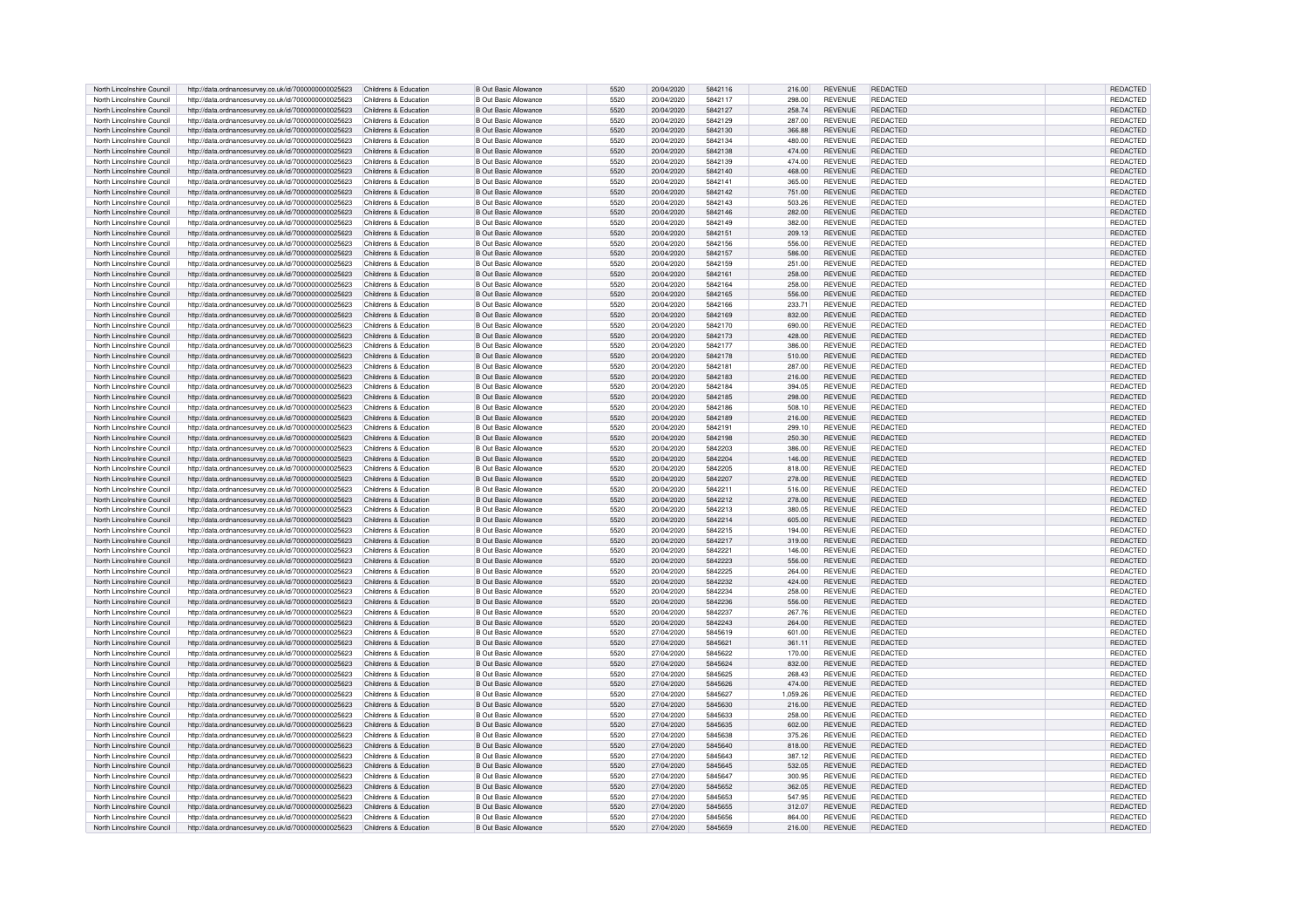| North Lincolnshire Council<br>http://data.ordnancesurvey.co.uk/id/7000000000025623<br>Childrens & Education<br><b>B Out Basic Allowance</b><br>5520<br>20/04/2020<br>5842117<br>298.00<br><b>REVENUE</b><br><b>REDACTED</b><br>REDACTED<br>North Lincolnshire Council<br>http://data.ordnancesurvey.co.uk/id/7000000000025623<br>5520<br>20/04/2020<br>5842127<br>258.74<br><b>REVENUE</b><br>REDACTED<br><b>REDACTED</b><br>Childrens & Education<br>B Out Basic Allowance<br>North Lincolnshire Council<br>http://data.ordnancesurvey.co.uk/id/7000000000025623<br>Childrens & Education<br>20/04/2020<br>5842129<br>287.00<br>REDACTED<br>REDACTED<br>B Out Basic Allowance<br>5520<br><b>REVENUE</b><br>REDACTED<br>North Lincolnshire Council<br>http://data.ordnancesurvey.co.uk/id/7000000000025623<br>Childrens & Education<br><b>B</b> Out Basic Allowance<br>5520<br>20/04/2020<br>5842130<br>366.88<br><b>REVENUE</b><br><b>REDACTED</b><br>REDACTED<br>North Lincolnshire Council<br>http://data.ordnancesurvey.co.uk/id/7000000000025623<br>Childrens & Education<br>B Out Basic Allowance<br>5520<br>20/04/2020<br>5842134<br>480.00<br><b>REVENUE</b><br><b>REDACTED</b><br>REDACTED<br>North Lincolnshire Council<br>http://data.ordnancesurvey.co.uk/id/7000000000025623<br>Childrens & Education<br><b>B Out Basic Allowance</b><br>5520<br>20/04/2020<br>5842138<br>474.00<br><b>REVENUE</b><br><b>REDACTED</b><br>North Lincolnshire Council<br>http://data.ordnancesurvey.co.uk/id/7000000000025623<br>Childrens & Education<br>B Out Basic Allowance<br>5520<br>20/04/2020<br>5842139<br>474.00<br><b>REVENUE</b><br>REDACTED<br>REDACTED<br>REDACTED<br>North Lincolnshire Council<br>http://data.ordnancesurvey.co.uk/id/7000000000025623<br>Childrens & Education<br>B Out Basic Allowance<br>5520<br>20/04/2020<br>5842140<br>468.00<br><b>REVENUE</b><br>REDACTED<br>North Lincolnshire Council<br>http://data.ordnancesurvey.co.uk/id/7000000000025623<br>Childrens & Education<br><b>B Out Basic Allowance</b><br>5520<br>20/04/2020<br>5842141<br>365.00<br><b>REVENUE</b><br>REDACTED<br>REDACTED<br>North Lincolnshire Council<br>http://data.ordnancesurvey.co.uk/id/7000000000025623<br>Childrens & Education<br><b>B Out Basic Allowance</b><br>5520<br>20/04/2020<br>5842142<br>751.00<br><b>REVENUE</b><br>REDACTED<br>REDACTED<br>North Lincolnshire Council<br>REDACTED<br><b>REDACTED</b><br>http://data.ordnancesurvey.co.uk/id/7000000000025623<br>Childrens & Education<br>B Out Basic Allowance<br>5520<br>20/04/2020<br>5842143<br>503.26<br><b>REVENUE</b><br>North Lincolnshire Council<br>http://data.ordnancesurvey.co.uk/id/7000000000025623<br>Childrens & Education<br><b>B Out Basic Allowance</b><br>5520<br>20/04/2020<br>5842146<br>282.00<br><b>REVENUE</b><br><b>REDACTED</b><br><b>REDACTED</b><br>North Lincolnshire Council<br>http://data.ordnancesurvey.co.uk/id/7000000000025623<br>Childrens & Education<br><b>B Out Basic Allowance</b><br>5520<br>20/04/2020<br>5842149<br>382.00<br><b>REVENUE</b><br><b>REDACTED</b><br><b>REDACTED</b><br>North Lincolnshire Council<br>http://data.ordnancesurvey.co.uk/id/7000000000025623<br>Childrens & Education<br><b>B Out Basic Allowance</b><br>5520<br>20/04/2020<br>5842151<br>209.13<br><b>REVENUE</b><br>REDACTED<br><b>REDACTED</b><br>North Lincolnshire Council<br>http://data.ordnancesurvey.co.uk/id/7000000000025623<br>Childrens & Education<br><b>B Out Basic Allowance</b><br>5520<br>20/04/2020<br>5842156<br>556.00<br><b>REVENUE</b><br>REDACTED<br><b>REDACTED</b><br>North Lincolnshire Council<br>5520<br>5842157<br>REDACTED<br><b>REDACTED</b><br>http://data.ordnancesurvey.co.uk/id/7000000000025623<br>Childrens & Education<br>B Out Basic Allowance<br>20/04/2020<br>586.00<br><b>REVENUE</b><br>B Out Basic Allowance<br>5520<br>20/04/2020<br><b>REVENUE</b><br><b>REDACTED</b><br><b>REDACTED</b><br>North Lincolnshire Council<br>http://data.ordnancesurvey.co.uk/id/7000000000025623<br>Childrens & Education<br>5842159<br>251.00<br><b>B</b> Out Basic Allowance<br>5520<br>20/04/2020<br><b>REVENUE</b><br>REDACTED<br><b>REDACTED</b><br>North Lincolnshire Council<br>http://data.ordnancesurvey.co.uk/id/7000000000025623<br>Childrens & Education<br>5842161<br>258.00<br><b>B Out Basic Allowance</b><br>5520<br>20/04/2020<br><b>REDACTED</b><br><b>REDACTED</b><br>North Lincolnshire Council<br>http://data.ordnancesurvey.co.uk/id/7000000000025623<br>Childrens & Education<br>5842164<br>258.00<br><b>REVENUE</b><br>North Lincolnshire Council<br>http://data.ordnancesurvey.co.uk/id/7000000000025623<br>Childrens & Education<br><b>B Out Basic Allowance</b><br>5520<br>20/04/2020<br>5842165<br>556.00<br><b>REVENUE</b><br>REDACTED<br><b>REDACTED</b><br>North Lincolnshire Council<br>http://data.ordnancesurvey.co.uk/id/7000000000025623<br>Childrens & Education<br><b>B Out Basic Allowance</b><br>5520<br>20/04/2020<br>5842166<br><b>REVENUE</b><br><b>REDACTED</b><br><b>REDACTED</b><br>233.71<br>North Lincolnshire Council<br><b>B Out Basic Allowance</b><br>REDACTED<br><b>REDACTED</b><br>http://data.ordnancesurvey.co.uk/id/7000000000025623<br>Childrens & Education<br>5520<br>20/04/2020<br>5842169<br>832.00<br><b>REVENUE</b><br>North Lincolnshire Council<br><b>B Out Basic Allowance</b><br>REDACTED<br><b>REDACTED</b><br>http://data.ordnancesurvey.co.uk/id/7000000000025623<br>Childrens & Education<br>5520<br>20/04/2020<br>5842170<br>690.00<br><b>REVENUE</b><br>North Lincolnshire Council<br>http://data.ordnancesurvey.co.uk/id/7000000000025623<br>Childrens & Education<br><b>B Out Basic Allowance</b><br>5520<br>20/04/2020<br>5842173<br>428.00<br><b>REVENUE</b><br><b>REDACTED</b><br><b>REDACTED</b><br>North Lincolnshire Council<br>http://data.ordnancesurvey.co.uk/id/7000000000025623<br>Childrens & Education<br><b>B Out Basic Allowance</b><br>5520<br>20/04/2020<br>5842177<br>386.00<br><b>REVENUE</b><br><b>REDACTED</b><br><b>REDACTED</b><br>North Lincolnshire Council<br>http://data.ordnancesurvey.co.uk/id/7000000000025623<br>Childrens & Education<br><b>B Out Basic Allowance</b><br>5520<br>20/04/2020<br>5842178<br>510.00<br><b>REVENUE</b><br>REDACTED<br><b>REDACTED</b><br>North Lincolnshire Council<br>http://data.ordnancesurvey.co.uk/id/7000000000025623<br>Childrens & Education<br>B Out Basic Allowance<br>5520<br>20/04/2020<br>5842181<br>287.00<br><b>REVENUE</b><br><b>REDACTED</b><br><b>REDACTED</b><br>5520<br>REDACTED<br>REDACTED<br>North Lincolnshire Council<br>http://data.ordnancesurvey.co.uk/id/7000000000025623<br>Childrens & Education<br>B Out Basic Allowance<br>20/04/2020<br>5842183<br>216.00<br><b>REVENUE</b><br>5520<br>REDACTED<br>North Lincolnshire Council<br>http://data.ordnancesurvey.co.uk/id/7000000000025623<br>Childrens & Education<br><b>B Out Basic Allowance</b><br>20/04/2020<br>5842184<br>394.05<br><b>REVENUE</b><br>REDACTED<br>REDACTED<br><b>REDACTED</b><br>North Lincolnshire Council<br>http://data.ordnancesurvey.co.uk/id/7000000000025623<br>Childrens & Education<br>B Out Basic Allowance<br>5520<br>20/04/2020<br>5842185<br>298.00<br><b>REVENUE</b><br>REDACTED<br>REDACTED<br>North Lincolnshire Council<br>http://data.ordnancesurvey.co.uk/id/7000000000025623<br>Childrens & Education<br>B Out Basic Allowance<br>5520<br>20/04/2020<br>5842186<br>508.10<br><b>REVENUE</b><br>North Lincolnshire Council<br>http://data.ordnancesurvey.co.uk/id/7000000000025623<br>Childrens & Education<br><b>B Out Basic Allowance</b><br>5520<br>20/04/2020<br>5842189<br>216.00<br><b>REVENUE</b><br><b>REDACTED</b><br>REDACTED<br>North Lincolnshire Council<br>http://data.ordnancesurvey.co.uk/id/7000000000025623<br>Childrens & Education<br><b>B Out Basic Allowance</b><br>5520<br>20/04/2020<br>5842191<br>299.10<br><b>REVENUE</b><br>REDACTED<br>REDACTED<br>North Lincolnshire Council<br>5520<br>5842198<br>REDACTED<br><b>REDACTED</b><br>http://data.ordnancesurvey.co.uk/id/7000000000025623<br>Childrens & Education<br>B Out Basic Allowance<br>20/04/2020<br>250.30<br><b>REVENUE</b><br>North Lincolnshire Council<br>http://data.ordnancesurvey.co.uk/id/7000000000025623<br>Childrens & Education<br><b>B Out Basic Allowance</b><br>5520<br>20/04/2020<br>5842203<br>386.00<br><b>REVENUE</b><br><b>REDACTED</b><br><b>REDACTED</b><br>North Lincolnshire Council<br>http://data.ordnancesurvey.co.uk/id/7000000000025623<br>Childrens & Education<br><b>B Out Basic Allowance</b><br>5520<br>20/04/2020<br>5842204<br>146.00<br><b>REVENUE</b><br><b>REDACTED</b><br><b>REDACTED</b><br>North Lincolnshire Council<br>http://data.ordnancesurvey.co.uk/id/7000000000025623<br>Childrens & Education<br><b>B Out Basic Allowance</b><br>5520<br>20/04/2020<br>5842205<br>818.00<br><b>REVENUE</b><br><b>REDACTED</b><br><b>REDACTED</b><br>North Lincolnshire Council<br>http://data.ordnancesurvey.co.uk/id/7000000000025623<br>Childrens & Education<br><b>B Out Basic Allowance</b><br>5520<br>20/04/2020<br>5842207<br>278.00<br><b>REVENUE</b><br>REDACTED<br><b>REDACTED</b><br>B Out Basic Allowance<br>5520<br>20/04/2020<br>5842211<br><b>REDACTED</b><br>REDACTED<br>North Lincolnshire Council<br>http://data.ordnancesurvey.co.uk/id/7000000000025623<br>Childrens & Education<br>516.00<br><b>REVENUE</b><br>5520<br>20/04/2020<br><b>REVENUE</b><br>REDACTED<br>REDACTED<br>North Lincolnshire Council<br>http://data.ordnancesurvey.co.uk/id/7000000000025623<br>Childrens & Education<br>B Out Basic Allowance<br>5842212<br>278.00<br>5520<br>20/04/2020<br>5842213<br>REDACTED<br>North Lincolnshire Council<br>http://data.ordnancesurvey.co.uk/id/7000000000025623<br>Childrens & Education<br>B Out Basic Allowance<br>380.05<br><b>REVENUE</b><br><b>REDACTED</b><br><b>B Out Basic Allowance</b><br>5520<br>20/04/2020<br>5842214<br><b>REDACTED</b><br><b>REDACTED</b><br>North Lincolnshire Council<br>http://data.ordnancesurvey.co.uk/id/7000000000025623<br>Childrens & Education<br>605.00<br><b>REVENUE</b><br>REDACTED<br>North Lincolnshire Council<br>http://data.ordnancesurvey.co.uk/id/7000000000025623<br>Childrens & Education<br>B Out Basic Allowance<br>5520<br>20/04/2020<br>5842215<br>194.00<br><b>REVENUE</b><br><b>REDACTED</b><br>North Lincolnshire Council<br>http://data.ordnancesurvey.co.uk/id/7000000000025623<br>Childrens & Education<br><b>B Out Basic Allowance</b><br>5520<br>20/04/2020<br>5842217<br>319.00<br><b>REVENUE</b><br><b>REDACTED</b><br>REDACTED<br>North Lincolnshire Council<br><b>B Out Basic Allowance</b><br>20/04/2020<br><b>REDACTED</b><br>REDACTED<br>http://data.ordnancesurvey.co.uk/id/7000000000025623<br>Childrens & Education<br>5520<br>5842221<br>146.00<br><b>REVENUE</b><br>North Lincolnshire Council<br>REDACTED<br>REDACTED<br>http://data.ordnancesurvey.co.uk/id/7000000000025623<br>Childrens & Education<br><b>B Out Basic Allowance</b><br>5520<br>20/04/2020<br>5842223<br>556.00<br><b>REVENUE</b><br>North Lincolnshire Council<br>http://data.ordnancesurvey.co.uk/id/7000000000025623<br>Childrens & Education<br>B Out Basic Allowance<br>5520<br>20/04/2020<br>5842225<br>264.00<br><b>REVENUE</b><br><b>REDACTED</b><br><b>REDACTED</b><br>North Lincolnshire Council<br>http://data.ordnancesurvey.co.uk/id/7000000000025623<br>Childrens & Education<br>B Out Basic Allowance<br>5520<br>20/04/2020<br>5842232<br>424.00<br><b>REVENUE</b><br><b>REDACTED</b><br>REDACTED<br>North Lincolnshire Council<br>http://data.ordnancesurvey.co.uk/id/7000000000025623<br>Childrens & Education<br><b>B Out Basic Allowance</b><br>5520<br>20/04/2020<br>5842234<br>258.00<br><b>REVENUE</b><br><b>REDACTED</b><br>REDACTED<br>5842236<br>REDACTED<br><b>REDACTED</b><br>North Lincolnshire Council<br>http://data.ordnancesurvey.co.uk/id/7000000000025623<br>Childrens & Education<br>B Out Basic Allowance<br>5520<br>20/04/2020<br>556.00<br><b>REVENUE</b><br>5842237<br>REDACTED<br>REDACTED<br>North Lincolnshire Council<br>http://data.ordnancesurvey.co.uk/id/7000000000025623<br>Childrens & Education<br>B Out Basic Allowance<br>5520<br>20/04/2020<br>267.76<br><b>REVENUE</b><br>5520<br>5842243<br><b>REDACTED</b><br>REDACTED<br>North Lincolnshire Council<br>http://data.ordnancesurvey.co.uk/id/7000000000025623<br>Childrens & Education<br><b>B Out Basic Allowance</b><br>20/04/2020<br>264.00<br><b>REVENUE</b><br>North Lincolnshire Council<br>5520<br>5845619<br><b>REVENUE</b><br><b>REDACTED</b><br>REDACTED<br>http://data.ordnancesurvey.co.uk/id/7000000000025623<br>Childrens & Education<br>B Out Basic Allowance<br>27/04/2020<br>601.00<br>http://data.ordnancesurvey.co.uk/id/7000000000025623<br>5520<br>5845621<br>REDACTED<br>REDACTED<br>North Lincolnshire Council<br>Childrens & Education<br><b>B Out Basic Allowance</b><br>27/04/2020<br>361.11<br><b>REVENUE</b><br>North Lincolnshire Council<br>http://data.ordnancesurvey.co.uk/id/7000000000025623<br>Childrens & Education<br><b>B Out Basic Allowance</b><br>5520<br>27/04/2020<br>5845622<br>170.00<br><b>REVENUE</b><br><b>REDACTED</b><br>REDACTED<br>North Lincolnshire Council<br>http://data.ordnancesurvey.co.uk/id/7000000000025623<br>Childrens & Education<br><b>B Out Basic Allowance</b><br>5520<br>27/04/2020<br>5845624<br>832.00<br><b>REVENUE</b><br>REDACTED<br>REDACTED<br>North Lincolnshire Council<br>http://data.ordnancesurvey.co.uk/id/7000000000025623<br>Childrens & Education<br><b>B Out Basic Allowance</b><br>5520<br>5845625<br><b>REVENUE</b><br>REDACTED<br>REDACTED<br>27/04/2020<br>268.43<br>North Lincolnshire Council<br>http://data.ordnancesurvey.co.uk/id/7000000000025623<br><b>B Out Basic Allowance</b><br>5520<br>27/04/2020<br>5845626<br>474.00<br><b>REVENUE</b><br>REDACTED<br>REDACTED<br>Childrens & Education<br>REDACTED<br>North Lincolnshire Council<br>http://data.ordnancesurvey.co.uk/id/7000000000025623<br>Childrens & Education<br>B Out Basic Allowance<br>5520<br>27/04/2020<br>5845627<br>1.059.26<br><b>REVENUE</b><br>REDACTED<br>North Lincolnshire Council<br>http://data.ordnancesurvey.co.uk/id/7000000000025623<br>Childrens & Education<br><b>B Out Basic Allowance</b><br>5520<br>27/04/2020<br>5845630<br>216.00<br><b>REVENUE</b><br><b>REDACTED</b><br><b>REDACTED</b><br>North Lincolnshire Council<br>http://data.ordnancesurvey.co.uk/id/7000000000025623<br>Childrens & Education<br><b>B Out Basic Allowance</b><br>5520<br>27/04/2020<br>5845633<br>258.00<br><b>REVENUE</b><br><b>REDACTED</b><br><b>REDACTED</b><br>North Lincolnshire Council<br>http://data.ordnancesurvey.co.uk/id/7000000000025623<br><b>B Out Basic Allowance</b><br>5520<br>27/04/2020<br>5845635<br><b>REVENUE</b><br>REDACTED<br><b>REDACTED</b><br>Childrens & Education<br>602.00<br>North Lincolnshire Council<br>http://data.ordnancesurvey.co.uk/id/7000000000025623<br>Childrens & Education<br><b>B Out Basic Allowance</b><br>5520<br>27/04/2020<br>5845638<br>375.26<br><b>REVENUE</b><br><b>REDACTED</b><br><b>REDACTED</b><br>REDACTED<br><b>REDACTED</b><br>North Lincolnshire Council<br>http://data.ordnancesurvey.co.uk/id/7000000000025623<br>Childrens & Education<br><b>B Out Basic Allowance</b><br>5520<br>27/04/2020<br>5845640<br>818.00<br><b>REVENUE</b><br>REDACTED<br>http://data.ordnancesurvey.co.uk/id/7000000000025623<br>Childrens & Education<br><b>B Out Basic Allowance</b><br>5520<br>27/04/2020<br>5845643<br>387.12<br><b>REVENUE</b><br><b>REDACTED</b><br>North Lincolnshire Council<br>5520<br>REDACTED<br><b>REDACTED</b><br>North Lincolnshire Council<br>http://data.ordnancesurvey.co.uk/id/7000000000025623<br>Childrens & Education<br><b>B Out Basic Allowance</b><br>27/04/2020<br>5845645<br>532.05<br><b>REVENUE</b><br>REDACTED<br>North Lincolnshire Council<br>http://data.ordnancesurvey.co.uk/id/7000000000025623<br>Childrens & Education<br><b>B Out Basic Allowance</b><br>5520<br>27/04/2020<br>5845647<br>300.95<br><b>REVENUE</b><br><b>REDACTED</b><br>North Lincolnshire Council<br>http://data.ordnancesurvey.co.uk/id/7000000000025623<br>Childrens & Education<br><b>B Out Basic Allowance</b><br>5520<br>27/04/2020<br>5845652<br>362.05<br><b>REVENUE</b><br>REDACTED<br><b>REDACTED</b><br>North Lincolnshire Council<br>http://data.ordnancesurvey.co.uk/id/7000000000025623<br>Childrens & Education<br><b>B Out Basic Allowance</b><br>27/04/2020<br>5845653<br><b>REVENUE</b><br>REDACTED<br><b>REDACTED</b><br>5520<br>547.95<br>REDACTED<br><b>REDACTED</b><br>North Lincolnshire Council<br>http://data.ordnancesurvey.co.uk/id/7000000000025623<br>Childrens & Education<br>B Out Basic Allowance<br>5520<br>27/04/2020<br>5845655<br>312.07<br><b>REVENUE</b><br>REDACTED<br>North Lincolnshire Council<br>http://data.ordnancesurvey.co.uk/id/7000000000025623<br>Childrens & Education<br><b>B Out Basic Allowance</b><br>5520<br>27/04/2020<br>5845656<br>864.00<br><b>REVENUE</b><br>REDACTED<br>North Lincolnshire Council<br>http://data.ordnancesurvey.co.uk/id/7000000000025623<br>Childrens & Education<br><b>B Out Basic Allowance</b><br>5520<br>27/04/2020<br>5845659<br>216.00<br><b>REVENUE</b><br><b>REDACTED</b><br>REDACTED | North Lincolnshire Council | http://data.ordnancesurvey.co.uk/id/7000000000025623 | Childrens & Education | <b>B Out Basic Allowance</b> | 5520 | 20/04/2020 | 5842116 | 216.00 | <b>REVENUE</b> | REDACTED | <b>REDACTED</b> |
|----------------------------------------------------------------------------------------------------------------------------------------------------------------------------------------------------------------------------------------------------------------------------------------------------------------------------------------------------------------------------------------------------------------------------------------------------------------------------------------------------------------------------------------------------------------------------------------------------------------------------------------------------------------------------------------------------------------------------------------------------------------------------------------------------------------------------------------------------------------------------------------------------------------------------------------------------------------------------------------------------------------------------------------------------------------------------------------------------------------------------------------------------------------------------------------------------------------------------------------------------------------------------------------------------------------------------------------------------------------------------------------------------------------------------------------------------------------------------------------------------------------------------------------------------------------------------------------------------------------------------------------------------------------------------------------------------------------------------------------------------------------------------------------------------------------------------------------------------------------------------------------------------------------------------------------------------------------------------------------------------------------------------------------------------------------------------------------------------------------------------------------------------------------------------------------------------------------------------------------------------------------------------------------------------------------------------------------------------------------------------------------------------------------------------------------------------------------------------------------------------------------------------------------------------------------------------------------------------------------------------------------------------------------------------------------------------------------------------------------------------------------------------------------------------------------------------------------------------------------------------------------------------------------------------------------------------------------------------------------------------------------------------------------------------------------------------------------------------------------------------------------------------------------------------------------------------------------------------------------------------------------------------------------------------------------------------------------------------------------------------------------------------------------------------------------------------------------------------------------------------------------------------------------------------------------------------------------------------------------------------------------------------------------------------------------------------------------------------------------------------------------------------------------------------------------------------------------------------------------------------------------------------------------------------------------------------------------------------------------------------------------------------------------------------------------------------------------------------------------------------------------------------------------------------------------------------------------------------------------------------------------------------------------------------------------------------------------------------------------------------------------------------------------------------------------------------------------------------------------------------------------------------------------------------------------------------------------------------------------------------------------------------------------------------------------------------------------------------------------------------------------------------------------------------------------------------------------------------------------------------------------------------------------------------------------------------------------------------------------------------------------------------------------------------------------------------------------------------------------------------------------------------------------------------------------------------------------------------------------------------------------------------------------------------------------------------------------------------------------------------------------------------------------------------------------------------------------------------------------------------------------------------------------------------------------------------------------------------------------------------------------------------------------------------------------------------------------------------------------------------------------------------------------------------------------------------------------------------------------------------------------------------------------------------------------------------------------------------------------------------------------------------------------------------------------------------------------------------------------------------------------------------------------------------------------------------------------------------------------------------------------------------------------------------------------------------------------------------------------------------------------------------------------------------------------------------------------------------------------------------------------------------------------------------------------------------------------------------------------------------------------------------------------------------------------------------------------------------------------------------------------------------------------------------------------------------------------------------------------------------------------------------------------------------------------------------------------------------------------------------------------------------------------------------------------------------------------------------------------------------------------------------------------------------------------------------------------------------------------------------------------------------------------------------------------------------------------------------------------------------------------------------------------------------------------------------------------------------------------------------------------------------------------------------------------------------------------------------------------------------------------------------------------------------------------------------------------------------------------------------------------------------------------------------------------------------------------------------------------------------------------------------------------------------------------------------------------------------------------------------------------------------------------------------------------------------------------------------------------------------------------------------------------------------------------------------------------------------------------------------------------------------------------------------------------------------------------------------------------------------------------------------------------------------------------------------------------------------------------------------------------------------------------------------------------------------------------------------------------------------------------------------------------------------------------------------------------------------------------------------------------------------------------------------------------------------------------------------------------------------------------------------------------------------------------------------------------------------------------------------------------------------------------------------------------------------------------------------------------------------------------------------------------------------------------------------------------------------------------------------------------------------------------------------------------------------------------------------------------------------------------------------------------------------------------------------------------------------------------------------------------------------------------------------------------------------------------------------------------------------------------------------------------------------------------------------------------------------------------------------------------------------------------------------------------------------------------------------------------------------------------------------------------------------------------------------------------------------------------------------------------------------------------------------------------------------------------------------------------------------------------------------------------------------------------------------------------------------------------------------------------------------------------------------------------------------------------------------------------------------------------------------------------------------------------------------------------------------------------------------------------------------------------------------------------------------------------------------------------------------------------------------------------------------------------------------------------------------------------------------------------------------------------------------------------------------------------------------------------------------------------------------------------------------------------------------------------------------------------------------------------------------------------------------------------------------------------------------------------------------------------------------------------------------------------------------------------------------------------------------------------------------------------------------------------------------------------------------------------------------------------------------------------------------------------------------------------------------------------------------------------------------------------------------------------------------------------------------------------------------------------------------------------------------------------------------------------------------------------------------------------------------------------------------------------------------------------------------------------------------------------------------------------------------------------------------------------------------------------------------------------------------------------------------------------------------------------------------------------------------------------------------------------------------------------------------------------------------------------------------------------------------------------------------------------------------------------------------------------------------------------------------------------------------------------------------------------------------------------------------------------------------------------------------------------------------------------------------------------------------------------------------------------------------------------------------------------------------------------------------------------------------------------------------------------------------------------------------------------------------------------------------------------------------------------------------------------------------------------------------------------------------------------------------------------------------------------------------------------------------------------------------------------------------------------------------------------------------------------------------------------------------------------------------------------------------------------------------------------------------------------------------------------------------------------------------------------------------------------------------------------------------------------------------------------------------------------------------------------------------------------------------------------------------------------------------------------------------------------------------------------------------------------------------------------------------------------------------------------------------------------------------------------------------------------------------------------------------------------------------------------------------------------------------------------------------------------------------------------------------------------------------------------------------------------------------------------------------------------------------------------------------------------------------------------------------------------------------------------------------------------------------------------------------------------------------------------------------------------------------------------------------------------------------------------------------------------------------------------------------------------------------------------------------------------------------------------------------------------------------------------------------------------------------------------------------------------------------------------------------------------------------------------------------------------------------------------------------------------------------------------------------------------------------------------------------------------------------------------------------------------------------------------------------------------------------------------------------------------------------------------------------------------------------------------------------------------------------------------------------------------------------------------------------------------------------------------------------------------------------------------------------------------------------------------------------------------------------------------------------------------------------------------------------------------------------------------------------------------------------------------------------------------------------------------------------------------------------------------------------------------------------------------------------------------------------------------------------------------------------------------------------------------------------------------------------------------------------------------------------------------------------------------------------------------------------------------------------------------------------------------------------------------------------------------------------------------------------------------------------------------------------------------------------------------------------------------------------------------------------------------------------------------------------------------------------------------------------------------------------------------------------------------------------------------------------------------------------------------------------------------------------------------------------------------------------------------------------------------------------------------------------------------------------------------------------------------------------------------------------------------------------------------------------------------------------------------------------------------------------------------------------------------------------------------------------------------------------------------------------------------------------------------------------------------------------------------------------------------------------------------------------------------------------------|----------------------------|------------------------------------------------------|-----------------------|------------------------------|------|------------|---------|--------|----------------|----------|-----------------|
|                                                                                                                                                                                                                                                                                                                                                                                                                                                                                                                                                                                                                                                                                                                                                                                                                                                                                                                                                                                                                                                                                                                                                                                                                                                                                                                                                                                                                                                                                                                                                                                                                                                                                                                                                                                                                                                                                                                                                                                                                                                                                                                                                                                                                                                                                                                                                                                                                                                                                                                                                                                                                                                                                                                                                                                                                                                                                                                                                                                                                                                                                                                                                                                                                                                                                                                                                                                                                                                                                                                                                                                                                                                                                                                                                                                                                                                                                                                                                                                                                                                                                                                                                                                                                                                                                                                                                                                                                                                                                                                                                                                                                                                                                                                                                                                                                                                                                                                                                                                                                                                                                                                                                                                                                                                                                                                                                                                                                                                                                                                                                                                                                                                                                                                                                                                                                                                                                                                                                                                                                                                                                                                                                                                                                                                                                                                                                                                                                                                                                                                                                                                                                                                                                                                                                                                                                                                                                                                                                                                                                                                                                                                                                                                                                                                                                                                                                                                                                                                                                                                                                                                                                                                                                                                                                                                                                                                                                                                                                                                                                                                                                                                                                                                                                                                                                                                                                                                                                                                                                                                                                                                                                                                                                                                                                                                                                                                                                                                                                                                                                                                                                                                                                                                                                                                                                                                                                                                                                                                                                                                                                                                                                                                                                                                                                                                                                                                                                                                                                                                                                                                                                                                                                                                                                                                                                                                                                                                                                                                                                                                                                                                                                                                                                                                                                                                                                                                                                                                                                                                                                                                                                                                                                                                                                                                                                                                                                                                                                                                                                                                                                                                                                                                                                                                                                                                                                                                                                                                                                                                                                                                                                                                                                                                                                                                                                                                                                                                                                                                                                                                                                                                                                                                                                                                                                                                                                                                                                                                                                                                                                                                                                                                                                                                                                                                                                                                                                                                                                                                                                                                                                                                                                                                                                                                                                                                                                                                                                                                                                                                                                                                                                                                                                                                                                                                                                                                                                                                                                                                                                                                                                                                                                                                                                                                                                                                                                                                                                                                                                                                                                                                                                                                                                                                                                                                                                                                                                                                                                                                                                                                                                                                                                                                                                                                                                                                                                                                                                                                                                                                                                                                                                                                                                                                                                                                                                                                                                                                                                                                                                                                                                                                                                                                                                                                                                                                                                                                                                                                                                                                                                                                                                                                                                                                                                                                                                                                                                                                                                                  |                            |                                                      |                       |                              |      |            |         |        |                |          |                 |
|                                                                                                                                                                                                                                                                                                                                                                                                                                                                                                                                                                                                                                                                                                                                                                                                                                                                                                                                                                                                                                                                                                                                                                                                                                                                                                                                                                                                                                                                                                                                                                                                                                                                                                                                                                                                                                                                                                                                                                                                                                                                                                                                                                                                                                                                                                                                                                                                                                                                                                                                                                                                                                                                                                                                                                                                                                                                                                                                                                                                                                                                                                                                                                                                                                                                                                                                                                                                                                                                                                                                                                                                                                                                                                                                                                                                                                                                                                                                                                                                                                                                                                                                                                                                                                                                                                                                                                                                                                                                                                                                                                                                                                                                                                                                                                                                                                                                                                                                                                                                                                                                                                                                                                                                                                                                                                                                                                                                                                                                                                                                                                                                                                                                                                                                                                                                                                                                                                                                                                                                                                                                                                                                                                                                                                                                                                                                                                                                                                                                                                                                                                                                                                                                                                                                                                                                                                                                                                                                                                                                                                                                                                                                                                                                                                                                                                                                                                                                                                                                                                                                                                                                                                                                                                                                                                                                                                                                                                                                                                                                                                                                                                                                                                                                                                                                                                                                                                                                                                                                                                                                                                                                                                                                                                                                                                                                                                                                                                                                                                                                                                                                                                                                                                                                                                                                                                                                                                                                                                                                                                                                                                                                                                                                                                                                                                                                                                                                                                                                                                                                                                                                                                                                                                                                                                                                                                                                                                                                                                                                                                                                                                                                                                                                                                                                                                                                                                                                                                                                                                                                                                                                                                                                                                                                                                                                                                                                                                                                                                                                                                                                                                                                                                                                                                                                                                                                                                                                                                                                                                                                                                                                                                                                                                                                                                                                                                                                                                                                                                                                                                                                                                                                                                                                                                                                                                                                                                                                                                                                                                                                                                                                                                                                                                                                                                                                                                                                                                                                                                                                                                                                                                                                                                                                                                                                                                                                                                                                                                                                                                                                                                                                                                                                                                                                                                                                                                                                                                                                                                                                                                                                                                                                                                                                                                                                                                                                                                                                                                                                                                                                                                                                                                                                                                                                                                                                                                                                                                                                                                                                                                                                                                                                                                                                                                                                                                                                                                                                                                                                                                                                                                                                                                                                                                                                                                                                                                                                                                                                                                                                                                                                                                                                                                                                                                                                                                                                                                                                                                                                                                                                                                                                                                                                                                                                                                                                                                                                                                                                                                  |                            |                                                      |                       |                              |      |            |         |        |                |          |                 |
|                                                                                                                                                                                                                                                                                                                                                                                                                                                                                                                                                                                                                                                                                                                                                                                                                                                                                                                                                                                                                                                                                                                                                                                                                                                                                                                                                                                                                                                                                                                                                                                                                                                                                                                                                                                                                                                                                                                                                                                                                                                                                                                                                                                                                                                                                                                                                                                                                                                                                                                                                                                                                                                                                                                                                                                                                                                                                                                                                                                                                                                                                                                                                                                                                                                                                                                                                                                                                                                                                                                                                                                                                                                                                                                                                                                                                                                                                                                                                                                                                                                                                                                                                                                                                                                                                                                                                                                                                                                                                                                                                                                                                                                                                                                                                                                                                                                                                                                                                                                                                                                                                                                                                                                                                                                                                                                                                                                                                                                                                                                                                                                                                                                                                                                                                                                                                                                                                                                                                                                                                                                                                                                                                                                                                                                                                                                                                                                                                                                                                                                                                                                                                                                                                                                                                                                                                                                                                                                                                                                                                                                                                                                                                                                                                                                                                                                                                                                                                                                                                                                                                                                                                                                                                                                                                                                                                                                                                                                                                                                                                                                                                                                                                                                                                                                                                                                                                                                                                                                                                                                                                                                                                                                                                                                                                                                                                                                                                                                                                                                                                                                                                                                                                                                                                                                                                                                                                                                                                                                                                                                                                                                                                                                                                                                                                                                                                                                                                                                                                                                                                                                                                                                                                                                                                                                                                                                                                                                                                                                                                                                                                                                                                                                                                                                                                                                                                                                                                                                                                                                                                                                                                                                                                                                                                                                                                                                                                                                                                                                                                                                                                                                                                                                                                                                                                                                                                                                                                                                                                                                                                                                                                                                                                                                                                                                                                                                                                                                                                                                                                                                                                                                                                                                                                                                                                                                                                                                                                                                                                                                                                                                                                                                                                                                                                                                                                                                                                                                                                                                                                                                                                                                                                                                                                                                                                                                                                                                                                                                                                                                                                                                                                                                                                                                                                                                                                                                                                                                                                                                                                                                                                                                                                                                                                                                                                                                                                                                                                                                                                                                                                                                                                                                                                                                                                                                                                                                                                                                                                                                                                                                                                                                                                                                                                                                                                                                                                                                                                                                                                                                                                                                                                                                                                                                                                                                                                                                                                                                                                                                                                                                                                                                                                                                                                                                                                                                                                                                                                                                                                                                                                                                                                                                                                                                                                                                                                                                                                                                                                                  |                            |                                                      |                       |                              |      |            |         |        |                |          |                 |
|                                                                                                                                                                                                                                                                                                                                                                                                                                                                                                                                                                                                                                                                                                                                                                                                                                                                                                                                                                                                                                                                                                                                                                                                                                                                                                                                                                                                                                                                                                                                                                                                                                                                                                                                                                                                                                                                                                                                                                                                                                                                                                                                                                                                                                                                                                                                                                                                                                                                                                                                                                                                                                                                                                                                                                                                                                                                                                                                                                                                                                                                                                                                                                                                                                                                                                                                                                                                                                                                                                                                                                                                                                                                                                                                                                                                                                                                                                                                                                                                                                                                                                                                                                                                                                                                                                                                                                                                                                                                                                                                                                                                                                                                                                                                                                                                                                                                                                                                                                                                                                                                                                                                                                                                                                                                                                                                                                                                                                                                                                                                                                                                                                                                                                                                                                                                                                                                                                                                                                                                                                                                                                                                                                                                                                                                                                                                                                                                                                                                                                                                                                                                                                                                                                                                                                                                                                                                                                                                                                                                                                                                                                                                                                                                                                                                                                                                                                                                                                                                                                                                                                                                                                                                                                                                                                                                                                                                                                                                                                                                                                                                                                                                                                                                                                                                                                                                                                                                                                                                                                                                                                                                                                                                                                                                                                                                                                                                                                                                                                                                                                                                                                                                                                                                                                                                                                                                                                                                                                                                                                                                                                                                                                                                                                                                                                                                                                                                                                                                                                                                                                                                                                                                                                                                                                                                                                                                                                                                                                                                                                                                                                                                                                                                                                                                                                                                                                                                                                                                                                                                                                                                                                                                                                                                                                                                                                                                                                                                                                                                                                                                                                                                                                                                                                                                                                                                                                                                                                                                                                                                                                                                                                                                                                                                                                                                                                                                                                                                                                                                                                                                                                                                                                                                                                                                                                                                                                                                                                                                                                                                                                                                                                                                                                                                                                                                                                                                                                                                                                                                                                                                                                                                                                                                                                                                                                                                                                                                                                                                                                                                                                                                                                                                                                                                                                                                                                                                                                                                                                                                                                                                                                                                                                                                                                                                                                                                                                                                                                                                                                                                                                                                                                                                                                                                                                                                                                                                                                                                                                                                                                                                                                                                                                                                                                                                                                                                                                                                                                                                                                                                                                                                                                                                                                                                                                                                                                                                                                                                                                                                                                                                                                                                                                                                                                                                                                                                                                                                                                                                                                                                                                                                                                                                                                                                                                                                                                                                                                                                                                  |                            |                                                      |                       |                              |      |            |         |        |                |          |                 |
|                                                                                                                                                                                                                                                                                                                                                                                                                                                                                                                                                                                                                                                                                                                                                                                                                                                                                                                                                                                                                                                                                                                                                                                                                                                                                                                                                                                                                                                                                                                                                                                                                                                                                                                                                                                                                                                                                                                                                                                                                                                                                                                                                                                                                                                                                                                                                                                                                                                                                                                                                                                                                                                                                                                                                                                                                                                                                                                                                                                                                                                                                                                                                                                                                                                                                                                                                                                                                                                                                                                                                                                                                                                                                                                                                                                                                                                                                                                                                                                                                                                                                                                                                                                                                                                                                                                                                                                                                                                                                                                                                                                                                                                                                                                                                                                                                                                                                                                                                                                                                                                                                                                                                                                                                                                                                                                                                                                                                                                                                                                                                                                                                                                                                                                                                                                                                                                                                                                                                                                                                                                                                                                                                                                                                                                                                                                                                                                                                                                                                                                                                                                                                                                                                                                                                                                                                                                                                                                                                                                                                                                                                                                                                                                                                                                                                                                                                                                                                                                                                                                                                                                                                                                                                                                                                                                                                                                                                                                                                                                                                                                                                                                                                                                                                                                                                                                                                                                                                                                                                                                                                                                                                                                                                                                                                                                                                                                                                                                                                                                                                                                                                                                                                                                                                                                                                                                                                                                                                                                                                                                                                                                                                                                                                                                                                                                                                                                                                                                                                                                                                                                                                                                                                                                                                                                                                                                                                                                                                                                                                                                                                                                                                                                                                                                                                                                                                                                                                                                                                                                                                                                                                                                                                                                                                                                                                                                                                                                                                                                                                                                                                                                                                                                                                                                                                                                                                                                                                                                                                                                                                                                                                                                                                                                                                                                                                                                                                                                                                                                                                                                                                                                                                                                                                                                                                                                                                                                                                                                                                                                                                                                                                                                                                                                                                                                                                                                                                                                                                                                                                                                                                                                                                                                                                                                                                                                                                                                                                                                                                                                                                                                                                                                                                                                                                                                                                                                                                                                                                                                                                                                                                                                                                                                                                                                                                                                                                                                                                                                                                                                                                                                                                                                                                                                                                                                                                                                                                                                                                                                                                                                                                                                                                                                                                                                                                                                                                                                                                                                                                                                                                                                                                                                                                                                                                                                                                                                                                                                                                                                                                                                                                                                                                                                                                                                                                                                                                                                                                                                                                                                                                                                                                                                                                                                                                                                                                                                                                                                                                                  |                            |                                                      |                       |                              |      |            |         |        |                |          |                 |
|                                                                                                                                                                                                                                                                                                                                                                                                                                                                                                                                                                                                                                                                                                                                                                                                                                                                                                                                                                                                                                                                                                                                                                                                                                                                                                                                                                                                                                                                                                                                                                                                                                                                                                                                                                                                                                                                                                                                                                                                                                                                                                                                                                                                                                                                                                                                                                                                                                                                                                                                                                                                                                                                                                                                                                                                                                                                                                                                                                                                                                                                                                                                                                                                                                                                                                                                                                                                                                                                                                                                                                                                                                                                                                                                                                                                                                                                                                                                                                                                                                                                                                                                                                                                                                                                                                                                                                                                                                                                                                                                                                                                                                                                                                                                                                                                                                                                                                                                                                                                                                                                                                                                                                                                                                                                                                                                                                                                                                                                                                                                                                                                                                                                                                                                                                                                                                                                                                                                                                                                                                                                                                                                                                                                                                                                                                                                                                                                                                                                                                                                                                                                                                                                                                                                                                                                                                                                                                                                                                                                                                                                                                                                                                                                                                                                                                                                                                                                                                                                                                                                                                                                                                                                                                                                                                                                                                                                                                                                                                                                                                                                                                                                                                                                                                                                                                                                                                                                                                                                                                                                                                                                                                                                                                                                                                                                                                                                                                                                                                                                                                                                                                                                                                                                                                                                                                                                                                                                                                                                                                                                                                                                                                                                                                                                                                                                                                                                                                                                                                                                                                                                                                                                                                                                                                                                                                                                                                                                                                                                                                                                                                                                                                                                                                                                                                                                                                                                                                                                                                                                                                                                                                                                                                                                                                                                                                                                                                                                                                                                                                                                                                                                                                                                                                                                                                                                                                                                                                                                                                                                                                                                                                                                                                                                                                                                                                                                                                                                                                                                                                                                                                                                                                                                                                                                                                                                                                                                                                                                                                                                                                                                                                                                                                                                                                                                                                                                                                                                                                                                                                                                                                                                                                                                                                                                                                                                                                                                                                                                                                                                                                                                                                                                                                                                                                                                                                                                                                                                                                                                                                                                                                                                                                                                                                                                                                                                                                                                                                                                                                                                                                                                                                                                                                                                                                                                                                                                                                                                                                                                                                                                                                                                                                                                                                                                                                                                                                                                                                                                                                                                                                                                                                                                                                                                                                                                                                                                                                                                                                                                                                                                                                                                                                                                                                                                                                                                                                                                                                                                                                                                                                                                                                                                                                                                                                                                                                                                                                                                                                  |                            |                                                      |                       |                              |      |            |         |        |                |          |                 |
|                                                                                                                                                                                                                                                                                                                                                                                                                                                                                                                                                                                                                                                                                                                                                                                                                                                                                                                                                                                                                                                                                                                                                                                                                                                                                                                                                                                                                                                                                                                                                                                                                                                                                                                                                                                                                                                                                                                                                                                                                                                                                                                                                                                                                                                                                                                                                                                                                                                                                                                                                                                                                                                                                                                                                                                                                                                                                                                                                                                                                                                                                                                                                                                                                                                                                                                                                                                                                                                                                                                                                                                                                                                                                                                                                                                                                                                                                                                                                                                                                                                                                                                                                                                                                                                                                                                                                                                                                                                                                                                                                                                                                                                                                                                                                                                                                                                                                                                                                                                                                                                                                                                                                                                                                                                                                                                                                                                                                                                                                                                                                                                                                                                                                                                                                                                                                                                                                                                                                                                                                                                                                                                                                                                                                                                                                                                                                                                                                                                                                                                                                                                                                                                                                                                                                                                                                                                                                                                                                                                                                                                                                                                                                                                                                                                                                                                                                                                                                                                                                                                                                                                                                                                                                                                                                                                                                                                                                                                                                                                                                                                                                                                                                                                                                                                                                                                                                                                                                                                                                                                                                                                                                                                                                                                                                                                                                                                                                                                                                                                                                                                                                                                                                                                                                                                                                                                                                                                                                                                                                                                                                                                                                                                                                                                                                                                                                                                                                                                                                                                                                                                                                                                                                                                                                                                                                                                                                                                                                                                                                                                                                                                                                                                                                                                                                                                                                                                                                                                                                                                                                                                                                                                                                                                                                                                                                                                                                                                                                                                                                                                                                                                                                                                                                                                                                                                                                                                                                                                                                                                                                                                                                                                                                                                                                                                                                                                                                                                                                                                                                                                                                                                                                                                                                                                                                                                                                                                                                                                                                                                                                                                                                                                                                                                                                                                                                                                                                                                                                                                                                                                                                                                                                                                                                                                                                                                                                                                                                                                                                                                                                                                                                                                                                                                                                                                                                                                                                                                                                                                                                                                                                                                                                                                                                                                                                                                                                                                                                                                                                                                                                                                                                                                                                                                                                                                                                                                                                                                                                                                                                                                                                                                                                                                                                                                                                                                                                                                                                                                                                                                                                                                                                                                                                                                                                                                                                                                                                                                                                                                                                                                                                                                                                                                                                                                                                                                                                                                                                                                                                                                                                                                                                                                                                                                                                                                                                                                                                                                                                                  |                            |                                                      |                       |                              |      |            |         |        |                |          |                 |
|                                                                                                                                                                                                                                                                                                                                                                                                                                                                                                                                                                                                                                                                                                                                                                                                                                                                                                                                                                                                                                                                                                                                                                                                                                                                                                                                                                                                                                                                                                                                                                                                                                                                                                                                                                                                                                                                                                                                                                                                                                                                                                                                                                                                                                                                                                                                                                                                                                                                                                                                                                                                                                                                                                                                                                                                                                                                                                                                                                                                                                                                                                                                                                                                                                                                                                                                                                                                                                                                                                                                                                                                                                                                                                                                                                                                                                                                                                                                                                                                                                                                                                                                                                                                                                                                                                                                                                                                                                                                                                                                                                                                                                                                                                                                                                                                                                                                                                                                                                                                                                                                                                                                                                                                                                                                                                                                                                                                                                                                                                                                                                                                                                                                                                                                                                                                                                                                                                                                                                                                                                                                                                                                                                                                                                                                                                                                                                                                                                                                                                                                                                                                                                                                                                                                                                                                                                                                                                                                                                                                                                                                                                                                                                                                                                                                                                                                                                                                                                                                                                                                                                                                                                                                                                                                                                                                                                                                                                                                                                                                                                                                                                                                                                                                                                                                                                                                                                                                                                                                                                                                                                                                                                                                                                                                                                                                                                                                                                                                                                                                                                                                                                                                                                                                                                                                                                                                                                                                                                                                                                                                                                                                                                                                                                                                                                                                                                                                                                                                                                                                                                                                                                                                                                                                                                                                                                                                                                                                                                                                                                                                                                                                                                                                                                                                                                                                                                                                                                                                                                                                                                                                                                                                                                                                                                                                                                                                                                                                                                                                                                                                                                                                                                                                                                                                                                                                                                                                                                                                                                                                                                                                                                                                                                                                                                                                                                                                                                                                                                                                                                                                                                                                                                                                                                                                                                                                                                                                                                                                                                                                                                                                                                                                                                                                                                                                                                                                                                                                                                                                                                                                                                                                                                                                                                                                                                                                                                                                                                                                                                                                                                                                                                                                                                                                                                                                                                                                                                                                                                                                                                                                                                                                                                                                                                                                                                                                                                                                                                                                                                                                                                                                                                                                                                                                                                                                                                                                                                                                                                                                                                                                                                                                                                                                                                                                                                                                                                                                                                                                                                                                                                                                                                                                                                                                                                                                                                                                                                                                                                                                                                                                                                                                                                                                                                                                                                                                                                                                                                                                                                                                                                                                                                                                                                                                                                                                                                                                                                                                                                  |                            |                                                      |                       |                              |      |            |         |        |                |          |                 |
|                                                                                                                                                                                                                                                                                                                                                                                                                                                                                                                                                                                                                                                                                                                                                                                                                                                                                                                                                                                                                                                                                                                                                                                                                                                                                                                                                                                                                                                                                                                                                                                                                                                                                                                                                                                                                                                                                                                                                                                                                                                                                                                                                                                                                                                                                                                                                                                                                                                                                                                                                                                                                                                                                                                                                                                                                                                                                                                                                                                                                                                                                                                                                                                                                                                                                                                                                                                                                                                                                                                                                                                                                                                                                                                                                                                                                                                                                                                                                                                                                                                                                                                                                                                                                                                                                                                                                                                                                                                                                                                                                                                                                                                                                                                                                                                                                                                                                                                                                                                                                                                                                                                                                                                                                                                                                                                                                                                                                                                                                                                                                                                                                                                                                                                                                                                                                                                                                                                                                                                                                                                                                                                                                                                                                                                                                                                                                                                                                                                                                                                                                                                                                                                                                                                                                                                                                                                                                                                                                                                                                                                                                                                                                                                                                                                                                                                                                                                                                                                                                                                                                                                                                                                                                                                                                                                                                                                                                                                                                                                                                                                                                                                                                                                                                                                                                                                                                                                                                                                                                                                                                                                                                                                                                                                                                                                                                                                                                                                                                                                                                                                                                                                                                                                                                                                                                                                                                                                                                                                                                                                                                                                                                                                                                                                                                                                                                                                                                                                                                                                                                                                                                                                                                                                                                                                                                                                                                                                                                                                                                                                                                                                                                                                                                                                                                                                                                                                                                                                                                                                                                                                                                                                                                                                                                                                                                                                                                                                                                                                                                                                                                                                                                                                                                                                                                                                                                                                                                                                                                                                                                                                                                                                                                                                                                                                                                                                                                                                                                                                                                                                                                                                                                                                                                                                                                                                                                                                                                                                                                                                                                                                                                                                                                                                                                                                                                                                                                                                                                                                                                                                                                                                                                                                                                                                                                                                                                                                                                                                                                                                                                                                                                                                                                                                                                                                                                                                                                                                                                                                                                                                                                                                                                                                                                                                                                                                                                                                                                                                                                                                                                                                                                                                                                                                                                                                                                                                                                                                                                                                                                                                                                                                                                                                                                                                                                                                                                                                                                                                                                                                                                                                                                                                                                                                                                                                                                                                                                                                                                                                                                                                                                                                                                                                                                                                                                                                                                                                                                                                                                                                                                                                                                                                                                                                                                                                                                                                                                                                                                                  |                            |                                                      |                       |                              |      |            |         |        |                |          |                 |
|                                                                                                                                                                                                                                                                                                                                                                                                                                                                                                                                                                                                                                                                                                                                                                                                                                                                                                                                                                                                                                                                                                                                                                                                                                                                                                                                                                                                                                                                                                                                                                                                                                                                                                                                                                                                                                                                                                                                                                                                                                                                                                                                                                                                                                                                                                                                                                                                                                                                                                                                                                                                                                                                                                                                                                                                                                                                                                                                                                                                                                                                                                                                                                                                                                                                                                                                                                                                                                                                                                                                                                                                                                                                                                                                                                                                                                                                                                                                                                                                                                                                                                                                                                                                                                                                                                                                                                                                                                                                                                                                                                                                                                                                                                                                                                                                                                                                                                                                                                                                                                                                                                                                                                                                                                                                                                                                                                                                                                                                                                                                                                                                                                                                                                                                                                                                                                                                                                                                                                                                                                                                                                                                                                                                                                                                                                                                                                                                                                                                                                                                                                                                                                                                                                                                                                                                                                                                                                                                                                                                                                                                                                                                                                                                                                                                                                                                                                                                                                                                                                                                                                                                                                                                                                                                                                                                                                                                                                                                                                                                                                                                                                                                                                                                                                                                                                                                                                                                                                                                                                                                                                                                                                                                                                                                                                                                                                                                                                                                                                                                                                                                                                                                                                                                                                                                                                                                                                                                                                                                                                                                                                                                                                                                                                                                                                                                                                                                                                                                                                                                                                                                                                                                                                                                                                                                                                                                                                                                                                                                                                                                                                                                                                                                                                                                                                                                                                                                                                                                                                                                                                                                                                                                                                                                                                                                                                                                                                                                                                                                                                                                                                                                                                                                                                                                                                                                                                                                                                                                                                                                                                                                                                                                                                                                                                                                                                                                                                                                                                                                                                                                                                                                                                                                                                                                                                                                                                                                                                                                                                                                                                                                                                                                                                                                                                                                                                                                                                                                                                                                                                                                                                                                                                                                                                                                                                                                                                                                                                                                                                                                                                                                                                                                                                                                                                                                                                                                                                                                                                                                                                                                                                                                                                                                                                                                                                                                                                                                                                                                                                                                                                                                                                                                                                                                                                                                                                                                                                                                                                                                                                                                                                                                                                                                                                                                                                                                                                                                                                                                                                                                                                                                                                                                                                                                                                                                                                                                                                                                                                                                                                                                                                                                                                                                                                                                                                                                                                                                                                                                                                                                                                                                                                                                                                                                                                                                                                                                                                                                                                  |                            |                                                      |                       |                              |      |            |         |        |                |          |                 |
|                                                                                                                                                                                                                                                                                                                                                                                                                                                                                                                                                                                                                                                                                                                                                                                                                                                                                                                                                                                                                                                                                                                                                                                                                                                                                                                                                                                                                                                                                                                                                                                                                                                                                                                                                                                                                                                                                                                                                                                                                                                                                                                                                                                                                                                                                                                                                                                                                                                                                                                                                                                                                                                                                                                                                                                                                                                                                                                                                                                                                                                                                                                                                                                                                                                                                                                                                                                                                                                                                                                                                                                                                                                                                                                                                                                                                                                                                                                                                                                                                                                                                                                                                                                                                                                                                                                                                                                                                                                                                                                                                                                                                                                                                                                                                                                                                                                                                                                                                                                                                                                                                                                                                                                                                                                                                                                                                                                                                                                                                                                                                                                                                                                                                                                                                                                                                                                                                                                                                                                                                                                                                                                                                                                                                                                                                                                                                                                                                                                                                                                                                                                                                                                                                                                                                                                                                                                                                                                                                                                                                                                                                                                                                                                                                                                                                                                                                                                                                                                                                                                                                                                                                                                                                                                                                                                                                                                                                                                                                                                                                                                                                                                                                                                                                                                                                                                                                                                                                                                                                                                                                                                                                                                                                                                                                                                                                                                                                                                                                                                                                                                                                                                                                                                                                                                                                                                                                                                                                                                                                                                                                                                                                                                                                                                                                                                                                                                                                                                                                                                                                                                                                                                                                                                                                                                                                                                                                                                                                                                                                                                                                                                                                                                                                                                                                                                                                                                                                                                                                                                                                                                                                                                                                                                                                                                                                                                                                                                                                                                                                                                                                                                                                                                                                                                                                                                                                                                                                                                                                                                                                                                                                                                                                                                                                                                                                                                                                                                                                                                                                                                                                                                                                                                                                                                                                                                                                                                                                                                                                                                                                                                                                                                                                                                                                                                                                                                                                                                                                                                                                                                                                                                                                                                                                                                                                                                                                                                                                                                                                                                                                                                                                                                                                                                                                                                                                                                                                                                                                                                                                                                                                                                                                                                                                                                                                                                                                                                                                                                                                                                                                                                                                                                                                                                                                                                                                                                                                                                                                                                                                                                                                                                                                                                                                                                                                                                                                                                                                                                                                                                                                                                                                                                                                                                                                                                                                                                                                                                                                                                                                                                                                                                                                                                                                                                                                                                                                                                                                                                                                                                                                                                                                                                                                                                                                                                                                                                                                                                                                                  |                            |                                                      |                       |                              |      |            |         |        |                |          |                 |
|                                                                                                                                                                                                                                                                                                                                                                                                                                                                                                                                                                                                                                                                                                                                                                                                                                                                                                                                                                                                                                                                                                                                                                                                                                                                                                                                                                                                                                                                                                                                                                                                                                                                                                                                                                                                                                                                                                                                                                                                                                                                                                                                                                                                                                                                                                                                                                                                                                                                                                                                                                                                                                                                                                                                                                                                                                                                                                                                                                                                                                                                                                                                                                                                                                                                                                                                                                                                                                                                                                                                                                                                                                                                                                                                                                                                                                                                                                                                                                                                                                                                                                                                                                                                                                                                                                                                                                                                                                                                                                                                                                                                                                                                                                                                                                                                                                                                                                                                                                                                                                                                                                                                                                                                                                                                                                                                                                                                                                                                                                                                                                                                                                                                                                                                                                                                                                                                                                                                                                                                                                                                                                                                                                                                                                                                                                                                                                                                                                                                                                                                                                                                                                                                                                                                                                                                                                                                                                                                                                                                                                                                                                                                                                                                                                                                                                                                                                                                                                                                                                                                                                                                                                                                                                                                                                                                                                                                                                                                                                                                                                                                                                                                                                                                                                                                                                                                                                                                                                                                                                                                                                                                                                                                                                                                                                                                                                                                                                                                                                                                                                                                                                                                                                                                                                                                                                                                                                                                                                                                                                                                                                                                                                                                                                                                                                                                                                                                                                                                                                                                                                                                                                                                                                                                                                                                                                                                                                                                                                                                                                                                                                                                                                                                                                                                                                                                                                                                                                                                                                                                                                                                                                                                                                                                                                                                                                                                                                                                                                                                                                                                                                                                                                                                                                                                                                                                                                                                                                                                                                                                                                                                                                                                                                                                                                                                                                                                                                                                                                                                                                                                                                                                                                                                                                                                                                                                                                                                                                                                                                                                                                                                                                                                                                                                                                                                                                                                                                                                                                                                                                                                                                                                                                                                                                                                                                                                                                                                                                                                                                                                                                                                                                                                                                                                                                                                                                                                                                                                                                                                                                                                                                                                                                                                                                                                                                                                                                                                                                                                                                                                                                                                                                                                                                                                                                                                                                                                                                                                                                                                                                                                                                                                                                                                                                                                                                                                                                                                                                                                                                                                                                                                                                                                                                                                                                                                                                                                                                                                                                                                                                                                                                                                                                                                                                                                                                                                                                                                                                                                                                                                                                                                                                                                                                                                                                                                                                                                                                                                                                  |                            |                                                      |                       |                              |      |            |         |        |                |          |                 |
|                                                                                                                                                                                                                                                                                                                                                                                                                                                                                                                                                                                                                                                                                                                                                                                                                                                                                                                                                                                                                                                                                                                                                                                                                                                                                                                                                                                                                                                                                                                                                                                                                                                                                                                                                                                                                                                                                                                                                                                                                                                                                                                                                                                                                                                                                                                                                                                                                                                                                                                                                                                                                                                                                                                                                                                                                                                                                                                                                                                                                                                                                                                                                                                                                                                                                                                                                                                                                                                                                                                                                                                                                                                                                                                                                                                                                                                                                                                                                                                                                                                                                                                                                                                                                                                                                                                                                                                                                                                                                                                                                                                                                                                                                                                                                                                                                                                                                                                                                                                                                                                                                                                                                                                                                                                                                                                                                                                                                                                                                                                                                                                                                                                                                                                                                                                                                                                                                                                                                                                                                                                                                                                                                                                                                                                                                                                                                                                                                                                                                                                                                                                                                                                                                                                                                                                                                                                                                                                                                                                                                                                                                                                                                                                                                                                                                                                                                                                                                                                                                                                                                                                                                                                                                                                                                                                                                                                                                                                                                                                                                                                                                                                                                                                                                                                                                                                                                                                                                                                                                                                                                                                                                                                                                                                                                                                                                                                                                                                                                                                                                                                                                                                                                                                                                                                                                                                                                                                                                                                                                                                                                                                                                                                                                                                                                                                                                                                                                                                                                                                                                                                                                                                                                                                                                                                                                                                                                                                                                                                                                                                                                                                                                                                                                                                                                                                                                                                                                                                                                                                                                                                                                                                                                                                                                                                                                                                                                                                                                                                                                                                                                                                                                                                                                                                                                                                                                                                                                                                                                                                                                                                                                                                                                                                                                                                                                                                                                                                                                                                                                                                                                                                                                                                                                                                                                                                                                                                                                                                                                                                                                                                                                                                                                                                                                                                                                                                                                                                                                                                                                                                                                                                                                                                                                                                                                                                                                                                                                                                                                                                                                                                                                                                                                                                                                                                                                                                                                                                                                                                                                                                                                                                                                                                                                                                                                                                                                                                                                                                                                                                                                                                                                                                                                                                                                                                                                                                                                                                                                                                                                                                                                                                                                                                                                                                                                                                                                                                                                                                                                                                                                                                                                                                                                                                                                                                                                                                                                                                                                                                                                                                                                                                                                                                                                                                                                                                                                                                                                                                                                                                                                                                                                                                                                                                                                                                                                                                                                                                                                                  |                            |                                                      |                       |                              |      |            |         |        |                |          |                 |
|                                                                                                                                                                                                                                                                                                                                                                                                                                                                                                                                                                                                                                                                                                                                                                                                                                                                                                                                                                                                                                                                                                                                                                                                                                                                                                                                                                                                                                                                                                                                                                                                                                                                                                                                                                                                                                                                                                                                                                                                                                                                                                                                                                                                                                                                                                                                                                                                                                                                                                                                                                                                                                                                                                                                                                                                                                                                                                                                                                                                                                                                                                                                                                                                                                                                                                                                                                                                                                                                                                                                                                                                                                                                                                                                                                                                                                                                                                                                                                                                                                                                                                                                                                                                                                                                                                                                                                                                                                                                                                                                                                                                                                                                                                                                                                                                                                                                                                                                                                                                                                                                                                                                                                                                                                                                                                                                                                                                                                                                                                                                                                                                                                                                                                                                                                                                                                                                                                                                                                                                                                                                                                                                                                                                                                                                                                                                                                                                                                                                                                                                                                                                                                                                                                                                                                                                                                                                                                                                                                                                                                                                                                                                                                                                                                                                                                                                                                                                                                                                                                                                                                                                                                                                                                                                                                                                                                                                                                                                                                                                                                                                                                                                                                                                                                                                                                                                                                                                                                                                                                                                                                                                                                                                                                                                                                                                                                                                                                                                                                                                                                                                                                                                                                                                                                                                                                                                                                                                                                                                                                                                                                                                                                                                                                                                                                                                                                                                                                                                                                                                                                                                                                                                                                                                                                                                                                                                                                                                                                                                                                                                                                                                                                                                                                                                                                                                                                                                                                                                                                                                                                                                                                                                                                                                                                                                                                                                                                                                                                                                                                                                                                                                                                                                                                                                                                                                                                                                                                                                                                                                                                                                                                                                                                                                                                                                                                                                                                                                                                                                                                                                                                                                                                                                                                                                                                                                                                                                                                                                                                                                                                                                                                                                                                                                                                                                                                                                                                                                                                                                                                                                                                                                                                                                                                                                                                                                                                                                                                                                                                                                                                                                                                                                                                                                                                                                                                                                                                                                                                                                                                                                                                                                                                                                                                                                                                                                                                                                                                                                                                                                                                                                                                                                                                                                                                                                                                                                                                                                                                                                                                                                                                                                                                                                                                                                                                                                                                                                                                                                                                                                                                                                                                                                                                                                                                                                                                                                                                                                                                                                                                                                                                                                                                                                                                                                                                                                                                                                                                                                                                                                                                                                                                                                                                                                                                                                                                                                                                                                                                  |                            |                                                      |                       |                              |      |            |         |        |                |          |                 |
|                                                                                                                                                                                                                                                                                                                                                                                                                                                                                                                                                                                                                                                                                                                                                                                                                                                                                                                                                                                                                                                                                                                                                                                                                                                                                                                                                                                                                                                                                                                                                                                                                                                                                                                                                                                                                                                                                                                                                                                                                                                                                                                                                                                                                                                                                                                                                                                                                                                                                                                                                                                                                                                                                                                                                                                                                                                                                                                                                                                                                                                                                                                                                                                                                                                                                                                                                                                                                                                                                                                                                                                                                                                                                                                                                                                                                                                                                                                                                                                                                                                                                                                                                                                                                                                                                                                                                                                                                                                                                                                                                                                                                                                                                                                                                                                                                                                                                                                                                                                                                                                                                                                                                                                                                                                                                                                                                                                                                                                                                                                                                                                                                                                                                                                                                                                                                                                                                                                                                                                                                                                                                                                                                                                                                                                                                                                                                                                                                                                                                                                                                                                                                                                                                                                                                                                                                                                                                                                                                                                                                                                                                                                                                                                                                                                                                                                                                                                                                                                                                                                                                                                                                                                                                                                                                                                                                                                                                                                                                                                                                                                                                                                                                                                                                                                                                                                                                                                                                                                                                                                                                                                                                                                                                                                                                                                                                                                                                                                                                                                                                                                                                                                                                                                                                                                                                                                                                                                                                                                                                                                                                                                                                                                                                                                                                                                                                                                                                                                                                                                                                                                                                                                                                                                                                                                                                                                                                                                                                                                                                                                                                                                                                                                                                                                                                                                                                                                                                                                                                                                                                                                                                                                                                                                                                                                                                                                                                                                                                                                                                                                                                                                                                                                                                                                                                                                                                                                                                                                                                                                                                                                                                                                                                                                                                                                                                                                                                                                                                                                                                                                                                                                                                                                                                                                                                                                                                                                                                                                                                                                                                                                                                                                                                                                                                                                                                                                                                                                                                                                                                                                                                                                                                                                                                                                                                                                                                                                                                                                                                                                                                                                                                                                                                                                                                                                                                                                                                                                                                                                                                                                                                                                                                                                                                                                                                                                                                                                                                                                                                                                                                                                                                                                                                                                                                                                                                                                                                                                                                                                                                                                                                                                                                                                                                                                                                                                                                                                                                                                                                                                                                                                                                                                                                                                                                                                                                                                                                                                                                                                                                                                                                                                                                                                                                                                                                                                                                                                                                                                                                                                                                                                                                                                                                                                                                                                                                                                                                                                                                                  |                            |                                                      |                       |                              |      |            |         |        |                |          |                 |
|                                                                                                                                                                                                                                                                                                                                                                                                                                                                                                                                                                                                                                                                                                                                                                                                                                                                                                                                                                                                                                                                                                                                                                                                                                                                                                                                                                                                                                                                                                                                                                                                                                                                                                                                                                                                                                                                                                                                                                                                                                                                                                                                                                                                                                                                                                                                                                                                                                                                                                                                                                                                                                                                                                                                                                                                                                                                                                                                                                                                                                                                                                                                                                                                                                                                                                                                                                                                                                                                                                                                                                                                                                                                                                                                                                                                                                                                                                                                                                                                                                                                                                                                                                                                                                                                                                                                                                                                                                                                                                                                                                                                                                                                                                                                                                                                                                                                                                                                                                                                                                                                                                                                                                                                                                                                                                                                                                                                                                                                                                                                                                                                                                                                                                                                                                                                                                                                                                                                                                                                                                                                                                                                                                                                                                                                                                                                                                                                                                                                                                                                                                                                                                                                                                                                                                                                                                                                                                                                                                                                                                                                                                                                                                                                                                                                                                                                                                                                                                                                                                                                                                                                                                                                                                                                                                                                                                                                                                                                                                                                                                                                                                                                                                                                                                                                                                                                                                                                                                                                                                                                                                                                                                                                                                                                                                                                                                                                                                                                                                                                                                                                                                                                                                                                                                                                                                                                                                                                                                                                                                                                                                                                                                                                                                                                                                                                                                                                                                                                                                                                                                                                                                                                                                                                                                                                                                                                                                                                                                                                                                                                                                                                                                                                                                                                                                                                                                                                                                                                                                                                                                                                                                                                                                                                                                                                                                                                                                                                                                                                                                                                                                                                                                                                                                                                                                                                                                                                                                                                                                                                                                                                                                                                                                                                                                                                                                                                                                                                                                                                                                                                                                                                                                                                                                                                                                                                                                                                                                                                                                                                                                                                                                                                                                                                                                                                                                                                                                                                                                                                                                                                                                                                                                                                                                                                                                                                                                                                                                                                                                                                                                                                                                                                                                                                                                                                                                                                                                                                                                                                                                                                                                                                                                                                                                                                                                                                                                                                                                                                                                                                                                                                                                                                                                                                                                                                                                                                                                                                                                                                                                                                                                                                                                                                                                                                                                                                                                                                                                                                                                                                                                                                                                                                                                                                                                                                                                                                                                                                                                                                                                                                                                                                                                                                                                                                                                                                                                                                                                                                                                                                                                                                                                                                                                                                                                                                                                                                                                                                                                  |                            |                                                      |                       |                              |      |            |         |        |                |          |                 |
|                                                                                                                                                                                                                                                                                                                                                                                                                                                                                                                                                                                                                                                                                                                                                                                                                                                                                                                                                                                                                                                                                                                                                                                                                                                                                                                                                                                                                                                                                                                                                                                                                                                                                                                                                                                                                                                                                                                                                                                                                                                                                                                                                                                                                                                                                                                                                                                                                                                                                                                                                                                                                                                                                                                                                                                                                                                                                                                                                                                                                                                                                                                                                                                                                                                                                                                                                                                                                                                                                                                                                                                                                                                                                                                                                                                                                                                                                                                                                                                                                                                                                                                                                                                                                                                                                                                                                                                                                                                                                                                                                                                                                                                                                                                                                                                                                                                                                                                                                                                                                                                                                                                                                                                                                                                                                                                                                                                                                                                                                                                                                                                                                                                                                                                                                                                                                                                                                                                                                                                                                                                                                                                                                                                                                                                                                                                                                                                                                                                                                                                                                                                                                                                                                                                                                                                                                                                                                                                                                                                                                                                                                                                                                                                                                                                                                                                                                                                                                                                                                                                                                                                                                                                                                                                                                                                                                                                                                                                                                                                                                                                                                                                                                                                                                                                                                                                                                                                                                                                                                                                                                                                                                                                                                                                                                                                                                                                                                                                                                                                                                                                                                                                                                                                                                                                                                                                                                                                                                                                                                                                                                                                                                                                                                                                                                                                                                                                                                                                                                                                                                                                                                                                                                                                                                                                                                                                                                                                                                                                                                                                                                                                                                                                                                                                                                                                                                                                                                                                                                                                                                                                                                                                                                                                                                                                                                                                                                                                                                                                                                                                                                                                                                                                                                                                                                                                                                                                                                                                                                                                                                                                                                                                                                                                                                                                                                                                                                                                                                                                                                                                                                                                                                                                                                                                                                                                                                                                                                                                                                                                                                                                                                                                                                                                                                                                                                                                                                                                                                                                                                                                                                                                                                                                                                                                                                                                                                                                                                                                                                                                                                                                                                                                                                                                                                                                                                                                                                                                                                                                                                                                                                                                                                                                                                                                                                                                                                                                                                                                                                                                                                                                                                                                                                                                                                                                                                                                                                                                                                                                                                                                                                                                                                                                                                                                                                                                                                                                                                                                                                                                                                                                                                                                                                                                                                                                                                                                                                                                                                                                                                                                                                                                                                                                                                                                                                                                                                                                                                                                                                                                                                                                                                                                                                                                                                                                                                                                                                                                                                                  |                            |                                                      |                       |                              |      |            |         |        |                |          |                 |
|                                                                                                                                                                                                                                                                                                                                                                                                                                                                                                                                                                                                                                                                                                                                                                                                                                                                                                                                                                                                                                                                                                                                                                                                                                                                                                                                                                                                                                                                                                                                                                                                                                                                                                                                                                                                                                                                                                                                                                                                                                                                                                                                                                                                                                                                                                                                                                                                                                                                                                                                                                                                                                                                                                                                                                                                                                                                                                                                                                                                                                                                                                                                                                                                                                                                                                                                                                                                                                                                                                                                                                                                                                                                                                                                                                                                                                                                                                                                                                                                                                                                                                                                                                                                                                                                                                                                                                                                                                                                                                                                                                                                                                                                                                                                                                                                                                                                                                                                                                                                                                                                                                                                                                                                                                                                                                                                                                                                                                                                                                                                                                                                                                                                                                                                                                                                                                                                                                                                                                                                                                                                                                                                                                                                                                                                                                                                                                                                                                                                                                                                                                                                                                                                                                                                                                                                                                                                                                                                                                                                                                                                                                                                                                                                                                                                                                                                                                                                                                                                                                                                                                                                                                                                                                                                                                                                                                                                                                                                                                                                                                                                                                                                                                                                                                                                                                                                                                                                                                                                                                                                                                                                                                                                                                                                                                                                                                                                                                                                                                                                                                                                                                                                                                                                                                                                                                                                                                                                                                                                                                                                                                                                                                                                                                                                                                                                                                                                                                                                                                                                                                                                                                                                                                                                                                                                                                                                                                                                                                                                                                                                                                                                                                                                                                                                                                                                                                                                                                                                                                                                                                                                                                                                                                                                                                                                                                                                                                                                                                                                                                                                                                                                                                                                                                                                                                                                                                                                                                                                                                                                                                                                                                                                                                                                                                                                                                                                                                                                                                                                                                                                                                                                                                                                                                                                                                                                                                                                                                                                                                                                                                                                                                                                                                                                                                                                                                                                                                                                                                                                                                                                                                                                                                                                                                                                                                                                                                                                                                                                                                                                                                                                                                                                                                                                                                                                                                                                                                                                                                                                                                                                                                                                                                                                                                                                                                                                                                                                                                                                                                                                                                                                                                                                                                                                                                                                                                                                                                                                                                                                                                                                                                                                                                                                                                                                                                                                                                                                                                                                                                                                                                                                                                                                                                                                                                                                                                                                                                                                                                                                                                                                                                                                                                                                                                                                                                                                                                                                                                                                                                                                                                                                                                                                                                                                                                                                                                                                                                                                                                  |                            |                                                      |                       |                              |      |            |         |        |                |          |                 |
|                                                                                                                                                                                                                                                                                                                                                                                                                                                                                                                                                                                                                                                                                                                                                                                                                                                                                                                                                                                                                                                                                                                                                                                                                                                                                                                                                                                                                                                                                                                                                                                                                                                                                                                                                                                                                                                                                                                                                                                                                                                                                                                                                                                                                                                                                                                                                                                                                                                                                                                                                                                                                                                                                                                                                                                                                                                                                                                                                                                                                                                                                                                                                                                                                                                                                                                                                                                                                                                                                                                                                                                                                                                                                                                                                                                                                                                                                                                                                                                                                                                                                                                                                                                                                                                                                                                                                                                                                                                                                                                                                                                                                                                                                                                                                                                                                                                                                                                                                                                                                                                                                                                                                                                                                                                                                                                                                                                                                                                                                                                                                                                                                                                                                                                                                                                                                                                                                                                                                                                                                                                                                                                                                                                                                                                                                                                                                                                                                                                                                                                                                                                                                                                                                                                                                                                                                                                                                                                                                                                                                                                                                                                                                                                                                                                                                                                                                                                                                                                                                                                                                                                                                                                                                                                                                                                                                                                                                                                                                                                                                                                                                                                                                                                                                                                                                                                                                                                                                                                                                                                                                                                                                                                                                                                                                                                                                                                                                                                                                                                                                                                                                                                                                                                                                                                                                                                                                                                                                                                                                                                                                                                                                                                                                                                                                                                                                                                                                                                                                                                                                                                                                                                                                                                                                                                                                                                                                                                                                                                                                                                                                                                                                                                                                                                                                                                                                                                                                                                                                                                                                                                                                                                                                                                                                                                                                                                                                                                                                                                                                                                                                                                                                                                                                                                                                                                                                                                                                                                                                                                                                                                                                                                                                                                                                                                                                                                                                                                                                                                                                                                                                                                                                                                                                                                                                                                                                                                                                                                                                                                                                                                                                                                                                                                                                                                                                                                                                                                                                                                                                                                                                                                                                                                                                                                                                                                                                                                                                                                                                                                                                                                                                                                                                                                                                                                                                                                                                                                                                                                                                                                                                                                                                                                                                                                                                                                                                                                                                                                                                                                                                                                                                                                                                                                                                                                                                                                                                                                                                                                                                                                                                                                                                                                                                                                                                                                                                                                                                                                                                                                                                                                                                                                                                                                                                                                                                                                                                                                                                                                                                                                                                                                                                                                                                                                                                                                                                                                                                                                                                                                                                                                                                                                                                                                                                                                                                                                                                                                                                                  |                            |                                                      |                       |                              |      |            |         |        |                |          |                 |
|                                                                                                                                                                                                                                                                                                                                                                                                                                                                                                                                                                                                                                                                                                                                                                                                                                                                                                                                                                                                                                                                                                                                                                                                                                                                                                                                                                                                                                                                                                                                                                                                                                                                                                                                                                                                                                                                                                                                                                                                                                                                                                                                                                                                                                                                                                                                                                                                                                                                                                                                                                                                                                                                                                                                                                                                                                                                                                                                                                                                                                                                                                                                                                                                                                                                                                                                                                                                                                                                                                                                                                                                                                                                                                                                                                                                                                                                                                                                                                                                                                                                                                                                                                                                                                                                                                                                                                                                                                                                                                                                                                                                                                                                                                                                                                                                                                                                                                                                                                                                                                                                                                                                                                                                                                                                                                                                                                                                                                                                                                                                                                                                                                                                                                                                                                                                                                                                                                                                                                                                                                                                                                                                                                                                                                                                                                                                                                                                                                                                                                                                                                                                                                                                                                                                                                                                                                                                                                                                                                                                                                                                                                                                                                                                                                                                                                                                                                                                                                                                                                                                                                                                                                                                                                                                                                                                                                                                                                                                                                                                                                                                                                                                                                                                                                                                                                                                                                                                                                                                                                                                                                                                                                                                                                                                                                                                                                                                                                                                                                                                                                                                                                                                                                                                                                                                                                                                                                                                                                                                                                                                                                                                                                                                                                                                                                                                                                                                                                                                                                                                                                                                                                                                                                                                                                                                                                                                                                                                                                                                                                                                                                                                                                                                                                                                                                                                                                                                                                                                                                                                                                                                                                                                                                                                                                                                                                                                                                                                                                                                                                                                                                                                                                                                                                                                                                                                                                                                                                                                                                                                                                                                                                                                                                                                                                                                                                                                                                                                                                                                                                                                                                                                                                                                                                                                                                                                                                                                                                                                                                                                                                                                                                                                                                                                                                                                                                                                                                                                                                                                                                                                                                                                                                                                                                                                                                                                                                                                                                                                                                                                                                                                                                                                                                                                                                                                                                                                                                                                                                                                                                                                                                                                                                                                                                                                                                                                                                                                                                                                                                                                                                                                                                                                                                                                                                                                                                                                                                                                                                                                                                                                                                                                                                                                                                                                                                                                                                                                                                                                                                                                                                                                                                                                                                                                                                                                                                                                                                                                                                                                                                                                                                                                                                                                                                                                                                                                                                                                                                                                                                                                                                                                                                                                                                                                                                                                                                                                                                                                                                  |                            |                                                      |                       |                              |      |            |         |        |                |          |                 |
|                                                                                                                                                                                                                                                                                                                                                                                                                                                                                                                                                                                                                                                                                                                                                                                                                                                                                                                                                                                                                                                                                                                                                                                                                                                                                                                                                                                                                                                                                                                                                                                                                                                                                                                                                                                                                                                                                                                                                                                                                                                                                                                                                                                                                                                                                                                                                                                                                                                                                                                                                                                                                                                                                                                                                                                                                                                                                                                                                                                                                                                                                                                                                                                                                                                                                                                                                                                                                                                                                                                                                                                                                                                                                                                                                                                                                                                                                                                                                                                                                                                                                                                                                                                                                                                                                                                                                                                                                                                                                                                                                                                                                                                                                                                                                                                                                                                                                                                                                                                                                                                                                                                                                                                                                                                                                                                                                                                                                                                                                                                                                                                                                                                                                                                                                                                                                                                                                                                                                                                                                                                                                                                                                                                                                                                                                                                                                                                                                                                                                                                                                                                                                                                                                                                                                                                                                                                                                                                                                                                                                                                                                                                                                                                                                                                                                                                                                                                                                                                                                                                                                                                                                                                                                                                                                                                                                                                                                                                                                                                                                                                                                                                                                                                                                                                                                                                                                                                                                                                                                                                                                                                                                                                                                                                                                                                                                                                                                                                                                                                                                                                                                                                                                                                                                                                                                                                                                                                                                                                                                                                                                                                                                                                                                                                                                                                                                                                                                                                                                                                                                                                                                                                                                                                                                                                                                                                                                                                                                                                                                                                                                                                                                                                                                                                                                                                                                                                                                                                                                                                                                                                                                                                                                                                                                                                                                                                                                                                                                                                                                                                                                                                                                                                                                                                                                                                                                                                                                                                                                                                                                                                                                                                                                                                                                                                                                                                                                                                                                                                                                                                                                                                                                                                                                                                                                                                                                                                                                                                                                                                                                                                                                                                                                                                                                                                                                                                                                                                                                                                                                                                                                                                                                                                                                                                                                                                                                                                                                                                                                                                                                                                                                                                                                                                                                                                                                                                                                                                                                                                                                                                                                                                                                                                                                                                                                                                                                                                                                                                                                                                                                                                                                                                                                                                                                                                                                                                                                                                                                                                                                                                                                                                                                                                                                                                                                                                                                                                                                                                                                                                                                                                                                                                                                                                                                                                                                                                                                                                                                                                                                                                                                                                                                                                                                                                                                                                                                                                                                                                                                                                                                                                                                                                                                                                                                                                                                                                                                                                                                                  |                            |                                                      |                       |                              |      |            |         |        |                |          |                 |
|                                                                                                                                                                                                                                                                                                                                                                                                                                                                                                                                                                                                                                                                                                                                                                                                                                                                                                                                                                                                                                                                                                                                                                                                                                                                                                                                                                                                                                                                                                                                                                                                                                                                                                                                                                                                                                                                                                                                                                                                                                                                                                                                                                                                                                                                                                                                                                                                                                                                                                                                                                                                                                                                                                                                                                                                                                                                                                                                                                                                                                                                                                                                                                                                                                                                                                                                                                                                                                                                                                                                                                                                                                                                                                                                                                                                                                                                                                                                                                                                                                                                                                                                                                                                                                                                                                                                                                                                                                                                                                                                                                                                                                                                                                                                                                                                                                                                                                                                                                                                                                                                                                                                                                                                                                                                                                                                                                                                                                                                                                                                                                                                                                                                                                                                                                                                                                                                                                                                                                                                                                                                                                                                                                                                                                                                                                                                                                                                                                                                                                                                                                                                                                                                                                                                                                                                                                                                                                                                                                                                                                                                                                                                                                                                                                                                                                                                                                                                                                                                                                                                                                                                                                                                                                                                                                                                                                                                                                                                                                                                                                                                                                                                                                                                                                                                                                                                                                                                                                                                                                                                                                                                                                                                                                                                                                                                                                                                                                                                                                                                                                                                                                                                                                                                                                                                                                                                                                                                                                                                                                                                                                                                                                                                                                                                                                                                                                                                                                                                                                                                                                                                                                                                                                                                                                                                                                                                                                                                                                                                                                                                                                                                                                                                                                                                                                                                                                                                                                                                                                                                                                                                                                                                                                                                                                                                                                                                                                                                                                                                                                                                                                                                                                                                                                                                                                                                                                                                                                                                                                                                                                                                                                                                                                                                                                                                                                                                                                                                                                                                                                                                                                                                                                                                                                                                                                                                                                                                                                                                                                                                                                                                                                                                                                                                                                                                                                                                                                                                                                                                                                                                                                                                                                                                                                                                                                                                                                                                                                                                                                                                                                                                                                                                                                                                                                                                                                                                                                                                                                                                                                                                                                                                                                                                                                                                                                                                                                                                                                                                                                                                                                                                                                                                                                                                                                                                                                                                                                                                                                                                                                                                                                                                                                                                                                                                                                                                                                                                                                                                                                                                                                                                                                                                                                                                                                                                                                                                                                                                                                                                                                                                                                                                                                                                                                                                                                                                                                                                                                                                                                                                                                                                                                                                                                                                                                                                                                                                                                                                                                  |                            |                                                      |                       |                              |      |            |         |        |                |          |                 |
|                                                                                                                                                                                                                                                                                                                                                                                                                                                                                                                                                                                                                                                                                                                                                                                                                                                                                                                                                                                                                                                                                                                                                                                                                                                                                                                                                                                                                                                                                                                                                                                                                                                                                                                                                                                                                                                                                                                                                                                                                                                                                                                                                                                                                                                                                                                                                                                                                                                                                                                                                                                                                                                                                                                                                                                                                                                                                                                                                                                                                                                                                                                                                                                                                                                                                                                                                                                                                                                                                                                                                                                                                                                                                                                                                                                                                                                                                                                                                                                                                                                                                                                                                                                                                                                                                                                                                                                                                                                                                                                                                                                                                                                                                                                                                                                                                                                                                                                                                                                                                                                                                                                                                                                                                                                                                                                                                                                                                                                                                                                                                                                                                                                                                                                                                                                                                                                                                                                                                                                                                                                                                                                                                                                                                                                                                                                                                                                                                                                                                                                                                                                                                                                                                                                                                                                                                                                                                                                                                                                                                                                                                                                                                                                                                                                                                                                                                                                                                                                                                                                                                                                                                                                                                                                                                                                                                                                                                                                                                                                                                                                                                                                                                                                                                                                                                                                                                                                                                                                                                                                                                                                                                                                                                                                                                                                                                                                                                                                                                                                                                                                                                                                                                                                                                                                                                                                                                                                                                                                                                                                                                                                                                                                                                                                                                                                                                                                                                                                                                                                                                                                                                                                                                                                                                                                                                                                                                                                                                                                                                                                                                                                                                                                                                                                                                                                                                                                                                                                                                                                                                                                                                                                                                                                                                                                                                                                                                                                                                                                                                                                                                                                                                                                                                                                                                                                                                                                                                                                                                                                                                                                                                                                                                                                                                                                                                                                                                                                                                                                                                                                                                                                                                                                                                                                                                                                                                                                                                                                                                                                                                                                                                                                                                                                                                                                                                                                                                                                                                                                                                                                                                                                                                                                                                                                                                                                                                                                                                                                                                                                                                                                                                                                                                                                                                                                                                                                                                                                                                                                                                                                                                                                                                                                                                                                                                                                                                                                                                                                                                                                                                                                                                                                                                                                                                                                                                                                                                                                                                                                                                                                                                                                                                                                                                                                                                                                                                                                                                                                                                                                                                                                                                                                                                                                                                                                                                                                                                                                                                                                                                                                                                                                                                                                                                                                                                                                                                                                                                                                                                                                                                                                                                                                                                                                                                                                                                                                                                                                                                                  |                            |                                                      |                       |                              |      |            |         |        |                |          |                 |
|                                                                                                                                                                                                                                                                                                                                                                                                                                                                                                                                                                                                                                                                                                                                                                                                                                                                                                                                                                                                                                                                                                                                                                                                                                                                                                                                                                                                                                                                                                                                                                                                                                                                                                                                                                                                                                                                                                                                                                                                                                                                                                                                                                                                                                                                                                                                                                                                                                                                                                                                                                                                                                                                                                                                                                                                                                                                                                                                                                                                                                                                                                                                                                                                                                                                                                                                                                                                                                                                                                                                                                                                                                                                                                                                                                                                                                                                                                                                                                                                                                                                                                                                                                                                                                                                                                                                                                                                                                                                                                                                                                                                                                                                                                                                                                                                                                                                                                                                                                                                                                                                                                                                                                                                                                                                                                                                                                                                                                                                                                                                                                                                                                                                                                                                                                                                                                                                                                                                                                                                                                                                                                                                                                                                                                                                                                                                                                                                                                                                                                                                                                                                                                                                                                                                                                                                                                                                                                                                                                                                                                                                                                                                                                                                                                                                                                                                                                                                                                                                                                                                                                                                                                                                                                                                                                                                                                                                                                                                                                                                                                                                                                                                                                                                                                                                                                                                                                                                                                                                                                                                                                                                                                                                                                                                                                                                                                                                                                                                                                                                                                                                                                                                                                                                                                                                                                                                                                                                                                                                                                                                                                                                                                                                                                                                                                                                                                                                                                                                                                                                                                                                                                                                                                                                                                                                                                                                                                                                                                                                                                                                                                                                                                                                                                                                                                                                                                                                                                                                                                                                                                                                                                                                                                                                                                                                                                                                                                                                                                                                                                                                                                                                                                                                                                                                                                                                                                                                                                                                                                                                                                                                                                                                                                                                                                                                                                                                                                                                                                                                                                                                                                                                                                                                                                                                                                                                                                                                                                                                                                                                                                                                                                                                                                                                                                                                                                                                                                                                                                                                                                                                                                                                                                                                                                                                                                                                                                                                                                                                                                                                                                                                                                                                                                                                                                                                                                                                                                                                                                                                                                                                                                                                                                                                                                                                                                                                                                                                                                                                                                                                                                                                                                                                                                                                                                                                                                                                                                                                                                                                                                                                                                                                                                                                                                                                                                                                                                                                                                                                                                                                                                                                                                                                                                                                                                                                                                                                                                                                                                                                                                                                                                                                                                                                                                                                                                                                                                                                                                                                                                                                                                                                                                                                                                                                                                                                                                                                                                                                                                  |                            |                                                      |                       |                              |      |            |         |        |                |          |                 |
|                                                                                                                                                                                                                                                                                                                                                                                                                                                                                                                                                                                                                                                                                                                                                                                                                                                                                                                                                                                                                                                                                                                                                                                                                                                                                                                                                                                                                                                                                                                                                                                                                                                                                                                                                                                                                                                                                                                                                                                                                                                                                                                                                                                                                                                                                                                                                                                                                                                                                                                                                                                                                                                                                                                                                                                                                                                                                                                                                                                                                                                                                                                                                                                                                                                                                                                                                                                                                                                                                                                                                                                                                                                                                                                                                                                                                                                                                                                                                                                                                                                                                                                                                                                                                                                                                                                                                                                                                                                                                                                                                                                                                                                                                                                                                                                                                                                                                                                                                                                                                                                                                                                                                                                                                                                                                                                                                                                                                                                                                                                                                                                                                                                                                                                                                                                                                                                                                                                                                                                                                                                                                                                                                                                                                                                                                                                                                                                                                                                                                                                                                                                                                                                                                                                                                                                                                                                                                                                                                                                                                                                                                                                                                                                                                                                                                                                                                                                                                                                                                                                                                                                                                                                                                                                                                                                                                                                                                                                                                                                                                                                                                                                                                                                                                                                                                                                                                                                                                                                                                                                                                                                                                                                                                                                                                                                                                                                                                                                                                                                                                                                                                                                                                                                                                                                                                                                                                                                                                                                                                                                                                                                                                                                                                                                                                                                                                                                                                                                                                                                                                                                                                                                                                                                                                                                                                                                                                                                                                                                                                                                                                                                                                                                                                                                                                                                                                                                                                                                                                                                                                                                                                                                                                                                                                                                                                                                                                                                                                                                                                                                                                                                                                                                                                                                                                                                                                                                                                                                                                                                                                                                                                                                                                                                                                                                                                                                                                                                                                                                                                                                                                                                                                                                                                                                                                                                                                                                                                                                                                                                                                                                                                                                                                                                                                                                                                                                                                                                                                                                                                                                                                                                                                                                                                                                                                                                                                                                                                                                                                                                                                                                                                                                                                                                                                                                                                                                                                                                                                                                                                                                                                                                                                                                                                                                                                                                                                                                                                                                                                                                                                                                                                                                                                                                                                                                                                                                                                                                                                                                                                                                                                                                                                                                                                                                                                                                                                                                                                                                                                                                                                                                                                                                                                                                                                                                                                                                                                                                                                                                                                                                                                                                                                                                                                                                                                                                                                                                                                                                                                                                                                                                                                                                                                                                                                                                                                                                                                                                                                                  |                            |                                                      |                       |                              |      |            |         |        |                |          |                 |
|                                                                                                                                                                                                                                                                                                                                                                                                                                                                                                                                                                                                                                                                                                                                                                                                                                                                                                                                                                                                                                                                                                                                                                                                                                                                                                                                                                                                                                                                                                                                                                                                                                                                                                                                                                                                                                                                                                                                                                                                                                                                                                                                                                                                                                                                                                                                                                                                                                                                                                                                                                                                                                                                                                                                                                                                                                                                                                                                                                                                                                                                                                                                                                                                                                                                                                                                                                                                                                                                                                                                                                                                                                                                                                                                                                                                                                                                                                                                                                                                                                                                                                                                                                                                                                                                                                                                                                                                                                                                                                                                                                                                                                                                                                                                                                                                                                                                                                                                                                                                                                                                                                                                                                                                                                                                                                                                                                                                                                                                                                                                                                                                                                                                                                                                                                                                                                                                                                                                                                                                                                                                                                                                                                                                                                                                                                                                                                                                                                                                                                                                                                                                                                                                                                                                                                                                                                                                                                                                                                                                                                                                                                                                                                                                                                                                                                                                                                                                                                                                                                                                                                                                                                                                                                                                                                                                                                                                                                                                                                                                                                                                                                                                                                                                                                                                                                                                                                                                                                                                                                                                                                                                                                                                                                                                                                                                                                                                                                                                                                                                                                                                                                                                                                                                                                                                                                                                                                                                                                                                                                                                                                                                                                                                                                                                                                                                                                                                                                                                                                                                                                                                                                                                                                                                                                                                                                                                                                                                                                                                                                                                                                                                                                                                                                                                                                                                                                                                                                                                                                                                                                                                                                                                                                                                                                                                                                                                                                                                                                                                                                                                                                                                                                                                                                                                                                                                                                                                                                                                                                                                                                                                                                                                                                                                                                                                                                                                                                                                                                                                                                                                                                                                                                                                                                                                                                                                                                                                                                                                                                                                                                                                                                                                                                                                                                                                                                                                                                                                                                                                                                                                                                                                                                                                                                                                                                                                                                                                                                                                                                                                                                                                                                                                                                                                                                                                                                                                                                                                                                                                                                                                                                                                                                                                                                                                                                                                                                                                                                                                                                                                                                                                                                                                                                                                                                                                                                                                                                                                                                                                                                                                                                                                                                                                                                                                                                                                                                                                                                                                                                                                                                                                                                                                                                                                                                                                                                                                                                                                                                                                                                                                                                                                                                                                                                                                                                                                                                                                                                                                                                                                                                                                                                                                                                                                                                                                                                                                                                                                                                  |                            |                                                      |                       |                              |      |            |         |        |                |          |                 |
|                                                                                                                                                                                                                                                                                                                                                                                                                                                                                                                                                                                                                                                                                                                                                                                                                                                                                                                                                                                                                                                                                                                                                                                                                                                                                                                                                                                                                                                                                                                                                                                                                                                                                                                                                                                                                                                                                                                                                                                                                                                                                                                                                                                                                                                                                                                                                                                                                                                                                                                                                                                                                                                                                                                                                                                                                                                                                                                                                                                                                                                                                                                                                                                                                                                                                                                                                                                                                                                                                                                                                                                                                                                                                                                                                                                                                                                                                                                                                                                                                                                                                                                                                                                                                                                                                                                                                                                                                                                                                                                                                                                                                                                                                                                                                                                                                                                                                                                                                                                                                                                                                                                                                                                                                                                                                                                                                                                                                                                                                                                                                                                                                                                                                                                                                                                                                                                                                                                                                                                                                                                                                                                                                                                                                                                                                                                                                                                                                                                                                                                                                                                                                                                                                                                                                                                                                                                                                                                                                                                                                                                                                                                                                                                                                                                                                                                                                                                                                                                                                                                                                                                                                                                                                                                                                                                                                                                                                                                                                                                                                                                                                                                                                                                                                                                                                                                                                                                                                                                                                                                                                                                                                                                                                                                                                                                                                                                                                                                                                                                                                                                                                                                                                                                                                                                                                                                                                                                                                                                                                                                                                                                                                                                                                                                                                                                                                                                                                                                                                                                                                                                                                                                                                                                                                                                                                                                                                                                                                                                                                                                                                                                                                                                                                                                                                                                                                                                                                                                                                                                                                                                                                                                                                                                                                                                                                                                                                                                                                                                                                                                                                                                                                                                                                                                                                                                                                                                                                                                                                                                                                                                                                                                                                                                                                                                                                                                                                                                                                                                                                                                                                                                                                                                                                                                                                                                                                                                                                                                                                                                                                                                                                                                                                                                                                                                                                                                                                                                                                                                                                                                                                                                                                                                                                                                                                                                                                                                                                                                                                                                                                                                                                                                                                                                                                                                                                                                                                                                                                                                                                                                                                                                                                                                                                                                                                                                                                                                                                                                                                                                                                                                                                                                                                                                                                                                                                                                                                                                                                                                                                                                                                                                                                                                                                                                                                                                                                                                                                                                                                                                                                                                                                                                                                                                                                                                                                                                                                                                                                                                                                                                                                                                                                                                                                                                                                                                                                                                                                                                                                                                                                                                                                                                                                                                                                                                                                                                                                                                                                                  |                            |                                                      |                       |                              |      |            |         |        |                |          |                 |
|                                                                                                                                                                                                                                                                                                                                                                                                                                                                                                                                                                                                                                                                                                                                                                                                                                                                                                                                                                                                                                                                                                                                                                                                                                                                                                                                                                                                                                                                                                                                                                                                                                                                                                                                                                                                                                                                                                                                                                                                                                                                                                                                                                                                                                                                                                                                                                                                                                                                                                                                                                                                                                                                                                                                                                                                                                                                                                                                                                                                                                                                                                                                                                                                                                                                                                                                                                                                                                                                                                                                                                                                                                                                                                                                                                                                                                                                                                                                                                                                                                                                                                                                                                                                                                                                                                                                                                                                                                                                                                                                                                                                                                                                                                                                                                                                                                                                                                                                                                                                                                                                                                                                                                                                                                                                                                                                                                                                                                                                                                                                                                                                                                                                                                                                                                                                                                                                                                                                                                                                                                                                                                                                                                                                                                                                                                                                                                                                                                                                                                                                                                                                                                                                                                                                                                                                                                                                                                                                                                                                                                                                                                                                                                                                                                                                                                                                                                                                                                                                                                                                                                                                                                                                                                                                                                                                                                                                                                                                                                                                                                                                                                                                                                                                                                                                                                                                                                                                                                                                                                                                                                                                                                                                                                                                                                                                                                                                                                                                                                                                                                                                                                                                                                                                                                                                                                                                                                                                                                                                                                                                                                                                                                                                                                                                                                                                                                                                                                                                                                                                                                                                                                                                                                                                                                                                                                                                                                                                                                                                                                                                                                                                                                                                                                                                                                                                                                                                                                                                                                                                                                                                                                                                                                                                                                                                                                                                                                                                                                                                                                                                                                                                                                                                                                                                                                                                                                                                                                                                                                                                                                                                                                                                                                                                                                                                                                                                                                                                                                                                                                                                                                                                                                                                                                                                                                                                                                                                                                                                                                                                                                                                                                                                                                                                                                                                                                                                                                                                                                                                                                                                                                                                                                                                                                                                                                                                                                                                                                                                                                                                                                                                                                                                                                                                                                                                                                                                                                                                                                                                                                                                                                                                                                                                                                                                                                                                                                                                                                                                                                                                                                                                                                                                                                                                                                                                                                                                                                                                                                                                                                                                                                                                                                                                                                                                                                                                                                                                                                                                                                                                                                                                                                                                                                                                                                                                                                                                                                                                                                                                                                                                                                                                                                                                                                                                                                                                                                                                                                                                                                                                                                                                                                                                                                                                                                                                                                                                                                                                                                  |                            |                                                      |                       |                              |      |            |         |        |                |          |                 |
|                                                                                                                                                                                                                                                                                                                                                                                                                                                                                                                                                                                                                                                                                                                                                                                                                                                                                                                                                                                                                                                                                                                                                                                                                                                                                                                                                                                                                                                                                                                                                                                                                                                                                                                                                                                                                                                                                                                                                                                                                                                                                                                                                                                                                                                                                                                                                                                                                                                                                                                                                                                                                                                                                                                                                                                                                                                                                                                                                                                                                                                                                                                                                                                                                                                                                                                                                                                                                                                                                                                                                                                                                                                                                                                                                                                                                                                                                                                                                                                                                                                                                                                                                                                                                                                                                                                                                                                                                                                                                                                                                                                                                                                                                                                                                                                                                                                                                                                                                                                                                                                                                                                                                                                                                                                                                                                                                                                                                                                                                                                                                                                                                                                                                                                                                                                                                                                                                                                                                                                                                                                                                                                                                                                                                                                                                                                                                                                                                                                                                                                                                                                                                                                                                                                                                                                                                                                                                                                                                                                                                                                                                                                                                                                                                                                                                                                                                                                                                                                                                                                                                                                                                                                                                                                                                                                                                                                                                                                                                                                                                                                                                                                                                                                                                                                                                                                                                                                                                                                                                                                                                                                                                                                                                                                                                                                                                                                                                                                                                                                                                                                                                                                                                                                                                                                                                                                                                                                                                                                                                                                                                                                                                                                                                                                                                                                                                                                                                                                                                                                                                                                                                                                                                                                                                                                                                                                                                                                                                                                                                                                                                                                                                                                                                                                                                                                                                                                                                                                                                                                                                                                                                                                                                                                                                                                                                                                                                                                                                                                                                                                                                                                                                                                                                                                                                                                                                                                                                                                                                                                                                                                                                                                                                                                                                                                                                                                                                                                                                                                                                                                                                                                                                                                                                                                                                                                                                                                                                                                                                                                                                                                                                                                                                                                                                                                                                                                                                                                                                                                                                                                                                                                                                                                                                                                                                                                                                                                                                                                                                                                                                                                                                                                                                                                                                                                                                                                                                                                                                                                                                                                                                                                                                                                                                                                                                                                                                                                                                                                                                                                                                                                                                                                                                                                                                                                                                                                                                                                                                                                                                                                                                                                                                                                                                                                                                                                                                                                                                                                                                                                                                                                                                                                                                                                                                                                                                                                                                                                                                                                                                                                                                                                                                                                                                                                                                                                                                                                                                                                                                                                                                                                                                                                                                                                                                                                                                                                                                                                                                                  |                            |                                                      |                       |                              |      |            |         |        |                |          |                 |
|                                                                                                                                                                                                                                                                                                                                                                                                                                                                                                                                                                                                                                                                                                                                                                                                                                                                                                                                                                                                                                                                                                                                                                                                                                                                                                                                                                                                                                                                                                                                                                                                                                                                                                                                                                                                                                                                                                                                                                                                                                                                                                                                                                                                                                                                                                                                                                                                                                                                                                                                                                                                                                                                                                                                                                                                                                                                                                                                                                                                                                                                                                                                                                                                                                                                                                                                                                                                                                                                                                                                                                                                                                                                                                                                                                                                                                                                                                                                                                                                                                                                                                                                                                                                                                                                                                                                                                                                                                                                                                                                                                                                                                                                                                                                                                                                                                                                                                                                                                                                                                                                                                                                                                                                                                                                                                                                                                                                                                                                                                                                                                                                                                                                                                                                                                                                                                                                                                                                                                                                                                                                                                                                                                                                                                                                                                                                                                                                                                                                                                                                                                                                                                                                                                                                                                                                                                                                                                                                                                                                                                                                                                                                                                                                                                                                                                                                                                                                                                                                                                                                                                                                                                                                                                                                                                                                                                                                                                                                                                                                                                                                                                                                                                                                                                                                                                                                                                                                                                                                                                                                                                                                                                                                                                                                                                                                                                                                                                                                                                                                                                                                                                                                                                                                                                                                                                                                                                                                                                                                                                                                                                                                                                                                                                                                                                                                                                                                                                                                                                                                                                                                                                                                                                                                                                                                                                                                                                                                                                                                                                                                                                                                                                                                                                                                                                                                                                                                                                                                                                                                                                                                                                                                                                                                                                                                                                                                                                                                                                                                                                                                                                                                                                                                                                                                                                                                                                                                                                                                                                                                                                                                                                                                                                                                                                                                                                                                                                                                                                                                                                                                                                                                                                                                                                                                                                                                                                                                                                                                                                                                                                                                                                                                                                                                                                                                                                                                                                                                                                                                                                                                                                                                                                                                                                                                                                                                                                                                                                                                                                                                                                                                                                                                                                                                                                                                                                                                                                                                                                                                                                                                                                                                                                                                                                                                                                                                                                                                                                                                                                                                                                                                                                                                                                                                                                                                                                                                                                                                                                                                                                                                                                                                                                                                                                                                                                                                                                                                                                                                                                                                                                                                                                                                                                                                                                                                                                                                                                                                                                                                                                                                                                                                                                                                                                                                                                                                                                                                                                                                                                                                                                                                                                                                                                                                                                                                                                                                                                                                                                  |                            |                                                      |                       |                              |      |            |         |        |                |          |                 |
|                                                                                                                                                                                                                                                                                                                                                                                                                                                                                                                                                                                                                                                                                                                                                                                                                                                                                                                                                                                                                                                                                                                                                                                                                                                                                                                                                                                                                                                                                                                                                                                                                                                                                                                                                                                                                                                                                                                                                                                                                                                                                                                                                                                                                                                                                                                                                                                                                                                                                                                                                                                                                                                                                                                                                                                                                                                                                                                                                                                                                                                                                                                                                                                                                                                                                                                                                                                                                                                                                                                                                                                                                                                                                                                                                                                                                                                                                                                                                                                                                                                                                                                                                                                                                                                                                                                                                                                                                                                                                                                                                                                                                                                                                                                                                                                                                                                                                                                                                                                                                                                                                                                                                                                                                                                                                                                                                                                                                                                                                                                                                                                                                                                                                                                                                                                                                                                                                                                                                                                                                                                                                                                                                                                                                                                                                                                                                                                                                                                                                                                                                                                                                                                                                                                                                                                                                                                                                                                                                                                                                                                                                                                                                                                                                                                                                                                                                                                                                                                                                                                                                                                                                                                                                                                                                                                                                                                                                                                                                                                                                                                                                                                                                                                                                                                                                                                                                                                                                                                                                                                                                                                                                                                                                                                                                                                                                                                                                                                                                                                                                                                                                                                                                                                                                                                                                                                                                                                                                                                                                                                                                                                                                                                                                                                                                                                                                                                                                                                                                                                                                                                                                                                                                                                                                                                                                                                                                                                                                                                                                                                                                                                                                                                                                                                                                                                                                                                                                                                                                                                                                                                                                                                                                                                                                                                                                                                                                                                                                                                                                                                                                                                                                                                                                                                                                                                                                                                                                                                                                                                                                                                                                                                                                                                                                                                                                                                                                                                                                                                                                                                                                                                                                                                                                                                                                                                                                                                                                                                                                                                                                                                                                                                                                                                                                                                                                                                                                                                                                                                                                                                                                                                                                                                                                                                                                                                                                                                                                                                                                                                                                                                                                                                                                                                                                                                                                                                                                                                                                                                                                                                                                                                                                                                                                                                                                                                                                                                                                                                                                                                                                                                                                                                                                                                                                                                                                                                                                                                                                                                                                                                                                                                                                                                                                                                                                                                                                                                                                                                                                                                                                                                                                                                                                                                                                                                                                                                                                                                                                                                                                                                                                                                                                                                                                                                                                                                                                                                                                                                                                                                                                                                                                                                                                                                                                                                                                                                                                                                                                                  |                            |                                                      |                       |                              |      |            |         |        |                |          |                 |
|                                                                                                                                                                                                                                                                                                                                                                                                                                                                                                                                                                                                                                                                                                                                                                                                                                                                                                                                                                                                                                                                                                                                                                                                                                                                                                                                                                                                                                                                                                                                                                                                                                                                                                                                                                                                                                                                                                                                                                                                                                                                                                                                                                                                                                                                                                                                                                                                                                                                                                                                                                                                                                                                                                                                                                                                                                                                                                                                                                                                                                                                                                                                                                                                                                                                                                                                                                                                                                                                                                                                                                                                                                                                                                                                                                                                                                                                                                                                                                                                                                                                                                                                                                                                                                                                                                                                                                                                                                                                                                                                                                                                                                                                                                                                                                                                                                                                                                                                                                                                                                                                                                                                                                                                                                                                                                                                                                                                                                                                                                                                                                                                                                                                                                                                                                                                                                                                                                                                                                                                                                                                                                                                                                                                                                                                                                                                                                                                                                                                                                                                                                                                                                                                                                                                                                                                                                                                                                                                                                                                                                                                                                                                                                                                                                                                                                                                                                                                                                                                                                                                                                                                                                                                                                                                                                                                                                                                                                                                                                                                                                                                                                                                                                                                                                                                                                                                                                                                                                                                                                                                                                                                                                                                                                                                                                                                                                                                                                                                                                                                                                                                                                                                                                                                                                                                                                                                                                                                                                                                                                                                                                                                                                                                                                                                                                                                                                                                                                                                                                                                                                                                                                                                                                                                                                                                                                                                                                                                                                                                                                                                                                                                                                                                                                                                                                                                                                                                                                                                                                                                                                                                                                                                                                                                                                                                                                                                                                                                                                                                                                                                                                                                                                                                                                                                                                                                                                                                                                                                                                                                                                                                                                                                                                                                                                                                                                                                                                                                                                                                                                                                                                                                                                                                                                                                                                                                                                                                                                                                                                                                                                                                                                                                                                                                                                                                                                                                                                                                                                                                                                                                                                                                                                                                                                                                                                                                                                                                                                                                                                                                                                                                                                                                                                                                                                                                                                                                                                                                                                                                                                                                                                                                                                                                                                                                                                                                                                                                                                                                                                                                                                                                                                                                                                                                                                                                                                                                                                                                                                                                                                                                                                                                                                                                                                                                                                                                                                                                                                                                                                                                                                                                                                                                                                                                                                                                                                                                                                                                                                                                                                                                                                                                                                                                                                                                                                                                                                                                                                                                                                                                                                                                                                                                                                                                                                                                                                                                                                                                                                  |                            |                                                      |                       |                              |      |            |         |        |                |          |                 |
|                                                                                                                                                                                                                                                                                                                                                                                                                                                                                                                                                                                                                                                                                                                                                                                                                                                                                                                                                                                                                                                                                                                                                                                                                                                                                                                                                                                                                                                                                                                                                                                                                                                                                                                                                                                                                                                                                                                                                                                                                                                                                                                                                                                                                                                                                                                                                                                                                                                                                                                                                                                                                                                                                                                                                                                                                                                                                                                                                                                                                                                                                                                                                                                                                                                                                                                                                                                                                                                                                                                                                                                                                                                                                                                                                                                                                                                                                                                                                                                                                                                                                                                                                                                                                                                                                                                                                                                                                                                                                                                                                                                                                                                                                                                                                                                                                                                                                                                                                                                                                                                                                                                                                                                                                                                                                                                                                                                                                                                                                                                                                                                                                                                                                                                                                                                                                                                                                                                                                                                                                                                                                                                                                                                                                                                                                                                                                                                                                                                                                                                                                                                                                                                                                                                                                                                                                                                                                                                                                                                                                                                                                                                                                                                                                                                                                                                                                                                                                                                                                                                                                                                                                                                                                                                                                                                                                                                                                                                                                                                                                                                                                                                                                                                                                                                                                                                                                                                                                                                                                                                                                                                                                                                                                                                                                                                                                                                                                                                                                                                                                                                                                                                                                                                                                                                                                                                                                                                                                                                                                                                                                                                                                                                                                                                                                                                                                                                                                                                                                                                                                                                                                                                                                                                                                                                                                                                                                                                                                                                                                                                                                                                                                                                                                                                                                                                                                                                                                                                                                                                                                                                                                                                                                                                                                                                                                                                                                                                                                                                                                                                                                                                                                                                                                                                                                                                                                                                                                                                                                                                                                                                                                                                                                                                                                                                                                                                                                                                                                                                                                                                                                                                                                                                                                                                                                                                                                                                                                                                                                                                                                                                                                                                                                                                                                                                                                                                                                                                                                                                                                                                                                                                                                                                                                                                                                                                                                                                                                                                                                                                                                                                                                                                                                                                                                                                                                                                                                                                                                                                                                                                                                                                                                                                                                                                                                                                                                                                                                                                                                                                                                                                                                                                                                                                                                                                                                                                                                                                                                                                                                                                                                                                                                                                                                                                                                                                                                                                                                                                                                                                                                                                                                                                                                                                                                                                                                                                                                                                                                                                                                                                                                                                                                                                                                                                                                                                                                                                                                                                                                                                                                                                                                                                                                                                                                                                                                                                                                                                                                                  |                            |                                                      |                       |                              |      |            |         |        |                |          |                 |
|                                                                                                                                                                                                                                                                                                                                                                                                                                                                                                                                                                                                                                                                                                                                                                                                                                                                                                                                                                                                                                                                                                                                                                                                                                                                                                                                                                                                                                                                                                                                                                                                                                                                                                                                                                                                                                                                                                                                                                                                                                                                                                                                                                                                                                                                                                                                                                                                                                                                                                                                                                                                                                                                                                                                                                                                                                                                                                                                                                                                                                                                                                                                                                                                                                                                                                                                                                                                                                                                                                                                                                                                                                                                                                                                                                                                                                                                                                                                                                                                                                                                                                                                                                                                                                                                                                                                                                                                                                                                                                                                                                                                                                                                                                                                                                                                                                                                                                                                                                                                                                                                                                                                                                                                                                                                                                                                                                                                                                                                                                                                                                                                                                                                                                                                                                                                                                                                                                                                                                                                                                                                                                                                                                                                                                                                                                                                                                                                                                                                                                                                                                                                                                                                                                                                                                                                                                                                                                                                                                                                                                                                                                                                                                                                                                                                                                                                                                                                                                                                                                                                                                                                                                                                                                                                                                                                                                                                                                                                                                                                                                                                                                                                                                                                                                                                                                                                                                                                                                                                                                                                                                                                                                                                                                                                                                                                                                                                                                                                                                                                                                                                                                                                                                                                                                                                                                                                                                                                                                                                                                                                                                                                                                                                                                                                                                                                                                                                                                                                                                                                                                                                                                                                                                                                                                                                                                                                                                                                                                                                                                                                                                                                                                                                                                                                                                                                                                                                                                                                                                                                                                                                                                                                                                                                                                                                                                                                                                                                                                                                                                                                                                                                                                                                                                                                                                                                                                                                                                                                                                                                                                                                                                                                                                                                                                                                                                                                                                                                                                                                                                                                                                                                                                                                                                                                                                                                                                                                                                                                                                                                                                                                                                                                                                                                                                                                                                                                                                                                                                                                                                                                                                                                                                                                                                                                                                                                                                                                                                                                                                                                                                                                                                                                                                                                                                                                                                                                                                                                                                                                                                                                                                                                                                                                                                                                                                                                                                                                                                                                                                                                                                                                                                                                                                                                                                                                                                                                                                                                                                                                                                                                                                                                                                                                                                                                                                                                                                                                                                                                                                                                                                                                                                                                                                                                                                                                                                                                                                                                                                                                                                                                                                                                                                                                                                                                                                                                                                                                                                                                                                                                                                                                                                                                                                                                                                                                                                                                                                                                                                  |                            |                                                      |                       |                              |      |            |         |        |                |          |                 |
|                                                                                                                                                                                                                                                                                                                                                                                                                                                                                                                                                                                                                                                                                                                                                                                                                                                                                                                                                                                                                                                                                                                                                                                                                                                                                                                                                                                                                                                                                                                                                                                                                                                                                                                                                                                                                                                                                                                                                                                                                                                                                                                                                                                                                                                                                                                                                                                                                                                                                                                                                                                                                                                                                                                                                                                                                                                                                                                                                                                                                                                                                                                                                                                                                                                                                                                                                                                                                                                                                                                                                                                                                                                                                                                                                                                                                                                                                                                                                                                                                                                                                                                                                                                                                                                                                                                                                                                                                                                                                                                                                                                                                                                                                                                                                                                                                                                                                                                                                                                                                                                                                                                                                                                                                                                                                                                                                                                                                                                                                                                                                                                                                                                                                                                                                                                                                                                                                                                                                                                                                                                                                                                                                                                                                                                                                                                                                                                                                                                                                                                                                                                                                                                                                                                                                                                                                                                                                                                                                                                                                                                                                                                                                                                                                                                                                                                                                                                                                                                                                                                                                                                                                                                                                                                                                                                                                                                                                                                                                                                                                                                                                                                                                                                                                                                                                                                                                                                                                                                                                                                                                                                                                                                                                                                                                                                                                                                                                                                                                                                                                                                                                                                                                                                                                                                                                                                                                                                                                                                                                                                                                                                                                                                                                                                                                                                                                                                                                                                                                                                                                                                                                                                                                                                                                                                                                                                                                                                                                                                                                                                                                                                                                                                                                                                                                                                                                                                                                                                                                                                                                                                                                                                                                                                                                                                                                                                                                                                                                                                                                                                                                                                                                                                                                                                                                                                                                                                                                                                                                                                                                                                                                                                                                                                                                                                                                                                                                                                                                                                                                                                                                                                                                                                                                                                                                                                                                                                                                                                                                                                                                                                                                                                                                                                                                                                                                                                                                                                                                                                                                                                                                                                                                                                                                                                                                                                                                                                                                                                                                                                                                                                                                                                                                                                                                                                                                                                                                                                                                                                                                                                                                                                                                                                                                                                                                                                                                                                                                                                                                                                                                                                                                                                                                                                                                                                                                                                                                                                                                                                                                                                                                                                                                                                                                                                                                                                                                                                                                                                                                                                                                                                                                                                                                                                                                                                                                                                                                                                                                                                                                                                                                                                                                                                                                                                                                                                                                                                                                                                                                                                                                                                                                                                                                                                                                                                                                                                                                                                                                                  |                            |                                                      |                       |                              |      |            |         |        |                |          |                 |
|                                                                                                                                                                                                                                                                                                                                                                                                                                                                                                                                                                                                                                                                                                                                                                                                                                                                                                                                                                                                                                                                                                                                                                                                                                                                                                                                                                                                                                                                                                                                                                                                                                                                                                                                                                                                                                                                                                                                                                                                                                                                                                                                                                                                                                                                                                                                                                                                                                                                                                                                                                                                                                                                                                                                                                                                                                                                                                                                                                                                                                                                                                                                                                                                                                                                                                                                                                                                                                                                                                                                                                                                                                                                                                                                                                                                                                                                                                                                                                                                                                                                                                                                                                                                                                                                                                                                                                                                                                                                                                                                                                                                                                                                                                                                                                                                                                                                                                                                                                                                                                                                                                                                                                                                                                                                                                                                                                                                                                                                                                                                                                                                                                                                                                                                                                                                                                                                                                                                                                                                                                                                                                                                                                                                                                                                                                                                                                                                                                                                                                                                                                                                                                                                                                                                                                                                                                                                                                                                                                                                                                                                                                                                                                                                                                                                                                                                                                                                                                                                                                                                                                                                                                                                                                                                                                                                                                                                                                                                                                                                                                                                                                                                                                                                                                                                                                                                                                                                                                                                                                                                                                                                                                                                                                                                                                                                                                                                                                                                                                                                                                                                                                                                                                                                                                                                                                                                                                                                                                                                                                                                                                                                                                                                                                                                                                                                                                                                                                                                                                                                                                                                                                                                                                                                                                                                                                                                                                                                                                                                                                                                                                                                                                                                                                                                                                                                                                                                                                                                                                                                                                                                                                                                                                                                                                                                                                                                                                                                                                                                                                                                                                                                                                                                                                                                                                                                                                                                                                                                                                                                                                                                                                                                                                                                                                                                                                                                                                                                                                                                                                                                                                                                                                                                                                                                                                                                                                                                                                                                                                                                                                                                                                                                                                                                                                                                                                                                                                                                                                                                                                                                                                                                                                                                                                                                                                                                                                                                                                                                                                                                                                                                                                                                                                                                                                                                                                                                                                                                                                                                                                                                                                                                                                                                                                                                                                                                                                                                                                                                                                                                                                                                                                                                                                                                                                                                                                                                                                                                                                                                                                                                                                                                                                                                                                                                                                                                                                                                                                                                                                                                                                                                                                                                                                                                                                                                                                                                                                                                                                                                                                                                                                                                                                                                                                                                                                                                                                                                                                                                                                                                                                                                                                                                                                                                                                                                                                                                                                                                                                  |                            |                                                      |                       |                              |      |            |         |        |                |          |                 |
|                                                                                                                                                                                                                                                                                                                                                                                                                                                                                                                                                                                                                                                                                                                                                                                                                                                                                                                                                                                                                                                                                                                                                                                                                                                                                                                                                                                                                                                                                                                                                                                                                                                                                                                                                                                                                                                                                                                                                                                                                                                                                                                                                                                                                                                                                                                                                                                                                                                                                                                                                                                                                                                                                                                                                                                                                                                                                                                                                                                                                                                                                                                                                                                                                                                                                                                                                                                                                                                                                                                                                                                                                                                                                                                                                                                                                                                                                                                                                                                                                                                                                                                                                                                                                                                                                                                                                                                                                                                                                                                                                                                                                                                                                                                                                                                                                                                                                                                                                                                                                                                                                                                                                                                                                                                                                                                                                                                                                                                                                                                                                                                                                                                                                                                                                                                                                                                                                                                                                                                                                                                                                                                                                                                                                                                                                                                                                                                                                                                                                                                                                                                                                                                                                                                                                                                                                                                                                                                                                                                                                                                                                                                                                                                                                                                                                                                                                                                                                                                                                                                                                                                                                                                                                                                                                                                                                                                                                                                                                                                                                                                                                                                                                                                                                                                                                                                                                                                                                                                                                                                                                                                                                                                                                                                                                                                                                                                                                                                                                                                                                                                                                                                                                                                                                                                                                                                                                                                                                                                                                                                                                                                                                                                                                                                                                                                                                                                                                                                                                                                                                                                                                                                                                                                                                                                                                                                                                                                                                                                                                                                                                                                                                                                                                                                                                                                                                                                                                                                                                                                                                                                                                                                                                                                                                                                                                                                                                                                                                                                                                                                                                                                                                                                                                                                                                                                                                                                                                                                                                                                                                                                                                                                                                                                                                                                                                                                                                                                                                                                                                                                                                                                                                                                                                                                                                                                                                                                                                                                                                                                                                                                                                                                                                                                                                                                                                                                                                                                                                                                                                                                                                                                                                                                                                                                                                                                                                                                                                                                                                                                                                                                                                                                                                                                                                                                                                                                                                                                                                                                                                                                                                                                                                                                                                                                                                                                                                                                                                                                                                                                                                                                                                                                                                                                                                                                                                                                                                                                                                                                                                                                                                                                                                                                                                                                                                                                                                                                                                                                                                                                                                                                                                                                                                                                                                                                                                                                                                                                                                                                                                                                                                                                                                                                                                                                                                                                                                                                                                                                                                                                                                                                                                                                                                                                                                                                                                                                                                                                                                                  |                            |                                                      |                       |                              |      |            |         |        |                |          |                 |
|                                                                                                                                                                                                                                                                                                                                                                                                                                                                                                                                                                                                                                                                                                                                                                                                                                                                                                                                                                                                                                                                                                                                                                                                                                                                                                                                                                                                                                                                                                                                                                                                                                                                                                                                                                                                                                                                                                                                                                                                                                                                                                                                                                                                                                                                                                                                                                                                                                                                                                                                                                                                                                                                                                                                                                                                                                                                                                                                                                                                                                                                                                                                                                                                                                                                                                                                                                                                                                                                                                                                                                                                                                                                                                                                                                                                                                                                                                                                                                                                                                                                                                                                                                                                                                                                                                                                                                                                                                                                                                                                                                                                                                                                                                                                                                                                                                                                                                                                                                                                                                                                                                                                                                                                                                                                                                                                                                                                                                                                                                                                                                                                                                                                                                                                                                                                                                                                                                                                                                                                                                                                                                                                                                                                                                                                                                                                                                                                                                                                                                                                                                                                                                                                                                                                                                                                                                                                                                                                                                                                                                                                                                                                                                                                                                                                                                                                                                                                                                                                                                                                                                                                                                                                                                                                                                                                                                                                                                                                                                                                                                                                                                                                                                                                                                                                                                                                                                                                                                                                                                                                                                                                                                                                                                                                                                                                                                                                                                                                                                                                                                                                                                                                                                                                                                                                                                                                                                                                                                                                                                                                                                                                                                                                                                                                                                                                                                                                                                                                                                                                                                                                                                                                                                                                                                                                                                                                                                                                                                                                                                                                                                                                                                                                                                                                                                                                                                                                                                                                                                                                                                                                                                                                                                                                                                                                                                                                                                                                                                                                                                                                                                                                                                                                                                                                                                                                                                                                                                                                                                                                                                                                                                                                                                                                                                                                                                                                                                                                                                                                                                                                                                                                                                                                                                                                                                                                                                                                                                                                                                                                                                                                                                                                                                                                                                                                                                                                                                                                                                                                                                                                                                                                                                                                                                                                                                                                                                                                                                                                                                                                                                                                                                                                                                                                                                                                                                                                                                                                                                                                                                                                                                                                                                                                                                                                                                                                                                                                                                                                                                                                                                                                                                                                                                                                                                                                                                                                                                                                                                                                                                                                                                                                                                                                                                                                                                                                                                                                                                                                                                                                                                                                                                                                                                                                                                                                                                                                                                                                                                                                                                                                                                                                                                                                                                                                                                                                                                                                                                                                                                                                                                                                                                                                                                                                                                                                                                                                                                                                                                  |                            |                                                      |                       |                              |      |            |         |        |                |          |                 |
|                                                                                                                                                                                                                                                                                                                                                                                                                                                                                                                                                                                                                                                                                                                                                                                                                                                                                                                                                                                                                                                                                                                                                                                                                                                                                                                                                                                                                                                                                                                                                                                                                                                                                                                                                                                                                                                                                                                                                                                                                                                                                                                                                                                                                                                                                                                                                                                                                                                                                                                                                                                                                                                                                                                                                                                                                                                                                                                                                                                                                                                                                                                                                                                                                                                                                                                                                                                                                                                                                                                                                                                                                                                                                                                                                                                                                                                                                                                                                                                                                                                                                                                                                                                                                                                                                                                                                                                                                                                                                                                                                                                                                                                                                                                                                                                                                                                                                                                                                                                                                                                                                                                                                                                                                                                                                                                                                                                                                                                                                                                                                                                                                                                                                                                                                                                                                                                                                                                                                                                                                                                                                                                                                                                                                                                                                                                                                                                                                                                                                                                                                                                                                                                                                                                                                                                                                                                                                                                                                                                                                                                                                                                                                                                                                                                                                                                                                                                                                                                                                                                                                                                                                                                                                                                                                                                                                                                                                                                                                                                                                                                                                                                                                                                                                                                                                                                                                                                                                                                                                                                                                                                                                                                                                                                                                                                                                                                                                                                                                                                                                                                                                                                                                                                                                                                                                                                                                                                                                                                                                                                                                                                                                                                                                                                                                                                                                                                                                                                                                                                                                                                                                                                                                                                                                                                                                                                                                                                                                                                                                                                                                                                                                                                                                                                                                                                                                                                                                                                                                                                                                                                                                                                                                                                                                                                                                                                                                                                                                                                                                                                                                                                                                                                                                                                                                                                                                                                                                                                                                                                                                                                                                                                                                                                                                                                                                                                                                                                                                                                                                                                                                                                                                                                                                                                                                                                                                                                                                                                                                                                                                                                                                                                                                                                                                                                                                                                                                                                                                                                                                                                                                                                                                                                                                                                                                                                                                                                                                                                                                                                                                                                                                                                                                                                                                                                                                                                                                                                                                                                                                                                                                                                                                                                                                                                                                                                                                                                                                                                                                                                                                                                                                                                                                                                                                                                                                                                                                                                                                                                                                                                                                                                                                                                                                                                                                                                                                                                                                                                                                                                                                                                                                                                                                                                                                                                                                                                                                                                                                                                                                                                                                                                                                                                                                                                                                                                                                                                                                                                                                                                                                                                                                                                                                                                                                                                                                                                                                                                                                                  |                            |                                                      |                       |                              |      |            |         |        |                |          |                 |
|                                                                                                                                                                                                                                                                                                                                                                                                                                                                                                                                                                                                                                                                                                                                                                                                                                                                                                                                                                                                                                                                                                                                                                                                                                                                                                                                                                                                                                                                                                                                                                                                                                                                                                                                                                                                                                                                                                                                                                                                                                                                                                                                                                                                                                                                                                                                                                                                                                                                                                                                                                                                                                                                                                                                                                                                                                                                                                                                                                                                                                                                                                                                                                                                                                                                                                                                                                                                                                                                                                                                                                                                                                                                                                                                                                                                                                                                                                                                                                                                                                                                                                                                                                                                                                                                                                                                                                                                                                                                                                                                                                                                                                                                                                                                                                                                                                                                                                                                                                                                                                                                                                                                                                                                                                                                                                                                                                                                                                                                                                                                                                                                                                                                                                                                                                                                                                                                                                                                                                                                                                                                                                                                                                                                                                                                                                                                                                                                                                                                                                                                                                                                                                                                                                                                                                                                                                                                                                                                                                                                                                                                                                                                                                                                                                                                                                                                                                                                                                                                                                                                                                                                                                                                                                                                                                                                                                                                                                                                                                                                                                                                                                                                                                                                                                                                                                                                                                                                                                                                                                                                                                                                                                                                                                                                                                                                                                                                                                                                                                                                                                                                                                                                                                                                                                                                                                                                                                                                                                                                                                                                                                                                                                                                                                                                                                                                                                                                                                                                                                                                                                                                                                                                                                                                                                                                                                                                                                                                                                                                                                                                                                                                                                                                                                                                                                                                                                                                                                                                                                                                                                                                                                                                                                                                                                                                                                                                                                                                                                                                                                                                                                                                                                                                                                                                                                                                                                                                                                                                                                                                                                                                                                                                                                                                                                                                                                                                                                                                                                                                                                                                                                                                                                                                                                                                                                                                                                                                                                                                                                                                                                                                                                                                                                                                                                                                                                                                                                                                                                                                                                                                                                                                                                                                                                                                                                                                                                                                                                                                                                                                                                                                                                                                                                                                                                                                                                                                                                                                                                                                                                                                                                                                                                                                                                                                                                                                                                                                                                                                                                                                                                                                                                                                                                                                                                                                                                                                                                                                                                                                                                                                                                                                                                                                                                                                                                                                                                                                                                                                                                                                                                                                                                                                                                                                                                                                                                                                                                                                                                                                                                                                                                                                                                                                                                                                                                                                                                                                                                                                                                                                                                                                                                                                                                                                                                                                                                                                                                                                                                  |                            |                                                      |                       |                              |      |            |         |        |                |          |                 |
|                                                                                                                                                                                                                                                                                                                                                                                                                                                                                                                                                                                                                                                                                                                                                                                                                                                                                                                                                                                                                                                                                                                                                                                                                                                                                                                                                                                                                                                                                                                                                                                                                                                                                                                                                                                                                                                                                                                                                                                                                                                                                                                                                                                                                                                                                                                                                                                                                                                                                                                                                                                                                                                                                                                                                                                                                                                                                                                                                                                                                                                                                                                                                                                                                                                                                                                                                                                                                                                                                                                                                                                                                                                                                                                                                                                                                                                                                                                                                                                                                                                                                                                                                                                                                                                                                                                                                                                                                                                                                                                                                                                                                                                                                                                                                                                                                                                                                                                                                                                                                                                                                                                                                                                                                                                                                                                                                                                                                                                                                                                                                                                                                                                                                                                                                                                                                                                                                                                                                                                                                                                                                                                                                                                                                                                                                                                                                                                                                                                                                                                                                                                                                                                                                                                                                                                                                                                                                                                                                                                                                                                                                                                                                                                                                                                                                                                                                                                                                                                                                                                                                                                                                                                                                                                                                                                                                                                                                                                                                                                                                                                                                                                                                                                                                                                                                                                                                                                                                                                                                                                                                                                                                                                                                                                                                                                                                                                                                                                                                                                                                                                                                                                                                                                                                                                                                                                                                                                                                                                                                                                                                                                                                                                                                                                                                                                                                                                                                                                                                                                                                                                                                                                                                                                                                                                                                                                                                                                                                                                                                                                                                                                                                                                                                                                                                                                                                                                                                                                                                                                                                                                                                                                                                                                                                                                                                                                                                                                                                                                                                                                                                                                                                                                                                                                                                                                                                                                                                                                                                                                                                                                                                                                                                                                                                                                                                                                                                                                                                                                                                                                                                                                                                                                                                                                                                                                                                                                                                                                                                                                                                                                                                                                                                                                                                                                                                                                                                                                                                                                                                                                                                                                                                                                                                                                                                                                                                                                                                                                                                                                                                                                                                                                                                                                                                                                                                                                                                                                                                                                                                                                                                                                                                                                                                                                                                                                                                                                                                                                                                                                                                                                                                                                                                                                                                                                                                                                                                                                                                                                                                                                                                                                                                                                                                                                                                                                                                                                                                                                                                                                                                                                                                                                                                                                                                                                                                                                                                                                                                                                                                                                                                                                                                                                                                                                                                                                                                                                                                                                                                                                                                                                                                                                                                                                                                                                                                                                                                                                                                                  |                            |                                                      |                       |                              |      |            |         |        |                |          |                 |
|                                                                                                                                                                                                                                                                                                                                                                                                                                                                                                                                                                                                                                                                                                                                                                                                                                                                                                                                                                                                                                                                                                                                                                                                                                                                                                                                                                                                                                                                                                                                                                                                                                                                                                                                                                                                                                                                                                                                                                                                                                                                                                                                                                                                                                                                                                                                                                                                                                                                                                                                                                                                                                                                                                                                                                                                                                                                                                                                                                                                                                                                                                                                                                                                                                                                                                                                                                                                                                                                                                                                                                                                                                                                                                                                                                                                                                                                                                                                                                                                                                                                                                                                                                                                                                                                                                                                                                                                                                                                                                                                                                                                                                                                                                                                                                                                                                                                                                                                                                                                                                                                                                                                                                                                                                                                                                                                                                                                                                                                                                                                                                                                                                                                                                                                                                                                                                                                                                                                                                                                                                                                                                                                                                                                                                                                                                                                                                                                                                                                                                                                                                                                                                                                                                                                                                                                                                                                                                                                                                                                                                                                                                                                                                                                                                                                                                                                                                                                                                                                                                                                                                                                                                                                                                                                                                                                                                                                                                                                                                                                                                                                                                                                                                                                                                                                                                                                                                                                                                                                                                                                                                                                                                                                                                                                                                                                                                                                                                                                                                                                                                                                                                                                                                                                                                                                                                                                                                                                                                                                                                                                                                                                                                                                                                                                                                                                                                                                                                                                                                                                                                                                                                                                                                                                                                                                                                                                                                                                                                                                                                                                                                                                                                                                                                                                                                                                                                                                                                                                                                                                                                                                                                                                                                                                                                                                                                                                                                                                                                                                                                                                                                                                                                                                                                                                                                                                                                                                                                                                                                                                                                                                                                                                                                                                                                                                                                                                                                                                                                                                                                                                                                                                                                                                                                                                                                                                                                                                                                                                                                                                                                                                                                                                                                                                                                                                                                                                                                                                                                                                                                                                                                                                                                                                                                                                                                                                                                                                                                                                                                                                                                                                                                                                                                                                                                                                                                                                                                                                                                                                                                                                                                                                                                                                                                                                                                                                                                                                                                                                                                                                                                                                                                                                                                                                                                                                                                                                                                                                                                                                                                                                                                                                                                                                                                                                                                                                                                                                                                                                                                                                                                                                                                                                                                                                                                                                                                                                                                                                                                                                                                                                                                                                                                                                                                                                                                                                                                                                                                                                                                                                                                                                                                                                                                                                                                                                                                                                                                                                                                  |                            |                                                      |                       |                              |      |            |         |        |                |          |                 |
|                                                                                                                                                                                                                                                                                                                                                                                                                                                                                                                                                                                                                                                                                                                                                                                                                                                                                                                                                                                                                                                                                                                                                                                                                                                                                                                                                                                                                                                                                                                                                                                                                                                                                                                                                                                                                                                                                                                                                                                                                                                                                                                                                                                                                                                                                                                                                                                                                                                                                                                                                                                                                                                                                                                                                                                                                                                                                                                                                                                                                                                                                                                                                                                                                                                                                                                                                                                                                                                                                                                                                                                                                                                                                                                                                                                                                                                                                                                                                                                                                                                                                                                                                                                                                                                                                                                                                                                                                                                                                                                                                                                                                                                                                                                                                                                                                                                                                                                                                                                                                                                                                                                                                                                                                                                                                                                                                                                                                                                                                                                                                                                                                                                                                                                                                                                                                                                                                                                                                                                                                                                                                                                                                                                                                                                                                                                                                                                                                                                                                                                                                                                                                                                                                                                                                                                                                                                                                                                                                                                                                                                                                                                                                                                                                                                                                                                                                                                                                                                                                                                                                                                                                                                                                                                                                                                                                                                                                                                                                                                                                                                                                                                                                                                                                                                                                                                                                                                                                                                                                                                                                                                                                                                                                                                                                                                                                                                                                                                                                                                                                                                                                                                                                                                                                                                                                                                                                                                                                                                                                                                                                                                                                                                                                                                                                                                                                                                                                                                                                                                                                                                                                                                                                                                                                                                                                                                                                                                                                                                                                                                                                                                                                                                                                                                                                                                                                                                                                                                                                                                                                                                                                                                                                                                                                                                                                                                                                                                                                                                                                                                                                                                                                                                                                                                                                                                                                                                                                                                                                                                                                                                                                                                                                                                                                                                                                                                                                                                                                                                                                                                                                                                                                                                                                                                                                                                                                                                                                                                                                                                                                                                                                                                                                                                                                                                                                                                                                                                                                                                                                                                                                                                                                                                                                                                                                                                                                                                                                                                                                                                                                                                                                                                                                                                                                                                                                                                                                                                                                                                                                                                                                                                                                                                                                                                                                                                                                                                                                                                                                                                                                                                                                                                                                                                                                                                                                                                                                                                                                                                                                                                                                                                                                                                                                                                                                                                                                                                                                                                                                                                                                                                                                                                                                                                                                                                                                                                                                                                                                                                                                                                                                                                                                                                                                                                                                                                                                                                                                                                                                                                                                                                                                                                                                                                                                                                                                                                                                                                                                                  |                            |                                                      |                       |                              |      |            |         |        |                |          |                 |
|                                                                                                                                                                                                                                                                                                                                                                                                                                                                                                                                                                                                                                                                                                                                                                                                                                                                                                                                                                                                                                                                                                                                                                                                                                                                                                                                                                                                                                                                                                                                                                                                                                                                                                                                                                                                                                                                                                                                                                                                                                                                                                                                                                                                                                                                                                                                                                                                                                                                                                                                                                                                                                                                                                                                                                                                                                                                                                                                                                                                                                                                                                                                                                                                                                                                                                                                                                                                                                                                                                                                                                                                                                                                                                                                                                                                                                                                                                                                                                                                                                                                                                                                                                                                                                                                                                                                                                                                                                                                                                                                                                                                                                                                                                                                                                                                                                                                                                                                                                                                                                                                                                                                                                                                                                                                                                                                                                                                                                                                                                                                                                                                                                                                                                                                                                                                                                                                                                                                                                                                                                                                                                                                                                                                                                                                                                                                                                                                                                                                                                                                                                                                                                                                                                                                                                                                                                                                                                                                                                                                                                                                                                                                                                                                                                                                                                                                                                                                                                                                                                                                                                                                                                                                                                                                                                                                                                                                                                                                                                                                                                                                                                                                                                                                                                                                                                                                                                                                                                                                                                                                                                                                                                                                                                                                                                                                                                                                                                                                                                                                                                                                                                                                                                                                                                                                                                                                                                                                                                                                                                                                                                                                                                                                                                                                                                                                                                                                                                                                                                                                                                                                                                                                                                                                                                                                                                                                                                                                                                                                                                                                                                                                                                                                                                                                                                                                                                                                                                                                                                                                                                                                                                                                                                                                                                                                                                                                                                                                                                                                                                                                                                                                                                                                                                                                                                                                                                                                                                                                                                                                                                                                                                                                                                                                                                                                                                                                                                                                                                                                                                                                                                                                                                                                                                                                                                                                                                                                                                                                                                                                                                                                                                                                                                                                                                                                                                                                                                                                                                                                                                                                                                                                                                                                                                                                                                                                                                                                                                                                                                                                                                                                                                                                                                                                                                                                                                                                                                                                                                                                                                                                                                                                                                                                                                                                                                                                                                                                                                                                                                                                                                                                                                                                                                                                                                                                                                                                                                                                                                                                                                                                                                                                                                                                                                                                                                                                                                                                                                                                                                                                                                                                                                                                                                                                                                                                                                                                                                                                                                                                                                                                                                                                                                                                                                                                                                                                                                                                                                                                                                                                                                                                                                                                                                                                                                                                                                                                                                                                                                  |                            |                                                      |                       |                              |      |            |         |        |                |          |                 |
|                                                                                                                                                                                                                                                                                                                                                                                                                                                                                                                                                                                                                                                                                                                                                                                                                                                                                                                                                                                                                                                                                                                                                                                                                                                                                                                                                                                                                                                                                                                                                                                                                                                                                                                                                                                                                                                                                                                                                                                                                                                                                                                                                                                                                                                                                                                                                                                                                                                                                                                                                                                                                                                                                                                                                                                                                                                                                                                                                                                                                                                                                                                                                                                                                                                                                                                                                                                                                                                                                                                                                                                                                                                                                                                                                                                                                                                                                                                                                                                                                                                                                                                                                                                                                                                                                                                                                                                                                                                                                                                                                                                                                                                                                                                                                                                                                                                                                                                                                                                                                                                                                                                                                                                                                                                                                                                                                                                                                                                                                                                                                                                                                                                                                                                                                                                                                                                                                                                                                                                                                                                                                                                                                                                                                                                                                                                                                                                                                                                                                                                                                                                                                                                                                                                                                                                                                                                                                                                                                                                                                                                                                                                                                                                                                                                                                                                                                                                                                                                                                                                                                                                                                                                                                                                                                                                                                                                                                                                                                                                                                                                                                                                                                                                                                                                                                                                                                                                                                                                                                                                                                                                                                                                                                                                                                                                                                                                                                                                                                                                                                                                                                                                                                                                                                                                                                                                                                                                                                                                                                                                                                                                                                                                                                                                                                                                                                                                                                                                                                                                                                                                                                                                                                                                                                                                                                                                                                                                                                                                                                                                                                                                                                                                                                                                                                                                                                                                                                                                                                                                                                                                                                                                                                                                                                                                                                                                                                                                                                                                                                                                                                                                                                                                                                                                                                                                                                                                                                                                                                                                                                                                                                                                                                                                                                                                                                                                                                                                                                                                                                                                                                                                                                                                                                                                                                                                                                                                                                                                                                                                                                                                                                                                                                                                                                                                                                                                                                                                                                                                                                                                                                                                                                                                                                                                                                                                                                                                                                                                                                                                                                                                                                                                                                                                                                                                                                                                                                                                                                                                                                                                                                                                                                                                                                                                                                                                                                                                                                                                                                                                                                                                                                                                                                                                                                                                                                                                                                                                                                                                                                                                                                                                                                                                                                                                                                                                                                                                                                                                                                                                                                                                                                                                                                                                                                                                                                                                                                                                                                                                                                                                                                                                                                                                                                                                                                                                                                                                                                                                                                                                                                                                                                                                                                                                                                                                                                                                                                                                                                                  |                            |                                                      |                       |                              |      |            |         |        |                |          |                 |
|                                                                                                                                                                                                                                                                                                                                                                                                                                                                                                                                                                                                                                                                                                                                                                                                                                                                                                                                                                                                                                                                                                                                                                                                                                                                                                                                                                                                                                                                                                                                                                                                                                                                                                                                                                                                                                                                                                                                                                                                                                                                                                                                                                                                                                                                                                                                                                                                                                                                                                                                                                                                                                                                                                                                                                                                                                                                                                                                                                                                                                                                                                                                                                                                                                                                                                                                                                                                                                                                                                                                                                                                                                                                                                                                                                                                                                                                                                                                                                                                                                                                                                                                                                                                                                                                                                                                                                                                                                                                                                                                                                                                                                                                                                                                                                                                                                                                                                                                                                                                                                                                                                                                                                                                                                                                                                                                                                                                                                                                                                                                                                                                                                                                                                                                                                                                                                                                                                                                                                                                                                                                                                                                                                                                                                                                                                                                                                                                                                                                                                                                                                                                                                                                                                                                                                                                                                                                                                                                                                                                                                                                                                                                                                                                                                                                                                                                                                                                                                                                                                                                                                                                                                                                                                                                                                                                                                                                                                                                                                                                                                                                                                                                                                                                                                                                                                                                                                                                                                                                                                                                                                                                                                                                                                                                                                                                                                                                                                                                                                                                                                                                                                                                                                                                                                                                                                                                                                                                                                                                                                                                                                                                                                                                                                                                                                                                                                                                                                                                                                                                                                                                                                                                                                                                                                                                                                                                                                                                                                                                                                                                                                                                                                                                                                                                                                                                                                                                                                                                                                                                                                                                                                                                                                                                                                                                                                                                                                                                                                                                                                                                                                                                                                                                                                                                                                                                                                                                                                                                                                                                                                                                                                                                                                                                                                                                                                                                                                                                                                                                                                                                                                                                                                                                                                                                                                                                                                                                                                                                                                                                                                                                                                                                                                                                                                                                                                                                                                                                                                                                                                                                                                                                                                                                                                                                                                                                                                                                                                                                                                                                                                                                                                                                                                                                                                                                                                                                                                                                                                                                                                                                                                                                                                                                                                                                                                                                                                                                                                                                                                                                                                                                                                                                                                                                                                                                                                                                                                                                                                                                                                                                                                                                                                                                                                                                                                                                                                                                                                                                                                                                                                                                                                                                                                                                                                                                                                                                                                                                                                                                                                                                                                                                                                                                                                                                                                                                                                                                                                                                                                                                                                                                                                                                                                                                                                                                                                                                                                                                                                  |                            |                                                      |                       |                              |      |            |         |        |                |          |                 |
|                                                                                                                                                                                                                                                                                                                                                                                                                                                                                                                                                                                                                                                                                                                                                                                                                                                                                                                                                                                                                                                                                                                                                                                                                                                                                                                                                                                                                                                                                                                                                                                                                                                                                                                                                                                                                                                                                                                                                                                                                                                                                                                                                                                                                                                                                                                                                                                                                                                                                                                                                                                                                                                                                                                                                                                                                                                                                                                                                                                                                                                                                                                                                                                                                                                                                                                                                                                                                                                                                                                                                                                                                                                                                                                                                                                                                                                                                                                                                                                                                                                                                                                                                                                                                                                                                                                                                                                                                                                                                                                                                                                                                                                                                                                                                                                                                                                                                                                                                                                                                                                                                                                                                                                                                                                                                                                                                                                                                                                                                                                                                                                                                                                                                                                                                                                                                                                                                                                                                                                                                                                                                                                                                                                                                                                                                                                                                                                                                                                                                                                                                                                                                                                                                                                                                                                                                                                                                                                                                                                                                                                                                                                                                                                                                                                                                                                                                                                                                                                                                                                                                                                                                                                                                                                                                                                                                                                                                                                                                                                                                                                                                                                                                                                                                                                                                                                                                                                                                                                                                                                                                                                                                                                                                                                                                                                                                                                                                                                                                                                                                                                                                                                                                                                                                                                                                                                                                                                                                                                                                                                                                                                                                                                                                                                                                                                                                                                                                                                                                                                                                                                                                                                                                                                                                                                                                                                                                                                                                                                                                                                                                                                                                                                                                                                                                                                                                                                                                                                                                                                                                                                                                                                                                                                                                                                                                                                                                                                                                                                                                                                                                                                                                                                                                                                                                                                                                                                                                                                                                                                                                                                                                                                                                                                                                                                                                                                                                                                                                                                                                                                                                                                                                                                                                                                                                                                                                                                                                                                                                                                                                                                                                                                                                                                                                                                                                                                                                                                                                                                                                                                                                                                                                                                                                                                                                                                                                                                                                                                                                                                                                                                                                                                                                                                                                                                                                                                                                                                                                                                                                                                                                                                                                                                                                                                                                                                                                                                                                                                                                                                                                                                                                                                                                                                                                                                                                                                                                                                                                                                                                                                                                                                                                                                                                                                                                                                                                                                                                                                                                                                                                                                                                                                                                                                                                                                                                                                                                                                                                                                                                                                                                                                                                                                                                                                                                                                                                                                                                                                                                                                                                                                                                                                                                                                                                                                                                                                                                                                                                                  |                            |                                                      |                       |                              |      |            |         |        |                |          |                 |
|                                                                                                                                                                                                                                                                                                                                                                                                                                                                                                                                                                                                                                                                                                                                                                                                                                                                                                                                                                                                                                                                                                                                                                                                                                                                                                                                                                                                                                                                                                                                                                                                                                                                                                                                                                                                                                                                                                                                                                                                                                                                                                                                                                                                                                                                                                                                                                                                                                                                                                                                                                                                                                                                                                                                                                                                                                                                                                                                                                                                                                                                                                                                                                                                                                                                                                                                                                                                                                                                                                                                                                                                                                                                                                                                                                                                                                                                                                                                                                                                                                                                                                                                                                                                                                                                                                                                                                                                                                                                                                                                                                                                                                                                                                                                                                                                                                                                                                                                                                                                                                                                                                                                                                                                                                                                                                                                                                                                                                                                                                                                                                                                                                                                                                                                                                                                                                                                                                                                                                                                                                                                                                                                                                                                                                                                                                                                                                                                                                                                                                                                                                                                                                                                                                                                                                                                                                                                                                                                                                                                                                                                                                                                                                                                                                                                                                                                                                                                                                                                                                                                                                                                                                                                                                                                                                                                                                                                                                                                                                                                                                                                                                                                                                                                                                                                                                                                                                                                                                                                                                                                                                                                                                                                                                                                                                                                                                                                                                                                                                                                                                                                                                                                                                                                                                                                                                                                                                                                                                                                                                                                                                                                                                                                                                                                                                                                                                                                                                                                                                                                                                                                                                                                                                                                                                                                                                                                                                                                                                                                                                                                                                                                                                                                                                                                                                                                                                                                                                                                                                                                                                                                                                                                                                                                                                                                                                                                                                                                                                                                                                                                                                                                                                                                                                                                                                                                                                                                                                                                                                                                                                                                                                                                                                                                                                                                                                                                                                                                                                                                                                                                                                                                                                                                                                                                                                                                                                                                                                                                                                                                                                                                                                                                                                                                                                                                                                                                                                                                                                                                                                                                                                                                                                                                                                                                                                                                                                                                                                                                                                                                                                                                                                                                                                                                                                                                                                                                                                                                                                                                                                                                                                                                                                                                                                                                                                                                                                                                                                                                                                                                                                                                                                                                                                                                                                                                                                                                                                                                                                                                                                                                                                                                                                                                                                                                                                                                                                                                                                                                                                                                                                                                                                                                                                                                                                                                                                                                                                                                                                                                                                                                                                                                                                                                                                                                                                                                                                                                                                                                                                                                                                                                                                                                                                                                                                                                                                                                                                                                                                  |                            |                                                      |                       |                              |      |            |         |        |                |          |                 |
|                                                                                                                                                                                                                                                                                                                                                                                                                                                                                                                                                                                                                                                                                                                                                                                                                                                                                                                                                                                                                                                                                                                                                                                                                                                                                                                                                                                                                                                                                                                                                                                                                                                                                                                                                                                                                                                                                                                                                                                                                                                                                                                                                                                                                                                                                                                                                                                                                                                                                                                                                                                                                                                                                                                                                                                                                                                                                                                                                                                                                                                                                                                                                                                                                                                                                                                                                                                                                                                                                                                                                                                                                                                                                                                                                                                                                                                                                                                                                                                                                                                                                                                                                                                                                                                                                                                                                                                                                                                                                                                                                                                                                                                                                                                                                                                                                                                                                                                                                                                                                                                                                                                                                                                                                                                                                                                                                                                                                                                                                                                                                                                                                                                                                                                                                                                                                                                                                                                                                                                                                                                                                                                                                                                                                                                                                                                                                                                                                                                                                                                                                                                                                                                                                                                                                                                                                                                                                                                                                                                                                                                                                                                                                                                                                                                                                                                                                                                                                                                                                                                                                                                                                                                                                                                                                                                                                                                                                                                                                                                                                                                                                                                                                                                                                                                                                                                                                                                                                                                                                                                                                                                                                                                                                                                                                                                                                                                                                                                                                                                                                                                                                                                                                                                                                                                                                                                                                                                                                                                                                                                                                                                                                                                                                                                                                                                                                                                                                                                                                                                                                                                                                                                                                                                                                                                                                                                                                                                                                                                                                                                                                                                                                                                                                                                                                                                                                                                                                                                                                                                                                                                                                                                                                                                                                                                                                                                                                                                                                                                                                                                                                                                                                                                                                                                                                                                                                                                                                                                                                                                                                                                                                                                                                                                                                                                                                                                                                                                                                                                                                                                                                                                                                                                                                                                                                                                                                                                                                                                                                                                                                                                                                                                                                                                                                                                                                                                                                                                                                                                                                                                                                                                                                                                                                                                                                                                                                                                                                                                                                                                                                                                                                                                                                                                                                                                                                                                                                                                                                                                                                                                                                                                                                                                                                                                                                                                                                                                                                                                                                                                                                                                                                                                                                                                                                                                                                                                                                                                                                                                                                                                                                                                                                                                                                                                                                                                                                                                                                                                                                                                                                                                                                                                                                                                                                                                                                                                                                                                                                                                                                                                                                                                                                                                                                                                                                                                                                                                                                                                                                                                                                                                                                                                                                                                                                                                                                                                                                                                                                                  |                            |                                                      |                       |                              |      |            |         |        |                |          |                 |
|                                                                                                                                                                                                                                                                                                                                                                                                                                                                                                                                                                                                                                                                                                                                                                                                                                                                                                                                                                                                                                                                                                                                                                                                                                                                                                                                                                                                                                                                                                                                                                                                                                                                                                                                                                                                                                                                                                                                                                                                                                                                                                                                                                                                                                                                                                                                                                                                                                                                                                                                                                                                                                                                                                                                                                                                                                                                                                                                                                                                                                                                                                                                                                                                                                                                                                                                                                                                                                                                                                                                                                                                                                                                                                                                                                                                                                                                                                                                                                                                                                                                                                                                                                                                                                                                                                                                                                                                                                                                                                                                                                                                                                                                                                                                                                                                                                                                                                                                                                                                                                                                                                                                                                                                                                                                                                                                                                                                                                                                                                                                                                                                                                                                                                                                                                                                                                                                                                                                                                                                                                                                                                                                                                                                                                                                                                                                                                                                                                                                                                                                                                                                                                                                                                                                                                                                                                                                                                                                                                                                                                                                                                                                                                                                                                                                                                                                                                                                                                                                                                                                                                                                                                                                                                                                                                                                                                                                                                                                                                                                                                                                                                                                                                                                                                                                                                                                                                                                                                                                                                                                                                                                                                                                                                                                                                                                                                                                                                                                                                                                                                                                                                                                                                                                                                                                                                                                                                                                                                                                                                                                                                                                                                                                                                                                                                                                                                                                                                                                                                                                                                                                                                                                                                                                                                                                                                                                                                                                                                                                                                                                                                                                                                                                                                                                                                                                                                                                                                                                                                                                                                                                                                                                                                                                                                                                                                                                                                                                                                                                                                                                                                                                                                                                                                                                                                                                                                                                                                                                                                                                                                                                                                                                                                                                                                                                                                                                                                                                                                                                                                                                                                                                                                                                                                                                                                                                                                                                                                                                                                                                                                                                                                                                                                                                                                                                                                                                                                                                                                                                                                                                                                                                                                                                                                                                                                                                                                                                                                                                                                                                                                                                                                                                                                                                                                                                                                                                                                                                                                                                                                                                                                                                                                                                                                                                                                                                                                                                                                                                                                                                                                                                                                                                                                                                                                                                                                                                                                                                                                                                                                                                                                                                                                                                                                                                                                                                                                                                                                                                                                                                                                                                                                                                                                                                                                                                                                                                                                                                                                                                                                                                                                                                                                                                                                                                                                                                                                                                                                                                                                                                                                                                                                                                                                                                                                                                                                                                                                                                                                  |                            |                                                      |                       |                              |      |            |         |        |                |          |                 |
|                                                                                                                                                                                                                                                                                                                                                                                                                                                                                                                                                                                                                                                                                                                                                                                                                                                                                                                                                                                                                                                                                                                                                                                                                                                                                                                                                                                                                                                                                                                                                                                                                                                                                                                                                                                                                                                                                                                                                                                                                                                                                                                                                                                                                                                                                                                                                                                                                                                                                                                                                                                                                                                                                                                                                                                                                                                                                                                                                                                                                                                                                                                                                                                                                                                                                                                                                                                                                                                                                                                                                                                                                                                                                                                                                                                                                                                                                                                                                                                                                                                                                                                                                                                                                                                                                                                                                                                                                                                                                                                                                                                                                                                                                                                                                                                                                                                                                                                                                                                                                                                                                                                                                                                                                                                                                                                                                                                                                                                                                                                                                                                                                                                                                                                                                                                                                                                                                                                                                                                                                                                                                                                                                                                                                                                                                                                                                                                                                                                                                                                                                                                                                                                                                                                                                                                                                                                                                                                                                                                                                                                                                                                                                                                                                                                                                                                                                                                                                                                                                                                                                                                                                                                                                                                                                                                                                                                                                                                                                                                                                                                                                                                                                                                                                                                                                                                                                                                                                                                                                                                                                                                                                                                                                                                                                                                                                                                                                                                                                                                                                                                                                                                                                                                                                                                                                                                                                                                                                                                                                                                                                                                                                                                                                                                                                                                                                                                                                                                                                                                                                                                                                                                                                                                                                                                                                                                                                                                                                                                                                                                                                                                                                                                                                                                                                                                                                                                                                                                                                                                                                                                                                                                                                                                                                                                                                                                                                                                                                                                                                                                                                                                                                                                                                                                                                                                                                                                                                                                                                                                                                                                                                                                                                                                                                                                                                                                                                                                                                                                                                                                                                                                                                                                                                                                                                                                                                                                                                                                                                                                                                                                                                                                                                                                                                                                                                                                                                                                                                                                                                                                                                                                                                                                                                                                                                                                                                                                                                                                                                                                                                                                                                                                                                                                                                                                                                                                                                                                                                                                                                                                                                                                                                                                                                                                                                                                                                                                                                                                                                                                                                                                                                                                                                                                                                                                                                                                                                                                                                                                                                                                                                                                                                                                                                                                                                                                                                                                                                                                                                                                                                                                                                                                                                                                                                                                                                                                                                                                                                                                                                                                                                                                                                                                                                                                                                                                                                                                                                                                                                                                                                                                                                                                                                                                                                                                                                                                                                                                                                                  |                            |                                                      |                       |                              |      |            |         |        |                |          |                 |
|                                                                                                                                                                                                                                                                                                                                                                                                                                                                                                                                                                                                                                                                                                                                                                                                                                                                                                                                                                                                                                                                                                                                                                                                                                                                                                                                                                                                                                                                                                                                                                                                                                                                                                                                                                                                                                                                                                                                                                                                                                                                                                                                                                                                                                                                                                                                                                                                                                                                                                                                                                                                                                                                                                                                                                                                                                                                                                                                                                                                                                                                                                                                                                                                                                                                                                                                                                                                                                                                                                                                                                                                                                                                                                                                                                                                                                                                                                                                                                                                                                                                                                                                                                                                                                                                                                                                                                                                                                                                                                                                                                                                                                                                                                                                                                                                                                                                                                                                                                                                                                                                                                                                                                                                                                                                                                                                                                                                                                                                                                                                                                                                                                                                                                                                                                                                                                                                                                                                                                                                                                                                                                                                                                                                                                                                                                                                                                                                                                                                                                                                                                                                                                                                                                                                                                                                                                                                                                                                                                                                                                                                                                                                                                                                                                                                                                                                                                                                                                                                                                                                                                                                                                                                                                                                                                                                                                                                                                                                                                                                                                                                                                                                                                                                                                                                                                                                                                                                                                                                                                                                                                                                                                                                                                                                                                                                                                                                                                                                                                                                                                                                                                                                                                                                                                                                                                                                                                                                                                                                                                                                                                                                                                                                                                                                                                                                                                                                                                                                                                                                                                                                                                                                                                                                                                                                                                                                                                                                                                                                                                                                                                                                                                                                                                                                                                                                                                                                                                                                                                                                                                                                                                                                                                                                                                                                                                                                                                                                                                                                                                                                                                                                                                                                                                                                                                                                                                                                                                                                                                                                                                                                                                                                                                                                                                                                                                                                                                                                                                                                                                                                                                                                                                                                                                                                                                                                                                                                                                                                                                                                                                                                                                                                                                                                                                                                                                                                                                                                                                                                                                                                                                                                                                                                                                                                                                                                                                                                                                                                                                                                                                                                                                                                                                                                                                                                                                                                                                                                                                                                                                                                                                                                                                                                                                                                                                                                                                                                                                                                                                                                                                                                                                                                                                                                                                                                                                                                                                                                                                                                                                                                                                                                                                                                                                                                                                                                                                                                                                                                                                                                                                                                                                                                                                                                                                                                                                                                                                                                                                                                                                                                                                                                                                                                                                                                                                                                                                                                                                                                                                                                                                                                                                                                                                                                                                                                                                                                                                                                                                  |                            |                                                      |                       |                              |      |            |         |        |                |          |                 |
|                                                                                                                                                                                                                                                                                                                                                                                                                                                                                                                                                                                                                                                                                                                                                                                                                                                                                                                                                                                                                                                                                                                                                                                                                                                                                                                                                                                                                                                                                                                                                                                                                                                                                                                                                                                                                                                                                                                                                                                                                                                                                                                                                                                                                                                                                                                                                                                                                                                                                                                                                                                                                                                                                                                                                                                                                                                                                                                                                                                                                                                                                                                                                                                                                                                                                                                                                                                                                                                                                                                                                                                                                                                                                                                                                                                                                                                                                                                                                                                                                                                                                                                                                                                                                                                                                                                                                                                                                                                                                                                                                                                                                                                                                                                                                                                                                                                                                                                                                                                                                                                                                                                                                                                                                                                                                                                                                                                                                                                                                                                                                                                                                                                                                                                                                                                                                                                                                                                                                                                                                                                                                                                                                                                                                                                                                                                                                                                                                                                                                                                                                                                                                                                                                                                                                                                                                                                                                                                                                                                                                                                                                                                                                                                                                                                                                                                                                                                                                                                                                                                                                                                                                                                                                                                                                                                                                                                                                                                                                                                                                                                                                                                                                                                                                                                                                                                                                                                                                                                                                                                                                                                                                                                                                                                                                                                                                                                                                                                                                                                                                                                                                                                                                                                                                                                                                                                                                                                                                                                                                                                                                                                                                                                                                                                                                                                                                                                                                                                                                                                                                                                                                                                                                                                                                                                                                                                                                                                                                                                                                                                                                                                                                                                                                                                                                                                                                                                                                                                                                                                                                                                                                                                                                                                                                                                                                                                                                                                                                                                                                                                                                                                                                                                                                                                                                                                                                                                                                                                                                                                                                                                                                                                                                                                                                                                                                                                                                                                                                                                                                                                                                                                                                                                                                                                                                                                                                                                                                                                                                                                                                                                                                                                                                                                                                                                                                                                                                                                                                                                                                                                                                                                                                                                                                                                                                                                                                                                                                                                                                                                                                                                                                                                                                                                                                                                                                                                                                                                                                                                                                                                                                                                                                                                                                                                                                                                                                                                                                                                                                                                                                                                                                                                                                                                                                                                                                                                                                                                                                                                                                                                                                                                                                                                                                                                                                                                                                                                                                                                                                                                                                                                                                                                                                                                                                                                                                                                                                                                                                                                                                                                                                                                                                                                                                                                                                                                                                                                                                                                                                                                                                                                                                                                                                                                                                                                                                                                                                                                                                                  |                            |                                                      |                       |                              |      |            |         |        |                |          |                 |
|                                                                                                                                                                                                                                                                                                                                                                                                                                                                                                                                                                                                                                                                                                                                                                                                                                                                                                                                                                                                                                                                                                                                                                                                                                                                                                                                                                                                                                                                                                                                                                                                                                                                                                                                                                                                                                                                                                                                                                                                                                                                                                                                                                                                                                                                                                                                                                                                                                                                                                                                                                                                                                                                                                                                                                                                                                                                                                                                                                                                                                                                                                                                                                                                                                                                                                                                                                                                                                                                                                                                                                                                                                                                                                                                                                                                                                                                                                                                                                                                                                                                                                                                                                                                                                                                                                                                                                                                                                                                                                                                                                                                                                                                                                                                                                                                                                                                                                                                                                                                                                                                                                                                                                                                                                                                                                                                                                                                                                                                                                                                                                                                                                                                                                                                                                                                                                                                                                                                                                                                                                                                                                                                                                                                                                                                                                                                                                                                                                                                                                                                                                                                                                                                                                                                                                                                                                                                                                                                                                                                                                                                                                                                                                                                                                                                                                                                                                                                                                                                                                                                                                                                                                                                                                                                                                                                                                                                                                                                                                                                                                                                                                                                                                                                                                                                                                                                                                                                                                                                                                                                                                                                                                                                                                                                                                                                                                                                                                                                                                                                                                                                                                                                                                                                                                                                                                                                                                                                                                                                                                                                                                                                                                                                                                                                                                                                                                                                                                                                                                                                                                                                                                                                                                                                                                                                                                                                                                                                                                                                                                                                                                                                                                                                                                                                                                                                                                                                                                                                                                                                                                                                                                                                                                                                                                                                                                                                                                                                                                                                                                                                                                                                                                                                                                                                                                                                                                                                                                                                                                                                                                                                                                                                                                                                                                                                                                                                                                                                                                                                                                                                                                                                                                                                                                                                                                                                                                                                                                                                                                                                                                                                                                                                                                                                                                                                                                                                                                                                                                                                                                                                                                                                                                                                                                                                                                                                                                                                                                                                                                                                                                                                                                                                                                                                                                                                                                                                                                                                                                                                                                                                                                                                                                                                                                                                                                                                                                                                                                                                                                                                                                                                                                                                                                                                                                                                                                                                                                                                                                                                                                                                                                                                                                                                                                                                                                                                                                                                                                                                                                                                                                                                                                                                                                                                                                                                                                                                                                                                                                                                                                                                                                                                                                                                                                                                                                                                                                                                                                                                                                                                                                                                                                                                                                                                                                                                                                                                                                                                                                  |                            |                                                      |                       |                              |      |            |         |        |                |          |                 |
|                                                                                                                                                                                                                                                                                                                                                                                                                                                                                                                                                                                                                                                                                                                                                                                                                                                                                                                                                                                                                                                                                                                                                                                                                                                                                                                                                                                                                                                                                                                                                                                                                                                                                                                                                                                                                                                                                                                                                                                                                                                                                                                                                                                                                                                                                                                                                                                                                                                                                                                                                                                                                                                                                                                                                                                                                                                                                                                                                                                                                                                                                                                                                                                                                                                                                                                                                                                                                                                                                                                                                                                                                                                                                                                                                                                                                                                                                                                                                                                                                                                                                                                                                                                                                                                                                                                                                                                                                                                                                                                                                                                                                                                                                                                                                                                                                                                                                                                                                                                                                                                                                                                                                                                                                                                                                                                                                                                                                                                                                                                                                                                                                                                                                                                                                                                                                                                                                                                                                                                                                                                                                                                                                                                                                                                                                                                                                                                                                                                                                                                                                                                                                                                                                                                                                                                                                                                                                                                                                                                                                                                                                                                                                                                                                                                                                                                                                                                                                                                                                                                                                                                                                                                                                                                                                                                                                                                                                                                                                                                                                                                                                                                                                                                                                                                                                                                                                                                                                                                                                                                                                                                                                                                                                                                                                                                                                                                                                                                                                                                                                                                                                                                                                                                                                                                                                                                                                                                                                                                                                                                                                                                                                                                                                                                                                                                                                                                                                                                                                                                                                                                                                                                                                                                                                                                                                                                                                                                                                                                                                                                                                                                                                                                                                                                                                                                                                                                                                                                                                                                                                                                                                                                                                                                                                                                                                                                                                                                                                                                                                                                                                                                                                                                                                                                                                                                                                                                                                                                                                                                                                                                                                                                                                                                                                                                                                                                                                                                                                                                                                                                                                                                                                                                                                                                                                                                                                                                                                                                                                                                                                                                                                                                                                                                                                                                                                                                                                                                                                                                                                                                                                                                                                                                                                                                                                                                                                                                                                                                                                                                                                                                                                                                                                                                                                                                                                                                                                                                                                                                                                                                                                                                                                                                                                                                                                                                                                                                                                                                                                                                                                                                                                                                                                                                                                                                                                                                                                                                                                                                                                                                                                                                                                                                                                                                                                                                                                                                                                                                                                                                                                                                                                                                                                                                                                                                                                                                                                                                                                                                                                                                                                                                                                                                                                                                                                                                                                                                                                                                                                                                                                                                                                                                                                                                                                                                                                                                                                                                                                                  |                            |                                                      |                       |                              |      |            |         |        |                |          |                 |
|                                                                                                                                                                                                                                                                                                                                                                                                                                                                                                                                                                                                                                                                                                                                                                                                                                                                                                                                                                                                                                                                                                                                                                                                                                                                                                                                                                                                                                                                                                                                                                                                                                                                                                                                                                                                                                                                                                                                                                                                                                                                                                                                                                                                                                                                                                                                                                                                                                                                                                                                                                                                                                                                                                                                                                                                                                                                                                                                                                                                                                                                                                                                                                                                                                                                                                                                                                                                                                                                                                                                                                                                                                                                                                                                                                                                                                                                                                                                                                                                                                                                                                                                                                                                                                                                                                                                                                                                                                                                                                                                                                                                                                                                                                                                                                                                                                                                                                                                                                                                                                                                                                                                                                                                                                                                                                                                                                                                                                                                                                                                                                                                                                                                                                                                                                                                                                                                                                                                                                                                                                                                                                                                                                                                                                                                                                                                                                                                                                                                                                                                                                                                                                                                                                                                                                                                                                                                                                                                                                                                                                                                                                                                                                                                                                                                                                                                                                                                                                                                                                                                                                                                                                                                                                                                                                                                                                                                                                                                                                                                                                                                                                                                                                                                                                                                                                                                                                                                                                                                                                                                                                                                                                                                                                                                                                                                                                                                                                                                                                                                                                                                                                                                                                                                                                                                                                                                                                                                                                                                                                                                                                                                                                                                                                                                                                                                                                                                                                                                                                                                                                                                                                                                                                                                                                                                                                                                                                                                                                                                                                                                                                                                                                                                                                                                                                                                                                                                                                                                                                                                                                                                                                                                                                                                                                                                                                                                                                                                                                                                                                                                                                                                                                                                                                                                                                                                                                                                                                                                                                                                                                                                                                                                                                                                                                                                                                                                                                                                                                                                                                                                                                                                                                                                                                                                                                                                                                                                                                                                                                                                                                                                                                                                                                                                                                                                                                                                                                                                                                                                                                                                                                                                                                                                                                                                                                                                                                                                                                                                                                                                                                                                                                                                                                                                                                                                                                                                                                                                                                                                                                                                                                                                                                                                                                                                                                                                                                                                                                                                                                                                                                                                                                                                                                                                                                                                                                                                                                                                                                                                                                                                                                                                                                                                                                                                                                                                                                                                                                                                                                                                                                                                                                                                                                                                                                                                                                                                                                                                                                                                                                                                                                                                                                                                                                                                                                                                                                                                                                                                                                                                                                                                                                                                                                                                                                                                                                                                                                                                                                  |                            |                                                      |                       |                              |      |            |         |        |                |          |                 |
|                                                                                                                                                                                                                                                                                                                                                                                                                                                                                                                                                                                                                                                                                                                                                                                                                                                                                                                                                                                                                                                                                                                                                                                                                                                                                                                                                                                                                                                                                                                                                                                                                                                                                                                                                                                                                                                                                                                                                                                                                                                                                                                                                                                                                                                                                                                                                                                                                                                                                                                                                                                                                                                                                                                                                                                                                                                                                                                                                                                                                                                                                                                                                                                                                                                                                                                                                                                                                                                                                                                                                                                                                                                                                                                                                                                                                                                                                                                                                                                                                                                                                                                                                                                                                                                                                                                                                                                                                                                                                                                                                                                                                                                                                                                                                                                                                                                                                                                                                                                                                                                                                                                                                                                                                                                                                                                                                                                                                                                                                                                                                                                                                                                                                                                                                                                                                                                                                                                                                                                                                                                                                                                                                                                                                                                                                                                                                                                                                                                                                                                                                                                                                                                                                                                                                                                                                                                                                                                                                                                                                                                                                                                                                                                                                                                                                                                                                                                                                                                                                                                                                                                                                                                                                                                                                                                                                                                                                                                                                                                                                                                                                                                                                                                                                                                                                                                                                                                                                                                                                                                                                                                                                                                                                                                                                                                                                                                                                                                                                                                                                                                                                                                                                                                                                                                                                                                                                                                                                                                                                                                                                                                                                                                                                                                                                                                                                                                                                                                                                                                                                                                                                                                                                                                                                                                                                                                                                                                                                                                                                                                                                                                                                                                                                                                                                                                                                                                                                                                                                                                                                                                                                                                                                                                                                                                                                                                                                                                                                                                                                                                                                                                                                                                                                                                                                                                                                                                                                                                                                                                                                                                                                                                                                                                                                                                                                                                                                                                                                                                                                                                                                                                                                                                                                                                                                                                                                                                                                                                                                                                                                                                                                                                                                                                                                                                                                                                                                                                                                                                                                                                                                                                                                                                                                                                                                                                                                                                                                                                                                                                                                                                                                                                                                                                                                                                                                                                                                                                                                                                                                                                                                                                                                                                                                                                                                                                                                                                                                                                                                                                                                                                                                                                                                                                                                                                                                                                                                                                                                                                                                                                                                                                                                                                                                                                                                                                                                                                                                                                                                                                                                                                                                                                                                                                                                                                                                                                                                                                                                                                                                                                                                                                                                                                                                                                                                                                                                                                                                                                                                                                                                                                                                                                                                                                                                                                                                                                                                                                                                                  |                            |                                                      |                       |                              |      |            |         |        |                |          |                 |
|                                                                                                                                                                                                                                                                                                                                                                                                                                                                                                                                                                                                                                                                                                                                                                                                                                                                                                                                                                                                                                                                                                                                                                                                                                                                                                                                                                                                                                                                                                                                                                                                                                                                                                                                                                                                                                                                                                                                                                                                                                                                                                                                                                                                                                                                                                                                                                                                                                                                                                                                                                                                                                                                                                                                                                                                                                                                                                                                                                                                                                                                                                                                                                                                                                                                                                                                                                                                                                                                                                                                                                                                                                                                                                                                                                                                                                                                                                                                                                                                                                                                                                                                                                                                                                                                                                                                                                                                                                                                                                                                                                                                                                                                                                                                                                                                                                                                                                                                                                                                                                                                                                                                                                                                                                                                                                                                                                                                                                                                                                                                                                                                                                                                                                                                                                                                                                                                                                                                                                                                                                                                                                                                                                                                                                                                                                                                                                                                                                                                                                                                                                                                                                                                                                                                                                                                                                                                                                                                                                                                                                                                                                                                                                                                                                                                                                                                                                                                                                                                                                                                                                                                                                                                                                                                                                                                                                                                                                                                                                                                                                                                                                                                                                                                                                                                                                                                                                                                                                                                                                                                                                                                                                                                                                                                                                                                                                                                                                                                                                                                                                                                                                                                                                                                                                                                                                                                                                                                                                                                                                                                                                                                                                                                                                                                                                                                                                                                                                                                                                                                                                                                                                                                                                                                                                                                                                                                                                                                                                                                                                                                                                                                                                                                                                                                                                                                                                                                                                                                                                                                                                                                                                                                                                                                                                                                                                                                                                                                                                                                                                                                                                                                                                                                                                                                                                                                                                                                                                                                                                                                                                                                                                                                                                                                                                                                                                                                                                                                                                                                                                                                                                                                                                                                                                                                                                                                                                                                                                                                                                                                                                                                                                                                                                                                                                                                                                                                                                                                                                                                                                                                                                                                                                                                                                                                                                                                                                                                                                                                                                                                                                                                                                                                                                                                                                                                                                                                                                                                                                                                                                                                                                                                                                                                                                                                                                                                                                                                                                                                                                                                                                                                                                                                                                                                                                                                                                                                                                                                                                                                                                                                                                                                                                                                                                                                                                                                                                                                                                                                                                                                                                                                                                                                                                                                                                                                                                                                                                                                                                                                                                                                                                                                                                                                                                                                                                                                                                                                                                                                                                                                                                                                                                                                                                                                                                                                                                                                                                                                                                  |                            |                                                      |                       |                              |      |            |         |        |                |          |                 |
|                                                                                                                                                                                                                                                                                                                                                                                                                                                                                                                                                                                                                                                                                                                                                                                                                                                                                                                                                                                                                                                                                                                                                                                                                                                                                                                                                                                                                                                                                                                                                                                                                                                                                                                                                                                                                                                                                                                                                                                                                                                                                                                                                                                                                                                                                                                                                                                                                                                                                                                                                                                                                                                                                                                                                                                                                                                                                                                                                                                                                                                                                                                                                                                                                                                                                                                                                                                                                                                                                                                                                                                                                                                                                                                                                                                                                                                                                                                                                                                                                                                                                                                                                                                                                                                                                                                                                                                                                                                                                                                                                                                                                                                                                                                                                                                                                                                                                                                                                                                                                                                                                                                                                                                                                                                                                                                                                                                                                                                                                                                                                                                                                                                                                                                                                                                                                                                                                                                                                                                                                                                                                                                                                                                                                                                                                                                                                                                                                                                                                                                                                                                                                                                                                                                                                                                                                                                                                                                                                                                                                                                                                                                                                                                                                                                                                                                                                                                                                                                                                                                                                                                                                                                                                                                                                                                                                                                                                                                                                                                                                                                                                                                                                                                                                                                                                                                                                                                                                                                                                                                                                                                                                                                                                                                                                                                                                                                                                                                                                                                                                                                                                                                                                                                                                                                                                                                                                                                                                                                                                                                                                                                                                                                                                                                                                                                                                                                                                                                                                                                                                                                                                                                                                                                                                                                                                                                                                                                                                                                                                                                                                                                                                                                                                                                                                                                                                                                                                                                                                                                                                                                                                                                                                                                                                                                                                                                                                                                                                                                                                                                                                                                                                                                                                                                                                                                                                                                                                                                                                                                                                                                                                                                                                                                                                                                                                                                                                                                                                                                                                                                                                                                                                                                                                                                                                                                                                                                                                                                                                                                                                                                                                                                                                                                                                                                                                                                                                                                                                                                                                                                                                                                                                                                                                                                                                                                                                                                                                                                                                                                                                                                                                                                                                                                                                                                                                                                                                                                                                                                                                                                                                                                                                                                                                                                                                                                                                                                                                                                                                                                                                                                                                                                                                                                                                                                                                                                                                                                                                                                                                                                                                                                                                                                                                                                                                                                                                                                                                                                                                                                                                                                                                                                                                                                                                                                                                                                                                                                                                                                                                                                                                                                                                                                                                                                                                                                                                                                                                                                                                                                                                                                                                                                                                                                                                                                                                                                                                                                                                                  |                            |                                                      |                       |                              |      |            |         |        |                |          |                 |
|                                                                                                                                                                                                                                                                                                                                                                                                                                                                                                                                                                                                                                                                                                                                                                                                                                                                                                                                                                                                                                                                                                                                                                                                                                                                                                                                                                                                                                                                                                                                                                                                                                                                                                                                                                                                                                                                                                                                                                                                                                                                                                                                                                                                                                                                                                                                                                                                                                                                                                                                                                                                                                                                                                                                                                                                                                                                                                                                                                                                                                                                                                                                                                                                                                                                                                                                                                                                                                                                                                                                                                                                                                                                                                                                                                                                                                                                                                                                                                                                                                                                                                                                                                                                                                                                                                                                                                                                                                                                                                                                                                                                                                                                                                                                                                                                                                                                                                                                                                                                                                                                                                                                                                                                                                                                                                                                                                                                                                                                                                                                                                                                                                                                                                                                                                                                                                                                                                                                                                                                                                                                                                                                                                                                                                                                                                                                                                                                                                                                                                                                                                                                                                                                                                                                                                                                                                                                                                                                                                                                                                                                                                                                                                                                                                                                                                                                                                                                                                                                                                                                                                                                                                                                                                                                                                                                                                                                                                                                                                                                                                                                                                                                                                                                                                                                                                                                                                                                                                                                                                                                                                                                                                                                                                                                                                                                                                                                                                                                                                                                                                                                                                                                                                                                                                                                                                                                                                                                                                                                                                                                                                                                                                                                                                                                                                                                                                                                                                                                                                                                                                                                                                                                                                                                                                                                                                                                                                                                                                                                                                                                                                                                                                                                                                                                                                                                                                                                                                                                                                                                                                                                                                                                                                                                                                                                                                                                                                                                                                                                                                                                                                                                                                                                                                                                                                                                                                                                                                                                                                                                                                                                                                                                                                                                                                                                                                                                                                                                                                                                                                                                                                                                                                                                                                                                                                                                                                                                                                                                                                                                                                                                                                                                                                                                                                                                                                                                                                                                                                                                                                                                                                                                                                                                                                                                                                                                                                                                                                                                                                                                                                                                                                                                                                                                                                                                                                                                                                                                                                                                                                                                                                                                                                                                                                                                                                                                                                                                                                                                                                                                                                                                                                                                                                                                                                                                                                                                                                                                                                                                                                                                                                                                                                                                                                                                                                                                                                                                                                                                                                                                                                                                                                                                                                                                                                                                                                                                                                                                                                                                                                                                                                                                                                                                                                                                                                                                                                                                                                                                                                                                                                                                                                                                                                                                                                                                                                                                                                                                                                  |                            |                                                      |                       |                              |      |            |         |        |                |          |                 |
|                                                                                                                                                                                                                                                                                                                                                                                                                                                                                                                                                                                                                                                                                                                                                                                                                                                                                                                                                                                                                                                                                                                                                                                                                                                                                                                                                                                                                                                                                                                                                                                                                                                                                                                                                                                                                                                                                                                                                                                                                                                                                                                                                                                                                                                                                                                                                                                                                                                                                                                                                                                                                                                                                                                                                                                                                                                                                                                                                                                                                                                                                                                                                                                                                                                                                                                                                                                                                                                                                                                                                                                                                                                                                                                                                                                                                                                                                                                                                                                                                                                                                                                                                                                                                                                                                                                                                                                                                                                                                                                                                                                                                                                                                                                                                                                                                                                                                                                                                                                                                                                                                                                                                                                                                                                                                                                                                                                                                                                                                                                                                                                                                                                                                                                                                                                                                                                                                                                                                                                                                                                                                                                                                                                                                                                                                                                                                                                                                                                                                                                                                                                                                                                                                                                                                                                                                                                                                                                                                                                                                                                                                                                                                                                                                                                                                                                                                                                                                                                                                                                                                                                                                                                                                                                                                                                                                                                                                                                                                                                                                                                                                                                                                                                                                                                                                                                                                                                                                                                                                                                                                                                                                                                                                                                                                                                                                                                                                                                                                                                                                                                                                                                                                                                                                                                                                                                                                                                                                                                                                                                                                                                                                                                                                                                                                                                                                                                                                                                                                                                                                                                                                                                                                                                                                                                                                                                                                                                                                                                                                                                                                                                                                                                                                                                                                                                                                                                                                                                                                                                                                                                                                                                                                                                                                                                                                                                                                                                                                                                                                                                                                                                                                                                                                                                                                                                                                                                                                                                                                                                                                                                                                                                                                                                                                                                                                                                                                                                                                                                                                                                                                                                                                                                                                                                                                                                                                                                                                                                                                                                                                                                                                                                                                                                                                                                                                                                                                                                                                                                                                                                                                                                                                                                                                                                                                                                                                                                                                                                                                                                                                                                                                                                                                                                                                                                                                                                                                                                                                                                                                                                                                                                                                                                                                                                                                                                                                                                                                                                                                                                                                                                                                                                                                                                                                                                                                                                                                                                                                                                                                                                                                                                                                                                                                                                                                                                                                                                                                                                                                                                                                                                                                                                                                                                                                                                                                                                                                                                                                                                                                                                                                                                                                                                                                                                                                                                                                                                                                                                                                                                                                                                                                                                                                                                                                                                                                                                                                                                                                                  |                            |                                                      |                       |                              |      |            |         |        |                |          |                 |
|                                                                                                                                                                                                                                                                                                                                                                                                                                                                                                                                                                                                                                                                                                                                                                                                                                                                                                                                                                                                                                                                                                                                                                                                                                                                                                                                                                                                                                                                                                                                                                                                                                                                                                                                                                                                                                                                                                                                                                                                                                                                                                                                                                                                                                                                                                                                                                                                                                                                                                                                                                                                                                                                                                                                                                                                                                                                                                                                                                                                                                                                                                                                                                                                                                                                                                                                                                                                                                                                                                                                                                                                                                                                                                                                                                                                                                                                                                                                                                                                                                                                                                                                                                                                                                                                                                                                                                                                                                                                                                                                                                                                                                                                                                                                                                                                                                                                                                                                                                                                                                                                                                                                                                                                                                                                                                                                                                                                                                                                                                                                                                                                                                                                                                                                                                                                                                                                                                                                                                                                                                                                                                                                                                                                                                                                                                                                                                                                                                                                                                                                                                                                                                                                                                                                                                                                                                                                                                                                                                                                                                                                                                                                                                                                                                                                                                                                                                                                                                                                                                                                                                                                                                                                                                                                                                                                                                                                                                                                                                                                                                                                                                                                                                                                                                                                                                                                                                                                                                                                                                                                                                                                                                                                                                                                                                                                                                                                                                                                                                                                                                                                                                                                                                                                                                                                                                                                                                                                                                                                                                                                                                                                                                                                                                                                                                                                                                                                                                                                                                                                                                                                                                                                                                                                                                                                                                                                                                                                                                                                                                                                                                                                                                                                                                                                                                                                                                                                                                                                                                                                                                                                                                                                                                                                                                                                                                                                                                                                                                                                                                                                                                                                                                                                                                                                                                                                                                                                                                                                                                                                                                                                                                                                                                                                                                                                                                                                                                                                                                                                                                                                                                                                                                                                                                                                                                                                                                                                                                                                                                                                                                                                                                                                                                                                                                                                                                                                                                                                                                                                                                                                                                                                                                                                                                                                                                                                                                                                                                                                                                                                                                                                                                                                                                                                                                                                                                                                                                                                                                                                                                                                                                                                                                                                                                                                                                                                                                                                                                                                                                                                                                                                                                                                                                                                                                                                                                                                                                                                                                                                                                                                                                                                                                                                                                                                                                                                                                                                                                                                                                                                                                                                                                                                                                                                                                                                                                                                                                                                                                                                                                                                                                                                                                                                                                                                                                                                                                                                                                                                                                                                                                                                                                                                                                                                                                                                                                                                                                                                                                  |                            |                                                      |                       |                              |      |            |         |        |                |          |                 |
|                                                                                                                                                                                                                                                                                                                                                                                                                                                                                                                                                                                                                                                                                                                                                                                                                                                                                                                                                                                                                                                                                                                                                                                                                                                                                                                                                                                                                                                                                                                                                                                                                                                                                                                                                                                                                                                                                                                                                                                                                                                                                                                                                                                                                                                                                                                                                                                                                                                                                                                                                                                                                                                                                                                                                                                                                                                                                                                                                                                                                                                                                                                                                                                                                                                                                                                                                                                                                                                                                                                                                                                                                                                                                                                                                                                                                                                                                                                                                                                                                                                                                                                                                                                                                                                                                                                                                                                                                                                                                                                                                                                                                                                                                                                                                                                                                                                                                                                                                                                                                                                                                                                                                                                                                                                                                                                                                                                                                                                                                                                                                                                                                                                                                                                                                                                                                                                                                                                                                                                                                                                                                                                                                                                                                                                                                                                                                                                                                                                                                                                                                                                                                                                                                                                                                                                                                                                                                                                                                                                                                                                                                                                                                                                                                                                                                                                                                                                                                                                                                                                                                                                                                                                                                                                                                                                                                                                                                                                                                                                                                                                                                                                                                                                                                                                                                                                                                                                                                                                                                                                                                                                                                                                                                                                                                                                                                                                                                                                                                                                                                                                                                                                                                                                                                                                                                                                                                                                                                                                                                                                                                                                                                                                                                                                                                                                                                                                                                                                                                                                                                                                                                                                                                                                                                                                                                                                                                                                                                                                                                                                                                                                                                                                                                                                                                                                                                                                                                                                                                                                                                                                                                                                                                                                                                                                                                                                                                                                                                                                                                                                                                                                                                                                                                                                                                                                                                                                                                                                                                                                                                                                                                                                                                                                                                                                                                                                                                                                                                                                                                                                                                                                                                                                                                                                                                                                                                                                                                                                                                                                                                                                                                                                                                                                                                                                                                                                                                                                                                                                                                                                                                                                                                                                                                                                                                                                                                                                                                                                                                                                                                                                                                                                                                                                                                                                                                                                                                                                                                                                                                                                                                                                                                                                                                                                                                                                                                                                                                                                                                                                                                                                                                                                                                                                                                                                                                                                                                                                                                                                                                                                                                                                                                                                                                                                                                                                                                                                                                                                                                                                                                                                                                                                                                                                                                                                                                                                                                                                                                                                                                                                                                                                                                                                                                                                                                                                                                                                                                                                                                                                                                                                                                                                                                                                                                                                                                                                                                                                                                                  |                            |                                                      |                       |                              |      |            |         |        |                |          |                 |
|                                                                                                                                                                                                                                                                                                                                                                                                                                                                                                                                                                                                                                                                                                                                                                                                                                                                                                                                                                                                                                                                                                                                                                                                                                                                                                                                                                                                                                                                                                                                                                                                                                                                                                                                                                                                                                                                                                                                                                                                                                                                                                                                                                                                                                                                                                                                                                                                                                                                                                                                                                                                                                                                                                                                                                                                                                                                                                                                                                                                                                                                                                                                                                                                                                                                                                                                                                                                                                                                                                                                                                                                                                                                                                                                                                                                                                                                                                                                                                                                                                                                                                                                                                                                                                                                                                                                                                                                                                                                                                                                                                                                                                                                                                                                                                                                                                                                                                                                                                                                                                                                                                                                                                                                                                                                                                                                                                                                                                                                                                                                                                                                                                                                                                                                                                                                                                                                                                                                                                                                                                                                                                                                                                                                                                                                                                                                                                                                                                                                                                                                                                                                                                                                                                                                                                                                                                                                                                                                                                                                                                                                                                                                                                                                                                                                                                                                                                                                                                                                                                                                                                                                                                                                                                                                                                                                                                                                                                                                                                                                                                                                                                                                                                                                                                                                                                                                                                                                                                                                                                                                                                                                                                                                                                                                                                                                                                                                                                                                                                                                                                                                                                                                                                                                                                                                                                                                                                                                                                                                                                                                                                                                                                                                                                                                                                                                                                                                                                                                                                                                                                                                                                                                                                                                                                                                                                                                                                                                                                                                                                                                                                                                                                                                                                                                                                                                                                                                                                                                                                                                                                                                                                                                                                                                                                                                                                                                                                                                                                                                                                                                                                                                                                                                                                                                                                                                                                                                                                                                                                                                                                                                                                                                                                                                                                                                                                                                                                                                                                                                                                                                                                                                                                                                                                                                                                                                                                                                                                                                                                                                                                                                                                                                                                                                                                                                                                                                                                                                                                                                                                                                                                                                                                                                                                                                                                                                                                                                                                                                                                                                                                                                                                                                                                                                                                                                                                                                                                                                                                                                                                                                                                                                                                                                                                                                                                                                                                                                                                                                                                                                                                                                                                                                                                                                                                                                                                                                                                                                                                                                                                                                                                                                                                                                                                                                                                                                                                                                                                                                                                                                                                                                                                                                                                                                                                                                                                                                                                                                                                                                                                                                                                                                                                                                                                                                                                                                                                                                                                                                                                                                                                                                                                                                                                                                                                                                                                                                                                                                                                  |                            |                                                      |                       |                              |      |            |         |        |                |          |                 |
|                                                                                                                                                                                                                                                                                                                                                                                                                                                                                                                                                                                                                                                                                                                                                                                                                                                                                                                                                                                                                                                                                                                                                                                                                                                                                                                                                                                                                                                                                                                                                                                                                                                                                                                                                                                                                                                                                                                                                                                                                                                                                                                                                                                                                                                                                                                                                                                                                                                                                                                                                                                                                                                                                                                                                                                                                                                                                                                                                                                                                                                                                                                                                                                                                                                                                                                                                                                                                                                                                                                                                                                                                                                                                                                                                                                                                                                                                                                                                                                                                                                                                                                                                                                                                                                                                                                                                                                                                                                                                                                                                                                                                                                                                                                                                                                                                                                                                                                                                                                                                                                                                                                                                                                                                                                                                                                                                                                                                                                                                                                                                                                                                                                                                                                                                                                                                                                                                                                                                                                                                                                                                                                                                                                                                                                                                                                                                                                                                                                                                                                                                                                                                                                                                                                                                                                                                                                                                                                                                                                                                                                                                                                                                                                                                                                                                                                                                                                                                                                                                                                                                                                                                                                                                                                                                                                                                                                                                                                                                                                                                                                                                                                                                                                                                                                                                                                                                                                                                                                                                                                                                                                                                                                                                                                                                                                                                                                                                                                                                                                                                                                                                                                                                                                                                                                                                                                                                                                                                                                                                                                                                                                                                                                                                                                                                                                                                                                                                                                                                                                                                                                                                                                                                                                                                                                                                                                                                                                                                                                                                                                                                                                                                                                                                                                                                                                                                                                                                                                                                                                                                                                                                                                                                                                                                                                                                                                                                                                                                                                                                                                                                                                                                                                                                                                                                                                                                                                                                                                                                                                                                                                                                                                                                                                                                                                                                                                                                                                                                                                                                                                                                                                                                                                                                                                                                                                                                                                                                                                                                                                                                                                                                                                                                                                                                                                                                                                                                                                                                                                                                                                                                                                                                                                                                                                                                                                                                                                                                                                                                                                                                                                                                                                                                                                                                                                                                                                                                                                                                                                                                                                                                                                                                                                                                                                                                                                                                                                                                                                                                                                                                                                                                                                                                                                                                                                                                                                                                                                                                                                                                                                                                                                                                                                                                                                                                                                                                                                                                                                                                                                                                                                                                                                                                                                                                                                                                                                                                                                                                                                                                                                                                                                                                                                                                                                                                                                                                                                                                                                                                                                                                                                                                                                                                                                                                                                                                                                                                                                                                                  |                            |                                                      |                       |                              |      |            |         |        |                |          |                 |
|                                                                                                                                                                                                                                                                                                                                                                                                                                                                                                                                                                                                                                                                                                                                                                                                                                                                                                                                                                                                                                                                                                                                                                                                                                                                                                                                                                                                                                                                                                                                                                                                                                                                                                                                                                                                                                                                                                                                                                                                                                                                                                                                                                                                                                                                                                                                                                                                                                                                                                                                                                                                                                                                                                                                                                                                                                                                                                                                                                                                                                                                                                                                                                                                                                                                                                                                                                                                                                                                                                                                                                                                                                                                                                                                                                                                                                                                                                                                                                                                                                                                                                                                                                                                                                                                                                                                                                                                                                                                                                                                                                                                                                                                                                                                                                                                                                                                                                                                                                                                                                                                                                                                                                                                                                                                                                                                                                                                                                                                                                                                                                                                                                                                                                                                                                                                                                                                                                                                                                                                                                                                                                                                                                                                                                                                                                                                                                                                                                                                                                                                                                                                                                                                                                                                                                                                                                                                                                                                                                                                                                                                                                                                                                                                                                                                                                                                                                                                                                                                                                                                                                                                                                                                                                                                                                                                                                                                                                                                                                                                                                                                                                                                                                                                                                                                                                                                                                                                                                                                                                                                                                                                                                                                                                                                                                                                                                                                                                                                                                                                                                                                                                                                                                                                                                                                                                                                                                                                                                                                                                                                                                                                                                                                                                                                                                                                                                                                                                                                                                                                                                                                                                                                                                                                                                                                                                                                                                                                                                                                                                                                                                                                                                                                                                                                                                                                                                                                                                                                                                                                                                                                                                                                                                                                                                                                                                                                                                                                                                                                                                                                                                                                                                                                                                                                                                                                                                                                                                                                                                                                                                                                                                                                                                                                                                                                                                                                                                                                                                                                                                                                                                                                                                                                                                                                                                                                                                                                                                                                                                                                                                                                                                                                                                                                                                                                                                                                                                                                                                                                                                                                                                                                                                                                                                                                                                                                                                                                                                                                                                                                                                                                                                                                                                                                                                                                                                                                                                                                                                                                                                                                                                                                                                                                                                                                                                                                                                                                                                                                                                                                                                                                                                                                                                                                                                                                                                                                                                                                                                                                                                                                                                                                                                                                                                                                                                                                                                                                                                                                                                                                                                                                                                                                                                                                                                                                                                                                                                                                                                                                                                                                                                                                                                                                                                                                                                                                                                                                                                                                                                                                                                                                                                                                                                                                                                                                                                                                                                                                                                  |                            |                                                      |                       |                              |      |            |         |        |                |          |                 |
|                                                                                                                                                                                                                                                                                                                                                                                                                                                                                                                                                                                                                                                                                                                                                                                                                                                                                                                                                                                                                                                                                                                                                                                                                                                                                                                                                                                                                                                                                                                                                                                                                                                                                                                                                                                                                                                                                                                                                                                                                                                                                                                                                                                                                                                                                                                                                                                                                                                                                                                                                                                                                                                                                                                                                                                                                                                                                                                                                                                                                                                                                                                                                                                                                                                                                                                                                                                                                                                                                                                                                                                                                                                                                                                                                                                                                                                                                                                                                                                                                                                                                                                                                                                                                                                                                                                                                                                                                                                                                                                                                                                                                                                                                                                                                                                                                                                                                                                                                                                                                                                                                                                                                                                                                                                                                                                                                                                                                                                                                                                                                                                                                                                                                                                                                                                                                                                                                                                                                                                                                                                                                                                                                                                                                                                                                                                                                                                                                                                                                                                                                                                                                                                                                                                                                                                                                                                                                                                                                                                                                                                                                                                                                                                                                                                                                                                                                                                                                                                                                                                                                                                                                                                                                                                                                                                                                                                                                                                                                                                                                                                                                                                                                                                                                                                                                                                                                                                                                                                                                                                                                                                                                                                                                                                                                                                                                                                                                                                                                                                                                                                                                                                                                                                                                                                                                                                                                                                                                                                                                                                                                                                                                                                                                                                                                                                                                                                                                                                                                                                                                                                                                                                                                                                                                                                                                                                                                                                                                                                                                                                                                                                                                                                                                                                                                                                                                                                                                                                                                                                                                                                                                                                                                                                                                                                                                                                                                                                                                                                                                                                                                                                                                                                                                                                                                                                                                                                                                                                                                                                                                                                                                                                                                                                                                                                                                                                                                                                                                                                                                                                                                                                                                                                                                                                                                                                                                                                                                                                                                                                                                                                                                                                                                                                                                                                                                                                                                                                                                                                                                                                                                                                                                                                                                                                                                                                                                                                                                                                                                                                                                                                                                                                                                                                                                                                                                                                                                                                                                                                                                                                                                                                                                                                                                                                                                                                                                                                                                                                                                                                                                                                                                                                                                                                                                                                                                                                                                                                                                                                                                                                                                                                                                                                                                                                                                                                                                                                                                                                                                                                                                                                                                                                                                                                                                                                                                                                                                                                                                                                                                                                                                                                                                                                                                                                                                                                                                                                                                                                                                                                                                                                                                                                                                                                                                                                                                                                                                                                                                                  |                            |                                                      |                       |                              |      |            |         |        |                |          |                 |
|                                                                                                                                                                                                                                                                                                                                                                                                                                                                                                                                                                                                                                                                                                                                                                                                                                                                                                                                                                                                                                                                                                                                                                                                                                                                                                                                                                                                                                                                                                                                                                                                                                                                                                                                                                                                                                                                                                                                                                                                                                                                                                                                                                                                                                                                                                                                                                                                                                                                                                                                                                                                                                                                                                                                                                                                                                                                                                                                                                                                                                                                                                                                                                                                                                                                                                                                                                                                                                                                                                                                                                                                                                                                                                                                                                                                                                                                                                                                                                                                                                                                                                                                                                                                                                                                                                                                                                                                                                                                                                                                                                                                                                                                                                                                                                                                                                                                                                                                                                                                                                                                                                                                                                                                                                                                                                                                                                                                                                                                                                                                                                                                                                                                                                                                                                                                                                                                                                                                                                                                                                                                                                                                                                                                                                                                                                                                                                                                                                                                                                                                                                                                                                                                                                                                                                                                                                                                                                                                                                                                                                                                                                                                                                                                                                                                                                                                                                                                                                                                                                                                                                                                                                                                                                                                                                                                                                                                                                                                                                                                                                                                                                                                                                                                                                                                                                                                                                                                                                                                                                                                                                                                                                                                                                                                                                                                                                                                                                                                                                                                                                                                                                                                                                                                                                                                                                                                                                                                                                                                                                                                                                                                                                                                                                                                                                                                                                                                                                                                                                                                                                                                                                                                                                                                                                                                                                                                                                                                                                                                                                                                                                                                                                                                                                                                                                                                                                                                                                                                                                                                                                                                                                                                                                                                                                                                                                                                                                                                                                                                                                                                                                                                                                                                                                                                                                                                                                                                                                                                                                                                                                                                                                                                                                                                                                                                                                                                                                                                                                                                                                                                                                                                                                                                                                                                                                                                                                                                                                                                                                                                                                                                                                                                                                                                                                                                                                                                                                                                                                                                                                                                                                                                                                                                                                                                                                                                                                                                                                                                                                                                                                                                                                                                                                                                                                                                                                                                                                                                                                                                                                                                                                                                                                                                                                                                                                                                                                                                                                                                                                                                                                                                                                                                                                                                                                                                                                                                                                                                                                                                                                                                                                                                                                                                                                                                                                                                                                                                                                                                                                                                                                                                                                                                                                                                                                                                                                                                                                                                                                                                                                                                                                                                                                                                                                                                                                                                                                                                                                                                                                                                                                                                                                                                                                                                                                                                                                                                                                                                                                  |                            |                                                      |                       |                              |      |            |         |        |                |          |                 |
|                                                                                                                                                                                                                                                                                                                                                                                                                                                                                                                                                                                                                                                                                                                                                                                                                                                                                                                                                                                                                                                                                                                                                                                                                                                                                                                                                                                                                                                                                                                                                                                                                                                                                                                                                                                                                                                                                                                                                                                                                                                                                                                                                                                                                                                                                                                                                                                                                                                                                                                                                                                                                                                                                                                                                                                                                                                                                                                                                                                                                                                                                                                                                                                                                                                                                                                                                                                                                                                                                                                                                                                                                                                                                                                                                                                                                                                                                                                                                                                                                                                                                                                                                                                                                                                                                                                                                                                                                                                                                                                                                                                                                                                                                                                                                                                                                                                                                                                                                                                                                                                                                                                                                                                                                                                                                                                                                                                                                                                                                                                                                                                                                                                                                                                                                                                                                                                                                                                                                                                                                                                                                                                                                                                                                                                                                                                                                                                                                                                                                                                                                                                                                                                                                                                                                                                                                                                                                                                                                                                                                                                                                                                                                                                                                                                                                                                                                                                                                                                                                                                                                                                                                                                                                                                                                                                                                                                                                                                                                                                                                                                                                                                                                                                                                                                                                                                                                                                                                                                                                                                                                                                                                                                                                                                                                                                                                                                                                                                                                                                                                                                                                                                                                                                                                                                                                                                                                                                                                                                                                                                                                                                                                                                                                                                                                                                                                                                                                                                                                                                                                                                                                                                                                                                                                                                                                                                                                                                                                                                                                                                                                                                                                                                                                                                                                                                                                                                                                                                                                                                                                                                                                                                                                                                                                                                                                                                                                                                                                                                                                                                                                                                                                                                                                                                                                                                                                                                                                                                                                                                                                                                                                                                                                                                                                                                                                                                                                                                                                                                                                                                                                                                                                                                                                                                                                                                                                                                                                                                                                                                                                                                                                                                                                                                                                                                                                                                                                                                                                                                                                                                                                                                                                                                                                                                                                                                                                                                                                                                                                                                                                                                                                                                                                                                                                                                                                                                                                                                                                                                                                                                                                                                                                                                                                                                                                                                                                                                                                                                                                                                                                                                                                                                                                                                                                                                                                                                                                                                                                                                                                                                                                                                                                                                                                                                                                                                                                                                                                                                                                                                                                                                                                                                                                                                                                                                                                                                                                                                                                                                                                                                                                                                                                                                                                                                                                                                                                                                                                                                                                                                                                                                                                                                                                                                                                                                                                                                                                                                                                                  |                            |                                                      |                       |                              |      |            |         |        |                |          |                 |
|                                                                                                                                                                                                                                                                                                                                                                                                                                                                                                                                                                                                                                                                                                                                                                                                                                                                                                                                                                                                                                                                                                                                                                                                                                                                                                                                                                                                                                                                                                                                                                                                                                                                                                                                                                                                                                                                                                                                                                                                                                                                                                                                                                                                                                                                                                                                                                                                                                                                                                                                                                                                                                                                                                                                                                                                                                                                                                                                                                                                                                                                                                                                                                                                                                                                                                                                                                                                                                                                                                                                                                                                                                                                                                                                                                                                                                                                                                                                                                                                                                                                                                                                                                                                                                                                                                                                                                                                                                                                                                                                                                                                                                                                                                                                                                                                                                                                                                                                                                                                                                                                                                                                                                                                                                                                                                                                                                                                                                                                                                                                                                                                                                                                                                                                                                                                                                                                                                                                                                                                                                                                                                                                                                                                                                                                                                                                                                                                                                                                                                                                                                                                                                                                                                                                                                                                                                                                                                                                                                                                                                                                                                                                                                                                                                                                                                                                                                                                                                                                                                                                                                                                                                                                                                                                                                                                                                                                                                                                                                                                                                                                                                                                                                                                                                                                                                                                                                                                                                                                                                                                                                                                                                                                                                                                                                                                                                                                                                                                                                                                                                                                                                                                                                                                                                                                                                                                                                                                                                                                                                                                                                                                                                                                                                                                                                                                                                                                                                                                                                                                                                                                                                                                                                                                                                                                                                                                                                                                                                                                                                                                                                                                                                                                                                                                                                                                                                                                                                                                                                                                                                                                                                                                                                                                                                                                                                                                                                                                                                                                                                                                                                                                                                                                                                                                                                                                                                                                                                                                                                                                                                                                                                                                                                                                                                                                                                                                                                                                                                                                                                                                                                                                                                                                                                                                                                                                                                                                                                                                                                                                                                                                                                                                                                                                                                                                                                                                                                                                                                                                                                                                                                                                                                                                                                                                                                                                                                                                                                                                                                                                                                                                                                                                                                                                                                                                                                                                                                                                                                                                                                                                                                                                                                                                                                                                                                                                                                                                                                                                                                                                                                                                                                                                                                                                                                                                                                                                                                                                                                                                                                                                                                                                                                                                                                                                                                                                                                                                                                                                                                                                                                                                                                                                                                                                                                                                                                                                                                                                                                                                                                                                                                                                                                                                                                                                                                                                                                                                                                                                                                                                                                                                                                                                                                                                                                                                                                                                                                                                                                  |                            |                                                      |                       |                              |      |            |         |        |                |          |                 |
|                                                                                                                                                                                                                                                                                                                                                                                                                                                                                                                                                                                                                                                                                                                                                                                                                                                                                                                                                                                                                                                                                                                                                                                                                                                                                                                                                                                                                                                                                                                                                                                                                                                                                                                                                                                                                                                                                                                                                                                                                                                                                                                                                                                                                                                                                                                                                                                                                                                                                                                                                                                                                                                                                                                                                                                                                                                                                                                                                                                                                                                                                                                                                                                                                                                                                                                                                                                                                                                                                                                                                                                                                                                                                                                                                                                                                                                                                                                                                                                                                                                                                                                                                                                                                                                                                                                                                                                                                                                                                                                                                                                                                                                                                                                                                                                                                                                                                                                                                                                                                                                                                                                                                                                                                                                                                                                                                                                                                                                                                                                                                                                                                                                                                                                                                                                                                                                                                                                                                                                                                                                                                                                                                                                                                                                                                                                                                                                                                                                                                                                                                                                                                                                                                                                                                                                                                                                                                                                                                                                                                                                                                                                                                                                                                                                                                                                                                                                                                                                                                                                                                                                                                                                                                                                                                                                                                                                                                                                                                                                                                                                                                                                                                                                                                                                                                                                                                                                                                                                                                                                                                                                                                                                                                                                                                                                                                                                                                                                                                                                                                                                                                                                                                                                                                                                                                                                                                                                                                                                                                                                                                                                                                                                                                                                                                                                                                                                                                                                                                                                                                                                                                                                                                                                                                                                                                                                                                                                                                                                                                                                                                                                                                                                                                                                                                                                                                                                                                                                                                                                                                                                                                                                                                                                                                                                                                                                                                                                                                                                                                                                                                                                                                                                                                                                                                                                                                                                                                                                                                                                                                                                                                                                                                                                                                                                                                                                                                                                                                                                                                                                                                                                                                                                                                                                                                                                                                                                                                                                                                                                                                                                                                                                                                                                                                                                                                                                                                                                                                                                                                                                                                                                                                                                                                                                                                                                                                                                                                                                                                                                                                                                                                                                                                                                                                                                                                                                                                                                                                                                                                                                                                                                                                                                                                                                                                                                                                                                                                                                                                                                                                                                                                                                                                                                                                                                                                                                                                                                                                                                                                                                                                                                                                                                                                                                                                                                                                                                                                                                                                                                                                                                                                                                                                                                                                                                                                                                                                                                                                                                                                                                                                                                                                                                                                                                                                                                                                                                                                                                                                                                                                                                                                                                                                                                                                                                                                                                                                                                                                                  |                            |                                                      |                       |                              |      |            |         |        |                |          |                 |
|                                                                                                                                                                                                                                                                                                                                                                                                                                                                                                                                                                                                                                                                                                                                                                                                                                                                                                                                                                                                                                                                                                                                                                                                                                                                                                                                                                                                                                                                                                                                                                                                                                                                                                                                                                                                                                                                                                                                                                                                                                                                                                                                                                                                                                                                                                                                                                                                                                                                                                                                                                                                                                                                                                                                                                                                                                                                                                                                                                                                                                                                                                                                                                                                                                                                                                                                                                                                                                                                                                                                                                                                                                                                                                                                                                                                                                                                                                                                                                                                                                                                                                                                                                                                                                                                                                                                                                                                                                                                                                                                                                                                                                                                                                                                                                                                                                                                                                                                                                                                                                                                                                                                                                                                                                                                                                                                                                                                                                                                                                                                                                                                                                                                                                                                                                                                                                                                                                                                                                                                                                                                                                                                                                                                                                                                                                                                                                                                                                                                                                                                                                                                                                                                                                                                                                                                                                                                                                                                                                                                                                                                                                                                                                                                                                                                                                                                                                                                                                                                                                                                                                                                                                                                                                                                                                                                                                                                                                                                                                                                                                                                                                                                                                                                                                                                                                                                                                                                                                                                                                                                                                                                                                                                                                                                                                                                                                                                                                                                                                                                                                                                                                                                                                                                                                                                                                                                                                                                                                                                                                                                                                                                                                                                                                                                                                                                                                                                                                                                                                                                                                                                                                                                                                                                                                                                                                                                                                                                                                                                                                                                                                                                                                                                                                                                                                                                                                                                                                                                                                                                                                                                                                                                                                                                                                                                                                                                                                                                                                                                                                                                                                                                                                                                                                                                                                                                                                                                                                                                                                                                                                                                                                                                                                                                                                                                                                                                                                                                                                                                                                                                                                                                                                                                                                                                                                                                                                                                                                                                                                                                                                                                                                                                                                                                                                                                                                                                                                                                                                                                                                                                                                                                                                                                                                                                                                                                                                                                                                                                                                                                                                                                                                                                                                                                                                                                                                                                                                                                                                                                                                                                                                                                                                                                                                                                                                                                                                                                                                                                                                                                                                                                                                                                                                                                                                                                                                                                                                                                                                                                                                                                                                                                                                                                                                                                                                                                                                                                                                                                                                                                                                                                                                                                                                                                                                                                                                                                                                                                                                                                                                                                                                                                                                                                                                                                                                                                                                                                                                                                                                                                                                                                                                                                                                                                                                                                                                                                                                                                                                  |                            |                                                      |                       |                              |      |            |         |        |                |          |                 |
|                                                                                                                                                                                                                                                                                                                                                                                                                                                                                                                                                                                                                                                                                                                                                                                                                                                                                                                                                                                                                                                                                                                                                                                                                                                                                                                                                                                                                                                                                                                                                                                                                                                                                                                                                                                                                                                                                                                                                                                                                                                                                                                                                                                                                                                                                                                                                                                                                                                                                                                                                                                                                                                                                                                                                                                                                                                                                                                                                                                                                                                                                                                                                                                                                                                                                                                                                                                                                                                                                                                                                                                                                                                                                                                                                                                                                                                                                                                                                                                                                                                                                                                                                                                                                                                                                                                                                                                                                                                                                                                                                                                                                                                                                                                                                                                                                                                                                                                                                                                                                                                                                                                                                                                                                                                                                                                                                                                                                                                                                                                                                                                                                                                                                                                                                                                                                                                                                                                                                                                                                                                                                                                                                                                                                                                                                                                                                                                                                                                                                                                                                                                                                                                                                                                                                                                                                                                                                                                                                                                                                                                                                                                                                                                                                                                                                                                                                                                                                                                                                                                                                                                                                                                                                                                                                                                                                                                                                                                                                                                                                                                                                                                                                                                                                                                                                                                                                                                                                                                                                                                                                                                                                                                                                                                                                                                                                                                                                                                                                                                                                                                                                                                                                                                                                                                                                                                                                                                                                                                                                                                                                                                                                                                                                                                                                                                                                                                                                                                                                                                                                                                                                                                                                                                                                                                                                                                                                                                                                                                                                                                                                                                                                                                                                                                                                                                                                                                                                                                                                                                                                                                                                                                                                                                                                                                                                                                                                                                                                                                                                                                                                                                                                                                                                                                                                                                                                                                                                                                                                                                                                                                                                                                                                                                                                                                                                                                                                                                                                                                                                                                                                                                                                                                                                                                                                                                                                                                                                                                                                                                                                                                                                                                                                                                                                                                                                                                                                                                                                                                                                                                                                                                                                                                                                                                                                                                                                                                                                                                                                                                                                                                                                                                                                                                                                                                                                                                                                                                                                                                                                                                                                                                                                                                                                                                                                                                                                                                                                                                                                                                                                                                                                                                                                                                                                                                                                                                                                                                                                                                                                                                                                                                                                                                                                                                                                                                                                                                                                                                                                                                                                                                                                                                                                                                                                                                                                                                                                                                                                                                                                                                                                                                                                                                                                                                                                                                                                                                                                                                                                                                                                                                                                                                                                                                                                                                                                                                                                                                                                                  |                            |                                                      |                       |                              |      |            |         |        |                |          |                 |
|                                                                                                                                                                                                                                                                                                                                                                                                                                                                                                                                                                                                                                                                                                                                                                                                                                                                                                                                                                                                                                                                                                                                                                                                                                                                                                                                                                                                                                                                                                                                                                                                                                                                                                                                                                                                                                                                                                                                                                                                                                                                                                                                                                                                                                                                                                                                                                                                                                                                                                                                                                                                                                                                                                                                                                                                                                                                                                                                                                                                                                                                                                                                                                                                                                                                                                                                                                                                                                                                                                                                                                                                                                                                                                                                                                                                                                                                                                                                                                                                                                                                                                                                                                                                                                                                                                                                                                                                                                                                                                                                                                                                                                                                                                                                                                                                                                                                                                                                                                                                                                                                                                                                                                                                                                                                                                                                                                                                                                                                                                                                                                                                                                                                                                                                                                                                                                                                                                                                                                                                                                                                                                                                                                                                                                                                                                                                                                                                                                                                                                                                                                                                                                                                                                                                                                                                                                                                                                                                                                                                                                                                                                                                                                                                                                                                                                                                                                                                                                                                                                                                                                                                                                                                                                                                                                                                                                                                                                                                                                                                                                                                                                                                                                                                                                                                                                                                                                                                                                                                                                                                                                                                                                                                                                                                                                                                                                                                                                                                                                                                                                                                                                                                                                                                                                                                                                                                                                                                                                                                                                                                                                                                                                                                                                                                                                                                                                                                                                                                                                                                                                                                                                                                                                                                                                                                                                                                                                                                                                                                                                                                                                                                                                                                                                                                                                                                                                                                                                                                                                                                                                                                                                                                                                                                                                                                                                                                                                                                                                                                                                                                                                                                                                                                                                                                                                                                                                                                                                                                                                                                                                                                                                                                                                                                                                                                                                                                                                                                                                                                                                                                                                                                                                                                                                                                                                                                                                                                                                                                                                                                                                                                                                                                                                                                                                                                                                                                                                                                                                                                                                                                                                                                                                                                                                                                                                                                                                                                                                                                                                                                                                                                                                                                                                                                                                                                                                                                                                                                                                                                                                                                                                                                                                                                                                                                                                                                                                                                                                                                                                                                                                                                                                                                                                                                                                                                                                                                                                                                                                                                                                                                                                                                                                                                                                                                                                                                                                                                                                                                                                                                                                                                                                                                                                                                                                                                                                                                                                                                                                                                                                                                                                                                                                                                                                                                                                                                                                                                                                                                                                                                                                                                                                                                                                                                                                                                                                                                                                                                                                  |                            |                                                      |                       |                              |      |            |         |        |                |          |                 |
|                                                                                                                                                                                                                                                                                                                                                                                                                                                                                                                                                                                                                                                                                                                                                                                                                                                                                                                                                                                                                                                                                                                                                                                                                                                                                                                                                                                                                                                                                                                                                                                                                                                                                                                                                                                                                                                                                                                                                                                                                                                                                                                                                                                                                                                                                                                                                                                                                                                                                                                                                                                                                                                                                                                                                                                                                                                                                                                                                                                                                                                                                                                                                                                                                                                                                                                                                                                                                                                                                                                                                                                                                                                                                                                                                                                                                                                                                                                                                                                                                                                                                                                                                                                                                                                                                                                                                                                                                                                                                                                                                                                                                                                                                                                                                                                                                                                                                                                                                                                                                                                                                                                                                                                                                                                                                                                                                                                                                                                                                                                                                                                                                                                                                                                                                                                                                                                                                                                                                                                                                                                                                                                                                                                                                                                                                                                                                                                                                                                                                                                                                                                                                                                                                                                                                                                                                                                                                                                                                                                                                                                                                                                                                                                                                                                                                                                                                                                                                                                                                                                                                                                                                                                                                                                                                                                                                                                                                                                                                                                                                                                                                                                                                                                                                                                                                                                                                                                                                                                                                                                                                                                                                                                                                                                                                                                                                                                                                                                                                                                                                                                                                                                                                                                                                                                                                                                                                                                                                                                                                                                                                                                                                                                                                                                                                                                                                                                                                                                                                                                                                                                                                                                                                                                                                                                                                                                                                                                                                                                                                                                                                                                                                                                                                                                                                                                                                                                                                                                                                                                                                                                                                                                                                                                                                                                                                                                                                                                                                                                                                                                                                                                                                                                                                                                                                                                                                                                                                                                                                                                                                                                                                                                                                                                                                                                                                                                                                                                                                                                                                                                                                                                                                                                                                                                                                                                                                                                                                                                                                                                                                                                                                                                                                                                                                                                                                                                                                                                                                                                                                                                                                                                                                                                                                                                                                                                                                                                                                                                                                                                                                                                                                                                                                                                                                                                                                                                                                                                                                                                                                                                                                                                                                                                                                                                                                                                                                                                                                                                                                                                                                                                                                                                                                                                                                                                                                                                                                                                                                                                                                                                                                                                                                                                                                                                                                                                                                                                                                                                                                                                                                                                                                                                                                                                                                                                                                                                                                                                                                                                                                                                                                                                                                                                                                                                                                                                                                                                                                                                                                                                                                                                                                                                                                                                                                                                                                                                                                                                                                                  |                            |                                                      |                       |                              |      |            |         |        |                |          |                 |
|                                                                                                                                                                                                                                                                                                                                                                                                                                                                                                                                                                                                                                                                                                                                                                                                                                                                                                                                                                                                                                                                                                                                                                                                                                                                                                                                                                                                                                                                                                                                                                                                                                                                                                                                                                                                                                                                                                                                                                                                                                                                                                                                                                                                                                                                                                                                                                                                                                                                                                                                                                                                                                                                                                                                                                                                                                                                                                                                                                                                                                                                                                                                                                                                                                                                                                                                                                                                                                                                                                                                                                                                                                                                                                                                                                                                                                                                                                                                                                                                                                                                                                                                                                                                                                                                                                                                                                                                                                                                                                                                                                                                                                                                                                                                                                                                                                                                                                                                                                                                                                                                                                                                                                                                                                                                                                                                                                                                                                                                                                                                                                                                                                                                                                                                                                                                                                                                                                                                                                                                                                                                                                                                                                                                                                                                                                                                                                                                                                                                                                                                                                                                                                                                                                                                                                                                                                                                                                                                                                                                                                                                                                                                                                                                                                                                                                                                                                                                                                                                                                                                                                                                                                                                                                                                                                                                                                                                                                                                                                                                                                                                                                                                                                                                                                                                                                                                                                                                                                                                                                                                                                                                                                                                                                                                                                                                                                                                                                                                                                                                                                                                                                                                                                                                                                                                                                                                                                                                                                                                                                                                                                                                                                                                                                                                                                                                                                                                                                                                                                                                                                                                                                                                                                                                                                                                                                                                                                                                                                                                                                                                                                                                                                                                                                                                                                                                                                                                                                                                                                                                                                                                                                                                                                                                                                                                                                                                                                                                                                                                                                                                                                                                                                                                                                                                                                                                                                                                                                                                                                                                                                                                                                                                                                                                                                                                                                                                                                                                                                                                                                                                                                                                                                                                                                                                                                                                                                                                                                                                                                                                                                                                                                                                                                                                                                                                                                                                                                                                                                                                                                                                                                                                                                                                                                                                                                                                                                                                                                                                                                                                                                                                                                                                                                                                                                                                                                                                                                                                                                                                                                                                                                                                                                                                                                                                                                                                                                                                                                                                                                                                                                                                                                                                                                                                                                                                                                                                                                                                                                                                                                                                                                                                                                                                                                                                                                                                                                                                                                                                                                                                                                                                                                                                                                                                                                                                                                                                                                                                                                                                                                                                                                                                                                                                                                                                                                                                                                                                                                                                                                                                                                                                                                                                                                                                                                                                                                                                                                                                                                  |                            |                                                      |                       |                              |      |            |         |        |                |          |                 |
|                                                                                                                                                                                                                                                                                                                                                                                                                                                                                                                                                                                                                                                                                                                                                                                                                                                                                                                                                                                                                                                                                                                                                                                                                                                                                                                                                                                                                                                                                                                                                                                                                                                                                                                                                                                                                                                                                                                                                                                                                                                                                                                                                                                                                                                                                                                                                                                                                                                                                                                                                                                                                                                                                                                                                                                                                                                                                                                                                                                                                                                                                                                                                                                                                                                                                                                                                                                                                                                                                                                                                                                                                                                                                                                                                                                                                                                                                                                                                                                                                                                                                                                                                                                                                                                                                                                                                                                                                                                                                                                                                                                                                                                                                                                                                                                                                                                                                                                                                                                                                                                                                                                                                                                                                                                                                                                                                                                                                                                                                                                                                                                                                                                                                                                                                                                                                                                                                                                                                                                                                                                                                                                                                                                                                                                                                                                                                                                                                                                                                                                                                                                                                                                                                                                                                                                                                                                                                                                                                                                                                                                                                                                                                                                                                                                                                                                                                                                                                                                                                                                                                                                                                                                                                                                                                                                                                                                                                                                                                                                                                                                                                                                                                                                                                                                                                                                                                                                                                                                                                                                                                                                                                                                                                                                                                                                                                                                                                                                                                                                                                                                                                                                                                                                                                                                                                                                                                                                                                                                                                                                                                                                                                                                                                                                                                                                                                                                                                                                                                                                                                                                                                                                                                                                                                                                                                                                                                                                                                                                                                                                                                                                                                                                                                                                                                                                                                                                                                                                                                                                                                                                                                                                                                                                                                                                                                                                                                                                                                                                                                                                                                                                                                                                                                                                                                                                                                                                                                                                                                                                                                                                                                                                                                                                                                                                                                                                                                                                                                                                                                                                                                                                                                                                                                                                                                                                                                                                                                                                                                                                                                                                                                                                                                                                                                                                                                                                                                                                                                                                                                                                                                                                                                                                                                                                                                                                                                                                                                                                                                                                                                                                                                                                                                                                                                                                                                                                                                                                                                                                                                                                                                                                                                                                                                                                                                                                                                                                                                                                                                                                                                                                                                                                                                                                                                                                                                                                                                                                                                                                                                                                                                                                                                                                                                                                                                                                                                                                                                                                                                                                                                                                                                                                                                                                                                                                                                                                                                                                                                                                                                                                                                                                                                                                                                                                                                                                                                                                                                                                                                                                                                                                                                                                                                                                                                                                                                                                                                                                                                                  |                            |                                                      |                       |                              |      |            |         |        |                |          |                 |
|                                                                                                                                                                                                                                                                                                                                                                                                                                                                                                                                                                                                                                                                                                                                                                                                                                                                                                                                                                                                                                                                                                                                                                                                                                                                                                                                                                                                                                                                                                                                                                                                                                                                                                                                                                                                                                                                                                                                                                                                                                                                                                                                                                                                                                                                                                                                                                                                                                                                                                                                                                                                                                                                                                                                                                                                                                                                                                                                                                                                                                                                                                                                                                                                                                                                                                                                                                                                                                                                                                                                                                                                                                                                                                                                                                                                                                                                                                                                                                                                                                                                                                                                                                                                                                                                                                                                                                                                                                                                                                                                                                                                                                                                                                                                                                                                                                                                                                                                                                                                                                                                                                                                                                                                                                                                                                                                                                                                                                                                                                                                                                                                                                                                                                                                                                                                                                                                                                                                                                                                                                                                                                                                                                                                                                                                                                                                                                                                                                                                                                                                                                                                                                                                                                                                                                                                                                                                                                                                                                                                                                                                                                                                                                                                                                                                                                                                                                                                                                                                                                                                                                                                                                                                                                                                                                                                                                                                                                                                                                                                                                                                                                                                                                                                                                                                                                                                                                                                                                                                                                                                                                                                                                                                                                                                                                                                                                                                                                                                                                                                                                                                                                                                                                                                                                                                                                                                                                                                                                                                                                                                                                                                                                                                                                                                                                                                                                                                                                                                                                                                                                                                                                                                                                                                                                                                                                                                                                                                                                                                                                                                                                                                                                                                                                                                                                                                                                                                                                                                                                                                                                                                                                                                                                                                                                                                                                                                                                                                                                                                                                                                                                                                                                                                                                                                                                                                                                                                                                                                                                                                                                                                                                                                                                                                                                                                                                                                                                                                                                                                                                                                                                                                                                                                                                                                                                                                                                                                                                                                                                                                                                                                                                                                                                                                                                                                                                                                                                                                                                                                                                                                                                                                                                                                                                                                                                                                                                                                                                                                                                                                                                                                                                                                                                                                                                                                                                                                                                                                                                                                                                                                                                                                                                                                                                                                                                                                                                                                                                                                                                                                                                                                                                                                                                                                                                                                                                                                                                                                                                                                                                                                                                                                                                                                                                                                                                                                                                                                                                                                                                                                                                                                                                                                                                                                                                                                                                                                                                                                                                                                                                                                                                                                                                                                                                                                                                                                                                                                                                                                                                                                                                                                                                                                                                                                                                                                                                                                                                                                                                  |                            |                                                      |                       |                              |      |            |         |        |                |          |                 |
|                                                                                                                                                                                                                                                                                                                                                                                                                                                                                                                                                                                                                                                                                                                                                                                                                                                                                                                                                                                                                                                                                                                                                                                                                                                                                                                                                                                                                                                                                                                                                                                                                                                                                                                                                                                                                                                                                                                                                                                                                                                                                                                                                                                                                                                                                                                                                                                                                                                                                                                                                                                                                                                                                                                                                                                                                                                                                                                                                                                                                                                                                                                                                                                                                                                                                                                                                                                                                                                                                                                                                                                                                                                                                                                                                                                                                                                                                                                                                                                                                                                                                                                                                                                                                                                                                                                                                                                                                                                                                                                                                                                                                                                                                                                                                                                                                                                                                                                                                                                                                                                                                                                                                                                                                                                                                                                                                                                                                                                                                                                                                                                                                                                                                                                                                                                                                                                                                                                                                                                                                                                                                                                                                                                                                                                                                                                                                                                                                                                                                                                                                                                                                                                                                                                                                                                                                                                                                                                                                                                                                                                                                                                                                                                                                                                                                                                                                                                                                                                                                                                                                                                                                                                                                                                                                                                                                                                                                                                                                                                                                                                                                                                                                                                                                                                                                                                                                                                                                                                                                                                                                                                                                                                                                                                                                                                                                                                                                                                                                                                                                                                                                                                                                                                                                                                                                                                                                                                                                                                                                                                                                                                                                                                                                                                                                                                                                                                                                                                                                                                                                                                                                                                                                                                                                                                                                                                                                                                                                                                                                                                                                                                                                                                                                                                                                                                                                                                                                                                                                                                                                                                                                                                                                                                                                                                                                                                                                                                                                                                                                                                                                                                                                                                                                                                                                                                                                                                                                                                                                                                                                                                                                                                                                                                                                                                                                                                                                                                                                                                                                                                                                                                                                                                                                                                                                                                                                                                                                                                                                                                                                                                                                                                                                                                                                                                                                                                                                                                                                                                                                                                                                                                                                                                                                                                                                                                                                                                                                                                                                                                                                                                                                                                                                                                                                                                                                                                                                                                                                                                                                                                                                                                                                                                                                                                                                                                                                                                                                                                                                                                                                                                                                                                                                                                                                                                                                                                                                                                                                                                                                                                                                                                                                                                                                                                                                                                                                                                                                                                                                                                                                                                                                                                                                                                                                                                                                                                                                                                                                                                                                                                                                                                                                                                                                                                                                                                                                                                                                                                                                                                                                                                                                                                                                                                                                                                                                                                                                                                                                                  |                            |                                                      |                       |                              |      |            |         |        |                |          |                 |
|                                                                                                                                                                                                                                                                                                                                                                                                                                                                                                                                                                                                                                                                                                                                                                                                                                                                                                                                                                                                                                                                                                                                                                                                                                                                                                                                                                                                                                                                                                                                                                                                                                                                                                                                                                                                                                                                                                                                                                                                                                                                                                                                                                                                                                                                                                                                                                                                                                                                                                                                                                                                                                                                                                                                                                                                                                                                                                                                                                                                                                                                                                                                                                                                                                                                                                                                                                                                                                                                                                                                                                                                                                                                                                                                                                                                                                                                                                                                                                                                                                                                                                                                                                                                                                                                                                                                                                                                                                                                                                                                                                                                                                                                                                                                                                                                                                                                                                                                                                                                                                                                                                                                                                                                                                                                                                                                                                                                                                                                                                                                                                                                                                                                                                                                                                                                                                                                                                                                                                                                                                                                                                                                                                                                                                                                                                                                                                                                                                                                                                                                                                                                                                                                                                                                                                                                                                                                                                                                                                                                                                                                                                                                                                                                                                                                                                                                                                                                                                                                                                                                                                                                                                                                                                                                                                                                                                                                                                                                                                                                                                                                                                                                                                                                                                                                                                                                                                                                                                                                                                                                                                                                                                                                                                                                                                                                                                                                                                                                                                                                                                                                                                                                                                                                                                                                                                                                                                                                                                                                                                                                                                                                                                                                                                                                                                                                                                                                                                                                                                                                                                                                                                                                                                                                                                                                                                                                                                                                                                                                                                                                                                                                                                                                                                                                                                                                                                                                                                                                                                                                                                                                                                                                                                                                                                                                                                                                                                                                                                                                                                                                                                                                                                                                                                                                                                                                                                                                                                                                                                                                                                                                                                                                                                                                                                                                                                                                                                                                                                                                                                                                                                                                                                                                                                                                                                                                                                                                                                                                                                                                                                                                                                                                                                                                                                                                                                                                                                                                                                                                                                                                                                                                                                                                                                                                                                                                                                                                                                                                                                                                                                                                                                                                                                                                                                                                                                                                                                                                                                                                                                                                                                                                                                                                                                                                                                                                                                                                                                                                                                                                                                                                                                                                                                                                                                                                                                                                                                                                                                                                                                                                                                                                                                                                                                                                                                                                                                                                                                                                                                                                                                                                                                                                                                                                                                                                                                                                                                                                                                                                                                                                                                                                                                                                                                                                                                                                                                                                                                                                                                                                                                                                                                                                                                                                                                                                                                                                                                                                                                  |                            |                                                      |                       |                              |      |            |         |        |                |          |                 |
|                                                                                                                                                                                                                                                                                                                                                                                                                                                                                                                                                                                                                                                                                                                                                                                                                                                                                                                                                                                                                                                                                                                                                                                                                                                                                                                                                                                                                                                                                                                                                                                                                                                                                                                                                                                                                                                                                                                                                                                                                                                                                                                                                                                                                                                                                                                                                                                                                                                                                                                                                                                                                                                                                                                                                                                                                                                                                                                                                                                                                                                                                                                                                                                                                                                                                                                                                                                                                                                                                                                                                                                                                                                                                                                                                                                                                                                                                                                                                                                                                                                                                                                                                                                                                                                                                                                                                                                                                                                                                                                                                                                                                                                                                                                                                                                                                                                                                                                                                                                                                                                                                                                                                                                                                                                                                                                                                                                                                                                                                                                                                                                                                                                                                                                                                                                                                                                                                                                                                                                                                                                                                                                                                                                                                                                                                                                                                                                                                                                                                                                                                                                                                                                                                                                                                                                                                                                                                                                                                                                                                                                                                                                                                                                                                                                                                                                                                                                                                                                                                                                                                                                                                                                                                                                                                                                                                                                                                                                                                                                                                                                                                                                                                                                                                                                                                                                                                                                                                                                                                                                                                                                                                                                                                                                                                                                                                                                                                                                                                                                                                                                                                                                                                                                                                                                                                                                                                                                                                                                                                                                                                                                                                                                                                                                                                                                                                                                                                                                                                                                                                                                                                                                                                                                                                                                                                                                                                                                                                                                                                                                                                                                                                                                                                                                                                                                                                                                                                                                                                                                                                                                                                                                                                                                                                                                                                                                                                                                                                                                                                                                                                                                                                                                                                                                                                                                                                                                                                                                                                                                                                                                                                                                                                                                                                                                                                                                                                                                                                                                                                                                                                                                                                                                                                                                                                                                                                                                                                                                                                                                                                                                                                                                                                                                                                                                                                                                                                                                                                                                                                                                                                                                                                                                                                                                                                                                                                                                                                                                                                                                                                                                                                                                                                                                                                                                                                                                                                                                                                                                                                                                                                                                                                                                                                                                                                                                                                                                                                                                                                                                                                                                                                                                                                                                                                                                                                                                                                                                                                                                                                                                                                                                                                                                                                                                                                                                                                                                                                                                                                                                                                                                                                                                                                                                                                                                                                                                                                                                                                                                                                                                                                                                                                                                                                                                                                                                                                                                                                                                                                                                                                                                                                                                                                                                                                                                                                                                                                                                                                                  |                            |                                                      |                       |                              |      |            |         |        |                |          |                 |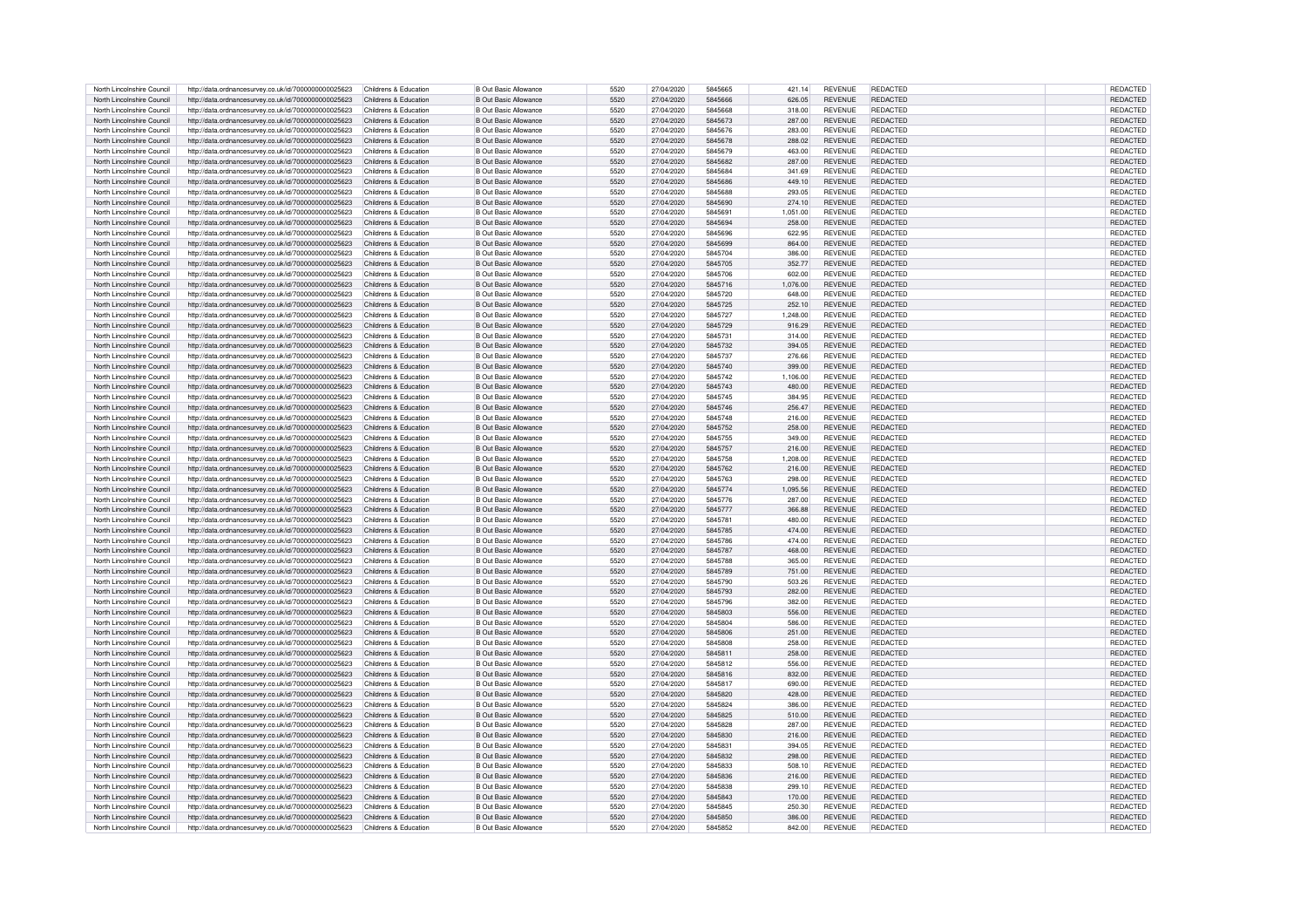| North Lincolnshire Council | http://data.ordnancesurvey.co.uk/id/7000000000025623 | Childrens & Education | <b>B Out Basic Allowance</b> | 5520 | 27/04/2020 | 5845665 | 421.14   | <b>REVENUE</b> | REDACTED        | <b>REDACTED</b> |
|----------------------------|------------------------------------------------------|-----------------------|------------------------------|------|------------|---------|----------|----------------|-----------------|-----------------|
| North Lincolnshire Council | http://data.ordnancesurvey.co.uk/id/7000000000025623 | Childrens & Education | <b>B Out Basic Allowance</b> | 5520 | 27/04/2020 | 5845666 | 626.05   | <b>REVENUE</b> | <b>REDACTED</b> | <b>REDACTED</b> |
| North Lincolnshire Council | http://data.ordnancesurvey.co.uk/id/7000000000025623 | Childrens & Education | B Out Basic Allowance        | 5520 | 27/04/2020 | 5845668 | 318.00   | <b>REVENUE</b> | REDACTED        | REDACTED        |
|                            |                                                      |                       |                              |      |            |         |          |                |                 |                 |
| North Lincolnshire Council | http://data.ordnancesurvey.co.uk/id/7000000000025623 | Childrens & Education | <b>B Out Basic Allowance</b> | 5520 | 27/04/2020 | 5845673 | 287.00   | <b>REVENUE</b> | REDACTED        | <b>REDACTED</b> |
| North Lincolnshire Council | http://data.ordnancesurvey.co.uk/id/7000000000025623 | Childrens & Education | B Out Basic Allowance        | 5520 | 27/04/2020 | 5845676 | 283.00   | <b>REVENUE</b> | <b>REDACTED</b> | REDACTED        |
| North Lincolnshire Council | http://data.ordnancesurvey.co.uk/id/7000000000025623 | Childrens & Education | <b>B Out Basic Allowance</b> | 5520 | 27/04/2020 | 5845678 | 288.02   | <b>REVENUE</b> | <b>REDACTED</b> | REDACTED        |
| North Lincolnshire Council | http://data.ordnancesurvey.co.uk/id/7000000000025623 | Childrens & Education | <b>B Out Basic Allowance</b> | 5520 | 27/04/2020 | 5845679 | 463.00   | <b>REVENUE</b> | <b>REDACTED</b> | REDACTED        |
| North Lincolnshire Council | http://data.ordnancesurvey.co.uk/id/7000000000025623 | Childrens & Education | <b>B Out Basic Allowance</b> | 5520 | 27/04/2020 | 5845682 | 287.00   | <b>REVENUE</b> | REDACTED        | REDACTED        |
| North Lincolnshire Council | http://data.ordnancesurvey.co.uk/id/7000000000025623 | Childrens & Education | B Out Basic Allowance        | 5520 | 27/04/2020 | 5845684 | 341.69   | <b>REVENUE</b> | REDACTED        | REDACTED        |
| North Lincolnshire Council | http://data.ordnancesurvey.co.uk/id/7000000000025623 | Childrens & Education | <b>B Out Basic Allowance</b> | 5520 | 27/04/2020 | 5845686 | 449.10   | <b>REVENUE</b> | REDACTED        | REDACTED        |
| North Lincolnshire Council | http://data.ordnancesurvey.co.uk/id/7000000000025623 | Childrens & Education | <b>B Out Basic Allowance</b> | 5520 | 27/04/2020 | 5845688 | 293.05   | <b>REVENUE</b> | REDACTED        | REDACTED        |
|                            |                                                      |                       |                              |      |            |         |          |                |                 |                 |
| North Lincolnshire Council | http://data.ordnancesurvey.co.uk/id/7000000000025623 | Childrens & Education | B Out Basic Allowance        | 5520 | 27/04/2020 | 5845690 | 274.10   | <b>REVENUE</b> | REDACTED        | <b>REDACTED</b> |
| North Lincolnshire Council | http://data.ordnancesurvey.co.uk/id/7000000000025623 | Childrens & Education | <b>B Out Basic Allowance</b> | 5520 | 27/04/2020 | 5845691 | 1,051.00 | <b>REVENUE</b> | <b>REDACTED</b> | <b>REDACTED</b> |
| North Lincolnshire Council | http://data.ordnancesurvey.co.uk/id/7000000000025623 | Childrens & Education | <b>B Out Basic Allowance</b> | 5520 | 27/04/2020 | 5845694 | 258.00   | <b>REVENUE</b> | <b>REDACTED</b> | <b>REDACTED</b> |
| North Lincolnshire Council | http://data.ordnancesurvey.co.uk/id/7000000000025623 | Childrens & Education | <b>B Out Basic Allowance</b> | 5520 | 27/04/2020 | 5845696 | 622.95   | <b>REVENUE</b> | REDACTED        | <b>REDACTED</b> |
| North Lincolnshire Council | http://data.ordnancesurvey.co.uk/id/7000000000025623 | Childrens & Education | <b>B Out Basic Allowance</b> | 5520 | 27/04/2020 | 5845699 | 864.00   | <b>REVENUE</b> | REDACTED        | <b>REDACTED</b> |
| North Lincolnshire Council | http://data.ordnancesurvey.co.uk/id/7000000000025623 | Childrens & Education | B Out Basic Allowance        | 5520 | 27/04/2020 | 5845704 | 386.00   | <b>REVENUE</b> | REDACTED        | <b>REDACTED</b> |
| North Lincolnshire Council | http://data.ordnancesurvey.co.uk/id/7000000000025623 | Childrens & Education | <b>B</b> Out Basic Allowance | 5520 | 27/04/2020 | 5845705 | 352.77   | <b>REVENUE</b> | <b>REDACTED</b> | <b>REDACTED</b> |
| North Lincolnshire Council |                                                      | Childrens & Education | <b>B Out Basic Allowance</b> | 5520 | 27/04/2020 | 5845706 | 602.00   | <b>REVENUE</b> | <b>REDACTED</b> | <b>REDACTED</b> |
|                            | http://data.ordnancesurvey.co.uk/id/7000000000025623 |                       |                              | 5520 |            |         |          |                |                 |                 |
| North Lincolnshire Council | http://data.ordnancesurvey.co.uk/id/7000000000025623 | Childrens & Education | <b>B</b> Out Basic Allowance |      | 27/04/2020 | 5845716 | 1,076.00 | <b>REVENUE</b> | REDACTED        | <b>REDACTED</b> |
| North Lincolnshire Council | http://data.ordnancesurvey.co.uk/id/7000000000025623 | Childrens & Education | <b>B Out Basic Allowance</b> | 5520 | 27/04/2020 | 5845720 | 648.00   | <b>REVENUE</b> | REDACTED        | <b>REDACTED</b> |
| North Lincolnshire Council | http://data.ordnancesurvey.co.uk/id/7000000000025623 | Childrens & Education | <b>B Out Basic Allowance</b> | 5520 | 27/04/2020 | 5845725 | 252.10   | <b>REVENUE</b> | <b>REDACTED</b> | <b>REDACTED</b> |
| North Lincolnshire Council | http://data.ordnancesurvey.co.uk/id/7000000000025623 | Childrens & Education | <b>B Out Basic Allowance</b> | 5520 | 27/04/2020 | 5845727 | 1,248.00 | <b>REVENUE</b> | REDACTED        | REDACTED        |
| North Lincolnshire Council | http://data.ordnancesurvey.co.uk/id/7000000000025623 | Childrens & Education | <b>B Out Basic Allowance</b> | 5520 | 27/04/2020 | 5845729 | 916.29   | <b>REVENUE</b> | REDACTED        | <b>REDACTED</b> |
| North Lincolnshire Council | http://data.ordnancesurvey.co.uk/id/7000000000025623 | Childrens & Education | <b>B Out Basic Allowance</b> | 5520 | 27/04/2020 | 5845731 | 314.00   | <b>REVENUE</b> | <b>REDACTED</b> | <b>REDACTED</b> |
| North Lincolnshire Council | http://data.ordnancesurvey.co.uk/id/7000000000025623 | Childrens & Education | <b>B Out Basic Allowance</b> | 5520 | 27/04/2020 | 5845732 | 394.05   | <b>REVENUE</b> | REDACTED        | <b>REDACTED</b> |
| North Lincolnshire Council | http://data.ordnancesurvey.co.uk/id/7000000000025623 | Childrens & Education | <b>B Out Basic Allowance</b> | 5520 | 27/04/2020 | 5845737 | 276.66   | <b>REVENUE</b> | <b>REDACTED</b> | <b>REDACTED</b> |
| North Lincolnshire Council |                                                      | Childrens & Education | B Out Basic Allowance        | 5520 | 27/04/2020 | 5845740 |          | <b>REVENUE</b> | REDACTED        |                 |
|                            | http://data.ordnancesurvey.co.uk/id/7000000000025623 |                       |                              |      |            |         | 399.00   |                |                 | <b>REDACTED</b> |
| North Lincolnshire Council | http://data.ordnancesurvey.co.uk/id/7000000000025623 | Childrens & Education | B Out Basic Allowance        | 5520 | 27/04/2020 | 5845742 | 1,106.00 | <b>REVENUE</b> | REDACTED        | <b>REDACTED</b> |
| North Lincolnshire Council | http://data.ordnancesurvey.co.uk/id/7000000000025623 | Childrens & Education | <b>B Out Basic Allowance</b> | 5520 | 27/04/2020 | 5845743 | 480.00   | <b>REVENUE</b> | REDACTED        | <b>REDACTED</b> |
| North Lincolnshire Council | http://data.ordnancesurvey.co.uk/id/7000000000025623 | Childrens & Education | B Out Basic Allowance        | 5520 | 27/04/2020 | 5845745 | 384.95   | <b>REVENUE</b> | REDACTED        | REDACTED        |
| North Lincolnshire Council | http://data.ordnancesurvey.co.uk/id/7000000000025623 | Childrens & Education | B Out Basic Allowance        | 5520 | 27/04/2020 | 5845746 | 256.47   | <b>REVENUE</b> | REDACTED        | REDACTED        |
| North Lincolnshire Council | http://data.ordnancesurvey.co.uk/id/7000000000025623 | Childrens & Education | <b>B Out Basic Allowance</b> | 5520 | 27/04/2020 | 5845748 | 216.00   | <b>REVENUE</b> | <b>REDACTED</b> | REDACTED        |
| North Lincolnshire Council | http://data.ordnancesurvey.co.uk/id/7000000000025623 | Childrens & Education | <b>B Out Basic Allowance</b> | 5520 | 27/04/2020 | 5845752 | 258.00   | <b>REVENUE</b> | REDACTED        | REDACTED        |
| North Lincolnshire Council |                                                      | Childrens & Education | B Out Basic Allowance        | 5520 | 27/04/2020 | 5845755 | 349.00   | <b>REVENUE</b> | REDACTED        |                 |
|                            | http://data.ordnancesurvey.co.uk/id/7000000000025623 |                       |                              |      |            |         |          |                |                 | REDACTED        |
| North Lincolnshire Council | http://data.ordnancesurvey.co.uk/id/7000000000025623 | Childrens & Education | <b>B Out Basic Allowance</b> | 5520 | 27/04/2020 | 5845757 | 216.00   | <b>REVENUE</b> | <b>REDACTED</b> | <b>REDACTED</b> |
| North Lincolnshire Council | http://data.ordnancesurvey.co.uk/id/7000000000025623 | Childrens & Education | <b>B Out Basic Allowance</b> | 5520 | 27/04/2020 | 5845758 | 1,208.00 | <b>REVENUE</b> | <b>REDACTED</b> | <b>REDACTED</b> |
| North Lincolnshire Council | http://data.ordnancesurvey.co.uk/id/7000000000025623 | Childrens & Education | <b>B Out Basic Allowance</b> | 5520 | 27/04/2020 | 5845762 | 216.00   | <b>REVENUE</b> | REDACTED        | <b>REDACTED</b> |
| North Lincolnshire Council | http://data.ordnancesurvey.co.uk/id/7000000000025623 | Childrens & Education | <b>B Out Basic Allowance</b> | 5520 | 27/04/2020 | 5845763 | 298.00   | <b>REVENUE</b> | <b>REDACTED</b> | <b>REDACTED</b> |
| North Lincolnshire Council | http://data.ordnancesurvey.co.uk/id/7000000000025623 | Childrens & Education | B Out Basic Allowance        | 5520 | 27/04/2020 | 5845774 | 1.095.56 | <b>REVENUE</b> | REDACTED        | REDACTED        |
| North Lincolnshire Council | http://data.ordnancesurvey.co.uk/id/7000000000025623 | Childrens & Education | <b>B Out Basic Allowance</b> | 5520 | 27/04/2020 | 5845776 | 287.00   | <b>REVENUE</b> | <b>REDACTED</b> | REDACTED        |
| North Lincolnshire Council | http://data.ordnancesurvey.co.uk/id/7000000000025623 | Childrens & Education | B Out Basic Allowance        | 5520 | 27/04/2020 | 5845777 | 366,88   | <b>REVENUE</b> | <b>REDACTED</b> | REDACTED        |
| North Lincolnshire Council |                                                      | Childrens & Education | B Out Basic Allowance        | 5520 | 27/04/2020 | 5845781 | 480.00   | <b>REVENUE</b> | <b>REDACTED</b> | REDACTED        |
|                            | http://data.ordnancesurvey.co.uk/id/7000000000025623 |                       |                              | 5520 |            |         |          |                |                 |                 |
| North Lincolnshire Council | http://data.ordnancesurvey.co.uk/id/7000000000025623 | Childrens & Education | B Out Basic Allowance        |      | 27/04/2020 | 5845785 | 474.00   | <b>REVENUE</b> | REDACTED        | <b>REDACTED</b> |
| North Lincolnshire Council | http://data.ordnancesurvey.co.uk/id/7000000000025623 | Childrens & Education | B Out Basic Allowance        | 5520 | 27/04/2020 | 5845786 | 474.00   | <b>REVENUE</b> | <b>REDACTED</b> | REDACTED        |
| North Lincolnshire Council | http://data.ordnancesurvey.co.uk/id/7000000000025623 | Childrens & Education | <b>B Out Basic Allowance</b> | 5520 | 27/04/2020 | 5845787 | 468.00   | <b>REVENUE</b> | REDACTED        | REDACTED        |
| North Lincolnshire Council | http://data.ordnancesurvey.co.uk/id/7000000000025623 | Childrens & Education | <b>B Out Basic Allowance</b> | 5520 | 27/04/2020 | 5845788 | 365.00   | <b>REVENUE</b> | REDACTED        | REDACTED        |
| North Lincolnshire Council | http://data.ordnancesurvey.co.uk/id/7000000000025623 | Childrens & Education | <b>B Out Basic Allowance</b> | 5520 | 27/04/2020 | 5845789 | 751.00   | <b>REVENUE</b> | <b>REDACTED</b> | <b>REDACTED</b> |
| North Lincolnshire Council | http://data.ordnancesurvey.co.uk/id/7000000000025623 | Childrens & Education | B Out Basic Allowance        | 5520 | 27/04/2020 | 5845790 | 503.26   | <b>REVENUE</b> | <b>REDACTED</b> | <b>REDACTED</b> |
| North Lincolnshire Council | http://data.ordnancesurvey.co.uk/id/7000000000025623 | Childrens & Education | <b>B Out Basic Allowance</b> | 5520 | 27/04/2020 | 5845793 | 282.00   | <b>REVENUE</b> | REDACTED        | REDACTED        |
| North Lincolnshire Council | http://data.ordnancesurvey.co.uk/id/7000000000025623 | Childrens & Education | B Out Basic Allowance        | 5520 | 27/04/2020 | 5845796 | 382.00   | <b>REVENUE</b> | <b>REDACTED</b> | REDACTED        |
| North Lincolnshire Council | http://data.ordnancesurvey.co.uk/id/7000000000025623 | Childrens & Education | B Out Basic Allowance        | 5520 | 27/04/2020 | 5845803 | 556.00   | <b>REVENUE</b> | REDACTED        | REDACTED        |
|                            |                                                      |                       |                              |      |            |         |          |                |                 |                 |
| North Lincolnshire Council | http://data.ordnancesurvey.co.uk/id/7000000000025623 | Childrens & Education | B Out Basic Allowance        | 5520 | 27/04/2020 | 5845804 | 586.00   | <b>REVENUE</b> | <b>REDACTED</b> | REDACTED        |
| North Lincolnshire Council | http://data.ordnancesurvey.co.uk/id/7000000000025623 | Childrens & Education | B Out Basic Allowance        | 5520 | 27/04/2020 | 5845806 | 251.00   | <b>REVENUE</b> | <b>REDACTED</b> | REDACTED        |
| North Lincolnshire Council | http://data.ordnancesurvey.co.uk/id/7000000000025623 | Childrens & Education | B Out Basic Allowance        | 5520 | 27/04/2020 | 5845808 | 258.00   | <b>REVENUE</b> | REDACTED        | REDACTED        |
| North Lincolnshire Council | http://data.ordnancesurvey.co.uk/id/7000000000025623 | Childrens & Education | <b>B Out Basic Allowance</b> | 5520 | 27/04/2020 | 5845811 | 258.00   | <b>REVENUE</b> | REDACTED        | REDACTED        |
| North Lincolnshire Council | http://data.ordnancesurvey.co.uk/id/7000000000025623 | Childrens & Education | <b>B Out Basic Allowance</b> | 5520 | 27/04/2020 | 5845812 | 556.00   | <b>REVENUE</b> | REDACTED        | REDACTED        |
| North Lincolnshire Council | http://data.ordnancesurvey.co.uk/id/7000000000025623 | Childrens & Education | <b>B Out Basic Allowance</b> | 5520 | 27/04/2020 | 5845816 | 832.00   | <b>REVENUE</b> | REDACTED        | REDACTED        |
| North Lincolnshire Council | http://data.ordnancesurvey.co.uk/id/7000000000025623 | Childrens & Education | <b>B Out Basic Allowance</b> | 5520 | 27/04/2020 | 5845817 | 690.00   | <b>REVENUE</b> | REDACTED        | REDACTED        |
| North Lincolnshire Council | http://data.ordnancesurvey.co.uk/id/7000000000025623 | Childrens & Education | B Out Basic Allowance        | 5520 | 27/04/2020 | 5845820 | 428.00   | <b>REVENUE</b> | <b>REDACTED</b> | <b>REDACTED</b> |
|                            |                                                      |                       |                              | 5520 |            | 5845824 |          |                | <b>REDACTED</b> |                 |
| North Lincolnshire Council | http://data.ordnancesurvey.co.uk/id/7000000000025623 | Childrens & Education | <b>B Out Basic Allowance</b> |      | 27/04/2020 |         | 386.00   | <b>REVENUE</b> |                 | <b>REDACTED</b> |
| North Lincolnshire Council | http://data.ordnancesurvey.co.uk/id/7000000000025623 | Childrens & Education | <b>B Out Basic Allowance</b> | 5520 | 27/04/2020 | 5845825 | 510.00   | <b>REVENUE</b> | <b>REDACTED</b> | <b>REDACTED</b> |
| North Lincolnshire Council | http://data.ordnancesurvey.co.uk/id/7000000000025623 | Childrens & Education | <b>B Out Basic Allowance</b> | 5520 | 27/04/2020 | 5845828 | 287.00   | <b>REVENUE</b> | REDACTED        | <b>REDACTED</b> |
| North Lincolnshire Council | http://data.ordnancesurvey.co.uk/id/7000000000025623 | Childrens & Education | <b>B Out Basic Allowance</b> | 5520 | 27/04/2020 | 5845830 | 216.00   | <b>REVENUE</b> | REDACTED        | <b>REDACTED</b> |
| North Lincolnshire Council | http://data.ordnancesurvey.co.uk/id/7000000000025623 | Childrens & Education | <b>B Out Basic Allowance</b> | 5520 | 27/04/2020 | 5845831 | 394.05   | <b>REVENUE</b> | REDACTED        | <b>REDACTED</b> |
| North Lincolnshire Council | http://data.ordnancesurvey.co.uk/id/7000000000025623 | Childrens & Education | <b>B Out Basic Allowance</b> | 5520 | 27/04/2020 | 5845832 | 298.00   | <b>REVENUE</b> | REDACTED        | REDACTED        |
| North Lincolnshire Council | http://data.ordnancesurvey.co.uk/id/7000000000025623 | Childrens & Education | <b>B</b> Out Basic Allowance | 5520 | 27/04/2020 | 5845833 | 508.10   | <b>REVENUE</b> | REDACTED        | <b>REDACTED</b> |
| North Lincolnshire Council | http://data.ordnancesurvey.co.uk/id/7000000000025623 | Childrens & Education | <b>B Out Basic Allowance</b> | 5520 | 27/04/2020 | 5845836 | 216.00   | <b>REVENUE</b> | REDACTED        | <b>REDACTED</b> |
| North Lincolnshire Council | http://data.ordnancesurvey.co.uk/id/7000000000025623 | Childrens & Education | B Out Basic Allowance        | 5520 | 27/04/2020 | 5845838 | 299.10   | <b>REVENUE</b> | REDACTED        | <b>REDACTED</b> |
|                            |                                                      |                       |                              |      |            |         |          |                |                 |                 |
| North Lincolnshire Council | http://data.ordnancesurvey.co.uk/id/7000000000025623 | Childrens & Education | <b>B Out Basic Allowance</b> | 5520 | 27/04/2020 | 5845843 | 170.00   | <b>REVENUE</b> | REDACTED        | <b>REDACTED</b> |
| North Lincolnshire Council | http://data.ordnancesurvey.co.uk/id/7000000000025623 | Childrens & Education | B Out Basic Allowance        | 5520 | 27/04/2020 | 5845845 | 250.30   | <b>REVENUE</b> | <b>REDACTED</b> | REDACTED        |
| North Lincolnshire Council | http://data.ordnancesurvey.co.uk/id/7000000000025623 | Childrens & Education | B Out Basic Allowance        | 5520 | 27/04/2020 | 5845850 | 386.00   | <b>REVENUE</b> | REDACTED        | <b>REDACTED</b> |
| North Lincolnshire Council | http://data.ordnancesurvey.co.uk/id/7000000000025623 | Childrens & Education | <b>B Out Basic Allowance</b> | 5520 | 27/04/2020 | 5845852 | 842.00   | <b>REVENUE</b> | <b>REDACTED</b> | REDACTED        |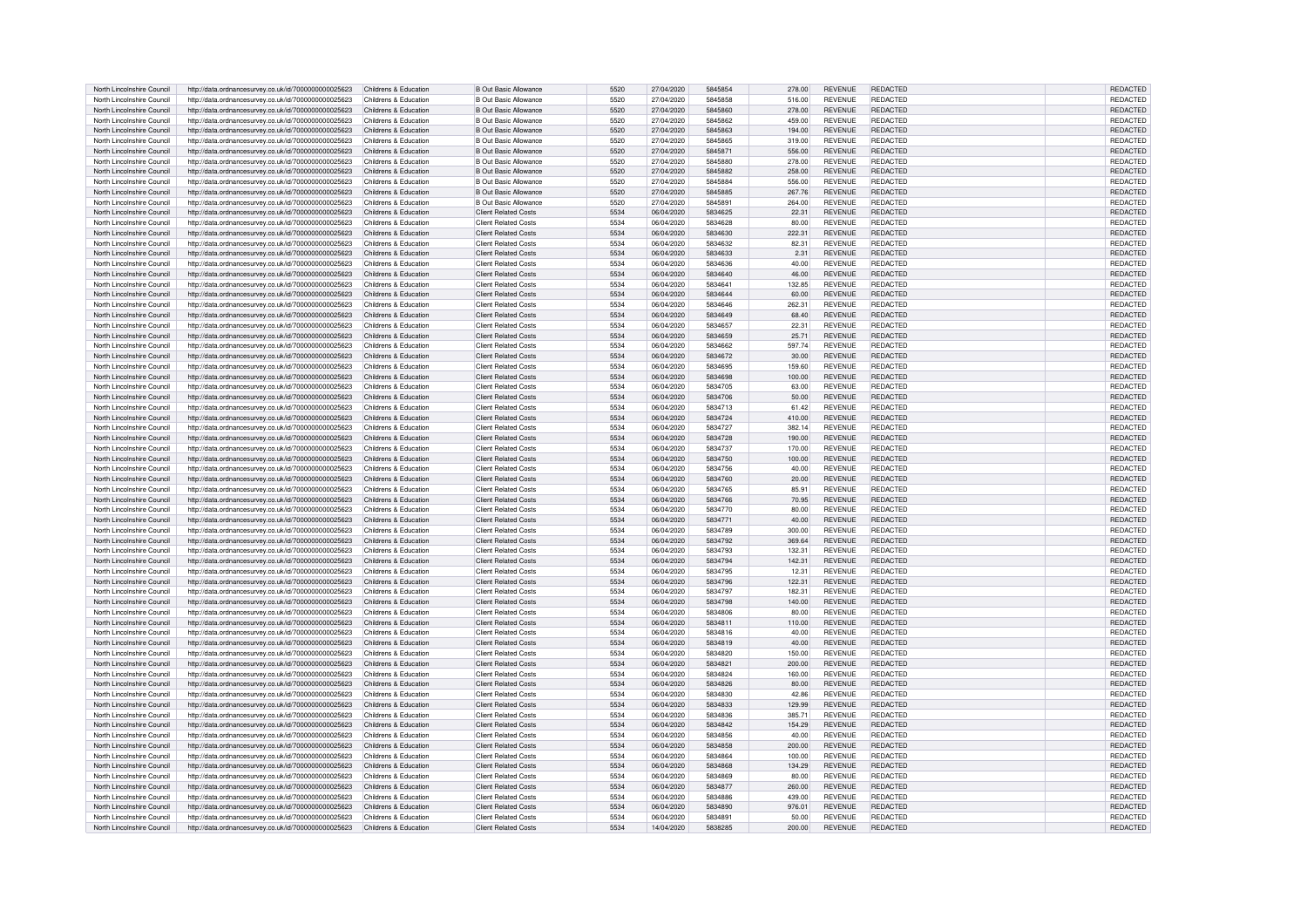| North Lincolnshire Council | http://data.ordnancesurvey.co.uk/id/7000000000025623 | Childrens & Education | <b>B Out Basic Allowance</b> | 5520 | 27/04/2020 | 5845854 | 278.00 | <b>REVENUE</b> | <b>REDACTED</b> | <b>REDACTED</b> |
|----------------------------|------------------------------------------------------|-----------------------|------------------------------|------|------------|---------|--------|----------------|-----------------|-----------------|
| North Lincolnshire Council | http://data.ordnancesurvey.co.uk/id/7000000000025623 | Childrens & Education | <b>B Out Basic Allowance</b> | 5520 | 27/04/2020 | 5845858 | 516.00 | <b>REVENUE</b> | <b>REDACTED</b> | REDACTED        |
| North Lincolnshire Council |                                                      | Childrens & Education |                              | 5520 | 27/04/2020 | 5845860 | 278.00 | <b>REVENUE</b> | <b>REDACTED</b> | REDACTED        |
|                            | http://data.ordnancesurvey.co.uk/id/7000000000025623 |                       | <b>B Out Basic Allowance</b> |      |            |         |        |                |                 |                 |
| North Lincolnshire Council | http://data.ordnancesurvey.co.uk/id/7000000000025623 | Childrens & Education | B Out Basic Allowance        | 5520 | 27/04/2020 | 5845862 | 459.00 | <b>REVENUE</b> | <b>REDACTED</b> | <b>REDACTED</b> |
| North Lincolnshire Council | http://data.ordnancesurvey.co.uk/id/7000000000025623 | Childrens & Education | <b>B Out Basic Allowance</b> | 5520 | 27/04/2020 | 5845863 | 194.00 | <b>REVENUE</b> | <b>REDACTED</b> | REDACTED        |
| North Lincolnshire Council | http://data.ordnancesurvey.co.uk/id/7000000000025623 | Childrens & Education | <b>B Out Basic Allowance</b> | 5520 | 27/04/2020 | 5845865 | 319.00 | <b>REVENUE</b> | <b>REDACTED</b> | REDACTED        |
| North Lincolnshire Council | http://data.ordnancesurvey.co.uk/id/7000000000025623 | Childrens & Education | B Out Basic Allowance        | 5520 | 27/04/2020 | 5845871 | 556.00 | <b>REVENUE</b> | <b>REDACTED</b> | REDACTED        |
| North Lincolnshire Council | http://data.ordnancesurvey.co.uk/id/7000000000025623 | Childrens & Education | B Out Basic Allowance        | 5520 | 27/04/2020 | 5845880 | 278.00 | <b>REVENUE</b> | <b>REDACTED</b> | REDACTED        |
| North Lincolnshire Council | http://data.ordnancesurvey.co.uk/id/7000000000025623 | Childrens & Education | B Out Basic Allowance        | 5520 | 27/04/2020 | 5845882 | 258.00 | <b>REVENUE</b> | <b>REDACTED</b> | REDACTED        |
| North Lincolnshire Council |                                                      | Childrens & Education | B Out Basic Allowance        | 5520 | 27/04/2020 | 5845884 | 556.00 | <b>REVENUE</b> | <b>REDACTED</b> | REDACTED        |
|                            | http://data.ordnancesurvey.co.uk/id/7000000000025623 |                       |                              | 5520 |            | 5845885 |        |                | <b>REDACTED</b> |                 |
| North Lincolnshire Council | http://data.ordnancesurvey.co.uk/id/7000000000025623 | Childrens & Education | B Out Basic Allowance        |      | 27/04/2020 |         | 267.76 | <b>REVENUE</b> |                 | REDACTED        |
| North Lincolnshire Council | http://data.ordnancesurvey.co.uk/id/7000000000025623 | Childrens & Education | <b>B Out Basic Allowance</b> | 5520 | 27/04/2020 | 5845891 | 264.00 | <b>REVENUE</b> | <b>REDACTED</b> | REDACTED        |
| North Lincolnshire Council | http://data.ordnancesurvey.co.uk/id/7000000000025623 | Childrens & Education | <b>Client Related Costs</b>  | 5534 | 06/04/2020 | 5834625 | 22.31  | <b>REVENUE</b> | <b>REDACTED</b> | REDACTED        |
| North Lincolnshire Council | http://data.ordnancesurvey.co.uk/id/7000000000025623 | Childrens & Education | <b>Client Related Costs</b>  | 5534 | 06/04/2020 | 5834628 | 80.00  | <b>REVENUE</b> | <b>REDACTED</b> | REDACTED        |
| North Lincolnshire Council | http://data.ordnancesurvey.co.uk/id/7000000000025623 | Childrens & Education | Client Related Costs         | 5534 | 06/04/2020 | 5834630 | 222.31 | <b>REVENUE</b> | <b>REDACTED</b> | <b>REDACTED</b> |
| North Lincolnshire Council | http://data.ordnancesurvey.co.uk/id/7000000000025623 | Childrens & Education | Client Related Costs         | 5534 | 06/04/2020 | 5834632 | 82.31  | <b>REVENUE</b> | <b>REDACTED</b> | REDACTED        |
| North Lincolnshire Council | http://data.ordnancesurvey.co.uk/id/7000000000025623 | Childrens & Education | <b>Client Related Costs</b>  | 5534 | 06/04/2020 | 5834633 | 2.31   | <b>REVENUE</b> | <b>REDACTED</b> | REDACTED        |
| North Lincolnshire Council | http://data.ordnancesurvey.co.uk/id/7000000000025623 | Childrens & Education | <b>Client Related Costs</b>  | 5534 | 06/04/2020 | 5834636 | 40.00  | <b>REVENUE</b> | REDACTED        | REDACTED        |
|                            |                                                      |                       |                              |      |            |         |        |                |                 |                 |
| North Lincolnshire Council | http://data.ordnancesurvey.co.uk/id/7000000000025623 | Childrens & Education | <b>Client Related Costs</b>  | 5534 | 06/04/2020 | 5834640 | 46.00  | <b>REVENUE</b> | REDACTED        | REDACTED        |
| North Lincolnshire Council | http://data.ordnancesurvey.co.uk/id/7000000000025623 | Childrens & Education | <b>Client Related Costs</b>  | 5534 | 06/04/2020 | 5834641 | 132.85 | <b>REVENUE</b> | <b>REDACTED</b> | REDACTED        |
| North Lincolnshire Council | http://data.ordnancesurvey.co.uk/id/7000000000025623 | Childrens & Education | <b>Client Related Costs</b>  | 5534 | 06/04/2020 | 5834644 | 60.00  | <b>REVENUE</b> | <b>REDACTED</b> | REDACTED        |
| North Lincolnshire Council | http://data.ordnancesurvey.co.uk/id/7000000000025623 | Childrens & Education | <b>Client Related Costs</b>  | 5534 | 06/04/2020 | 5834646 | 262.31 | <b>REVENUE</b> | <b>REDACTED</b> | REDACTED        |
| North Lincolnshire Council | http://data.ordnancesurvey.co.uk/id/7000000000025623 | Childrens & Education | <b>Client Related Costs</b>  | 5534 | 06/04/2020 | 5834649 | 68.40  | <b>REVENUE</b> | <b>REDACTED</b> | REDACTED        |
| North Lincolnshire Council | http://data.ordnancesurvey.co.uk/id/7000000000025623 | Childrens & Education | Client Related Costs         | 5534 | 06/04/2020 | 5834657 | 22.31  | <b>REVENUE</b> | <b>REDACTED</b> | REDACTED        |
| North Lincolnshire Council |                                                      | Childrens & Education | <b>Client Related Costs</b>  | 5534 | 06/04/2020 | 5834659 | 25.71  | <b>REVENUE</b> | <b>REDACTED</b> | REDACTED        |
|                            | http://data.ordnancesurvey.co.uk/id/7000000000025623 |                       |                              |      |            |         |        |                |                 |                 |
| North Lincolnshire Council | http://data.ordnancesurvey.co.uk/id/7000000000025623 | Childrens & Education | <b>Client Related Costs</b>  | 5534 | 06/04/2020 | 5834662 | 597.74 | <b>REVENUE</b> | <b>REDACTED</b> | REDACTED        |
| North Lincolnshire Council | http://data.ordnancesurvey.co.uk/id/7000000000025623 | Childrens & Education | Client Related Costs         | 5534 | 06/04/2020 | 5834672 | 30.00  | <b>REVENUE</b> | <b>REDACTED</b> | REDACTED        |
| North Lincolnshire Council | http://data.ordnancesurvey.co.uk/id/7000000000025623 | Childrens & Education | <b>Client Related Costs</b>  | 5534 | 06/04/2020 | 5834695 | 159.60 | <b>REVENUE</b> | REDACTED        | REDACTED        |
| North Lincolnshire Council | http://data.ordnancesurvey.co.uk/id/7000000000025623 | Childrens & Education | <b>Client Related Costs</b>  | 5534 | 06/04/2020 | 5834698 | 100.00 | <b>REVENUE</b> | <b>REDACTED</b> | REDACTED        |
| North Lincolnshire Council | http://data.ordnancesurvey.co.uk/id/7000000000025623 | Childrens & Education | <b>Client Related Costs</b>  | 5534 | 06/04/2020 | 5834705 | 63.00  | <b>REVENUE</b> | REDACTED        | REDACTED        |
| North Lincolnshire Council | http://data.ordnancesurvey.co.uk/id/7000000000025623 | Childrens & Education | Client Related Costs         | 5534 | 06/04/2020 | 5834706 | 50.00  | <b>REVENUE</b> | <b>REDACTED</b> | REDACTED        |
| North Lincolnshire Council |                                                      | Childrens & Education | <b>Client Related Costs</b>  | 5534 | 06/04/2020 | 5834713 |        | <b>REVENUE</b> | <b>REDACTED</b> | REDACTED        |
|                            | http://data.ordnancesurvey.co.uk/id/7000000000025623 |                       |                              |      |            |         | 61.42  |                |                 |                 |
| North Lincolnshire Council | http://data.ordnancesurvey.co.uk/id/7000000000025623 | Childrens & Education | <b>Client Related Costs</b>  | 5534 | 06/04/2020 | 5834724 | 410.00 | <b>REVENUE</b> | <b>REDACTED</b> | REDACTED        |
| North Lincolnshire Council | http://data.ordnancesurvey.co.uk/id/7000000000025623 | Childrens & Education | <b>Client Related Costs</b>  | 5534 | 06/04/2020 | 5834727 | 382.14 | <b>REVENUE</b> | <b>REDACTED</b> | REDACTED        |
| North Lincolnshire Council | http://data.ordnancesurvey.co.uk/id/7000000000025623 | Childrens & Education | <b>Client Related Costs</b>  | 5534 | 06/04/2020 | 5834728 | 190.00 | <b>REVENUE</b> | <b>REDACTED</b> | REDACTED        |
| North Lincolnshire Council | http://data.ordnancesurvey.co.uk/id/7000000000025623 | Childrens & Education | <b>Client Related Costs</b>  | 5534 | 06/04/2020 | 5834737 | 170.00 | <b>REVENUE</b> | REDACTED        | REDACTED        |
| North Lincolnshire Council | http://data.ordnancesurvey.co.uk/id/7000000000025623 | Childrens & Education | <b>Client Related Costs</b>  | 5534 | 06/04/2020 | 5834750 | 100.00 | <b>REVENUE</b> | <b>REDACTED</b> | REDACTED        |
| North Lincolnshire Council | http://data.ordnancesurvey.co.uk/id/7000000000025623 | Childrens & Education | <b>Client Related Costs</b>  | 5534 | 06/04/2020 | 5834756 | 40.00  | <b>REVENUE</b> | <b>REDACTED</b> | REDACTED        |
| North Lincolnshire Council |                                                      | Childrens & Education | Client Related Costs         | 5534 | 06/04/2020 | 5834760 | 20.00  | <b>REVENUE</b> | <b>REDACTED</b> |                 |
|                            | http://data.ordnancesurvey.co.uk/id/7000000000025623 |                       |                              |      |            |         |        |                |                 | <b>REDACTED</b> |
| North Lincolnshire Council | http://data.ordnancesurvey.co.uk/id/7000000000025623 | Childrens & Education | <b>Client Related Costs</b>  | 5534 | 06/04/2020 | 5834765 | 85.91  | <b>REVENUE</b> | REDACTED        | REDACTED        |
| North Lincolnshire Council | http://data.ordnancesurvey.co.uk/id/7000000000025623 | Childrens & Education | <b>Client Related Costs</b>  | 5534 | 06/04/2020 | 5834766 | 70.95  | <b>REVENUE</b> | <b>REDACTED</b> | REDACTED        |
| North Lincolnshire Council | http://data.ordnancesurvey.co.uk/id/7000000000025623 | Childrens & Education | <b>Client Related Costs</b>  | 5534 | 06/04/2020 | 5834770 | 80.00  | <b>REVENUE</b> | <b>REDACTED</b> | <b>REDACTED</b> |
| North Lincolnshire Council | http://data.ordnancesurvey.co.uk/id/7000000000025623 | Childrens & Education | Client Related Costs         | 5534 | 06/04/2020 | 5834771 | 40.00  | <b>REVENUE</b> | <b>REDACTED</b> | <b>REDACTED</b> |
| North Lincolnshire Council | http://data.ordnancesurvey.co.uk/id/7000000000025623 | Childrens & Education | Client Related Costs         | 5534 | 06/04/2020 | 5834789 | 300.00 | <b>REVENUE</b> | <b>REDACTED</b> | REDACTED        |
| North Lincolnshire Council | http://data.ordnancesurvey.co.uk/id/7000000000025623 | Childrens & Education | <b>Client Related Costs</b>  | 5534 | 06/04/2020 | 5834792 | 369.64 | <b>REVENUE</b> | <b>REDACTED</b> | REDACTED        |
|                            |                                                      |                       |                              |      |            |         |        |                | <b>REDACTED</b> |                 |
| North Lincolnshire Council | http://data.ordnancesurvey.co.uk/id/7000000000025623 | Childrens & Education | <b>Client Related Costs</b>  | 5534 | 06/04/2020 | 5834793 | 132.31 | <b>REVENUE</b> |                 | REDACTED        |
| North Lincolnshire Council | http://data.ordnancesurvey.co.uk/id/7000000000025623 | Childrens & Education | <b>Client Related Costs</b>  | 5534 | 06/04/2020 | 5834794 | 142.31 | <b>REVENUE</b> | <b>REDACTED</b> | REDACTED        |
| North Lincolnshire Council | http://data.ordnancesurvey.co.uk/id/7000000000025623 | Childrens & Education | <b>Client Related Costs</b>  | 5534 | 06/04/2020 | 5834795 | 12.31  | <b>REVENUE</b> | REDACTED        | REDACTED        |
| North Lincolnshire Council | http://data.ordnancesurvey.co.uk/id/7000000000025623 | Childrens & Education | <b>Client Related Costs</b>  | 5534 | 06/04/2020 | 5834796 | 122.31 | <b>REVENUE</b> | REDACTED        | REDACTED        |
| North Lincolnshire Council | http://data.ordnancesurvey.co.uk/id/7000000000025623 | Childrens & Education | Client Related Costs         | 5534 | 06/04/2020 | 5834797 | 182.31 | <b>REVENUE</b> | <b>REDACTED</b> | <b>REDACTED</b> |
| North Lincolnshire Council | http://data.ordnancesurvey.co.uk/id/7000000000025623 | Childrens & Education | <b>Client Related Costs</b>  | 5534 | 06/04/2020 | 5834798 | 140.00 | <b>REVENUE</b> | <b>REDACTED</b> | REDACTED        |
| North Lincolnshire Council | http://data.ordnancesurvey.co.uk/id/7000000000025623 | Childrens & Education | <b>Client Related Costs</b>  | 5534 | 06/04/2020 | 5834806 | 80.00  | <b>REVENUE</b> | <b>REDACTED</b> | REDACTED        |
| North Lincolnshire Council | http://data.ordnancesurvey.co.uk/id/7000000000025623 | Childrens & Education | <b>Client Related Costs</b>  | 5534 | 06/04/2020 | 5834811 | 110.00 | <b>REVENUE</b> | <b>REDACTED</b> | REDACTED        |
| North Lincolnshire Council |                                                      | Childrens & Education | <b>Client Related Costs</b>  | 5534 | 06/04/2020 | 5834816 | 40.00  | <b>REVENUE</b> | <b>REDACTED</b> | <b>REDACTED</b> |
|                            | http://data.ordnancesurvey.co.uk/id/7000000000025623 |                       |                              |      |            |         |        |                |                 |                 |
| North Lincolnshire Council | http://data.ordnancesurvey.co.uk/id/7000000000025623 | Childrens & Education | Client Related Costs         | 5534 | 06/04/2020 | 5834819 | 40.00  | <b>REVENUE</b> | <b>REDACTED</b> | REDACTED        |
| North Lincolnshire Council | http://data.ordnancesurvey.co.uk/id/7000000000025623 | Childrens & Education | <b>Client Related Costs</b>  | 5534 | 06/04/2020 | 5834820 | 150.00 | <b>REVENUE</b> | <b>REDACTED</b> | REDACTED        |
| North Lincolnshire Council | http://data.ordnancesurvey.co.uk/id/7000000000025623 | Childrens & Education | <b>Client Related Costs</b>  | 5534 | 06/04/2020 | 5834821 | 200.00 | <b>REVENUE</b> | <b>REDACTED</b> | REDACTED        |
| North Lincolnshire Council | http://data.ordnancesurvey.co.uk/id/7000000000025623 | Childrens & Education | <b>Client Related Costs</b>  | 5534 | 06/04/2020 | 5834824 | 160.00 | <b>REVENUE</b> | <b>REDACTED</b> | REDACTED        |
| North Lincolnshire Council | http://data.ordnancesurvey.co.uk/id/7000000000025623 | Childrens & Education | <b>Client Related Costs</b>  | 5534 | 06/04/2020 | 5834826 | 80.00  | <b>REVENUE</b> | <b>REDACTED</b> | REDACTED        |
| North Lincolnshire Council | http://data.ordnancesurvey.co.uk/id/7000000000025623 | Childrens & Education | <b>Client Related Costs</b>  | 5534 | 06/04/2020 | 5834830 | 42.86  | <b>REVENUE</b> | <b>REDACTED</b> | REDACTED        |
| North Lincolnshire Council | http://data.ordnancesurvey.co.uk/id/7000000000025623 | Childrens & Education | <b>Client Related Costs</b>  | 5534 | 06/04/2020 | 5834833 | 129.99 | <b>REVENUE</b> | <b>REDACTED</b> | REDACTED        |
|                            |                                                      |                       |                              |      |            |         |        |                |                 |                 |
| North Lincolnshire Council | http://data.ordnancesurvey.co.uk/id/7000000000025623 | Childrens & Education | <b>Client Related Costs</b>  | 5534 | 06/04/2020 | 5834836 | 385.71 | <b>REVENUE</b> | <b>REDACTED</b> | REDACTED        |
| North Lincolnshire Council | http://data.ordnancesurvey.co.uk/id/7000000000025623 | Childrens & Education | <b>Client Related Costs</b>  | 5534 | 06/04/2020 | 5834842 | 154.29 | <b>REVENUE</b> | <b>REDACTED</b> | REDACTED        |
| North Lincolnshire Council | http://data.ordnancesurvey.co.uk/id/7000000000025623 | Childrens & Education | <b>Client Related Costs</b>  | 5534 | 06/04/2020 | 5834856 | 40.00  | <b>REVENUE</b> | REDACTED        | REDACTED        |
| North Lincolnshire Council | http://data.ordnancesurvey.co.uk/id/7000000000025623 | Childrens & Education | <b>Client Related Costs</b>  | 5534 | 06/04/2020 | 5834858 | 200.00 | <b>REVENUE</b> | <b>REDACTED</b> | REDACTED        |
| North Lincolnshire Council | http://data.ordnancesurvey.co.uk/id/7000000000025623 | Childrens & Education | <b>Client Related Costs</b>  | 5534 | 06/04/2020 | 5834864 | 100.00 | <b>REVENUE</b> | <b>REDACTED</b> | REDACTED        |
| North Lincolnshire Council | http://data.ordnancesurvey.co.uk/id/7000000000025623 | Childrens & Education | <b>Client Related Costs</b>  | 5534 | 06/04/2020 | 5834868 | 134.29 | <b>REVENUE</b> | REDACTED        | REDACTED        |
| North Lincolnshire Council | http://data.ordnancesurvey.co.uk/id/7000000000025623 | Childrens & Education | <b>Client Related Costs</b>  | 5534 | 06/04/2020 | 5834869 | 80.00  | <b>REVENUE</b> | REDACTED        | REDACTED        |
|                            |                                                      | Childrens & Education | <b>Client Related Costs</b>  | 5534 | 06/04/2020 | 5834877 |        | <b>REVENUE</b> | <b>REDACTED</b> |                 |
| North Lincolnshire Council | http://data.ordnancesurvey.co.uk/id/7000000000025623 |                       |                              |      |            |         | 260.00 |                |                 | REDACTED        |
| North Lincolnshire Council | http://data.ordnancesurvey.co.uk/id/7000000000025623 | Childrens & Education | <b>Client Related Costs</b>  | 5534 | 06/04/2020 | 5834886 | 439.00 | <b>REVENUE</b> | <b>REDACTED</b> | REDACTED        |
| North Lincolnshire Council | http://data.ordnancesurvey.co.uk/id/7000000000025623 | Childrens & Education | <b>Client Related Costs</b>  | 5534 | 06/04/2020 | 5834890 | 976.01 | <b>REVENUE</b> | <b>REDACTED</b> | REDACTED        |
| North Lincolnshire Council | http://data.ordnancesurvey.co.uk/id/7000000000025623 | Childrens & Education | <b>Client Related Costs</b>  | 5534 | 06/04/2020 | 5834891 | 50.00  | <b>REVENUE</b> | <b>REDACTED</b> | REDACTED        |
| North Lincolnshire Council | http://data.ordnancesurvey.co.uk/id/7000000000025623 | Childrens & Education | <b>Client Related Costs</b>  | 5534 | 14/04/2020 | 5838285 | 200.00 | <b>REVENUE</b> | <b>REDACTED</b> | REDACTED        |
|                            |                                                      |                       |                              |      |            |         |        |                |                 |                 |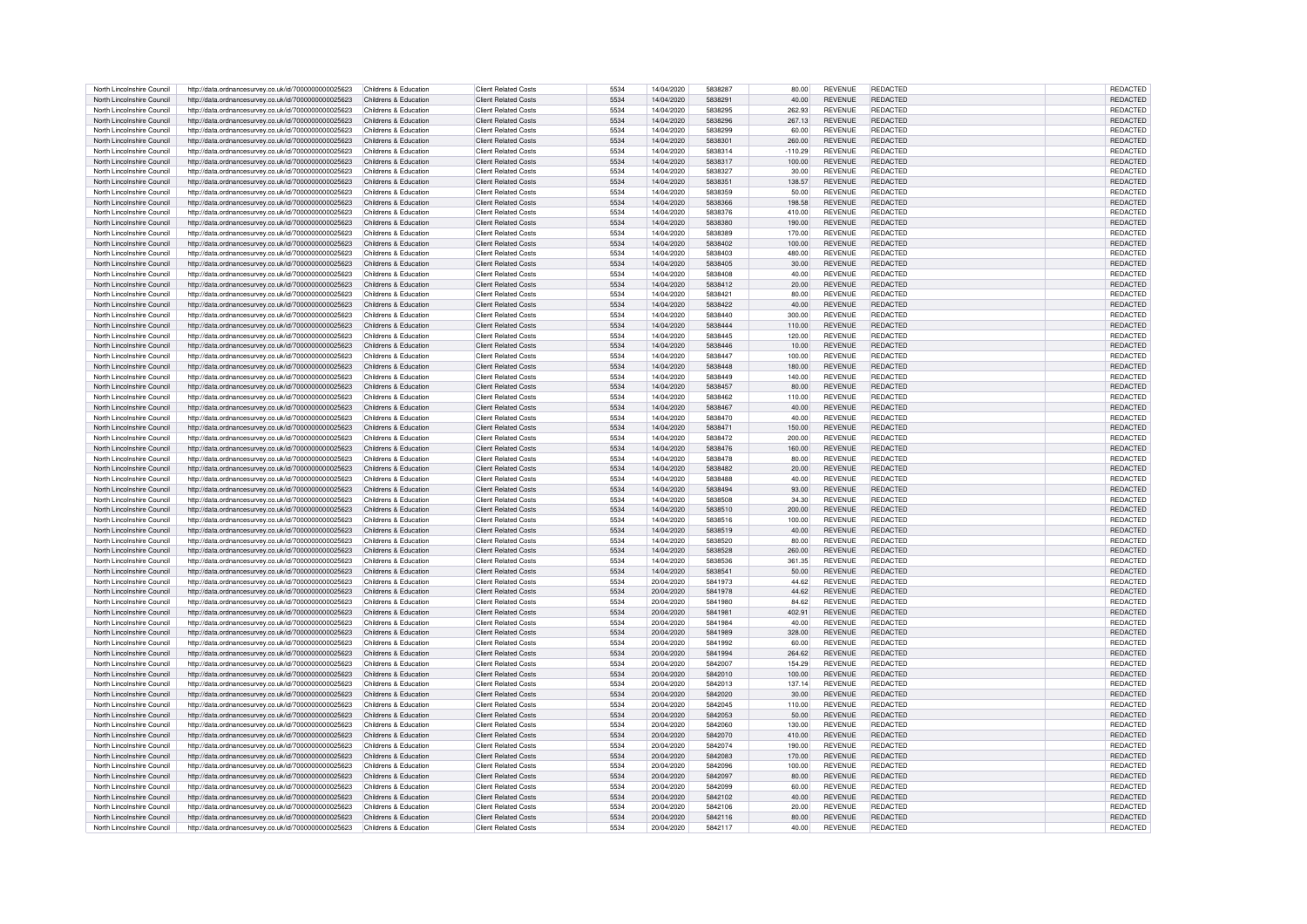| North Lincolnshire Council | http://data.ordnancesurvey.co.uk/id/7000000000025623 | Childrens & Education | <b>Client Related Costs</b> | 5534 | 14/04/2020 | 5838287 | 80.00     | <b>REVENUE</b> | <b>REDACTED</b> | REDACTED        |
|----------------------------|------------------------------------------------------|-----------------------|-----------------------------|------|------------|---------|-----------|----------------|-----------------|-----------------|
| North Lincolnshire Council | http://data.ordnancesurvey.co.uk/id/7000000000025623 | Childrens & Education | <b>Client Related Costs</b> | 5534 | 14/04/2020 | 5838291 | 40.00     | <b>REVENUE</b> | <b>REDACTED</b> | REDACTED        |
| North Lincolnshire Council | http://data.ordnancesurvev.co.uk/id/7000000000025623 | Childrens & Education | <b>Client Related Costs</b> | 5534 | 14/04/2020 | 5838295 | 262.93    | <b>REVENUE</b> | <b>REDACTED</b> | REDACTED        |
|                            |                                                      |                       |                             |      |            |         |           |                |                 |                 |
| North Lincolnshire Council | http://data.ordnancesurvey.co.uk/id/7000000000025623 | Childrens & Education | <b>Client Related Costs</b> | 5534 | 14/04/2020 | 5838296 | 267.13    | <b>REVENUE</b> | <b>REDACTED</b> | REDACTED        |
| North Lincolnshire Council | http://data.ordnancesurvey.co.uk/id/7000000000025623 | Childrens & Education | <b>Client Related Costs</b> | 5534 | 14/04/2020 | 5838299 | 60.00     | <b>REVENUE</b> | <b>REDACTED</b> | REDACTED        |
| North Lincolnshire Council | http://data.ordnancesurvey.co.uk/id/7000000000025623 | Childrens & Education | <b>Client Related Costs</b> | 5534 | 14/04/2020 | 5838301 | 260.00    | <b>REVENUE</b> | <b>REDACTED</b> | REDACTED        |
| North Lincolnshire Council | http://data.ordnancesurvey.co.uk/id/7000000000025623 | Childrens & Education | Client Related Costs        | 5534 | 14/04/2020 | 5838314 | $-110.29$ | <b>REVENUE</b> | <b>REDACTED</b> | <b>REDACTED</b> |
| North Lincolnshire Council | http://data.ordnancesurvey.co.uk/id/7000000000025623 | Childrens & Education | <b>Client Related Costs</b> | 5534 | 14/04/2020 | 5838317 | 100.00    | <b>REVENUE</b> | <b>REDACTED</b> | REDACTED        |
| North Lincolnshire Council | http://data.ordnancesurvey.co.uk/id/7000000000025623 | Childrens & Education | <b>Client Related Costs</b> | 5534 | 14/04/2020 | 5838327 | 30.00     | <b>REVENUE</b> | <b>REDACTED</b> | REDACTED        |
| North Lincolnshire Council | http://data.ordnancesurvey.co.uk/id/7000000000025623 | Childrens & Education | <b>Client Related Costs</b> | 5534 | 14/04/2020 | 5838351 | 138.57    | <b>REVENUE</b> | <b>REDACTED</b> | REDACTED        |
|                            |                                                      |                       |                             |      |            |         |           |                |                 |                 |
| North Lincolnshire Council | http://data.ordnancesurvey.co.uk/id/7000000000025623 | Childrens & Education | <b>Client Related Costs</b> | 5534 | 14/04/2020 | 5838359 | 50.00     | <b>REVENUE</b> | <b>REDACTED</b> | REDACTED        |
| North Lincolnshire Council | http://data.ordnancesurvey.co.uk/id/7000000000025623 | Childrens & Education | <b>Client Related Costs</b> | 5534 | 14/04/2020 | 5838366 | 198.58    | <b>REVENUE</b> | <b>REDACTED</b> | REDACTED        |
| North Lincolnshire Council | http://data.ordnancesurvey.co.uk/id/7000000000025623 | Childrens & Education | <b>Client Related Costs</b> | 5534 | 14/04/2020 | 5838376 | 410.00    | <b>REVENUE</b> | <b>REDACTED</b> | REDACTED        |
| North Lincolnshire Council | http://data.ordnancesurvey.co.uk/id/7000000000025623 | Childrens & Education | <b>Client Related Costs</b> | 5534 | 14/04/2020 | 5838380 | 190.00    | <b>REVENUE</b> | <b>REDACTED</b> | REDACTED        |
| North Lincolnshire Council | http://data.ordnancesurvey.co.uk/id/7000000000025623 | Childrens & Education | <b>Client Related Costs</b> | 5534 | 14/04/2020 | 5838389 | 170.00    | <b>REVENUE</b> | <b>REDACTED</b> | REDACTED        |
| North Lincolnshire Council | http://data.ordnancesurvey.co.uk/id/7000000000025623 | Childrens & Education | <b>Client Related Costs</b> | 5534 | 14/04/2020 | 5838402 | 100.00    | <b>REVENUE</b> | <b>REDACTED</b> | REDACTED        |
| North Lincolnshire Council | http://data.ordnancesurvey.co.uk/id/7000000000025623 | Childrens & Education | <b>Client Related Costs</b> | 5534 | 14/04/2020 | 5838403 | 480.00    | <b>REVENUE</b> | REDACTED        | REDACTED        |
|                            |                                                      |                       |                             |      |            |         |           |                |                 |                 |
| North Lincolnshire Council | http://data.ordnancesurvey.co.uk/id/7000000000025623 | Childrens & Education | <b>Client Related Costs</b> | 5534 | 14/04/2020 | 5838405 | 30.00     | <b>REVENUE</b> | <b>REDACTED</b> | REDACTED        |
| North Lincolnshire Council | http://data.ordnancesurvey.co.uk/id/7000000000025623 | Childrens & Education | <b>Client Related Costs</b> | 5534 | 14/04/2020 | 5838408 | 40.00     | <b>REVENUE</b> | <b>REDACTED</b> | REDACTED        |
| North Lincolnshire Council | http://data.ordnancesurvey.co.uk/id/7000000000025623 | Childrens & Education | <b>Client Related Costs</b> | 5534 | 14/04/2020 | 5838412 | 20.00     | <b>REVENUE</b> | <b>REDACTED</b> | REDACTED        |
| North Lincolnshire Council | http://data.ordnancesurvey.co.uk/id/7000000000025623 | Childrens & Education | <b>Client Related Costs</b> | 5534 | 14/04/2020 | 5838421 | 80.00     | <b>REVENUE</b> | <b>REDACTED</b> | REDACTED        |
| North Lincolnshire Council | http://data.ordnancesurvey.co.uk/id/7000000000025623 | Childrens & Education | <b>Client Related Costs</b> | 5534 | 14/04/2020 | 5838422 | 40.00     | <b>REVENUE</b> | <b>REDACTED</b> | REDACTED        |
| North Lincolnshire Council |                                                      | Childrens & Education | <b>Client Related Costs</b> | 5534 | 14/04/2020 | 5838440 | 300.00    | <b>REVENUE</b> | REDACTED        | REDACTED        |
|                            | http://data.ordnancesurvey.co.uk/id/7000000000025623 |                       |                             |      |            |         |           |                |                 |                 |
| North Lincolnshire Council | http://data.ordnancesurvey.co.uk/id/7000000000025623 | Childrens & Education | <b>Client Related Costs</b> | 5534 | 14/04/2020 | 5838444 | 110.00    | <b>REVENUE</b> | <b>REDACTED</b> | REDACTED        |
| North Lincolnshire Council | http://data.ordnancesurvey.co.uk/id/7000000000025623 | Childrens & Education | <b>Client Related Costs</b> | 5534 | 14/04/2020 | 5838445 | 120.00    | <b>REVENUE</b> | <b>REDACTED</b> | REDACTED        |
| North Lincolnshire Council | http://data.ordnancesurvey.co.uk/id/7000000000025623 | Childrens & Education | <b>Client Related Costs</b> | 5534 | 14/04/2020 | 5838446 | 10.00     | <b>REVENUE</b> | <b>REDACTED</b> | REDACTED        |
| North Lincolnshire Council | http://data.ordnancesurvey.co.uk/id/7000000000025623 | Childrens & Education | <b>Client Related Costs</b> | 5534 | 14/04/2020 | 5838447 | 100.00    | <b>REVENUE</b> | REDACTED        | REDACTED        |
| North Lincolnshire Council | http://data.ordnancesurvey.co.uk/id/7000000000025623 | Childrens & Education | <b>Client Related Costs</b> | 5534 | 14/04/2020 | 5838448 | 180.00    | <b>REVENUE</b> | <b>REDACTED</b> | <b>REDACTED</b> |
| North Lincolnshire Council | http://data.ordnancesurvey.co.uk/id/7000000000025623 | Childrens & Education | <b>Client Related Costs</b> | 5534 | 14/04/2020 | 5838449 | 140.00    | <b>REVENUE</b> | REDACTED        | REDACTED        |
|                            |                                                      |                       |                             |      |            |         |           |                |                 |                 |
| North Lincolnshire Council | http://data.ordnancesurvey.co.uk/id/7000000000025623 | Childrens & Education | <b>Client Related Costs</b> | 5534 | 14/04/2020 | 5838457 | 80.00     | <b>REVENUE</b> | <b>REDACTED</b> | REDACTED        |
| North Lincolnshire Council | http://data.ordnancesurvey.co.uk/id/7000000000025623 | Childrens & Education | <b>Client Related Costs</b> | 5534 | 14/04/2020 | 5838462 | 110.00    | <b>REVENUE</b> | <b>REDACTED</b> | REDACTED        |
| North Lincolnshire Council | http://data.ordnancesurvey.co.uk/id/7000000000025623 | Childrens & Education | <b>Client Related Costs</b> | 5534 | 14/04/2020 | 5838467 | 40.00     | <b>REVENUE</b> | REDACTED        | REDACTED        |
| North Lincolnshire Council | http://data.ordnancesurvey.co.uk/id/7000000000025623 | Childrens & Education | <b>Client Related Costs</b> | 5534 | 14/04/2020 | 5838470 | 40.00     | <b>REVENUE</b> | <b>REDACTED</b> | REDACTED        |
| North Lincolnshire Council | http://data.ordnancesurvey.co.uk/id/7000000000025623 | Childrens & Education | <b>Client Related Costs</b> | 5534 | 14/04/2020 | 5838471 | 150.00    | <b>REVENUE</b> | <b>REDACTED</b> | REDACTED        |
| North Lincolnshire Council | http://data.ordnancesurvey.co.uk/id/7000000000025623 | Childrens & Education | <b>Client Related Costs</b> | 5534 | 14/04/2020 | 5838472 | 200.00    | <b>REVENUE</b> | <b>REDACTED</b> | REDACTED        |
|                            |                                                      |                       |                             |      |            |         |           |                |                 |                 |
| North Lincolnshire Council | http://data.ordnancesurvey.co.uk/id/7000000000025623 | Childrens & Education | <b>Client Related Costs</b> | 5534 | 14/04/2020 | 5838476 | 160.00    | <b>REVENUE</b> | <b>REDACTED</b> | REDACTED        |
| North Lincolnshire Council | http://data.ordnancesurvey.co.uk/id/7000000000025623 | Childrens & Education | Client Related Costs        | 5534 | 14/04/2020 | 5838478 | 80.00     | <b>REVENUE</b> | <b>REDACTED</b> | REDACTED        |
| North Lincolnshire Council | http://data.ordnancesurvey.co.uk/id/7000000000025623 | Childrens & Education | <b>Client Related Costs</b> | 5534 | 14/04/2020 | 5838482 | 20.00     | <b>REVENUE</b> | <b>REDACTED</b> | REDACTED        |
| North Lincolnshire Council | http://data.ordnancesurvey.co.uk/id/7000000000025623 | Childrens & Education | <b>Client Related Costs</b> | 5534 | 14/04/2020 | 5838488 | 40.00     | <b>REVENUE</b> | <b>REDACTED</b> | REDACTED        |
| North Lincolnshire Council | http://data.ordnancesurvey.co.uk/id/7000000000025623 | Childrens & Education | <b>Client Related Costs</b> | 5534 | 14/04/2020 | 5838494 | 93.00     | <b>REVENUE</b> | <b>REDACTED</b> | REDACTED        |
| North Lincolnshire Council | http://data.ordnancesurvey.co.uk/id/7000000000025623 | Childrens & Education | <b>Client Related Costs</b> | 5534 | 14/04/2020 | 5838508 | 34.30     | <b>REVENUE</b> | <b>REDACTED</b> | REDACTED        |
| North Lincolnshire Council | http://data.ordnancesurvey.co.uk/id/7000000000025623 | Childrens & Education | <b>Client Related Costs</b> | 5534 | 14/04/2020 | 5838510 | 200.00    | <b>REVENUE</b> | <b>REDACTED</b> | REDACTED        |
|                            |                                                      |                       |                             | 5534 |            |         |           |                |                 |                 |
| North Lincolnshire Council | http://data.ordnancesurvey.co.uk/id/7000000000025623 | Childrens & Education | <b>Client Related Costs</b> |      | 14/04/2020 | 5838516 | 100.00    | <b>REVENUE</b> | <b>REDACTED</b> | REDACTED        |
| North Lincolnshire Council | http://data.ordnancesurvey.co.uk/id/7000000000025623 | Childrens & Education | <b>Client Related Costs</b> | 5534 | 14/04/2020 | 5838519 | 40.00     | <b>REVENUE</b> | <b>REDACTED</b> | REDACTED        |
| North Lincolnshire Council | http://data.ordnancesurvey.co.uk/id/7000000000025623 | Childrens & Education | Client Related Costs        | 5534 | 14/04/2020 | 5838520 | 80.00     | <b>REVENUE</b> | <b>REDACTED</b> | REDACTED        |
| North Lincolnshire Council | http://data.ordnancesurvey.co.uk/id/7000000000025623 | Childrens & Education | <b>Client Related Costs</b> | 5534 | 14/04/2020 | 5838528 | 260.00    | <b>REVENUE</b> | REDACTED        | REDACTED        |
| North Lincolnshire Council | http://data.ordnancesurvey.co.uk/id/7000000000025623 | Childrens & Education | <b>Client Related Costs</b> | 5534 | 14/04/2020 | 5838536 | 361.35    | <b>REVENUE</b> | REDACTED        | REDACTED        |
| North Lincolnshire Council | http://data.ordnancesurvey.co.uk/id/7000000000025623 | Childrens & Education | <b>Client Related Costs</b> | 5534 | 14/04/2020 | 5838541 | 50.00     | <b>REVENUE</b> | <b>REDACTED</b> | <b>REDACTED</b> |
| North Lincolnshire Council |                                                      | Childrens & Education | <b>Client Related Costs</b> | 5534 | 20/04/2020 | 5841973 | 44.62     | <b>REVENUE</b> | <b>REDACTED</b> | <b>REDACTED</b> |
|                            | http://data.ordnancesurvey.co.uk/id/7000000000025623 |                       |                             |      |            |         |           |                |                 |                 |
| North Lincolnshire Council | http://data.ordnancesurvey.co.uk/id/7000000000025623 | Childrens & Education | <b>Client Related Costs</b> | 5534 | 20/04/2020 | 5841978 | 44.62     | <b>REVENUE</b> | <b>REDACTED</b> | REDACTED        |
| North Lincolnshire Council | http://data.ordnancesurvey.co.uk/id/7000000000025623 | Childrens & Education | <b>Client Related Costs</b> | 5534 | 20/04/2020 | 5841980 | 84.62     | <b>REVENUE</b> | REDACTED        | <b>REDACTED</b> |
| North Lincolnshire Council | http://data.ordnancesurvey.co.uk/id/7000000000025623 | Childrens & Education | Client Related Costs        | 5534 | 20/04/2020 | 5841981 | 402.91    | <b>REVENUE</b> | <b>REDACTED</b> | REDACTED        |
| North Lincolnshire Council | http://data.ordnancesurvey.co.uk/id/7000000000025623 | Childrens & Education | <b>Client Related Costs</b> | 5534 | 20/04/2020 | 5841984 | 40.00     | <b>REVENUE</b> | <b>REDACTED</b> | REDACTED        |
| North Lincolnshire Council | http://data.ordnancesurvey.co.uk/id/7000000000025623 | Childrens & Education | Client Related Costs        | 5534 | 20/04/2020 | 5841989 | 328.00    | <b>REVENUE</b> | <b>REDACTED</b> | REDACTED        |
| North Lincolnshire Council | http://data.ordnancesurvey.co.uk/id/7000000000025623 | Childrens & Education | Client Related Costs        | 5534 | 20/04/2020 | 5841992 | 60.00     | <b>REVENUE</b> | <b>REDACTED</b> | REDACTED        |
|                            |                                                      |                       | Client Related Costs        | 5534 |            | 5841994 |           | <b>REVENUE</b> | <b>REDACTED</b> |                 |
| North Lincolnshire Council | http://data.ordnancesurvey.co.uk/id/7000000000025623 | Childrens & Education |                             |      | 20/04/2020 |         | 264.62    |                |                 | REDACTED        |
| North Lincolnshire Council | http://data.ordnancesurvey.co.uk/id/7000000000025623 | Childrens & Education | <b>Client Related Costs</b> | 5534 | 20/04/2020 | 5842007 | 154.29    | <b>REVENUE</b> | <b>REDACTED</b> | REDACTED        |
| North Lincolnshire Council | http://data.ordnancesurvey.co.uk/id/7000000000025623 | Childrens & Education | <b>Client Related Costs</b> | 5534 | 20/04/2020 | 5842010 | 100.00    | <b>REVENUE</b> | <b>REDACTED</b> | REDACTED        |
| North Lincolnshire Council | http://data.ordnancesurvey.co.uk/id/7000000000025623 | Childrens & Education | <b>Client Related Costs</b> | 5534 | 20/04/2020 | 5842013 | 137.14    | <b>REVENUE</b> | <b>REDACTED</b> | REDACTED        |
| North Lincolnshire Council | http://data.ordnancesurvey.co.uk/id/7000000000025623 | Childrens & Education | Client Related Costs        | 5534 | 20/04/2020 | 5842020 | 30.00     | <b>REVENUE</b> | <b>REDACTED</b> | <b>REDACTED</b> |
| North Lincolnshire Council | http://data.ordnancesurvey.co.uk/id/7000000000025623 | Childrens & Education | <b>Client Related Costs</b> | 5534 | 20/04/2020 | 5842045 | 110.00    | <b>REVENUE</b> | <b>REDACTED</b> | REDACTED        |
| North Lincolnshire Council | http://data.ordnancesurvey.co.uk/id/7000000000025623 | Childrens & Education | <b>Client Related Costs</b> | 5534 | 20/04/2020 | 5842053 | 50.00     | <b>REVENUE</b> | <b>REDACTED</b> | REDACTED        |
|                            |                                                      |                       |                             |      |            |         |           |                |                 |                 |
| North Lincolnshire Council | http://data.ordnancesurvey.co.uk/id/7000000000025623 | Childrens & Education | <b>Client Related Costs</b> | 5534 | 20/04/2020 | 5842060 | 130.00    | <b>REVENUE</b> | REDACTED        | REDACTED        |
| North Lincolnshire Council | http://data.ordnancesurvey.co.uk/id/7000000000025623 | Childrens & Education | <b>Client Related Costs</b> | 5534 | 20/04/2020 | 5842070 | 410.00    | <b>REVENUE</b> | <b>REDACTED</b> | REDACTED        |
| North Lincolnshire Council | http://data.ordnancesurvey.co.uk/id/7000000000025623 | Childrens & Education | <b>Client Related Costs</b> | 5534 | 20/04/2020 | 5842074 | 190.00    | <b>REVENUE</b> | REDACTED        | <b>REDACTED</b> |
| North Lincolnshire Council | http://data.ordnancesurvey.co.uk/id/7000000000025623 | Childrens & Education | <b>Client Related Costs</b> | 5534 | 20/04/2020 | 5842083 | 170.00    | <b>REVENUE</b> | <b>REDACTED</b> | <b>REDACTED</b> |
| North Lincolnshire Council | http://data.ordnancesurvey.co.uk/id/7000000000025623 | Childrens & Education | <b>Client Related Costs</b> | 5534 | 20/04/2020 | 5842096 | 100.00    | <b>REVENUE</b> | REDACTED        | REDACTED        |
| North Lincolnshire Council | http://data.ordnancesurvey.co.uk/id/7000000000025623 | Childrens & Education | <b>Client Related Costs</b> | 5534 | 20/04/2020 | 5842097 | 80.00     | <b>REVENUE</b> | <b>REDACTED</b> | REDACTED        |
| North Lincolnshire Council | http://data.ordnancesurvey.co.uk/id/7000000000025623 | Childrens & Education | <b>Client Related Costs</b> | 5534 | 20/04/2020 | 5842099 | 60.00     | <b>REVENUE</b> | REDACTED        | REDACTED        |
|                            |                                                      |                       |                             |      |            |         |           |                |                 |                 |
| North Lincolnshire Council | http://data.ordnancesurvey.co.uk/id/7000000000025623 | Childrens & Education | <b>Client Related Costs</b> | 5534 | 20/04/2020 | 5842102 | 40.00     | <b>REVENUE</b> | <b>REDACTED</b> | REDACTED        |
| North Lincolnshire Council | http://data.ordnancesurvey.co.uk/id/7000000000025623 | Childrens & Education | Client Related Costs        | 5534 | 20/04/2020 | 5842106 | 20.00     | <b>REVENUE</b> | <b>REDACTED</b> | <b>REDACTED</b> |
| North Lincolnshire Council | http://data.ordnancesurvey.co.uk/id/7000000000025623 | Childrens & Education | <b>Client Related Costs</b> | 5534 | 20/04/2020 | 5842116 | 80.00     | <b>REVENUE</b> | <b>REDACTED</b> | REDACTED        |
| North Lincolnshire Council | http://data.ordnancesurvey.co.uk/id/7000000000025623 | Childrens & Education | <b>Client Related Costs</b> | 5534 | 20/04/2020 | 5842117 | 40.00     | <b>REVENUE</b> | <b>REDACTED</b> | REDACTED        |
|                            |                                                      |                       |                             |      |            |         |           |                |                 |                 |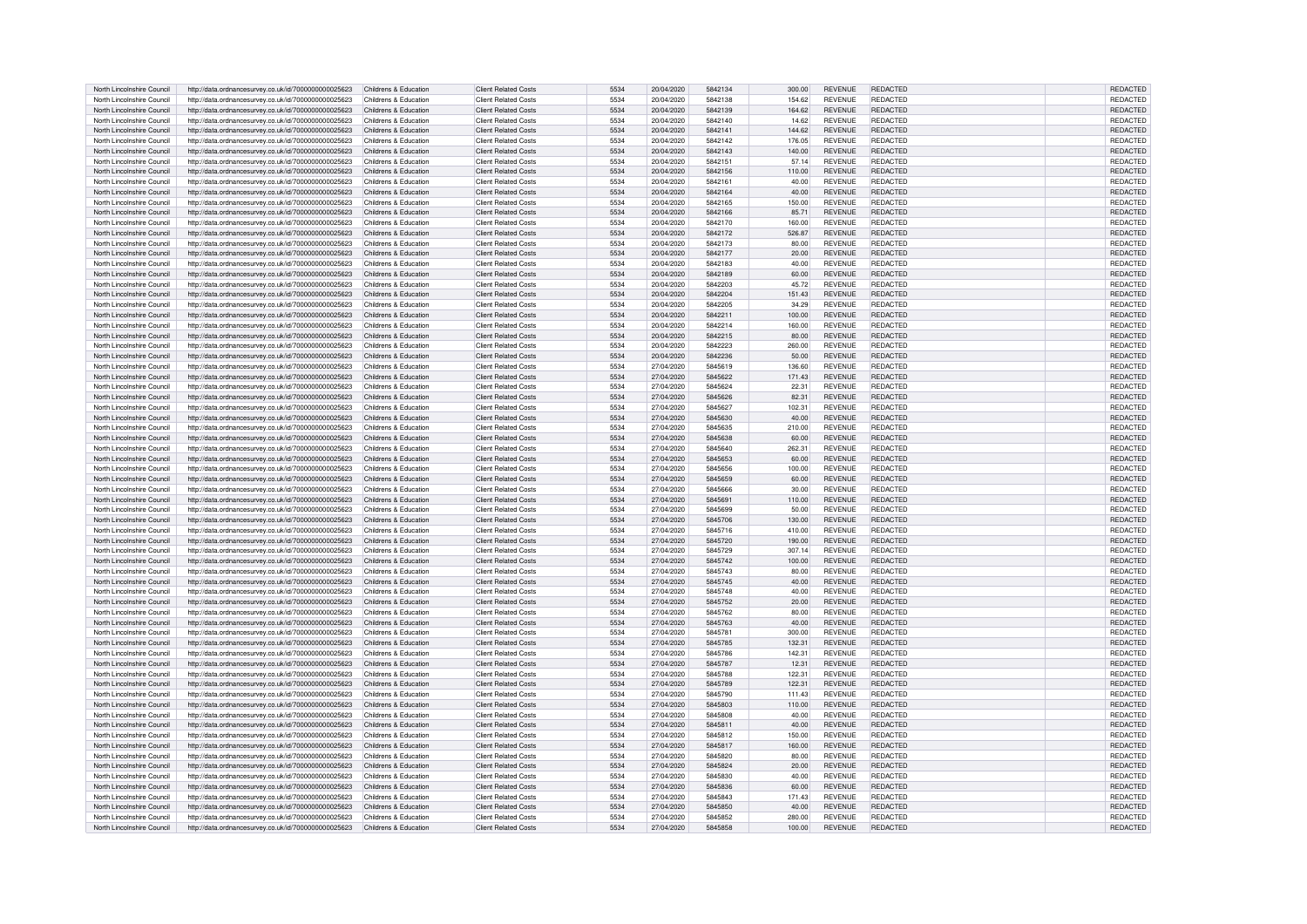| North Lincolnshire Council | http://data.ordnancesurvey.co.uk/id/7000000000025623 | Childrens & Education | <b>Client Related Costs</b> | 5534 | 20/04/2020 | 5842134 | 300.00 | <b>REVENUE</b> | <b>REDACTED</b> | REDACTED        |
|----------------------------|------------------------------------------------------|-----------------------|-----------------------------|------|------------|---------|--------|----------------|-----------------|-----------------|
|                            |                                                      |                       |                             |      |            |         |        |                |                 |                 |
| North Lincolnshire Council | http://data.ordnancesurvey.co.uk/id/7000000000025623 | Childrens & Education | <b>Client Related Costs</b> | 5534 | 20/04/2020 | 5842138 | 154.62 | REVENUE        | <b>REDACTED</b> | REDACTED        |
| North Lincolnshire Council | http://data.ordnancesurvey.co.uk/id/7000000000025623 | Childrens & Education | <b>Client Related Costs</b> | 5534 | 20/04/2020 | 5842139 | 164.62 | <b>REVENUE</b> | <b>REDACTED</b> | REDACTED        |
| North Lincolnshire Council | http://data.ordnancesurvey.co.uk/id/7000000000025623 | Childrens & Education | <b>Client Related Costs</b> | 5534 | 20/04/2020 | 5842140 | 14.62  | <b>REVENUE</b> | <b>REDACTED</b> | REDACTED        |
|                            |                                                      |                       |                             |      |            |         |        |                |                 |                 |
| North Lincolnshire Council | http://data.ordnancesurvey.co.uk/id/7000000000025623 | Childrens & Education | <b>Client Related Costs</b> | 5534 | 20/04/2020 | 5842141 | 144.62 | <b>REVENUE</b> | <b>REDACTED</b> | REDACTED        |
| North Lincolnshire Council | http://data.ordnancesurvey.co.uk/id/7000000000025623 | Childrens & Education | <b>Client Related Costs</b> | 5534 | 20/04/2020 | 5842142 | 176.05 | <b>REVENUE</b> | <b>REDACTED</b> | REDACTED        |
|                            |                                                      |                       |                             |      |            |         |        |                |                 |                 |
| North Lincolnshire Council | http://data.ordnancesurvey.co.uk/id/7000000000025623 | Childrens & Education | <b>Client Related Costs</b> | 5534 | 20/04/2020 | 5842143 | 140.00 | <b>REVENUE</b> | <b>REDACTED</b> | REDACTED        |
| North Lincolnshire Council | http://data.ordnancesurvey.co.uk/id/7000000000025623 | Childrens & Education | Client Related Costs        | 5534 | 20/04/2020 | 5842151 | 57.14  | <b>REVENUE</b> | <b>REDACTED</b> | REDACTED        |
| North Lincolnshire Council | http://data.ordnancesurvey.co.uk/id/7000000000025623 | Childrens & Education | <b>Client Related Costs</b> | 5534 | 20/04/2020 | 5842156 | 110.00 | <b>REVENUE</b> | <b>REDACTED</b> | REDACTED        |
|                            |                                                      |                       |                             |      |            |         |        |                |                 |                 |
| North Lincolnshire Council | http://data.ordnancesurvey.co.uk/id/7000000000025623 | Childrens & Education | <b>Client Related Costs</b> | 5534 | 20/04/2020 | 5842161 | 40.00  | <b>REVENUE</b> | <b>REDACTED</b> | REDACTED        |
| North Lincolnshire Council | http://data.ordnancesurvey.co.uk/id/7000000000025623 | Childrens & Education | <b>Client Related Costs</b> | 5534 | 20/04/2020 | 5842164 | 40.00  | <b>REVENUE</b> | <b>REDACTED</b> | REDACTED        |
|                            |                                                      |                       |                             |      |            |         |        |                |                 |                 |
| North Lincolnshire Council | http://data.ordnancesurvey.co.uk/id/7000000000025623 | Childrens & Education | <b>Client Related Costs</b> | 5534 | 20/04/2020 | 5842165 | 150.00 | <b>REVENUE</b> | <b>REDACTED</b> | REDACTED        |
| North Lincolnshire Council | http://data.ordnancesurvey.co.uk/id/7000000000025623 | Childrens & Education | <b>Client Related Costs</b> | 5534 | 20/04/2020 | 5842166 | 85.71  | <b>REVENUE</b> | <b>REDACTED</b> | REDACTED        |
| North Lincolnshire Council | http://data.ordnancesurvey.co.uk/id/7000000000025623 | Childrens & Education | <b>Client Related Costs</b> | 5534 | 20/04/2020 | 5842170 | 160.00 | <b>REVENUE</b> | REDACTED        | REDACTED        |
|                            |                                                      |                       |                             |      |            |         |        |                |                 |                 |
| North Lincolnshire Council | http://data.ordnancesurvey.co.uk/id/7000000000025623 | Childrens & Education | <b>Client Related Costs</b> | 5534 | 20/04/2020 | 5842172 | 526.87 | <b>REVENUE</b> | <b>REDACTED</b> | <b>REDACTED</b> |
| North Lincolnshire Council | http://data.ordnancesurvey.co.uk/id/7000000000025623 | Childrens & Education | <b>Client Related Costs</b> | 5534 | 20/04/2020 | 5842173 | 80.00  | <b>REVENUE</b> | <b>REDACTED</b> | REDACTED        |
|                            |                                                      |                       |                             | 5534 |            | 5842177 |        | <b>REVENUE</b> | <b>REDACTED</b> |                 |
| North Lincolnshire Council | http://data.ordnancesurvey.co.uk/id/7000000000025623 | Childrens & Education | <b>Client Related Costs</b> |      | 20/04/2020 |         | 20.00  |                |                 | REDACTED        |
| North Lincolnshire Council | http://data.ordnancesurvey.co.uk/id/7000000000025623 | Childrens & Education | <b>Client Related Costs</b> | 5534 | 20/04/2020 | 5842183 | 40.00  | <b>REVENUE</b> | REDACTED        | REDACTED        |
| North Lincolnshire Council | http://data.ordnancesurvey.co.uk/id/7000000000025623 | Childrens & Education | <b>Client Related Costs</b> | 5534 | 20/04/2020 | 5842189 | 60.00  | <b>REVENUE</b> | REDACTED        | REDACTED        |
|                            |                                                      |                       |                             |      |            |         |        |                |                 |                 |
| North Lincolnshire Council | http://data.ordnancesurvey.co.uk/id/7000000000025623 | Childrens & Education | Client Related Costs        | 5534 | 20/04/2020 | 5842203 | 45.72  | <b>REVENUE</b> | <b>REDACTED</b> | REDACTED        |
| North Lincolnshire Council | http://data.ordnancesurvey.co.uk/id/7000000000025623 | Childrens & Education | <b>Client Related Costs</b> | 5534 | 20/04/2020 | 5842204 | 151.43 | <b>REVENUE</b> | <b>REDACTED</b> | REDACTED        |
|                            |                                                      | Childrens & Education | <b>Client Related Costs</b> |      |            |         |        | <b>REVENUE</b> | <b>REDACTED</b> |                 |
| North Lincolnshire Council | http://data.ordnancesurvey.co.uk/id/7000000000025623 |                       |                             | 5534 | 20/04/2020 | 5842205 | 34.29  |                |                 | REDACTED        |
| North Lincolnshire Council | http://data.ordnancesurvey.co.uk/id/7000000000025623 | Childrens & Education | <b>Client Related Costs</b> | 5534 | 20/04/2020 | 5842211 | 100.00 | <b>REVENUE</b> | <b>REDACTED</b> | REDACTED        |
| North Lincolnshire Council | http://data.ordnancesurvey.co.uk/id/7000000000025623 | Childrens & Education | <b>Client Related Costs</b> | 5534 | 20/04/2020 | 5842214 | 160.00 | <b>REVENUE</b> | <b>REDACTED</b> | REDACTED        |
|                            |                                                      |                       |                             |      |            |         |        |                |                 |                 |
| North Lincolnshire Council | http://data.ordnancesurvey.co.uk/id/7000000000025623 | Childrens & Education | <b>Client Related Costs</b> | 5534 | 20/04/2020 | 5842215 | 80.00  | <b>REVENUE</b> | <b>REDACTED</b> | REDACTED        |
| North Lincolnshire Council | http://data.ordnancesurvey.co.uk/id/7000000000025623 | Childrens & Education | <b>Client Related Costs</b> | 5534 | 20/04/2020 | 5842223 | 260.00 | <b>REVENUE</b> | <b>REDACTED</b> | REDACTED        |
| North Lincolnshire Council |                                                      | Childrens & Education | <b>Client Related Costs</b> | 5534 | 20/04/2020 | 5842236 |        | <b>REVENUE</b> | <b>REDACTED</b> |                 |
|                            | http://data.ordnancesurvey.co.uk/id/7000000000025623 |                       |                             |      |            |         | 50.00  |                |                 | REDACTED        |
| North Lincolnshire Council | http://data.ordnancesurvey.co.uk/id/7000000000025623 | Childrens & Education | <b>Client Related Costs</b> | 5534 | 27/04/2020 | 5845619 | 136.60 | <b>REVENUE</b> | REDACTED        | REDACTED        |
| North Lincolnshire Council | http://data.ordnancesurvey.co.uk/id/7000000000025623 | Childrens & Education | <b>Client Related Costs</b> | 5534 | 27/04/2020 | 5845622 | 171.43 | <b>REVENUE</b> | <b>REDACTED</b> | REDACTED        |
|                            |                                                      |                       |                             |      |            |         |        |                |                 |                 |
| North Lincolnshire Council | http://data.ordnancesurvey.co.uk/id/7000000000025623 | Childrens & Education | <b>Client Related Costs</b> | 5534 | 27/04/2020 | 5845624 | 22.31  | <b>REVENUE</b> | REDACTED        | REDACTED        |
| North Lincolnshire Council | http://data.ordnancesurvey.co.uk/id/7000000000025623 | Childrens & Education | <b>Client Related Costs</b> | 5534 | 27/04/2020 | 5845626 | 82.31  | <b>REVENUE</b> | <b>REDACTED</b> | REDACTED        |
| North Lincolnshire Council |                                                      | Childrens & Education | Client Related Costs        | 5534 | 27/04/2020 | 5845627 |        | <b>REVENUE</b> | <b>REDACTED</b> | REDACTED        |
|                            | http://data.ordnancesurvey.co.uk/id/7000000000025623 |                       |                             |      |            |         | 102.31 |                |                 |                 |
| North Lincolnshire Council | http://data.ordnancesurvey.co.uk/id/7000000000025623 | Childrens & Education | <b>Client Related Costs</b> | 5534 | 27/04/2020 | 5845630 | 40.00  | <b>REVENUE</b> | <b>REDACTED</b> | REDACTED        |
| North Lincolnshire Council | http://data.ordnancesurvey.co.uk/id/7000000000025623 | Childrens & Education | <b>Client Related Costs</b> | 5534 | 27/04/2020 | 5845635 | 210.00 | <b>REVENUE</b> | <b>REDACTED</b> | REDACTED        |
|                            |                                                      |                       |                             |      |            |         |        |                |                 |                 |
| North Lincolnshire Council | http://data.ordnancesurvey.co.uk/id/7000000000025623 | Childrens & Education | <b>Client Related Costs</b> | 5534 | 27/04/2020 | 5845638 | 60.00  | <b>REVENUE</b> | <b>REDACTED</b> | REDACTED        |
| North Lincolnshire Council | http://data.ordnancesurvey.co.uk/id/7000000000025623 | Childrens & Education | <b>Client Related Costs</b> | 5534 | 27/04/2020 | 5845640 | 262.31 | <b>REVENUE</b> | <b>REDACTED</b> | REDACTE         |
| North Lincolnshire Council | http://data.ordnancesurvey.co.uk/id/7000000000025623 | Childrens & Education | <b>Client Related Costs</b> | 5534 | 27/04/2020 | 5845653 | 60.00  | <b>REVENUE</b> | <b>REDACTED</b> | REDACTED        |
|                            |                                                      |                       |                             |      |            |         |        |                |                 |                 |
| North Lincolnshire Council | http://data.ordnancesurvey.co.uk/id/7000000000025623 | Childrens & Education | <b>Client Related Costs</b> | 5534 | 27/04/2020 | 5845656 | 100.00 | <b>REVENUE</b> | <b>REDACTED</b> | REDACTED        |
| North Lincolnshire Council | http://data.ordnancesurvey.co.uk/id/7000000000025623 | Childrens & Education | <b>Client Related Costs</b> | 5534 | 27/04/2020 | 5845659 | 60.00  | <b>REVENUE</b> | <b>REDACTED</b> | REDACTED        |
|                            |                                                      |                       |                             |      |            |         |        |                |                 |                 |
| North Lincolnshire Council | http://data.ordnancesurvey.co.uk/id/7000000000025623 | Childrens & Education | <b>Client Related Costs</b> | 5534 | 27/04/2020 | 5845666 | 30.00  | <b>REVENUE</b> | <b>REDACTED</b> | REDACTED        |
| North Lincolnshire Council | http://data.ordnancesurvey.co.uk/id/7000000000025623 | Childrens & Education | <b>Client Related Costs</b> | 5534 | 27/04/2020 | 5845691 | 110.00 | <b>REVENUE</b> | <b>REDACTED</b> | <b>REDACTED</b> |
| North Lincolnshire Council | http://data.ordnancesurvey.co.uk/id/7000000000025623 | Childrens & Education | <b>Client Related Costs</b> | 5534 | 27/04/2020 | 5845699 | 50.00  | <b>REVENUE</b> | REDACTED        | REDACTED        |
|                            |                                                      |                       |                             |      |            |         |        |                |                 |                 |
| North Lincolnshire Council | http://data.ordnancesurvey.co.uk/id/7000000000025623 | Childrens & Education | Client Related Costs        | 5534 | 27/04/2020 | 5845706 | 130.00 | <b>REVENUE</b> | <b>REDACTED</b> | REDACTED        |
| North Lincolnshire Council | http://data.ordnancesurvey.co.uk/id/7000000000025623 | Childrens & Education | Client Related Costs        | 5534 | 27/04/2020 | 5845716 | 410.00 | <b>REVENUE</b> | <b>REDACTED</b> | REDACTED        |
|                            |                                                      |                       |                             |      |            |         |        |                |                 |                 |
| North Lincolnshire Council | http://data.ordnancesurvey.co.uk/id/7000000000025623 | Childrens & Education | <b>Client Related Costs</b> | 5534 | 27/04/2020 | 5845720 | 190.00 | <b>REVENUE</b> | <b>REDACTED</b> | REDACTED        |
| North Lincolnshire Council | http://data.ordnancesurvey.co.uk/id/7000000000025623 | Childrens & Education | <b>Client Related Costs</b> | 5534 | 27/04/2020 | 5845729 | 307.14 | <b>REVENUE</b> | <b>REDACTED</b> | REDACTED        |
| North Lincolnshire Council | http://data.ordnancesurvey.co.uk/id/7000000000025623 | Childrens & Education | <b>Client Related Costs</b> | 5534 | 27/04/2020 | 5845742 | 100.00 | <b>REVENUE</b> | <b>REDACTED</b> | REDACTED        |
|                            |                                                      |                       |                             |      |            |         |        |                |                 |                 |
| North Lincolnshire Council | http://data.ordnancesurvey.co.uk/id/7000000000025623 | Childrens & Education | <b>Client Related Costs</b> | 5534 | 27/04/2020 | 5845743 | 80.00  | <b>REVENUE</b> | REDACTED        | REDACTED        |
| North Lincolnshire Council | http://data.ordnancesurvey.co.uk/id/7000000000025623 | Childrens & Education | <b>Client Related Costs</b> | 5534 | 27/04/2020 | 5845745 | 40.00  | <b>REVENUE</b> | <b>REDACTED</b> | REDACTED        |
| North Lincolnshire Council |                                                      | Childrens & Education | <b>Client Related Costs</b> | 5534 | 27/04/2020 | 5845748 |        | <b>REVENUE</b> | <b>REDACTED</b> | <b>REDACTED</b> |
|                            | http://data.ordnancesurvey.co.uk/id/7000000000025623 |                       |                             |      |            |         | 40.00  |                |                 |                 |
| North Lincolnshire Council | http://data.ordnancesurvey.co.uk/id/7000000000025623 | Childrens & Education | <b>Client Related Costs</b> | 5534 | 27/04/2020 | 5845752 | 20.00  | <b>REVENUE</b> | <b>REDACTED</b> | REDACTED        |
| North Lincolnshire Council | http://data.ordnancesurvey.co.uk/id/7000000000025623 | Childrens & Education | <b>Client Related Costs</b> | 5534 | 27/04/2020 | 5845762 | 80.00  | <b>REVENUE</b> | REDACTED        | REDACTED        |
|                            |                                                      |                       |                             |      |            |         |        |                |                 |                 |
| North Lincolnshire Council | http://data.ordnancesurvey.co.uk/id/7000000000025623 | Childrens & Education | <b>Client Related Costs</b> | 5534 | 27/04/2020 | 5845763 | 40.00  | <b>REVENUE</b> | <b>REDACTED</b> | REDACTED        |
| North Lincolnshire Council | http://data.ordnancesurvey.co.uk/id/7000000000025623 | Childrens & Education | <b>Client Related Costs</b> | 5534 | 27/04/2020 | 5845781 | 300.00 | <b>REVENUE</b> | <b>REDACTED</b> | REDACTED        |
| North Lincolnshire Council | http://data.ordnancesurvey.co.uk/id/7000000000025623 | Childrens & Education | <b>Client Related Costs</b> | 5534 | 27/04/2020 | 5845785 | 132.31 | <b>REVENUE</b> | <b>REDACTED</b> | REDACTED        |
|                            |                                                      |                       |                             |      |            |         |        |                |                 |                 |
| North Lincolnshire Council | http://data.ordnancesurvey.co.uk/id/7000000000025623 | Childrens & Education | <b>Client Related Costs</b> | 5534 | 27/04/2020 | 5845786 | 142.31 | <b>REVENUE</b> | <b>REDACTED</b> | REDACTED        |
| North Lincolnshire Council | http://data.ordnancesurvey.co.uk/id/7000000000025623 | Childrens & Education | <b>Client Related Costs</b> | 5534 | 27/04/2020 | 5845787 | 12.31  | <b>REVENUE</b> | <b>REDACTED</b> | REDACTED        |
|                            |                                                      |                       | <b>Client Related Costs</b> | 5534 |            | 5845788 |        |                |                 |                 |
| North Lincolnshire Council | http://data.ordnancesurvey.co.uk/id/7000000000025623 | Childrens & Education |                             |      | 27/04/2020 |         | 122.31 | REVENUE        | <b>REDACTED</b> | REDACTED        |
| North Lincolnshire Council | http://data.ordnancesurvey.co.uk/id/7000000000025623 | Childrens & Education | <b>Client Related Costs</b> | 5534 | 27/04/2020 | 5845789 | 122.31 | REVENUE        | <b>REDACTED</b> | REDACTED        |
| North Lincolnshire Council | http://data.ordnancesurvey.co.uk/id/7000000000025623 | Childrens & Education | <b>Client Related Costs</b> | 5534 | 27/04/2020 | 5845790 | 111.43 | <b>REVENUE</b> | REDACTED        | REDACTE         |
|                            |                                                      |                       |                             |      |            |         |        |                |                 |                 |
| North Lincolnshire Council | http://data.ordnancesurvey.co.uk/id/7000000000025623 | Childrens & Education | <b>Client Related Costs</b> | 5534 | 27/04/2020 | 5845803 | 110.00 | <b>REVENUE</b> | <b>REDACTED</b> | REDACTED        |
| North Lincolnshire Council | http://data.ordnancesurvey.co.uk/id/7000000000025623 | Childrens & Education | Client Related Costs        | 5534 | 27/04/2020 | 5845808 | 40.00  | <b>REVENUE</b> | <b>REDACTED</b> | REDACTED        |
|                            |                                                      |                       |                             | 5534 |            | 5845811 |        |                | <b>REDACTED</b> |                 |
| North Lincolnshire Council | http://data.ordnancesurvey.co.uk/id/7000000000025623 | Childrens & Education | <b>Client Related Costs</b> |      | 27/04/2020 |         | 40.00  | <b>REVENUE</b> |                 | REDACTED        |
| North Lincolnshire Council | http://data.ordnancesurvey.co.uk/id/7000000000025623 | Childrens & Education | <b>Client Related Costs</b> | 5534 | 27/04/2020 | 5845812 | 150.00 | <b>REVENUE</b> | <b>REDACTED</b> | REDACTED        |
| North Lincolnshire Council | http://data.ordnancesurvey.co.uk/id/7000000000025623 | Childrens & Education | <b>Client Related Costs</b> | 5534 | 27/04/2020 | 5845817 | 160.00 | <b>REVENUE</b> | <b>REDACTED</b> | <b>REDACTED</b> |
|                            |                                                      |                       |                             |      |            |         |        |                |                 |                 |
| North Lincolnshire Council | http://data.ordnancesurvey.co.uk/id/7000000000025623 | Childrens & Education | Client Related Costs        | 5534 | 27/04/2020 | 5845820 | 80.00  | <b>REVENUE</b> | <b>REDACTED</b> | REDACTED        |
| North Lincolnshire Council | http://data.ordnancesurvey.co.uk/id/7000000000025623 | Childrens & Education | Client Related Costs        | 5534 | 27/04/2020 | 5845824 | 20.00  | <b>REVENUE</b> | <b>REDACTED</b> | REDACTED        |
| North Lincolnshire Council |                                                      | Childrens & Education | <b>Client Related Costs</b> | 5534 | 27/04/2020 | 5845830 |        | <b>REVENUE</b> | <b>REDACTED</b> | <b>REDACTED</b> |
|                            | http://data.ordnancesurvey.co.uk/id/7000000000025623 |                       |                             |      |            |         | 40.00  |                |                 |                 |
| North Lincolnshire Council | http://data.ordnancesurvey.co.uk/id/7000000000025623 | Childrens & Education | <b>Client Related Costs</b> | 5534 | 27/04/2020 | 5845836 | 60.00  | <b>REVENUE</b> | <b>REDACTED</b> | REDACTED        |
| North Lincolnshire Council | http://data.ordnancesurvey.co.uk/id/7000000000025623 | Childrens & Education | <b>Client Related Costs</b> | 5534 | 27/04/2020 | 5845843 | 171.43 | REVENUE        | <b>REDACTED</b> | REDACTED        |
|                            |                                                      |                       |                             |      |            |         |        |                |                 |                 |
|                            |                                                      |                       |                             |      |            |         |        |                |                 |                 |
| North Lincolnshire Council | http://data.ordnancesurvey.co.uk/id/7000000000025623 | Childrens & Education | <b>Client Related Costs</b> | 5534 | 27/04/2020 | 5845850 | 40.00  | <b>REVENUE</b> | <b>REDACTED</b> | REDACTED        |
| North Lincolnshire Council | http://data.ordnancesurvey.co.uk/id/7000000000025623 | Childrens & Education | <b>Client Related Costs</b> | 5534 | 27/04/2020 | 5845852 | 280.00 | <b>REVENUE</b> | REDACTED        | REDACTED        |
| North Lincolnshire Council | http://data.ordnancesurvey.co.uk/id/7000000000025623 | Childrens & Education | <b>Client Related Costs</b> | 5534 | 27/04/2020 | 5845858 | 100.00 | <b>REVENUE</b> | <b>REDACTED</b> | REDACTED        |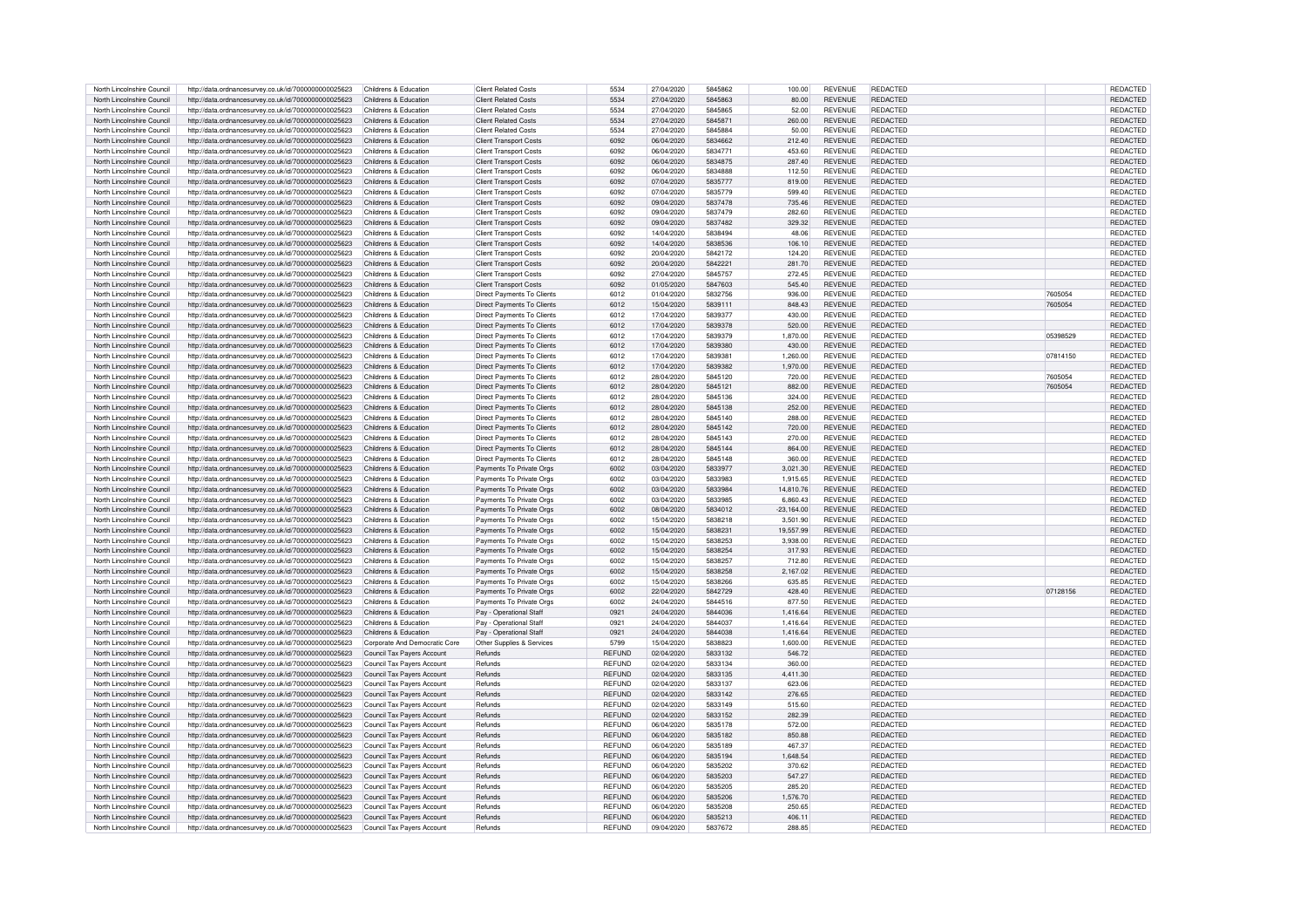| North Lincolnshire Council | http://data.ordnancesurvey.co.uk/id/7000000000025623 | Childrens & Education         | <b>Client Related Costs</b>   | 5534          | 27/04/2020 | 5845862 | 100.00       | <b>REVENUE</b> | <b>REDACTED</b> |          | <b>REDACTED</b> |
|----------------------------|------------------------------------------------------|-------------------------------|-------------------------------|---------------|------------|---------|--------------|----------------|-----------------|----------|-----------------|
| North Lincolnshire Council | http://data.ordnancesurvey.co.uk/id/7000000000025623 | Childrens & Education         | <b>Client Related Costs</b>   | 5534          | 27/04/2020 | 5845863 | 80.00        | <b>REVENUE</b> | <b>REDACTED</b> |          | <b>REDACTED</b> |
| North Lincolnshire Council |                                                      | Childrens & Education         | Client Related Costs          | 5534          | 27/04/2020 | 5845865 | 52.00        | <b>REVENUE</b> | <b>REDACTED</b> |          | REDACTED        |
|                            | http://data.ordnancesurvey.co.uk/id/7000000000025623 |                               |                               |               |            |         |              |                |                 |          |                 |
| North Lincolnshire Council | http://data.ordnancesurvey.co.uk/id/7000000000025623 | Childrens & Education         | <b>Client Related Costs</b>   | 5534          | 27/04/2020 | 5845871 | 260.00       | <b>REVENUE</b> | <b>REDACTED</b> |          | REDACTED        |
| North Lincolnshire Council | http://data.ordnancesurvey.co.uk/id/7000000000025623 | Childrens & Education         | <b>Client Related Costs</b>   | 5534          | 27/04/2020 | 5845884 | 50.00        | <b>REVENUE</b> | <b>REDACTED</b> |          | REDACTED        |
| North Lincolnshire Council | http://data.ordnancesurvey.co.uk/id/7000000000025623 | Childrens & Education         | <b>Client Transport Costs</b> | 6092          | 06/04/2020 | 5834662 | 212.40       | <b>REVENUE</b> | <b>REDACTED</b> |          | REDACTED        |
| North Lincolnshire Council | http://data.ordnancesurvey.co.uk/id/7000000000025623 | Childrens & Education         | <b>Client Transport Costs</b> | 6092          | 06/04/2020 | 5834771 | 453.60       | <b>REVENUE</b> | REDACTED        |          | REDACTED        |
| North Lincolnshire Council | http://data.ordnancesurvey.co.uk/id/7000000000025623 | Childrens & Education         | <b>Client Transport Costs</b> | 6092          | 06/04/2020 | 5834875 | 287.40       | <b>REVENUE</b> | <b>REDACTED</b> |          | <b>REDACTED</b> |
| North Lincolnshire Council | http://data.ordnancesurvey.co.uk/id/7000000000025623 | Childrens & Education         | <b>Client Transport Costs</b> | 6092          | 06/04/2020 | 5834888 | 112.50       | <b>REVENUE</b> | <b>REDACTED</b> |          | REDACTED        |
| North Lincolnshire Council | http://data.ordnancesurvey.co.uk/id/7000000000025623 | Childrens & Education         | <b>Client Transport Costs</b> | 6092          | 07/04/2020 | 5835777 | 819.00       | <b>REVENUE</b> | <b>REDACTED</b> |          | <b>REDACTED</b> |
| North Lincolnshire Council | http://data.ordnancesurvey.co.uk/id/7000000000025623 | Childrens & Education         | <b>Client Transport Costs</b> | 6092          | 07/04/2020 | 5835779 | 599.40       | <b>REVENUE</b> | REDACTED        |          | REDACTED        |
| North Lincolnshire Council | http://data.ordnancesurvey.co.uk/id/7000000000025623 | Childrens & Education         | <b>Client Transport Costs</b> | 6092          | 09/04/2020 | 5837478 | 735.46       | <b>REVENUE</b> | <b>REDACTED</b> |          | <b>REDACTED</b> |
| North Lincolnshire Council | http://data.ordnancesurvey.co.uk/id/7000000000025623 | Childrens & Education         | <b>Client Transport Costs</b> | 6092          | 09/04/2020 | 5837479 | 282.60       | <b>REVENUE</b> | REDACTED        |          | <b>REDACTED</b> |
| North Lincolnshire Council | http://data.ordnancesurvey.co.uk/id/7000000000025623 | Childrens & Education         | <b>Client Transport Costs</b> | 6092          | 09/04/2020 | 5837482 | 329.32       | <b>REVENUE</b> | <b>REDACTED</b> |          | <b>REDACTED</b> |
|                            |                                                      |                               |                               |               |            |         |              |                |                 |          |                 |
| North Lincolnshire Council | http://data.ordnancesurvey.co.uk/id/7000000000025623 | Childrens & Education         | <b>Client Transport Costs</b> | 6092          | 14/04/2020 | 5838494 | 48.06        | <b>REVENUE</b> | <b>REDACTED</b> |          | <b>REDACTED</b> |
| North Lincolnshire Council | http://data.ordnancesurvey.co.uk/id/7000000000025623 | Childrens & Education         | <b>Client Transport Costs</b> | 6092          | 14/04/2020 | 5838536 | 106.10       | <b>REVENUE</b> | <b>REDACTED</b> |          | REDACTED        |
| North Lincolnshire Council | http://data.ordnancesurvey.co.uk/id/7000000000025623 | Childrens & Education         | <b>Client Transport Costs</b> | 6092          | 20/04/2020 | 5842172 | 124.20       | <b>REVENUE</b> | REDACTED        |          | <b>REDACTED</b> |
| North Lincolnshire Council | http://data.ordnancesurvey.co.uk/id/7000000000025623 | Childrens & Education         | <b>Client Transport Costs</b> | 6092          | 20/04/2020 | 5842221 | 281.70       | <b>REVENUE</b> | <b>REDACTED</b> |          | <b>REDACTED</b> |
| North Lincolnshire Council | http://data.ordnancesurvey.co.uk/id/7000000000025623 | Childrens & Education         | <b>Client Transport Costs</b> | 6092          | 27/04/2020 | 5845757 | 272.45       | <b>REVENUE</b> | <b>REDACTED</b> |          | <b>REDACTED</b> |
| North Lincolnshire Council | http://data.ordnancesurvey.co.uk/id/7000000000025623 | Childrens & Education         | <b>Client Transport Costs</b> | 6092          | 01/05/2020 | 5847603 | 545.40       | <b>REVENUE</b> | <b>REDACTED</b> |          | <b>REDACTED</b> |
| North Lincolnshire Council | http://data.ordnancesurvey.co.uk/id/7000000000025623 | Childrens & Education         | Direct Payments To Clients    | 6012          | 01/04/2020 | 5832756 | 936.00       | <b>REVENUE</b> | <b>REDACTED</b> | 7605054  | REDACTED        |
| North Lincolnshire Council | http://data.ordnancesurvey.co.uk/id/7000000000025623 | Childrens & Education         | Direct Payments To Clients    | 6012          | 15/04/2020 | 5839111 | 848.43       | <b>REVENUE</b> | REDACTED        | 7605054  | <b>REDACTED</b> |
| North Lincolnshire Council | http://data.ordnancesurvey.co.uk/id/7000000000025623 | Childrens & Education         | Direct Payments To Clients    | 6012          | 17/04/2020 | 5839377 | 430.00       | <b>REVENUE</b> | REDACTED        |          | <b>REDACTED</b> |
| North Lincolnshire Council | http://data.ordnancesurvey.co.uk/id/7000000000025623 | Childrens & Education         | Direct Payments To Clients    | 6012          | 17/04/2020 | 5839378 | 520.00       | <b>REVENUE</b> | <b>REDACTED</b> |          | <b>REDACTED</b> |
| North Lincolnshire Council | http://data.ordnancesurvey.co.uk/id/7000000000025623 | Childrens & Education         | Direct Payments To Clients    | 6012          | 17/04/2020 | 5839379 | 1,870.00     | <b>REVENUE</b> | <b>REDACTED</b> | 05398529 | <b>REDACTED</b> |
| North Lincolnshire Council | http://data.ordnancesurvey.co.uk/id/7000000000025623 | Childrens & Education         | Direct Payments To Clients    | 6012          | 17/04/2020 | 5839380 | 430.00       | <b>REVENUE</b> | <b>REDACTED</b> |          | REDACTED        |
| North Lincolnshire Council |                                                      | Childrens & Education         |                               | 6012          | 17/04/2020 | 5839381 |              | <b>REVENUE</b> | <b>REDACTED</b> | 07814150 |                 |
|                            | http://data.ordnancesurvey.co.uk/id/7000000000025623 |                               | Direct Payments To Clients    |               |            |         | 1,260.00     |                |                 |          | REDACTED        |
| North Lincolnshire Council | http://data.ordnancesurvey.co.uk/id/7000000000025623 | Childrens & Education         | Direct Payments To Clients    | 6012          | 17/04/2020 | 5839382 | 1.970.00     | <b>REVENUE</b> | <b>REDACTED</b> |          | <b>REDACTED</b> |
| North Lincolnshire Council | http://data.ordnancesurvey.co.uk/id/7000000000025623 | Childrens & Education         | Direct Payments To Clients    | 6012          | 28/04/2020 | 5845120 | 720.00       | <b>REVENUE</b> | <b>REDACTED</b> | 7605054  | <b>REDACTED</b> |
| North Lincolnshire Council | http://data.ordnancesurvey.co.uk/id/7000000000025623 | Childrens & Education         | Direct Payments To Clients    | 6012          | 28/04/2020 | 5845121 | 882.00       | <b>REVENUE</b> | <b>REDACTED</b> | 7605054  | <b>REDACTED</b> |
| North Lincolnshire Council | http://data.ordnancesurvey.co.uk/id/7000000000025623 | Childrens & Education         | Direct Payments To Clients    | 6012          | 28/04/2020 | 5845136 | 324.00       | <b>REVENUE</b> | <b>REDACTED</b> |          | REDACTED        |
| North Lincolnshire Council | http://data.ordnancesurvey.co.uk/id/7000000000025623 | Childrens & Education         | Direct Payments To Clients    | 6012          | 28/04/2020 | 5845138 | 252.00       | <b>REVENUE</b> | <b>REDACTED</b> |          | REDACTED        |
| North Lincolnshire Council | http://data.ordnancesurvey.co.uk/id/7000000000025623 | Childrens & Education         | Direct Payments To Clients    | 6012          | 28/04/2020 | 5845140 | 288.00       | <b>REVENUE</b> | <b>REDACTED</b> |          | <b>REDACTED</b> |
| North Lincolnshire Council | http://data.ordnancesurvey.co.uk/id/7000000000025623 | Childrens & Education         | Direct Payments To Clients    | 6012          | 28/04/2020 | 5845142 | 720.00       | <b>REVENUE</b> | <b>REDACTED</b> |          | <b>REDACTED</b> |
| North Lincolnshire Council | http://data.ordnancesurvey.co.uk/id/7000000000025623 | Childrens & Education         | Direct Payments To Clients    | 6012          | 28/04/2020 | 5845143 | 270.00       | <b>REVENUE</b> | <b>REDACTED</b> |          | <b>REDACTED</b> |
| North Lincolnshire Council | http://data.ordnancesurvey.co.uk/id/7000000000025623 | Childrens & Education         | Direct Payments To Clients    | 6012          | 28/04/2020 | 5845144 | 864.00       | <b>REVENUE</b> | <b>REDACTED</b> |          | <b>REDACTED</b> |
| North Lincolnshire Council | http://data.ordnancesurvey.co.uk/id/7000000000025623 | Childrens & Education         | Direct Payments To Clients    | 6012          | 28/04/2020 | 5845148 | 360.00       | <b>REVENUE</b> | <b>REDACTED</b> |          | <b>REDACTED</b> |
| North Lincolnshire Council | http://data.ordnancesurvey.co.uk/id/7000000000025623 | Childrens & Education         | Payments To Private Oras      | 6002          | 03/04/2020 | 5833977 | 3.021.30     | <b>REVENUE</b> | <b>REDACTED</b> |          | REDACTED        |
| North Lincolnshire Council |                                                      | Childrens & Education         |                               | 6002          | 03/04/2020 | 5833983 | 1.915.65     | <b>REVENUE</b> | <b>REDACTED</b> |          | REDACTED        |
|                            | http://data.ordnancesurvey.co.uk/id/7000000000025623 |                               | Payments To Private Orgs      |               |            |         |              |                |                 |          |                 |
| North Lincolnshire Council | http://data.ordnancesurvey.co.uk/id/7000000000025623 | Childrens & Education         | Payments To Private Orgs      | 6002          | 03/04/2020 | 5833984 | 14,810.76    | <b>REVENUE</b> | <b>REDACTED</b> |          | <b>REDACTED</b> |
| North Lincolnshire Council | http://data.ordnancesurvey.co.uk/id/7000000000025623 | Childrens & Education         | Payments To Private Orgs      | 6002          | 03/04/2020 | 5833985 | 6.860.43     | <b>REVENUE</b> | <b>REDACTED</b> |          | REDACTED        |
| North Lincolnshire Council | http://data.ordnancesurvey.co.uk/id/7000000000025623 | Childrens & Education         | Payments To Private Orgs      | 6002          | 08/04/2020 | 5834012 | $-23.164.00$ | <b>REVENUE</b> | <b>REDACTED</b> |          | REDACTED        |
| North Lincolnshire Council | http://data.ordnancesurvey.co.uk/id/7000000000025623 | Childrens & Education         | Payments To Private Orgs      | 6002          | 15/04/2020 | 5838218 | 3,501.90     | <b>REVENUE</b> | REDACTED        |          | REDACTED        |
| North Lincolnshire Council | http://data.ordnancesurvey.co.uk/id/7000000000025623 | Childrens & Education         | Payments To Private Orgs      | 6002          | 15/04/2020 | 5838231 | 19,557.99    | <b>REVENUE</b> | REDACTED        |          | REDACTED        |
| North Lincolnshire Council | http://data.ordnancesurvey.co.uk/id/7000000000025623 | Childrens & Education         | Payments To Private Orgs      | 6002          | 15/04/2020 | 5838253 | 3,938.00     | <b>REVENUE</b> | <b>REDACTED</b> |          | REDACTED        |
| North Lincolnshire Council | http://data.ordnancesurvey.co.uk/id/7000000000025623 | Childrens & Education         | Payments To Private Orgs      | 6002          | 15/04/2020 | 5838254 | 317.93       | <b>REVENUE</b> | <b>REDACTED</b> |          | REDACTED        |
| North Lincolnshire Council | http://data.ordnancesurvey.co.uk/id/7000000000025623 | Childrens & Education         | Payments To Private Orgs      | 6002          | 15/04/2020 | 5838257 | 712.80       | <b>REVENUE</b> | REDACTED        |          | REDACTED        |
| North Lincolnshire Council | http://data.ordnancesurvey.co.uk/id/7000000000025623 | Childrens & Education         | Payments To Private Orgs      | 6002          | 15/04/2020 | 5838258 | 2,167.02     | <b>REVENUE</b> | <b>REDACTED</b> |          | REDACTED        |
| North Lincolnshire Council | http://data.ordnancesurvey.co.uk/id/7000000000025623 | Childrens & Education         | Payments To Private Orgs      | 6002          | 15/04/2020 | 5838266 | 635.85       | <b>REVENUE</b> | <b>REDACTED</b> |          | REDACTED        |
| North Lincolnshire Council | http://data.ordnancesurvey.co.uk/id/7000000000025623 | Childrens & Education         | Payments To Private Orgs      | 6002          | 22/04/2020 | 5842729 | 428.40       | <b>REVENUE</b> | <b>REDACTED</b> | 07128156 | REDACTED        |
| North Lincolnshire Council | http://data.ordnancesurvey.co.uk/id/7000000000025623 | Childrens & Education         | Payments To Private Orgs      | 6002          | 24/04/2020 | 5844516 | 877.50       | <b>REVENUE</b> | <b>REDACTED</b> |          | REDACTED        |
| North Lincolnshire Council | http://data.ordnancesurvey.co.uk/id/7000000000025623 | Childrens & Education         | Pay - Operational Staff       | 0921          | 24/04/2020 | 5844036 | 1.416.64     | <b>REVENUE</b> | <b>REDACTED</b> |          | REDACTED        |
| North Lincolnshire Council |                                                      |                               |                               |               |            | 5844037 |              | <b>REVENUE</b> | <b>REDACTED</b> |          |                 |
|                            | http://data.ordnancesurvey.co.uk/id/7000000000025623 | Childrens & Education         | Pay - Operational Staff       | 0921          | 24/04/2020 | 5844038 | 1,416.64     |                |                 |          | REDACTED        |
| North Lincolnshire Council | http://data.ordnancesurvey.co.uk/id/7000000000025623 | Childrens & Education         | Pay - Operational Staff       | 0921          | 24/04/2020 |         | 1.416.64     | <b>REVENUE</b> | REDACTED        |          | REDACTED        |
| North Lincolnshire Council | http://data.ordnancesurvey.co.uk/id/7000000000025623 | Corporate And Democratic Core | Other Supplies & Services     | 5799          | 15/04/2020 | 5838823 | 1,600.00     | <b>REVENUE</b> | REDACTED        |          | REDACTED        |
| North Lincolnshire Council | http://data.ordnancesurvey.co.uk/id/7000000000025623 | Council Tax Payers Account    | Refunds                       | <b>REFUND</b> | 02/04/2020 | 5833132 | 546.72       |                | <b>REDACTED</b> |          | REDACTED        |
| North Lincolnshire Council | http://data.ordnancesurvey.co.uk/id/7000000000025623 | Council Tax Payers Account    | Refunds                       | <b>REFUND</b> | 02/04/2020 | 5833134 | 360.00       |                | <b>REDACTED</b> |          | REDACTED        |
| North Lincolnshire Council | http://data.ordnancesurvey.co.uk/id/7000000000025623 | Council Tax Payers Account    | Refunds                       | REFUND        | 02/04/2020 | 5833135 | 4.411.30     |                | <b>REDACTED</b> |          | <b>REDACTED</b> |
| North Lincolnshire Council | http://data.ordnancesurvey.co.uk/id/7000000000025623 | Council Tax Payers Account    | Refunds                       | REFUND        | 02/04/2020 | 5833137 | 623.06       |                | <b>REDACTED</b> |          | REDACTED        |
| North Lincolnshire Council | http://data.ordnancesurvey.co.uk/id/7000000000025623 | Council Tax Payers Account    | Refunds                       | <b>REFUND</b> | 02/04/2020 | 5833142 | 276.65       |                | <b>REDACTED</b> |          | <b>REDACTED</b> |
| North Lincolnshire Council | http://data.ordnancesurvey.co.uk/id/7000000000025623 | Council Tax Payers Account    | Refunds                       | REFUND        | 02/04/2020 | 5833149 | 515.60       |                | <b>REDACTED</b> |          | <b>REDACTED</b> |
| North Lincolnshire Council | http://data.ordnancesurvey.co.uk/id/7000000000025623 | Council Tax Payers Account    | Refunds                       | <b>REFUND</b> | 02/04/2020 | 5833152 | 282.39       |                | <b>REDACTED</b> |          | <b>REDACTED</b> |
| North Lincolnshire Council | http://data.ordnancesurvey.co.uk/id/7000000000025623 | Council Tax Pavers Account    | Refunds                       | <b>REFUND</b> | 06/04/2020 | 5835178 | 572.00       |                | REDACTED        |          | <b>REDACTED</b> |
| North Lincolnshire Council | http://data.ordnancesurvey.co.uk/id/7000000000025623 | Council Tax Payers Account    | Refunds                       | <b>REFUND</b> | 06/04/2020 | 5835182 | 850.88       |                | <b>REDACTED</b> |          | <b>REDACTED</b> |
| North Lincolnshire Council | http://data.ordnancesurvey.co.uk/id/7000000000025623 | Council Tax Payers Account    | <b>Refunds</b>                | <b>REFUND</b> | 06/04/2020 | 5835189 | 467.37       |                | <b>REDACTED</b> |          | <b>REDACTED</b> |
| North Lincolnshire Council | http://data.ordnancesurvey.co.uk/id/7000000000025623 | Council Tax Payers Account    | Refunds                       | REFUND        | 06/04/2020 | 5835194 | 1,648.54     |                | <b>REDACTED</b> |          | <b>REDACTED</b> |
|                            |                                                      |                               | Refunds                       | <b>REFUND</b> | 06/04/2020 | 5835202 |              |                | <b>REDACTED</b> |          | <b>REDACTED</b> |
| North Lincolnshire Council | http://data.ordnancesurvey.co.uk/id/7000000000025623 | Council Tax Payers Account    |                               |               |            |         | 370.62       |                |                 |          |                 |
| North Lincolnshire Council | http://data.ordnancesurvey.co.uk/id/7000000000025623 | Council Tax Payers Account    | Refunds                       | <b>REFUND</b> | 06/04/2020 | 5835203 | 547.27       |                | <b>REDACTED</b> |          | <b>REDACTED</b> |
| North Lincolnshire Council | http://data.ordnancesurvey.co.uk/id/7000000000025623 | Council Tax Payers Account    | Refunds                       | REFUND        | 06/04/2020 | 5835205 | 285.20       |                | <b>REDACTED</b> |          | <b>REDACTED</b> |
| North Lincolnshire Council | http://data.ordnancesurvey.co.uk/id/7000000000025623 | Council Tax Payers Account    | Refunds                       | <b>REFUND</b> | 06/04/2020 | 5835206 | 1,576.70     |                | <b>REDACTED</b> |          | REDACTED        |
| North Lincolnshire Council | http://data.ordnancesurvey.co.uk/id/7000000000025623 | Council Tax Payers Account    | Refunds                       | <b>REFUND</b> | 06/04/2020 | 5835208 | 250.65       |                | <b>REDACTED</b> |          | <b>REDACTED</b> |
| North Lincolnshire Council | http://data.ordnancesurvey.co.uk/id/7000000000025623 | Council Tax Payers Account    | Refunds                       | <b>REFUND</b> | 06/04/2020 | 5835213 | 406.11       |                | <b>REDACTED</b> |          | <b>REDACTED</b> |
| North Lincolnshire Council | http://data.ordnancesurvey.co.uk/id/7000000000025623 | Council Tax Payers Account    | Refunds                       | REFUND        | 09/04/2020 | 5837672 | 288.85       |                | <b>REDACTED</b> |          | <b>REDACTED</b> |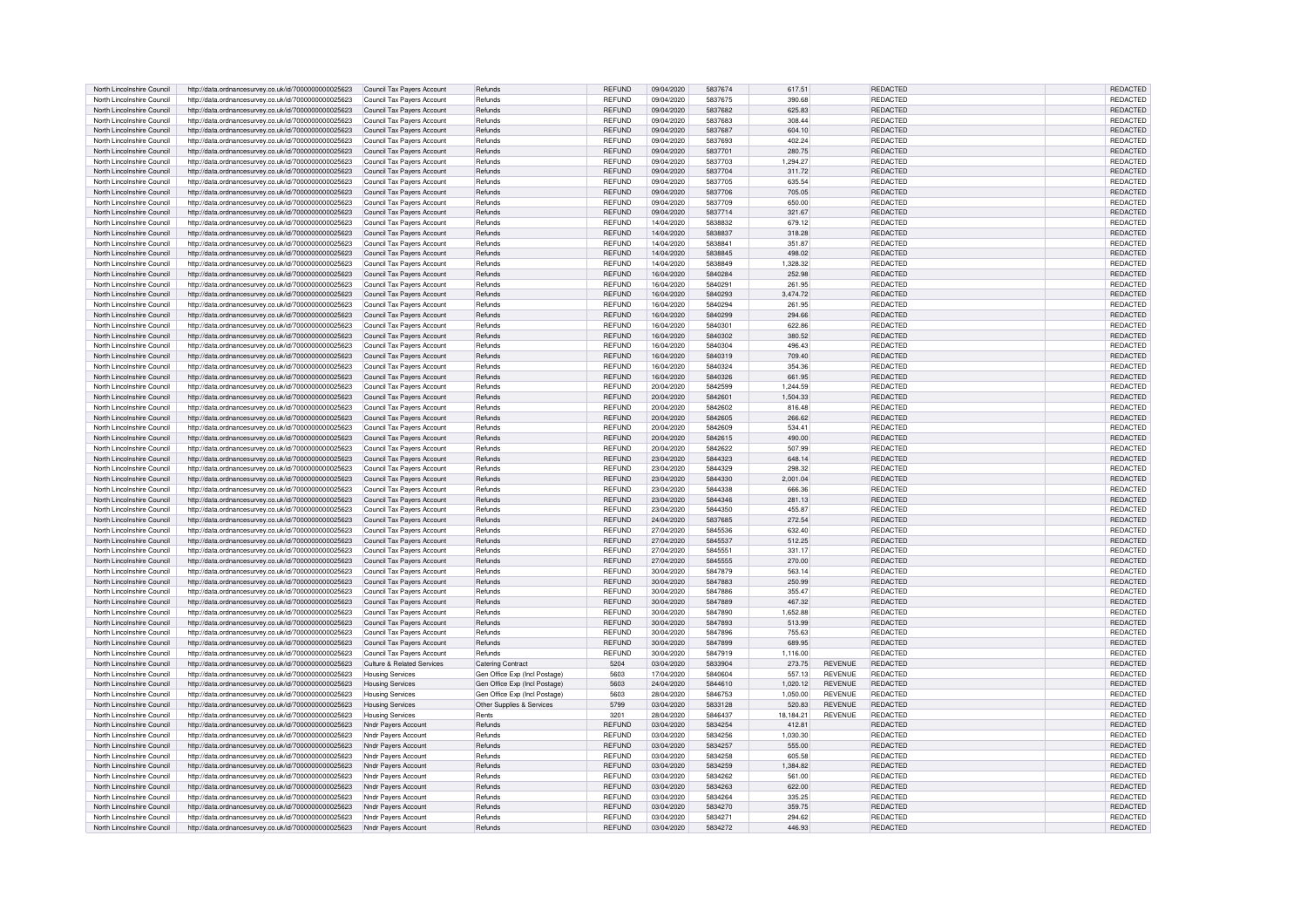| North Lincolnshire Council                               | http://data.ordnancesurvey.co.uk/id/7000000000025623                                                         | Council Tax Payers Account                               | Refunds                       | <b>REFUND</b>                  | 09/04/2020               | 5837674            | 617.51           |                | <b>REDACTED</b>      | <b>REDACTED</b>                    |
|----------------------------------------------------------|--------------------------------------------------------------------------------------------------------------|----------------------------------------------------------|-------------------------------|--------------------------------|--------------------------|--------------------|------------------|----------------|----------------------|------------------------------------|
| North Lincolnshire Council                               | http://data.ordnancesurvey.co.uk/id/7000000000025623                                                         | Council Tax Payers Account                               | Refunds                       | REFUND                         | 09/04/2020               | 5837675            | 390.68           |                | REDACTED             | REDACTED                           |
| North Lincolnshire Council                               | http://data.ordnancesurvey.co.uk/id/7000000000025623                                                         | Council Tax Payers Account                               | Refunds                       | <b>REFUND</b>                  | 09/04/2020               | 5837682            | 625.83           |                | REDACTED             | <b>REDACTED</b>                    |
| North Lincolnshire Council                               | http://data.ordnancesurvey.co.uk/id/7000000000025623                                                         | Council Tax Pavers Account                               | Refunds                       | <b>REFUND</b>                  | 09/04/2020               | 5837683            | 308.44           |                | <b>REDACTED</b>      | REDACTED                           |
|                                                          |                                                                                                              |                                                          |                               |                                |                          |                    |                  |                |                      |                                    |
| North Lincolnshire Council                               | http://data.ordnancesurvey.co.uk/id/7000000000025623                                                         | Council Tax Payers Account                               | Refunds                       | REFUND                         | 09/04/2020               | 5837687            | 604.10           |                | REDACTED             | <b>REDACTED</b>                    |
| North Lincolnshire Council                               | http://data.ordnancesurvey.co.uk/id/7000000000025623                                                         | Council Tax Payers Account                               | Refunds                       | REFUND                         | 09/04/2020               | 5837693            | 402.24           |                | REDACTED             | REDACTED                           |
| North Lincolnshire Council                               | http://data.ordnancesurvey.co.uk/id/7000000000025623                                                         | Council Tax Payers Account                               | Refunds                       | <b>REFUND</b>                  | 09/04/2020               | 5837701            | 280.75           |                | REDACTED             | REDACTED                           |
| North Lincolnshire Council                               | http://data.ordnancesurvey.co.uk/id/7000000000025623                                                         | Council Tax Pavers Account                               | Refunds                       | <b>REFUND</b>                  | 09/04/2020               | 5837703            | 1.294.27         |                | <b>REDACTED</b>      | REDACTED                           |
| North Lincolnshire Council                               | http://data.ordnancesurvey.co.uk/id/7000000000025623                                                         | Council Tax Pavers Account                               | Refunds                       | <b>REFUND</b>                  | 09/04/2020               | 5837704            | 311.72           |                | <b>REDACTED</b>      | <b>REDACTED</b>                    |
| North Lincolnshire Council                               | http://data.ordnancesurvey.co.uk/id/7000000000025623                                                         | Council Tax Pavers Account                               | Refunds                       | <b>REFUND</b>                  | 09/04/2020               | 5837705            | 635.54           |                | <b>REDACTED</b>      | REDACTED                           |
| North Lincolnshire Council                               | http://data.ordnancesurvey.co.uk/id/7000000000025623                                                         | Council Tax Pavers Account                               | Refunds                       | REFUND                         | 09/04/2020               | 5837706            | 705.05           |                | <b>REDACTED</b>      | REDACTED                           |
| North Lincolnshire Council                               | http://data.ordnancesurvey.co.uk/id/7000000000025623                                                         | Council Tax Payers Account                               | Refunds                       | <b>REFUND</b>                  | 09/04/2020               | 5837709            | 650.00           |                | <b>REDACTED</b>      | REDACTED                           |
| North Lincolnshire Council                               | http://data.ordnancesurvey.co.uk/id/7000000000025623                                                         | Council Tax Payers Account                               | Refunds                       | <b>REFUND</b>                  | 09/04/2020               | 5837714            | 321.67           |                | REDACTED             | REDACTED                           |
| North Lincolnshire Council                               | http://data.ordnancesurvey.co.uk/id/7000000000025623                                                         | Council Tax Payers Account                               | Refunds                       | REFUND                         | 14/04/2020               | 5838832            | 679.12           |                | REDACTED             | REDACTED                           |
| North Lincolnshire Council                               | http://data.ordnancesurvey.co.uk/id/7000000000025623                                                         | Council Tax Pavers Account                               | Refunds                       | <b>REFUND</b>                  | 14/04/2020               | 5838837            | 318.28           |                | REDACTED             | <b>REDACTED</b>                    |
| North Lincolnshire Council                               | http://data.ordnancesurvey.co.uk/id/7000000000025623                                                         | Council Tax Pavers Account                               | Refunds                       | <b>REFUND</b>                  | 14/04/2020               | 5838841            | 351.87           |                | <b>REDACTED</b>      | <b>REDACTED</b>                    |
| North Lincolnshire Council                               |                                                                                                              |                                                          | Refunds                       | <b>RFFUND</b>                  | 14/04/2020               | 5838845            | 498.02           |                | <b>REDACTED</b>      |                                    |
|                                                          | http://data.ordnancesurvey.co.uk/id/7000000000025623                                                         | Council Tax Payers Account                               |                               |                                |                          |                    |                  |                |                      | <b>REDACTED</b>                    |
| North Lincolnshire Council                               | http://data.ordnancesurvey.co.uk/id/7000000000025623                                                         | Council Tax Payers Account                               | Refunds                       | <b>REFUND</b>                  | 14/04/2020               | 5838849            | 1.328.32         |                | REDACTED             | <b>REDACTED</b>                    |
| North Lincolnshire Council                               | http://data.ordnancesurvey.co.uk/id/7000000000025623                                                         | Council Tax Payers Account                               | Refunds                       | <b>REFUND</b>                  | 16/04/2020               | 5840284            | 252.98           |                | REDACTED             | <b>REDACTED</b>                    |
| North Lincolnshire Council                               | http://data.ordnancesurvey.co.uk/id/7000000000025623                                                         | Council Tax Pavers Account                               | Refunds                       | <b>REFUND</b>                  | 16/04/2020               | 5840291            | 261.95           |                | REDACTED             | <b>REDACTED</b>                    |
| North Lincolnshire Council                               | http://data.ordnancesurvey.co.uk/id/7000000000025623                                                         | Council Tax Payers Account                               | Refunds                       | REFUND                         | 16/04/2020               | 5840293            | 3.474.72         |                | <b>REDACTED</b>      | REDACTED                           |
| North Lincolnshire Council                               | http://data.ordnancesurvey.co.uk/id/7000000000025623                                                         | Council Tax Payers Account                               | Refunds                       | <b>REFUND</b>                  | 16/04/2020               | 5840294            | 261.95           |                | REDACTED             | <b>REDACTED</b>                    |
| North Lincolnshire Council                               | http://data.ordnancesurvey.co.uk/id/7000000000025623                                                         | Council Tax Payers Account                               | Refunds                       | REFUND                         | 16/04/2020               | 5840299            | 294.66           |                | REDACTED             | <b>REDACTED</b>                    |
| North Lincolnshire Council                               | http://data.ordnancesurvey.co.uk/id/7000000000025623                                                         | Council Tax Payers Account                               | Refunds                       | REFUND                         | 16/04/2020               | 5840301            | 622.86           |                | REDACTED             | <b>REDACTED</b>                    |
| North Lincolnshire Council                               | http://data.ordnancesurvey.co.uk/id/7000000000025623                                                         | Council Tax Payers Account                               | Refunds                       | REFUND                         | 16/04/2020               | 5840302            | 380.52           |                | REDACTED             | <b>REDACTED</b>                    |
| North Lincolnshire Council                               | http://data.ordnancesurvey.co.uk/id/7000000000025623                                                         | Council Tax Payers Account                               | Refunds                       | REFUND                         | 16/04/2020               | 5840304            | 496.43           |                | REDACTED             | REDACTED                           |
| North Lincolnshire Council                               | http://data.ordnancesurvey.co.uk/id/7000000000025623                                                         | Council Tax Payers Account                               | Refunds                       | <b>REFUND</b>                  | 16/04/2020               | 5840319            | 709.40           |                | REDACTED             | <b>REDACTED</b>                    |
| North Lincolnshire Council                               | http://data.ordnancesurvey.co.uk/id/7000000000025623                                                         | Council Tax Payers Account                               | Refunds                       | <b>REFUND</b>                  | 16/04/2020               | 5840324            | 354.36           |                | REDACTED             | <b>REDACTED</b>                    |
| North Lincolnshire Council                               | http://data.ordnancesurvey.co.uk/id/7000000000025623                                                         | Council Tax Payers Account                               | Refunds                       | <b>REFUND</b>                  | 16/04/2020               | 5840326            | 661.95           |                | <b>REDACTED</b>      | <b>REDACTED</b>                    |
| North Lincolnshire Council                               | http://data.ordnancesurvey.co.uk/id/7000000000025623                                                         | Council Tax Pavers Account                               | Refunds                       | <b>REFUND</b>                  | 20/04/2020               | 5842599            | 1,244.59         |                | REDACTED             | <b>REDACTED</b>                    |
|                                                          |                                                                                                              |                                                          |                               |                                |                          |                    |                  |                |                      |                                    |
| North Lincolnshire Council                               | http://data.ordnancesurvey.co.uk/id/7000000000025623                                                         | Council Tax Pavers Account                               | <b>Refunds</b>                | <b>REFUND</b>                  | 20/04/2020               | 5842601            | 1,504.33         |                | <b>REDACTED</b>      | <b>REDACTED</b>                    |
| North Lincolnshire Council                               | http://data.ordnancesurvey.co.uk/id/7000000000025623                                                         | Council Tax Pavers Account                               | Refunds                       | <b>REFUND</b>                  | 20/04/2020               | 5842602            | 816.48           |                | <b>REDACTED</b>      | <b>REDACTED</b>                    |
| North Lincolnshire Council                               | http://data.ordnancesurvey.co.uk/id/7000000000025623                                                         | Council Tax Payers Account                               | Refunds                       | <b>REFUND</b>                  | 20/04/2020               | 5842605            | 266.62           |                | <b>REDACTED</b>      | <b>REDACTED</b>                    |
| North Lincolnshire Council                               | http://data.ordnancesurvey.co.uk/id/7000000000025623                                                         | Council Tax Payers Account                               | Refunds                       | REFUND                         | 20/04/2020               | 5842609            | 534.41           |                | REDACTED             | REDACTED                           |
| North Lincolnshire Council                               | http://data.ordnancesurvey.co.uk/id/7000000000025623                                                         | Council Tax Payers Account                               | Refunds                       | REFUND                         | 20/04/2020               | 5842615            | 490.00           |                | REDACTED             | REDACTED                           |
| North Lincolnshire Council                               | http://data.ordnancesurvey.co.uk/id/7000000000025623                                                         | Council Tax Pavers Account                               | Refunds                       | REFUND                         | 20/04/2020               | 5842622            | 507.99           |                | REDACTED             | REDACTED                           |
| North Lincolnshire Council                               | http://data.ordnancesurvey.co.uk/id/7000000000025623                                                         | Council Tax Pavers Account                               | Refunds                       | <b>REFUND</b>                  | 23/04/2020               | 5844323            | 648.14           |                | <b>REDACTED</b>      | <b>REDACTED</b>                    |
| North Lincolnshire Council                               | http://data.ordnancesurvey.co.uk/id/7000000000025623                                                         | Council Tax Payers Account                               | Refunds                       | REFUND                         | 23/04/2020               | 5844329            | 298.32           |                | REDACTED             | REDACTED                           |
| North Lincolnshire Council                               | http://data.ordnancesurvey.co.uk/id/7000000000025623                                                         | Council Tax Payers Account                               | Refunds                       | <b>REFUND</b>                  | 23/04/2020               | 5844330            | 2.001.04         |                | REDACTED             | <b>REDACTED</b>                    |
| North Lincolnshire Council                               | http://data.ordnancesurvey.co.uk/id/7000000000025623                                                         | Council Tax Payers Account                               | Refunds                       | REFUND                         | 23/04/2020               | 5844338            | 666.36           |                | REDACTED             | <b>REDACTED</b>                    |
| North Lincolnshire Council                               | http://data.ordnancesurvey.co.uk/id/7000000000025623                                                         | Council Tax Pavers Account                               | Refunds                       | <b>REFUND</b>                  | 23/04/2020               | 5844346            | 281.13           |                | REDACTED             | <b>REDACTED</b>                    |
| North Lincolnshire Council                               | http://data.ordnancesurvey.co.uk/id/7000000000025623                                                         | Council Tax Pavers Account                               | Refunds                       | REFUND                         | 23/04/2020               | 5844350            | 455.87           |                | REDACTED             | REDACTED                           |
| North Lincolnshire Council                               |                                                                                                              |                                                          | Refunds                       | <b>REFUND</b>                  | 24/04/2020               | 5837685            | 272.54           |                | <b>REDACTED</b>      | <b>REDACTED</b>                    |
| North Lincolnshire Council                               | http://data.ordnancesurvey.co.uk/id/7000000000025623                                                         | Council Tax Payers Account                               | Refunds                       | <b>REFUND</b>                  | 27/04/2020               | 5845536            | 632.40           |                | <b>REDACTED</b>      |                                    |
|                                                          | http://data.ordnancesurvey.co.uk/id/7000000000025623                                                         | Council Tax Pavers Account                               |                               |                                |                          |                    |                  |                |                      | <b>REDACTED</b>                    |
| North Lincolnshire Council                               | http://data.ordnancesurvey.co.uk/id/7000000000025623                                                         | Council Tax Payers Account                               | Refunds                       | <b>REFUND</b>                  | 27/04/2020               | 5845537            | 512.25           |                | <b>REDACTED</b>      | <b>REDACTED</b>                    |
| North Lincolnshire Council                               | http://data.ordnancesurvey.co.uk/id/7000000000025623                                                         | Council Tax Payers Account                               | Refunds                       | REFUND                         | 27/04/2020               | 5845551            | 331.17           |                | REDACTED             | REDACTED                           |
| North Lincolnshire Council                               | http://data.ordnancesurvey.co.uk/id/7000000000025623                                                         | Council Tax Payers Account                               | Refunds                       | REFUND                         | 27/04/2020               | 5845555            | 270.00           |                | REDACTED             | <b>REDACTED</b>                    |
| North Lincolnshire Council                               | http://data.ordnancesurvey.co.uk/id/7000000000025623                                                         | Council Tax Pavers Account                               | Refunds                       | REFUND                         | 30/04/2020               | 5847879            | 563.14           |                | REDACTED             | REDACTED                           |
| North Lincolnshire Council                               | http://data.ordnancesurvey.co.uk/id/7000000000025623                                                         | Council Tax Pavers Account                               | Refunds                       | REFUND                         | 30/04/2020               | 5847883            | 250.99           |                | REDACTED             | REDACTED                           |
| North Lincolnshire Council                               | http://data.ordnancesurvey.co.uk/id/7000000000025623                                                         | Council Tax Payers Account                               | Refunds                       | <b>REFUND</b>                  | 30/04/2020               | 5847886            | 355.47           |                | <b>REDACTED</b>      | <b>REDACTED</b>                    |
| North Lincolnshire Council                               | http://data.ordnancesurvey.co.uk/id/7000000000025623                                                         | Council Tax Pavers Account                               | Refunds                       | REFUND                         | 30/04/2020               | 5847889            | 467.32           |                | REDACTED             | <b>REDACTED</b>                    |
| North Lincolnshire Council                               | http://data.ordnancesurvey.co.uk/id/7000000000025623                                                         | Council Tax Pavers Account                               | Refunds                       | <b>REFUND</b>                  | 30/04/2020               | 5847890            | 1,652.88         |                | REDACTED             | REDACTED                           |
| North Lincolnshire Council                               | http://data.ordnancesurvey.co.uk/id/7000000000025623                                                         | Council Tax Pavers Account                               | <b>Refunds</b>                | <b>REFUND</b>                  | 30/04/2020               | 5847893            | 513.99           |                | <b>REDACTED</b>      | <b>REDACTED</b>                    |
| North Lincolnshire Council                               | http://data.ordnancesurvey.co.uk/id/7000000000025623                                                         | Council Tax Pavers Account                               | Refunds                       | <b>REFUND</b>                  | 30/04/2020               | 5847896            | 755.63           |                | <b>REDACTED</b>      | <b>REDACTED</b>                    |
| North Lincolnshire Council                               | http://data.ordnancesurvey.co.uk/id/7000000000025623                                                         | Council Tax Payers Account                               | Refunds                       | <b>REFUND</b>                  | 30/04/2020               | 5847899            | 689.95           |                | REDACTED             | REDACTED                           |
| North Lincolnshire Council                               |                                                                                                              |                                                          | Refunds                       | <b>REFUND</b>                  | 30/04/2020               | 5847919            |                  |                | REDACTED             | REDACTED                           |
| North Lincolnshire Council                               | http://data.ordnancesurvey.co.uk/id/7000000000025623                                                         | Council Tax Payers Account<br>Culture & Related Services |                               | 5204                           | 03/04/2020               | 5833904            | 1,116.00         | <b>REVENUE</b> | REDACTED             | REDACTED                           |
|                                                          | http://data.ordnancesurvey.co.uk/id/7000000000025623                                                         |                                                          | <b>Catering Contract</b>      |                                |                          |                    | 273.75           |                |                      |                                    |
| North Lincolnshire Council                               | http://data.ordnancesurvey.co.uk/id/7000000000025623                                                         | <b>Housing Services</b>                                  | Gen Office Exp (Incl Postage) | 5603                           | 17/04/2020               | 5840604            | 557.13           | <b>REVENUE</b> | <b>REDACTED</b>      | REDACTED                           |
| North Lincolnshire Council                               | http://data.ordnancesurvey.co.uk/id/7000000000025623                                                         | <b>Housing Services</b>                                  | Gen Office Exp (Incl Postage) | 5603                           | 24/04/2020               | 5844610            | 1,020.12         | <b>REVENUE</b> | REDACTED             | REDACTED                           |
| North Lincolnshire Council                               | http://data.ordnancesurvey.co.uk/id/7000000000025623                                                         | <b>Housing Services</b>                                  | Gen Office Exp (Incl Postage) | 5603                           | 28/04/2020               | 5846753            | 1.050.00         | <b>REVENUE</b> | REDACTED             | REDACTED                           |
| North Lincolnshire Council                               | http://data.ordnancesurvey.co.uk/id/7000000000025623                                                         | <b>Housing Services</b>                                  | Other Supplies & Services     | 5799                           | 03/04/2020               | 5833128            | 520.83           | <b>REVENUE</b> | <b>REDACTED</b>      | <b>REDACTED</b>                    |
| North Lincolnshire Council                               | http://data.ordnancesurvey.co.uk/id/7000000000025623                                                         | <b>Housing Services</b>                                  | Rents                         | 3201                           | 28/04/2020               | 5846437            | 18,184.21        | <b>REVENUE</b> | <b>REDACTED</b>      | <b>REDACTED</b>                    |
| North Lincolnshire Council                               | http://data.ordnancesurvey.co.uk/id/7000000000025623                                                         | Nndr Pavers Account                                      | Refunds                       | <b>REFUND</b>                  | 03/04/2020               | 5834254            | 412.81           |                | REDACTED             | <b>REDACTED</b>                    |
| North Lincolnshire Council                               | http://data.ordnancesurvey.co.uk/id/7000000000025623                                                         | Nndr Pavers Account                                      | Refunds                       | REFUND                         | 03/04/2020               | 5834256            | 1,030.30         |                | REDACTED             | <b>REDACTED</b>                    |
| North Lincolnshire Council                               | http://data.ordnancesurvey.co.uk/id/7000000000025623                                                         | Nndr Payers Account                                      | Refunds                       | <b>REFUND</b>                  | 03/04/2020               | 5834257            | 555.00           |                | REDACTED             | <b>REDACTED</b>                    |
| North Lincolnshire Council                               | http://data.ordnancesurvey.co.uk/id/7000000000025623                                                         | Nndr Payers Account                                      | Refunds                       | <b>RFFUND</b>                  | 03/04/2020               | 5834258            | 605.58           |                | <b>REDACTED</b>      | <b>REDACTED</b>                    |
| North Lincolnshire Council                               | http://data.ordnancesurvey.co.uk/id/7000000000025623                                                         | Nndr Payers Account                                      | Refunds                       | <b>REFUND</b>                  | 03/04/2020               | 5834259            | 1.384.82         |                | <b>REDACTED</b>      | <b>REDACTED</b>                    |
| North Lincolnshire Council                               | http://data.ordnancesurvey.co.uk/id/7000000000025623                                                         | Nndr Payers Account                                      | Refunds                       | <b>REFUND</b>                  | 03/04/2020               | 5834262            | 561.00           |                | REDACTED             | <b>REDACTED</b>                    |
| North Lincolnshire Council                               | http://data.ordnancesurvey.co.uk/id/7000000000025623                                                         | Nndr Payers Account                                      | Refunds                       | <b>REFUND</b>                  | 03/04/2020               | 5834263            | 622.00           |                | REDACTED             | <b>REDACTED</b>                    |
| North Lincolnshire Council                               | http://data.ordnancesurvev.co.uk/id/7000000000025623                                                         | Nndr Pavers Account                                      | Refunds                       | REFUND                         | 03/04/2020               | 5834264            | 335.25           |                | REDACTED             | REDACTED                           |
| North Lincolnshire Council                               |                                                                                                              |                                                          |                               |                                |                          | 5834270            | 359.75           |                |                      |                                    |
|                                                          |                                                                                                              |                                                          |                               |                                |                          |                    |                  |                |                      |                                    |
|                                                          | http://data.ordnancesurvey.co.uk/id/7000000000025623                                                         | Nndr Payers Account                                      | <b>Refunds</b>                | <b>REFUND</b>                  | 03/04/2020               |                    |                  |                | <b>REDACTED</b>      | <b>REDACTED</b>                    |
| North Lincolnshire Council<br>North Lincolnshire Council | http://data.ordnancesurvey.co.uk/id/7000000000025623<br>http://data.ordnancesurvey.co.uk/id/7000000000025623 | Nndr Pavers Account<br>Nndr Payers Account               | Refunds<br>Refunds            | <b>REFUND</b><br><b>REFUND</b> | 03/04/2020<br>03/04/2020 | 5834271<br>5834272 | 294.62<br>446.93 |                | REDACTED<br>REDACTED | <b>REDACTED</b><br><b>REDACTED</b> |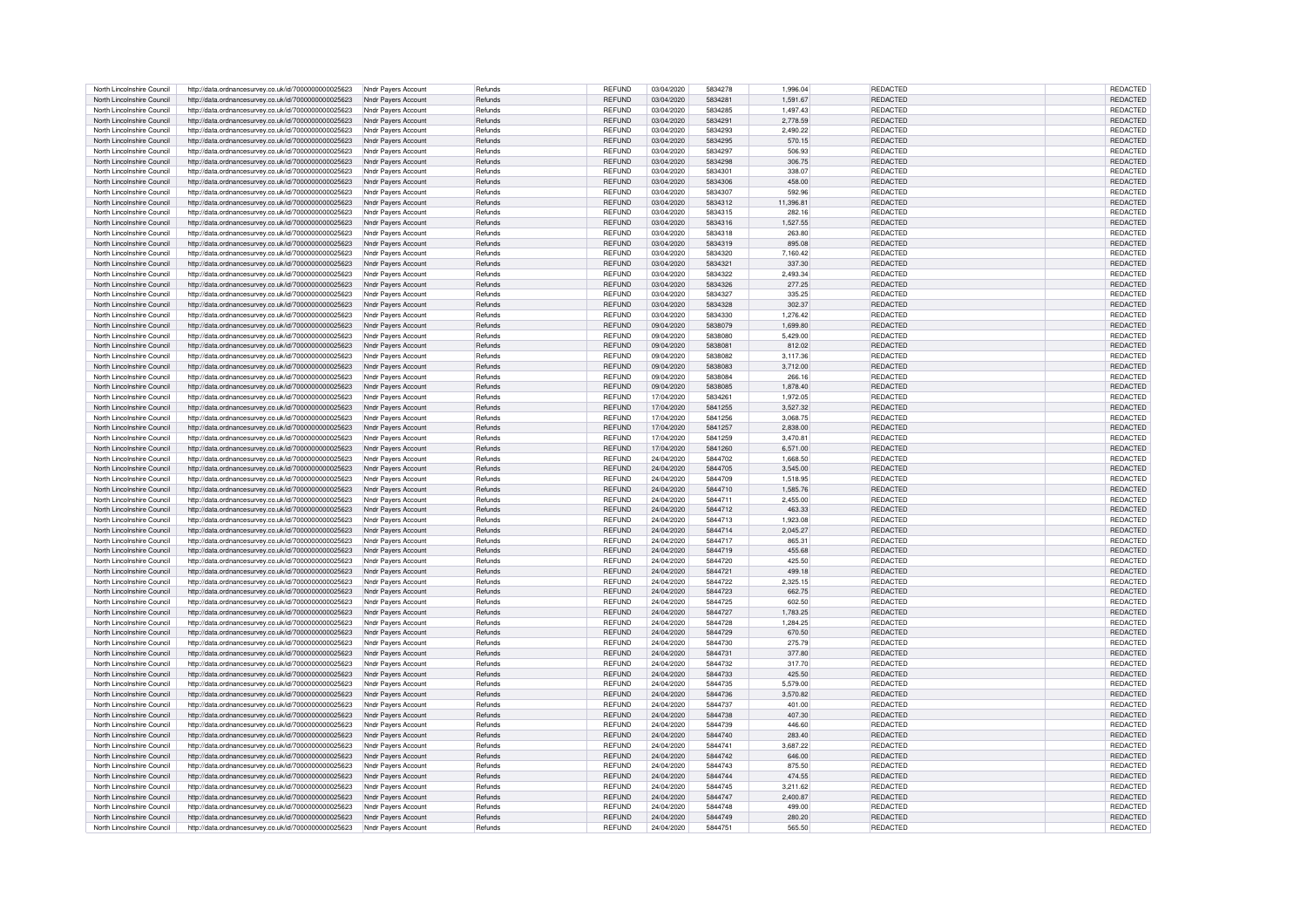| North Lincolnshire Council | http://data.ordnancesurvey.co.uk/id/7000000000025623 | Nndr Payers Account | Refunds | REFUND                  | 03/04/2020 | 5834278 | 1,996.04  | <b>REDACTED</b> | REDACTED        |
|----------------------------|------------------------------------------------------|---------------------|---------|-------------------------|------------|---------|-----------|-----------------|-----------------|
| North Lincolnshire Council | http://data.ordnancesurvev.co.uk/id/7000000000025623 | Nndr Pavers Account | Refunds | REFUND                  | 03/04/2020 | 5834281 | 1,591.67  | <b>REDACTED</b> | <b>REDACTED</b> |
| North Lincolnshire Council | http://data.ordnancesurvey.co.uk/id/7000000000025623 | Nndr Payers Account | Refunds | <b>REFUND</b>           | 03/04/2020 | 5834285 | 1,497.43  | <b>REDACTED</b> | <b>REDACTED</b> |
| North Lincolnshire Council | http://data.ordnancesurvey.co.uk/id/7000000000025623 | Nndr Payers Account | Refunds | <b>REFUND</b>           | 03/04/2020 | 5834291 | 2,778.59  | <b>REDACTED</b> | <b>REDACTED</b> |
| North Lincolnshire Council | http://data.ordnancesurvey.co.uk/id/7000000000025623 | Nndr Pavers Account | Refunds | REFUND                  | 03/04/2020 | 5834293 | 2,490.22  | <b>REDACTED</b> | REDACTED        |
| North Lincolnshire Council | http://data.ordnancesurvey.co.uk/id/7000000000025623 | Nndr Pavers Account | Refunds | REFUND                  | 03/04/2020 | 5834295 | 570.15    | <b>REDACTED</b> | <b>REDACTED</b> |
| North Lincolnshire Council |                                                      |                     |         | <b>REFUND</b>           | 03/04/2020 | 5834297 | 506.93    | <b>REDACTED</b> | <b>REDACTED</b> |
|                            | http://data.ordnancesurvey.co.uk/id/7000000000025623 | Nndr Pavers Account | Refunds |                         |            |         |           |                 |                 |
| North Lincolnshire Council | http://data.ordnancesurvey.co.uk/id/7000000000025623 | Nndr Payers Account | Refunds | REFUND                  | 03/04/2020 | 5834298 | 306.75    | <b>REDACTED</b> | REDACTED        |
| North Lincolnshire Council | http://data.ordnancesurvey.co.uk/id/7000000000025623 | Nndr Payers Account | Refunds | REFUND                  | 03/04/2020 | 5834301 | 338.07    | REDACTED        | REDACTED        |
| North Lincolnshire Council | http://data.ordnancesurvey.co.uk/id/7000000000025623 | Nndr Payers Account | Refunds | REFUND                  | 03/04/2020 | 5834306 | 458.00    | REDACTED        | REDACTED        |
| North Lincolnshire Council | http://data.ordnancesurvey.co.uk/id/7000000000025623 | Nndr Payers Account | Refunds | REFUND                  | 03/04/2020 | 5834307 | 592.96    | <b>REDACTED</b> | REDACTED        |
| North Lincolnshire Council | http://data.ordnancesurvey.co.uk/id/7000000000025623 | Nndr Payers Account | Refunds | <b>REFUND</b>           | 03/04/2020 | 5834312 | 11,396.81 | <b>REDACTED</b> | REDACTED        |
| North Lincolnshire Council | http://data.ordnancesurvey.co.uk/id/7000000000025623 | Nndr Pavers Account | Refunds | REFUND                  | 03/04/2020 | 5834315 | 282.16    | REDACTED        | REDACTED        |
| North Lincolnshire Council | http://data.ordnancesurvey.co.uk/id/7000000000025623 | Nndr Pavers Account | Refunds | REFUND                  | 03/04/2020 | 5834316 | 1,527.55  | <b>REDACTED</b> | <b>REDACTED</b> |
| North Lincolnshire Council | http://data.ordnancesurvey.co.uk/id/7000000000025623 | Nndr Payers Account | Refunds | <b>RFFUND</b>           | 03/04/2020 | 5834318 | 263.80    | <b>REDACTED</b> | <b>REDACTED</b> |
| North Lincolnshire Council | http://data.ordnancesurvey.co.uk/id/7000000000025623 | Nndr Payers Account | Refunds | <b>REFUND</b>           | 03/04/2020 | 5834319 | 895.08    | <b>REDACTED</b> | <b>REDACTED</b> |
| North Lincolnshire Council | http://data.ordnancesurvey.co.uk/id/7000000000025623 | Nndr Payers Account | Refunds | REFUND                  | 03/04/2020 | 5834320 | 7,160.42  | <b>REDACTED</b> | <b>REDACTED</b> |
| North Lincolnshire Council | http://data.ordnancesurvey.co.uk/id/7000000000025623 | Nndr Payers Account | Refunds | <b>REFUND</b>           | 03/04/2020 | 5834321 | 337.30    | <b>REDACTED</b> | <b>REDACTED</b> |
| North Lincolnshire Council | http://data.ordnancesurvey.co.uk/id/7000000000025623 | Nndr Payers Account | Refunds | <b>REFUND</b>           | 03/04/2020 | 5834322 | 2.493.34  | REDACTED        | REDACTED        |
| North Lincolnshire Council |                                                      |                     | Refunds | <b>REFUND</b>           | 03/04/2020 | 5834326 | 277.25    | <b>REDACTED</b> | <b>REDACTED</b> |
|                            | http://data.ordnancesurvey.co.uk/id/7000000000025623 | Nndr Payers Account |         |                         |            |         |           |                 |                 |
| North Lincolnshire Council | http://data.ordnancesurvey.co.uk/id/7000000000025623 | Nndr Payers Account | Refunds | REFUND                  | 03/04/2020 | 5834327 | 335.25    | <b>REDACTED</b> | REDACTED        |
| North Lincolnshire Council | http://data.ordnancesurvey.co.uk/id/7000000000025623 | Nndr Payers Account | Refunds | REFUND                  | 03/04/2020 | 5834328 | 302.37    | <b>REDACTED</b> | REDACTED        |
| North Lincolnshire Council | http://data.ordnancesurvey.co.uk/id/7000000000025623 | Nndr Payers Account | Refunds | REFUND                  | 03/04/2020 | 5834330 | 1,276.42  | <b>REDACTED</b> | <b>REDACTED</b> |
| North Lincolnshire Council | http://data.ordnancesurvey.co.uk/id/7000000000025623 | Nndr Payers Account | Refunds | <b>REFUND</b>           | 09/04/2020 | 5838079 | 1,699.80  | <b>REDACTED</b> | <b>REDACTED</b> |
| North Lincolnshire Council | http://data.ordnancesurvey.co.uk/id/7000000000025623 | Nndr Payers Account | Refunds | REFUND                  | 09/04/2020 | 5838080 | 5.429.00  | <b>REDACTED</b> | <b>REDACTED</b> |
| North Lincolnshire Council | http://data.ordnancesurvey.co.uk/id/7000000000025623 | Nndr Payers Account | Refunds | REFUND                  | 09/04/2020 | 5838081 | 812.02    | <b>REDACTED</b> | <b>REDACTED</b> |
| North Lincolnshire Council | http://data.ordnancesurvey.co.uk/id/7000000000025623 | Nndr Payers Account | Refunds | REFUND                  | 09/04/2020 | 5838082 | 3,117.36  | <b>REDACTED</b> | <b>REDACTED</b> |
| North Lincolnshire Council | http://data.ordnancesurvey.co.uk/id/7000000000025623 | Nndr Pavers Account | Refunds | REFUND                  | 09/04/2020 | 5838083 | 3,712.00  | <b>REDACTED</b> | <b>REDACTED</b> |
| North Lincolnshire Council | http://data.ordnancesurvey.co.uk/id/7000000000025623 | Nndr Pavers Account | Refunds | REFUND                  | 09/04/2020 | 5838084 | 266.16    | <b>REDACTED</b> | <b>REDACTED</b> |
| North Lincolnshire Council | http://data.ordnancesurvey.co.uk/id/7000000000025623 | Nndr Payers Account | Refunds | REFUND                  | 09/04/2020 | 5838085 | 1,878.40  | <b>REDACTED</b> | <b>REDACTED</b> |
| North Lincolnshire Council | http://data.ordnancesurvey.co.uk/id/7000000000025623 | Nndr Pavers Account | Refunds | REFUND                  | 17/04/2020 | 5834261 | 1.972.05  | <b>REDACTED</b> | REDACTED        |
| North Lincolnshire Council | http://data.ordnancesurvey.co.uk/id/7000000000025623 | Nndr Payers Account | Refunds | REFUND                  | 17/04/2020 | 5841255 | 3,527.32  | REDACTED        | REDACTED        |
| North Lincolnshire Council |                                                      |                     | Refunds |                         | 17/04/2020 | 5841256 | 3.068.75  | REDACTED        | REDACTED        |
| North Lincolnshire Council | http://data.ordnancesurvey.co.uk/id/7000000000025623 | Nndr Payers Account | Refunds | <b>REFUND</b><br>REFUND | 17/04/2020 | 5841257 | 2.838.00  | REDACTED        | <b>REDACTED</b> |
|                            | http://data.ordnancesurvey.co.uk/id/7000000000025623 | Nndr Payers Account |         |                         |            |         |           |                 |                 |
| North Lincolnshire Council | http://data.ordnancesurvey.co.uk/id/7000000000025623 | Nndr Payers Account | Refunds | REFUND                  | 17/04/2020 | 5841259 | 3,470.81  | <b>REDACTED</b> | <b>REDACTED</b> |
| North Lincolnshire Council | http://data.ordnancesurvey.co.uk/id/7000000000025623 | Nndr Payers Account | Refunds | REFUND                  | 17/04/2020 | 5841260 | 6.571.00  | REDACTED        | <b>REDACTED</b> |
| North Lincolnshire Council | http://data.ordnancesurvey.co.uk/id/7000000000025623 | Nndr Payers Account | Refunds | REFUND                  | 24/04/2020 | 5844702 | 1,668.50  | REDACTED        | REDACTED        |
| North Lincolnshire Council | http://data.ordnancesurvey.co.uk/id/7000000000025623 | Nndr Payers Account | Refunds | REFUND                  | 24/04/2020 | 5844705 | 3,545.00  | <b>REDACTED</b> | <b>REDACTED</b> |
| North Lincolnshire Council | http://data.ordnancesurvey.co.uk/id/7000000000025623 | Nndr Payers Account | Refunds | REFUND                  | 24/04/2020 | 5844709 | 1,518.95  | <b>REDACTED</b> | <b>REDACTED</b> |
| North Lincolnshire Council | http://data.ordnancesurvey.co.uk/id/7000000000025623 | Nndr Pavers Account | Refunds | REFUND                  | 24/04/2020 | 5844710 | 1,585.76  | <b>REDACTED</b> | <b>REDACTED</b> |
| North Lincolnshire Council | http://data.ordnancesurvey.co.uk/id/7000000000025623 | Nndr Pavers Account | Refunds | <b>REFUND</b>           | 24/04/2020 | 5844711 | 2.455.00  | REDACTED        | <b>REDACTED</b> |
| North Lincolnshire Council | http://data.ordnancesurvey.co.uk/id/7000000000025623 | Nndr Pavers Account | Refunds | <b>REFUND</b>           | 24/04/2020 | 5844712 | 463.33    | <b>REDACTED</b> | <b>REDACTED</b> |
| North Lincolnshire Council | http://data.ordnancesurvey.co.uk/id/7000000000025623 | Nndr Pavers Account | Refunds | <b>RFFUND</b>           | 24/04/2020 | 5844713 | 1.923.08  | <b>REDACTED</b> | <b>REDACTED</b> |
| North Lincolnshire Council | http://data.ordnancesurvey.co.uk/id/7000000000025623 | Nndr Payers Account | Refunds | REFUND                  | 24/04/2020 | 5844714 | 2,045.27  | REDACTED        | <b>REDACTED</b> |
| North Lincolnshire Council | http://data.ordnancesurvey.co.uk/id/7000000000025623 | Nndr Payers Account | Refunds | REFUND                  | 24/04/2020 | 5844717 | 865.31    | REDACTED        | REDACTED        |
| North Lincolnshire Council | http://data.ordnancesurvey.co.uk/id/7000000000025623 | Nndr Pavers Account | Refunds | REFUND                  | 24/04/2020 | 5844719 | 455.68    | <b>REDACTED</b> | REDACTED        |
| North Lincolnshire Council | http://data.ordnancesurvey.co.uk/id/7000000000025623 | Nndr Pavers Account | Refunds | REFUND                  | 24/04/2020 | 5844720 | 425.50    | <b>REDACTED</b> | REDACTED        |
|                            |                                                      |                     |         |                         |            |         |           |                 |                 |
| North Lincolnshire Council | http://data.ordnancesurvey.co.uk/id/7000000000025623 | Nndr Payers Account | Refunds | REFUND                  | 24/04/2020 | 5844721 | 499.18    | REDACTED        | REDACTED        |
| North Lincolnshire Council | http://data.ordnancesurvey.co.uk/id/7000000000025623 | Nndr Pavers Account | Refunds | REFUND                  | 24/04/2020 | 5844722 | 2,325.15  | REDACTED        | REDACTED        |
| North Lincolnshire Council | http://data.ordnancesurvey.co.uk/id/7000000000025623 | Nndr Payers Account | Refunds | REFUND                  | 24/04/2020 | 5844723 | 662.75    | <b>REDACTED</b> | REDACTED        |
| North Lincolnshire Council | http://data.ordnancesurvey.co.uk/id/7000000000025623 | Nndr Pavers Account | Refunds | <b>REFUND</b>           | 24/04/2020 | 5844725 | 602.50    | <b>REDACTED</b> | REDACTED        |
| North Lincolnshire Council | http://data.ordnancesurvey.co.uk/id/7000000000025623 | Nndr Pavers Account | Refunds | REFUND                  | 24/04/2020 | 5844727 | 1,783.25  | REDACTED        | <b>REDACTED</b> |
| North Lincolnshire Council | http://data.ordnancesurvey.co.uk/id/7000000000025623 | Nndr Payers Account | Refunds | REFUND                  | 24/04/2020 | 5844728 | 1.284.25  | REDACTED        | REDACTED        |
| North Lincolnshire Council | http://data.ordnancesurvey.co.uk/id/7000000000025623 | Nndr Payers Account | Refunds | <b>REFUND</b>           | 24/04/2020 | 5844729 | 670.50    | <b>REDACTED</b> | REDACTED        |
| North Lincolnshire Council | http://data.ordnancesurvey.co.uk/id/7000000000025623 | Nndr Pavers Account | Refunds | <b>RFFUND</b>           | 24/04/2020 | 5844730 | 275.79    | <b>REDACTED</b> | REDACTED        |
| North Lincolnshire Council | http://data.ordnancesurvey.co.uk/id/7000000000025623 | Nndr Payers Account | Refunds | REFUND                  | 24/04/2020 | 5844731 | 377.80    | REDACTED        | REDACTED        |
| North Lincolnshire Council | http://data.ordnancesurvey.co.uk/id/7000000000025623 | Nndr Payers Account | Refunds | REFUND                  | 24/04/2020 | 5844732 | 317.70    | REDACTED        | REDACTED        |
| North Lincolnshire Council | http://data.ordnancesurvey.co.uk/id/7000000000025623 | Nndr Pavers Account | Refunds | REFUND                  | 24/04/2020 | 5844733 | 425.50    | <b>REDACTED</b> | REDACTED        |
| North Lincolnshire Council | http://data.ordnancesurvey.co.uk/id/7000000000025623 | Nndr Pavers Account | Refunds | REFUND                  | 24/04/2020 | 5844735 | 5,579.00  | <b>REDACTED</b> | REDACTED        |
| North Lincolnshire Council | http://data.ordnancesurvey.co.uk/id/7000000000025623 | Nndr Payers Account | Refunds | REFUND                  | 24/04/2020 | 5844736 | 3.570.82  | <b>REDACTED</b> | <b>REDACTED</b> |
| North Lincolnshire Council | http://data.ordnancesurvey.co.uk/id/7000000000025623 | Nndr Payers Account | Refunds | REFUND                  | 24/04/2020 | 5844737 | 401.00    | <b>REDACTED</b> | <b>REDACTED</b> |
| North Lincolnshire Council | http://data.ordnancesurvey.co.uk/id/7000000000025623 | Nndr Payers Account | Refunds | REFUND                  | 24/04/2020 | 5844738 | 407.30    | <b>REDACTED</b> | <b>REDACTED</b> |
|                            |                                                      |                     |         |                         |            |         |           |                 |                 |
| North Lincolnshire Council | http://data.ordnancesurvey.co.uk/id/7000000000025623 | Nndr Pavers Account | Refunds | <b>REFUND</b>           | 24/04/2020 | 5844739 | 446.60    | <b>REDACTED</b> | <b>REDACTED</b> |
| North Lincolnshire Council | http://data.ordnancesurvey.co.uk/id/7000000000025623 | Nndr Pavers Account | Refunds | REFUND                  | 24/04/2020 | 5844740 | 283.40    | <b>REDACTED</b> | <b>REDACTED</b> |
| North Lincolnshire Council | http://data.ordnancesurvey.co.uk/id/7000000000025623 | Nndr Payers Account | Refunds | <b>REFUND</b>           | 24/04/2020 | 5844741 | 3.687.22  | REDACTED        | <b>REDACTED</b> |
| North Lincolnshire Council | http://data.ordnancesurvey.co.uk/id/7000000000025623 | Nndr Payers Account | Refunds | <b>REFUND</b>           | 24/04/2020 | 5844742 | 646.00    | <b>REDACTED</b> | <b>REDACTED</b> |
| North Lincolnshire Council | http://data.ordnancesurvey.co.uk/id/7000000000025623 | Nndr Payers Account | Refunds | <b>RFFUND</b>           | 24/04/2020 | 5844743 | 875.50    | <b>REDACTED</b> | REDACTED        |
| North Lincolnshire Council | http://data.ordnancesurvey.co.uk/id/7000000000025623 | Nndr Payers Account | Refunds | REFUND                  | 24/04/2020 | 5844744 | 474.55    | <b>REDACTED</b> | <b>REDACTED</b> |
| North Lincolnshire Council | http://data.ordnancesurvey.co.uk/id/7000000000025623 | Nndr Payers Account | Refunds | REFUND                  | 24/04/2020 | 5844745 | 3,211.62  | <b>REDACTED</b> | REDACTED        |
| North Lincolnshire Council | http://data.ordnancesurvey.co.uk/id/7000000000025623 | Nndr Payers Account | Refunds | REFUND                  | 24/04/2020 | 5844747 | 2,400.87  | <b>REDACTED</b> | REDACTED        |
| North Lincolnshire Council | http://data.ordnancesurvey.co.uk/id/7000000000025623 | Nndr Payers Account | Refunds | <b>RFFUND</b>           | 24/04/2020 | 5844748 | 499.00    | <b>REDACTED</b> | <b>REDACTED</b> |
| North Lincolnshire Council | http://data.ordnancesurvey.co.uk/id/7000000000025623 | Nndr Payers Account | Refunds | REFUND                  | 24/04/2020 | 5844749 | 280.20    | REDACTED        | <b>REDACTED</b> |
| North Lincolnshire Council | http://data.ordnancesurvey.co.uk/id/7000000000025623 | Nndr Payers Account | Refunds | REFUND                  | 24/04/2020 | 5844751 | 565.50    | <b>REDACTED</b> | <b>REDACTED</b> |
|                            |                                                      |                     |         |                         |            |         |           |                 |                 |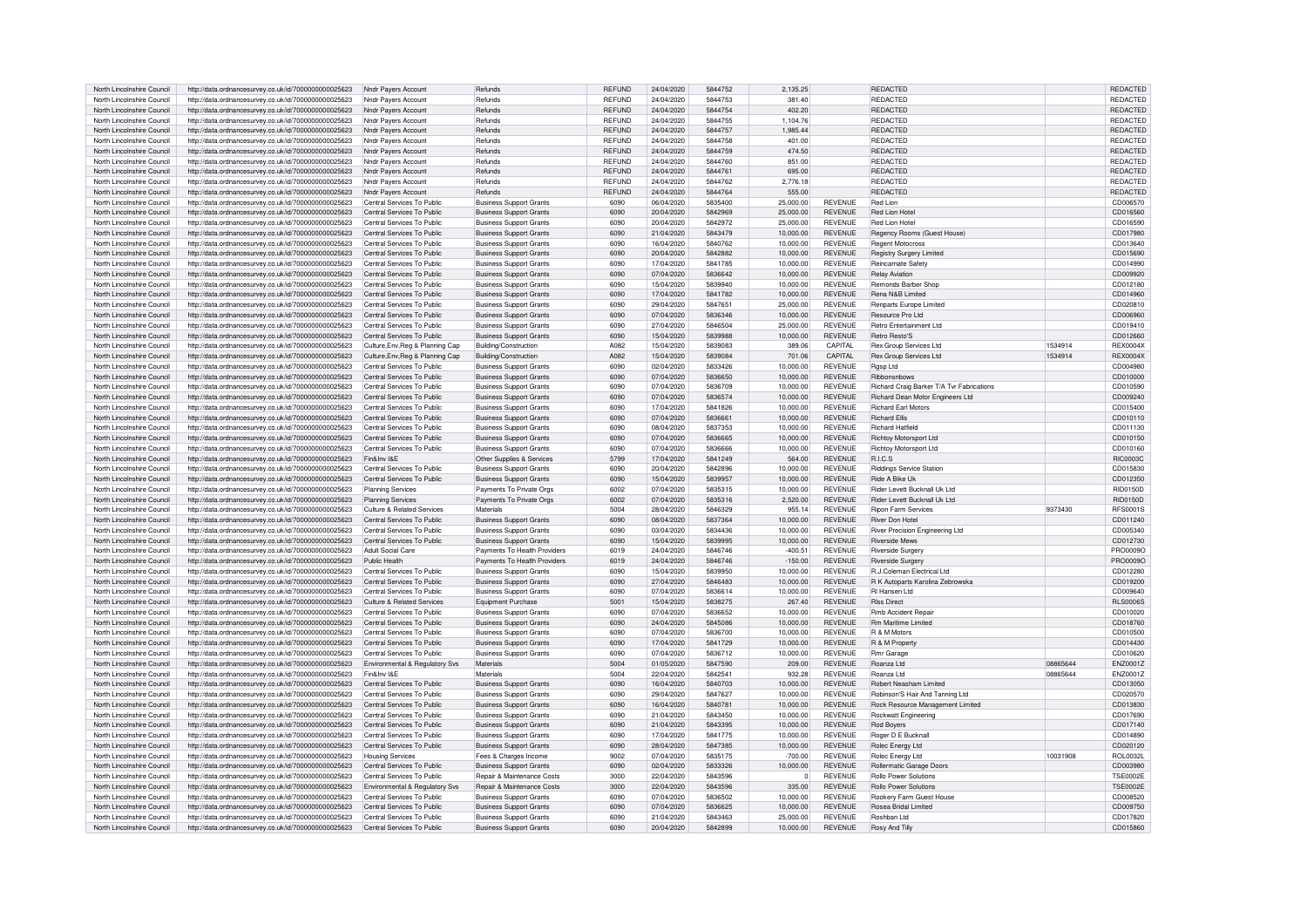| North Lincolnshire Council | http://data.ordnancesurvey.co.uk/id/7000000000025623 | Nndr Payers Account                        | Refunds                               | <b>REFUND</b> | 24/04/2020 | 5844752 | 2,135.25  |                | <b>REDACTED</b>                              |          | REDACTED        |
|----------------------------|------------------------------------------------------|--------------------------------------------|---------------------------------------|---------------|------------|---------|-----------|----------------|----------------------------------------------|----------|-----------------|
| North Lincolnshire Council | http://data.ordnancesurvey.co.uk/id/7000000000025623 | Nndr Pavers Accoun                         | Refunds                               | REFUND        | 24/04/2020 | 5844753 | 381.40    |                | REDACTED                                     |          | REDACTED        |
| North Lincolnshire Council | http://data.ordnancesurvey.co.uk/id/7000000000025623 | Nndr Payers Account                        | Refunds                               | <b>REFUND</b> | 24/04/2020 | 5844754 | 402.20    |                | <b>REDACTED</b>                              |          | REDACTED        |
| North Lincolnshire Council | http://data.ordnancesurvey.co.uk/id/7000000000025623 | Nndr Payers Account                        | Refunds                               | <b>RFFUND</b> | 24/04/2020 | 5844755 | 1.104.76  |                | <b>REDACTED</b>                              |          | <b>REDACTED</b> |
|                            |                                                      |                                            |                                       |               |            |         |           |                |                                              |          |                 |
| North Lincolnshire Council | http://data.ordnancesurvey.co.uk/id/7000000000025623 | Nndr Pavers Account                        | Refunds                               | REFUND        | 24/04/2020 | 5844757 | 1,985.44  |                | <b>REDACTED</b>                              |          | <b>REDACTED</b> |
| North Lincolnshire Council | http://data.ordnancesurvey.co.uk/id/7000000000025623 | Nndr Pavers Account                        | Refunds                               | REFUND        | 24/04/2020 | 5844758 | 401.00    |                | <b>REDACTED</b>                              |          | REDACTED        |
| North Lincolnshire Council | http://data.ordnancesurvey.co.uk/id/7000000000025623 | Nndr Payers Account                        | Refunds                               | REFUND        | 24/04/2020 | 5844759 | 474.50    |                | <b>REDACTED</b>                              |          | REDACTED        |
| North Lincolnshire Council | http://data.ordnancesurvey.co.uk/id/7000000000025623 | Nndr Pavers Account                        | Refunds                               | <b>REFUND</b> | 24/04/2020 | 5844760 | 851.00    |                | <b>REDACTED</b>                              |          | REDACTED        |
| North Lincolnshire Council | http://data.ordnancesurvey.co.uk/id/7000000000025623 | Nndr Payers Account                        | Refunds                               | REFUND        | 24/04/2020 | 5844761 | 695.00    |                | <b>REDACTED</b>                              |          | REDACTED        |
| North Lincolnshire Council | http://data.ordnancesurvey.co.uk/id/7000000000025623 | Nndr Payers Account                        | Refunds                               | <b>REFUND</b> | 24/04/2020 | 5844762 | 2.776.18  |                | <b>REDACTED</b>                              |          | REDACTED        |
| North Lincolnshire Council | http://data.ordnancesurvey.co.uk/id/7000000000025623 | Nndr Payers Account                        | Refunds                               | REFUND        | 24/04/2020 | 5844764 | 555.00    |                | <b>REDACTED</b>                              |          | <b>REDACTED</b> |
| North Lincolnshire Council | http://data.ordnancesurvey.co.uk/id/7000000000025623 | Central Services To Public                 | <b>Business Support Grants</b>        | 6090          | 06/04/2020 | 5835400 | 25,000.00 | <b>REVENUE</b> | Red Lion                                     |          | CD006570        |
| North Lincolnshire Council | http://data.ordnancesurvey.co.uk/id/7000000000025623 | Central Services To Public                 | <b>Business Support Grants</b>        | 6090          | 20/04/2020 | 5842969 | 25,000.00 | <b>REVENUE</b> | Red Lion Hote                                |          | CD016560        |
| North Lincolnshire Council | http://data.ordnancesurvey.co.uk/id/7000000000025623 | Central Services To Public                 | <b>Business Support Grants</b>        | 6090          | 20/04/2020 | 5842972 | 25,000.00 | <b>REVENUE</b> | Red Lion Hote                                |          | CD016590        |
| North Lincolnshire Council | http://data.ordnancesurvey.co.uk/id/7000000000025623 | Central Services To Public                 | <b>Business Support Grants</b>        | 6090          | 21/04/2020 | 5843479 | 10,000.00 | <b>REVENUE</b> | Regency Rooms (Guest House)                  |          | CD017980        |
| North Lincolnshire Council | http://data.ordnancesurvey.co.uk/id/7000000000025623 | Central Services To Public                 | <b>Business Support Grants</b>        | 6090          | 16/04/2020 | 5840762 | 10,000.00 | <b>REVENUE</b> | <b>Regent Motocross</b>                      |          | CD013640        |
|                            |                                                      |                                            |                                       |               |            |         |           |                |                                              |          |                 |
| North Lincolnshire Council | http://data.ordnancesurvey.co.uk/id/7000000000025623 | Central Services To Public                 | <b>Business Support Grants</b>        | 6090          | 20/04/2020 | 5842882 | 10.000.00 | <b>REVENUE</b> | <b>Registry Surgery Limited</b>              |          | CD015690        |
| North Lincolnshire Council | http://data.ordnancesurvey.co.uk/id/7000000000025623 | Central Services To Public                 | <b>Business Support Grants</b>        | 6090          | 17/04/2020 | 5841785 | 10,000.00 | <b>REVENUE</b> | Reincarnate Safety                           |          | CD014990        |
| North Lincolnshire Council | http://data.ordnancesurvey.co.uk/id/7000000000025623 | Central Services To Public                 | <b>Business Support Grants</b>        | 6090          | 07/04/2020 | 5836642 | 10,000.00 | <b>REVENUE</b> | <b>Relay Aviation</b>                        |          | CD009920        |
| North Lincolnshire Council | http://data.ordnancesurvey.co.uk/id/7000000000025623 | Central Services To Public                 | <b>Business Support Grants</b>        | 6090          | 15/04/2020 | 5839940 | 10.000.00 | <b>REVENUE</b> | Remonds Barber Shop                          |          | CD012180        |
| North Lincolnshire Council | http://data.ordnancesurvey.co.uk/id/7000000000025623 | Central Services To Public                 | <b>Business Support Grants</b>        | 6090          | 17/04/2020 | 5841782 | 10,000.00 | <b>REVENUE</b> | Rena N&B Limited                             |          | CD014960        |
| North Lincolnshire Council | http://data.ordnancesurvey.co.uk/id/7000000000025623 | Central Services To Public                 | <b>Business Support Grants</b>        | 6090          | 29/04/2020 | 5847651 | 25,000.00 | <b>REVENUE</b> | Renparts Europe Limited                      |          | CD020810        |
| North Lincolnshire Council | http://data.ordnancesurvey.co.uk/id/7000000000025623 | Central Services To Public                 | <b>Business Support Grants</b>        | 6090          | 07/04/2020 | 5836346 | 10.000.00 | <b>REVENUE</b> | Resource Pro Ltd                             |          | CD006960        |
| North Lincolnshire Council | http://data.ordnancesurvey.co.uk/id/7000000000025623 | Central Services To Public                 | <b>Business Support Grants</b>        | 6090          | 27/04/2020 | 5846504 | 25,000.00 | <b>REVENUE</b> | Retro Entertainment Ltd                      |          | CD019410        |
| North Lincolnshire Council | http://data.ordnancesurvey.co.uk/id/7000000000025623 | Central Services To Public                 | <b>Business Support Grants</b>        | 6090          | 15/04/2020 | 5839988 | 10,000.00 | <b>REVENUE</b> | <b>Retro Resto'S</b>                         |          | CD012660        |
| North Lincolnshire Council | http://data.ordnancesurvey.co.uk/id/7000000000025623 | Culture Env. Reg & Planning Cap            | Building/Construction                 | A082          | 15/04/2020 | 5839083 | 389.06    | CAPITAL        | <b>Rex Group Services Ltd</b>                | 1534914  | <b>REX0004X</b> |
| North Lincolnshire Council | http://data.ordnancesurvey.co.uk/id/7000000000025623 |                                            |                                       | A082          | 15/04/2020 | 5839084 | 701.06    | CAPITAL        | <b>Rex Group Services Ltd</b>                | 1534914  | <b>REX0004X</b> |
|                            |                                                      | Culture, Env, Reg & Planning Cap           | Building/Construction                 |               |            |         |           |                |                                              |          |                 |
| North Lincolnshire Council | http://data.ordnancesurvey.co.uk/id/7000000000025623 | Central Services To Public                 | <b>Business Support Grants</b>        | 6090          | 02/04/2020 | 5833426 | 10.000.00 | <b>REVENUE</b> | Rgsp Ltd                                     |          | CD004980        |
| North Lincolnshire Council | http://data.ordnancesurvey.co.uk/id/7000000000025623 | Central Services To Public                 | <b>Business Support Grants</b>        | 6090          | 07/04/2020 | 5836650 | 10.000.00 | <b>REVENUE</b> | Ribbonsnbows                                 |          | CD010000        |
| North Lincolnshire Council | http://data.ordnancesurvey.co.uk/id/7000000000025623 | Central Services To Public                 | <b>Business Support Grants</b>        | 6090          | 07/04/2020 | 5836709 | 10,000.00 | REVENUE        | Richard Craig Barker T/A Tvr Fabrications    |          | CD010590        |
| North Lincolnshire Council | http://data.ordnancesurvey.co.uk/id/7000000000025623 | Central Services To Public                 | <b>Business Support Grants</b>        | 6090          | 07/04/2020 | 5836574 | 10,000.00 | <b>REVENUE</b> | Richard Dean Motor Engineers Ltd             |          | CD009240        |
| North Lincolnshire Council | http://data.ordnancesurvey.co.uk/id/7000000000025623 | Central Services To Public                 | <b>Business Support Grants</b>        | 6090          | 17/04/2020 | 5841826 | 10,000.00 | <b>REVENUE</b> | <b>Richard Earl Motors</b>                   |          | CD015400        |
| North Lincolnshire Council | http://data.ordnancesurvey.co.uk/id/7000000000025623 | Central Services To Public                 | <b>Business Support Grants</b>        | 6090          | 07/04/2020 | 5836661 | 10.000.00 | <b>REVENUE</b> | <b>Richard Ellis</b>                         |          | CD010110        |
| North Lincolnshire Council | http://data.ordnancesurvey.co.uk/id/7000000000025623 | Central Services To Public                 | <b>Business Support Grants</b>        | 6090          | 08/04/2020 | 5837353 | 10,000.00 | <b>REVENUE</b> | <b>Richard Hatfield</b>                      |          | CD011130        |
| North Lincolnshire Council | http://data.ordnancesurvey.co.uk/id/7000000000025623 | Central Services To Public                 | <b>Business Support Grants</b>        | 6090          | 07/04/2020 | 5836665 | 10.000.00 | <b>REVENUE</b> | Richtoy Motorsport Ltd                       |          | CD010150        |
| North Lincolnshire Council | http://data.ordnancesurvey.co.uk/id/7000000000025623 | Central Services To Public                 | <b>Business Support Grants</b>        | 6090          | 07/04/2020 | 5836666 | 10,000.00 | <b>REVENUE</b> | <b>Richtoy Motorsport Ltd</b>                |          | CD010160        |
| North Lincolnshire Council | http://data.ordnancesurvey.co.uk/id/7000000000025623 | Fin&Inv I&F                                | Other Supplies & Services             | 5799          | 17/04/2020 | 5841249 | 564.00    | <b>REVENUE</b> | <b>BLC.S</b>                                 |          | <b>RIC0003C</b> |
| North Lincolnshire Council | http://data.ordnancesurvey.co.uk/id/7000000000025623 | Central Services To Public                 | <b>Business Support Grants</b>        | 6090          | 20/04/2020 | 5842896 | 10.000.00 | <b>REVENUE</b> | Riddings Service Station                     |          | CD015830        |
| North Lincolnshire Council | http://data.ordnancesurvey.co.uk/id/7000000000025623 | Central Services To Public                 | <b>Business Support Grants</b>        | 6090          | 15/04/2020 | 5839957 | 10.000.00 | <b>REVENUE</b> | Ride A Bike Uk                               |          | CD012350        |
| North Lincolnshire Council | http://data.ordnancesurvey.co.uk/id/7000000000025623 | <b>Planning Services</b>                   | Payments To Private Orgs              | 6002          | 07/04/2020 | 5835315 | 10,000.00 | <b>REVENUE</b> | Rider Levett Rucknall Llk Ltd                |          | BID0150D        |
| North Lincolnshire Council |                                                      |                                            |                                       | 6002          | 07/04/2020 | 5835316 | 2.520.00  | <b>REVENUE</b> |                                              |          | <b>RID0150D</b> |
|                            | http://data.ordnancesurvey.co.uk/id/7000000000025623 | <b>Planning Services</b>                   | Payments To Private Orgs<br>Materials |               |            |         |           |                | Rider Levett Bucknall Uk Ltd                 | 9373430  |                 |
| North Lincolnshire Council | http://data.ordnancesurvey.co.uk/id/7000000000025623 | Culture & Related Services                 |                                       | 5004          | 28/04/2020 | 5846329 | 955.14    | <b>REVENUE</b> | <b>Ripon Farm Services</b>                   |          | <b>RFS0001S</b> |
| North Lincolnshire Council | http://data.ordnancesurvey.co.uk/id/7000000000025623 | Central Services To Public                 | <b>Business Support Grants</b>        | 6090          | 08/04/2020 | 5837364 | 10,000.00 | <b>REVENUE</b> | River Don Hotel                              |          | CD011240        |
| North Lincolnshire Council | http://data.ordnancesurvey.co.uk/id/7000000000025623 | Central Services To Public                 | <b>Business Support Grants</b>        | 6090          | 03/04/2020 | 5834436 | 10,000.00 | <b>REVENUE</b> | River Precision Engineering Ltd              |          | CD005340        |
| North Lincolnshire Council | http://data.ordnancesurvey.co.uk/id/7000000000025623 | Central Services To Public                 | <b>Business Support Grants</b>        | 6090          | 15/04/2020 | 5839995 | 10.000.00 | <b>REVENUE</b> | <b>Riverside Mews</b>                        |          | CD012730        |
| North Lincolnshire Council | http://data.ordnancesurvey.co.uk/id/7000000000025623 | Adult Social Care                          | Payments To Health Providers          | 6019          | 24/04/2020 | 5846746 | $-400.51$ | <b>REVENUE</b> | Riverside Surgery                            |          | PRO0009C        |
| North Lincolnshire Council | http://data.ordnancesurvey.co.uk/id/7000000000025623 | Public Health                              | Payments To Health Providers          | 6019          | 24/04/2020 | 5846746 | $-150.00$ | <b>REVENUE</b> | <b>Riverside Surgery</b>                     |          | PRO0009C        |
| North Lincolnshire Council | http://data.ordnancesurvey.co.uk/id/7000000000025623 | Central Services To Public                 | <b>Business Support Grants</b>        | 6090          | 15/04/2020 | 5839950 | 10.000.00 | <b>REVENUE</b> | R.J.Coleman Electrical Ltd                   |          | CD012280        |
| North Lincolnshire Council | http://data.ordnancesurvey.co.uk/id/7000000000025623 | Central Services To Public                 | <b>Business Support Grants</b>        | 6090          | 27/04/2020 | 5846483 | 10,000.00 | <b>REVENUE</b> | R K Autoparts Karolina Zebrowska             |          | CD019200        |
| North Lincolnshire Council | http://data.ordnancesurvey.co.uk/id/7000000000025623 | Central Services To Public                 | <b>Business Support Grants</b>        | 6090          | 07/04/2020 | 5836614 | 10,000.00 | <b>REVENUE</b> | RI Hansen I td                               |          | CD009640        |
| North Lincolnshire Council | http://data.ordnancesurvey.co.uk/id/7000000000025623 | <b>Culture &amp; Related Services</b>      | Equipment Purchase                    | 5001          | 15/04/2020 | 5838275 | 267.40    | <b>REVENUE</b> | <b>Riss Direct</b>                           |          | <b>RLS0006S</b> |
| North Lincolnshire Council | http://data.ordnancesurvey.co.uk/id/7000000000025623 | Central Services To Public                 | <b>Business Support Grants</b>        | 6090          | 07/04/2020 | 5836652 | 10,000.00 | <b>REVENUE</b> | Rmb Accident Repai                           |          | CD010020        |
| North Lincolnshire Council | http://data.ordnancesurvey.co.uk/id/7000000000025623 | Central Services To Public                 | <b>Business Support Grants</b>        | 6090          | 24/04/2020 | 5845086 | 10,000.00 | <b>REVENUE</b> | <b>Rm Maritime Limited</b>                   |          | CD018760        |
| North Lincolnshire Council | http://data.ordnancesurvey.co.uk/id/7000000000025623 | Central Services To Public                 | <b>Business Support Grants</b>        | 6090          | 07/04/2020 | 5836700 | 10,000.00 | <b>REVENUE</b> | R & M Motors                                 |          | CD010500        |
|                            |                                                      |                                            |                                       |               |            |         |           |                |                                              |          |                 |
| North Lincolnshire Council | http://data.ordnancesurvey.co.uk/id/7000000000025623 | Central Services To Public                 | <b>Business Support Grants</b>        | 6090          | 17/04/2020 | 5841729 | 10,000.00 | <b>REVENUE</b> | R & M Propert                                |          | CD014430        |
| North Lincolnshire Council | http://data.ordnancesurvey.co.uk/id/7000000000025623 | Central Services To Public                 | <b>Business Support Grants</b>        | 6090          | 07/04/2020 | 5836712 | 10.000.00 | <b>REVENUE</b> | <b>Rmr Garage</b>                            |          | CD010620        |
| North Lincolnshire Council | http://data.ordnancesurvey.co.uk/id/7000000000025623 | <b>Environmental &amp; Requiatory Sys.</b> | Materials                             | 5004          | 01/05/2020 | 5847590 | 209.00    | <b>REVENUE</b> | Boanza Ltd                                   | 08865644 | FN700017        |
| North Lincolnshire Council | http://data.ordnancesurvey.co.uk/id/7000000000025623 | Fin&Inv I&F                                | Materials                             | 5004          | 22/04/2020 | 5842541 | 932.28    | <b>REVENUE</b> | Roanza Ltd                                   | 08865644 | ENZ0001Z        |
| North Lincolnshire Council | http://data.ordnancesurvey.co.uk/id/7000000000025623 | Central Services To Public                 | <b>Business Support Grants</b>        | 6090          | 16/04/2020 | 5840703 | 10,000.00 | <b>REVENUE</b> | Robert Neasham Limited                       |          | CD013050        |
| North Lincolnshire Council | http://data.ordnancesurvey.co.uk/id/7000000000025623 | Central Services To Public                 | <b>Business Support Grants</b>        | 6090          | 29/04/2020 | 5847627 | 10.000.00 | <b>REVENUE</b> | Robinson'S Hair And Tanning Ltd              |          | CD020570        |
| North Lincolnshire Council | http://data.ordnancesurvey.co.uk/id/7000000000025623 | Central Services To Public                 | <b>Business Support Grants</b>        | 6090          | 16/04/2020 | 5840781 | 10.000.00 | <b>REVENUE</b> | Rock Resource Management Limited             |          | CD013830        |
| North Lincolnshire Council | http://data.ordnancesurvey.co.uk/id/7000000000025623 | Central Services To Public                 | <b>Business Support Grants</b>        | 6090          | 21/04/2020 | 5843450 | 10.000.00 | <b>REVENUE</b> | Rockwatt Engineering                         |          | CD017690        |
| North Lincolnshire Council | http://data.ordnancesurvey.co.uk/id/7000000000025623 | Central Services To Public                 | <b>Business Support Grants</b>        | 6090          | 21/04/2020 | 5843395 | 10.000.00 | <b>REVENUE</b> | Rod Boyers                                   |          | CD017140        |
| North Lincolnshire Council | http://data.ordnancesurvey.co.uk/id/7000000000025623 | Central Services To Public                 | <b>Business Support Grants</b>        | 6090          | 17/04/2020 | 5841775 | 10.000.00 | <b>REVENUE</b> | Roger D E Bucknall                           |          | CD014890        |
| North Lincolnshire Council | http://data.ordnancesurvey.co.uk/id/7000000000025623 | Central Services To Public                 | <b>Business Support Grants</b>        | 6090          | 28/04/2020 | 5847385 | 10,000.00 | <b>REVENUE</b> | Rolec Energy Ltd                             |          | CD020120        |
| North Lincolnshire Council |                                                      | <b>Housing Services</b>                    |                                       | 9002          | 07/04/2020 | 5835175 | $-700.00$ | <b>REVENUE</b> |                                              | 10031908 | <b>ROL0032L</b> |
| North Lincolnshire Council | http://data.ordnancesurvey.co.uk/id/7000000000025623 | Central Services To Public                 | Fees & Charges Income                 | 6090          | 02/04/2020 | 5833326 | 10.000.00 | <b>REVENUE</b> | Rolec Energy Ltd<br>Rollermatic Garage Doors |          |                 |
|                            | http://data.ordnancesurvey.co.uk/id/7000000000025623 |                                            | <b>Business Support Grants</b>        |               |            |         |           |                |                                              |          | CD003980        |
| North Lincolnshire Council | http://data.ordnancesurvey.co.uk/id/7000000000025623 | Central Services To Public                 | Repair & Maintenance Costs            | 3000          | 22/04/2020 | 5843596 | $\circ$   | <b>REVENUE</b> | <b>Bollo Power Solutions</b>                 |          | <b>TSE0002E</b> |
| North Lincolnshire Council | http://data.ordnancesurvey.co.uk/id/7000000000025623 | Environmental & Regulatory Svs             | Repair & Maintenance Costs            | 3000          | 22/04/2020 | 5843596 | 335.00    | <b>REVENUE</b> | <b>Bollo Power Solutions</b>                 |          | <b>TSE0002E</b> |
| North Lincolnshire Council | http://data.ordnancesurvey.co.uk/id/7000000000025623 | Central Services To Public                 | <b>Business Support Grants</b>        | 6090          | 07/04/2020 | 5836502 | 10.000.00 | <b>REVENUE</b> | <b>Bookery Farm Guest House</b>              |          | CD008520        |
| North Lincolnshire Council | http://data.ordnancesurvey.co.uk/id/7000000000025623 | Central Services To Public                 | <b>Business Support Grants</b>        | 6090          | 07/04/2020 | 5836625 | 10.000.00 | <b>REVENUE</b> | <b>Bosea Bridal Limited</b>                  |          | CD009750        |
| North Lincolnshire Council | http://data.ordnancesurvey.co.uk/id/7000000000025623 | Central Services To Public                 | <b>Business Support Grants</b>        | 6090          | 21/04/2020 | 5843463 | 25,000.00 | <b>REVENUE</b> | Roshban Ltd                                  |          | CD017820        |
| North Lincolnshire Council | http://data.ordnancesurvey.co.uk/id/7000000000025623 | Central Services To Public                 | <b>Business Support Grants</b>        | 6090          | 20/04/2020 | 5842899 | 10,000.00 | <b>REVENUE</b> | Rosy And Tilly                               |          | CD015860        |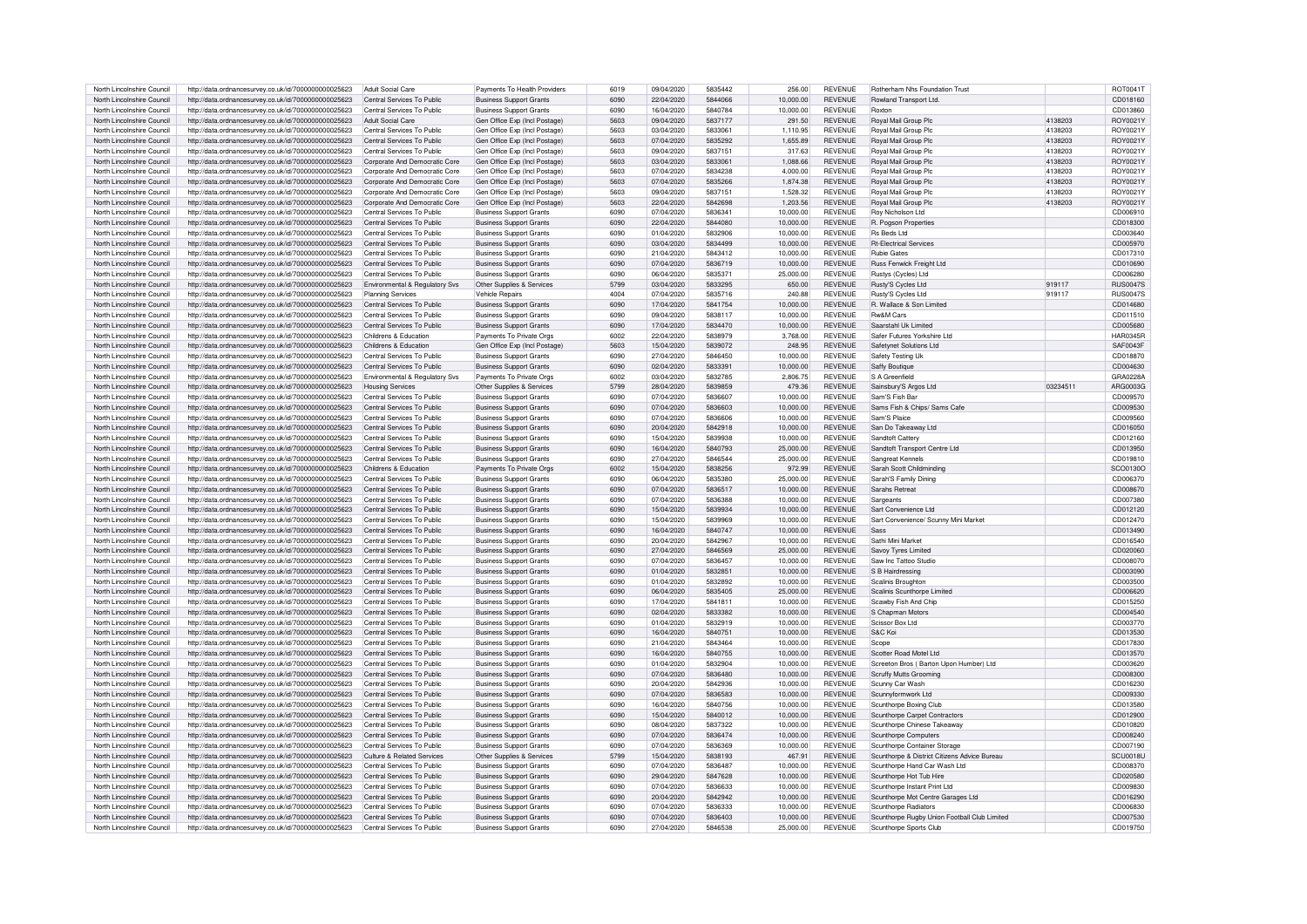| North Lincolnshire Council | http://data.ordnancesurvey.co.uk/id/7000000000025623 | Adult Social Care              | Payments To Health Providers   | 6019 | 09/04/2020 | 5835442 | 256.00    | <b>REVENUE</b> | <b>Botherham Nhs Foundation Trust</b>        |          | <b>ROT0041T</b> |
|----------------------------|------------------------------------------------------|--------------------------------|--------------------------------|------|------------|---------|-----------|----------------|----------------------------------------------|----------|-----------------|
| North Lincolnshire Council | http://data.ordnancesurvey.co.uk/id/7000000000025623 | Central Services To Public     | <b>Business Support Grants</b> | 6090 | 22/04/2020 | 5844066 | 10,000.00 | <b>REVENUE</b> | Rowland Transport Ltd.                       |          | CD018160        |
| North Lincolnshire Council | http://data.ordnancesurvey.co.uk/id/7000000000025623 | Central Services To Public     | <b>Business Support Grants</b> | 6090 | 16/04/2020 | 5840784 | 10,000.00 | <b>REVENUE</b> | Roxtor                                       |          | CD013860        |
| North Lincolnshire Council |                                                      | <b>Adult Social Care</b>       |                                | 5603 | 09/04/2020 | 5837177 |           | <b>REVENUE</b> |                                              | 4138203  | ROY0021Y        |
|                            | http://data.ordnancesurvey.co.uk/id/7000000000025623 |                                | Gen Office Exp (Incl Postage)  |      |            |         | 291.50    |                | Royal Mail Group Plc                         |          |                 |
| North Lincolnshire Council | http://data.ordnancesurvey.co.uk/id/7000000000025623 | Central Services To Public     | Gen Office Exp (Incl Postage)  | 5603 | 03/04/2020 | 583306  | 1.110.95  | <b>REVENUE</b> | Royal Mail Group Plc                         | 4138203  | ROY0021Y        |
| North Lincolnshire Council | http://data.ordnancesurvey.co.uk/id/7000000000025623 | Central Services To Public     | Gen Office Exp (Incl Postage)  | 5603 | 07/04/2020 | 5835292 | 1,655.89  | <b>REVENUE</b> | Roval Mail Group Pk                          | 4138203  | ROY0021Y        |
| North Lincolnshire Council | http://data.ordnancesurvey.co.uk/id/7000000000025623 | Central Services To Public     | Gen Office Exp (Incl Postage)  | 5603 | 09/04/2020 | 5837151 | 317.63    | <b>REVENUE</b> | <b>Royal Mail Group Pk</b>                   | 4138203  | ROY0021Y        |
| North Lincolnshire Council | http://data.ordnancesurvey.co.uk/id/7000000000025623 | Corporate And Democratic Core  | Gen Office Exp (Incl Postage)  | 5603 | 03/04/2020 | 5833061 | 1,088.66  | <b>REVENUE</b> | Royal Mail Group Plc                         | 4138203  | ROY0021Y        |
| North Lincolnshire Council | http://data.ordnancesurvey.co.uk/id/7000000000025623 | Corporate And Democratic Core  | Gen Office Exp (Incl Postage)  | 5603 | 07/04/2020 | 5834238 | 4,000.00  | <b>REVENUE</b> | Royal Mail Group Plc                         | 4138203  | ROY0021Y        |
| North Lincolnshire Council | http://data.ordnancesurvey.co.uk/id/7000000000025623 | Corporate And Democratic Core  | Gen Office Exp (Incl Postage)  | 5603 | 07/04/2020 | 5835266 | 1.874.38  | <b>REVENUE</b> | <b>Boyal Mail Group Plc</b>                  | 4138203  | ROY0021Y        |
| North Lincolnshire Council | http://data.ordnancesurvey.co.uk/id/7000000000025623 | Corporate And Democratic Core  | Gen Office Exp (Incl Postage)  | 5603 | 09/04/2020 | 5837151 | 1,528.32  | <b>REVENUE</b> | Royal Mail Group Plc                         | 4138203  | ROY0021Y        |
| North Lincolnshire Council | http://data.ordnancesurvey.co.uk/id/7000000000025623 | Corporate And Democratic Core  | Gen Office Exp (Incl Postage)  | 5603 | 22/04/2020 | 5842698 | 1.203.56  | <b>REVENUE</b> | Royal Mail Group Plc                         | 4138203  | ROY0021Y        |
| North Lincolnshire Council | http://data.ordnancesurvey.co.uk/id/7000000000025623 | Central Services To Public     | <b>Business Support Grants</b> | 6090 | 07/04/2020 | 5836341 | 10,000.00 | <b>REVENUE</b> | Rov Nicholson Ltd                            |          | CD006910        |
| North Lincolnshire Council | http://data.ordnancesurvey.co.uk/id/7000000000025623 | Central Services To Public     | <b>Business Support Grants</b> | 6090 | 22/04/2020 | 5844080 | 10,000.00 | <b>REVENUE</b> | R. Pogson Properties                         |          | CD018300        |
| North Lincolnshire Council | http://data.ordnancesurvey.co.uk/id/7000000000025623 | Central Services To Public     | <b>Business Support Grants</b> | 6090 | 01/04/2020 | 5832906 | 10,000.00 | <b>REVENUE</b> | Rs Beds Ltd                                  |          | CD003640        |
| North Lincolnshire Council | http://data.ordnancesurvey.co.uk/id/7000000000025623 | Central Services To Public     | <b>Business Support Grants</b> | 6090 | 03/04/2020 | 5834499 | 10,000.00 | <b>REVENUE</b> | <b>Rt-Electrical Services</b>                |          | CD005970        |
| North Lincolnshire Council | http://data.ordnancesurvey.co.uk/id/7000000000025623 | Central Services To Public     | <b>Business Support Grants</b> | 6090 | 21/04/2020 | 5843412 | 10,000.00 | <b>REVENUE</b> | <b>Rubie Gates</b>                           |          | CD017310        |
| North Lincolnshire Council |                                                      | Central Services To Public     |                                | 6090 | 07/04/2020 | 5836719 | 10.000.00 | <b>REVENUE</b> | <b>Buss Fenwick Freight Ltd</b>              |          |                 |
|                            | http://data.ordnancesurvey.co.uk/id/7000000000025623 |                                | <b>Business Support Grants</b> |      |            |         |           |                |                                              |          | CD010690        |
| North Lincolnshire Council | http://data.ordnancesurvey.co.uk/id/7000000000025623 | Central Services To Public     | <b>Business Support Grants</b> | 6090 | 06/04/2020 | 5835371 | 25,000.00 | <b>REVENUE</b> | Rustys (Cycles) Ltd                          |          | CD006280        |
| North Lincolnshire Council | http://data.ordnancesurvey.co.uk/id/7000000000025623 | Environmental & Regulatory Svs | Other Supplies & Services      | 5799 | 03/04/2020 | 5833295 | 650.00    | <b>REVENUE</b> | Rusty'S Cycles Ltd                           | 919117   | <b>RUS0047S</b> |
| North Lincolnshire Council | http://data.ordnancesurvey.co.uk/id/7000000000025623 | <b>Planning Services</b>       | <b>Vehicle Repairs</b>         | 4004 | 07/04/2020 | 5835716 | 240.88    | <b>REVENUE</b> | Rusty'S Cycles Ltd                           | 919117   | <b>RUS0047S</b> |
| North Lincolnshire Council | http://data.ordnancesurvey.co.uk/id/7000000000025623 | Central Services To Public     | <b>Business Support Grants</b> | 6090 | 17/04/2020 | 5841754 | 10,000.00 | <b>REVENUE</b> | R. Wallace & Son Limited                     |          | CD014680        |
| North Lincolnshire Council | http://data.ordnancesurvev.co.uk/id/7000000000025623 | Central Services To Public     | <b>Business Support Grants</b> | 6090 | 09/04/2020 | 5838117 | 10.000.00 | <b>REVENUE</b> | <b>Rw&amp;M Cars</b>                         |          | CD011510        |
| North Lincolnshire Council | http://data.ordnancesurvey.co.uk/id/7000000000025623 | Central Services To Public     | <b>Business Support Grants</b> | 6090 | 17/04/2020 | 5834470 | 10.000.00 | <b>REVENUE</b> | Saarstahl Uk Limited                         |          | CD005680        |
| North Lincolnshire Council | http://data.ordnancesurvey.co.uk/id/7000000000025623 | Childrens & Education          | Payments To Private Orgs       | 6002 | 22/04/2020 | 5838979 | 3,768.00  | <b>REVENUE</b> | Safer Futures Yorkshire Ltd.                 |          | <b>HAR0345R</b> |
| North Lincolnshire Council | http://data.ordnancesurvey.co.uk/id/7000000000025623 | Childrens & Education          | Gen Office Exp (Incl Postage)  | 5603 | 15/04/2020 | 5839072 | 248.95    | <b>REVENUE</b> | Safetynet Solutions Ltd                      |          | SAF0043F        |
| North Lincolnshire Council | http://data.ordnancesurvey.co.uk/id/7000000000025623 | Central Services To Public     | <b>Business Support Grants</b> | 6090 | 27/04/2020 | 5846450 | 10,000.00 | <b>REVENUE</b> | Safety Testing Uk                            |          | CD018870        |
| North Lincolnshire Council | http://data.ordnancesurvey.co.uk/id/7000000000025623 | Central Services To Public     | <b>Business Support Grants</b> | 6090 | 02/04/2020 | 5833391 | 10.000.00 | <b>REVENUE</b> | Saffy Boutique                               |          | CD004630        |
| North Lincolnshire Council | http://data.ordnancesurvey.co.uk/id/7000000000025623 | Environmental & Regulatory Svs | Payments To Private Orgs       | 6002 | 03/04/2020 | 5832785 | 2.806.75  | <b>REVENUE</b> | S A Greenfield                               |          | GRA0228A        |
| North Lincolnshire Council | http://data.ordnancesurvey.co.uk/id/7000000000025623 | <b>Housing Services</b>        | Other Supplies & Services      | 5799 | 28/04/2020 | 5839859 | 479.36    | <b>REVENUE</b> | Sainsbury'S Argos Ltd                        | 03234511 | ARG0003G        |
| North Lincolnshire Council | http://data.ordnancesurvey.co.uk/id/7000000000025623 | Central Services To Public     | <b>Business Support Grants</b> | 6090 | 07/04/2020 | 5836607 | 10,000.00 | <b>REVENUE</b> | Sam'S Fish Bar                               |          | CD009570        |
|                            |                                                      |                                |                                | 6090 |            | 5836603 |           | <b>REVENUE</b> |                                              |          |                 |
| North Lincolnshire Council | http://data.ordnancesurvey.co.uk/id/7000000000025623 | Central Services To Public     | <b>Business Support Grants</b> |      | 07/04/2020 |         | 10,000.00 |                | Sams Fish & Chips/ Sams Cafe                 |          | CD009530        |
| North Lincolnshire Council | http://data.ordnancesurvey.co.uk/id/7000000000025623 | Central Services To Public     | <b>Business Support Grants</b> | 6090 | 07/04/2020 | 5836606 | 10,000.00 | <b>REVENUE</b> | Sam'S Plaice                                 |          | CD009560        |
| North Lincolnshire Council | http://data.ordnancesurvey.co.uk/id/7000000000025623 | Central Services To Public     | <b>Business Support Grants</b> | 6090 | 20/04/2020 | 5842918 | 10,000.00 | <b>REVENUE</b> | San Do Takeaway Ltd                          |          | CD016050        |
| North Lincolnshire Council | http://data.ordnancesurvev.co.uk/id/7000000000025623 | Central Services To Public     | <b>Business Support Grants</b> | 6090 | 15/04/2020 | 5839938 | 10.000.00 | <b>REVENUE</b> | Sandtoft Catten                              |          | CD012160        |
| North Lincolnshire Council | http://data.ordnancesurvey.co.uk/id/7000000000025623 | Central Services To Public     | <b>Business Support Grants</b> | 6090 | 16/04/2020 | 5840793 | 25,000.00 | <b>REVENUE</b> | Sandtoft Transport Centre Ltd                |          | CD013950        |
| North Lincolnshire Council | http://data.ordnancesurvey.co.uk/id/7000000000025623 | Central Services To Public     | <b>Business Support Grants</b> | 6090 | 27/04/2020 | 5846544 | 25,000.00 | <b>REVENUE</b> | Sangreat Kennels                             |          | CD019810        |
| North Lincolnshire Council | http://data.ordnancesurvey.co.uk/id/7000000000025623 | Childrens & Education          | Payments To Private Orgs       | 6002 | 15/04/2020 | 5838256 | 972.99    | <b>REVENUE</b> | Sarah Scott Childminding                     |          | SCO0130O        |
| North Lincolnshire Council | http://data.ordnancesurvey.co.uk/id/7000000000025623 | Central Services To Public     | <b>Business Support Grants</b> | 6090 | 06/04/2020 | 5835380 | 25,000.00 | <b>REVENUE</b> | Sarah'S Family Dining                        |          | CD006370        |
| North Lincolnshire Council | http://data.ordnancesurvey.co.uk/id/7000000000025623 | Central Services To Public     | <b>Business Support Grants</b> | 6090 | 07/04/2020 | 5836517 | 10,000.00 | <b>REVENUE</b> | Sarahs Retrea                                |          | CD008670        |
| North Lincolnshire Council | http://data.ordnancesurvey.co.uk/id/7000000000025623 | Central Services To Public     | <b>Business Support Grants</b> | 6090 | 07/04/2020 | 5836388 | 10.000.00 | <b>REVENUE</b> | Sargeants                                    |          | CD007380        |
| North Lincolnshire Council | http://data.ordnancesurvey.co.uk/id/7000000000025623 | Central Services To Public     | <b>Business Support Grants</b> | 6090 | 15/04/2020 | 5839934 | 10.000.00 | <b>REVENUE</b> | Sart Convenience Ltd                         |          | CD012120        |
| North Lincolnshire Council | http://data.ordnancesurvey.co.uk/id/7000000000025623 | Central Services To Public     | <b>Business Support Grants</b> | 6090 | 15/04/2020 | 5839969 | 10,000.00 | <b>REVENUE</b> | Sart Convenience/ Scunny Mini Market         |          | CD012470        |
| North Lincolnshire Council | http://data.ordnancesurvey.co.uk/id/7000000000025623 | Central Services To Public     | <b>Business Support Grants</b> | 6090 | 16/04/2020 | 5840747 | 10,000.00 | <b>REVENUE</b> | <b>Sass</b>                                  |          | CD013490        |
| North Lincolnshire Council | http://data.ordnancesurvey.co.uk/id/7000000000025623 | Central Services To Public     | <b>Business Support Grants</b> | 6090 | 20/04/2020 | 5842967 | 10,000.00 | <b>REVENUE</b> | Sathi Mini Market                            |          | CD016540        |
|                            |                                                      |                                |                                | 6090 |            | 5846569 |           | <b>REVENUE</b> |                                              |          |                 |
| North Lincolnshire Council | http://data.ordnancesurvey.co.uk/id/7000000000025623 | Central Services To Public     | <b>Business Support Grants</b> |      | 27/04/2020 |         | 25,000.00 |                | Savov Tyres Limited                          |          | CD020060        |
| North Lincolnshire Council | http://data.ordnancesurvey.co.uk/id/7000000000025623 | Central Services To Public     | <b>Business Support Grants</b> | 6090 | 07/04/2020 | 5836457 | 10.000.00 | <b>REVENUE</b> | Saw Inc Tattoo Studio                        |          | CD008070        |
| North Lincolnshire Council | http://data.ordnancesurvey.co.uk/id/7000000000025623 | Central Services To Public     | <b>Business Support Grants</b> | 6090 | 01/04/2020 | 5832851 | 10,000.00 | <b>REVENUE</b> | S B Hairdressing                             |          | CD003090        |
| North Lincolnshire Council | http://data.ordnancesurvey.co.uk/id/7000000000025623 | Central Services To Public     | <b>Business Support Grants</b> | 6090 | 01/04/2020 | 5832892 | 10,000.00 | <b>REVENUE</b> | Scalinis Broughton                           |          | CD003500        |
| North Lincolnshire Council | http://data.ordnancesurvey.co.uk/id/7000000000025623 | Central Services To Public     | <b>Business Support Grants</b> | 6090 | 06/04/2020 | 5835405 | 25,000.00 | <b>REVENUE</b> | Scalinis Scunthorpe Limited                  |          | CD006620        |
| North Lincolnshire Council | http://data.ordnancesurvey.co.uk/id/7000000000025623 | Central Services To Public     | <b>Business Support Grants</b> | 6090 | 17/04/2020 | 5841811 | 10,000.00 | <b>REVENUE</b> | Scawby Fish And Chip                         |          | CD015250        |
| North Lincolnshire Council | http://data.ordnancesurvey.co.uk/id/7000000000025623 | Central Services To Public     | <b>Business Support Grants</b> | 6090 | 02/04/2020 | 5833382 | 10,000.00 | <b>REVENUE</b> | S Chapman Motors                             |          | CD004540        |
| North Lincolnshire Council | http://data.ordnancesurvey.co.uk/id/7000000000025623 | Central Services To Public     | <b>Business Support Grants</b> | 6090 | 01/04/2020 | 5832919 | 10.000.00 | <b>REVENUE</b> | Scissor Box Ltd                              |          | CD003770        |
| North Lincolnshire Council | http://data.ordnancesurvey.co.uk/id/7000000000025623 | Central Services To Public     | <b>Business Support Grants</b> | 6090 | 16/04/2020 | 5840751 | 10.000.00 | <b>REVENUE</b> | S&C Koi                                      |          | CD013530        |
| North Lincolnshire Council | http://data.ordnancesurvey.co.uk/id/7000000000025623 | Central Services To Public     | <b>Business Support Grants</b> | 6090 | 21/04/2020 | 5843464 | 10,000.00 | <b>REVENUE</b> | Scope                                        |          | CD017830        |
| North Lincolnshire Council | http://data.ordnancesurvey.co.uk/id/7000000000025623 | Central Services To Public     | <b>Business Support Grants</b> | 6090 | 16/04/2020 | 5840755 | 10.000.00 | <b>REVENUE</b> | Scotter Road Motel Ltd                       |          | CD013570        |
| North Lincolnshire Council | http://data.ordnancesurvey.co.uk/id/7000000000025623 | Central Services To Public     | <b>Business Support Grants</b> | 6090 | 01/04/2020 | 5832904 | 10,000.00 | <b>REVENUE</b> | Screeton Bros (Barton Upon Humber) Ltd       |          | CD003620        |
| North Lincolnshire Council | http://data.ordnancesurvey.co.uk/id/7000000000025623 | Central Services To Public     | <b>Business Support Grants</b> | 6090 | 07/04/2020 | 5836480 | 10.000.00 | <b>REVENUE</b> | Scruffy Mutts Grooming                       |          | CD008300        |
| North Lincolnshire Council |                                                      | Central Services To Public     |                                | 6090 | 20/04/2020 | 5842936 | 10.000.00 | <b>REVENUE</b> | Scunny Car Wash                              |          | CD016230        |
|                            | http://data.ordnancesurvey.co.uk/id/7000000000025623 |                                | <b>Business Support Grants</b> |      |            |         |           |                |                                              |          |                 |
| North Lincolnshire Council | http://data.ordnancesurvey.co.uk/id/7000000000025623 | Central Services To Public     | <b>Business Support Grants</b> | 6090 | 07/04/2020 | 5836583 | 10.000.00 | <b>REVENUE</b> | Scunnvformwork Ltd                           |          | CD009330        |
| North Lincolnshire Council | http://data.ordnancesurvey.co.uk/id/7000000000025623 | Central Services To Public     | <b>Business Support Grants</b> | 6090 | 16/04/2020 | 5840756 | 10.000.00 | <b>REVENUE</b> | Scunthorpe Boxing Club                       |          | CD013580        |
| North Lincolnshire Council | http://data.ordnancesurvey.co.uk/id/7000000000025623 | Central Services To Public     | <b>Business Support Grants</b> | 6090 | 15/04/2020 | 5840012 | 10.000.00 | <b>REVENUE</b> | Scunthorpe Carpet Contractors                |          | CD012900        |
| North Lincolnshire Council | http://data.ordnancesurvey.co.uk/id/7000000000025623 | Central Services To Public     | <b>Business Support Grants</b> | 6090 | 08/04/2020 | 5837322 | 10,000.00 | <b>REVENUE</b> | Scunthorpe Chinese Takeaway                  |          | CD010820        |
| North Lincolnshire Council | http://data.ordnancesurvey.co.uk/id/7000000000025623 | Central Services To Public     | <b>Business Support Grants</b> | 6090 | 07/04/2020 | 5836474 | 10,000.00 | REVENUE        | Scunthorpe Computers                         |          | CD008240        |
| North Lincolnshire Council | http://data.ordnancesurvev.co.uk/id/7000000000025623 | Central Services To Public     | <b>Business Support Grants</b> | 6090 | 07/04/2020 | 5836369 | 10.000.00 | <b>REVENUE</b> | Scunthorpe Container Storage                 |          | CD007190        |
| North Lincolnshire Council | http://data.ordnancesurvey.co.uk/id/7000000000025623 | Culture & Related Services     | Other Supplies & Services      | 5799 | 15/04/2020 | 5838193 | 467.91    | <b>REVENUE</b> | Scunthorpe & District Citizens Advice Bureau |          | SCU0018U        |
| North Lincolnshire Council | http://data.ordnancesurvey.co.uk/id/7000000000025623 | Central Services To Public     | <b>Business Support Grants</b> | 6090 | 07/04/2020 | 5836487 | 10,000.00 | <b>REVENUE</b> | Scunthorpe Hand Car Wash Ltd                 |          | CD008370        |
| North Lincolnshire Council | http://data.ordnancesurvey.co.uk/id/7000000000025623 | Central Services To Public     | <b>Business Support Grants</b> | 6090 | 29/04/2020 | 5847628 | 10,000.00 | <b>REVENUE</b> | Scunthorpe Hot Tub Hire                      |          | CD020580        |
| North Lincolnshire Council | http://data.ordnancesurvey.co.uk/id/7000000000025623 | Central Services To Public     | <b>Business Support Grants</b> | 6090 | 07/04/2020 | 5836633 | 10,000.00 | <b>REVENUE</b> | Scunthorpe Instant Print Ltd                 |          | CD009830        |
| North Lincolnshire Council | http://data.ordnancesurvey.co.uk/id/7000000000025623 | Central Services To Public     | <b>Business Support Grants</b> | 6090 | 20/04/2020 | 5842942 | 10.000.00 | <b>REVENUE</b> | Scunthorpe Mot Centre Garages Ltd            |          | CD016290        |
| North Lincolnshire Council | http://data.ordnancesurvey.co.uk/id/7000000000025623 | Central Services To Public     | <b>Business Support Grants</b> | 6090 | 07/04/2020 | 5836333 | 10.000.00 | <b>REVENUE</b> | Scunthorpe Radiators                         |          | CD006830        |
| North Lincolnshire Council | http://data.ordnancesurvey.co.uk/id/7000000000025623 | Central Services To Public     | <b>Business Support Grants</b> | 6090 | 07/04/2020 | 5836403 | 10.000.00 | <b>REVENUE</b> | Scunthorpe Rugby Union Football Club Limited |          | CD007530        |
| North Lincolnshire Council |                                                      |                                |                                | 6090 | 27/04/2020 | 5846538 |           | <b>REVENUE</b> |                                              |          | CD019750        |
|                            | http://data.ordnancesurvev.co.uk/id/7000000000025623 | Central Services To Public     | <b>Business Support Grants</b> |      |            |         | 25,000.00 |                | Scunthorpe Sports Club                       |          |                 |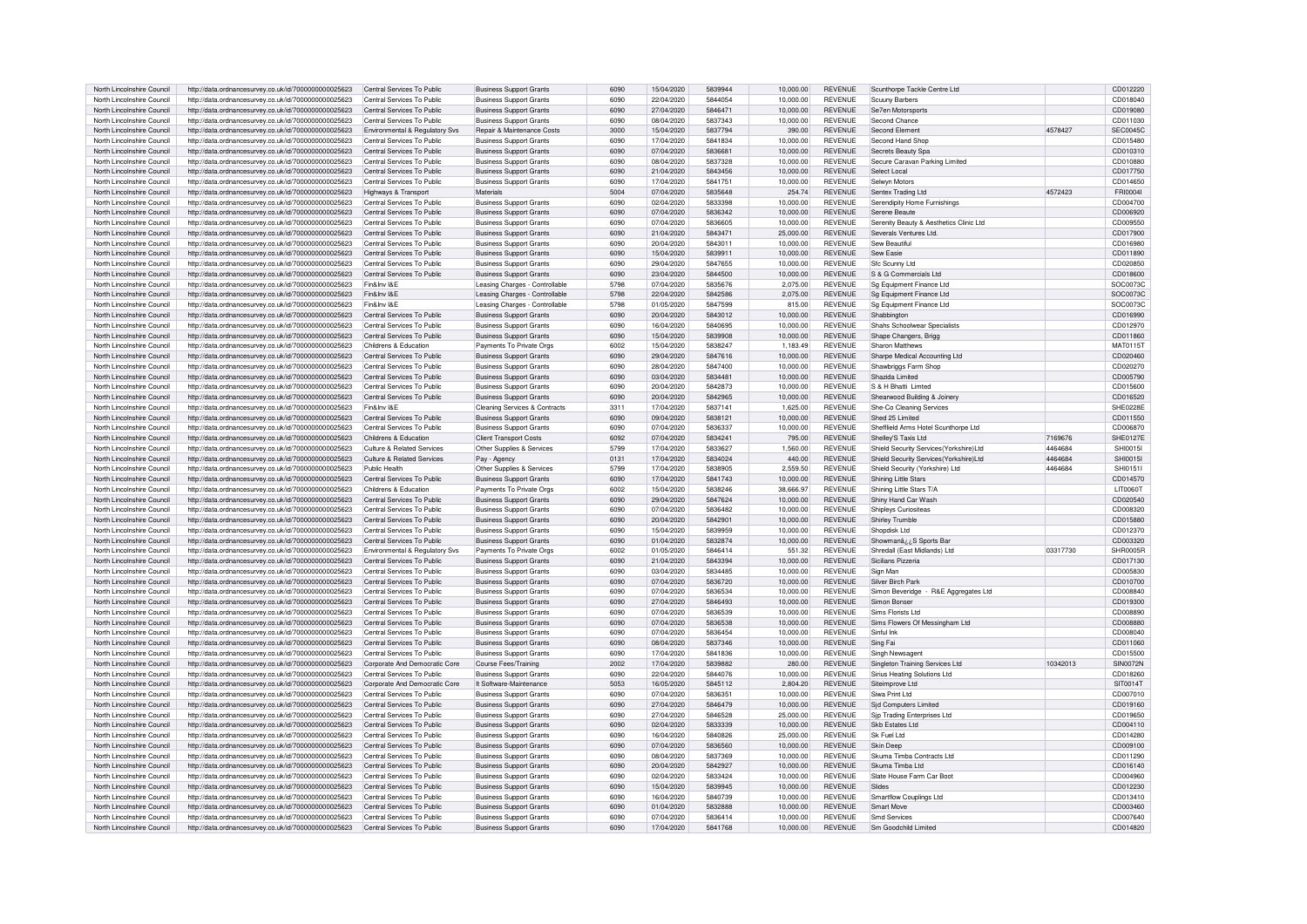| North Lincolnshire Council                               | http://data.ordnancesurvey.co.uk/id/7000000000025623                                                         | Central Services To Public                               | <b>Business Support Grants</b>                                   | 6090         | 15/04/2020               | 5839944            | 10,000.00              | <b>REVENUE</b>                   | Scunthorpe Tackle Centre Ltd             |          | CD012220             |
|----------------------------------------------------------|--------------------------------------------------------------------------------------------------------------|----------------------------------------------------------|------------------------------------------------------------------|--------------|--------------------------|--------------------|------------------------|----------------------------------|------------------------------------------|----------|----------------------|
| North Lincolnshire Council                               |                                                                                                              | Central Services To Public                               |                                                                  | 6090         | 22/04/2020               | 5844054            | 10.000.00              | <b>REVENUE</b>                   |                                          |          | CD018040             |
|                                                          | http://data.ordnancesurvey.co.uk/id/7000000000025623                                                         |                                                          | <b>Business Support Grants</b>                                   |              |                          |                    |                        |                                  | Scuuny Barbers                           |          |                      |
| North Lincolnshire Council                               | http://data.ordnancesurvey.co.uk/id/7000000000025623                                                         | Central Services To Public                               | <b>Business Support Grants</b>                                   | 6090         | 27/04/2020               | 5846471            | 10.000.00              | <b>REVENUE</b>                   | Se7en Motorsports                        |          | CD019080             |
| North Lincolnshire Council                               | http://data.ordnancesurvey.co.uk/id/7000000000025623                                                         | Central Services To Public                               | Business Support Grants                                          | 6090         | 08/04/2020               | 5837343            | 10.000.00              | <b>REVENUE</b>                   | Second Chance                            |          | CD011030             |
| North Lincolnshire Council                               | http://data.ordnancesurvey.co.uk/id/7000000000025623                                                         | Environmental & Regulatory Svs                           | Repair & Maintenance Costs                                       | 3000         | 15/04/2020               | 5837794            | 390.00                 | <b>REVENUE</b>                   | Second Flement                           | 4578427  | <b>SEC0045C</b>      |
| North Lincolnshire Council                               | http://data.ordnancesurvey.co.uk/id/7000000000025623                                                         | Central Services To Public                               | <b>Business Support Grants</b>                                   | 6090         | 17/04/2020               | 5841834            | 10,000.00              | <b>REVENUE</b>                   | Second Hand Shop                         |          | CD015480             |
| North Lincolnshire Council                               | http://data.ordnancesurvey.co.uk/id/7000000000025623                                                         | Central Services To Public                               | <b>Business Support Grants</b>                                   | 6090         | 07/04/2020               | 5836681            | 10,000.00              | <b>REVENUE</b>                   | Secrets Beauty Spa                       |          | CD010310             |
|                                                          |                                                                                                              |                                                          |                                                                  |              |                          |                    |                        |                                  |                                          |          |                      |
| North Lincolnshire Council                               | http://data.ordnancesurvey.co.uk/id/7000000000025623                                                         | Central Services To Public                               | <b>Business Support Grants</b>                                   | 6090         | 08/04/2020               | 5837328            | 10.000.00              | <b>REVENUE</b>                   | Secure Caravan Parking Limited           |          | CD010880             |
| North Lincolnshire Council                               | http://data.ordnancesurvey.co.uk/id/7000000000025623                                                         | Central Services To Public                               | <b>Business Support Grants</b>                                   | 6090         | 21/04/2020               | 5843456            | 10.000.00              | <b>REVENUE</b>                   | Select Local                             |          | CD017750             |
| North Lincolnshire Council                               | http://data.ordnancesurvey.co.uk/id/7000000000025623                                                         | Central Services To Public                               | <b>Business Support Grants</b>                                   | 6090         | 17/04/2020               | 5841751            | 10.000.00              | <b>REVENUE</b>                   | Selwyn Motors                            |          | CD014650             |
| North Lincolnshire Council                               | http://data.ordnancesurvey.co.uk/id/7000000000025623                                                         | Highways & Transport                                     | Materials                                                        | 5004         | 07/04/2020               | 5835648            | 254.74                 | <b>REVENUE</b>                   | Sentex Trading Ltd                       | 4572423  | FRI00041             |
| North Lincolnshire Council                               | http://data.ordnancesurvey.co.uk/id/7000000000025623                                                         | Central Services To Public                               | <b>Business Support Grants</b>                                   | 6090         | 02/04/2020               | 5833398            | 10,000.00              | <b>REVENUE</b>                   | Serendipity Home Furnishings             |          | CD004700             |
| North Lincolnshire Council                               |                                                                                                              | Central Services To Public                               |                                                                  | 6090         | 07/04/2020               | 5836342            | 10.000.00              | <b>REVENUE</b>                   |                                          |          | CD006920             |
|                                                          | http://data.ordnancesurvey.co.uk/id/7000000000025623                                                         |                                                          | <b>Business Support Grants</b>                                   |              |                          |                    |                        |                                  | Serene Beaute                            |          |                      |
| North Lincolnshire Council                               | http://data.ordnancesurvey.co.uk/id/7000000000025623                                                         | Central Services To Public                               | <b>Business Support Grants</b>                                   | 6090         | 07/04/2020               | 5836605            | 10.000.00              | <b>REVENUE</b>                   | Serenity Beauty & Aesthetics Clinic Ltd  |          | CD009550             |
| North Lincolnshire Council                               | http://data.ordnancesurvey.co.uk/id/7000000000025623                                                         | Central Services To Public                               | <b>Business Support Grants</b>                                   | 6090         | 21/04/2020               | 5843471            | 25.000.00              | <b>REVENUE</b>                   | Severals Ventures I td.                  |          | CD017900             |
| North Lincolnshire Council                               | http://data.ordnancesurvey.co.uk/id/7000000000025623                                                         | Central Services To Public                               | <b>Business Support Grants</b>                                   | 6090         | 20/04/2020               | 5843011            | 10.000.00              | <b>REVENUE</b>                   | Sew Beautiful                            |          | CD016980             |
| North Lincolnshire Council                               | http://data.ordnancesurvey.co.uk/id/7000000000025623                                                         | Central Services To Public                               | <b>Business Support Grants</b>                                   | 6090         | 15/04/2020               | 5839911            | 10.000.00              | <b>REVENUE</b>                   | Sew Fasie                                |          | CD011890             |
| North Lincolnshire Council                               | http://data.ordnancesurvey.co.uk/id/7000000000025623                                                         | Central Services To Public                               | <b>Business Support Grants</b>                                   | 6090         | 29/04/2020               | 5847655            | 10,000.00              | <b>REVENUE</b>                   | Sfc Scunny Ltd                           |          | CD020850             |
|                                                          |                                                                                                              |                                                          |                                                                  |              |                          |                    |                        |                                  |                                          |          |                      |
| North Lincolnshire Council                               | http://data.ordnancesurvey.co.uk/id/7000000000025623                                                         | Central Services To Public                               | <b>Business Support Grants</b>                                   | 6090         | 23/04/2020               | 5844500            | 10,000.00              | <b>REVENUE</b>                   | S & G Commercials Ltd                    |          | CD018600             |
| North Lincolnshire Council                               | http://data.ordnancesurvey.co.uk/id/7000000000025623                                                         | Fin&Inv I&E                                              | Leasing Charges - Controllable                                   | 5798         | 07/04/2020               | 5835676            | 2.075.00               | <b>REVENUE</b>                   | Sq Equipment Finance Ltd                 |          | SOC0073C             |
| North Lincolnshire Council                               | http://data.ordnancesurvey.co.uk/id/7000000000025623                                                         | Fin&Inv I&F                                              | Leasing Charges - Controllable                                   | 5798         | 22/04/2020               | 5842586            | 2,075.00               | <b>REVENUE</b>                   | Sq Equipment Finance Ltd                 |          | SOC0073C             |
| North Lincolnshire Council                               | http://data.ordnancesurvey.co.uk/id/7000000000025623                                                         | Fin&Inv I&F                                              | Leasing Charges - Controllable                                   | 5798         | 01/05/2020               | 5847599            | 815.00                 | <b>REVENUE</b>                   | Sq Equipment Finance Ltd                 |          | SOC0073C             |
| North Lincolnshire Council                               | http://data.ordnancesurvey.co.uk/id/7000000000025623                                                         | Central Services To Public                               | <b>Business Support Grants</b>                                   | 6090         | 20/04/2020               | 5843012            | 10,000.00              | <b>REVENUE</b>                   | Shabbington                              |          | CD016990             |
|                                                          |                                                                                                              |                                                          |                                                                  |              |                          |                    |                        |                                  |                                          |          |                      |
| North Lincolnshire Council                               | http://data.ordnancesurvey.co.uk/id/7000000000025623                                                         | Central Services To Public                               | <b>Business Support Grants</b>                                   | 6090         | 16/04/2020               | 5840695            | 10,000.00              | <b>REVENUE</b>                   | Shahs Schoolwear Specialists             |          | CD012970             |
| North Lincolnshire Council                               | http://data.ordnancesurvey.co.uk/id/7000000000025623                                                         | Central Services To Public                               | <b>Business Support Grants</b>                                   | 6090         | 15/04/2020               | 5839908            | 10.000.00              | <b>REVENUE</b>                   | Shape Changers, Brigg                    |          | CD011860             |
| North Lincolnshire Council                               | http://data.ordnancesurvev.co.uk/id/7000000000025623                                                         | Childrens & Education                                    | Payments To Private Org                                          | 6002         | 15/04/2020               | 5838247            | 1.183.49               | <b>REVENUE</b>                   | Sharon Matthews                          |          | MAT0115T             |
| North Lincolnshire Council                               | http://data.ordnancesurvey.co.uk/id/7000000000025623                                                         | Central Services To Public                               | <b>Business Support Grants</b>                                   | 6090         | 29/04/2020               | 5847616            | 10.000.00              | <b>REVENUE</b>                   | Sharpe Medical Accounting Ltd            |          | CD020460             |
| North Lincolnshire Council                               | http://data.ordnancesurvey.co.uk/id/7000000000025623                                                         | Central Services To Public                               | <b>Business Support Grants</b>                                   | 6090         | 28/04/2020               | 5847400            | 10,000.00              | <b>REVENUE</b>                   | Shawbriggs Farm Shop                     |          | CD020270             |
|                                                          |                                                                                                              |                                                          |                                                                  |              |                          |                    |                        |                                  |                                          |          |                      |
| North Lincolnshire Council                               | http://data.ordnancesurvey.co.uk/id/7000000000025623                                                         | Central Services To Public                               | <b>Business Support Grants</b>                                   | 6090         | 03/04/2020               | 5834481            | 10,000.00              | <b>REVENUE</b>                   | Shazida Limited                          |          | CD005790             |
| North Lincolnshire Council                               | http://data.ordnancesurvev.co.uk/id/7000000000025623                                                         | Central Services To Public                               | Business Support Grants                                          | 6090         | 20/04/2020               | 5842873            | 10,000.00              | <b>REVENUE</b>                   | S & H Bhatti Limted                      |          | CD015600             |
| North Lincolnshire Counci                                | http://data.ordnancesurvey.co.uk/id/7000000000025623                                                         | Central Services To Public                               | <b>Business Support Grants</b>                                   | 6090         | 20/04/2020               | 5842965            | 10.000.00              | <b>REVENUE</b>                   | Shearwood Building & Joinery             |          | CD016520             |
| North Lincolnshire Council                               | http://data.ordnancesurvey.co.uk/id/7000000000025623                                                         | Fin&Inv I&E                                              | Cleaning Services & Contracts                                    | 3311         | 17/04/2020               | 5837141            | 1.625.00               | <b>REVENUE</b>                   | She-Co Cleaning Services                 |          | SHE0228E             |
| North Lincolnshire Council                               | http://data.ordnancesurvey.co.uk/id/7000000000025623                                                         | Central Services To Public                               | <b>Business Support Grants</b>                                   | 6090         | 09/04/2020               | 5838121            | 10,000.00              | <b>REVENUE</b>                   | Shed 25 Limited                          |          | CD011550             |
|                                                          |                                                                                                              |                                                          |                                                                  |              |                          |                    |                        |                                  |                                          |          |                      |
| North Lincolnshire Council                               | http://data.ordnancesurvey.co.uk/id/7000000000025623                                                         | Central Services To Public                               | <b>Business Support Grants</b>                                   | 6090         | 07/04/2020               | 5836337            | 10,000.00              | <b>REVENUE</b>                   | Shefflield Arms Hotel Scunthorpe Ltd     |          | CD006870             |
| North Lincolnshire Council                               | http://data.ordnancesurvey.co.uk/id/7000000000025623                                                         | Childrens & Education                                    | Client Transport Costs                                           | 6092         | 07/04/2020               | 5834241            | 795.00                 | <b>REVENUE</b>                   | Shelley'S Taxis Ltd                      | 7169676  | <b>SHE0127E</b>      |
| North Lincolnshire Council                               | http://data.ordnancesurvey.co.uk/id/7000000000025623                                                         | Culture & Related Services                               | Other Supplies & Services                                        | 5799         | 17/04/2020               | 5833627            | 1.560.00               | <b>REVENUE</b>                   | Shield Security Services (Yorkshire) Ltd | 4464684  | SHI0015I             |
| North Lincolnshire Council                               | http://data.ordnancesurvey.co.uk/id/7000000000025623                                                         | Culture & Related Services                               | Pay - Agency                                                     | 0131         | 17/04/2020               | 5834024            | 440.00                 | <b>REVENUE</b>                   | Shield Security Services (Yorkshire) Ltd | 4464684  | <b>SHI0015I</b>      |
|                                                          |                                                                                                              |                                                          |                                                                  |              |                          |                    |                        |                                  |                                          |          |                      |
|                                                          |                                                                                                              |                                                          |                                                                  |              |                          |                    |                        |                                  |                                          |          |                      |
| North Lincolnshire Council                               | http://data.ordnancesurvey.co.uk/id/7000000000025623                                                         | Public Health                                            | Other Supplies & Services                                        | 5799         | 17/04/2020               | 5838905            | 2.559.50               | <b>REVENUE</b>                   | Shield Security (Yorkshire) Ltd          | 4464684  | SHI0151I             |
| North Lincolnshire Council                               | http://data.ordnancesurvev.co.uk/id/7000000000025623                                                         | Central Services To Public                               | <b>Business Support Grants</b>                                   | 6090         | 17/04/2020               | 5841743            | 10.000.00              | <b>REVENUE</b>                   | Shining Little Stars                     |          | CD014570             |
| North Lincolnshire Council                               | http://data.ordnancesurvey.co.uk/id/7000000000025623                                                         | Childrens & Education                                    | Payments To Private Orgs                                         | 6002         | 15/04/2020               | 5838246            | 38.666.97              | <b>REVENUE</b>                   | Shining Little Stars T/A                 |          | <b>LIT0060T</b>      |
| North Lincolnshire Counci                                | http://data.ordnancesurvey.co.uk/id/7000000000025623                                                         | Central Services To Public                               | <b>Business Support Grants</b>                                   | 6090         | 29/04/2020               | 5847624            | 10,000.00              | <b>REVENUE</b>                   | Shiny Hand Car Wash                      |          | CD020540             |
| North Lincolnshire Council                               | http://data.ordnancesurvey.co.uk/id/7000000000025623                                                         |                                                          | Business Support Grants                                          | 6090         | 07/04/2020               |                    | 10.000.00              |                                  |                                          |          |                      |
|                                                          |                                                                                                              | Central Services To Public                               |                                                                  |              |                          | 5836482            |                        | <b>REVENUE</b>                   | Shipleys Curiositeas                     |          | CD008320             |
| North Lincolnshire Council                               | http://data.ordnancesurvey.co.uk/id/7000000000025623                                                         | Central Services To Public                               | <b>Business Support Grants</b>                                   | 6090         | 20/04/2020               | 5842901            | 10.000.00              | <b>REVENUE</b>                   | Shirley Trumble                          |          | CD015880             |
| North Lincolnshire Counci                                | http://data.ordnancesurvey.co.uk/id/7000000000025623                                                         | Central Services To Public                               | <b>Business Support Grants</b>                                   | 6090         | 15/04/2020               | 5839959            | 10.000.00              | <b>REVENUE</b>                   | Shopdisk Ltd                             |          | CD012370             |
| North Lincolnshire Council                               | http://data.ordnancesurvey.co.uk/id/7000000000025623                                                         | Central Services To Public                               | <b>Business Support Grants</b>                                   | 6090         | 01/04/2020               | 5832874            | 10,000.00              | <b>REVENUE</b>                   | Showmanâ ¿¿S Sports Bar                  |          | CD003320             |
| North Lincolnshire Council                               | http://data.ordnancesurvey.co.uk/id/7000000000025623                                                         | <b>Fnvironmental &amp; Requlatory Sys</b>                | Payments To Private Orgs                                         | 6002         | 01/05/2020               | 5846414            | 551.32                 | <b>REVENUE</b>                   | Shredall (East Midlands) Ltd             | 03317730 | SHR0005R             |
| North Lincolnshire Council                               | http://data.ordnancesurvey.co.uk/id/7000000000025623                                                         | Central Services To Public                               | <b>Business Support Grants</b>                                   | 6090         | 21/04/2020               | 5843394            | 10,000.00              | <b>REVENUE</b>                   | Sicilians Pizzeria                       |          | CD017130             |
| North Lincolnshire Council                               |                                                                                                              | Central Services To Public                               |                                                                  | 6090         |                          | 5834485            | 10.000.00              | <b>REVENUE</b>                   |                                          |          | CD005830             |
|                                                          | http://data.ordnancesurvey.co.uk/id/7000000000025623                                                         |                                                          | Business Support Grants                                          |              | 03/04/2020               |                    |                        |                                  | Sign Man                                 |          |                      |
| North Lincolnshire Council                               | http://data.ordnancesurvey.co.uk/id/7000000000025623                                                         | Central Services To Public                               | <b>Business Support Grants</b>                                   | 6090         | 07/04/2020               | 5836720            | 10.000.00              | <b>REVENUE</b>                   | Silver Birch Park                        |          | CD010700             |
| North Lincolnshire Council                               | http://data.ordnancesurvey.co.uk/id/7000000000025623                                                         | Central Services To Public                               | Business Support Grants                                          | 6090         | 07/04/2020               | 5836534            | 10,000.00              | REVENUE                          | Simon Beveridge - R&E Aggregates Ltd     |          | CD008840             |
| North Lincolnshire Council                               | http://data.ordnancesurvey.co.uk/id/7000000000025623                                                         | Central Services To Public                               | <b>Business Support Grants</b>                                   | 6090         | 27/04/2020               | 5846493            | 10,000.00              | REVENUE                          | Simon Bonse                              |          | CD019300             |
| North Lincolnshire Council                               | http://data.ordnancesurvey.co.uk/id/7000000000025623                                                         | Central Services To Public                               | <b>Business Support Grants</b>                                   | 6090         | 07/04/2020               | 5836539            | 10,000.00              | <b>REVENUE</b>                   | Sims Florists Ltd                        |          | CD008890             |
| North Lincolnshire Council                               | http://data.ordnancesurvey.co.uk/id/7000000000025623                                                         | Central Services To Public                               | <b>Business Support Grants</b>                                   | 6090         | 07/04/2020               | 5836538            | 10,000.00              | <b>REVENUE</b>                   | Sims Flowers Of Messingham Ltd           |          | CD008880             |
|                                                          |                                                                                                              |                                                          |                                                                  |              |                          |                    |                        |                                  |                                          |          |                      |
| North Lincolnshire Council                               | http://data.ordnancesurvev.co.uk/id/7000000000025623                                                         | Central Services To Public                               | Business Support Grants                                          | 6090         | 07/04/2020               | 5836454            | 10,000.00              | <b>REVENUE</b>                   | Sinful Ink                               |          | CD008040             |
| North Lincolnshire Council                               | http://data.ordnancesurvey.co.uk/id/7000000000025623                                                         | Central Services To Public                               | <b>Business Support Grants</b>                                   | 6090         | 08/04/2020               | 5837346            | 10,000.00              | <b>REVENUE</b>                   | Sing Fai                                 |          | CD011060             |
| North Lincolnshire Council                               | http://data.ordnancesurvey.co.uk/id/7000000000025623                                                         | Central Services To Public                               | <b>Business Support Grants</b>                                   | 6090         | 17/04/2020               | 5841836            | 10,000.00              | <b>REVENUE</b>                   | Singh Newsagent                          |          | CD015500             |
| North Lincolnshire Council                               | http://data.ordnancesurvey.co.uk/id/7000000000025623                                                         | Corporate And Democratic Core                            | Course Fees/Training                                             | 2002         | 17/04/2020               | 5839882            | 280.00                 | <b>REVENUE</b>                   | Singleton Training Services Ltd          | 10342013 | <b>SIN0072N</b>      |
| North Lincolnshire Council                               | http://data.ordnancesurvey.co.uk/id/7000000000025623                                                         | Central Services To Public                               | <b>Business Support Grants</b>                                   | 6090         | 22/04/2020               | 5844076            | 10.000.00              | <b>REVENUE</b>                   | Sirius Heating Solutions Ltd.            |          | CD018260             |
|                                                          |                                                                                                              |                                                          |                                                                  |              |                          |                    |                        |                                  |                                          |          |                      |
| North Lincolnshire Council                               | http://data.ordnancesurvey.co.uk/id/7000000000025623                                                         | Corporate And Democratic Core                            | It Software-Maintenance                                          | 5053         | 16/05/2020               | 5845112            | 2,804.20               | <b>REVENUE</b>                   | Siteimprove Ltd                          |          | SIT0014T             |
| North Lincolnshire Council                               | http://data.ordnancesurvey.co.uk/id/7000000000025623                                                         | Central Services To Public                               | <b>Business Support Grants</b>                                   | 6090         | 07/04/2020               | 5836351            | 10.000.00              | <b>REVENUE</b>                   | Siwa Print I td                          |          | CD007010             |
| North Lincolnshire Council                               | http://data.ordnancesurvey.co.uk/id/7000000000025623                                                         | Central Services To Public                               | <b>Business Support Grants</b>                                   | 6090         | 27/04/2020               | 5846479            | 10.000.00              | <b>REVENUE</b>                   | Sid Computers Limited                    |          | CD019160             |
| North Lincolnshire Council                               | http://data.ordnancesurvey.co.uk/id/7000000000025623                                                         | Central Services To Public                               | Business Support Grants                                          | 6090         | 27/04/2020               | 5846528            | 25.000.00              | <b>REVENUE</b>                   | Sip Trading Enterprises Ltd              |          | CD019650             |
| North Lincolnshire Council                               | http://data.ordnancesurvey.co.uk/id/7000000000025623                                                         | Central Services To Public                               | <b>Business Support Grants</b>                                   | 6090         | 02/04/2020               | 5833339            | 10,000.00              | <b>REVENUE</b>                   | Skb Estates Ltd                          |          | CD004110             |
| North Lincolnshire Council                               | http://data.ordnancesurvey.co.uk/id/7000000000025623                                                         | Central Services To Public                               | <b>Business Support Grants</b>                                   | 6090         | 16/04/2020               | 5840826            | 25,000.00              | <b>REVENUE</b>                   | Sk Fuel Ltd                              |          | CD014280             |
|                                                          |                                                                                                              |                                                          |                                                                  |              |                          |                    |                        |                                  |                                          |          |                      |
| North Lincolnshire Council                               | http://data.ordnancesurvey.co.uk/id/7000000000025623                                                         | Central Services To Public                               | <b>Business Support Grants</b>                                   | 6090         | 07/04/2020               | 5836560            | 10.000.00              | <b>REVENUE</b>                   | Skin Deep                                |          | CD009100             |
| North Lincolnshire Council                               | http://data.ordnancesurvey.co.uk/id/7000000000025623                                                         | Central Services To Public                               | <b>Business Support Grants</b>                                   | 6090         | 08/04/2020               | 5837369            | 10.000.00              | <b>REVENUE</b>                   | Skuma Timba Contracts Ltd                |          | CD011290             |
| North Lincolnshire Council                               | http://data.ordnancesurvey.co.uk/id/7000000000025623                                                         | Central Services To Public                               | <b>Business Support Grants</b>                                   | 6090         | 20/04/2020               | 5842927            | 10,000.00              | <b>REVENUE</b>                   | Skuma Timba Ltd                          |          | CD016140             |
| North Lincolnshire Council                               | http://data.ordnancesurvey.co.uk/id/7000000000025623                                                         | Central Services To Public                               | <b>Business Support Grants</b>                                   | 6090         | 02/04/2020               | 5833424            | 10,000.00              | <b>REVENUE</b>                   | Slate House Farm Car Boot                |          | CD004960             |
| North Lincolnshire Council                               | http://data.ordnancesurvey.co.uk/id/7000000000025623                                                         | Central Services To Public                               | <b>Business Support Grants</b>                                   | 6090         | 15/04/2020               | 5839945            | 10,000.00              | <b>REVENUE</b>                   | Slides                                   |          | CD012230             |
| North Lincolnshire Council                               | http://data.ordnancesurvey.co.uk/id/7000000000025623                                                         | Central Services To Public                               | <b>Business Support Grants</b>                                   | 6090         | 16/04/2020               | 5840739            | 10.000.00              | <b>REVENUE</b>                   | Smartflow Couplings Ltd                  |          | CD013410             |
|                                                          |                                                                                                              |                                                          |                                                                  |              |                          |                    |                        |                                  |                                          |          |                      |
| North Lincolnshire Council                               | http://data.ordnancesurvey.co.uk/id/7000000000025623                                                         | Central Services To Public                               | <b>Business Support Grants</b>                                   | 6090         | 01/04/2020               | 5832888            | 10.000.00              | <b>REVENUE</b>                   | Smart Move                               |          | CD003460             |
| North Lincolnshire Council<br>North Lincolnshire Council | http://data.ordnancesurvev.co.uk/id/7000000000025623<br>http://data.ordnancesurvev.co.uk/id/7000000000025623 | Central Services To Public<br>Central Services To Public | <b>Business Support Grants</b><br><b>Business Support Grants</b> | 6090<br>6090 | 07/04/2020<br>17/04/2020 | 5836414<br>5841768 | 10.000.00<br>10.000.00 | <b>REVENUE</b><br><b>REVENUE</b> | Smd Services<br>Sm Goodchild Limited     |          | CD007640<br>CD014820 |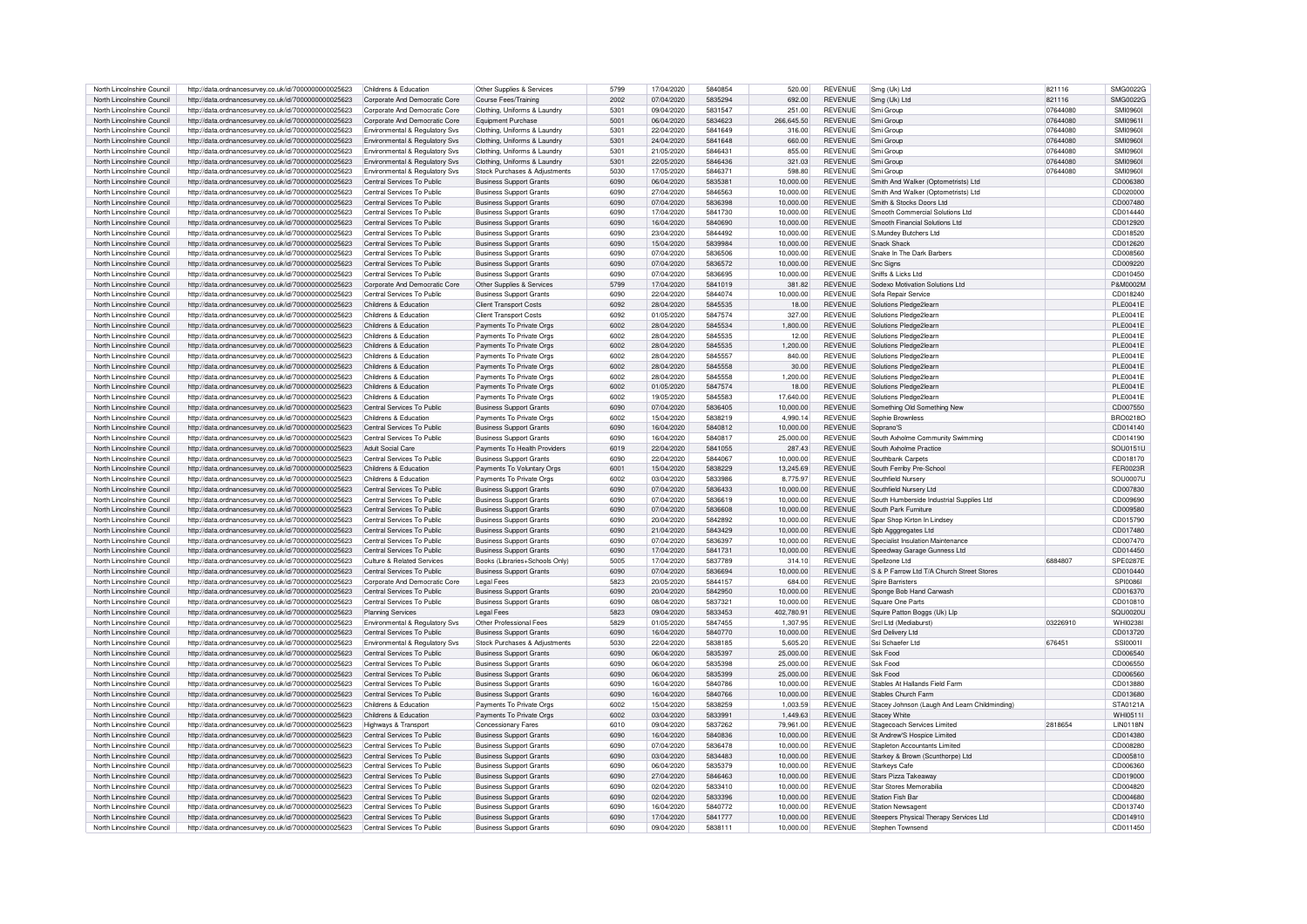| North Lincolnshire Council | http://data.ordnancesurvev.co.uk/id/7000000000025623 | Childrens & Education          | Other Supplies & Services      | 5799 | 17/04/2020 | 5840854 | 520.00     | <b>REVENUE</b> | Smg (Uk) Ltd                                  | 821116   | SMG0022G        |
|----------------------------|------------------------------------------------------|--------------------------------|--------------------------------|------|------------|---------|------------|----------------|-----------------------------------------------|----------|-----------------|
| North Lincolnshire Council | http://data.ordnancesurvey.co.uk/id/7000000000025623 | Corporate And Democratic Core  | Course Fees/Training           | 2002 | 07/04/2020 | 5835294 | 692.00     | <b>REVENUE</b> | Smg (Uk) Ltd                                  | 821116   | SMG0022G        |
| North Lincolnshire Council | http://data.ordnancesurvey.co.uk/id/7000000000025623 | Corporate And Democratic Core  | Clothing, Uniforms & Laundry   | 5301 | 09/04/2020 | 5831547 | 251.00     | <b>REVENUE</b> | Smi Group                                     | 07644080 | <b>SMI09601</b> |
|                            |                                                      |                                |                                |      |            |         |            |                |                                               |          |                 |
| North Lincolnshire Council | http://data.ordnancesurvey.co.uk/id/7000000000025623 | Corporate And Democratic Core  | Foujoment Purchase             | 5001 | 06/04/2020 | 5834623 | 266,645.50 | <b>REVENUE</b> | Smi Group                                     | 07644080 | SMI09611        |
| North Lincolnshire Council | http://data.ordnancesurvey.co.uk/id/7000000000025623 | Environmental & Regulatory Svs | Clothing, Uniforms & Laundry   | 5301 | 22/04/2020 | 5841649 | 316.00     | <b>REVENUE</b> | Smi Group                                     | 07644080 | <b>SMI09601</b> |
| North Lincolnshire Council | http://data.ordnancesurvey.co.uk/id/7000000000025623 | Environmental & Regulatory Svs | Clothing, Uniforms & Laundry   | 5301 | 24/04/2020 | 5841648 | 660.00     | <b>REVENUE</b> | Smi Group                                     | 07644080 | <b>SMI09601</b> |
| North Lincolnshire Council | http://data.ordnancesurvey.co.uk/id/7000000000025623 | Environmental & Regulatory Svs | Clothing, Uniforms & Laundr    | 5301 | 21/05/2020 | 5846431 | 855.00     | REVENUE        | Smi Group                                     | 07644080 | <b>SMI09601</b> |
| North Lincolnshire Council | http://data.ordnancesurvey.co.uk/id/7000000000025623 | Environmental & Regulatory Svs | Clothing, Uniforms & Laundry   | 5301 | 22/05/2020 | 5846436 | 321.03     | <b>REVENUE</b> | Smi Group                                     | 07644080 | <b>SMI09601</b> |
| North Lincolnshire Council | http://data.ordnancesurvey.co.uk/id/7000000000025623 | Environmental & Regulatory Svs | Stock Purchases & Adjustments  | 5030 | 17/05/2020 | 5846371 | 598.80     | <b>REVENUE</b> | Smi Group                                     | 07644080 | <b>SMI09601</b> |
| North Lincolnshire Council | http://data.ordnancesurvey.co.uk/id/7000000000025623 | Central Services To Public     | <b>Business Support Grants</b> | 6090 | 06/04/2020 | 5835381 | 10,000.00  | <b>REVENUE</b> | Smith And Walker (Optometrists) Ltd           |          | CD006380        |
|                            |                                                      |                                |                                |      |            |         |            |                |                                               |          |                 |
| North Lincolnshire Council | http://data.ordnancesurvey.co.uk/id/7000000000025623 | Central Services To Public     | <b>Business Support Grants</b> | 6090 | 27/04/2020 | 5846563 | 10,000.00  | REVENUE        | Smith And Walker (Optometrists) Ltd           |          | CD020000        |
| North Lincolnshire Council | http://data.ordnancesurvey.co.uk/id/7000000000025623 | Central Services To Public     | <b>Business Support Grants</b> | 6090 | 07/04/2020 | 5836398 | 10.000.00  | <b>REVENUE</b> | Smith & Stocks Doors Ltd                      |          | CD007480        |
| North Lincolnshire Council | http://data.ordnancesurvey.co.uk/id/7000000000025623 | Central Services To Public     | <b>Business Support Grants</b> | 6090 | 17/04/2020 | 5841730 | 10,000.00  | <b>REVENUE</b> | Smooth Commercial Solutions Ltd               |          | CD014440        |
| North Lincolnshire Council | http://data.ordnancesurvey.co.uk/id/7000000000025623 | Central Services To Public     | <b>Business Support Grants</b> | 6090 | 16/04/2020 | 5840690 | 10,000.00  | <b>REVENUE</b> | Smooth Financial Solutions Ltd                |          | CD012920        |
| North Lincolnshire Council | http://data.ordnancesurvey.co.uk/id/7000000000025623 | Central Services To Public     | <b>Business Support Grants</b> | 6090 | 23/04/2020 | 5844492 | 10.000.00  | <b>REVENUE</b> | S.Mundev Butchers Ltd                         |          | CD018520        |
| North Lincolnshire Council | http://data.ordnancesurvey.co.uk/id/7000000000025623 | Central Services To Public     | <b>Business Support Grants</b> | 6090 | 15/04/2020 | 5839984 | 10.000.00  | <b>REVENUE</b> | Snack Shack                                   |          | CD012620        |
| North Lincolnshire Council | http://data.ordnancesurvey.co.uk/id/7000000000025623 | Central Services To Public     | <b>Business Support Grants</b> | 6090 | 07/04/2020 | 5836506 | 10,000.00  | <b>REVENUE</b> | Snake In The Dark Barbers                     |          | CD008560        |
|                            |                                                      |                                |                                |      |            |         |            | <b>REVENUE</b> |                                               |          |                 |
| North Lincolnshire Council | http://data.ordnancesurvey.co.uk/id/7000000000025623 | Central Services To Public     | <b>Business Support Grants</b> | 6090 | 07/04/2020 | 5836572 | 10.000.00  |                | <b>Snc Signs</b>                              |          | CD009220        |
| North Lincolnshire Council | http://data.ordnancesurvey.co.uk/id/7000000000025623 | Central Services To Public     | <b>Business Support Grants</b> | 6090 | 07/04/2020 | 5836695 | 10.000.00  | <b>REVENUE</b> | Sniffs & Licks Ltd                            |          | CD010450        |
| North Lincolnshire Council | http://data.ordnancesurvey.co.uk/id/7000000000025623 | Corporate And Democratic Core  | Other Supplies & Services      | 5799 | 17/04/2020 | 5841019 | 381.82     | <b>REVENUE</b> | Sodexo Motivation Solutions Ltd               |          | P&M0002M        |
| North Lincolnshire Council | http://data.ordnancesurvey.co.uk/id/7000000000025623 | Central Services To Public     | <b>Business Support Grants</b> | 6090 | 22/04/2020 | 5844074 | 10.000.00  | <b>REVENUE</b> | Sofa Repair Service                           |          | CD018240        |
| North Lincolnshire Council | http://data.ordnancesurvev.co.uk/id/7000000000025623 | Childrens & Education          | <b>Client Transport Costs</b>  | 6092 | 28/04/2020 | 5845535 | 18.00      | <b>REVENUE</b> | Solutions Pledge2learn                        |          | <b>PLE0041E</b> |
| North Lincolnshire Council | http://data.ordnancesurvey.co.uk/id/7000000000025623 | Childrens & Education          | <b>Client Transport Costs</b>  | 6092 | 01/05/2020 | 5847574 | 327.00     | <b>REVENUE</b> | Solutions Pledge2learn                        |          | <b>PLE0041E</b> |
| North Lincolnshire Council | http://data.ordnancesurvey.co.uk/id/7000000000025623 | Childrens & Education          | Payments To Private Orgs       | 6002 | 28/04/2020 | 5845534 | 1,800.00   | <b>REVENUE</b> | Solutions Pledge2learn                        |          | PLE0041E        |
| North Lincolnshire Council | http://data.ordnancesurvev.co.uk/id/7000000000025623 | Childrens & Education          | Payments To Private Orgs       | 6002 | 28/04/2020 | 5845535 | 12.00      | <b>REVENUE</b> | Solutions Pledge2learn                        |          | <b>PLE0041E</b> |
|                            |                                                      |                                |                                |      |            |         |            |                |                                               |          |                 |
| North Lincolnshire Council | http://data.ordnancesurvey.co.uk/id/7000000000025623 | Childrens & Education          | Payments To Private Orgs       | 6002 | 28/04/2020 | 5845535 | 1,200.00   | <b>REVENUE</b> | Solutions Pledge2learn                        |          | <b>PLE0041E</b> |
| North Lincolnshire Council | http://data.ordnancesurvey.co.uk/id/7000000000025623 | Childrens & Education          | Payments To Private Orgs       | 6002 | 28/04/2020 | 5845557 | 840.00     | <b>REVENUE</b> | Solutions Pledge2learn                        |          | <b>PLE0041E</b> |
| North Lincolnshire Council | http://data.ordnancesurvey.co.uk/id/7000000000025623 | Childrens & Education          | Payments To Private Orgs       | 6002 | 28/04/2020 | 5845558 | 30.00      | <b>REVENUE</b> | Solutions Pledge2learn                        |          | PLE0041E        |
| North Lincolnshire Council | http://data.ordnancesurvey.co.uk/id/7000000000025623 | Childrens & Education          | Payments To Private Orgs       | 6002 | 28/04/2020 | 5845558 | 1.200.00   | <b>REVENUE</b> | Solutions Pledge2learn                        |          | <b>PLE0041E</b> |
| North Lincolnshire Council | http://data.ordnancesurvey.co.uk/id/7000000000025623 | Childrens & Education          | Payments To Private Orgs       | 6002 | 01/05/2020 | 5847574 | 18.00      | REVENUE        | Solutions Pledge2learn                        |          | <b>PLE0041E</b> |
| North Lincolnshire Council | http://data.ordnancesurvey.co.uk/id/7000000000025623 | Childrens & Education          | Payments To Private Orgs       | 6002 | 19/05/2020 | 5845583 | 17,640.00  | <b>REVENUE</b> | Solutions Pledge2learn                        |          | <b>PLE0041E</b> |
| North Lincolnshire Council | http://data.ordnancesurvey.co.uk/id/7000000000025623 | Central Services To Public     | <b>Business Support Grants</b> | 6090 | 07/04/2020 | 5836405 | 10,000.00  | <b>REVENUE</b> | Something Old Something New                   |          | CD007550        |
|                            |                                                      |                                |                                |      |            |         |            |                |                                               |          |                 |
| North Lincolnshire Council | http://data.ordnancesurvey.co.uk/id/7000000000025623 | Childrens & Education          | Payments To Private Orgs       | 6002 | 15/04/2020 | 5838219 | 4.990.14   | <b>REVENUE</b> | Sophie Brownless                              |          | BBO0218C        |
| North Lincolnshire Council | http://data.ordnancesurvey.co.uk/id/7000000000025623 | Central Services To Public     | <b>Business Support Grants</b> | 6090 | 16/04/2020 | 5840812 | 10.000.00  | <b>REVENUE</b> | Soprano'S                                     |          | CD014140        |
| North Lincolnshire Council | http://data.ordnancesurvey.co.uk/id/7000000000025623 | Central Services To Public     | <b>Business Support Grants</b> | 6090 | 16/04/2020 | 5840817 | 25,000.00  | <b>REVENUE</b> | South Axholme Community Swimming              |          | CD014190        |
| North Lincolnshire Council | http://data.ordnancesurvey.co.uk/id/7000000000025623 | Adult Social Care              | Payments To Health Providers   | 6019 | 22/04/2020 | 5841055 | 287.43     | <b>REVENUE</b> | South Axholme Practice                        |          | SOU0151U        |
| North Lincolnshire Council | http://data.ordnancesurvey.co.uk/id/7000000000025623 | Central Services To Public     | <b>Business Support Grants</b> | 6090 | 22/04/2020 | 5844067 | 10.000.00  | <b>REVENUE</b> | Southbank Carpets                             |          | CD018170        |
| North Lincolnshire Council | http://data.ordnancesurvey.co.uk/id/7000000000025623 | Childrens & Education          | Payments To Voluntary Orgs     | 6001 | 15/04/2020 | 5838229 | 13,245.69  | <b>REVENUE</b> | South Ferriby Pre-School                      |          | <b>FER0023R</b> |
| North Lincolnshire Council | http://data.ordnancesurvey.co.uk/id/7000000000025623 | Childrens & Education          | Payments To Private Orgs       | 6002 | 03/04/2020 | 5833986 | 8,775.97   | <b>REVENUE</b> | Southfield Nursery                            |          | <b>SOU0007U</b> |
|                            |                                                      |                                |                                |      |            |         |            |                |                                               |          |                 |
| North Lincolnshire Council | http://data.ordnancesurvey.co.uk/id/7000000000025623 | Central Services To Public     | <b>Business Support Grants</b> | 6090 | 07/04/2020 | 5836433 | 10,000.00  | <b>REVENUE</b> | Southfield Nursery Ltd                        |          | CD007830        |
| North Lincolnshire Council | http://data.ordnancesurvey.co.uk/id/7000000000025623 | Central Services To Public     | <b>Business Support Grants</b> | 6090 | 07/04/2020 | 5836619 | 10,000.00  | <b>REVENUE</b> | South Humberside Industrial Supplies Ltd      |          | CD009690        |
| North Lincolnshire Council | http://data.ordnancesurvey.co.uk/id/7000000000025623 | Central Services To Public     | <b>Business Support Grants</b> | 6090 | 07/04/2020 | 5836608 | 10,000.00  | <b>REVENUE</b> | South Park Furniture                          |          | CD009580        |
| North Lincolnshire Council | http://data.ordnancesurvev.co.uk/id/7000000000025623 | Central Services To Public     | <b>Business Support Grants</b> | 6090 | 20/04/2020 | 5842892 | 10,000.00  | <b>REVENUE</b> | Spar Shop Kirton In Lindsey                   |          | CD015790        |
| North Lincolnshire Council | http://data.ordnancesurvey.co.uk/id/7000000000025623 | Central Services To Public     | <b>Business Support Grants</b> | 6090 | 21/04/2020 | 5843429 | 10,000.00  | <b>REVENUE</b> | Spb Agggregates Ltd                           |          | CD017480        |
| North Lincolnshire Council | http://data.ordnancesurvey.co.uk/id/7000000000025623 | Central Services To Public     | <b>Business Support Grants</b> | 6090 | 07/04/2020 | 5836397 | 10.000.00  | <b>REVENUE</b> | Specialist Insulation Maintenance             |          | CD007470        |
|                            |                                                      |                                |                                |      |            |         |            |                |                                               |          |                 |
| North Lincolnshire Council | http://data.ordnancesurvey.co.uk/id/7000000000025623 | Central Services To Public     | <b>Business Support Grants</b> | 6090 | 17/04/2020 | 5841731 | 10,000.00  | <b>REVENUE</b> | Speedway Garage Gunness Ltd                   |          | CD014450        |
| North Lincolnshire Council | http://data.ordnancesurvey.co.uk/id/7000000000025623 | Culture & Related Services     | Books (Libraries+Schools Only) | 5005 | 17/04/2020 | 5837789 | 314.10     | <b>REVENUE</b> | Spellzone Ltd                                 | 6884807  | SPE0287E        |
| North Lincolnshire Council | http://data.ordnancesurvey.co.uk/id/7000000000025623 | Central Services To Public     | <b>Business Support Grants</b> | 6090 | 07/04/2020 | 5836694 | 10.000.00  | <b>REVENUE</b> | S & P Farrow Ltd T/A Church Street Stores     |          | CD010440        |
| North Lincolnshire Council | http://data.ordnancesurvey.co.uk/id/7000000000025623 | Corporate And Democratic Core  | I egal Fees                    | 5823 | 20/05/2020 | 5844157 | 684.00     | <b>REVENUE</b> | Spire Barristers                              |          | SPI0086I        |
| North Lincolnshire Council | http://data.ordnancesurvey.co.uk/id/7000000000025623 | Central Services To Public     | <b>Business Support Grants</b> | 6090 | 20/04/2020 | 5842950 | 10,000.00  | REVENUE        | Sponge Bob Hand Carwash                       |          | CD016370        |
| North Lincolnshire Council | http://data.ordnancesurvey.co.uk/id/7000000000025623 | Central Services To Public     | <b>Business Support Grants</b> | 6090 | 08/04/2020 | 5837321 | 10.000.00  | <b>REVENUE</b> | Square One Parts                              |          | CD010810        |
| North Lincolnshire Council | http://data.ordnancesurvey.co.uk/id/7000000000025623 | <b>Planning Services</b>       | <b>Legal Fees</b>              | 5823 | 09/04/2020 | 5833453 | 402.780.91 | <b>REVENUE</b> | Squire Patton Boggs (Uk) Lip                  |          | <b>SQU0020U</b> |
| North Lincolnshire Council | http://data.ordnancesurvey.co.uk/id/7000000000025623 | Environmental & Regulatory Svs | Other Professional Fees        | 5829 | 01/05/2020 | 5847455 | 1,307.95   | <b>REVENUE</b> | SrcI I td (Mediaburst)                        | 03226910 | <b>WHI0238I</b> |
|                            |                                                      |                                |                                | 6090 |            |         |            |                |                                               |          |                 |
| North Lincolnshire Council | http://data.ordnancesurvey.co.uk/id/7000000000025623 | Central Services To Public     | <b>Business Support Grants</b> |      | 16/04/2020 | 5840770 | 10,000.00  | REVENUE        | <b>Srd Delivery Ltd</b>                       |          | CD013720        |
| North Lincolnshire Council | http://data.ordnancesurvey.co.uk/id/7000000000025623 | Environmental & Regulatory Sys | Stock Purchases & Adiustments  | 5030 | 22/04/2020 | 5838185 | 5,605.20   | <b>REVENUE</b> | Ssi Schaefer Ltd                              | 676451   | SSI00011        |
| North Lincolnshire Council | http://data.ordnancesurvey.co.uk/id/7000000000025623 | Central Services To Public     | <b>Business Support Grants</b> | 6090 | 06/04/2020 | 5835397 | 25,000.00  | <b>REVENUE</b> | Ssk Food                                      |          | CD006540        |
| North Lincolnshire Council | http://data.ordnancesurvey.co.uk/id/7000000000025623 | Central Services To Public     | <b>Business Support Grants</b> | 6090 | 06/04/2020 | 5835398 | 25,000.00  | <b>REVENUE</b> | Ssk Food                                      |          | CD006550        |
| North Lincolnshire Council | http://data.ordnancesurvey.co.uk/id/7000000000025623 | Central Services To Public     | <b>Business Support Grants</b> | 6090 | 06/04/2020 | 5835399 | 25,000.00  | <b>REVENUE</b> | Ssk Food                                      |          | CD006560        |
| North Lincolnshire Council | http://data.ordnancesurvey.co.uk/id/7000000000025623 | Central Services To Public     | <b>Business Support Grants</b> | 6090 | 16/04/2020 | 5840786 | 10,000.00  | <b>REVENUE</b> | Stables At Hallands Field Farm                |          | CD013880        |
| North Lincolnshire Council | http://data.ordnancesurvey.co.uk/id/7000000000025623 | Central Services To Public     | <b>Business Support Grants</b> | 6090 | 16/04/2020 | 5840766 | 10.000.00  | <b>REVENUE</b> | Stables Church Farm                           |          | CD013680        |
|                            | http://data.ordnancesurvey.co.uk/id/7000000000025623 | Childrens & Education          | Payments To Private Orgs       | 6002 | 15/04/2020 | 5838259 | 1,003.59   | <b>REVENUE</b> |                                               |          | STA0121A        |
| North Lincolnshire Council |                                                      |                                |                                |      |            | 5833991 |            |                | Stacey Johnson (Laugh And Learn Childminding) |          |                 |
| North Lincolnshire Council | http://data.ordnancesurvey.co.uk/id/7000000000025623 | Childrens & Education          | Payments To Private Orgs       | 6002 | 03/04/2020 |         | 1.449.63   | <b>REVENUE</b> | <b>Stacev White</b>                           |          | WHI0511         |
| North Lincolnshire Council | http://data.ordnancesurvey.co.uk/id/7000000000025623 | Highways & Transport           | Concessionary Fares            | 6010 | 09/04/2020 | 5837262 | 79.961.00  | <b>REVENUE</b> | <b>Stagecoach Services Limited</b>            | 2818654  | <b>LIN0118N</b> |
| North Lincolnshire Council | http://data.ordnancesurvey.co.uk/id/7000000000025623 | Central Services To Public     | <b>Business Support Grants</b> | 6090 | 16/04/2020 | 5840836 | 10.000.00  | <b>REVENUE</b> | St Andrew'S Hospice Limited                   |          | CD014380        |
| North Lincolnshire Council | http://data.ordnancesurvey.co.uk/id/7000000000025623 | Central Services To Public     | <b>Business Support Grants</b> | 6090 | 07/04/2020 | 5836478 | 10,000.00  | <b>REVENUE</b> | Stapleton Accountants Limited                 |          | CD008280        |
| North Lincolnshire Council | http://data.ordnancesurvey.co.uk/id/7000000000025623 | Central Services To Public     | <b>Business Support Grants</b> | 6090 | 03/04/2020 | 5834483 | 10.000.00  | <b>REVENUE</b> | Starkey & Brown (Scunthorpe) Ltd              |          | CD005810        |
| North Lincolnshire Council | http://data.ordnancesurvey.co.uk/id/7000000000025623 | Central Services To Public     | <b>Business Support Grants</b> | 6090 | 06/04/2020 | 5835379 | 10.000.00  | <b>REVENUE</b> | <b>Starkeys Cafe</b>                          |          | CD006360        |
| North Lincolnshire Council | http://data.ordnancesurvey.co.uk/id/7000000000025623 | Central Services To Public     | <b>Business Support Grants</b> | 6090 | 27/04/2020 | 5846463 | 10,000.00  | <b>REVENUE</b> | Stars Pizza Takeaway                          |          | CD019000        |
| North Lincolnshire Council |                                                      | Central Services To Public     |                                | 6090 |            |         |            | <b>REVENUE</b> | Star Stores Memorabilia                       |          |                 |
|                            | http://data.ordnancesurvey.co.uk/id/7000000000025623 |                                | <b>Business Support Grants</b> |      | 02/04/2020 | 5833410 | 10,000.00  |                |                                               |          | CD004820        |
| North Lincolnshire Council | http://data.ordnancesurvey.co.uk/id/7000000000025623 | Central Services To Public     | <b>Business Support Grants</b> | 6090 | 02/04/2020 | 5833396 | 10.000.00  | <b>REVENUE</b> | <b>Station Fish Bar</b>                       |          | CD004680        |
| North Lincolnshire Council | http://data.ordnancesurvey.co.uk/id/7000000000025623 | Central Services To Public     | <b>Business Support Grants</b> | 6090 | 16/04/2020 | 5840772 | 10.000.00  | <b>REVENUE</b> | <b>Station Newsagent</b>                      |          | CD013740        |
| North Lincolnshire Council | http://data.ordnancesurvey.co.uk/id/7000000000025623 | Central Services To Public     | <b>Business Support Grants</b> | 6090 | 17/04/2020 | 5841777 | 10.000.00  | <b>REVENUE</b> | Steepers Physical Therapy Services Ltd        |          | CD014910        |
| North Lincolnshire Council | http://data.ordnancesurvey.co.uk/id/7000000000025623 | Central Services To Public     | <b>Business Support Grants</b> | 6090 | 09/04/2020 | 5838111 | 10,000.00  | <b>REVENUE</b> | Stephen Townsend                              |          | CD011450        |
|                            |                                                      |                                |                                |      |            |         |            |                |                                               |          |                 |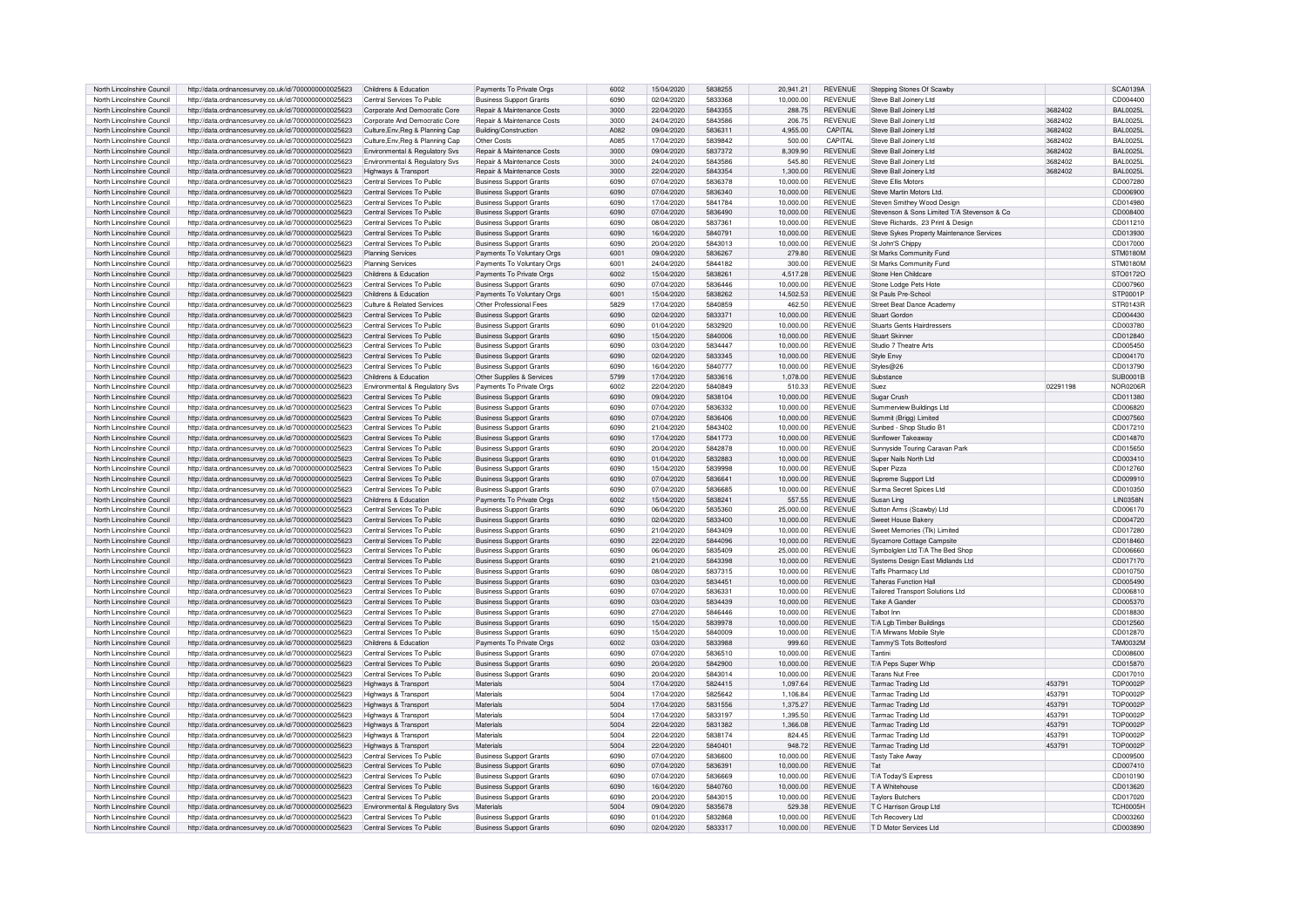| North Lincolnshire Council | http://data.ordnancesurvey.co.uk/id/7000000000025623 | Childrens & Education            | Payments To Private Orgs              | 6002 | 15/04/2020 | 5838255 | 20.941.21 | <b>REVENUE</b> | Stepping Stones Of Scawby                   |          | <b>SCA0139A</b> |
|----------------------------|------------------------------------------------------|----------------------------------|---------------------------------------|------|------------|---------|-----------|----------------|---------------------------------------------|----------|-----------------|
| North Lincolnshire Council | http://data.ordnancesurvey.co.uk/id/7000000000025623 | Central Services To Public       | <b>Business Support Grants</b>        | 6090 | 02/04/2020 | 5833368 | 10,000.00 | <b>REVENUE</b> | Steve Ball Joinery Ltd                      |          | CD004400        |
| North Lincolnshire Council | http://data.ordnancesurvey.co.uk/id/7000000000025623 | Corporate And Democratic Core    | <b>Benair &amp; Maintenance Costs</b> | 3000 | 22/04/2020 | 5843355 | 288.75    | <b>REVENUE</b> | Steve Ball Joinery Ltd                      | 3682402  | <b>BAL0025L</b> |
| North Lincolnshire Council | http://data.ordnancesurvey.co.uk/id/7000000000025623 | Corporate And Democratic Core    | <b>Benair &amp; Maintenance Costs</b> | 3000 | 24/04/2020 | 5843586 | 206.75    | <b>REVENUE</b> | Steve Ball Joinery Ltd                      | 3682402  | <b>BAL0025L</b> |
| North Lincolnshire Council | http://data.ordnancesurvey.co.uk/id/7000000000025623 |                                  | Building/Construction                 | A082 | 09/04/2020 | 5836311 | 4.955.00  | CAPITAL        | Steve Ball Joinery Ltd                      | 3682402  | <b>BAL0025L</b> |
| North Lincolnshire Council | http://data.ordnancesurvey.co.uk/id/7000000000025623 | Culture, Env, Reg & Planning Cap | Other Costs                           | A085 | 17/04/2020 | 5839842 | 500.00    | CAPITAL        | Steve Ball Joinery Ltd                      | 3682402  | BAI 0025        |
|                            |                                                      | Culture, Env, Reg & Planning Cap |                                       |      |            |         |           |                |                                             |          |                 |
| North Lincolnshire Council | http://data.ordnancesurvey.co.uk/id/7000000000025623 | Environmental & Regulatory Svs   | <b>Benair &amp; Maintenance Costs</b> | 3000 | 09/04/2020 | 5837372 | 8,309.90  | <b>REVENUE</b> | Steve Ball Joinery Ltd                      | 3682402  | BAI 0025        |
| North Lincolnshire Council | http://data.ordnancesurvey.co.uk/id/7000000000025623 | Environmental & Regulatory Svs   | Repair & Maintenance Costs            | 3000 | 24/04/2020 | 5843586 | 545.80    | REVENUE        | Steve Ball Joinery Ltd                      | 3682402  | <b>BAL0025L</b> |
| North Lincolnshire Council | http://data.ordnancesurvey.co.uk/id/7000000000025623 | Highways & Transport             | Repair & Maintenance Costs            | 3000 | 22/04/2020 | 5843354 | 1,300.00  | <b>REVENUE</b> | Steve Ball Joinery Ltd                      | 3682402  | <b>BAL0025L</b> |
| North Lincolnshire Council | http://data.ordnancesurvey.co.uk/id/7000000000025623 | Central Services To Public       | <b>Business Support Grants</b>        | 6090 | 07/04/2020 | 5836378 | 10,000.00 | <b>REVENUE</b> | <b>Steve Ellis Motors</b>                   |          | CD007280        |
| North Lincolnshire Council | http://data.ordnancesurvey.co.uk/id/7000000000025623 | Central Services To Public       | <b>Business Support Grants</b>        | 6090 | 07/04/2020 | 5836340 | 10,000.00 | <b>REVENUE</b> | Steve Martin Motors Ltd                     |          | CD006900        |
| North Lincolnshire Council | http://data.ordnancesurvey.co.uk/id/7000000000025623 | Central Services To Public       | <b>Business Support Grants</b>        | 6090 | 17/04/2020 | 5841784 | 10.000.00 | <b>REVENUE</b> | Steven Smithey Wood Design                  |          | CD014980        |
| North Lincolnshire Council | http://data.ordnancesurvey.co.uk/id/7000000000025623 | Central Services To Public       | <b>Business Support Grants</b>        | 6090 | 07/04/2020 | 5836490 | 10,000.00 | <b>REVENUE</b> | Stevenson & Sons Limited T/A Stevenson & Co |          | CD008400        |
| North Lincolnshire Council | http://data.ordnancesurvey.co.uk/id/7000000000025623 | Central Services To Public       | <b>Business Support Grants</b>        | 6090 | 08/04/2020 | 5837361 | 10,000.00 | <b>REVENUE</b> | Steve Richards, 23 Print & Design           |          | CD011210        |
| North Lincolnshire Council | http://data.ordnancesurvey.co.uk/id/7000000000025623 | Central Services To Public       | <b>Business Support Grants</b>        | 6090 | 16/04/2020 | 5840791 | 10.000.00 | <b>REVENUE</b> | Steve Sykes Property Maintenance Services   |          | CD013930        |
| North Lincolnshire Council | http://data.ordnancesurvey.co.uk/id/7000000000025623 | Central Services To Public       | <b>Business Support Grants</b>        | 6090 | 20/04/2020 | 5843013 | 10.000.00 | <b>REVENUE</b> | St John'S Chippy                            |          | CD017000        |
|                            |                                                      |                                  |                                       | 6001 | 09/04/2020 | 5836267 |           | <b>REVENUE</b> |                                             |          |                 |
| North Lincolnshire Council | http://data.ordnancesurvey.co.uk/id/7000000000025623 | Planning Services                | Payments To Voluntary Orgs            |      |            |         | 279.80    |                | St Marks Community Fund                     |          | STM0180M        |
| North Lincolnshire Council | http://data.ordnancesurvey.co.uk/id/7000000000025623 | <b>Planning Services</b>         | Payments To Voluntary Orgs            | 6001 | 24/04/2020 | 5844182 | 300.00    | <b>REVENUE</b> | St Marks Community Fund                     |          | <b>STM0180M</b> |
| North Lincolnshire Council | http://data.ordnancesurvey.co.uk/id/7000000000025623 | Childrens & Education            | Payments To Private Orgs              | 6002 | 15/04/2020 | 5838261 | 4.517.28  | <b>REVENUE</b> | Stone Hen Childcare                         |          | STO0172O        |
| North Lincolnshire Council | http://data.ordnancesurvey.co.uk/id/7000000000025623 | Central Services To Public       | <b>Business Support Grants</b>        | 6090 | 07/04/2020 | 5836446 | 10,000.00 | <b>REVENUE</b> | Stone Lodge Pets Hote                       |          | CD007960        |
| North Lincolnshire Council | http://data.ordnancesurvey.co.uk/id/7000000000025623 | Childrens & Education            | Payments To Voluntary Orgs            | 6001 | 15/04/2020 | 5838262 | 14.502.53 | <b>REVENUE</b> | St Pauls Pre-School                         |          | STP0001P        |
| North Lincolnshire Council | http://data.ordnancesurvey.co.uk/id/7000000000025623 | Culture & Related Services       | Other Professional Fees               | 5829 | 17/04/2020 | 5840859 | 462.50    | <b>REVENUE</b> | Street Beat Dance Academy                   |          | STR0143F        |
| North Lincolnshire Council | http://data.ordnancesurvey.co.uk/id/7000000000025623 | Central Services To Public       | <b>Business Support Grants</b>        | 6090 | 02/04/2020 | 5833371 | 10,000.00 | <b>REVENUE</b> | Stuart Gordon                               |          | CD004430        |
| North Lincolnshire Council | http://data.ordnancesurvey.co.uk/id/7000000000025623 | Central Services To Public       | <b>Business Support Grants</b>        | 6090 | 01/04/2020 | 5832920 | 10,000.00 | <b>REVENUE</b> | Stuarts Gents Hairdressers                  |          | CD003780        |
| North Lincolnshire Council | http://data.ordnancesurvey.co.uk/id/7000000000025623 | Central Services To Public       | <b>Business Support Grants</b>        | 6090 | 15/04/2020 | 5840006 | 10,000.00 | <b>REVENUE</b> | Stuart Skinner                              |          | CD012840        |
| North Lincolnshire Council | http://data.ordnancesurvey.co.uk/id/7000000000025623 | Central Services To Public       | <b>Business Support Grants</b>        | 6090 | 03/04/2020 | 5834447 | 10.000.00 | <b>REVENUE</b> | Studio 7 Theatre Arts                       |          | CD005450        |
| North Lincolnshire Council |                                                      | Central Services To Public       |                                       | 6090 | 02/04/2020 | 5833345 | 10.000.00 | <b>REVENUE</b> |                                             |          |                 |
|                            | http://data.ordnancesurvey.co.uk/id/7000000000025623 |                                  | <b>Business Support Grants</b>        |      |            |         |           |                | <b>Style Envy</b>                           |          | CD004170        |
| North Lincolnshire Council | http://data.ordnancesurvey.co.uk/id/7000000000025623 | Central Services To Public       | Business Support Grants               | 6090 | 16/04/2020 | 5840777 | 10,000.00 | <b>REVENUE</b> | Styles@26                                   |          | CD013790        |
| North Lincolnshire Council | http://data.ordnancesurvey.co.uk/id/7000000000025623 | Childrens & Education            | Other Supplies & Services             | 5799 | 17/04/2020 | 5833616 | 1,078.00  | <b>REVENUE</b> | Substance                                   |          | SUB0001B        |
| North Lincolnshire Council | http://data.ordnancesurvey.co.uk/id/7000000000025623 | Environmental & Regulatory Svs   | Payments To Private Orgs              | 6002 | 22/04/2020 | 5840849 | 510.33    | <b>REVENUE</b> | Suez                                        | 02291198 | NOR0206R        |
| North Lincolnshire Council | http://data.ordnancesurvey.co.uk/id/7000000000025623 | Central Services To Public       | <b>Business Support Grants</b>        | 6090 | 09/04/2020 | 5838104 | 10,000.00 | <b>REVENUE</b> | Sugar Crush                                 |          | CD011380        |
| North Lincolnshire Council | http://data.ordnancesurvey.co.uk/id/7000000000025623 | Central Services To Public       | <b>Business Support Grants</b>        | 6090 | 07/04/2020 | 5836332 | 10,000.00 | <b>REVENUE</b> | Summerview Buildings Ltd                    |          | CD006820        |
| North Lincolnshire Council | http://data.ordnancesurvey.co.uk/id/7000000000025623 | Central Services To Public       | <b>Business Support Grants</b>        | 6090 | 07/04/2020 | 5836406 | 10.000.00 | <b>REVENUE</b> | Summit (Brigg) Limited                      |          | CD007560        |
| North Lincolnshire Council | http://data.ordnancesurvey.co.uk/id/7000000000025623 | Central Services To Public       | <b>Business Support Grants</b>        | 6090 | 21/04/2020 | 5843402 | 10.000.00 | <b>REVENUE</b> | Sunbed - Shop Studio B1                     |          | CD017210        |
| North Lincolnshire Council | http://data.ordnancesurvey.co.uk/id/7000000000025623 | Central Services To Public       | <b>Business Support Grants</b>        | 6090 | 17/04/2020 | 5841773 | 10,000.00 | <b>REVENUE</b> | Sunflower Takeaway                          |          | CD014870        |
| North Lincolnshire Council | http://data.ordnancesurvey.co.uk/id/7000000000025623 | Central Services To Public       | <b>Business Support Grants</b>        | 6090 | 20/04/2020 | 5842878 | 10.000.00 | <b>REVENUE</b> |                                             |          | CD015650        |
|                            |                                                      |                                  |                                       |      |            |         |           |                | Sunnyside Touring Caravan Park              |          |                 |
| North Lincolnshire Council | http://data.ordnancesurvey.co.uk/id/7000000000025623 | Central Services To Public       | <b>Business Support Grants</b>        | 6090 | 01/04/2020 | 5832883 | 10,000.00 | <b>REVENUE</b> | Super Nails North Ltd                       |          | CD003410        |
| North Lincolnshire Council | http://data.ordnancesurvey.co.uk/id/7000000000025623 | Central Services To Public       | <b>Business Support Grants</b>        | 6090 | 15/04/2020 | 5839998 | 10,000.00 | <b>REVENUE</b> | Super Pizza                                 |          | CD012760        |
| North Lincolnshire Council | http://data.ordnancesurvey.co.uk/id/7000000000025623 | Central Services To Public       | <b>Business Support Grants</b>        | 6090 | 07/04/2020 | 5836641 | 10.000.00 | <b>REVENUE</b> | Supreme Support Ltd                         |          | CD009910        |
| North Lincolnshire Council | http://data.ordnancesurvey.co.uk/id/7000000000025623 | Central Services To Public       | <b>Business Support Grants</b>        | 6090 | 07/04/2020 | 5836685 | 10,000.00 | <b>REVENUE</b> | Surma Secret Spices Ltd                     |          | CD010350        |
| North Lincolnshire Council | http://data.ordnancesurvey.co.uk/id/7000000000025623 | Childrens & Education            | Payments To Private Orgs              | 6002 | 15/04/2020 | 5838241 | 557.55    | REVENUE        | Susan Ling                                  |          | <b>LIN0358N</b> |
| North Lincolnshire Council | http://data.ordnancesurvey.co.uk/id/7000000000025623 | Central Services To Public       | <b>Business Support Grants</b>        | 6090 | 06/04/2020 | 5835360 | 25,000.00 | <b>REVENUE</b> | Sutton Arms (Scawby) Ltd                    |          | CD006170        |
| North Lincolnshire Council | http://data.ordnancesurvey.co.uk/id/7000000000025623 | Central Services To Public       | <b>Business Support Grants</b>        | 6090 | 02/04/2020 | 5833400 | 10,000.00 | <b>REVENUE</b> | Sweet House Bakery                          |          | CD004720        |
| North Lincolnshire Council | http://data.ordnancesurvey.co.uk/id/7000000000025623 | Central Services To Public       | <b>Business Support Grants</b>        | 6090 | 21/04/2020 | 5843409 | 10,000.00 | <b>REVENUE</b> | Sweet Memories (Tlk) Limited                |          | CD017280        |
| North Lincolnshire Council | http://data.ordnancesurvey.co.uk/id/7000000000025623 | Central Services To Public       | <b>Business Support Grants</b>        | 6090 | 22/04/2020 | 5844096 | 10.000.00 | <b>REVENUE</b> | Sycamore Cottage Campsite                   |          | CD018460        |
| North Lincolnshire Council | http://data.ordnancesurvey.co.uk/id/7000000000025623 | Central Services To Public       | <b>Business Support Grants</b>        | 6090 | 06/04/2020 | 5835409 | 25,000.00 | <b>REVENUE</b> | Symbolglen Ltd T/A The Bed Shop             |          | CD006660        |
| North Lincolnshire Council | http://data.ordnancesurvey.co.uk/id/7000000000025623 | Central Services To Public       | <b>Business Support Grants</b>        | 6090 | 21/04/2020 | 5843398 | 10,000.00 | <b>REVENUE</b> | Systems Design East Midlands Ltd            |          | CD017170        |
|                            |                                                      |                                  |                                       |      |            |         |           |                |                                             |          |                 |
| North Lincolnshire Council | http://data.ordnancesurvey.co.uk/id/7000000000025623 | Central Services To Public       | <b>Business Support Grants</b>        | 6090 | 08/04/2020 | 5837315 | 10.000.00 | <b>REVENUE</b> | Taffs Pharmacy I td                         |          | CD010750        |
| North Lincolnshire Council | http://data.ordnancesurvey.co.uk/id/7000000000025623 | Central Services To Public       | <b>Business Support Grants</b>        | 6090 | 03/04/2020 | 5834451 | 10.000.00 | <b>REVENUE</b> | <b>Taheras Function Hall</b>                |          | CD005490        |
| North Lincolnshire Council | http://data.ordnancesurvey.co.uk/id/7000000000025623 | Central Services To Public       | <b>Business Support Grants</b>        | 6090 | 07/04/2020 | 5836331 | 10,000.00 | <b>REVENUE</b> | Tailored Transport Solutions Ltd            |          | CD006810        |
| North Lincolnshire Council | http://data.ordnancesurvey.co.uk/id/7000000000025623 | Central Services To Public       | <b>Business Support Grants</b>        | 6090 | 03/04/2020 | 5834439 | 10,000.00 | <b>REVENUE</b> | <b>Take A Gander</b>                        |          | CD005370        |
| North Lincolnshire Council | http://data.ordnancesurvey.co.uk/id/7000000000025623 | Central Services To Public       | <b>Business Support Grants</b>        | 6090 | 27/04/2020 | 5846446 | 10.000.00 | <b>REVENUE</b> | Talbot Inn                                  |          | CD018830        |
| North Lincolnshire Council | http://data.ordnancesurvey.co.uk/id/7000000000025623 | Central Services To Public       | <b>Business Support Grants</b>        | 6090 | 15/04/2020 | 5839978 | 10,000.00 | <b>REVENUE</b> | T/A Lgb Timber Buildings                    |          | CD012560        |
| North Lincolnshire Council | http://data.ordnancesurvey.co.uk/id/7000000000025623 | Central Services To Public       | <b>Business Support Grants</b>        | 6090 | 15/04/2020 | 5840009 | 10,000.00 | REVENUE        | T/A Mirwans Mobile Style                    |          | CD012870        |
| North Lincolnshire Council | http://data.ordnancesurvey.co.uk/id/7000000000025623 | Childrens & Education            | Payments To Private Org               | 6002 | 03/04/2020 | 5833988 | 999.60    | <b>REVENUE</b> | Tammy'S Tots Bottesford                     |          | TAM0032M        |
| North Lincolnshire Council | http://data.ordnancesurvey.co.uk/id/7000000000025623 | Central Services To Public       | <b>Business Support Grants</b>        | 6090 | 07/04/2020 | 5836510 | 10.000.00 | <b>REVENUE</b> | Tantini                                     |          | CD008600        |
| North Lincolnshire Council | http://data.ordnancesurvey.co.uk/id/7000000000025623 | Central Services To Public       | <b>Business Support Grants</b>        | 6090 | 20/04/2020 | 5842900 | 10.000.00 | <b>REVENUE</b> | T/A Peps Super Whip                         |          | CD015870        |
| North Lincolnshire Council | http://data.ordnancesurvey.co.uk/id/7000000000025623 | Central Services To Public       | <b>Business Support Grants</b>        | 6090 | 20/04/2020 | 5843014 | 10,000.00 | <b>REVENUE</b> | <b>Tarans Nut Free</b>                      |          | CD017010        |
|                            |                                                      |                                  | Materials                             |      |            |         |           |                |                                             |          |                 |
| North Lincolnshire Council | http://data.ordnancesurvey.co.uk/id/7000000000025623 | Highways & Transport             |                                       | 5004 | 17/04/2020 | 5824415 | 1,097.64  | <b>REVENUE</b> | <b>Tarmac Trading Ltd</b>                   | 453791   | <b>TOP0002P</b> |
| North Lincolnshire Council | http://data.ordnancesurvey.co.uk/id/7000000000025623 | Highways & Transport             | Materials                             | 5004 | 17/04/2020 | 5825642 | 1.106.84  | <b>REVENUE</b> | <b>Tarmac Trading Ltd</b>                   | 45379    | <b>TOP0002P</b> |
| North Lincolnshire Council | http://data.ordnancesurvey.co.uk/id/7000000000025623 | Highways & Transport             | Materials                             | 5004 | 17/04/2020 | 5831556 | 1,375.27  | <b>REVENUE</b> | <b>Tarmac Trading Ltd</b>                   | 453791   | <b>TOP0002P</b> |
| North Lincolnshire Council | http://data.ordnancesurvey.co.uk/id/7000000000025623 | Highways & Transport             | Materials                             | 5004 | 17/04/2020 | 5833197 | 1.395.50  | <b>REVENUE</b> | <b>Tarmac Trading Ltd</b>                   | 45379    | TOP0002F        |
| North Lincolnshire Council | http://data.ordnancesurvey.co.uk/id/7000000000025623 | Highways & Transport             | Materials                             | 5004 | 22/04/2020 | 5831382 | 1,366.08  | <b>REVENUE</b> | <b>Tarmac Trading Ltd</b>                   | 45379    | <b>TOP0002P</b> |
| North Lincolnshire Council | http://data.ordnancesurvey.co.uk/id/7000000000025623 | Highways & Transport             | Materials                             | 5004 | 22/04/2020 | 5838174 | 824.45    | <b>REVENUE</b> | <b>Tarmac Trading Ltd</b>                   | 453791   | <b>TOP0002F</b> |
| North Lincolnshire Council | http://data.ordnancesurvey.co.uk/id/7000000000025623 | Highways & Transport             | Materials                             | 5004 | 22/04/2020 | 5840401 | 948.72    | <b>REVENUE</b> | <b>Tarmac Trading Ltd</b>                   | 453791   | <b>TOP0002P</b> |
| North Lincolnshire Council | http://data.ordnancesurvey.co.uk/id/7000000000025623 | Central Services To Public       | <b>Business Support Grants</b>        | 6090 | 07/04/2020 | 5836600 | 10.000.00 | <b>REVENUE</b> | <b>Tasty Take Away</b>                      |          | CD009500        |
| North Lincolnshire Council | http://data.ordnancesurvey.co.uk/id/7000000000025623 | Central Services To Public       | <b>Business Support Grants</b>        | 6090 | 07/04/2020 | 5836391 | 10.000.00 | <b>REVENUE</b> | Tat                                         |          | CD007410        |
| North Lincolnshire Council | http://data.ordnancesurvey.co.uk/id/7000000000025623 | Central Services To Public       | <b>Business Support Grants</b>        | 6090 | 07/04/2020 | 5836669 | 10,000.00 | <b>REVENUE</b> | T/A Today'S Express                         |          | CD010190        |
| North Lincolnshire Council | http://data.ordnancesurvey.co.uk/id/7000000000025623 | Central Services To Public       | <b>Business Support Grants</b>        | 6090 | 16/04/2020 | 5840760 | 10,000.00 | <b>REVENUE</b> | T A Whitehouse                              |          | CD013620        |
| North Lincolnshire Council | http://data.ordnancesurvey.co.uk/id/7000000000025623 | Central Services To Public       | <b>Business Support Grants</b>        | 6090 | 20/04/2020 | 5843015 | 10.000.00 | <b>REVENUE</b> | <b>Taylors Butchers</b>                     |          | CD017020        |
|                            |                                                      |                                  |                                       |      |            |         |           |                |                                             |          |                 |
| North Lincolnshire Council | http://data.ordnancesurvey.co.uk/id/7000000000025623 | Environmental & Regulatory Sys   | Materials                             | 5004 | 09/04/2020 | 5835678 | 529.38    | <b>REVENUE</b> | T C Harrison Group Ltd                      |          | <b>TCH0005H</b> |
| North Lincolnshire Council | http://data.ordnancesurvey.co.uk/id/7000000000025623 | Central Services To Public       | <b>Business Support Grants</b>        | 6090 | 01/04/2020 | 5832868 | 10.000.00 | <b>REVENUE</b> | <b>Tch Recovery Ltd</b>                     |          | CD003260        |
| North Lincolnshire Council | http://data.ordnancesurvey.co.uk/id/7000000000025623 | Central Services To Public       | <b>Business Support Grants</b>        | 6090 | 02/04/2020 | 5833317 | 10.000.00 | <b>REVENUE</b> | T D Motor Services Ltd                      |          | CD003890        |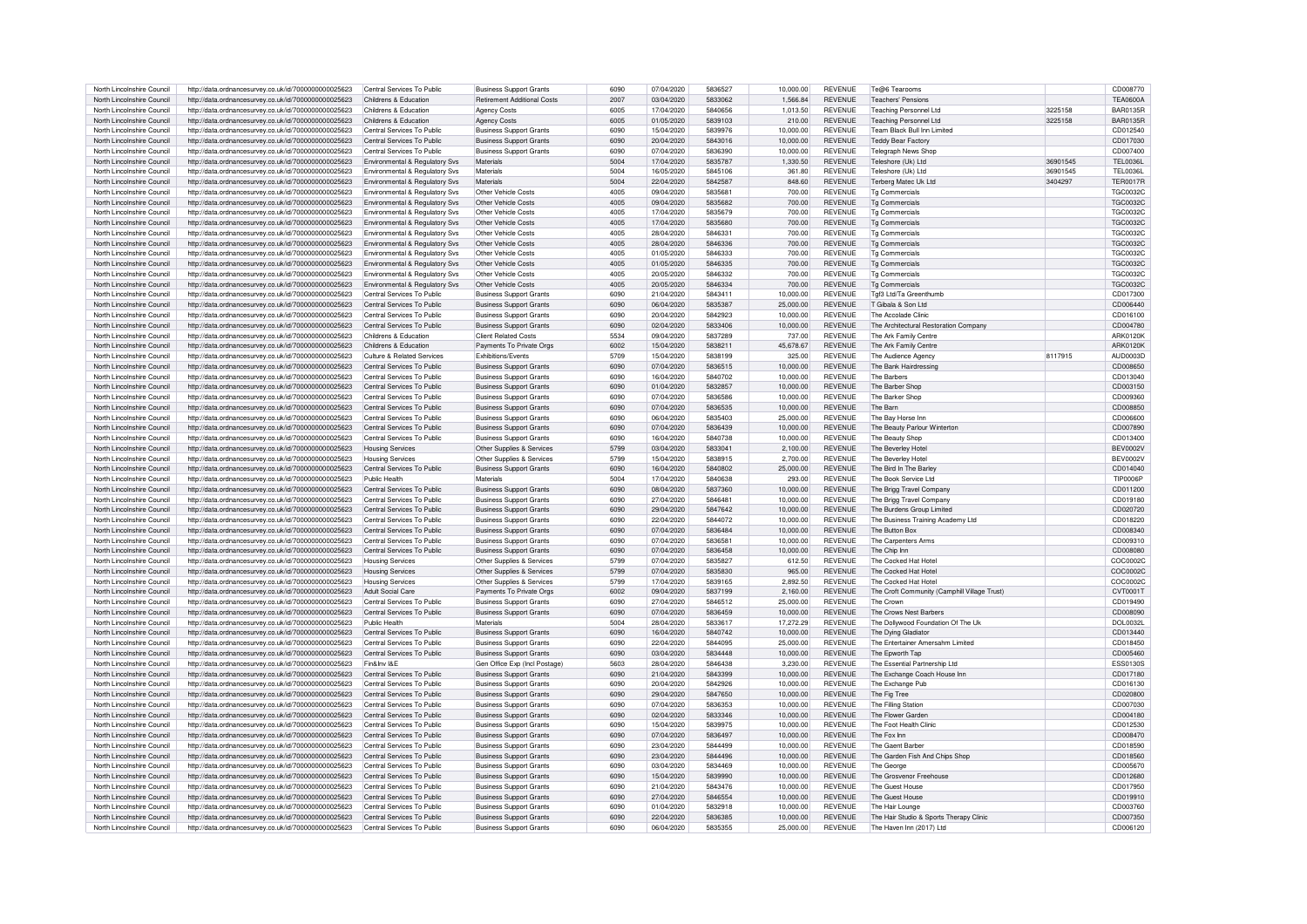| North Lincolnshire Council                               | http://data.ordnancesurvey.co.uk/id/7000000000025623                                                         | Central Services To Public                               | <b>Business Support Grants</b>                                   | 6090         | 07/04/2020               | 5836527            | 10.000.00              | <b>REVENUE</b>                   | Te@6 Tearooms                                                       |          | CD008770             |
|----------------------------------------------------------|--------------------------------------------------------------------------------------------------------------|----------------------------------------------------------|------------------------------------------------------------------|--------------|--------------------------|--------------------|------------------------|----------------------------------|---------------------------------------------------------------------|----------|----------------------|
| North Lincolnshire Council                               | http://data.ordnancesurvey.co.uk/id/7000000000025623                                                         | Childrens & Education                                    | <b>Retirement Additional Costs</b>                               | 2007         | 03/04/2020               | 5833062            | 1.566.84               | <b>REVENUE</b>                   | <b>Teachers' Pensions</b>                                           |          | <b>TFA0600A</b>      |
|                                                          |                                                                                                              |                                                          |                                                                  |              |                          |                    |                        |                                  |                                                                     |          |                      |
| North Lincolnshire Council                               | http://data.ordnancesurvey.co.uk/id/7000000000025623                                                         | Childrens & Education                                    | <b>Agency Costs</b>                                              | 6005         | 17/04/2020               | 5840656            | 1.013.50               | <b>REVENUE</b>                   | Teaching Personnel Ltd                                              | 3225158  | <b>BAR0135R</b>      |
| North Lincolnshire Council                               | http://data.ordnancesurvey.co.uk/id/7000000000025623                                                         | Childrens & Education                                    | <b>Agency Costs</b>                                              | 6005         | 01/05/2020               | 5839103            | 210.00                 | <b>REVENUE</b>                   | <b>Teaching Personnel Ltd</b>                                       | 3225158  | <b>BAR0135R</b>      |
| North Lincolnshire Council                               | http://data.ordnancesurvey.co.uk/id/7000000000025623                                                         | Central Services To Public                               | <b>Business Support Grants</b>                                   | 6090         | 15/04/2020               | 5839976            | 10.000.00              | <b>REVENUE</b>                   | Team Black Bull Inn Limited                                         |          | CD012540             |
| North Lincolnshire Council                               | http://data.ordnancesurvey.co.uk/id/7000000000025623                                                         | Central Services To Public                               | <b>Business Support Grants</b>                                   | 6090         | 20/04/2020               | 5843016            | 10,000.00              | <b>REVENUE</b>                   | <b>Teddy Bear Factory</b>                                           |          | CD017030             |
| North Lincolnshire Council                               | http://data.ordnancesurvey.co.uk/id/7000000000025623                                                         | Central Services To Public                               | <b>Business Support Grants</b>                                   | 6090         | 07/04/2020               | 5836390            | 10.000.00              | <b>REVENUE</b>                   | <b>Telegraph News Shop</b>                                          |          | CD007400             |
|                                                          |                                                                                                              |                                                          |                                                                  | 5004         |                          | 5835787            |                        | <b>REVENUE</b>                   | Teleshore (Uk) Ltd                                                  | 36901545 | TFI 00361            |
| North Lincolnshire Council                               | http://data.ordnancesurvey.co.uk/id/7000000000025623                                                         | Environmental & Regulatory Svs                           | Materials                                                        |              | 17/04/2020               |                    | 1,330.50               |                                  |                                                                     |          |                      |
| North Lincolnshire Council                               | http://data.ordnancesurvey.co.uk/id/7000000000025623                                                         | Environmental & Regulatory Svs                           | Materials                                                        | 5004         | 16/05/2020               | 5845106            | 361.80                 | <b>REVENUE</b>                   | Teleshore (Uk) Ltd                                                  | 36901545 | <b>TEL0036L</b>      |
| North Lincolnshire Council                               | http://data.ordnancesurvey.co.uk/id/7000000000025623                                                         | Environmental & Regulatory Sys                           | Materials                                                        | 5004         | 22/04/2020               | 5842587            | 848.60                 | <b>REVENUE</b>                   | Terberg Matec Uk Ltd                                                | 3404297  | <b>TER0017R</b>      |
| North Lincolnshire Council                               | http://data.ordnancesurvey.co.uk/id/7000000000025623                                                         | Environmental & Regulatory Svs                           | Other Vehicle Costs                                              | 4005         | 09/04/2020               | 5835681            | 700.00                 | <b>REVENUE</b>                   | Tg Commercials                                                      |          | <b>TGC0032C</b>      |
| North Lincolnshire Council                               | http://data.ordnancesurvey.co.uk/id/7000000000025623                                                         | Environmental & Regulatory Svs                           | Other Vehicle Costs                                              | 4005         | 09/04/2020               | 5835682            | 700.00                 | <b>REVENUE</b>                   | <b>Tg Commercials</b>                                               |          | <b>TGC0032C</b>      |
| North Lincolnshire Council                               | http://data.ordnancesurvey.co.uk/id/7000000000025623                                                         | Environmental & Regulatory Svs                           | Other Vehicle Costs                                              | 4005         | 17/04/2020               | 5835679            | 700.00                 | <b>REVENUE</b>                   | <b>Tg Commercials</b>                                               |          | <b>TGC0032C</b>      |
| North Lincolnshire Council                               | http://data.ordnancesurvey.co.uk/id/7000000000025623                                                         | Environmental & Regulatory Svs                           | Other Vehicle Costs                                              | 4005         | 17/04/2020               | 5835680            | 700.00                 | <b>REVENUE</b>                   | <b>Tg Commercials</b>                                               |          | <b>TGC0032C</b>      |
| North Lincolnshire Council                               |                                                                                                              |                                                          | Other Vehicle Costs                                              | 4005         | 28/04/2020               | 5846331            | 700.00                 | <b>REVENUE</b>                   | To Commercials                                                      |          | <b>TGC0032C</b>      |
|                                                          | http://data.ordnancesurvey.co.uk/id/7000000000025623                                                         | Environmental & Regulatory Svs                           |                                                                  |              |                          |                    |                        |                                  |                                                                     |          |                      |
| North Lincolnshire Council                               | http://data.ordnancesurvey.co.uk/id/7000000000025623                                                         | Environmental & Regulatory Svs                           | Other Vehicle Costs                                              | 4005         | 28/04/2020               | 5846336            | 700.00                 | <b>REVENUE</b>                   | <b>Tg Commercials</b>                                               |          | <b>TGC0032C</b>      |
| North Lincolnshire Council                               | http://data.ordnancesurvey.co.uk/id/7000000000025623                                                         | Environmental & Regulatory Svs                           | Other Vehicle Costs                                              | 4005         | 01/05/2020               | 5846333            | 700.00                 | <b>REVENUE</b>                   | <b>Tg Commercials</b>                                               |          | <b>TGC0032C</b>      |
| North Lincolnshire Council                               | http://data.ordnancesurvey.co.uk/id/7000000000025623                                                         | Environmental & Regulatory Svs                           | Other Vehicle Costs                                              | 4005         | 01/05/2020               | 5846335            | 700.00                 | <b>REVENUE</b>                   | <b>Tg Commercials</b>                                               |          | <b>TGC0032C</b>      |
| North Lincolnshire Council                               | http://data.ordnancesurvey.co.uk/id/7000000000025623                                                         | Environmental & Regulatory Svs                           | Other Vehicle Costs                                              | 4005         | 20/05/2020               | 5846332            | 700.00                 | <b>REVENUE</b>                   | To Commercials                                                      |          | <b>TGC0032C</b>      |
| North Lincolnshire Council                               | http://data.ordnancesurvey.co.uk/id/7000000000025623                                                         | Environmental & Regulatory Svs                           | Other Vehicle Costs                                              | 4005         | 20/05/2020               | 5846334            | 700.00                 | <b>REVENUE</b>                   | <b>Tg Commercials</b>                                               |          | <b>TGC0032C</b>      |
| North Lincolnshire Council                               | http://data.ordnancesurvey.co.uk/id/7000000000025623                                                         | Central Services To Public                               | <b>Business Support Grants</b>                                   | 6090         | 21/04/2020               | 5843411            | 10.000.00              | <b>REVENUE</b>                   | Tgf3 Ltd/Ta Greenthumb                                              |          | CD017300             |
| North Lincolnshire Council                               | http://data.ordnancesurvey.co.uk/id/7000000000025623                                                         | Central Services To Public                               | <b>Business Support Grants</b>                                   | 6090         | 06/04/2020               | 5835387            | 25,000.00              | <b>REVENUE</b>                   | T Gibala & Son Ltd                                                  |          | CD006440             |
|                                                          |                                                                                                              |                                                          |                                                                  |              |                          |                    |                        |                                  |                                                                     |          |                      |
| North Lincolnshire Council                               | http://data.ordnancesurvey.co.uk/id/7000000000025623                                                         | Central Services To Public                               | <b>Business Support Grants</b>                                   | 6090         | 20/04/2020               | 5842923            | 10,000.00              | <b>REVENUE</b>                   | The Accolade Clinic                                                 |          | CD016100             |
| North Lincolnshire Council                               | http://data.ordnancesurvey.co.uk/id/7000000000025623                                                         | Central Services To Public                               | <b>Business Support Grants</b>                                   | 6090         | 02/04/2020               | 5833406            | 10,000.00              | <b>REVENUE</b>                   | The Architectural Restoration Company                               |          | CD004780             |
| North Lincolnshire Council                               | http://data.ordnancesurvey.co.uk/id/7000000000025623                                                         | Childrens & Education                                    | <b>Client Related Costs</b>                                      | 5534         | 09/04/2020               | 5837289            | 737.00                 | <b>REVENUE</b>                   | The Ark Family Centre                                               |          | ARK0120K             |
| North Lincolnshire Council                               | http://data.ordnancesurvey.co.uk/id/7000000000025623                                                         | Childrens & Education                                    | Payments To Private Orgs                                         | 6002         | 15/04/2020               | 5838211            | 45,678.67              | <b>REVENUE</b>                   | The Ark Family Centre                                               |          | <b>ARK0120K</b>      |
| North Lincolnshire Council                               | http://data.ordnancesurvey.co.uk/id/7000000000025623                                                         | Culture & Related Services                               | <b>Fxhibitions/Fvents</b>                                        | 5709         | 15/04/2020               | 5838199            | 325.00                 | <b>REVENUE</b>                   | The Audience Agency                                                 | 8117915  | AUD0003D             |
| North Lincolnshire Council                               | http://data.ordnancesurvey.co.uk/id/7000000000025623                                                         | Central Services To Public                               | <b>Business Support Grants</b>                                   | 6090         | 07/04/2020               | 5836515            | 10.000.00              | <b>REVENUE</b>                   | The Bank Hairdressing                                               |          | CD008650             |
| North Lincolnshire Council                               | http://data.ordnancesurvey.co.uk/id/7000000000025623                                                         | Central Services To Public                               | <b>Business Support Grants</b>                                   | 6090         | 16/04/2020               | 5840702            | 10,000.00              | <b>REVENUE</b>                   | The Barbers                                                         |          | CD013040             |
|                                                          |                                                                                                              | Central Services To Public                               |                                                                  | 6090         |                          | 5832857            |                        | <b>REVENUE</b>                   |                                                                     |          |                      |
| North Lincolnshire Council                               | http://data.ordnancesurvey.co.uk/id/7000000000025623                                                         |                                                          | <b>Business Support Grants</b>                                   |              | 01/04/2020               |                    | 10,000.00              |                                  | The Barber Shop                                                     |          | CD003150             |
| North Lincolnshire Council                               | http://data.ordnancesurvey.co.uk/id/7000000000025623                                                         | Central Services To Public                               | <b>Business Support Grants</b>                                   | 6090         | 07/04/2020               | 5836586            | 10.000.00              | <b>REVENUE</b>                   | The Barker Shop                                                     |          | CD009360             |
| North Lincolnshire Council                               | http://data.ordnancesurvey.co.uk/id/7000000000025623                                                         | Central Services To Public                               | <b>Business Support Grants</b>                                   | 6090         | 07/04/2020               | 5836535            | 10,000.00              | <b>REVENUE</b>                   | The Barn                                                            |          | CD008850             |
| North Lincolnshire Council                               | http://data.ordnancesurvey.co.uk/id/7000000000025623                                                         | Central Services To Public                               | <b>Business Support Grants</b>                                   | 6090         | 06/04/2020               | 5835403            | 25.000.00              | <b>REVENUE</b>                   | The Bay Horse Inn                                                   |          | CD006600             |
| North Lincolnshire Council                               | http://data.ordnancesurvey.co.uk/id/7000000000025623                                                         | Central Services To Public                               | <b>Business Support Grants</b>                                   | 6090         | 07/04/2020               | 5836439            | 10.000.00              | <b>REVENUE</b>                   | The Beauty Parlour Winterton                                        |          | CD007890             |
| North Lincolnshire Council                               | http://data.ordnancesurvey.co.uk/id/7000000000025623                                                         | Central Services To Public                               | <b>Business Support Grants</b>                                   | 6090         | 16/04/2020               | 5840738            | 10,000.00              | <b>REVENUE</b>                   | The Beauty Shop                                                     |          | CD013400             |
| North Lincolnshire Council                               | http://data.ordnancesurvey.co.uk/id/7000000000025623                                                         | <b>Housing Services</b>                                  | Other Supplies & Services                                        | 5799         | 03/04/2020               | 5833041            | 2.100.00               | <b>REVENUE</b>                   | The Beverley Hote                                                   |          | <b>BEV0002V</b>      |
| North Lincolnshire Council                               | http://data.ordnancesurvey.co.uk/id/7000000000025623                                                         | Housing Services                                         | Other Supplies & Services                                        |              |                          |                    |                        |                                  |                                                                     |          |                      |
|                                                          |                                                                                                              |                                                          |                                                                  |              |                          |                    |                        |                                  |                                                                     |          |                      |
|                                                          |                                                                                                              |                                                          |                                                                  | 5799         | 15/04/2020               | 5838915            | 2.700.00               | <b>REVENUE</b>                   | The Beverley Hote                                                   |          | <b>BEV0002V</b>      |
| North Lincolnshire Council                               | http://data.ordnancesurvey.co.uk/id/7000000000025623                                                         | Central Services To Public                               | <b>Business Support Grants</b>                                   | 6090         | 16/04/2020               | 5840802            | 25,000.00              | <b>REVENUE</b>                   | The Bird In The Barley                                              |          | CD014040             |
| North Lincolnshire Council                               | http://data.ordnancesurvey.co.uk/id/7000000000025623                                                         | Public Health                                            | Materials                                                        | 5004         | 17/04/2020               | 5840638            | 293.00                 | <b>REVENUE</b>                   | The Book Service Ltd                                                |          | TIP0006F             |
| North Lincolnshire Council                               | http://data.ordnancesurvey.co.uk/id/7000000000025623                                                         | Central Services To Public                               | <b>Business Support Grants</b>                                   | 6090         | 08/04/2020               | 5837360            | 10.000.00              | <b>REVENUE</b>                   | The Brigg Travel Company                                            |          | CD011200             |
| North Lincolnshire Council                               | http://data.ordnancesurvey.co.uk/id/7000000000025623                                                         | Central Services To Public                               | <b>Business Support Grants</b>                                   | 6090         | 27/04/2020               | 5846481            | 10,000.00              | <b>REVENUE</b>                   | The Brigg Travel Company                                            |          | CD019180             |
|                                                          |                                                                                                              | Central Services To Public                               |                                                                  | 6090         | 29/04/2020               |                    |                        | <b>REVENUE</b>                   |                                                                     |          |                      |
| North Lincolnshire Council                               | http://data.ordnancesurvey.co.uk/id/7000000000025623                                                         |                                                          | <b>Business Support Grants</b>                                   |              |                          | 5847642            | 10,000.00              |                                  | The Burdens Group Limited                                           |          | CD020720             |
| North Lincolnshire Council                               | http://data.ordnancesurvey.co.uk/id/7000000000025623                                                         | Central Services To Public                               | <b>Business Support Grants</b>                                   | 6090         | 22/04/2020               | 5844072            | 10,000.00              | <b>REVENUE</b>                   | The Business Training Academy Ltd                                   |          | CD018220             |
| North Lincolnshire Council                               | http://data.ordnancesurvey.co.uk/id/7000000000025623                                                         | Central Services To Public                               | <b>Business Support Grants</b>                                   | 6090         | 07/04/2020               | 5836484            | 10,000.00              | <b>REVENUE</b>                   | The Button Box                                                      |          | CD008340             |
| North Lincolnshire Council                               | http://data.ordnancesurvey.co.uk/id/7000000000025623                                                         | Central Services To Public                               | <b>Business Support Grants</b>                                   | 6090         | 07/04/2020               | 5836581            | 10.000.00              | <b>REVENUE</b>                   | The Carpenters Arms                                                 |          | CD009310             |
| North Lincolnshire Council                               | http://data.ordnancesurvey.co.uk/id/7000000000025623                                                         | Central Services To Public                               | <b>Business Support Grants</b>                                   | 6090         | 07/04/2020               | 5836458            | 10,000.00              | <b>REVENUE</b>                   | The Chip Inn                                                        |          | CD008080             |
| North Lincolnshire Council                               | http://data.ordnancesurvey.co.uk/id/7000000000025623                                                         | Housing Services                                         | Other Supplies & Services                                        | 5799         | 07/04/2020               | 5835827            | 612.50                 | <b>REVENUE</b>                   | The Cocked Hat Hotel                                                |          | COC0002C             |
| North Lincolnshire Council                               | http://data.ordnancesurvey.co.uk/id/7000000000025623                                                         | <b>Housing Services</b>                                  | Other Supplies & Services                                        | 5799         | 07/04/2020               | 5835830            | 965.00                 | <b>REVENUE</b>                   | The Cocked Hat Hotel                                                |          | COC0002C             |
| North Lincolnshire Council                               | http://data.ordnancesurvey.co.uk/id/7000000000025623                                                         | Housing Services                                         | Other Supplies & Services                                        | 5799         | 17/04/2020               | 5839165            | 2.892.50               | <b>REVENUE</b>                   | The Cocked Hat Hotel                                                |          | COC0002C             |
| North Lincolnshire Council                               | http://data.ordnancesurvey.co.uk/id/7000000000025623                                                         | Adult Social Care                                        | Payments To Private Orgs                                         | 6002         | 09/04/2020               | 5837199            | 2,160.00               | <b>REVENUE</b>                   | The Croft Community (Camphill Village Trust)                        |          | CVT0001T             |
| North Lincolnshire Council                               |                                                                                                              | Central Services To Public                               |                                                                  | 6090         | 27/04/2020               | 5846512            | 25,000.00              | <b>REVENUE</b>                   | The Crown                                                           |          | CD019490             |
| North Lincolnshire Council                               | http://data.ordnancesurvey.co.uk/id/7000000000025623                                                         | Central Services To Public                               | <b>Business Support Grants</b><br><b>Business Support Grants</b> | 6090         | 07/04/2020               | 5836459            |                        | <b>REVENUE</b>                   | The Crows Nest Barbers                                              |          | CD008090             |
|                                                          | http://data.ordnancesurvey.co.uk/id/7000000000025623                                                         |                                                          |                                                                  |              |                          |                    | 10,000.00              |                                  |                                                                     |          |                      |
| North Lincolnshire Council                               | http://data.ordnancesurvey.co.uk/id/7000000000025623                                                         | Public Health                                            | Materials                                                        | 5004         | 28/04/2020               | 5833617            | 17,272.29              | <b>REVENUE</b>                   | The Dollywood Foundation Of The Uk                                  |          | <b>DOL0032L</b>      |
| North Lincolnshire Council                               | http://data.ordnancesurvey.co.uk/id/7000000000025623                                                         | Central Services To Public                               | <b>Business Support Grants</b>                                   | 6090         | 16/04/2020               | 5840742            | 10,000.00              | <b>REVENUE</b>                   | The Dying Gladiator                                                 |          | CD013440             |
| North Lincolnshire Council                               | http://data.ordnancesurvey.co.uk/id/7000000000025623                                                         | Central Services To Public                               | <b>Business Support Grants</b>                                   | 6090         | 22/04/2020               | 5844095            | 25,000.00              | <b>REVENUE</b>                   | The Entertainer Amersahm Limited                                    |          | CD018450             |
| North Lincolnshire Council                               | http://data.ordnancesurvey.co.uk/id/7000000000025623                                                         | Central Services To Public                               | <b>Business Support Grants</b>                                   | 6090         | 03/04/2020               | 5834448            | 10,000.00              | <b>REVENUE</b>                   | The Epworth Tap                                                     |          | CD005460             |
| North Lincolnshire Council                               | http://data.ordnancesurvey.co.uk/id/7000000000025623                                                         | Fin&Inv I&F                                              | Gen Office Exp (Incl Postage)                                    | 5603         | 28/04/2020               | 5846438            | 3.230.00               | <b>REVENUE</b>                   | The Essential Partnership Ltd                                       |          | <b>ESS0130S</b>      |
| North Lincolnshire Council                               | http://data.ordnancesurvey.co.uk/id/7000000000025623                                                         | Central Services To Public                               | <b>Business Support Grants</b>                                   | 6090         | 21/04/2020               | 5843399            | 10,000.00              | <b>REVENUE</b>                   | The Exchange Coach House Inn                                        |          | CD017180             |
| North Lincolnshire Council                               | http://data.ordnancesurvey.co.uk/id/7000000000025623                                                         | Central Services To Public                               | <b>Business Support Grants</b>                                   | 6090         | 20/04/2020               | 5842926            | 10,000.00              | <b>REVENUE</b>                   | The Exchange Pub                                                    |          | CD016130             |
|                                                          |                                                                                                              | Central Services To Public                               | <b>Business Support Grants</b>                                   | 6090         | 29/04/2020               | 5847650            | 10.000.00              | <b>REVENUE</b>                   |                                                                     |          | CD020800             |
| North Lincolnshire Council                               | http://data.ordnancesurvey.co.uk/id/7000000000025623                                                         |                                                          |                                                                  |              |                          |                    |                        |                                  | The Fig Tree                                                        |          |                      |
| North Lincolnshire Council                               | http://data.ordnancesurvey.co.uk/id/7000000000025623                                                         | Central Services To Public                               | <b>Business Support Grants</b>                                   | 6090         | 07/04/2020               | 5836353            | 10.000.00              | <b>REVENUE</b>                   | The Filling Station                                                 |          | CD007030             |
| North Lincolnshire Council                               | http://data.ordnancesurvey.co.uk/id/7000000000025623                                                         | Central Services To Public                               | <b>Business Support Grants</b>                                   | 6090         | 02/04/2020               | 5833346            | 10.000.00              | <b>REVENUE</b>                   | The Flower Garden                                                   |          | CD004180             |
| North Lincolnshire Council                               | http://data.ordnancesurvey.co.uk/id/7000000000025623                                                         | Central Services To Public                               | <b>Business Support Grants</b>                                   | 6090         | 15/04/2020               | 5839975            | 10,000.00              | <b>REVENUE</b>                   | The Foot Health Clinic                                              |          | CD012530             |
| North Lincolnshire Council                               | http://data.ordnancesurvey.co.uk/id/7000000000025623                                                         | Central Services To Public                               | <b>Business Support Grants</b>                                   | 6090         | 07/04/2020               | 5836497            | 10,000.00              | <b>REVENUE</b>                   | The Fox Inn                                                         |          | CD008470             |
| North Lincolnshire Council                               | http://data.ordnancesurvey.co.uk/id/7000000000025623                                                         | Central Services To Public                               | <b>Business Support Grants</b>                                   | 6090         | 23/04/2020               | 5844499            | 10,000.00              | <b>REVENUE</b>                   | The Gaent Barber                                                    |          | CD018590             |
| North Lincolnshire Council                               | http://data.ordnancesurvey.co.uk/id/7000000000025623                                                         | Central Services To Public                               | <b>Business Support Grants</b>                                   | 6090         | 23/04/2020               | 5844496            | 10,000.00              | <b>REVENUE</b>                   | The Garden Fish And Chins Shop                                      |          | CD018560             |
| North Lincolnshire Council                               | http://data.ordnancesurvey.co.uk/id/7000000000025623                                                         | Central Services To Public                               | <b>Business Support Grants</b>                                   | 6090         | 03/04/2020               | 5834469            | 10.000.00              | <b>REVENUE</b>                   | The George                                                          |          | CD005670             |
| North Lincolnshire Council                               | http://data.ordnancesurvey.co.uk/id/7000000000025623                                                         | Central Services To Public                               | <b>Business Support Grants</b>                                   | 6090         | 15/04/2020               | 5839990            | 10,000.00              | <b>REVENUE</b>                   | The Grosvenor Freehouse                                             |          | CD012680             |
| North Lincolnshire Council                               | http://data.ordnancesurvey.co.uk/id/7000000000025623                                                         | Central Services To Public                               | <b>Business Support Grants</b>                                   | 6090         | 21/04/2020               | 5843476            | 10,000.00              | <b>REVENUE</b>                   | The Guest House                                                     |          | CD017950             |
|                                                          |                                                                                                              |                                                          |                                                                  |              |                          |                    |                        |                                  |                                                                     |          |                      |
| North Lincolnshire Council                               | http://data.ordnancesurvey.co.uk/id/7000000000025623                                                         | Central Services To Public                               | <b>Business Support Grants</b>                                   | 6090         | 27/04/2020               | 5846554            | 10.000.00              | <b>REVENUE</b>                   | The Guest House                                                     |          | CD019910             |
| North Lincolnshire Council                               | http://data.ordnancesurvey.co.uk/id/7000000000025623                                                         | Central Services To Public                               | <b>Business Support Grants</b>                                   | 6090         | 01/04/2020               | 5832918            | 10.000.00              | <b>REVENUE</b>                   | The Hair Lounge                                                     |          | CD003760             |
| North Lincolnshire Council<br>North Lincolnshire Council | http://data.ordnancesurvey.co.uk/id/7000000000025623<br>http://data.ordnancesurvev.co.uk/id/7000000000025623 | Central Services To Public<br>Central Services To Public | <b>Business Support Grants</b><br><b>Business Support Grants</b> | 6090<br>6090 | 22/04/2020<br>06/04/2020 | 5836385<br>5835355 | 10.000.00<br>25,000.00 | <b>REVENUE</b><br><b>REVENUE</b> | The Hair Studio & Sports Therapy Clinic<br>The Haven Inn (2017) Ltd |          | CD007350<br>CD006120 |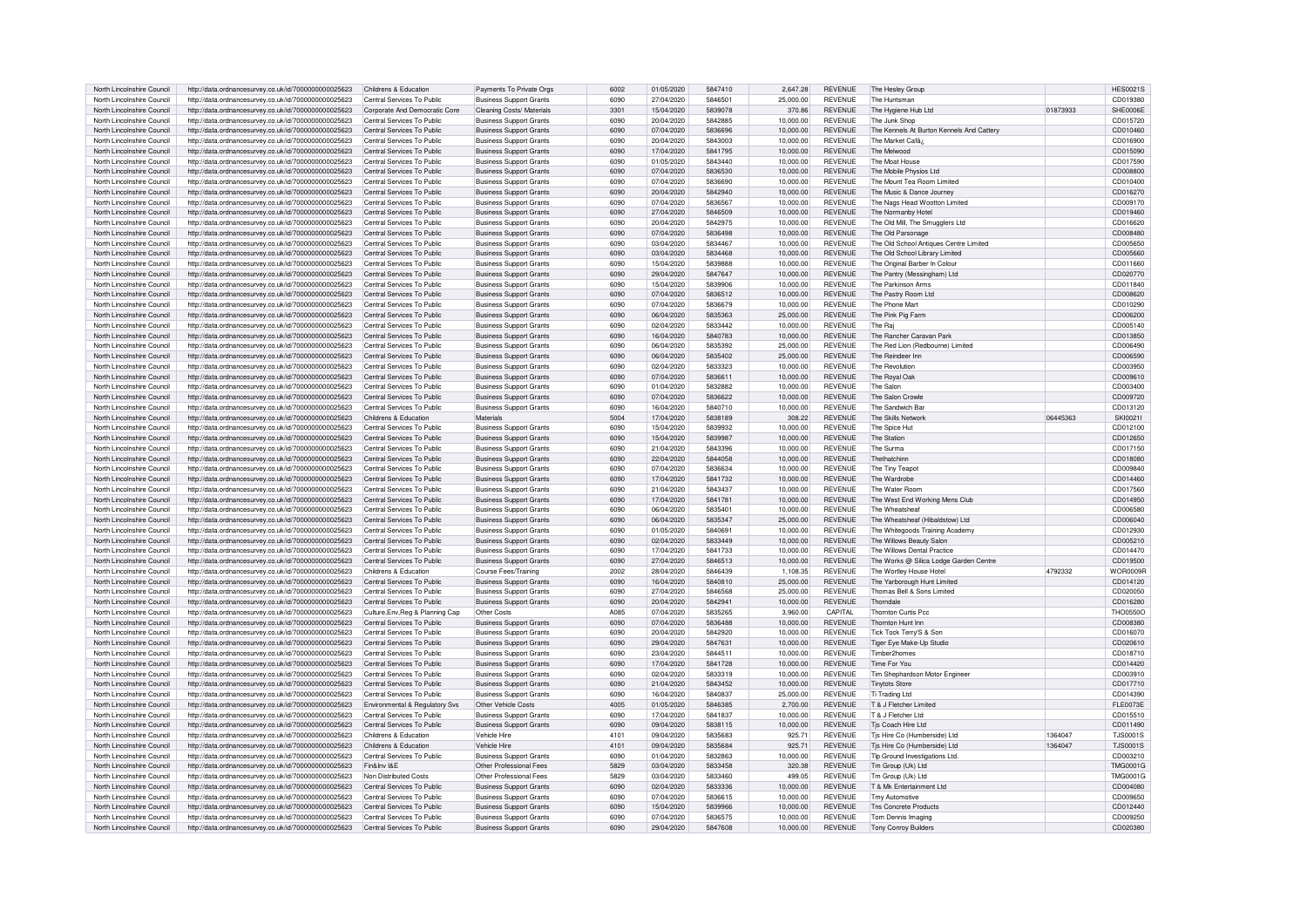| North Lincolnshire Council | http://data.ordnancesurvey.co.uk/id/7000000000025623 | Childrens & Education            | Payments To Private Orgs       | 6002 | 01/05/2020 | 5847410 | 2,647.28  | <b>REVENUE</b> | The Hesley Group                          |          | <b>HES0021S</b> |
|----------------------------|------------------------------------------------------|----------------------------------|--------------------------------|------|------------|---------|-----------|----------------|-------------------------------------------|----------|-----------------|
| North Lincolnshire Council | http://data.ordnancesurvey.co.uk/id/7000000000025623 | Central Services To Public       | <b>Business Support Grants</b> | 6090 | 27/04/2020 | 5846501 | 25,000.00 | <b>REVENUE</b> | The Huntsman                              |          | CD019380        |
| North Lincolnshire Council | http://data.ordnancesurvey.co.uk/id/7000000000025623 | Corporate And Democratic Core    | Cleaning Costs/ Materials      | 3301 | 15/04/2020 | 5839078 | 370.86    | <b>REVENUE</b> | The Hygiene Hub Ltd                       | 01873933 | SHE0006E        |
|                            |                                                      |                                  |                                |      |            |         |           |                |                                           |          |                 |
| North Lincolnshire Council | http://data.ordnancesurvey.co.uk/id/7000000000025623 | Central Services To Public       | <b>Business Support Grants</b> | 6090 | 20/04/2020 | 5842885 | 10.000.00 | <b>REVENUE</b> | The Junk Shop                             |          | CD015720        |
| North Lincolnshire Council | http://data.ordnancesurvey.co.uk/id/7000000000025623 | Central Services To Public       | <b>Business Support Grants</b> | 6090 | 07/04/2020 | 5836696 | 10,000.00 | <b>REVENUE</b> | The Kennels At Burton Kennels And Cattery |          | CD010460        |
| North Lincolnshire Council | http://data.ordnancesurvey.co.uk/id/7000000000025623 | Central Services To Public       | <b>Business Support Grants</b> | 6090 | 20/04/2020 | 5843003 | 10,000.00 | <b>REVENUE</b> | The Market Cafã;                          |          | CD016900        |
| North Lincolnshire Council | http://data.ordnancesurvey.co.uk/id/7000000000025623 | Central Services To Public       | <b>Business Support Grants</b> | 6090 | 17/04/2020 | 5841795 | 10.000.00 | <b>REVENUE</b> | The Melwood                               |          | CD015090        |
| North Lincolnshire Council | http://data.ordnancesurvey.co.uk/id/7000000000025623 | Central Services To Public       | <b>Business Support Grants</b> | 6090 | 01/05/2020 | 5843440 | 10,000.00 | <b>REVENUE</b> | The Moat House                            |          | CD017590        |
| North Lincolnshire Council |                                                      | Central Services To Public       | <b>Business Support Grants</b> | 6090 | 07/04/2020 | 5836530 | 10,000.00 | <b>REVENUE</b> | The Mobile Physios Ltd                    |          | CD008800        |
|                            | http://data.ordnancesurvey.co.uk/id/7000000000025623 |                                  |                                |      |            |         |           |                |                                           |          |                 |
| North Lincolnshire Council | http://data.ordnancesurvey.co.uk/id/7000000000025623 | Central Services To Public       | <b>Business Support Grants</b> | 6090 | 07/04/2020 | 5836690 | 10,000.00 | <b>REVENUE</b> | The Mount Tea Room Limited                |          | CD010400        |
| North Lincolnshire Council | http://data.ordnancesurvey.co.uk/id/7000000000025623 | Central Services To Public       | <b>Business Support Grants</b> | 6090 | 20/04/2020 | 5842940 | 10,000.00 | <b>REVENUE</b> | The Music & Dance Journey                 |          | CD016270        |
| North Lincolnshire Council | http://data.ordnancesurvey.co.uk/id/7000000000025623 | Central Services To Public       | <b>Business Support Grants</b> | 6090 | 07/04/2020 | 5836567 | 10,000.00 | <b>REVENUE</b> | The Nags Head Wootton Limited             |          | CD009170        |
| North Lincolnshire Council | http://data.ordnancesurvey.co.uk/id/7000000000025623 | Central Services To Public       | <b>Business Support Grants</b> | 6090 | 27/04/2020 | 5846509 | 10.000.00 | <b>REVENUE</b> | The Normanby Hotel                        |          | CD019460        |
| North Lincolnshire Council | http://data.ordnancesurvey.co.uk/id/7000000000025623 | Central Services To Public       | <b>Business Support Grants</b> | 6090 | 20/04/2020 | 5842975 | 10.000.00 | <b>REVENUE</b> | The Old Mill, The Smugglers Ltd           |          | CD016620        |
|                            |                                                      |                                  |                                |      |            |         |           |                |                                           |          |                 |
| North Lincolnshire Council | http://data.ordnancesurvey.co.uk/id/7000000000025623 | Central Services To Public       | <b>Business Support Grants</b> | 6090 | 07/04/2020 | 5836498 | 10,000.00 | <b>REVENUE</b> | The Old Parsonage                         |          | CD008480        |
| North Lincolnshire Council | http://data.ordnancesurvey.co.uk/id/7000000000025623 | Central Services To Public       | <b>Business Support Grants</b> | 6090 | 03/04/2020 | 5834467 | 10,000.00 | <b>REVENUE</b> | The Old School Antiques Centre Limited    |          | CD005650        |
| North Lincolnshire Council | http://data.ordnancesurvey.co.uk/id/7000000000025623 | Central Services To Public       | <b>Business Support Grants</b> | 6090 | 03/04/2020 | 5834468 | 10.000.00 | <b>REVENUE</b> | The Old School Library Limited            |          | CD005660        |
| North Lincolnshire Council | http://data.ordnancesurvey.co.uk/id/7000000000025623 | Central Services To Public       | <b>Business Support Grants</b> | 6090 | 15/04/2020 | 5839888 | 10.000.00 | <b>REVENUE</b> | The Original Barber In Colour             |          | CD011660        |
| North Lincolnshire Council | http://data.ordnancesurvey.co.uk/id/7000000000025623 | Central Services To Public       | <b>Business Support Grants</b> | 6090 | 29/04/2020 | 5847647 | 10.000.00 | <b>REVENUE</b> | The Pantry (Messingham) Ltd               |          | CD020770        |
|                            |                                                      |                                  |                                |      |            |         |           |                |                                           |          |                 |
| North Lincolnshire Council | http://data.ordnancesurvey.co.uk/id/7000000000025623 | Central Services To Public       | <b>Business Support Grants</b> | 6090 | 15/04/2020 | 5839906 | 10.000.00 | <b>REVENUE</b> | The Parkinson Arms                        |          | CD011840        |
| North Lincolnshire Council | http://data.ordnancesurvey.co.uk/id/7000000000025623 | Central Services To Public       | <b>Business Support Grants</b> | 6090 | 07/04/2020 | 5836512 | 10,000.00 | <b>REVENUE</b> | The Pastry Room Ltd                       |          | CD008620        |
| North Lincolnshire Council | http://data.ordnancesurvey.co.uk/id/7000000000025623 | Central Services To Public       | <b>Business Support Grants</b> | 6090 | 07/04/2020 | 5836679 | 10,000.00 | REVENUE        | The Phone Mart                            |          | CD010290        |
| North Lincolnshire Council | http://data.ordnancesurvey.co.uk/id/7000000000025623 | Central Services To Public       | <b>Business Support Grants</b> | 6090 | 06/04/2020 | 5835363 | 25,000.00 | <b>REVENUE</b> | The Pink Pig Farm                         |          | CD006200        |
| North Lincolnshire Council | http://data.ordnancesurvey.co.uk/id/7000000000025623 | Central Services To Public       | <b>Business Support Grants</b> | 6090 | 02/04/2020 | 5833442 | 10.000.00 | <b>REVENUE</b> | The Rai                                   |          | CD005140        |
|                            |                                                      |                                  |                                |      |            |         |           |                |                                           |          |                 |
| North Lincolnshire Council | http://data.ordnancesurvey.co.uk/id/7000000000025623 | Central Services To Public       | <b>Business Support Grants</b> | 6090 | 16/04/2020 | 5840783 | 10,000.00 | <b>REVENUE</b> | The Rancher Caravan Park                  |          | CD013850        |
| North Lincolnshire Council | http://data.ordnancesurvey.co.uk/id/7000000000025623 | Central Services To Public       | <b>Business Support Grants</b> | 6090 | 06/04/2020 | 5835392 | 25.000.00 | <b>REVENUE</b> | The Red Lion (Redbourne) Limited          |          | CD006490        |
| North Lincolnshire Council | http://data.ordnancesurvey.co.uk/id/7000000000025623 | Central Services To Public       | <b>Business Support Grants</b> | 6090 | 06/04/2020 | 5835402 | 25,000.00 | <b>REVENUE</b> | The Reindeer Inn                          |          | CD006590        |
| North Lincolnshire Council | http://data.ordnancesurvey.co.uk/id/7000000000025623 | Central Services To Public       | <b>Business Support Grants</b> | 6090 | 02/04/2020 | 5833323 | 10.000.00 | <b>REVENUE</b> | The Revolution                            |          | CD003950        |
| North Lincolnshire Council | http://data.ordnancesurvey.co.uk/id/7000000000025623 | Central Services To Public       | <b>Business Support Grants</b> | 6090 | 07/04/2020 | 5836611 | 10.000.00 | <b>REVENUE</b> | The Royal Oak                             |          | CD009610        |
|                            |                                                      |                                  |                                |      |            |         |           |                |                                           |          |                 |
| North Lincolnshire Council | http://data.ordnancesurvey.co.uk/id/7000000000025623 | Central Services To Public       | <b>Business Support Grants</b> | 6090 | 01/04/2020 | 5832882 | 10,000.00 | <b>REVENUE</b> | The Salor                                 |          | CD003400        |
| North Lincolnshire Council | http://data.ordnancesurvey.co.uk/id/7000000000025623 | Central Services To Public       | <b>Business Support Grants</b> | 6090 | 07/04/2020 | 5836622 | 10,000.00 | REVENUE        | The Salon Crowle                          |          | CD009720        |
| North Lincolnshire Council | http://data.ordnancesurvey.co.uk/id/7000000000025623 | Central Services To Public       | <b>Business Support Grants</b> | 6090 | 16/04/2020 | 5840710 | 10,000.00 | REVENUE        | The Sandwich Bar                          |          | CD013120        |
| North Lincolnshire Council | http://data.ordnancesurvey.co.uk/id/7000000000025623 | Childrens & Education            | Materials                      | 5004 | 17/04/2020 | 5838189 | 308.22    | <b>REVENUE</b> | The Skills Network                        | 06445363 | SKI0021I        |
| North Lincolnshire Council | http://data.ordnancesurvev.co.uk/id/7000000000025623 | Central Services To Public       | <b>Business Support Grants</b> | 6090 | 15/04/2020 | 5839932 | 10,000.00 | <b>REVENUE</b> | The Spice Hut                             |          | CD012100        |
|                            |                                                      |                                  |                                |      |            |         |           |                |                                           |          |                 |
| North Lincolnshire Council | http://data.ordnancesurvey.co.uk/id/7000000000025623 | Central Services To Public       | <b>Business Support Grants</b> | 6090 | 15/04/2020 | 5839987 | 10.000.00 | <b>REVENUE</b> | <b>The Station</b>                        |          | CD012650        |
| North Lincolnshire Council | http://data.ordnancesurvey.co.uk/id/7000000000025623 | Central Services To Public       | <b>Business Support Grants</b> | 6090 | 21/04/2020 | 5843396 | 10,000.00 | <b>REVENUE</b> | The Surma                                 |          | CD017150        |
| North Lincolnshire Council | http://data.ordnancesurvey.co.uk/id/7000000000025623 | Central Services To Public       | <b>Business Support Grants</b> | 6090 | 22/04/2020 | 5844058 | 10,000.00 | <b>REVENUE</b> | Thethatchinn                              |          | CD018080        |
| North Lincolnshire Council | http://data.ordnancesurvey.co.uk/id/7000000000025623 | Central Services To Public       | <b>Business Support Grants</b> | 6090 | 07/04/2020 | 5836634 | 10.000.00 | <b>REVENUE</b> | The Tiny Teanot                           |          | CD009840        |
| North Lincolnshire Council | http://data.ordnancesurvey.co.uk/id/7000000000025623 | Central Services To Public       | <b>Business Support Grants</b> | 6090 | 17/04/2020 | 5841732 | 10.000.00 | <b>REVENUE</b> | The Wardrobe                              |          | CD014460        |
|                            |                                                      |                                  |                                | 6090 |            |         |           |                | The Water Room                            |          |                 |
| North Lincolnshire Council | http://data.ordnancesurvey.co.uk/id/7000000000025623 | Central Services To Public       | <b>Business Support Grants</b> |      | 21/04/2020 | 5843437 | 10.000.00 | <b>REVENUE</b> |                                           |          | CD017560        |
| North Lincolnshire Council | http://data.ordnancesurvey.co.uk/id/7000000000025623 | Central Services To Public       | <b>Business Support Grants</b> | 6090 | 17/04/2020 | 5841781 | 10,000.00 | <b>REVENUE</b> | The West End Working Mens Club            |          | CD014950        |
| North Lincolnshire Council | http://data.ordnancesurvey.co.uk/id/7000000000025623 | Central Services To Public       | <b>Business Support Grants</b> | 6090 | 06/04/2020 | 5835401 | 10.000.00 | <b>REVENUE</b> | The Wheatsheaf                            |          | CD006580        |
| North Lincolnshire Council | http://data.ordnancesurvey.co.uk/id/7000000000025623 | Central Services To Public       | <b>Business Support Grants</b> | 6090 | 06/04/2020 | 5835347 | 25,000.00 | <b>REVENUE</b> | The Wheatsheaf (Hibaldstow) Ltd           |          | CD006040        |
| North Lincolnshire Council | http://data.ordnancesurvey.co.uk/id/7000000000025623 | Central Services To Public       | <b>Business Support Grants</b> | 6090 | 01/05/2020 | 5840691 | 10,000.00 | REVENUE        | The Whitegoods Training Academy           |          | CD012930        |
|                            |                                                      |                                  |                                |      |            |         |           |                |                                           |          |                 |
| North Lincolnshire Council | http://data.ordnancesurvey.co.uk/id/7000000000025623 | Central Services To Public       | <b>Business Support Grants</b> | 6090 | 02/04/2020 | 5833449 | 10.000.00 | <b>REVENUE</b> | The Willows Beauty Salor                  |          | CD005210        |
| North Lincolnshire Council | http://data.ordnancesurvey.co.uk/id/7000000000025623 | Central Services To Public       | <b>Business Support Grants</b> | 6090 | 17/04/2020 | 5841733 | 10,000.00 | <b>REVENUE</b> | The Willows Dental Practice               |          | CD014470        |
| North Lincolnshire Council | http://data.ordnancesurvey.co.uk/id/7000000000025623 | Central Services To Public       | <b>Business Support Grants</b> | 6090 | 27/04/2020 | 5846513 | 10,000.00 | <b>REVENUE</b> | The Works @ Silica Lodge Garden Centre    |          | CD019500        |
| North Lincolnshire Council | http://data.ordnancesurvey.co.uk/id/7000000000025623 | Childrens & Education            | Course Fees/Training           | 2002 | 28/04/2020 | 5846439 | 1.108.35  | <b>REVENUE</b> | The Wortley House Hotel                   | 4792332  | WOR0009R        |
| North Lincolnshire Council | http://data.ordnancesurvey.co.uk/id/7000000000025623 | Central Services To Public       | <b>Business Support Grants</b> | 6090 | 16/04/2020 | 5840810 | 25,000.00 | <b>REVENUE</b> | The Yarborough Hunt Limited               |          | CD014120        |
| North Lincolnshire Council |                                                      | Central Services To Public       | <b>Business Support Grants</b> | 6090 | 27/04/2020 | 5846568 | 25,000.00 |                | Thomas Bell & Sons Limited                |          | CD020050        |
|                            | http://data.ordnancesurvey.co.uk/id/7000000000025623 |                                  |                                |      |            |         |           | REVENUE        |                                           |          |                 |
| North Lincolnshire Council | http://data.ordnancesurvey.co.uk/id/7000000000025623 | Central Services To Public       | <b>Business Support Grants</b> | 6090 | 20/04/2020 | 5842941 | 10,000.00 | <b>REVENUE</b> | Thorndale                                 |          | CD016280        |
| North Lincolnshire Council | http://data.ordnancesurvey.co.uk/id/7000000000025623 | Culture, Env, Reg & Planning Cap | <b>Other Costs</b>             | A085 | 07/04/2020 | 5835265 | 3.960.00  | CAPITAL        | <b>Thornton Curtis Pee</b>                |          | THO0550O        |
| North Lincolnshire Council | http://data.ordnancesurvey.co.uk/id/7000000000025623 | Central Services To Public       | <b>Business Support Grants</b> | 6090 | 07/04/2020 | 5836488 | 10,000.00 | <b>REVENUE</b> | Thornton Hunt Inn                         |          | CD008380        |
| North Lincolnshire Council | http://data.ordnancesurvey.co.uk/id/7000000000025623 | Central Services To Public       | <b>Business Support Grants</b> | 6090 | 20/04/2020 | 5842920 | 10,000.00 | REVENUE        | Tick Tock Terry'S & Son                   |          | CD016070        |
| North Lincolnshire Council | http://data.ordnancesurvey.co.uk/id/7000000000025623 | Central Services To Public       | <b>Business Support Grants</b> | 6090 | 29/04/2020 | 5847631 | 10,000.00 | <b>REVENUE</b> | Tiger Eve Make-Up Studio                  |          | CD020610        |
|                            |                                                      |                                  |                                |      |            |         |           |                |                                           |          |                 |
| North Lincolnshire Council | http://data.ordnancesurvey.co.uk/id/7000000000025623 | Central Services To Public       | <b>Business Support Grants</b> | 6090 | 23/04/2020 | 5844511 | 10,000.00 | <b>REVENUE</b> | Timber2homes                              |          | CD018710        |
| North Lincolnshire Council | http://data.ordnancesurvey.co.uk/id/7000000000025623 | Central Services To Public       | <b>Business Support Grants</b> | 6090 | 17/04/2020 | 5841728 | 10.000.00 | <b>REVENUE</b> | Time For You                              |          | CD014420        |
| North Lincolnshire Council | http://data.ordnancesurvey.co.uk/id/7000000000025623 | Central Services To Public       | <b>Business Support Grants</b> | 6090 | 02/04/2020 | 5833319 | 10,000.00 | <b>REVENUE</b> | Tim Shephardson Motor Engineer            |          | CD003910        |
| North Lincolnshire Council | http://data.ordnancesurvey.co.uk/id/7000000000025623 | Central Services To Public       | <b>Business Support Grants</b> | 6090 | 21/04/2020 | 5843452 | 10,000.00 | <b>REVENUE</b> | <b>Tinytots Store</b>                     |          | CD017710        |
| North Lincolnshire Council | http://data.ordnancesurvey.co.uk/id/7000000000025623 | Central Services To Public       | <b>Business Support Grants</b> | 6090 | 16/04/2020 | 5840837 | 25,000.00 | <b>REVENUE</b> | Ti Trading Ltd                            |          | CD014390        |
|                            |                                                      |                                  |                                | 4005 | 01/05/2020 | 5846385 |           | <b>REVENUE</b> | T & J Fletcher Limited                    |          |                 |
| North Lincolnshire Council | http://data.ordnancesurvey.co.uk/id/7000000000025623 | Environmental & Regulatory Svs   | <b>Other Vehicle Costs</b>     |      |            |         | 2,700.00  |                |                                           |          | <b>FLE0073E</b> |
| North Lincolnshire Council | http://data.ordnancesurvey.co.uk/id/7000000000025623 | Central Services To Public       | <b>Business Support Grants</b> | 6090 | 17/04/2020 | 5841837 | 10.000.00 | <b>REVENUE</b> | T & J Fletcher Ltd                        |          | CD015510        |
| North Lincolnshire Council | http://data.ordnancesurvey.co.uk/id/7000000000025623 | Central Services To Public       | <b>Business Support Grants</b> | 6090 | 09/04/2020 | 5838115 | 10.000.00 | <b>REVENUE</b> | Tis Coach Hire Ltd                        |          | CD011490        |
| North Lincolnshire Council | http://data.ordnancesurvey.co.uk/id/7000000000025623 | Childrens & Education            | Vehicle Hire                   | 4101 | 09/04/2020 | 5835683 | 925.71    | <b>REVENUE</b> | Tjs Hire Co (Humberside) Ltd              | 1364047  | <b>TJS0001S</b> |
| North Lincolnshire Council | http://data.ordnancesurvey.co.uk/id/7000000000025623 | Childrens & Education            | Vehicle Hire                   | 4101 | 09/04/2020 | 5835684 | 925.71    | <b>REVENUE</b> | Tis Hire Co (Humberside) Ltd              | 1364047  | <b>TJS0001S</b> |
| North Lincolnshire Council |                                                      | Central Services To Public       |                                | 6090 | 01/04/2020 | 5832863 | 10.000.00 | <b>REVENUE</b> |                                           |          | CD003210        |
|                            | http://data.ordnancesurvey.co.uk/id/7000000000025623 |                                  | <b>Business Support Grants</b> |      |            |         |           |                | Tlp Ground Investigations Ltd             |          |                 |
| North Lincolnshire Council | http://data.ordnancesurvey.co.uk/id/7000000000025623 | Fin&Inv I&E                      | Other Professional Fees        | 5829 | 03/04/2020 | 5833458 | 320.38    | <b>REVENUE</b> | Tm Group (Uk) Ltd                         |          | <b>TMG0001G</b> |
| North Lincolnshire Council | http://data.ordnancesurvey.co.uk/id/7000000000025623 | Non Distributed Costs            | Other Professional Fees        | 5829 | 03/04/2020 | 5833460 | 499.05    | <b>REVENUE</b> | Tm Group (Uk) Ltd                         |          | <b>TMG0001G</b> |
| North Lincolnshire Council | http://data.ordnancesurvey.co.uk/id/7000000000025623 | Central Services To Public       | <b>Business Support Grants</b> | 6090 | 02/04/2020 | 5833336 | 10,000.00 | <b>REVENUE</b> | T & Mk Entertainment Ltd                  |          | CD004080        |
| North Lincolnshire Council | http://data.ordnancesurvey.co.uk/id/7000000000025623 | Central Services To Public       | <b>Business Support Grants</b> | 6090 | 07/04/2020 | 5836615 | 10.000.00 | <b>REVENUE</b> | Tmy Automotive                            |          | CD009650        |
| North Lincolnshire Council | http://data.ordnancesurvey.co.uk/id/7000000000025623 | Central Services To Public       | <b>Business Support Grants</b> | 6090 | 15/04/2020 | 5839966 | 10.000.00 | <b>REVENUE</b> | <b>Tns Concrete Products</b>              |          | CD012440        |
| North Lincolnshire Council |                                                      | Central Services To Public       | <b>Business Support Grants</b> | 6090 | 07/04/2020 | 5836575 | 10.000.00 | <b>REVENUE</b> | Tom Dennis Imaging                        |          | CD009250        |
|                            | http://data.ordnancesurvey.co.uk/id/7000000000025623 |                                  |                                |      |            |         |           |                |                                           |          |                 |
| North Lincolnshire Council | http://data.ordnancesurvey.co.uk/id/7000000000025623 | Central Services To Public       | <b>Business Support Grants</b> | 6090 | 29/04/2020 | 5847608 | 10,000.00 | <b>REVENUE</b> | <b>Tony Conroy Builders</b>               |          | CD020380        |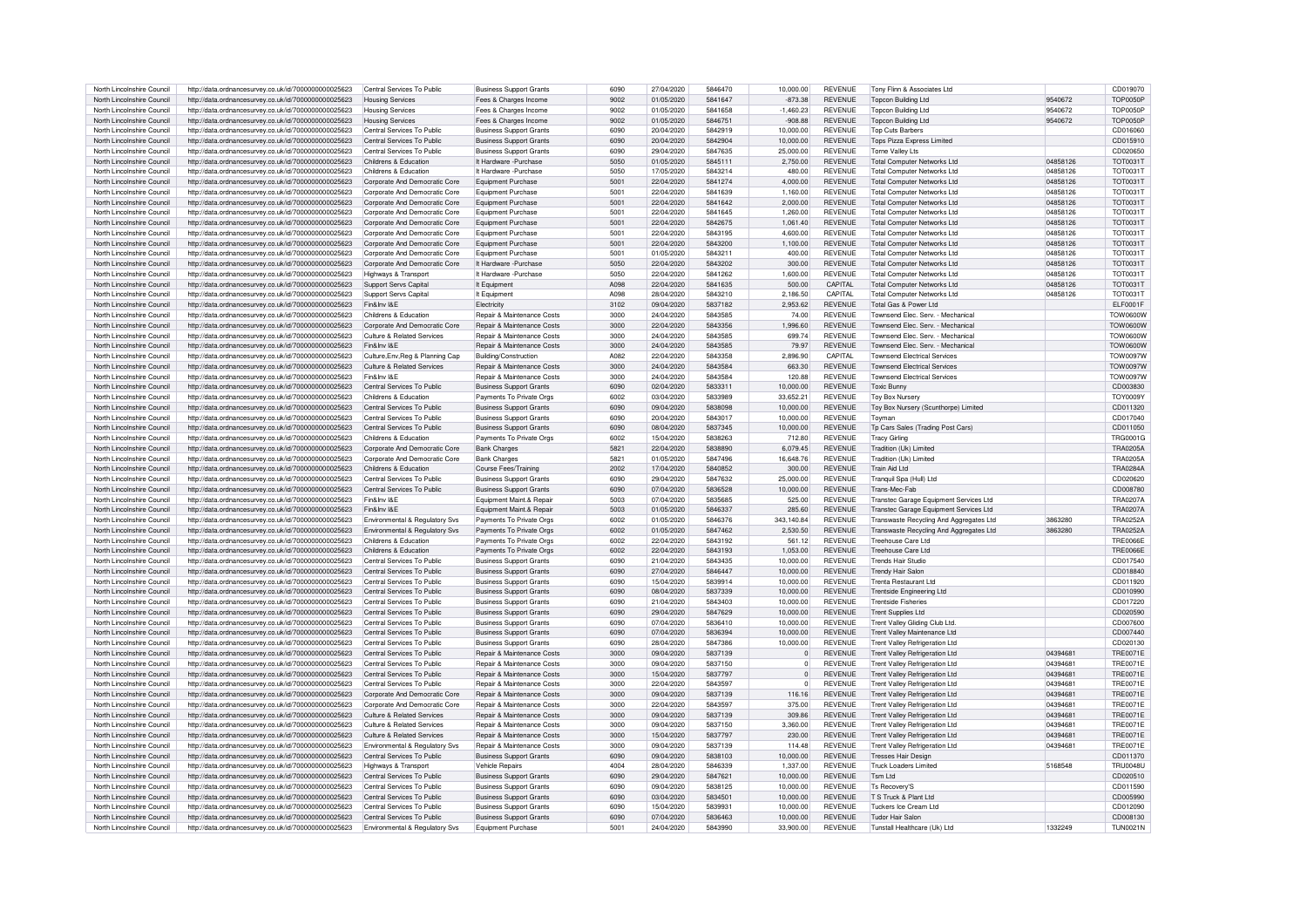| North Lincolnshire Council | http://data.ordnancesurvev.co.uk/id/7000000000025623 | Central Services To Public                 | <b>Business Support Grants</b>        | 6090          | 27/04/2020 | 5846470 | 10.000.00      | <b>REVENUE</b> | Tony Flinn & Associates Ltd             |          | CD019070        |
|----------------------------|------------------------------------------------------|--------------------------------------------|---------------------------------------|---------------|------------|---------|----------------|----------------|-----------------------------------------|----------|-----------------|
|                            |                                                      |                                            |                                       | 9002          |            | 5841647 |                |                |                                         | 9540672  | <b>TOP0050P</b> |
| North Lincolnshire Council | http://data.ordnancesurvey.co.uk/id/7000000000025623 | <b>Housing Services</b>                    | Fees & Charges Income                 |               | 01/05/2020 |         | $-873.38$      | <b>REVENUE</b> | <b>Topcon Building Ltd</b>              |          |                 |
| North Lincolnshire Council | http://data.ordnancesurvey.co.uk/id/7000000000025623 | <b>Housing Services</b>                    | Fees & Charges Income                 | 9002          | 01/05/2020 | 5841658 | $-1,460.23$    | <b>REVENUE</b> | <b>Topcon Building Ltd</b>              | 9540672  | <b>TOP0050F</b> |
| North Lincolnshire Council | http://data.ordnancesurvey.co.uk/id/7000000000025623 | <b>Housing Services</b>                    | Fees & Charges Income                 | 9002          | 01/05/2020 | 5846751 | $-908.88$      | <b>REVENUE</b> | <b>Topcon Building Ltd</b>              | 9540672  | <b>TOP0050F</b> |
| North Lincolnshire Council | http://data.ordnancesurvey.co.uk/id/7000000000025623 | Central Services To Public                 | <b>Business Support Grants</b>        | 6090          | 20/04/2020 | 5842919 | 10.000.00      | <b>REVENUE</b> | <b>Top Cuts Barbers</b>                 |          | CD016060        |
| North Lincolnshire Council | http://data.ordnancesurvev.co.uk/id/7000000000025623 | Central Services To Public                 | <b>Business Support Grants</b>        | 6090          | 20/04/2020 | 5842904 | 10.000.00      | <b>REVENUE</b> | <b>Tops Pizza Express Limited</b>       |          | CD015910        |
| North Lincolnshire Council | http://data.ordnancesurvey.co.uk/id/7000000000025623 | Central Services To Public                 | <b>Business Support Grants</b>        | 6090          | 29/04/2020 | 5847635 | 25.000.00      | <b>REVENUE</b> | Torne Valley I ts                       |          | CD020650        |
|                            |                                                      |                                            |                                       | 5050          |            |         |                | <b>REVENUE</b> |                                         |          |                 |
| North Lincolnshire Council | http://data.ordnancesurvey.co.uk/id/7000000000025623 | Childrens & Education                      | It Hardware - Purchase                |               | 01/05/2020 | 5845111 | 2,750.00       |                | <b>Total Computer Networks Ltd</b>      | 04858126 | <b>TOT0031T</b> |
| North Lincolnshire Council | http://data.ordnancesurvey.co.uk/id/7000000000025623 | Childrens & Education                      | It Hardware - Purchase                | 5050          | 17/05/2020 | 5843214 | 480.00         | <b>REVENUE</b> | <b>Total Computer Networks Ltd</b>      | 04858126 | <b>TOT0031T</b> |
| North Lincolnshire Council | http://data.ordnancesurvey.co.uk/id/7000000000025623 | Corporate And Democratic Core              | Foujoment Purchase                    | 5001          | 22/04/2020 | 5841274 | 4.000.00       | <b>REVENUE</b> | Total Computer Networks Ltd.            | 04858126 | <b>TOT0031T</b> |
| North Lincolnshire Council | http://data.ordnancesurvey.co.uk/id/7000000000025623 | Corporate And Democratic Core              | Foujoment Purchase                    | 5001          | 22/04/2020 | 5841639 | 1.160.00       | <b>REVENUE</b> | <b>Total Computer Networks Ltd</b>      | 04858126 | <b>TOT0031T</b> |
| North Lincolnshire Council | http://data.ordnancesurvey.co.uk/id/7000000000025623 | Corporate And Democratic Core              | Equipment Purchase                    | 5001          | 22/04/2020 | 5841642 | 2.000.00       | <b>REVENUE</b> | <b>Total Computer Networks Ltd</b>      | 04858126 | <b>TOT0031T</b> |
| North Lincolnshire Council |                                                      |                                            | Equipment Purchase                    | 500           | 22/04/2020 | 5841645 | 1.260.00       | <b>REVENUE</b> | <b>Total Computer Networks Ltd</b>      | 04858126 | <b>TOT0031T</b> |
|                            | http://data.ordnancesurvey.co.uk/id/7000000000025623 | Corporate And Democratic Core              |                                       |               |            |         |                |                |                                         |          |                 |
| North Lincolnshire Council | http://data.ordnancesurvey.co.uk/id/7000000000025623 | Corporate And Democratic Core              | Equipment Purchase                    | $500^{\circ}$ | 22/04/2020 | 5842675 | 1.061.40       | <b>REVENUE</b> | <b>Total Computer Networks Ltd</b>      | 04858126 | <b>TOT0031T</b> |
| North Lincolnshire Council | http://data.ordnancesurvey.co.uk/id/7000000000025623 | Corporate And Democratic Core              | Equipment Purchase                    | 5001          | 22/04/2020 | 5843195 | 4,600.00       | <b>REVENUE</b> | <b>Total Computer Networks Ltd</b>      | 04858126 | <b>TOT0031T</b> |
| North Lincolnshire Council | http://data.ordnancesurvey.co.uk/id/7000000000025623 | Corporate And Democratic Core              | Equipment Purchase                    | 5001          | 22/04/2020 | 5843200 | 1,100.00       | <b>REVENUE</b> | <b>Total Computer Networks Ltd</b>      | 04858126 | <b>TOT0031T</b> |
| North Lincolnshire Council | http://data.ordnancesurvey.co.uk/id/7000000000025623 | Corporate And Democratic Core              | Equipment Purchase                    | 500           | 01/05/2020 | 5843211 | 400.00         | <b>REVENUE</b> | <b>Total Computer Networks Ltd</b>      | 04858126 | <b>TOT0031T</b> |
| North Lincolnshire Council | http://data.ordnancesurvey.co.uk/id/7000000000025623 | Corporate And Democratic Core              | It Hardware - Purchase                | 5050          | 22/04/2020 | 5843202 | 300.00         | <b>REVENUE</b> | <b>Total Computer Networks Ltd</b>      | 04858126 | <b>TOT0031T</b> |
|                            |                                                      |                                            |                                       | 5050          |            |         |                | <b>REVENUE</b> |                                         |          |                 |
| North Lincolnshire Council | http://data.ordnancesurvey.co.uk/id/7000000000025623 | Highways & Transport                       | It Hardware - Purchase                |               | 22/04/2020 | 5841262 | 1,600.00       |                | <b>Total Computer Networks Ltd</b>      | 04858126 | <b>TOT0031T</b> |
| North Lincolnshire Council | http://data.ordnancesurvey.co.uk/id/7000000000025623 | Support Servs Capital                      | It Fauinment                          | A098          | 22/04/2020 | 5841635 | 500.00         | CAPITAL        | Total Computer Networks Ltd.            | 04858126 | <b>TOT0031T</b> |
| North Lincolnshire Council | http://data.ordnancesurvev.co.uk/id/7000000000025623 | Support Servs Capital                      | It Equipment                          | A098          | 28/04/2020 | 5843210 | 2,186.50       | CAPITAL        | Total Computer Networks Ltd.            | 04858126 | <b>TOT0031T</b> |
| North Lincolnshire Council | http://data.ordnancesurvey.co.uk/id/7000000000025623 | Fin&Inv I&F                                | Electricity                           | 3102          | 09/04/2020 | 5837182 | 2.953.62       | <b>REVENUE</b> | Total Gas & Power Ltd                   |          | FL F0001F       |
| North Lincolnshire Council | http://data.ordnancesurvey.co.uk/id/7000000000025623 | Childrens & Education                      | Repair & Maintenance Costs            | 3000          | 24/04/2020 | 5843585 | 74.00          | <b>REVENUE</b> | Townsend Flec. Serv. - Mechanical       |          | <b>V00a0WOT</b> |
|                            |                                                      |                                            |                                       |               |            |         |                |                |                                         |          |                 |
| North Lincolnshire Council | http://data.ordnancesurvey.co.uk/id/7000000000025623 | Corporate And Democratic Core              | Repair & Maintenance Costs            | 3000          | 22/04/2020 | 5843356 | 1.996.60       | <b>REVENUE</b> | Townsend Elec. Serv. - Mechanical       |          | V00600VOT       |
| North Lincolnshire Council | http://data.ordnancesurvey.co.uk/id/7000000000025623 | Culture & Related Services                 | Repair & Maintenance Costs            | 3000          | 24/04/2020 | 5843585 | 699.74         | <b>REVENUE</b> | Townsend Elec, Serv. - Mechanical       |          | <b>TOW0600W</b> |
| North Lincolnshire Council | http://data.ordnancesurvey.co.uk/id/7000000000025623 | Fin&Inv I&E                                | Repair & Maintenance Costs            | 3000          | 24/04/2020 | 5843585 | 79.97          | <b>REVENUE</b> | Townsend Elec. Serv. - Mechanical       |          | <b>TOW0600W</b> |
| North Lincolnshire Council | http://data.ordnancesurvev.co.uk/id/7000000000025623 | Culture, Env, Reg & Planning Cap           | Building/Construction                 | A082          | 22/04/2020 | 5843358 | 2,896.90       | CAPITAL        | <b>Townsend Electrical Services</b>     |          | <b>TOW0097W</b> |
| North Lincolnshire Council | http://data.ordnancesurvey.co.uk/id/7000000000025623 | Culture & Related Services                 | <b>Benair &amp; Maintenance Costs</b> | 3000          | 24/04/2020 | 5843584 | 663.30         | <b>REVENUE</b> | <b>Townsend Electrical Services</b>     |          | TOW0097W        |
| North Lincolnshire Council |                                                      | Fin&Inv I&E                                | Repair & Maintenance Costs            | 3000          | 24/04/2020 | 5843584 | 120.88         | <b>REVENUE</b> | <b>Townsend Electrical Services</b>     |          | <b>TOW0097W</b> |
|                            | http://data.ordnancesurvey.co.uk/id/7000000000025623 |                                            |                                       |               |            |         |                |                |                                         |          |                 |
| North Lincolnshire Council | http://data.ordnancesurvey.co.uk/id/7000000000025623 | Central Services To Public                 | <b>Business Support Grants</b>        | 6090          | 02/04/2020 | 5833311 | 10,000.00      | <b>REVENUE</b> | Toxic Bunny                             |          | CD003830        |
| North Lincolnshire Council | http://data.ordnancesurvey.co.uk/id/7000000000025623 | Childrens & Education                      | Payments To Private Orgs              | 6002          | 03/04/2020 | 5833989 | 33,652.21      | <b>REVENUE</b> | <b>Toy Box Nursery</b>                  |          | <b>TOY0009Y</b> |
| North Lincolnshire Council | http://data.ordnancesurvey.co.uk/id/7000000000025623 | Central Services To Public                 | <b>Business Support Grants</b>        | 6090          | 09/04/2020 | 5838098 | 10.000.00      | <b>REVENUE</b> | Toy Box Nursery (Scunthorpe) Limited    |          | CD011320        |
| North Lincolnshire Council | http://data.ordnancesurvey.co.uk/id/7000000000025623 | Central Services To Public                 | <b>Business Support Grants</b>        | 6090          | 20/04/2020 | 5843017 | 10.000.00      | <b>REVENUE</b> | Toymar                                  |          | CD017040        |
| North Lincolnshire Council |                                                      | Central Services To Public                 |                                       | 6090          | 08/04/2020 | 5837345 | 10,000.00      | <b>REVENUE</b> | Tp Cars Sales (Trading Post Cars)       |          | CD011050        |
|                            | http://data.ordnancesurvey.co.uk/id/7000000000025623 |                                            | <b>Business Support Grants</b>        |               |            |         |                |                |                                         |          |                 |
| North Lincolnshire Council | http://data.ordnancesurvey.co.uk/id/7000000000025623 | Childrens & Education                      | Payments To Private Org               | 6002          | 15/04/2020 | 5838263 | 712.80         | <b>REVENUE</b> | <b>Tracy Girling</b>                    |          | <b>TRG0001G</b> |
| North Lincolnshire Council | http://data.ordnancesurvey.co.uk/id/7000000000025623 | Corporate And Democratic Core              | <b>Bank Charges</b>                   | 5821          | 22/04/2020 | 5838890 | 6,079.45       | <b>REVENUE</b> | Tradition (Uk) Limited                  |          | TRA0205A        |
| North Lincolnshire Council | http://data.ordnancesurvey.co.uk/id/7000000000025623 | Corporate And Democratic Core              | <b>Bank Charges</b>                   | 5821          | 01/05/2020 | 5847496 | 16,648.76      | <b>REVENUE</b> | Tradition (Uk) Limited                  |          | TRA0205/        |
| North Lincolnshire Council | http://data.ordnancesurvey.co.uk/id/7000000000025623 | Childrens & Education                      | Course Fees/Training                  | 2002          | 17/04/2020 | 5840852 | 300.00         | <b>REVENUE</b> | Train Aid Ltd                           |          | <b>TRA0284A</b> |
| North Lincolnshire Council | http://data.ordnancesurvev.co.uk/id/7000000000025623 | Central Services To Public                 | <b>Business Support Grants</b>        | 6090          | 29/04/2020 | 5847632 | 25,000.00      | <b>REVENUE</b> | Tranquil Spa (Hull) Ltd                 |          | CD020620        |
|                            |                                                      |                                            |                                       |               |            |         |                |                |                                         |          |                 |
| North Lincolnshire Council | http://data.ordnancesurvey.co.uk/id/7000000000025623 | Central Services To Public                 | <b>Business Support Grants</b>        | 6090          | 07/04/2020 | 5836528 | 10.000.00      | <b>REVENUE</b> | Trans-Mec-Fab                           |          | CD008780        |
| North Lincolnshire Council | http://data.ordnancesurvey.co.uk/id/7000000000025623 | Fin&Inv I&E                                | Equipment Maint.& Repai               | 5003          | 07/04/2020 | 5835685 | 525.00         | <b>REVENUE</b> | Transtec Garage Equipment Services Ltd  |          | <b>TRA0207A</b> |
| North Lincolnshire Council | http://data.ordnancesurvey.co.uk/id/7000000000025623 | Fin&Inv I&E                                | Equipment Maint.& Repai               | 5003          | 01/05/2020 | 5846337 | 285.60         | <b>REVENUE</b> | Transtec Garage Equipment Services Ltd  |          | <b>TRA0207A</b> |
| North Lincolnshire Council | http://data.ordnancesurvey.co.uk/id/7000000000025623 | Environmental & Regulatory Svs             | Payments To Private Orgs              | 6002          | 01/05/2020 | 5846376 | 343.140.84     | <b>REVENUE</b> | Transwaste Recycling And Aggregates Ltd | 3863280  | <b>TRA0252A</b> |
| North Lincolnshire Council | http://data.ordnancesurvey.co.uk/id/7000000000025623 | <b>Environmental &amp; Requlatory Sys</b>  | Payments To Private Orgs              | 6002          | 01/05/2020 | 5847462 | 2.530.50       | <b>REVENUE</b> | Transwaste Recycling And Aggregates Ltd | 3863280  | <b>TRA0252A</b> |
|                            |                                                      |                                            |                                       |               |            | 5843192 |                | <b>REVENUE</b> | Treebouse Care Ltd                      |          | TRE0066E        |
| North Lincolnshire Council | http://data.ordnancesurvey.co.uk/id/7000000000025623 | Childrens & Education                      | Payments To Private Orgs              | 6002          | 22/04/2020 |         | 561.12         |                |                                         |          |                 |
| North Lincolnshire Council | http://data.ordnancesurvey.co.uk/id/7000000000025623 | Childrens & Education                      | Payments To Private Org:              | 6002          | 22/04/2020 | 5843193 | 1.053.00       | <b>REVENUE</b> | Treehouse Care Ltd                      |          | <b>TRE0066E</b> |
| North Lincolnshire Council | http://data.ordnancesurvey.co.uk/id/7000000000025623 | Central Services To Public                 | <b>Business Support Grants</b>        | 6090          | 21/04/2020 | 5843435 | 10.000.00      | <b>REVENUE</b> | <b>Trends Hair Studio</b>               |          | CD017540        |
| North Lincolnshire Council | http://data.ordnancesurvey.co.uk/id/7000000000025623 | Central Services To Public                 | <b>Business Support Grants</b>        | 6090          | 27/04/2020 | 5846447 | 10,000.00      | <b>REVENUE</b> | <b>Trendy Hair Salon</b>                |          | CD018840        |
| North Lincolnshire Council | http://data.ordnancesurvey.co.uk/id/7000000000025623 | Central Services To Public                 | <b>Business Support Grants</b>        | 6090          | 15/04/2020 | 5839914 | 10,000.00      | <b>REVENUE</b> | <b>Trenta Restaurant Ltd</b>            |          | CD011920        |
| North Lincolnshire Council | http://data.ordnancesurvey.co.uk/id/7000000000025623 | Central Services To Public                 | <b>Business Support Grants</b>        | 6090          | 08/04/2020 | 5837339 | 10.000.00      | <b>REVENUE</b> | Trentside Engineering Ltd               |          | CD010990        |
|                            |                                                      |                                            |                                       |               |            |         |                |                |                                         |          |                 |
| North Lincolnshire Council | http://data.ordnancesurvey.co.uk/id/7000000000025623 | Central Services To Public                 | <b>Business Support Grants</b>        | 6090          | 21/04/2020 | 5843403 | 10,000.00      | <b>REVENUE</b> | <b>Trentside Fisheries</b>              |          | CD017220        |
| North Lincolnshire Council | http://data.ordnancesurvey.co.uk/id/7000000000025623 | Central Services To Public                 | <b>Business Support Grants</b>        | 6090          | 29/04/2020 | 5847629 | 10.000.00      | <b>REVENUE</b> | <b>Trent Supplies Ltd</b>               |          | CD020590        |
| North Lincolnshire Council | http://data.ordnancesurvey.co.uk/id/7000000000025623 | Central Services To Public                 | <b>Business Support Grants</b>        | 6090          | 07/04/2020 | 5836410 | 10.000.00      | <b>REVENUE</b> | Trent Valley Gliding Club Ltd.          |          | CD007600        |
| North Lincolnshire Council | http://data.ordnancesurvey.co.uk/id/7000000000025623 | Central Services To Public                 | <b>Business Support Grants</b>        | 6090          | 07/04/2020 | 5836394 | 10,000.00      | <b>REVENUE</b> | Trent Valley Maintenance Ltd            |          | CD007440        |
| North Lincolnshire Council | http://data.ordnancesurvey.co.uk/id/7000000000025623 | Central Services To Public                 | <b>Business Support Grants</b>        | 6090          | 28/04/2020 | 5847386 | 10,000.00      | <b>REVENUE</b> | <b>Trent Valley Refrigeration Ltd</b>   |          | CD020130        |
|                            |                                                      | Central Services To Public                 |                                       |               | 09/04/2020 | 5837139 |                |                |                                         |          | <b>TRE0071E</b> |
| North Lincolnshire Council | http://data.ordnancesurvey.co.uk/id/7000000000025623 |                                            | Repair & Maintenance Costs            | 3000          |            |         | $\overline{0}$ | <b>REVENUE</b> | Trent Valley Refrigeration Ltd          | 0439468  |                 |
| North Lincolnshire Council | http://data.ordnancesurvey.co.uk/id/7000000000025623 | Central Services To Public                 | Repair & Maintenance Costs            | 3000          | 09/04/2020 | 5837150 | $\overline{0}$ | <b>REVENUE</b> | <b>Trent Valley Refrigeration Ltd</b>   | 0439468  | <b>TRE0071E</b> |
| North Lincolnshire Council | http://data.ordnancesurvey.co.uk/id/7000000000025623 | Central Services To Public                 | Repair & Maintenance Costs            | 3000          | 15/04/2020 | 5837797 | $\overline{0}$ | <b>REVENUE</b> | Trent Valley Refrigeration Ltd          | 0439468  | <b>TRE0071E</b> |
| North Lincolnshire Council | http://data.ordnancesurvey.co.uk/id/7000000000025623 | Central Services To Public                 | Repair & Maintenance Costs            | 3000          | 22/04/2020 | 5843597 | $\overline{0}$ | <b>REVENUE</b> | <b>Trent Valley Refrigeration Ltd</b>   | 04394681 | <b>TRE0071E</b> |
| North Lincolnshire Council | http://data.ordnancesurvey.co.uk/id/7000000000025623 | Corporate And Democratic Core              | Repair & Maintenance Costs            | 3000          | 09/04/2020 | 5837139 | 116.16         | <b>REVENUE</b> | <b>Trent Valley Refrigeration Ltd</b>   | 04394681 | <b>TRE0071E</b> |
| North Lincolnshire Council | http://data.ordnancesurvey.co.uk/id/7000000000025623 | Corporate And Democratic Core              | <b>Benair &amp; Maintenance Costs</b> | 3000          | 22/04/2020 | 5843597 | 375.00         | <b>REVENUE</b> | <b>Trent Valley Refrigeration Ltd</b>   | 04394681 | <b>TRF0071F</b> |
|                            |                                                      |                                            |                                       |               |            |         |                |                |                                         |          |                 |
| North Lincolnshire Council | http://data.ordnancesurvey.co.uk/id/7000000000025623 | Culture & Related Services                 | Repair & Maintenance Costs            | 3000          | 09/04/2020 | 5837139 | 309.86         | <b>REVENUE</b> | <b>Trent Valley Refrigeration Ltd</b>   | 0439468  | <b>TRE0071E</b> |
| North Lincolnshire Council | http://data.ordnancesurvey.co.uk/id/7000000000025623 | Culture & Related Services                 | Repair & Maintenance Costs            | 3000          | 09/04/2020 | 5837150 | 3,360.00       | <b>REVENUE</b> | <b>Trent Valley Refrigeration Ltd</b>   | 04394681 | <b>TRE0071E</b> |
| North Lincolnshire Council | http://data.ordnancesurvey.co.uk/id/7000000000025623 | Culture & Related Services                 | Repair & Maintenance Costs            | 3000          | 15/04/2020 | 5837797 | 230.00         | <b>REVENUE</b> | <b>Trent Valley Refrigeration Ltd</b>   | 04394681 | <b>TRE0071E</b> |
| North Lincolnshire Council | http://data.ordnancesurvey.co.uk/id/7000000000025623 | <b>Fnvironmental &amp; Requlatory Sys.</b> | <b>Benair &amp; Maintenance Costs</b> | 3000          | 09/04/2020 | 5837139 | 114.48         | <b>REVENUE</b> | <b>Trent Valley Refrigeration Ltd</b>   | 04394681 | <b>TRE0071E</b> |
| North Lincolnshire Council | http://data.ordnancesurvey.co.uk/id/7000000000025623 | Central Services To Public                 | <b>Business Support Grants</b>        | 6090          | 09/04/2020 | 5838103 | 10.000.00      | <b>REVENUE</b> | <b>Tresses Hair Design</b>              |          | CD011370        |
| North Lincolnshire Council |                                                      |                                            |                                       | 4004          |            | 5846339 |                | <b>REVENUE</b> |                                         |          |                 |
|                            | http://data.ordnancesurvey.co.uk/id/7000000000025623 | Highways & Transport                       | <b>Vehicle Repairs</b>                |               | 28/04/2020 |         | 1.337.00       |                | <b>Truck Loaders Limited</b>            | 5168548  | <b>TRU0048U</b> |
| North Lincolnshire Council | http://data.ordnancesurvey.co.uk/id/7000000000025623 | Central Services To Public                 | <b>Business Support Grants</b>        | 6090          | 29/04/2020 | 5847621 | 10.000.00      | <b>REVENUE</b> | Tsm I td                                |          | CD020510        |
| North Lincolnshire Council | http://data.ordnancesurvey.co.uk/id/7000000000025623 | Central Services To Public                 | <b>Business Support Grants</b>        | 6090          | 09/04/2020 | 5838125 | 10.000.00      | <b>REVENUE</b> | <b>Ts Recovery'S</b>                    |          | CD011590        |
| North Lincolnshire Council | http://data.ordnancesurvey.co.uk/id/7000000000025623 | Central Services To Public                 | <b>Business Support Grants</b>        | 6090          | 03/04/2020 | 5834501 | 10,000.00      | <b>REVENUE</b> | T.S. Truck & Plant Ltd.                 |          | CD005990        |
| North Lincolnshire Council | http://data.ordnancesurvey.co.uk/id/7000000000025623 | Central Services To Public                 | <b>Business Support Grants</b>        | 6090          | 15/04/2020 | 583993  | 10.000.00      | <b>REVENUE</b> | Tuckers Ice Cream Ltd                   |          | CD012090        |
| North Lincolnshire Council | http://data.ordnancesurvev.co.uk/id/7000000000025623 | Central Services To Public                 | <b>Business Support Grants</b>        | 6090          | 07/04/2020 | 5836463 | 10.000.00      | <b>REVENUE</b> | Tudor Hair Salon                        |          | CD008130        |
|                            |                                                      |                                            |                                       |               |            |         |                |                |                                         |          |                 |
| North Lincolnshire Council | http://data.ordnancesurvey.co.uk/id/7000000000025623 | Environmental & Regulatory Svs             | Foujoment Purchase                    | $500^{\circ}$ | 24/04/2020 | 5843990 | 33.900.00      | <b>REVENUE</b> | Tunstall Healthcare (Uk) I to           | 1332249  | TUN0021N        |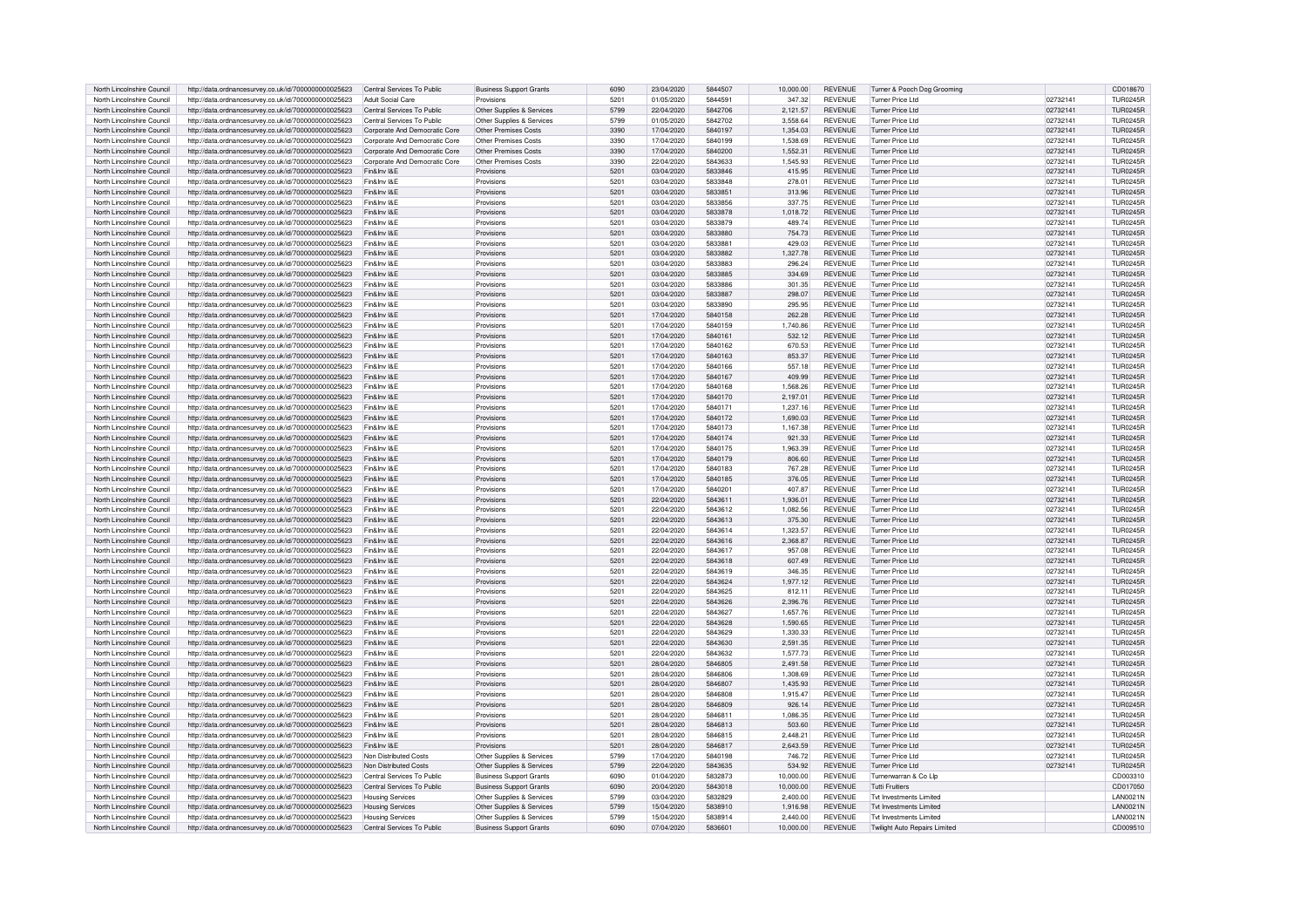| North Lincolnshire Council | http://data.ordnancesurvey.co.uk/id/7000000000025623 | Central Services To Public    | <b>Business Support Grants</b> | 6090 | 23/04/2020 | 5844507            | 10,000.00 | <b>REVENUE</b> | Turner & Pooch Dog Grooming   |          | CD018670        |
|----------------------------|------------------------------------------------------|-------------------------------|--------------------------------|------|------------|--------------------|-----------|----------------|-------------------------------|----------|-----------------|
| North Lincolnshire Council | http://data.ordnancesurvey.co.uk/id/7000000000025623 | Adult Social Care             | Provisions                     | 5201 | 01/05/2020 | 5844591            | 347.32    | <b>REVENUE</b> | <b>Turner Price Ltd</b>       | 02732141 | <b>TUR0245R</b> |
| North Lincolnshire Council | http://data.ordnancesurvey.co.uk/id/7000000000025623 | Central Services To Public    | Other Supplies & Services      | 5799 | 22/04/2020 | 5842706            | 2,121.57  | <b>REVENUE</b> | Turner Price Ltd              | 02732141 | <b>TUR0245R</b> |
| North Lincolnshire Council | http://data.ordnancesurvey.co.uk/id/7000000000025623 | Central Services To Public    | Other Supplies & Services      | 5799 | 01/05/2020 | 5842702            | 3.558.64  | <b>REVENUE</b> | Turner Price Ltd              | 0273214  | <b>TUR0245R</b> |
| North Lincolnshire Council | http://data.ordnancesurvey.co.uk/id/7000000000025623 | Corporate And Democratic Core | Other Premises Costs           | 3390 | 17/04/2020 | 5840197            | 1,354.03  | <b>REVENUE</b> | <b>Turner Price Ltd</b>       | 02732141 | <b>TUR0245R</b> |
| North Lincolnshire Council | http://data.ordnancesurvey.co.uk/id/7000000000025623 | Corporate And Democratic Core | Other Premises Costs           | 3390 | 17/04/2020 | 5840199            | 1,538.69  | <b>REVENUE</b> | <b>Turner Price Ltd</b>       | 02732141 | <b>TUR0245R</b> |
| North Lincolnshire Council | http://data.ordnancesurvey.co.uk/id/7000000000025623 | Corporate And Democratic Core | Other Premises Costs           | 3390 | 17/04/2020 | 5840200            | 1.552.31  | <b>REVENUE</b> | Turner Price Ltd              | 02732141 | TUR0245B        |
| North Lincolnshire Council | http://data.ordnancesurvey.co.uk/id/7000000000025623 | Corporate And Democratic Core | Other Premises Costs           | 3390 | 22/04/2020 | 5843633            | 1.545.93  | <b>REVENUE</b> | <b>Turner Price Ltd</b>       | 0273214  | TUR0245F        |
| North Lincolnshire Council | http://data.ordnancesurvey.co.uk/id/7000000000025623 | Fin&Inv I&F                   | Provisions                     | 5201 | 03/04/2020 | 5833846            | 415.95    | <b>REVENUE</b> | <b>Turner Price Ltd</b>       | 02732141 | TUR0245B        |
| North Lincolnshire Council | http://data.ordnancesurvey.co.uk/id/7000000000025623 | Fin&Inv I&E                   | Provisions                     | 5201 | 03/04/2020 | 5833848            | 278.01    | <b>REVENUE</b> | Turner Price Ltd              | 02732141 | <b>TUR0245F</b> |
| North Lincolnshire Council | http://data.ordnancesurvey.co.uk/id/7000000000025623 | Fin&Inv I&E                   | Provisions                     | 5201 | 03/04/2020 | 5833851            | 313.96    | <b>REVENUE</b> | Turner Price Ltd              | 02732141 | <b>TUR0245R</b> |
| North Lincolnshire Council | http://data.ordnancesurvey.co.uk/id/7000000000025623 | Fin&Inv I&E                   | Provisions                     | 5201 | 03/04/2020 | 5833856            | 337.75    | <b>REVENUE</b> | <b>Turner Price Ltd</b>       | 0273214  | <b>TUR0245R</b> |
| North Lincolnshire Council | http://data.ordnancesurvey.co.uk/id/7000000000025623 | Fin&Inv I&F                   | Provisions                     | 5201 | 03/04/2020 | 5833878            | 1.018.72  | <b>REVENUE</b> | Turner Price Ltd              | 02732141 | TUR0245B        |
| North Lincolnshire Council | http://data.ordnancesurvey.co.uk/id/7000000000025623 | Fin&Inv I&E                   | Provisions                     | 5201 | 03/04/2020 | 5833879            | 489.74    | <b>REVENUE</b> | <b>Turner Price Ltd</b>       | 02732141 | <b>TUR0245R</b> |
| North Lincolnshire Council | http://data.ordnancesurvey.co.uk/id/7000000000025623 | Fin&Inv I&F                   | Provisions                     | 5201 | 03/04/2020 | 5833880            | 754.73    | <b>REVENUE</b> | Turner Price Ltd              | 02732141 | <b>TUR0245R</b> |
| North Lincolnshire Council | http://data.ordnancesurvey.co.uk/id/7000000000025623 | Fin&Inv I&E                   | Provisions                     | 5201 | 03/04/2020 | 5833881            | 429.03    | <b>REVENUE</b> | Turner Price Ltd              | 02732141 | <b>TUR0245R</b> |
| North Lincolnshire Council | http://data.ordnancesurvey.co.uk/id/7000000000025623 | Fin&Inv I&F                   | Provisions                     | 5201 | 03/04/2020 | 5833882            | 1.327.78  | <b>REVENUE</b> | Turner Price Ltd              | 02732141 | <b>TUR0245R</b> |
| North Lincolnshire Council | http://data.ordnancesurvey.co.uk/id/7000000000025623 | Fin&Inv I&F                   | Provisions                     | 5201 | 03/04/2020 | 5833883            | 296.24    | <b>REVENUE</b> | Turner Price Ltd              | 02732141 | TLIR0245B       |
| North Lincolnshire Council | http://data.ordnancesurvey.co.uk/id/7000000000025623 | Fin&Inv I&F                   | Provisions                     | 5201 | 03/04/2020 | 5833885            | 334.69    | <b>REVENUE</b> | Turner Price Ltd              | 02732141 | <b>TUR0245R</b> |
| North Lincolnshire Council |                                                      | Fin&Inv I&E                   | Provisions                     | 5201 | 03/04/2020 | 5833886            | 301.35    | <b>REVENUE</b> | <b>Turner Price Ltd</b>       | 02732141 | <b>TUR0245R</b> |
|                            | http://data.ordnancesurvey.co.uk/id/7000000000025623 |                               |                                |      |            |                    |           |                |                               |          |                 |
| North Lincolnshire Council | http://data.ordnancesurvey.co.uk/id/7000000000025623 | Fin&Inv I&E                   | Provisions                     | 5201 | 03/04/2020 | 5833887            | 298.07    | <b>REVENUE</b> | <b>Turner Price Ltd</b>       | 02732141 | <b>TUR0245R</b> |
| North Lincolnshire Council | http://data.ordnancesurvey.co.uk/id/7000000000025623 | Fin&Inv I&E                   | Provisions                     | 5201 | 03/04/2020 | 5833890            | 295.95    | <b>REVENUE</b> | Turner Price Ltd              | 02732141 | <b>TUR0245R</b> |
| North Lincolnshire Council | http://data.ordnancesurvey.co.uk/id/7000000000025623 | Fin&Inv I&E                   | Provisions                     | 5201 | 17/04/2020 | 5840158            | 262.28    | <b>REVENUE</b> | <b>Turner Price Ltd</b>       | 02732141 | <b>TUR0245R</b> |
| North Lincolnshire Council | http://data.ordnancesurvey.co.uk/id/7000000000025623 | Fin&Inv I&E                   | Provisions                     | 5201 | 17/04/2020 | 5840159            | 1.740.86  | <b>REVENUE</b> | <b>Turner Price Ltd</b>       | 02732141 | <b>TUR0245R</b> |
| North Lincolnshire Council | http://data.ordnancesurvey.co.uk/id/7000000000025623 | Fin&Inv I&F                   | Provisions                     | 5201 | 17/04/2020 | 5840161            | 532.12    | <b>REVENUE</b> | Turner Price Ltd              | 02732141 | <b>TUR0245R</b> |
| North Lincolnshire Council | http://data.ordnancesurvey.co.uk/id/7000000000025623 | Fin&Inv I&F                   | Provisions                     | 5201 | 17/04/2020 | 5840162            | 670.53    | <b>REVENUE</b> | Turner Price Ltd              | 02732141 | <b>TUR0245R</b> |
| North Lincolnshire Council | http://data.ordnancesurvey.co.uk/id/7000000000025623 | Fin&Inv I&E                   | Provisions                     | 5201 | 17/04/2020 | 5840163            | 853.37    | <b>REVENUE</b> | <b>Turner Price Ltd</b>       | 02732141 | <b>TUR0245R</b> |
| North Lincolnshire Council | http://data.ordnancesurvey.co.uk/id/7000000000025623 | Fin&Inv I&F                   | Provisions                     | 5201 | 17/04/2020 | 5840166            | 557.18    | <b>REVENUE</b> | Turner Price Ltd              | 02732141 | TUR0245B        |
| North Lincolnshire Council | http://data.ordnancesurvey.co.uk/id/7000000000025623 | Fin&Inv I&F                   | Provisions                     | 5201 | 17/04/2020 | 5840167            | 409.99    | <b>REVENUE</b> | <b>Turner Price Ltd</b>       | 02732141 | <b>TUR0245R</b> |
| North Lincolnshire Council | http://data.ordnancesurvey.co.uk/id/7000000000025623 | Fin&Inv I&F                   | Provisions                     | 5201 | 17/04/2020 | 5840168            | 1.568.26  | <b>REVENUE</b> | <b>Turner Price Ltd</b>       | 02732141 | <b>TUR0245R</b> |
| North Lincolnshire Council | http://data.ordnancesurvey.co.uk/id/7000000000025623 | Fin&Inv I&E                   | Provisions                     | 5201 | 17/04/2020 | 5840170            | 2,197.01  | REVENUE        | Turner Price Ltd              | 02732141 | <b>TUR0245R</b> |
| North Lincolnshire Council | http://data.ordnancesurvey.co.uk/id/7000000000025623 | Fin&Inv I&E                   | Provisions                     | 5201 | 17/04/2020 | 5840171            | 1,237.16  | REVENUE        | Turner Price Ltd              | 02732141 | <b>TUR0245R</b> |
| North Lincolnshire Council | http://data.ordnancesurvey.co.uk/id/7000000000025623 | Fin&Inv I&E                   | Provisions                     | 5201 | 17/04/2020 | 5840172            | 1.690.03  | <b>REVENUE</b> | <b>Turner Price Ltd</b>       | 02732141 | <b>TUR0245F</b> |
| North Lincolnshire Council | http://data.ordnancesurvey.co.uk/id/7000000000025623 | Fin&Inv I&E                   | Provisions                     | 5201 | 17/04/2020 | 5840173            | 1,167.38  | <b>REVENUE</b> | <b>Turner Price Ltd</b>       | 02732141 | <b>TUR0245R</b> |
| North Lincolnshire Council | http://data.ordnancesurvey.co.uk/id/7000000000025623 | Fin&Inv I&F                   | Provisions                     | 5201 | 17/04/2020 | 5840174            | 921.33    | <b>REVENUE</b> | Turner Price Ltd              | 02732141 | TUR0245B        |
| North Lincolnshire Council | http://data.ordnancesurvey.co.uk/id/7000000000025623 | Fin&Inv I&E                   | Provisions                     | 5201 | 17/04/2020 | 5840175            | 1,963.39  | <b>REVENUE</b> | Turner Price Ltd              | 02732141 | <b>TUR0245R</b> |
| North Lincolnshire Council | http://data.ordnancesurvey.co.uk/id/7000000000025623 | Fin&Inv I&E                   | Provisions                     | 5201 | 17/04/2020 | 5840179            | 806.60    | <b>REVENUE</b> | Turner Price Ltd              | 02732141 | <b>TUR0245R</b> |
| North Lincolnshire Council | http://data.ordnancesurvey.co.uk/id/7000000000025623 | Fin&Inv I&F                   | Provisions                     | 5201 | 17/04/2020 | 5840183            | 767.28    | <b>REVENUE</b> | Turner Price Ltd              | 02732141 | TUR0245B        |
| North Lincolnshire Council | http://data.ordnancesurvey.co.uk/id/7000000000025623 | Fin&Inv I&F                   | Provisions                     | 5201 | 17/04/2020 | 5840185            | 376.05    | <b>REVENUE</b> | Turner Price Ltd              | 02732141 | <b>TUR0245R</b> |
| North Lincolnshire Council | http://data.ordnancesurvey.co.uk/id/7000000000025623 | Fin&Inv I&F                   | Provisions                     | 5201 | 17/04/2020 | 5840201            | 40787     | <b>REVENUE</b> | Turner Price Ltd              | 02732141 | <b>TUR0245R</b> |
| North Lincolnshire Council | http://data.ordnancesurvey.co.uk/id/7000000000025623 | Fin&Inv I&E                   | Provisions                     | 5201 | 22/04/2020 | 5843611            | 1,936.01  | <b>REVENUE</b> | Turner Price Ltd              | 02732141 | <b>TUR0245R</b> |
| North Lincolnshire Council | http://data.ordnancesurvey.co.uk/id/7000000000025623 | Fin&Inv I&F                   | Provisions                     | 5201 | 22/04/2020 | 5843612            | 1.082.56  | <b>REVENUE</b> | <b>Turner Price Ltd</b>       | 0273214  | <b>TUR0245R</b> |
| North Lincolnshire Council | http://data.ordnancesurvey.co.uk/id/7000000000025623 | Fin&Inv I&E                   | Provisions                     | 5201 | 22/04/2020 | 5843613            | 375.30    | <b>REVENUE</b> | Turner Price Ltd              | 02732141 | <b>TUR0245R</b> |
| North Lincolnshire Council | http://data.ordnancesurvey.co.uk/id/7000000000025623 | Fin&Inv I&E                   | Provisions                     | 5201 | 22/04/2020 | 5843614            | 1,323.57  | <b>REVENUE</b> | Turner Price Ltd              | 02732141 | <b>TUR0245R</b> |
| North Lincolnshire Council | http://data.ordnancesurvey.co.uk/id/7000000000025623 | Fin&Inv I&E                   | Provisions                     | 5201 | 22/04/2020 | 5843616            | 2.368.87  | <b>REVENUE</b> | <b>Turner Price Ltd</b>       | 0273214  | <b>TUR0245R</b> |
| North Lincolnshire Council | http://data.ordnancesurvey.co.uk/id/7000000000025623 | Fin&Inv I&F                   | Provisions                     | 5201 | 22/04/2020 | 5843617            | 957.08    | <b>REVENUE</b> | Turner Price Ltd              | 02732141 | <b>TUR0245R</b> |
| North Lincolnshire Council | http://data.ordnancesurvey.co.uk/id/7000000000025623 | Fin&Inv I&F                   | Provisions                     | 5201 | 22/04/2020 | 5843618            | 607.49    | <b>REVENUE</b> | Turner Price Ltd              | 02732141 | <b>TUR0245R</b> |
| North Lincolnshire Council | http://data.ordnancesurvey.co.uk/id/7000000000025623 | Fin&Inv I&F                   | Provisions                     | 5201 | 22/04/2020 | 5843619            | 346.35    | <b>REVENUE</b> | Turner Price Ltd              | 02732141 | <b>TUR0245R</b> |
| North Lincolnshire Council | http://data.ordnancesurvey.co.uk/id/7000000000025623 | Fin&Inv I&E                   | Provisions                     | 5201 | 22/04/2020 | 5843624            | 1.977.12  | <b>REVENUE</b> | <b>Turner Price Ltd</b>       | 02732141 | <b>TUR0245R</b> |
| North Lincolnshire Council |                                                      | Fin&Inv I&F                   | Provisions                     | 5201 | 22/04/2020 | 5843625            | 812.11    | <b>REVENUE</b> | Turner Price Ltd              | 02732141 | TUR0245B        |
|                            | http://data.ordnancesurvey.co.uk/id/7000000000025623 |                               |                                |      |            |                    |           |                |                               |          |                 |
| North Lincolnshire Council | http://data.ordnancesurvey.co.uk/id/7000000000025623 | Fin&Inv I&E                   | Provisions                     | 5201 | 22/04/2020 | 5843626<br>5843627 | 2.396.76  | <b>REVENUE</b> | <b>Turner Price Ltd</b>       | 02732141 | <b>TUR0245R</b> |
| North Lincolnshire Council | http://data.ordnancesurvey.co.uk/id/7000000000025623 | Fin&Inv I&F                   | Provisions                     | 5201 | 22/04/2020 |                    | 1.657.76  | <b>REVENUE</b> | <b>Turner Price Ltd</b>       | 02732141 | TUR0245B        |
| North Lincolnshire Council | http://data.ordnancesurvey.co.uk/id/7000000000025623 | Fin&Inv I&E                   | Provisions                     | 5201 | 22/04/2020 | 5843628            | 1,590.65  | REVENUE        | <b>Turner Price Ltd</b>       | 02732141 | <b>TUR0245R</b> |
| North Lincolnshire Council | http://data.ordnancesurvey.co.uk/id/7000000000025623 | Fin&Inv I&E                   | Provisions                     | 5201 | 22/04/2020 | 5843629            | 1,330.33  | REVENUE        | <b>Turner Price Ltd</b>       | 02732141 | <b>TUR0245R</b> |
| North Lincolnshire Council | http://data.ordnancesurvey.co.uk/id/7000000000025623 | Fin&Inv I&E                   | Provisions                     | 5201 | 22/04/2020 | 5843630            | 2.591.35  | <b>REVENUE</b> | <b>Turner Price Ltd</b>       | 02732141 | <b>TUR0245R</b> |
| North Lincolnshire Council | http://data.ordnancesurvey.co.uk/id/7000000000025623 | Fin&Inv I&F                   | Provisions                     | 5201 | 22/04/2020 | 5843632            | 1,577.73  | <b>REVENUE</b> | Turner Price Ltd              | 02732141 | TUR0245B        |
| North Lincolnshire Council | http://data.ordnancesurvey.co.uk/id/7000000000025623 | Fin&Inv I&F                   | Provisions                     | 5201 | 28/04/2020 | 5846805            | 2,491.58  | <b>REVENUE</b> | Turner Price Ltd              | 02732141 | TUR0245B        |
| North Lincolnshire Council | http://data.ordnancesurvey.co.uk/id/7000000000025623 | Fin&Inv I&E                   | Provisions                     | 5201 | 28/04/2020 | 5846806            | 1,308.69  | <b>REVENUE</b> | Turner Price Ltd              | 02732141 | <b>TUR0245R</b> |
| North Lincolnshire Council | http://data.ordnancesurvey.co.uk/id/7000000000025623 | Fin&Inv I&E                   | Provisions                     | 5201 | 28/04/2020 | 5846807            | 1,435.93  | <b>REVENUE</b> | Turner Price Ltd              | 02732141 | <b>TUR0245R</b> |
| North Lincolnshire Council | http://data.ordnancesurvey.co.uk/id/7000000000025623 | Fin&Inv I&F                   | Provisions                     | 5201 | 28/04/2020 | 5846808            | 1.915.47  | <b>REVENUE</b> | Turner Price Ltd              | 02732141 | <b>TUR0245R</b> |
| North Lincolnshire Council | http://data.ordnancesurvey.co.uk/id/7000000000025623 | Fin&Inv I&F                   | Provisions                     | 5201 | 28/04/2020 | 5846809            | 926.14    | <b>REVENUE</b> | <b>Turner Price Ltd</b>       | 02732141 | <b>TUR0245R</b> |
| North Lincolnshire Council | http://data.ordnancesurvey.co.uk/id/7000000000025623 | Fin&Inv I&E                   | Provisions                     | 5201 | 28/04/2020 | 5846811            | 1.086.35  | <b>REVENUE</b> | <b>Turner Price Ltd</b>       | 02732141 | <b>TUR0245R</b> |
| North Lincolnshire Council | http://data.ordnancesurvey.co.uk/id/7000000000025623 | Fin&Inv I&E                   | Provisions                     | 5201 | 28/04/2020 | 5846813            | 503.60    | <b>REVENUE</b> | <b>Turner Price Ltd</b>       | 02732141 | <b>TUR0245R</b> |
| North Lincolnshire Council | http://data.ordnancesurvey.co.uk/id/7000000000025623 | Fin&Inv I&E                   | Provisions                     | 5201 | 28/04/2020 | 5846815            | 2.448.21  | <b>REVENUE</b> | <b>Turner Price Ltd</b>       | 02732141 | <b>TUR0245R</b> |
| North Lincolnshire Council | http://data.ordnancesurvey.co.uk/id/7000000000025623 | Fin&Inv I&E                   | Provisions                     | 5201 | 28/04/2020 | 5846817            | 2,643.59  | <b>REVENUE</b> | <b>Turner Price Ltd</b>       | 02732141 | <b>TUR0245R</b> |
| North Lincolnshire Council | http://data.ordnancesurvey.co.uk/id/7000000000025623 | Non Distributed Costs         | Other Supplies & Services      | 5799 | 17/04/2020 | 5840198            | 746.72    | <b>REVENUE</b> | <b>Turner Price Ltd</b>       | 02732141 | <b>TUR0245R</b> |
| North Lincolnshire Council | http://data.ordnancesurvey.co.uk/id/7000000000025623 | Non Distributed Costs         | Other Supplies & Services      | 5799 | 22/04/2020 | 5843635            | 534.92    | <b>REVENUE</b> | <b>Turner Price Ltd</b>       | 02732141 | <b>TUR0245R</b> |
| North Lincolnshire Council | http://data.ordnancesurvey.co.uk/id/7000000000025623 | Central Services To Public    | <b>Business Support Grants</b> | 6090 | 01/04/2020 | 5832873            | 10,000.00 | <b>REVENUE</b> | Turnerwarran & Co Llo         |          | CD003310        |
| North Lincolnshire Council | http://data.ordnancesurvey.co.uk/id/7000000000025623 | Central Services To Public    | <b>Business Support Grants</b> | 6090 | 20/04/2020 | 5843018            | 10,000.00 | <b>REVENUE</b> | <b>Tutti Fruitiers</b>        |          | CD017050        |
| North Lincolnshire Council | http://data.ordnancesurvey.co.uk/id/7000000000025623 | <b>Housing Services</b>       | Other Supplies & Services      | 5799 | 03/04/2020 | 5832829            | 2.400.00  | <b>REVENUE</b> | Tyt Investments I imited      |          | LAN0021N        |
| North Lincolnshire Council | http://data.ordnancesurvey.co.uk/id/7000000000025623 | <b>Housing Services</b>       | Other Supplies & Services      | 5799 | 15/04/2020 | 5838910            | 1.916.98  | <b>REVENUE</b> | Tyt Investments I imited      |          | <b>LAN0021N</b> |
| North Lincolnshire Council | http://data.ordnancesurvey.co.uk/id/7000000000025623 | <b>Housing Services</b>       | Other Supplies & Services      | 5799 | 15/04/2020 | 5838914            | 2.440.00  | <b>REVENUE</b> | Tyt Investments I imited      |          | <b>LAN0021N</b> |
| North Lincolnshire Council | http://data.ordnancesurvey.co.uk/id/7000000000025623 | Central Services To Public    | <b>Business Support Grants</b> | 6090 | 07/04/2020 | 5836601            | 10.000.00 | REVENUE        | Twilight Auto Repairs Limited |          | CD009510        |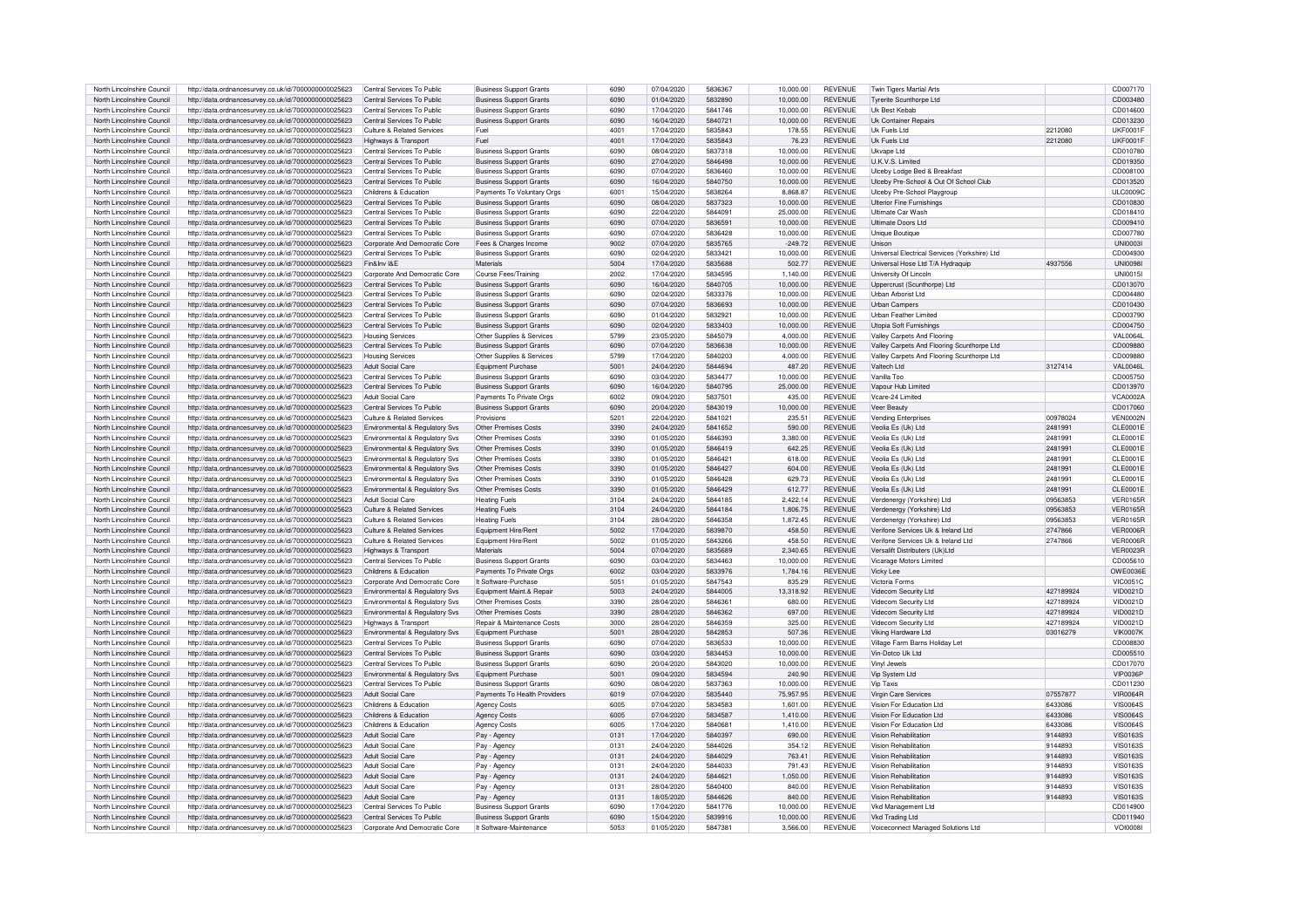| North Lincolnshire Council | http://data.ordnancesurvey.co.uk/id/7000000000025623 | Central Services To Public            | <b>Business Support Grants</b> | 6090 | 07/04/2020 | 5836367 | 10.000.00 | <b>REVENUE</b> | Twin Tigers Martial Arts                      |           | CD007170        |
|----------------------------|------------------------------------------------------|---------------------------------------|--------------------------------|------|------------|---------|-----------|----------------|-----------------------------------------------|-----------|-----------------|
| North Lincolnshire Council | http://data.ordnancesurvey.co.uk/id/7000000000025623 | Central Services To Public            | <b>Business Support Grants</b> | 6090 | 01/04/2020 | 5832890 | 10,000.00 | <b>REVENUE</b> | <b>Tyrerite Scunthorpe Ltd</b>                |           | CD003480        |
| North Lincolnshire Council | http://data.ordnancesurvey.co.uk/id/7000000000025623 | Central Services To Public            | <b>Business Support Grants</b> | 6090 | 17/04/2020 | 5841746 | 10,000.00 | <b>REVENUE</b> | <b>Uk Best Kebab</b>                          |           | CD014600        |
| North Lincolnshire Council |                                                      | Central Services To Public            |                                | 6090 | 16/04/2020 | 5840721 |           | <b>REVENUE</b> | <b>Uk Container Repairs</b>                   |           | CD013230        |
|                            | http://data.ordnancesurvey.co.uk/id/7000000000025623 |                                       | <b>Business Support Grants</b> |      |            |         | 10,000.00 |                |                                               |           |                 |
| North Lincolnshire Council | http://data.ordnancesurvey.co.uk/id/7000000000025623 | Culture & Related Services            | Fuel                           | 4001 | 17/04/2020 | 5835843 | 178.55    | <b>REVENUE</b> | Uk Fuels Ltd                                  | 2212080   | UKF0001F        |
| North Lincolnshire Council | http://data.ordnancesurvey.co.uk/id/7000000000025623 | Highways & Transport                  | Fuel                           | 4001 | 17/04/2020 | 5835843 | 76.23     | <b>REVENUE</b> | Uk Fuels I td                                 | 2212080   | UKF0001F        |
| North Lincolnshire Council | http://data.ordnancesurvey.co.uk/id/7000000000025623 | Central Services To Public            | <b>Business Support Grants</b> | 6090 | 08/04/2020 | 5837318 | 10.000.00 | <b>REVENUE</b> | Ukvane Ltd                                    |           | CD010780        |
| North Lincolnshire Council | http://data.ordnancesurvey.co.uk/id/7000000000025623 | Central Services To Public            | <b>Business Support Grants</b> | 6090 | 27/04/2020 | 5846498 | 10,000.00 | <b>REVENUE</b> | U.K.V.S. Limited                              |           | CD019350        |
| North Lincolnshire Council | http://data.ordnancesurvey.co.uk/id/7000000000025623 | Central Services To Public            | <b>Business Support Grants</b> | 6090 | 07/04/2020 | 5836460 | 10.000.00 | <b>REVENUE</b> | Ulceby Lodge Bed & Breakfast                  |           | CD008100        |
| North Lincolnshire Council | http://data.ordnancesurvey.co.uk/id/7000000000025623 | Central Services To Public            | <b>Business Support Grants</b> | 6090 | 16/04/2020 | 5840750 | 10.000.00 | <b>REVENUE</b> | Ulceby Pre-School & Out Of School Club        |           | CD013520        |
| North Lincolnshire Council | http://data.ordnancesurvey.co.uk/id/7000000000025623 | Childrens & Education                 | Payments To Voluntary Orgs     | 6001 | 15/04/2020 | 5838264 | 8,868.87  | <b>REVENUE</b> | Ulceby Pre-School Playgroup                   |           | <b>ULC0009C</b> |
| North Lincolnshire Council | http://data.ordnancesurvey.co.uk/id/7000000000025623 | Central Services To Public            | <b>Business Support Grants</b> | 6090 | 08/04/2020 | 5837323 | 10.000.00 | <b>REVENUE</b> | <b>Ulterior Fine Furnishings</b>              |           | CD010830        |
| North Lincolnshire Council | http://data.ordnancesurvey.co.uk/id/7000000000025623 | Central Services To Public            | <b>Business Support Grants</b> | 6090 | 22/04/2020 | 5844091 | 25,000.00 | <b>REVENUE</b> | Ultimate Car Wash                             |           | CD018410        |
| North Lincolnshire Council | http://data.ordnancesurvey.co.uk/id/7000000000025623 | Central Services To Public            | <b>Business Support Grants</b> | 6090 | 07/04/2020 | 5836591 | 10.000.00 | <b>REVENUE</b> | Ultimate Doors Ltd                            |           | CD009410        |
| North Lincolnshire Council | http://data.ordnancesurvey.co.uk/id/7000000000025623 | Central Services To Public            | <b>Business Support Grants</b> | 6090 | 07/04/2020 | 5836428 | 10,000.00 | <b>REVENUE</b> | Unique Boutique                               |           | CD007780        |
| North Lincolnshire Council | http://data.ordnancesurvey.co.uk/id/7000000000025623 | Corporate And Democratic Core         | Fees & Charges Income          | 9002 | 07/04/2020 | 5835765 | $-249.72$ | <b>REVENUE</b> | Unison                                        |           | <b>UNI0003I</b> |
| North Lincolnshire Council | http://data.ordnancesurvey.co.uk/id/7000000000025623 | Central Services To Public            | <b>Business Support Grants</b> | 6090 | 02/04/2020 | 5833421 | 10,000.00 | <b>REVENUE</b> | Universal Electrical Services (Yorkshire) Ltd |           | CD004930        |
| North Lincolnshire Council |                                                      | Fin&Inv I&F                           | Materials                      | 5004 | 17/04/2020 | 5835688 | 502.77    | <b>REVENUE</b> |                                               | 4937556   | UNI0098         |
|                            | http://data.ordnancesurvey.co.uk/id/7000000000025623 |                                       |                                |      |            |         |           |                | Universal Hose Ltd T/A Hydraquip              |           |                 |
| North Lincolnshire Council | http://data.ordnancesurvey.co.uk/id/7000000000025623 | Corporate And Democratic Core         | Course Fees/Training           | 2002 | 17/04/2020 | 5834595 | 1.140.00  | <b>REVENUE</b> | University Of Lincoln                         |           | <b>UNI0015I</b> |
| North Lincolnshire Council | http://data.ordnancesurvey.co.uk/id/7000000000025623 | Central Services To Public            | <b>Business Support Grants</b> | 6090 | 16/04/2020 | 5840705 | 10,000.00 | <b>REVENUE</b> | Uppercrust (Scunthorpe) Ltd                   |           | CD013070        |
| North Lincolnshire Council | http://data.ordnancesurvey.co.uk/id/7000000000025623 | Central Services To Public            | <b>Business Support Grants</b> | 6090 | 02/04/2020 | 5833376 | 10.000.00 | <b>REVENUE</b> | Urban Arborist Ltd                            |           | CD004480        |
| North Lincolnshire Council | http://data.ordnancesurvey.co.uk/id/7000000000025623 | Central Services To Public            | <b>Business Support Grants</b> | 6090 | 07/04/2020 | 5836693 | 10,000.00 | <b>REVENUE</b> | <b>Urban Campers</b>                          |           | CD010430        |
| North Lincolnshire Council | http://data.ordnancesurvey.co.uk/id/7000000000025623 | Central Services To Public            | <b>Business Support Grants</b> | 6090 | 01/04/2020 | 5832921 | 10.000.00 | <b>REVENUE</b> | <b>Urban Feather Limited</b>                  |           | CD003790        |
| North Lincolnshire Council | http://data.ordnancesurvey.co.uk/id/7000000000025623 | Central Services To Public            | <b>Business Support Grants</b> | 6090 | 02/04/2020 | 5833403 | 10,000.00 | <b>REVENUE</b> | Utopia Soft Furnishings                       |           | CD004750        |
| North Lincolnshire Council | http://data.ordnancesurvey.co.uk/id/7000000000025623 | <b>Housing Services</b>               | Other Supplies & Services      | 5799 | 23/05/2020 | 5845079 | 4.000.00  | <b>REVENUE</b> | Valley Carpets And Flooring                   |           | <b>VAL0064L</b> |
| North Lincolnshire Council | http://data.ordnancesurvey.co.uk/id/7000000000025623 | Central Services To Public            | <b>Business Support Grants</b> | 6090 | 07/04/2020 | 5836638 | 10,000.00 | <b>REVENUE</b> | Valley Carpets And Flooring Scunthorpe Ltd    |           | CD009880        |
| North Lincolnshire Council | http://data.ordnancesurvey.co.uk/id/7000000000025623 | <b>Housing Services</b>               | Other Supplies & Services      | 5799 | 17/04/2020 | 5840203 | 4.000.00  | <b>REVENUE</b> | Valley Carpets And Flooring Scunthorpe Ltd    |           | CD009880        |
| North Lincolnshire Council | http://data.ordnancesurvey.co.uk/id/7000000000025623 | <b>Adult Social Care</b>              | Equipment Purchase             | 5001 | 24/04/2020 | 5844694 | 487.20    | <b>REVENUE</b> | Valtech I td                                  | 3127414   | VAL0046L        |
| North Lincolnshire Council | http://data.ordnancesurvey.co.uk/id/7000000000025623 | Central Services To Public            | <b>Business Support Grants</b> | 6090 | 03/04/2020 | 5834477 | 10,000.00 | <b>REVENUE</b> | Vanilla Too                                   |           | CD005750        |
| North Lincolnshire Council | http://data.ordnancesurvey.co.uk/id/7000000000025623 | Central Services To Public            | <b>Business Support Grants</b> | 6090 | 16/04/2020 | 5840795 | 25,000.00 | <b>REVENUE</b> | Vapour Hub Limited                            |           | CD013970        |
| North Lincolnshire Council | http://data.ordnancesurvey.co.uk/id/7000000000025623 | Adult Social Care                     | Payments To Private Orgs       | 6002 | 09/04/2020 | 5837501 | 435.00    | <b>REVENUE</b> | Vcare-24 Limited                              |           | <b>VCA0002A</b> |
| North Lincolnshire Council | http://data.ordnancesurvey.co.uk/id/7000000000025623 | Central Services To Public            | <b>Business Support Grants</b> | 6090 | 20/04/2020 | 5843019 | 10,000.00 | <b>REVENUE</b> | Veer Beauty                                   |           | CD017060        |
|                            |                                                      |                                       |                                |      |            |         |           |                |                                               |           |                 |
| North Lincolnshire Council | http://data.ordnancesurvey.co.uk/id/7000000000025623 | Culture & Related Services            | Provisions                     | 5201 | 22/04/2020 | 5841021 | 235.51    | <b>REVENUE</b> | Vending Enterprises                           | 00978024  | VEN0002N        |
| North Lincolnshire Council | http://data.ordnancesurvey.co.uk/id/7000000000025623 | Environmental & Regulatory Svs        | Other Premises Costs           | 3390 | 24/04/2020 | 5841652 | 590.00    | <b>REVENUE</b> | Veolia Es (Uk) Ltd                            | 2481991   | CLE0001E        |
| North Lincolnshire Council | http://data.ordnancesurvey.co.uk/id/7000000000025623 | Environmental & Regulatory Svs        | Other Premises Costs           | 3390 | 01/05/2020 | 5846393 | 3.380.00  | <b>REVENUE</b> | Veolia Es (Uk) Ltd                            | 2481991   | <b>CLE0001E</b> |
| North Lincolnshire Council | http://data.ordnancesurvey.co.uk/id/7000000000025623 | Environmental & Regulatory Svs        | Other Premises Costs           | 3390 | 01/05/2020 | 5846419 | 642.25    | <b>REVENUE</b> | Veolia Es (Uk) Ltd                            | 2481991   | CLE0001E        |
| North Lincolnshire Council | http://data.ordnancesurvey.co.uk/id/7000000000025623 | Environmental & Regulatory Svs        | Other Premises Costs           | 3390 | 01/05/2020 | 5846421 | 618.00    | <b>REVENUE</b> | Veolia Es (Uk) I td                           | 2481991   | CLE0001E        |
| North Lincolnshire Council | http://data.ordnancesurvey.co.uk/id/7000000000025623 | Environmental & Regulatory Svs        | Other Premises Costs           | 3390 | 01/05/2020 | 5846427 | 604.00    | <b>REVENUE</b> | Veolia Es (Uk) Ltd                            | 248199    | CLE0001E        |
| North Lincolnshire Council | http://data.ordnancesurvey.co.uk/id/7000000000025623 | Environmental & Regulatory Svs        | Other Premises Costs           | 3390 | 01/05/2020 | 5846428 | 629.73    | <b>REVENUE</b> | Veolia Es (Uk) Ltd                            | 2481991   | CLE0001E        |
| North Lincolnshire Council | http://data.ordnancesurvey.co.uk/id/7000000000025623 | Environmental & Regulatory Svs        | Other Premises Costs           | 3390 | 01/05/2020 | 5846429 | 612.77    | <b>REVENUE</b> | Veolia Es (Uk) Ltd                            | 2481991   | CLE0001E        |
| North Lincolnshire Council | http://data.ordnancesurvey.co.uk/id/7000000000025623 | Adult Social Care                     | <b>Heating Fuels</b>           | 3104 | 24/04/2020 | 5844185 | 2.422.14  | <b>REVENUE</b> | Verdenergy (Yorkshire) Ltd                    | 09563853  | <b>VER0165R</b> |
| North Lincolnshire Council | http://data.ordnancesurvey.co.uk/id/7000000000025623 | <b>Culture &amp; Related Services</b> | <b>Heating Fuels</b>           | 3104 | 24/04/2020 | 5844184 | 1.806.75  | <b>REVENUE</b> | Verdenergy (Yorkshire) Ltd                    | 09563853  | <b>VER0165R</b> |
| North Lincolnshire Council | http://data.ordnancesurvey.co.uk/id/7000000000025623 | Culture & Related Services            | <b>Heating Fuels</b>           | 3104 | 28/04/2020 | 5846358 | 1.872.45  | <b>REVENUE</b> | Verdenergy (Yorkshire) Ltd                    | 09563853  | <b>VER0165R</b> |
| North Lincolnshire Council | http://data.ordnancesurvey.co.uk/id/7000000000025623 | Culture & Related Services            | Equipment Hire/Rent            | 5002 | 17/04/2020 | 5839870 | 458.50    | <b>REVENUE</b> | Verifone Services Uk & Ireland Ltd            | 2747866   | <b>VER0006R</b> |
| North Lincolnshire Council | http://data.ordnancesurvey.co.uk/id/7000000000025623 | Culture & Related Services            | Equipment Hire/Rent            | 5002 | 01/05/2020 | 5843266 | 458.50    | <b>REVENUE</b> | Verifone Services Uk & Ireland Ltd            | 2747866   | <b>VER0006R</b> |
| North Lincolnshire Council |                                                      |                                       | Materials                      | 5004 |            | 5835689 | 2.340.65  | <b>REVENUE</b> | Versalift Distributers (Uk)I to               |           | <b>VER0023R</b> |
|                            | http://data.ordnancesurvey.co.uk/id/7000000000025623 | Highways & Transport                  |                                |      | 07/04/2020 |         |           |                |                                               |           |                 |
| North Lincolnshire Council | http://data.ordnancesurvey.co.uk/id/7000000000025623 | Central Services To Public            | <b>Business Support Grants</b> | 6090 | 03/04/2020 | 5834463 | 10.000.00 | <b>REVENUE</b> | Vicarage Motors Limited                       |           | CD005610        |
| North Lincolnshire Council | http://data.ordnancesurvey.co.uk/id/7000000000025623 | Childrens & Education                 | Payments To Private Orgs       | 6002 | 03/04/2020 | 5833976 | 1.784.16  | <b>REVENUE</b> | Vicky Lee                                     |           | <b>OWE0036E</b> |
| North Lincolnshire Council | http://data.ordnancesurvey.co.uk/id/7000000000025623 | Corporate And Democratic Core         | It Software-Purchase           | 5051 | 01/05/2020 | 5847543 | 835.29    | <b>REVENUE</b> | Victoria Forms                                |           | <b>VIC0051C</b> |
| North Lincolnshire Council | http://data.ordnancesurvey.co.uk/id/7000000000025623 | Environmental & Regulatory Svs        | Equipment Maint.& Repair       | 5003 | 24/04/2020 | 5844005 | 13.318.92 | <b>REVENUE</b> | Videcom Security Ltd                          | 427189924 | VID0021D        |
| North Lincolnshire Council | http://data.ordnancesurvey.co.uk/id/7000000000025623 | Environmental & Regulatory Svs        | Other Premises Costs           | 3390 | 28/04/2020 | 5846361 | 680.00    | <b>REVENUE</b> | Videcom Security Ltd                          | 427189924 | VID0021D        |
| North Lincolnshire Council | http://data.ordnancesurvey.co.uk/id/7000000000025623 | Environmental & Regulatory Svs        | Other Premises Costs           | 3390 | 28/04/2020 | 5846362 | 697.00    | REVENUE        | Videcom Security Ltd                          | 427189924 | VID0021D        |
| North Lincolnshire Council | http://data.ordnancesurvey.co.uk/id/7000000000025623 | Highways & Transport                  | Repair & Maintenance Costs     | 3000 | 28/04/2020 | 5846359 | 325.00    | <b>REVENUE</b> | Videcom Security Ltd                          | 427189924 | VID0021D        |
| North Lincolnshire Council | http://data.ordnancesurvey.co.uk/id/7000000000025623 | Environmental & Regulatory Sys        | Equipment Purchase             | 5001 | 28/04/2020 | 5842853 | 507.36    | <b>REVENUE</b> | Viking Hardware Ltd                           | 03016279  | <b>VIK0007K</b> |
| North Lincolnshire Council | http://data.ordnancesurvey.co.uk/id/7000000000025623 | Central Services To Public            | <b>Business Support Grants</b> | 6090 | 07/04/2020 | 5836533 | 10.000.00 | <b>REVENUE</b> | Village Farm Barns Holiday Let                |           | CD008830        |
| North Lincolnshire Council | http://data.ordnancesurvey.co.uk/id/7000000000025623 | Central Services To Public            | <b>Business Support Grants</b> | 6090 | 03/04/2020 | 5834453 | 10,000.00 | <b>REVENUE</b> | Vin-Dotco Uk Ltd                              |           | CD005510        |
| North Lincolnshire Council | http://data.ordnancesurvey.co.uk/id/7000000000025623 | Central Services To Public            | <b>Business Support Grants</b> | 6090 | 20/04/2020 | 5843020 | 10,000.00 | <b>REVENUE</b> | Vinyl Jewels                                  |           | CD017070        |
| North Lincolnshire Council | http://data.ordnancesurvey.co.uk/id/7000000000025623 | Environmental & Regulatory Svs        | Equipment Purchase             | 5001 | 09/04/2020 | 5834594 | 240.90    | <b>REVENUE</b> | Vin System I td                               |           | <b>VIP0036P</b> |
| North Lincolnshire Council |                                                      | Central Services To Public            |                                | 6090 | 08/04/2020 | 5837363 | 10.000.00 | <b>REVENUE</b> | Vin Taxis                                     |           | CD011230        |
|                            | http://data.ordnancesurvey.co.uk/id/7000000000025623 |                                       | <b>Business Support Grants</b> |      |            |         |           |                |                                               |           |                 |
| North Lincolnshire Council | http://data.ordnancesurvey.co.uk/id/7000000000025623 | Adult Social Care                     | Payments To Health Providers   | 6019 | 07/04/2020 | 5835440 | 75,957.95 | <b>REVENUE</b> | Virgin Care Services                          | 07557877  | <b>VIR0064R</b> |
| North Lincolnshire Council | http://data.ordnancesurvey.co.uk/id/7000000000025623 | Childrens & Education                 | <b>Agency Costs</b>            | 6005 | 07/04/2020 | 5834583 | 1.601.00  | <b>REVENUE</b> | Vision For Education Ltd                      | 6433086   | VIS0064S        |
| North Lincolnshire Council | http://data.ordnancesurvey.co.uk/id/7000000000025623 | Childrens & Education                 | <b>Agency Costs</b>            | 6005 | 07/04/2020 | 5834587 | 1.410.00  | <b>REVENUE</b> | Vision For Education Ltd                      | 6433086   | VIS0064S        |
| North Lincolnshire Council | http://data.ordnancesurvey.co.uk/id/7000000000025623 | Childrens & Education                 | <b>Agency Costs</b>            | 6005 | 17/04/2020 | 5840681 | 1,410.00  | <b>REVENUE</b> | Vision For Education Ltd                      | 6433086   | <b>VIS0064S</b> |
| North Lincolnshire Council | http://data.ordnancesurvey.co.uk/id/7000000000025623 | Adult Social Care                     | Pay - Agency                   | 0131 | 17/04/2020 | 5840397 | 690.00    | <b>REVENUE</b> | Vision Rehabilitation                         | 9144893   | <b>VIS0163S</b> |
| North Lincolnshire Council | http://data.ordnancesurvey.co.uk/id/7000000000025623 | Adult Social Care                     | Pay - Agency                   | 0131 | 24/04/2020 | 5844026 | 354.12    | <b>REVENUE</b> | Vision Rehabilitation                         | 9144893   | <b>VIS0163S</b> |
| North Lincolnshire Council | http://data.ordnancesurvey.co.uk/id/7000000000025623 | Adult Social Care                     | Pay - Agency                   | 0131 | 24/04/2020 | 5844029 | 763.41    | <b>REVENUE</b> | Vision Rehabilitation                         | 9144893   | VIS0163S        |
| North Lincolnshire Council | http://data.ordnancesurvey.co.uk/id/7000000000025623 | Adult Social Care                     | Pay - Agency                   | 0131 | 24/04/2020 | 5844033 | 791.43    | <b>REVENUE</b> | Vision Rehabilitation                         | 9144893   | VIS0163S        |
| North Lincolnshire Council | http://data.ordnancesurvey.co.uk/id/7000000000025623 | Adult Social Care                     | Pay - Agency                   | 0131 | 24/04/2020 | 5844621 | 1,050.00  | <b>REVENUE</b> | Vision Rehabilitation                         | 9144893   | <b>VIS0163S</b> |
| North Lincolnshire Council | http://data.ordnancesurvey.co.uk/id/7000000000025623 | Adult Social Care                     | Pay - Agency                   | 0131 | 28/04/2020 | 5840400 | 840.00    | <b>REVENUE</b> | Vision Rehabilitation                         | 9144893   | <b>VIS0163S</b> |
| North Lincolnshire Council | http://data.ordnancesurvey.co.uk/id/7000000000025623 | Adult Social Care                     | Pay - Agency                   | 0131 | 18/05/2020 | 5844626 | 840.00    | <b>REVENUE</b> | Vision Rehabilitation                         | 9144893   | <b>VIS0163S</b> |
| North Lincolnshire Council | http://data.ordnancesurvey.co.uk/id/7000000000025623 | Central Services To Public            | <b>Business Support Grants</b> | 6090 | 17/04/2020 | 5841776 | 10.000.00 | <b>REVENUE</b> | Vkd Management Ltd                            |           | CD014900        |
| North Lincolnshire Council | http://data.ordnancesurvey.co.uk/id/7000000000025623 | Central Services To Public            | <b>Business Support Grants</b> | 6090 | 15/04/2020 | 5839916 | 10.000.00 | <b>REVENUE</b> | Vkd Trading Ltd                               |           | CD011940        |
|                            |                                                      |                                       | It Software-Maintenance        | 5053 | 01/05/2020 | 5847381 | 3.566.00  | <b>REVENUE</b> |                                               |           | <b>VOI0008I</b> |
| North Lincolnshire Council | http://data.ordnancesurvey.co.uk/id/7000000000025623 | Corporate And Democratic Core         |                                |      |            |         |           |                | Voiceconnect Managed Solutions Ltd            |           |                 |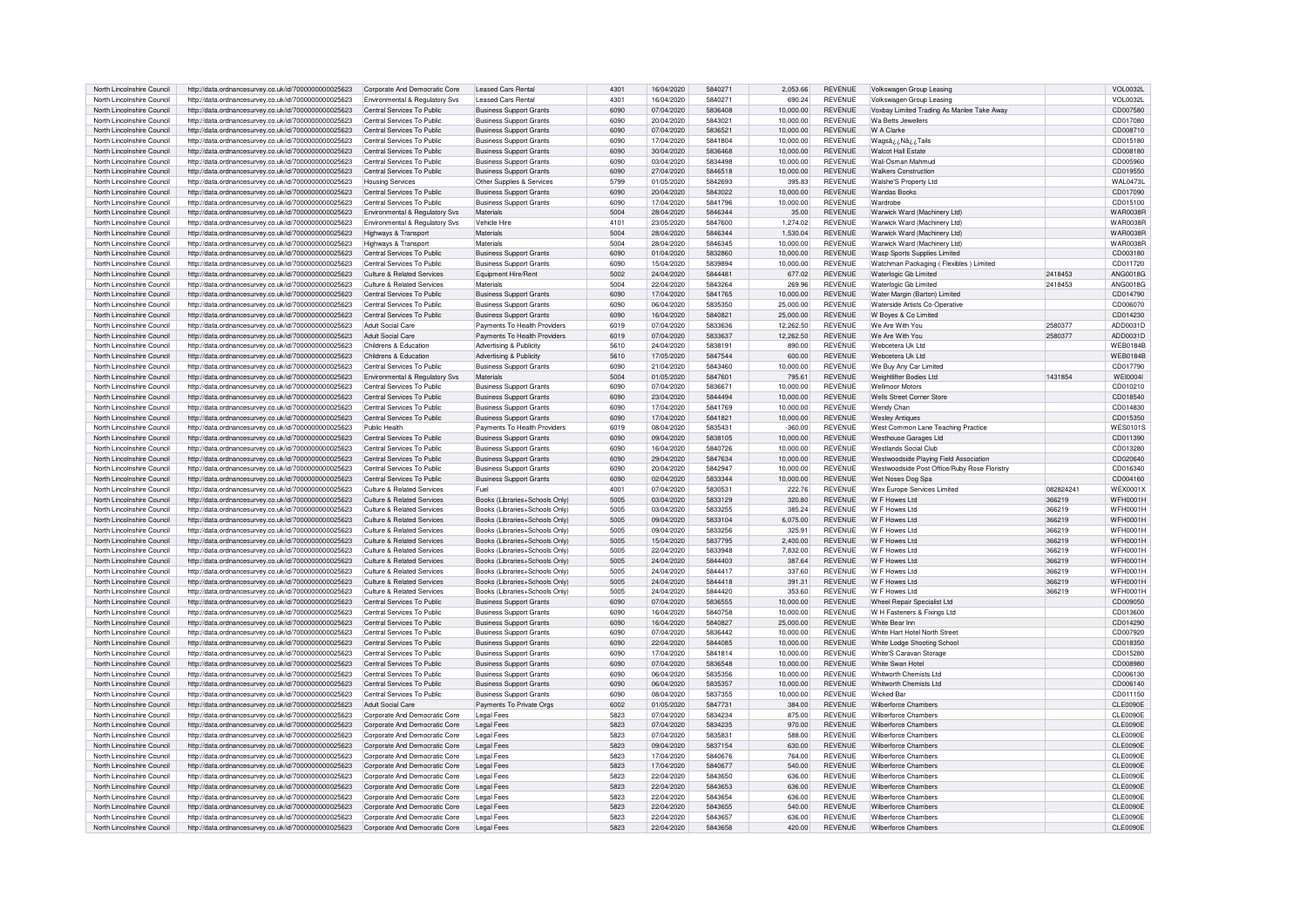| North Lincolnshire Council                               | http://data.ordnancesurvey.co.uk/id/7000000000025623                                                         | Corporate And Democratic Core                                  | <b>Leased Cars Renta</b>                                         | 4301         | 16/04/2020               | 5840271            | 2,053.66         | <b>REVENUE</b>                   | Volkswagen Group Leasing                                   |           | <b>VOL0032L</b>      |
|----------------------------------------------------------|--------------------------------------------------------------------------------------------------------------|----------------------------------------------------------------|------------------------------------------------------------------|--------------|--------------------------|--------------------|------------------|----------------------------------|------------------------------------------------------------|-----------|----------------------|
| North Lincolnshire Council                               | http://data.ordnancesurvey.co.uk/id/7000000000025623                                                         | Environmental & Regulatory Svs                                 | I eased Cars Benta                                               | 4301         | 16/04/2020               | 5840271            | 690.24           | <b>REVENUE</b>                   | Volkswagen Group Leasing                                   |           | VOL0032L             |
|                                                          |                                                                                                              |                                                                |                                                                  |              |                          |                    |                  |                                  |                                                            |           |                      |
| North Lincolnshire Council                               | http://data.ordnancesurvey.co.uk/id/7000000000025623                                                         | Central Services To Public                                     | <b>Business Support Grants</b>                                   | 6090         | 07/04/2020               | 5836408            | 10.000.00        | <b>REVENUE</b>                   | Voxbay Limited Trading As Manlee Take Away                 |           | CD007580             |
| North Lincolnshire Council                               | http://data.ordnancesurvey.co.uk/id/7000000000025623                                                         | Central Services To Public                                     | <b>Business Support Grants</b>                                   | 6090         | 20/04/2020               | 5843021            | 10,000.00        | <b>REVENUE</b>                   | Wa Betts Jewellers                                         |           | CD017080             |
| North Lincolnshire Council                               | http://data.ordnancesurvey.co.uk/id/7000000000025623                                                         | Central Services To Public                                     | <b>Business Support Grants</b>                                   | 6090         | 07/04/2020               | 5836521            | 10,000.00        | <b>REVENUE</b>                   | W A Clarke                                                 |           | CD008710             |
| North Lincolnshire Council                               | http://data.ordnancesurvey.co.uk/id/7000000000025623                                                         | Central Services To Public                                     | <b>Business Support Grants</b>                                   | 6090         | 17/04/2020               | 5841804            | 10.000.00        | <b>REVENUE</b>                   | Wagsâ ¿ Nâ ¿ ¿Tails                                        |           | CD015180             |
| North Lincolnshire Council                               | http://data.ordnancesurvey.co.uk/id/7000000000025623                                                         | Central Services To Public                                     | <b>Business Support Grants</b>                                   | 6090         | 30/04/2020               | 5836468            | 10.000.00        | <b>REVENUE</b>                   | <b>Walcot Hall Estate</b>                                  |           | CD008180             |
| North Lincolnshire Council                               |                                                                                                              | Central Services To Public                                     |                                                                  | 6090         | 03/04/2020               | 5834498            |                  | <b>REVENUE</b>                   | Wali Osman Mahmud                                          |           | CD005960             |
|                                                          | http://data.ordnancesurvey.co.uk/id/7000000000025623                                                         |                                                                | <b>Business Support Grants</b>                                   |              |                          |                    | 10,000.00        |                                  |                                                            |           |                      |
| North Lincolnshire Council                               | http://data.ordnancesurvey.co.uk/id/7000000000025623                                                         | Central Services To Public                                     | <b>Business Support Grants</b>                                   | 6090         | 27/04/2020               | 5846518            | 10,000.00        | <b>REVENUE</b>                   | <b>Walkers Construction</b>                                |           | CD019550             |
| North Lincolnshire Council                               | http://data.ordnancesurvey.co.uk/id/7000000000025623                                                         | <b>Housing Services</b>                                        | Other Supplies & Service:                                        | 5799         | 01/05/2020               | 5842693            | 395.83           | <b>REVENUE</b>                   | Walshe'S Property Ltd                                      |           | <b>WAL0473I</b>      |
| North Lincolnshire Council                               | http://data.ordnancesurvey.co.uk/id/7000000000025623                                                         | Central Services To Public                                     | <b>Business Support Grants</b>                                   | 6090         | 20/04/2020               | 5843022            | 10,000.00        | <b>REVENUE</b>                   | <b>Wandas Books</b>                                        |           | CD017090             |
| North Lincolnshire Council                               | http://data.ordnancesurvey.co.uk/id/7000000000025623                                                         | Central Services To Public                                     | <b>Business Support Grants</b>                                   | 6090         | 17/04/2020               | 5841796            | 10.000.00        | <b>REVENUE</b>                   | Wardrobe                                                   |           | CD015100             |
| North Lincolnshire Council                               | http://data.ordnancesurvey.co.uk/id/7000000000025623                                                         | Environmental & Regulatory Svs                                 | Materials                                                        | 5004         | 28/04/2020               | 5846344            | 35.00            | <b>REVENUE</b>                   | Warwick Ward (Machinery Ltd)                               |           | <b>WAR0038R</b>      |
| North Lincolnshire Council                               | http://data.ordnancesurvey.co.uk/id/7000000000025623                                                         | Environmental & Regulatory Svs                                 | Vehicle Hire                                                     | 4101         | 23/05/2020               | 5847600            | 1.274.02         | <b>REVENUE</b>                   | Warwick Ward (Machinery Ltd)                               |           | <b>WAR0038R</b>      |
|                                                          |                                                                                                              |                                                                | Materials                                                        |              |                          |                    |                  |                                  |                                                            |           |                      |
| North Lincolnshire Council                               | http://data.ordnancesurvey.co.uk/id/7000000000025623                                                         | Highways & Transport                                           |                                                                  | 5004         | 28/04/2020               | 5846344            | 1.530.04         | <b>REVENUE</b>                   | Warwick Ward (Machinery Ltd)                               |           | <b>WAR0038R</b>      |
| North Lincolnshire Council                               | http://data.ordnancesurvey.co.uk/id/7000000000025623                                                         | Highways & Transport                                           | Materials                                                        | 5004         | 28/04/2020               | 5846345            | 10.000.00        | <b>REVENUE</b>                   | Warwick Ward (Machinery Ltd)                               |           | <b>WAR0038R</b>      |
| North Lincolnshire Council                               | http://data.ordnancesurvey.co.uk/id/7000000000025623                                                         | Central Services To Public                                     | <b>Business Support Grants</b>                                   | 6090         | 01/04/2020               | 5832860            | 10.000.00        | <b>REVENUE</b>                   | Wasp Sports Supplies Limited                               |           | CD003180             |
| North Lincolnshire Council                               | http://data.ordnancesurvey.co.uk/id/7000000000025623                                                         | Central Services To Public                                     | <b>Business Support Grants</b>                                   | 6090         | 15/04/2020               | 5839894            | 10.000.00        | <b>REVENUE</b>                   | Watchman Packaging (Flexibles) Limited                     |           | CD011720             |
| North Lincolnshire Council                               | http://data.ordnancesurvey.co.uk/id/7000000000025623                                                         | Culture & Related Services                                     | Equipment Hire/Rent                                              | 5002         | 24/04/2020               | 5844481            | 677.02           | <b>REVENUE</b>                   | Waterlogic Gb Limited                                      | 2418453   | ANG0018G             |
| North Lincolnshire Council                               | http://data.ordnancesurvey.co.uk/id/7000000000025623                                                         | Culture & Related Services                                     | Materials                                                        | 5004         | 22/04/2020               | 5843264            | 269.96           | <b>REVENUE</b>                   | Waterlogic Gb Limited                                      | 2418453   | ANG0018G             |
| North Lincolnshire Council                               | http://data.ordnancesurvey.co.uk/id/7000000000025623                                                         | Central Services To Public                                     | <b>Business Support Grants</b>                                   | 6090         | 17/04/2020               | 5841765            | 10.000.00        | <b>REVENUE</b>                   | Water Margin (Barton) Limited                              |           | CD014790             |
| North Lincolnshire Council                               | http://data.ordnancesurvey.co.uk/id/7000000000025623                                                         | Central Services To Public                                     | <b>Business Support Grants</b>                                   | 6090         | 06/04/2020               | 5835350            | 25,000.00        | <b>REVENUE</b>                   | Waterside Artists Co-Operative                             |           | CD006070             |
|                                                          |                                                                                                              |                                                                |                                                                  |              |                          |                    |                  |                                  |                                                            |           |                      |
| North Lincolnshire Council                               | http://data.ordnancesurvey.co.uk/id/7000000000025623                                                         | Central Services To Public                                     | <b>Business Support Grants</b>                                   | 6090         | 16/04/2020               | 5840821            | 25,000.00        | <b>REVENUE</b>                   | W Boyes & Co Limited                                       |           | CD014230             |
| North Lincolnshire Council                               | http://data.ordnancesurvey.co.uk/id/7000000000025623                                                         | Adult Social Care                                              | Payments To Health Providers                                     | 6019         | 07/04/2020               | 5833636            | 12,262.50        | <b>REVENUE</b>                   | We Are With You                                            | 2580377   | ADD0031D             |
| North Lincolnshire Council                               | http://data.ordnancesurvey.co.uk/id/7000000000025623                                                         | Adult Social Care                                              | Payments To Health Providers                                     | 6019         | 07/04/2020               | 5833637            | 12,262.50        | <b>REVENUE</b>                   | We Are With You                                            | 2580377   | ADD0031D             |
| North Lincolnshire Council                               | http://data.ordnancesurvey.co.uk/id/7000000000025623                                                         | Childrens & Education                                          | Advertising & Publicity                                          | 5610         | 24/04/2020               | 5838191            | 890.00           | <b>REVENUE</b>                   | Webcetera Uk I td                                          |           | <b>WFB0184F</b>      |
| North Lincolnshire Council                               | http://data.ordnancesurvey.co.uk/id/7000000000025623                                                         | Childrens & Education                                          | Advertising & Publicity                                          | 5610         | 17/05/2020               | 5847544            | 600.00           | <b>REVENUE</b>                   | Webcetera Uk Ltd                                           |           | <b>WFB0184B</b>      |
| North Lincolnshire Council                               | http://data.ordnancesurvey.co.uk/id/7000000000025623                                                         | Central Services To Public                                     | <b>Business Support Grants</b>                                   | 6090         | 21/04/2020               | 5843460            | 10.000.00        | <b>REVENUE</b>                   | We Buy Any Car Limited                                     |           | CD017790             |
| North Lincolnshire Council                               | http://data.ordnancesurvey.co.uk/id/7000000000025623                                                         | Environmental & Regulatory Svs                                 | Materials                                                        | 5004         | 01/05/2020               | 5847601            | 795.61           | <b>REVENUE</b>                   | Weightlifter Bodies Ltd                                    | 1431854   | WF100041             |
| North Lincolnshire Council                               |                                                                                                              | Central Services To Public                                     | <b>Business Support Grants</b>                                   | 6090         |                          | 5836671            |                  | <b>REVENUE</b>                   | <b>Wellmoor Motors</b>                                     |           |                      |
|                                                          | http://data.ordnancesurvey.co.uk/id/7000000000025623                                                         |                                                                |                                                                  |              | 07/04/2020               |                    | 10,000.00        |                                  |                                                            |           | CD010210             |
| North Lincolnshire Council                               | http://data.ordnancesurvey.co.uk/id/7000000000025623                                                         | Central Services To Public                                     | <b>Business Support Grants</b>                                   | 6090         | 23/04/2020               | 5844494            | 10.000.00        | <b>REVENUE</b>                   | Wells Street Corner Store                                  |           | CD018540             |
| North Lincolnshire Council                               | http://data.ordnancesurvey.co.uk/id/7000000000025623                                                         | Central Services To Public                                     | <b>Business Support Grants</b>                                   | 6090         | 17/04/2020               | 5841769            | 10.000.00        | <b>REVENUE</b>                   | Wendy Chan                                                 |           | CD014830             |
| North Lincolnshire Council                               | http://data.ordnancesurvey.co.uk/id/7000000000025623                                                         | Central Services To Public                                     | <b>Business Support Grants</b>                                   | 6090         | 17/04/2020               | 5841821            | 10.000.00        | <b>REVENUE</b>                   | <b>Wesley Antiques</b>                                     |           | CD015350             |
| North Lincolnshire Council                               | http://data.ordnancesurvey.co.uk/id/7000000000025623                                                         | Public Health                                                  | Payments To Health Providers                                     | 6019         | 08/04/2020               | 5835431            | $-360.00$        | <b>REVENUE</b>                   | West Common Lane Teaching Practice                         |           | <b>WES0101S</b>      |
| North Lincolnshire Council                               | http://data.ordnancesurvey.co.uk/id/7000000000025623                                                         | Central Services To Public                                     | <b>Business Support Grants</b>                                   | 6090         | 09/04/2020               | 5838105            | 10,000.00        | <b>REVENUE</b>                   | Westhouse Garages Ltd                                      |           | CD011390             |
| North Lincolnshire Council                               | http://data.ordnancesurvey.co.uk/id/7000000000025623                                                         | Central Services To Public                                     | <b>Business Support Grants</b>                                   | 6090         | 16/04/2020               | 5840726            | 10.000.00        | <b>REVENUE</b>                   | Westlands Social Club                                      |           | CD013280             |
| North Lincolnshire Council                               |                                                                                                              |                                                                |                                                                  |              |                          |                    |                  |                                  |                                                            |           |                      |
|                                                          |                                                                                                              |                                                                |                                                                  |              |                          |                    |                  |                                  |                                                            |           |                      |
|                                                          | http://data.ordnancesurvey.co.uk/id/7000000000025623                                                         | Central Services To Public                                     | <b>Business Support Grants</b>                                   | 6090         | 29/04/2020               | 5847634            | 10,000.00        | <b>REVENUE</b>                   | Westwoodside Playing Field Association                     |           | CD020640             |
| North Lincolnshire Council                               | http://data.ordnancesurvey.co.uk/id/7000000000025623                                                         | Central Services To Public                                     | <b>Business Support Grants</b>                                   | 6090         | 20/04/2020               | 5842947            | 10.000.00        | <b>REVENUE</b>                   | Westwoodside Post Office/Ruby Rose Floristry               |           | CD016340             |
| North Lincolnshire Council                               | http://data.ordnancesurvey.co.uk/id/7000000000025623                                                         | Central Services To Public                                     | <b>Business Support Grants</b>                                   | 6090         | 02/04/2020               | 5833344            | 10,000.00        | <b>REVENUE</b>                   | Wet Noses Dog Spa                                          |           | CD004160             |
| North Lincolnshire Council                               | http://data.ordnancesurvey.co.uk/id/7000000000025623                                                         | Culture & Related Services                                     | Fuel                                                             | 4001         | 07/04/2020               | 5830531            | 222.76           | <b>REVENUE</b>                   | Wex Europe Services Limited                                | 082824241 | WFX0001X             |
| North Lincolnshire Council                               | http://data.ordnancesurvey.co.uk/id/7000000000025623                                                         | Culture & Related Services                                     | Books (Libraries+Schools Only)                                   | 5005         | 03/04/2020               | 5833129            | 320.80           | <b>REVENUE</b>                   | W F Howes I td                                             | 366219    | WFH0001H             |
| North Lincolnshire Council                               |                                                                                                              | Culture & Related Services                                     | Books (Libraries+Schools Only                                    | 5005         | 03/04/2020               | 5833255            | 385.24           | <b>REVENUE</b>                   | W F Howes I td                                             | 366219    | <b>WFH0001H</b>      |
|                                                          | http://data.ordnancesurvey.co.uk/id/7000000000025623                                                         |                                                                |                                                                  |              |                          |                    |                  |                                  |                                                            |           |                      |
| North Lincolnshire Council                               | http://data.ordnancesurvey.co.uk/id/7000000000025623                                                         | Culture & Related Services                                     | Books (Libraries+Schools Only                                    | 5005         | 09/04/2020               | 5833104            | 6,075.00         | <b>REVENUE</b>                   | W F Howes Ltd                                              | 366219    | <b>WFH0001H</b>      |
| North Lincolnshire Council                               | http://data.ordnancesurvey.co.uk/id/7000000000025623                                                         | Culture & Related Services                                     | Books (Libraries+Schools Only                                    | 5005         | 09/04/2020               | 5833256            | 325.91           | <b>REVENUE</b>                   | W F Howes Ltd                                              | 366219    | <b>WFH0001H</b>      |
| North Lincolnshire Council                               | http://data.ordnancesurvey.co.uk/id/7000000000025623                                                         | Culture & Related Services                                     | Books (Libraries+Schools Only                                    | 5005         | 15/04/2020               | 5837795            | 2.400.00         | <b>REVENUE</b>                   | W F Howes I td                                             | 366219    | WFH0001H             |
| North Lincolnshire Council                               | http://data.ordnancesurvey.co.uk/id/7000000000025623                                                         | Culture & Related Services                                     | Books (Libraries+Schools Only                                    | 5005         | 22/04/2020               | 5833948            | 7,832.00         | <b>REVENUE</b>                   | W F Howes I td                                             | 366219    | <b>WFH0001H</b>      |
| North Lincolnshire Council                               | http://data.ordnancesurvey.co.uk/id/7000000000025623                                                         | Culture & Related Services                                     | Books (Libraries+Schools Only)                                   | 5005         | 24/04/2020               | 5844403            | 387.64           | <b>REVENUE</b>                   | W F Howes Ltd                                              | 366219    | <b>WFH0001H</b>      |
| North Lincolnshire Council                               | http://data.ordnancesurvey.co.uk/id/7000000000025623                                                         | Culture & Related Services                                     | Books (Libraries+Schools Only                                    | 5005         | 24/04/2020               | 5844417            | 337.60           | <b>REVENUE</b>                   | W F Howes I td                                             | 366219    | <b>WFH0001H</b>      |
| North Lincolnshire Council                               | http://data.ordnancesurvey.co.uk/id/7000000000025623                                                         | Culture & Related Services                                     | Books (Libraries+Schools Only                                    | 5005         | 24/04/2020               | 5844418            | 391.31           | <b>REVENUE</b>                   | W F Howes Ltd                                              | 366219    | <b>WFH0001H</b>      |
| North Lincolnshire Council                               | http://data.ordnancesurvey.co.uk/id/7000000000025623                                                         | Culture & Related Services                                     | Books (Libraries+Schools Only)                                   | 5005         | 24/04/2020               | 5844420            | 353.60           | <b>REVENUE</b>                   | W F Howes I td                                             | 366219    | WEH0001F             |
| North Lincolnshire Council                               |                                                                                                              | Central Services To Public                                     |                                                                  | 6090         | 07/04/2020               | 5836555            | 10.000.00        | <b>REVENUE</b>                   |                                                            |           | CD009050             |
| North Lincolnshire Council                               | http://data.ordnancesurvey.co.uk/id/7000000000025623                                                         | Central Services To Public                                     | <b>Business Support Grants</b><br><b>Business Support Grants</b> | 6090         | 16/04/2020               | 5840758            | 10.000.00        | <b>REVENUE</b>                   | Wheel Repair Specialist Ltd<br>W H Fasteners & Fixings Ltd |           | CD013600             |
|                                                          | http://data.ordnancesurvey.co.uk/id/7000000000025623                                                         |                                                                |                                                                  |              |                          |                    |                  |                                  |                                                            |           |                      |
| North Lincolnshire Council                               | http://data.ordnancesurvey.co.uk/id/7000000000025623                                                         | Central Services To Public                                     | <b>Business Support Grants</b>                                   | 6090         | 16/04/2020               | 5840827            | 25,000.00        | <b>REVENUE</b>                   | White Bear Inn                                             |           | CD014290             |
| North Lincolnshire Council                               | http://data.ordnancesurvey.co.uk/id/7000000000025623                                                         | Central Services To Public                                     | <b>Business Support Grants</b>                                   | 6090         | 07/04/2020               | 5836442            | 10,000.00        | <b>REVENUE</b>                   | White Hart Hotel North Street                              |           | CD007920             |
| North Lincolnshire Council                               | http://data.ordnancesurvey.co.uk/id/7000000000025623                                                         | Central Services To Public                                     | <b>Business Support Grants</b>                                   | 6090         | 22/04/2020               | 5844085            | 10.000.00        | <b>REVENUE</b>                   | White Lodge Shooting School                                |           | CD018350             |
| North Lincolnshire Council                               | http://data.ordnancesurvey.co.uk/id/7000000000025623                                                         | Central Services To Public                                     | <b>Business Support Grants</b>                                   | 6090         | 17/04/2020               | 5841814            | 10.000.00        | <b>REVENUE</b>                   | White'S Caravan Storage                                    |           | CD015280             |
| North Lincolnshire Council                               | http://data.ordnancesurvey.co.uk/id/7000000000025623                                                         | Central Services To Public                                     | <b>Business Support Grants</b>                                   | 6090         | 07/04/2020               | 5836548            | 10.000.00        | <b>REVENUE</b>                   | White Swan Hotel                                           |           | CD008980             |
| North Lincolnshire Council                               | http://data.ordnancesurvey.co.uk/id/7000000000025623                                                         | Central Services To Public                                     | <b>Business Support Grants</b>                                   | 6090         | 06/04/2020               | 5835356            | 10,000.00        | <b>REVENUE</b>                   | Whitworth Chemists Ltd                                     |           | CD006130             |
| North Lincolnshire Council                               | http://data.ordnancesurvey.co.uk/id/7000000000025623                                                         | Central Services To Public                                     | <b>Business Support Grants</b>                                   | 6090         | 06/04/2020               | 5835357            | 10,000.00        | <b>REVENUE</b>                   | Whitworth Chemists Ltd                                     |           | CD006140             |
| North Lincolnshire Council                               |                                                                                                              | Central Services To Public                                     | <b>Business Support Grants</b>                                   | 6090         | 08/04/2020               | 5837355            | 10.000.00        | <b>REVENUE</b>                   | <b>Wicked Bar</b>                                          |           | CD011150             |
|                                                          | http://data.ordnancesurvey.co.uk/id/7000000000025623                                                         |                                                                |                                                                  |              |                          |                    |                  |                                  |                                                            |           |                      |
| North Lincolnshire Council                               | http://data.ordnancesurvey.co.uk/id/7000000000025623                                                         | Adult Social Care                                              | Payments To Private Orgs                                         | 6002         | 01/05/2020               | 5847731            | 384.00           | <b>REVENUE</b>                   | Wilberforce Chambers                                       |           | CLE0090E             |
| North Lincolnshire Council                               | http://data.ordnancesurvey.co.uk/id/7000000000025623                                                         | Corporate And Democratic Core                                  | Legal Fees                                                       | 5823         | 07/04/2020               | 5834234            | 875.00           | <b>REVENUE</b>                   | Wilberforce Chambers                                       |           | CLE0090E             |
| North Lincolnshire Council                               | http://data.ordnancesurvey.co.uk/id/7000000000025623                                                         | Corporate And Democratic Core                                  | <b>Legal Fees</b>                                                | 5823         | 07/04/2020               | 5834235            | 970.00           | <b>REVENUE</b>                   | Wilberforce Chambers                                       |           | CLE0090E             |
| North Lincolnshire Council                               | http://data.ordnancesurvey.co.uk/id/7000000000025623                                                         | Corporate And Democratic Core                                  | <b>Legal Fees</b>                                                | 5823         | 07/04/2020               | 5835831            | 588.00           | <b>REVENUE</b>                   | Wilberforce Chambers                                       |           | CLE0090E             |
| North Lincolnshire Council                               | http://data.ordnancesurvey.co.uk/id/7000000000025623                                                         | Corporate And Democratic Core                                  | Legal Fees                                                       | 5823         | 09/04/2020               | 5837154            | 630.00           | <b>REVENUE</b>                   | <b>Wilberforce Chambers</b>                                |           | <b>CLE0090E</b>      |
| North Lincolnshire Council                               | http://data.ordnancesurvey.co.uk/id/7000000000025623                                                         | Corporate And Democratic Core                                  | <b>Legal Fees</b>                                                | 5823         | 17/04/2020               | 5840676            | 764.00           | <b>REVENUE</b>                   | Wilberforce Chambers                                       |           | CLE0090E             |
| North Lincolnshire Council                               | http://data.ordnancesurvey.co.uk/id/7000000000025623                                                         | Corporate And Democratic Core                                  | <b>Legal Fees</b>                                                | 5823         | 17/04/2020               | 5840677            | 540.00           | <b>REVENUE</b>                   | Wilberforce Chambers                                       |           | CLE0090E             |
| North Lincolnshire Council                               | http://data.ordnancesurvey.co.uk/id/7000000000025623                                                         | Corporate And Democratic Core                                  | <b>Legal Fees</b>                                                | 5823         | 22/04/2020               | 5843650            | 636.00           | <b>REVENUE</b>                   | <b>Wilberforce Chambers</b>                                |           | <b>CLE0090E</b>      |
| North Lincolnshire Council                               | http://data.ordnancesurvey.co.uk/id/7000000000025623                                                         | Corporate And Democratic Core                                  | <b>Legal Fees</b>                                                | 5823         | 22/04/2020               | 5843653            | 636.00           | <b>REVENUE</b>                   | <b>Wilberforce Chambers</b>                                |           | <b>CLE0090E</b>      |
| North Lincolnshire Council                               | http://data.ordnancesurvey.co.uk/id/7000000000025623                                                         | Corporate And Democratic Core                                  | Legal Fees                                                       |              | 22/04/2020               |                    | 636.00           | <b>REVENUE</b>                   | Wilberforce Chambers                                       |           | CLE0090E             |
|                                                          |                                                                                                              |                                                                |                                                                  | 5823         |                          | 5843654            |                  |                                  |                                                            |           |                      |
| North Lincolnshire Council                               | http://data.ordnancesurvey.co.uk/id/7000000000025623                                                         | Corporate And Democratic Core                                  | <b>Legal Fees</b>                                                | 5823         | 22/04/2020               | 5843655            | 540.00           | <b>REVENUE</b>                   | Wilberforce Chambers                                       |           | CLE0090E             |
| North Lincolnshire Council<br>North Lincolnshire Council | http://data.ordnancesurvey.co.uk/id/7000000000025623<br>http://data.ordnancesurvey.co.uk/id/7000000000025623 | Corporate And Democratic Core<br>Corporate And Democratic Core | <b>Legal Fees</b><br><b>Legal Fees</b>                           | 5823<br>5823 | 22/04/2020<br>22/04/2020 | 5843657<br>5843658 | 636.00<br>420.00 | <b>REVENUE</b><br><b>REVENUE</b> | Wilberforce Chambers<br>Wilberforce Chambers               |           | CLE0090E<br>CLE0090E |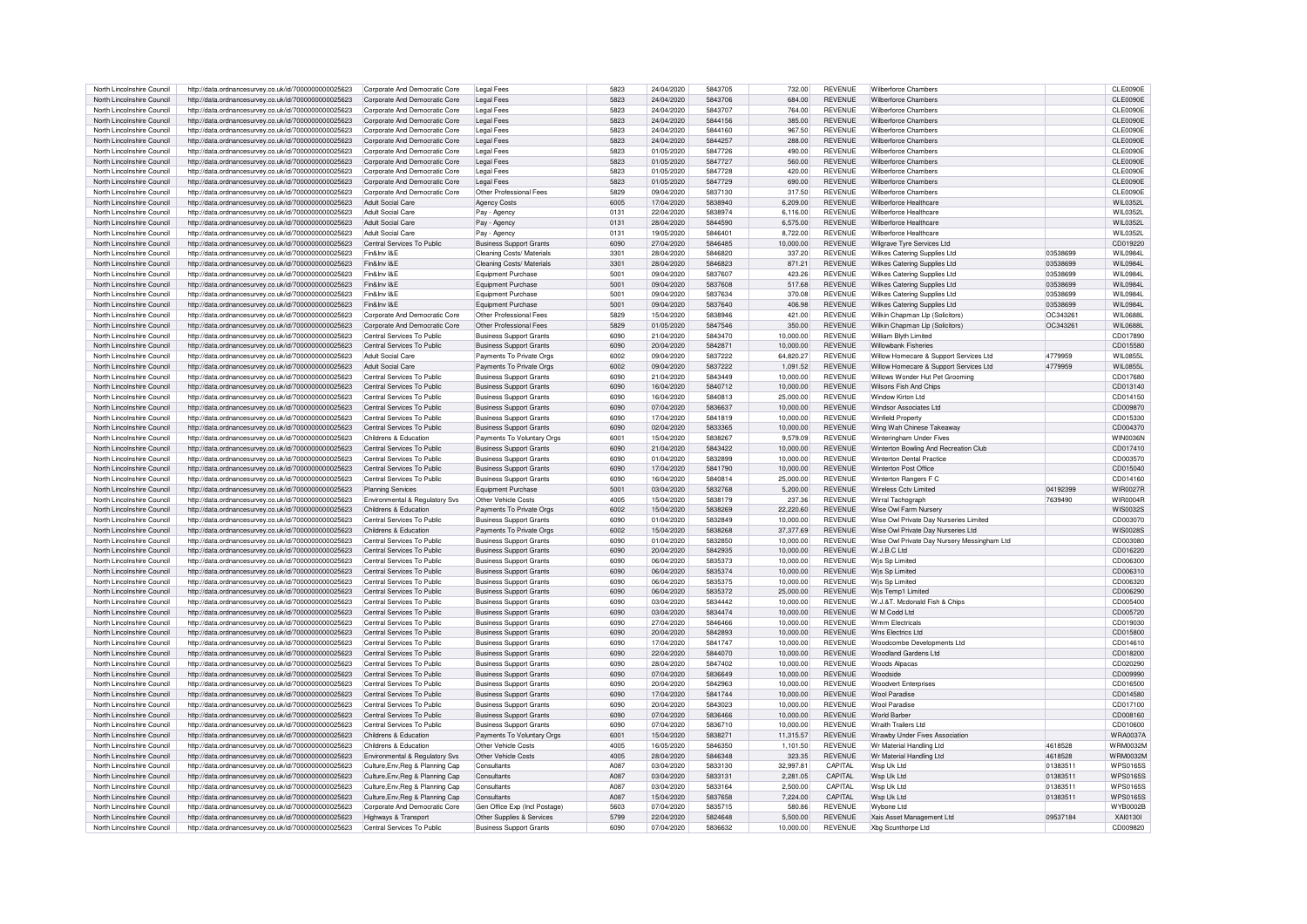| North Lincolnshire Council                               | http://data.ordnancesurvey.co.uk/id/7000000000025623                                                         | Corporate And Democratic Core                      | <b>Legal Fees</b>                                    | 5823         | 24/04/2020               | 5843705            | 732.00                | <b>REVENUE</b>                   | <b>Wilberforce Chambers</b>                     |          | CLE0090E             |
|----------------------------------------------------------|--------------------------------------------------------------------------------------------------------------|----------------------------------------------------|------------------------------------------------------|--------------|--------------------------|--------------------|-----------------------|----------------------------------|-------------------------------------------------|----------|----------------------|
| North Lincolnshire Council                               | http://data.ordnancesurvey.co.uk/id/7000000000025623                                                         | Corporate And Democratic Core                      | <b>Legal Fees</b>                                    | 5823         | 24/04/2020               | 5843706            | 684.00                | <b>REVENUE</b>                   | Wilberforce Chambers                            |          | CLE0090E             |
| North Lincolnshire Council                               | http://data.ordnancesurvey.co.uk/id/7000000000025623                                                         | Corporate And Democratic Core                      | I egal Fees                                          | 5823         | 24/04/2020               | 5843707            | 764.00                | <b>REVENUE</b>                   | <b>Wilberforce Chambers</b>                     |          | CLE0090E             |
|                                                          |                                                                                                              |                                                    |                                                      |              |                          |                    |                       |                                  |                                                 |          |                      |
| North Lincolnshire Council                               | http://data.ordnancesurvey.co.uk/id/7000000000025623                                                         | Corporate And Democratic Core                      | <b>Legal Fees</b>                                    | 5823         | 24/04/2020               | 5844156            | 385.00                | <b>REVENUE</b>                   | <b>Wilberforce Chambers</b>                     |          | CLE0090E             |
| North Lincolnshire Council                               | http://data.ordnancesurvey.co.uk/id/7000000000025623                                                         | Corporate And Democratic Core                      | <b>Legal Fees</b>                                    | 5823         | 24/04/2020               | 5844160            | 967.50                | <b>REVENUE</b>                   | Wilberforce Chamber                             |          | CLE0090E             |
| North Lincolnshire Council                               | http://data.ordnancesurvey.co.uk/id/7000000000025623                                                         | Corporate And Democratic Core                      | <b>Legal Fees</b>                                    | 5823         | 24/04/2020               | 5844257            | 288.00                | <b>REVENUE</b>                   | <b>Wilberforce Chambers</b>                     |          | CLE0090E             |
| North Lincolnshire Council                               | http://data.ordnancesurvey.co.uk/id/7000000000025623                                                         | Corporate And Democratic Core                      | Legal Fees                                           | 5823         | 01/05/2020               | 5847726            | 490.00                | <b>REVENUE</b>                   | Wilberforce Chamber                             |          | CLE0090E             |
| North Lincolnshire Council                               | http://data.ordnancesurvey.co.uk/id/7000000000025623                                                         | Corporate And Democratic Core                      | <b>Legal Fees</b>                                    | 5823         | 01/05/2020               | 5847727            | 560.00                | REVENUE                          | Wilberforce Chamber                             |          | CLE0090E             |
| North Lincolnshire Council                               | http://data.ordnancesurvey.co.uk/id/7000000000025623                                                         | Corporate And Democratic Core                      | <b>Legal Fees</b>                                    | 5823         | 01/05/2020               | 5847728            | 420.00                | <b>REVENUE</b>                   | Wilberforce Chamber                             |          | CLE0090E             |
| North Lincolnshire Council                               | http://data.ordnancesurvey.co.uk/id/7000000000025623                                                         | Corporate And Democratic Core                      | <b>Legal Fees</b>                                    | 5823         | 01/05/2020               | 5847729            | 690.00                | <b>REVENUE</b>                   | Wilberforce Chamber                             |          | CLE0090E             |
| North Lincolnshire Council                               | http://data.ordnancesurvey.co.uk/id/7000000000025623                                                         | Corporate And Democratic Core                      | Other Professional Fees                              | 5829         | 09/04/2020               | 5837130            | 317.50                | <b>REVENUE</b>                   | Wilberforce Chamber                             |          | CLE0090E             |
|                                                          |                                                                                                              |                                                    |                                                      |              |                          |                    |                       |                                  |                                                 |          |                      |
| North Lincolnshire Council                               | http://data.ordnancesurvey.co.uk/id/7000000000025623                                                         | Adult Social Care                                  | <b>Agency Costs</b>                                  | 6005         | 17/04/2020               | 5838940            | 6.209.00              | <b>REVENUE</b>                   | Wilberforce Healthcare                          |          | WII 0352L            |
| North Lincolnshire Council                               | http://data.ordnancesurvey.co.uk/id/7000000000025623                                                         | Adult Social Care                                  | Pav - Agency                                         | 0131         | 22/04/2020               | 5838974            | 6,116.00              | <b>REVENUE</b>                   | Wilberforce Healthcare                          |          | WIL0352L             |
| North Lincolnshire Council                               | http://data.ordnancesurvey.co.uk/id/7000000000025623                                                         | Adult Social Care                                  | Pay - Agency                                         | 0131         | 28/04/2020               | 5844590            | 6,575.00              | <b>REVENUE</b>                   | Wilberforce Healthcare                          |          | WIL0352L             |
| North Lincolnshire Council                               | http://data.ordnancesurvey.co.uk/id/7000000000025623                                                         | Adult Social Care                                  | Pay - Agency                                         | 0131         | 19/05/2020               | 5846401            | 8.722.00              | <b>REVENUE</b>                   | Wilberforce Healthcare                          |          | <b>WIL0352L</b>      |
| North Lincolnshire Council                               | http://data.ordnancesurvey.co.uk/id/7000000000025623                                                         | Central Services To Public                         | <b>Business Support Grants</b>                       | 6090         | 27/04/2020               | 5846485            | 10.000.00             | <b>REVENUE</b>                   | Wilgrave Tyre Services Ltd                      |          | CD019220             |
| North Lincolnshire Council                               | http://data.ordnancesurvey.co.uk/id/7000000000025623                                                         | Fin&Inv I&F                                        | Cleaning Costs/ Materials                            | 3301         | 28/04/2020               | 5846820            | 337.20                | <b>REVENUE</b>                   | Wilkes Catering Supplies Ltd                    | 03538699 | WII 0984I            |
| North Lincolnshire Council                               | http://data.ordnancesurvey.co.uk/id/7000000000025623                                                         | Fin&Inv I&F                                        | Cleaning Costs/ Materials                            | 3301         | 28/04/2020               | 5846823            | 871.21                | <b>REVENUE</b>                   | Wilkes Catering Supplies Ltd                    | 03538699 | WII 0984L            |
| North Lincolnshire Council                               |                                                                                                              | Fin&Inv I&F                                        |                                                      | 5001         | 09/04/2020               | 5837607            | 423.26                | <b>REVENUE</b>                   |                                                 | 03538699 | WII 0984I            |
|                                                          | http://data.ordnancesurvey.co.uk/id/7000000000025623                                                         |                                                    | Equipment Purchase                                   |              |                          |                    |                       |                                  | Wilkes Catering Supplies Ltd                    |          |                      |
| North Lincolnshire Council                               | http://data.ordnancesurvey.co.uk/id/7000000000025623                                                         | Fin&Inv I&F                                        | Equipment Purchase                                   | 5001         | 09/04/2020               | 5837608            | 517.68                | <b>REVENUE</b>                   | Wilkes Catering Supplies Ltd                    | 03538699 | WII 0984I            |
| North Lincolnshire Council                               | http://data.ordnancesurvey.co.uk/id/7000000000025623                                                         | Fin&Inv I&E                                        | Equipment Purchase                                   | 5001         | 09/04/2020               | 5837634            | 370.08                | <b>REVENUE</b>                   | Wilkes Catering Supplies Ltd                    | 03538699 | WIL0984L             |
| North Lincolnshire Council                               | http://data.ordnancesurvey.co.uk/id/7000000000025623                                                         | Fin&Inv I&E                                        | Equipment Purchase                                   | 5001         | 09/04/2020               | 5837640            | 406.98                | <b>REVENUE</b>                   | Wilkes Catering Supplies Ltd                    | 03538699 | WIL0984L             |
| North Lincolnshire Council                               | http://data.ordnancesurvey.co.uk/id/7000000000025623                                                         | Corporate And Democratic Core                      | Other Professional Fees                              | 5829         | 15/04/2020               | 5838946            | 421.00                | <b>REVENUE</b>                   | Wilkin Chapman Llp (Solicitors)                 | OC343261 | <b>WIL0688L</b>      |
| North Lincolnshire Council                               | http://data.ordnancesurvey.co.uk/id/7000000000025623                                                         | Corporate And Democratic Core                      | Other Professional Fees                              | 5829         | 01/05/2020               | 5847546            | 350.00                | <b>REVENUE</b>                   | Wilkin Chapman Llp (Solicitors)                 | OC343261 | WII 0688I            |
| North Lincolnshire Council                               | http://data.ordnancesurvey.co.uk/id/7000000000025623                                                         | Central Services To Public                         | <b>Business Support Grants</b>                       | 6090         | 21/04/2020               | 5843470            | 10,000.00             | <b>REVENUE</b>                   | William Blyth Limited                           |          | CD017890             |
| North Lincolnshire Council                               | http://data.ordnancesurvey.co.uk/id/7000000000025623                                                         | Central Services To Public                         | <b>Business Support Grants</b>                       | 6090         | 20/04/2020               | 5842871            | 10,000.00             | <b>REVENUE</b>                   | <b>Willowbank Fisheries</b>                     |          | CD015580             |
|                                                          |                                                                                                              |                                                    |                                                      |              |                          |                    |                       |                                  |                                                 |          |                      |
| North Lincolnshire Council                               | http://data.ordnancesurvey.co.uk/id/7000000000025623                                                         | Adult Social Care                                  | Payments To Private Orgs                             | 6002         | 09/04/2020               | 5837222            | 64.820.27             | <b>REVENUE</b>                   | Willow Homecare & Support Services Ltd          | 4779959  | WII 0855L            |
| North Lincolnshire Council                               | http://data.ordnancesurvey.co.uk/id/7000000000025623                                                         | Adult Social Care                                  | Payments To Private Orgs                             | 6002         | 09/04/2020               | 5837222            | 1.091.52              | <b>REVENUE</b>                   | Willow Homecare & Support Services Ltd          | 4779959  | WII 0855L            |
| North Lincolnshire Council                               | http://data.ordnancesurvey.co.uk/id/7000000000025623                                                         | Central Services To Public                         | <b>Business Support Grants</b>                       | 6090         | 21/04/2020               | 5843449            | 10,000.00             | <b>REVENUE</b>                   | Willows Wonder Hut Pet Grooming                 |          | CD017680             |
| North Lincolnshire Council                               | http://data.ordnancesurvey.co.uk/id/7000000000025623                                                         | Central Services To Public                         | <b>Business Support Grants</b>                       | 6090         | 16/04/2020               | 5840712            | 10,000.00             | REVENUE                          | Wilsons Fish And Chips                          |          | CD013140             |
| North Lincolnshire Council                               | http://data.ordnancesurvey.co.uk/id/7000000000025623                                                         | Central Services To Public                         | <b>Business Support Grants</b>                       | 6090         | 16/04/2020               | 5840813            | 25,000.00             | <b>REVENUE</b>                   | Window Kirton Ltd                               |          | CD014150             |
| North Lincolnshire Council                               | http://data.ordnancesurvev.co.uk/id/7000000000025623                                                         | Central Services To Public                         | <b>Business Support Grants</b>                       | 6090         | 07/04/2020               | 5836637            | 10,000.00             | <b>REVENUE</b>                   | <b>Windsor Associates Ltd</b>                   |          | CD009870             |
| North Lincolnshire Council                               | http://data.ordnancesurvey.co.uk/id/7000000000025623                                                         | Central Services To Public                         | <b>Business Support Grants</b>                       | 6090         | 17/04/2020               | 5841819            | 10.000.00             | <b>REVENUE</b>                   | Winfield Property                               |          | CD015330             |
|                                                          |                                                                                                              |                                                    |                                                      |              |                          |                    |                       |                                  |                                                 |          |                      |
| North Lincolnshire Council                               | http://data.ordnancesurvey.co.uk/id/7000000000025623                                                         | Central Services To Public                         | <b>Business Support Grants</b>                       | 6090         | 02/04/2020               | 5833365            | 10,000.00             | <b>REVENUE</b>                   | Wing Wah Chinese Takeaway                       |          | CD004370             |
| North Lincolnshire Council                               | http://data.ordnancesurvey.co.uk/id/7000000000025623                                                         | Childrens & Education                              | Payments To Voluntary Orgs                           | 6001         | 15/04/2020               | 5838267            | 9,579.09              | <b>REVENUE</b>                   | Winteringham Under Fives                        |          | WIN0036N             |
| North Lincolnshire Council                               | http://data.ordnancesurvey.co.uk/id/7000000000025623                                                         | Central Services To Public                         | <b>Business Support Grants</b>                       | 6090         | 21/04/2020               | 5843422            | 10.000.00             | <b>REVENUE</b>                   | Winterton Bowling And Recreation Club           |          | CD017410             |
| North Lincolnshire Council                               | http://data.ordnancesurvey.co.uk/id/7000000000025623                                                         | Central Services To Public                         | <b>Business Support Grants</b>                       | 6090         | 01/04/2020               | 5832899            | 10,000.00             | <b>REVENUE</b>                   | <b>Winterton Dental Practice</b>                |          | CD003570             |
| North Lincolnshire Council                               | http://data.ordnancesurvey.co.uk/id/7000000000025623                                                         | Central Services To Public                         | <b>Business Support Grants</b>                       | 6090         | 17/04/2020               | 5841790            | 10.000.00             | <b>REVENUE</b>                   | Winterton Post Office                           |          | CD015040             |
| North Lincolnshire Council                               | http://data.ordnancesurvey.co.uk/id/7000000000025623                                                         | Central Services To Public                         | <b>Business Support Grants</b>                       | 6090         | 16/04/2020               | 5840814            | 25,000.00             | <b>REVENUE</b>                   | Winterton Bangers F C                           |          | CD014160             |
| North Lincolnshire Council                               | http://data.ordnancesurvey.co.uk/id/7000000000025623                                                         | <b>Planning Services</b>                           | Equipment Purchase                                   | 5001         | 03/04/2020               | 5832768            | 5,200.00              | <b>REVENUE</b>                   | Wireless Cctv Limited                           | 04192399 | <b>WIR0027R</b>      |
|                                                          |                                                                                                              |                                                    |                                                      |              |                          |                    |                       |                                  |                                                 |          |                      |
| North Lincolnshire Council                               | http://data.ordnancesurvey.co.uk/id/7000000000025623                                                         | Environmental & Regulatory Svs                     | Other Vehicle Costs                                  | 4005         | 15/04/2020               | 5838179            | 237.36                | <b>REVENUE</b>                   | Wirral Tachograph                               | 7639490  | <b>WIR0004R</b>      |
| North Lincolnshire Council                               | http://data.ordnancesurvey.co.uk/id/7000000000025623                                                         | Childrens & Education                              | Payments To Private Orgs                             | 6002         | 15/04/2020               | 5838269            | 22,220.60             | <b>REVENUE</b>                   | Wise Owl Farm Nurser                            |          | <b>WIS0032S</b>      |
| North Lincolnshire Council                               | http://data.ordnancesurvey.co.uk/id/7000000000025623                                                         | Central Services To Public                         | <b>Business Support Grants</b>                       | 6090         | 01/04/2020               | 5832849            | 10,000.00             | <b>REVENUE</b>                   | Wise Owl Private Dav Nurseries Limited          |          | CD003070             |
| North Lincolnshire Council                               | http://data.ordnancesurvey.co.uk/id/7000000000025623                                                         | Childrens & Education                              | Payments To Private Orgs                             | 6002         | 15/04/2020               | 5838268            | 37,377.69             | <b>REVENUE</b>                   | Wise Owl Private Dav Nurseries Ltd              |          | WIS00285             |
| North Lincolnshire Council                               | http://data.ordnancesurvey.co.uk/id/7000000000025623                                                         | Central Services To Public                         | <b>Business Support Grants</b>                       | 6090         | 01/04/2020               | 5832850            | 10.000.00             | <b>REVENUE</b>                   | Wise Owl Private Day Nursery Messingham Ltd     |          | CD003080             |
| North Lincolnshire Council                               | http://data.ordnancesurvey.co.uk/id/7000000000025623                                                         | Central Services To Public                         | <b>Business Support Grants</b>                       | 6090         | 20/04/2020               | 5842935            | 10,000.00             | <b>REVENUE</b>                   | W.J.B.C Ltd                                     |          | CD016220             |
| North Lincolnshire Council                               | http://data.ordnancesurvey.co.uk/id/7000000000025623                                                         | Central Services To Public                         | <b>Business Support Grants</b>                       | 6090         | 06/04/2020               | 5835373            | 10,000.00             | <b>REVENUE</b>                   | Wis Sp Limited                                  |          | CD006300             |
| North Lincolnshire Council                               | http://data.ordnancesurvey.co.uk/id/7000000000025623                                                         | Central Services To Public                         | <b>Business Support Grants</b>                       | 6090         | 06/04/2020               | 5835374            | 10.000.00             | <b>REVENUE</b>                   | Wis Sp Limited                                  |          | CD006310             |
| North Lincolnshire Council                               |                                                                                                              | Central Services To Public                         |                                                      | 6090         | 06/04/2020               | 5835375            | 10.000.00             | <b>REVENUE</b>                   | Wis Sn Limited                                  |          | CD006320             |
|                                                          | http://data.ordnancesurvey.co.uk/id/7000000000025623                                                         |                                                    | <b>Business Support Grants</b>                       |              |                          |                    |                       |                                  |                                                 |          |                      |
| North Lincolnshire Council                               | http://data.ordnancesurvey.co.uk/id/7000000000025623                                                         | Central Services To Public                         | <b>Business Support Grants</b>                       | 6090         | 06/04/2020               | 5835372            | 25,000.00             | <b>REVENUE</b>                   | Wjs Temp1 Limited                               |          | CD006290             |
| North Lincolnshire Council                               | http://data.ordnancesurvey.co.uk/id/7000000000025623                                                         | Central Services To Public                         | <b>Business Support Grants</b>                       | 6090         | 03/04/2020               | 5834442            | 10.000.00             | <b>REVENUE</b>                   | W.J.&T. Mcdonald Fish & Chips                   |          | CD005400             |
| North Lincolnshire Council                               | http://data.ordnancesurvey.co.uk/id/7000000000025623                                                         | Central Services To Public                         | <b>Business Support Grants</b>                       | 6090         | 03/04/2020               | 5834474            | 10,000.00             | <b>REVENUE</b>                   | W M Codd Ltd                                    |          | CD005720             |
| North Lincolnshire Council                               | http://data.ordnancesurvey.co.uk/id/7000000000025623                                                         | Central Services To Public                         | <b>Business Support Grants</b>                       | 6090         | 27/04/2020               | 5846466            | 10,000.00             | <b>REVENUE</b>                   | <b>Wmm Flectricals</b>                          |          | CD019030             |
| North Lincolnshire Council                               | http://data.ordnancesurvey.co.uk/id/7000000000025623                                                         | Central Services To Public                         | <b>Business Support Grants</b>                       | 6090         | 20/04/2020               | 5842893            | 10,000.00             | REVENUE                          | Wns Flectrics Ltd                               |          | CD015800             |
| North Lincolnshire Council                               | http://data.ordnancesurvey.co.uk/id/7000000000025623                                                         | Central Services To Public                         | <b>Business Support Grants</b>                       | 6090         | 17/04/2020               | 5841747            | 10.000.00             | <b>REVENUE</b>                   | Woodcombe Developments Ltd                      |          | CD014610             |
| North Lincolnshire Council                               | http://data.ordnancesurvey.co.uk/id/7000000000025623                                                         | Central Services To Public                         | <b>Business Support Grants</b>                       | 6090         | 22/04/2020               | 5844070            | 10,000.00             | <b>REVENUE</b>                   | <b>Woodland Gardens Ltd</b>                     |          | CD018200             |
| North Lincolnshire Council                               | http://data.ordnancesurvey.co.uk/id/7000000000025623                                                         | Central Services To Public                         | <b>Business Support Grants</b>                       | 6090         | 28/04/2020               | 5847402            | 10.000.00             | <b>REVENUE</b>                   | <b>Woods Alpacas</b>                            |          | CD020290             |
|                                                          |                                                                                                              |                                                    |                                                      |              |                          |                    |                       |                                  |                                                 |          |                      |
| North Lincolnshire Council                               | http://data.ordnancesurvey.co.uk/id/7000000000025623                                                         | Central Services To Public                         | <b>Business Support Grants</b>                       | 6090         | 07/04/2020               | 5836649            | 10,000.00             | <b>REVENUE</b>                   | Woodside                                        |          | CD009990             |
| North Lincolnshire Council                               | http://data.ordnancesurvey.co.uk/id/7000000000025623                                                         | Central Services To Public                         | <b>Business Support Grants</b>                       | 6090         | 20/04/2020               | 5842963            | 10,000.00             | <b>REVENUE</b>                   | <b>Woodvert Enterprises</b>                     |          | CD016500             |
| North Lincolnshire Council                               | http://data.ordnancesurvey.co.uk/id/7000000000025623                                                         | Central Services To Public                         | <b>Business Support Grants</b>                       | 6090         | 17/04/2020               | 5841744            | 10.000.00             | <b>REVENUE</b>                   | <b>Wool Paradise</b>                            |          | CD014580             |
| North Lincolnshire Council                               | http://data.ordnancesurvey.co.uk/id/7000000000025623                                                         | Central Services To Public                         | <b>Business Support Grants</b>                       | 6090         | 20/04/2020               | 5843023            | 10.000.00             | <b>REVENUE</b>                   | <b>Wool Paradise</b>                            |          | CD017100             |
| North Lincolnshire Council                               | http://data.ordnancesurvey.co.uk/id/7000000000025623                                                         | Central Services To Public                         | <b>Business Support Grants</b>                       | 6090         | 07/04/2020               | 5836466            | 10.000.00             | <b>REVENUE</b>                   | <b>World Barber</b>                             |          | CD008160             |
| North Lincolnshire Council                               | http://data.ordnancesurvey.co.uk/id/7000000000025623                                                         | Central Services To Public                         | <b>Business Support Grants</b>                       | 6090         | 07/04/2020               | 5836710            | 10,000.00             | <b>REVENUE</b>                   | <b>Wraith Trailers Ltd</b>                      |          | CD010600             |
| North Lincolnshire Council                               | http://data.ordnancesurvey.co.uk/id/7000000000025623                                                         | Childrens & Education                              | Payments To Voluntary Orgs                           | 6001         | 15/04/2020               | 5838271            | 11,315.57             | <b>REVENUE</b>                   | Wrawby Under Fives Association                  |          | <b>WRA0037A</b>      |
|                                                          |                                                                                                              |                                                    |                                                      |              |                          |                    |                       |                                  |                                                 |          |                      |
| North Lincolnshire Council                               | http://data.ordnancesurvey.co.uk/id/7000000000025623                                                         | Childrens & Education                              | Other Vehicle Costs                                  | 4005         | 16/05/2020               | 5846350            | 1,101.50              | <b>REVENUE</b>                   | Wr Material Handling Ltd                        | 4618528  | <b>WRM0032M</b>      |
| North Lincolnshire Council                               | http://data.ordnancesurvey.co.uk/id/7000000000025623                                                         | Environmental & Regulatory Svs                     | Other Vehicle Costs                                  | 4005         | 28/04/2020               | 5846348            | 323.35                | <b>REVENUE</b>                   | Wr Material Handling Ltd                        | 4618528  | <b>WRM0032M</b>      |
| North Lincolnshire Council                               | http://data.ordnancesurvey.co.uk/id/7000000000025623                                                         | Culture, Env, Reg & Planning Cap                   | Consultants                                          | A087         | 03/04/2020               | 5833130            | 32.997.81             | CAPITAL                          | Wsp Uk Ltd                                      | 01383511 | <b>WPS0165S</b>      |
| North Lincolnshire Council                               | http://data.ordnancesurvey.co.uk/id/7000000000025623                                                         | Culture, Env, Reg & Planning Cap                   | Consultants                                          | A087         | 03/04/2020               | 5833131            | 2,281.05              | CAPITAL                          | Wsp Uk Ltd                                      | 01383511 | <b>WPS0165S</b>      |
| North Lincolnshire Council                               | http://data.ordnancesurvey.co.uk/id/7000000000025623                                                         | Culture, Env, Reg & Planning Cap                   | Consultants                                          | A087         | 03/04/2020               | 5833164            | 2,500.00              | CAPITAL                          | Wsp Uk Ltd                                      | 01383511 | <b>WPS0165S</b>      |
| North Lincolnshire Council                               | http://data.ordnancesurvey.co.uk/id/7000000000025623                                                         | Culture, Env, Reg & Planning Cap                   | Consultants                                          | A087         | 15/04/2020               | 5837658            | 7.224.00              | CAPITAL                          | Wsn Uk I td                                     | 01383511 | <b>WPS0165S</b>      |
| North Lincolnshire Council                               | http://data.ordnancesurvey.co.uk/id/7000000000025623                                                         | Corporate And Democratic Core                      | Gen Office Exp (Incl Postage)                        | 5603         | 07/04/2020               | 5835715            | 580.86                | <b>REVENUE</b>                   | Wybone Ltd                                      |          | <b>WYB0002B</b>      |
|                                                          |                                                                                                              |                                                    |                                                      |              |                          |                    |                       |                                  |                                                 |          |                      |
|                                                          |                                                                                                              |                                                    |                                                      |              |                          |                    |                       |                                  |                                                 |          |                      |
| North Lincolnshire Council<br>North Lincolnshire Council | http://data.ordnancesurvey.co.uk/id/7000000000025623<br>http://data.ordnancesurvey.co.uk/id/7000000000025623 | Highways & Transport<br>Central Services To Public | Other Supplies & Services<br>Business Support Grants | 5799<br>6090 | 22/04/2020<br>07/04/2020 | 5824648<br>5836632 | 5.500.00<br>10.000.00 | <b>REVENUE</b><br><b>REVENUE</b> | Xais Asset Management Ltd<br>Xbg Scunthorpe Ltd | 09537184 | XAI0130L<br>CD009820 |